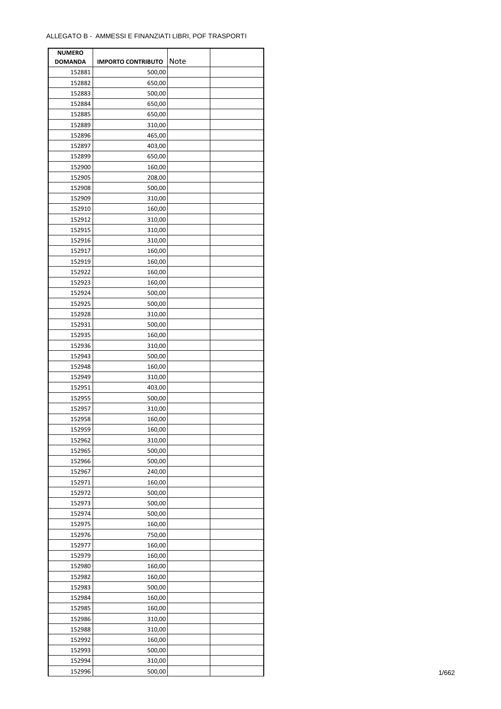| <b>NUMERO</b>  |                           |      |  |
|----------------|---------------------------|------|--|
| <b>DOMANDA</b> | <b>IMPORTO CONTRIBUTO</b> | Note |  |
| 152881         | 500,00                    |      |  |
| 152882         | 650,00                    |      |  |
| 152883         | 500,00                    |      |  |
| 152884         | 650,00                    |      |  |
|                |                           |      |  |
| 152885         | 650,00                    |      |  |
| 152889         | 310,00                    |      |  |
| 152896         | 465,00                    |      |  |
| 152897         | 403,00                    |      |  |
| 152899         | 650,00                    |      |  |
| 152900         | 160,00                    |      |  |
| 152905         | 208,00                    |      |  |
| 152908         | 500,00                    |      |  |
| 152909         | 310,00                    |      |  |
| 152910         | 160,00                    |      |  |
| 152912         | 310,00                    |      |  |
| 152915         | 310,00                    |      |  |
| 152916         | 310,00                    |      |  |
| 152917         | 160,00                    |      |  |
| 152919         | 160,00                    |      |  |
|                |                           |      |  |
| 152922         | 160,00                    |      |  |
| 152923         | 160,00                    |      |  |
| 152924         | 500,00                    |      |  |
| 152925         | 500,00                    |      |  |
| 152928         | 310,00                    |      |  |
| 152931         | 500,00                    |      |  |
| 152935         | 160,00                    |      |  |
| 152936         | 310,00                    |      |  |
| 152943         | 500,00                    |      |  |
| 152948         | 160,00                    |      |  |
| 152949         | 310,00                    |      |  |
| 152951         | 403,00                    |      |  |
| 152955         | 500,00                    |      |  |
| 152957         | 310,00                    |      |  |
| 152958         | 160,00                    |      |  |
|                |                           |      |  |
| 152959         | 160,00                    |      |  |
| 152962         | 310,00                    |      |  |
| 152965         | 500,00                    |      |  |
| 152966         | 500,00                    |      |  |
| 152967         | 240,00                    |      |  |
| 152971         | 160,00                    |      |  |
| 152972         | 500,00                    |      |  |
| 152973         | 500,00                    |      |  |
| 152974         | 500,00                    |      |  |
| 152975         | 160,00                    |      |  |
| 152976         | 750,00                    |      |  |
| 152977         | 160,00                    |      |  |
| 152979         | 160,00                    |      |  |
| 152980         | 160,00                    |      |  |
|                |                           |      |  |
| 152982         | 160,00                    |      |  |
| 152983         | 500,00                    |      |  |
| 152984         | 160,00                    |      |  |
| 152985         | 160,00                    |      |  |
| 152986         | 310,00                    |      |  |
| 152988         | 310,00                    |      |  |
| 152992         | 160,00                    |      |  |
| 152993         | 500,00                    |      |  |
| 152994         | 310,00                    |      |  |
| 152996         | 500,00                    |      |  |
|                |                           |      |  |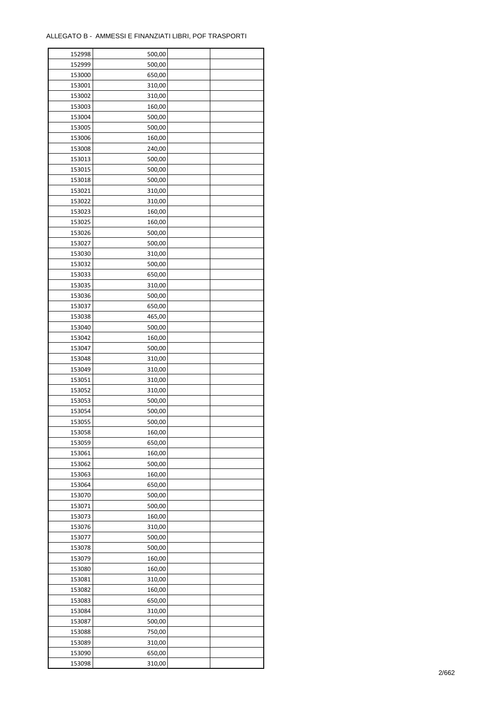| 152998 | 500,00 |  |
|--------|--------|--|
| 152999 | 500,00 |  |
| 153000 | 650,00 |  |
| 153001 | 310,00 |  |
| 153002 | 310,00 |  |
| 153003 | 160,00 |  |
| 153004 | 500,00 |  |
| 153005 | 500,00 |  |
| 153006 | 160,00 |  |
|        |        |  |
| 153008 | 240,00 |  |
| 153013 | 500,00 |  |
| 153015 | 500,00 |  |
| 153018 | 500,00 |  |
| 153021 | 310,00 |  |
| 153022 | 310,00 |  |
| 153023 | 160,00 |  |
| 153025 | 160,00 |  |
| 153026 | 500,00 |  |
| 153027 | 500,00 |  |
| 153030 | 310,00 |  |
| 153032 | 500,00 |  |
| 153033 | 650,00 |  |
| 153035 | 310,00 |  |
| 153036 | 500,00 |  |
| 153037 | 650,00 |  |
| 153038 | 465,00 |  |
| 153040 | 500,00 |  |
| 153042 | 160,00 |  |
| 153047 | 500,00 |  |
| 153048 | 310,00 |  |
| 153049 |        |  |
|        | 310,00 |  |
| 153051 | 310,00 |  |
| 153052 | 310,00 |  |
| 153053 | 500,00 |  |
| 153054 | 500,00 |  |
| 153055 | 500,00 |  |
| 153058 | 160,00 |  |
| 153059 | 650,00 |  |
| 153061 | 160,00 |  |
| 153062 | 500,00 |  |
| 153063 | 160,00 |  |
| 153064 | 650,00 |  |
| 153070 | 500,00 |  |
| 153071 | 500,00 |  |
| 153073 | 160,00 |  |
| 153076 | 310,00 |  |
| 153077 | 500,00 |  |
| 153078 | 500,00 |  |
| 153079 | 160,00 |  |
| 153080 | 160,00 |  |
| 153081 | 310,00 |  |
|        | 160,00 |  |
| 153082 |        |  |
| 153083 | 650,00 |  |
| 153084 | 310,00 |  |
| 153087 | 500,00 |  |
| 153088 | 750,00 |  |
| 153089 | 310,00 |  |
| 153090 | 650,00 |  |
| 153098 | 310,00 |  |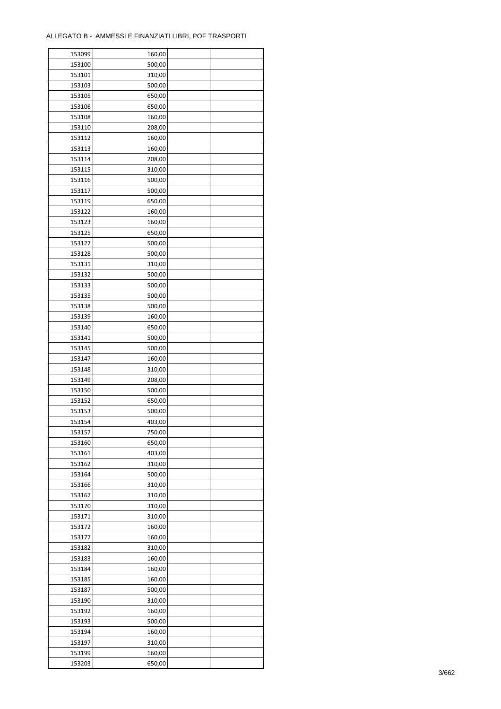| 153099 | 160,00 |  |
|--------|--------|--|
| 153100 | 500,00 |  |
| 153101 | 310,00 |  |
| 153103 | 500,00 |  |
| 153105 | 650,00 |  |
| 153106 | 650,00 |  |
| 153108 | 160,00 |  |
| 153110 | 208,00 |  |
| 153112 | 160,00 |  |
| 153113 | 160,00 |  |
|        |        |  |
| 153114 | 208,00 |  |
| 153115 | 310,00 |  |
| 153116 | 500,00 |  |
| 153117 | 500,00 |  |
| 153119 | 650,00 |  |
| 153122 | 160,00 |  |
| 153123 | 160,00 |  |
| 153125 | 650,00 |  |
| 153127 | 500,00 |  |
| 153128 | 500,00 |  |
| 153131 | 310,00 |  |
| 153132 | 500,00 |  |
| 153133 | 500,00 |  |
| 153135 | 500,00 |  |
| 153138 | 500,00 |  |
| 153139 | 160,00 |  |
| 153140 | 650,00 |  |
| 153141 | 500,00 |  |
| 153145 | 500,00 |  |
|        |        |  |
| 153147 | 160,00 |  |
| 153148 | 310,00 |  |
| 153149 | 208,00 |  |
| 153150 | 500,00 |  |
| 153152 | 650,00 |  |
| 153153 | 500,00 |  |
| 153154 | 403,00 |  |
| 153157 | 750,00 |  |
| 153160 | 650,00 |  |
| 153161 | 403,00 |  |
| 153162 | 310,00 |  |
| 153164 | 500,00 |  |
| 153166 | 310,00 |  |
| 153167 | 310,00 |  |
| 153170 | 310,00 |  |
| 153171 | 310,00 |  |
| 153172 | 160,00 |  |
| 153177 | 160,00 |  |
| 153182 | 310,00 |  |
| 153183 | 160,00 |  |
| 153184 |        |  |
|        | 160,00 |  |
| 153185 | 160,00 |  |
| 153187 | 500,00 |  |
| 153190 | 310,00 |  |
| 153192 | 160,00 |  |
| 153193 | 500,00 |  |
| 153194 | 160,00 |  |
| 153197 | 310,00 |  |
| 153199 | 160,00 |  |
| 153203 | 650,00 |  |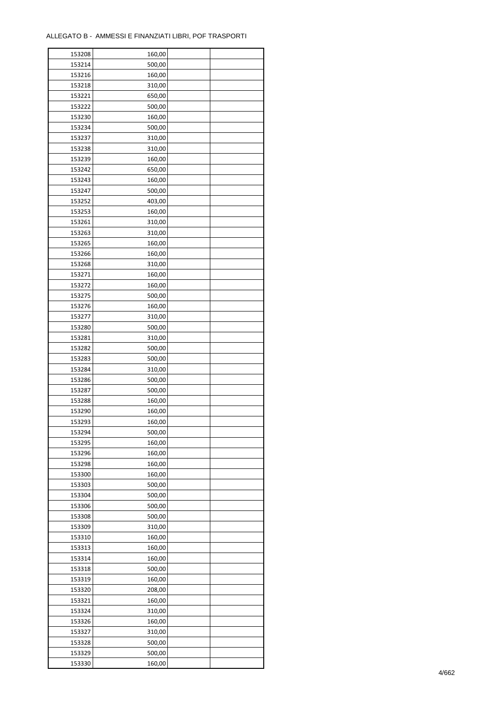| 153208 | 160,00 |  |
|--------|--------|--|
| 153214 | 500,00 |  |
| 153216 | 160,00 |  |
| 153218 | 310,00 |  |
| 153221 | 650,00 |  |
| 153222 | 500,00 |  |
| 153230 | 160,00 |  |
| 153234 | 500,00 |  |
| 153237 | 310,00 |  |
|        |        |  |
| 153238 | 310,00 |  |
| 153239 | 160,00 |  |
| 153242 | 650,00 |  |
| 153243 | 160,00 |  |
| 153247 | 500,00 |  |
| 153252 | 403,00 |  |
| 153253 | 160,00 |  |
| 153261 | 310,00 |  |
| 153263 | 310,00 |  |
| 153265 | 160,00 |  |
| 153266 | 160,00 |  |
| 153268 | 310,00 |  |
| 153271 | 160,00 |  |
| 153272 | 160,00 |  |
| 153275 | 500,00 |  |
| 153276 | 160,00 |  |
| 153277 | 310,00 |  |
| 153280 | 500,00 |  |
| 153281 | 310,00 |  |
| 153282 | 500,00 |  |
| 153283 | 500,00 |  |
|        |        |  |
| 153284 | 310,00 |  |
| 153286 | 500,00 |  |
| 153287 | 500,00 |  |
| 153288 | 160,00 |  |
| 153290 | 160,00 |  |
| 153293 | 160,00 |  |
| 153294 | 500,00 |  |
| 153295 | 160,00 |  |
| 153296 | 160,00 |  |
| 153298 | 160,00 |  |
| 153300 | 160,00 |  |
| 153303 | 500,00 |  |
| 153304 | 500,00 |  |
| 153306 | 500,00 |  |
| 153308 | 500,00 |  |
| 153309 | 310,00 |  |
| 153310 | 160,00 |  |
| 153313 | 160,00 |  |
| 153314 | 160,00 |  |
| 153318 | 500,00 |  |
| 153319 | 160,00 |  |
|        |        |  |
| 153320 | 208,00 |  |
| 153321 | 160,00 |  |
| 153324 | 310,00 |  |
| 153326 | 160,00 |  |
| 153327 | 310,00 |  |
| 153328 | 500,00 |  |
| 153329 | 500,00 |  |
| 153330 | 160,00 |  |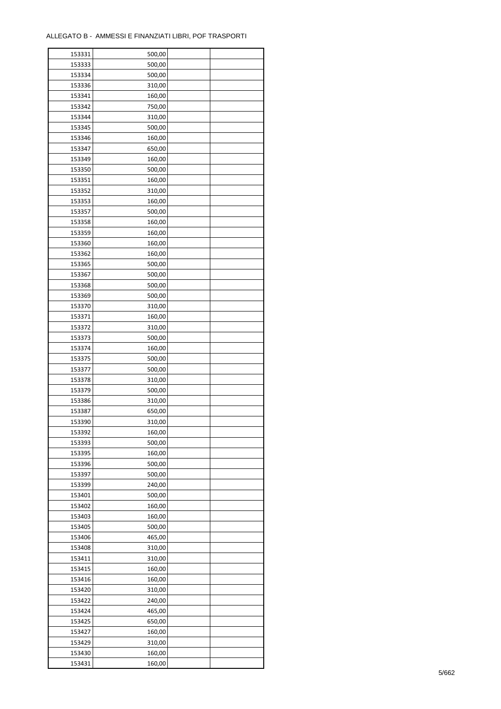| 153331           | 500,00           |  |
|------------------|------------------|--|
| 153333           | 500,00           |  |
| 153334           | 500,00           |  |
| 153336           | 310,00           |  |
| 153341           | 160,00           |  |
| 153342           | 750,00           |  |
| 153344           | 310,00           |  |
| 153345           | 500,00           |  |
| 153346           | 160,00           |  |
|                  |                  |  |
| 153347<br>153349 | 650,00<br>160,00 |  |
|                  |                  |  |
| 153350           | 500,00           |  |
| 153351           | 160,00           |  |
| 153352           | 310,00           |  |
| 153353           | 160,00           |  |
| 153357           | 500,00           |  |
| 153358           | 160,00           |  |
| 153359           | 160,00           |  |
| 153360           | 160,00           |  |
| 153362           | 160,00           |  |
| 153365           | 500,00           |  |
| 153367           | 500,00           |  |
| 153368           | 500,00           |  |
| 153369           | 500,00           |  |
| 153370           | 310,00           |  |
| 153371           | 160,00           |  |
| 153372           | 310,00           |  |
| 153373           | 500,00           |  |
| 153374           | 160,00           |  |
|                  |                  |  |
| 153375           | 500,00           |  |
| 153377           | 500,00           |  |
| 153378           | 310,00           |  |
| 153379           | 500,00           |  |
| 153386           | 310,00           |  |
| 153387           | 650,00           |  |
| 153390           | 310,00           |  |
| 153392           | 160,00           |  |
| 153393           | 500,00           |  |
| 153395           | 160,00           |  |
| 153396           | 500,00           |  |
| 153397           | 500,00           |  |
| 153399           | 240,00           |  |
| 153401           | 500,00           |  |
| 153402           | 160,00           |  |
| 153403           | 160,00           |  |
| 153405           | 500,00           |  |
| 153406           | 465,00           |  |
| 153408           | 310,00           |  |
| 153411           | 310,00           |  |
| 153415           | 160,00           |  |
| 153416           |                  |  |
|                  | 160,00           |  |
| 153420           | 310,00           |  |
| 153422           | 240,00           |  |
| 153424           | 465,00           |  |
| 153425           | 650,00           |  |
| 153427           | 160,00           |  |
| 153429           | 310,00           |  |
| 153430           | 160,00           |  |
| 153431           | 160,00           |  |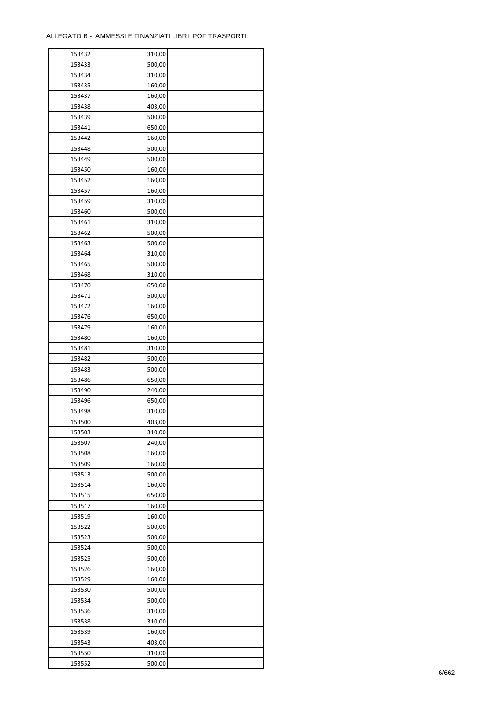$\mathbf{r}$ 

| 153432 | 310,00 |  |
|--------|--------|--|
| 153433 | 500,00 |  |
| 153434 | 310,00 |  |
| 153435 | 160,00 |  |
| 153437 | 160,00 |  |
| 153438 | 403,00 |  |
| 153439 | 500,00 |  |
| 153441 | 650,00 |  |
| 153442 | 160,00 |  |
| 153448 | 500,00 |  |
| 153449 | 500,00 |  |
| 153450 | 160,00 |  |
| 153452 |        |  |
|        | 160,00 |  |
| 153457 | 160,00 |  |
| 153459 | 310,00 |  |
| 153460 | 500,00 |  |
| 153461 | 310,00 |  |
| 153462 | 500,00 |  |
| 153463 | 500,00 |  |
| 153464 | 310,00 |  |
| 153465 | 500,00 |  |
| 153468 | 310,00 |  |
| 153470 | 650,00 |  |
| 153471 | 500,00 |  |
| 153472 | 160,00 |  |
| 153476 | 650,00 |  |
| 153479 | 160,00 |  |
| 153480 | 160,00 |  |
| 153481 | 310,00 |  |
| 153482 | 500,00 |  |
| 153483 | 500,00 |  |
| 153486 | 650,00 |  |
| 153490 | 240,00 |  |
| 153496 | 650,00 |  |
| 153498 | 310,00 |  |
| 153500 | 403,00 |  |
| 153503 | 310,00 |  |
| 153507 | 240,00 |  |
| 153508 | 160,00 |  |
|        |        |  |
| 153509 | 160,00 |  |
| 153513 | 500,00 |  |
| 153514 | 160,00 |  |
| 153515 | 650,00 |  |
| 153517 | 160,00 |  |
| 153519 | 160,00 |  |
| 153522 | 500,00 |  |
| 153523 | 500,00 |  |
| 153524 | 500,00 |  |
| 153525 | 500,00 |  |
| 153526 | 160,00 |  |
| 153529 | 160,00 |  |
| 153530 | 500,00 |  |
| 153534 | 500,00 |  |
| 153536 | 310,00 |  |
| 153538 | 310,00 |  |
| 153539 | 160,00 |  |
| 153543 | 403,00 |  |
| 153550 | 310,00 |  |
| 153552 | 500,00 |  |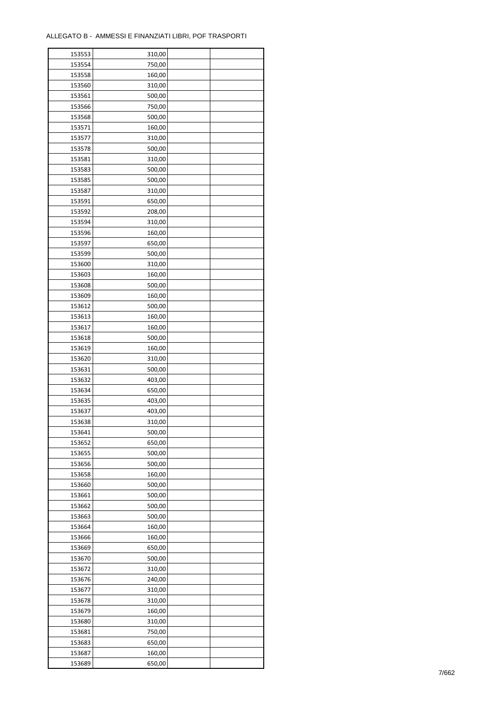| 153553 | 310,00 |  |
|--------|--------|--|
| 153554 | 750,00 |  |
| 153558 | 160,00 |  |
| 153560 | 310,00 |  |
| 153561 | 500,00 |  |
| 153566 | 750,00 |  |
| 153568 | 500,00 |  |
| 153571 | 160,00 |  |
| 153577 | 310,00 |  |
| 153578 | 500,00 |  |
| 153581 | 310,00 |  |
| 153583 | 500,00 |  |
| 153585 | 500,00 |  |
| 153587 |        |  |
|        | 310,00 |  |
| 153591 | 650,00 |  |
| 153592 | 208,00 |  |
| 153594 | 310,00 |  |
| 153596 | 160,00 |  |
| 153597 | 650,00 |  |
| 153599 | 500,00 |  |
| 153600 | 310,00 |  |
| 153603 | 160,00 |  |
| 153608 | 500,00 |  |
| 153609 | 160,00 |  |
| 153612 | 500,00 |  |
| 153613 | 160,00 |  |
| 153617 | 160,00 |  |
| 153618 | 500,00 |  |
| 153619 | 160,00 |  |
| 153620 | 310,00 |  |
| 153631 | 500,00 |  |
| 153632 | 403,00 |  |
| 153634 | 650,00 |  |
| 153635 | 403,00 |  |
| 153637 | 403,00 |  |
| 153638 | 310,00 |  |
| 153641 | 500,00 |  |
| 153652 | 650,00 |  |
| 153655 | 500,00 |  |
| 153656 | 500,00 |  |
| 153658 | 160,00 |  |
| 153660 | 500,00 |  |
| 153661 | 500,00 |  |
| 153662 | 500,00 |  |
| 153663 | 500,00 |  |
| 153664 |        |  |
|        | 160,00 |  |
| 153666 | 160,00 |  |
| 153669 | 650,00 |  |
| 153670 | 500,00 |  |
| 153672 | 310,00 |  |
| 153676 | 240,00 |  |
| 153677 | 310,00 |  |
| 153678 | 310,00 |  |
| 153679 | 160,00 |  |
| 153680 | 310,00 |  |
| 153681 | 750,00 |  |
| 153683 | 650,00 |  |
| 153687 | 160,00 |  |
| 153689 | 650,00 |  |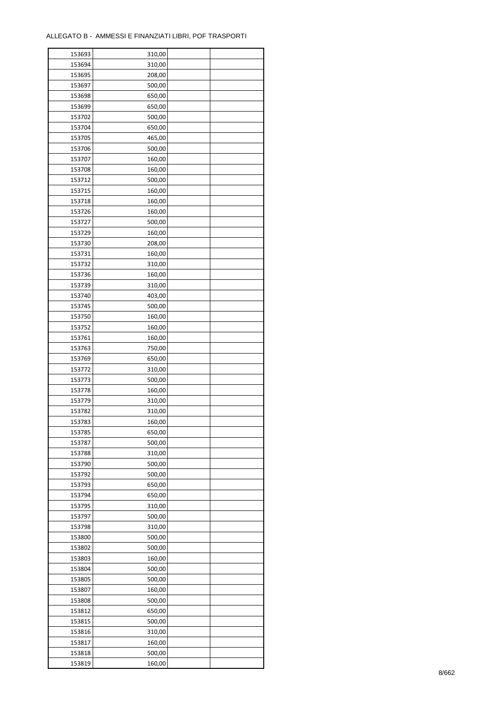| 153693 | 310,00 |  |
|--------|--------|--|
| 153694 | 310,00 |  |
| 153695 | 208,00 |  |
| 153697 | 500,00 |  |
| 153698 | 650,00 |  |
| 153699 | 650,00 |  |
| 153702 | 500,00 |  |
| 153704 | 650,00 |  |
| 153705 | 465,00 |  |
|        |        |  |
| 153706 | 500,00 |  |
| 153707 | 160,00 |  |
| 153708 | 160,00 |  |
| 153712 | 500,00 |  |
| 153715 | 160,00 |  |
| 153718 | 160,00 |  |
| 153726 | 160,00 |  |
| 153727 | 500,00 |  |
| 153729 | 160,00 |  |
| 153730 | 208,00 |  |
| 153731 | 160,00 |  |
| 153732 | 310,00 |  |
| 153736 | 160,00 |  |
| 153739 | 310,00 |  |
| 153740 | 403,00 |  |
| 153745 | 500,00 |  |
| 153750 | 160,00 |  |
| 153752 | 160,00 |  |
| 153761 | 160,00 |  |
| 153763 | 750,00 |  |
| 153769 | 650,00 |  |
|        |        |  |
| 153772 | 310,00 |  |
| 153773 | 500,00 |  |
| 153778 | 160,00 |  |
| 153779 | 310,00 |  |
| 153782 | 310,00 |  |
| 153783 | 160,00 |  |
| 153785 | 650,00 |  |
| 153787 | 500,00 |  |
| 153788 | 310,00 |  |
| 153790 | 500,00 |  |
| 153792 | 500,00 |  |
| 153793 | 650,00 |  |
| 153794 | 650,00 |  |
| 153795 | 310,00 |  |
| 153797 | 500,00 |  |
| 153798 | 310,00 |  |
| 153800 | 500,00 |  |
| 153802 | 500,00 |  |
| 153803 | 160,00 |  |
| 153804 | 500,00 |  |
| 153805 | 500,00 |  |
| 153807 | 160,00 |  |
|        |        |  |
| 153808 | 500,00 |  |
| 153812 | 650,00 |  |
| 153815 | 500,00 |  |
| 153816 | 310,00 |  |
| 153817 | 160,00 |  |
| 153818 | 500,00 |  |
| 153819 | 160,00 |  |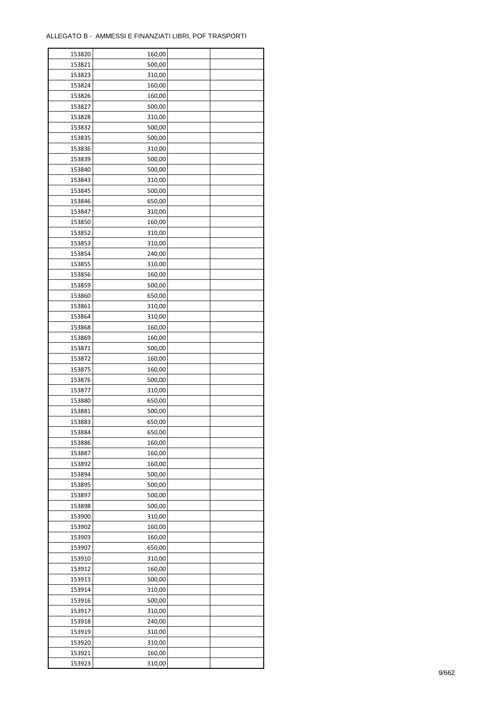| 153820 | 160,00 |  |
|--------|--------|--|
| 153821 | 500,00 |  |
| 153823 | 310,00 |  |
| 153824 | 160,00 |  |
| 153826 | 160,00 |  |
| 153827 | 500,00 |  |
| 153828 | 310,00 |  |
| 153832 | 500,00 |  |
| 153835 | 500,00 |  |
| 153836 | 310,00 |  |
| 153839 |        |  |
|        | 500,00 |  |
| 153840 | 500,00 |  |
| 153843 | 310,00 |  |
| 153845 | 500,00 |  |
| 153846 | 650,00 |  |
| 153847 | 310,00 |  |
| 153850 | 160,00 |  |
| 153852 | 310,00 |  |
| 153853 | 310,00 |  |
| 153854 | 240,00 |  |
| 153855 | 310,00 |  |
| 153856 | 160,00 |  |
| 153859 | 500,00 |  |
| 153860 | 650,00 |  |
| 153861 | 310,00 |  |
| 153864 | 310,00 |  |
| 153868 | 160,00 |  |
| 153869 | 160,00 |  |
| 153871 | 500,00 |  |
| 153872 | 160,00 |  |
| 153875 | 160,00 |  |
|        |        |  |
| 153876 | 500,00 |  |
| 153877 | 310,00 |  |
| 153880 | 650,00 |  |
| 153881 | 500,00 |  |
| 153883 | 650,00 |  |
| 153884 | 650,00 |  |
| 153886 | 160,00 |  |
| 153887 | 160,00 |  |
| 153892 | 160,00 |  |
| 153894 | 500,00 |  |
| 153895 | 500,00 |  |
| 153897 | 500,00 |  |
| 153898 | 500,00 |  |
| 153900 | 310,00 |  |
| 153902 | 160,00 |  |
| 153903 | 160,00 |  |
| 153907 | 650,00 |  |
| 153910 | 310,00 |  |
| 153912 | 160,00 |  |
| 153913 | 500,00 |  |
|        |        |  |
| 153914 | 310,00 |  |
| 153916 | 500,00 |  |
| 153917 | 310,00 |  |
| 153918 | 240,00 |  |
| 153919 | 310,00 |  |
| 153920 | 310,00 |  |
| 153921 | 160,00 |  |
| 153923 | 310,00 |  |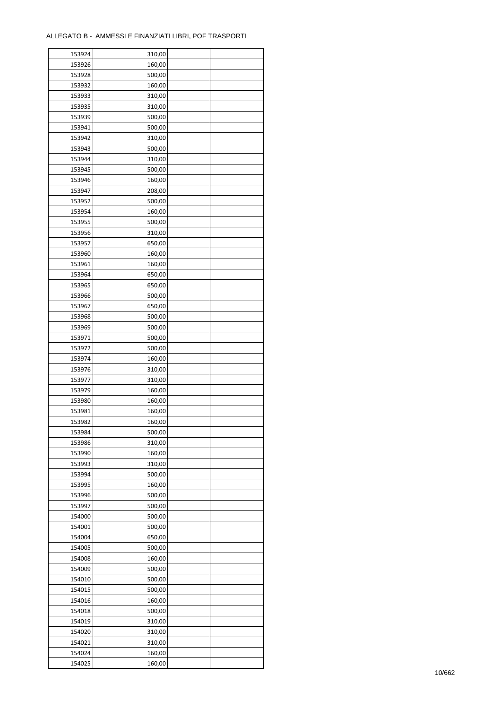| 153924 | 310,00 |  |
|--------|--------|--|
| 153926 | 160,00 |  |
| 153928 | 500,00 |  |
| 153932 | 160,00 |  |
| 153933 | 310,00 |  |
| 153935 | 310,00 |  |
| 153939 | 500,00 |  |
| 153941 | 500,00 |  |
| 153942 | 310,00 |  |
| 153943 | 500,00 |  |
| 153944 | 310,00 |  |
| 153945 | 500,00 |  |
|        |        |  |
| 153946 | 160,00 |  |
| 153947 | 208,00 |  |
| 153952 | 500,00 |  |
| 153954 | 160,00 |  |
| 153955 | 500,00 |  |
| 153956 | 310,00 |  |
| 153957 | 650,00 |  |
| 153960 | 160,00 |  |
| 153961 | 160,00 |  |
| 153964 | 650,00 |  |
| 153965 | 650,00 |  |
| 153966 | 500,00 |  |
| 153967 | 650,00 |  |
| 153968 | 500,00 |  |
| 153969 | 500,00 |  |
| 153971 | 500,00 |  |
| 153972 | 500,00 |  |
| 153974 | 160,00 |  |
| 153976 | 310,00 |  |
| 153977 | 310,00 |  |
| 153979 | 160,00 |  |
| 153980 | 160,00 |  |
| 153981 | 160,00 |  |
| 153982 | 160,00 |  |
| 153984 | 500,00 |  |
| 153986 | 310,00 |  |
| 153990 | 160,00 |  |
| 153993 | 310,00 |  |
| 153994 | 500,00 |  |
| 153995 | 160,00 |  |
| 153996 | 500,00 |  |
| 153997 | 500,00 |  |
|        |        |  |
| 154000 | 500,00 |  |
| 154001 | 500,00 |  |
| 154004 | 650,00 |  |
| 154005 | 500,00 |  |
| 154008 | 160,00 |  |
| 154009 | 500,00 |  |
| 154010 | 500,00 |  |
| 154015 | 500,00 |  |
| 154016 | 160,00 |  |
| 154018 | 500,00 |  |
| 154019 | 310,00 |  |
| 154020 | 310,00 |  |
| 154021 | 310,00 |  |
| 154024 | 160,00 |  |
| 154025 | 160,00 |  |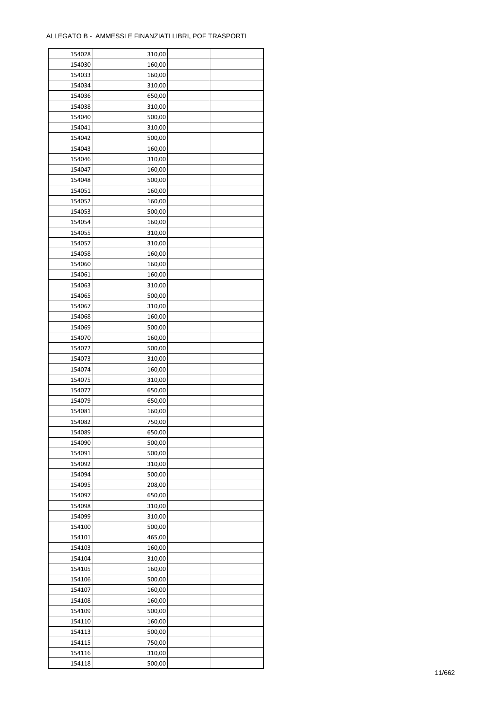| 154028 | 310,00 |  |
|--------|--------|--|
| 154030 | 160,00 |  |
| 154033 | 160,00 |  |
| 154034 | 310,00 |  |
| 154036 | 650,00 |  |
| 154038 | 310,00 |  |
| 154040 | 500,00 |  |
| 154041 | 310,00 |  |
| 154042 | 500,00 |  |
| 154043 | 160,00 |  |
| 154046 | 310,00 |  |
| 154047 |        |  |
|        | 160,00 |  |
| 154048 | 500,00 |  |
| 154051 | 160,00 |  |
| 154052 | 160,00 |  |
| 154053 | 500,00 |  |
| 154054 | 160,00 |  |
| 154055 | 310,00 |  |
| 154057 | 310,00 |  |
| 154058 | 160,00 |  |
| 154060 | 160,00 |  |
| 154061 | 160,00 |  |
| 154063 | 310,00 |  |
| 154065 | 500,00 |  |
| 154067 | 310,00 |  |
| 154068 | 160,00 |  |
| 154069 | 500,00 |  |
| 154070 | 160,00 |  |
| 154072 | 500,00 |  |
| 154073 | 310,00 |  |
| 154074 | 160,00 |  |
| 154075 | 310,00 |  |
| 154077 | 650,00 |  |
| 154079 | 650,00 |  |
| 154081 | 160,00 |  |
| 154082 | 750,00 |  |
| 154089 | 650,00 |  |
| 154090 | 500,00 |  |
| 154091 | 500,00 |  |
| 154092 | 310,00 |  |
|        |        |  |
| 154094 | 500,00 |  |
| 154095 | 208,00 |  |
| 154097 | 650,00 |  |
| 154098 | 310,00 |  |
| 154099 | 310,00 |  |
| 154100 | 500,00 |  |
| 154101 | 465,00 |  |
| 154103 | 160,00 |  |
| 154104 | 310,00 |  |
| 154105 | 160,00 |  |
| 154106 | 500,00 |  |
| 154107 | 160,00 |  |
| 154108 | 160,00 |  |
| 154109 | 500,00 |  |
| 154110 | 160,00 |  |
| 154113 | 500,00 |  |
| 154115 | 750,00 |  |
| 154116 | 310,00 |  |
| 154118 | 500,00 |  |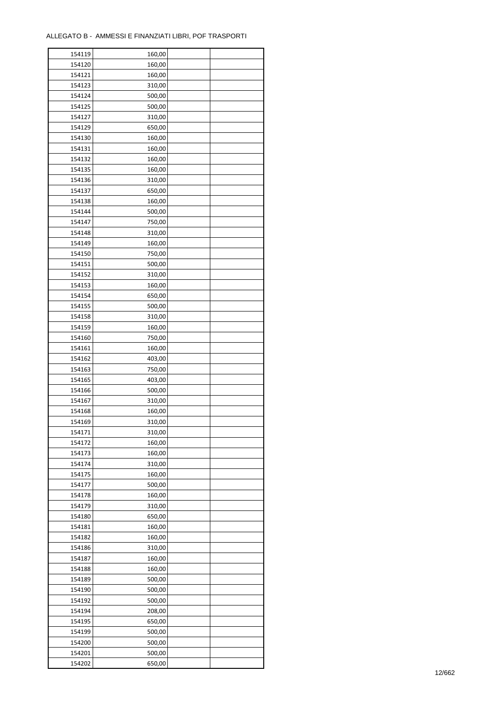| 154119 | 160,00 |  |
|--------|--------|--|
| 154120 | 160,00 |  |
| 154121 | 160,00 |  |
| 154123 | 310,00 |  |
| 154124 | 500,00 |  |
| 154125 | 500,00 |  |
| 154127 | 310,00 |  |
| 154129 | 650,00 |  |
| 154130 | 160,00 |  |
| 154131 | 160,00 |  |
| 154132 | 160,00 |  |
| 154135 | 160,00 |  |
| 154136 |        |  |
|        | 310,00 |  |
| 154137 | 650,00 |  |
| 154138 | 160,00 |  |
| 154144 | 500,00 |  |
| 154147 | 750,00 |  |
| 154148 | 310,00 |  |
| 154149 | 160,00 |  |
| 154150 | 750,00 |  |
| 154151 | 500,00 |  |
| 154152 | 310,00 |  |
| 154153 | 160,00 |  |
| 154154 | 650,00 |  |
| 154155 | 500,00 |  |
| 154158 | 310,00 |  |
| 154159 | 160,00 |  |
| 154160 | 750,00 |  |
| 154161 | 160,00 |  |
| 154162 | 403,00 |  |
| 154163 | 750,00 |  |
| 154165 | 403,00 |  |
| 154166 | 500,00 |  |
| 154167 | 310,00 |  |
| 154168 | 160,00 |  |
| 154169 | 310,00 |  |
| 154171 | 310,00 |  |
| 154172 | 160,00 |  |
| 154173 | 160,00 |  |
| 154174 | 310,00 |  |
| 154175 | 160,00 |  |
| 154177 | 500,00 |  |
| 154178 | 160,00 |  |
|        |        |  |
| 154179 | 310,00 |  |
| 154180 | 650,00 |  |
| 154181 | 160,00 |  |
| 154182 | 160,00 |  |
| 154186 | 310,00 |  |
| 154187 | 160,00 |  |
| 154188 | 160,00 |  |
| 154189 | 500,00 |  |
| 154190 | 500,00 |  |
| 154192 | 500,00 |  |
| 154194 | 208,00 |  |
| 154195 | 650,00 |  |
| 154199 | 500,00 |  |
| 154200 | 500,00 |  |
| 154201 | 500,00 |  |
| 154202 | 650,00 |  |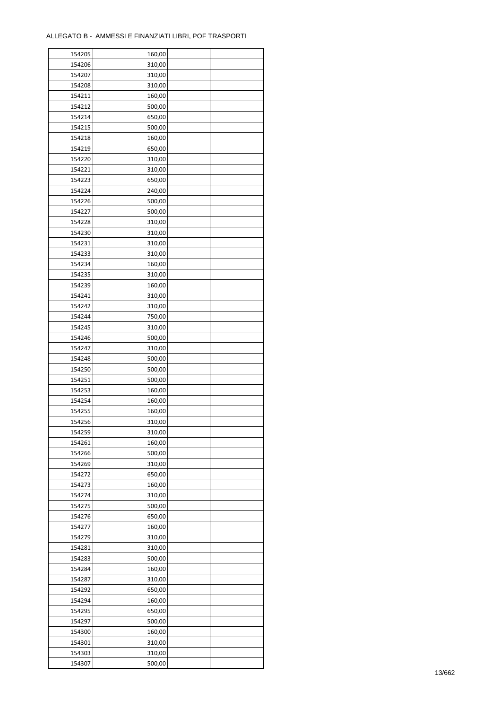| 154205 | 160,00 |  |
|--------|--------|--|
| 154206 | 310,00 |  |
| 154207 | 310,00 |  |
| 154208 | 310,00 |  |
| 154211 | 160,00 |  |
| 154212 | 500,00 |  |
| 154214 | 650,00 |  |
| 154215 | 500,00 |  |
| 154218 | 160,00 |  |
| 154219 | 650,00 |  |
| 154220 | 310,00 |  |
| 154221 |        |  |
|        | 310,00 |  |
| 154223 | 650,00 |  |
| 154224 | 240,00 |  |
| 154226 | 500,00 |  |
| 154227 | 500,00 |  |
| 154228 | 310,00 |  |
| 154230 | 310,00 |  |
| 154231 | 310,00 |  |
| 154233 | 310,00 |  |
| 154234 | 160,00 |  |
| 154235 | 310,00 |  |
| 154239 | 160,00 |  |
| 154241 | 310,00 |  |
| 154242 | 310,00 |  |
| 154244 | 750,00 |  |
| 154245 | 310,00 |  |
| 154246 | 500,00 |  |
| 154247 | 310,00 |  |
| 154248 | 500,00 |  |
| 154250 | 500,00 |  |
| 154251 | 500,00 |  |
| 154253 | 160,00 |  |
| 154254 | 160,00 |  |
| 154255 | 160,00 |  |
| 154256 | 310,00 |  |
| 154259 | 310,00 |  |
| 154261 | 160,00 |  |
| 154266 | 500,00 |  |
| 154269 | 310,00 |  |
|        |        |  |
| 154272 | 650,00 |  |
| 154273 | 160,00 |  |
| 154274 | 310,00 |  |
| 154275 | 500,00 |  |
| 154276 | 650,00 |  |
| 154277 | 160,00 |  |
| 154279 | 310,00 |  |
| 154281 | 310,00 |  |
| 154283 | 500,00 |  |
| 154284 | 160,00 |  |
| 154287 | 310,00 |  |
| 154292 | 650,00 |  |
| 154294 | 160,00 |  |
| 154295 | 650,00 |  |
| 154297 | 500,00 |  |
| 154300 | 160,00 |  |
| 154301 | 310,00 |  |
| 154303 | 310,00 |  |
| 154307 | 500,00 |  |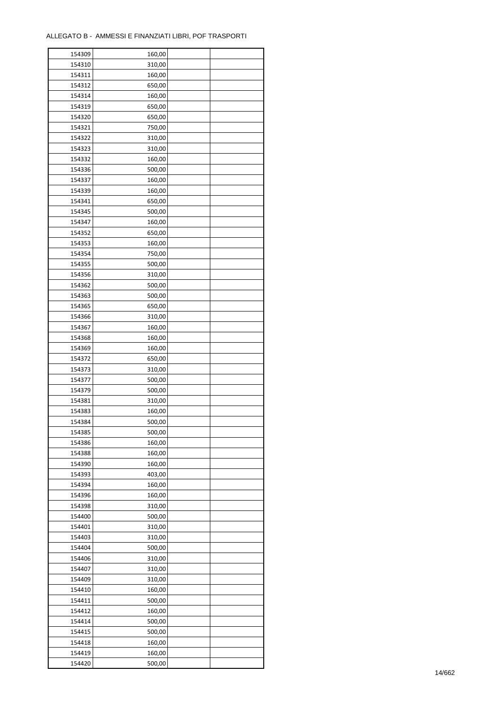| 154309 | 160,00 |  |
|--------|--------|--|
| 154310 | 310,00 |  |
| 154311 | 160,00 |  |
| 154312 | 650,00 |  |
| 154314 | 160,00 |  |
| 154319 | 650,00 |  |
| 154320 | 650,00 |  |
| 154321 | 750,00 |  |
| 154322 | 310,00 |  |
| 154323 | 310,00 |  |
|        |        |  |
| 154332 | 160,00 |  |
| 154336 | 500,00 |  |
| 154337 | 160,00 |  |
| 154339 | 160,00 |  |
| 154341 | 650,00 |  |
| 154345 | 500,00 |  |
| 154347 | 160,00 |  |
| 154352 | 650,00 |  |
| 154353 | 160,00 |  |
| 154354 | 750,00 |  |
| 154355 | 500,00 |  |
| 154356 | 310,00 |  |
| 154362 | 500,00 |  |
| 154363 | 500,00 |  |
| 154365 | 650,00 |  |
| 154366 | 310,00 |  |
| 154367 | 160,00 |  |
| 154368 | 160,00 |  |
| 154369 | 160,00 |  |
|        |        |  |
| 154372 | 650,00 |  |
| 154373 | 310,00 |  |
| 154377 | 500,00 |  |
| 154379 | 500,00 |  |
| 154381 | 310,00 |  |
| 154383 | 160,00 |  |
| 154384 | 500,00 |  |
| 154385 | 500,00 |  |
| 154386 | 160,00 |  |
| 154388 | 160,00 |  |
| 154390 | 160,00 |  |
| 154393 | 403,00 |  |
| 154394 | 160,00 |  |
| 154396 | 160,00 |  |
| 154398 | 310,00 |  |
| 154400 | 500,00 |  |
| 154401 | 310,00 |  |
| 154403 | 310,00 |  |
| 154404 | 500,00 |  |
| 154406 |        |  |
|        | 310,00 |  |
| 154407 | 310,00 |  |
| 154409 | 310,00 |  |
| 154410 | 160,00 |  |
| 154411 | 500,00 |  |
| 154412 | 160,00 |  |
| 154414 | 500,00 |  |
| 154415 | 500,00 |  |
| 154418 | 160,00 |  |
| 154419 | 160,00 |  |
| 154420 | 500,00 |  |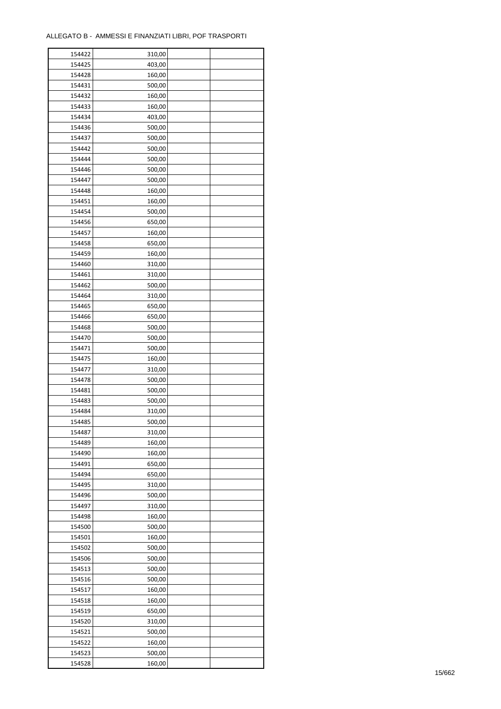| 154422 | 310,00 |  |
|--------|--------|--|
| 154425 | 403,00 |  |
| 154428 | 160,00 |  |
| 154431 | 500,00 |  |
| 154432 | 160,00 |  |
| 154433 | 160,00 |  |
| 154434 | 403,00 |  |
| 154436 | 500,00 |  |
|        |        |  |
| 154437 | 500,00 |  |
| 154442 | 500,00 |  |
| 154444 | 500,00 |  |
| 154446 | 500,00 |  |
| 154447 | 500,00 |  |
| 154448 | 160,00 |  |
| 154451 | 160,00 |  |
| 154454 | 500,00 |  |
| 154456 | 650,00 |  |
| 154457 | 160,00 |  |
| 154458 | 650,00 |  |
| 154459 | 160,00 |  |
| 154460 | 310,00 |  |
| 154461 | 310,00 |  |
| 154462 | 500,00 |  |
| 154464 | 310,00 |  |
| 154465 | 650,00 |  |
| 154466 | 650,00 |  |
| 154468 | 500,00 |  |
| 154470 | 500,00 |  |
| 154471 | 500,00 |  |
| 154475 | 160,00 |  |
|        |        |  |
| 154477 | 310,00 |  |
| 154478 | 500,00 |  |
| 154481 | 500,00 |  |
| 154483 | 500,00 |  |
| 154484 | 310,00 |  |
| 154485 | 500,00 |  |
| 154487 | 310,00 |  |
| 154489 | 160,00 |  |
| 154490 | 160,00 |  |
| 154491 | 650,00 |  |
| 154494 | 650,00 |  |
| 154495 | 310,00 |  |
| 154496 | 500,00 |  |
| 154497 | 310,00 |  |
| 154498 | 160,00 |  |
| 154500 | 500,00 |  |
| 154501 | 160,00 |  |
| 154502 | 500,00 |  |
| 154506 | 500,00 |  |
| 154513 | 500,00 |  |
| 154516 | 500,00 |  |
| 154517 | 160,00 |  |
| 154518 | 160,00 |  |
|        |        |  |
| 154519 | 650,00 |  |
| 154520 | 310,00 |  |
| 154521 | 500,00 |  |
| 154522 | 160,00 |  |
| 154523 | 500,00 |  |
| 154528 | 160,00 |  |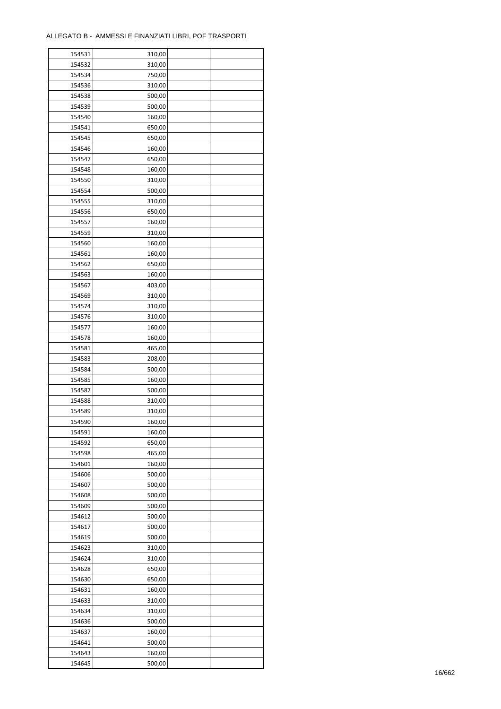÷

| 154531 | 310,00 |  |
|--------|--------|--|
| 154532 | 310,00 |  |
| 154534 | 750,00 |  |
| 154536 | 310,00 |  |
| 154538 | 500,00 |  |
| 154539 | 500,00 |  |
| 154540 | 160,00 |  |
| 154541 | 650,00 |  |
| 154545 | 650,00 |  |
| 154546 | 160,00 |  |
| 154547 | 650,00 |  |
| 154548 | 160,00 |  |
| 154550 | 310,00 |  |
| 154554 | 500,00 |  |
| 154555 | 310,00 |  |
| 154556 | 650,00 |  |
| 154557 | 160,00 |  |
|        |        |  |
| 154559 | 310,00 |  |
| 154560 | 160,00 |  |
| 154561 | 160,00 |  |
| 154562 | 650,00 |  |
| 154563 | 160,00 |  |
| 154567 | 403,00 |  |
| 154569 | 310,00 |  |
| 154574 | 310,00 |  |
| 154576 | 310,00 |  |
| 154577 | 160,00 |  |
| 154578 | 160,00 |  |
| 154581 | 465,00 |  |
| 154583 | 208,00 |  |
| 154584 | 500,00 |  |
| 154585 | 160,00 |  |
| 154587 | 500,00 |  |
| 154588 | 310,00 |  |
| 154589 | 310,00 |  |
| 154590 | 160,00 |  |
| 154591 | 160,00 |  |
| 154592 | 650,00 |  |
| 154598 | 465,00 |  |
| 154601 | 160,00 |  |
| 154606 | 500,00 |  |
| 154607 | 500,00 |  |
| 154608 | 500,00 |  |
| 154609 | 500,00 |  |
| 154612 | 500,00 |  |
| 154617 | 500,00 |  |
| 154619 | 500,00 |  |
| 154623 | 310,00 |  |
| 154624 | 310,00 |  |
| 154628 | 650,00 |  |
| 154630 | 650,00 |  |
| 154631 | 160,00 |  |
| 154633 | 310,00 |  |
| 154634 | 310,00 |  |
| 154636 | 500,00 |  |
| 154637 | 160,00 |  |
| 154641 | 500,00 |  |
| 154643 | 160,00 |  |
| 154645 | 500,00 |  |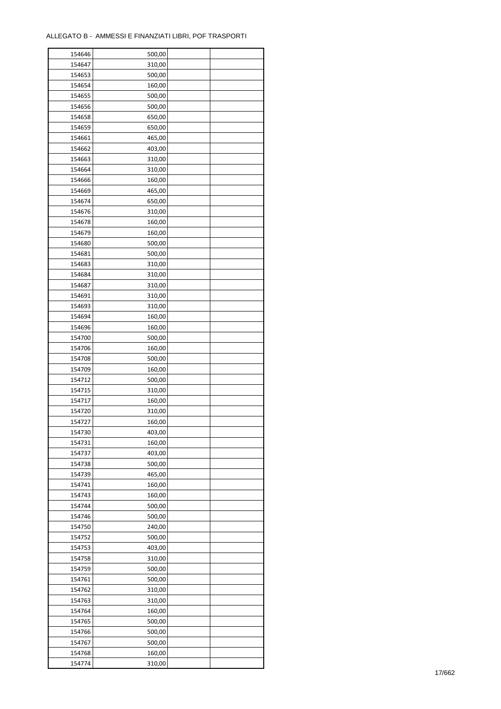| 154646 | 500,00 |  |
|--------|--------|--|
| 154647 | 310,00 |  |
| 154653 | 500,00 |  |
| 154654 | 160,00 |  |
| 154655 | 500,00 |  |
| 154656 | 500,00 |  |
| 154658 | 650,00 |  |
|        |        |  |
| 154659 | 650,00 |  |
| 154661 | 465,00 |  |
| 154662 | 403,00 |  |
| 154663 | 310,00 |  |
| 154664 | 310,00 |  |
| 154666 | 160,00 |  |
| 154669 | 465,00 |  |
| 154674 | 650,00 |  |
| 154676 | 310,00 |  |
| 154678 | 160,00 |  |
| 154679 | 160,00 |  |
| 154680 | 500,00 |  |
| 154681 | 500,00 |  |
| 154683 | 310,00 |  |
| 154684 | 310,00 |  |
| 154687 | 310,00 |  |
|        |        |  |
| 154691 | 310,00 |  |
| 154693 | 310,00 |  |
| 154694 | 160,00 |  |
| 154696 | 160,00 |  |
| 154700 | 500,00 |  |
| 154706 | 160,00 |  |
| 154708 | 500,00 |  |
| 154709 | 160,00 |  |
| 154712 | 500,00 |  |
| 154715 | 310,00 |  |
| 154717 | 160,00 |  |
| 154720 | 310,00 |  |
| 154727 | 160,00 |  |
| 154730 | 403,00 |  |
| 154731 | 160,00 |  |
|        |        |  |
| 154737 | 403,00 |  |
| 154738 | 500,00 |  |
| 154739 | 465,00 |  |
| 154741 | 160,00 |  |
| 154743 | 160,00 |  |
| 154744 | 500,00 |  |
| 154746 | 500,00 |  |
| 154750 | 240,00 |  |
| 154752 | 500,00 |  |
| 154753 | 403,00 |  |
| 154758 | 310,00 |  |
| 154759 | 500,00 |  |
| 154761 | 500,00 |  |
| 154762 | 310,00 |  |
| 154763 | 310,00 |  |
| 154764 | 160,00 |  |
|        |        |  |
| 154765 | 500,00 |  |
| 154766 | 500,00 |  |
| 154767 | 500,00 |  |
| 154768 | 160,00 |  |
| 154774 | 310,00 |  |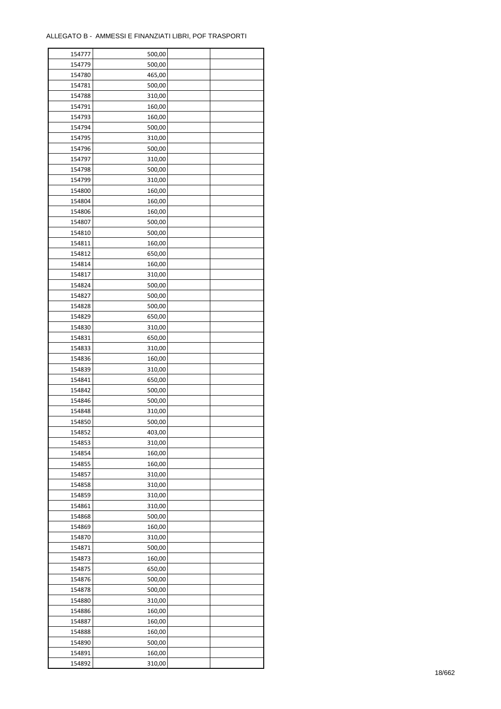| 154777 | 500,00 |  |
|--------|--------|--|
| 154779 | 500,00 |  |
| 154780 | 465,00 |  |
| 154781 | 500,00 |  |
| 154788 | 310,00 |  |
| 154791 | 160,00 |  |
| 154793 | 160,00 |  |
| 154794 | 500,00 |  |
|        | 310,00 |  |
| 154795 |        |  |
| 154796 | 500,00 |  |
| 154797 | 310,00 |  |
| 154798 | 500,00 |  |
| 154799 | 310,00 |  |
| 154800 | 160,00 |  |
| 154804 | 160,00 |  |
| 154806 | 160,00 |  |
| 154807 | 500,00 |  |
| 154810 | 500,00 |  |
| 154811 | 160,00 |  |
| 154812 | 650,00 |  |
| 154814 | 160,00 |  |
| 154817 | 310,00 |  |
| 154824 | 500,00 |  |
| 154827 | 500,00 |  |
| 154828 | 500,00 |  |
| 154829 | 650,00 |  |
| 154830 | 310,00 |  |
| 154831 | 650,00 |  |
| 154833 | 310,00 |  |
|        |        |  |
| 154836 | 160,00 |  |
| 154839 | 310,00 |  |
| 154841 | 650,00 |  |
| 154842 | 500,00 |  |
| 154846 | 500,00 |  |
| 154848 | 310,00 |  |
| 154850 | 500,00 |  |
| 154852 | 403,00 |  |
| 154853 | 310,00 |  |
| 154854 | 160,00 |  |
| 154855 | 160,00 |  |
| 154857 | 310,00 |  |
| 154858 | 310,00 |  |
| 154859 | 310,00 |  |
| 154861 | 310,00 |  |
| 154868 | 500,00 |  |
| 154869 | 160,00 |  |
| 154870 | 310,00 |  |
| 154871 | 500,00 |  |
| 154873 | 160,00 |  |
| 154875 | 650,00 |  |
|        |        |  |
| 154876 | 500,00 |  |
| 154878 | 500,00 |  |
| 154880 | 310,00 |  |
| 154886 | 160,00 |  |
| 154887 | 160,00 |  |
| 154888 | 160,00 |  |
| 154890 | 500,00 |  |
| 154891 | 160,00 |  |
| 154892 | 310,00 |  |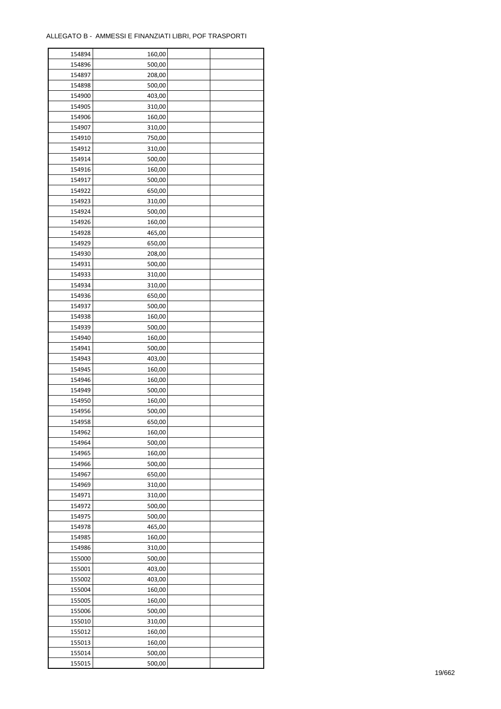| 154894 | 160,00 |  |
|--------|--------|--|
| 154896 | 500,00 |  |
| 154897 | 208,00 |  |
| 154898 | 500,00 |  |
| 154900 | 403,00 |  |
| 154905 | 310,00 |  |
| 154906 | 160,00 |  |
| 154907 | 310,00 |  |
| 154910 | 750,00 |  |
| 154912 | 310,00 |  |
| 154914 | 500,00 |  |
| 154916 | 160,00 |  |
| 154917 | 500,00 |  |
| 154922 | 650,00 |  |
|        |        |  |
| 154923 | 310,00 |  |
| 154924 | 500,00 |  |
| 154926 | 160,00 |  |
| 154928 | 465,00 |  |
| 154929 | 650,00 |  |
| 154930 | 208,00 |  |
| 154931 | 500,00 |  |
| 154933 | 310,00 |  |
| 154934 | 310,00 |  |
| 154936 | 650,00 |  |
| 154937 | 500,00 |  |
| 154938 | 160,00 |  |
| 154939 | 500,00 |  |
| 154940 | 160,00 |  |
| 154941 | 500,00 |  |
| 154943 | 403,00 |  |
| 154945 | 160,00 |  |
| 154946 | 160,00 |  |
| 154949 | 500,00 |  |
| 154950 | 160,00 |  |
| 154956 | 500,00 |  |
| 154958 | 650,00 |  |
| 154962 | 160,00 |  |
| 154964 | 500,00 |  |
| 154965 | 160,00 |  |
|        |        |  |
| 154966 | 500,00 |  |
| 154967 | 650,00 |  |
| 154969 | 310,00 |  |
| 154971 | 310,00 |  |
| 154972 | 500,00 |  |
| 154975 | 500,00 |  |
| 154978 | 465,00 |  |
| 154985 | 160,00 |  |
| 154986 | 310,00 |  |
| 155000 | 500,00 |  |
| 155001 | 403,00 |  |
| 155002 | 403,00 |  |
| 155004 | 160,00 |  |
| 155005 | 160,00 |  |
| 155006 | 500,00 |  |
| 155010 | 310,00 |  |
| 155012 | 160,00 |  |
| 155013 | 160,00 |  |
| 155014 | 500,00 |  |
| 155015 | 500,00 |  |
|        |        |  |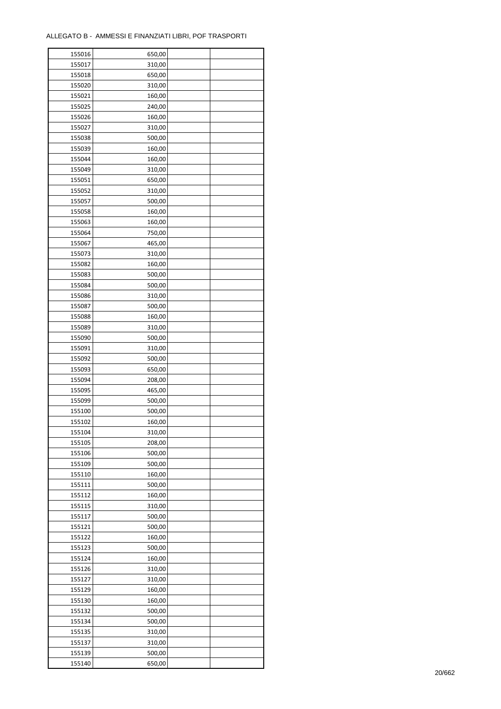| 155016 | 650,00 |  |
|--------|--------|--|
| 155017 | 310,00 |  |
| 155018 | 650,00 |  |
| 155020 | 310,00 |  |
| 155021 | 160,00 |  |
| 155025 | 240,00 |  |
| 155026 | 160,00 |  |
| 155027 | 310,00 |  |
| 155038 | 500,00 |  |
| 155039 |        |  |
|        | 160,00 |  |
| 155044 | 160,00 |  |
| 155049 | 310,00 |  |
| 155051 | 650,00 |  |
| 155052 | 310,00 |  |
| 155057 | 500,00 |  |
| 155058 | 160,00 |  |
| 155063 | 160,00 |  |
| 155064 | 750,00 |  |
| 155067 | 465,00 |  |
| 155073 | 310,00 |  |
| 155082 | 160,00 |  |
| 155083 | 500,00 |  |
| 155084 | 500,00 |  |
| 155086 | 310,00 |  |
| 155087 | 500,00 |  |
| 155088 | 160,00 |  |
| 155089 | 310,00 |  |
| 155090 | 500,00 |  |
| 155091 | 310,00 |  |
| 155092 | 500,00 |  |
| 155093 | 650,00 |  |
|        |        |  |
| 155094 | 208,00 |  |
| 155095 | 465,00 |  |
| 155099 | 500,00 |  |
| 155100 | 500,00 |  |
| 155102 | 160,00 |  |
| 155104 | 310,00 |  |
| 155105 | 208,00 |  |
| 155106 | 500,00 |  |
| 155109 | 500,00 |  |
| 155110 | 160,00 |  |
| 155111 | 500,00 |  |
| 155112 | 160,00 |  |
| 155115 | 310,00 |  |
| 155117 | 500,00 |  |
| 155121 | 500,00 |  |
| 155122 | 160,00 |  |
| 155123 | 500,00 |  |
| 155124 | 160,00 |  |
| 155126 | 310,00 |  |
| 155127 | 310,00 |  |
| 155129 | 160,00 |  |
| 155130 | 160,00 |  |
|        |        |  |
| 155132 | 500,00 |  |
| 155134 | 500,00 |  |
| 155135 | 310,00 |  |
| 155137 | 310,00 |  |
| 155139 | 500,00 |  |
| 155140 | 650,00 |  |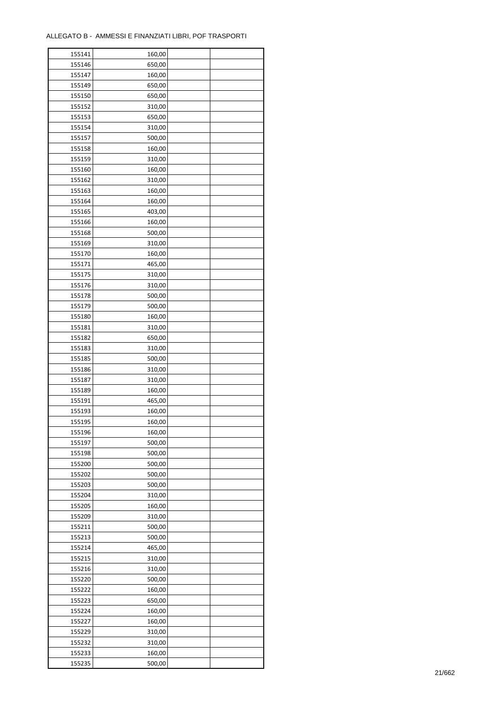| 155141 | 160,00 |  |
|--------|--------|--|
| 155146 | 650,00 |  |
| 155147 | 160,00 |  |
| 155149 | 650,00 |  |
| 155150 | 650,00 |  |
| 155152 | 310,00 |  |
| 155153 | 650,00 |  |
| 155154 | 310,00 |  |
| 155157 | 500,00 |  |
|        |        |  |
| 155158 | 160,00 |  |
| 155159 | 310,00 |  |
| 155160 | 160,00 |  |
| 155162 | 310,00 |  |
| 155163 | 160,00 |  |
| 155164 | 160,00 |  |
| 155165 | 403,00 |  |
| 155166 | 160,00 |  |
| 155168 | 500,00 |  |
| 155169 | 310,00 |  |
| 155170 | 160,00 |  |
| 155171 | 465,00 |  |
| 155175 | 310,00 |  |
| 155176 | 310,00 |  |
| 155178 | 500,00 |  |
| 155179 | 500,00 |  |
| 155180 | 160,00 |  |
| 155181 | 310,00 |  |
| 155182 | 650,00 |  |
| 155183 | 310,00 |  |
| 155185 | 500,00 |  |
| 155186 | 310,00 |  |
|        |        |  |
| 155187 | 310,00 |  |
| 155189 | 160,00 |  |
| 155191 | 465,00 |  |
| 155193 | 160,00 |  |
| 155195 | 160,00 |  |
| 155196 | 160,00 |  |
| 155197 | 500,00 |  |
| 155198 | 500,00 |  |
| 155200 | 500,00 |  |
| 155202 | 500,00 |  |
| 155203 | 500,00 |  |
| 155204 | 310,00 |  |
| 155205 | 160,00 |  |
| 155209 | 310,00 |  |
| 155211 | 500,00 |  |
| 155213 | 500,00 |  |
| 155214 | 465,00 |  |
| 155215 | 310,00 |  |
| 155216 | 310,00 |  |
| 155220 | 500,00 |  |
| 155222 | 160,00 |  |
| 155223 | 650,00 |  |
| 155224 | 160,00 |  |
|        |        |  |
| 155227 | 160,00 |  |
| 155229 | 310,00 |  |
| 155232 | 310,00 |  |
| 155233 | 160,00 |  |
| 155235 | 500,00 |  |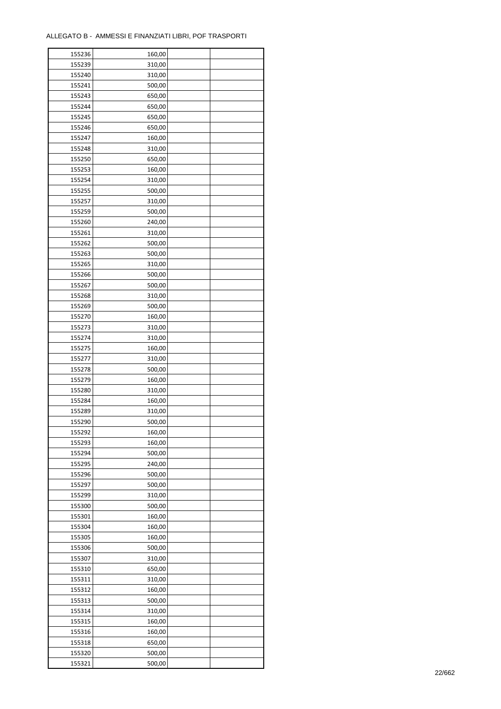| 155236 | 160,00 |  |
|--------|--------|--|
| 155239 | 310,00 |  |
| 155240 | 310,00 |  |
| 155241 | 500,00 |  |
| 155243 | 650,00 |  |
| 155244 | 650,00 |  |
| 155245 | 650,00 |  |
| 155246 | 650,00 |  |
| 155247 | 160,00 |  |
| 155248 | 310,00 |  |
| 155250 | 650,00 |  |
| 155253 | 160,00 |  |
| 155254 | 310,00 |  |
|        |        |  |
| 155255 | 500,00 |  |
| 155257 | 310,00 |  |
| 155259 | 500,00 |  |
| 155260 | 240,00 |  |
| 155261 | 310,00 |  |
| 155262 | 500,00 |  |
| 155263 | 500,00 |  |
| 155265 | 310,00 |  |
| 155266 | 500,00 |  |
| 155267 | 500,00 |  |
| 155268 | 310,00 |  |
| 155269 | 500,00 |  |
| 155270 | 160,00 |  |
| 155273 | 310,00 |  |
| 155274 | 310,00 |  |
| 155275 | 160,00 |  |
| 155277 | 310,00 |  |
| 155278 | 500,00 |  |
| 155279 | 160,00 |  |
| 155280 | 310,00 |  |
| 155284 | 160,00 |  |
| 155289 | 310,00 |  |
| 155290 | 500,00 |  |
| 155292 | 160,00 |  |
| 155293 | 160,00 |  |
| 155294 | 500,00 |  |
| 155295 | 240,00 |  |
| 155296 | 500,00 |  |
| 155297 | 500,00 |  |
| 155299 | 310,00 |  |
| 155300 | 500,00 |  |
| 155301 | 160,00 |  |
| 155304 | 160,00 |  |
| 155305 | 160,00 |  |
| 155306 | 500,00 |  |
| 155307 | 310,00 |  |
| 155310 | 650,00 |  |
| 155311 | 310,00 |  |
| 155312 | 160,00 |  |
| 155313 | 500,00 |  |
| 155314 | 310,00 |  |
| 155315 | 160,00 |  |
| 155316 | 160,00 |  |
| 155318 | 650,00 |  |
| 155320 | 500,00 |  |
| 155321 | 500,00 |  |
|        |        |  |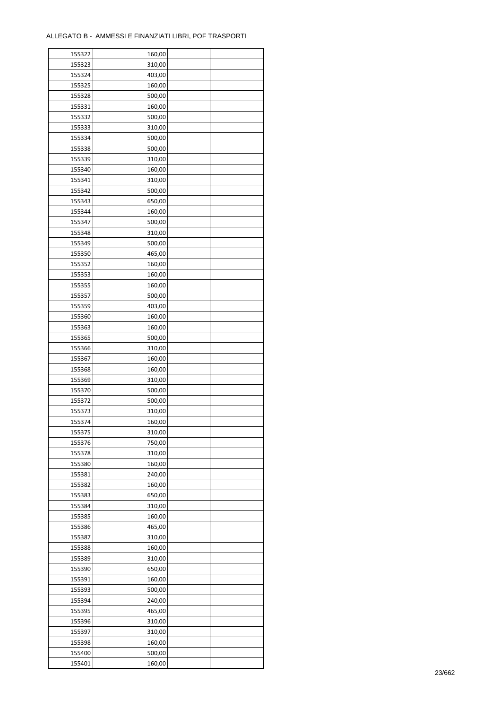| 155322 | 160,00 |  |
|--------|--------|--|
| 155323 | 310,00 |  |
| 155324 | 403,00 |  |
| 155325 | 160,00 |  |
| 155328 | 500,00 |  |
| 155331 | 160,00 |  |
| 155332 | 500,00 |  |
| 155333 | 310,00 |  |
| 155334 | 500,00 |  |
| 155338 | 500,00 |  |
|        |        |  |
| 155339 | 310,00 |  |
| 155340 | 160,00 |  |
| 155341 | 310,00 |  |
| 155342 | 500,00 |  |
| 155343 | 650,00 |  |
| 155344 | 160,00 |  |
| 155347 | 500,00 |  |
| 155348 | 310,00 |  |
| 155349 | 500,00 |  |
| 155350 | 465,00 |  |
| 155352 | 160,00 |  |
| 155353 | 160,00 |  |
| 155355 | 160,00 |  |
| 155357 | 500,00 |  |
| 155359 | 403,00 |  |
| 155360 | 160,00 |  |
| 155363 | 160,00 |  |
| 155365 | 500,00 |  |
| 155366 | 310,00 |  |
| 155367 | 160,00 |  |
| 155368 | 160,00 |  |
|        |        |  |
| 155369 | 310,00 |  |
| 155370 | 500,00 |  |
| 155372 | 500,00 |  |
| 155373 | 310,00 |  |
| 155374 | 160,00 |  |
| 155375 | 310,00 |  |
| 155376 | 750,00 |  |
| 155378 | 310,00 |  |
| 155380 | 160,00 |  |
| 155381 | 240,00 |  |
| 155382 | 160,00 |  |
| 155383 | 650,00 |  |
| 155384 | 310,00 |  |
| 155385 | 160,00 |  |
| 155386 | 465,00 |  |
| 155387 | 310,00 |  |
| 155388 | 160,00 |  |
| 155389 | 310,00 |  |
| 155390 | 650,00 |  |
| 155391 | 160,00 |  |
| 155393 | 500,00 |  |
| 155394 | 240,00 |  |
| 155395 | 465,00 |  |
| 155396 | 310,00 |  |
|        |        |  |
| 155397 | 310,00 |  |
| 155398 | 160,00 |  |
| 155400 | 500,00 |  |
| 155401 | 160,00 |  |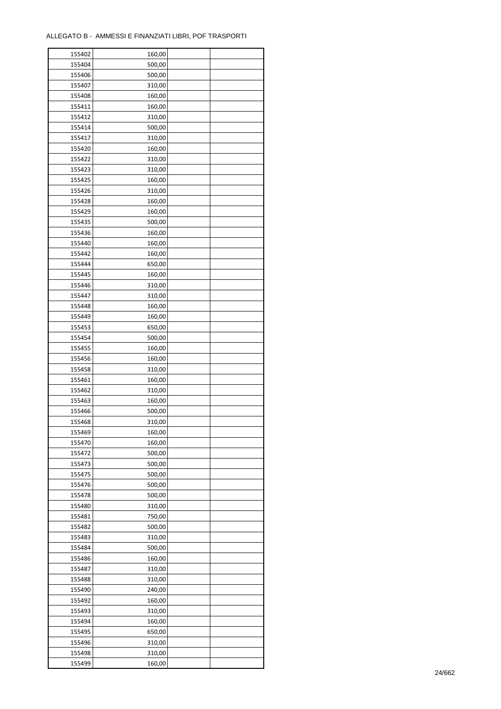| 155402 | 160,00 |  |
|--------|--------|--|
| 155404 | 500,00 |  |
| 155406 | 500,00 |  |
| 155407 | 310,00 |  |
| 155408 | 160,00 |  |
| 155411 | 160,00 |  |
| 155412 | 310,00 |  |
| 155414 | 500,00 |  |
| 155417 | 310,00 |  |
| 155420 | 160,00 |  |
| 155422 | 310,00 |  |
| 155423 | 310,00 |  |
|        |        |  |
| 155425 | 160,00 |  |
| 155426 | 310,00 |  |
| 155428 | 160,00 |  |
| 155429 | 160,00 |  |
| 155435 | 500,00 |  |
| 155436 | 160,00 |  |
| 155440 | 160,00 |  |
| 155442 | 160,00 |  |
| 155444 | 650,00 |  |
| 155445 | 160,00 |  |
| 155446 | 310,00 |  |
| 155447 | 310,00 |  |
| 155448 | 160,00 |  |
| 155449 | 160,00 |  |
| 155453 | 650,00 |  |
| 155454 | 500,00 |  |
| 155455 | 160,00 |  |
| 155456 | 160,00 |  |
| 155458 | 310,00 |  |
| 155461 | 160,00 |  |
| 155462 | 310,00 |  |
| 155463 | 160,00 |  |
| 155466 | 500,00 |  |
| 155468 | 310,00 |  |
|        |        |  |
| 155469 | 160,00 |  |
| 155470 | 160,00 |  |
| 155472 | 500,00 |  |
| 155473 | 500,00 |  |
| 155475 | 500,00 |  |
| 155476 | 500,00 |  |
| 155478 | 500,00 |  |
| 155480 | 310,00 |  |
| 155481 | 750,00 |  |
| 155482 | 500,00 |  |
| 155483 | 310,00 |  |
| 155484 | 500,00 |  |
| 155486 | 160,00 |  |
| 155487 | 310,00 |  |
| 155488 | 310,00 |  |
| 155490 | 240,00 |  |
| 155492 | 160,00 |  |
| 155493 | 310,00 |  |
| 155494 | 160,00 |  |
| 155495 | 650,00 |  |
| 155496 | 310,00 |  |
| 155498 | 310,00 |  |
|        |        |  |
| 155499 | 160,00 |  |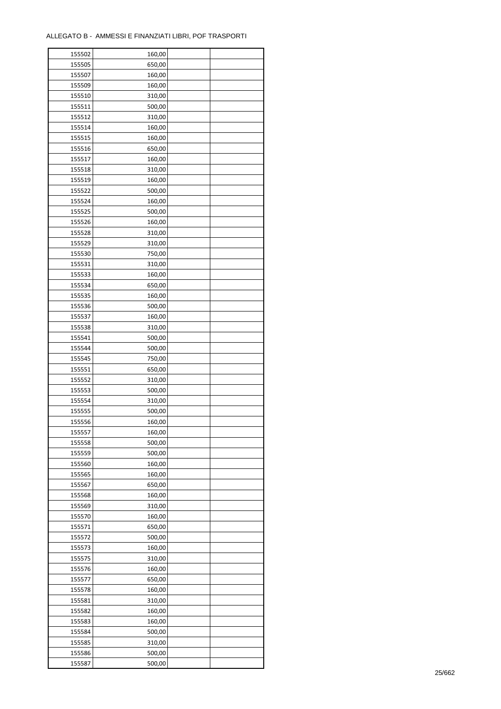| 155502 | 160,00 |  |
|--------|--------|--|
| 155505 | 650,00 |  |
| 155507 | 160,00 |  |
| 155509 | 160,00 |  |
| 155510 | 310,00 |  |
| 155511 | 500,00 |  |
| 155512 | 310,00 |  |
| 155514 | 160,00 |  |
| 155515 | 160,00 |  |
| 155516 | 650,00 |  |
| 155517 | 160,00 |  |
| 155518 | 310,00 |  |
| 155519 | 160,00 |  |
| 155522 | 500,00 |  |
| 155524 |        |  |
|        | 160,00 |  |
| 155525 | 500,00 |  |
| 155526 | 160,00 |  |
| 155528 | 310,00 |  |
| 155529 | 310,00 |  |
| 155530 | 750,00 |  |
| 155531 | 310,00 |  |
| 155533 | 160,00 |  |
| 155534 | 650,00 |  |
| 155535 | 160,00 |  |
| 155536 | 500,00 |  |
| 155537 | 160,00 |  |
| 155538 | 310,00 |  |
| 155541 | 500,00 |  |
| 155544 | 500,00 |  |
| 155545 | 750,00 |  |
| 155551 | 650,00 |  |
| 155552 | 310,00 |  |
| 155553 | 500,00 |  |
| 155554 | 310,00 |  |
| 155555 | 500,00 |  |
| 155556 | 160,00 |  |
| 155557 | 160,00 |  |
| 155558 | 500,00 |  |
| 155559 | 500,00 |  |
| 155560 | 160,00 |  |
| 155565 | 160,00 |  |
| 155567 | 650,00 |  |
| 155568 | 160,00 |  |
| 155569 | 310,00 |  |
| 155570 | 160,00 |  |
| 155571 | 650,00 |  |
| 155572 | 500,00 |  |
| 155573 | 160,00 |  |
|        |        |  |
| 155575 | 310,00 |  |
| 155576 | 160,00 |  |
| 155577 | 650,00 |  |
| 155578 | 160,00 |  |
| 155581 | 310,00 |  |
| 155582 | 160,00 |  |
| 155583 | 160,00 |  |
| 155584 | 500,00 |  |
| 155585 | 310,00 |  |
| 155586 | 500,00 |  |
| 155587 | 500,00 |  |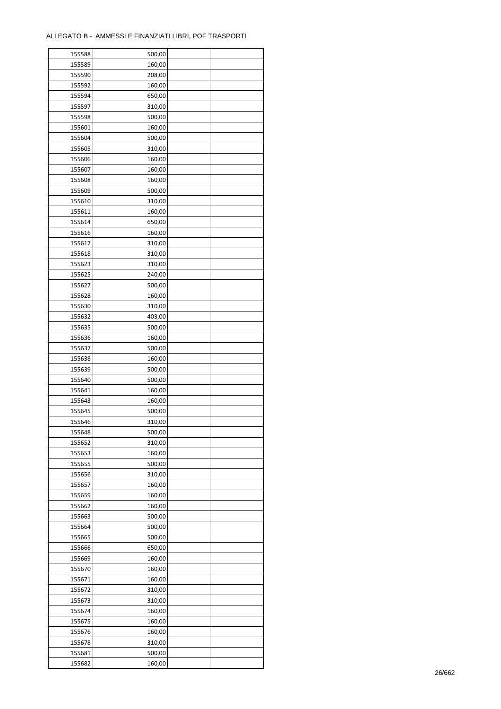| 155588 | 500,00 |  |
|--------|--------|--|
| 155589 | 160,00 |  |
| 155590 | 208,00 |  |
| 155592 | 160,00 |  |
| 155594 | 650,00 |  |
| 155597 | 310,00 |  |
| 155598 | 500,00 |  |
| 155601 | 160,00 |  |
| 155604 | 500,00 |  |
| 155605 | 310,00 |  |
| 155606 | 160,00 |  |
| 155607 | 160,00 |  |
| 155608 | 160,00 |  |
| 155609 | 500,00 |  |
|        |        |  |
| 155610 | 310,00 |  |
| 155611 | 160,00 |  |
| 155614 | 650,00 |  |
| 155616 | 160,00 |  |
| 155617 | 310,00 |  |
| 155618 | 310,00 |  |
| 155623 | 310,00 |  |
| 155625 | 240,00 |  |
| 155627 | 500,00 |  |
| 155628 | 160,00 |  |
| 155630 | 310,00 |  |
| 155632 | 403,00 |  |
| 155635 | 500,00 |  |
| 155636 | 160,00 |  |
| 155637 | 500,00 |  |
| 155638 | 160,00 |  |
| 155639 | 500,00 |  |
| 155640 | 500,00 |  |
| 155641 | 160,00 |  |
| 155643 | 160,00 |  |
| 155645 | 500,00 |  |
| 155646 | 310,00 |  |
| 155648 | 500,00 |  |
| 155652 | 310,00 |  |
| 155653 | 160,00 |  |
| 155655 | 500,00 |  |
| 155656 | 310,00 |  |
| 155657 | 160,00 |  |
| 155659 | 160,00 |  |
| 155662 | 160,00 |  |
| 155663 | 500,00 |  |
| 155664 | 500,00 |  |
| 155665 | 500,00 |  |
| 155666 | 650,00 |  |
| 155669 | 160,00 |  |
| 155670 | 160,00 |  |
| 155671 | 160,00 |  |
| 155672 | 310,00 |  |
| 155673 | 310,00 |  |
| 155674 | 160,00 |  |
| 155675 | 160,00 |  |
| 155676 | 160,00 |  |
| 155678 | 310,00 |  |
|        |        |  |
| 155681 | 500,00 |  |
| 155682 | 160,00 |  |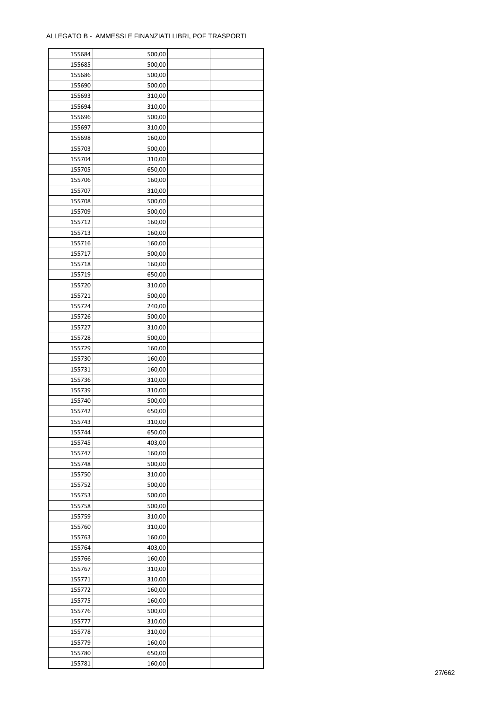| 155684 | 500,00 |  |
|--------|--------|--|
| 155685 | 500,00 |  |
| 155686 | 500,00 |  |
| 155690 | 500,00 |  |
| 155693 | 310,00 |  |
| 155694 | 310,00 |  |
| 155696 | 500,00 |  |
| 155697 | 310,00 |  |
| 155698 | 160,00 |  |
| 155703 | 500,00 |  |
| 155704 | 310,00 |  |
|        |        |  |
| 155705 | 650,00 |  |
| 155706 | 160,00 |  |
| 155707 | 310,00 |  |
| 155708 | 500,00 |  |
| 155709 | 500,00 |  |
| 155712 | 160,00 |  |
| 155713 | 160,00 |  |
| 155716 | 160,00 |  |
| 155717 | 500,00 |  |
| 155718 | 160,00 |  |
| 155719 | 650,00 |  |
| 155720 | 310,00 |  |
| 155721 | 500,00 |  |
| 155724 | 240,00 |  |
| 155726 | 500,00 |  |
| 155727 | 310,00 |  |
| 155728 | 500,00 |  |
| 155729 | 160,00 |  |
| 155730 | 160,00 |  |
| 155731 | 160,00 |  |
| 155736 | 310,00 |  |
|        |        |  |
| 155739 | 310,00 |  |
| 155740 | 500,00 |  |
| 155742 | 650,00 |  |
| 155743 | 310,00 |  |
| 155744 | 650,00 |  |
| 155745 | 403,00 |  |
| 155747 | 160,00 |  |
| 155748 | 500,00 |  |
| 155750 | 310,00 |  |
| 155752 | 500,00 |  |
| 155753 | 500,00 |  |
| 155758 | 500,00 |  |
| 155759 | 310,00 |  |
| 155760 | 310,00 |  |
| 155763 | 160,00 |  |
| 155764 | 403,00 |  |
| 155766 | 160,00 |  |
| 155767 | 310,00 |  |
| 155771 | 310,00 |  |
| 155772 | 160,00 |  |
| 155775 | 160,00 |  |
| 155776 | 500,00 |  |
|        |        |  |
| 155777 | 310,00 |  |
| 155778 | 310,00 |  |
| 155779 | 160,00 |  |
| 155780 | 650,00 |  |
| 155781 | 160,00 |  |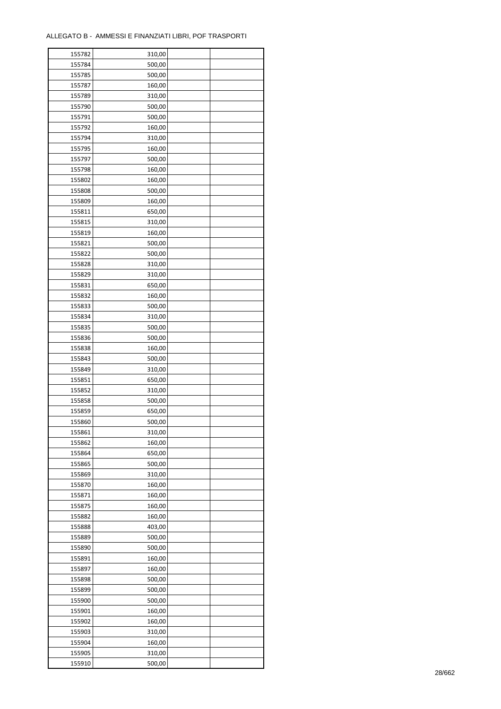| 155782 | 310,00 |  |
|--------|--------|--|
| 155784 | 500,00 |  |
| 155785 | 500,00 |  |
| 155787 | 160,00 |  |
| 155789 | 310,00 |  |
| 155790 | 500,00 |  |
| 155791 | 500,00 |  |
| 155792 | 160,00 |  |
| 155794 | 310,00 |  |
| 155795 | 160,00 |  |
| 155797 | 500,00 |  |
| 155798 | 160,00 |  |
|        |        |  |
| 155802 | 160,00 |  |
| 155808 | 500,00 |  |
| 155809 | 160,00 |  |
| 155811 | 650,00 |  |
| 155815 | 310,00 |  |
| 155819 | 160,00 |  |
| 155821 | 500,00 |  |
| 155822 | 500,00 |  |
| 155828 | 310,00 |  |
| 155829 | 310,00 |  |
| 155831 | 650,00 |  |
| 155832 | 160,00 |  |
| 155833 | 500,00 |  |
| 155834 | 310,00 |  |
| 155835 | 500,00 |  |
| 155836 | 500,00 |  |
| 155838 | 160,00 |  |
| 155843 | 500,00 |  |
| 155849 | 310,00 |  |
| 155851 | 650,00 |  |
| 155852 | 310,00 |  |
| 155858 | 500,00 |  |
| 155859 | 650,00 |  |
| 155860 | 500,00 |  |
| 155861 | 310,00 |  |
| 155862 | 160,00 |  |
| 155864 | 650,00 |  |
| 155865 | 500,00 |  |
| 155869 | 310,00 |  |
| 155870 | 160,00 |  |
| 155871 | 160,00 |  |
| 155875 | 160,00 |  |
| 155882 | 160,00 |  |
|        |        |  |
| 155888 | 403,00 |  |
| 155889 | 500,00 |  |
| 155890 | 500,00 |  |
| 155891 | 160,00 |  |
| 155897 | 160,00 |  |
| 155898 | 500,00 |  |
| 155899 | 500,00 |  |
| 155900 | 500,00 |  |
| 155901 | 160,00 |  |
| 155902 | 160,00 |  |
| 155903 | 310,00 |  |
| 155904 | 160,00 |  |
| 155905 | 310,00 |  |
| 155910 | 500,00 |  |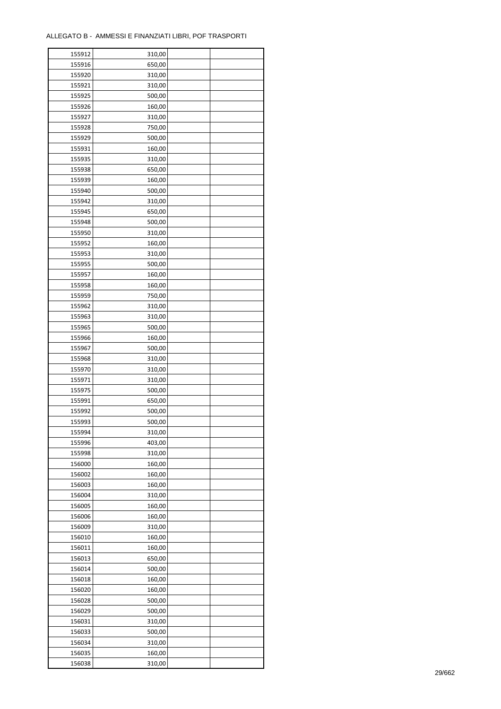| 155912 | 310,00 |  |
|--------|--------|--|
| 155916 | 650,00 |  |
| 155920 | 310,00 |  |
| 155921 | 310,00 |  |
| 155925 | 500,00 |  |
| 155926 | 160,00 |  |
| 155927 | 310,00 |  |
| 155928 | 750,00 |  |
| 155929 | 500,00 |  |
| 155931 | 160,00 |  |
|        |        |  |
| 155935 | 310,00 |  |
| 155938 | 650,00 |  |
| 155939 | 160,00 |  |
| 155940 | 500,00 |  |
| 155942 | 310,00 |  |
| 155945 | 650,00 |  |
| 155948 | 500,00 |  |
| 155950 | 310,00 |  |
| 155952 | 160,00 |  |
| 155953 | 310,00 |  |
| 155955 | 500,00 |  |
| 155957 | 160,00 |  |
| 155958 | 160,00 |  |
| 155959 | 750,00 |  |
| 155962 | 310,00 |  |
| 155963 | 310,00 |  |
| 155965 | 500,00 |  |
| 155966 | 160,00 |  |
| 155967 | 500,00 |  |
| 155968 | 310,00 |  |
| 155970 |        |  |
|        | 310,00 |  |
| 155971 | 310,00 |  |
| 155975 | 500,00 |  |
| 155991 | 650,00 |  |
| 155992 | 500,00 |  |
| 155993 | 500,00 |  |
| 155994 | 310,00 |  |
| 155996 | 403,00 |  |
| 155998 | 310,00 |  |
| 156000 | 160,00 |  |
| 156002 | 160,00 |  |
| 156003 | 160,00 |  |
| 156004 | 310,00 |  |
| 156005 | 160,00 |  |
| 156006 | 160,00 |  |
| 156009 | 310,00 |  |
| 156010 | 160,00 |  |
| 156011 | 160,00 |  |
| 156013 | 650,00 |  |
| 156014 | 500,00 |  |
| 156018 | 160,00 |  |
| 156020 | 160,00 |  |
|        |        |  |
| 156028 | 500,00 |  |
| 156029 | 500,00 |  |
| 156031 | 310,00 |  |
| 156033 | 500,00 |  |
| 156034 | 310,00 |  |
| 156035 | 160,00 |  |
| 156038 | 310,00 |  |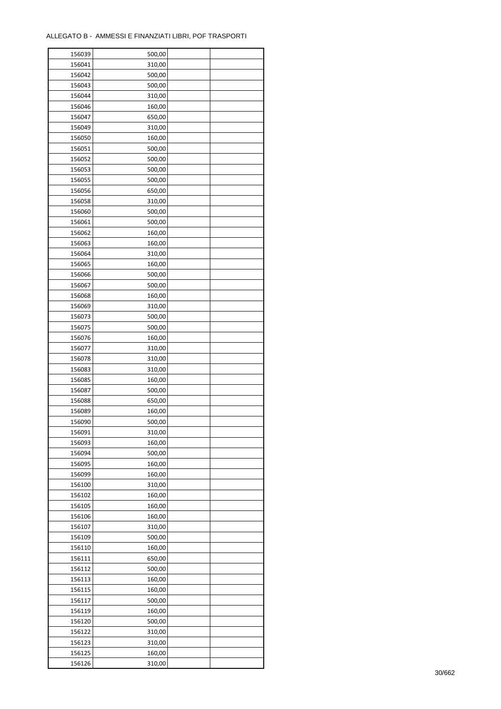| 156039           | 500,00 |  |
|------------------|--------|--|
| 156041           | 310,00 |  |
| 156042           | 500,00 |  |
| 156043           | 500,00 |  |
| 156044           | 310,00 |  |
| 156046           | 160,00 |  |
| 156047           | 650,00 |  |
| 156049           | 310,00 |  |
| 156050           | 160,00 |  |
| 156051           | 500,00 |  |
| 156052           | 500,00 |  |
|                  |        |  |
| 156053           | 500,00 |  |
| 156055           | 500,00 |  |
| 156056           | 650,00 |  |
| 156058           | 310,00 |  |
| 156060           | 500,00 |  |
| 156061           | 500,00 |  |
| 156062           | 160,00 |  |
| 156063           | 160,00 |  |
| 156064           | 310,00 |  |
| 156065           | 160,00 |  |
| 156066           | 500,00 |  |
| 156067           | 500,00 |  |
| 156068           | 160,00 |  |
| 156069           | 310,00 |  |
| 156073           | 500,00 |  |
| 156075           | 500,00 |  |
| 156076           | 160,00 |  |
| 156077           | 310,00 |  |
| 156078           | 310,00 |  |
| 156083           | 310,00 |  |
| 156085           | 160,00 |  |
| 156087           | 500,00 |  |
| 156088           | 650,00 |  |
| 156089           | 160,00 |  |
| 156090           | 500,00 |  |
|                  | 310,00 |  |
| 156091<br>156093 |        |  |
|                  | 160,00 |  |
| 156094           | 500,00 |  |
| 156095           | 160,00 |  |
| 156099           | 160,00 |  |
| 156100           | 310,00 |  |
| 156102           | 160,00 |  |
| 156105           | 160,00 |  |
| 156106           | 160,00 |  |
| 156107           | 310,00 |  |
| 156109           | 500,00 |  |
| 156110           | 160,00 |  |
| 156111           | 650,00 |  |
| 156112           | 500,00 |  |
| 156113           | 160,00 |  |
| 156115           | 160,00 |  |
| 156117           | 500,00 |  |
| 156119           | 160,00 |  |
| 156120           | 500,00 |  |
| 156122           | 310,00 |  |
| 156123           | 310,00 |  |
| 156125           | 160,00 |  |
| 156126           | 310,00 |  |
|                  |        |  |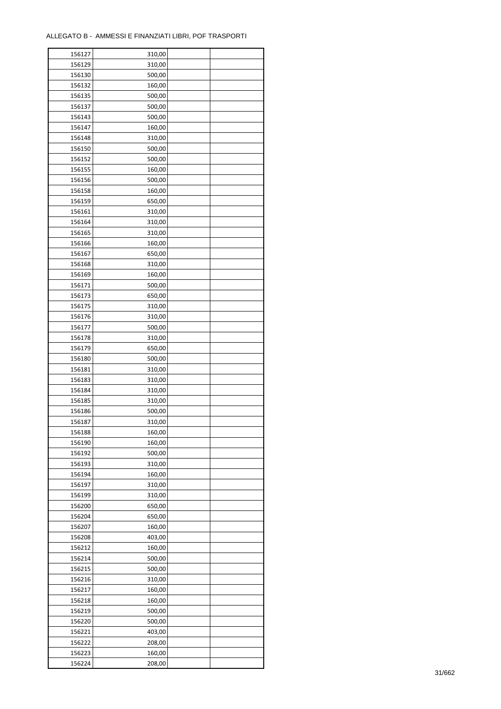| 156127           | 310,00 |  |
|------------------|--------|--|
| 156129           | 310,00 |  |
| 156130           | 500,00 |  |
| 156132           | 160,00 |  |
| 156135           | 500,00 |  |
| 156137           | 500,00 |  |
| 156143           | 500,00 |  |
| 156147           | 160,00 |  |
| 156148           | 310,00 |  |
|                  |        |  |
| 156150<br>156152 | 500,00 |  |
|                  | 500,00 |  |
| 156155           | 160,00 |  |
| 156156           | 500,00 |  |
| 156158           | 160,00 |  |
| 156159           | 650,00 |  |
| 156161           | 310,00 |  |
| 156164           | 310,00 |  |
| 156165           | 310,00 |  |
| 156166           | 160,00 |  |
| 156167           | 650,00 |  |
| 156168           | 310,00 |  |
| 156169           | 160,00 |  |
| 156171           | 500,00 |  |
| 156173           | 650,00 |  |
| 156175           | 310,00 |  |
| 156176           | 310,00 |  |
| 156177           | 500,00 |  |
| 156178           | 310,00 |  |
| 156179           | 650,00 |  |
| 156180           | 500,00 |  |
| 156181           | 310,00 |  |
|                  |        |  |
| 156183           | 310,00 |  |
| 156184           | 310,00 |  |
| 156185           | 310,00 |  |
| 156186           | 500,00 |  |
| 156187           | 310,00 |  |
| 156188           | 160,00 |  |
| 156190           | 160,00 |  |
| 156192           | 500,00 |  |
| 156193           | 310,00 |  |
| 156194           | 160,00 |  |
| 156197           | 310,00 |  |
| 156199           | 310,00 |  |
| 156200           | 650,00 |  |
| 156204           | 650,00 |  |
| 156207           | 160,00 |  |
| 156208           | 403,00 |  |
| 156212           | 160,00 |  |
| 156214           | 500,00 |  |
| 156215           | 500,00 |  |
| 156216           | 310,00 |  |
| 156217           | 160,00 |  |
| 156218           | 160,00 |  |
| 156219           | 500,00 |  |
|                  |        |  |
| 156220           | 500,00 |  |
| 156221           | 403,00 |  |
| 156222           | 208,00 |  |
| 156223           | 160,00 |  |
| 156224           | 208,00 |  |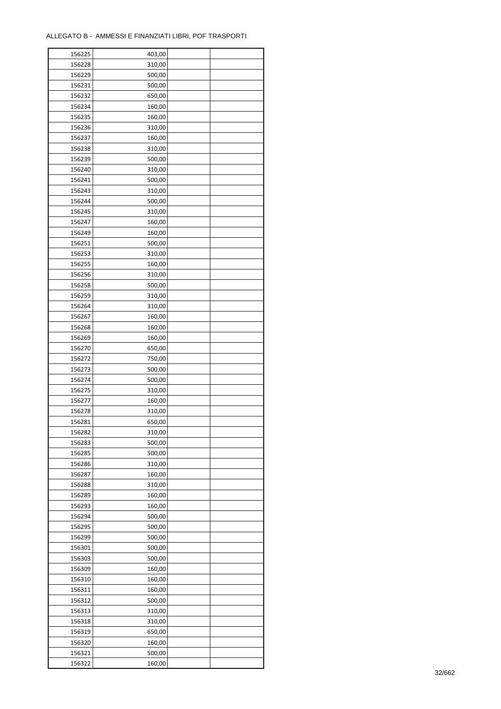| 156225 | 403,00 |  |
|--------|--------|--|
| 156228 | 310,00 |  |
| 156229 | 500,00 |  |
| 156231 | 500,00 |  |
| 156232 | 650,00 |  |
| 156234 | 160,00 |  |
| 156235 | 160,00 |  |
| 156236 | 310,00 |  |
| 156237 | 160,00 |  |
| 156238 | 310,00 |  |
| 156239 | 500,00 |  |
| 156240 | 310,00 |  |
| 156241 | 500,00 |  |
| 156243 | 310,00 |  |
| 156244 | 500,00 |  |
| 156245 | 310,00 |  |
| 156247 | 160,00 |  |
|        |        |  |
| 156249 | 160,00 |  |
| 156251 | 500,00 |  |
| 156253 | 310,00 |  |
| 156255 | 160,00 |  |
| 156256 | 310,00 |  |
| 156258 | 500,00 |  |
| 156259 | 310,00 |  |
| 156264 | 310,00 |  |
| 156267 | 160,00 |  |
| 156268 | 160,00 |  |
| 156269 | 160,00 |  |
| 156270 | 650,00 |  |
| 156272 | 750,00 |  |
| 156273 | 500,00 |  |
| 156274 | 500,00 |  |
| 156275 | 310,00 |  |
| 156277 | 160,00 |  |
| 156278 | 310,00 |  |
| 156281 | 650,00 |  |
| 156282 | 310,00 |  |
| 156283 | 500,00 |  |
| 156285 | 500,00 |  |
| 156286 | 310,00 |  |
| 156287 | 160,00 |  |
| 156288 | 310,00 |  |
| 156289 | 160,00 |  |
| 156293 | 160,00 |  |
| 156294 | 500,00 |  |
| 156295 | 500,00 |  |
| 156299 | 500,00 |  |
| 156301 | 500,00 |  |
| 156303 | 500,00 |  |
| 156309 | 160,00 |  |
| 156310 | 160,00 |  |
| 156311 | 160,00 |  |
| 156312 | 500,00 |  |
| 156313 | 310,00 |  |
| 156318 | 310,00 |  |
| 156319 | 650,00 |  |
| 156320 | 160,00 |  |
| 156321 | 500,00 |  |
| 156322 |        |  |
|        | 160,00 |  |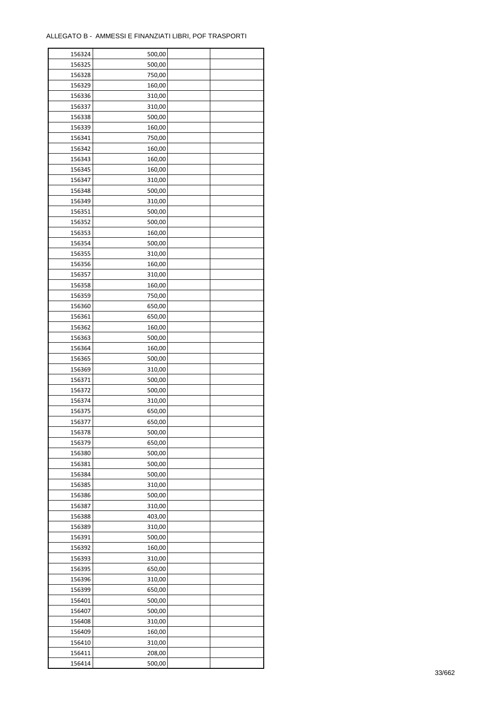| 156324 | 500,00 |  |
|--------|--------|--|
| 156325 | 500,00 |  |
| 156328 | 750,00 |  |
| 156329 | 160,00 |  |
| 156336 | 310,00 |  |
| 156337 | 310,00 |  |
| 156338 | 500,00 |  |
| 156339 | 160,00 |  |
| 156341 | 750,00 |  |
| 156342 | 160,00 |  |
| 156343 | 160,00 |  |
| 156345 | 160,00 |  |
| 156347 | 310,00 |  |
| 156348 | 500,00 |  |
|        |        |  |
| 156349 | 310,00 |  |
| 156351 | 500,00 |  |
| 156352 | 500,00 |  |
| 156353 | 160,00 |  |
| 156354 | 500,00 |  |
| 156355 | 310,00 |  |
| 156356 | 160,00 |  |
| 156357 | 310,00 |  |
| 156358 | 160,00 |  |
| 156359 | 750,00 |  |
| 156360 | 650,00 |  |
| 156361 | 650,00 |  |
| 156362 | 160,00 |  |
| 156363 | 500,00 |  |
| 156364 | 160,00 |  |
| 156365 | 500,00 |  |
| 156369 | 310,00 |  |
| 156371 | 500,00 |  |
| 156372 | 500,00 |  |
| 156374 | 310,00 |  |
| 156375 | 650,00 |  |
| 156377 | 650,00 |  |
| 156378 | 500,00 |  |
| 156379 | 650,00 |  |
| 156380 | 500,00 |  |
|        |        |  |
| 156381 | 500,00 |  |
| 156384 | 500,00 |  |
| 156385 | 310,00 |  |
| 156386 | 500,00 |  |
| 156387 | 310,00 |  |
| 156388 | 403,00 |  |
| 156389 | 310,00 |  |
| 156391 | 500,00 |  |
| 156392 | 160,00 |  |
| 156393 | 310,00 |  |
| 156395 | 650,00 |  |
| 156396 | 310,00 |  |
| 156399 | 650,00 |  |
| 156401 | 500,00 |  |
| 156407 | 500,00 |  |
| 156408 | 310,00 |  |
| 156409 | 160,00 |  |
| 156410 | 310,00 |  |
| 156411 | 208,00 |  |
| 156414 | 500,00 |  |
|        |        |  |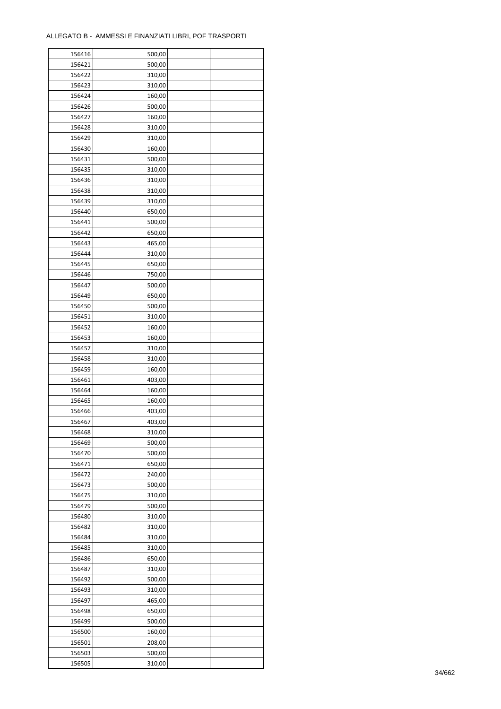| 156416 | 500,00 |  |
|--------|--------|--|
| 156421 | 500,00 |  |
| 156422 | 310,00 |  |
| 156423 | 310,00 |  |
| 156424 | 160,00 |  |
| 156426 | 500,00 |  |
| 156427 | 160,00 |  |
| 156428 | 310,00 |  |
| 156429 | 310,00 |  |
| 156430 | 160,00 |  |
| 156431 | 500,00 |  |
| 156435 | 310,00 |  |
| 156436 | 310,00 |  |
| 156438 | 310,00 |  |
|        |        |  |
| 156439 | 310,00 |  |
| 156440 | 650,00 |  |
| 156441 | 500,00 |  |
| 156442 | 650,00 |  |
| 156443 | 465,00 |  |
| 156444 | 310,00 |  |
| 156445 | 650,00 |  |
| 156446 | 750,00 |  |
| 156447 | 500,00 |  |
| 156449 | 650,00 |  |
| 156450 | 500,00 |  |
| 156451 | 310,00 |  |
| 156452 | 160,00 |  |
| 156453 | 160,00 |  |
| 156457 | 310,00 |  |
| 156458 | 310,00 |  |
| 156459 | 160,00 |  |
| 156461 | 403,00 |  |
| 156464 | 160,00 |  |
| 156465 | 160,00 |  |
| 156466 | 403,00 |  |
| 156467 | 403,00 |  |
| 156468 | 310,00 |  |
| 156469 | 500,00 |  |
| 156470 | 500,00 |  |
|        |        |  |
| 156471 | 650,00 |  |
| 156472 | 240,00 |  |
| 156473 | 500,00 |  |
| 156475 | 310,00 |  |
| 156479 | 500,00 |  |
| 156480 | 310,00 |  |
| 156482 | 310,00 |  |
| 156484 | 310,00 |  |
| 156485 | 310,00 |  |
| 156486 | 650,00 |  |
| 156487 | 310,00 |  |
| 156492 | 500,00 |  |
| 156493 | 310,00 |  |
| 156497 | 465,00 |  |
| 156498 | 650,00 |  |
| 156499 | 500,00 |  |
| 156500 | 160,00 |  |
| 156501 | 208,00 |  |
| 156503 | 500,00 |  |
| 156505 | 310,00 |  |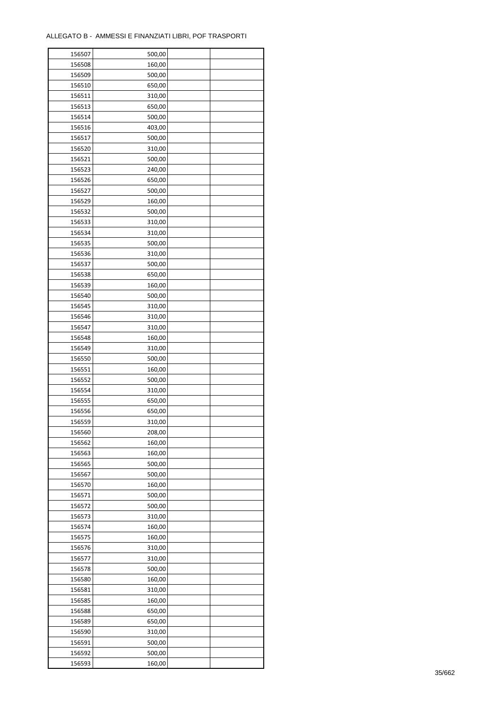| 156507 | 500,00 |  |
|--------|--------|--|
| 156508 | 160,00 |  |
| 156509 | 500,00 |  |
| 156510 | 650,00 |  |
| 156511 | 310,00 |  |
| 156513 | 650,00 |  |
| 156514 | 500,00 |  |
| 156516 | 403,00 |  |
| 156517 | 500,00 |  |
| 156520 | 310,00 |  |
| 156521 | 500,00 |  |
| 156523 | 240,00 |  |
| 156526 | 650,00 |  |
| 156527 | 500,00 |  |
|        |        |  |
| 156529 | 160,00 |  |
| 156532 | 500,00 |  |
| 156533 | 310,00 |  |
| 156534 | 310,00 |  |
| 156535 | 500,00 |  |
| 156536 | 310,00 |  |
| 156537 | 500,00 |  |
| 156538 | 650,00 |  |
| 156539 | 160,00 |  |
| 156540 | 500,00 |  |
| 156545 | 310,00 |  |
| 156546 | 310,00 |  |
| 156547 | 310,00 |  |
| 156548 | 160,00 |  |
| 156549 | 310,00 |  |
| 156550 | 500,00 |  |
| 156551 | 160,00 |  |
| 156552 | 500,00 |  |
| 156554 | 310,00 |  |
| 156555 | 650,00 |  |
| 156556 | 650,00 |  |
| 156559 | 310,00 |  |
| 156560 | 208,00 |  |
| 156562 | 160,00 |  |
| 156563 | 160,00 |  |
| 156565 | 500,00 |  |
| 156567 | 500,00 |  |
| 156570 | 160,00 |  |
| 156571 | 500,00 |  |
| 156572 | 500,00 |  |
| 156573 | 310,00 |  |
| 156574 | 160,00 |  |
| 156575 | 160,00 |  |
| 156576 | 310,00 |  |
| 156577 | 310,00 |  |
| 156578 | 500,00 |  |
| 156580 | 160,00 |  |
| 156581 | 310,00 |  |
| 156585 | 160,00 |  |
|        |        |  |
| 156588 | 650,00 |  |
| 156589 | 650,00 |  |
| 156590 | 310,00 |  |
| 156591 | 500,00 |  |
| 156592 | 500,00 |  |
| 156593 | 160,00 |  |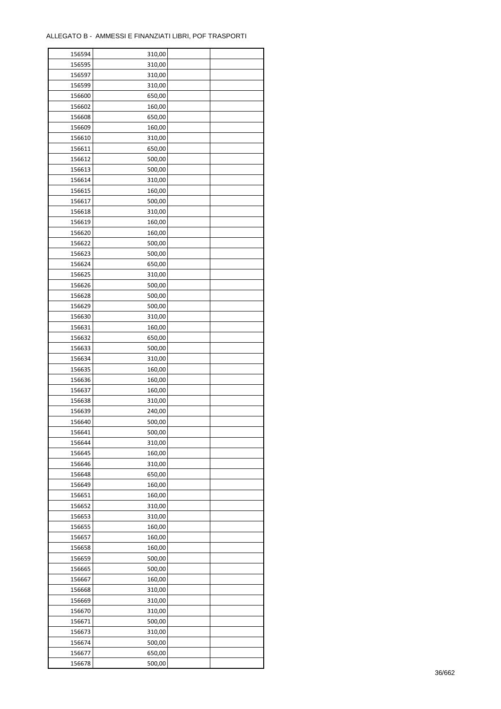| 156594 | 310,00           |  |
|--------|------------------|--|
| 156595 | 310,00           |  |
| 156597 | 310,00           |  |
| 156599 | 310,00           |  |
| 156600 | 650,00           |  |
| 156602 | 160,00           |  |
| 156608 | 650,00           |  |
| 156609 | 160,00           |  |
| 156610 | 310,00           |  |
| 156611 | 650,00           |  |
| 156612 | 500,00           |  |
| 156613 | 500,00           |  |
|        |                  |  |
| 156614 | 310,00           |  |
| 156615 | 160,00           |  |
| 156617 | 500,00           |  |
| 156618 | 310,00           |  |
| 156619 | 160,00           |  |
| 156620 | 160,00           |  |
| 156622 | 500,00           |  |
| 156623 | 500,00           |  |
| 156624 | 650,00           |  |
| 156625 | 310,00           |  |
| 156626 | 500,00           |  |
| 156628 | 500,00           |  |
| 156629 | 500,00           |  |
| 156630 | 310,00           |  |
| 156631 | 160,00           |  |
| 156632 | 650,00           |  |
| 156633 | 500,00           |  |
| 156634 | 310,00           |  |
| 156635 | 160,00           |  |
| 156636 | 160,00           |  |
| 156637 | 160,00           |  |
| 156638 | 310,00           |  |
| 156639 | 240,00           |  |
| 156640 | 500,00           |  |
| 156641 | 500,00           |  |
| 156644 | 310,00           |  |
| 156645 | 160,00           |  |
| 156646 | 310,00           |  |
| 156648 | 650,00           |  |
| 156649 | 160,00           |  |
| 156651 | 160,00           |  |
|        |                  |  |
| 156652 | 310,00<br>310,00 |  |
| 156653 |                  |  |
| 156655 | 160,00           |  |
| 156657 | 160,00           |  |
| 156658 | 160,00           |  |
| 156659 | 500,00           |  |
| 156665 | 500,00           |  |
| 156667 | 160,00           |  |
| 156668 | 310,00           |  |
| 156669 | 310,00           |  |
| 156670 | 310,00           |  |
| 156671 | 500,00           |  |
| 156673 | 310,00           |  |
| 156674 | 500,00           |  |
| 156677 | 650,00           |  |
| 156678 | 500,00           |  |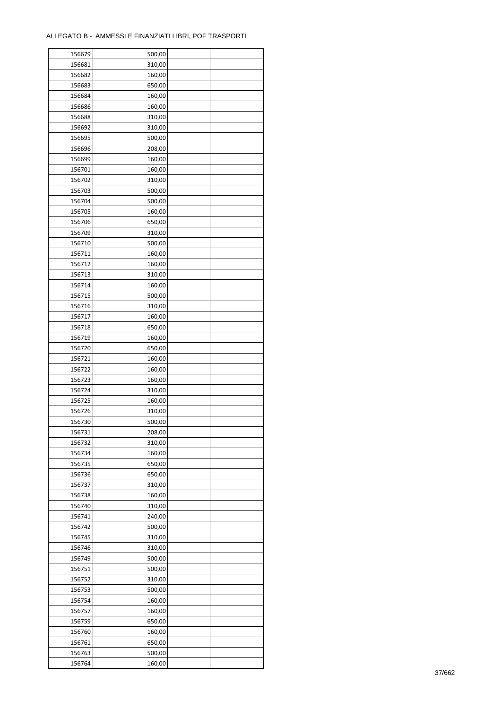| 156679 | 500,00 |  |
|--------|--------|--|
| 156681 | 310,00 |  |
| 156682 | 160,00 |  |
| 156683 | 650,00 |  |
| 156684 | 160,00 |  |
| 156686 | 160,00 |  |
| 156688 | 310,00 |  |
| 156692 | 310,00 |  |
| 156695 |        |  |
|        | 500,00 |  |
| 156696 | 208,00 |  |
| 156699 | 160,00 |  |
| 156701 | 160,00 |  |
| 156702 | 310,00 |  |
| 156703 | 500,00 |  |
| 156704 | 500,00 |  |
| 156705 | 160,00 |  |
| 156706 | 650,00 |  |
| 156709 | 310,00 |  |
| 156710 | 500,00 |  |
| 156711 | 160,00 |  |
| 156712 | 160,00 |  |
| 156713 | 310,00 |  |
| 156714 | 160,00 |  |
| 156715 | 500,00 |  |
| 156716 | 310,00 |  |
| 156717 | 160,00 |  |
| 156718 | 650,00 |  |
| 156719 | 160,00 |  |
|        |        |  |
| 156720 | 650,00 |  |
| 156721 | 160,00 |  |
| 156722 | 160,00 |  |
| 156723 | 160,00 |  |
| 156724 | 310,00 |  |
| 156725 | 160,00 |  |
| 156726 | 310,00 |  |
| 156730 | 500,00 |  |
| 156731 | 208,00 |  |
| 156732 | 310,00 |  |
| 156734 | 160,00 |  |
| 156735 | 650,00 |  |
| 156736 | 650,00 |  |
| 156737 | 310,00 |  |
| 156738 | 160,00 |  |
| 156740 | 310,00 |  |
| 156741 | 240,00 |  |
| 156742 | 500,00 |  |
| 156745 | 310,00 |  |
| 156746 | 310,00 |  |
| 156749 | 500,00 |  |
| 156751 | 500,00 |  |
|        |        |  |
| 156752 | 310,00 |  |
| 156753 | 500,00 |  |
| 156754 | 160,00 |  |
| 156757 | 160,00 |  |
| 156759 | 650,00 |  |
| 156760 | 160,00 |  |
| 156761 | 650,00 |  |
| 156763 | 500,00 |  |
| 156764 | 160,00 |  |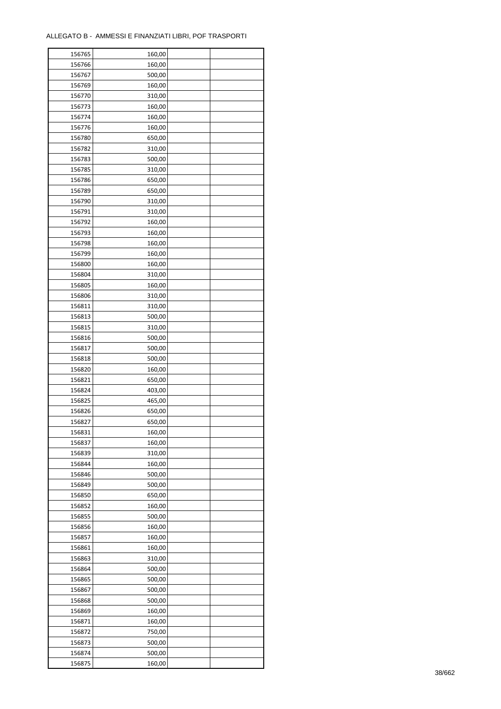| 156765           | 160,00 |  |
|------------------|--------|--|
| 156766           | 160,00 |  |
| 156767           | 500,00 |  |
| 156769           | 160,00 |  |
| 156770           | 310,00 |  |
| 156773           | 160,00 |  |
| 156774           | 160,00 |  |
| 156776           | 160,00 |  |
| 156780           | 650,00 |  |
| 156782           | 310,00 |  |
| 156783           | 500,00 |  |
| 156785           | 310,00 |  |
| 156786           | 650,00 |  |
| 156789           | 650,00 |  |
| 156790           | 310,00 |  |
| 156791           | 310,00 |  |
| 156792           | 160,00 |  |
| 156793           | 160,00 |  |
| 156798           | 160,00 |  |
|                  |        |  |
| 156799           | 160,00 |  |
| 156800           | 160,00 |  |
| 156804           | 310,00 |  |
| 156805           | 160,00 |  |
| 156806           | 310,00 |  |
| 156811           | 310,00 |  |
| 156813           | 500,00 |  |
| 156815           | 310,00 |  |
| 156816           | 500,00 |  |
| 156817           | 500,00 |  |
| 156818           | 500,00 |  |
| 156820           | 160,00 |  |
| 156821           | 650,00 |  |
| 156824<br>156825 | 403,00 |  |
|                  | 465,00 |  |
| 156826           | 650,00 |  |
| 156827           | 650,00 |  |
| 156831           | 160,00 |  |
| 156837           | 160,00 |  |
| 156839           | 310,00 |  |
| 156844           | 160,00 |  |
| 156846           | 500,00 |  |
| 156849           | 500,00 |  |
| 156850           | 650,00 |  |
| 156852           | 160,00 |  |
| 156855           | 500,00 |  |
| 156856           | 160,00 |  |
| 156857           | 160,00 |  |
| 156861           | 160,00 |  |
| 156863           | 310,00 |  |
| 156864           | 500,00 |  |
| 156865           | 500,00 |  |
| 156867           | 500,00 |  |
| 156868           | 500,00 |  |
| 156869           | 160,00 |  |
| 156871           | 160,00 |  |
| 156872           | 750,00 |  |
| 156873           | 500,00 |  |
| 156874           | 500,00 |  |
| 156875           | 160,00 |  |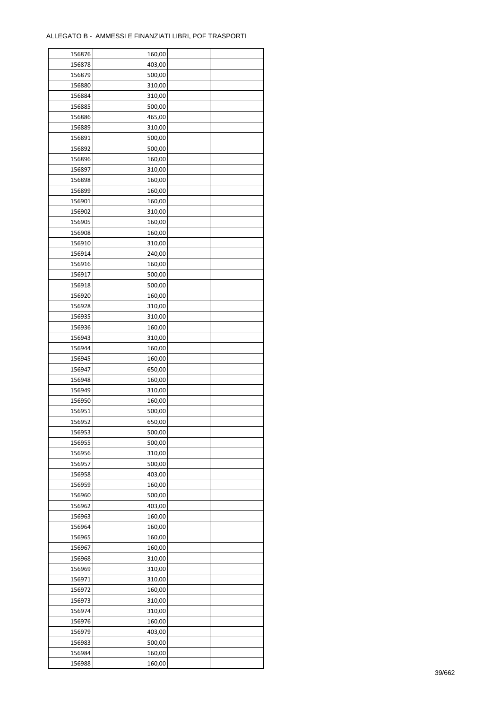| 156876           | 160,00 |  |
|------------------|--------|--|
| 156878           | 403,00 |  |
| 156879           | 500,00 |  |
| 156880           | 310,00 |  |
| 156884           | 310,00 |  |
| 156885           | 500,00 |  |
| 156886           | 465,00 |  |
| 156889           | 310,00 |  |
| 156891           | 500,00 |  |
| 156892           | 500,00 |  |
|                  |        |  |
| 156896<br>156897 | 160,00 |  |
|                  | 310,00 |  |
| 156898           | 160,00 |  |
| 156899           | 160,00 |  |
| 156901           | 160,00 |  |
| 156902           | 310,00 |  |
| 156905           | 160,00 |  |
| 156908           | 160,00 |  |
| 156910           | 310,00 |  |
| 156914           | 240,00 |  |
| 156916           | 160,00 |  |
| 156917           | 500,00 |  |
| 156918           | 500,00 |  |
| 156920           | 160,00 |  |
| 156928           | 310,00 |  |
| 156935           | 310,00 |  |
| 156936           | 160,00 |  |
| 156943           | 310,00 |  |
| 156944           | 160,00 |  |
| 156945           | 160,00 |  |
| 156947           | 650,00 |  |
| 156948           | 160,00 |  |
| 156949           | 310,00 |  |
| 156950           | 160,00 |  |
| 156951           | 500,00 |  |
| 156952           | 650,00 |  |
|                  |        |  |
| 156953           | 500,00 |  |
| 156955           | 500,00 |  |
| 156956           | 310,00 |  |
| 156957           | 500,00 |  |
| 156958           | 403,00 |  |
| 156959           | 160,00 |  |
| 156960           | 500,00 |  |
| 156962           | 403,00 |  |
| 156963           | 160,00 |  |
| 156964           | 160,00 |  |
| 156965           | 160,00 |  |
| 156967           | 160,00 |  |
| 156968           | 310,00 |  |
| 156969           | 310,00 |  |
| 156971           | 310,00 |  |
| 156972           | 160,00 |  |
| 156973           | 310,00 |  |
| 156974           | 310,00 |  |
| 156976           | 160,00 |  |
| 156979           | 403,00 |  |
| 156983           | 500,00 |  |
| 156984           | 160,00 |  |
|                  |        |  |
| 156988           | 160,00 |  |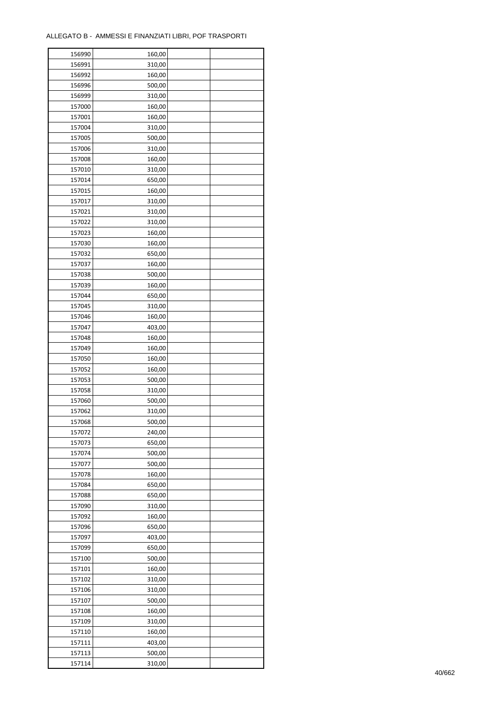| 156990 | 160,00 |  |
|--------|--------|--|
| 156991 | 310,00 |  |
| 156992 | 160,00 |  |
| 156996 | 500,00 |  |
| 156999 | 310,00 |  |
| 157000 | 160,00 |  |
| 157001 | 160,00 |  |
| 157004 | 310,00 |  |
| 157005 | 500,00 |  |
| 157006 | 310,00 |  |
| 157008 | 160,00 |  |
| 157010 | 310,00 |  |
| 157014 | 650,00 |  |
| 157015 | 160,00 |  |
| 157017 | 310,00 |  |
| 157021 | 310,00 |  |
| 157022 | 310,00 |  |
| 157023 | 160,00 |  |
| 157030 | 160,00 |  |
| 157032 | 650,00 |  |
| 157037 | 160,00 |  |
| 157038 | 500,00 |  |
|        | 160,00 |  |
| 157039 |        |  |
| 157044 | 650,00 |  |
| 157045 | 310,00 |  |
| 157046 | 160,00 |  |
| 157047 | 403,00 |  |
| 157048 | 160,00 |  |
| 157049 | 160,00 |  |
| 157050 | 160,00 |  |
| 157052 | 160,00 |  |
| 157053 | 500,00 |  |
| 157058 | 310,00 |  |
| 157060 | 500,00 |  |
| 157062 | 310,00 |  |
| 157068 | 500,00 |  |
| 157072 | 240,00 |  |
| 157073 | 650,00 |  |
| 157074 | 500,00 |  |
| 157077 | 500,00 |  |
| 157078 | 160,00 |  |
| 157084 | 650,00 |  |
| 157088 | 650,00 |  |
| 157090 | 310,00 |  |
| 157092 | 160,00 |  |
| 157096 | 650,00 |  |
| 157097 | 403,00 |  |
| 157099 | 650,00 |  |
| 157100 | 500,00 |  |
| 157101 | 160,00 |  |
| 157102 | 310,00 |  |
| 157106 | 310,00 |  |
| 157107 | 500,00 |  |
| 157108 | 160,00 |  |
| 157109 | 310,00 |  |
| 157110 | 160,00 |  |
| 157111 | 403,00 |  |
| 157113 | 500,00 |  |
| 157114 | 310,00 |  |
|        |        |  |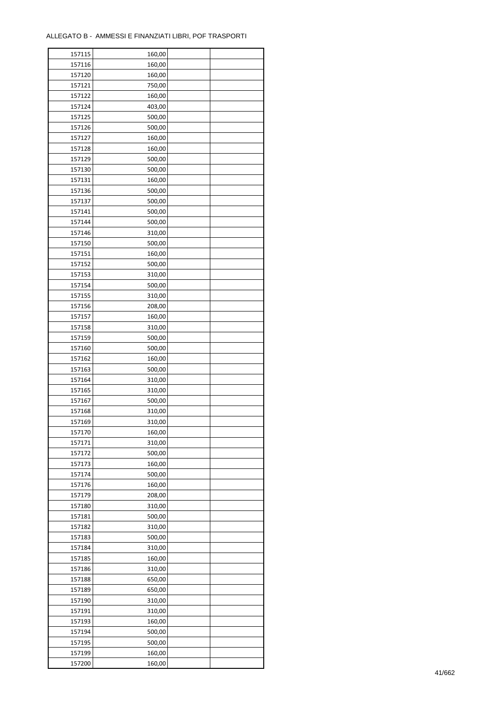| 157115 | 160,00 |  |
|--------|--------|--|
| 157116 | 160,00 |  |
| 157120 | 160,00 |  |
| 157121 | 750,00 |  |
| 157122 | 160,00 |  |
| 157124 | 403,00 |  |
| 157125 | 500,00 |  |
| 157126 | 500,00 |  |
| 157127 | 160,00 |  |
| 157128 | 160,00 |  |
| 157129 | 500,00 |  |
| 157130 | 500,00 |  |
| 157131 | 160,00 |  |
| 157136 | 500,00 |  |
|        |        |  |
| 157137 | 500,00 |  |
| 157141 | 500,00 |  |
| 157144 | 500,00 |  |
| 157146 | 310,00 |  |
| 157150 | 500,00 |  |
| 157151 | 160,00 |  |
| 157152 | 500,00 |  |
| 157153 | 310,00 |  |
| 157154 | 500,00 |  |
| 157155 | 310,00 |  |
| 157156 | 208,00 |  |
| 157157 | 160,00 |  |
| 157158 | 310,00 |  |
| 157159 | 500,00 |  |
| 157160 | 500,00 |  |
| 157162 | 160,00 |  |
| 157163 | 500,00 |  |
| 157164 | 310,00 |  |
| 157165 | 310,00 |  |
| 157167 | 500,00 |  |
| 157168 | 310,00 |  |
| 157169 | 310,00 |  |
| 157170 | 160,00 |  |
| 157171 | 310,00 |  |
|        | 500,00 |  |
| 157172 |        |  |
| 157173 | 160,00 |  |
| 157174 | 500,00 |  |
| 157176 | 160,00 |  |
| 157179 | 208,00 |  |
| 157180 | 310,00 |  |
| 157181 | 500,00 |  |
| 157182 | 310,00 |  |
| 157183 | 500,00 |  |
| 157184 | 310,00 |  |
| 157185 | 160,00 |  |
| 157186 | 310,00 |  |
| 157188 | 650,00 |  |
| 157189 | 650,00 |  |
| 157190 | 310,00 |  |
| 157191 | 310,00 |  |
| 157193 | 160,00 |  |
| 157194 | 500,00 |  |
| 157195 | 500,00 |  |
| 157199 | 160,00 |  |
| 157200 | 160,00 |  |
|        |        |  |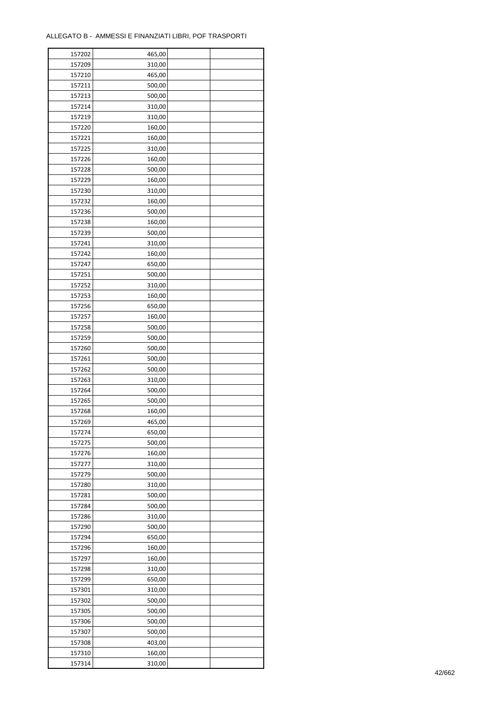| 157202 | 465,00 |  |
|--------|--------|--|
| 157209 | 310,00 |  |
| 157210 | 465,00 |  |
| 157211 | 500,00 |  |
| 157213 | 500,00 |  |
| 157214 | 310,00 |  |
| 157219 | 310,00 |  |
| 157220 | 160,00 |  |
| 157221 | 160,00 |  |
| 157225 | 310,00 |  |
| 157226 | 160,00 |  |
|        |        |  |
| 157228 | 500,00 |  |
| 157229 | 160,00 |  |
| 157230 | 310,00 |  |
| 157232 | 160,00 |  |
| 157236 | 500,00 |  |
| 157238 | 160,00 |  |
| 157239 | 500,00 |  |
| 157241 | 310,00 |  |
| 157242 | 160,00 |  |
| 157247 | 650,00 |  |
| 157251 | 500,00 |  |
| 157252 | 310,00 |  |
| 157253 | 160,00 |  |
| 157256 | 650,00 |  |
| 157257 | 160,00 |  |
| 157258 | 500,00 |  |
| 157259 | 500,00 |  |
| 157260 | 500,00 |  |
| 157261 | 500,00 |  |
| 157262 | 500,00 |  |
| 157263 |        |  |
|        | 310,00 |  |
| 157264 | 500,00 |  |
| 157265 | 500,00 |  |
| 157268 | 160,00 |  |
| 157269 | 465,00 |  |
| 157274 | 650,00 |  |
| 157275 | 500,00 |  |
| 157276 | 160,00 |  |
| 157277 | 310,00 |  |
| 157279 | 500,00 |  |
| 157280 | 310,00 |  |
| 157281 | 500,00 |  |
| 157284 | 500,00 |  |
| 157286 | 310,00 |  |
| 157290 | 500,00 |  |
| 157294 | 650,00 |  |
| 157296 | 160,00 |  |
| 157297 | 160,00 |  |
| 157298 | 310,00 |  |
| 157299 | 650,00 |  |
| 157301 | 310,00 |  |
| 157302 | 500,00 |  |
| 157305 | 500,00 |  |
|        |        |  |
| 157306 | 500,00 |  |
| 157307 | 500,00 |  |
| 157308 | 403,00 |  |
| 157310 | 160,00 |  |
| 157314 | 310,00 |  |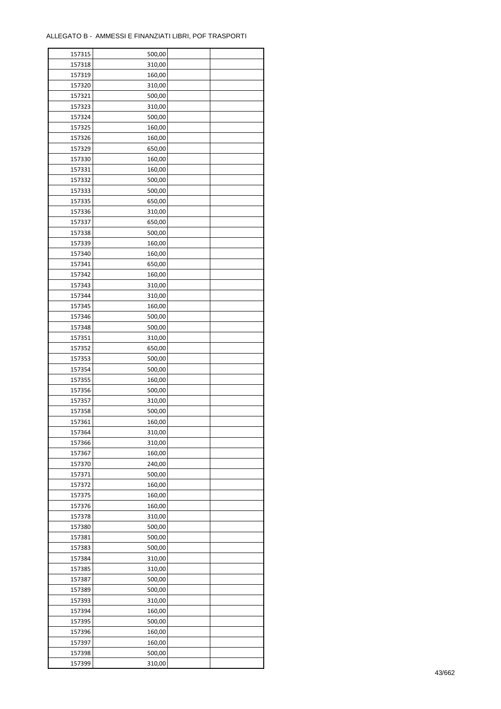| 157315 | 500,00 |  |
|--------|--------|--|
| 157318 | 310,00 |  |
| 157319 | 160,00 |  |
| 157320 | 310,00 |  |
| 157321 | 500,00 |  |
| 157323 | 310,00 |  |
| 157324 | 500,00 |  |
| 157325 | 160,00 |  |
| 157326 |        |  |
|        | 160,00 |  |
| 157329 | 650,00 |  |
| 157330 | 160,00 |  |
| 157331 | 160,00 |  |
| 157332 | 500,00 |  |
| 157333 | 500,00 |  |
| 157335 | 650,00 |  |
| 157336 | 310,00 |  |
| 157337 | 650,00 |  |
| 157338 | 500,00 |  |
| 157339 | 160,00 |  |
| 157340 | 160,00 |  |
| 157341 | 650,00 |  |
| 157342 | 160,00 |  |
| 157343 | 310,00 |  |
| 157344 | 310,00 |  |
| 157345 | 160,00 |  |
| 157346 | 500,00 |  |
| 157348 | 500,00 |  |
| 157351 | 310,00 |  |
| 157352 | 650,00 |  |
|        |        |  |
| 157353 | 500,00 |  |
| 157354 | 500,00 |  |
| 157355 | 160,00 |  |
| 157356 | 500,00 |  |
| 157357 | 310,00 |  |
| 157358 | 500,00 |  |
| 157361 | 160,00 |  |
| 157364 | 310,00 |  |
| 157366 | 310,00 |  |
| 157367 | 160,00 |  |
| 157370 | 240,00 |  |
| 157371 | 500,00 |  |
| 157372 | 160,00 |  |
| 157375 | 160,00 |  |
| 157376 | 160,00 |  |
| 157378 | 310,00 |  |
| 157380 | 500,00 |  |
| 157381 | 500,00 |  |
| 157383 | 500,00 |  |
| 157384 | 310,00 |  |
|        |        |  |
| 157385 | 310,00 |  |
| 157387 | 500,00 |  |
| 157389 | 500,00 |  |
| 157393 | 310,00 |  |
| 157394 | 160,00 |  |
| 157395 | 500,00 |  |
| 157396 | 160,00 |  |
| 157397 | 160,00 |  |
| 157398 | 500,00 |  |
| 157399 | 310,00 |  |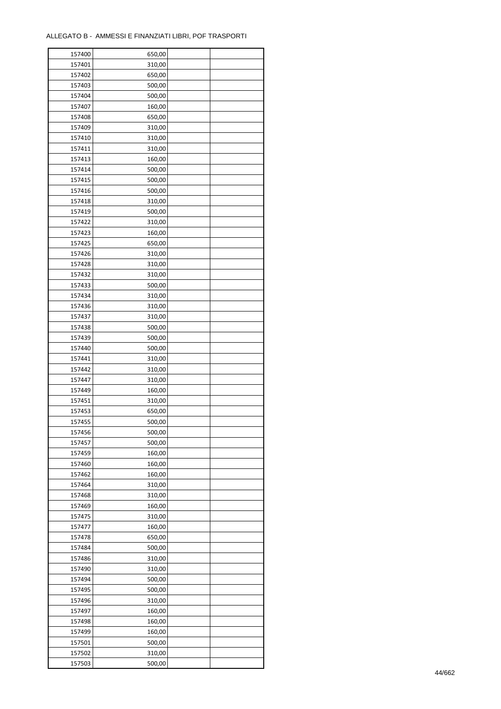| 157400 | 650,00 |  |
|--------|--------|--|
| 157401 | 310,00 |  |
| 157402 | 650,00 |  |
| 157403 | 500,00 |  |
| 157404 | 500,00 |  |
| 157407 | 160,00 |  |
| 157408 | 650,00 |  |
| 157409 | 310,00 |  |
|        |        |  |
| 157410 | 310,00 |  |
| 157411 | 310,00 |  |
| 157413 | 160,00 |  |
| 157414 | 500,00 |  |
| 157415 | 500,00 |  |
| 157416 | 500,00 |  |
| 157418 | 310,00 |  |
| 157419 | 500,00 |  |
| 157422 | 310,00 |  |
| 157423 | 160,00 |  |
| 157425 | 650,00 |  |
| 157426 | 310,00 |  |
| 157428 | 310,00 |  |
| 157432 | 310,00 |  |
| 157433 | 500,00 |  |
| 157434 | 310,00 |  |
| 157436 | 310,00 |  |
| 157437 | 310,00 |  |
| 157438 | 500,00 |  |
| 157439 | 500,00 |  |
| 157440 | 500,00 |  |
|        |        |  |
| 157441 | 310,00 |  |
| 157442 | 310,00 |  |
| 157447 | 310,00 |  |
| 157449 | 160,00 |  |
| 157451 | 310,00 |  |
| 157453 | 650,00 |  |
| 157455 | 500,00 |  |
| 157456 | 500,00 |  |
| 157457 | 500,00 |  |
| 157459 | 160,00 |  |
| 157460 | 160,00 |  |
| 157462 | 160,00 |  |
| 157464 | 310,00 |  |
| 157468 | 310,00 |  |
| 157469 | 160,00 |  |
| 157475 | 310,00 |  |
| 157477 | 160,00 |  |
| 157478 | 650,00 |  |
| 157484 | 500,00 |  |
| 157486 | 310,00 |  |
| 157490 | 310,00 |  |
|        |        |  |
| 157494 | 500,00 |  |
| 157495 | 500,00 |  |
| 157496 | 310,00 |  |
| 157497 | 160,00 |  |
| 157498 | 160,00 |  |
| 157499 | 160,00 |  |
| 157501 | 500,00 |  |
| 157502 | 310,00 |  |
| 157503 | 500,00 |  |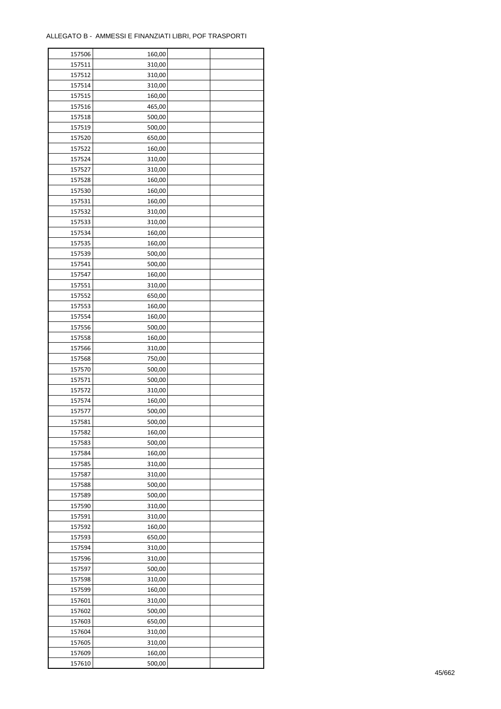| 157506 | 160,00 |  |
|--------|--------|--|
| 157511 | 310,00 |  |
| 157512 | 310,00 |  |
| 157514 | 310,00 |  |
| 157515 | 160,00 |  |
| 157516 | 465,00 |  |
| 157518 | 500,00 |  |
| 157519 | 500,00 |  |
|        |        |  |
| 157520 | 650,00 |  |
| 157522 | 160,00 |  |
| 157524 | 310,00 |  |
| 157527 | 310,00 |  |
| 157528 | 160,00 |  |
| 157530 | 160,00 |  |
| 157531 | 160,00 |  |
| 157532 | 310,00 |  |
| 157533 | 310,00 |  |
| 157534 | 160,00 |  |
| 157535 | 160,00 |  |
| 157539 | 500,00 |  |
| 157541 | 500,00 |  |
| 157547 | 160,00 |  |
| 157551 | 310,00 |  |
| 157552 | 650,00 |  |
| 157553 | 160,00 |  |
| 157554 | 160,00 |  |
| 157556 | 500,00 |  |
| 157558 | 160,00 |  |
| 157566 | 310,00 |  |
|        |        |  |
| 157568 | 750,00 |  |
| 157570 | 500,00 |  |
| 157571 | 500,00 |  |
| 157572 | 310,00 |  |
| 157574 | 160,00 |  |
| 157577 | 500,00 |  |
| 157581 | 500,00 |  |
| 157582 | 160,00 |  |
| 157583 | 500,00 |  |
| 157584 | 160,00 |  |
| 157585 | 310,00 |  |
| 157587 | 310,00 |  |
| 157588 | 500,00 |  |
| 157589 | 500,00 |  |
| 157590 | 310,00 |  |
| 157591 | 310,00 |  |
| 157592 | 160,00 |  |
| 157593 | 650,00 |  |
| 157594 | 310,00 |  |
| 157596 | 310,00 |  |
| 157597 | 500,00 |  |
|        |        |  |
| 157598 | 310,00 |  |
| 157599 | 160,00 |  |
| 157601 | 310,00 |  |
| 157602 | 500,00 |  |
| 157603 | 650,00 |  |
| 157604 | 310,00 |  |
| 157605 | 310,00 |  |
| 157609 | 160,00 |  |
| 157610 | 500,00 |  |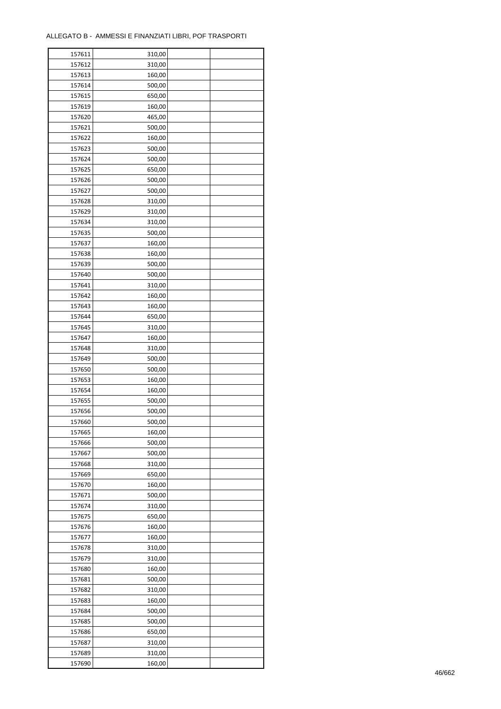| 157611 | 310,00 |  |
|--------|--------|--|
| 157612 | 310,00 |  |
| 157613 | 160,00 |  |
| 157614 | 500,00 |  |
| 157615 | 650,00 |  |
| 157619 | 160,00 |  |
| 157620 | 465,00 |  |
| 157621 | 500,00 |  |
|        |        |  |
| 157622 | 160,00 |  |
| 157623 | 500,00 |  |
| 157624 | 500,00 |  |
| 157625 | 650,00 |  |
| 157626 | 500,00 |  |
| 157627 | 500,00 |  |
| 157628 | 310,00 |  |
| 157629 | 310,00 |  |
| 157634 | 310,00 |  |
| 157635 | 500,00 |  |
| 157637 | 160,00 |  |
| 157638 | 160,00 |  |
| 157639 | 500,00 |  |
| 157640 | 500,00 |  |
| 157641 | 310,00 |  |
| 157642 | 160,00 |  |
|        |        |  |
| 157643 | 160,00 |  |
| 157644 | 650,00 |  |
| 157645 | 310,00 |  |
| 157647 | 160,00 |  |
| 157648 | 310,00 |  |
| 157649 | 500,00 |  |
| 157650 | 500,00 |  |
| 157653 | 160,00 |  |
| 157654 | 160,00 |  |
| 157655 | 500,00 |  |
| 157656 | 500,00 |  |
| 157660 | 500,00 |  |
| 157665 | 160,00 |  |
| 157666 | 500,00 |  |
| 157667 | 500,00 |  |
| 157668 | 310,00 |  |
| 157669 |        |  |
|        | 650,00 |  |
| 157670 | 160,00 |  |
| 157671 | 500,00 |  |
| 157674 | 310,00 |  |
| 157675 | 650,00 |  |
| 157676 | 160,00 |  |
| 157677 | 160,00 |  |
| 157678 | 310,00 |  |
| 157679 | 310,00 |  |
| 157680 | 160,00 |  |
| 157681 | 500,00 |  |
| 157682 | 310,00 |  |
| 157683 | 160,00 |  |
| 157684 | 500,00 |  |
| 157685 | 500,00 |  |
|        |        |  |
| 157686 | 650,00 |  |
| 157687 | 310,00 |  |
| 157689 | 310,00 |  |
| 157690 | 160,00 |  |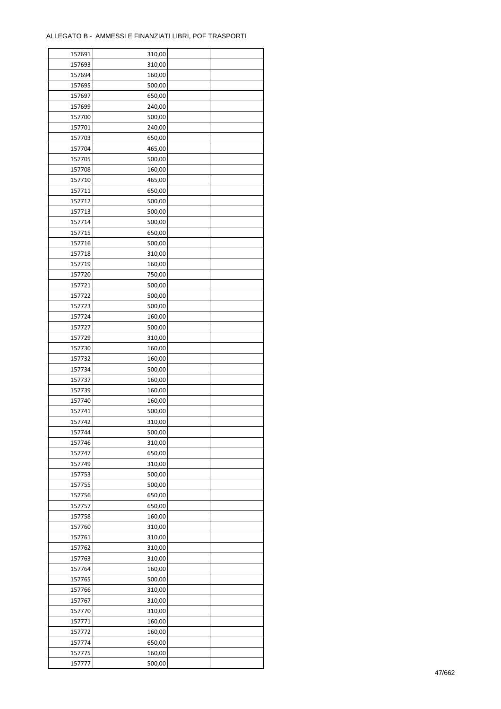| 157691 | 310,00 |  |
|--------|--------|--|
| 157693 | 310,00 |  |
| 157694 | 160,00 |  |
| 157695 | 500,00 |  |
| 157697 | 650,00 |  |
| 157699 | 240,00 |  |
| 157700 | 500,00 |  |
| 157701 | 240,00 |  |
| 157703 | 650,00 |  |
| 157704 | 465,00 |  |
| 157705 | 500,00 |  |
|        |        |  |
| 157708 | 160,00 |  |
| 157710 | 465,00 |  |
| 157711 | 650,00 |  |
| 157712 | 500,00 |  |
| 157713 | 500,00 |  |
| 157714 | 500,00 |  |
| 157715 | 650,00 |  |
| 157716 | 500,00 |  |
| 157718 | 310,00 |  |
| 157719 | 160,00 |  |
| 157720 | 750,00 |  |
| 157721 | 500,00 |  |
| 157722 | 500,00 |  |
| 157723 | 500,00 |  |
| 157724 | 160,00 |  |
| 157727 | 500,00 |  |
| 157729 | 310,00 |  |
| 157730 | 160,00 |  |
| 157732 | 160,00 |  |
| 157734 | 500,00 |  |
|        |        |  |
| 157737 | 160,00 |  |
| 157739 | 160,00 |  |
| 157740 | 160,00 |  |
| 157741 | 500,00 |  |
| 157742 | 310,00 |  |
| 157744 | 500,00 |  |
| 157746 | 310,00 |  |
| 157747 | 650,00 |  |
| 157749 | 310,00 |  |
| 157753 | 500,00 |  |
| 157755 | 500,00 |  |
| 157756 | 650,00 |  |
| 157757 | 650,00 |  |
| 157758 | 160,00 |  |
| 157760 | 310,00 |  |
| 157761 | 310,00 |  |
| 157762 | 310,00 |  |
| 157763 | 310,00 |  |
| 157764 | 160,00 |  |
| 157765 | 500,00 |  |
| 157766 | 310,00 |  |
| 157767 | 310,00 |  |
| 157770 | 310,00 |  |
|        |        |  |
| 157771 | 160,00 |  |
| 157772 | 160,00 |  |
| 157774 | 650,00 |  |
| 157775 | 160,00 |  |
| 157777 | 500,00 |  |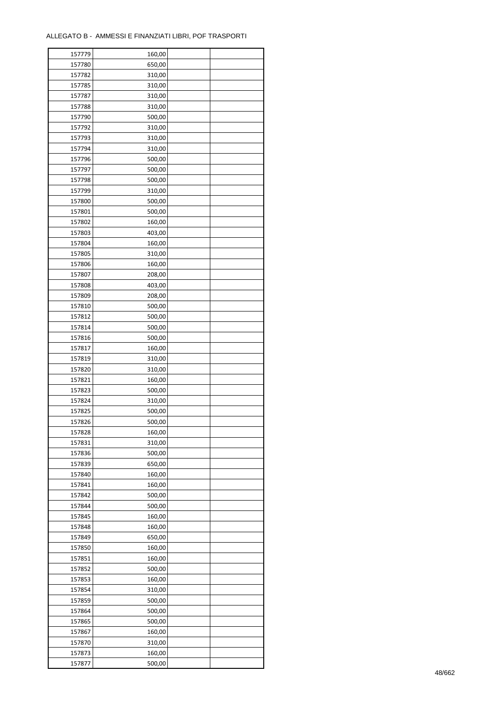| 157779 | 160,00 |  |
|--------|--------|--|
| 157780 | 650,00 |  |
| 157782 | 310,00 |  |
| 157785 | 310,00 |  |
| 157787 | 310,00 |  |
| 157788 | 310,00 |  |
| 157790 | 500,00 |  |
| 157792 | 310,00 |  |
|        |        |  |
| 157793 | 310,00 |  |
| 157794 | 310,00 |  |
| 157796 | 500,00 |  |
| 157797 | 500,00 |  |
| 157798 | 500,00 |  |
| 157799 | 310,00 |  |
| 157800 | 500,00 |  |
| 157801 | 500,00 |  |
| 157802 | 160,00 |  |
| 157803 | 403,00 |  |
| 157804 | 160,00 |  |
| 157805 | 310,00 |  |
| 157806 | 160,00 |  |
| 157807 | 208,00 |  |
| 157808 | 403,00 |  |
| 157809 | 208,00 |  |
| 157810 | 500,00 |  |
| 157812 | 500,00 |  |
|        |        |  |
| 157814 | 500,00 |  |
| 157816 | 500,00 |  |
| 157817 | 160,00 |  |
| 157819 | 310,00 |  |
| 157820 | 310,00 |  |
| 157821 | 160,00 |  |
| 157823 | 500,00 |  |
| 157824 | 310,00 |  |
| 157825 | 500,00 |  |
| 157826 | 500,00 |  |
| 157828 | 160,00 |  |
| 157831 | 310,00 |  |
| 157836 | 500,00 |  |
| 157839 | 650,00 |  |
| 157840 | 160,00 |  |
| 157841 | 160,00 |  |
| 157842 | 500,00 |  |
| 157844 | 500,00 |  |
| 157845 | 160,00 |  |
| 157848 |        |  |
|        | 160,00 |  |
| 157849 | 650,00 |  |
| 157850 | 160,00 |  |
| 157851 | 160,00 |  |
| 157852 | 500,00 |  |
| 157853 | 160,00 |  |
| 157854 | 310,00 |  |
| 157859 | 500,00 |  |
| 157864 | 500,00 |  |
| 157865 | 500,00 |  |
| 157867 | 160,00 |  |
| 157870 | 310,00 |  |
| 157873 | 160,00 |  |
| 157877 | 500,00 |  |
|        |        |  |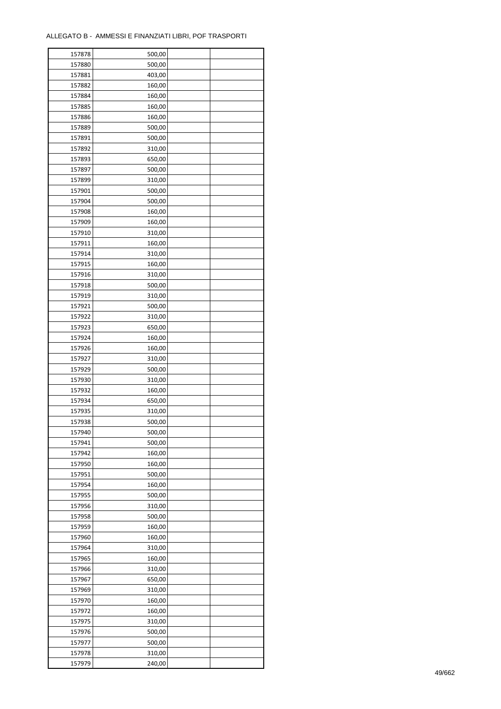| 157878 | 500,00 |  |
|--------|--------|--|
| 157880 | 500,00 |  |
| 157881 | 403,00 |  |
| 157882 | 160,00 |  |
| 157884 | 160,00 |  |
| 157885 | 160,00 |  |
| 157886 | 160,00 |  |
| 157889 | 500,00 |  |
|        |        |  |
| 157891 | 500,00 |  |
| 157892 | 310,00 |  |
| 157893 | 650,00 |  |
| 157897 | 500,00 |  |
| 157899 | 310,00 |  |
| 157901 | 500,00 |  |
| 157904 | 500,00 |  |
| 157908 | 160,00 |  |
| 157909 | 160,00 |  |
| 157910 | 310,00 |  |
| 157911 | 160,00 |  |
| 157914 | 310,00 |  |
| 157915 | 160,00 |  |
| 157916 | 310,00 |  |
| 157918 | 500,00 |  |
| 157919 | 310,00 |  |
| 157921 | 500,00 |  |
| 157922 | 310,00 |  |
| 157923 | 650,00 |  |
| 157924 | 160,00 |  |
| 157926 | 160,00 |  |
|        |        |  |
| 157927 | 310,00 |  |
| 157929 | 500,00 |  |
| 157930 | 310,00 |  |
| 157932 | 160,00 |  |
| 157934 | 650,00 |  |
| 157935 | 310,00 |  |
| 157938 | 500,00 |  |
| 157940 | 500,00 |  |
| 157941 | 500,00 |  |
| 157942 | 160,00 |  |
| 157950 | 160,00 |  |
| 157951 | 500,00 |  |
| 157954 | 160,00 |  |
| 157955 | 500,00 |  |
| 157956 | 310,00 |  |
| 157958 | 500,00 |  |
| 157959 | 160,00 |  |
| 157960 | 160,00 |  |
| 157964 | 310,00 |  |
| 157965 | 160,00 |  |
| 157966 | 310,00 |  |
|        |        |  |
| 157967 | 650,00 |  |
| 157969 | 310,00 |  |
| 157970 | 160,00 |  |
| 157972 | 160,00 |  |
| 157975 | 310,00 |  |
| 157976 | 500,00 |  |
| 157977 | 500,00 |  |
| 157978 | 310,00 |  |
| 157979 | 240,00 |  |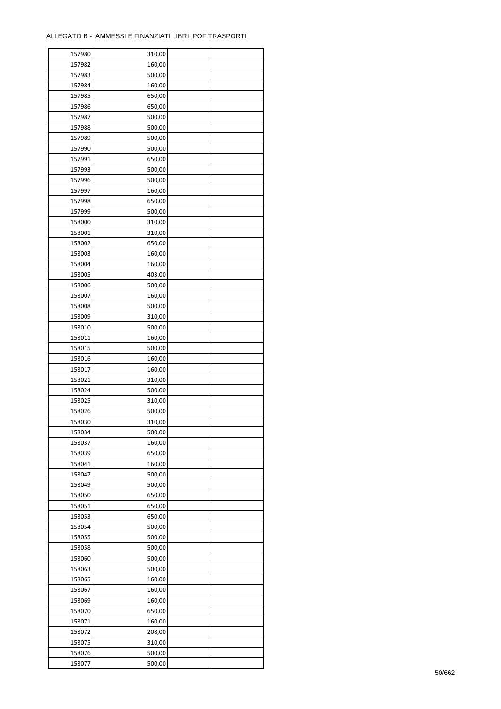| 157980 | 310,00 |  |
|--------|--------|--|
| 157982 | 160,00 |  |
| 157983 | 500,00 |  |
| 157984 | 160,00 |  |
| 157985 | 650,00 |  |
| 157986 | 650,00 |  |
| 157987 | 500,00 |  |
| 157988 | 500,00 |  |
| 157989 | 500,00 |  |
| 157990 | 500,00 |  |
| 157991 | 650,00 |  |
| 157993 | 500,00 |  |
| 157996 | 500,00 |  |
| 157997 | 160,00 |  |
|        |        |  |
| 157998 | 650,00 |  |
| 157999 | 500,00 |  |
| 158000 | 310,00 |  |
| 158001 | 310,00 |  |
| 158002 | 650,00 |  |
| 158003 | 160,00 |  |
| 158004 | 160,00 |  |
| 158005 | 403,00 |  |
| 158006 | 500,00 |  |
| 158007 | 160,00 |  |
| 158008 | 500,00 |  |
| 158009 | 310,00 |  |
| 158010 | 500,00 |  |
| 158011 | 160,00 |  |
| 158015 | 500,00 |  |
| 158016 | 160,00 |  |
| 158017 | 160,00 |  |
| 158021 | 310,00 |  |
| 158024 | 500,00 |  |
| 158025 | 310,00 |  |
| 158026 | 500,00 |  |
| 158030 | 310,00 |  |
| 158034 | 500,00 |  |
| 158037 | 160,00 |  |
| 158039 | 650,00 |  |
| 158041 | 160,00 |  |
| 158047 | 500,00 |  |
| 158049 | 500,00 |  |
| 158050 | 650,00 |  |
| 158051 | 650,00 |  |
| 158053 | 650,00 |  |
| 158054 | 500,00 |  |
| 158055 | 500,00 |  |
| 158058 | 500,00 |  |
| 158060 | 500,00 |  |
| 158063 | 500,00 |  |
| 158065 | 160,00 |  |
| 158067 | 160,00 |  |
| 158069 | 160,00 |  |
|        |        |  |
| 158070 | 650,00 |  |
| 158071 | 160,00 |  |
| 158072 | 208,00 |  |
| 158075 | 310,00 |  |
| 158076 | 500,00 |  |
| 158077 | 500,00 |  |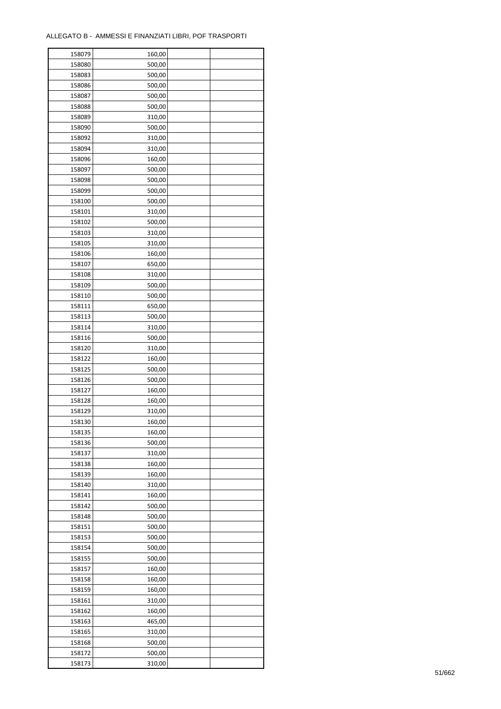| 158079 | 160,00           |  |
|--------|------------------|--|
| 158080 | 500,00           |  |
| 158083 | 500,00           |  |
| 158086 | 500,00           |  |
| 158087 | 500,00           |  |
| 158088 | 500,00           |  |
| 158089 | 310,00           |  |
| 158090 | 500,00           |  |
|        |                  |  |
| 158092 | 310,00<br>310,00 |  |
| 158094 |                  |  |
| 158096 | 160,00           |  |
| 158097 | 500,00           |  |
| 158098 | 500,00           |  |
| 158099 | 500,00           |  |
| 158100 | 500,00           |  |
| 158101 | 310,00           |  |
| 158102 | 500,00           |  |
| 158103 | 310,00           |  |
| 158105 | 310,00           |  |
| 158106 | 160,00           |  |
| 158107 | 650,00           |  |
| 158108 | 310,00           |  |
| 158109 | 500,00           |  |
| 158110 | 500,00           |  |
| 158111 | 650,00           |  |
| 158113 | 500,00           |  |
| 158114 | 310,00           |  |
| 158116 | 500,00           |  |
| 158120 | 310,00           |  |
| 158122 | 160,00           |  |
|        |                  |  |
| 158125 | 500,00           |  |
| 158126 | 500,00           |  |
| 158127 | 160,00           |  |
| 158128 | 160,00           |  |
| 158129 | 310,00           |  |
| 158130 | 160,00           |  |
| 158135 | 160,00           |  |
| 158136 | 500,00           |  |
| 158137 | 310,00           |  |
| 158138 | 160,00           |  |
| 158139 | 160,00           |  |
| 158140 | 310,00           |  |
| 158141 | 160,00           |  |
| 158142 | 500,00           |  |
| 158148 | 500,00           |  |
| 158151 | 500,00           |  |
| 158153 | 500,00           |  |
| 158154 | 500,00           |  |
| 158155 | 500,00           |  |
| 158157 | 160,00           |  |
| 158158 | 160,00           |  |
| 158159 | 160,00           |  |
|        |                  |  |
| 158161 | 310,00           |  |
| 158162 | 160,00           |  |
| 158163 | 465,00           |  |
| 158165 | 310,00           |  |
| 158168 | 500,00           |  |
| 158172 | 500,00           |  |
| 158173 | 310,00           |  |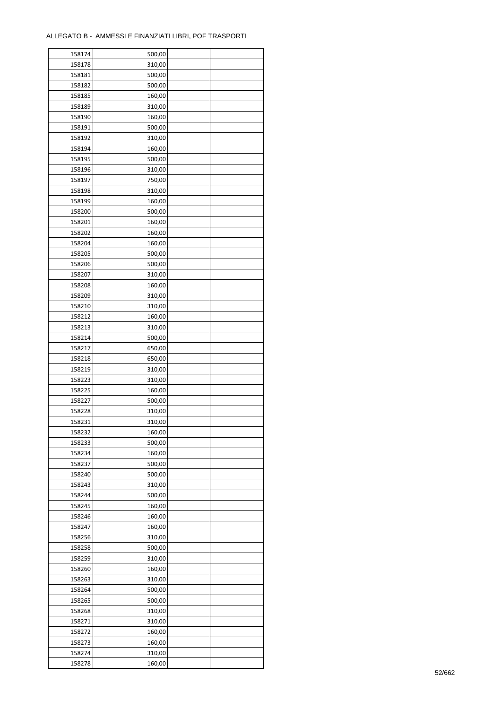| 158174 | 500,00 |  |
|--------|--------|--|
| 158178 | 310,00 |  |
| 158181 | 500,00 |  |
| 158182 | 500,00 |  |
| 158185 | 160,00 |  |
| 158189 | 310,00 |  |
| 158190 | 160,00 |  |
| 158191 | 500,00 |  |
|        |        |  |
| 158192 | 310,00 |  |
| 158194 | 160,00 |  |
| 158195 | 500,00 |  |
| 158196 | 310,00 |  |
| 158197 | 750,00 |  |
| 158198 | 310,00 |  |
| 158199 | 160,00 |  |
| 158200 | 500,00 |  |
| 158201 | 160,00 |  |
| 158202 | 160,00 |  |
| 158204 | 160,00 |  |
| 158205 | 500,00 |  |
| 158206 | 500,00 |  |
| 158207 | 310,00 |  |
| 158208 | 160,00 |  |
| 158209 | 310,00 |  |
| 158210 | 310,00 |  |
| 158212 | 160,00 |  |
| 158213 | 310,00 |  |
| 158214 | 500,00 |  |
| 158217 | 650,00 |  |
|        |        |  |
| 158218 | 650,00 |  |
| 158219 | 310,00 |  |
| 158223 | 310,00 |  |
| 158225 | 160,00 |  |
| 158227 | 500,00 |  |
| 158228 | 310,00 |  |
| 158231 | 310,00 |  |
| 158232 | 160,00 |  |
| 158233 | 500,00 |  |
| 158234 | 160,00 |  |
| 158237 | 500,00 |  |
| 158240 | 500,00 |  |
| 158243 | 310,00 |  |
| 158244 | 500,00 |  |
| 158245 | 160,00 |  |
| 158246 | 160,00 |  |
| 158247 | 160,00 |  |
| 158256 | 310,00 |  |
| 158258 | 500,00 |  |
| 158259 | 310,00 |  |
| 158260 | 160,00 |  |
|        |        |  |
| 158263 | 310,00 |  |
| 158264 | 500,00 |  |
| 158265 | 500,00 |  |
| 158268 | 310,00 |  |
| 158271 | 310,00 |  |
| 158272 | 160,00 |  |
| 158273 | 160,00 |  |
| 158274 | 310,00 |  |
| 158278 | 160,00 |  |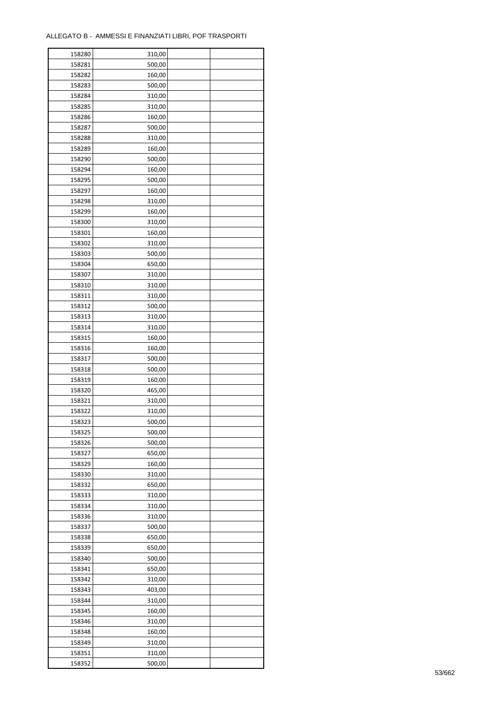| 158280 | 310,00 |  |
|--------|--------|--|
| 158281 | 500,00 |  |
| 158282 | 160,00 |  |
| 158283 | 500,00 |  |
| 158284 | 310,00 |  |
| 158285 | 310,00 |  |
| 158286 | 160,00 |  |
| 158287 | 500,00 |  |
| 158288 | 310,00 |  |
| 158289 | 160,00 |  |
| 158290 | 500,00 |  |
| 158294 | 160,00 |  |
| 158295 | 500,00 |  |
| 158297 | 160,00 |  |
|        |        |  |
| 158298 | 310,00 |  |
| 158299 | 160,00 |  |
| 158300 | 310,00 |  |
| 158301 | 160,00 |  |
| 158302 | 310,00 |  |
| 158303 | 500,00 |  |
| 158304 | 650,00 |  |
| 158307 | 310,00 |  |
| 158310 | 310,00 |  |
| 158311 | 310,00 |  |
| 158312 | 500,00 |  |
| 158313 | 310,00 |  |
| 158314 | 310,00 |  |
| 158315 | 160,00 |  |
| 158316 | 160,00 |  |
| 158317 | 500,00 |  |
| 158318 | 500,00 |  |
| 158319 | 160,00 |  |
| 158320 | 465,00 |  |
| 158321 | 310,00 |  |
| 158322 | 310,00 |  |
| 158323 | 500,00 |  |
| 158325 | 500,00 |  |
| 158326 | 500,00 |  |
|        |        |  |
| 158327 | 650,00 |  |
| 158329 | 160,00 |  |
| 158330 | 310,00 |  |
| 158332 | 650,00 |  |
| 158333 | 310,00 |  |
| 158334 | 310,00 |  |
| 158336 | 310,00 |  |
| 158337 | 500,00 |  |
| 158338 | 650,00 |  |
| 158339 | 650,00 |  |
| 158340 | 500,00 |  |
| 158341 | 650,00 |  |
| 158342 | 310,00 |  |
| 158343 | 403,00 |  |
| 158344 | 310,00 |  |
| 158345 | 160,00 |  |
| 158346 | 310,00 |  |
| 158348 | 160,00 |  |
| 158349 | 310,00 |  |
| 158351 | 310,00 |  |
| 158352 | 500,00 |  |
|        |        |  |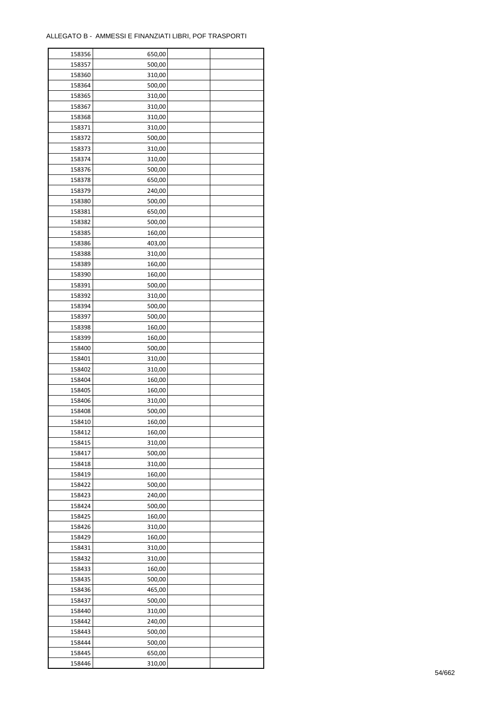| 158356 | 650,00 |  |
|--------|--------|--|
| 158357 | 500,00 |  |
| 158360 | 310,00 |  |
| 158364 | 500,00 |  |
| 158365 | 310,00 |  |
| 158367 | 310,00 |  |
| 158368 | 310,00 |  |
| 158371 | 310,00 |  |
|        |        |  |
| 158372 | 500,00 |  |
| 158373 | 310,00 |  |
| 158374 | 310,00 |  |
| 158376 | 500,00 |  |
| 158378 | 650,00 |  |
| 158379 | 240,00 |  |
| 158380 | 500,00 |  |
| 158381 | 650,00 |  |
| 158382 | 500,00 |  |
| 158385 | 160,00 |  |
| 158386 | 403,00 |  |
| 158388 | 310,00 |  |
| 158389 | 160,00 |  |
| 158390 | 160,00 |  |
| 158391 | 500,00 |  |
| 158392 | 310,00 |  |
|        |        |  |
| 158394 | 500,00 |  |
| 158397 | 500,00 |  |
| 158398 | 160,00 |  |
| 158399 | 160,00 |  |
| 158400 | 500,00 |  |
| 158401 | 310,00 |  |
| 158402 | 310,00 |  |
| 158404 | 160,00 |  |
| 158405 | 160,00 |  |
| 158406 | 310,00 |  |
| 158408 | 500,00 |  |
| 158410 | 160,00 |  |
| 158412 | 160,00 |  |
| 158415 | 310,00 |  |
| 158417 | 500,00 |  |
| 158418 | 310,00 |  |
|        |        |  |
| 158419 | 160,00 |  |
| 158422 | 500,00 |  |
| 158423 | 240,00 |  |
| 158424 | 500,00 |  |
| 158425 | 160,00 |  |
| 158426 | 310,00 |  |
| 158429 | 160,00 |  |
| 158431 | 310,00 |  |
| 158432 | 310,00 |  |
| 158433 | 160,00 |  |
| 158435 | 500,00 |  |
| 158436 | 465,00 |  |
| 158437 | 500,00 |  |
| 158440 | 310,00 |  |
| 158442 | 240,00 |  |
|        |        |  |
| 158443 | 500,00 |  |
| 158444 | 500,00 |  |
| 158445 | 650,00 |  |
| 158446 | 310,00 |  |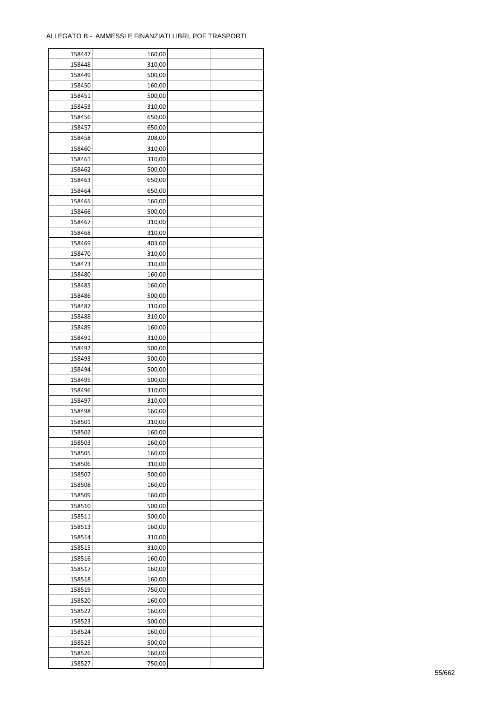| 158447 | 160,00 |  |
|--------|--------|--|
| 158448 | 310,00 |  |
| 158449 | 500,00 |  |
| 158450 | 160,00 |  |
| 158451 | 500,00 |  |
| 158453 | 310,00 |  |
| 158456 | 650,00 |  |
| 158457 | 650,00 |  |
|        |        |  |
| 158458 | 208,00 |  |
| 158460 | 310,00 |  |
| 158461 | 310,00 |  |
| 158462 | 500,00 |  |
| 158463 | 650,00 |  |
| 158464 | 650,00 |  |
| 158465 | 160,00 |  |
| 158466 | 500,00 |  |
| 158467 | 310,00 |  |
| 158468 | 310,00 |  |
| 158469 | 403,00 |  |
| 158470 | 310,00 |  |
| 158473 | 310,00 |  |
| 158480 | 160,00 |  |
| 158485 | 160,00 |  |
| 158486 | 500,00 |  |
| 158487 | 310,00 |  |
| 158488 | 310,00 |  |
| 158489 | 160,00 |  |
| 158491 | 310,00 |  |
| 158492 | 500,00 |  |
| 158493 | 500,00 |  |
|        |        |  |
| 158494 | 500,00 |  |
| 158495 | 500,00 |  |
| 158496 | 310,00 |  |
| 158497 | 310,00 |  |
| 158498 | 160,00 |  |
| 158501 | 310,00 |  |
| 158502 | 160,00 |  |
| 158503 | 160,00 |  |
| 158505 | 160,00 |  |
| 158506 | 310,00 |  |
| 158507 | 500,00 |  |
| 158508 | 160,00 |  |
| 158509 | 160,00 |  |
| 158510 | 500,00 |  |
| 158511 | 500,00 |  |
| 158513 | 160,00 |  |
| 158514 | 310,00 |  |
| 158515 | 310,00 |  |
| 158516 | 160,00 |  |
| 158517 | 160,00 |  |
| 158518 | 160,00 |  |
|        |        |  |
| 158519 | 750,00 |  |
| 158520 | 160,00 |  |
| 158522 | 160,00 |  |
| 158523 | 500,00 |  |
| 158524 | 160,00 |  |
| 158525 | 500,00 |  |
| 158526 | 160,00 |  |
| 158527 | 750,00 |  |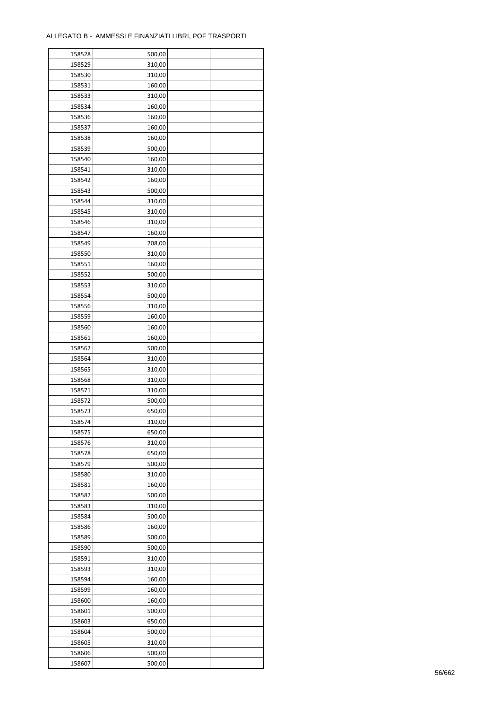| 158528 | 500,00 |  |
|--------|--------|--|
| 158529 | 310,00 |  |
| 158530 | 310,00 |  |
| 158531 | 160,00 |  |
| 158533 | 310,00 |  |
| 158534 | 160,00 |  |
| 158536 | 160,00 |  |
| 158537 | 160,00 |  |
| 158538 | 160,00 |  |
| 158539 | 500,00 |  |
| 158540 | 160,00 |  |
| 158541 | 310,00 |  |
| 158542 | 160,00 |  |
| 158543 | 500,00 |  |
|        |        |  |
| 158544 | 310,00 |  |
| 158545 | 310,00 |  |
| 158546 | 310,00 |  |
| 158547 | 160,00 |  |
| 158549 | 208,00 |  |
| 158550 | 310,00 |  |
| 158551 | 160,00 |  |
| 158552 | 500,00 |  |
| 158553 | 310,00 |  |
| 158554 | 500,00 |  |
| 158556 | 310,00 |  |
| 158559 | 160,00 |  |
| 158560 | 160,00 |  |
| 158561 | 160,00 |  |
| 158562 | 500,00 |  |
| 158564 | 310,00 |  |
| 158565 | 310,00 |  |
| 158568 | 310,00 |  |
| 158571 | 310,00 |  |
| 158572 | 500,00 |  |
| 158573 | 650,00 |  |
| 158574 | 310,00 |  |
| 158575 | 650,00 |  |
| 158576 | 310,00 |  |
|        |        |  |
| 158578 | 650,00 |  |
| 158579 | 500,00 |  |
| 158580 | 310,00 |  |
| 158581 | 160,00 |  |
| 158582 | 500,00 |  |
| 158583 | 310,00 |  |
| 158584 | 500,00 |  |
| 158586 | 160,00 |  |
| 158589 | 500,00 |  |
| 158590 | 500,00 |  |
| 158591 | 310,00 |  |
| 158593 | 310,00 |  |
| 158594 | 160,00 |  |
| 158599 | 160,00 |  |
| 158600 | 160,00 |  |
| 158601 | 500,00 |  |
| 158603 | 650,00 |  |
| 158604 | 500,00 |  |
| 158605 | 310,00 |  |
| 158606 | 500,00 |  |
| 158607 | 500,00 |  |
|        |        |  |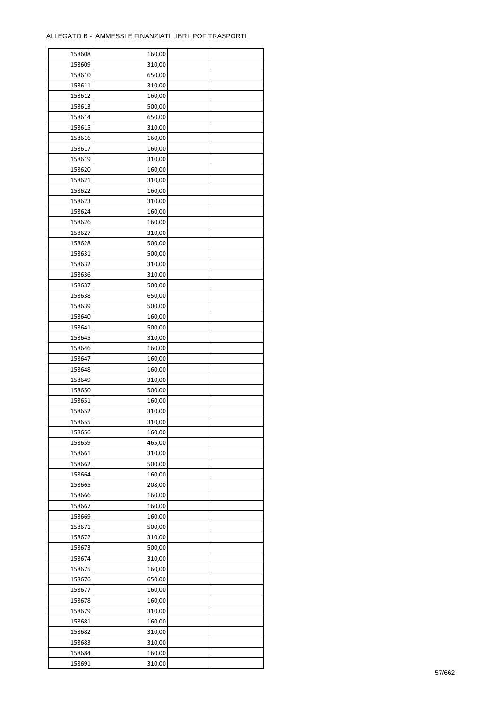| 158608 | 160,00 |  |
|--------|--------|--|
| 158609 | 310,00 |  |
| 158610 | 650,00 |  |
| 158611 | 310,00 |  |
| 158612 | 160,00 |  |
| 158613 | 500,00 |  |
| 158614 | 650,00 |  |
| 158615 | 310,00 |  |
| 158616 | 160,00 |  |
| 158617 | 160,00 |  |
|        |        |  |
| 158619 | 310,00 |  |
| 158620 | 160,00 |  |
| 158621 | 310,00 |  |
| 158622 | 160,00 |  |
| 158623 | 310,00 |  |
| 158624 | 160,00 |  |
| 158626 | 160,00 |  |
| 158627 | 310,00 |  |
| 158628 | 500,00 |  |
| 158631 | 500,00 |  |
| 158632 | 310,00 |  |
| 158636 | 310,00 |  |
| 158637 | 500,00 |  |
| 158638 | 650,00 |  |
| 158639 | 500,00 |  |
| 158640 | 160,00 |  |
| 158641 | 500,00 |  |
| 158645 | 310,00 |  |
| 158646 | 160,00 |  |
|        |        |  |
| 158647 | 160,00 |  |
| 158648 | 160,00 |  |
| 158649 | 310,00 |  |
| 158650 | 500,00 |  |
| 158651 | 160,00 |  |
| 158652 | 310,00 |  |
| 158655 | 310,00 |  |
| 158656 | 160,00 |  |
| 158659 | 465,00 |  |
| 158661 | 310,00 |  |
| 158662 | 500,00 |  |
| 158664 | 160,00 |  |
| 158665 | 208,00 |  |
| 158666 | 160,00 |  |
| 158667 | 160,00 |  |
| 158669 | 160,00 |  |
| 158671 | 500,00 |  |
| 158672 | 310,00 |  |
| 158673 | 500,00 |  |
| 158674 | 310,00 |  |
| 158675 | 160,00 |  |
|        |        |  |
| 158676 | 650,00 |  |
| 158677 | 160,00 |  |
| 158678 | 160,00 |  |
| 158679 | 310,00 |  |
| 158681 | 160,00 |  |
| 158682 | 310,00 |  |
| 158683 | 310,00 |  |
| 158684 | 160,00 |  |
| 158691 | 310,00 |  |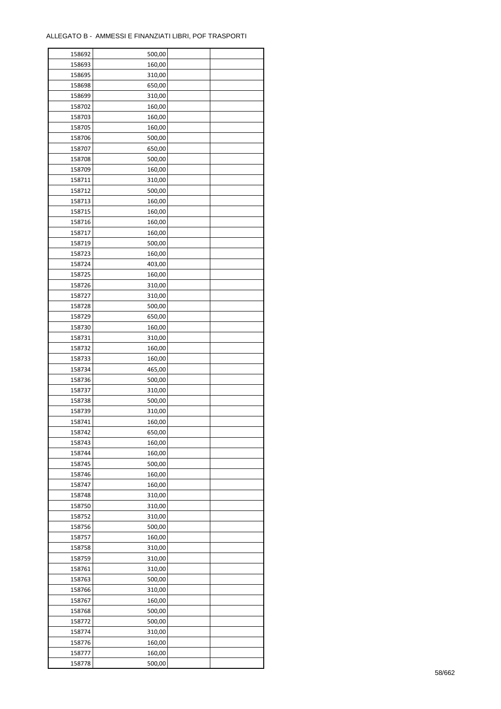| 158692 | 500,00 |  |
|--------|--------|--|
| 158693 | 160,00 |  |
| 158695 | 310,00 |  |
| 158698 | 650,00 |  |
| 158699 | 310,00 |  |
| 158702 | 160,00 |  |
| 158703 | 160,00 |  |
| 158705 | 160,00 |  |
| 158706 | 500,00 |  |
| 158707 | 650,00 |  |
| 158708 | 500,00 |  |
|        |        |  |
| 158709 | 160,00 |  |
| 158711 | 310,00 |  |
| 158712 | 500,00 |  |
| 158713 | 160,00 |  |
| 158715 | 160,00 |  |
| 158716 | 160,00 |  |
| 158717 | 160,00 |  |
| 158719 | 500,00 |  |
| 158723 | 160,00 |  |
| 158724 | 403,00 |  |
| 158725 | 160,00 |  |
| 158726 | 310,00 |  |
| 158727 | 310,00 |  |
| 158728 | 500,00 |  |
| 158729 | 650,00 |  |
| 158730 | 160,00 |  |
| 158731 | 310,00 |  |
| 158732 | 160,00 |  |
| 158733 | 160,00 |  |
| 158734 | 465,00 |  |
| 158736 | 500,00 |  |
| 158737 | 310,00 |  |
| 158738 | 500,00 |  |
| 158739 | 310,00 |  |
| 158741 | 160,00 |  |
|        |        |  |
| 158742 | 650,00 |  |
| 158743 | 160,00 |  |
| 158744 | 160,00 |  |
| 158745 | 500,00 |  |
| 158746 | 160,00 |  |
| 158747 | 160,00 |  |
| 158748 | 310,00 |  |
| 158750 | 310,00 |  |
| 158752 | 310,00 |  |
| 158756 | 500,00 |  |
| 158757 | 160,00 |  |
| 158758 | 310,00 |  |
| 158759 | 310,00 |  |
| 158761 | 310,00 |  |
| 158763 | 500,00 |  |
| 158766 | 310,00 |  |
| 158767 | 160,00 |  |
| 158768 | 500,00 |  |
| 158772 | 500,00 |  |
| 158774 | 310,00 |  |
| 158776 | 160,00 |  |
| 158777 | 160,00 |  |
| 158778 | 500,00 |  |
|        |        |  |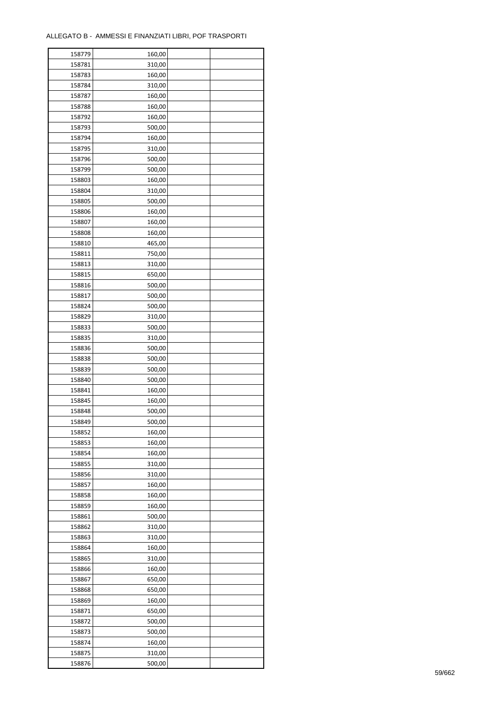| 158779 | 160,00 |  |
|--------|--------|--|
| 158781 | 310,00 |  |
| 158783 | 160,00 |  |
| 158784 | 310,00 |  |
| 158787 | 160,00 |  |
| 158788 | 160,00 |  |
| 158792 | 160,00 |  |
| 158793 | 500,00 |  |
| 158794 | 160,00 |  |
| 158795 | 310,00 |  |
| 158796 | 500,00 |  |
| 158799 | 500,00 |  |
| 158803 | 160,00 |  |
| 158804 |        |  |
|        | 310,00 |  |
| 158805 | 500,00 |  |
| 158806 | 160,00 |  |
| 158807 | 160,00 |  |
| 158808 | 160,00 |  |
| 158810 | 465,00 |  |
| 158811 | 750,00 |  |
| 158813 | 310,00 |  |
| 158815 | 650,00 |  |
| 158816 | 500,00 |  |
| 158817 | 500,00 |  |
| 158824 | 500,00 |  |
| 158829 | 310,00 |  |
| 158833 | 500,00 |  |
| 158835 | 310,00 |  |
| 158836 | 500,00 |  |
| 158838 | 500,00 |  |
| 158839 | 500,00 |  |
| 158840 | 500,00 |  |
| 158841 | 160,00 |  |
| 158845 | 160,00 |  |
| 158848 | 500,00 |  |
| 158849 | 500,00 |  |
| 158852 | 160,00 |  |
| 158853 | 160,00 |  |
| 158854 | 160,00 |  |
| 158855 | 310,00 |  |
| 158856 | 310,00 |  |
| 158857 | 160,00 |  |
|        |        |  |
| 158858 | 160,00 |  |
| 158859 | 160,00 |  |
| 158861 | 500,00 |  |
| 158862 | 310,00 |  |
| 158863 | 310,00 |  |
| 158864 | 160,00 |  |
| 158865 | 310,00 |  |
| 158866 | 160,00 |  |
| 158867 | 650,00 |  |
| 158868 | 650,00 |  |
| 158869 | 160,00 |  |
| 158871 | 650,00 |  |
| 158872 | 500,00 |  |
| 158873 | 500,00 |  |
| 158874 | 160,00 |  |
| 158875 | 310,00 |  |
| 158876 | 500,00 |  |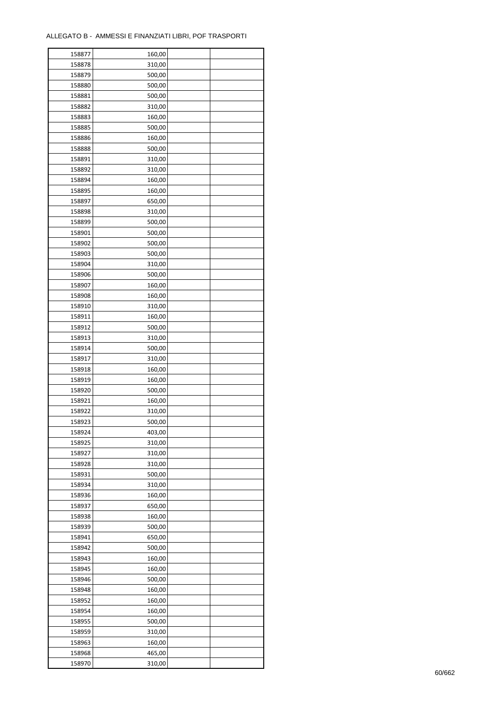| 158877 | 160,00 |  |
|--------|--------|--|
| 158878 | 310,00 |  |
| 158879 | 500,00 |  |
| 158880 | 500,00 |  |
| 158881 | 500,00 |  |
| 158882 | 310,00 |  |
| 158883 | 160,00 |  |
| 158885 | 500,00 |  |
| 158886 | 160,00 |  |
| 158888 | 500,00 |  |
| 158891 | 310,00 |  |
| 158892 | 310,00 |  |
|        |        |  |
| 158894 | 160,00 |  |
| 158895 | 160,00 |  |
| 158897 | 650,00 |  |
| 158898 | 310,00 |  |
| 158899 | 500,00 |  |
| 158901 | 500,00 |  |
| 158902 | 500,00 |  |
| 158903 | 500,00 |  |
| 158904 | 310,00 |  |
| 158906 | 500,00 |  |
| 158907 | 160,00 |  |
| 158908 | 160,00 |  |
| 158910 | 310,00 |  |
| 158911 | 160,00 |  |
| 158912 | 500,00 |  |
| 158913 | 310,00 |  |
| 158914 | 500,00 |  |
| 158917 | 310,00 |  |
| 158918 | 160,00 |  |
| 158919 | 160,00 |  |
| 158920 | 500,00 |  |
| 158921 | 160,00 |  |
| 158922 | 310,00 |  |
| 158923 | 500,00 |  |
| 158924 | 403,00 |  |
| 158925 | 310,00 |  |
| 158927 | 310,00 |  |
| 158928 | 310,00 |  |
| 158931 | 500,00 |  |
| 158934 | 310,00 |  |
| 158936 | 160,00 |  |
|        |        |  |
| 158937 | 650,00 |  |
| 158938 | 160,00 |  |
| 158939 | 500,00 |  |
| 158941 | 650,00 |  |
| 158942 | 500,00 |  |
| 158943 | 160,00 |  |
| 158945 | 160,00 |  |
| 158946 | 500,00 |  |
| 158948 | 160,00 |  |
| 158952 | 160,00 |  |
| 158954 | 160,00 |  |
| 158955 | 500,00 |  |
| 158959 | 310,00 |  |
| 158963 | 160,00 |  |
| 158968 | 465,00 |  |
| 158970 | 310,00 |  |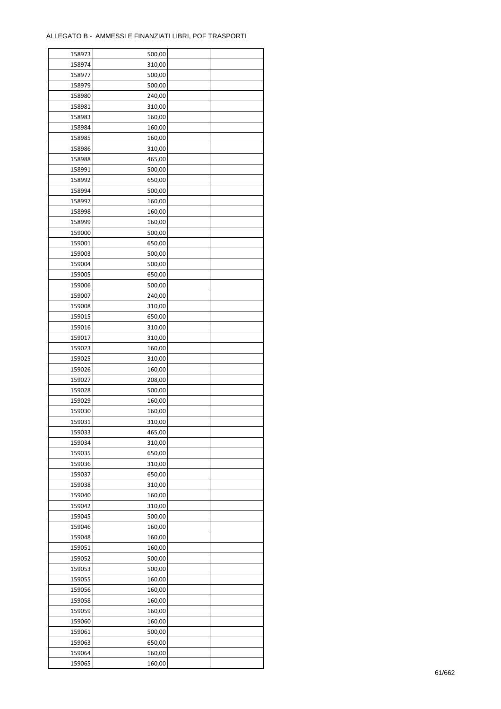| 158973 | 500,00 |  |
|--------|--------|--|
| 158974 | 310,00 |  |
| 158977 | 500,00 |  |
| 158979 | 500,00 |  |
| 158980 | 240,00 |  |
| 158981 | 310,00 |  |
| 158983 | 160,00 |  |
| 158984 | 160,00 |  |
| 158985 | 160,00 |  |
| 158986 | 310,00 |  |
| 158988 | 465,00 |  |
| 158991 | 500,00 |  |
| 158992 | 650,00 |  |
|        |        |  |
| 158994 | 500,00 |  |
| 158997 | 160,00 |  |
| 158998 | 160,00 |  |
| 158999 | 160,00 |  |
| 159000 | 500,00 |  |
| 159001 | 650,00 |  |
| 159003 | 500,00 |  |
| 159004 | 500,00 |  |
| 159005 | 650,00 |  |
| 159006 | 500,00 |  |
| 159007 | 240,00 |  |
| 159008 | 310,00 |  |
| 159015 | 650,00 |  |
| 159016 | 310,00 |  |
| 159017 | 310,00 |  |
| 159023 | 160,00 |  |
| 159025 | 310,00 |  |
| 159026 | 160,00 |  |
| 159027 | 208,00 |  |
| 159028 | 500,00 |  |
| 159029 | 160,00 |  |
| 159030 | 160,00 |  |
| 159031 | 310,00 |  |
| 159033 | 465,00 |  |
| 159034 | 310,00 |  |
| 159035 | 650,00 |  |
| 159036 | 310,00 |  |
| 159037 | 650,00 |  |
| 159038 | 310,00 |  |
| 159040 | 160,00 |  |
| 159042 | 310,00 |  |
| 159045 | 500,00 |  |
| 159046 | 160,00 |  |
| 159048 | 160,00 |  |
| 159051 | 160,00 |  |
| 159052 | 500,00 |  |
| 159053 | 500,00 |  |
| 159055 | 160,00 |  |
| 159056 | 160,00 |  |
| 159058 | 160,00 |  |
| 159059 | 160,00 |  |
| 159060 | 160,00 |  |
| 159061 | 500,00 |  |
| 159063 | 650,00 |  |
|        |        |  |
| 159064 | 160,00 |  |
| 159065 | 160,00 |  |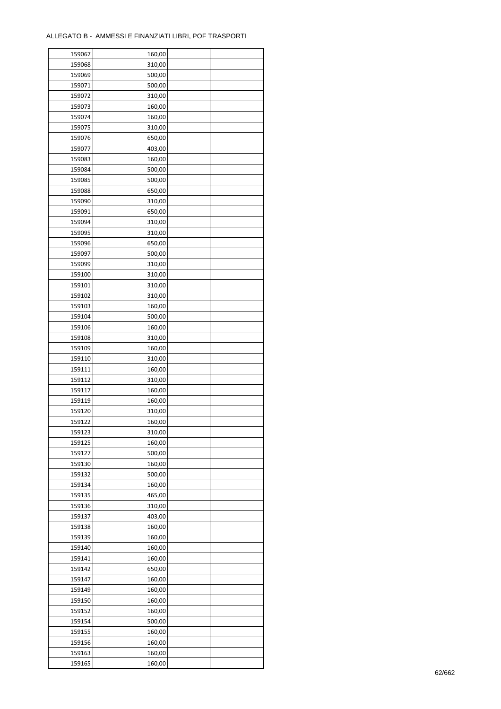| 159067 | 160,00 |  |
|--------|--------|--|
| 159068 | 310,00 |  |
| 159069 | 500,00 |  |
| 159071 | 500,00 |  |
| 159072 | 310,00 |  |
| 159073 | 160,00 |  |
| 159074 | 160,00 |  |
| 159075 | 310,00 |  |
| 159076 | 650,00 |  |
| 159077 | 403,00 |  |
| 159083 | 160,00 |  |
| 159084 | 500,00 |  |
| 159085 | 500,00 |  |
| 159088 | 650,00 |  |
| 159090 | 310,00 |  |
| 159091 | 650,00 |  |
| 159094 | 310,00 |  |
| 159095 | 310,00 |  |
| 159096 | 650,00 |  |
| 159097 | 500,00 |  |
| 159099 | 310,00 |  |
| 159100 | 310,00 |  |
| 159101 | 310,00 |  |
| 159102 | 310,00 |  |
| 159103 | 160,00 |  |
| 159104 | 500,00 |  |
| 159106 | 160,00 |  |
| 159108 | 310,00 |  |
| 159109 | 160,00 |  |
| 159110 | 310,00 |  |
| 159111 | 160,00 |  |
| 159112 | 310,00 |  |
| 159117 | 160,00 |  |
| 159119 | 160,00 |  |
| 159120 | 310,00 |  |
| 159122 | 160,00 |  |
| 159123 | 310,00 |  |
| 159125 | 160,00 |  |
| 159127 | 500,00 |  |
| 159130 | 160,00 |  |
| 159132 | 500,00 |  |
| 159134 | 160,00 |  |
| 159135 | 465,00 |  |
| 159136 | 310,00 |  |
| 159137 | 403,00 |  |
| 159138 | 160,00 |  |
| 159139 | 160,00 |  |
| 159140 | 160,00 |  |
| 159141 | 160,00 |  |
| 159142 | 650,00 |  |
| 159147 | 160,00 |  |
| 159149 | 160,00 |  |
| 159150 | 160,00 |  |
| 159152 | 160,00 |  |
| 159154 | 500,00 |  |
| 159155 | 160,00 |  |
| 159156 | 160,00 |  |
| 159163 | 160,00 |  |
| 159165 | 160,00 |  |
|        |        |  |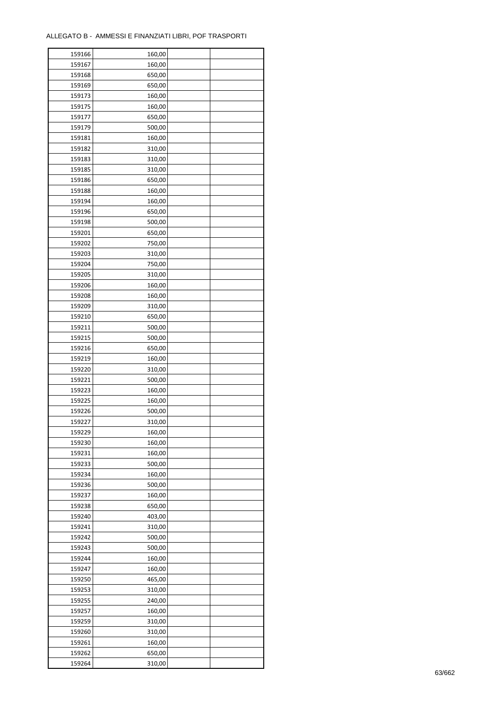| 159166           | 160,00 |  |
|------------------|--------|--|
| 159167           | 160,00 |  |
| 159168           | 650,00 |  |
| 159169           | 650,00 |  |
| 159173           | 160,00 |  |
| 159175           | 160,00 |  |
| 159177           | 650,00 |  |
| 159179           | 500,00 |  |
| 159181           | 160,00 |  |
| 159182           | 310,00 |  |
| 159183           | 310,00 |  |
| 159185           | 310,00 |  |
| 159186           | 650,00 |  |
| 159188           | 160,00 |  |
| 159194           | 160,00 |  |
| 159196           | 650,00 |  |
|                  |        |  |
| 159198<br>159201 | 500,00 |  |
|                  | 650,00 |  |
| 159202           | 750,00 |  |
| 159203           | 310,00 |  |
| 159204           | 750,00 |  |
| 159205           | 310,00 |  |
| 159206           | 160,00 |  |
| 159208           | 160,00 |  |
| 159209           | 310,00 |  |
| 159210           | 650,00 |  |
| 159211           | 500,00 |  |
| 159215           | 500,00 |  |
| 159216           | 650,00 |  |
| 159219           | 160,00 |  |
| 159220           | 310,00 |  |
| 159221           | 500,00 |  |
| 159223           | 160,00 |  |
| 159225           | 160,00 |  |
| 159226           | 500,00 |  |
| 159227           | 310,00 |  |
| 159229           | 160,00 |  |
| 159230           | 160,00 |  |
| 159231           | 160,00 |  |
| 159233           | 500,00 |  |
| 159234           | 160,00 |  |
| 159236           | 500,00 |  |
| 159237           | 160,00 |  |
| 159238           | 650,00 |  |
| 159240           | 403,00 |  |
| 159241           | 310,00 |  |
| 159242           | 500,00 |  |
| 159243           | 500,00 |  |
| 159244           | 160,00 |  |
| 159247           | 160,00 |  |
| 159250           | 465,00 |  |
| 159253           | 310,00 |  |
| 159255           | 240,00 |  |
| 159257           | 160,00 |  |
| 159259           | 310,00 |  |
| 159260           | 310,00 |  |
| 159261           | 160,00 |  |
| 159262           | 650,00 |  |
| 159264           | 310,00 |  |
|                  |        |  |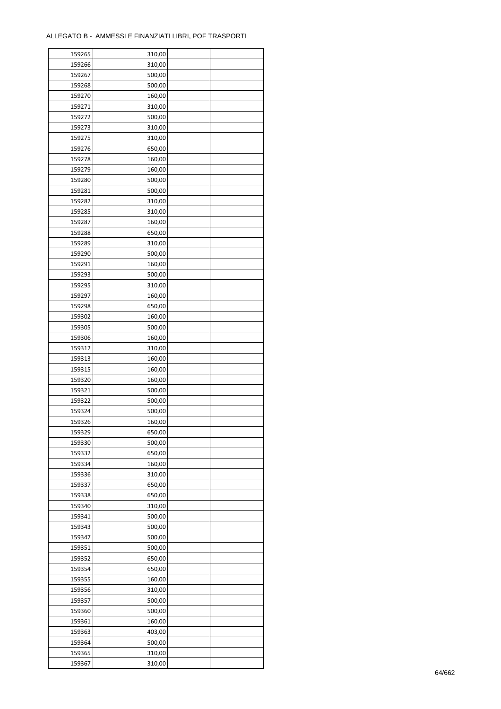| 159265 | 310,00 |  |
|--------|--------|--|
| 159266 | 310,00 |  |
| 159267 | 500,00 |  |
| 159268 | 500,00 |  |
| 159270 | 160,00 |  |
| 159271 | 310,00 |  |
| 159272 | 500,00 |  |
| 159273 | 310,00 |  |
| 159275 | 310,00 |  |
| 159276 | 650,00 |  |
| 159278 | 160,00 |  |
| 159279 | 160,00 |  |
| 159280 | 500,00 |  |
| 159281 | 500,00 |  |
|        |        |  |
| 159282 | 310,00 |  |
| 159285 | 310,00 |  |
| 159287 | 160,00 |  |
| 159288 | 650,00 |  |
| 159289 | 310,00 |  |
| 159290 | 500,00 |  |
| 159291 | 160,00 |  |
| 159293 | 500,00 |  |
| 159295 | 310,00 |  |
| 159297 | 160,00 |  |
| 159298 | 650,00 |  |
| 159302 | 160,00 |  |
| 159305 | 500,00 |  |
| 159306 | 160,00 |  |
| 159312 | 310,00 |  |
| 159313 | 160,00 |  |
| 159315 | 160,00 |  |
| 159320 | 160,00 |  |
| 159321 | 500,00 |  |
| 159322 | 500,00 |  |
| 159324 | 500,00 |  |
| 159326 | 160,00 |  |
| 159329 | 650,00 |  |
| 159330 | 500,00 |  |
| 159332 | 650,00 |  |
| 159334 | 160,00 |  |
| 159336 | 310,00 |  |
| 159337 | 650,00 |  |
| 159338 | 650,00 |  |
| 159340 | 310,00 |  |
| 159341 | 500,00 |  |
| 159343 | 500,00 |  |
| 159347 | 500,00 |  |
| 159351 | 500,00 |  |
| 159352 | 650,00 |  |
| 159354 | 650,00 |  |
| 159355 | 160,00 |  |
| 159356 | 310,00 |  |
| 159357 | 500,00 |  |
| 159360 | 500,00 |  |
| 159361 | 160,00 |  |
| 159363 | 403,00 |  |
| 159364 | 500,00 |  |
|        |        |  |
| 159365 | 310,00 |  |
| 159367 | 310,00 |  |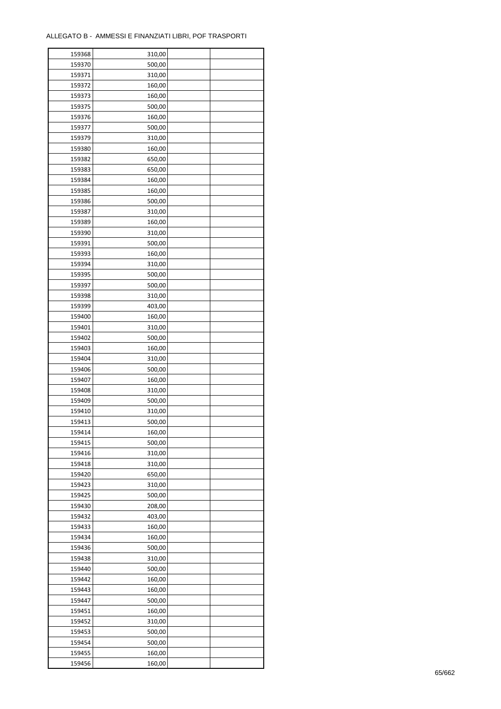ř

| 159368 | 310,00 |  |
|--------|--------|--|
| 159370 | 500,00 |  |
| 159371 | 310,00 |  |
| 159372 | 160,00 |  |
| 159373 | 160,00 |  |
| 159375 | 500,00 |  |
| 159376 | 160,00 |  |
| 159377 | 500,00 |  |
| 159379 | 310,00 |  |
| 159380 | 160,00 |  |
| 159382 |        |  |
|        | 650,00 |  |
| 159383 | 650,00 |  |
| 159384 | 160,00 |  |
| 159385 | 160,00 |  |
| 159386 | 500,00 |  |
| 159387 | 310,00 |  |
| 159389 | 160,00 |  |
| 159390 | 310,00 |  |
| 159391 | 500,00 |  |
| 159393 | 160,00 |  |
| 159394 | 310,00 |  |
| 159395 | 500,00 |  |
| 159397 | 500,00 |  |
| 159398 | 310,00 |  |
| 159399 | 403,00 |  |
| 159400 | 160,00 |  |
| 159401 | 310,00 |  |
| 159402 | 500,00 |  |
| 159403 | 160,00 |  |
| 159404 | 310,00 |  |
|        |        |  |
| 159406 | 500,00 |  |
| 159407 | 160,00 |  |
| 159408 | 310,00 |  |
| 159409 | 500,00 |  |
| 159410 | 310,00 |  |
| 159413 | 500,00 |  |
| 159414 | 160,00 |  |
| 159415 | 500,00 |  |
| 159416 | 310,00 |  |
| 159418 | 310,00 |  |
| 159420 | 650,00 |  |
| 159423 | 310,00 |  |
| 159425 | 500,00 |  |
| 159430 | 208,00 |  |
| 159432 | 403,00 |  |
| 159433 | 160,00 |  |
| 159434 | 160,00 |  |
| 159436 | 500,00 |  |
| 159438 | 310,00 |  |
| 159440 | 500,00 |  |
|        |        |  |
| 159442 | 160,00 |  |
| 159443 | 160,00 |  |
| 159447 | 500,00 |  |
| 159451 | 160,00 |  |
| 159452 | 310,00 |  |
| 159453 | 500,00 |  |
| 159454 | 500,00 |  |
| 159455 | 160,00 |  |
| 159456 | 160,00 |  |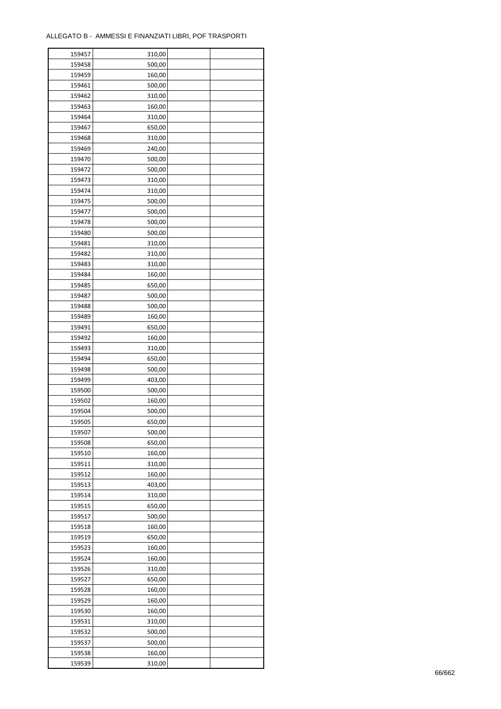ř

| 159457           | 310,00 |  |
|------------------|--------|--|
| 159458           | 500,00 |  |
| 159459           | 160,00 |  |
| 159461           | 500,00 |  |
| 159462           | 310,00 |  |
| 159463           | 160,00 |  |
| 159464           | 310,00 |  |
| 159467           | 650,00 |  |
| 159468           | 310,00 |  |
|                  | 240,00 |  |
| 159469<br>159470 |        |  |
|                  | 500,00 |  |
| 159472           | 500,00 |  |
| 159473           | 310,00 |  |
| 159474           | 310,00 |  |
| 159475           | 500,00 |  |
| 159477           | 500,00 |  |
| 159478           | 500,00 |  |
| 159480           | 500,00 |  |
| 159481           | 310,00 |  |
| 159482           | 310,00 |  |
| 159483           | 310,00 |  |
| 159484           | 160,00 |  |
| 159485           | 650,00 |  |
| 159487           | 500,00 |  |
| 159488           | 500,00 |  |
| 159489           | 160,00 |  |
| 159491           | 650,00 |  |
| 159492           | 160,00 |  |
| 159493           | 310,00 |  |
| 159494           | 650,00 |  |
|                  |        |  |
| 159498           | 500,00 |  |
| 159499           | 403,00 |  |
| 159500           | 500,00 |  |
| 159502           | 160,00 |  |
| 159504           | 500,00 |  |
| 159505           | 650,00 |  |
| 159507           | 500,00 |  |
| 159508           | 650,00 |  |
| 159510           | 160,00 |  |
| 159511           | 310,00 |  |
| 159512           | 160,00 |  |
| 159513           | 403,00 |  |
| 159514           | 310,00 |  |
| 159515           | 650,00 |  |
| 159517           | 500,00 |  |
| 159518           | 160,00 |  |
| 159519           | 650,00 |  |
| 159523           | 160,00 |  |
| 159524           | 160,00 |  |
| 159526           | 310,00 |  |
| 159527           | 650,00 |  |
|                  |        |  |
| 159528           | 160,00 |  |
| 159529           | 160,00 |  |
| 159530           | 160,00 |  |
| 159531           | 310,00 |  |
| 159532           | 500,00 |  |
| 159537           | 500,00 |  |
| 159538           | 160,00 |  |
| 159539           | 310,00 |  |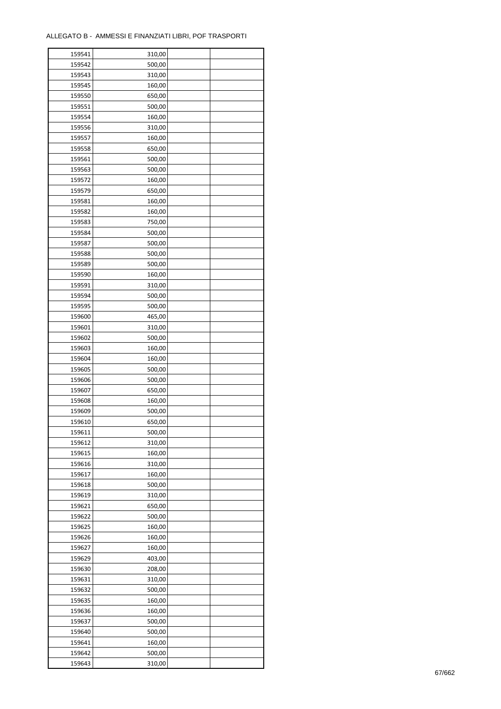ř

| 159541 | 310,00 |  |
|--------|--------|--|
| 159542 | 500,00 |  |
| 159543 | 310,00 |  |
| 159545 | 160,00 |  |
| 159550 | 650,00 |  |
| 159551 | 500,00 |  |
| 159554 | 160,00 |  |
| 159556 | 310,00 |  |
| 159557 | 160,00 |  |
| 159558 | 650,00 |  |
| 159561 |        |  |
| 159563 | 500,00 |  |
|        | 500,00 |  |
| 159572 | 160,00 |  |
| 159579 | 650,00 |  |
| 159581 | 160,00 |  |
| 159582 | 160,00 |  |
| 159583 | 750,00 |  |
| 159584 | 500,00 |  |
| 159587 | 500,00 |  |
| 159588 | 500,00 |  |
| 159589 | 500,00 |  |
| 159590 | 160,00 |  |
| 159591 | 310,00 |  |
| 159594 | 500,00 |  |
| 159595 | 500,00 |  |
| 159600 | 465,00 |  |
| 159601 | 310,00 |  |
| 159602 | 500,00 |  |
| 159603 | 160,00 |  |
| 159604 | 160,00 |  |
| 159605 | 500,00 |  |
| 159606 | 500,00 |  |
|        |        |  |
| 159607 | 650,00 |  |
| 159608 | 160,00 |  |
| 159609 | 500,00 |  |
| 159610 | 650,00 |  |
| 159611 | 500,00 |  |
| 159612 | 310,00 |  |
| 159615 | 160,00 |  |
| 159616 | 310,00 |  |
| 159617 | 160,00 |  |
| 159618 | 500,00 |  |
| 159619 | 310,00 |  |
| 159621 | 650,00 |  |
| 159622 | 500,00 |  |
| 159625 | 160,00 |  |
| 159626 | 160,00 |  |
| 159627 | 160,00 |  |
| 159629 | 403,00 |  |
| 159630 | 208,00 |  |
| 159631 | 310,00 |  |
| 159632 | 500,00 |  |
| 159635 | 160,00 |  |
| 159636 |        |  |
|        | 160,00 |  |
| 159637 | 500,00 |  |
| 159640 | 500,00 |  |
| 159641 | 160,00 |  |
| 159642 | 500,00 |  |
| 159643 | 310,00 |  |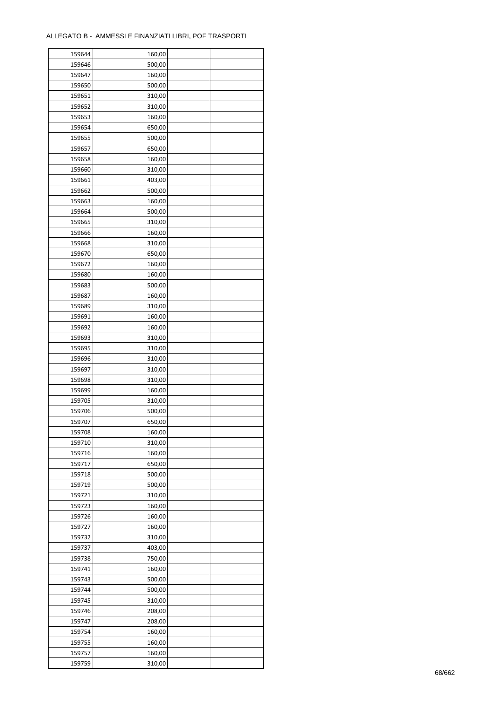| 159644 | 160,00 |  |
|--------|--------|--|
| 159646 | 500,00 |  |
| 159647 | 160,00 |  |
| 159650 | 500,00 |  |
| 159651 | 310,00 |  |
| 159652 | 310,00 |  |
| 159653 | 160,00 |  |
| 159654 | 650,00 |  |
| 159655 |        |  |
|        | 500,00 |  |
| 159657 | 650,00 |  |
| 159658 | 160,00 |  |
| 159660 | 310,00 |  |
| 159661 | 403,00 |  |
| 159662 | 500,00 |  |
| 159663 | 160,00 |  |
| 159664 | 500,00 |  |
| 159665 | 310,00 |  |
| 159666 | 160,00 |  |
| 159668 | 310,00 |  |
| 159670 | 650,00 |  |
| 159672 | 160,00 |  |
| 159680 | 160,00 |  |
| 159683 | 500,00 |  |
| 159687 | 160,00 |  |
| 159689 | 310,00 |  |
| 159691 | 160,00 |  |
| 159692 |        |  |
|        | 160,00 |  |
| 159693 | 310,00 |  |
| 159695 | 310,00 |  |
| 159696 | 310,00 |  |
| 159697 | 310,00 |  |
| 159698 | 310,00 |  |
| 159699 | 160,00 |  |
| 159705 | 310,00 |  |
| 159706 | 500,00 |  |
| 159707 | 650,00 |  |
| 159708 | 160,00 |  |
| 159710 | 310,00 |  |
| 159716 | 160,00 |  |
| 159717 | 650,00 |  |
| 159718 | 500,00 |  |
| 159719 | 500,00 |  |
| 159721 | 310,00 |  |
| 159723 | 160,00 |  |
| 159726 | 160,00 |  |
| 159727 | 160,00 |  |
|        |        |  |
| 159732 | 310,00 |  |
| 159737 | 403,00 |  |
| 159738 | 750,00 |  |
| 159741 | 160,00 |  |
| 159743 | 500,00 |  |
| 159744 | 500,00 |  |
| 159745 | 310,00 |  |
| 159746 | 208,00 |  |
| 159747 | 208,00 |  |
| 159754 | 160,00 |  |
| 159755 | 160,00 |  |
| 159757 | 160,00 |  |
| 159759 | 310,00 |  |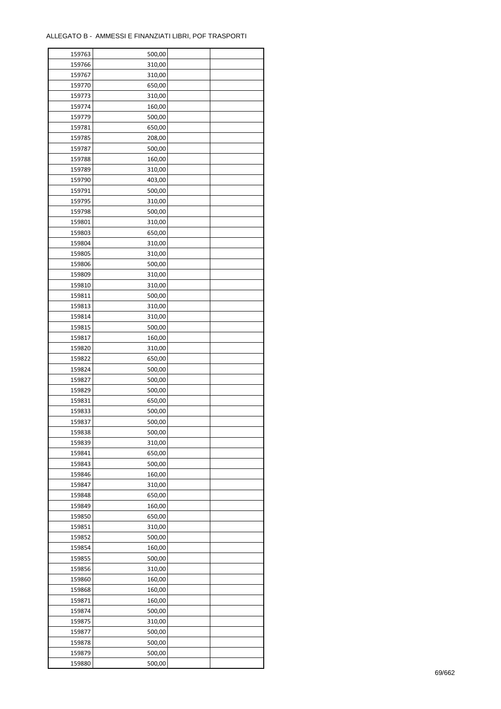| 159763 | 500,00 |  |
|--------|--------|--|
| 159766 | 310,00 |  |
| 159767 | 310,00 |  |
| 159770 | 650,00 |  |
| 159773 | 310,00 |  |
| 159774 | 160,00 |  |
| 159779 | 500,00 |  |
| 159781 | 650,00 |  |
| 159785 | 208,00 |  |
| 159787 | 500,00 |  |
| 159788 | 160,00 |  |
| 159789 | 310,00 |  |
| 159790 | 403,00 |  |
| 159791 | 500,00 |  |
|        |        |  |
| 159795 | 310,00 |  |
| 159798 | 500,00 |  |
| 159801 | 310,00 |  |
| 159803 | 650,00 |  |
| 159804 | 310,00 |  |
| 159805 | 310,00 |  |
| 159806 | 500,00 |  |
| 159809 | 310,00 |  |
| 159810 | 310,00 |  |
| 159811 | 500,00 |  |
| 159813 | 310,00 |  |
| 159814 | 310,00 |  |
| 159815 | 500,00 |  |
| 159817 | 160,00 |  |
| 159820 | 310,00 |  |
| 159822 | 650,00 |  |
| 159824 | 500,00 |  |
| 159827 | 500,00 |  |
| 159829 | 500,00 |  |
| 159831 | 650,00 |  |
| 159833 | 500,00 |  |
| 159837 | 500,00 |  |
| 159838 | 500,00 |  |
| 159839 | 310,00 |  |
| 159841 | 650,00 |  |
|        |        |  |
| 159843 | 500,00 |  |
| 159846 | 160,00 |  |
| 159847 | 310,00 |  |
| 159848 | 650,00 |  |
| 159849 | 160,00 |  |
| 159850 | 650,00 |  |
| 159851 | 310,00 |  |
| 159852 | 500,00 |  |
| 159854 | 160,00 |  |
| 159855 | 500,00 |  |
| 159856 | 310,00 |  |
| 159860 | 160,00 |  |
| 159868 | 160,00 |  |
| 159871 | 160,00 |  |
| 159874 | 500,00 |  |
| 159875 | 310,00 |  |
| 159877 | 500,00 |  |
| 159878 | 500,00 |  |
| 159879 | 500,00 |  |
| 159880 | 500,00 |  |
|        |        |  |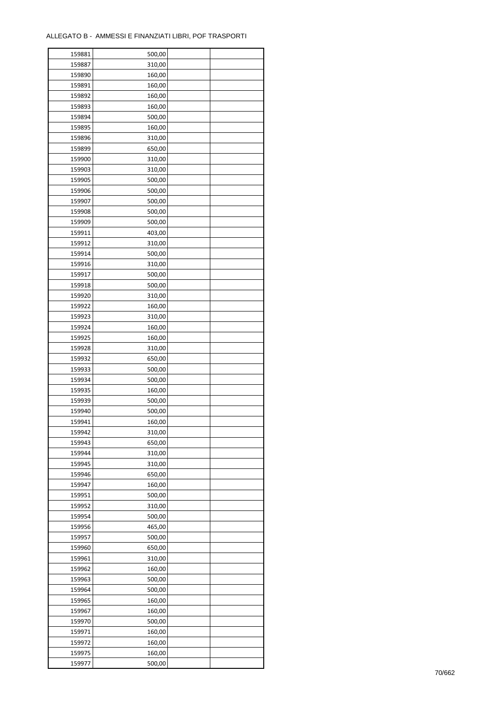| 159881 | 500,00           |  |
|--------|------------------|--|
| 159887 | 310,00           |  |
| 159890 | 160,00           |  |
| 159891 | 160,00           |  |
| 159892 | 160,00           |  |
| 159893 | 160,00           |  |
| 159894 | 500,00           |  |
| 159895 | 160,00           |  |
| 159896 | 310,00           |  |
| 159899 | 650,00           |  |
| 159900 |                  |  |
|        | 310,00           |  |
| 159903 | 310,00           |  |
| 159905 | 500,00           |  |
| 159906 | 500,00           |  |
| 159907 | 500,00           |  |
| 159908 | 500,00           |  |
| 159909 | 500,00           |  |
| 159911 | 403,00           |  |
| 159912 | 310,00           |  |
| 159914 | 500,00           |  |
| 159916 | 310,00           |  |
| 159917 | 500,00           |  |
| 159918 | 500,00           |  |
| 159920 | 310,00           |  |
| 159922 | 160,00           |  |
| 159923 | 310,00           |  |
| 159924 | 160,00           |  |
| 159925 | 160,00           |  |
| 159928 | 310,00           |  |
| 159932 | 650,00           |  |
| 159933 | 500,00           |  |
| 159934 | 500,00           |  |
| 159935 | 160,00           |  |
|        |                  |  |
| 159939 | 500,00<br>500,00 |  |
| 159940 |                  |  |
| 159941 | 160,00           |  |
| 159942 | 310,00           |  |
| 159943 | 650,00           |  |
| 159944 | 310,00           |  |
| 159945 | 310,00           |  |
| 159946 | 650,00           |  |
| 159947 | 160,00           |  |
| 159951 | 500,00           |  |
| 159952 | 310,00           |  |
| 159954 | 500,00           |  |
| 159956 | 465,00           |  |
| 159957 | 500,00           |  |
| 159960 | 650,00           |  |
| 159961 | 310,00           |  |
| 159962 | 160,00           |  |
| 159963 | 500,00           |  |
| 159964 | 500,00           |  |
| 159965 | 160,00           |  |
| 159967 | 160,00           |  |
| 159970 | 500,00           |  |
| 159971 |                  |  |
|        | 160,00           |  |
| 159972 | 160,00           |  |
| 159975 | 160,00           |  |
| 159977 | 500,00           |  |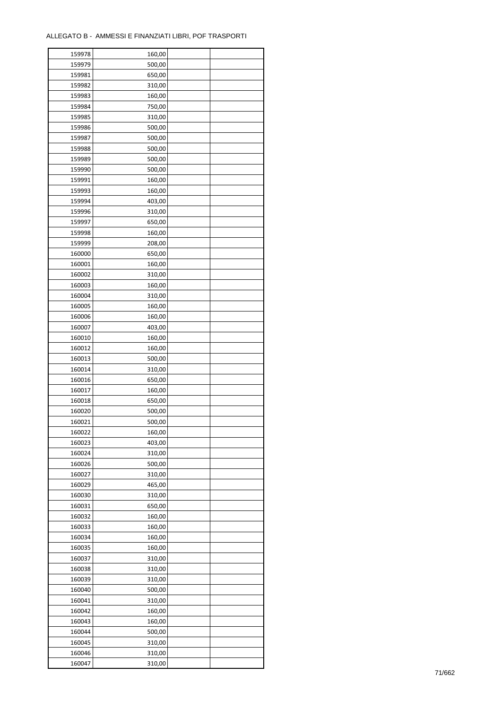| 159978 | 160,00 |  |
|--------|--------|--|
| 159979 | 500,00 |  |
| 159981 | 650,00 |  |
| 159982 | 310,00 |  |
| 159983 | 160,00 |  |
| 159984 | 750,00 |  |
| 159985 | 310,00 |  |
| 159986 | 500,00 |  |
| 159987 | 500,00 |  |
| 159988 | 500,00 |  |
| 159989 | 500,00 |  |
| 159990 | 500,00 |  |
| 159991 | 160,00 |  |
|        |        |  |
| 159993 | 160,00 |  |
| 159994 | 403,00 |  |
| 159996 | 310,00 |  |
| 159997 | 650,00 |  |
| 159998 | 160,00 |  |
| 159999 | 208,00 |  |
| 160000 | 650,00 |  |
| 160001 | 160,00 |  |
| 160002 | 310,00 |  |
| 160003 | 160,00 |  |
| 160004 | 310,00 |  |
| 160005 | 160,00 |  |
| 160006 | 160,00 |  |
| 160007 | 403,00 |  |
| 160010 | 160,00 |  |
| 160012 | 160,00 |  |
| 160013 | 500,00 |  |
| 160014 | 310,00 |  |
| 160016 | 650,00 |  |
| 160017 | 160,00 |  |
| 160018 | 650,00 |  |
| 160020 | 500,00 |  |
| 160021 | 500,00 |  |
| 160022 | 160,00 |  |
| 160023 | 403,00 |  |
| 160024 | 310,00 |  |
| 160026 | 500,00 |  |
| 160027 | 310,00 |  |
| 160029 | 465,00 |  |
| 160030 | 310,00 |  |
| 160031 | 650,00 |  |
| 160032 | 160,00 |  |
| 160033 | 160,00 |  |
| 160034 | 160,00 |  |
| 160035 | 160,00 |  |
| 160037 | 310,00 |  |
| 160038 | 310,00 |  |
| 160039 | 310,00 |  |
| 160040 | 500,00 |  |
| 160041 | 310,00 |  |
| 160042 | 160,00 |  |
| 160043 | 160,00 |  |
| 160044 | 500,00 |  |
| 160045 | 310,00 |  |
| 160046 | 310,00 |  |
| 160047 | 310,00 |  |
|        |        |  |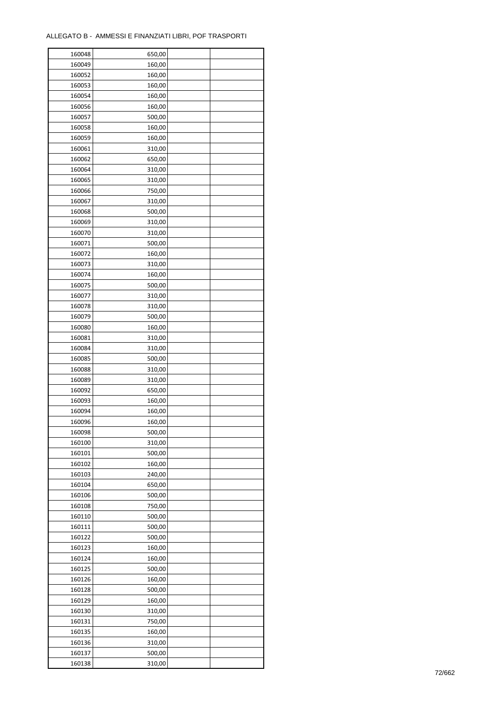| 160048 | 650,00 |  |
|--------|--------|--|
| 160049 | 160,00 |  |
| 160052 | 160,00 |  |
| 160053 | 160,00 |  |
| 160054 | 160,00 |  |
| 160056 | 160,00 |  |
| 160057 | 500,00 |  |
| 160058 | 160,00 |  |
| 160059 | 160,00 |  |
| 160061 | 310,00 |  |
| 160062 | 650,00 |  |
| 160064 | 310,00 |  |
| 160065 | 310,00 |  |
| 160066 |        |  |
|        | 750,00 |  |
| 160067 | 310,00 |  |
| 160068 | 500,00 |  |
| 160069 | 310,00 |  |
| 160070 | 310,00 |  |
| 160071 | 500,00 |  |
| 160072 | 160,00 |  |
| 160073 | 310,00 |  |
| 160074 | 160,00 |  |
| 160075 | 500,00 |  |
| 160077 | 310,00 |  |
| 160078 | 310,00 |  |
| 160079 | 500,00 |  |
| 160080 | 160,00 |  |
| 160081 | 310,00 |  |
| 160084 | 310,00 |  |
| 160085 | 500,00 |  |
| 160088 | 310,00 |  |
| 160089 | 310,00 |  |
| 160092 | 650,00 |  |
| 160093 | 160,00 |  |
| 160094 | 160,00 |  |
| 160096 | 160,00 |  |
| 160098 | 500,00 |  |
| 160100 | 310,00 |  |
| 160101 | 500,00 |  |
|        |        |  |
| 160102 | 160,00 |  |
| 160103 | 240,00 |  |
| 160104 | 650,00 |  |
| 160106 | 500,00 |  |
| 160108 | 750,00 |  |
| 160110 | 500,00 |  |
| 160111 | 500,00 |  |
| 160122 | 500,00 |  |
| 160123 | 160,00 |  |
| 160124 | 160,00 |  |
| 160125 | 500,00 |  |
| 160126 | 160,00 |  |
| 160128 | 500,00 |  |
| 160129 | 160,00 |  |
| 160130 | 310,00 |  |
| 160131 | 750,00 |  |
| 160135 | 160,00 |  |
| 160136 | 310,00 |  |
| 160137 | 500,00 |  |
| 160138 | 310,00 |  |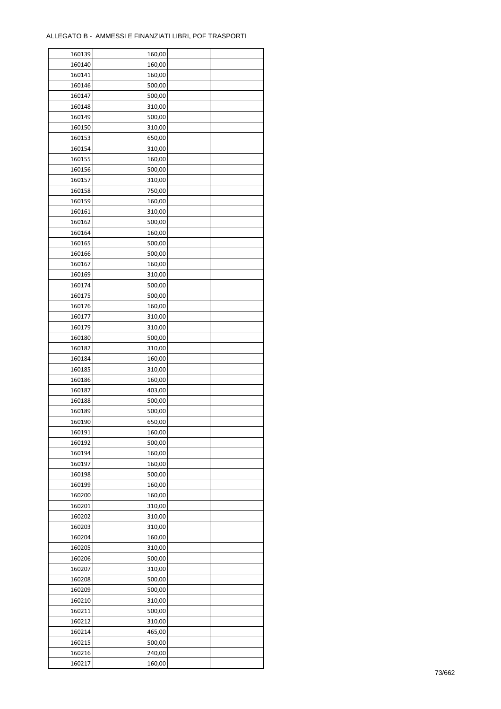| 160139 | 160,00 |  |
|--------|--------|--|
| 160140 | 160,00 |  |
| 160141 | 160,00 |  |
| 160146 | 500,00 |  |
| 160147 | 500,00 |  |
| 160148 | 310,00 |  |
| 160149 | 500,00 |  |
| 160150 | 310,00 |  |
| 160153 | 650,00 |  |
|        |        |  |
| 160154 | 310,00 |  |
| 160155 | 160,00 |  |
| 160156 | 500,00 |  |
| 160157 | 310,00 |  |
| 160158 | 750,00 |  |
| 160159 | 160,00 |  |
| 160161 | 310,00 |  |
| 160162 | 500,00 |  |
| 160164 | 160,00 |  |
| 160165 | 500,00 |  |
| 160166 | 500,00 |  |
| 160167 | 160,00 |  |
| 160169 | 310,00 |  |
| 160174 | 500,00 |  |
| 160175 | 500,00 |  |
| 160176 | 160,00 |  |
| 160177 | 310,00 |  |
| 160179 | 310,00 |  |
| 160180 | 500,00 |  |
| 160182 | 310,00 |  |
| 160184 | 160,00 |  |
|        |        |  |
| 160185 | 310,00 |  |
| 160186 | 160,00 |  |
| 160187 | 403,00 |  |
| 160188 | 500,00 |  |
| 160189 | 500,00 |  |
| 160190 | 650,00 |  |
| 160191 | 160,00 |  |
| 160192 | 500,00 |  |
| 160194 | 160,00 |  |
| 160197 | 160,00 |  |
| 160198 | 500,00 |  |
| 160199 | 160,00 |  |
| 160200 | 160,00 |  |
| 160201 | 310,00 |  |
| 160202 | 310,00 |  |
| 160203 | 310,00 |  |
| 160204 | 160,00 |  |
| 160205 | 310,00 |  |
| 160206 | 500,00 |  |
| 160207 | 310,00 |  |
| 160208 | 500,00 |  |
| 160209 | 500,00 |  |
|        |        |  |
| 160210 | 310,00 |  |
| 160211 | 500,00 |  |
| 160212 | 310,00 |  |
| 160214 | 465,00 |  |
| 160215 | 500,00 |  |
| 160216 | 240,00 |  |
| 160217 | 160,00 |  |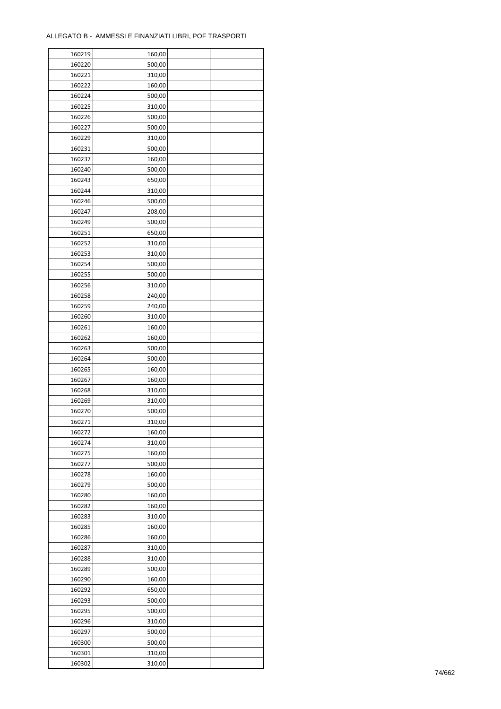| 160219           | 160,00 |  |
|------------------|--------|--|
| 160220           | 500,00 |  |
| 160221           | 310,00 |  |
| 160222           | 160,00 |  |
| 160224           | 500,00 |  |
| 160225           | 310,00 |  |
| 160226           | 500,00 |  |
| 160227           | 500,00 |  |
| 160229           | 310,00 |  |
| 160231           | 500,00 |  |
| 160237           | 160,00 |  |
| 160240           | 500,00 |  |
| 160243           | 650,00 |  |
| 160244           | 310,00 |  |
| 160246           | 500,00 |  |
| 160247           | 208,00 |  |
| 160249           | 500,00 |  |
| 160251           | 650,00 |  |
| 160252           | 310,00 |  |
| 160253           | 310,00 |  |
| 160254           | 500,00 |  |
| 160255           | 500,00 |  |
| 160256           | 310,00 |  |
| 160258           | 240,00 |  |
| 160259           | 240,00 |  |
| 160260           | 310,00 |  |
| 160261           | 160,00 |  |
| 160262           | 160,00 |  |
| 160263           | 500,00 |  |
|                  |        |  |
| 160264           | 500,00 |  |
| 160265           | 160,00 |  |
| 160267           | 160,00 |  |
| 160268           | 310,00 |  |
| 160269<br>160270 | 310,00 |  |
|                  | 500,00 |  |
| 160271           | 310,00 |  |
| 160272           | 160,00 |  |
| 160274           | 310,00 |  |
| 160275           | 160,00 |  |
| 160277           | 500,00 |  |
| 160278           | 160,00 |  |
| 160279           | 500,00 |  |
| 160280           | 160,00 |  |
| 160282           | 160,00 |  |
| 160283           | 310,00 |  |
| 160285           | 160,00 |  |
| 160286           | 160,00 |  |
| 160287           | 310,00 |  |
| 160288           | 310,00 |  |
| 160289           | 500,00 |  |
| 160290           | 160,00 |  |
| 160292           | 650,00 |  |
| 160293           | 500,00 |  |
| 160295           | 500,00 |  |
| 160296           | 310,00 |  |
| 160297           | 500,00 |  |
| 160300           | 500,00 |  |
| 160301           | 310,00 |  |
| 160302           | 310,00 |  |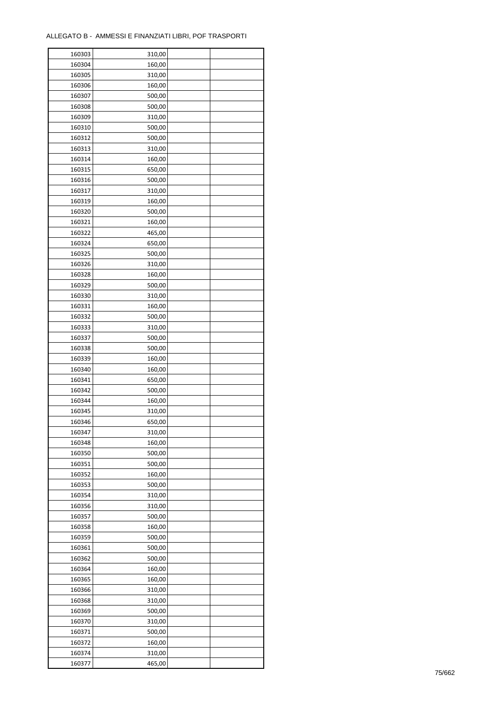| 160303 | 310,00 |  |
|--------|--------|--|
| 160304 | 160,00 |  |
| 160305 | 310,00 |  |
| 160306 | 160,00 |  |
| 160307 | 500,00 |  |
| 160308 | 500,00 |  |
| 160309 | 310,00 |  |
| 160310 | 500,00 |  |
| 160312 | 500,00 |  |
| 160313 | 310,00 |  |
| 160314 | 160,00 |  |
| 160315 | 650,00 |  |
| 160316 | 500,00 |  |
| 160317 | 310,00 |  |
| 160319 | 160,00 |  |
| 160320 | 500,00 |  |
| 160321 | 160,00 |  |
| 160322 | 465,00 |  |
| 160324 | 650,00 |  |
| 160325 | 500,00 |  |
| 160326 | 310,00 |  |
| 160328 | 160,00 |  |
|        |        |  |
| 160329 | 500,00 |  |
| 160330 | 310,00 |  |
| 160331 | 160,00 |  |
| 160332 | 500,00 |  |
| 160333 | 310,00 |  |
| 160337 | 500,00 |  |
| 160338 | 500,00 |  |
| 160339 | 160,00 |  |
| 160340 | 160,00 |  |
| 160341 | 650,00 |  |
| 160342 | 500,00 |  |
| 160344 | 160,00 |  |
| 160345 | 310,00 |  |
| 160346 | 650,00 |  |
| 160347 | 310,00 |  |
| 160348 | 160,00 |  |
| 160350 | 500,00 |  |
| 160351 | 500,00 |  |
| 160352 | 160,00 |  |
| 160353 | 500,00 |  |
| 160354 | 310,00 |  |
| 160356 | 310,00 |  |
| 160357 | 500,00 |  |
| 160358 | 160,00 |  |
| 160359 | 500,00 |  |
| 160361 | 500,00 |  |
| 160362 | 500,00 |  |
| 160364 | 160,00 |  |
| 160365 | 160,00 |  |
| 160366 | 310,00 |  |
| 160368 | 310,00 |  |
| 160369 | 500,00 |  |
| 160370 | 310,00 |  |
|        | 500,00 |  |
| 160371 |        |  |
| 160372 | 160,00 |  |
| 160374 | 310,00 |  |
| 160377 | 465,00 |  |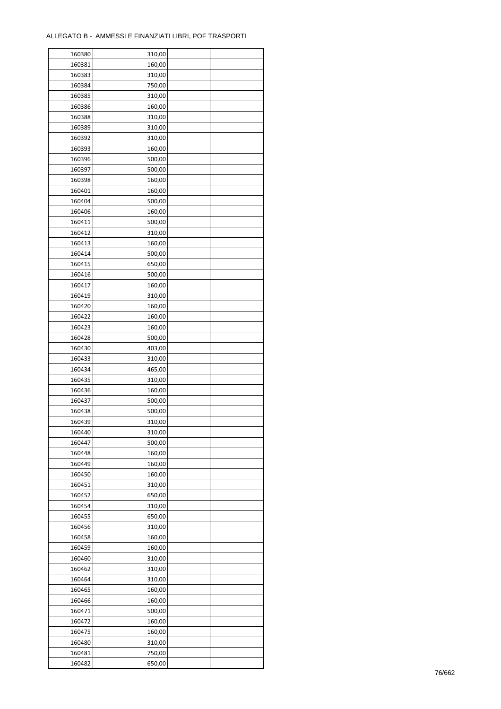| 160380 | 310,00 |  |
|--------|--------|--|
| 160381 | 160,00 |  |
| 160383 | 310,00 |  |
| 160384 | 750,00 |  |
| 160385 | 310,00 |  |
| 160386 | 160,00 |  |
| 160388 | 310,00 |  |
| 160389 | 310,00 |  |
| 160392 | 310,00 |  |
| 160393 | 160,00 |  |
| 160396 | 500,00 |  |
| 160397 | 500,00 |  |
| 160398 | 160,00 |  |
| 160401 | 160,00 |  |
| 160404 | 500,00 |  |
|        |        |  |
| 160406 | 160,00 |  |
| 160411 | 500,00 |  |
| 160412 | 310,00 |  |
| 160413 | 160,00 |  |
| 160414 | 500,00 |  |
| 160415 | 650,00 |  |
| 160416 | 500,00 |  |
| 160417 | 160,00 |  |
| 160419 | 310,00 |  |
| 160420 | 160,00 |  |
| 160422 | 160,00 |  |
| 160423 | 160,00 |  |
| 160428 | 500,00 |  |
| 160430 | 403,00 |  |
| 160433 | 310,00 |  |
| 160434 | 465,00 |  |
| 160435 | 310,00 |  |
| 160436 | 160,00 |  |
| 160437 | 500,00 |  |
| 160438 | 500,00 |  |
| 160439 | 310,00 |  |
| 160440 | 310,00 |  |
| 160447 | 500,00 |  |
| 160448 | 160,00 |  |
|        |        |  |
| 160449 | 160,00 |  |
| 160450 | 160,00 |  |
| 160451 | 310,00 |  |
| 160452 | 650,00 |  |
| 160454 | 310,00 |  |
| 160455 | 650,00 |  |
| 160456 | 310,00 |  |
| 160458 | 160,00 |  |
| 160459 | 160,00 |  |
| 160460 | 310,00 |  |
| 160462 | 310,00 |  |
| 160464 | 310,00 |  |
| 160465 | 160,00 |  |
| 160466 | 160,00 |  |
| 160471 | 500,00 |  |
| 160472 | 160,00 |  |
| 160475 | 160,00 |  |
| 160480 | 310,00 |  |
| 160481 | 750,00 |  |
| 160482 | 650,00 |  |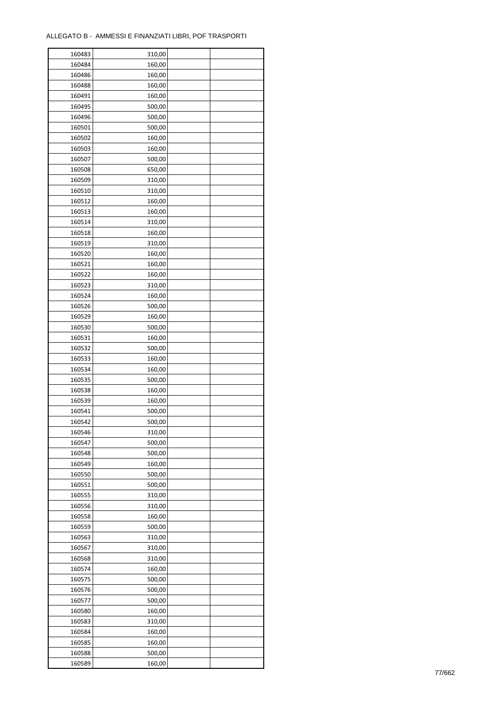ř

| 160483 | 310,00 |  |
|--------|--------|--|
| 160484 | 160,00 |  |
| 160486 | 160,00 |  |
| 160488 | 160,00 |  |
| 160491 | 160,00 |  |
| 160495 | 500,00 |  |
| 160496 | 500,00 |  |
| 160501 | 500,00 |  |
| 160502 | 160,00 |  |
| 160503 | 160,00 |  |
| 160507 | 500,00 |  |
| 160508 | 650,00 |  |
|        |        |  |
| 160509 | 310,00 |  |
| 160510 | 310,00 |  |
| 160512 | 160,00 |  |
| 160513 | 160,00 |  |
| 160514 | 310,00 |  |
| 160518 | 160,00 |  |
| 160519 | 310,00 |  |
| 160520 | 160,00 |  |
| 160521 | 160,00 |  |
| 160522 | 160,00 |  |
| 160523 | 310,00 |  |
| 160524 | 160,00 |  |
| 160526 | 500,00 |  |
| 160529 | 160,00 |  |
| 160530 | 500,00 |  |
| 160531 | 160,00 |  |
| 160532 | 500,00 |  |
| 160533 | 160,00 |  |
| 160534 | 160,00 |  |
| 160535 | 500,00 |  |
| 160538 | 160,00 |  |
| 160539 | 160,00 |  |
| 160541 | 500,00 |  |
| 160542 | 500,00 |  |
| 160546 | 310,00 |  |
| 160547 | 500,00 |  |
| 160548 | 500,00 |  |
| 160549 | 160,00 |  |
| 160550 | 500,00 |  |
| 160551 | 500,00 |  |
| 160555 | 310,00 |  |
| 160556 | 310,00 |  |
| 160558 | 160,00 |  |
| 160559 | 500,00 |  |
| 160563 | 310,00 |  |
| 160567 | 310,00 |  |
| 160568 | 310,00 |  |
| 160574 |        |  |
|        | 160,00 |  |
| 160575 | 500,00 |  |
| 160576 | 500,00 |  |
| 160577 | 500,00 |  |
| 160580 | 160,00 |  |
| 160583 | 310,00 |  |
| 160584 | 160,00 |  |
| 160585 | 160,00 |  |
| 160588 | 500,00 |  |
| 160589 | 160,00 |  |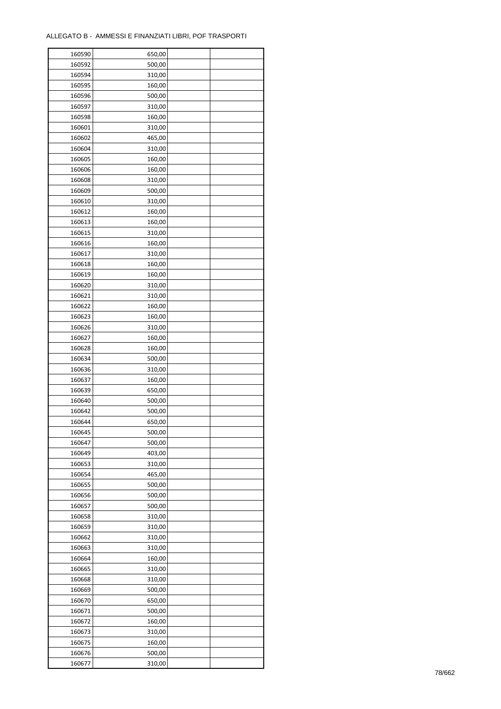| 160590 | 650,00 |  |
|--------|--------|--|
| 160592 | 500,00 |  |
| 160594 | 310,00 |  |
| 160595 | 160,00 |  |
| 160596 | 500,00 |  |
| 160597 | 310,00 |  |
| 160598 | 160,00 |  |
| 160601 | 310,00 |  |
| 160602 | 465,00 |  |
| 160604 | 310,00 |  |
|        | 160,00 |  |
| 160605 |        |  |
| 160606 | 160,00 |  |
| 160608 | 310,00 |  |
| 160609 | 500,00 |  |
| 160610 | 310,00 |  |
| 160612 | 160,00 |  |
| 160613 | 160,00 |  |
| 160615 | 310,00 |  |
| 160616 | 160,00 |  |
| 160617 | 310,00 |  |
| 160618 | 160,00 |  |
| 160619 | 160,00 |  |
| 160620 | 310,00 |  |
| 160621 | 310,00 |  |
| 160622 | 160,00 |  |
| 160623 | 160,00 |  |
| 160626 | 310,00 |  |
| 160627 | 160,00 |  |
| 160628 | 160,00 |  |
| 160634 | 500,00 |  |
|        |        |  |
| 160636 | 310,00 |  |
| 160637 | 160,00 |  |
| 160639 | 650,00 |  |
| 160640 | 500,00 |  |
| 160642 | 500,00 |  |
| 160644 | 650,00 |  |
| 160645 | 500,00 |  |
| 160647 | 500,00 |  |
| 160649 | 403,00 |  |
| 160653 | 310,00 |  |
| 160654 | 465,00 |  |
| 160655 | 500,00 |  |
| 160656 | 500,00 |  |
| 160657 | 500,00 |  |
| 160658 | 310,00 |  |
| 160659 | 310,00 |  |
| 160662 | 310,00 |  |
| 160663 | 310,00 |  |
| 160664 | 160,00 |  |
| 160665 | 310,00 |  |
| 160668 | 310,00 |  |
| 160669 | 500,00 |  |
| 160670 | 650,00 |  |
| 160671 | 500,00 |  |
|        |        |  |
| 160672 | 160,00 |  |
| 160673 | 310,00 |  |
| 160675 | 160,00 |  |
| 160676 | 500,00 |  |
| 160677 | 310,00 |  |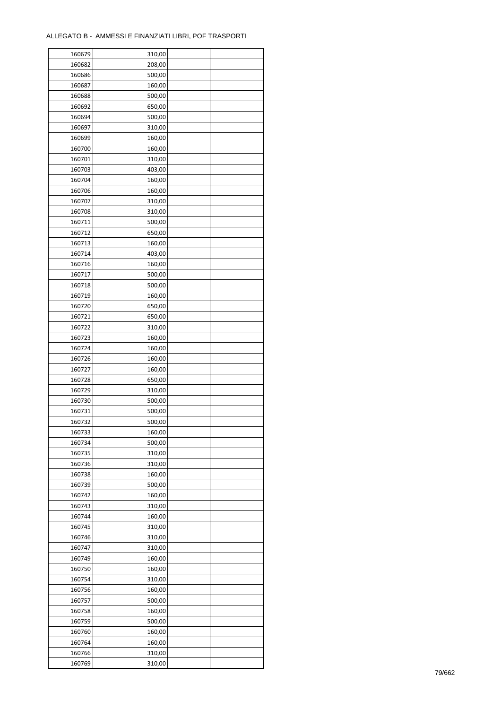| 160679 | 310,00 |  |
|--------|--------|--|
| 160682 | 208,00 |  |
| 160686 | 500,00 |  |
| 160687 | 160,00 |  |
| 160688 | 500,00 |  |
| 160692 | 650,00 |  |
| 160694 | 500,00 |  |
| 160697 | 310,00 |  |
| 160699 | 160,00 |  |
| 160700 | 160,00 |  |
| 160701 | 310,00 |  |
| 160703 | 403,00 |  |
|        |        |  |
| 160704 | 160,00 |  |
| 160706 | 160,00 |  |
| 160707 | 310,00 |  |
| 160708 | 310,00 |  |
| 160711 | 500,00 |  |
| 160712 | 650,00 |  |
| 160713 | 160,00 |  |
| 160714 | 403,00 |  |
| 160716 | 160,00 |  |
| 160717 | 500,00 |  |
| 160718 | 500,00 |  |
| 160719 | 160,00 |  |
| 160720 | 650,00 |  |
| 160721 | 650,00 |  |
| 160722 | 310,00 |  |
| 160723 | 160,00 |  |
| 160724 | 160,00 |  |
| 160726 | 160,00 |  |
| 160727 | 160,00 |  |
| 160728 | 650,00 |  |
| 160729 | 310,00 |  |
| 160730 | 500,00 |  |
| 160731 | 500,00 |  |
| 160732 | 500,00 |  |
| 160733 | 160,00 |  |
| 160734 | 500,00 |  |
| 160735 |        |  |
|        | 310,00 |  |
| 160736 | 310,00 |  |
| 160738 | 160,00 |  |
| 160739 | 500,00 |  |
| 160742 | 160,00 |  |
| 160743 | 310,00 |  |
| 160744 | 160,00 |  |
| 160745 | 310,00 |  |
| 160746 | 310,00 |  |
| 160747 | 310,00 |  |
| 160749 | 160,00 |  |
| 160750 | 160,00 |  |
| 160754 | 310,00 |  |
| 160756 | 160,00 |  |
| 160757 | 500,00 |  |
| 160758 | 160,00 |  |
| 160759 | 500,00 |  |
| 160760 | 160,00 |  |
| 160764 | 160,00 |  |
| 160766 | 310,00 |  |
| 160769 | 310,00 |  |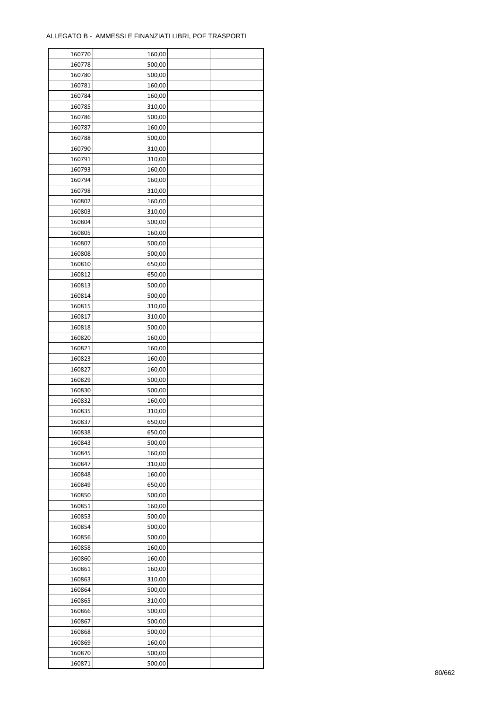| 160770 | 160,00           |  |
|--------|------------------|--|
| 160778 | 500,00           |  |
| 160780 | 500,00           |  |
| 160781 | 160,00           |  |
| 160784 | 160,00           |  |
| 160785 | 310,00           |  |
| 160786 | 500,00           |  |
| 160787 | 160,00           |  |
| 160788 | 500,00           |  |
|        |                  |  |
| 160790 | 310,00           |  |
| 160791 | 310,00           |  |
| 160793 | 160,00           |  |
| 160794 | 160,00           |  |
| 160798 | 310,00           |  |
| 160802 | 160,00           |  |
| 160803 | 310,00           |  |
| 160804 | 500,00           |  |
| 160805 | 160,00           |  |
| 160807 | 500,00           |  |
| 160808 | 500,00           |  |
| 160810 | 650,00           |  |
| 160812 | 650,00           |  |
| 160813 | 500,00           |  |
| 160814 | 500,00           |  |
| 160815 | 310,00           |  |
| 160817 | 310,00           |  |
| 160818 | 500,00           |  |
| 160820 | 160,00           |  |
|        |                  |  |
| 160821 | 160,00           |  |
| 160823 | 160,00           |  |
| 160827 | 160,00           |  |
| 160829 | 500,00           |  |
| 160830 | 500,00           |  |
| 160832 | 160,00           |  |
| 160835 | 310,00           |  |
| 160837 | 650,00           |  |
| 160838 | 650,00           |  |
| 160843 | 500,00           |  |
| 160845 | 160,00           |  |
| 160847 | 310,00           |  |
| 160848 | 160,00           |  |
| 160849 | 650,00           |  |
| 160850 | 500,00           |  |
| 160851 | 160,00           |  |
| 160853 | 500,00           |  |
| 160854 | 500,00           |  |
| 160856 | 500,00           |  |
| 160858 | 160,00           |  |
| 160860 |                  |  |
| 160861 | 160,00<br>160,00 |  |
|        |                  |  |
| 160863 | 310,00           |  |
| 160864 | 500,00           |  |
| 160865 | 310,00           |  |
| 160866 | 500,00           |  |
| 160867 | 500,00           |  |
| 160868 | 500,00           |  |
| 160869 | 160,00           |  |
| 160870 | 500,00           |  |
| 160871 | 500,00           |  |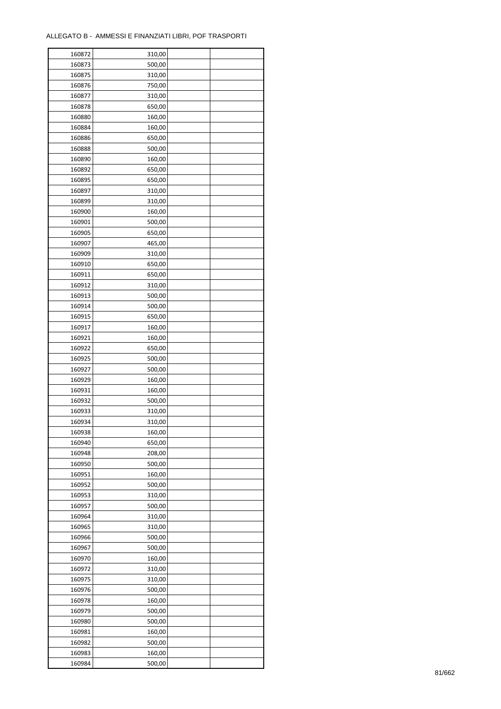| 160872 | 310,00 |  |
|--------|--------|--|
| 160873 | 500,00 |  |
| 160875 | 310,00 |  |
| 160876 | 750,00 |  |
| 160877 | 310,00 |  |
| 160878 | 650,00 |  |
| 160880 | 160,00 |  |
| 160884 | 160,00 |  |
| 160886 | 650,00 |  |
| 160888 | 500,00 |  |
| 160890 | 160,00 |  |
| 160892 | 650,00 |  |
| 160895 | 650,00 |  |
| 160897 | 310,00 |  |
| 160899 | 310,00 |  |
| 160900 | 160,00 |  |
| 160901 | 500,00 |  |
| 160905 | 650,00 |  |
| 160907 | 465,00 |  |
| 160909 | 310,00 |  |
| 160910 | 650,00 |  |
| 160911 | 650,00 |  |
| 160912 | 310,00 |  |
| 160913 | 500,00 |  |
| 160914 | 500,00 |  |
| 160915 | 650,00 |  |
| 160917 | 160,00 |  |
| 160921 | 160,00 |  |
| 160922 | 650,00 |  |
| 160925 | 500,00 |  |
| 160927 | 500,00 |  |
| 160929 | 160,00 |  |
| 160931 | 160,00 |  |
| 160932 | 500,00 |  |
| 160933 | 310,00 |  |
| 160934 | 310,00 |  |
| 160938 | 160,00 |  |
| 160940 | 650,00 |  |
| 160948 | 208,00 |  |
| 160950 | 500,00 |  |
| 160951 | 160,00 |  |
| 160952 | 500,00 |  |
| 160953 | 310,00 |  |
| 160957 | 500,00 |  |
| 160964 | 310,00 |  |
| 160965 | 310,00 |  |
| 160966 | 500,00 |  |
| 160967 | 500,00 |  |
| 160970 | 160,00 |  |
| 160972 | 310,00 |  |
| 160975 | 310,00 |  |
| 160976 | 500,00 |  |
| 160978 | 160,00 |  |
| 160979 | 500,00 |  |
| 160980 | 500,00 |  |
| 160981 | 160,00 |  |
| 160982 | 500,00 |  |
| 160983 | 160,00 |  |
| 160984 | 500,00 |  |
|        |        |  |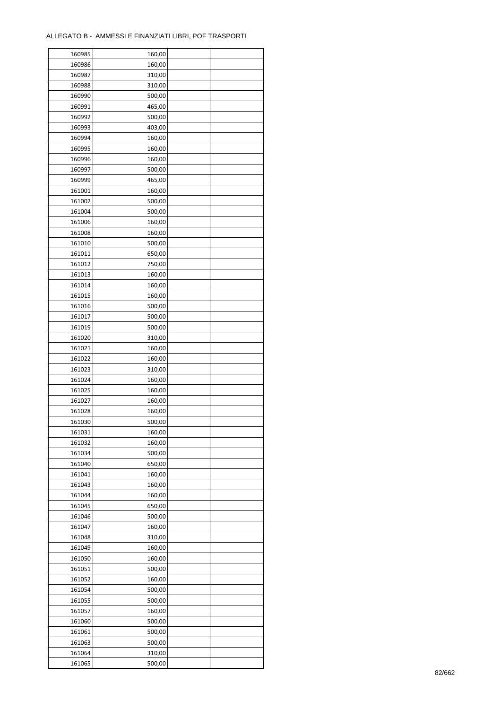| 160985 | 160,00 |  |
|--------|--------|--|
| 160986 | 160,00 |  |
| 160987 | 310,00 |  |
| 160988 | 310,00 |  |
| 160990 | 500,00 |  |
| 160991 | 465,00 |  |
| 160992 | 500,00 |  |
| 160993 | 403,00 |  |
| 160994 | 160,00 |  |
| 160995 | 160,00 |  |
| 160996 | 160,00 |  |
| 160997 | 500,00 |  |
| 160999 | 465,00 |  |
| 161001 | 160,00 |  |
| 161002 | 500,00 |  |
| 161004 | 500,00 |  |
| 161006 | 160,00 |  |
| 161008 | 160,00 |  |
| 161010 | 500,00 |  |
| 161011 | 650,00 |  |
| 161012 | 750,00 |  |
|        |        |  |
| 161013 | 160,00 |  |
| 161014 | 160,00 |  |
| 161015 | 160,00 |  |
| 161016 | 500,00 |  |
| 161017 | 500,00 |  |
| 161019 | 500,00 |  |
| 161020 | 310,00 |  |
| 161021 | 160,00 |  |
| 161022 | 160,00 |  |
| 161023 | 310,00 |  |
| 161024 | 160,00 |  |
| 161025 | 160,00 |  |
| 161027 | 160,00 |  |
| 161028 | 160,00 |  |
| 161030 | 500,00 |  |
| 161031 | 160,00 |  |
| 161032 | 160,00 |  |
| 161034 | 500,00 |  |
| 161040 | 650,00 |  |
| 161041 | 160,00 |  |
| 161043 | 160,00 |  |
| 161044 | 160,00 |  |
| 161045 | 650,00 |  |
| 161046 | 500,00 |  |
| 161047 | 160,00 |  |
| 161048 | 310,00 |  |
| 161049 | 160,00 |  |
| 161050 | 160,00 |  |
| 161051 | 500,00 |  |
| 161052 | 160,00 |  |
| 161054 | 500,00 |  |
| 161055 | 500,00 |  |
|        |        |  |
| 161057 | 160,00 |  |
| 161060 | 500,00 |  |
| 161061 | 500,00 |  |
| 161063 | 500,00 |  |
| 161064 | 310,00 |  |
| 161065 | 500,00 |  |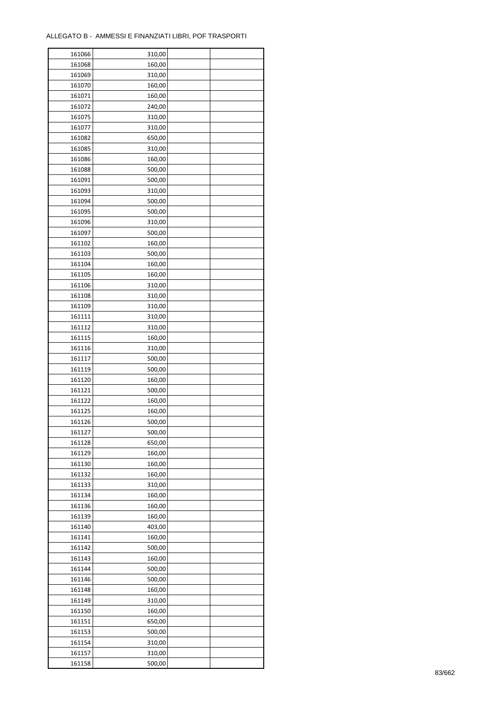| 161066 | 310,00 |  |
|--------|--------|--|
| 161068 | 160,00 |  |
| 161069 | 310,00 |  |
| 161070 | 160,00 |  |
| 161071 | 160,00 |  |
| 161072 | 240,00 |  |
| 161075 | 310,00 |  |
| 161077 | 310,00 |  |
| 161082 | 650,00 |  |
|        |        |  |
| 161085 | 310,00 |  |
| 161086 | 160,00 |  |
| 161088 | 500,00 |  |
| 161091 | 500,00 |  |
| 161093 | 310,00 |  |
| 161094 | 500,00 |  |
| 161095 | 500,00 |  |
| 161096 | 310,00 |  |
| 161097 | 500,00 |  |
| 161102 | 160,00 |  |
| 161103 | 500,00 |  |
| 161104 | 160,00 |  |
| 161105 | 160,00 |  |
| 161106 | 310,00 |  |
| 161108 | 310,00 |  |
| 161109 | 310,00 |  |
| 161111 | 310,00 |  |
| 161112 | 310,00 |  |
| 161115 | 160,00 |  |
| 161116 |        |  |
|        | 310,00 |  |
| 161117 | 500,00 |  |
| 161119 | 500,00 |  |
| 161120 | 160,00 |  |
| 161121 | 500,00 |  |
| 161122 | 160,00 |  |
| 161125 | 160,00 |  |
| 161126 | 500,00 |  |
| 161127 | 500,00 |  |
| 161128 | 650,00 |  |
| 161129 | 160,00 |  |
| 161130 | 160,00 |  |
| 161132 | 160,00 |  |
| 161133 | 310,00 |  |
| 161134 | 160,00 |  |
| 161136 | 160,00 |  |
| 161139 | 160,00 |  |
| 161140 | 403,00 |  |
| 161141 | 160,00 |  |
| 161142 | 500,00 |  |
| 161143 | 160,00 |  |
| 161144 |        |  |
|        | 500,00 |  |
| 161146 | 500,00 |  |
| 161148 | 160,00 |  |
| 161149 | 310,00 |  |
| 161150 | 160,00 |  |
| 161151 | 650,00 |  |
| 161153 | 500,00 |  |
| 161154 | 310,00 |  |
| 161157 | 310,00 |  |
| 161158 | 500,00 |  |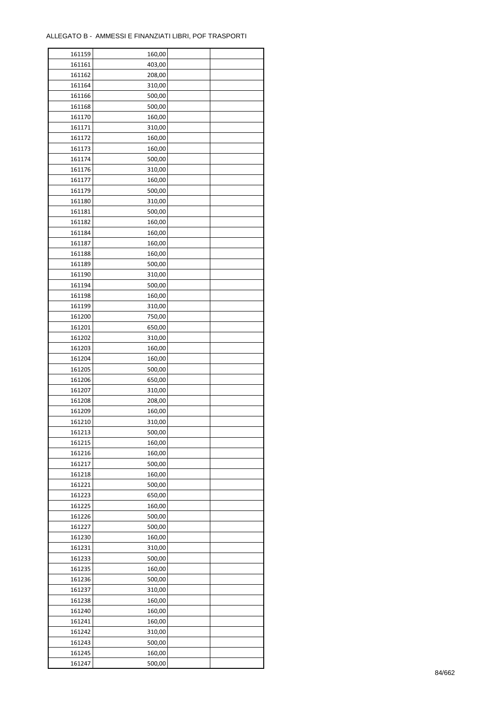| 161159           | 160,00 |  |
|------------------|--------|--|
| 161161           | 403,00 |  |
| 161162           | 208,00 |  |
| 161164           | 310,00 |  |
| 161166           | 500,00 |  |
| 161168           | 500,00 |  |
| 161170           | 160,00 |  |
| 161171           | 310,00 |  |
| 161172           | 160,00 |  |
| 161173           |        |  |
|                  | 160,00 |  |
| 161174<br>161176 | 500,00 |  |
|                  | 310,00 |  |
| 161177           | 160,00 |  |
| 161179           | 500,00 |  |
| 161180           | 310,00 |  |
| 161181           | 500,00 |  |
| 161182           | 160,00 |  |
| 161184           | 160,00 |  |
| 161187           | 160,00 |  |
| 161188           | 160,00 |  |
| 161189           | 500,00 |  |
| 161190           | 310,00 |  |
| 161194           | 500,00 |  |
| 161198           | 160,00 |  |
| 161199           | 310,00 |  |
| 161200           | 750,00 |  |
| 161201           | 650,00 |  |
| 161202           | 310,00 |  |
| 161203           | 160,00 |  |
| 161204           | 160,00 |  |
|                  |        |  |
| 161205           | 500,00 |  |
| 161206           | 650,00 |  |
| 161207           | 310,00 |  |
| 161208           | 208,00 |  |
| 161209           | 160,00 |  |
| 161210           | 310,00 |  |
| 161213           | 500,00 |  |
| 161215           | 160,00 |  |
| 161216           | 160,00 |  |
| 161217           | 500,00 |  |
| 161218           | 160,00 |  |
| 161221           | 500,00 |  |
| 161223           | 650,00 |  |
| 161225           | 160,00 |  |
| 161226           | 500,00 |  |
| 161227           | 500,00 |  |
| 161230           | 160,00 |  |
| 161231           | 310,00 |  |
| 161233           | 500,00 |  |
| 161235           | 160,00 |  |
| 161236           | 500,00 |  |
| 161237           | 310,00 |  |
| 161238           | 160,00 |  |
|                  |        |  |
| 161240           | 160,00 |  |
| 161241           | 160,00 |  |
| 161242           | 310,00 |  |
| 161243           | 500,00 |  |
| 161245           | 160,00 |  |
| 161247           | 500,00 |  |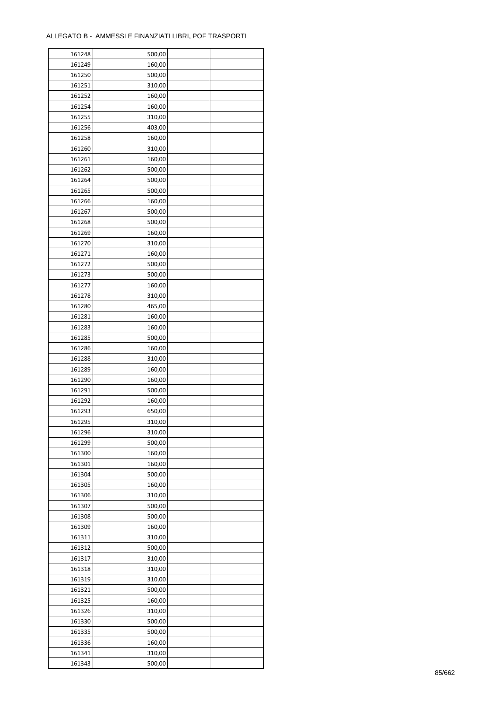| 161248 | 500,00 |  |
|--------|--------|--|
| 161249 | 160,00 |  |
| 161250 | 500,00 |  |
| 161251 | 310,00 |  |
| 161252 | 160,00 |  |
| 161254 | 160,00 |  |
| 161255 | 310,00 |  |
| 161256 | 403,00 |  |
| 161258 | 160,00 |  |
| 161260 | 310,00 |  |
| 161261 |        |  |
|        | 160,00 |  |
| 161262 | 500,00 |  |
| 161264 | 500,00 |  |
| 161265 | 500,00 |  |
| 161266 | 160,00 |  |
| 161267 | 500,00 |  |
| 161268 | 500,00 |  |
| 161269 | 160,00 |  |
| 161270 | 310,00 |  |
| 161271 | 160,00 |  |
| 161272 | 500,00 |  |
| 161273 | 500,00 |  |
| 161277 | 160,00 |  |
| 161278 | 310,00 |  |
| 161280 | 465,00 |  |
| 161281 | 160,00 |  |
| 161283 | 160,00 |  |
| 161285 | 500,00 |  |
| 161286 | 160,00 |  |
| 161288 | 310,00 |  |
| 161289 | 160,00 |  |
| 161290 | 160,00 |  |
| 161291 | 500,00 |  |
| 161292 | 160,00 |  |
| 161293 | 650,00 |  |
| 161295 | 310,00 |  |
|        |        |  |
| 161296 | 310,00 |  |
| 161299 | 500,00 |  |
| 161300 | 160,00 |  |
| 161301 | 160,00 |  |
| 161304 | 500,00 |  |
| 161305 | 160,00 |  |
| 161306 | 310,00 |  |
| 161307 | 500,00 |  |
| 161308 | 500,00 |  |
| 161309 | 160,00 |  |
| 161311 | 310,00 |  |
| 161312 | 500,00 |  |
| 161317 | 310,00 |  |
| 161318 | 310,00 |  |
| 161319 | 310,00 |  |
| 161321 | 500,00 |  |
| 161325 | 160,00 |  |
| 161326 | 310,00 |  |
| 161330 | 500,00 |  |
| 161335 | 500,00 |  |
| 161336 | 160,00 |  |
| 161341 | 310,00 |  |
|        |        |  |
| 161343 | 500,00 |  |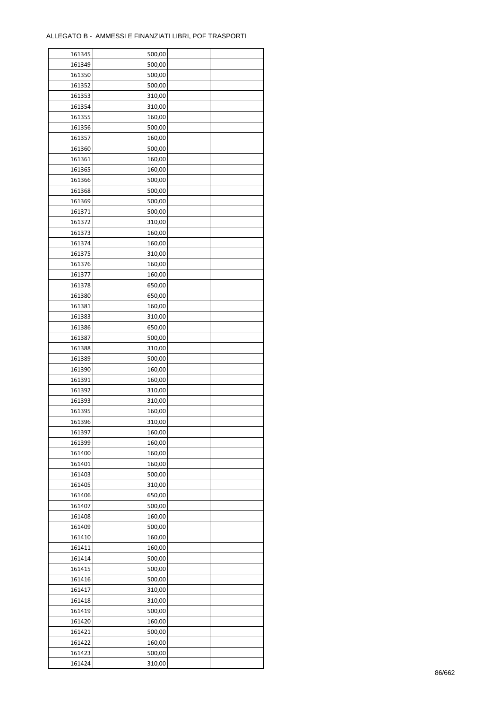| 161345 | 500,00 |  |
|--------|--------|--|
| 161349 | 500,00 |  |
| 161350 | 500,00 |  |
| 161352 | 500,00 |  |
| 161353 | 310,00 |  |
| 161354 | 310,00 |  |
| 161355 | 160,00 |  |
| 161356 | 500,00 |  |
| 161357 |        |  |
|        | 160,00 |  |
| 161360 | 500,00 |  |
| 161361 | 160,00 |  |
| 161365 | 160,00 |  |
| 161366 | 500,00 |  |
| 161368 | 500,00 |  |
| 161369 | 500,00 |  |
| 161371 | 500,00 |  |
| 161372 | 310,00 |  |
| 161373 | 160,00 |  |
| 161374 | 160,00 |  |
| 161375 | 310,00 |  |
| 161376 | 160,00 |  |
| 161377 | 160,00 |  |
| 161378 | 650,00 |  |
| 161380 | 650,00 |  |
| 161381 | 160,00 |  |
| 161383 | 310,00 |  |
| 161386 | 650,00 |  |
| 161387 | 500,00 |  |
| 161388 | 310,00 |  |
| 161389 | 500,00 |  |
|        |        |  |
| 161390 | 160,00 |  |
| 161391 | 160,00 |  |
| 161392 | 310,00 |  |
| 161393 | 310,00 |  |
| 161395 | 160,00 |  |
| 161396 | 310,00 |  |
| 161397 | 160,00 |  |
| 161399 | 160,00 |  |
| 161400 | 160,00 |  |
| 161401 | 160,00 |  |
| 161403 | 500,00 |  |
| 161405 | 310,00 |  |
| 161406 | 650,00 |  |
| 161407 | 500,00 |  |
| 161408 | 160,00 |  |
| 161409 | 500,00 |  |
| 161410 | 160,00 |  |
| 161411 | 160,00 |  |
| 161414 | 500,00 |  |
| 161415 | 500,00 |  |
| 161416 | 500,00 |  |
| 161417 | 310,00 |  |
|        |        |  |
| 161418 | 310,00 |  |
| 161419 | 500,00 |  |
| 161420 | 160,00 |  |
| 161421 | 500,00 |  |
| 161422 | 160,00 |  |
| 161423 | 500,00 |  |
| 161424 | 310,00 |  |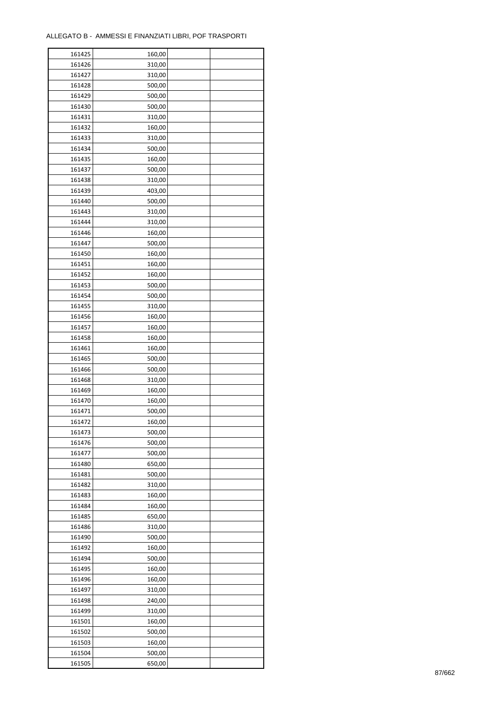| 161425 | 160,00 |  |
|--------|--------|--|
| 161426 | 310,00 |  |
| 161427 | 310,00 |  |
| 161428 | 500,00 |  |
| 161429 | 500,00 |  |
| 161430 | 500,00 |  |
| 161431 | 310,00 |  |
| 161432 | 160,00 |  |
| 161433 | 310,00 |  |
| 161434 | 500,00 |  |
| 161435 | 160,00 |  |
| 161437 | 500,00 |  |
| 161438 | 310,00 |  |
| 161439 | 403,00 |  |
|        |        |  |
| 161440 | 500,00 |  |
| 161443 | 310,00 |  |
| 161444 | 310,00 |  |
| 161446 | 160,00 |  |
| 161447 | 500,00 |  |
| 161450 | 160,00 |  |
| 161451 | 160,00 |  |
| 161452 | 160,00 |  |
| 161453 | 500,00 |  |
| 161454 | 500,00 |  |
| 161455 | 310,00 |  |
| 161456 | 160,00 |  |
| 161457 | 160,00 |  |
| 161458 | 160,00 |  |
| 161461 | 160,00 |  |
| 161465 | 500,00 |  |
| 161466 | 500,00 |  |
| 161468 | 310,00 |  |
| 161469 | 160,00 |  |
| 161470 | 160,00 |  |
| 161471 | 500,00 |  |
| 161472 | 160,00 |  |
| 161473 | 500,00 |  |
| 161476 | 500,00 |  |
| 161477 | 500,00 |  |
| 161480 | 650,00 |  |
| 161481 | 500,00 |  |
| 161482 | 310,00 |  |
| 161483 | 160,00 |  |
| 161484 | 160,00 |  |
| 161485 | 650,00 |  |
| 161486 | 310,00 |  |
| 161490 | 500,00 |  |
| 161492 |        |  |
|        | 160,00 |  |
| 161494 | 500,00 |  |
| 161495 | 160,00 |  |
| 161496 | 160,00 |  |
| 161497 | 310,00 |  |
| 161498 | 240,00 |  |
| 161499 | 310,00 |  |
| 161501 | 160,00 |  |
| 161502 | 500,00 |  |
| 161503 | 160,00 |  |
| 161504 | 500,00 |  |
| 161505 | 650,00 |  |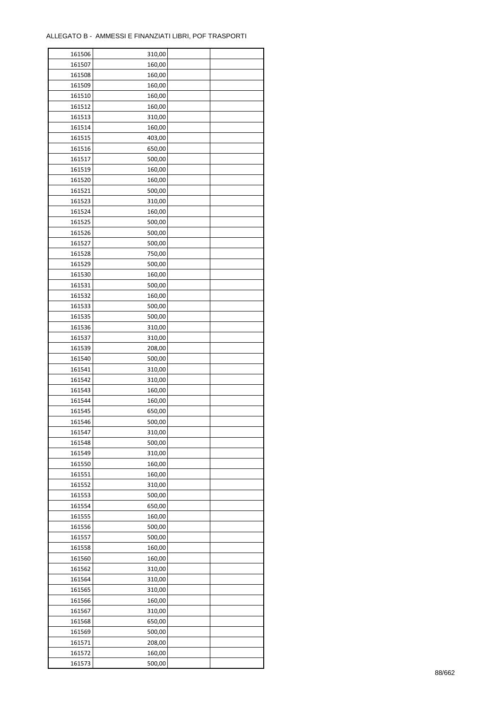ř

| 161506           | 310,00 |  |
|------------------|--------|--|
| 161507           | 160,00 |  |
| 161508           | 160,00 |  |
| 161509           | 160,00 |  |
| 161510           | 160,00 |  |
| 161512           | 160,00 |  |
| 161513           | 310,00 |  |
| 161514           | 160,00 |  |
| 161515           | 403,00 |  |
| 161516           | 650,00 |  |
|                  |        |  |
| 161517<br>161519 | 500,00 |  |
|                  | 160,00 |  |
| 161520           | 160,00 |  |
| 161521           | 500,00 |  |
| 161523           | 310,00 |  |
| 161524           | 160,00 |  |
| 161525           | 500,00 |  |
| 161526           | 500,00 |  |
| 161527           | 500,00 |  |
| 161528           | 750,00 |  |
| 161529           | 500,00 |  |
| 161530           | 160,00 |  |
| 161531           | 500,00 |  |
| 161532           | 160,00 |  |
| 161533           | 500,00 |  |
| 161535           | 500,00 |  |
| 161536           | 310,00 |  |
| 161537           | 310,00 |  |
| 161539           | 208,00 |  |
| 161540           | 500,00 |  |
| 161541           | 310,00 |  |
|                  |        |  |
| 161542           | 310,00 |  |
| 161543           | 160,00 |  |
| 161544           | 160,00 |  |
| 161545           | 650,00 |  |
| 161546           | 500,00 |  |
| 161547           | 310,00 |  |
| 161548           | 500,00 |  |
| 161549           | 310,00 |  |
| 161550           | 160,00 |  |
| 161551           | 160,00 |  |
| 161552           | 310,00 |  |
| 161553           | 500,00 |  |
| 161554           | 650,00 |  |
| 161555           | 160,00 |  |
| 161556           | 500,00 |  |
| 161557           | 500,00 |  |
| 161558           | 160,00 |  |
| 161560           | 160,00 |  |
| 161562           | 310,00 |  |
| 161564           | 310,00 |  |
| 161565           | 310,00 |  |
| 161566           | 160,00 |  |
|                  |        |  |
| 161567           | 310,00 |  |
| 161568           | 650,00 |  |
| 161569           | 500,00 |  |
| 161571           | 208,00 |  |
| 161572           | 160,00 |  |
| 161573           | 500,00 |  |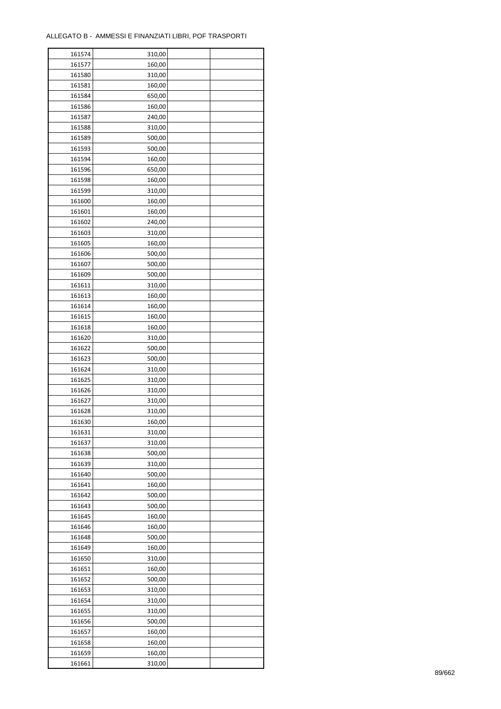| 161574 | 310,00 |  |
|--------|--------|--|
| 161577 | 160,00 |  |
| 161580 | 310,00 |  |
| 161581 | 160,00 |  |
| 161584 | 650,00 |  |
| 161586 | 160,00 |  |
| 161587 | 240,00 |  |
| 161588 | 310,00 |  |
| 161589 | 500,00 |  |
| 161593 | 500,00 |  |
| 161594 | 160,00 |  |
| 161596 | 650,00 |  |
| 161598 | 160,00 |  |
| 161599 | 310,00 |  |
|        |        |  |
| 161600 | 160,00 |  |
| 161601 | 160,00 |  |
| 161602 | 240,00 |  |
| 161603 | 310,00 |  |
| 161605 | 160,00 |  |
| 161606 | 500,00 |  |
| 161607 | 500,00 |  |
| 161609 | 500,00 |  |
| 161611 | 310,00 |  |
| 161613 | 160,00 |  |
| 161614 | 160,00 |  |
| 161615 | 160,00 |  |
| 161618 | 160,00 |  |
| 161620 | 310,00 |  |
| 161622 | 500,00 |  |
| 161623 | 500,00 |  |
| 161624 | 310,00 |  |
| 161625 | 310,00 |  |
| 161626 | 310,00 |  |
| 161627 | 310,00 |  |
| 161628 | 310,00 |  |
| 161630 | 160,00 |  |
| 161631 | 310,00 |  |
| 161637 | 310,00 |  |
| 161638 | 500,00 |  |
| 161639 | 310,00 |  |
| 161640 | 500,00 |  |
| 161641 | 160,00 |  |
| 161642 | 500,00 |  |
| 161643 | 500,00 |  |
| 161645 | 160,00 |  |
| 161646 | 160,00 |  |
| 161648 | 500,00 |  |
| 161649 | 160,00 |  |
| 161650 | 310,00 |  |
| 161651 | 160,00 |  |
| 161652 | 500,00 |  |
| 161653 | 310,00 |  |
| 161654 | 310,00 |  |
|        |        |  |
| 161655 | 310,00 |  |
| 161656 | 500,00 |  |
| 161657 | 160,00 |  |
| 161658 | 160,00 |  |
| 161659 | 160,00 |  |
| 161661 | 310,00 |  |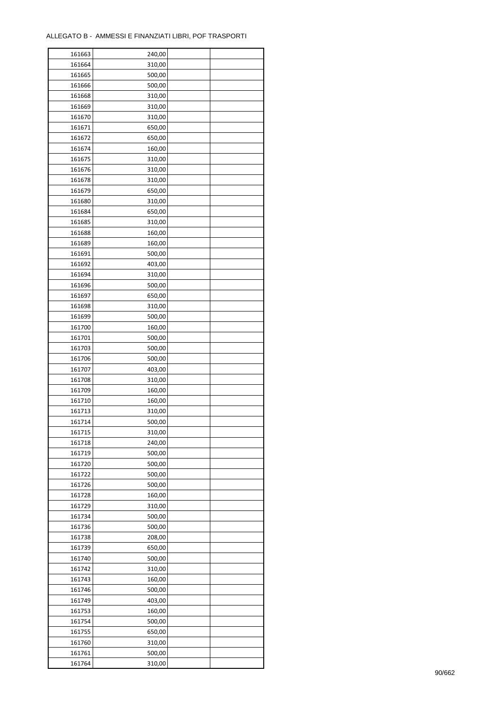| 161663 | 240,00 |  |
|--------|--------|--|
| 161664 | 310,00 |  |
| 161665 | 500,00 |  |
| 161666 | 500,00 |  |
| 161668 | 310,00 |  |
| 161669 | 310,00 |  |
| 161670 | 310,00 |  |
| 161671 | 650,00 |  |
|        | 650,00 |  |
| 161672 |        |  |
| 161674 | 160,00 |  |
| 161675 | 310,00 |  |
| 161676 | 310,00 |  |
| 161678 | 310,00 |  |
| 161679 | 650,00 |  |
| 161680 | 310,00 |  |
| 161684 | 650,00 |  |
| 161685 | 310,00 |  |
| 161688 | 160,00 |  |
| 161689 | 160,00 |  |
| 161691 | 500,00 |  |
| 161692 | 403,00 |  |
| 161694 | 310,00 |  |
| 161696 | 500,00 |  |
| 161697 | 650,00 |  |
| 161698 | 310,00 |  |
| 161699 | 500,00 |  |
| 161700 | 160,00 |  |
| 161701 | 500,00 |  |
| 161703 | 500,00 |  |
| 161706 | 500,00 |  |
| 161707 | 403,00 |  |
|        |        |  |
| 161708 | 310,00 |  |
| 161709 | 160,00 |  |
| 161710 | 160,00 |  |
| 161713 | 310,00 |  |
| 161714 | 500,00 |  |
| 161715 | 310,00 |  |
| 161718 | 240,00 |  |
| 161719 | 500,00 |  |
| 161720 | 500,00 |  |
| 161722 | 500,00 |  |
| 161726 | 500,00 |  |
| 161728 | 160,00 |  |
| 161729 | 310,00 |  |
| 161734 | 500,00 |  |
| 161736 | 500,00 |  |
| 161738 | 208,00 |  |
| 161739 | 650,00 |  |
| 161740 | 500,00 |  |
| 161742 | 310,00 |  |
| 161743 | 160,00 |  |
| 161746 | 500,00 |  |
| 161749 | 403,00 |  |
|        |        |  |
| 161753 | 160,00 |  |
| 161754 | 500,00 |  |
| 161755 | 650,00 |  |
| 161760 | 310,00 |  |
| 161761 | 500,00 |  |
| 161764 | 310,00 |  |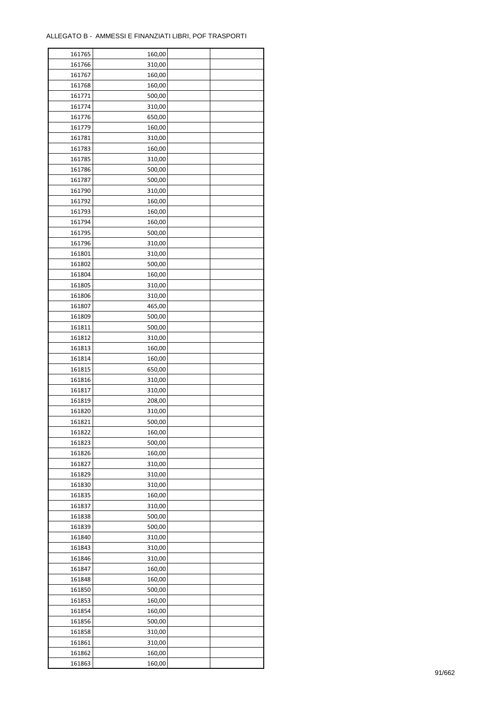| 161765 | 160,00           |  |
|--------|------------------|--|
| 161766 | 310,00           |  |
| 161767 | 160,00           |  |
| 161768 | 160,00           |  |
| 161771 | 500,00           |  |
| 161774 | 310,00           |  |
| 161776 | 650,00           |  |
| 161779 | 160,00           |  |
| 161781 | 310,00           |  |
|        |                  |  |
| 161783 | 160,00           |  |
| 161785 | 310,00           |  |
| 161786 | 500,00           |  |
| 161787 | 500,00           |  |
| 161790 | 310,00           |  |
| 161792 | 160,00           |  |
| 161793 | 160,00           |  |
| 161794 | 160,00           |  |
| 161795 | 500,00           |  |
| 161796 | 310,00           |  |
| 161801 | 310,00           |  |
| 161802 | 500,00           |  |
| 161804 | 160,00           |  |
| 161805 | 310,00           |  |
| 161806 | 310,00           |  |
| 161807 | 465,00           |  |
| 161809 | 500,00           |  |
| 161811 | 500,00           |  |
| 161812 | 310,00           |  |
| 161813 | 160,00           |  |
| 161814 |                  |  |
| 161815 | 160,00<br>650,00 |  |
|        |                  |  |
| 161816 | 310,00           |  |
| 161817 | 310,00           |  |
| 161819 | 208,00           |  |
| 161820 | 310,00           |  |
| 161821 | 500,00           |  |
| 161822 | 160,00           |  |
| 161823 | 500,00           |  |
| 161826 | 160,00           |  |
| 161827 | 310,00           |  |
| 161829 | 310,00           |  |
| 161830 | 310,00           |  |
| 161835 | 160,00           |  |
| 161837 | 310,00           |  |
| 161838 | 500,00           |  |
| 161839 | 500,00           |  |
| 161840 | 310,00           |  |
| 161843 | 310,00           |  |
| 161846 | 310,00           |  |
| 161847 | 160,00           |  |
| 161848 | 160,00           |  |
| 161850 | 500,00           |  |
| 161853 | 160,00           |  |
|        |                  |  |
| 161854 | 160,00           |  |
| 161856 | 500,00           |  |
| 161858 | 310,00           |  |
| 161861 | 310,00           |  |
| 161862 | 160,00           |  |
| 161863 | 160,00           |  |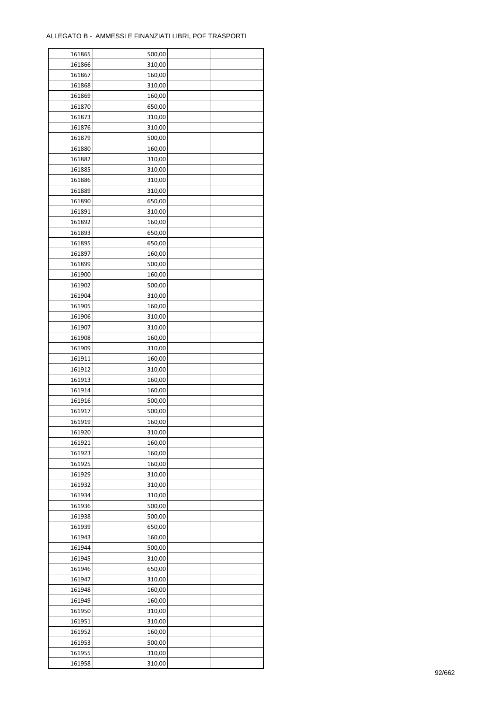| 161865 | 500,00           |  |
|--------|------------------|--|
| 161866 | 310,00           |  |
| 161867 | 160,00           |  |
| 161868 | 310,00           |  |
| 161869 | 160,00           |  |
| 161870 | 650,00           |  |
| 161873 | 310,00           |  |
| 161876 | 310,00           |  |
| 161879 | 500,00           |  |
|        |                  |  |
| 161880 | 160,00           |  |
| 161882 | 310,00           |  |
| 161885 | 310,00           |  |
| 161886 | 310,00           |  |
| 161889 | 310,00           |  |
| 161890 | 650,00           |  |
| 161891 | 310,00           |  |
| 161892 | 160,00           |  |
| 161893 | 650,00           |  |
| 161895 | 650,00           |  |
| 161897 | 160,00           |  |
| 161899 | 500,00           |  |
| 161900 | 160,00           |  |
| 161902 | 500,00           |  |
| 161904 | 310,00           |  |
| 161905 | 160,00           |  |
| 161906 | 310,00           |  |
| 161907 | 310,00           |  |
| 161908 | 160,00           |  |
| 161909 | 310,00           |  |
| 161911 | 160,00           |  |
| 161912 | 310,00           |  |
| 161913 | 160,00           |  |
|        |                  |  |
| 161914 | 160,00<br>500,00 |  |
| 161916 |                  |  |
| 161917 | 500,00           |  |
| 161919 | 160,00           |  |
| 161920 | 310,00           |  |
| 161921 | 160,00           |  |
| 161923 | 160,00           |  |
| 161925 | 160,00           |  |
| 161929 | 310,00           |  |
| 161932 | 310,00           |  |
| 161934 | 310,00           |  |
| 161936 | 500,00           |  |
| 161938 | 500,00           |  |
| 161939 | 650,00           |  |
| 161943 | 160,00           |  |
| 161944 | 500,00           |  |
| 161945 | 310,00           |  |
| 161946 | 650,00           |  |
| 161947 | 310,00           |  |
| 161948 | 160,00           |  |
| 161949 | 160,00           |  |
| 161950 | 310,00           |  |
| 161951 | 310,00           |  |
| 161952 | 160,00           |  |
| 161953 | 500,00           |  |
| 161955 | 310,00           |  |
|        |                  |  |
| 161958 | 310,00           |  |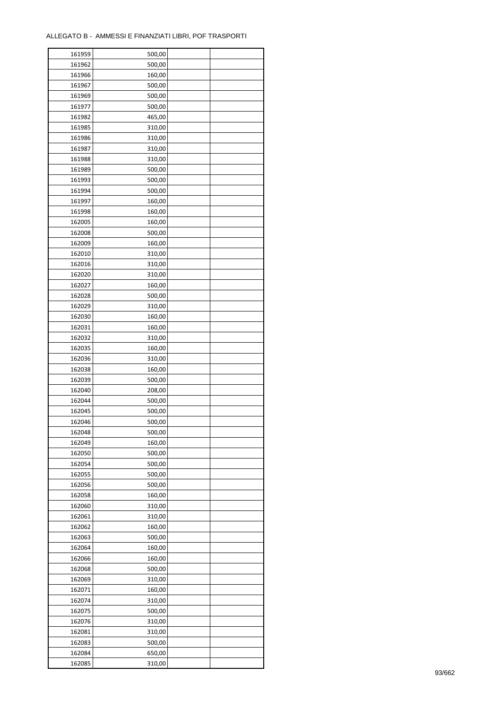| 161959 | 500,00 |  |
|--------|--------|--|
| 161962 | 500,00 |  |
| 161966 | 160,00 |  |
| 161967 | 500,00 |  |
| 161969 | 500,00 |  |
| 161977 | 500,00 |  |
| 161982 | 465,00 |  |
| 161985 | 310,00 |  |
| 161986 | 310,00 |  |
| 161987 | 310,00 |  |
| 161988 | 310,00 |  |
|        |        |  |
| 161989 | 500,00 |  |
| 161993 | 500,00 |  |
| 161994 | 500,00 |  |
| 161997 | 160,00 |  |
| 161998 | 160,00 |  |
| 162005 | 160,00 |  |
| 162008 | 500,00 |  |
| 162009 | 160,00 |  |
| 162010 | 310,00 |  |
| 162016 | 310,00 |  |
| 162020 | 310,00 |  |
| 162027 | 160,00 |  |
| 162028 | 500,00 |  |
| 162029 | 310,00 |  |
| 162030 | 160,00 |  |
| 162031 | 160,00 |  |
| 162032 | 310,00 |  |
| 162035 | 160,00 |  |
| 162036 | 310,00 |  |
| 162038 | 160,00 |  |
| 162039 | 500,00 |  |
|        |        |  |
| 162040 | 208,00 |  |
| 162044 | 500,00 |  |
| 162045 | 500,00 |  |
| 162046 | 500,00 |  |
| 162048 | 500,00 |  |
| 162049 | 160,00 |  |
| 162050 | 500,00 |  |
| 162054 | 500,00 |  |
| 162055 | 500,00 |  |
| 162056 | 500,00 |  |
| 162058 | 160,00 |  |
| 162060 | 310,00 |  |
| 162061 | 310,00 |  |
| 162062 | 160,00 |  |
| 162063 | 500,00 |  |
| 162064 | 160,00 |  |
| 162066 | 160,00 |  |
| 162068 | 500,00 |  |
| 162069 | 310,00 |  |
| 162071 | 160,00 |  |
| 162074 | 310,00 |  |
|        |        |  |
| 162075 | 500,00 |  |
| 162076 | 310,00 |  |
| 162081 | 310,00 |  |
| 162083 | 500,00 |  |
| 162084 | 650,00 |  |
| 162085 | 310,00 |  |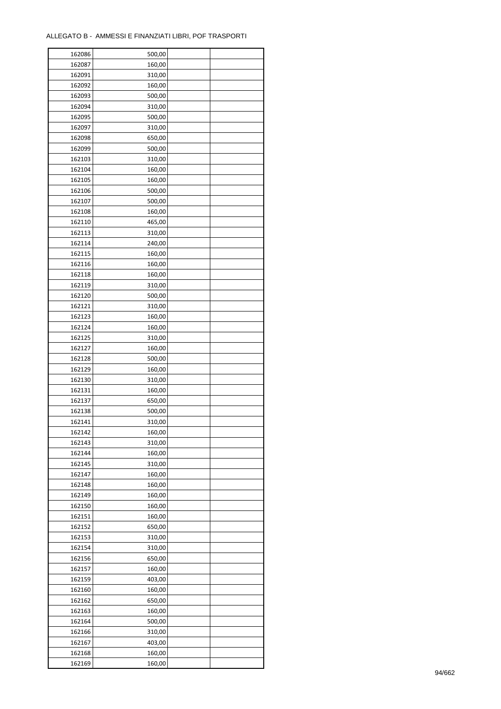| 162086 | 500,00 |  |
|--------|--------|--|
| 162087 | 160,00 |  |
| 162091 | 310,00 |  |
| 162092 | 160,00 |  |
| 162093 | 500,00 |  |
| 162094 | 310,00 |  |
| 162095 | 500,00 |  |
| 162097 | 310,00 |  |
| 162098 | 650,00 |  |
| 162099 | 500,00 |  |
| 162103 | 310,00 |  |
| 162104 | 160,00 |  |
| 162105 | 160,00 |  |
| 162106 | 500,00 |  |
|        |        |  |
| 162107 | 500,00 |  |
| 162108 | 160,00 |  |
| 162110 | 465,00 |  |
| 162113 | 310,00 |  |
| 162114 | 240,00 |  |
| 162115 | 160,00 |  |
| 162116 | 160,00 |  |
| 162118 | 160,00 |  |
| 162119 | 310,00 |  |
| 162120 | 500,00 |  |
| 162121 | 310,00 |  |
| 162123 | 160,00 |  |
| 162124 | 160,00 |  |
| 162125 | 310,00 |  |
| 162127 | 160,00 |  |
| 162128 | 500,00 |  |
| 162129 | 160,00 |  |
| 162130 | 310,00 |  |
| 162131 | 160,00 |  |
| 162137 | 650,00 |  |
| 162138 | 500,00 |  |
| 162141 | 310,00 |  |
| 162142 | 160,00 |  |
| 162143 | 310,00 |  |
| 162144 | 160,00 |  |
| 162145 | 310,00 |  |
| 162147 | 160,00 |  |
| 162148 | 160,00 |  |
| 162149 | 160,00 |  |
|        | 160,00 |  |
| 162150 |        |  |
| 162151 | 160,00 |  |
| 162152 | 650,00 |  |
| 162153 | 310,00 |  |
| 162154 | 310,00 |  |
| 162156 | 650,00 |  |
| 162157 | 160,00 |  |
| 162159 | 403,00 |  |
| 162160 | 160,00 |  |
| 162162 | 650,00 |  |
| 162163 | 160,00 |  |
| 162164 | 500,00 |  |
| 162166 | 310,00 |  |
| 162167 | 403,00 |  |
| 162168 | 160,00 |  |
| 162169 | 160,00 |  |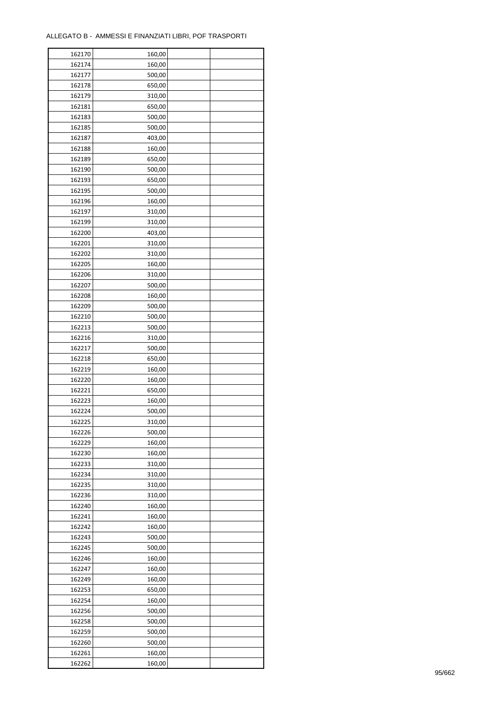| 162170 | 160,00 |  |
|--------|--------|--|
| 162174 | 160,00 |  |
| 162177 | 500,00 |  |
| 162178 | 650,00 |  |
| 162179 | 310,00 |  |
| 162181 | 650,00 |  |
| 162183 | 500,00 |  |
| 162185 | 500,00 |  |
| 162187 | 403,00 |  |
| 162188 | 160,00 |  |
| 162189 | 650,00 |  |
| 162190 | 500,00 |  |
| 162193 | 650,00 |  |
|        |        |  |
| 162195 | 500,00 |  |
| 162196 | 160,00 |  |
| 162197 | 310,00 |  |
| 162199 | 310,00 |  |
| 162200 | 403,00 |  |
| 162201 | 310,00 |  |
| 162202 | 310,00 |  |
| 162205 | 160,00 |  |
| 162206 | 310,00 |  |
| 162207 | 500,00 |  |
| 162208 | 160,00 |  |
| 162209 | 500,00 |  |
| 162210 | 500,00 |  |
| 162213 | 500,00 |  |
| 162216 | 310,00 |  |
| 162217 | 500,00 |  |
| 162218 | 650,00 |  |
| 162219 | 160,00 |  |
| 162220 | 160,00 |  |
| 162221 | 650,00 |  |
| 162223 | 160,00 |  |
| 162224 | 500,00 |  |
| 162225 | 310,00 |  |
| 162226 | 500,00 |  |
| 162229 | 160,00 |  |
| 162230 | 160,00 |  |
| 162233 | 310,00 |  |
| 162234 | 310,00 |  |
| 162235 | 310,00 |  |
| 162236 | 310,00 |  |
| 162240 | 160,00 |  |
| 162241 | 160,00 |  |
| 162242 | 160,00 |  |
| 162243 | 500,00 |  |
| 162245 | 500,00 |  |
| 162246 | 160,00 |  |
| 162247 | 160,00 |  |
| 162249 | 160,00 |  |
| 162253 | 650,00 |  |
| 162254 | 160,00 |  |
| 162256 | 500,00 |  |
| 162258 | 500,00 |  |
| 162259 | 500,00 |  |
| 162260 | 500,00 |  |
| 162261 | 160,00 |  |
| 162262 | 160,00 |  |
|        |        |  |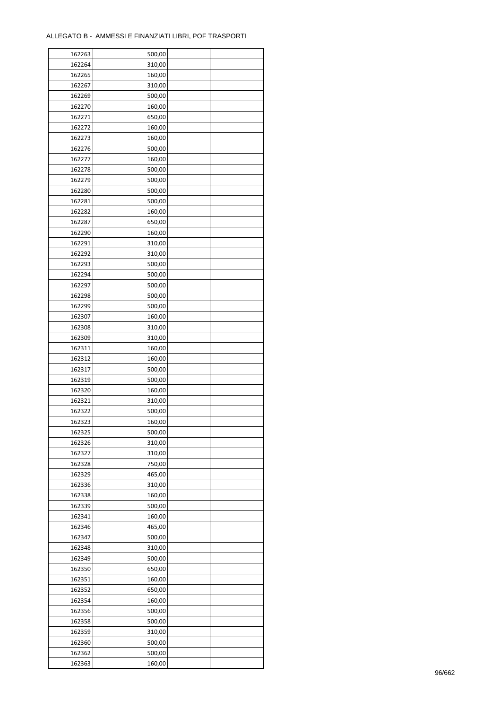| 162263 | 500,00 |  |
|--------|--------|--|
| 162264 | 310,00 |  |
| 162265 | 160,00 |  |
| 162267 | 310,00 |  |
| 162269 | 500,00 |  |
| 162270 | 160,00 |  |
| 162271 | 650,00 |  |
| 162272 | 160,00 |  |
|        |        |  |
| 162273 | 160,00 |  |
| 162276 | 500,00 |  |
| 162277 | 160,00 |  |
| 162278 | 500,00 |  |
| 162279 | 500,00 |  |
| 162280 | 500,00 |  |
| 162281 | 500,00 |  |
| 162282 | 160,00 |  |
| 162287 | 650,00 |  |
| 162290 | 160,00 |  |
| 162291 | 310,00 |  |
| 162292 | 310,00 |  |
| 162293 | 500,00 |  |
| 162294 | 500,00 |  |
| 162297 | 500,00 |  |
| 162298 | 500,00 |  |
| 162299 | 500,00 |  |
| 162307 | 160,00 |  |
| 162308 | 310,00 |  |
|        |        |  |
| 162309 | 310,00 |  |
| 162311 | 160,00 |  |
| 162312 | 160,00 |  |
| 162317 | 500,00 |  |
| 162319 | 500,00 |  |
| 162320 | 160,00 |  |
| 162321 | 310,00 |  |
| 162322 | 500,00 |  |
| 162323 | 160,00 |  |
| 162325 | 500,00 |  |
| 162326 | 310,00 |  |
| 162327 | 310,00 |  |
| 162328 | 750,00 |  |
| 162329 | 465,00 |  |
| 162336 | 310,00 |  |
| 162338 | 160,00 |  |
| 162339 | 500,00 |  |
| 162341 | 160,00 |  |
| 162346 | 465,00 |  |
| 162347 | 500,00 |  |
| 162348 |        |  |
|        | 310,00 |  |
| 162349 | 500,00 |  |
| 162350 | 650,00 |  |
| 162351 | 160,00 |  |
| 162352 | 650,00 |  |
| 162354 | 160,00 |  |
| 162356 | 500,00 |  |
| 162358 | 500,00 |  |
| 162359 | 310,00 |  |
| 162360 | 500,00 |  |
| 162362 | 500,00 |  |
| 162363 | 160,00 |  |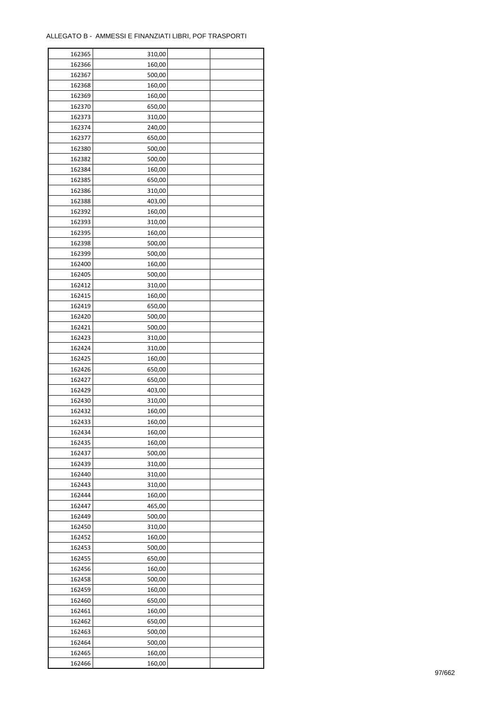| 162365 | 310,00 |  |
|--------|--------|--|
| 162366 | 160,00 |  |
| 162367 | 500,00 |  |
| 162368 | 160,00 |  |
| 162369 | 160,00 |  |
| 162370 | 650,00 |  |
| 162373 | 310,00 |  |
| 162374 | 240,00 |  |
|        |        |  |
| 162377 | 650,00 |  |
| 162380 | 500,00 |  |
| 162382 | 500,00 |  |
| 162384 | 160,00 |  |
| 162385 | 650,00 |  |
| 162386 | 310,00 |  |
| 162388 | 403,00 |  |
| 162392 | 160,00 |  |
| 162393 | 310,00 |  |
| 162395 | 160,00 |  |
| 162398 | 500,00 |  |
| 162399 | 500,00 |  |
| 162400 | 160,00 |  |
| 162405 | 500,00 |  |
| 162412 | 310,00 |  |
| 162415 | 160,00 |  |
| 162419 | 650,00 |  |
| 162420 | 500,00 |  |
| 162421 | 500,00 |  |
| 162423 | 310,00 |  |
| 162424 | 310,00 |  |
| 162425 | 160,00 |  |
| 162426 |        |  |
|        | 650,00 |  |
| 162427 | 650,00 |  |
| 162429 | 403,00 |  |
| 162430 | 310,00 |  |
| 162432 | 160,00 |  |
| 162433 | 160,00 |  |
| 162434 | 160,00 |  |
| 162435 | 160,00 |  |
| 162437 | 500,00 |  |
| 162439 | 310,00 |  |
| 162440 | 310,00 |  |
| 162443 | 310,00 |  |
| 162444 | 160,00 |  |
| 162447 | 465,00 |  |
| 162449 | 500,00 |  |
| 162450 | 310,00 |  |
| 162452 | 160,00 |  |
| 162453 | 500,00 |  |
| 162455 | 650,00 |  |
| 162456 | 160,00 |  |
| 162458 | 500,00 |  |
| 162459 | 160,00 |  |
| 162460 | 650,00 |  |
|        |        |  |
| 162461 | 160,00 |  |
| 162462 | 650,00 |  |
| 162463 | 500,00 |  |
| 162464 | 500,00 |  |
| 162465 | 160,00 |  |
| 162466 | 160,00 |  |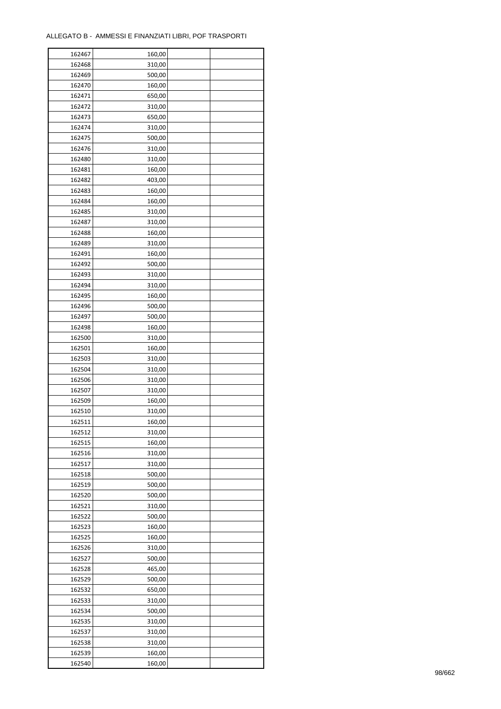| 162467 | 160,00 |  |
|--------|--------|--|
| 162468 | 310,00 |  |
| 162469 | 500,00 |  |
| 162470 | 160,00 |  |
| 162471 | 650,00 |  |
| 162472 | 310,00 |  |
| 162473 | 650,00 |  |
| 162474 | 310,00 |  |
|        | 500,00 |  |
| 162475 |        |  |
| 162476 | 310,00 |  |
| 162480 | 310,00 |  |
| 162481 | 160,00 |  |
| 162482 | 403,00 |  |
| 162483 | 160,00 |  |
| 162484 | 160,00 |  |
| 162485 | 310,00 |  |
| 162487 | 310,00 |  |
| 162488 | 160,00 |  |
| 162489 | 310,00 |  |
| 162491 | 160,00 |  |
| 162492 | 500,00 |  |
| 162493 | 310,00 |  |
| 162494 | 310,00 |  |
| 162495 | 160,00 |  |
| 162496 | 500,00 |  |
| 162497 | 500,00 |  |
| 162498 | 160,00 |  |
| 162500 | 310,00 |  |
| 162501 | 160,00 |  |
| 162503 | 310,00 |  |
| 162504 | 310,00 |  |
|        |        |  |
| 162506 | 310,00 |  |
| 162507 | 310,00 |  |
| 162509 | 160,00 |  |
| 162510 | 310,00 |  |
| 162511 | 160,00 |  |
| 162512 | 310,00 |  |
| 162515 | 160,00 |  |
| 162516 | 310,00 |  |
| 162517 | 310,00 |  |
| 162518 | 500,00 |  |
| 162519 | 500,00 |  |
| 162520 | 500,00 |  |
| 162521 | 310,00 |  |
| 162522 | 500,00 |  |
| 162523 | 160,00 |  |
| 162525 | 160,00 |  |
| 162526 | 310,00 |  |
| 162527 | 500,00 |  |
| 162528 | 465,00 |  |
| 162529 | 500,00 |  |
| 162532 | 650,00 |  |
| 162533 | 310,00 |  |
| 162534 | 500,00 |  |
|        |        |  |
| 162535 | 310,00 |  |
| 162537 | 310,00 |  |
| 162538 | 310,00 |  |
| 162539 | 160,00 |  |
| 162540 | 160,00 |  |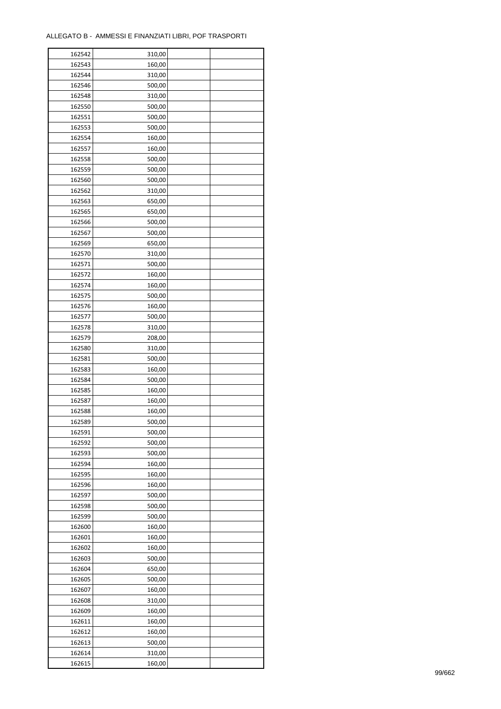| 162542 | 310,00 |  |
|--------|--------|--|
| 162543 | 160,00 |  |
| 162544 | 310,00 |  |
| 162546 | 500,00 |  |
| 162548 | 310,00 |  |
| 162550 | 500,00 |  |
| 162551 | 500,00 |  |
| 162553 | 500,00 |  |
| 162554 | 160,00 |  |
| 162557 | 160,00 |  |
| 162558 | 500,00 |  |
| 162559 | 500,00 |  |
| 162560 | 500,00 |  |
| 162562 | 310,00 |  |
|        |        |  |
| 162563 | 650,00 |  |
| 162565 | 650,00 |  |
| 162566 | 500,00 |  |
| 162567 | 500,00 |  |
| 162569 | 650,00 |  |
| 162570 | 310,00 |  |
| 162571 | 500,00 |  |
| 162572 | 160,00 |  |
| 162574 | 160,00 |  |
| 162575 | 500,00 |  |
| 162576 | 160,00 |  |
| 162577 | 500,00 |  |
| 162578 | 310,00 |  |
| 162579 | 208,00 |  |
| 162580 | 310,00 |  |
| 162581 | 500,00 |  |
| 162583 | 160,00 |  |
| 162584 | 500,00 |  |
| 162585 | 160,00 |  |
| 162587 | 160,00 |  |
| 162588 | 160,00 |  |
| 162589 | 500,00 |  |
| 162591 | 500,00 |  |
| 162592 | 500,00 |  |
| 162593 | 500,00 |  |
|        |        |  |
| 162594 | 160,00 |  |
| 162595 | 160,00 |  |
| 162596 | 160,00 |  |
| 162597 | 500,00 |  |
| 162598 | 500,00 |  |
| 162599 | 500,00 |  |
| 162600 | 160,00 |  |
| 162601 | 160,00 |  |
| 162602 | 160,00 |  |
| 162603 | 500,00 |  |
| 162604 | 650,00 |  |
| 162605 | 500,00 |  |
| 162607 | 160,00 |  |
| 162608 | 310,00 |  |
| 162609 | 160,00 |  |
| 162611 | 160,00 |  |
| 162612 | 160,00 |  |
| 162613 | 500,00 |  |
| 162614 | 310,00 |  |
| 162615 | 160,00 |  |
|        |        |  |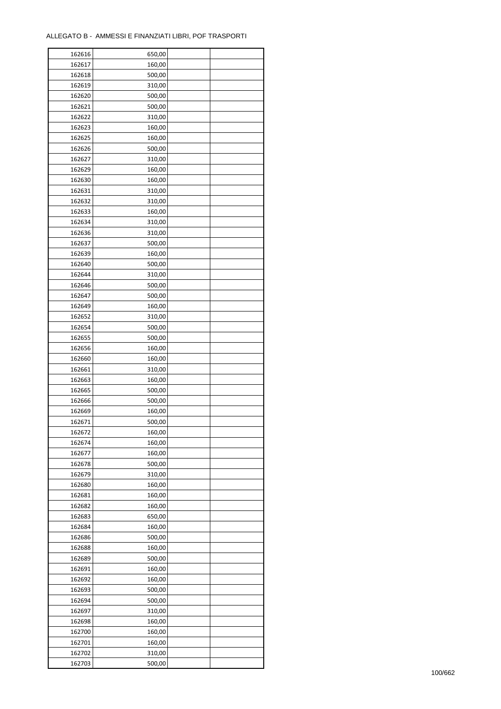| 162616 | 650,00 |  |
|--------|--------|--|
| 162617 | 160,00 |  |
| 162618 | 500,00 |  |
| 162619 | 310,00 |  |
| 162620 | 500,00 |  |
| 162621 | 500,00 |  |
| 162622 | 310,00 |  |
| 162623 | 160,00 |  |
| 162625 | 160,00 |  |
| 162626 | 500,00 |  |
| 162627 | 310,00 |  |
| 162629 | 160,00 |  |
| 162630 |        |  |
|        | 160,00 |  |
| 162631 | 310,00 |  |
| 162632 | 310,00 |  |
| 162633 | 160,00 |  |
| 162634 | 310,00 |  |
| 162636 | 310,00 |  |
| 162637 | 500,00 |  |
| 162639 | 160,00 |  |
| 162640 | 500,00 |  |
| 162644 | 310,00 |  |
| 162646 | 500,00 |  |
| 162647 | 500,00 |  |
| 162649 | 160,00 |  |
| 162652 | 310,00 |  |
| 162654 | 500,00 |  |
| 162655 | 500,00 |  |
| 162656 | 160,00 |  |
| 162660 | 160,00 |  |
| 162661 | 310,00 |  |
| 162663 | 160,00 |  |
| 162665 | 500,00 |  |
| 162666 | 500,00 |  |
| 162669 | 160,00 |  |
| 162671 | 500,00 |  |
| 162672 | 160,00 |  |
| 162674 | 160,00 |  |
| 162677 | 160,00 |  |
| 162678 | 500,00 |  |
| 162679 | 310,00 |  |
| 162680 | 160,00 |  |
| 162681 | 160,00 |  |
| 162682 | 160,00 |  |
| 162683 | 650,00 |  |
| 162684 | 160,00 |  |
| 162686 | 500,00 |  |
| 162688 | 160,00 |  |
| 162689 | 500,00 |  |
| 162691 | 160,00 |  |
| 162692 | 160,00 |  |
| 162693 | 500,00 |  |
| 162694 | 500,00 |  |
| 162697 | 310,00 |  |
| 162698 | 160,00 |  |
| 162700 | 160,00 |  |
| 162701 | 160,00 |  |
|        |        |  |
| 162702 | 310,00 |  |
| 162703 | 500,00 |  |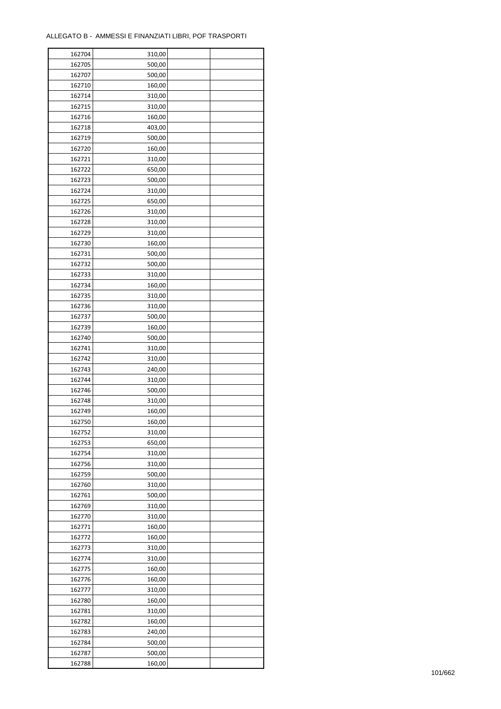| 162704           | 310,00 |  |
|------------------|--------|--|
| 162705           | 500,00 |  |
| 162707           | 500,00 |  |
| 162710           | 160,00 |  |
| 162714           | 310,00 |  |
| 162715           | 310,00 |  |
| 162716           | 160,00 |  |
| 162718           | 403,00 |  |
| 162719           | 500,00 |  |
| 162720           | 160,00 |  |
| 162721           | 310,00 |  |
| 162722           | 650,00 |  |
| 162723           | 500,00 |  |
| 162724           | 310,00 |  |
| 162725           | 650,00 |  |
| 162726           | 310,00 |  |
| 162728           | 310,00 |  |
|                  |        |  |
| 162729<br>162730 | 310,00 |  |
|                  | 160,00 |  |
| 162731           | 500,00 |  |
| 162732           | 500,00 |  |
| 162733           | 310,00 |  |
| 162734           | 160,00 |  |
| 162735           | 310,00 |  |
| 162736           | 310,00 |  |
| 162737           | 500,00 |  |
| 162739           | 160,00 |  |
| 162740           | 500,00 |  |
| 162741           | 310,00 |  |
| 162742           | 310,00 |  |
| 162743           | 240,00 |  |
| 162744           | 310,00 |  |
| 162746           | 500,00 |  |
| 162748           | 310,00 |  |
| 162749           | 160,00 |  |
| 162750           | 160,00 |  |
| 162752           | 310,00 |  |
| 162753           | 650,00 |  |
| 162754           | 310,00 |  |
| 162756           | 310,00 |  |
| 162759           | 500,00 |  |
| 162760           | 310,00 |  |
| 162761           | 500,00 |  |
| 162769           | 310,00 |  |
| 162770           | 310,00 |  |
| 162771           | 160,00 |  |
| 162772           | 160,00 |  |
| 162773           | 310,00 |  |
| 162774           | 310,00 |  |
| 162775           | 160,00 |  |
| 162776           | 160,00 |  |
| 162777           | 310,00 |  |
| 162780           | 160,00 |  |
| 162781           | 310,00 |  |
| 162782           | 160,00 |  |
| 162783           | 240,00 |  |
| 162784           | 500,00 |  |
| 162787           | 500,00 |  |
| 162788           | 160,00 |  |
|                  |        |  |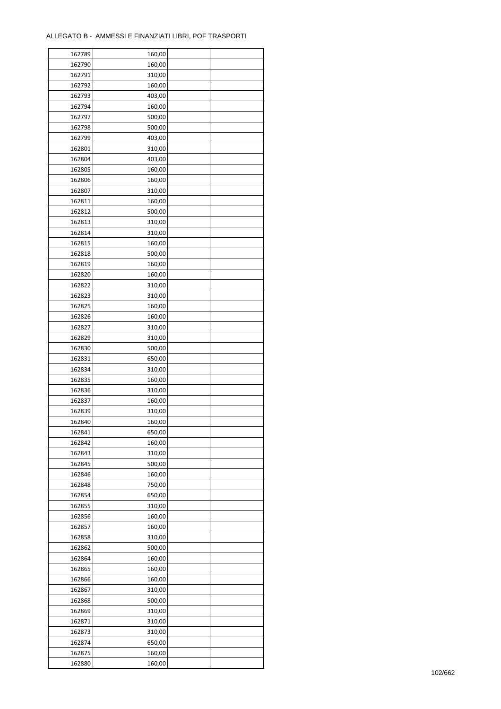| 162789 | 160,00 |  |
|--------|--------|--|
| 162790 | 160,00 |  |
| 162791 | 310,00 |  |
| 162792 | 160,00 |  |
| 162793 | 403,00 |  |
| 162794 | 160,00 |  |
| 162797 | 500,00 |  |
| 162798 | 500,00 |  |
| 162799 | 403,00 |  |
| 162801 | 310,00 |  |
| 162804 | 403,00 |  |
| 162805 | 160,00 |  |
| 162806 | 160,00 |  |
| 162807 | 310,00 |  |
|        |        |  |
| 162811 | 160,00 |  |
| 162812 | 500,00 |  |
| 162813 | 310,00 |  |
| 162814 | 310,00 |  |
| 162815 | 160,00 |  |
| 162818 | 500,00 |  |
| 162819 | 160,00 |  |
| 162820 | 160,00 |  |
| 162822 | 310,00 |  |
| 162823 | 310,00 |  |
| 162825 | 160,00 |  |
| 162826 | 160,00 |  |
| 162827 | 310,00 |  |
| 162829 | 310,00 |  |
| 162830 | 500,00 |  |
| 162831 | 650,00 |  |
| 162834 | 310,00 |  |
| 162835 | 160,00 |  |
| 162836 | 310,00 |  |
| 162837 | 160,00 |  |
| 162839 | 310,00 |  |
| 162840 | 160,00 |  |
| 162841 | 650,00 |  |
| 162842 | 160,00 |  |
| 162843 | 310,00 |  |
| 162845 | 500,00 |  |
| 162846 | 160,00 |  |
| 162848 | 750,00 |  |
| 162854 | 650,00 |  |
| 162855 | 310,00 |  |
| 162856 | 160,00 |  |
| 162857 | 160,00 |  |
| 162858 | 310,00 |  |
| 162862 | 500,00 |  |
| 162864 | 160,00 |  |
| 162865 | 160,00 |  |
| 162866 | 160,00 |  |
| 162867 | 310,00 |  |
| 162868 | 500,00 |  |
|        |        |  |
| 162869 | 310,00 |  |
| 162871 | 310,00 |  |
| 162873 | 310,00 |  |
| 162874 | 650,00 |  |
| 162875 | 160,00 |  |
| 162880 | 160,00 |  |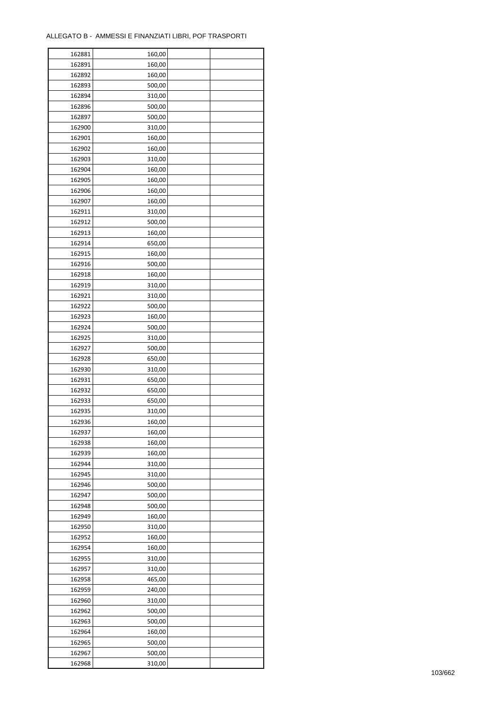| 162881 | 160,00 |  |
|--------|--------|--|
| 162891 | 160,00 |  |
| 162892 | 160,00 |  |
| 162893 | 500,00 |  |
| 162894 | 310,00 |  |
| 162896 | 500,00 |  |
| 162897 | 500,00 |  |
| 162900 | 310,00 |  |
| 162901 | 160,00 |  |
| 162902 | 160,00 |  |
| 162903 | 310,00 |  |
| 162904 | 160,00 |  |
| 162905 | 160,00 |  |
| 162906 | 160,00 |  |
|        |        |  |
| 162907 | 160,00 |  |
| 162911 | 310,00 |  |
| 162912 | 500,00 |  |
| 162913 | 160,00 |  |
| 162914 | 650,00 |  |
| 162915 | 160,00 |  |
| 162916 | 500,00 |  |
| 162918 | 160,00 |  |
| 162919 | 310,00 |  |
| 162921 | 310,00 |  |
| 162922 | 500,00 |  |
| 162923 | 160,00 |  |
| 162924 | 500,00 |  |
| 162925 | 310,00 |  |
| 162927 | 500,00 |  |
| 162928 | 650,00 |  |
| 162930 | 310,00 |  |
| 162931 | 650,00 |  |
| 162932 | 650,00 |  |
| 162933 | 650,00 |  |
| 162935 | 310,00 |  |
| 162936 | 160,00 |  |
| 162937 | 160,00 |  |
| 162938 | 160,00 |  |
| 162939 | 160,00 |  |
|        |        |  |
| 162944 | 310,00 |  |
| 162945 | 310,00 |  |
| 162946 | 500,00 |  |
| 162947 | 500,00 |  |
| 162948 | 500,00 |  |
| 162949 | 160,00 |  |
| 162950 | 310,00 |  |
| 162952 | 160,00 |  |
| 162954 | 160,00 |  |
| 162955 | 310,00 |  |
| 162957 | 310,00 |  |
| 162958 | 465,00 |  |
| 162959 | 240,00 |  |
| 162960 | 310,00 |  |
| 162962 | 500,00 |  |
| 162963 | 500,00 |  |
| 162964 | 160,00 |  |
| 162965 | 500,00 |  |
| 162967 | 500,00 |  |
| 162968 | 310,00 |  |
|        |        |  |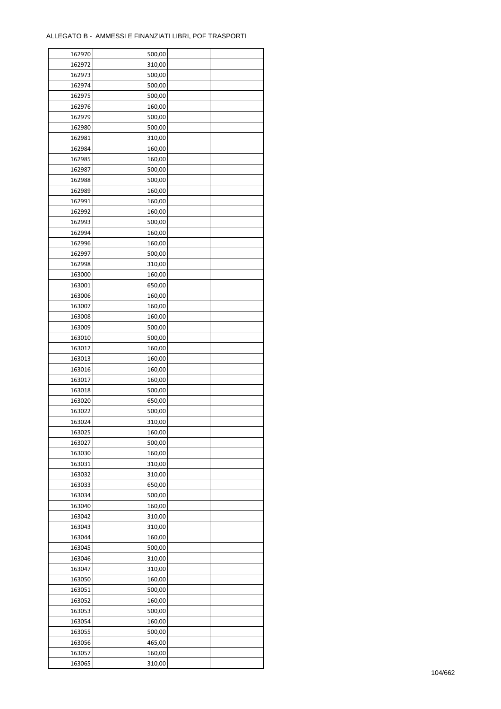| 162970           | 500,00 |  |
|------------------|--------|--|
| 162972           | 310,00 |  |
| 162973           | 500,00 |  |
| 162974           | 500,00 |  |
| 162975           | 500,00 |  |
| 162976           | 160,00 |  |
| 162979           | 500,00 |  |
| 162980           | 500,00 |  |
| 162981           | 310,00 |  |
| 162984           | 160,00 |  |
| 162985           | 160,00 |  |
| 162987           | 500,00 |  |
| 162988           | 500,00 |  |
| 162989           | 160,00 |  |
| 162991           | 160,00 |  |
| 162992           | 160,00 |  |
| 162993           | 500,00 |  |
| 162994           | 160,00 |  |
| 162996           | 160,00 |  |
| 162997           | 500,00 |  |
| 162998           | 310,00 |  |
| 163000           | 160,00 |  |
| 163001           | 650,00 |  |
| 163006           | 160,00 |  |
| 163007           | 160,00 |  |
| 163008           | 160,00 |  |
| 163009           | 500,00 |  |
| 163010           | 500,00 |  |
| 163012           | 160,00 |  |
| 163013           | 160,00 |  |
| 163016           |        |  |
| 163017           | 160,00 |  |
|                  | 160,00 |  |
| 163018           | 500,00 |  |
| 163020           | 650,00 |  |
| 163022<br>163024 | 500,00 |  |
|                  | 310,00 |  |
| 163025           | 160,00 |  |
| 163027           | 500,00 |  |
| 163030           | 160,00 |  |
| 163031           | 310,00 |  |
| 163032           | 310,00 |  |
| 163033           | 650,00 |  |
| 163034           | 500,00 |  |
| 163040           | 160,00 |  |
| 163042           | 310,00 |  |
| 163043           | 310,00 |  |
| 163044           | 160,00 |  |
| 163045           | 500,00 |  |
| 163046           | 310,00 |  |
| 163047           | 310,00 |  |
| 163050           | 160,00 |  |
| 163051           | 500,00 |  |
| 163052           | 160,00 |  |
| 163053           | 500,00 |  |
| 163054           | 160,00 |  |
| 163055           | 500,00 |  |
| 163056           | 465,00 |  |
| 163057           | 160,00 |  |
| 163065           | 310,00 |  |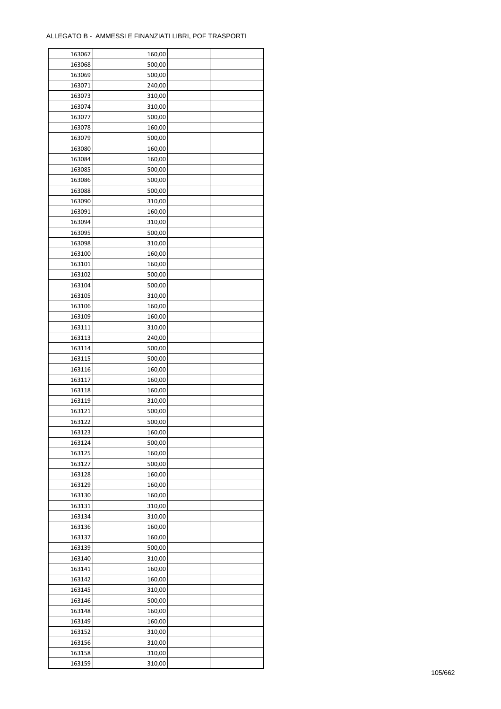| 163067 | 160,00 |  |
|--------|--------|--|
| 163068 | 500,00 |  |
| 163069 | 500,00 |  |
| 163071 | 240,00 |  |
| 163073 | 310,00 |  |
| 163074 | 310,00 |  |
| 163077 | 500,00 |  |
| 163078 | 160,00 |  |
| 163079 | 500,00 |  |
| 163080 | 160,00 |  |
| 163084 | 160,00 |  |
| 163085 | 500,00 |  |
| 163086 | 500,00 |  |
| 163088 | 500,00 |  |
| 163090 | 310,00 |  |
| 163091 | 160,00 |  |
| 163094 | 310,00 |  |
| 163095 | 500,00 |  |
| 163098 | 310,00 |  |
| 163100 | 160,00 |  |
| 163101 | 160,00 |  |
| 163102 | 500,00 |  |
|        |        |  |
| 163104 | 500,00 |  |
| 163105 | 310,00 |  |
| 163106 | 160,00 |  |
| 163109 | 160,00 |  |
| 163111 | 310,00 |  |
| 163113 | 240,00 |  |
| 163114 | 500,00 |  |
| 163115 | 500,00 |  |
| 163116 | 160,00 |  |
| 163117 | 160,00 |  |
| 163118 | 160,00 |  |
| 163119 | 310,00 |  |
| 163121 | 500,00 |  |
| 163122 | 500,00 |  |
| 163123 | 160,00 |  |
| 163124 | 500,00 |  |
| 163125 | 160,00 |  |
| 163127 | 500,00 |  |
| 163128 | 160,00 |  |
| 163129 | 160,00 |  |
| 163130 | 160,00 |  |
| 163131 | 310,00 |  |
| 163134 | 310,00 |  |
| 163136 | 160,00 |  |
| 163137 | 160,00 |  |
| 163139 | 500,00 |  |
| 163140 | 310,00 |  |
| 163141 | 160,00 |  |
| 163142 | 160,00 |  |
| 163145 | 310,00 |  |
| 163146 | 500,00 |  |
| 163148 | 160,00 |  |
| 163149 | 160,00 |  |
| 163152 | 310,00 |  |
| 163156 | 310,00 |  |
| 163158 | 310,00 |  |
| 163159 | 310,00 |  |
|        |        |  |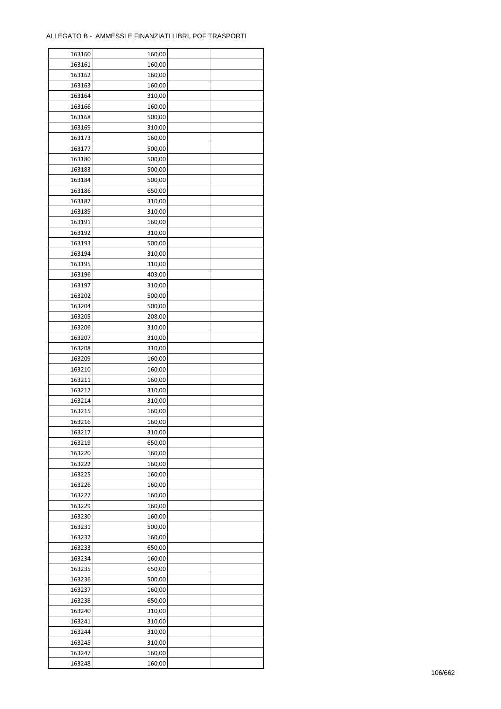ř

| 163160 | 160,00 |  |
|--------|--------|--|
| 163161 | 160,00 |  |
| 163162 | 160,00 |  |
| 163163 | 160,00 |  |
| 163164 | 310,00 |  |
| 163166 | 160,00 |  |
| 163168 | 500,00 |  |
| 163169 | 310,00 |  |
| 163173 | 160,00 |  |
|        |        |  |
| 163177 | 500,00 |  |
| 163180 | 500,00 |  |
| 163183 | 500,00 |  |
| 163184 | 500,00 |  |
| 163186 | 650,00 |  |
| 163187 | 310,00 |  |
| 163189 | 310,00 |  |
| 163191 | 160,00 |  |
| 163192 | 310,00 |  |
| 163193 | 500,00 |  |
| 163194 | 310,00 |  |
| 163195 | 310,00 |  |
| 163196 | 403,00 |  |
| 163197 | 310,00 |  |
| 163202 | 500,00 |  |
| 163204 | 500,00 |  |
| 163205 | 208,00 |  |
| 163206 | 310,00 |  |
| 163207 | 310,00 |  |
| 163208 | 310,00 |  |
| 163209 | 160,00 |  |
|        |        |  |
| 163210 | 160,00 |  |
| 163211 | 160,00 |  |
| 163212 | 310,00 |  |
| 163214 | 310,00 |  |
| 163215 | 160,00 |  |
| 163216 | 160,00 |  |
| 163217 | 310,00 |  |
| 163219 | 650,00 |  |
| 163220 | 160,00 |  |
| 163222 | 160,00 |  |
| 163225 | 160,00 |  |
| 163226 | 160,00 |  |
| 163227 | 160,00 |  |
| 163229 | 160,00 |  |
| 163230 | 160,00 |  |
| 163231 | 500,00 |  |
| 163232 | 160,00 |  |
| 163233 | 650,00 |  |
| 163234 | 160,00 |  |
| 163235 | 650,00 |  |
| 163236 | 500,00 |  |
|        |        |  |
| 163237 | 160,00 |  |
| 163238 | 650,00 |  |
| 163240 | 310,00 |  |
| 163241 | 310,00 |  |
| 163244 | 310,00 |  |
| 163245 | 310,00 |  |
| 163247 | 160,00 |  |
| 163248 | 160,00 |  |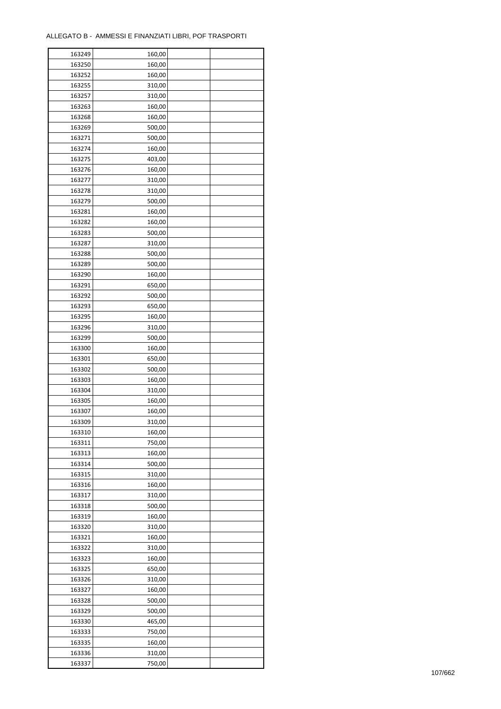| 163249 | 160,00 |  |
|--------|--------|--|
| 163250 | 160,00 |  |
| 163252 | 160,00 |  |
| 163255 | 310,00 |  |
| 163257 | 310,00 |  |
| 163263 | 160,00 |  |
| 163268 | 160,00 |  |
| 163269 | 500,00 |  |
| 163271 | 500,00 |  |
| 163274 | 160,00 |  |
| 163275 | 403,00 |  |
| 163276 | 160,00 |  |
| 163277 | 310,00 |  |
| 163278 | 310,00 |  |
| 163279 | 500,00 |  |
| 163281 | 160,00 |  |
| 163282 | 160,00 |  |
| 163283 | 500,00 |  |
| 163287 | 310,00 |  |
| 163288 | 500,00 |  |
| 163289 | 500,00 |  |
|        |        |  |
| 163290 | 160,00 |  |
| 163291 | 650,00 |  |
| 163292 | 500,00 |  |
| 163293 | 650,00 |  |
| 163295 | 160,00 |  |
| 163296 | 310,00 |  |
| 163299 | 500,00 |  |
| 163300 | 160,00 |  |
| 163301 | 650,00 |  |
| 163302 | 500,00 |  |
| 163303 | 160,00 |  |
| 163304 | 310,00 |  |
| 163305 | 160,00 |  |
| 163307 | 160,00 |  |
| 163309 | 310,00 |  |
| 163310 | 160,00 |  |
| 163311 | 750,00 |  |
| 163313 | 160,00 |  |
| 163314 | 500,00 |  |
| 163315 | 310,00 |  |
| 163316 | 160,00 |  |
| 163317 | 310,00 |  |
| 163318 | 500,00 |  |
| 163319 | 160,00 |  |
| 163320 | 310,00 |  |
| 163321 | 160,00 |  |
| 163322 | 310,00 |  |
| 163323 | 160,00 |  |
| 163325 | 650,00 |  |
| 163326 | 310,00 |  |
| 163327 | 160,00 |  |
| 163328 | 500,00 |  |
| 163329 | 500,00 |  |
| 163330 | 465,00 |  |
| 163333 | 750,00 |  |
| 163335 | 160,00 |  |
| 163336 | 310,00 |  |
| 163337 | 750,00 |  |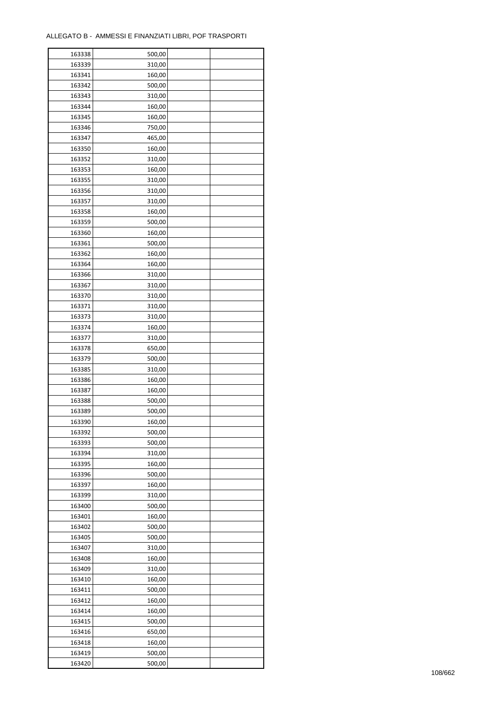| 163338           | 500,00 |  |
|------------------|--------|--|
| 163339           | 310,00 |  |
| 163341           | 160,00 |  |
| 163342           | 500,00 |  |
| 163343           | 310,00 |  |
| 163344           | 160,00 |  |
| 163345           | 160,00 |  |
| 163346           | 750,00 |  |
| 163347           | 465,00 |  |
| 163350           | 160,00 |  |
| 163352           | 310,00 |  |
| 163353           | 160,00 |  |
| 163355           | 310,00 |  |
|                  |        |  |
| 163356           | 310,00 |  |
| 163357           | 310,00 |  |
| 163358           | 160,00 |  |
| 163359           | 500,00 |  |
| 163360           | 160,00 |  |
| 163361           | 500,00 |  |
| 163362           | 160,00 |  |
| 163364           | 160,00 |  |
| 163366           | 310,00 |  |
| 163367           | 310,00 |  |
| 163370           | 310,00 |  |
| 163371           | 310,00 |  |
| 163373           | 310,00 |  |
| 163374           | 160,00 |  |
| 163377           | 310,00 |  |
| 163378           | 650,00 |  |
| 163379           | 500,00 |  |
| 163385           | 310,00 |  |
| 163386           | 160,00 |  |
| 163387           | 160,00 |  |
| 163388           | 500,00 |  |
| 163389           | 500,00 |  |
| 163390           | 160,00 |  |
| 163392           | 500,00 |  |
| 163393           | 500,00 |  |
| 163394           | 310,00 |  |
| 163395           | 160,00 |  |
|                  |        |  |
| 163396<br>163397 | 500,00 |  |
|                  | 160,00 |  |
| 163399           | 310,00 |  |
| 163400           | 500,00 |  |
| 163401           | 160,00 |  |
| 163402           | 500,00 |  |
| 163405           | 500,00 |  |
| 163407           | 310,00 |  |
| 163408           | 160,00 |  |
| 163409           | 310,00 |  |
| 163410           | 160,00 |  |
| 163411           | 500,00 |  |
| 163412           | 160,00 |  |
| 163414           | 160,00 |  |
| 163415           | 500,00 |  |
| 163416           | 650,00 |  |
| 163418           | 160,00 |  |
| 163419           | 500,00 |  |
| 163420           | 500,00 |  |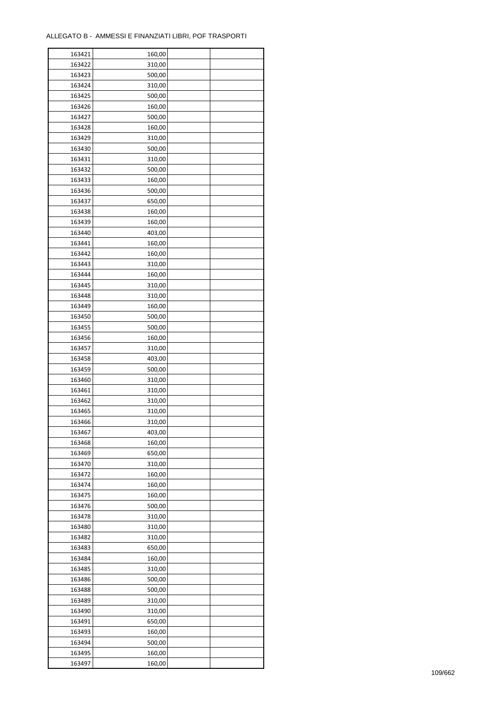| 163421 | 160,00 |  |
|--------|--------|--|
| 163422 | 310,00 |  |
| 163423 | 500,00 |  |
| 163424 | 310,00 |  |
| 163425 | 500,00 |  |
| 163426 | 160,00 |  |
| 163427 | 500,00 |  |
| 163428 | 160,00 |  |
| 163429 | 310,00 |  |
| 163430 | 500,00 |  |
| 163431 | 310,00 |  |
| 163432 | 500,00 |  |
| 163433 | 160,00 |  |
| 163436 | 500,00 |  |
|        |        |  |
| 163437 | 650,00 |  |
| 163438 | 160,00 |  |
| 163439 | 160,00 |  |
| 163440 | 403,00 |  |
| 163441 | 160,00 |  |
| 163442 | 160,00 |  |
| 163443 | 310,00 |  |
| 163444 | 160,00 |  |
| 163445 | 310,00 |  |
| 163448 | 310,00 |  |
| 163449 | 160,00 |  |
| 163450 | 500,00 |  |
| 163455 | 500,00 |  |
| 163456 | 160,00 |  |
| 163457 | 310,00 |  |
| 163458 | 403,00 |  |
| 163459 | 500,00 |  |
| 163460 | 310,00 |  |
| 163461 | 310,00 |  |
| 163462 | 310,00 |  |
| 163465 | 310,00 |  |
| 163466 | 310,00 |  |
| 163467 | 403,00 |  |
| 163468 | 160,00 |  |
| 163469 | 650,00 |  |
| 163470 | 310,00 |  |
| 163472 | 160,00 |  |
| 163474 | 160,00 |  |
| 163475 | 160,00 |  |
| 163476 | 500,00 |  |
| 163478 | 310,00 |  |
| 163480 | 310,00 |  |
| 163482 | 310,00 |  |
| 163483 | 650,00 |  |
| 163484 | 160,00 |  |
| 163485 | 310,00 |  |
| 163486 | 500,00 |  |
| 163488 | 500,00 |  |
| 163489 | 310,00 |  |
|        |        |  |
| 163490 | 310,00 |  |
| 163491 | 650,00 |  |
| 163493 | 160,00 |  |
| 163494 | 500,00 |  |
| 163495 | 160,00 |  |
| 163497 | 160,00 |  |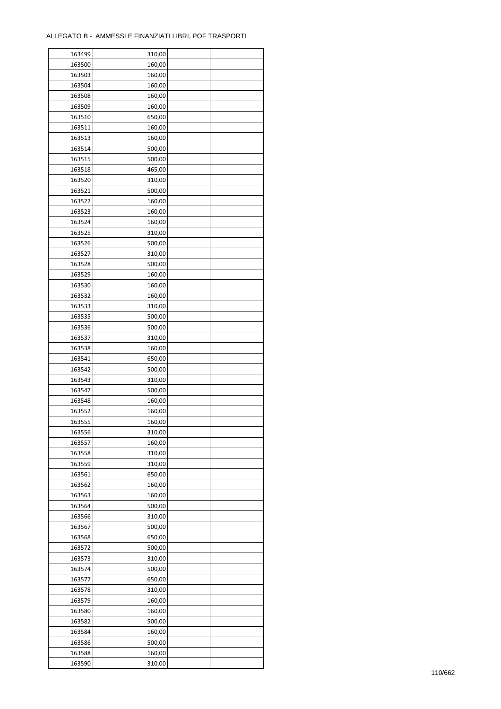÷

| 163499 | 310,00 |  |
|--------|--------|--|
| 163500 | 160,00 |  |
| 163503 | 160,00 |  |
| 163504 | 160,00 |  |
| 163508 | 160,00 |  |
| 163509 | 160,00 |  |
| 163510 | 650,00 |  |
| 163511 | 160,00 |  |
| 163513 | 160,00 |  |
| 163514 | 500,00 |  |
| 163515 | 500,00 |  |
| 163518 | 465,00 |  |
| 163520 | 310,00 |  |
|        |        |  |
| 163521 | 500,00 |  |
| 163522 | 160,00 |  |
| 163523 | 160,00 |  |
| 163524 | 160,00 |  |
| 163525 | 310,00 |  |
| 163526 | 500,00 |  |
| 163527 | 310,00 |  |
| 163528 | 500,00 |  |
| 163529 | 160,00 |  |
| 163530 | 160,00 |  |
| 163532 | 160,00 |  |
| 163533 | 310,00 |  |
| 163535 | 500,00 |  |
| 163536 | 500,00 |  |
| 163537 | 310,00 |  |
| 163538 | 160,00 |  |
| 163541 | 650,00 |  |
| 163542 | 500,00 |  |
| 163543 | 310,00 |  |
| 163547 | 500,00 |  |
| 163548 | 160,00 |  |
| 163552 | 160,00 |  |
| 163555 | 160,00 |  |
| 163556 | 310,00 |  |
| 163557 | 160,00 |  |
| 163558 | 310,00 |  |
| 163559 | 310,00 |  |
| 163561 | 650,00 |  |
| 163562 | 160,00 |  |
| 163563 | 160,00 |  |
| 163564 | 500,00 |  |
| 163566 | 310,00 |  |
| 163567 | 500,00 |  |
| 163568 | 650,00 |  |
| 163572 | 500,00 |  |
| 163573 | 310,00 |  |
| 163574 | 500,00 |  |
| 163577 | 650,00 |  |
| 163578 | 310,00 |  |
| 163579 | 160,00 |  |
| 163580 | 160,00 |  |
| 163582 | 500,00 |  |
| 163584 | 160,00 |  |
|        |        |  |
| 163586 | 500,00 |  |
| 163588 | 160,00 |  |
| 163590 | 310,00 |  |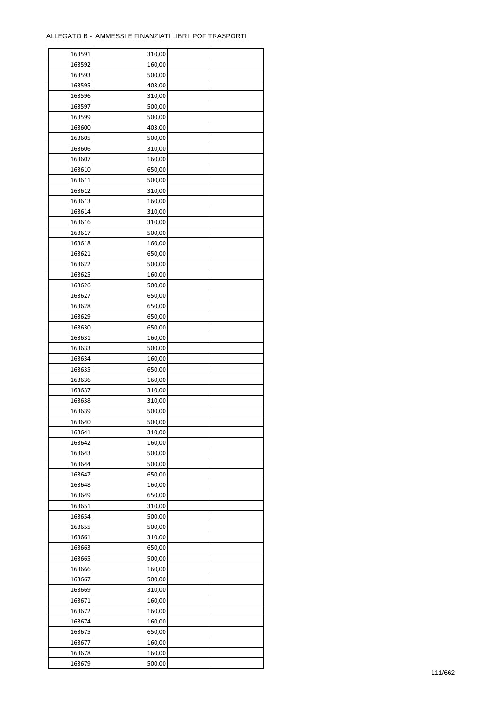| 163591 | 310,00 |  |
|--------|--------|--|
| 163592 | 160,00 |  |
| 163593 | 500,00 |  |
| 163595 | 403,00 |  |
| 163596 | 310,00 |  |
| 163597 | 500,00 |  |
| 163599 | 500,00 |  |
| 163600 | 403,00 |  |
| 163605 | 500,00 |  |
| 163606 | 310,00 |  |
| 163607 | 160,00 |  |
| 163610 | 650,00 |  |
| 163611 | 500,00 |  |
| 163612 | 310,00 |  |
|        |        |  |
| 163613 | 160,00 |  |
| 163614 | 310,00 |  |
| 163616 | 310,00 |  |
| 163617 | 500,00 |  |
| 163618 | 160,00 |  |
| 163621 | 650,00 |  |
| 163622 | 500,00 |  |
| 163625 | 160,00 |  |
| 163626 | 500,00 |  |
| 163627 | 650,00 |  |
| 163628 | 650,00 |  |
| 163629 | 650,00 |  |
| 163630 | 650,00 |  |
| 163631 | 160,00 |  |
| 163633 | 500,00 |  |
| 163634 | 160,00 |  |
| 163635 | 650,00 |  |
| 163636 | 160,00 |  |
| 163637 | 310,00 |  |
| 163638 | 310,00 |  |
| 163639 | 500,00 |  |
| 163640 | 500,00 |  |
| 163641 | 310,00 |  |
| 163642 | 160,00 |  |
|        |        |  |
| 163643 | 500,00 |  |
| 163644 | 500,00 |  |
| 163647 | 650,00 |  |
| 163648 | 160,00 |  |
| 163649 | 650,00 |  |
| 163651 | 310,00 |  |
| 163654 | 500,00 |  |
| 163655 | 500,00 |  |
| 163661 | 310,00 |  |
| 163663 | 650,00 |  |
| 163665 | 500,00 |  |
| 163666 | 160,00 |  |
| 163667 | 500,00 |  |
| 163669 | 310,00 |  |
| 163671 | 160,00 |  |
| 163672 | 160,00 |  |
| 163674 | 160,00 |  |
| 163675 | 650,00 |  |
| 163677 | 160,00 |  |
| 163678 | 160,00 |  |
| 163679 | 500,00 |  |
|        |        |  |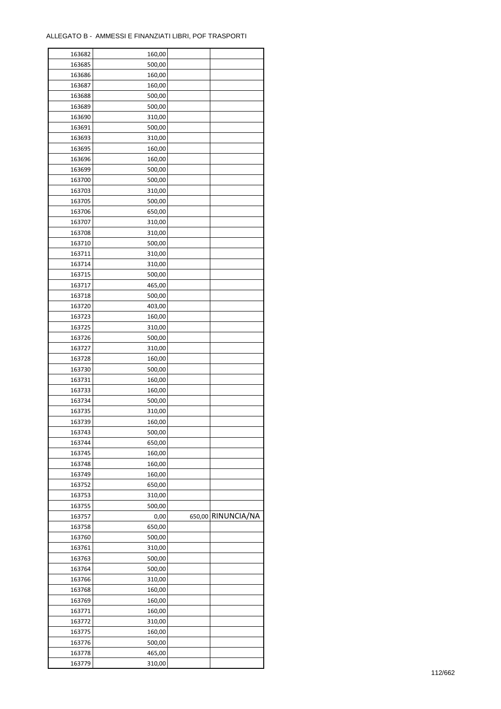| 163682 | 160,00 |                    |
|--------|--------|--------------------|
| 163685 | 500,00 |                    |
| 163686 | 160,00 |                    |
| 163687 | 160,00 |                    |
| 163688 | 500,00 |                    |
| 163689 | 500,00 |                    |
| 163690 | 310,00 |                    |
| 163691 | 500,00 |                    |
|        |        |                    |
| 163693 | 310,00 |                    |
| 163695 | 160,00 |                    |
| 163696 | 160,00 |                    |
| 163699 | 500,00 |                    |
| 163700 | 500,00 |                    |
| 163703 | 310,00 |                    |
| 163705 | 500,00 |                    |
| 163706 | 650,00 |                    |
| 163707 | 310,00 |                    |
| 163708 | 310,00 |                    |
| 163710 | 500,00 |                    |
| 163711 | 310,00 |                    |
| 163714 | 310,00 |                    |
| 163715 | 500,00 |                    |
| 163717 | 465,00 |                    |
| 163718 | 500,00 |                    |
| 163720 | 403,00 |                    |
|        |        |                    |
| 163723 | 160,00 |                    |
| 163725 | 310,00 |                    |
| 163726 | 500,00 |                    |
| 163727 | 310,00 |                    |
| 163728 | 160,00 |                    |
| 163730 | 500,00 |                    |
| 163731 | 160,00 |                    |
| 163733 | 160,00 |                    |
| 163734 | 500,00 |                    |
| 163735 | 310,00 |                    |
| 163739 | 160,00 |                    |
| 163743 | 500,00 |                    |
| 163744 | 650,00 |                    |
| 163745 | 160,00 |                    |
| 163748 | 160,00 |                    |
| 163749 | 160,00 |                    |
| 163752 | 650,00 |                    |
| 163753 | 310,00 |                    |
| 163755 | 500,00 |                    |
| 163757 | 0,00   | 650,00 RINUNCIA/NA |
|        |        |                    |
| 163758 | 650,00 |                    |
| 163760 | 500,00 |                    |
| 163761 | 310,00 |                    |
| 163763 | 500,00 |                    |
| 163764 | 500,00 |                    |
| 163766 | 310,00 |                    |
| 163768 | 160,00 |                    |
| 163769 | 160,00 |                    |
| 163771 | 160,00 |                    |
| 163772 | 310,00 |                    |
| 163775 | 160,00 |                    |
| 163776 | 500,00 |                    |
| 163778 | 465,00 |                    |
| 163779 | 310,00 |                    |
|        |        |                    |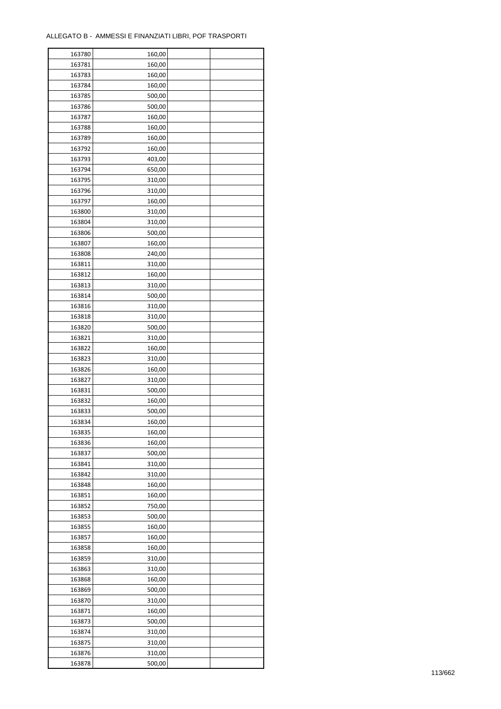| 163780 | 160,00 |  |
|--------|--------|--|
| 163781 | 160,00 |  |
| 163783 | 160,00 |  |
| 163784 | 160,00 |  |
| 163785 | 500,00 |  |
| 163786 | 500,00 |  |
| 163787 | 160,00 |  |
| 163788 | 160,00 |  |
| 163789 | 160,00 |  |
| 163792 | 160,00 |  |
| 163793 | 403,00 |  |
| 163794 | 650,00 |  |
| 163795 | 310,00 |  |
| 163796 | 310,00 |  |
| 163797 | 160,00 |  |
| 163800 | 310,00 |  |
| 163804 | 310,00 |  |
| 163806 | 500,00 |  |
| 163807 | 160,00 |  |
| 163808 | 240,00 |  |
| 163811 | 310,00 |  |
| 163812 | 160,00 |  |
| 163813 | 310,00 |  |
| 163814 | 500,00 |  |
| 163816 | 310,00 |  |
| 163818 | 310,00 |  |
| 163820 | 500,00 |  |
| 163821 | 310,00 |  |
| 163822 | 160,00 |  |
|        |        |  |
| 163823 | 310,00 |  |
| 163826 | 160,00 |  |
| 163827 | 310,00 |  |
| 163831 | 500,00 |  |
| 163832 | 160,00 |  |
| 163833 | 500,00 |  |
| 163834 | 160,00 |  |
| 163835 | 160,00 |  |
| 163836 | 160,00 |  |
| 163837 | 500,00 |  |
| 163841 | 310,00 |  |
| 163842 | 310,00 |  |
| 163848 | 160,00 |  |
| 163851 | 160,00 |  |
| 163852 | 750,00 |  |
| 163853 | 500,00 |  |
| 163855 | 160,00 |  |
| 163857 | 160,00 |  |
| 163858 | 160,00 |  |
| 163859 | 310,00 |  |
| 163863 | 310,00 |  |
| 163868 | 160,00 |  |
| 163869 | 500,00 |  |
| 163870 | 310,00 |  |
| 163871 | 160,00 |  |
| 163873 | 500,00 |  |
| 163874 | 310,00 |  |
| 163875 | 310,00 |  |
| 163876 | 310,00 |  |
| 163878 | 500,00 |  |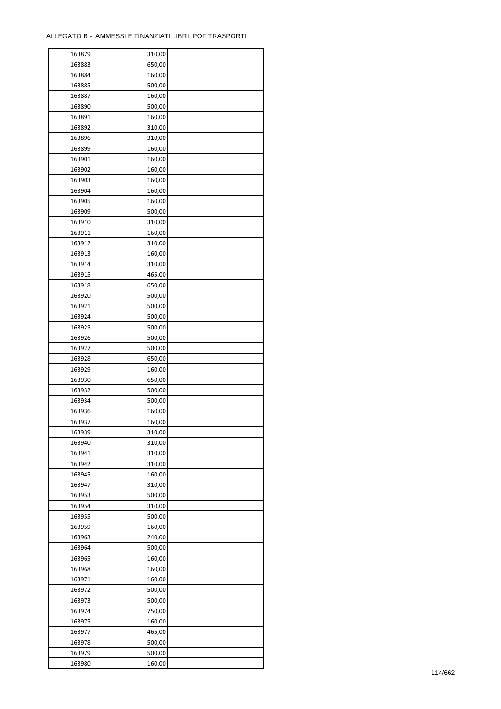| 163879 | 310,00 |  |
|--------|--------|--|
| 163883 | 650,00 |  |
| 163884 | 160,00 |  |
| 163885 | 500,00 |  |
| 163887 | 160,00 |  |
| 163890 | 500,00 |  |
| 163891 | 160,00 |  |
| 163892 | 310,00 |  |
| 163896 | 310,00 |  |
| 163899 | 160,00 |  |
| 163901 | 160,00 |  |
| 163902 |        |  |
|        | 160,00 |  |
| 163903 | 160,00 |  |
| 163904 | 160,00 |  |
| 163905 | 160,00 |  |
| 163909 | 500,00 |  |
| 163910 | 310,00 |  |
| 163911 | 160,00 |  |
| 163912 | 310,00 |  |
| 163913 | 160,00 |  |
| 163914 | 310,00 |  |
| 163915 | 465,00 |  |
| 163918 | 650,00 |  |
| 163920 | 500,00 |  |
| 163921 | 500,00 |  |
| 163924 | 500,00 |  |
| 163925 | 500,00 |  |
| 163926 | 500,00 |  |
| 163927 | 500,00 |  |
| 163928 | 650,00 |  |
| 163929 | 160,00 |  |
| 163930 | 650,00 |  |
| 163932 | 500,00 |  |
| 163934 | 500,00 |  |
| 163936 | 160,00 |  |
| 163937 | 160,00 |  |
| 163939 | 310,00 |  |
| 163940 | 310,00 |  |
| 163941 | 310,00 |  |
| 163942 | 310,00 |  |
| 163945 | 160,00 |  |
| 163947 | 310,00 |  |
| 163953 | 500,00 |  |
|        | 310,00 |  |
| 163954 |        |  |
| 163955 | 500,00 |  |
| 163959 | 160,00 |  |
| 163963 | 240,00 |  |
| 163964 | 500,00 |  |
| 163965 | 160,00 |  |
| 163968 | 160,00 |  |
| 163971 | 160,00 |  |
| 163972 | 500,00 |  |
| 163973 | 500,00 |  |
| 163974 | 750,00 |  |
| 163975 | 160,00 |  |
| 163977 | 465,00 |  |
| 163978 | 500,00 |  |
| 163979 | 500,00 |  |
| 163980 | 160,00 |  |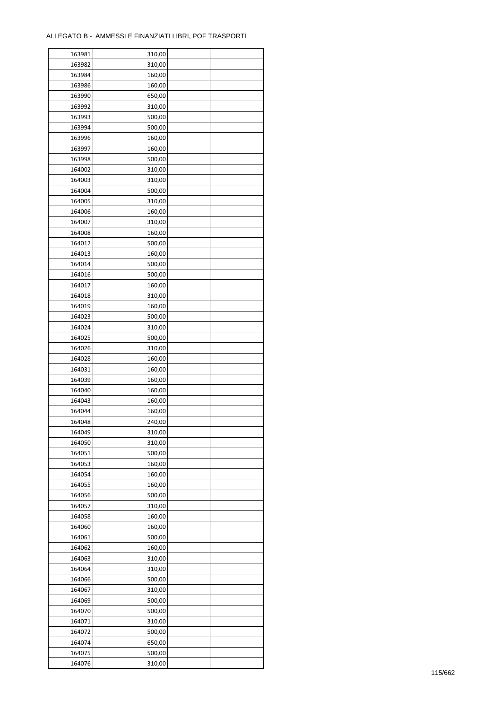÷

| 163981 | 310,00 |  |
|--------|--------|--|
| 163982 | 310,00 |  |
| 163984 | 160,00 |  |
| 163986 | 160,00 |  |
| 163990 | 650,00 |  |
| 163992 | 310,00 |  |
| 163993 | 500,00 |  |
| 163994 | 500,00 |  |
| 163996 | 160,00 |  |
| 163997 | 160,00 |  |
| 163998 | 500,00 |  |
| 164002 | 310,00 |  |
| 164003 | 310,00 |  |
| 164004 | 500,00 |  |
| 164005 | 310,00 |  |
|        |        |  |
| 164006 | 160,00 |  |
| 164007 | 310,00 |  |
| 164008 | 160,00 |  |
| 164012 | 500,00 |  |
| 164013 | 160,00 |  |
| 164014 | 500,00 |  |
| 164016 | 500,00 |  |
| 164017 | 160,00 |  |
| 164018 | 310,00 |  |
| 164019 | 160,00 |  |
| 164023 | 500,00 |  |
| 164024 | 310,00 |  |
| 164025 | 500,00 |  |
| 164026 | 310,00 |  |
| 164028 | 160,00 |  |
| 164031 | 160,00 |  |
| 164039 | 160,00 |  |
| 164040 | 160,00 |  |
| 164043 | 160,00 |  |
| 164044 | 160,00 |  |
| 164048 | 240,00 |  |
| 164049 | 310,00 |  |
| 164050 | 310,00 |  |
| 164051 | 500,00 |  |
| 164053 | 160,00 |  |
| 164054 | 160,00 |  |
| 164055 | 160,00 |  |
| 164056 | 500,00 |  |
| 164057 | 310,00 |  |
| 164058 | 160,00 |  |
| 164060 | 160,00 |  |
| 164061 | 500,00 |  |
| 164062 | 160,00 |  |
| 164063 | 310,00 |  |
| 164064 | 310,00 |  |
| 164066 | 500,00 |  |
|        |        |  |
| 164067 | 310,00 |  |
| 164069 | 500,00 |  |
| 164070 | 500,00 |  |
| 164071 | 310,00 |  |
| 164072 | 500,00 |  |
| 164074 | 650,00 |  |
| 164075 | 500,00 |  |
| 164076 | 310,00 |  |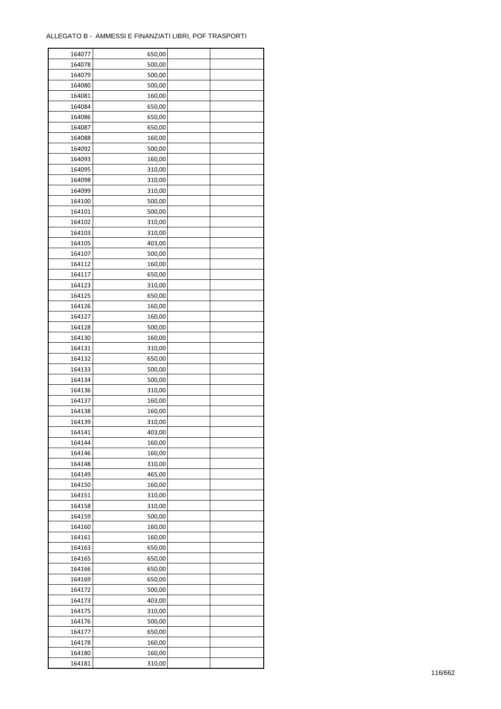| 164077 | 650,00 |  |
|--------|--------|--|
| 164078 | 500,00 |  |
| 164079 | 500,00 |  |
| 164080 | 500,00 |  |
| 164081 | 160,00 |  |
| 164084 | 650,00 |  |
| 164086 | 650,00 |  |
| 164087 | 650,00 |  |
| 164088 | 160,00 |  |
|        |        |  |
| 164092 | 500,00 |  |
| 164093 | 160,00 |  |
| 164095 | 310,00 |  |
| 164098 | 310,00 |  |
| 164099 | 310,00 |  |
| 164100 | 500,00 |  |
| 164101 | 500,00 |  |
| 164102 | 310,00 |  |
| 164103 | 310,00 |  |
| 164105 | 403,00 |  |
| 164107 | 500,00 |  |
| 164112 | 160,00 |  |
| 164117 | 650,00 |  |
| 164123 | 310,00 |  |
| 164125 | 650,00 |  |
| 164126 | 160,00 |  |
| 164127 | 160,00 |  |
| 164128 | 500,00 |  |
| 164130 | 160,00 |  |
| 164131 | 310,00 |  |
| 164132 | 650,00 |  |
| 164133 | 500,00 |  |
| 164134 | 500,00 |  |
| 164136 | 310,00 |  |
| 164137 | 160,00 |  |
| 164138 | 160,00 |  |
| 164139 | 310,00 |  |
| 164141 | 403,00 |  |
| 164144 | 160,00 |  |
| 164146 |        |  |
|        | 160,00 |  |
| 164148 | 310,00 |  |
| 164149 | 465,00 |  |
| 164150 | 160,00 |  |
| 164151 | 310,00 |  |
| 164158 | 310,00 |  |
| 164159 | 500,00 |  |
| 164160 | 160,00 |  |
| 164161 | 160,00 |  |
| 164163 | 650,00 |  |
| 164165 | 650,00 |  |
| 164166 | 650,00 |  |
| 164169 | 650,00 |  |
| 164172 | 500,00 |  |
| 164173 | 403,00 |  |
| 164175 | 310,00 |  |
| 164176 | 500,00 |  |
| 164177 | 650,00 |  |
| 164178 | 160,00 |  |
| 164180 | 160,00 |  |
| 164181 | 310,00 |  |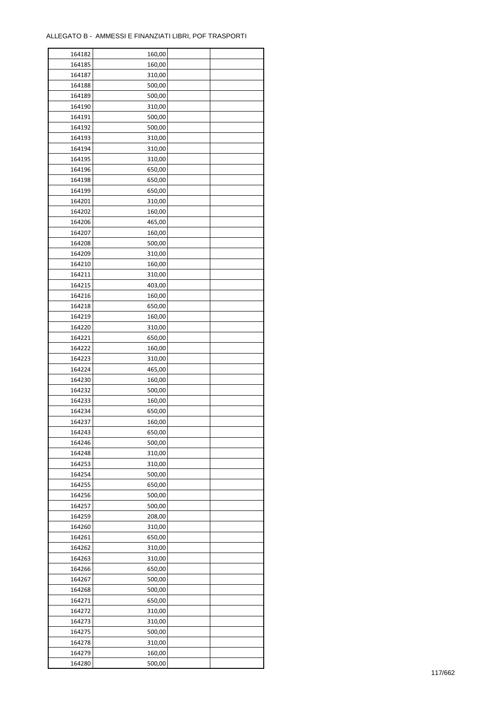| 164182 | 160,00 |  |
|--------|--------|--|
| 164185 | 160,00 |  |
| 164187 | 310,00 |  |
| 164188 | 500,00 |  |
| 164189 | 500,00 |  |
| 164190 | 310,00 |  |
| 164191 | 500,00 |  |
| 164192 | 500,00 |  |
| 164193 | 310,00 |  |
| 164194 | 310,00 |  |
| 164195 | 310,00 |  |
| 164196 | 650,00 |  |
|        |        |  |
| 164198 | 650,00 |  |
| 164199 | 650,00 |  |
| 164201 | 310,00 |  |
| 164202 | 160,00 |  |
| 164206 | 465,00 |  |
| 164207 | 160,00 |  |
| 164208 | 500,00 |  |
| 164209 | 310,00 |  |
| 164210 | 160,00 |  |
| 164211 | 310,00 |  |
| 164215 | 403,00 |  |
| 164216 | 160,00 |  |
| 164218 | 650,00 |  |
| 164219 | 160,00 |  |
| 164220 | 310,00 |  |
| 164221 | 650,00 |  |
| 164222 | 160,00 |  |
| 164223 | 310,00 |  |
| 164224 | 465,00 |  |
| 164230 | 160,00 |  |
| 164232 | 500,00 |  |
| 164233 | 160,00 |  |
| 164234 | 650,00 |  |
| 164237 | 160,00 |  |
|        |        |  |
| 164243 | 650,00 |  |
| 164246 | 500,00 |  |
| 164248 | 310,00 |  |
| 164253 | 310,00 |  |
| 164254 | 500,00 |  |
| 164255 | 650,00 |  |
| 164256 | 500,00 |  |
| 164257 | 500,00 |  |
| 164259 | 208,00 |  |
| 164260 | 310,00 |  |
| 164261 | 650,00 |  |
| 164262 | 310,00 |  |
| 164263 | 310,00 |  |
| 164266 | 650,00 |  |
| 164267 | 500,00 |  |
| 164268 | 500,00 |  |
| 164271 | 650,00 |  |
| 164272 | 310,00 |  |
| 164273 | 310,00 |  |
| 164275 | 500,00 |  |
| 164278 | 310,00 |  |
| 164279 | 160,00 |  |
|        |        |  |
| 164280 | 500,00 |  |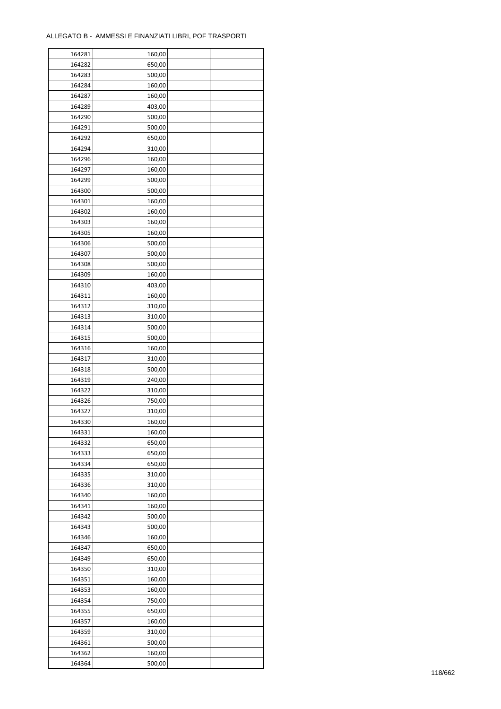| 164281 | 160,00 |  |
|--------|--------|--|
| 164282 | 650,00 |  |
| 164283 | 500,00 |  |
| 164284 | 160,00 |  |
| 164287 | 160,00 |  |
| 164289 | 403,00 |  |
| 164290 | 500,00 |  |
| 164291 | 500,00 |  |
| 164292 | 650,00 |  |
| 164294 | 310,00 |  |
|        |        |  |
| 164296 | 160,00 |  |
| 164297 | 160,00 |  |
| 164299 | 500,00 |  |
| 164300 | 500,00 |  |
| 164301 | 160,00 |  |
| 164302 | 160,00 |  |
| 164303 | 160,00 |  |
| 164305 | 160,00 |  |
| 164306 | 500,00 |  |
| 164307 | 500,00 |  |
| 164308 | 500,00 |  |
| 164309 | 160,00 |  |
| 164310 | 403,00 |  |
| 164311 | 160,00 |  |
| 164312 | 310,00 |  |
| 164313 | 310,00 |  |
| 164314 | 500,00 |  |
| 164315 | 500,00 |  |
| 164316 | 160,00 |  |
|        |        |  |
| 164317 | 310,00 |  |
| 164318 | 500,00 |  |
| 164319 | 240,00 |  |
| 164322 | 310,00 |  |
| 164326 | 750,00 |  |
| 164327 | 310,00 |  |
| 164330 | 160,00 |  |
| 164331 | 160,00 |  |
| 164332 | 650,00 |  |
| 164333 | 650,00 |  |
| 164334 | 650,00 |  |
| 164335 | 310,00 |  |
| 164336 | 310,00 |  |
| 164340 | 160,00 |  |
| 164341 | 160,00 |  |
| 164342 | 500,00 |  |
| 164343 | 500,00 |  |
| 164346 | 160,00 |  |
| 164347 | 650,00 |  |
| 164349 |        |  |
|        | 650,00 |  |
| 164350 | 310,00 |  |
| 164351 | 160,00 |  |
| 164353 | 160,00 |  |
| 164354 | 750,00 |  |
| 164355 | 650,00 |  |
| 164357 | 160,00 |  |
| 164359 | 310,00 |  |
| 164361 | 500,00 |  |
| 164362 | 160,00 |  |
| 164364 | 500,00 |  |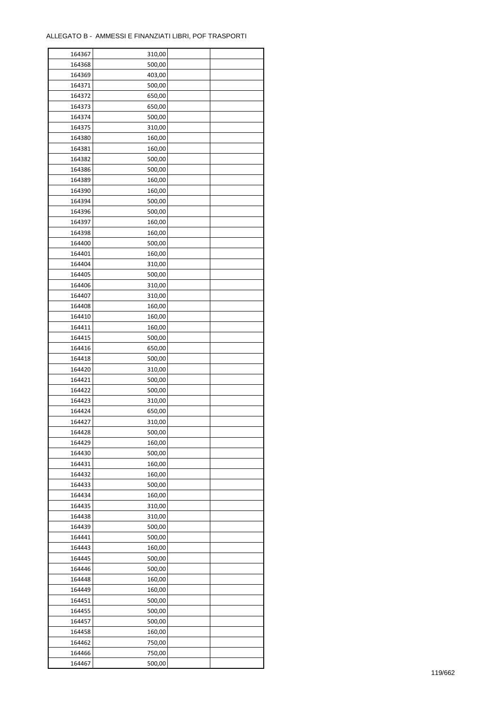| 164367           | 310,00 |  |
|------------------|--------|--|
| 164368           | 500,00 |  |
| 164369           | 403,00 |  |
| 164371           | 500,00 |  |
| 164372           | 650,00 |  |
| 164373           | 650,00 |  |
| 164374           | 500,00 |  |
| 164375           | 310,00 |  |
| 164380           | 160,00 |  |
| 164381           | 160,00 |  |
|                  |        |  |
| 164382<br>164386 | 500,00 |  |
|                  | 500,00 |  |
| 164389           | 160,00 |  |
| 164390           | 160,00 |  |
| 164394           | 500,00 |  |
| 164396           | 500,00 |  |
| 164397           | 160,00 |  |
| 164398           | 160,00 |  |
| 164400           | 500,00 |  |
| 164401           | 160,00 |  |
| 164404           | 310,00 |  |
| 164405           | 500,00 |  |
| 164406           | 310,00 |  |
| 164407           | 310,00 |  |
| 164408           | 160,00 |  |
| 164410           | 160,00 |  |
| 164411           | 160,00 |  |
| 164415           | 500,00 |  |
| 164416           | 650,00 |  |
| 164418           | 500,00 |  |
| 164420           | 310,00 |  |
| 164421           | 500,00 |  |
| 164422           | 500,00 |  |
| 164423           | 310,00 |  |
| 164424           | 650,00 |  |
| 164427           | 310,00 |  |
|                  |        |  |
| 164428           | 500,00 |  |
| 164429           | 160,00 |  |
| 164430           | 500,00 |  |
| 164431           | 160,00 |  |
| 164432           | 160,00 |  |
| 164433           | 500,00 |  |
| 164434           | 160,00 |  |
| 164435           | 310,00 |  |
| 164438           | 310,00 |  |
| 164439           | 500,00 |  |
| 164441           | 500,00 |  |
| 164443           | 160,00 |  |
| 164445           | 500,00 |  |
| 164446           | 500,00 |  |
| 164448           | 160,00 |  |
| 164449           | 160,00 |  |
| 164451           | 500,00 |  |
| 164455           | 500,00 |  |
| 164457           | 500,00 |  |
| 164458           | 160,00 |  |
| 164462           | 750,00 |  |
| 164466           | 750,00 |  |
| 164467           | 500,00 |  |
|                  |        |  |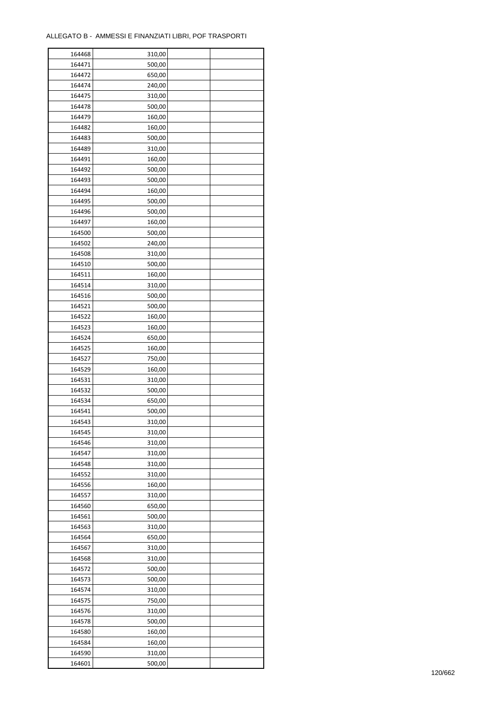| 164468 | 310,00 |  |
|--------|--------|--|
| 164471 | 500,00 |  |
| 164472 | 650,00 |  |
| 164474 | 240,00 |  |
| 164475 | 310,00 |  |
| 164478 | 500,00 |  |
| 164479 | 160,00 |  |
| 164482 | 160,00 |  |
| 164483 | 500,00 |  |
| 164489 | 310,00 |  |
| 164491 |        |  |
| 164492 | 160,00 |  |
|        | 500,00 |  |
| 164493 | 500,00 |  |
| 164494 | 160,00 |  |
| 164495 | 500,00 |  |
| 164496 | 500,00 |  |
| 164497 | 160,00 |  |
| 164500 | 500,00 |  |
| 164502 | 240,00 |  |
| 164508 | 310,00 |  |
| 164510 | 500,00 |  |
| 164511 | 160,00 |  |
| 164514 | 310,00 |  |
| 164516 | 500,00 |  |
| 164521 | 500,00 |  |
| 164522 | 160,00 |  |
| 164523 | 160,00 |  |
| 164524 | 650,00 |  |
| 164525 | 160,00 |  |
| 164527 | 750,00 |  |
| 164529 | 160,00 |  |
| 164531 | 310,00 |  |
| 164532 | 500,00 |  |
| 164534 | 650,00 |  |
| 164541 | 500,00 |  |
| 164543 | 310,00 |  |
|        |        |  |
| 164545 | 310,00 |  |
| 164546 | 310,00 |  |
| 164547 | 310,00 |  |
| 164548 | 310,00 |  |
| 164552 | 310,00 |  |
| 164556 | 160,00 |  |
| 164557 | 310,00 |  |
| 164560 | 650,00 |  |
| 164561 | 500,00 |  |
| 164563 | 310,00 |  |
| 164564 | 650,00 |  |
| 164567 | 310,00 |  |
| 164568 | 310,00 |  |
| 164572 | 500,00 |  |
| 164573 | 500,00 |  |
| 164574 | 310,00 |  |
| 164575 | 750,00 |  |
| 164576 | 310,00 |  |
| 164578 | 500,00 |  |
| 164580 | 160,00 |  |
| 164584 | 160,00 |  |
| 164590 | 310,00 |  |
|        |        |  |
| 164601 | 500,00 |  |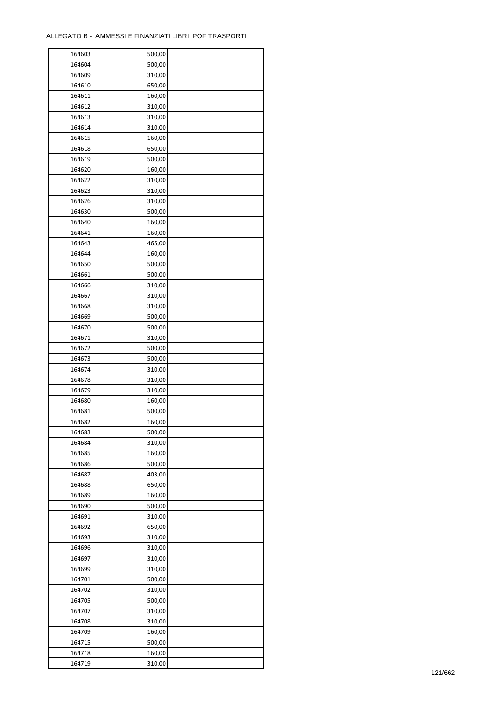| 164603 | 500,00 |  |
|--------|--------|--|
| 164604 | 500,00 |  |
| 164609 | 310,00 |  |
| 164610 | 650,00 |  |
| 164611 | 160,00 |  |
| 164612 | 310,00 |  |
| 164613 | 310,00 |  |
| 164614 | 310,00 |  |
| 164615 | 160,00 |  |
| 164618 | 650,00 |  |
| 164619 | 500,00 |  |
| 164620 | 160,00 |  |
| 164622 | 310,00 |  |
| 164623 | 310,00 |  |
| 164626 | 310,00 |  |
| 164630 | 500,00 |  |
| 164640 | 160,00 |  |
| 164641 | 160,00 |  |
| 164643 | 465,00 |  |
| 164644 | 160,00 |  |
| 164650 | 500,00 |  |
| 164661 | 500,00 |  |
| 164666 | 310,00 |  |
| 164667 | 310,00 |  |
| 164668 | 310,00 |  |
| 164669 | 500,00 |  |
| 164670 | 500,00 |  |
| 164671 | 310,00 |  |
| 164672 | 500,00 |  |
| 164673 | 500,00 |  |
| 164674 | 310,00 |  |
| 164678 | 310,00 |  |
| 164679 | 310,00 |  |
| 164680 | 160,00 |  |
| 164681 | 500,00 |  |
| 164682 | 160,00 |  |
| 164683 | 500,00 |  |
| 164684 | 310,00 |  |
| 164685 | 160,00 |  |
| 164686 | 500,00 |  |
| 164687 | 403,00 |  |
| 164688 | 650,00 |  |
| 164689 | 160,00 |  |
| 164690 | 500,00 |  |
| 164691 | 310,00 |  |
| 164692 | 650,00 |  |
| 164693 | 310,00 |  |
| 164696 | 310,00 |  |
| 164697 | 310,00 |  |
| 164699 | 310,00 |  |
| 164701 | 500,00 |  |
| 164702 | 310,00 |  |
| 164705 | 500,00 |  |
| 164707 | 310,00 |  |
| 164708 | 310,00 |  |
| 164709 | 160,00 |  |
| 164715 | 500,00 |  |
| 164718 | 160,00 |  |
| 164719 | 310,00 |  |
|        |        |  |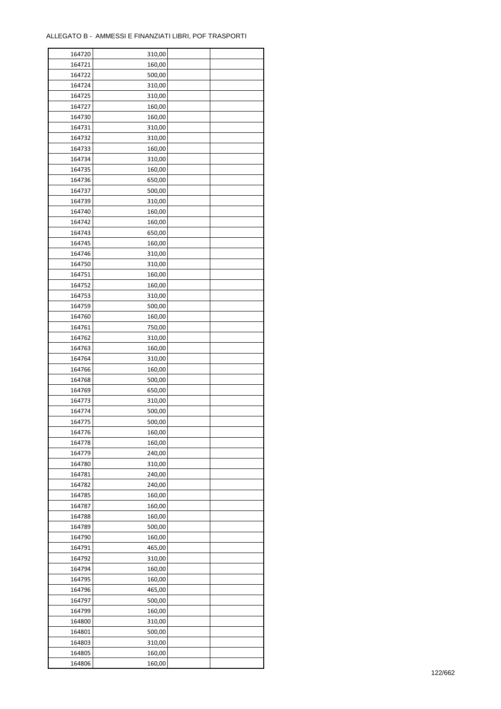| 164720 | 310,00 |  |
|--------|--------|--|
| 164721 | 160,00 |  |
| 164722 | 500,00 |  |
| 164724 | 310,00 |  |
| 164725 | 310,00 |  |
| 164727 | 160,00 |  |
| 164730 | 160,00 |  |
| 164731 | 310,00 |  |
| 164732 | 310,00 |  |
| 164733 | 160,00 |  |
| 164734 | 310,00 |  |
| 164735 | 160,00 |  |
|        |        |  |
| 164736 | 650,00 |  |
| 164737 | 500,00 |  |
| 164739 | 310,00 |  |
| 164740 | 160,00 |  |
| 164742 | 160,00 |  |
| 164743 | 650,00 |  |
| 164745 | 160,00 |  |
| 164746 | 310,00 |  |
| 164750 | 310,00 |  |
| 164751 | 160,00 |  |
| 164752 | 160,00 |  |
| 164753 | 310,00 |  |
| 164759 | 500,00 |  |
| 164760 | 160,00 |  |
| 164761 | 750,00 |  |
| 164762 | 310,00 |  |
| 164763 | 160,00 |  |
| 164764 | 310,00 |  |
| 164766 | 160,00 |  |
| 164768 | 500,00 |  |
| 164769 | 650,00 |  |
| 164773 |        |  |
|        | 310,00 |  |
| 164774 | 500,00 |  |
| 164775 | 500,00 |  |
| 164776 | 160,00 |  |
| 164778 | 160,00 |  |
| 164779 | 240,00 |  |
| 164780 | 310,00 |  |
| 164781 | 240,00 |  |
| 164782 | 240,00 |  |
| 164785 | 160,00 |  |
| 164787 | 160,00 |  |
| 164788 | 160,00 |  |
| 164789 | 500,00 |  |
| 164790 | 160,00 |  |
| 164791 | 465,00 |  |
| 164792 | 310,00 |  |
| 164794 | 160,00 |  |
| 164795 | 160,00 |  |
| 164796 | 465,00 |  |
| 164797 | 500,00 |  |
| 164799 | 160,00 |  |
| 164800 | 310,00 |  |
| 164801 | 500,00 |  |
|        |        |  |
| 164803 | 310,00 |  |
| 164805 | 160,00 |  |
| 164806 | 160,00 |  |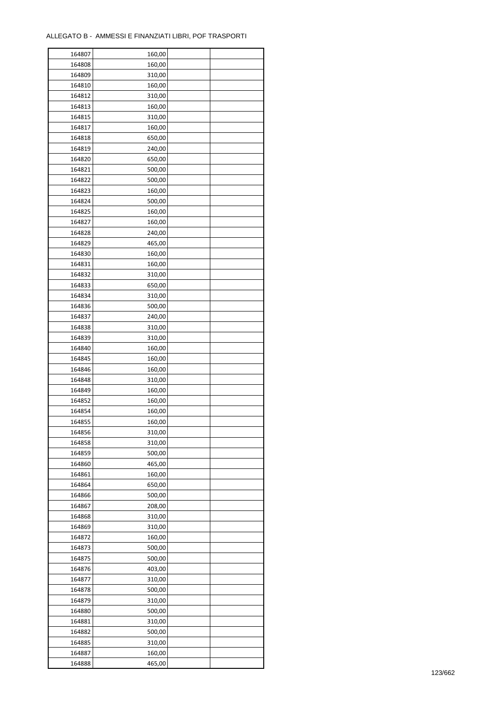| 164807 | 160,00 |  |
|--------|--------|--|
| 164808 | 160,00 |  |
| 164809 | 310,00 |  |
| 164810 | 160,00 |  |
| 164812 | 310,00 |  |
| 164813 | 160,00 |  |
| 164815 | 310,00 |  |
| 164817 | 160,00 |  |
| 164818 | 650,00 |  |
| 164819 | 240,00 |  |
|        |        |  |
| 164820 | 650,00 |  |
| 164821 | 500,00 |  |
| 164822 | 500,00 |  |
| 164823 | 160,00 |  |
| 164824 | 500,00 |  |
| 164825 | 160,00 |  |
| 164827 | 160,00 |  |
| 164828 | 240,00 |  |
| 164829 | 465,00 |  |
| 164830 | 160,00 |  |
| 164831 | 160,00 |  |
| 164832 | 310,00 |  |
| 164833 | 650,00 |  |
| 164834 | 310,00 |  |
| 164836 | 500,00 |  |
| 164837 | 240,00 |  |
| 164838 | 310,00 |  |
|        |        |  |
| 164839 | 310,00 |  |
| 164840 | 160,00 |  |
| 164845 | 160,00 |  |
| 164846 | 160,00 |  |
| 164848 | 310,00 |  |
| 164849 | 160,00 |  |
| 164852 | 160,00 |  |
| 164854 | 160,00 |  |
| 164855 | 160,00 |  |
| 164856 | 310,00 |  |
| 164858 | 310,00 |  |
| 164859 | 500,00 |  |
| 164860 | 465,00 |  |
| 164861 | 160,00 |  |
| 164864 | 650,00 |  |
| 164866 | 500,00 |  |
| 164867 | 208,00 |  |
| 164868 | 310,00 |  |
| 164869 | 310,00 |  |
| 164872 | 160,00 |  |
| 164873 | 500,00 |  |
|        |        |  |
| 164875 | 500,00 |  |
| 164876 | 403,00 |  |
| 164877 | 310,00 |  |
| 164878 | 500,00 |  |
| 164879 | 310,00 |  |
| 164880 | 500,00 |  |
| 164881 | 310,00 |  |
| 164882 | 500,00 |  |
| 164885 | 310,00 |  |
| 164887 | 160,00 |  |
| 164888 | 465,00 |  |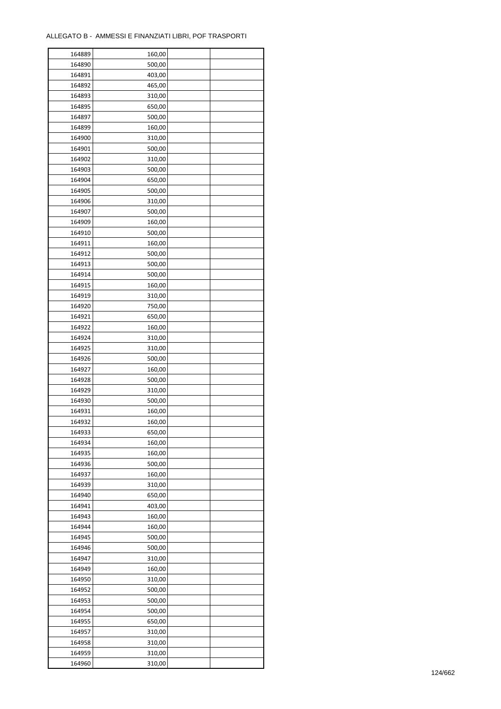| 164889 | 160,00 |  |
|--------|--------|--|
| 164890 | 500,00 |  |
| 164891 | 403,00 |  |
| 164892 | 465,00 |  |
| 164893 | 310,00 |  |
| 164895 | 650,00 |  |
| 164897 | 500,00 |  |
| 164899 | 160,00 |  |
| 164900 | 310,00 |  |
| 164901 | 500,00 |  |
| 164902 | 310,00 |  |
| 164903 | 500,00 |  |
| 164904 | 650,00 |  |
| 164905 | 500,00 |  |
| 164906 |        |  |
|        | 310,00 |  |
| 164907 | 500,00 |  |
| 164909 | 160,00 |  |
| 164910 | 500,00 |  |
| 164911 | 160,00 |  |
| 164912 | 500,00 |  |
| 164913 | 500,00 |  |
| 164914 | 500,00 |  |
| 164915 | 160,00 |  |
| 164919 | 310,00 |  |
| 164920 | 750,00 |  |
| 164921 | 650,00 |  |
| 164922 | 160,00 |  |
| 164924 | 310,00 |  |
| 164925 | 310,00 |  |
| 164926 | 500,00 |  |
| 164927 | 160,00 |  |
| 164928 | 500,00 |  |
| 164929 | 310,00 |  |
| 164930 | 500,00 |  |
| 164931 | 160,00 |  |
| 164932 | 160,00 |  |
| 164933 | 650,00 |  |
| 164934 | 160,00 |  |
| 164935 | 160,00 |  |
| 164936 | 500,00 |  |
| 164937 | 160,00 |  |
| 164939 | 310,00 |  |
| 164940 | 650,00 |  |
| 164941 | 403,00 |  |
| 164943 | 160,00 |  |
| 164944 | 160,00 |  |
| 164945 | 500,00 |  |
| 164946 | 500,00 |  |
| 164947 | 310,00 |  |
| 164949 | 160,00 |  |
| 164950 | 310,00 |  |
| 164952 | 500,00 |  |
| 164953 | 500,00 |  |
| 164954 | 500,00 |  |
| 164955 | 650,00 |  |
| 164957 | 310,00 |  |
|        |        |  |
| 164958 | 310,00 |  |
| 164959 | 310,00 |  |
| 164960 | 310,00 |  |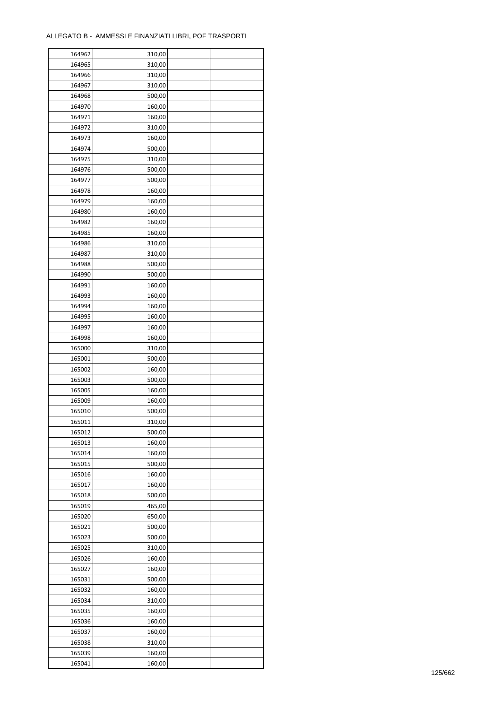$\mathbf{r}$ 

| 164962 | 310,00 |  |
|--------|--------|--|
| 164965 | 310,00 |  |
| 164966 | 310,00 |  |
| 164967 | 310,00 |  |
| 164968 | 500,00 |  |
| 164970 | 160,00 |  |
| 164971 | 160,00 |  |
| 164972 | 310,00 |  |
| 164973 | 160,00 |  |
| 164974 | 500,00 |  |
| 164975 | 310,00 |  |
| 164976 | 500,00 |  |
| 164977 | 500,00 |  |
| 164978 | 160,00 |  |
| 164979 | 160,00 |  |
|        |        |  |
| 164980 | 160,00 |  |
| 164982 | 160,00 |  |
| 164985 | 160,00 |  |
| 164986 | 310,00 |  |
| 164987 | 310,00 |  |
| 164988 | 500,00 |  |
| 164990 | 500,00 |  |
| 164991 | 160,00 |  |
| 164993 | 160,00 |  |
| 164994 | 160,00 |  |
| 164995 | 160,00 |  |
| 164997 | 160,00 |  |
| 164998 | 160,00 |  |
| 165000 | 310,00 |  |
| 165001 | 500,00 |  |
| 165002 | 160,00 |  |
| 165003 | 500,00 |  |
| 165005 | 160,00 |  |
| 165009 | 160,00 |  |
| 165010 | 500,00 |  |
| 165011 | 310,00 |  |
| 165012 | 500,00 |  |
| 165013 | 160,00 |  |
| 165014 | 160,00 |  |
| 165015 | 500,00 |  |
| 165016 | 160,00 |  |
| 165017 | 160,00 |  |
| 165018 | 500,00 |  |
| 165019 | 465,00 |  |
| 165020 | 650,00 |  |
| 165021 | 500,00 |  |
| 165023 | 500,00 |  |
| 165025 | 310,00 |  |
| 165026 | 160,00 |  |
| 165027 | 160,00 |  |
| 165031 | 500,00 |  |
| 165032 | 160,00 |  |
| 165034 | 310,00 |  |
| 165035 | 160,00 |  |
| 165036 | 160,00 |  |
| 165037 | 160,00 |  |
| 165038 | 310,00 |  |
| 165039 | 160,00 |  |
| 165041 | 160,00 |  |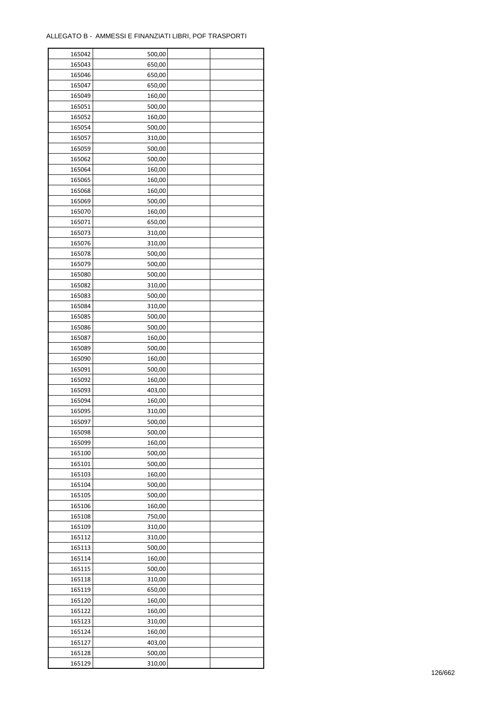| 165042 | 500,00 |  |
|--------|--------|--|
| 165043 | 650,00 |  |
| 165046 | 650,00 |  |
| 165047 | 650,00 |  |
| 165049 | 160,00 |  |
| 165051 | 500,00 |  |
| 165052 | 160,00 |  |
| 165054 | 500,00 |  |
| 165057 | 310,00 |  |
| 165059 | 500,00 |  |
| 165062 | 500,00 |  |
| 165064 | 160,00 |  |
|        |        |  |
| 165065 | 160,00 |  |
| 165068 | 160,00 |  |
| 165069 | 500,00 |  |
| 165070 | 160,00 |  |
| 165071 | 650,00 |  |
| 165073 | 310,00 |  |
| 165076 | 310,00 |  |
| 165078 | 500,00 |  |
| 165079 | 500,00 |  |
| 165080 | 500,00 |  |
| 165082 | 310,00 |  |
| 165083 | 500,00 |  |
| 165084 | 310,00 |  |
| 165085 | 500,00 |  |
| 165086 | 500,00 |  |
| 165087 | 160,00 |  |
| 165089 | 500,00 |  |
| 165090 | 160,00 |  |
| 165091 | 500,00 |  |
| 165092 | 160,00 |  |
| 165093 | 403,00 |  |
| 165094 | 160,00 |  |
| 165095 | 310,00 |  |
| 165097 | 500,00 |  |
| 165098 | 500,00 |  |
| 165099 | 160,00 |  |
| 165100 | 500,00 |  |
| 165101 | 500,00 |  |
| 165103 | 160,00 |  |
| 165104 | 500,00 |  |
| 165105 | 500,00 |  |
| 165106 | 160,00 |  |
| 165108 | 750,00 |  |
| 165109 | 310,00 |  |
| 165112 | 310,00 |  |
| 165113 | 500,00 |  |
| 165114 | 160,00 |  |
| 165115 | 500,00 |  |
| 165118 | 310,00 |  |
| 165119 | 650,00 |  |
| 165120 | 160,00 |  |
| 165122 | 160,00 |  |
| 165123 | 310,00 |  |
| 165124 | 160,00 |  |
| 165127 | 403,00 |  |
| 165128 | 500,00 |  |
| 165129 | 310,00 |  |
|        |        |  |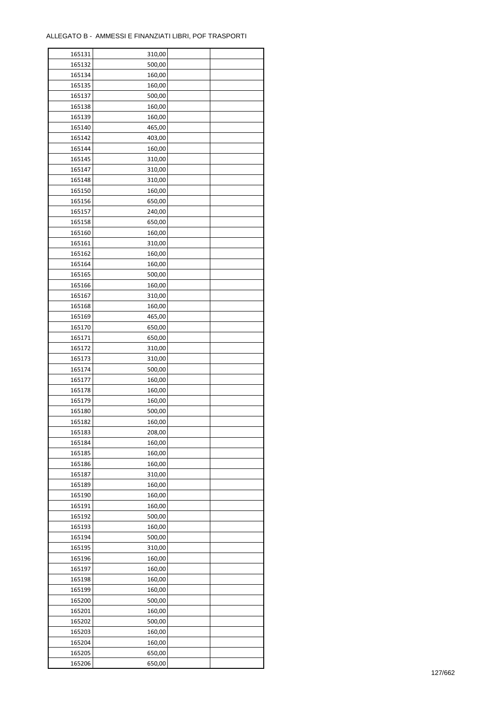ř

| 165131           | 310,00 |  |
|------------------|--------|--|
| 165132           | 500,00 |  |
| 165134           | 160,00 |  |
| 165135           | 160,00 |  |
| 165137           | 500,00 |  |
| 165138           | 160,00 |  |
| 165139           | 160,00 |  |
| 165140           | 465,00 |  |
|                  | 403,00 |  |
| 165142<br>165144 | 160,00 |  |
|                  |        |  |
| 165145<br>165147 | 310,00 |  |
|                  | 310,00 |  |
| 165148           | 310,00 |  |
| 165150           | 160,00 |  |
| 165156           | 650,00 |  |
| 165157           | 240,00 |  |
| 165158           | 650,00 |  |
| 165160           | 160,00 |  |
| 165161           | 310,00 |  |
| 165162           | 160,00 |  |
| 165164           | 160,00 |  |
| 165165           | 500,00 |  |
| 165166           | 160,00 |  |
| 165167           | 310,00 |  |
| 165168           | 160,00 |  |
| 165169           | 465,00 |  |
| 165170           | 650,00 |  |
| 165171           | 650,00 |  |
| 165172           | 310,00 |  |
| 165173           | 310,00 |  |
|                  | 500,00 |  |
| 165174           |        |  |
| 165177           | 160,00 |  |
| 165178           | 160,00 |  |
| 165179           | 160,00 |  |
| 165180           | 500,00 |  |
| 165182           | 160,00 |  |
| 165183           | 208,00 |  |
| 165184           | 160,00 |  |
| 165185           | 160,00 |  |
| 165186           | 160,00 |  |
| 165187           | 310,00 |  |
| 165189           | 160,00 |  |
| 165190           | 160,00 |  |
| 165191           | 160,00 |  |
| 165192           | 500,00 |  |
| 165193           | 160,00 |  |
| 165194           | 500,00 |  |
| 165195           | 310,00 |  |
| 165196           | 160,00 |  |
| 165197           | 160,00 |  |
| 165198           | 160,00 |  |
| 165199           |        |  |
|                  | 160,00 |  |
| 165200           | 500,00 |  |
| 165201           | 160,00 |  |
| 165202           | 500,00 |  |
| 165203           | 160,00 |  |
| 165204           | 160,00 |  |
| 165205           | 650,00 |  |
| 165206           | 650,00 |  |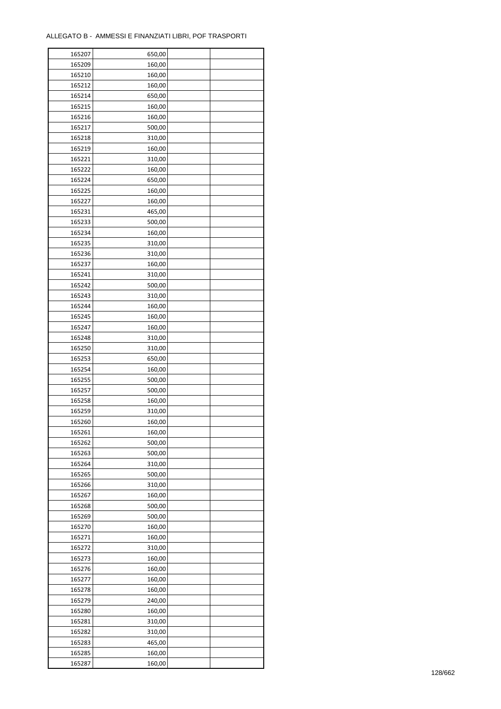| 165207           | 650,00 |  |
|------------------|--------|--|
| 165209           | 160,00 |  |
| 165210           | 160,00 |  |
| 165212           | 160,00 |  |
| 165214           | 650,00 |  |
| 165215           | 160,00 |  |
| 165216           | 160,00 |  |
| 165217           | 500,00 |  |
| 165218           | 310,00 |  |
| 165219           | 160,00 |  |
| 165221           | 310,00 |  |
| 165222           | 160,00 |  |
| 165224           | 650,00 |  |
| 165225           | 160,00 |  |
|                  |        |  |
| 165227           | 160,00 |  |
| 165231           | 465,00 |  |
| 165233           | 500,00 |  |
| 165234           | 160,00 |  |
| 165235           | 310,00 |  |
| 165236           | 310,00 |  |
| 165237           | 160,00 |  |
| 165241           | 310,00 |  |
| 165242           | 500,00 |  |
| 165243           | 310,00 |  |
| 165244           | 160,00 |  |
| 165245           | 160,00 |  |
| 165247           | 160,00 |  |
| 165248           | 310,00 |  |
| 165250           | 310,00 |  |
| 165253           | 650,00 |  |
| 165254           | 160,00 |  |
| 165255           | 500,00 |  |
| 165257           | 500,00 |  |
| 165258           | 160,00 |  |
| 165259           | 310,00 |  |
| 165260           | 160,00 |  |
| 165261           | 160,00 |  |
| 165262           | 500,00 |  |
| 165263           | 500,00 |  |
| 165264           | 310,00 |  |
| 165265           | 500,00 |  |
| 165266           | 310,00 |  |
| 165267           | 160,00 |  |
| 165268           | 500,00 |  |
| 165269           | 500,00 |  |
| 165270           | 160,00 |  |
| 165271           | 160,00 |  |
| 165272           | 310,00 |  |
|                  |        |  |
| 165273<br>165276 | 160,00 |  |
|                  | 160,00 |  |
| 165277           | 160,00 |  |
| 165278           | 160,00 |  |
| 165279           | 240,00 |  |
| 165280           | 160,00 |  |
| 165281           | 310,00 |  |
| 165282           | 310,00 |  |
| 165283           | 465,00 |  |
| 165285           | 160,00 |  |
| 165287           | 160,00 |  |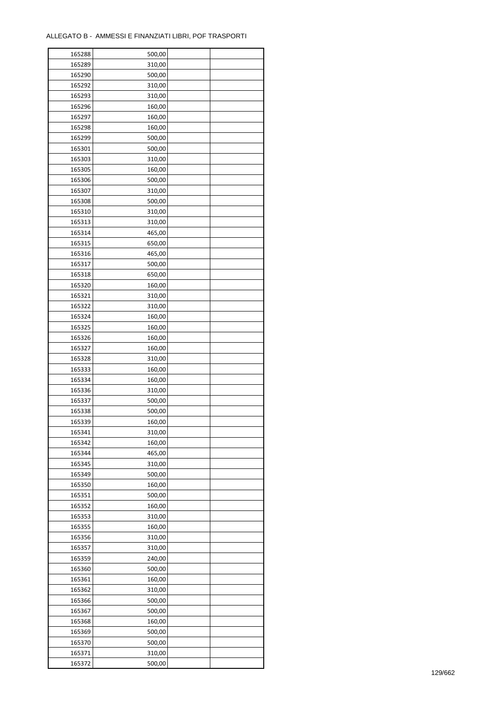| 165288 | 500,00 |  |
|--------|--------|--|
| 165289 | 310,00 |  |
| 165290 | 500,00 |  |
| 165292 | 310,00 |  |
| 165293 | 310,00 |  |
| 165296 | 160,00 |  |
| 165297 | 160,00 |  |
| 165298 | 160,00 |  |
| 165299 | 500,00 |  |
| 165301 | 500,00 |  |
| 165303 | 310,00 |  |
| 165305 | 160,00 |  |
| 165306 | 500,00 |  |
| 165307 |        |  |
|        | 310,00 |  |
| 165308 | 500,00 |  |
| 165310 | 310,00 |  |
| 165313 | 310,00 |  |
| 165314 | 465,00 |  |
| 165315 | 650,00 |  |
| 165316 | 465,00 |  |
| 165317 | 500,00 |  |
| 165318 | 650,00 |  |
| 165320 | 160,00 |  |
| 165321 | 310,00 |  |
| 165322 | 310,00 |  |
| 165324 | 160,00 |  |
| 165325 | 160,00 |  |
| 165326 | 160,00 |  |
| 165327 | 160,00 |  |
| 165328 | 310,00 |  |
| 165333 | 160,00 |  |
| 165334 | 160,00 |  |
| 165336 | 310,00 |  |
| 165337 | 500,00 |  |
| 165338 | 500,00 |  |
| 165339 | 160,00 |  |
| 165341 | 310,00 |  |
| 165342 | 160,00 |  |
| 165344 | 465,00 |  |
| 165345 | 310,00 |  |
| 165349 | 500,00 |  |
| 165350 | 160,00 |  |
| 165351 | 500,00 |  |
| 165352 | 160,00 |  |
| 165353 | 310,00 |  |
| 165355 | 160,00 |  |
| 165356 | 310,00 |  |
| 165357 | 310,00 |  |
| 165359 | 240,00 |  |
|        | 500,00 |  |
| 165360 |        |  |
| 165361 | 160,00 |  |
| 165362 | 310,00 |  |
| 165366 | 500,00 |  |
| 165367 | 500,00 |  |
| 165368 | 160,00 |  |
| 165369 | 500,00 |  |
| 165370 | 500,00 |  |
| 165371 | 310,00 |  |
| 165372 | 500,00 |  |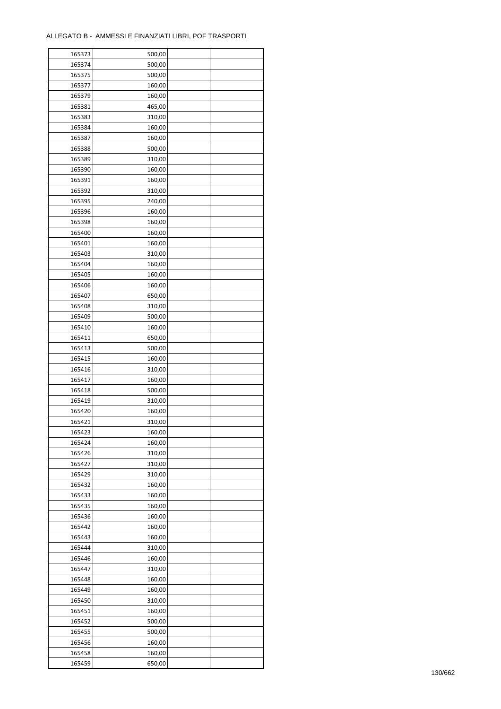| 165373 | 500,00 |  |
|--------|--------|--|
| 165374 | 500,00 |  |
| 165375 | 500,00 |  |
| 165377 | 160,00 |  |
| 165379 | 160,00 |  |
| 165381 | 465,00 |  |
| 165383 | 310,00 |  |
| 165384 | 160,00 |  |
| 165387 | 160,00 |  |
| 165388 | 500,00 |  |
| 165389 | 310,00 |  |
| 165390 | 160,00 |  |
| 165391 |        |  |
|        | 160,00 |  |
| 165392 | 310,00 |  |
| 165395 | 240,00 |  |
| 165396 | 160,00 |  |
| 165398 | 160,00 |  |
| 165400 | 160,00 |  |
| 165401 | 160,00 |  |
| 165403 | 310,00 |  |
| 165404 | 160,00 |  |
| 165405 | 160,00 |  |
| 165406 | 160,00 |  |
| 165407 | 650,00 |  |
| 165408 | 310,00 |  |
| 165409 | 500,00 |  |
| 165410 | 160,00 |  |
| 165411 | 650,00 |  |
| 165413 | 500,00 |  |
| 165415 | 160,00 |  |
| 165416 | 310,00 |  |
| 165417 | 160,00 |  |
| 165418 | 500,00 |  |
| 165419 | 310,00 |  |
| 165420 | 160,00 |  |
| 165421 | 310,00 |  |
| 165423 | 160,00 |  |
| 165424 | 160,00 |  |
| 165426 | 310,00 |  |
| 165427 | 310,00 |  |
| 165429 | 310,00 |  |
| 165432 | 160,00 |  |
| 165433 | 160,00 |  |
| 165435 | 160,00 |  |
| 165436 | 160,00 |  |
| 165442 | 160,00 |  |
| 165443 | 160,00 |  |
| 165444 | 310,00 |  |
| 165446 | 160,00 |  |
| 165447 | 310,00 |  |
| 165448 | 160,00 |  |
| 165449 | 160,00 |  |
| 165450 | 310,00 |  |
| 165451 | 160,00 |  |
| 165452 | 500,00 |  |
| 165455 | 500,00 |  |
| 165456 | 160,00 |  |
| 165458 | 160,00 |  |
| 165459 | 650,00 |  |
|        |        |  |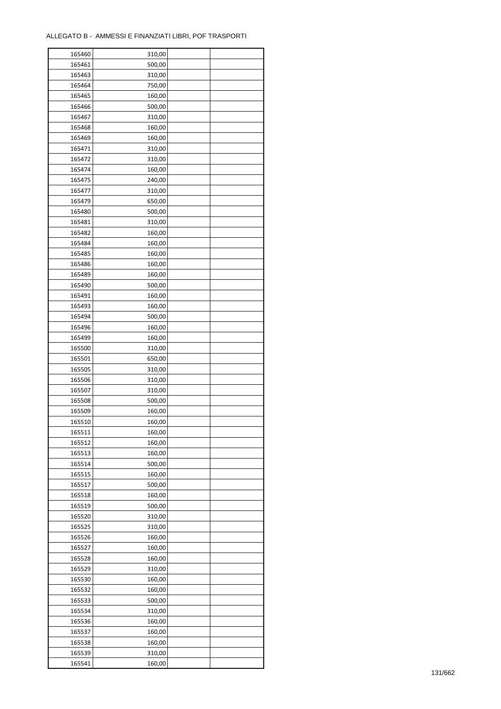| 165460 | 310,00 |  |
|--------|--------|--|
| 165461 | 500,00 |  |
| 165463 | 310,00 |  |
| 165464 | 750,00 |  |
| 165465 | 160,00 |  |
| 165466 | 500,00 |  |
| 165467 | 310,00 |  |
| 165468 | 160,00 |  |
| 165469 | 160,00 |  |
| 165471 | 310,00 |  |
| 165472 | 310,00 |  |
| 165474 | 160,00 |  |
| 165475 | 240,00 |  |
| 165477 | 310,00 |  |
| 165479 | 650,00 |  |
| 165480 | 500,00 |  |
| 165481 | 310,00 |  |
| 165482 | 160,00 |  |
| 165484 | 160,00 |  |
| 165485 | 160,00 |  |
| 165486 | 160,00 |  |
| 165489 | 160,00 |  |
| 165490 | 500,00 |  |
| 165491 | 160,00 |  |
| 165493 | 160,00 |  |
| 165494 | 500,00 |  |
| 165496 | 160,00 |  |
| 165499 | 160,00 |  |
| 165500 | 310,00 |  |
|        |        |  |
| 165501 | 650,00 |  |
| 165505 | 310,00 |  |
| 165506 | 310,00 |  |
| 165507 | 310,00 |  |
| 165508 | 500,00 |  |
| 165509 | 160,00 |  |
| 165510 | 160,00 |  |
| 165511 | 160,00 |  |
| 165512 | 160,00 |  |
| 165513 | 160,00 |  |
| 165514 | 500,00 |  |
| 165515 | 160,00 |  |
| 165517 | 500,00 |  |
| 165518 | 160,00 |  |
| 165519 | 500,00 |  |
| 165520 | 310,00 |  |
| 165525 | 310,00 |  |
| 165526 | 160,00 |  |
| 165527 | 160,00 |  |
| 165528 | 160,00 |  |
| 165529 | 310,00 |  |
| 165530 | 160,00 |  |
| 165532 | 160,00 |  |
| 165533 | 500,00 |  |
| 165534 | 310,00 |  |
| 165536 | 160,00 |  |
| 165537 | 160,00 |  |
| 165538 | 160,00 |  |
| 165539 | 310,00 |  |
| 165541 | 160,00 |  |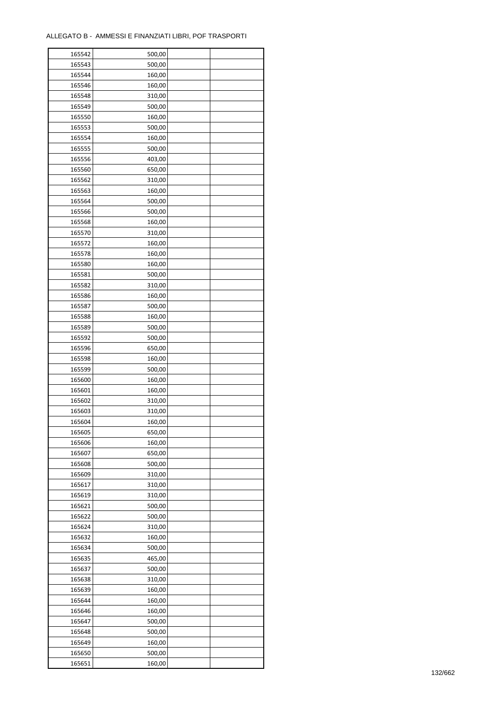| 165542 | 500,00 |  |
|--------|--------|--|
| 165543 | 500,00 |  |
| 165544 | 160,00 |  |
| 165546 | 160,00 |  |
| 165548 | 310,00 |  |
| 165549 | 500,00 |  |
| 165550 | 160,00 |  |
| 165553 | 500,00 |  |
| 165554 | 160,00 |  |
| 165555 | 500,00 |  |
| 165556 | 403,00 |  |
| 165560 | 650,00 |  |
| 165562 | 310,00 |  |
|        |        |  |
| 165563 | 160,00 |  |
| 165564 | 500,00 |  |
| 165566 | 500,00 |  |
| 165568 | 160,00 |  |
| 165570 | 310,00 |  |
| 165572 | 160,00 |  |
| 165578 | 160,00 |  |
| 165580 | 160,00 |  |
| 165581 | 500,00 |  |
| 165582 | 310,00 |  |
| 165586 | 160,00 |  |
| 165587 | 500,00 |  |
| 165588 | 160,00 |  |
| 165589 | 500,00 |  |
| 165592 | 500,00 |  |
| 165596 | 650,00 |  |
| 165598 | 160,00 |  |
| 165599 | 500,00 |  |
| 165600 | 160,00 |  |
| 165601 | 160,00 |  |
| 165602 | 310,00 |  |
| 165603 | 310,00 |  |
| 165604 | 160,00 |  |
| 165605 | 650,00 |  |
| 165606 | 160,00 |  |
| 165607 | 650,00 |  |
| 165608 | 500,00 |  |
| 165609 | 310,00 |  |
| 165617 | 310,00 |  |
| 165619 | 310,00 |  |
| 165621 | 500,00 |  |
| 165622 | 500,00 |  |
| 165624 | 310,00 |  |
| 165632 | 160,00 |  |
| 165634 | 500,00 |  |
| 165635 | 465,00 |  |
| 165637 | 500,00 |  |
| 165638 | 310,00 |  |
| 165639 | 160,00 |  |
| 165644 | 160,00 |  |
| 165646 | 160,00 |  |
| 165647 | 500,00 |  |
| 165648 | 500,00 |  |
| 165649 | 160,00 |  |
| 165650 | 500,00 |  |
| 165651 | 160,00 |  |
|        |        |  |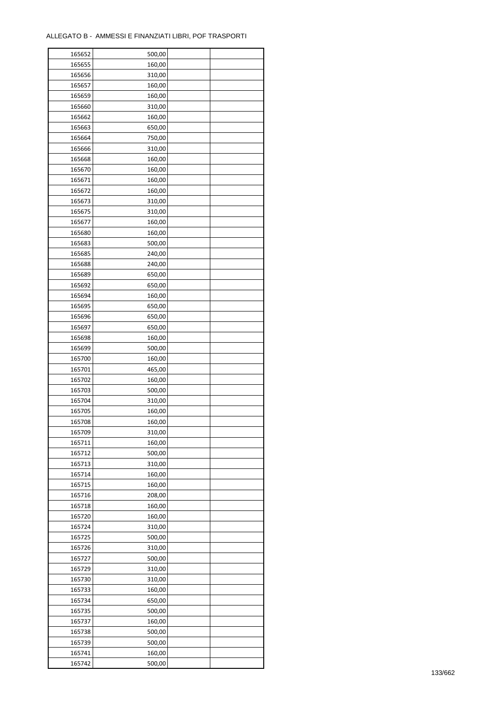| 165652 | 500,00 |  |
|--------|--------|--|
| 165655 | 160,00 |  |
| 165656 | 310,00 |  |
| 165657 | 160,00 |  |
| 165659 | 160,00 |  |
| 165660 | 310,00 |  |
| 165662 | 160,00 |  |
| 165663 | 650,00 |  |
| 165664 | 750,00 |  |
| 165666 | 310,00 |  |
| 165668 | 160,00 |  |
| 165670 | 160,00 |  |
| 165671 | 160,00 |  |
| 165672 | 160,00 |  |
|        |        |  |
| 165673 | 310,00 |  |
| 165675 | 310,00 |  |
| 165677 | 160,00 |  |
| 165680 | 160,00 |  |
| 165683 | 500,00 |  |
| 165685 | 240,00 |  |
| 165688 | 240,00 |  |
| 165689 | 650,00 |  |
| 165692 | 650,00 |  |
| 165694 | 160,00 |  |
| 165695 | 650,00 |  |
| 165696 | 650,00 |  |
| 165697 | 650,00 |  |
| 165698 | 160,00 |  |
| 165699 | 500,00 |  |
| 165700 | 160,00 |  |
| 165701 | 465,00 |  |
| 165702 | 160,00 |  |
| 165703 | 500,00 |  |
| 165704 | 310,00 |  |
| 165705 | 160,00 |  |
| 165708 | 160,00 |  |
| 165709 | 310,00 |  |
| 165711 | 160,00 |  |
| 165712 | 500,00 |  |
| 165713 | 310,00 |  |
| 165714 | 160,00 |  |
| 165715 | 160,00 |  |
| 165716 | 208,00 |  |
| 165718 | 160,00 |  |
|        |        |  |
| 165720 | 160,00 |  |
| 165724 | 310,00 |  |
| 165725 | 500,00 |  |
| 165726 | 310,00 |  |
| 165727 | 500,00 |  |
| 165729 | 310,00 |  |
| 165730 | 310,00 |  |
| 165733 | 160,00 |  |
| 165734 | 650,00 |  |
| 165735 | 500,00 |  |
| 165737 | 160,00 |  |
| 165738 | 500,00 |  |
| 165739 | 500,00 |  |
| 165741 | 160,00 |  |
| 165742 | 500,00 |  |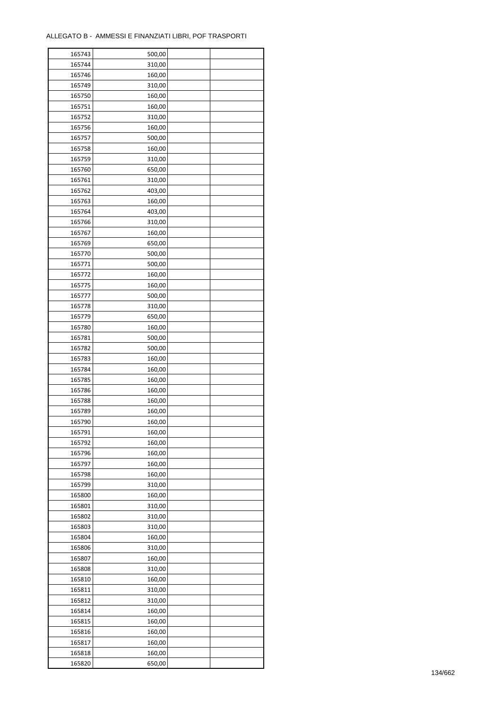| 165743 | 500,00 |  |
|--------|--------|--|
| 165744 | 310,00 |  |
| 165746 | 160,00 |  |
| 165749 | 310,00 |  |
| 165750 | 160,00 |  |
| 165751 | 160,00 |  |
| 165752 | 310,00 |  |
| 165756 | 160,00 |  |
| 165757 | 500,00 |  |
| 165758 | 160,00 |  |
| 165759 | 310,00 |  |
| 165760 | 650,00 |  |
| 165761 | 310,00 |  |
| 165762 |        |  |
|        | 403,00 |  |
| 165763 | 160,00 |  |
| 165764 | 403,00 |  |
| 165766 | 310,00 |  |
| 165767 | 160,00 |  |
| 165769 | 650,00 |  |
| 165770 | 500,00 |  |
| 165771 | 500,00 |  |
| 165772 | 160,00 |  |
| 165775 | 160,00 |  |
| 165777 | 500,00 |  |
| 165778 | 310,00 |  |
| 165779 | 650,00 |  |
| 165780 | 160,00 |  |
| 165781 | 500,00 |  |
| 165782 | 500,00 |  |
| 165783 | 160,00 |  |
| 165784 | 160,00 |  |
| 165785 | 160,00 |  |
| 165786 | 160,00 |  |
| 165788 | 160,00 |  |
| 165789 | 160,00 |  |
| 165790 | 160,00 |  |
| 165791 | 160,00 |  |
| 165792 | 160,00 |  |
| 165796 | 160,00 |  |
|        |        |  |
| 165797 | 160,00 |  |
| 165798 | 160,00 |  |
| 165799 | 310,00 |  |
| 165800 | 160,00 |  |
| 165801 | 310,00 |  |
| 165802 | 310,00 |  |
| 165803 | 310,00 |  |
| 165804 | 160,00 |  |
| 165806 | 310,00 |  |
| 165807 | 160,00 |  |
| 165808 | 310,00 |  |
| 165810 | 160,00 |  |
| 165811 | 310,00 |  |
| 165812 | 310,00 |  |
| 165814 | 160,00 |  |
| 165815 | 160,00 |  |
| 165816 | 160,00 |  |
| 165817 | 160,00 |  |
| 165818 | 160,00 |  |
| 165820 | 650,00 |  |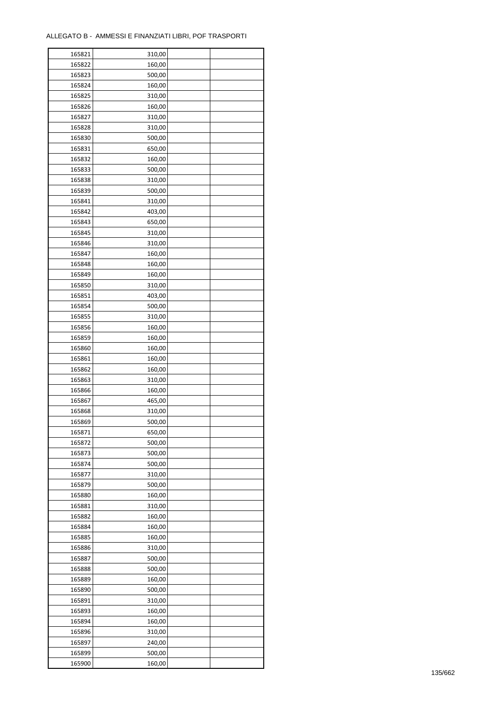| 165821 | 310,00 |  |
|--------|--------|--|
| 165822 | 160,00 |  |
| 165823 | 500,00 |  |
| 165824 | 160,00 |  |
| 165825 | 310,00 |  |
| 165826 | 160,00 |  |
| 165827 | 310,00 |  |
| 165828 | 310,00 |  |
|        |        |  |
| 165830 | 500,00 |  |
| 165831 | 650,00 |  |
| 165832 | 160,00 |  |
| 165833 | 500,00 |  |
| 165838 | 310,00 |  |
| 165839 | 500,00 |  |
| 165841 | 310,00 |  |
| 165842 | 403,00 |  |
| 165843 | 650,00 |  |
| 165845 | 310,00 |  |
| 165846 | 310,00 |  |
| 165847 | 160,00 |  |
| 165848 | 160,00 |  |
| 165849 | 160,00 |  |
| 165850 | 310,00 |  |
| 165851 | 403,00 |  |
| 165854 | 500,00 |  |
| 165855 | 310,00 |  |
| 165856 | 160,00 |  |
| 165859 | 160,00 |  |
| 165860 | 160,00 |  |
| 165861 | 160,00 |  |
|        | 160,00 |  |
| 165862 |        |  |
| 165863 | 310,00 |  |
| 165866 | 160,00 |  |
| 165867 | 465,00 |  |
| 165868 | 310,00 |  |
| 165869 | 500,00 |  |
| 165871 | 650,00 |  |
| 165872 | 500,00 |  |
| 165873 | 500,00 |  |
| 165874 | 500,00 |  |
| 165877 | 310,00 |  |
| 165879 | 500,00 |  |
| 165880 | 160,00 |  |
| 165881 | 310,00 |  |
| 165882 | 160,00 |  |
| 165884 | 160,00 |  |
| 165885 | 160,00 |  |
| 165886 | 310,00 |  |
| 165887 | 500,00 |  |
| 165888 | 500,00 |  |
| 165889 | 160,00 |  |
| 165890 | 500,00 |  |
| 165891 | 310,00 |  |
|        |        |  |
| 165893 | 160,00 |  |
| 165894 | 160,00 |  |
| 165896 | 310,00 |  |
| 165897 | 240,00 |  |
| 165899 | 500,00 |  |
| 165900 | 160,00 |  |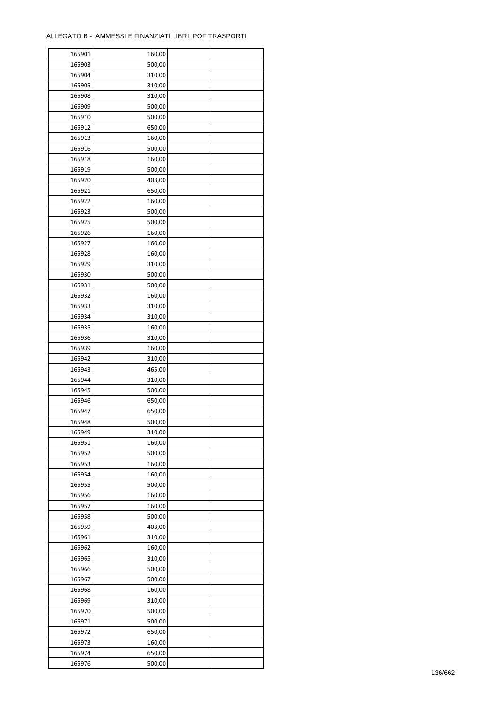| 165901           | 160,00 |  |
|------------------|--------|--|
| 165903           | 500,00 |  |
| 165904           | 310,00 |  |
| 165905           | 310,00 |  |
| 165908           | 310,00 |  |
| 165909           | 500,00 |  |
| 165910           | 500,00 |  |
| 165912           | 650,00 |  |
| 165913           | 160,00 |  |
| 165916           | 500,00 |  |
| 165918           | 160,00 |  |
| 165919           | 500,00 |  |
| 165920           | 403,00 |  |
| 165921           | 650,00 |  |
| 165922           | 160,00 |  |
|                  |        |  |
| 165923<br>165925 | 500,00 |  |
|                  | 500,00 |  |
| 165926           | 160,00 |  |
| 165927           | 160,00 |  |
| 165928           | 160,00 |  |
| 165929           | 310,00 |  |
| 165930           | 500,00 |  |
| 165931           | 500,00 |  |
| 165932           | 160,00 |  |
| 165933           | 310,00 |  |
| 165934           | 310,00 |  |
| 165935           | 160,00 |  |
| 165936           | 310,00 |  |
| 165939           | 160,00 |  |
| 165942           | 310,00 |  |
| 165943           | 465,00 |  |
| 165944           | 310,00 |  |
| 165945           | 500,00 |  |
| 165946           | 650,00 |  |
| 165947           | 650,00 |  |
| 165948           | 500,00 |  |
| 165949           | 310,00 |  |
| 165951           | 160,00 |  |
| 165952           | 500,00 |  |
| 165953           | 160,00 |  |
| 165954           | 160,00 |  |
| 165955           | 500,00 |  |
| 165956           | 160,00 |  |
| 165957           | 160,00 |  |
| 165958           | 500,00 |  |
| 165959           | 403,00 |  |
| 165961           | 310,00 |  |
| 165962           | 160,00 |  |
| 165965           | 310,00 |  |
| 165966           | 500,00 |  |
| 165967           | 500,00 |  |
| 165968           | 160,00 |  |
| 165969           | 310,00 |  |
| 165970           | 500,00 |  |
| 165971           | 500,00 |  |
| 165972           | 650,00 |  |
| 165973           | 160,00 |  |
| 165974           | 650,00 |  |
| 165976           | 500,00 |  |
|                  |        |  |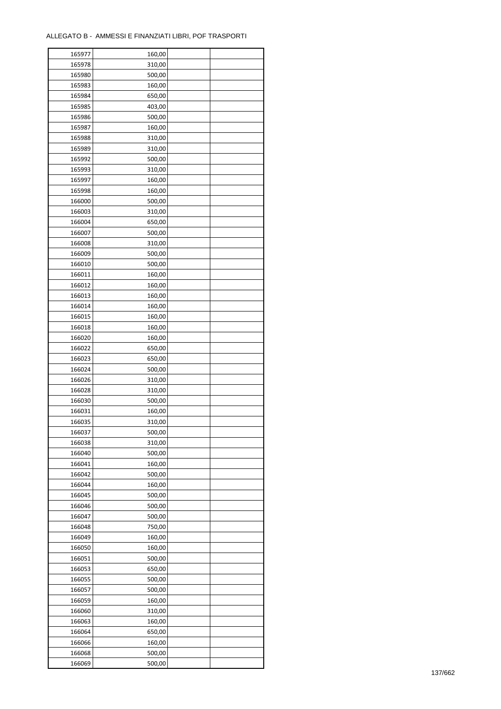| 165977 | 160,00 |  |
|--------|--------|--|
| 165978 | 310,00 |  |
| 165980 | 500,00 |  |
| 165983 | 160,00 |  |
| 165984 | 650,00 |  |
| 165985 | 403,00 |  |
| 165986 | 500,00 |  |
| 165987 | 160,00 |  |
|        |        |  |
| 165988 | 310,00 |  |
| 165989 | 310,00 |  |
| 165992 | 500,00 |  |
| 165993 | 310,00 |  |
| 165997 | 160,00 |  |
| 165998 | 160,00 |  |
| 166000 | 500,00 |  |
| 166003 | 310,00 |  |
| 166004 | 650,00 |  |
| 166007 | 500,00 |  |
| 166008 | 310,00 |  |
| 166009 | 500,00 |  |
| 166010 | 500,00 |  |
| 166011 | 160,00 |  |
| 166012 | 160,00 |  |
| 166013 | 160,00 |  |
| 166014 | 160,00 |  |
| 166015 | 160,00 |  |
| 166018 |        |  |
|        | 160,00 |  |
| 166020 | 160,00 |  |
| 166022 | 650,00 |  |
| 166023 | 650,00 |  |
| 166024 | 500,00 |  |
| 166026 | 310,00 |  |
| 166028 | 310,00 |  |
| 166030 | 500,00 |  |
| 166031 | 160,00 |  |
| 166035 | 310,00 |  |
| 166037 | 500,00 |  |
| 166038 | 310,00 |  |
| 166040 | 500,00 |  |
| 166041 | 160,00 |  |
| 166042 | 500,00 |  |
| 166044 | 160,00 |  |
| 166045 | 500,00 |  |
| 166046 | 500,00 |  |
| 166047 | 500,00 |  |
| 166048 | 750,00 |  |
| 166049 | 160,00 |  |
| 166050 | 160,00 |  |
| 166051 | 500,00 |  |
| 166053 | 650,00 |  |
|        |        |  |
| 166055 | 500,00 |  |
| 166057 | 500,00 |  |
| 166059 | 160,00 |  |
| 166060 | 310,00 |  |
| 166063 | 160,00 |  |
| 166064 | 650,00 |  |
| 166066 | 160,00 |  |
| 166068 | 500,00 |  |
| 166069 | 500,00 |  |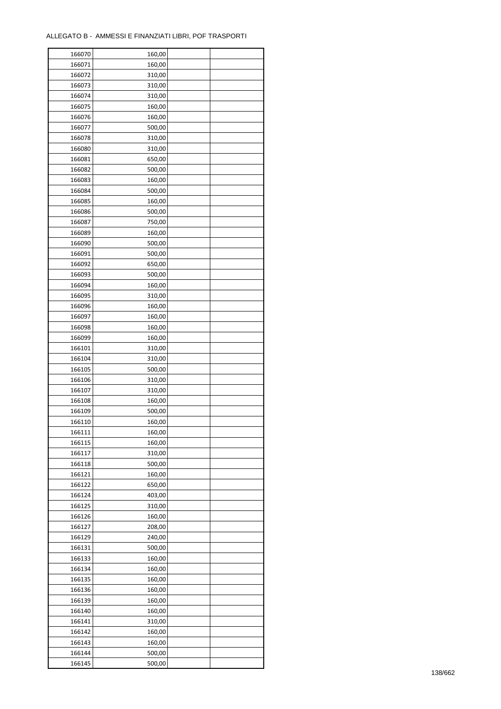| 166070 | 160,00 |  |
|--------|--------|--|
| 166071 | 160,00 |  |
| 166072 | 310,00 |  |
| 166073 | 310,00 |  |
| 166074 | 310,00 |  |
| 166075 | 160,00 |  |
| 166076 | 160,00 |  |
| 166077 | 500,00 |  |
| 166078 | 310,00 |  |
| 166080 | 310,00 |  |
|        |        |  |
| 166081 | 650,00 |  |
| 166082 | 500,00 |  |
| 166083 | 160,00 |  |
| 166084 | 500,00 |  |
| 166085 | 160,00 |  |
| 166086 | 500,00 |  |
| 166087 | 750,00 |  |
| 166089 | 160,00 |  |
| 166090 | 500,00 |  |
| 166091 | 500,00 |  |
| 166092 | 650,00 |  |
| 166093 | 500,00 |  |
| 166094 | 160,00 |  |
| 166095 | 310,00 |  |
| 166096 | 160,00 |  |
| 166097 | 160,00 |  |
| 166098 | 160,00 |  |
| 166099 | 160,00 |  |
| 166101 | 310,00 |  |
|        |        |  |
| 166104 | 310,00 |  |
| 166105 | 500,00 |  |
| 166106 | 310,00 |  |
| 166107 | 310,00 |  |
| 166108 | 160,00 |  |
| 166109 | 500,00 |  |
| 166110 | 160,00 |  |
| 166111 | 160,00 |  |
| 166115 | 160,00 |  |
| 166117 | 310,00 |  |
| 166118 | 500,00 |  |
| 166121 | 160,00 |  |
| 166122 | 650,00 |  |
| 166124 | 403,00 |  |
| 166125 | 310,00 |  |
| 166126 | 160,00 |  |
| 166127 | 208,00 |  |
| 166129 | 240,00 |  |
| 166131 | 500,00 |  |
| 166133 | 160,00 |  |
| 166134 | 160,00 |  |
| 166135 | 160,00 |  |
|        |        |  |
| 166136 | 160,00 |  |
| 166139 | 160,00 |  |
| 166140 | 160,00 |  |
| 166141 | 310,00 |  |
| 166142 | 160,00 |  |
| 166143 | 160,00 |  |
| 166144 | 500,00 |  |
| 166145 | 500,00 |  |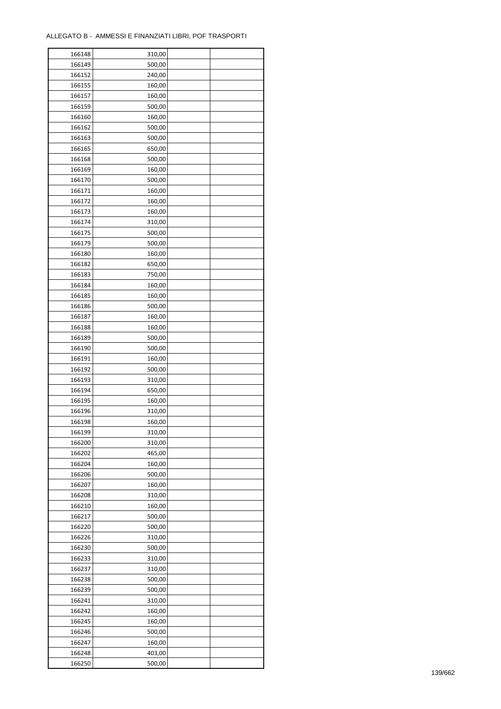| 166148           | 310,00 |  |
|------------------|--------|--|
| 166149           | 500,00 |  |
| 166152           | 240,00 |  |
| 166155           | 160,00 |  |
| 166157           | 160,00 |  |
| 166159           | 500,00 |  |
| 166160           | 160,00 |  |
| 166162           | 500,00 |  |
| 166163           | 500,00 |  |
|                  | 650,00 |  |
| 166165<br>166168 | 500,00 |  |
|                  |        |  |
| 166169           | 160,00 |  |
| 166170           | 500,00 |  |
| 166171           | 160,00 |  |
| 166172           | 160,00 |  |
| 166173           | 160,00 |  |
| 166174           | 310,00 |  |
| 166175           | 500,00 |  |
| 166179           | 500,00 |  |
| 166180           | 160,00 |  |
| 166182           | 650,00 |  |
| 166183           | 750,00 |  |
| 166184           | 160,00 |  |
| 166185           | 160,00 |  |
| 166186           | 500,00 |  |
| 166187           | 160,00 |  |
| 166188           | 160,00 |  |
| 166189           | 500,00 |  |
| 166190           | 500,00 |  |
|                  |        |  |
| 166191           | 160,00 |  |
| 166192           | 500,00 |  |
| 166193           | 310,00 |  |
| 166194           | 650,00 |  |
| 166195           | 160,00 |  |
| 166196           | 310,00 |  |
| 166198           | 160,00 |  |
| 166199           | 310,00 |  |
| 166200           | 310,00 |  |
| 166202           | 465,00 |  |
| 166204           | 160,00 |  |
| 166206           | 500,00 |  |
| 166207           | 160,00 |  |
| 166208           | 310,00 |  |
| 166210           | 160,00 |  |
| 166217           | 500,00 |  |
| 166220           | 500,00 |  |
| 166226           | 310,00 |  |
| 166230           | 500,00 |  |
| 166233           | 310,00 |  |
| 166237           | 310,00 |  |
|                  |        |  |
| 166238           | 500,00 |  |
| 166239           | 500,00 |  |
| 166241           | 310,00 |  |
| 166242           | 160,00 |  |
| 166245           | 160,00 |  |
| 166246           | 500,00 |  |
| 166247           | 160,00 |  |
| 166248           | 403,00 |  |
| 166250           | 500,00 |  |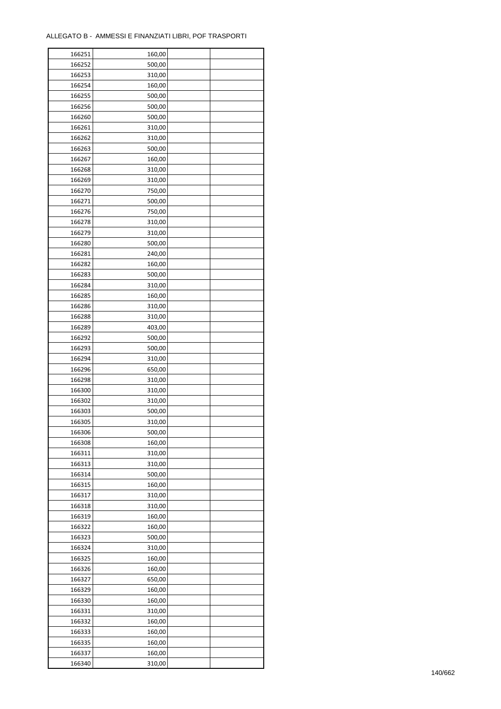| 166251 | 160,00           |  |
|--------|------------------|--|
| 166252 | 500,00           |  |
| 166253 | 310,00           |  |
| 166254 | 160,00           |  |
| 166255 | 500,00           |  |
| 166256 | 500,00           |  |
| 166260 | 500,00           |  |
| 166261 | 310,00           |  |
| 166262 | 310,00           |  |
| 166263 | 500,00           |  |
| 166267 | 160,00           |  |
| 166268 | 310,00           |  |
| 166269 | 310,00           |  |
| 166270 | 750,00           |  |
| 166271 | 500,00           |  |
|        |                  |  |
| 166276 | 750,00<br>310,00 |  |
| 166278 |                  |  |
| 166279 | 310,00           |  |
| 166280 | 500,00           |  |
| 166281 | 240,00           |  |
| 166282 | 160,00           |  |
| 166283 | 500,00           |  |
| 166284 | 310,00           |  |
| 166285 | 160,00           |  |
| 166286 | 310,00           |  |
| 166288 | 310,00           |  |
| 166289 | 403,00           |  |
| 166292 | 500,00           |  |
| 166293 | 500,00           |  |
| 166294 | 310,00           |  |
| 166296 | 650,00           |  |
| 166298 | 310,00           |  |
| 166300 | 310,00           |  |
| 166302 | 310,00           |  |
| 166303 | 500,00           |  |
| 166305 | 310,00           |  |
| 166306 | 500,00           |  |
| 166308 | 160,00           |  |
| 166311 | 310,00           |  |
| 166313 | 310,00           |  |
| 166314 | 500,00           |  |
| 166315 | 160,00           |  |
| 166317 | 310,00           |  |
| 166318 | 310,00           |  |
| 166319 | 160,00           |  |
| 166322 | 160,00           |  |
| 166323 | 500,00           |  |
| 166324 | 310,00           |  |
| 166325 | 160,00           |  |
| 166326 | 160,00           |  |
| 166327 | 650,00           |  |
| 166329 | 160,00           |  |
| 166330 | 160,00           |  |
|        |                  |  |
| 166331 | 310,00           |  |
| 166332 | 160,00           |  |
| 166333 | 160,00           |  |
| 166335 | 160,00           |  |
| 166337 | 160,00           |  |
| 166340 | 310,00           |  |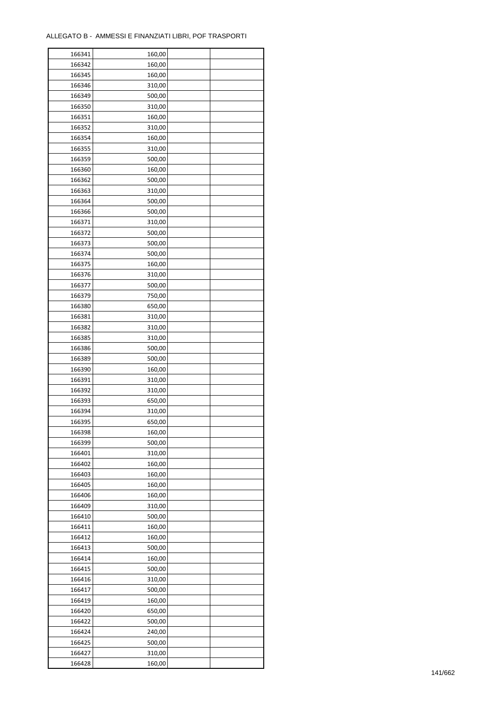| 166341 | 160,00 |  |
|--------|--------|--|
| 166342 | 160,00 |  |
| 166345 | 160,00 |  |
| 166346 | 310,00 |  |
| 166349 | 500,00 |  |
| 166350 | 310,00 |  |
| 166351 | 160,00 |  |
| 166352 | 310,00 |  |
| 166354 | 160,00 |  |
| 166355 | 310,00 |  |
| 166359 | 500,00 |  |
| 166360 | 160,00 |  |
| 166362 | 500,00 |  |
|        |        |  |
| 166363 | 310,00 |  |
| 166364 | 500,00 |  |
| 166366 | 500,00 |  |
| 166371 | 310,00 |  |
| 166372 | 500,00 |  |
| 166373 | 500,00 |  |
| 166374 | 500,00 |  |
| 166375 | 160,00 |  |
| 166376 | 310,00 |  |
| 166377 | 500,00 |  |
| 166379 | 750,00 |  |
| 166380 | 650,00 |  |
| 166381 | 310,00 |  |
| 166382 | 310,00 |  |
| 166385 | 310,00 |  |
| 166386 | 500,00 |  |
| 166389 | 500,00 |  |
| 166390 | 160,00 |  |
| 166391 | 310,00 |  |
| 166392 | 310,00 |  |
| 166393 | 650,00 |  |
| 166394 | 310,00 |  |
| 166395 | 650,00 |  |
| 166398 | 160,00 |  |
| 166399 | 500,00 |  |
| 166401 | 310,00 |  |
| 166402 | 160,00 |  |
| 166403 | 160,00 |  |
| 166405 | 160,00 |  |
| 166406 | 160,00 |  |
| 166409 | 310,00 |  |
| 166410 | 500,00 |  |
| 166411 | 160,00 |  |
| 166412 | 160,00 |  |
| 166413 | 500,00 |  |
| 166414 | 160,00 |  |
| 166415 | 500,00 |  |
| 166416 | 310,00 |  |
| 166417 | 500,00 |  |
| 166419 | 160,00 |  |
| 166420 | 650,00 |  |
| 166422 | 500,00 |  |
| 166424 | 240,00 |  |
| 166425 | 500,00 |  |
|        |        |  |
| 166427 | 310,00 |  |
| 166428 | 160,00 |  |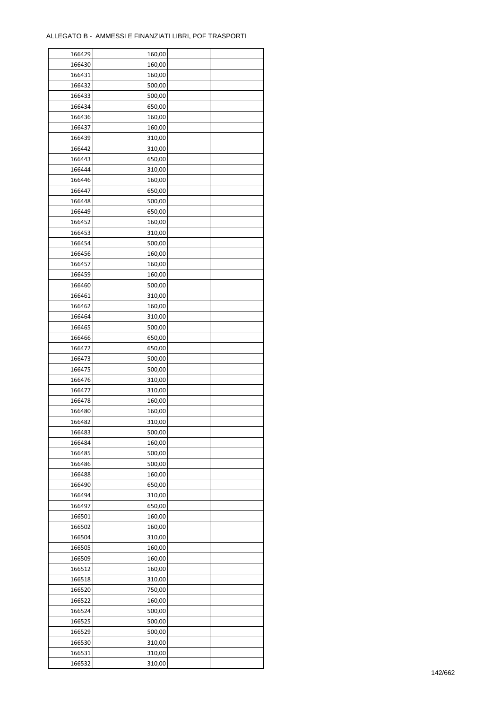| 166429 | 160,00 |  |
|--------|--------|--|
| 166430 | 160,00 |  |
| 166431 | 160,00 |  |
| 166432 | 500,00 |  |
| 166433 | 500,00 |  |
| 166434 | 650,00 |  |
| 166436 | 160,00 |  |
| 166437 | 160,00 |  |
|        |        |  |
| 166439 | 310,00 |  |
| 166442 | 310,00 |  |
| 166443 | 650,00 |  |
| 166444 | 310,00 |  |
| 166446 | 160,00 |  |
| 166447 | 650,00 |  |
| 166448 | 500,00 |  |
| 166449 | 650,00 |  |
| 166452 | 160,00 |  |
| 166453 | 310,00 |  |
| 166454 | 500,00 |  |
| 166456 | 160,00 |  |
| 166457 | 160,00 |  |
| 166459 | 160,00 |  |
| 166460 | 500,00 |  |
| 166461 | 310,00 |  |
| 166462 | 160,00 |  |
| 166464 | 310,00 |  |
| 166465 | 500,00 |  |
|        |        |  |
| 166466 | 650,00 |  |
| 166472 | 650,00 |  |
| 166473 | 500,00 |  |
| 166475 | 500,00 |  |
| 166476 | 310,00 |  |
| 166477 | 310,00 |  |
| 166478 | 160,00 |  |
| 166480 | 160,00 |  |
| 166482 | 310,00 |  |
| 166483 | 500,00 |  |
| 166484 | 160,00 |  |
| 166485 | 500,00 |  |
| 166486 | 500,00 |  |
| 166488 | 160,00 |  |
| 166490 | 650,00 |  |
| 166494 | 310,00 |  |
| 166497 | 650,00 |  |
| 166501 | 160,00 |  |
| 166502 | 160,00 |  |
| 166504 | 310,00 |  |
|        |        |  |
| 166505 | 160,00 |  |
| 166509 | 160,00 |  |
| 166512 | 160,00 |  |
| 166518 | 310,00 |  |
| 166520 | 750,00 |  |
| 166522 | 160,00 |  |
| 166524 | 500,00 |  |
| 166525 | 500,00 |  |
| 166529 | 500,00 |  |
| 166530 | 310,00 |  |
| 166531 | 310,00 |  |
| 166532 | 310,00 |  |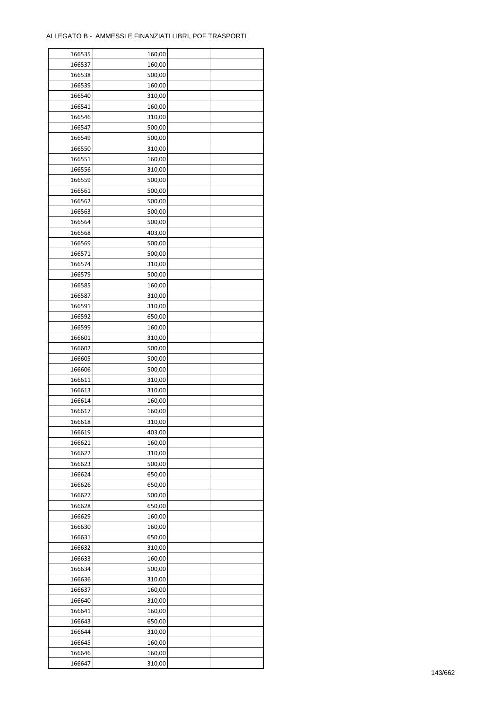| 166535 | 160,00 |  |
|--------|--------|--|
| 166537 | 160,00 |  |
| 166538 | 500,00 |  |
| 166539 | 160,00 |  |
| 166540 | 310,00 |  |
| 166541 | 160,00 |  |
| 166546 | 310,00 |  |
| 166547 | 500,00 |  |
| 166549 |        |  |
|        | 500,00 |  |
| 166550 | 310,00 |  |
| 166551 | 160,00 |  |
| 166556 | 310,00 |  |
| 166559 | 500,00 |  |
| 166561 | 500,00 |  |
| 166562 | 500,00 |  |
| 166563 | 500,00 |  |
| 166564 | 500,00 |  |
| 166568 | 403,00 |  |
| 166569 | 500,00 |  |
| 166571 | 500,00 |  |
| 166574 | 310,00 |  |
| 166579 | 500,00 |  |
| 166585 | 160,00 |  |
| 166587 | 310,00 |  |
| 166591 | 310,00 |  |
| 166592 | 650,00 |  |
| 166599 | 160,00 |  |
|        |        |  |
| 166601 | 310,00 |  |
| 166602 | 500,00 |  |
| 166605 | 500,00 |  |
| 166606 | 500,00 |  |
| 166611 | 310,00 |  |
| 166613 | 310,00 |  |
| 166614 | 160,00 |  |
| 166617 | 160,00 |  |
| 166618 | 310,00 |  |
| 166619 | 403,00 |  |
| 166621 | 160,00 |  |
| 166622 | 310,00 |  |
| 166623 | 500,00 |  |
| 166624 | 650,00 |  |
| 166626 | 650,00 |  |
| 166627 | 500,00 |  |
| 166628 | 650,00 |  |
| 166629 | 160,00 |  |
| 166630 | 160,00 |  |
| 166631 | 650,00 |  |
| 166632 | 310,00 |  |
| 166633 |        |  |
|        | 160,00 |  |
| 166634 | 500,00 |  |
| 166636 | 310,00 |  |
| 166637 | 160,00 |  |
| 166640 | 310,00 |  |
| 166641 | 160,00 |  |
| 166643 | 650,00 |  |
| 166644 | 310,00 |  |
| 166645 | 160,00 |  |
| 166646 | 160,00 |  |
| 166647 | 310,00 |  |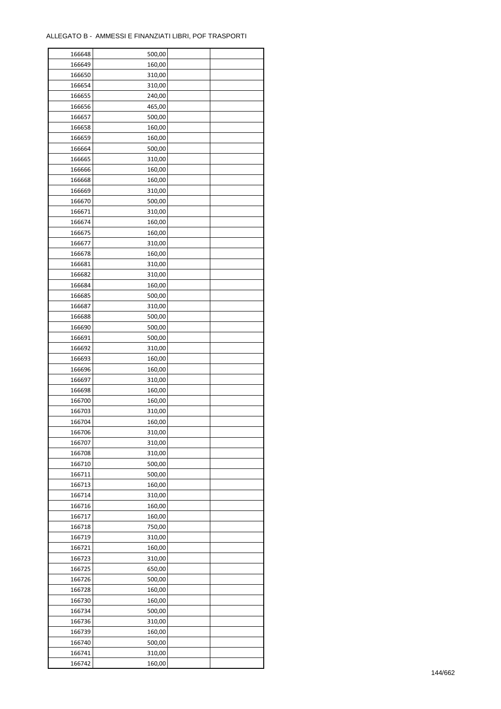| 166648 | 500,00 |  |
|--------|--------|--|
| 166649 | 160,00 |  |
| 166650 | 310,00 |  |
| 166654 | 310,00 |  |
| 166655 | 240,00 |  |
| 166656 | 465,00 |  |
| 166657 | 500,00 |  |
| 166658 | 160,00 |  |
| 166659 | 160,00 |  |
|        |        |  |
| 166664 | 500,00 |  |
| 166665 | 310,00 |  |
| 166666 | 160,00 |  |
| 166668 | 160,00 |  |
| 166669 | 310,00 |  |
| 166670 | 500,00 |  |
| 166671 | 310,00 |  |
| 166674 | 160,00 |  |
| 166675 | 160,00 |  |
| 166677 | 310,00 |  |
| 166678 | 160,00 |  |
| 166681 | 310,00 |  |
| 166682 | 310,00 |  |
| 166684 | 160,00 |  |
| 166685 | 500,00 |  |
| 166687 | 310,00 |  |
| 166688 | 500,00 |  |
| 166690 | 500,00 |  |
| 166691 | 500,00 |  |
| 166692 | 310,00 |  |
| 166693 | 160,00 |  |
|        | 160,00 |  |
| 166696 |        |  |
| 166697 | 310,00 |  |
| 166698 | 160,00 |  |
| 166700 | 160,00 |  |
| 166703 | 310,00 |  |
| 166704 | 160,00 |  |
| 166706 | 310,00 |  |
| 166707 | 310,00 |  |
| 166708 | 310,00 |  |
| 166710 | 500,00 |  |
| 166711 | 500,00 |  |
| 166713 | 160,00 |  |
| 166714 | 310,00 |  |
| 166716 | 160,00 |  |
| 166717 | 160,00 |  |
| 166718 | 750,00 |  |
| 166719 | 310,00 |  |
| 166721 | 160,00 |  |
| 166723 | 310,00 |  |
| 166725 | 650,00 |  |
| 166726 | 500,00 |  |
| 166728 | 160,00 |  |
| 166730 | 160,00 |  |
|        |        |  |
| 166734 | 500,00 |  |
| 166736 | 310,00 |  |
| 166739 | 160,00 |  |
| 166740 | 500,00 |  |
| 166741 | 310,00 |  |
| 166742 | 160,00 |  |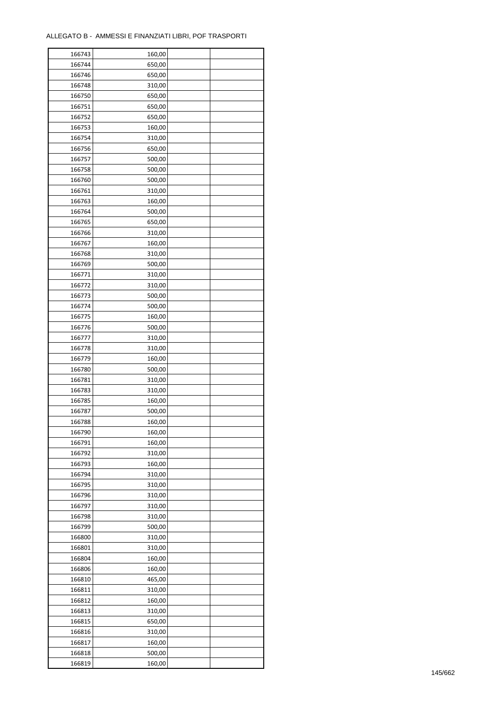| 166743 | 160,00 |  |
|--------|--------|--|
| 166744 | 650,00 |  |
| 166746 | 650,00 |  |
| 166748 | 310,00 |  |
| 166750 | 650,00 |  |
| 166751 | 650,00 |  |
| 166752 | 650,00 |  |
| 166753 | 160,00 |  |
| 166754 | 310,00 |  |
| 166756 | 650,00 |  |
| 166757 | 500,00 |  |
| 166758 | 500,00 |  |
| 166760 | 500,00 |  |
| 166761 | 310,00 |  |
|        |        |  |
| 166763 | 160,00 |  |
| 166764 | 500,00 |  |
| 166765 | 650,00 |  |
| 166766 | 310,00 |  |
| 166767 | 160,00 |  |
| 166768 | 310,00 |  |
| 166769 | 500,00 |  |
| 166771 | 310,00 |  |
| 166772 | 310,00 |  |
| 166773 | 500,00 |  |
| 166774 | 500,00 |  |
| 166775 | 160,00 |  |
| 166776 | 500,00 |  |
| 166777 | 310,00 |  |
| 166778 | 310,00 |  |
| 166779 | 160,00 |  |
| 166780 | 500,00 |  |
| 166781 | 310,00 |  |
| 166783 | 310,00 |  |
| 166785 | 160,00 |  |
| 166787 | 500,00 |  |
| 166788 | 160,00 |  |
| 166790 | 160,00 |  |
| 166791 | 160,00 |  |
| 166792 | 310,00 |  |
| 166793 | 160,00 |  |
| 166794 | 310,00 |  |
| 166795 | 310,00 |  |
| 166796 | 310,00 |  |
| 166797 | 310,00 |  |
| 166798 | 310,00 |  |
| 166799 | 500,00 |  |
| 166800 | 310,00 |  |
| 166801 | 310,00 |  |
| 166804 | 160,00 |  |
| 166806 | 160,00 |  |
| 166810 | 465,00 |  |
| 166811 | 310,00 |  |
| 166812 | 160,00 |  |
|        |        |  |
| 166813 | 310,00 |  |
| 166815 | 650,00 |  |
| 166816 | 310,00 |  |
| 166817 | 160,00 |  |
| 166818 | 500,00 |  |
| 166819 | 160,00 |  |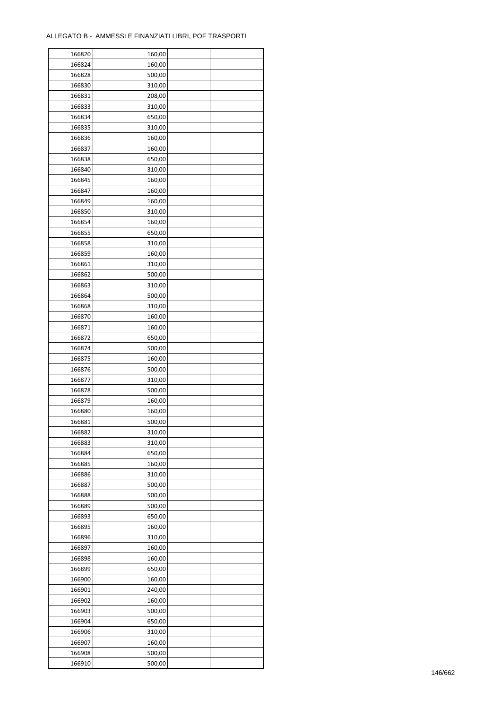| 166820           | 160,00 |  |
|------------------|--------|--|
| 166824           | 160,00 |  |
| 166828           | 500,00 |  |
| 166830           | 310,00 |  |
| 166831           | 208,00 |  |
| 166833           | 310,00 |  |
| 166834           | 650,00 |  |
| 166835           | 310,00 |  |
|                  | 160,00 |  |
| 166836<br>166837 |        |  |
|                  | 160,00 |  |
| 166838           | 650,00 |  |
| 166840           | 310,00 |  |
| 166845           | 160,00 |  |
| 166847           | 160,00 |  |
| 166849           | 160,00 |  |
| 166850           | 310,00 |  |
| 166854           | 160,00 |  |
| 166855           | 650,00 |  |
| 166858           | 310,00 |  |
| 166859           | 160,00 |  |
| 166861           | 310,00 |  |
| 166862           | 500,00 |  |
| 166863           | 310,00 |  |
| 166864           | 500,00 |  |
| 166868           | 310,00 |  |
| 166870           | 160,00 |  |
| 166871           | 160,00 |  |
| 166872           | 650,00 |  |
| 166874           | 500,00 |  |
|                  |        |  |
| 166875           | 160,00 |  |
| 166876           | 500,00 |  |
| 166877           | 310,00 |  |
| 166878           | 500,00 |  |
| 166879           | 160,00 |  |
| 166880           | 160,00 |  |
| 166881           | 500,00 |  |
| 166882           | 310,00 |  |
| 166883           | 310,00 |  |
| 166884           | 650,00 |  |
| 166885           | 160,00 |  |
| 166886           | 310,00 |  |
| 166887           | 500,00 |  |
| 166888           | 500,00 |  |
| 166889           | 500,00 |  |
| 166893           | 650,00 |  |
| 166895           | 160,00 |  |
| 166896           | 310,00 |  |
| 166897           | 160,00 |  |
| 166898           | 160,00 |  |
| 166899           | 650,00 |  |
| 166900           | 160,00 |  |
| 166901           | 240,00 |  |
|                  |        |  |
| 166902           | 160,00 |  |
| 166903           | 500,00 |  |
| 166904           | 650,00 |  |
| 166906           | 310,00 |  |
| 166907           | 160,00 |  |
| 166908           | 500,00 |  |
| 166910           | 500,00 |  |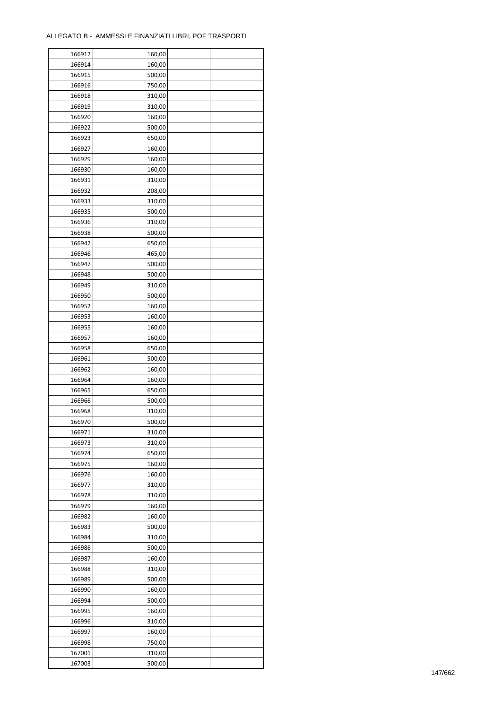| 166912 | 160,00 |  |
|--------|--------|--|
| 166914 | 160,00 |  |
| 166915 | 500,00 |  |
| 166916 | 750,00 |  |
| 166918 | 310,00 |  |
| 166919 | 310,00 |  |
| 166920 | 160,00 |  |
| 166922 | 500,00 |  |
| 166923 | 650,00 |  |
| 166927 | 160,00 |  |
| 166929 | 160,00 |  |
| 166930 | 160,00 |  |
| 166931 | 310,00 |  |
|        |        |  |
| 166932 | 208,00 |  |
| 166933 | 310,00 |  |
| 166935 | 500,00 |  |
| 166936 | 310,00 |  |
| 166938 | 500,00 |  |
| 166942 | 650,00 |  |
| 166946 | 465,00 |  |
| 166947 | 500,00 |  |
| 166948 | 500,00 |  |
| 166949 | 310,00 |  |
| 166950 | 500,00 |  |
| 166952 | 160,00 |  |
| 166953 | 160,00 |  |
| 166955 | 160,00 |  |
| 166957 | 160,00 |  |
| 166958 | 650,00 |  |
| 166961 | 500,00 |  |
| 166962 | 160,00 |  |
| 166964 | 160,00 |  |
| 166965 | 650,00 |  |
| 166966 | 500,00 |  |
| 166968 | 310,00 |  |
| 166970 | 500,00 |  |
| 166971 | 310,00 |  |
| 166973 | 310,00 |  |
| 166974 | 650,00 |  |
| 166975 | 160,00 |  |
| 166976 | 160,00 |  |
| 166977 | 310,00 |  |
| 166978 | 310,00 |  |
| 166979 | 160,00 |  |
| 166982 | 160,00 |  |
| 166983 | 500,00 |  |
| 166984 | 310,00 |  |
| 166986 | 500,00 |  |
| 166987 | 160,00 |  |
| 166988 | 310,00 |  |
| 166989 | 500,00 |  |
| 166990 | 160,00 |  |
| 166994 | 500,00 |  |
| 166995 | 160,00 |  |
| 166996 | 310,00 |  |
| 166997 | 160,00 |  |
| 166998 | 750,00 |  |
| 167001 | 310,00 |  |
|        |        |  |
| 167003 | 500,00 |  |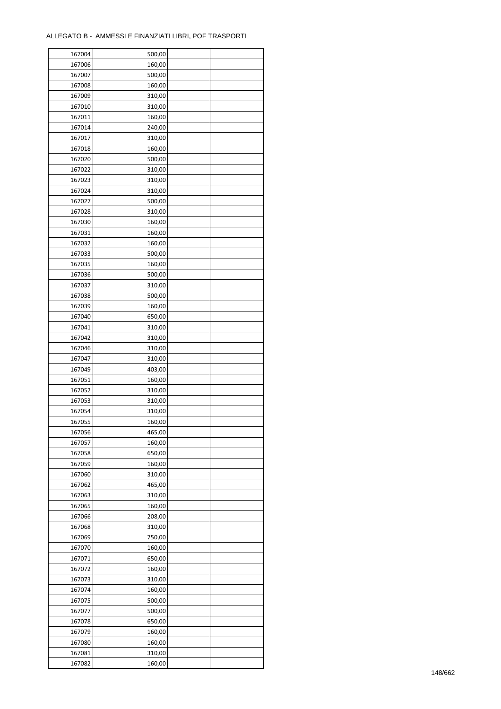| 167004 | 500,00 |  |
|--------|--------|--|
| 167006 | 160,00 |  |
| 167007 | 500,00 |  |
| 167008 | 160,00 |  |
| 167009 | 310,00 |  |
| 167010 | 310,00 |  |
| 167011 | 160,00 |  |
| 167014 | 240,00 |  |
| 167017 | 310,00 |  |
| 167018 | 160,00 |  |
| 167020 | 500,00 |  |
| 167022 | 310,00 |  |
| 167023 | 310,00 |  |
| 167024 |        |  |
|        | 310,00 |  |
| 167027 | 500,00 |  |
| 167028 | 310,00 |  |
| 167030 | 160,00 |  |
| 167031 | 160,00 |  |
| 167032 | 160,00 |  |
| 167033 | 500,00 |  |
| 167035 | 160,00 |  |
| 167036 | 500,00 |  |
| 167037 | 310,00 |  |
| 167038 | 500,00 |  |
| 167039 | 160,00 |  |
| 167040 | 650,00 |  |
| 167041 | 310,00 |  |
| 167042 | 310,00 |  |
| 167046 | 310,00 |  |
| 167047 | 310,00 |  |
| 167049 | 403,00 |  |
| 167051 | 160,00 |  |
| 167052 | 310,00 |  |
| 167053 | 310,00 |  |
| 167054 | 310,00 |  |
| 167055 | 160,00 |  |
| 167056 | 465,00 |  |
| 167057 | 160,00 |  |
| 167058 | 650,00 |  |
| 167059 | 160,00 |  |
| 167060 | 310,00 |  |
| 167062 | 465,00 |  |
| 167063 | 310,00 |  |
| 167065 | 160,00 |  |
| 167066 | 208,00 |  |
| 167068 | 310,00 |  |
| 167069 | 750,00 |  |
| 167070 | 160,00 |  |
| 167071 | 650,00 |  |
| 167072 | 160,00 |  |
| 167073 | 310,00 |  |
| 167074 | 160,00 |  |
| 167075 | 500,00 |  |
| 167077 | 500,00 |  |
| 167078 | 650,00 |  |
|        |        |  |
| 167079 | 160,00 |  |
| 167080 | 160,00 |  |
| 167081 | 310,00 |  |
| 167082 | 160,00 |  |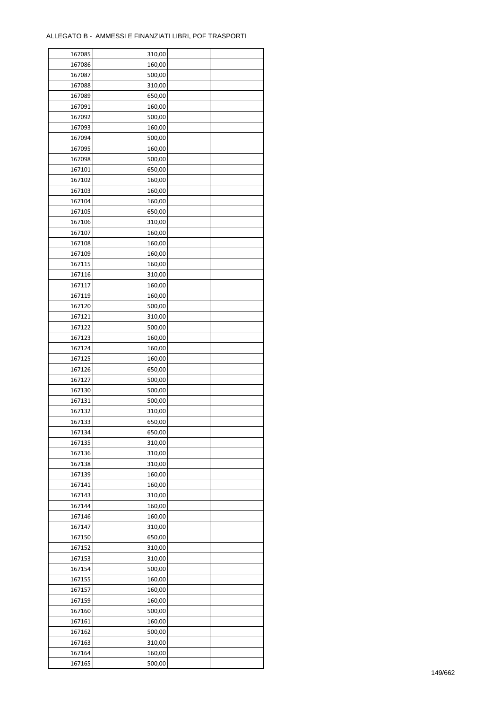| 167085 | 310,00 |  |
|--------|--------|--|
| 167086 | 160,00 |  |
| 167087 | 500,00 |  |
| 167088 | 310,00 |  |
| 167089 | 650,00 |  |
| 167091 | 160,00 |  |
| 167092 | 500,00 |  |
| 167093 | 160,00 |  |
| 167094 | 500,00 |  |
| 167095 | 160,00 |  |
| 167098 | 500,00 |  |
| 167101 | 650,00 |  |
| 167102 | 160,00 |  |
| 167103 |        |  |
|        | 160,00 |  |
| 167104 | 160,00 |  |
| 167105 | 650,00 |  |
| 167106 | 310,00 |  |
| 167107 | 160,00 |  |
| 167108 | 160,00 |  |
| 167109 | 160,00 |  |
| 167115 | 160,00 |  |
| 167116 | 310,00 |  |
| 167117 | 160,00 |  |
| 167119 | 160,00 |  |
| 167120 | 500,00 |  |
| 167121 | 310,00 |  |
| 167122 | 500,00 |  |
| 167123 | 160,00 |  |
| 167124 | 160,00 |  |
| 167125 | 160,00 |  |
| 167126 | 650,00 |  |
| 167127 | 500,00 |  |
| 167130 | 500,00 |  |
| 167131 | 500,00 |  |
| 167132 | 310,00 |  |
| 167133 | 650,00 |  |
| 167134 | 650,00 |  |
| 167135 | 310,00 |  |
| 167136 | 310,00 |  |
|        |        |  |
| 167138 | 310,00 |  |
| 167139 | 160,00 |  |
| 167141 | 160,00 |  |
| 167143 | 310,00 |  |
| 167144 | 160,00 |  |
| 167146 | 160,00 |  |
| 167147 | 310,00 |  |
| 167150 | 650,00 |  |
| 167152 | 310,00 |  |
| 167153 | 310,00 |  |
| 167154 | 500,00 |  |
| 167155 | 160,00 |  |
| 167157 | 160,00 |  |
| 167159 | 160,00 |  |
| 167160 | 500,00 |  |
| 167161 | 160,00 |  |
| 167162 | 500,00 |  |
| 167163 | 310,00 |  |
| 167164 | 160,00 |  |
| 167165 | 500,00 |  |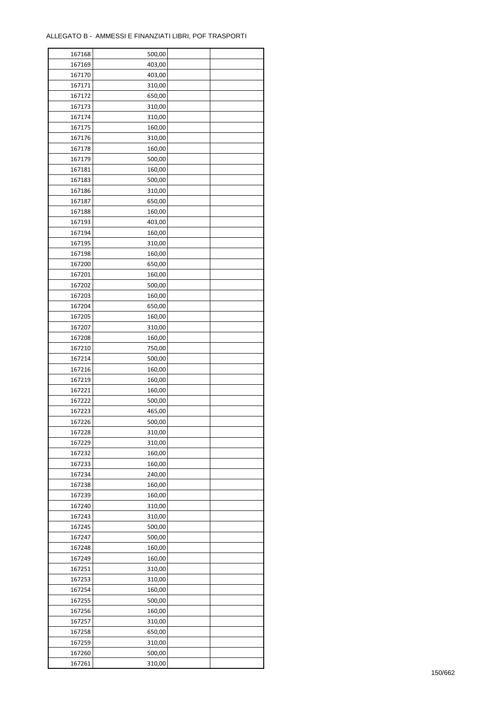| 167168 | 500,00 |  |
|--------|--------|--|
| 167169 | 403,00 |  |
| 167170 | 403,00 |  |
| 167171 | 310,00 |  |
| 167172 | 650,00 |  |
| 167173 | 310,00 |  |
| 167174 | 310,00 |  |
| 167175 | 160,00 |  |
| 167176 | 310,00 |  |
| 167178 | 160,00 |  |
| 167179 | 500,00 |  |
| 167181 | 160,00 |  |
| 167183 | 500,00 |  |
|        |        |  |
| 167186 | 310,00 |  |
| 167187 | 650,00 |  |
| 167188 | 160,00 |  |
| 167193 | 403,00 |  |
| 167194 | 160,00 |  |
| 167195 | 310,00 |  |
| 167198 | 160,00 |  |
| 167200 | 650,00 |  |
| 167201 | 160,00 |  |
| 167202 | 500,00 |  |
| 167203 | 160,00 |  |
| 167204 | 650,00 |  |
| 167205 | 160,00 |  |
| 167207 | 310,00 |  |
| 167208 | 160,00 |  |
| 167210 | 750,00 |  |
| 167214 | 500,00 |  |
| 167216 | 160,00 |  |
| 167219 | 160,00 |  |
| 167221 | 160,00 |  |
| 167222 | 500,00 |  |
| 167223 | 465,00 |  |
| 167226 | 500,00 |  |
| 167228 | 310,00 |  |
| 167229 | 310,00 |  |
| 167232 | 160,00 |  |
| 167233 | 160,00 |  |
| 167234 | 240,00 |  |
| 167238 | 160,00 |  |
| 167239 | 160,00 |  |
| 167240 | 310,00 |  |
| 167243 | 310,00 |  |
| 167245 | 500,00 |  |
| 167247 | 500,00 |  |
| 167248 | 160,00 |  |
| 167249 | 160,00 |  |
| 167251 | 310,00 |  |
| 167253 | 310,00 |  |
| 167254 | 160,00 |  |
| 167255 | 500,00 |  |
| 167256 | 160,00 |  |
| 167257 | 310,00 |  |
| 167258 | 650,00 |  |
| 167259 | 310,00 |  |
| 167260 | 500,00 |  |
|        |        |  |
| 167261 | 310,00 |  |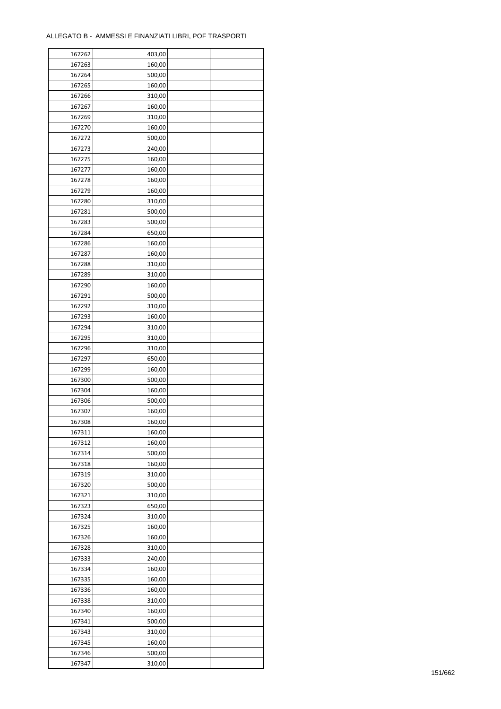| 167262 | 403,00 |  |
|--------|--------|--|
| 167263 | 160,00 |  |
| 167264 | 500,00 |  |
| 167265 | 160,00 |  |
| 167266 | 310,00 |  |
| 167267 | 160,00 |  |
| 167269 | 310,00 |  |
| 167270 | 160,00 |  |
| 167272 | 500,00 |  |
| 167273 | 240,00 |  |
|        |        |  |
| 167275 | 160,00 |  |
| 167277 | 160,00 |  |
| 167278 | 160,00 |  |
| 167279 | 160,00 |  |
| 167280 | 310,00 |  |
| 167281 | 500,00 |  |
| 167283 | 500,00 |  |
| 167284 | 650,00 |  |
| 167286 | 160,00 |  |
| 167287 | 160,00 |  |
| 167288 | 310,00 |  |
| 167289 | 310,00 |  |
| 167290 | 160,00 |  |
| 167291 | 500,00 |  |
| 167292 | 310,00 |  |
| 167293 | 160,00 |  |
| 167294 | 310,00 |  |
| 167295 | 310,00 |  |
| 167296 | 310,00 |  |
| 167297 | 650,00 |  |
| 167299 | 160,00 |  |
| 167300 | 500,00 |  |
| 167304 | 160,00 |  |
| 167306 | 500,00 |  |
| 167307 | 160,00 |  |
|        |        |  |
| 167308 | 160,00 |  |
| 167311 | 160,00 |  |
| 167312 | 160,00 |  |
| 167314 | 500,00 |  |
| 167318 | 160,00 |  |
| 167319 | 310,00 |  |
| 167320 | 500,00 |  |
| 167321 | 310,00 |  |
| 167323 | 650,00 |  |
| 167324 | 310,00 |  |
| 167325 | 160,00 |  |
| 167326 | 160,00 |  |
| 167328 | 310,00 |  |
| 167333 | 240,00 |  |
| 167334 | 160,00 |  |
| 167335 | 160,00 |  |
| 167336 | 160,00 |  |
| 167338 | 310,00 |  |
| 167340 | 160,00 |  |
| 167341 | 500,00 |  |
| 167343 | 310,00 |  |
|        |        |  |
| 167345 | 160,00 |  |
| 167346 | 500,00 |  |
| 167347 | 310,00 |  |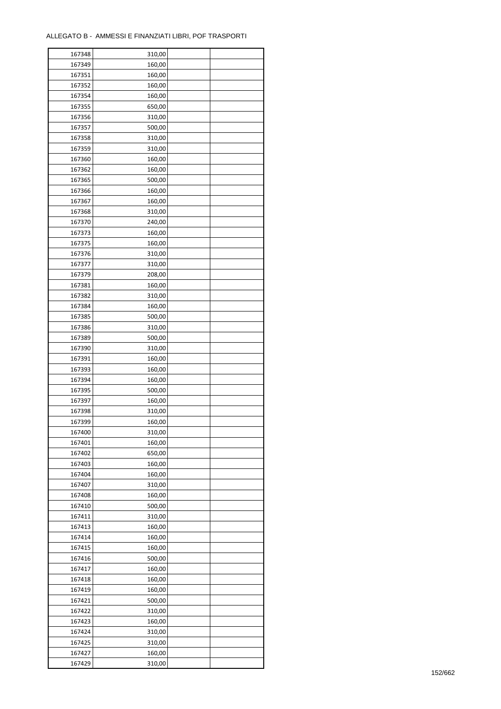| 167348 | 310,00 |  |
|--------|--------|--|
| 167349 | 160,00 |  |
| 167351 | 160,00 |  |
| 167352 | 160,00 |  |
| 167354 | 160,00 |  |
| 167355 | 650,00 |  |
| 167356 | 310,00 |  |
| 167357 | 500,00 |  |
| 167358 | 310,00 |  |
| 167359 | 310,00 |  |
| 167360 | 160,00 |  |
| 167362 | 160,00 |  |
| 167365 | 500,00 |  |
| 167366 | 160,00 |  |
|        |        |  |
| 167367 | 160,00 |  |
| 167368 | 310,00 |  |
| 167370 | 240,00 |  |
| 167373 | 160,00 |  |
| 167375 | 160,00 |  |
| 167376 | 310,00 |  |
| 167377 | 310,00 |  |
| 167379 | 208,00 |  |
| 167381 | 160,00 |  |
| 167382 | 310,00 |  |
| 167384 | 160,00 |  |
| 167385 | 500,00 |  |
| 167386 | 310,00 |  |
| 167389 | 500,00 |  |
| 167390 | 310,00 |  |
| 167391 | 160,00 |  |
| 167393 | 160,00 |  |
| 167394 | 160,00 |  |
| 167395 | 500,00 |  |
| 167397 | 160,00 |  |
| 167398 | 310,00 |  |
| 167399 | 160,00 |  |
| 167400 | 310,00 |  |
| 167401 | 160,00 |  |
| 167402 | 650,00 |  |
| 167403 | 160,00 |  |
| 167404 | 160,00 |  |
| 167407 | 310,00 |  |
| 167408 | 160,00 |  |
| 167410 | 500,00 |  |
| 167411 | 310,00 |  |
| 167413 | 160,00 |  |
| 167414 | 160,00 |  |
| 167415 | 160,00 |  |
| 167416 | 500,00 |  |
| 167417 | 160,00 |  |
| 167418 | 160,00 |  |
| 167419 | 160,00 |  |
| 167421 | 500,00 |  |
| 167422 | 310,00 |  |
| 167423 | 160,00 |  |
| 167424 | 310,00 |  |
| 167425 | 310,00 |  |
|        |        |  |
| 167427 | 160,00 |  |
| 167429 | 310,00 |  |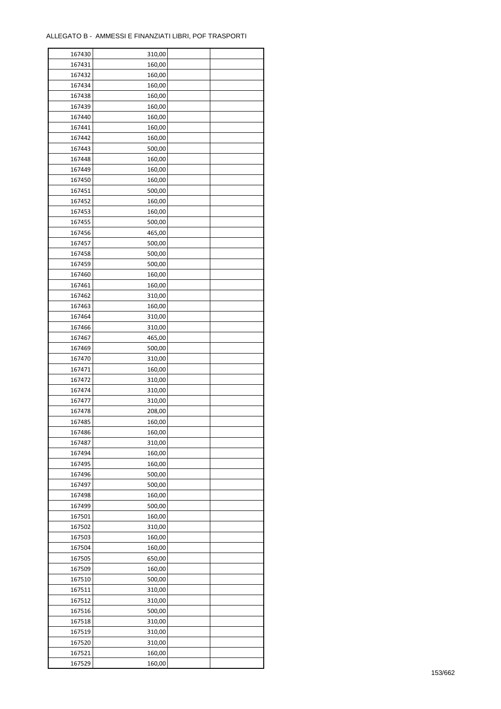| 167430 | 310,00 |  |
|--------|--------|--|
| 167431 | 160,00 |  |
| 167432 | 160,00 |  |
| 167434 | 160,00 |  |
| 167438 | 160,00 |  |
| 167439 | 160,00 |  |
| 167440 | 160,00 |  |
| 167441 | 160,00 |  |
| 167442 |        |  |
| 167443 | 160,00 |  |
|        | 500,00 |  |
| 167448 | 160,00 |  |
| 167449 | 160,00 |  |
| 167450 | 160,00 |  |
| 167451 | 500,00 |  |
| 167452 | 160,00 |  |
| 167453 | 160,00 |  |
| 167455 | 500,00 |  |
| 167456 | 465,00 |  |
| 167457 | 500,00 |  |
| 167458 | 500,00 |  |
| 167459 | 500,00 |  |
| 167460 | 160,00 |  |
| 167461 | 160,00 |  |
| 167462 | 310,00 |  |
| 167463 | 160,00 |  |
| 167464 | 310,00 |  |
| 167466 | 310,00 |  |
| 167467 | 465,00 |  |
| 167469 | 500,00 |  |
| 167470 | 310,00 |  |
| 167471 | 160,00 |  |
| 167472 | 310,00 |  |
| 167474 | 310,00 |  |
| 167477 | 310,00 |  |
| 167478 | 208,00 |  |
| 167485 | 160,00 |  |
|        |        |  |
| 167486 | 160,00 |  |
| 167487 | 310,00 |  |
| 167494 | 160,00 |  |
| 167495 | 160,00 |  |
| 167496 | 500,00 |  |
| 167497 | 500,00 |  |
| 167498 | 160,00 |  |
| 167499 | 500,00 |  |
| 167501 | 160,00 |  |
| 167502 | 310,00 |  |
| 167503 | 160,00 |  |
| 167504 | 160,00 |  |
| 167505 | 650,00 |  |
| 167509 | 160,00 |  |
| 167510 | 500,00 |  |
| 167511 | 310,00 |  |
| 167512 | 310,00 |  |
| 167516 | 500,00 |  |
| 167518 | 310,00 |  |
| 167519 | 310,00 |  |
| 167520 | 310,00 |  |
| 167521 | 160,00 |  |
| 167529 | 160,00 |  |
|        |        |  |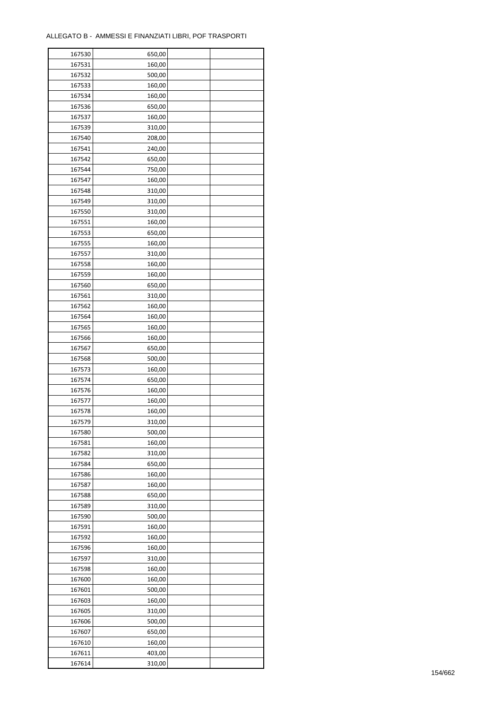| 167530 | 650,00 |  |
|--------|--------|--|
| 167531 | 160,00 |  |
| 167532 | 500,00 |  |
| 167533 | 160,00 |  |
| 167534 | 160,00 |  |
| 167536 | 650,00 |  |
| 167537 | 160,00 |  |
| 167539 | 310,00 |  |
| 167540 |        |  |
|        | 208,00 |  |
| 167541 | 240,00 |  |
| 167542 | 650,00 |  |
| 167544 | 750,00 |  |
| 167547 | 160,00 |  |
| 167548 | 310,00 |  |
| 167549 | 310,00 |  |
| 167550 | 310,00 |  |
| 167551 | 160,00 |  |
| 167553 | 650,00 |  |
| 167555 | 160,00 |  |
| 167557 | 310,00 |  |
| 167558 | 160,00 |  |
| 167559 | 160,00 |  |
| 167560 | 650,00 |  |
| 167561 | 310,00 |  |
| 167562 | 160,00 |  |
| 167564 | 160,00 |  |
| 167565 | 160,00 |  |
| 167566 | 160,00 |  |
| 167567 | 650,00 |  |
|        |        |  |
| 167568 | 500,00 |  |
| 167573 | 160,00 |  |
| 167574 | 650,00 |  |
| 167576 | 160,00 |  |
| 167577 | 160,00 |  |
| 167578 | 160,00 |  |
| 167579 | 310,00 |  |
| 167580 | 500,00 |  |
| 167581 | 160,00 |  |
| 167582 | 310,00 |  |
| 167584 | 650,00 |  |
| 167586 | 160,00 |  |
| 167587 | 160,00 |  |
| 167588 | 650,00 |  |
| 167589 | 310,00 |  |
| 167590 | 500,00 |  |
| 167591 | 160,00 |  |
| 167592 | 160,00 |  |
| 167596 | 160,00 |  |
| 167597 | 310,00 |  |
| 167598 | 160,00 |  |
| 167600 | 160,00 |  |
|        |        |  |
| 167601 | 500,00 |  |
| 167603 | 160,00 |  |
| 167605 | 310,00 |  |
| 167606 | 500,00 |  |
| 167607 | 650,00 |  |
| 167610 | 160,00 |  |
| 167611 | 403,00 |  |
| 167614 | 310,00 |  |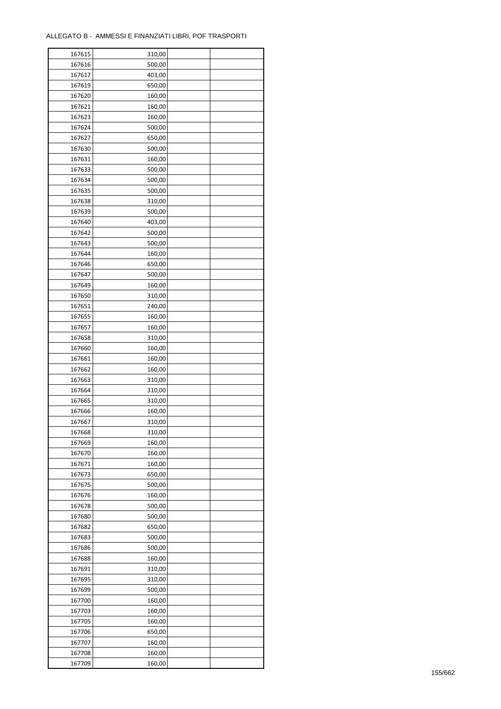| 167615 | 310,00           |  |
|--------|------------------|--|
| 167616 | 500,00           |  |
| 167617 | 403,00           |  |
| 167619 | 650,00           |  |
| 167620 | 160,00           |  |
| 167621 | 160,00           |  |
| 167623 | 160,00           |  |
| 167624 | 500,00           |  |
| 167627 | 650,00           |  |
| 167630 | 500,00           |  |
|        |                  |  |
| 167631 | 160,00           |  |
| 167633 | 500,00           |  |
| 167634 | 500,00           |  |
| 167635 | 500,00           |  |
| 167638 | 310,00           |  |
| 167639 | 500,00           |  |
| 167640 | 403,00           |  |
| 167642 | 500,00           |  |
| 167643 | 500,00           |  |
| 167644 | 160,00           |  |
| 167646 | 650,00           |  |
| 167647 | 500,00           |  |
| 167649 | 160,00           |  |
| 167650 | 310,00           |  |
| 167651 | 240,00           |  |
| 167655 | 160,00           |  |
| 167657 | 160,00           |  |
| 167658 | 310,00           |  |
| 167660 | 160,00           |  |
| 167661 | 160,00           |  |
| 167662 | 160,00           |  |
| 167663 | 310,00           |  |
| 167664 | 310,00           |  |
| 167665 |                  |  |
| 167666 | 310,00<br>160,00 |  |
|        |                  |  |
| 167667 | 310,00           |  |
| 167668 | 310,00           |  |
| 167669 | 160,00           |  |
| 167670 | 160,00           |  |
| 167671 | 160,00           |  |
| 167673 | 650,00           |  |
| 167675 | 500,00           |  |
| 167676 | 160,00           |  |
| 167678 | 500,00           |  |
| 167680 | 500,00           |  |
| 167682 | 650,00           |  |
| 167683 | 500,00           |  |
| 167686 | 500,00           |  |
| 167688 | 160,00           |  |
| 167691 | 310,00           |  |
| 167695 | 310,00           |  |
| 167699 | 500,00           |  |
| 167700 | 160,00           |  |
| 167703 | 160,00           |  |
| 167705 | 160,00           |  |
| 167706 | 650,00           |  |
|        |                  |  |
| 167707 | 160,00           |  |
| 167708 | 160,00           |  |
| 167709 | 160,00           |  |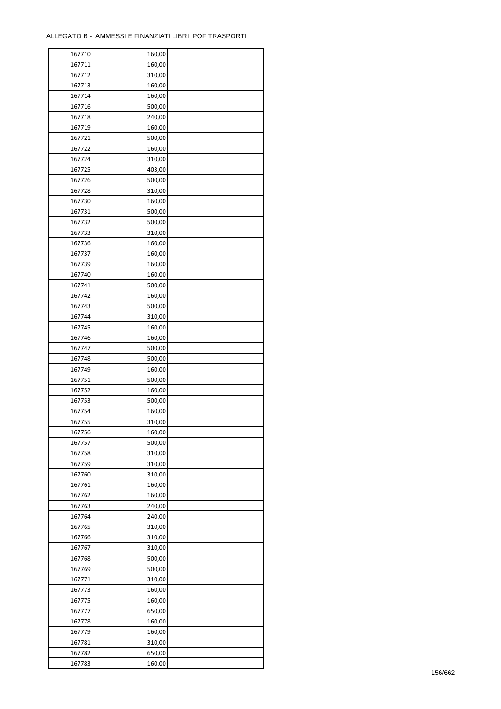| 167710 | 160,00 |  |
|--------|--------|--|
| 167711 | 160,00 |  |
| 167712 | 310,00 |  |
| 167713 | 160,00 |  |
| 167714 | 160,00 |  |
| 167716 | 500,00 |  |
| 167718 | 240,00 |  |
| 167719 | 160,00 |  |
| 167721 | 500,00 |  |
| 167722 | 160,00 |  |
| 167724 | 310,00 |  |
| 167725 | 403,00 |  |
| 167726 | 500,00 |  |
| 167728 | 310,00 |  |
|        |        |  |
| 167730 | 160,00 |  |
| 167731 | 500,00 |  |
| 167732 | 500,00 |  |
| 167733 | 310,00 |  |
| 167736 | 160,00 |  |
| 167737 | 160,00 |  |
| 167739 | 160,00 |  |
| 167740 | 160,00 |  |
| 167741 | 500,00 |  |
| 167742 | 160,00 |  |
| 167743 | 500,00 |  |
| 167744 | 310,00 |  |
| 167745 | 160,00 |  |
| 167746 | 160,00 |  |
| 167747 | 500,00 |  |
| 167748 | 500,00 |  |
| 167749 | 160,00 |  |
| 167751 | 500,00 |  |
| 167752 | 160,00 |  |
| 167753 | 500,00 |  |
| 167754 | 160,00 |  |
| 167755 | 310,00 |  |
| 167756 | 160,00 |  |
| 167757 | 500,00 |  |
| 167758 | 310,00 |  |
| 167759 | 310,00 |  |
| 167760 | 310,00 |  |
| 167761 | 160,00 |  |
| 167762 | 160,00 |  |
| 167763 | 240,00 |  |
| 167764 | 240,00 |  |
| 167765 | 310,00 |  |
| 167766 | 310,00 |  |
| 167767 | 310,00 |  |
| 167768 | 500,00 |  |
| 167769 | 500,00 |  |
| 167771 | 310,00 |  |
| 167773 | 160,00 |  |
| 167775 | 160,00 |  |
| 167777 | 650,00 |  |
| 167778 | 160,00 |  |
| 167779 | 160,00 |  |
| 167781 | 310,00 |  |
| 167782 | 650,00 |  |
| 167783 |        |  |
|        | 160,00 |  |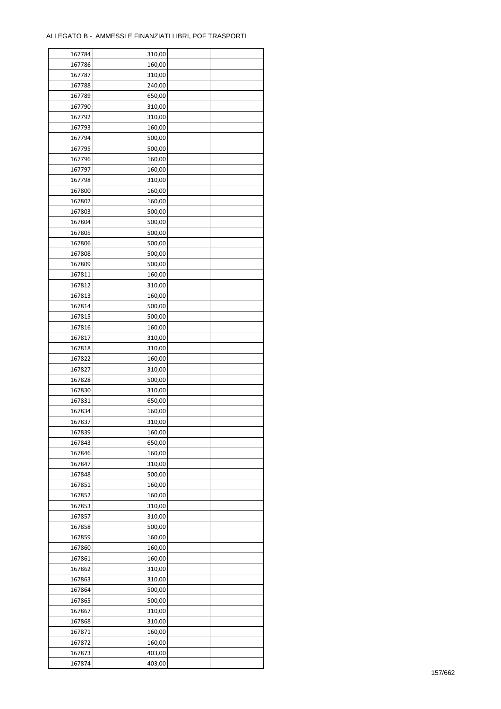| 167784 | 310,00 |  |
|--------|--------|--|
| 167786 | 160,00 |  |
| 167787 | 310,00 |  |
| 167788 | 240,00 |  |
| 167789 | 650,00 |  |
| 167790 | 310,00 |  |
| 167792 | 310,00 |  |
| 167793 | 160,00 |  |
| 167794 | 500,00 |  |
|        |        |  |
| 167795 | 500,00 |  |
| 167796 | 160,00 |  |
| 167797 | 160,00 |  |
| 167798 | 310,00 |  |
| 167800 | 160,00 |  |
| 167802 | 160,00 |  |
| 167803 | 500,00 |  |
| 167804 | 500,00 |  |
| 167805 | 500,00 |  |
| 167806 | 500,00 |  |
| 167808 | 500,00 |  |
| 167809 | 500,00 |  |
| 167811 | 160,00 |  |
| 167812 | 310,00 |  |
| 167813 | 160,00 |  |
| 167814 | 500,00 |  |
| 167815 | 500,00 |  |
| 167816 | 160,00 |  |
| 167817 | 310,00 |  |
| 167818 | 310,00 |  |
| 167822 | 160,00 |  |
| 167827 |        |  |
|        | 310,00 |  |
| 167828 | 500,00 |  |
| 167830 | 310,00 |  |
| 167831 | 650,00 |  |
| 167834 | 160,00 |  |
| 167837 | 310,00 |  |
| 167839 | 160,00 |  |
| 167843 | 650,00 |  |
| 167846 | 160,00 |  |
| 167847 | 310,00 |  |
| 167848 | 500,00 |  |
| 167851 | 160,00 |  |
| 167852 | 160,00 |  |
| 167853 | 310,00 |  |
| 167857 | 310,00 |  |
| 167858 | 500,00 |  |
| 167859 | 160,00 |  |
| 167860 | 160,00 |  |
| 167861 | 160,00 |  |
| 167862 | 310,00 |  |
| 167863 | 310,00 |  |
| 167864 | 500,00 |  |
| 167865 | 500,00 |  |
|        |        |  |
| 167867 | 310,00 |  |
| 167868 | 310,00 |  |
| 167871 | 160,00 |  |
| 167872 | 160,00 |  |
| 167873 | 403,00 |  |
| 167874 | 403,00 |  |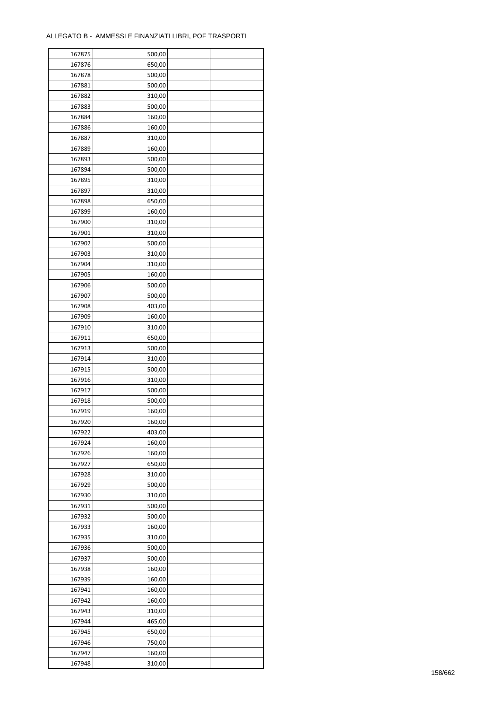| 167875 | 500,00 |  |
|--------|--------|--|
| 167876 | 650,00 |  |
| 167878 | 500,00 |  |
| 167881 | 500,00 |  |
| 167882 | 310,00 |  |
| 167883 | 500,00 |  |
| 167884 | 160,00 |  |
| 167886 | 160,00 |  |
| 167887 | 310,00 |  |
| 167889 | 160,00 |  |
|        |        |  |
| 167893 | 500,00 |  |
| 167894 | 500,00 |  |
| 167895 | 310,00 |  |
| 167897 | 310,00 |  |
| 167898 | 650,00 |  |
| 167899 | 160,00 |  |
| 167900 | 310,00 |  |
| 167901 | 310,00 |  |
| 167902 | 500,00 |  |
| 167903 | 310,00 |  |
| 167904 | 310,00 |  |
| 167905 | 160,00 |  |
| 167906 | 500,00 |  |
| 167907 | 500,00 |  |
| 167908 | 403,00 |  |
| 167909 | 160,00 |  |
| 167910 | 310,00 |  |
| 167911 | 650,00 |  |
| 167913 | 500,00 |  |
| 167914 | 310,00 |  |
| 167915 | 500,00 |  |
| 167916 | 310,00 |  |
| 167917 | 500,00 |  |
| 167918 | 500,00 |  |
| 167919 | 160,00 |  |
| 167920 | 160,00 |  |
| 167922 | 403,00 |  |
| 167924 | 160,00 |  |
| 167926 | 160,00 |  |
| 167927 | 650,00 |  |
| 167928 | 310,00 |  |
| 167929 | 500,00 |  |
|        |        |  |
| 167930 | 310,00 |  |
| 167931 | 500,00 |  |
| 167932 | 500,00 |  |
| 167933 | 160,00 |  |
| 167935 | 310,00 |  |
| 167936 | 500,00 |  |
| 167937 | 500,00 |  |
| 167938 | 160,00 |  |
| 167939 | 160,00 |  |
| 167941 | 160,00 |  |
| 167942 | 160,00 |  |
| 167943 | 310,00 |  |
| 167944 | 465,00 |  |
| 167945 | 650,00 |  |
| 167946 | 750,00 |  |
| 167947 | 160,00 |  |
| 167948 | 310,00 |  |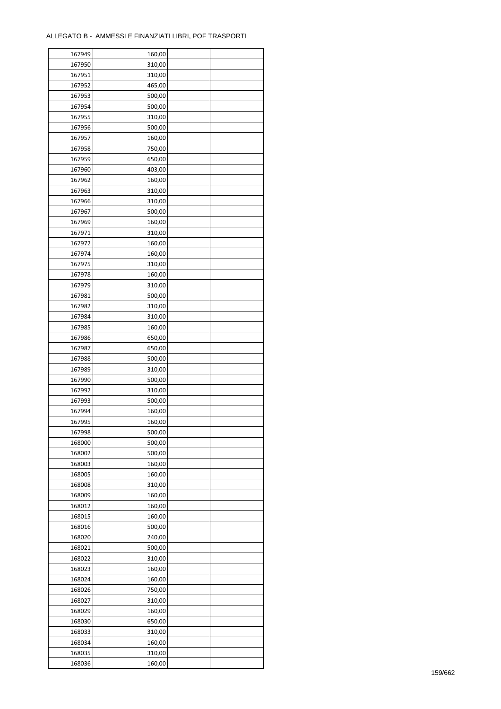| 167949 | 160,00 |  |
|--------|--------|--|
| 167950 | 310,00 |  |
| 167951 | 310,00 |  |
| 167952 | 465,00 |  |
| 167953 | 500,00 |  |
| 167954 | 500,00 |  |
| 167955 | 310,00 |  |
| 167956 | 500,00 |  |
| 167957 | 160,00 |  |
| 167958 | 750,00 |  |
| 167959 | 650,00 |  |
| 167960 | 403,00 |  |
| 167962 | 160,00 |  |
| 167963 |        |  |
|        | 310,00 |  |
| 167966 | 310,00 |  |
| 167967 | 500,00 |  |
| 167969 | 160,00 |  |
| 167971 | 310,00 |  |
| 167972 | 160,00 |  |
| 167974 | 160,00 |  |
| 167975 | 310,00 |  |
| 167978 | 160,00 |  |
| 167979 | 310,00 |  |
| 167981 | 500,00 |  |
| 167982 | 310,00 |  |
| 167984 | 310,00 |  |
| 167985 | 160,00 |  |
| 167986 | 650,00 |  |
| 167987 | 650,00 |  |
| 167988 | 500,00 |  |
| 167989 | 310,00 |  |
| 167990 | 500,00 |  |
| 167992 | 310,00 |  |
| 167993 | 500,00 |  |
| 167994 | 160,00 |  |
| 167995 | 160,00 |  |
| 167998 | 500,00 |  |
| 168000 | 500,00 |  |
| 168002 | 500,00 |  |
| 168003 | 160,00 |  |
| 168005 | 160,00 |  |
| 168008 | 310,00 |  |
| 168009 | 160,00 |  |
| 168012 |        |  |
| 168015 | 160,00 |  |
|        | 160,00 |  |
| 168016 | 500,00 |  |
| 168020 | 240,00 |  |
| 168021 | 500,00 |  |
| 168022 | 310,00 |  |
| 168023 | 160,00 |  |
| 168024 | 160,00 |  |
| 168026 | 750,00 |  |
| 168027 | 310,00 |  |
| 168029 | 160,00 |  |
| 168030 | 650,00 |  |
| 168033 | 310,00 |  |
| 168034 | 160,00 |  |
| 168035 | 310,00 |  |
| 168036 | 160,00 |  |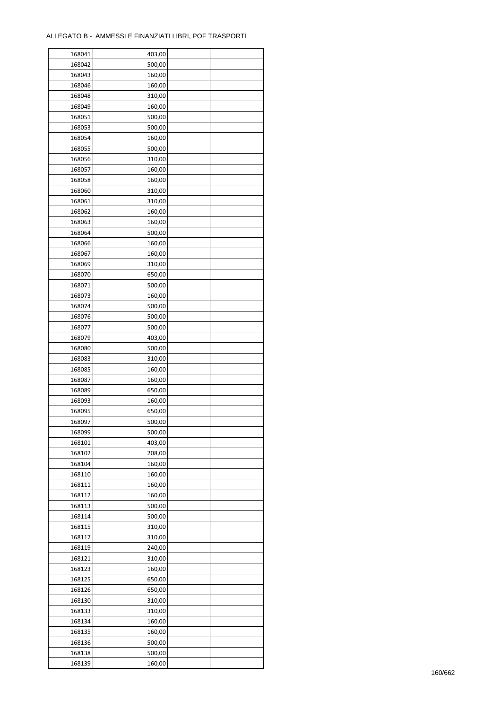| 168041 | 403,00 |  |
|--------|--------|--|
| 168042 | 500,00 |  |
| 168043 | 160,00 |  |
| 168046 | 160,00 |  |
| 168048 | 310,00 |  |
| 168049 | 160,00 |  |
| 168051 | 500,00 |  |
| 168053 | 500,00 |  |
| 168054 | 160,00 |  |
| 168055 | 500,00 |  |
| 168056 |        |  |
| 168057 | 310,00 |  |
|        | 160,00 |  |
| 168058 | 160,00 |  |
| 168060 | 310,00 |  |
| 168061 | 310,00 |  |
| 168062 | 160,00 |  |
| 168063 | 160,00 |  |
| 168064 | 500,00 |  |
| 168066 | 160,00 |  |
| 168067 | 160,00 |  |
| 168069 | 310,00 |  |
| 168070 | 650,00 |  |
| 168071 | 500,00 |  |
| 168073 | 160,00 |  |
| 168074 | 500,00 |  |
| 168076 | 500,00 |  |
| 168077 | 500,00 |  |
| 168079 | 403,00 |  |
| 168080 | 500,00 |  |
| 168083 | 310,00 |  |
| 168085 | 160,00 |  |
| 168087 | 160,00 |  |
|        |        |  |
| 168089 | 650,00 |  |
| 168093 | 160,00 |  |
| 168095 | 650,00 |  |
| 168097 | 500,00 |  |
| 168099 | 500,00 |  |
| 168101 | 403,00 |  |
| 168102 | 208,00 |  |
| 168104 | 160,00 |  |
| 168110 | 160,00 |  |
| 168111 | 160,00 |  |
| 168112 | 160,00 |  |
| 168113 | 500,00 |  |
| 168114 | 500,00 |  |
| 168115 | 310,00 |  |
| 168117 | 310,00 |  |
| 168119 | 240,00 |  |
| 168121 | 310,00 |  |
| 168123 | 160,00 |  |
| 168125 | 650,00 |  |
| 168126 | 650,00 |  |
| 168130 | 310,00 |  |
| 168133 | 310,00 |  |
|        |        |  |
| 168134 | 160,00 |  |
| 168135 | 160,00 |  |
| 168136 | 500,00 |  |
| 168138 | 500,00 |  |
| 168139 | 160,00 |  |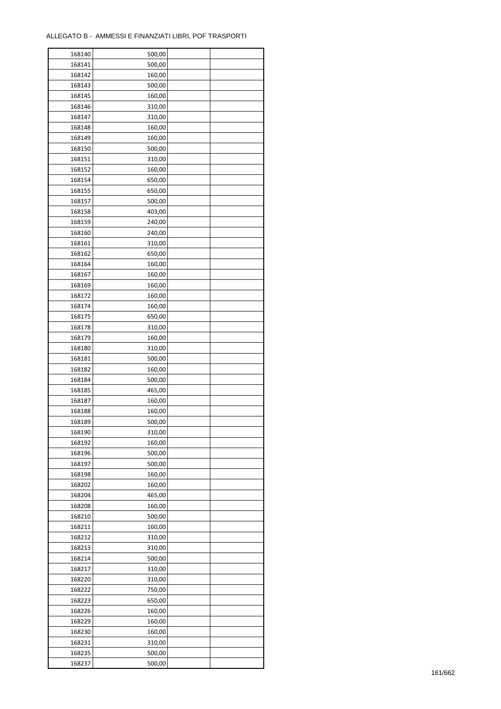| 168141<br>500,00<br>168142<br>160,00<br>168143<br>500,00<br>168145<br>160,00<br>168146<br>310,00<br>168147<br>310,00<br>168148<br>160,00<br>168149<br>160,00<br>168150<br>500,00<br>168151<br>310,00<br>168152<br>160,00<br>168154<br>650,00<br>168155<br>650,00<br>168157<br>500,00<br>168158<br>403,00<br>168159<br>240,00<br>240,00<br>168160<br>168161<br>310,00<br>168162<br>650,00<br>168164<br>160,00<br>168167<br>160,00<br>168169<br>160,00<br>168172<br>160,00<br>168174<br>160,00<br>168175<br>650,00<br>168178<br>310,00<br>168179<br>160,00<br>168180<br>310,00<br>168181<br>500,00<br>160,00<br>168182<br>168184<br>500,00<br>168185<br>465,00<br>168187<br>160,00<br>168188<br>160,00<br>168189<br>500,00<br>168190<br>310,00<br>168192<br>160,00<br>500,00<br>168196<br>168197<br>500,00<br>168198<br>160,00<br>168202<br>160,00<br>168204<br>465,00<br>168208<br>160,00<br>168210<br>500,00<br>168211<br>160,00<br>168212<br>310,00<br>168213<br>310,00<br>168214<br>500,00<br>168217<br>310,00<br>168220<br>310,00<br>168222<br>750,00<br>168223<br>650,00<br>168226<br>160,00<br>168229<br>160,00<br>168230<br>160,00<br>168231<br>310,00<br>168235<br>500,00<br>168237<br>500,00 | 168140 | 500,00 |  |
|------------------------------------------------------------------------------------------------------------------------------------------------------------------------------------------------------------------------------------------------------------------------------------------------------------------------------------------------------------------------------------------------------------------------------------------------------------------------------------------------------------------------------------------------------------------------------------------------------------------------------------------------------------------------------------------------------------------------------------------------------------------------------------------------------------------------------------------------------------------------------------------------------------------------------------------------------------------------------------------------------------------------------------------------------------------------------------------------------------------------------------------------------------------------------------------------------|--------|--------|--|
|                                                                                                                                                                                                                                                                                                                                                                                                                                                                                                                                                                                                                                                                                                                                                                                                                                                                                                                                                                                                                                                                                                                                                                                                      |        |        |  |
|                                                                                                                                                                                                                                                                                                                                                                                                                                                                                                                                                                                                                                                                                                                                                                                                                                                                                                                                                                                                                                                                                                                                                                                                      |        |        |  |
|                                                                                                                                                                                                                                                                                                                                                                                                                                                                                                                                                                                                                                                                                                                                                                                                                                                                                                                                                                                                                                                                                                                                                                                                      |        |        |  |
|                                                                                                                                                                                                                                                                                                                                                                                                                                                                                                                                                                                                                                                                                                                                                                                                                                                                                                                                                                                                                                                                                                                                                                                                      |        |        |  |
|                                                                                                                                                                                                                                                                                                                                                                                                                                                                                                                                                                                                                                                                                                                                                                                                                                                                                                                                                                                                                                                                                                                                                                                                      |        |        |  |
|                                                                                                                                                                                                                                                                                                                                                                                                                                                                                                                                                                                                                                                                                                                                                                                                                                                                                                                                                                                                                                                                                                                                                                                                      |        |        |  |
|                                                                                                                                                                                                                                                                                                                                                                                                                                                                                                                                                                                                                                                                                                                                                                                                                                                                                                                                                                                                                                                                                                                                                                                                      |        |        |  |
|                                                                                                                                                                                                                                                                                                                                                                                                                                                                                                                                                                                                                                                                                                                                                                                                                                                                                                                                                                                                                                                                                                                                                                                                      |        |        |  |
|                                                                                                                                                                                                                                                                                                                                                                                                                                                                                                                                                                                                                                                                                                                                                                                                                                                                                                                                                                                                                                                                                                                                                                                                      |        |        |  |
|                                                                                                                                                                                                                                                                                                                                                                                                                                                                                                                                                                                                                                                                                                                                                                                                                                                                                                                                                                                                                                                                                                                                                                                                      |        |        |  |
|                                                                                                                                                                                                                                                                                                                                                                                                                                                                                                                                                                                                                                                                                                                                                                                                                                                                                                                                                                                                                                                                                                                                                                                                      |        |        |  |
|                                                                                                                                                                                                                                                                                                                                                                                                                                                                                                                                                                                                                                                                                                                                                                                                                                                                                                                                                                                                                                                                                                                                                                                                      |        |        |  |
|                                                                                                                                                                                                                                                                                                                                                                                                                                                                                                                                                                                                                                                                                                                                                                                                                                                                                                                                                                                                                                                                                                                                                                                                      |        |        |  |
|                                                                                                                                                                                                                                                                                                                                                                                                                                                                                                                                                                                                                                                                                                                                                                                                                                                                                                                                                                                                                                                                                                                                                                                                      |        |        |  |
|                                                                                                                                                                                                                                                                                                                                                                                                                                                                                                                                                                                                                                                                                                                                                                                                                                                                                                                                                                                                                                                                                                                                                                                                      |        |        |  |
|                                                                                                                                                                                                                                                                                                                                                                                                                                                                                                                                                                                                                                                                                                                                                                                                                                                                                                                                                                                                                                                                                                                                                                                                      |        |        |  |
|                                                                                                                                                                                                                                                                                                                                                                                                                                                                                                                                                                                                                                                                                                                                                                                                                                                                                                                                                                                                                                                                                                                                                                                                      |        |        |  |
|                                                                                                                                                                                                                                                                                                                                                                                                                                                                                                                                                                                                                                                                                                                                                                                                                                                                                                                                                                                                                                                                                                                                                                                                      |        |        |  |
|                                                                                                                                                                                                                                                                                                                                                                                                                                                                                                                                                                                                                                                                                                                                                                                                                                                                                                                                                                                                                                                                                                                                                                                                      |        |        |  |
|                                                                                                                                                                                                                                                                                                                                                                                                                                                                                                                                                                                                                                                                                                                                                                                                                                                                                                                                                                                                                                                                                                                                                                                                      |        |        |  |
|                                                                                                                                                                                                                                                                                                                                                                                                                                                                                                                                                                                                                                                                                                                                                                                                                                                                                                                                                                                                                                                                                                                                                                                                      |        |        |  |
|                                                                                                                                                                                                                                                                                                                                                                                                                                                                                                                                                                                                                                                                                                                                                                                                                                                                                                                                                                                                                                                                                                                                                                                                      |        |        |  |
|                                                                                                                                                                                                                                                                                                                                                                                                                                                                                                                                                                                                                                                                                                                                                                                                                                                                                                                                                                                                                                                                                                                                                                                                      |        |        |  |
|                                                                                                                                                                                                                                                                                                                                                                                                                                                                                                                                                                                                                                                                                                                                                                                                                                                                                                                                                                                                                                                                                                                                                                                                      |        |        |  |
|                                                                                                                                                                                                                                                                                                                                                                                                                                                                                                                                                                                                                                                                                                                                                                                                                                                                                                                                                                                                                                                                                                                                                                                                      |        |        |  |
|                                                                                                                                                                                                                                                                                                                                                                                                                                                                                                                                                                                                                                                                                                                                                                                                                                                                                                                                                                                                                                                                                                                                                                                                      |        |        |  |
|                                                                                                                                                                                                                                                                                                                                                                                                                                                                                                                                                                                                                                                                                                                                                                                                                                                                                                                                                                                                                                                                                                                                                                                                      |        |        |  |
|                                                                                                                                                                                                                                                                                                                                                                                                                                                                                                                                                                                                                                                                                                                                                                                                                                                                                                                                                                                                                                                                                                                                                                                                      |        |        |  |
|                                                                                                                                                                                                                                                                                                                                                                                                                                                                                                                                                                                                                                                                                                                                                                                                                                                                                                                                                                                                                                                                                                                                                                                                      |        |        |  |
|                                                                                                                                                                                                                                                                                                                                                                                                                                                                                                                                                                                                                                                                                                                                                                                                                                                                                                                                                                                                                                                                                                                                                                                                      |        |        |  |
|                                                                                                                                                                                                                                                                                                                                                                                                                                                                                                                                                                                                                                                                                                                                                                                                                                                                                                                                                                                                                                                                                                                                                                                                      |        |        |  |
|                                                                                                                                                                                                                                                                                                                                                                                                                                                                                                                                                                                                                                                                                                                                                                                                                                                                                                                                                                                                                                                                                                                                                                                                      |        |        |  |
|                                                                                                                                                                                                                                                                                                                                                                                                                                                                                                                                                                                                                                                                                                                                                                                                                                                                                                                                                                                                                                                                                                                                                                                                      |        |        |  |
|                                                                                                                                                                                                                                                                                                                                                                                                                                                                                                                                                                                                                                                                                                                                                                                                                                                                                                                                                                                                                                                                                                                                                                                                      |        |        |  |
|                                                                                                                                                                                                                                                                                                                                                                                                                                                                                                                                                                                                                                                                                                                                                                                                                                                                                                                                                                                                                                                                                                                                                                                                      |        |        |  |
|                                                                                                                                                                                                                                                                                                                                                                                                                                                                                                                                                                                                                                                                                                                                                                                                                                                                                                                                                                                                                                                                                                                                                                                                      |        |        |  |
|                                                                                                                                                                                                                                                                                                                                                                                                                                                                                                                                                                                                                                                                                                                                                                                                                                                                                                                                                                                                                                                                                                                                                                                                      |        |        |  |
|                                                                                                                                                                                                                                                                                                                                                                                                                                                                                                                                                                                                                                                                                                                                                                                                                                                                                                                                                                                                                                                                                                                                                                                                      |        |        |  |
|                                                                                                                                                                                                                                                                                                                                                                                                                                                                                                                                                                                                                                                                                                                                                                                                                                                                                                                                                                                                                                                                                                                                                                                                      |        |        |  |
|                                                                                                                                                                                                                                                                                                                                                                                                                                                                                                                                                                                                                                                                                                                                                                                                                                                                                                                                                                                                                                                                                                                                                                                                      |        |        |  |
|                                                                                                                                                                                                                                                                                                                                                                                                                                                                                                                                                                                                                                                                                                                                                                                                                                                                                                                                                                                                                                                                                                                                                                                                      |        |        |  |
|                                                                                                                                                                                                                                                                                                                                                                                                                                                                                                                                                                                                                                                                                                                                                                                                                                                                                                                                                                                                                                                                                                                                                                                                      |        |        |  |
|                                                                                                                                                                                                                                                                                                                                                                                                                                                                                                                                                                                                                                                                                                                                                                                                                                                                                                                                                                                                                                                                                                                                                                                                      |        |        |  |
|                                                                                                                                                                                                                                                                                                                                                                                                                                                                                                                                                                                                                                                                                                                                                                                                                                                                                                                                                                                                                                                                                                                                                                                                      |        |        |  |
|                                                                                                                                                                                                                                                                                                                                                                                                                                                                                                                                                                                                                                                                                                                                                                                                                                                                                                                                                                                                                                                                                                                                                                                                      |        |        |  |
|                                                                                                                                                                                                                                                                                                                                                                                                                                                                                                                                                                                                                                                                                                                                                                                                                                                                                                                                                                                                                                                                                                                                                                                                      |        |        |  |
|                                                                                                                                                                                                                                                                                                                                                                                                                                                                                                                                                                                                                                                                                                                                                                                                                                                                                                                                                                                                                                                                                                                                                                                                      |        |        |  |
|                                                                                                                                                                                                                                                                                                                                                                                                                                                                                                                                                                                                                                                                                                                                                                                                                                                                                                                                                                                                                                                                                                                                                                                                      |        |        |  |
|                                                                                                                                                                                                                                                                                                                                                                                                                                                                                                                                                                                                                                                                                                                                                                                                                                                                                                                                                                                                                                                                                                                                                                                                      |        |        |  |
|                                                                                                                                                                                                                                                                                                                                                                                                                                                                                                                                                                                                                                                                                                                                                                                                                                                                                                                                                                                                                                                                                                                                                                                                      |        |        |  |
|                                                                                                                                                                                                                                                                                                                                                                                                                                                                                                                                                                                                                                                                                                                                                                                                                                                                                                                                                                                                                                                                                                                                                                                                      |        |        |  |
|                                                                                                                                                                                                                                                                                                                                                                                                                                                                                                                                                                                                                                                                                                                                                                                                                                                                                                                                                                                                                                                                                                                                                                                                      |        |        |  |
|                                                                                                                                                                                                                                                                                                                                                                                                                                                                                                                                                                                                                                                                                                                                                                                                                                                                                                                                                                                                                                                                                                                                                                                                      |        |        |  |
|                                                                                                                                                                                                                                                                                                                                                                                                                                                                                                                                                                                                                                                                                                                                                                                                                                                                                                                                                                                                                                                                                                                                                                                                      |        |        |  |
|                                                                                                                                                                                                                                                                                                                                                                                                                                                                                                                                                                                                                                                                                                                                                                                                                                                                                                                                                                                                                                                                                                                                                                                                      |        |        |  |
|                                                                                                                                                                                                                                                                                                                                                                                                                                                                                                                                                                                                                                                                                                                                                                                                                                                                                                                                                                                                                                                                                                                                                                                                      |        |        |  |
|                                                                                                                                                                                                                                                                                                                                                                                                                                                                                                                                                                                                                                                                                                                                                                                                                                                                                                                                                                                                                                                                                                                                                                                                      |        |        |  |
|                                                                                                                                                                                                                                                                                                                                                                                                                                                                                                                                                                                                                                                                                                                                                                                                                                                                                                                                                                                                                                                                                                                                                                                                      |        |        |  |
|                                                                                                                                                                                                                                                                                                                                                                                                                                                                                                                                                                                                                                                                                                                                                                                                                                                                                                                                                                                                                                                                                                                                                                                                      |        |        |  |
|                                                                                                                                                                                                                                                                                                                                                                                                                                                                                                                                                                                                                                                                                                                                                                                                                                                                                                                                                                                                                                                                                                                                                                                                      |        |        |  |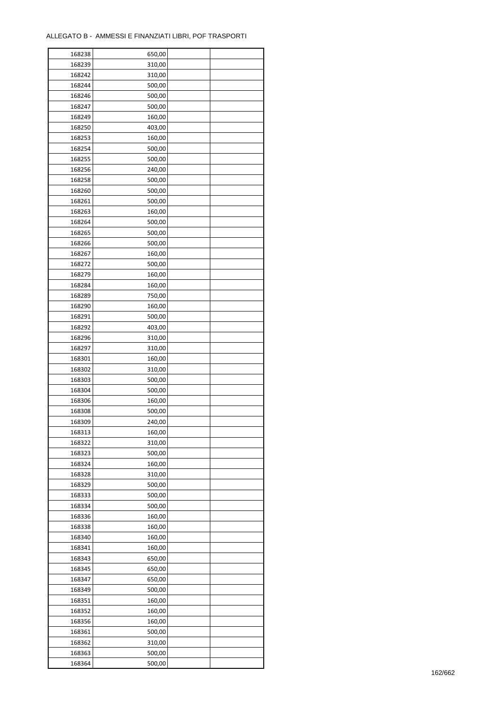| 168238 | 650,00 |  |
|--------|--------|--|
| 168239 | 310,00 |  |
| 168242 | 310,00 |  |
| 168244 | 500,00 |  |
| 168246 | 500,00 |  |
| 168247 | 500,00 |  |
| 168249 | 160,00 |  |
| 168250 | 403,00 |  |
| 168253 | 160,00 |  |
| 168254 | 500,00 |  |
| 168255 | 500,00 |  |
| 168256 | 240,00 |  |
| 168258 | 500,00 |  |
|        |        |  |
| 168260 | 500,00 |  |
| 168261 | 500,00 |  |
| 168263 | 160,00 |  |
| 168264 | 500,00 |  |
| 168265 | 500,00 |  |
| 168266 | 500,00 |  |
| 168267 | 160,00 |  |
| 168272 | 500,00 |  |
| 168279 | 160,00 |  |
| 168284 | 160,00 |  |
| 168289 | 750,00 |  |
| 168290 | 160,00 |  |
| 168291 | 500,00 |  |
| 168292 | 403,00 |  |
| 168296 | 310,00 |  |
| 168297 | 310,00 |  |
| 168301 | 160,00 |  |
| 168302 | 310,00 |  |
| 168303 | 500,00 |  |
| 168304 | 500,00 |  |
| 168306 | 160,00 |  |
| 168308 | 500,00 |  |
| 168309 | 240,00 |  |
| 168313 | 160,00 |  |
| 168322 | 310,00 |  |
| 168323 | 500,00 |  |
| 168324 | 160,00 |  |
| 168328 | 310,00 |  |
| 168329 | 500,00 |  |
| 168333 | 500,00 |  |
| 168334 | 500,00 |  |
| 168336 | 160,00 |  |
| 168338 | 160,00 |  |
| 168340 | 160,00 |  |
| 168341 | 160,00 |  |
| 168343 | 650,00 |  |
| 168345 | 650,00 |  |
| 168347 | 650,00 |  |
| 168349 | 500,00 |  |
| 168351 | 160,00 |  |
| 168352 | 160,00 |  |
| 168356 | 160,00 |  |
| 168361 | 500,00 |  |
| 168362 | 310,00 |  |
| 168363 | 500,00 |  |
| 168364 | 500,00 |  |
|        |        |  |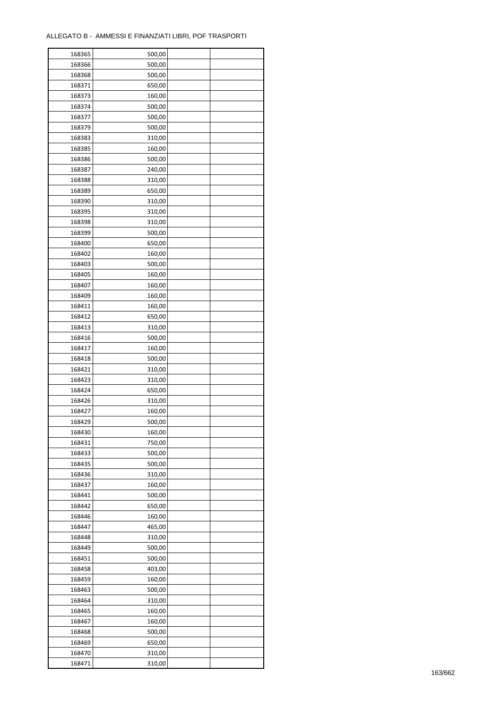| 168365 | 500,00 |  |
|--------|--------|--|
| 168366 | 500,00 |  |
| 168368 | 500,00 |  |
| 168371 | 650,00 |  |
| 168373 | 160,00 |  |
| 168374 | 500,00 |  |
| 168377 | 500,00 |  |
| 168379 | 500,00 |  |
| 168383 | 310,00 |  |
| 168385 | 160,00 |  |
| 168386 | 500,00 |  |
| 168387 | 240,00 |  |
| 168388 | 310,00 |  |
| 168389 | 650,00 |  |
| 168390 | 310,00 |  |
| 168395 | 310,00 |  |
| 168398 | 310,00 |  |
| 168399 | 500,00 |  |
| 168400 | 650,00 |  |
| 168402 | 160,00 |  |
| 168403 | 500,00 |  |
| 168405 | 160,00 |  |
| 168407 | 160,00 |  |
| 168409 | 160,00 |  |
| 168411 | 160,00 |  |
| 168412 | 650,00 |  |
| 168413 | 310,00 |  |
| 168416 | 500,00 |  |
| 168417 | 160,00 |  |
| 168418 | 500,00 |  |
| 168421 | 310,00 |  |
| 168423 | 310,00 |  |
| 168424 | 650,00 |  |
| 168426 | 310,00 |  |
| 168427 | 160,00 |  |
| 168429 | 500,00 |  |
| 168430 | 160,00 |  |
| 168431 | 750,00 |  |
| 168433 | 500,00 |  |
| 168435 | 500,00 |  |
| 168436 | 310,00 |  |
| 168437 | 160,00 |  |
| 168441 | 500,00 |  |
| 168442 | 650,00 |  |
| 168446 | 160,00 |  |
| 168447 | 465,00 |  |
| 168448 | 310,00 |  |
| 168449 | 500,00 |  |
| 168451 | 500,00 |  |
| 168458 | 403,00 |  |
| 168459 | 160,00 |  |
| 168463 | 500,00 |  |
| 168464 | 310,00 |  |
| 168465 | 160,00 |  |
| 168467 | 160,00 |  |
| 168468 | 500,00 |  |
| 168469 | 650,00 |  |
| 168470 | 310,00 |  |
| 168471 | 310,00 |  |
|        |        |  |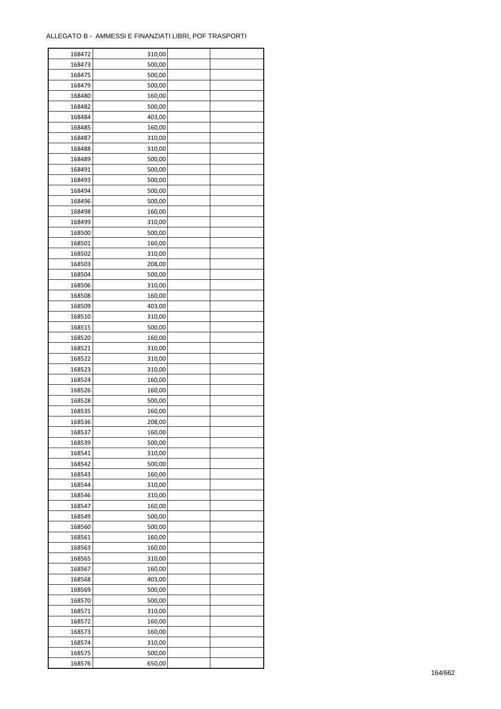| 168472 | 310,00 |  |
|--------|--------|--|
| 168473 | 500,00 |  |
| 168475 | 500,00 |  |
| 168479 | 500,00 |  |
| 168480 | 160,00 |  |
| 168482 | 500,00 |  |
| 168484 | 403,00 |  |
| 168485 | 160,00 |  |
| 168487 | 310,00 |  |
| 168488 | 310,00 |  |
| 168489 | 500,00 |  |
| 168491 | 500,00 |  |
|        | 500,00 |  |
| 168493 |        |  |
| 168494 | 500,00 |  |
| 168496 | 500,00 |  |
| 168498 | 160,00 |  |
| 168499 | 310,00 |  |
| 168500 | 500,00 |  |
| 168501 | 160,00 |  |
| 168502 | 310,00 |  |
| 168503 | 208,00 |  |
| 168504 | 500,00 |  |
| 168506 | 310,00 |  |
| 168508 | 160,00 |  |
| 168509 | 403,00 |  |
| 168510 | 310,00 |  |
| 168515 | 500,00 |  |
| 168520 | 160,00 |  |
| 168521 | 310,00 |  |
| 168522 | 310,00 |  |
| 168523 | 310,00 |  |
| 168524 | 160,00 |  |
| 168526 | 160,00 |  |
| 168528 | 500,00 |  |
| 168535 | 160,00 |  |
| 168536 | 208,00 |  |
| 168537 | 160,00 |  |
| 168539 | 500,00 |  |
| 168541 | 310,00 |  |
| 168542 | 500,00 |  |
|        |        |  |
| 168543 | 160,00 |  |
| 168544 | 310,00 |  |
| 168546 | 310,00 |  |
| 168547 | 160,00 |  |
| 168549 | 500,00 |  |
| 168560 | 500,00 |  |
| 168561 | 160,00 |  |
| 168563 | 160,00 |  |
| 168565 | 310,00 |  |
| 168567 | 160,00 |  |
| 168568 | 403,00 |  |
| 168569 | 500,00 |  |
| 168570 | 500,00 |  |
| 168571 | 310,00 |  |
| 168572 | 160,00 |  |
| 168573 | 160,00 |  |
| 168574 | 310,00 |  |
| 168575 | 500,00 |  |
| 168576 | 650,00 |  |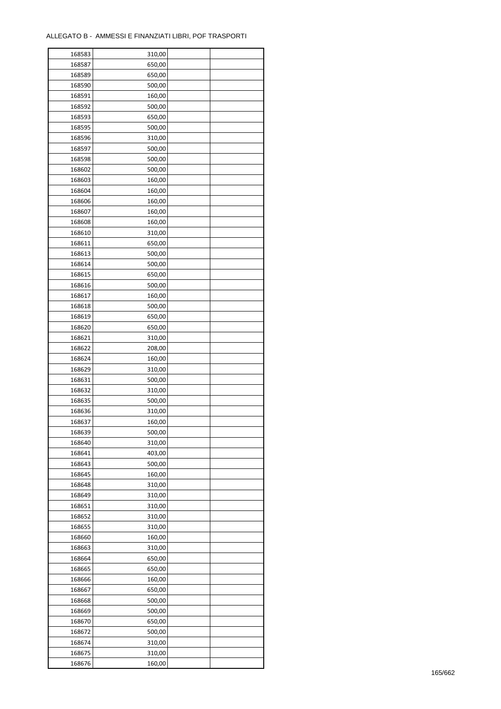| 168583 | 310,00 |  |
|--------|--------|--|
| 168587 | 650,00 |  |
| 168589 | 650,00 |  |
| 168590 | 500,00 |  |
| 168591 | 160,00 |  |
| 168592 | 500,00 |  |
| 168593 | 650,00 |  |
| 168595 | 500,00 |  |
| 168596 | 310,00 |  |
| 168597 | 500,00 |  |
| 168598 | 500,00 |  |
| 168602 |        |  |
|        | 500,00 |  |
| 168603 | 160,00 |  |
| 168604 | 160,00 |  |
| 168606 | 160,00 |  |
| 168607 | 160,00 |  |
| 168608 | 160,00 |  |
| 168610 | 310,00 |  |
| 168611 | 650,00 |  |
| 168613 | 500,00 |  |
| 168614 | 500,00 |  |
| 168615 | 650,00 |  |
| 168616 | 500,00 |  |
| 168617 | 160,00 |  |
| 168618 | 500,00 |  |
| 168619 | 650,00 |  |
| 168620 | 650,00 |  |
| 168621 | 310,00 |  |
| 168622 | 208,00 |  |
| 168624 | 160,00 |  |
| 168629 | 310,00 |  |
| 168631 |        |  |
|        | 500,00 |  |
| 168632 | 310,00 |  |
| 168635 | 500,00 |  |
| 168636 | 310,00 |  |
| 168637 | 160,00 |  |
| 168639 | 500,00 |  |
| 168640 | 310,00 |  |
| 168641 | 403,00 |  |
| 168643 | 500,00 |  |
| 168645 | 160,00 |  |
| 168648 | 310,00 |  |
| 168649 | 310,00 |  |
| 168651 | 310,00 |  |
| 168652 | 310,00 |  |
| 168655 | 310,00 |  |
| 168660 | 160,00 |  |
| 168663 | 310,00 |  |
| 168664 | 650,00 |  |
| 168665 | 650,00 |  |
| 168666 | 160,00 |  |
| 168667 | 650,00 |  |
| 168668 | 500,00 |  |
|        |        |  |
| 168669 | 500,00 |  |
| 168670 | 650,00 |  |
| 168672 | 500,00 |  |
| 168674 | 310,00 |  |
| 168675 | 310,00 |  |
| 168676 | 160,00 |  |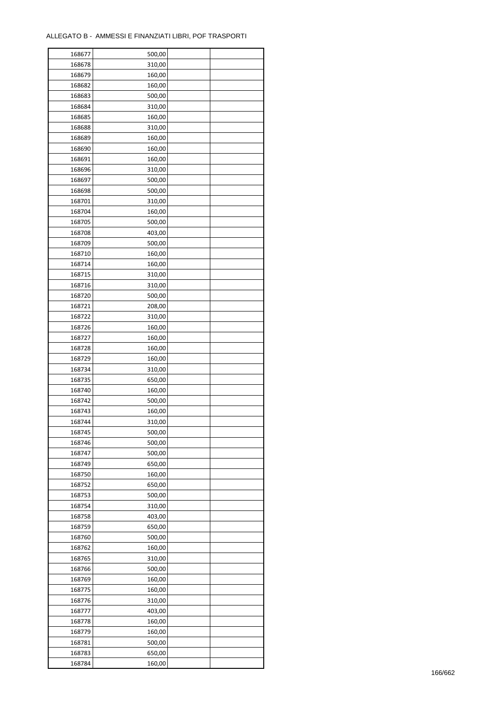| 168677 | 500,00 |  |
|--------|--------|--|
| 168678 | 310,00 |  |
| 168679 | 160,00 |  |
| 168682 | 160,00 |  |
| 168683 | 500,00 |  |
| 168684 | 310,00 |  |
| 168685 | 160,00 |  |
| 168688 | 310,00 |  |
| 168689 | 160,00 |  |
|        |        |  |
| 168690 | 160,00 |  |
| 168691 | 160,00 |  |
| 168696 | 310,00 |  |
| 168697 | 500,00 |  |
| 168698 | 500,00 |  |
| 168701 | 310,00 |  |
| 168704 | 160,00 |  |
| 168705 | 500,00 |  |
| 168708 | 403,00 |  |
| 168709 | 500,00 |  |
| 168710 | 160,00 |  |
| 168714 | 160,00 |  |
| 168715 | 310,00 |  |
| 168716 | 310,00 |  |
| 168720 | 500,00 |  |
| 168721 | 208,00 |  |
| 168722 | 310,00 |  |
| 168726 | 160,00 |  |
| 168727 | 160,00 |  |
| 168728 | 160,00 |  |
| 168729 | 160,00 |  |
|        |        |  |
| 168734 | 310,00 |  |
| 168735 | 650,00 |  |
| 168740 | 160,00 |  |
| 168742 | 500,00 |  |
| 168743 | 160,00 |  |
| 168744 | 310,00 |  |
| 168745 | 500,00 |  |
| 168746 | 500,00 |  |
| 168747 | 500,00 |  |
| 168749 | 650,00 |  |
| 168750 | 160,00 |  |
| 168752 | 650,00 |  |
| 168753 | 500,00 |  |
| 168754 | 310,00 |  |
| 168758 | 403,00 |  |
| 168759 | 650,00 |  |
| 168760 | 500,00 |  |
| 168762 | 160,00 |  |
| 168765 | 310,00 |  |
| 168766 | 500,00 |  |
| 168769 | 160,00 |  |
| 168775 | 160,00 |  |
| 168776 | 310,00 |  |
|        |        |  |
| 168777 | 403,00 |  |
| 168778 | 160,00 |  |
| 168779 | 160,00 |  |
| 168781 | 500,00 |  |
| 168783 | 650,00 |  |
| 168784 | 160,00 |  |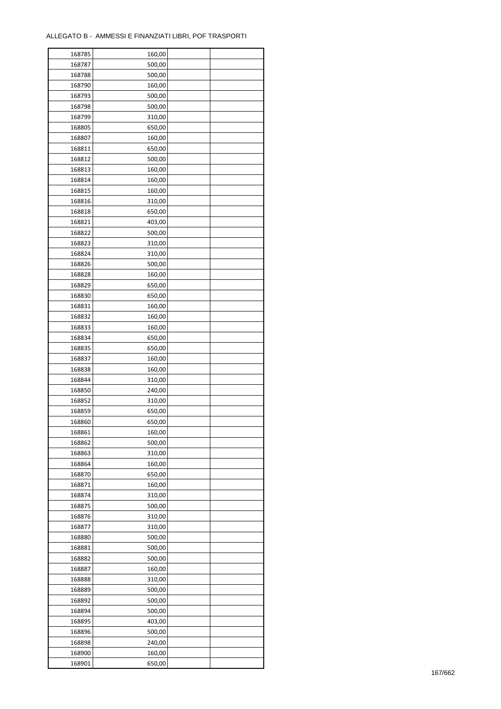| 168785 | 160,00 |  |
|--------|--------|--|
| 168787 | 500,00 |  |
| 168788 | 500,00 |  |
| 168790 | 160,00 |  |
| 168793 | 500,00 |  |
| 168798 | 500,00 |  |
| 168799 | 310,00 |  |
| 168805 | 650,00 |  |
| 168807 | 160,00 |  |
| 168811 | 650,00 |  |
| 168812 | 500,00 |  |
| 168813 | 160,00 |  |
| 168814 | 160,00 |  |
| 168815 | 160,00 |  |
| 168816 | 310,00 |  |
| 168818 | 650,00 |  |
| 168821 | 403,00 |  |
| 168822 | 500,00 |  |
| 168823 | 310,00 |  |
| 168824 | 310,00 |  |
| 168826 |        |  |
|        | 500,00 |  |
| 168828 | 160,00 |  |
| 168829 | 650,00 |  |
| 168830 | 650,00 |  |
| 168831 | 160,00 |  |
| 168832 | 160,00 |  |
| 168833 | 160,00 |  |
| 168834 | 650,00 |  |
| 168835 | 650,00 |  |
| 168837 | 160,00 |  |
| 168838 | 160,00 |  |
| 168844 | 310,00 |  |
| 168850 | 240,00 |  |
| 168852 | 310,00 |  |
| 168859 | 650,00 |  |
| 168860 | 650,00 |  |
| 168861 | 160,00 |  |
| 168862 | 500,00 |  |
| 168863 | 310,00 |  |
| 168864 | 160,00 |  |
| 168870 | 650,00 |  |
| 168871 | 160,00 |  |
| 168874 | 310,00 |  |
| 168875 | 500,00 |  |
| 168876 | 310,00 |  |
| 168877 | 310,00 |  |
| 168880 | 500,00 |  |
| 168881 | 500,00 |  |
| 168882 | 500,00 |  |
| 168887 | 160,00 |  |
| 168888 | 310,00 |  |
| 168889 | 500,00 |  |
| 168892 | 500,00 |  |
| 168894 | 500,00 |  |
| 168895 | 403,00 |  |
| 168896 | 500,00 |  |
| 168898 | 240,00 |  |
| 168900 | 160,00 |  |
| 168901 | 650,00 |  |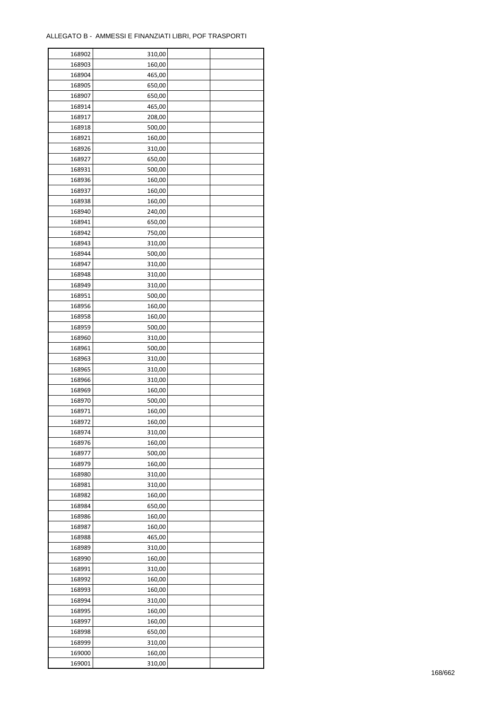| 168902 | 310,00 |  |
|--------|--------|--|
| 168903 | 160,00 |  |
| 168904 | 465,00 |  |
| 168905 | 650,00 |  |
| 168907 | 650,00 |  |
| 168914 | 465,00 |  |
| 168917 | 208,00 |  |
| 168918 | 500,00 |  |
| 168921 | 160,00 |  |
| 168926 | 310,00 |  |
| 168927 | 650,00 |  |
| 168931 | 500,00 |  |
| 168936 |        |  |
|        | 160,00 |  |
| 168937 | 160,00 |  |
| 168938 | 160,00 |  |
| 168940 | 240,00 |  |
| 168941 | 650,00 |  |
| 168942 | 750,00 |  |
| 168943 | 310,00 |  |
| 168944 | 500,00 |  |
| 168947 | 310,00 |  |
| 168948 | 310,00 |  |
| 168949 | 310,00 |  |
| 168951 | 500,00 |  |
| 168956 | 160,00 |  |
| 168958 | 160,00 |  |
| 168959 | 500,00 |  |
| 168960 | 310,00 |  |
| 168961 | 500,00 |  |
| 168963 | 310,00 |  |
| 168965 | 310,00 |  |
| 168966 | 310,00 |  |
| 168969 | 160,00 |  |
| 168970 | 500,00 |  |
| 168971 | 160,00 |  |
| 168972 | 160,00 |  |
| 168974 | 310,00 |  |
| 168976 | 160,00 |  |
| 168977 | 500,00 |  |
| 168979 | 160,00 |  |
| 168980 | 310,00 |  |
| 168981 | 310,00 |  |
| 168982 | 160,00 |  |
| 168984 | 650,00 |  |
| 168986 | 160,00 |  |
| 168987 | 160,00 |  |
| 168988 | 465,00 |  |
| 168989 | 310,00 |  |
| 168990 | 160,00 |  |
| 168991 | 310,00 |  |
| 168992 | 160,00 |  |
| 168993 | 160,00 |  |
| 168994 | 310,00 |  |
| 168995 | 160,00 |  |
| 168997 | 160,00 |  |
| 168998 | 650,00 |  |
| 168999 | 310,00 |  |
|        |        |  |
| 169000 | 160,00 |  |
| 169001 | 310,00 |  |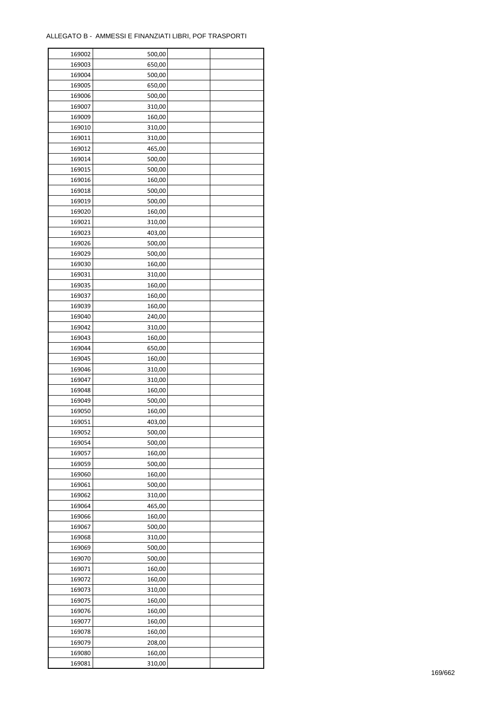| 169002 | 500,00 |  |
|--------|--------|--|
| 169003 | 650,00 |  |
| 169004 | 500,00 |  |
| 169005 | 650,00 |  |
| 169006 | 500,00 |  |
| 169007 | 310,00 |  |
| 169009 | 160,00 |  |
| 169010 | 310,00 |  |
| 169011 | 310,00 |  |
| 169012 | 465,00 |  |
| 169014 | 500,00 |  |
| 169015 | 500,00 |  |
| 169016 | 160,00 |  |
| 169018 | 500,00 |  |
|        |        |  |
| 169019 | 500,00 |  |
| 169020 | 160,00 |  |
| 169021 | 310,00 |  |
| 169023 | 403,00 |  |
| 169026 | 500,00 |  |
| 169029 | 500,00 |  |
| 169030 | 160,00 |  |
| 169031 | 310,00 |  |
| 169035 | 160,00 |  |
| 169037 | 160,00 |  |
| 169039 | 160,00 |  |
| 169040 | 240,00 |  |
| 169042 | 310,00 |  |
| 169043 | 160,00 |  |
| 169044 | 650,00 |  |
| 169045 | 160,00 |  |
| 169046 | 310,00 |  |
| 169047 | 310,00 |  |
| 169048 | 160,00 |  |
| 169049 | 500,00 |  |
| 169050 | 160,00 |  |
| 169051 | 403,00 |  |
| 169052 | 500,00 |  |
| 169054 | 500,00 |  |
| 169057 | 160,00 |  |
| 169059 | 500,00 |  |
| 169060 | 160,00 |  |
| 169061 | 500,00 |  |
| 169062 | 310,00 |  |
| 169064 | 465,00 |  |
| 169066 | 160,00 |  |
| 169067 | 500,00 |  |
| 169068 | 310,00 |  |
| 169069 | 500,00 |  |
| 169070 | 500,00 |  |
| 169071 | 160,00 |  |
| 169072 | 160,00 |  |
| 169073 | 310,00 |  |
| 169075 | 160,00 |  |
| 169076 | 160,00 |  |
| 169077 | 160,00 |  |
| 169078 | 160,00 |  |
| 169079 | 208,00 |  |
|        |        |  |
| 169080 | 160,00 |  |
| 169081 | 310,00 |  |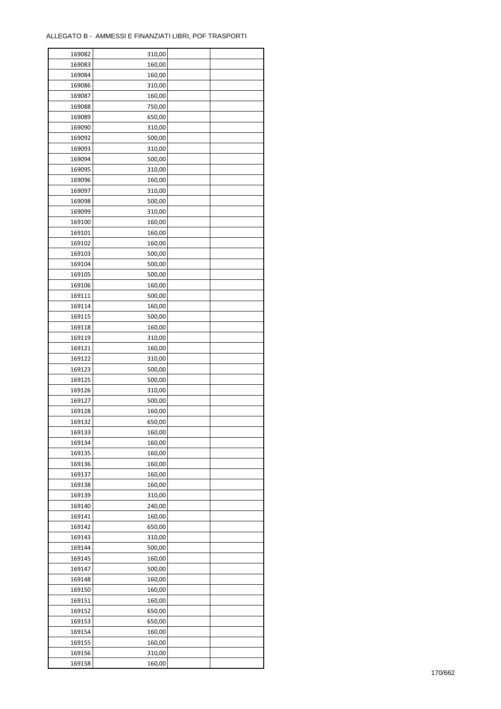ř

| 169082 | 310,00 |  |
|--------|--------|--|
| 169083 | 160,00 |  |
| 169084 | 160,00 |  |
| 169086 | 310,00 |  |
| 169087 | 160,00 |  |
| 169088 | 750,00 |  |
| 169089 | 650,00 |  |
| 169090 | 310,00 |  |
| 169092 | 500,00 |  |
| 169093 | 310,00 |  |
| 169094 | 500,00 |  |
| 169095 | 310,00 |  |
| 169096 |        |  |
| 169097 | 160,00 |  |
|        | 310,00 |  |
| 169098 | 500,00 |  |
| 169099 | 310,00 |  |
| 169100 | 160,00 |  |
| 169101 | 160,00 |  |
| 169102 | 160,00 |  |
| 169103 | 500,00 |  |
| 169104 | 500,00 |  |
| 169105 | 500,00 |  |
| 169106 | 160,00 |  |
| 169111 | 500,00 |  |
| 169114 | 160,00 |  |
| 169115 | 500,00 |  |
| 169118 | 160,00 |  |
| 169119 | 310,00 |  |
| 169121 | 160,00 |  |
| 169122 | 310,00 |  |
| 169123 | 500,00 |  |
| 169125 | 500,00 |  |
| 169126 | 310,00 |  |
| 169127 | 500,00 |  |
| 169128 | 160,00 |  |
| 169132 | 650,00 |  |
| 169133 | 160,00 |  |
| 169134 | 160,00 |  |
| 169135 | 160,00 |  |
| 169136 | 160,00 |  |
| 169137 | 160,00 |  |
| 169138 | 160,00 |  |
| 169139 | 310,00 |  |
| 169140 | 240,00 |  |
| 169141 | 160,00 |  |
| 169142 | 650,00 |  |
| 169143 | 310,00 |  |
| 169144 | 500,00 |  |
| 169145 | 160,00 |  |
| 169147 | 500,00 |  |
| 169148 | 160,00 |  |
| 169150 | 160,00 |  |
| 169151 | 160,00 |  |
| 169152 | 650,00 |  |
| 169153 | 650,00 |  |
| 169154 | 160,00 |  |
| 169155 | 160,00 |  |
| 169156 | 310,00 |  |
| 169158 | 160,00 |  |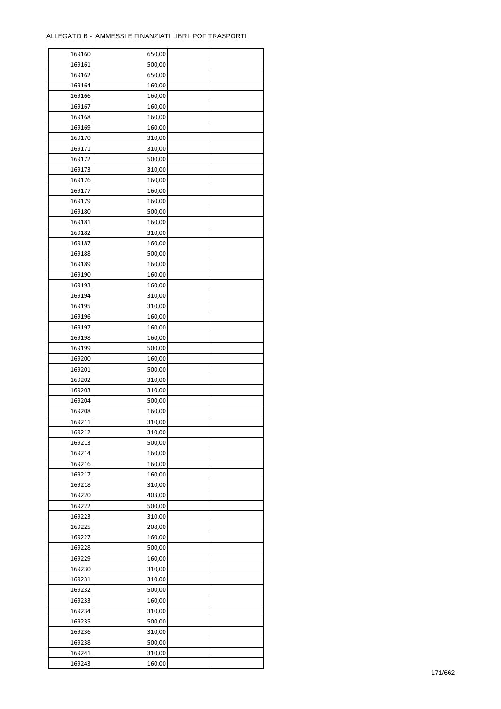| 169160 | 650,00 |  |
|--------|--------|--|
| 169161 | 500,00 |  |
| 169162 | 650,00 |  |
| 169164 | 160,00 |  |
| 169166 | 160,00 |  |
| 169167 | 160,00 |  |
| 169168 | 160,00 |  |
| 169169 | 160,00 |  |
| 169170 | 310,00 |  |
|        |        |  |
| 169171 | 310,00 |  |
| 169172 | 500,00 |  |
| 169173 | 310,00 |  |
| 169176 | 160,00 |  |
| 169177 | 160,00 |  |
| 169179 | 160,00 |  |
| 169180 | 500,00 |  |
| 169181 | 160,00 |  |
| 169182 | 310,00 |  |
| 169187 | 160,00 |  |
| 169188 | 500,00 |  |
| 169189 | 160,00 |  |
| 169190 | 160,00 |  |
| 169193 | 160,00 |  |
| 169194 | 310,00 |  |
| 169195 | 310,00 |  |
| 169196 | 160,00 |  |
| 169197 | 160,00 |  |
| 169198 | 160,00 |  |
| 169199 | 500,00 |  |
| 169200 | 160,00 |  |
| 169201 | 500,00 |  |
|        |        |  |
| 169202 | 310,00 |  |
| 169203 | 310,00 |  |
| 169204 | 500,00 |  |
| 169208 | 160,00 |  |
| 169211 | 310,00 |  |
| 169212 | 310,00 |  |
| 169213 | 500,00 |  |
| 169214 | 160,00 |  |
| 169216 | 160,00 |  |
| 169217 | 160,00 |  |
| 169218 | 310,00 |  |
| 169220 | 403,00 |  |
| 169222 | 500,00 |  |
| 169223 | 310,00 |  |
| 169225 | 208,00 |  |
| 169227 | 160,00 |  |
| 169228 | 500,00 |  |
| 169229 | 160,00 |  |
| 169230 | 310,00 |  |
| 169231 | 310,00 |  |
| 169232 | 500,00 |  |
| 169233 | 160,00 |  |
|        |        |  |
| 169234 | 310,00 |  |
| 169235 | 500,00 |  |
| 169236 | 310,00 |  |
| 169238 | 500,00 |  |
| 169241 | 310,00 |  |
| 169243 | 160,00 |  |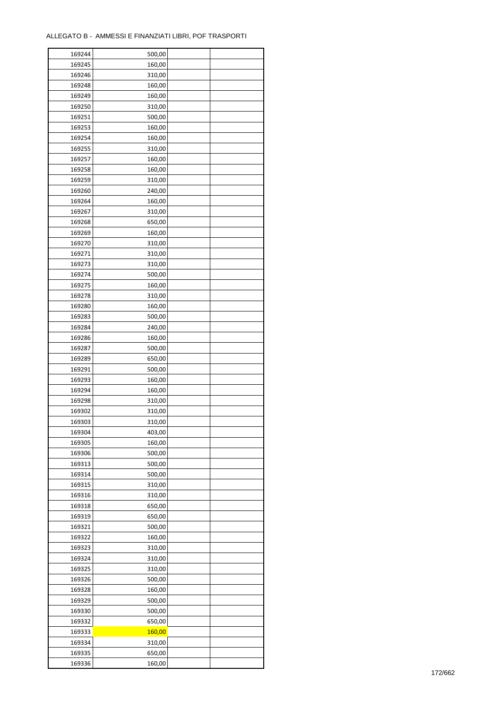| 169244 | 500,00 |  |
|--------|--------|--|
| 169245 | 160,00 |  |
| 169246 | 310,00 |  |
| 169248 | 160,00 |  |
| 169249 | 160,00 |  |
| 169250 | 310,00 |  |
| 169251 | 500,00 |  |
| 169253 | 160,00 |  |
| 169254 | 160,00 |  |
| 169255 | 310,00 |  |
| 169257 | 160,00 |  |
| 169258 | 160,00 |  |
| 169259 | 310,00 |  |
|        |        |  |
| 169260 | 240,00 |  |
| 169264 | 160,00 |  |
| 169267 | 310,00 |  |
| 169268 | 650,00 |  |
| 169269 | 160,00 |  |
| 169270 | 310,00 |  |
| 169271 | 310,00 |  |
| 169273 | 310,00 |  |
| 169274 | 500,00 |  |
| 169275 | 160,00 |  |
| 169278 | 310,00 |  |
| 169280 | 160,00 |  |
| 169283 | 500,00 |  |
| 169284 | 240,00 |  |
| 169286 | 160,00 |  |
| 169287 | 500,00 |  |
| 169289 | 650,00 |  |
| 169291 | 500,00 |  |
| 169293 | 160,00 |  |
| 169294 | 160,00 |  |
| 169298 | 310,00 |  |
| 169302 | 310,00 |  |
| 169303 | 310,00 |  |
| 169304 | 403,00 |  |
| 169305 | 160,00 |  |
| 169306 | 500,00 |  |
| 169313 | 500,00 |  |
| 169314 | 500,00 |  |
| 169315 | 310,00 |  |
| 169316 | 310,00 |  |
| 169318 | 650,00 |  |
| 169319 | 650,00 |  |
| 169321 | 500,00 |  |
| 169322 | 160,00 |  |
| 169323 | 310,00 |  |
| 169324 | 310,00 |  |
| 169325 | 310,00 |  |
| 169326 | 500,00 |  |
| 169328 | 160,00 |  |
| 169329 | 500,00 |  |
| 169330 | 500,00 |  |
| 169332 | 650,00 |  |
| 169333 | 160,00 |  |
| 169334 | 310,00 |  |
|        |        |  |
| 169335 | 650,00 |  |
| 169336 | 160,00 |  |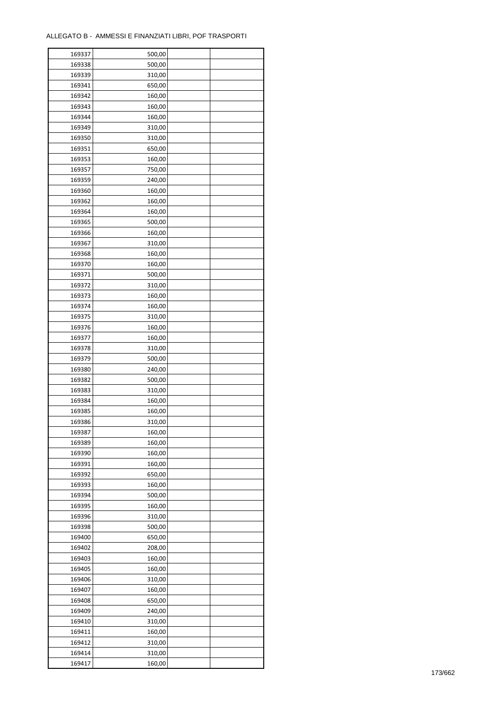| 169337 | 500,00 |  |
|--------|--------|--|
| 169338 | 500,00 |  |
| 169339 | 310,00 |  |
| 169341 | 650,00 |  |
| 169342 | 160,00 |  |
| 169343 | 160,00 |  |
| 169344 | 160,00 |  |
| 169349 | 310,00 |  |
|        | 310,00 |  |
| 169350 |        |  |
| 169351 | 650,00 |  |
| 169353 | 160,00 |  |
| 169357 | 750,00 |  |
| 169359 | 240,00 |  |
| 169360 | 160,00 |  |
| 169362 | 160,00 |  |
| 169364 | 160,00 |  |
| 169365 | 500,00 |  |
| 169366 | 160,00 |  |
| 169367 | 310,00 |  |
| 169368 | 160,00 |  |
| 169370 | 160,00 |  |
| 169371 | 500,00 |  |
| 169372 | 310,00 |  |
| 169373 | 160,00 |  |
| 169374 | 160,00 |  |
| 169375 | 310,00 |  |
| 169376 | 160,00 |  |
|        |        |  |
| 169377 | 160,00 |  |
| 169378 | 310,00 |  |
| 169379 | 500,00 |  |
| 169380 | 240,00 |  |
| 169382 | 500,00 |  |
| 169383 | 310,00 |  |
| 169384 | 160,00 |  |
| 169385 | 160,00 |  |
| 169386 | 310,00 |  |
| 169387 | 160,00 |  |
| 169389 | 160,00 |  |
| 169390 | 160,00 |  |
| 169391 | 160,00 |  |
| 169392 | 650,00 |  |
| 169393 | 160,00 |  |
| 169394 | 500,00 |  |
| 169395 | 160,00 |  |
| 169396 | 310,00 |  |
| 169398 | 500,00 |  |
| 169400 | 650,00 |  |
|        |        |  |
| 169402 | 208,00 |  |
| 169403 | 160,00 |  |
| 169405 | 160,00 |  |
| 169406 | 310,00 |  |
| 169407 | 160,00 |  |
| 169408 | 650,00 |  |
| 169409 | 240,00 |  |
| 169410 | 310,00 |  |
| 169411 | 160,00 |  |
| 169412 | 310,00 |  |
| 169414 | 310,00 |  |
| 169417 | 160,00 |  |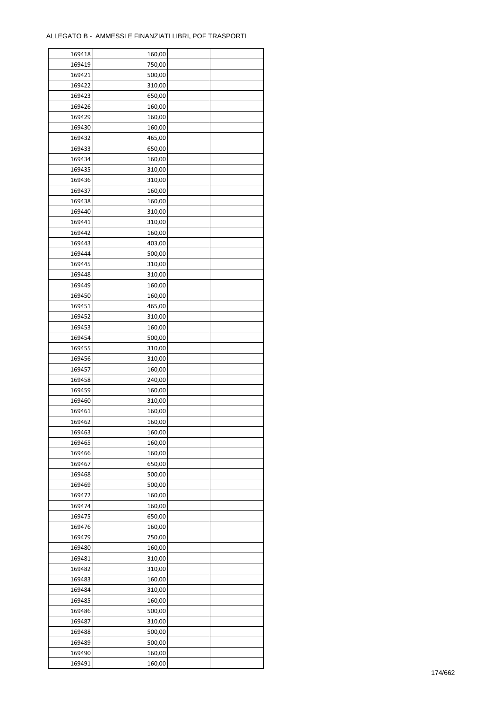| 169418 | 160,00 |  |
|--------|--------|--|
| 169419 | 750,00 |  |
| 169421 | 500,00 |  |
| 169422 | 310,00 |  |
| 169423 | 650,00 |  |
| 169426 | 160,00 |  |
| 169429 | 160,00 |  |
| 169430 | 160,00 |  |
| 169432 | 465,00 |  |
| 169433 | 650,00 |  |
| 169434 | 160,00 |  |
| 169435 | 310,00 |  |
| 169436 |        |  |
| 169437 | 310,00 |  |
|        | 160,00 |  |
| 169438 | 160,00 |  |
| 169440 | 310,00 |  |
| 169441 | 310,00 |  |
| 169442 | 160,00 |  |
| 169443 | 403,00 |  |
| 169444 | 500,00 |  |
| 169445 | 310,00 |  |
| 169448 | 310,00 |  |
| 169449 | 160,00 |  |
| 169450 | 160,00 |  |
| 169451 | 465,00 |  |
| 169452 | 310,00 |  |
| 169453 | 160,00 |  |
| 169454 | 500,00 |  |
| 169455 | 310,00 |  |
| 169456 | 310,00 |  |
| 169457 | 160,00 |  |
| 169458 | 240,00 |  |
| 169459 | 160,00 |  |
| 169460 | 310,00 |  |
| 169461 | 160,00 |  |
| 169462 | 160,00 |  |
| 169463 | 160,00 |  |
| 169465 | 160,00 |  |
| 169466 | 160,00 |  |
| 169467 | 650,00 |  |
| 169468 | 500,00 |  |
| 169469 | 500,00 |  |
| 169472 | 160,00 |  |
| 169474 | 160,00 |  |
| 169475 | 650,00 |  |
| 169476 | 160,00 |  |
| 169479 | 750,00 |  |
| 169480 | 160,00 |  |
| 169481 | 310,00 |  |
| 169482 | 310,00 |  |
| 169483 | 160,00 |  |
| 169484 | 310,00 |  |
| 169485 | 160,00 |  |
| 169486 | 500,00 |  |
| 169487 | 310,00 |  |
| 169488 | 500,00 |  |
| 169489 | 500,00 |  |
| 169490 | 160,00 |  |
| 169491 | 160,00 |  |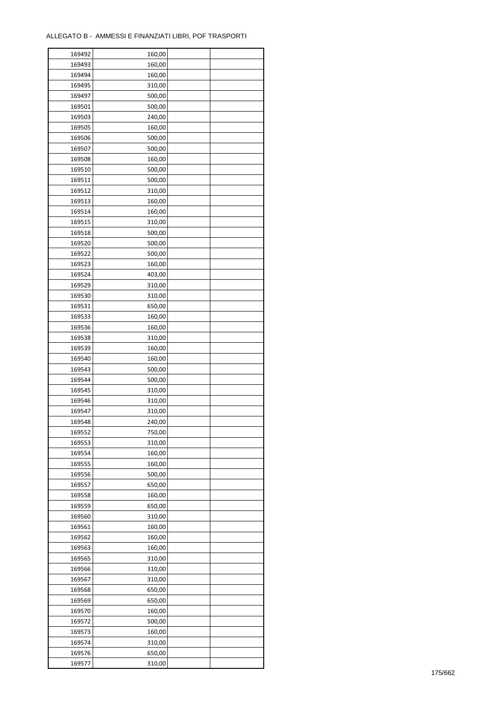| 169492 | 160,00 |  |
|--------|--------|--|
| 169493 | 160,00 |  |
| 169494 | 160,00 |  |
| 169495 | 310,00 |  |
| 169497 | 500,00 |  |
| 169501 | 500,00 |  |
| 169503 | 240,00 |  |
| 169505 | 160,00 |  |
| 169506 | 500,00 |  |
| 169507 | 500,00 |  |
| 169508 | 160,00 |  |
| 169510 | 500,00 |  |
| 169511 | 500,00 |  |
| 169512 | 310,00 |  |
| 169513 |        |  |
|        | 160,00 |  |
| 169514 | 160,00 |  |
| 169515 | 310,00 |  |
| 169518 | 500,00 |  |
| 169520 | 500,00 |  |
| 169522 | 500,00 |  |
| 169523 | 160,00 |  |
| 169524 | 403,00 |  |
| 169529 | 310,00 |  |
| 169530 | 310,00 |  |
| 169531 | 650,00 |  |
| 169533 | 160,00 |  |
| 169536 | 160,00 |  |
| 169538 | 310,00 |  |
| 169539 | 160,00 |  |
| 169540 | 160,00 |  |
| 169543 | 500,00 |  |
| 169544 | 500,00 |  |
| 169545 | 310,00 |  |
| 169546 | 310,00 |  |
| 169547 | 310,00 |  |
| 169548 | 240,00 |  |
| 169552 | 750,00 |  |
| 169553 | 310,00 |  |
| 169554 | 160,00 |  |
| 169555 | 160,00 |  |
| 169556 | 500,00 |  |
| 169557 | 650,00 |  |
| 169558 | 160,00 |  |
| 169559 | 650,00 |  |
| 169560 | 310,00 |  |
| 169561 | 160,00 |  |
|        | 160,00 |  |
| 169562 |        |  |
| 169563 | 160,00 |  |
| 169565 | 310,00 |  |
| 169566 | 310,00 |  |
| 169567 | 310,00 |  |
| 169568 | 650,00 |  |
| 169569 | 650,00 |  |
| 169570 | 160,00 |  |
| 169572 | 500,00 |  |
| 169573 | 160,00 |  |
| 169574 | 310,00 |  |
| 169576 | 650,00 |  |
| 169577 | 310,00 |  |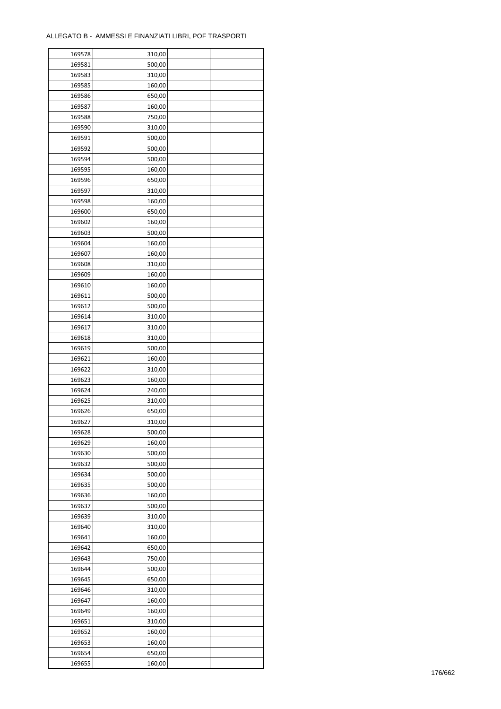| 169578 | 310,00 |  |
|--------|--------|--|
| 169581 | 500,00 |  |
| 169583 | 310,00 |  |
| 169585 | 160,00 |  |
| 169586 | 650,00 |  |
| 169587 | 160,00 |  |
| 169588 | 750,00 |  |
| 169590 | 310,00 |  |
| 169591 | 500,00 |  |
|        |        |  |
| 169592 | 500,00 |  |
| 169594 | 500,00 |  |
| 169595 | 160,00 |  |
| 169596 | 650,00 |  |
| 169597 | 310,00 |  |
| 169598 | 160,00 |  |
| 169600 | 650,00 |  |
| 169602 | 160,00 |  |
| 169603 | 500,00 |  |
| 169604 | 160,00 |  |
| 169607 | 160,00 |  |
| 169608 | 310,00 |  |
| 169609 | 160,00 |  |
| 169610 | 160,00 |  |
| 169611 | 500,00 |  |
| 169612 | 500,00 |  |
| 169614 | 310,00 |  |
| 169617 | 310,00 |  |
| 169618 | 310,00 |  |
| 169619 | 500,00 |  |
| 169621 | 160,00 |  |
|        |        |  |
| 169622 | 310,00 |  |
| 169623 | 160,00 |  |
| 169624 | 240,00 |  |
| 169625 | 310,00 |  |
| 169626 | 650,00 |  |
| 169627 | 310,00 |  |
| 169628 | 500,00 |  |
| 169629 | 160,00 |  |
| 169630 | 500,00 |  |
| 169632 | 500,00 |  |
| 169634 | 500,00 |  |
| 169635 | 500,00 |  |
| 169636 | 160,00 |  |
| 169637 | 500,00 |  |
| 169639 | 310,00 |  |
| 169640 | 310,00 |  |
| 169641 | 160,00 |  |
| 169642 | 650,00 |  |
| 169643 | 750,00 |  |
| 169644 | 500,00 |  |
| 169645 | 650,00 |  |
| 169646 | 310,00 |  |
| 169647 | 160,00 |  |
|        |        |  |
| 169649 | 160,00 |  |
| 169651 | 310,00 |  |
| 169652 | 160,00 |  |
| 169653 | 160,00 |  |
| 169654 | 650,00 |  |
| 169655 | 160,00 |  |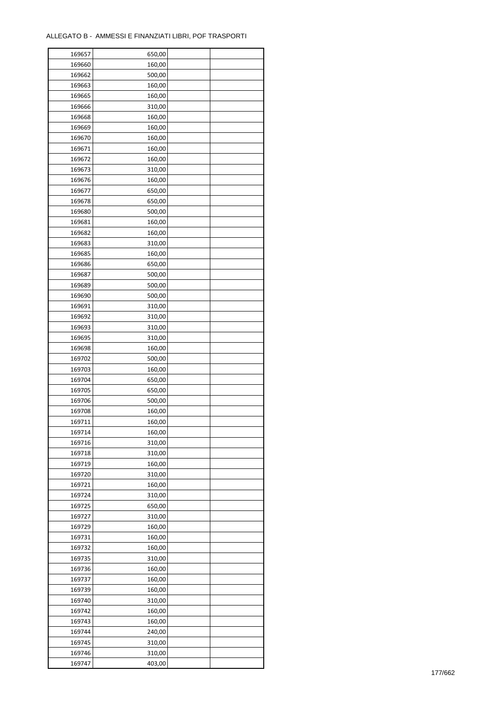| 169657 | 650,00 |  |
|--------|--------|--|
| 169660 | 160,00 |  |
| 169662 | 500,00 |  |
| 169663 | 160,00 |  |
| 169665 | 160,00 |  |
| 169666 | 310,00 |  |
| 169668 | 160,00 |  |
| 169669 | 160,00 |  |
| 169670 | 160,00 |  |
| 169671 | 160,00 |  |
| 169672 | 160,00 |  |
| 169673 | 310,00 |  |
| 169676 | 160,00 |  |
| 169677 | 650,00 |  |
| 169678 | 650,00 |  |
| 169680 | 500,00 |  |
| 169681 | 160,00 |  |
| 169682 | 160,00 |  |
| 169683 | 310,00 |  |
| 169685 | 160,00 |  |
| 169686 | 650,00 |  |
| 169687 |        |  |
| 169689 | 500,00 |  |
|        | 500,00 |  |
| 169690 | 500,00 |  |
| 169691 | 310,00 |  |
| 169692 | 310,00 |  |
| 169693 | 310,00 |  |
| 169695 | 310,00 |  |
| 169698 | 160,00 |  |
| 169702 | 500,00 |  |
| 169703 | 160,00 |  |
| 169704 | 650,00 |  |
| 169705 | 650,00 |  |
| 169706 | 500,00 |  |
| 169708 | 160,00 |  |
| 169711 | 160,00 |  |
| 169714 | 160,00 |  |
| 169716 | 310,00 |  |
| 169718 | 310,00 |  |
| 169719 | 160,00 |  |
| 169720 | 310,00 |  |
| 169721 | 160,00 |  |
| 169724 | 310,00 |  |
| 169725 | 650,00 |  |
| 169727 | 310,00 |  |
| 169729 | 160,00 |  |
| 169731 | 160,00 |  |
| 169732 | 160,00 |  |
| 169735 | 310,00 |  |
| 169736 | 160,00 |  |
| 169737 | 160,00 |  |
| 169739 | 160,00 |  |
| 169740 | 310,00 |  |
| 169742 | 160,00 |  |
| 169743 | 160,00 |  |
| 169744 | 240,00 |  |
| 169745 | 310,00 |  |
| 169746 | 310,00 |  |
| 169747 | 403,00 |  |
|        |        |  |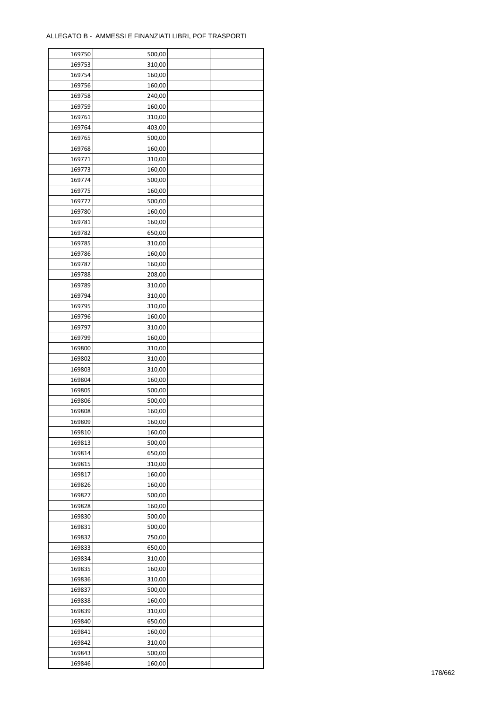| 169750 | 500,00 |  |
|--------|--------|--|
| 169753 | 310,00 |  |
| 169754 | 160,00 |  |
| 169756 | 160,00 |  |
| 169758 | 240,00 |  |
| 169759 | 160,00 |  |
| 169761 | 310,00 |  |
| 169764 | 403,00 |  |
| 169765 | 500,00 |  |
| 169768 | 160,00 |  |
| 169771 | 310,00 |  |
| 169773 | 160,00 |  |
|        |        |  |
| 169774 | 500,00 |  |
| 169775 | 160,00 |  |
| 169777 | 500,00 |  |
| 169780 | 160,00 |  |
| 169781 | 160,00 |  |
| 169782 | 650,00 |  |
| 169785 | 310,00 |  |
| 169786 | 160,00 |  |
| 169787 | 160,00 |  |
| 169788 | 208,00 |  |
| 169789 | 310,00 |  |
| 169794 | 310,00 |  |
| 169795 | 310,00 |  |
| 169796 | 160,00 |  |
| 169797 | 310,00 |  |
| 169799 | 160,00 |  |
| 169800 | 310,00 |  |
| 169802 | 310,00 |  |
| 169803 | 310,00 |  |
| 169804 | 160,00 |  |
| 169805 | 500,00 |  |
| 169806 | 500,00 |  |
| 169808 | 160,00 |  |
| 169809 | 160,00 |  |
| 169810 | 160,00 |  |
| 169813 | 500,00 |  |
| 169814 |        |  |
|        | 650,00 |  |
| 169815 | 310,00 |  |
| 169817 | 160,00 |  |
| 169826 | 160,00 |  |
| 169827 | 500,00 |  |
| 169828 | 160,00 |  |
| 169830 | 500,00 |  |
| 169831 | 500,00 |  |
| 169832 | 750,00 |  |
| 169833 | 650,00 |  |
| 169834 | 310,00 |  |
| 169835 | 160,00 |  |
| 169836 | 310,00 |  |
| 169837 | 500,00 |  |
| 169838 | 160,00 |  |
| 169839 | 310,00 |  |
| 169840 | 650,00 |  |
| 169841 | 160,00 |  |
| 169842 | 310,00 |  |
| 169843 | 500,00 |  |
| 169846 | 160,00 |  |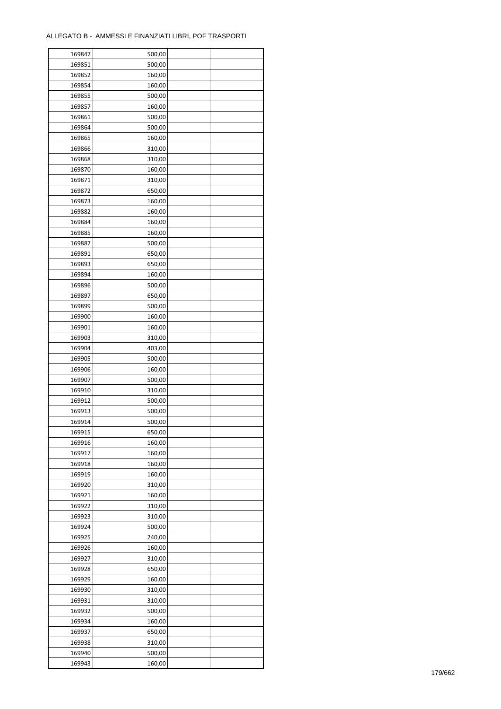| 169847 | 500,00 |  |
|--------|--------|--|
| 169851 | 500,00 |  |
| 169852 | 160,00 |  |
| 169854 | 160,00 |  |
| 169855 | 500,00 |  |
| 169857 | 160,00 |  |
| 169861 | 500,00 |  |
| 169864 | 500,00 |  |
| 169865 | 160,00 |  |
| 169866 | 310,00 |  |
| 169868 | 310,00 |  |
| 169870 | 160,00 |  |
| 169871 | 310,00 |  |
| 169872 | 650,00 |  |
|        |        |  |
| 169873 | 160,00 |  |
| 169882 | 160,00 |  |
| 169884 | 160,00 |  |
| 169885 | 160,00 |  |
| 169887 | 500,00 |  |
| 169891 | 650,00 |  |
| 169893 | 650,00 |  |
| 169894 | 160,00 |  |
| 169896 | 500,00 |  |
| 169897 | 650,00 |  |
| 169899 | 500,00 |  |
| 169900 | 160,00 |  |
| 169901 | 160,00 |  |
| 169903 | 310,00 |  |
| 169904 | 403,00 |  |
| 169905 | 500,00 |  |
| 169906 | 160,00 |  |
| 169907 | 500,00 |  |
| 169910 | 310,00 |  |
| 169912 | 500,00 |  |
| 169913 | 500,00 |  |
| 169914 | 500,00 |  |
| 169915 | 650,00 |  |
| 169916 | 160,00 |  |
| 169917 |        |  |
|        | 160,00 |  |
| 169918 | 160,00 |  |
| 169919 | 160,00 |  |
| 169920 | 310,00 |  |
| 169921 | 160,00 |  |
| 169922 | 310,00 |  |
| 169923 | 310,00 |  |
| 169924 | 500,00 |  |
| 169925 | 240,00 |  |
| 169926 | 160,00 |  |
| 169927 | 310,00 |  |
| 169928 | 650,00 |  |
| 169929 | 160,00 |  |
| 169930 | 310,00 |  |
| 169931 | 310,00 |  |
| 169932 | 500,00 |  |
| 169934 | 160,00 |  |
| 169937 | 650,00 |  |
| 169938 | 310,00 |  |
| 169940 | 500,00 |  |
| 169943 | 160,00 |  |
|        |        |  |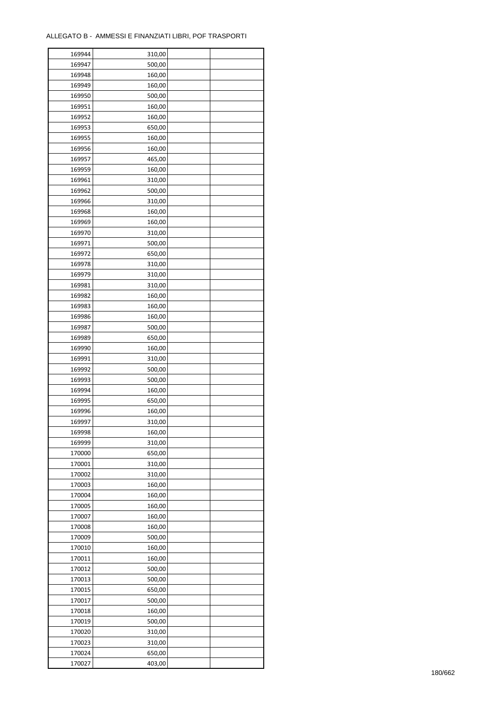ř

| 169944 | 310,00 |  |
|--------|--------|--|
| 169947 | 500,00 |  |
| 169948 | 160,00 |  |
| 169949 | 160,00 |  |
| 169950 | 500,00 |  |
| 169951 | 160,00 |  |
| 169952 | 160,00 |  |
| 169953 | 650,00 |  |
| 169955 | 160,00 |  |
| 169956 | 160,00 |  |
| 169957 | 465,00 |  |
| 169959 | 160,00 |  |
| 169961 | 310,00 |  |
| 169962 | 500,00 |  |
|        |        |  |
| 169966 | 310,00 |  |
| 169968 | 160,00 |  |
| 169969 | 160,00 |  |
| 169970 | 310,00 |  |
| 169971 | 500,00 |  |
| 169972 | 650,00 |  |
| 169978 | 310,00 |  |
| 169979 | 310,00 |  |
| 169981 | 310,00 |  |
| 169982 | 160,00 |  |
| 169983 | 160,00 |  |
| 169986 | 160,00 |  |
| 169987 | 500,00 |  |
| 169989 | 650,00 |  |
| 169990 | 160,00 |  |
| 169991 | 310,00 |  |
| 169992 | 500,00 |  |
| 169993 | 500,00 |  |
| 169994 | 160,00 |  |
| 169995 | 650,00 |  |
| 169996 | 160,00 |  |
| 169997 | 310,00 |  |
| 169998 | 160,00 |  |
| 169999 | 310,00 |  |
| 170000 | 650,00 |  |
| 170001 | 310,00 |  |
| 170002 | 310,00 |  |
| 170003 | 160,00 |  |
| 170004 | 160,00 |  |
| 170005 | 160,00 |  |
| 170007 | 160,00 |  |
| 170008 | 160,00 |  |
|        |        |  |
| 170009 | 500,00 |  |
| 170010 | 160,00 |  |
| 170011 | 160,00 |  |
| 170012 | 500,00 |  |
| 170013 | 500,00 |  |
| 170015 | 650,00 |  |
| 170017 | 500,00 |  |
| 170018 | 160,00 |  |
| 170019 | 500,00 |  |
| 170020 | 310,00 |  |
| 170023 | 310,00 |  |
| 170024 | 650,00 |  |
| 170027 | 403,00 |  |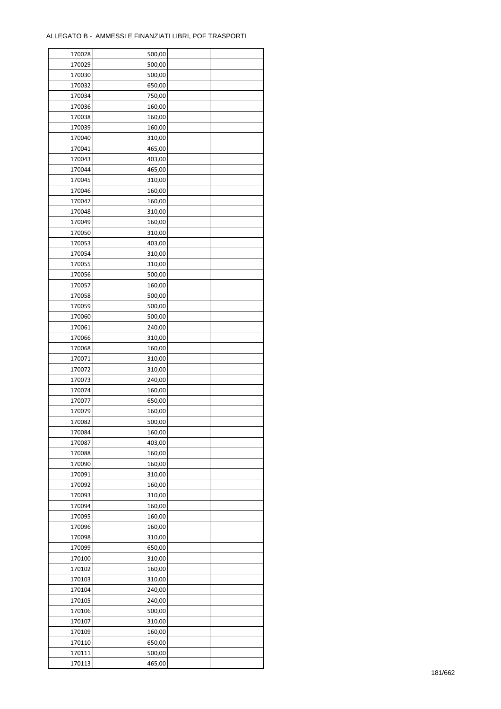| 170028 | 500,00 |  |
|--------|--------|--|
| 170029 | 500,00 |  |
| 170030 | 500,00 |  |
| 170032 | 650,00 |  |
| 170034 | 750,00 |  |
| 170036 | 160,00 |  |
| 170038 | 160,00 |  |
| 170039 | 160,00 |  |
| 170040 | 310,00 |  |
| 170041 | 465,00 |  |
| 170043 | 403,00 |  |
| 170044 | 465,00 |  |
| 170045 | 310,00 |  |
| 170046 | 160,00 |  |
| 170047 | 160,00 |  |
| 170048 | 310,00 |  |
| 170049 | 160,00 |  |
| 170050 | 310,00 |  |
| 170053 | 403,00 |  |
| 170054 | 310,00 |  |
| 170055 | 310,00 |  |
| 170056 | 500,00 |  |
| 170057 | 160,00 |  |
| 170058 |        |  |
|        | 500,00 |  |
| 170059 | 500,00 |  |
| 170060 | 500,00 |  |
| 170061 | 240,00 |  |
| 170066 | 310,00 |  |
| 170068 | 160,00 |  |
| 170071 | 310,00 |  |
| 170072 | 310,00 |  |
| 170073 | 240,00 |  |
| 170074 | 160,00 |  |
| 170077 | 650,00 |  |
| 170079 | 160,00 |  |
| 170082 | 500,00 |  |
| 170084 | 160,00 |  |
| 170087 | 403,00 |  |
| 170088 | 160,00 |  |
| 170090 | 160,00 |  |
| 170091 | 310,00 |  |
| 170092 | 160,00 |  |
| 170093 | 310,00 |  |
| 170094 | 160,00 |  |
| 170095 | 160,00 |  |
| 170096 | 160,00 |  |
| 170098 | 310,00 |  |
| 170099 | 650,00 |  |
| 170100 | 310,00 |  |
| 170102 | 160,00 |  |
| 170103 | 310,00 |  |
| 170104 | 240,00 |  |
| 170105 | 240,00 |  |
| 170106 | 500,00 |  |
| 170107 | 310,00 |  |
| 170109 | 160,00 |  |
| 170110 | 650,00 |  |
| 170111 | 500,00 |  |
| 170113 | 465,00 |  |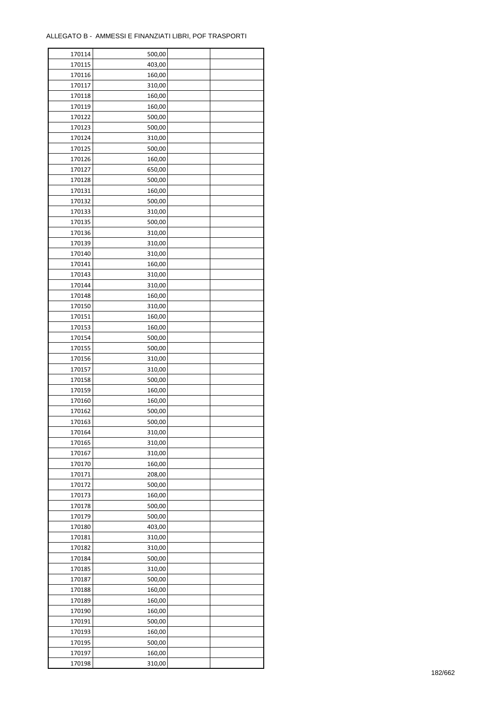| 170114 | 500,00 |  |
|--------|--------|--|
| 170115 | 403,00 |  |
| 170116 | 160,00 |  |
| 170117 | 310,00 |  |
| 170118 | 160,00 |  |
| 170119 | 160,00 |  |
| 170122 | 500,00 |  |
| 170123 | 500,00 |  |
| 170124 | 310,00 |  |
| 170125 | 500,00 |  |
| 170126 | 160,00 |  |
| 170127 | 650,00 |  |
| 170128 | 500,00 |  |
|        |        |  |
| 170131 | 160,00 |  |
| 170132 | 500,00 |  |
| 170133 | 310,00 |  |
| 170135 | 500,00 |  |
| 170136 | 310,00 |  |
| 170139 | 310,00 |  |
| 170140 | 310,00 |  |
| 170141 | 160,00 |  |
| 170143 | 310,00 |  |
| 170144 | 310,00 |  |
| 170148 | 160,00 |  |
| 170150 | 310,00 |  |
| 170151 | 160,00 |  |
| 170153 | 160,00 |  |
| 170154 | 500,00 |  |
| 170155 | 500,00 |  |
| 170156 | 310,00 |  |
| 170157 | 310,00 |  |
| 170158 | 500,00 |  |
| 170159 | 160,00 |  |
| 170160 | 160,00 |  |
| 170162 | 500,00 |  |
| 170163 | 500,00 |  |
|        |        |  |
| 170164 | 310,00 |  |
| 170165 | 310,00 |  |
| 170167 | 310,00 |  |
| 170170 | 160,00 |  |
| 170171 | 208,00 |  |
| 170172 | 500,00 |  |
| 170173 | 160,00 |  |
| 170178 | 500,00 |  |
| 170179 | 500,00 |  |
| 170180 | 403,00 |  |
| 170181 | 310,00 |  |
| 170182 | 310,00 |  |
| 170184 | 500,00 |  |
| 170185 | 310,00 |  |
| 170187 | 500,00 |  |
| 170188 | 160,00 |  |
| 170189 | 160,00 |  |
| 170190 | 160,00 |  |
| 170191 | 500,00 |  |
| 170193 | 160,00 |  |
| 170195 | 500,00 |  |
| 170197 | 160,00 |  |
| 170198 | 310,00 |  |
|        |        |  |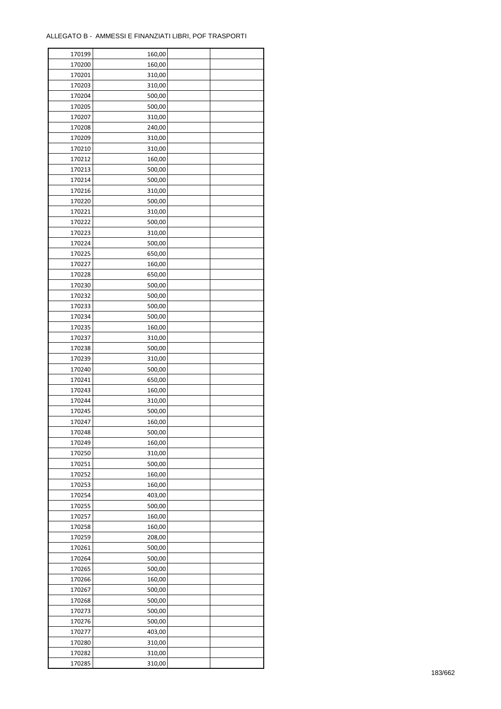| 170199 | 160,00 |  |
|--------|--------|--|
| 170200 | 160,00 |  |
| 170201 | 310,00 |  |
| 170203 | 310,00 |  |
| 170204 | 500,00 |  |
| 170205 | 500,00 |  |
| 170207 | 310,00 |  |
| 170208 | 240,00 |  |
| 170209 | 310,00 |  |
| 170210 | 310,00 |  |
| 170212 | 160,00 |  |
| 170213 | 500,00 |  |
| 170214 | 500,00 |  |
| 170216 | 310,00 |  |
| 170220 | 500,00 |  |
|        |        |  |
| 170221 | 310,00 |  |
| 170222 | 500,00 |  |
| 170223 | 310,00 |  |
| 170224 | 500,00 |  |
| 170225 | 650,00 |  |
| 170227 | 160,00 |  |
| 170228 | 650,00 |  |
| 170230 | 500,00 |  |
| 170232 | 500,00 |  |
| 170233 | 500,00 |  |
| 170234 | 500,00 |  |
| 170235 | 160,00 |  |
| 170237 | 310,00 |  |
| 170238 | 500,00 |  |
| 170239 | 310,00 |  |
| 170240 | 500,00 |  |
| 170241 | 650,00 |  |
| 170243 | 160,00 |  |
| 170244 | 310,00 |  |
| 170245 | 500,00 |  |
| 170247 | 160,00 |  |
| 170248 | 500,00 |  |
| 170249 | 160,00 |  |
| 170250 | 310,00 |  |
| 170251 | 500,00 |  |
| 170252 | 160,00 |  |
| 170253 | 160,00 |  |
| 170254 | 403,00 |  |
| 170255 | 500,00 |  |
| 170257 | 160,00 |  |
| 170258 | 160,00 |  |
| 170259 | 208,00 |  |
| 170261 | 500,00 |  |
| 170264 | 500,00 |  |
| 170265 | 500,00 |  |
|        |        |  |
| 170266 | 160,00 |  |
| 170267 | 500,00 |  |
| 170268 | 500,00 |  |
| 170273 | 500,00 |  |
| 170276 | 500,00 |  |
| 170277 | 403,00 |  |
| 170280 | 310,00 |  |
| 170282 | 310,00 |  |
| 170285 | 310,00 |  |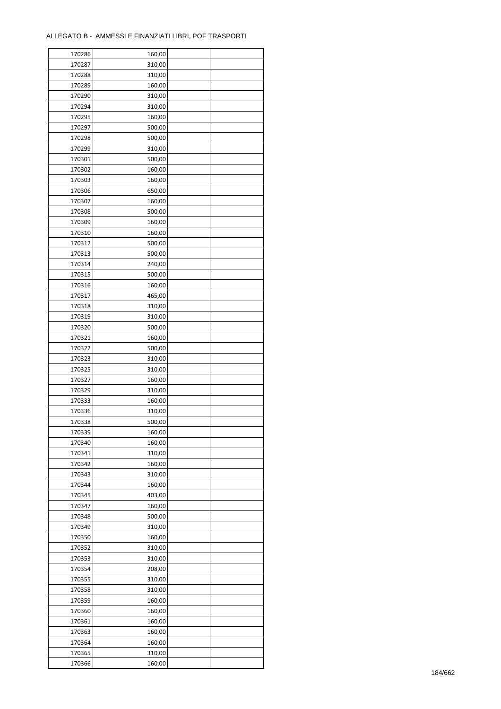| 170286           | 160,00           |  |
|------------------|------------------|--|
| 170287           | 310,00           |  |
| 170288           | 310,00           |  |
| 170289           | 160,00           |  |
| 170290           | 310,00           |  |
| 170294           | 310,00           |  |
| 170295           | 160,00           |  |
| 170297           | 500,00           |  |
| 170298           | 500,00           |  |
| 170299           | 310,00           |  |
| 170301           | 500,00           |  |
| 170302           | 160,00           |  |
| 170303           | 160,00           |  |
| 170306           |                  |  |
|                  | 650,00           |  |
| 170307           | 160,00           |  |
| 170308           | 500,00           |  |
| 170309           | 160,00           |  |
| 170310           | 160,00           |  |
| 170312           | 500,00           |  |
| 170313           | 500,00           |  |
| 170314           | 240,00           |  |
| 170315           | 500,00           |  |
| 170316           | 160,00           |  |
| 170317           | 465,00           |  |
| 170318           | 310,00           |  |
| 170319           | 310,00           |  |
| 170320           | 500,00           |  |
| 170321           | 160,00           |  |
| 170322           | 500,00           |  |
| 170323           | 310,00           |  |
| 170325           | 310,00           |  |
| 170327           | 160,00           |  |
| 170329           | 310,00           |  |
| 170333           | 160,00           |  |
| 170336           | 310,00           |  |
| 170338           | 500,00           |  |
| 170339           | 160,00           |  |
| 170340           | 160,00           |  |
| 170341           | 310,00           |  |
| 170342           | 160,00           |  |
|                  |                  |  |
| 170343<br>170344 | 310,00<br>160,00 |  |
|                  |                  |  |
| 170345           | 403,00           |  |
| 170347           | 160,00           |  |
| 170348           | 500,00           |  |
| 170349           | 310,00           |  |
| 170350           | 160,00           |  |
| 170352           | 310,00           |  |
| 170353           | 310,00           |  |
| 170354           | 208,00           |  |
| 170355           | 310,00           |  |
| 170358           | 310,00           |  |
| 170359           | 160,00           |  |
| 170360           | 160,00           |  |
| 170361           | 160,00           |  |
| 170363           | 160,00           |  |
| 170364           | 160,00           |  |
| 170365           | 310,00           |  |
| 170366           | 160,00           |  |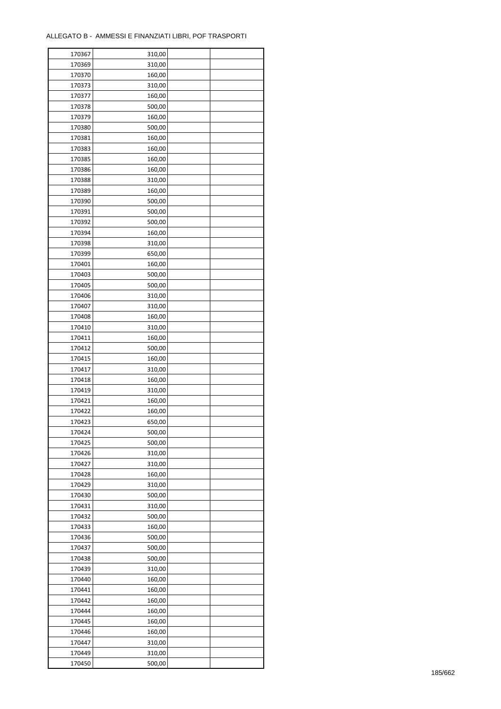| 170367 | 310,00 |  |
|--------|--------|--|
| 170369 | 310,00 |  |
| 170370 | 160,00 |  |
| 170373 | 310,00 |  |
| 170377 | 160,00 |  |
| 170378 | 500,00 |  |
| 170379 | 160,00 |  |
| 170380 | 500,00 |  |
| 170381 | 160,00 |  |
| 170383 | 160,00 |  |
| 170385 | 160,00 |  |
| 170386 | 160,00 |  |
| 170388 | 310,00 |  |
| 170389 | 160,00 |  |
| 170390 | 500,00 |  |
|        |        |  |
| 170391 | 500,00 |  |
| 170392 | 500,00 |  |
| 170394 | 160,00 |  |
| 170398 | 310,00 |  |
| 170399 | 650,00 |  |
| 170401 | 160,00 |  |
| 170403 | 500,00 |  |
| 170405 | 500,00 |  |
| 170406 | 310,00 |  |
| 170407 | 310,00 |  |
| 170408 | 160,00 |  |
| 170410 | 310,00 |  |
| 170411 | 160,00 |  |
| 170412 | 500,00 |  |
| 170415 | 160,00 |  |
| 170417 | 310,00 |  |
| 170418 | 160,00 |  |
| 170419 | 310,00 |  |
| 170421 | 160,00 |  |
| 170422 | 160,00 |  |
| 170423 | 650,00 |  |
| 170424 | 500,00 |  |
| 170425 | 500,00 |  |
| 170426 | 310,00 |  |
| 170427 | 310,00 |  |
| 170428 | 160,00 |  |
| 170429 | 310,00 |  |
| 170430 | 500,00 |  |
| 170431 | 310,00 |  |
| 170432 | 500,00 |  |
| 170433 | 160,00 |  |
| 170436 | 500,00 |  |
| 170437 | 500,00 |  |
| 170438 | 500,00 |  |
| 170439 | 310,00 |  |
| 170440 | 160,00 |  |
| 170441 | 160,00 |  |
| 170442 | 160,00 |  |
| 170444 | 160,00 |  |
| 170445 | 160,00 |  |
| 170446 | 160,00 |  |
| 170447 | 310,00 |  |
| 170449 |        |  |
|        | 310,00 |  |
| 170450 | 500,00 |  |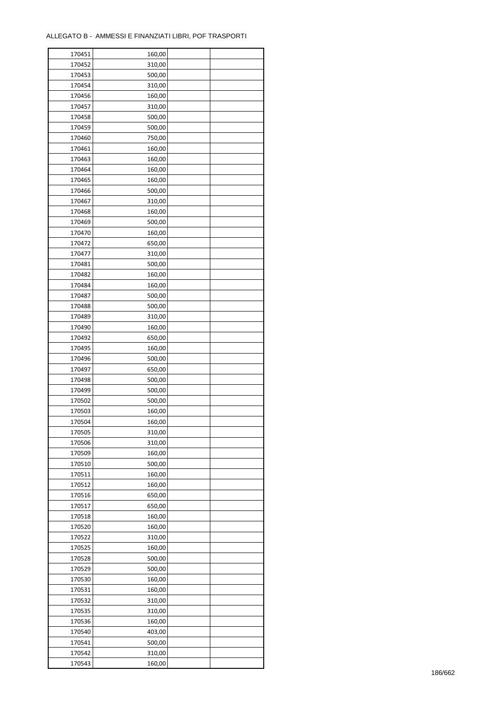| 170451 | 160,00 |  |
|--------|--------|--|
| 170452 | 310,00 |  |
| 170453 | 500,00 |  |
| 170454 | 310,00 |  |
| 170456 | 160,00 |  |
| 170457 | 310,00 |  |
| 170458 | 500,00 |  |
| 170459 | 500,00 |  |
| 170460 | 750,00 |  |
| 170461 | 160,00 |  |
| 170463 | 160,00 |  |
| 170464 | 160,00 |  |
| 170465 | 160,00 |  |
| 170466 | 500,00 |  |
| 170467 | 310,00 |  |
| 170468 | 160,00 |  |
| 170469 | 500,00 |  |
|        |        |  |
| 170470 | 160,00 |  |
| 170472 | 650,00 |  |
| 170477 | 310,00 |  |
| 170481 | 500,00 |  |
| 170482 | 160,00 |  |
| 170484 | 160,00 |  |
| 170487 | 500,00 |  |
| 170488 | 500,00 |  |
| 170489 | 310,00 |  |
| 170490 | 160,00 |  |
| 170492 | 650,00 |  |
| 170495 | 160,00 |  |
| 170496 | 500,00 |  |
| 170497 | 650,00 |  |
| 170498 | 500,00 |  |
| 170499 | 500,00 |  |
| 170502 | 500,00 |  |
| 170503 | 160,00 |  |
| 170504 | 160,00 |  |
| 170505 | 310,00 |  |
| 170506 | 310,00 |  |
| 170509 | 160,00 |  |
| 170510 | 500,00 |  |
| 170511 | 160,00 |  |
| 170512 | 160,00 |  |
| 170516 | 650,00 |  |
| 170517 | 650,00 |  |
| 170518 | 160,00 |  |
| 170520 | 160,00 |  |
| 170522 | 310,00 |  |
| 170525 | 160,00 |  |
| 170528 | 500,00 |  |
| 170529 | 500,00 |  |
| 170530 | 160,00 |  |
| 170531 | 160,00 |  |
| 170532 | 310,00 |  |
| 170535 | 310,00 |  |
| 170536 | 160,00 |  |
|        |        |  |
| 170540 | 403,00 |  |
| 170541 | 500,00 |  |
| 170542 | 310,00 |  |
| 170543 | 160,00 |  |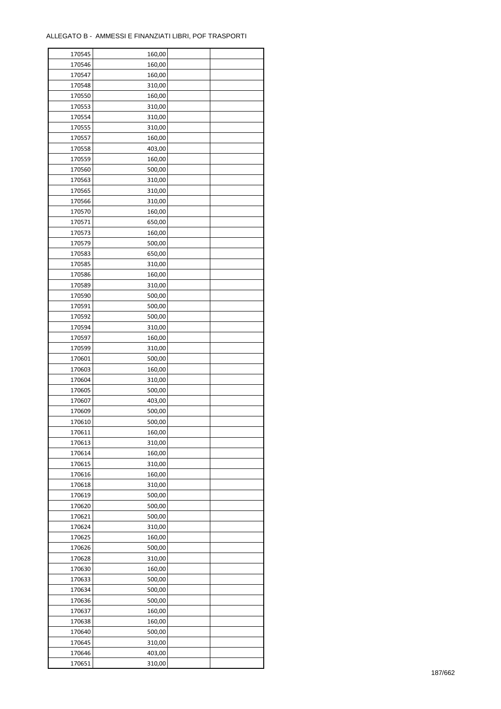| 170545 | 160,00 |  |
|--------|--------|--|
| 170546 | 160,00 |  |
| 170547 | 160,00 |  |
| 170548 | 310,00 |  |
| 170550 | 160,00 |  |
| 170553 | 310,00 |  |
| 170554 | 310,00 |  |
| 170555 | 310,00 |  |
| 170557 | 160,00 |  |
| 170558 | 403,00 |  |
| 170559 | 160,00 |  |
| 170560 | 500,00 |  |
| 170563 | 310,00 |  |
|        |        |  |
| 170565 | 310,00 |  |
| 170566 | 310,00 |  |
| 170570 | 160,00 |  |
| 170571 | 650,00 |  |
| 170573 | 160,00 |  |
| 170579 | 500,00 |  |
| 170583 | 650,00 |  |
| 170585 | 310,00 |  |
| 170586 | 160,00 |  |
| 170589 | 310,00 |  |
| 170590 | 500,00 |  |
| 170591 | 500,00 |  |
| 170592 | 500,00 |  |
| 170594 | 310,00 |  |
| 170597 | 160,00 |  |
| 170599 | 310,00 |  |
| 170601 | 500,00 |  |
| 170603 | 160,00 |  |
| 170604 | 310,00 |  |
| 170605 | 500,00 |  |
| 170607 | 403,00 |  |
| 170609 | 500,00 |  |
| 170610 | 500,00 |  |
| 170611 | 160,00 |  |
| 170613 | 310,00 |  |
| 170614 | 160,00 |  |
|        |        |  |
| 170615 | 310,00 |  |
| 170616 | 160,00 |  |
| 170618 | 310,00 |  |
| 170619 | 500,00 |  |
| 170620 | 500,00 |  |
| 170621 | 500,00 |  |
| 170624 | 310,00 |  |
| 170625 | 160,00 |  |
| 170626 | 500,00 |  |
| 170628 | 310,00 |  |
| 170630 | 160,00 |  |
| 170633 | 500,00 |  |
| 170634 | 500,00 |  |
| 170636 | 500,00 |  |
| 170637 | 160,00 |  |
| 170638 | 160,00 |  |
| 170640 | 500,00 |  |
| 170645 | 310,00 |  |
| 170646 | 403,00 |  |
| 170651 | 310,00 |  |
|        |        |  |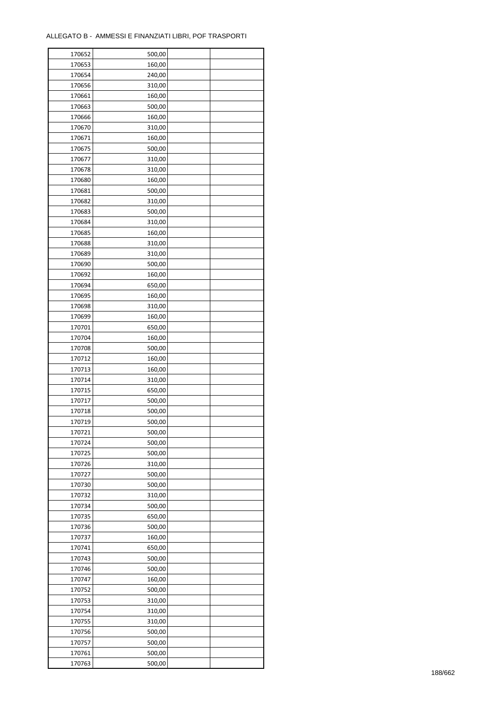| 170652 | 500,00 |  |
|--------|--------|--|
| 170653 | 160,00 |  |
| 170654 | 240,00 |  |
| 170656 | 310,00 |  |
| 170661 | 160,00 |  |
| 170663 | 500,00 |  |
| 170666 | 160,00 |  |
| 170670 | 310,00 |  |
|        |        |  |
| 170671 | 160,00 |  |
| 170675 | 500,00 |  |
| 170677 | 310,00 |  |
| 170678 | 310,00 |  |
| 170680 | 160,00 |  |
| 170681 | 500,00 |  |
| 170682 | 310,00 |  |
| 170683 | 500,00 |  |
| 170684 | 310,00 |  |
| 170685 | 160,00 |  |
| 170688 | 310,00 |  |
| 170689 | 310,00 |  |
| 170690 | 500,00 |  |
| 170692 | 160,00 |  |
| 170694 | 650,00 |  |
| 170695 | 160,00 |  |
| 170698 | 310,00 |  |
| 170699 | 160,00 |  |
| 170701 | 650,00 |  |
|        |        |  |
| 170704 | 160,00 |  |
| 170708 | 500,00 |  |
| 170712 | 160,00 |  |
| 170713 | 160,00 |  |
| 170714 | 310,00 |  |
| 170715 | 650,00 |  |
| 170717 | 500,00 |  |
| 170718 | 500,00 |  |
| 170719 | 500,00 |  |
| 170721 | 500,00 |  |
| 170724 | 500,00 |  |
| 170725 | 500,00 |  |
| 170726 | 310,00 |  |
| 170727 | 500,00 |  |
| 170730 | 500,00 |  |
| 170732 | 310,00 |  |
| 170734 | 500,00 |  |
| 170735 | 650,00 |  |
| 170736 | 500,00 |  |
|        |        |  |
| 170737 | 160,00 |  |
| 170741 | 650,00 |  |
| 170743 | 500,00 |  |
| 170746 | 500,00 |  |
| 170747 | 160,00 |  |
| 170752 | 500,00 |  |
| 170753 | 310,00 |  |
| 170754 | 310,00 |  |
| 170755 | 310,00 |  |
| 170756 | 500,00 |  |
| 170757 | 500,00 |  |
| 170761 | 500,00 |  |
| 170763 | 500,00 |  |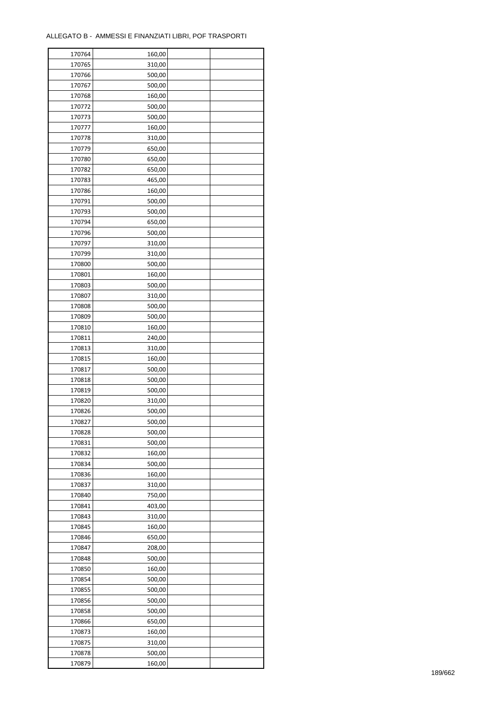| 170764           | 160,00 |  |
|------------------|--------|--|
| 170765           | 310,00 |  |
| 170766           | 500,00 |  |
| 170767           | 500,00 |  |
| 170768           | 160,00 |  |
| 170772           | 500,00 |  |
| 170773           | 500,00 |  |
| 170777           | 160,00 |  |
| 170778           | 310,00 |  |
| 170779           | 650,00 |  |
| 170780           | 650,00 |  |
| 170782           | 650,00 |  |
| 170783           | 465,00 |  |
| 170786           | 160,00 |  |
| 170791           | 500,00 |  |
|                  |        |  |
| 170793<br>170794 | 500,00 |  |
|                  | 650,00 |  |
| 170796           | 500,00 |  |
| 170797           | 310,00 |  |
| 170799           | 310,00 |  |
| 170800           | 500,00 |  |
| 170801           | 160,00 |  |
| 170803           | 500,00 |  |
| 170807           | 310,00 |  |
| 170808           | 500,00 |  |
| 170809           | 500,00 |  |
| 170810           | 160,00 |  |
| 170811           | 240,00 |  |
| 170813           | 310,00 |  |
| 170815           | 160,00 |  |
| 170817           | 500,00 |  |
| 170818           | 500,00 |  |
| 170819           | 500,00 |  |
| 170820           | 310,00 |  |
| 170826           | 500,00 |  |
| 170827           | 500,00 |  |
| 170828           | 500,00 |  |
| 170831           | 500,00 |  |
| 170832           | 160,00 |  |
| 170834           | 500,00 |  |
| 170836           | 160,00 |  |
| 170837           | 310,00 |  |
| 170840           | 750,00 |  |
| 170841           | 403,00 |  |
| 170843           | 310,00 |  |
| 170845           | 160,00 |  |
| 170846           | 650,00 |  |
| 170847           | 208,00 |  |
| 170848           | 500,00 |  |
| 170850           | 160,00 |  |
| 170854           | 500,00 |  |
|                  | 500,00 |  |
| 170855           |        |  |
| 170856           | 500,00 |  |
| 170858           | 500,00 |  |
| 170866           | 650,00 |  |
| 170873           | 160,00 |  |
| 170875           | 310,00 |  |
| 170878           | 500,00 |  |
| 170879           | 160,00 |  |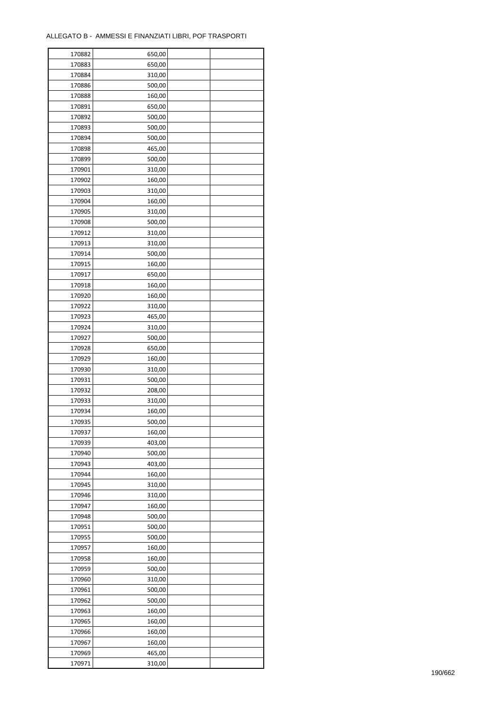| 170882           | 650,00 |  |
|------------------|--------|--|
| 170883           | 650,00 |  |
| 170884           | 310,00 |  |
| 170886           | 500,00 |  |
| 170888           | 160,00 |  |
| 170891           | 650,00 |  |
| 170892           | 500,00 |  |
| 170893           | 500,00 |  |
| 170894           | 500,00 |  |
| 170898           | 465,00 |  |
| 170899           | 500,00 |  |
|                  |        |  |
| 170901           | 310,00 |  |
| 170902           | 160,00 |  |
| 170903           | 310,00 |  |
| 170904           | 160,00 |  |
| 170905           | 310,00 |  |
| 170908           | 500,00 |  |
| 170912           | 310,00 |  |
| 170913           | 310,00 |  |
| 170914           | 500,00 |  |
| 170915           | 160,00 |  |
| 170917           | 650,00 |  |
| 170918           | 160,00 |  |
| 170920           | 160,00 |  |
| 170922           | 310,00 |  |
| 170923           | 465,00 |  |
| 170924           | 310,00 |  |
| 170927           | 500,00 |  |
| 170928           | 650,00 |  |
| 170929           | 160,00 |  |
| 170930           | 310,00 |  |
| 170931           | 500,00 |  |
| 170932           | 208,00 |  |
| 170933           | 310,00 |  |
| 170934           | 160,00 |  |
| 170935           | 500,00 |  |
|                  |        |  |
| 170937<br>170939 | 160,00 |  |
|                  | 403,00 |  |
| 170940           | 500,00 |  |
| 170943           | 403,00 |  |
| 170944           | 160,00 |  |
| 170945           | 310,00 |  |
| 170946           | 310,00 |  |
| 170947           | 160,00 |  |
| 170948           | 500,00 |  |
| 170951           | 500,00 |  |
| 170955           | 500,00 |  |
| 170957           | 160,00 |  |
| 170958           | 160,00 |  |
| 170959           | 500,00 |  |
| 170960           | 310,00 |  |
| 170961           | 500,00 |  |
| 170962           | 500,00 |  |
| 170963           | 160,00 |  |
| 170965           | 160,00 |  |
| 170966           | 160,00 |  |
| 170967           | 160,00 |  |
| 170969           | 465,00 |  |
| 170971           | 310,00 |  |
|                  |        |  |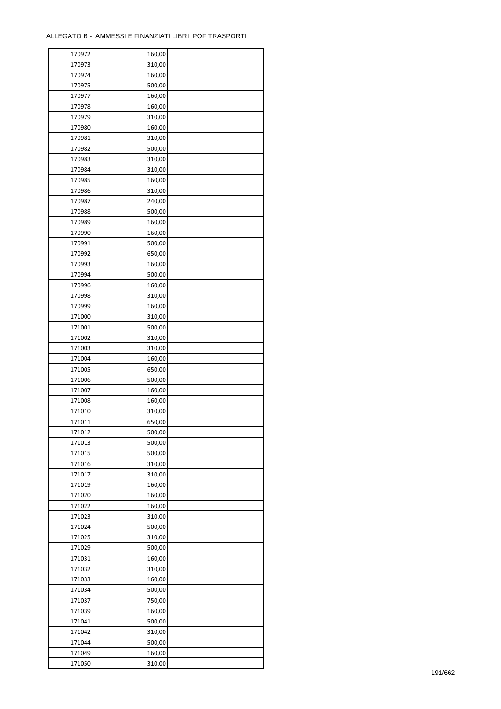| 170972 | 160,00           |  |
|--------|------------------|--|
| 170973 | 310,00           |  |
| 170974 | 160,00           |  |
| 170975 | 500,00           |  |
| 170977 | 160,00           |  |
| 170978 | 160,00           |  |
| 170979 | 310,00           |  |
| 170980 | 160,00           |  |
| 170981 | 310,00           |  |
| 170982 | 500,00           |  |
| 170983 | 310,00           |  |
| 170984 | 310,00           |  |
| 170985 | 160,00           |  |
| 170986 | 310,00           |  |
| 170987 | 240,00           |  |
| 170988 | 500,00           |  |
| 170989 | 160,00           |  |
| 170990 | 160,00           |  |
| 170991 | 500,00           |  |
| 170992 | 650,00           |  |
| 170993 | 160,00           |  |
| 170994 | 500,00           |  |
| 170996 | 160,00           |  |
| 170998 | 310,00           |  |
| 170999 | 160,00           |  |
| 171000 | 310,00           |  |
| 171001 | 500,00           |  |
| 171002 | 310,00           |  |
| 171003 | 310,00           |  |
| 171004 | 160,00           |  |
|        |                  |  |
| 171005 | 650,00<br>500,00 |  |
| 171006 |                  |  |
| 171007 | 160,00<br>160,00 |  |
| 171008 |                  |  |
| 171010 | 310,00           |  |
| 171011 | 650,00           |  |
| 171012 | 500,00           |  |
| 171013 | 500,00           |  |
| 171015 | 500,00           |  |
| 171016 | 310,00           |  |
| 171017 | 310,00           |  |
| 171019 | 160,00           |  |
| 171020 | 160,00           |  |
| 171022 | 160,00           |  |
| 171023 | 310,00           |  |
| 171024 | 500,00           |  |
| 171025 | 310,00           |  |
| 171029 | 500,00           |  |
| 171031 | 160,00           |  |
| 171032 | 310,00           |  |
| 171033 | 160,00           |  |
| 171034 | 500,00           |  |
| 171037 | 750,00           |  |
| 171039 | 160,00           |  |
| 171041 | 500,00           |  |
| 171042 | 310,00           |  |
| 171044 | 500,00           |  |
| 171049 | 160,00           |  |
| 171050 | 310,00           |  |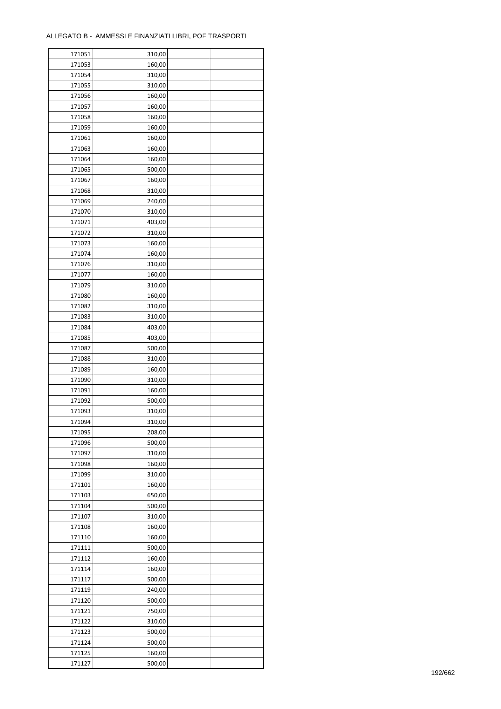÷

| 171051 | 310,00 |  |
|--------|--------|--|
| 171053 | 160,00 |  |
| 171054 | 310,00 |  |
| 171055 | 310,00 |  |
| 171056 | 160,00 |  |
| 171057 | 160,00 |  |
| 171058 | 160,00 |  |
| 171059 | 160,00 |  |
| 171061 | 160,00 |  |
| 171063 | 160,00 |  |
| 171064 | 160,00 |  |
| 171065 |        |  |
|        | 500,00 |  |
| 171067 | 160,00 |  |
| 171068 | 310,00 |  |
| 171069 | 240,00 |  |
| 171070 | 310,00 |  |
| 171071 | 403,00 |  |
| 171072 | 310,00 |  |
| 171073 | 160,00 |  |
| 171074 | 160,00 |  |
| 171076 | 310,00 |  |
| 171077 | 160,00 |  |
| 171079 | 310,00 |  |
| 171080 | 160,00 |  |
| 171082 | 310,00 |  |
| 171083 | 310,00 |  |
| 171084 | 403,00 |  |
| 171085 | 403,00 |  |
| 171087 | 500,00 |  |
| 171088 | 310,00 |  |
| 171089 | 160,00 |  |
| 171090 | 310,00 |  |
| 171091 | 160,00 |  |
| 171092 | 500,00 |  |
| 171093 | 310,00 |  |
| 171094 | 310,00 |  |
|        | 208,00 |  |
| 171095 |        |  |
| 171096 | 500,00 |  |
| 171097 | 310,00 |  |
| 171098 | 160,00 |  |
| 171099 | 310,00 |  |
| 171101 | 160,00 |  |
| 171103 | 650,00 |  |
| 171104 | 500,00 |  |
| 171107 | 310,00 |  |
| 171108 | 160,00 |  |
| 171110 | 160,00 |  |
| 171111 | 500,00 |  |
| 171112 | 160,00 |  |
| 171114 | 160,00 |  |
| 171117 | 500,00 |  |
| 171119 | 240,00 |  |
| 171120 | 500,00 |  |
| 171121 | 750,00 |  |
| 171122 | 310,00 |  |
| 171123 | 500,00 |  |
| 171124 | 500,00 |  |
| 171125 | 160,00 |  |
| 171127 | 500,00 |  |
|        |        |  |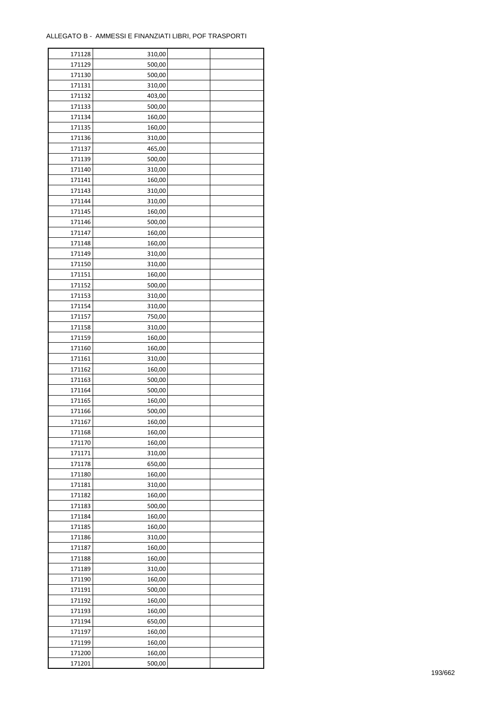| 171128 | 310,00 |  |
|--------|--------|--|
| 171129 | 500,00 |  |
| 171130 | 500,00 |  |
| 171131 | 310,00 |  |
| 171132 | 403,00 |  |
| 171133 | 500,00 |  |
| 171134 | 160,00 |  |
| 171135 | 160,00 |  |
| 171136 | 310,00 |  |
| 171137 | 465,00 |  |
| 171139 | 500,00 |  |
| 171140 |        |  |
|        | 310,00 |  |
| 171141 | 160,00 |  |
| 171143 | 310,00 |  |
| 171144 | 310,00 |  |
| 171145 | 160,00 |  |
| 171146 | 500,00 |  |
| 171147 | 160,00 |  |
| 171148 | 160,00 |  |
| 171149 | 310,00 |  |
| 171150 | 310,00 |  |
| 171151 | 160,00 |  |
| 171152 | 500,00 |  |
| 171153 | 310,00 |  |
| 171154 | 310,00 |  |
| 171157 | 750,00 |  |
| 171158 | 310,00 |  |
| 171159 | 160,00 |  |
| 171160 | 160,00 |  |
| 171161 | 310,00 |  |
| 171162 | 160,00 |  |
| 171163 | 500,00 |  |
| 171164 | 500,00 |  |
| 171165 | 160,00 |  |
| 171166 | 500,00 |  |
| 171167 | 160,00 |  |
| 171168 | 160,00 |  |
| 171170 | 160,00 |  |
| 171171 | 310,00 |  |
| 171178 | 650,00 |  |
| 171180 | 160,00 |  |
| 171181 | 310,00 |  |
| 171182 | 160,00 |  |
|        |        |  |
| 171183 | 500,00 |  |
| 171184 | 160,00 |  |
| 171185 | 160,00 |  |
| 171186 | 310,00 |  |
| 171187 | 160,00 |  |
| 171188 | 160,00 |  |
| 171189 | 310,00 |  |
| 171190 | 160,00 |  |
| 171191 | 500,00 |  |
| 171192 | 160,00 |  |
| 171193 | 160,00 |  |
| 171194 | 650,00 |  |
| 171197 | 160,00 |  |
| 171199 | 160,00 |  |
| 171200 | 160,00 |  |
| 171201 | 500,00 |  |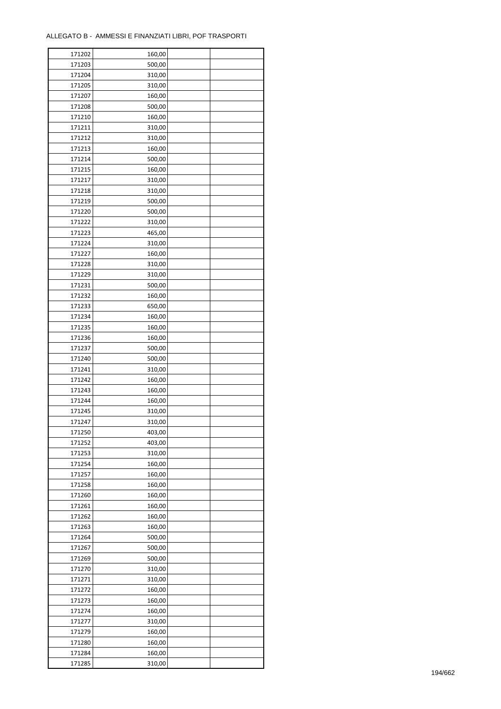| 171202 | 160,00 |  |
|--------|--------|--|
| 171203 | 500,00 |  |
| 171204 | 310,00 |  |
| 171205 | 310,00 |  |
| 171207 | 160,00 |  |
| 171208 | 500,00 |  |
| 171210 | 160,00 |  |
| 171211 | 310,00 |  |
| 171212 | 310,00 |  |
| 171213 | 160,00 |  |
| 171214 | 500,00 |  |
| 171215 | 160,00 |  |
| 171217 | 310,00 |  |
| 171218 | 310,00 |  |
| 171219 | 500,00 |  |
| 171220 | 500,00 |  |
| 171222 | 310,00 |  |
|        |        |  |
| 171223 | 465,00 |  |
| 171224 | 310,00 |  |
| 171227 | 160,00 |  |
| 171228 | 310,00 |  |
| 171229 | 310,00 |  |
| 171231 | 500,00 |  |
| 171232 | 160,00 |  |
| 171233 | 650,00 |  |
| 171234 | 160,00 |  |
| 171235 | 160,00 |  |
| 171236 | 160,00 |  |
| 171237 | 500,00 |  |
| 171240 | 500,00 |  |
| 171241 | 310,00 |  |
| 171242 | 160,00 |  |
| 171243 | 160,00 |  |
| 171244 | 160,00 |  |
| 171245 | 310,00 |  |
| 171247 | 310,00 |  |
| 171250 | 403,00 |  |
| 171252 | 403,00 |  |
| 171253 | 310,00 |  |
| 171254 | 160,00 |  |
| 171257 | 160,00 |  |
| 171258 | 160,00 |  |
| 171260 | 160,00 |  |
| 171261 | 160,00 |  |
| 171262 | 160,00 |  |
| 171263 | 160,00 |  |
| 171264 | 500,00 |  |
| 171267 | 500,00 |  |
| 171269 | 500,00 |  |
| 171270 | 310,00 |  |
| 171271 | 310,00 |  |
| 171272 | 160,00 |  |
| 171273 | 160,00 |  |
| 171274 | 160,00 |  |
| 171277 | 310,00 |  |
| 171279 | 160,00 |  |
| 171280 | 160,00 |  |
| 171284 | 160,00 |  |
| 171285 |        |  |
|        | 310,00 |  |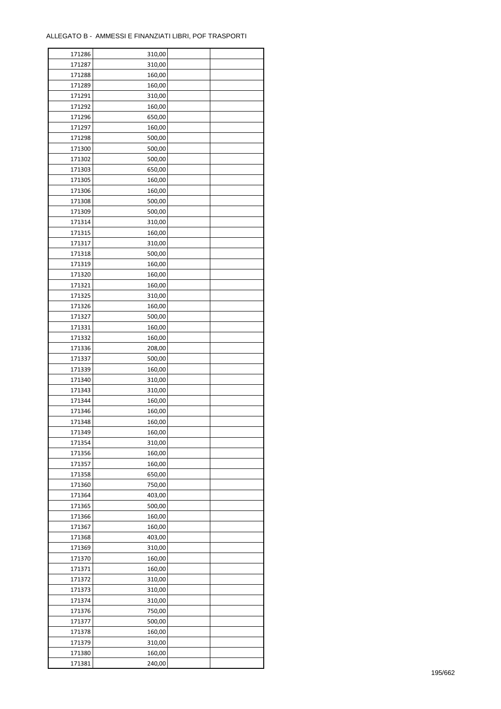÷

| 171286 | 310,00 |  |
|--------|--------|--|
| 171287 | 310,00 |  |
| 171288 | 160,00 |  |
| 171289 | 160,00 |  |
| 171291 | 310,00 |  |
| 171292 | 160,00 |  |
| 171296 | 650,00 |  |
| 171297 | 160,00 |  |
| 171298 | 500,00 |  |
| 171300 | 500,00 |  |
| 171302 | 500,00 |  |
| 171303 | 650,00 |  |
| 171305 | 160,00 |  |
| 171306 | 160,00 |  |
| 171308 | 500,00 |  |
| 171309 | 500,00 |  |
| 171314 | 310,00 |  |
| 171315 | 160,00 |  |
|        |        |  |
| 171317 | 310,00 |  |
| 171318 | 500,00 |  |
| 171319 | 160,00 |  |
| 171320 | 160,00 |  |
| 171321 | 160,00 |  |
| 171325 | 310,00 |  |
| 171326 | 160,00 |  |
| 171327 | 500,00 |  |
| 171331 | 160,00 |  |
| 171332 | 160,00 |  |
| 171336 | 208,00 |  |
| 171337 | 500,00 |  |
| 171339 | 160,00 |  |
| 171340 | 310,00 |  |
| 171343 | 310,00 |  |
| 171344 | 160,00 |  |
| 171346 | 160,00 |  |
| 171348 | 160,00 |  |
| 171349 | 160,00 |  |
| 171354 | 310,00 |  |
| 171356 | 160,00 |  |
| 171357 | 160,00 |  |
| 171358 | 650,00 |  |
| 171360 | 750,00 |  |
| 171364 | 403,00 |  |
| 171365 | 500,00 |  |
| 171366 | 160,00 |  |
| 171367 | 160,00 |  |
| 171368 | 403,00 |  |
| 171369 | 310,00 |  |
| 171370 | 160,00 |  |
| 171371 | 160,00 |  |
| 171372 | 310,00 |  |
| 171373 | 310,00 |  |
| 171374 | 310,00 |  |
| 171376 | 750,00 |  |
| 171377 | 500,00 |  |
| 171378 | 160,00 |  |
| 171379 | 310,00 |  |
| 171380 | 160,00 |  |
| 171381 | 240,00 |  |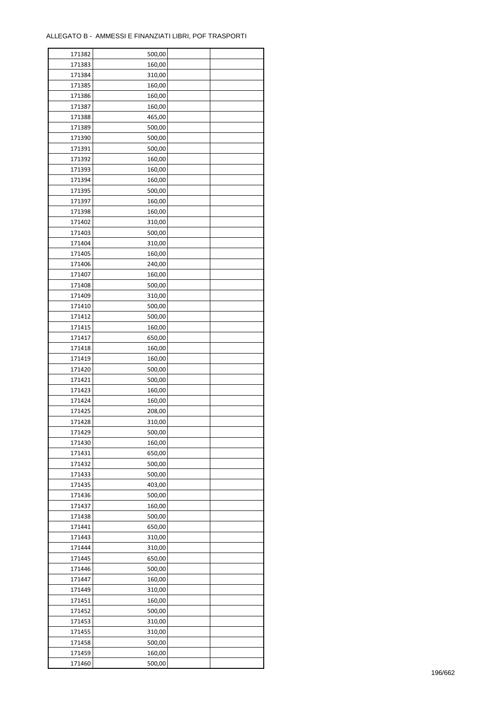| 171382 | 500,00 |  |
|--------|--------|--|
| 171383 | 160,00 |  |
| 171384 | 310,00 |  |
| 171385 | 160,00 |  |
| 171386 | 160,00 |  |
| 171387 | 160,00 |  |
| 171388 | 465,00 |  |
| 171389 | 500,00 |  |
| 171390 | 500,00 |  |
| 171391 | 500,00 |  |
| 171392 | 160,00 |  |
| 171393 | 160,00 |  |
|        |        |  |
| 171394 | 160,00 |  |
| 171395 | 500,00 |  |
| 171397 | 160,00 |  |
| 171398 | 160,00 |  |
| 171402 | 310,00 |  |
| 171403 | 500,00 |  |
| 171404 | 310,00 |  |
| 171405 | 160,00 |  |
| 171406 | 240,00 |  |
| 171407 | 160,00 |  |
| 171408 | 500,00 |  |
| 171409 | 310,00 |  |
| 171410 | 500,00 |  |
| 171412 | 500,00 |  |
| 171415 | 160,00 |  |
| 171417 | 650,00 |  |
| 171418 | 160,00 |  |
| 171419 | 160,00 |  |
| 171420 | 500,00 |  |
| 171421 | 500,00 |  |
| 171423 | 160,00 |  |
| 171424 | 160,00 |  |
| 171425 | 208,00 |  |
| 171428 | 310,00 |  |
|        | 500,00 |  |
| 171429 |        |  |
| 171430 | 160,00 |  |
| 171431 | 650,00 |  |
| 171432 | 500,00 |  |
| 171433 | 500,00 |  |
| 171435 | 403,00 |  |
| 171436 | 500,00 |  |
| 171437 | 160,00 |  |
| 171438 | 500,00 |  |
| 171441 | 650,00 |  |
| 171443 | 310,00 |  |
| 171444 | 310,00 |  |
| 171445 | 650,00 |  |
| 171446 | 500,00 |  |
| 171447 | 160,00 |  |
| 171449 | 310,00 |  |
| 171451 | 160,00 |  |
| 171452 | 500,00 |  |
| 171453 | 310,00 |  |
| 171455 | 310,00 |  |
| 171458 | 500,00 |  |
| 171459 | 160,00 |  |
| 171460 |        |  |
|        | 500,00 |  |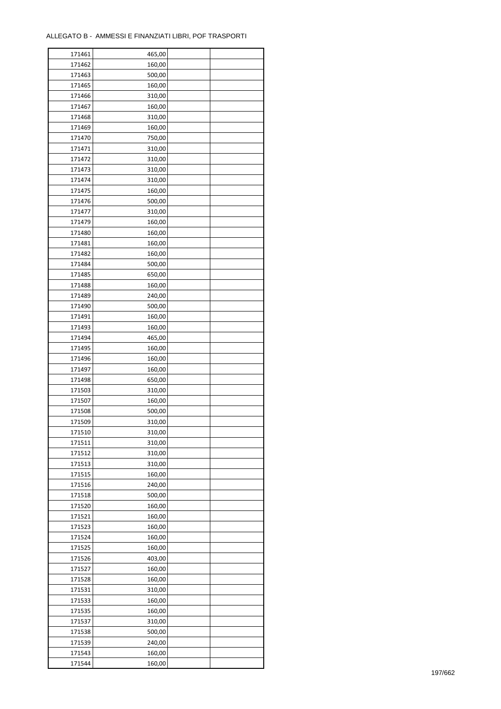| 171461 | 465,00 |  |
|--------|--------|--|
| 171462 | 160,00 |  |
| 171463 | 500,00 |  |
| 171465 | 160,00 |  |
| 171466 | 310,00 |  |
| 171467 | 160,00 |  |
| 171468 | 310,00 |  |
| 171469 | 160,00 |  |
| 171470 | 750,00 |  |
| 171471 | 310,00 |  |
| 171472 | 310,00 |  |
| 171473 | 310,00 |  |
| 171474 |        |  |
|        | 310,00 |  |
| 171475 | 160,00 |  |
| 171476 | 500,00 |  |
| 171477 | 310,00 |  |
| 171479 | 160,00 |  |
| 171480 | 160,00 |  |
| 171481 | 160,00 |  |
| 171482 | 160,00 |  |
| 171484 | 500,00 |  |
| 171485 | 650,00 |  |
| 171488 | 160,00 |  |
| 171489 | 240,00 |  |
| 171490 | 500,00 |  |
| 171491 | 160,00 |  |
| 171493 | 160,00 |  |
| 171494 | 465,00 |  |
| 171495 | 160,00 |  |
| 171496 | 160,00 |  |
| 171497 | 160,00 |  |
| 171498 | 650,00 |  |
| 171503 | 310,00 |  |
| 171507 | 160,00 |  |
| 171508 | 500,00 |  |
| 171509 | 310,00 |  |
|        | 310,00 |  |
| 171510 |        |  |
| 171511 | 310,00 |  |
| 171512 | 310,00 |  |
| 171513 | 310,00 |  |
| 171515 | 160,00 |  |
| 171516 | 240,00 |  |
| 171518 | 500,00 |  |
| 171520 | 160,00 |  |
| 171521 | 160,00 |  |
| 171523 | 160,00 |  |
| 171524 | 160,00 |  |
| 171525 | 160,00 |  |
| 171526 | 403,00 |  |
| 171527 | 160,00 |  |
| 171528 | 160,00 |  |
| 171531 | 310,00 |  |
| 171533 | 160,00 |  |
| 171535 | 160,00 |  |
| 171537 | 310,00 |  |
| 171538 | 500,00 |  |
| 171539 | 240,00 |  |
| 171543 | 160,00 |  |
|        |        |  |
| 171544 | 160,00 |  |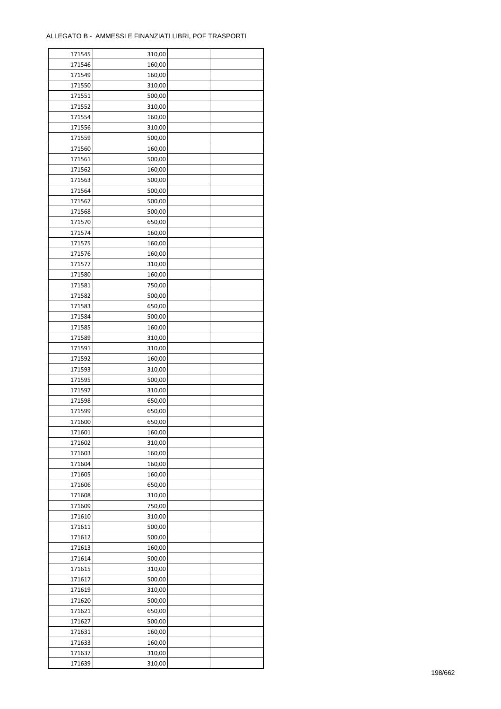ř

| 171545 | 310,00 |  |
|--------|--------|--|
| 171546 | 160,00 |  |
| 171549 | 160,00 |  |
| 171550 | 310,00 |  |
| 171551 | 500,00 |  |
| 171552 | 310,00 |  |
| 171554 | 160,00 |  |
| 171556 | 310,00 |  |
| 171559 | 500,00 |  |
| 171560 | 160,00 |  |
| 171561 | 500,00 |  |
| 171562 |        |  |
|        | 160,00 |  |
| 171563 | 500,00 |  |
| 171564 | 500,00 |  |
| 171567 | 500,00 |  |
| 171568 | 500,00 |  |
| 171570 | 650,00 |  |
| 171574 | 160,00 |  |
| 171575 | 160,00 |  |
| 171576 | 160,00 |  |
| 171577 | 310,00 |  |
| 171580 | 160,00 |  |
| 171581 | 750,00 |  |
| 171582 | 500,00 |  |
| 171583 | 650,00 |  |
| 171584 | 500,00 |  |
| 171585 | 160,00 |  |
| 171589 | 310,00 |  |
| 171591 | 310,00 |  |
| 171592 | 160,00 |  |
| 171593 | 310,00 |  |
| 171595 | 500,00 |  |
| 171597 |        |  |
|        | 310,00 |  |
| 171598 | 650,00 |  |
| 171599 | 650,00 |  |
| 171600 | 650,00 |  |
| 171601 | 160,00 |  |
| 171602 | 310,00 |  |
| 171603 | 160,00 |  |
| 171604 | 160,00 |  |
| 171605 | 160,00 |  |
| 171606 | 650,00 |  |
| 171608 | 310,00 |  |
| 171609 | 750,00 |  |
| 171610 | 310,00 |  |
| 171611 | 500,00 |  |
| 171612 | 500,00 |  |
| 171613 | 160,00 |  |
| 171614 | 500,00 |  |
| 171615 | 310,00 |  |
| 171617 | 500,00 |  |
| 171619 | 310,00 |  |
| 171620 | 500,00 |  |
| 171621 | 650,00 |  |
|        |        |  |
| 171627 | 500,00 |  |
| 171631 | 160,00 |  |
| 171633 | 160,00 |  |
| 171637 | 310,00 |  |
| 171639 | 310,00 |  |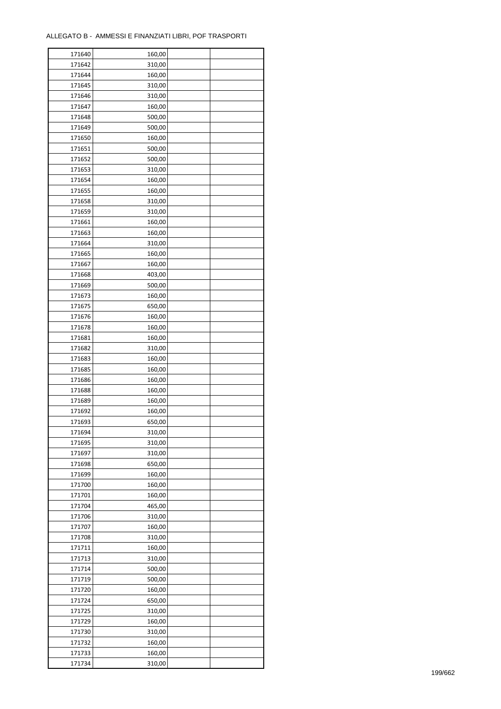| 171640 | 160,00 |  |
|--------|--------|--|
| 171642 | 310,00 |  |
| 171644 | 160,00 |  |
| 171645 | 310,00 |  |
| 171646 | 310,00 |  |
| 171647 | 160,00 |  |
| 171648 | 500,00 |  |
| 171649 | 500,00 |  |
| 171650 | 160,00 |  |
| 171651 | 500,00 |  |
| 171652 | 500,00 |  |
| 171653 |        |  |
|        | 310,00 |  |
| 171654 | 160,00 |  |
| 171655 | 160,00 |  |
| 171658 | 310,00 |  |
| 171659 | 310,00 |  |
| 171661 | 160,00 |  |
| 171663 | 160,00 |  |
| 171664 | 310,00 |  |
| 171665 | 160,00 |  |
| 171667 | 160,00 |  |
| 171668 | 403,00 |  |
| 171669 | 500,00 |  |
| 171673 | 160,00 |  |
| 171675 | 650,00 |  |
| 171676 | 160,00 |  |
| 171678 | 160,00 |  |
| 171681 | 160,00 |  |
| 171682 | 310,00 |  |
| 171683 | 160,00 |  |
| 171685 | 160,00 |  |
| 171686 | 160,00 |  |
| 171688 | 160,00 |  |
| 171689 | 160,00 |  |
| 171692 | 160,00 |  |
| 171693 | 650,00 |  |
|        |        |  |
| 171694 | 310,00 |  |
| 171695 | 310,00 |  |
| 171697 | 310,00 |  |
| 171698 | 650,00 |  |
| 171699 | 160,00 |  |
| 171700 | 160,00 |  |
| 171701 | 160,00 |  |
| 171704 | 465,00 |  |
| 171706 | 310,00 |  |
| 171707 | 160,00 |  |
| 171708 | 310,00 |  |
| 171711 | 160,00 |  |
| 171713 | 310,00 |  |
| 171714 | 500,00 |  |
| 171719 | 500,00 |  |
| 171720 | 160,00 |  |
| 171724 | 650,00 |  |
| 171725 | 310,00 |  |
| 171729 | 160,00 |  |
| 171730 | 310,00 |  |
| 171732 | 160,00 |  |
| 171733 | 160,00 |  |
| 171734 |        |  |
|        | 310,00 |  |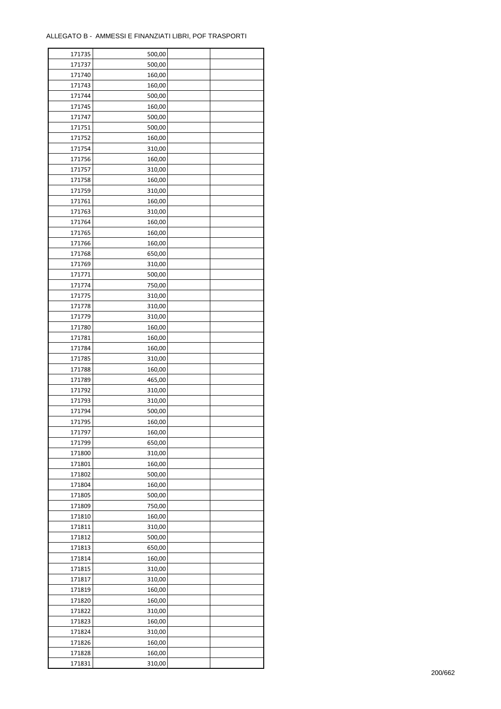| 171735 | 500,00 |  |
|--------|--------|--|
| 171737 | 500,00 |  |
| 171740 | 160,00 |  |
| 171743 | 160,00 |  |
| 171744 | 500,00 |  |
| 171745 | 160,00 |  |
| 171747 | 500,00 |  |
| 171751 | 500,00 |  |
| 171752 | 160,00 |  |
| 171754 | 310,00 |  |
| 171756 | 160,00 |  |
| 171757 | 310,00 |  |
| 171758 | 160,00 |  |
| 171759 | 310,00 |  |
| 171761 | 160,00 |  |
| 171763 | 310,00 |  |
| 171764 | 160,00 |  |
| 171765 | 160,00 |  |
| 171766 | 160,00 |  |
| 171768 | 650,00 |  |
| 171769 | 310,00 |  |
| 171771 | 500,00 |  |
| 171774 | 750,00 |  |
| 171775 | 310,00 |  |
| 171778 | 310,00 |  |
|        |        |  |
| 171779 | 310,00 |  |
| 171780 | 160,00 |  |
| 171781 | 160,00 |  |
| 171784 | 160,00 |  |
| 171785 | 310,00 |  |
| 171788 | 160,00 |  |
| 171789 | 465,00 |  |
| 171792 | 310,00 |  |
| 171793 | 310,00 |  |
| 171794 | 500,00 |  |
| 171795 | 160,00 |  |
| 171797 | 160,00 |  |
| 171799 | 650,00 |  |
| 171800 | 310,00 |  |
| 171801 | 160,00 |  |
| 171802 | 500,00 |  |
| 171804 | 160,00 |  |
| 171805 | 500,00 |  |
| 171809 | 750,00 |  |
| 171810 | 160,00 |  |
| 171811 | 310,00 |  |
| 171812 | 500,00 |  |
| 171813 | 650,00 |  |
| 171814 | 160,00 |  |
| 171815 | 310,00 |  |
| 171817 | 310,00 |  |
| 171819 | 160,00 |  |
| 171820 | 160,00 |  |
| 171822 | 310,00 |  |
| 171823 | 160,00 |  |
| 171824 | 310,00 |  |
| 171826 | 160,00 |  |
| 171828 | 160,00 |  |
| 171831 | 310,00 |  |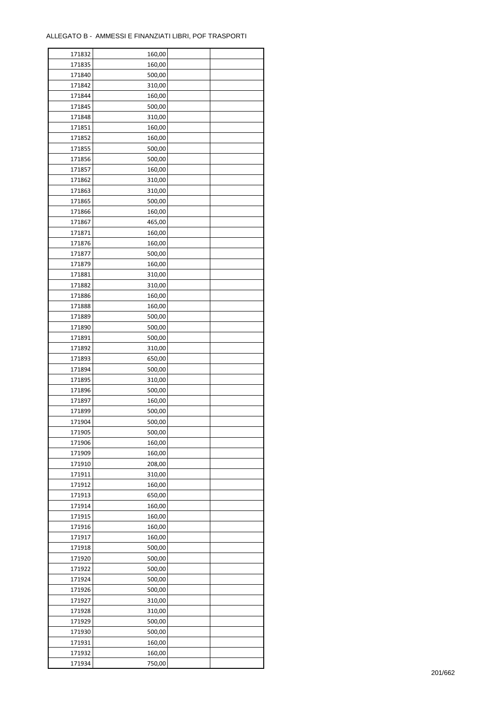ř

| 171832 | 160,00 |  |
|--------|--------|--|
| 171835 | 160,00 |  |
| 171840 | 500,00 |  |
| 171842 | 310,00 |  |
| 171844 | 160,00 |  |
| 171845 | 500,00 |  |
| 171848 | 310,00 |  |
| 171851 | 160,00 |  |
| 171852 | 160,00 |  |
| 171855 | 500,00 |  |
| 171856 | 500,00 |  |
| 171857 | 160,00 |  |
| 171862 | 310,00 |  |
| 171863 | 310,00 |  |
| 171865 |        |  |
|        | 500,00 |  |
| 171866 | 160,00 |  |
| 171867 | 465,00 |  |
| 171871 | 160,00 |  |
| 171876 | 160,00 |  |
| 171877 | 500,00 |  |
| 171879 | 160,00 |  |
| 171881 | 310,00 |  |
| 171882 | 310,00 |  |
| 171886 | 160,00 |  |
| 171888 | 160,00 |  |
| 171889 | 500,00 |  |
| 171890 | 500,00 |  |
| 171891 | 500,00 |  |
| 171892 | 310,00 |  |
| 171893 | 650,00 |  |
| 171894 | 500,00 |  |
| 171895 | 310,00 |  |
| 171896 | 500,00 |  |
| 171897 | 160,00 |  |
| 171899 | 500,00 |  |
| 171904 | 500,00 |  |
| 171905 | 500,00 |  |
| 171906 | 160,00 |  |
| 171909 | 160,00 |  |
| 171910 | 208,00 |  |
| 171911 | 310,00 |  |
| 171912 | 160,00 |  |
| 171913 | 650,00 |  |
| 171914 | 160,00 |  |
| 171915 | 160,00 |  |
| 171916 | 160,00 |  |
| 171917 | 160,00 |  |
|        |        |  |
| 171918 | 500,00 |  |
| 171920 | 500,00 |  |
| 171922 | 500,00 |  |
| 171924 | 500,00 |  |
| 171926 | 500,00 |  |
| 171927 | 310,00 |  |
| 171928 | 310,00 |  |
| 171929 | 500,00 |  |
| 171930 | 500,00 |  |
| 171931 | 160,00 |  |
| 171932 | 160,00 |  |
| 171934 | 750,00 |  |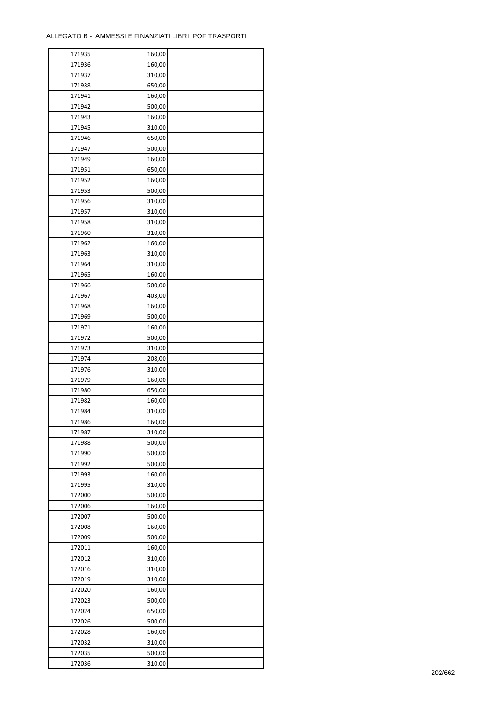| 171935           | 160,00           |  |
|------------------|------------------|--|
| 171936           | 160,00           |  |
| 171937           | 310,00           |  |
| 171938           | 650,00           |  |
| 171941           | 160,00           |  |
| 171942           | 500,00           |  |
| 171943           | 160,00           |  |
| 171945           | 310,00           |  |
| 171946           | 650,00           |  |
| 171947           | 500,00           |  |
| 171949           | 160,00           |  |
| 171951           |                  |  |
|                  | 650,00           |  |
| 171952           | 160,00           |  |
| 171953           | 500,00           |  |
| 171956           | 310,00           |  |
| 171957           | 310,00           |  |
| 171958           | 310,00           |  |
| 171960           | 310,00           |  |
| 171962           | 160,00           |  |
| 171963           | 310,00           |  |
| 171964           | 310,00           |  |
| 171965           | 160,00           |  |
| 171966           | 500,00           |  |
| 171967           | 403,00           |  |
| 171968           | 160,00           |  |
| 171969           | 500,00           |  |
| 171971           | 160,00           |  |
| 171972           | 500,00           |  |
| 171973           | 310,00           |  |
| 171974           | 208,00           |  |
| 171976           | 310,00           |  |
| 171979           | 160,00           |  |
| 171980           | 650,00           |  |
| 171982           | 160,00           |  |
| 171984           | 310,00           |  |
| 171986           | 160,00           |  |
|                  |                  |  |
| 171987<br>171988 | 310,00<br>500,00 |  |
|                  |                  |  |
| 171990           | 500,00           |  |
| 171992           | 500,00           |  |
| 171993           | 160,00           |  |
| 171995           | 310,00           |  |
| 172000           | 500,00           |  |
| 172006           | 160,00           |  |
| 172007           | 500,00           |  |
| 172008           | 160,00           |  |
| 172009           | 500,00           |  |
| 172011           | 160,00           |  |
| 172012           | 310,00           |  |
| 172016           | 310,00           |  |
| 172019           | 310,00           |  |
| 172020           | 160,00           |  |
| 172023           | 500,00           |  |
| 172024           | 650,00           |  |
| 172026           | 500,00           |  |
| 172028           | 160,00           |  |
| 172032           | 310,00           |  |
| 172035           | 500,00           |  |
| 172036           | 310,00           |  |
|                  |                  |  |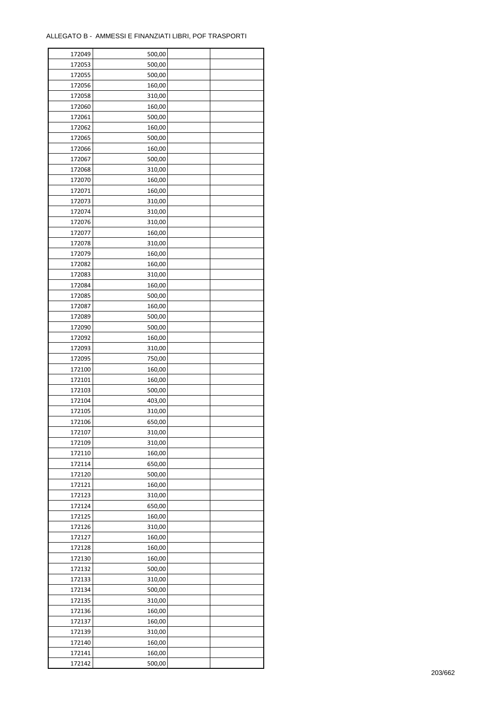| 172049 | 500,00 |  |
|--------|--------|--|
| 172053 | 500,00 |  |
| 172055 | 500,00 |  |
| 172056 | 160,00 |  |
| 172058 | 310,00 |  |
| 172060 | 160,00 |  |
| 172061 | 500,00 |  |
| 172062 | 160,00 |  |
| 172065 | 500,00 |  |
| 172066 | 160,00 |  |
| 172067 | 500,00 |  |
| 172068 | 310,00 |  |
| 172070 | 160,00 |  |
| 172071 |        |  |
|        | 160,00 |  |
| 172073 | 310,00 |  |
| 172074 | 310,00 |  |
| 172076 | 310,00 |  |
| 172077 | 160,00 |  |
| 172078 | 310,00 |  |
| 172079 | 160,00 |  |
| 172082 | 160,00 |  |
| 172083 | 310,00 |  |
| 172084 | 160,00 |  |
| 172085 | 500,00 |  |
| 172087 | 160,00 |  |
| 172089 | 500,00 |  |
| 172090 | 500,00 |  |
| 172092 | 160,00 |  |
| 172093 | 310,00 |  |
| 172095 | 750,00 |  |
| 172100 | 160,00 |  |
| 172101 | 160,00 |  |
| 172103 | 500,00 |  |
| 172104 | 403,00 |  |
| 172105 | 310,00 |  |
| 172106 | 650,00 |  |
| 172107 | 310,00 |  |
| 172109 | 310,00 |  |
| 172110 | 160,00 |  |
| 172114 | 650,00 |  |
| 172120 | 500,00 |  |
| 172121 | 160,00 |  |
| 172123 | 310,00 |  |
| 172124 | 650,00 |  |
| 172125 | 160,00 |  |
| 172126 | 310,00 |  |
|        |        |  |
| 172127 | 160,00 |  |
| 172128 | 160,00 |  |
| 172130 | 160,00 |  |
| 172132 | 500,00 |  |
| 172133 | 310,00 |  |
| 172134 | 500,00 |  |
| 172135 | 310,00 |  |
| 172136 | 160,00 |  |
| 172137 | 160,00 |  |
| 172139 | 310,00 |  |
| 172140 | 160,00 |  |
| 172141 | 160,00 |  |
| 172142 | 500,00 |  |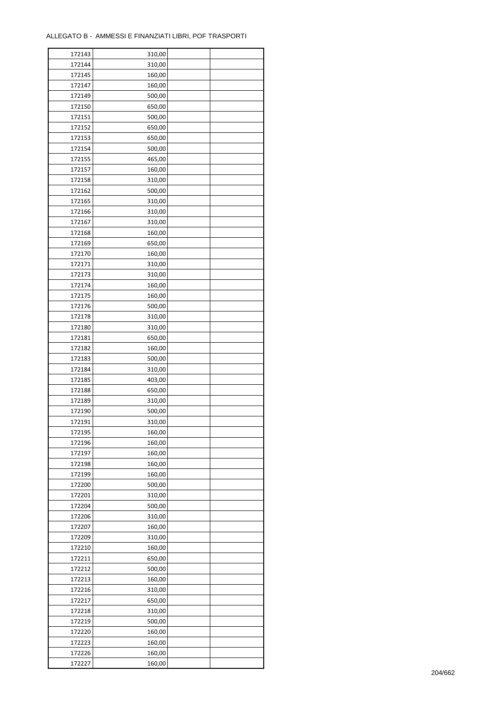| 172143 | 310,00 |  |
|--------|--------|--|
| 172144 | 310,00 |  |
| 172145 | 160,00 |  |
| 172147 | 160,00 |  |
| 172149 | 500,00 |  |
| 172150 | 650,00 |  |
| 172151 | 500,00 |  |
| 172152 | 650,00 |  |
| 172153 | 650,00 |  |
| 172154 | 500,00 |  |
| 172155 | 465,00 |  |
| 172157 | 160,00 |  |
|        |        |  |
| 172158 | 310,00 |  |
| 172162 | 500,00 |  |
| 172165 | 310,00 |  |
| 172166 | 310,00 |  |
| 172167 | 310,00 |  |
| 172168 | 160,00 |  |
| 172169 | 650,00 |  |
| 172170 | 160,00 |  |
| 172171 | 310,00 |  |
| 172173 | 310,00 |  |
| 172174 | 160,00 |  |
| 172175 | 160,00 |  |
| 172176 | 500,00 |  |
| 172178 | 310,00 |  |
| 172180 | 310,00 |  |
| 172181 | 650,00 |  |
| 172182 | 160,00 |  |
| 172183 | 500,00 |  |
| 172184 | 310,00 |  |
| 172185 | 403,00 |  |
| 172188 | 650,00 |  |
| 172189 | 310,00 |  |
| 172190 | 500,00 |  |
| 172191 | 310,00 |  |
| 172195 | 160,00 |  |
| 172196 | 160,00 |  |
| 172197 |        |  |
|        | 160,00 |  |
| 172198 | 160,00 |  |
| 172199 | 160,00 |  |
| 172200 | 500,00 |  |
| 172201 | 310,00 |  |
| 172204 | 500,00 |  |
| 172206 | 310,00 |  |
| 172207 | 160,00 |  |
| 172209 | 310,00 |  |
| 172210 | 160,00 |  |
| 172211 | 650,00 |  |
| 172212 | 500,00 |  |
| 172213 | 160,00 |  |
| 172216 | 310,00 |  |
| 172217 | 650,00 |  |
| 172218 | 310,00 |  |
| 172219 | 500,00 |  |
| 172220 | 160,00 |  |
| 172223 | 160,00 |  |
| 172226 | 160,00 |  |
| 172227 | 160,00 |  |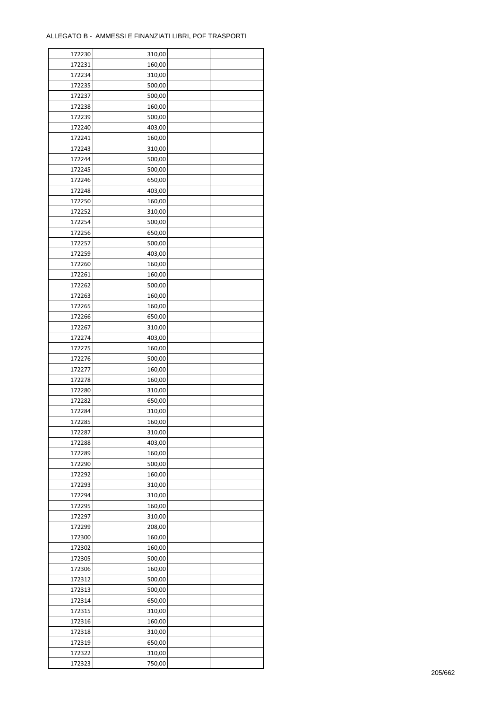| 172230 | 310,00 |  |
|--------|--------|--|
| 172231 | 160,00 |  |
| 172234 | 310,00 |  |
| 172235 | 500,00 |  |
| 172237 | 500,00 |  |
| 172238 | 160,00 |  |
| 172239 | 500,00 |  |
| 172240 | 403,00 |  |
| 172241 | 160,00 |  |
| 172243 | 310,00 |  |
| 172244 | 500,00 |  |
| 172245 | 500,00 |  |
| 172246 | 650,00 |  |
|        |        |  |
| 172248 | 403,00 |  |
| 172250 | 160,00 |  |
| 172252 | 310,00 |  |
| 172254 | 500,00 |  |
| 172256 | 650,00 |  |
| 172257 | 500,00 |  |
| 172259 | 403,00 |  |
| 172260 | 160,00 |  |
| 172261 | 160,00 |  |
| 172262 | 500,00 |  |
| 172263 | 160,00 |  |
| 172265 | 160,00 |  |
| 172266 | 650,00 |  |
| 172267 | 310,00 |  |
| 172274 | 403,00 |  |
| 172275 | 160,00 |  |
| 172276 | 500,00 |  |
| 172277 | 160,00 |  |
| 172278 | 160,00 |  |
| 172280 | 310,00 |  |
| 172282 | 650,00 |  |
| 172284 | 310,00 |  |
| 172285 | 160,00 |  |
| 172287 | 310,00 |  |
| 172288 | 403,00 |  |
| 172289 | 160,00 |  |
| 172290 | 500,00 |  |
| 172292 | 160,00 |  |
| 172293 | 310,00 |  |
| 172294 | 310,00 |  |
| 172295 | 160,00 |  |
| 172297 | 310,00 |  |
| 172299 | 208,00 |  |
| 172300 | 160,00 |  |
| 172302 | 160,00 |  |
| 172305 | 500,00 |  |
| 172306 | 160,00 |  |
| 172312 | 500,00 |  |
| 172313 | 500,00 |  |
| 172314 | 650,00 |  |
| 172315 | 310,00 |  |
| 172316 | 160,00 |  |
| 172318 | 310,00 |  |
| 172319 | 650,00 |  |
| 172322 | 310,00 |  |
| 172323 |        |  |
|        | 750,00 |  |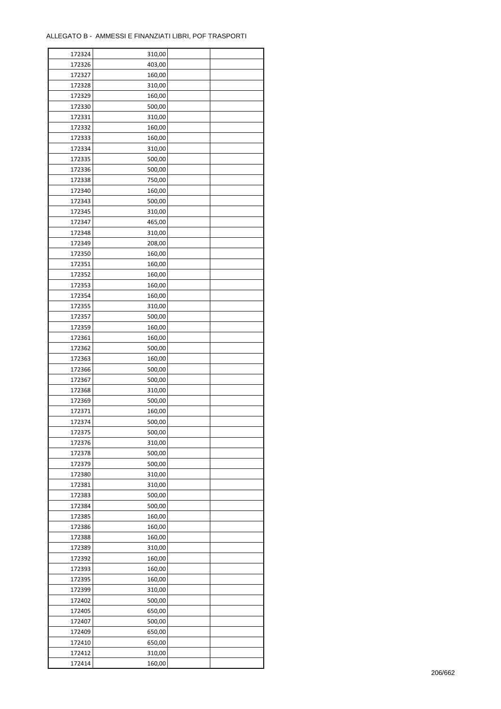| 172324 | 310,00 |  |
|--------|--------|--|
| 172326 | 403,00 |  |
| 172327 | 160,00 |  |
| 172328 | 310,00 |  |
| 172329 | 160,00 |  |
| 172330 | 500,00 |  |
| 172331 | 310,00 |  |
| 172332 | 160,00 |  |
| 172333 | 160,00 |  |
| 172334 | 310,00 |  |
|        |        |  |
| 172335 | 500,00 |  |
| 172336 | 500,00 |  |
| 172338 | 750,00 |  |
| 172340 | 160,00 |  |
| 172343 | 500,00 |  |
| 172345 | 310,00 |  |
| 172347 | 465,00 |  |
| 172348 | 310,00 |  |
| 172349 | 208,00 |  |
| 172350 | 160,00 |  |
| 172351 | 160,00 |  |
| 172352 | 160,00 |  |
| 172353 | 160,00 |  |
| 172354 | 160,00 |  |
| 172355 | 310,00 |  |
| 172357 | 500,00 |  |
| 172359 | 160,00 |  |
| 172361 | 160,00 |  |
| 172362 | 500,00 |  |
| 172363 | 160,00 |  |
| 172366 | 500,00 |  |
| 172367 | 500,00 |  |
|        |        |  |
| 172368 | 310,00 |  |
| 172369 | 500,00 |  |
| 172371 | 160,00 |  |
| 172374 | 500,00 |  |
| 172375 | 500,00 |  |
| 172376 | 310,00 |  |
| 172378 | 500,00 |  |
| 172379 | 500,00 |  |
| 172380 | 310,00 |  |
| 172381 | 310,00 |  |
| 172383 | 500,00 |  |
| 172384 | 500,00 |  |
| 172385 | 160,00 |  |
| 172386 | 160,00 |  |
| 172388 | 160,00 |  |
| 172389 | 310,00 |  |
| 172392 | 160,00 |  |
| 172393 | 160,00 |  |
| 172395 | 160,00 |  |
| 172399 | 310,00 |  |
| 172402 | 500,00 |  |
|        |        |  |
| 172405 | 650,00 |  |
| 172407 | 500,00 |  |
| 172409 | 650,00 |  |
| 172410 | 650,00 |  |
| 172412 | 310,00 |  |
| 172414 | 160,00 |  |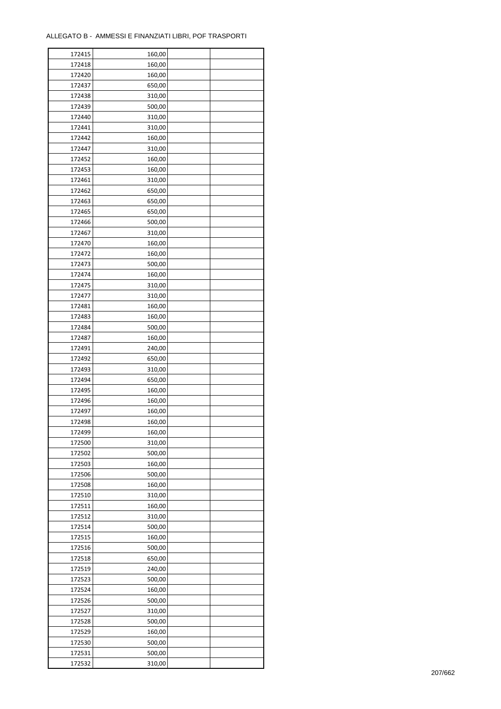| 172415 | 160,00 |  |
|--------|--------|--|
| 172418 | 160,00 |  |
| 172420 | 160,00 |  |
| 172437 | 650,00 |  |
| 172438 | 310,00 |  |
| 172439 | 500,00 |  |
| 172440 | 310,00 |  |
| 172441 | 310,00 |  |
| 172442 | 160,00 |  |
| 172447 | 310,00 |  |
| 172452 | 160,00 |  |
| 172453 | 160,00 |  |
| 172461 | 310,00 |  |
|        |        |  |
| 172462 | 650,00 |  |
| 172463 | 650,00 |  |
| 172465 | 650,00 |  |
| 172466 | 500,00 |  |
| 172467 | 310,00 |  |
| 172470 | 160,00 |  |
| 172472 | 160,00 |  |
| 172473 | 500,00 |  |
| 172474 | 160,00 |  |
| 172475 | 310,00 |  |
| 172477 | 310,00 |  |
| 172481 | 160,00 |  |
| 172483 | 160,00 |  |
| 172484 | 500,00 |  |
| 172487 | 160,00 |  |
| 172491 | 240,00 |  |
| 172492 | 650,00 |  |
| 172493 | 310,00 |  |
| 172494 | 650,00 |  |
| 172495 | 160,00 |  |
| 172496 | 160,00 |  |
| 172497 | 160,00 |  |
| 172498 | 160,00 |  |
| 172499 | 160,00 |  |
| 172500 | 310,00 |  |
|        |        |  |
| 172502 | 500,00 |  |
| 172503 | 160,00 |  |
| 172506 | 500,00 |  |
| 172508 | 160,00 |  |
| 172510 | 310,00 |  |
| 172511 | 160,00 |  |
| 172512 | 310,00 |  |
| 172514 | 500,00 |  |
| 172515 | 160,00 |  |
| 172516 | 500,00 |  |
| 172518 | 650,00 |  |
| 172519 | 240,00 |  |
| 172523 | 500,00 |  |
| 172524 | 160,00 |  |
| 172526 | 500,00 |  |
| 172527 | 310,00 |  |
| 172528 | 500,00 |  |
| 172529 | 160,00 |  |
| 172530 | 500,00 |  |
| 172531 | 500,00 |  |
| 172532 | 310,00 |  |
|        |        |  |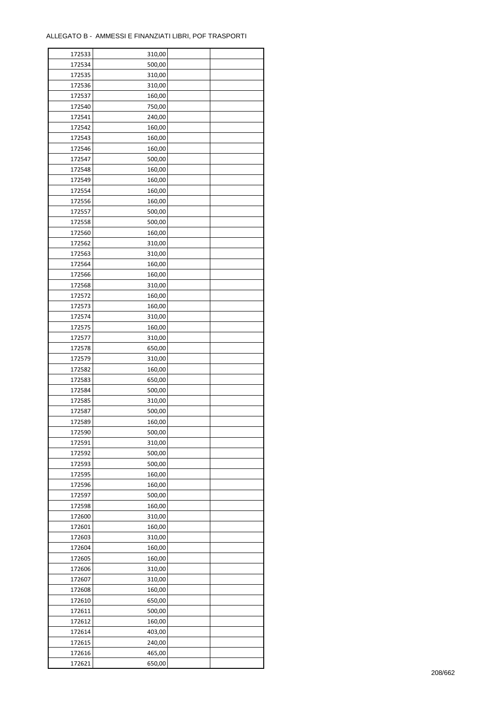| 172533 | 310,00 |  |
|--------|--------|--|
| 172534 | 500,00 |  |
| 172535 | 310,00 |  |
| 172536 | 310,00 |  |
| 172537 | 160,00 |  |
| 172540 | 750,00 |  |
| 172541 | 240,00 |  |
| 172542 | 160,00 |  |
| 172543 | 160,00 |  |
| 172546 | 160,00 |  |
| 172547 | 500,00 |  |
|        |        |  |
| 172548 | 160,00 |  |
| 172549 | 160,00 |  |
| 172554 | 160,00 |  |
| 172556 | 160,00 |  |
| 172557 | 500,00 |  |
| 172558 | 500,00 |  |
| 172560 | 160,00 |  |
| 172562 | 310,00 |  |
| 172563 | 310,00 |  |
| 172564 | 160,00 |  |
| 172566 | 160,00 |  |
| 172568 | 310,00 |  |
| 172572 | 160,00 |  |
| 172573 | 160,00 |  |
| 172574 | 310,00 |  |
| 172575 | 160,00 |  |
| 172577 | 310,00 |  |
| 172578 | 650,00 |  |
| 172579 | 310,00 |  |
| 172582 | 160,00 |  |
| 172583 | 650,00 |  |
| 172584 | 500,00 |  |
| 172585 | 310,00 |  |
| 172587 | 500,00 |  |
| 172589 | 160,00 |  |
|        | 500,00 |  |
| 172590 |        |  |
| 172591 | 310,00 |  |
| 172592 | 500,00 |  |
| 172593 | 500,00 |  |
| 172595 | 160,00 |  |
| 172596 | 160,00 |  |
| 172597 | 500,00 |  |
| 172598 | 160,00 |  |
| 172600 | 310,00 |  |
| 172601 | 160,00 |  |
| 172603 | 310,00 |  |
| 172604 | 160,00 |  |
| 172605 | 160,00 |  |
| 172606 | 310,00 |  |
| 172607 | 310,00 |  |
| 172608 | 160,00 |  |
| 172610 | 650,00 |  |
| 172611 | 500,00 |  |
| 172612 | 160,00 |  |
| 172614 | 403,00 |  |
| 172615 | 240,00 |  |
| 172616 | 465,00 |  |
| 172621 | 650,00 |  |
|        |        |  |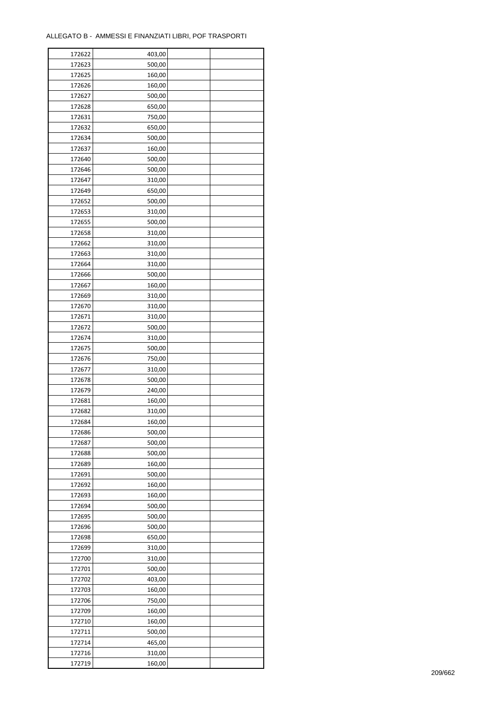| 172622           | 403,00 |  |
|------------------|--------|--|
| 172623           | 500,00 |  |
| 172625           | 160,00 |  |
| 172626           | 160,00 |  |
| 172627           | 500,00 |  |
| 172628           | 650,00 |  |
| 172631           | 750,00 |  |
| 172632           | 650,00 |  |
| 172634           | 500,00 |  |
| 172637           | 160,00 |  |
|                  |        |  |
| 172640<br>172646 | 500,00 |  |
|                  | 500,00 |  |
| 172647           | 310,00 |  |
| 172649           | 650,00 |  |
| 172652           | 500,00 |  |
| 172653           | 310,00 |  |
| 172655           | 500,00 |  |
| 172658           | 310,00 |  |
| 172662           | 310,00 |  |
| 172663           | 310,00 |  |
| 172664           | 310,00 |  |
| 172666           | 500,00 |  |
| 172667           | 160,00 |  |
| 172669           | 310,00 |  |
| 172670           | 310,00 |  |
| 172671           | 310,00 |  |
| 172672           | 500,00 |  |
| 172674           | 310,00 |  |
| 172675           | 500,00 |  |
| 172676           | 750,00 |  |
| 172677           | 310,00 |  |
| 172678           | 500,00 |  |
| 172679           | 240,00 |  |
| 172681           | 160,00 |  |
| 172682           | 310,00 |  |
| 172684           | 160,00 |  |
|                  |        |  |
| 172686           | 500,00 |  |
| 172687           | 500,00 |  |
| 172688           | 500,00 |  |
| 172689           | 160,00 |  |
| 172691           | 500,00 |  |
| 172692           | 160,00 |  |
| 172693           | 160,00 |  |
| 172694           | 500,00 |  |
| 172695           | 500,00 |  |
| 172696           | 500,00 |  |
| 172698           | 650,00 |  |
| 172699           | 310,00 |  |
| 172700           | 310,00 |  |
| 172701           | 500,00 |  |
| 172702           | 403,00 |  |
| 172703           | 160,00 |  |
| 172706           | 750,00 |  |
| 172709           | 160,00 |  |
| 172710           | 160,00 |  |
| 172711           | 500,00 |  |
| 172714           | 465,00 |  |
| 172716           | 310,00 |  |
|                  |        |  |
| 172719           | 160,00 |  |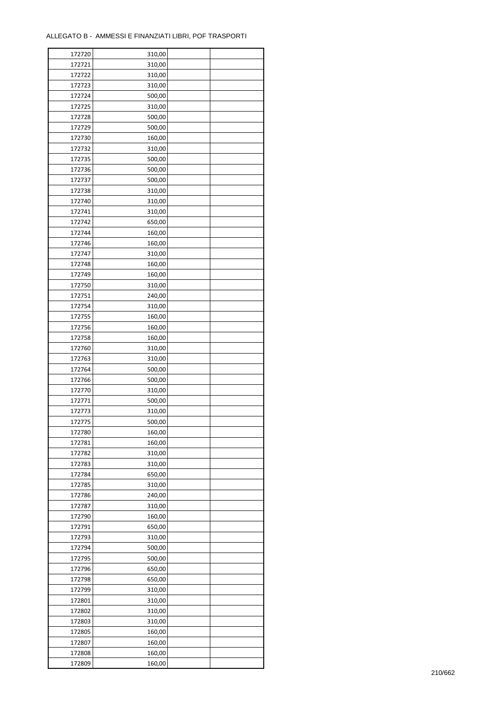| 172720 | 310,00 |  |
|--------|--------|--|
| 172721 | 310,00 |  |
| 172722 | 310,00 |  |
| 172723 | 310,00 |  |
| 172724 | 500,00 |  |
| 172725 | 310,00 |  |
| 172728 | 500,00 |  |
| 172729 | 500,00 |  |
| 172730 | 160,00 |  |
| 172732 | 310,00 |  |
|        |        |  |
| 172735 | 500,00 |  |
| 172736 | 500,00 |  |
| 172737 | 500,00 |  |
| 172738 | 310,00 |  |
| 172740 | 310,00 |  |
| 172741 | 310,00 |  |
| 172742 | 650,00 |  |
| 172744 | 160,00 |  |
| 172746 | 160,00 |  |
| 172747 | 310,00 |  |
| 172748 | 160,00 |  |
| 172749 | 160,00 |  |
| 172750 | 310,00 |  |
| 172751 | 240,00 |  |
| 172754 | 310,00 |  |
| 172755 | 160,00 |  |
| 172756 | 160,00 |  |
| 172758 | 160,00 |  |
| 172760 | 310,00 |  |
|        |        |  |
| 172763 | 310,00 |  |
| 172764 | 500,00 |  |
| 172766 | 500,00 |  |
| 172770 | 310,00 |  |
| 172771 | 500,00 |  |
| 172773 | 310,00 |  |
| 172775 | 500,00 |  |
| 172780 | 160,00 |  |
| 172781 | 160,00 |  |
| 172782 | 310,00 |  |
| 172783 | 310,00 |  |
| 172784 | 650,00 |  |
| 172785 | 310,00 |  |
| 172786 | 240,00 |  |
| 172787 | 310,00 |  |
| 172790 | 160,00 |  |
| 172791 | 650,00 |  |
| 172793 | 310,00 |  |
| 172794 | 500,00 |  |
| 172795 | 500,00 |  |
| 172796 | 650,00 |  |
|        |        |  |
| 172798 | 650,00 |  |
| 172799 | 310,00 |  |
| 172801 | 310,00 |  |
| 172802 | 310,00 |  |
| 172803 | 310,00 |  |
| 172805 | 160,00 |  |
| 172807 | 160,00 |  |
| 172808 | 160,00 |  |
| 172809 | 160,00 |  |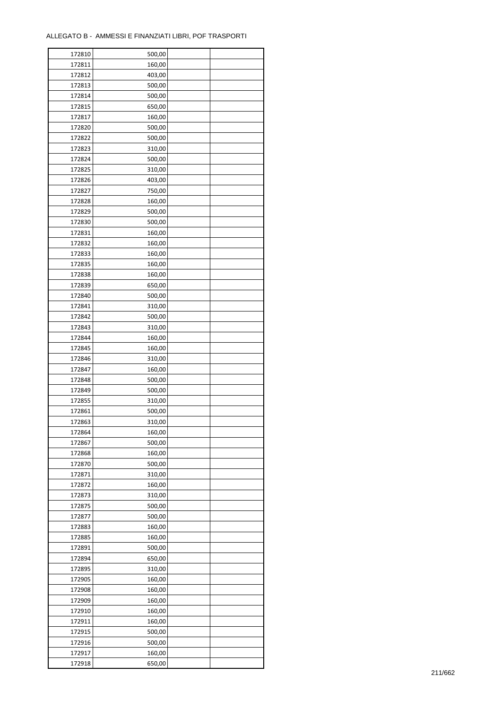| 172810 | 500,00 |  |
|--------|--------|--|
| 172811 | 160,00 |  |
| 172812 | 403,00 |  |
| 172813 | 500,00 |  |
| 172814 | 500,00 |  |
| 172815 | 650,00 |  |
| 172817 | 160,00 |  |
|        |        |  |
| 172820 | 500,00 |  |
| 172822 | 500,00 |  |
| 172823 | 310,00 |  |
| 172824 | 500,00 |  |
| 172825 | 310,00 |  |
| 172826 | 403,00 |  |
| 172827 | 750,00 |  |
| 172828 | 160,00 |  |
| 172829 | 500,00 |  |
| 172830 | 500,00 |  |
| 172831 | 160,00 |  |
| 172832 | 160,00 |  |
| 172833 | 160,00 |  |
| 172835 | 160,00 |  |
| 172838 | 160,00 |  |
| 172839 | 650,00 |  |
| 172840 | 500,00 |  |
| 172841 | 310,00 |  |
| 172842 |        |  |
|        | 500,00 |  |
| 172843 | 310,00 |  |
| 172844 | 160,00 |  |
| 172845 | 160,00 |  |
| 172846 | 310,00 |  |
| 172847 | 160,00 |  |
| 172848 | 500,00 |  |
| 172849 | 500,00 |  |
| 172855 | 310,00 |  |
| 172861 | 500,00 |  |
| 172863 | 310,00 |  |
| 172864 | 160,00 |  |
| 172867 | 500,00 |  |
| 172868 | 160,00 |  |
| 172870 | 500,00 |  |
| 172871 | 310,00 |  |
| 172872 | 160,00 |  |
| 172873 | 310,00 |  |
| 172875 | 500,00 |  |
| 172877 | 500,00 |  |
| 172883 | 160,00 |  |
| 172885 | 160,00 |  |
|        |        |  |
| 172891 | 500,00 |  |
| 172894 | 650,00 |  |
| 172895 | 310,00 |  |
| 172905 | 160,00 |  |
| 172908 | 160,00 |  |
| 172909 | 160,00 |  |
| 172910 | 160,00 |  |
| 172911 | 160,00 |  |
| 172915 | 500,00 |  |
| 172916 | 500,00 |  |
| 172917 | 160,00 |  |
| 172918 | 650,00 |  |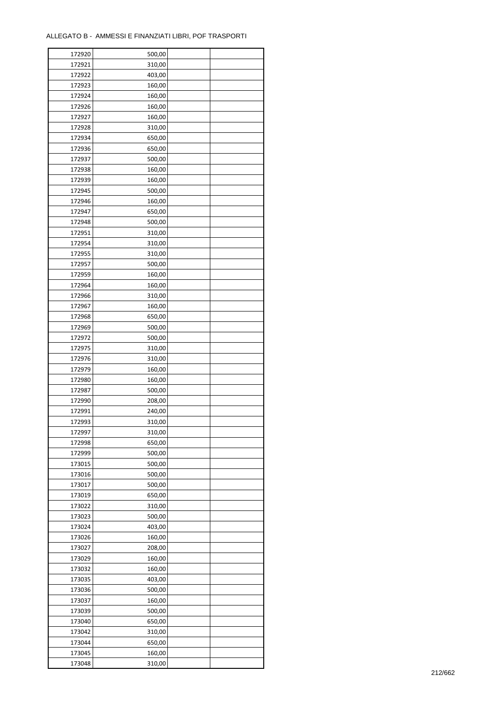| 172920 | 500,00 |  |
|--------|--------|--|
| 172921 | 310,00 |  |
| 172922 | 403,00 |  |
| 172923 | 160,00 |  |
| 172924 | 160,00 |  |
| 172926 | 160,00 |  |
| 172927 | 160,00 |  |
| 172928 | 310,00 |  |
| 172934 | 650,00 |  |
| 172936 | 650,00 |  |
| 172937 |        |  |
| 172938 | 500,00 |  |
|        | 160,00 |  |
| 172939 | 160,00 |  |
| 172945 | 500,00 |  |
| 172946 | 160,00 |  |
| 172947 | 650,00 |  |
| 172948 | 500,00 |  |
| 172951 | 310,00 |  |
| 172954 | 310,00 |  |
| 172955 | 310,00 |  |
| 172957 | 500,00 |  |
| 172959 | 160,00 |  |
| 172964 | 160,00 |  |
| 172966 | 310,00 |  |
| 172967 | 160,00 |  |
| 172968 | 650,00 |  |
| 172969 | 500,00 |  |
| 172972 | 500,00 |  |
| 172975 | 310,00 |  |
| 172976 | 310,00 |  |
| 172979 | 160,00 |  |
| 172980 | 160,00 |  |
| 172987 | 500,00 |  |
| 172990 | 208,00 |  |
| 172991 | 240,00 |  |
| 172993 | 310,00 |  |
| 172997 | 310,00 |  |
| 172998 | 650,00 |  |
|        |        |  |
| 172999 | 500,00 |  |
| 173015 | 500,00 |  |
| 173016 | 500,00 |  |
| 173017 | 500,00 |  |
| 173019 | 650,00 |  |
| 173022 | 310,00 |  |
| 173023 | 500,00 |  |
| 173024 | 403,00 |  |
| 173026 | 160,00 |  |
| 173027 | 208,00 |  |
| 173029 | 160,00 |  |
| 173032 | 160,00 |  |
| 173035 | 403,00 |  |
| 173036 | 500,00 |  |
| 173037 | 160,00 |  |
| 173039 | 500,00 |  |
| 173040 | 650,00 |  |
| 173042 | 310,00 |  |
| 173044 | 650,00 |  |
| 173045 | 160,00 |  |
| 173048 | 310,00 |  |
|        |        |  |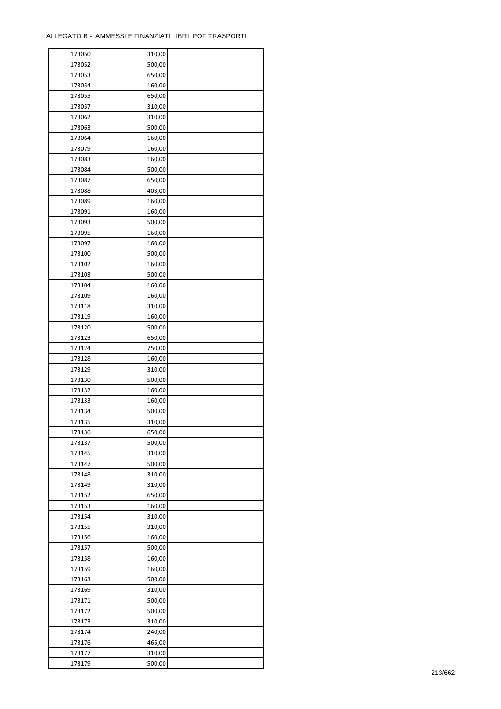| 173050 | 310,00 |  |
|--------|--------|--|
| 173052 | 500,00 |  |
| 173053 | 650,00 |  |
| 173054 | 160,00 |  |
| 173055 | 650,00 |  |
| 173057 | 310,00 |  |
| 173062 | 310,00 |  |
| 173063 | 500,00 |  |
| 173064 | 160,00 |  |
| 173079 | 160,00 |  |
| 173083 | 160,00 |  |
| 173084 | 500,00 |  |
| 173087 | 650,00 |  |
| 173088 | 403,00 |  |
|        |        |  |
| 173089 | 160,00 |  |
| 173091 | 160,00 |  |
| 173093 | 500,00 |  |
| 173095 | 160,00 |  |
| 173097 | 160,00 |  |
| 173100 | 500,00 |  |
| 173102 | 160,00 |  |
| 173103 | 500,00 |  |
| 173104 | 160,00 |  |
| 173109 | 160,00 |  |
| 173118 | 310,00 |  |
| 173119 | 160,00 |  |
| 173120 | 500,00 |  |
| 173123 | 650,00 |  |
| 173124 | 750,00 |  |
| 173128 | 160,00 |  |
| 173129 | 310,00 |  |
| 173130 | 500,00 |  |
| 173132 | 160,00 |  |
| 173133 | 160,00 |  |
| 173134 | 500,00 |  |
| 173135 | 310,00 |  |
| 173136 | 650,00 |  |
| 173137 | 500,00 |  |
| 173145 | 310,00 |  |
| 173147 | 500,00 |  |
| 173148 | 310,00 |  |
| 173149 | 310,00 |  |
| 173152 | 650,00 |  |
| 173153 | 160,00 |  |
| 173154 | 310,00 |  |
| 173155 | 310,00 |  |
| 173156 | 160,00 |  |
| 173157 | 500,00 |  |
| 173158 | 160,00 |  |
| 173159 | 160,00 |  |
| 173163 | 500,00 |  |
| 173169 | 310,00 |  |
| 173171 | 500,00 |  |
|        |        |  |
| 173172 | 500,00 |  |
| 173173 | 310,00 |  |
| 173174 | 240,00 |  |
| 173176 | 465,00 |  |
| 173177 | 310,00 |  |
| 173179 | 500,00 |  |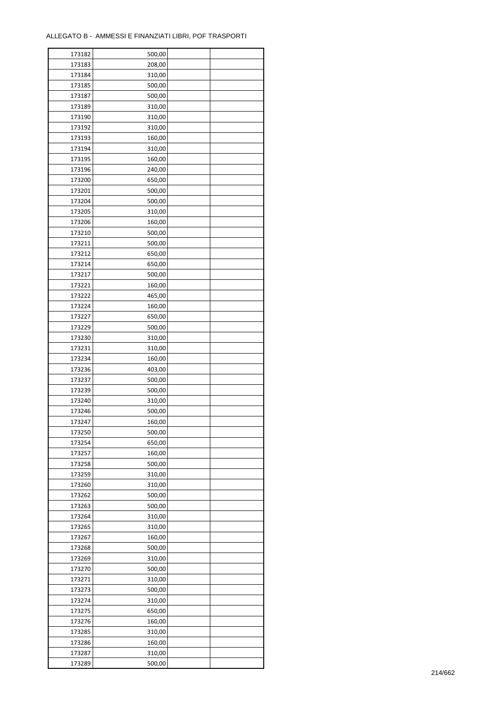| 173182 | 500,00 |  |
|--------|--------|--|
| 173183 | 208,00 |  |
| 173184 | 310,00 |  |
| 173185 | 500,00 |  |
| 173187 | 500,00 |  |
| 173189 | 310,00 |  |
| 173190 | 310,00 |  |
| 173192 | 310,00 |  |
| 173193 | 160,00 |  |
| 173194 | 310,00 |  |
| 173195 | 160,00 |  |
| 173196 | 240,00 |  |
|        |        |  |
| 173200 | 650,00 |  |
| 173201 | 500,00 |  |
| 173204 | 500,00 |  |
| 173205 | 310,00 |  |
| 173206 | 160,00 |  |
| 173210 | 500,00 |  |
| 173211 | 500,00 |  |
| 173212 | 650,00 |  |
| 173214 | 650,00 |  |
| 173217 | 500,00 |  |
| 173221 | 160,00 |  |
| 173222 | 465,00 |  |
| 173224 | 160,00 |  |
| 173227 | 650,00 |  |
| 173229 | 500,00 |  |
| 173230 | 310,00 |  |
| 173231 | 310,00 |  |
| 173234 | 160,00 |  |
| 173236 | 403,00 |  |
| 173237 | 500,00 |  |
| 173239 | 500,00 |  |
| 173240 | 310,00 |  |
| 173246 | 500,00 |  |
| 173247 | 160,00 |  |
| 173250 | 500,00 |  |
| 173254 | 650,00 |  |
| 173257 | 160,00 |  |
| 173258 | 500,00 |  |
| 173259 | 310,00 |  |
| 173260 | 310,00 |  |
|        |        |  |
| 173262 | 500,00 |  |
| 173263 | 500,00 |  |
| 173264 | 310,00 |  |
| 173265 | 310,00 |  |
| 173267 | 160,00 |  |
| 173268 | 500,00 |  |
| 173269 | 310,00 |  |
| 173270 | 500,00 |  |
| 173271 | 310,00 |  |
| 173273 | 500,00 |  |
| 173274 | 310,00 |  |
| 173275 | 650,00 |  |
| 173276 | 160,00 |  |
| 173285 | 310,00 |  |
| 173286 | 160,00 |  |
| 173287 | 310,00 |  |
| 173289 | 500,00 |  |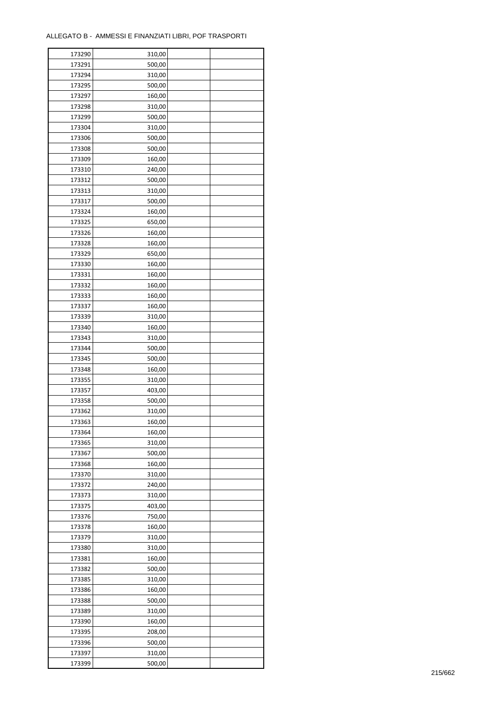| 173290 | 310,00 |  |
|--------|--------|--|
| 173291 | 500,00 |  |
| 173294 | 310,00 |  |
| 173295 | 500,00 |  |
| 173297 | 160,00 |  |
| 173298 | 310,00 |  |
| 173299 | 500,00 |  |
| 173304 | 310,00 |  |
|        |        |  |
| 173306 | 500,00 |  |
| 173308 | 500,00 |  |
| 173309 | 160,00 |  |
| 173310 | 240,00 |  |
| 173312 | 500,00 |  |
| 173313 | 310,00 |  |
| 173317 | 500,00 |  |
| 173324 | 160,00 |  |
| 173325 | 650,00 |  |
| 173326 | 160,00 |  |
| 173328 | 160,00 |  |
| 173329 | 650,00 |  |
| 173330 | 160,00 |  |
| 173331 | 160,00 |  |
| 173332 | 160,00 |  |
| 173333 | 160,00 |  |
| 173337 | 160,00 |  |
| 173339 | 310,00 |  |
| 173340 | 160,00 |  |
| 173343 | 310,00 |  |
| 173344 | 500,00 |  |
| 173345 | 500,00 |  |
| 173348 |        |  |
|        | 160,00 |  |
| 173355 | 310,00 |  |
| 173357 | 403,00 |  |
| 173358 | 500,00 |  |
| 173362 | 310,00 |  |
| 173363 | 160,00 |  |
| 173364 | 160,00 |  |
| 173365 | 310,00 |  |
| 173367 | 500,00 |  |
| 173368 | 160,00 |  |
| 173370 | 310,00 |  |
| 173372 | 240,00 |  |
| 173373 | 310,00 |  |
| 173375 | 403,00 |  |
| 173376 | 750,00 |  |
| 173378 | 160,00 |  |
| 173379 | 310,00 |  |
| 173380 | 310,00 |  |
| 173381 | 160,00 |  |
| 173382 | 500,00 |  |
| 173385 | 310,00 |  |
| 173386 | 160,00 |  |
| 173388 | 500,00 |  |
|        |        |  |
| 173389 | 310,00 |  |
| 173390 | 160,00 |  |
| 173395 | 208,00 |  |
| 173396 | 500,00 |  |
| 173397 | 310,00 |  |
| 173399 | 500,00 |  |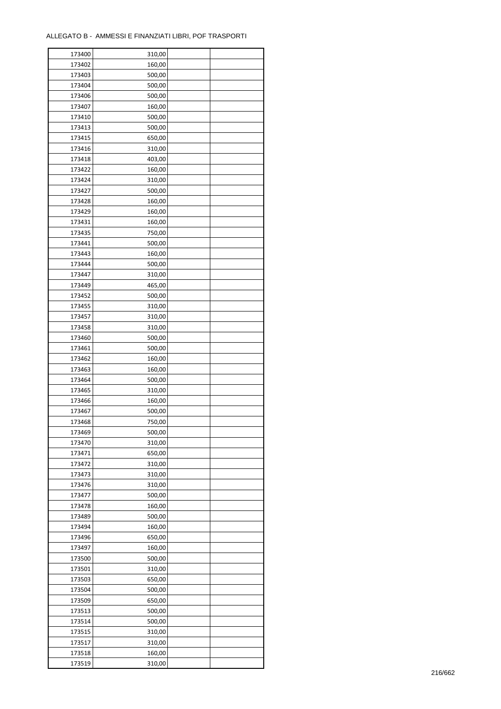| 173400 | 310,00 |  |
|--------|--------|--|
| 173402 | 160,00 |  |
| 173403 | 500,00 |  |
| 173404 | 500,00 |  |
| 173406 | 500,00 |  |
| 173407 | 160,00 |  |
| 173410 | 500,00 |  |
| 173413 | 500,00 |  |
| 173415 | 650,00 |  |
| 173416 | 310,00 |  |
| 173418 | 403,00 |  |
| 173422 | 160,00 |  |
|        |        |  |
| 173424 | 310,00 |  |
| 173427 | 500,00 |  |
| 173428 | 160,00 |  |
| 173429 | 160,00 |  |
| 173431 | 160,00 |  |
| 173435 | 750,00 |  |
| 173441 | 500,00 |  |
| 173443 | 160,00 |  |
| 173444 | 500,00 |  |
| 173447 | 310,00 |  |
| 173449 | 465,00 |  |
| 173452 | 500,00 |  |
| 173455 | 310,00 |  |
| 173457 | 310,00 |  |
| 173458 | 310,00 |  |
| 173460 | 500,00 |  |
| 173461 | 500,00 |  |
| 173462 | 160,00 |  |
| 173463 |        |  |
|        | 160,00 |  |
| 173464 | 500,00 |  |
| 173465 | 310,00 |  |
| 173466 | 160,00 |  |
| 173467 | 500,00 |  |
| 173468 | 750,00 |  |
| 173469 | 500,00 |  |
| 173470 | 310,00 |  |
| 173471 | 650,00 |  |
| 173472 | 310,00 |  |
| 173473 | 310,00 |  |
| 173476 | 310,00 |  |
| 173477 | 500,00 |  |
| 173478 | 160,00 |  |
| 173489 | 500,00 |  |
| 173494 | 160,00 |  |
| 173496 | 650,00 |  |
| 173497 | 160,00 |  |
| 173500 | 500,00 |  |
| 173501 | 310,00 |  |
| 173503 | 650,00 |  |
| 173504 | 500,00 |  |
| 173509 | 650,00 |  |
|        |        |  |
| 173513 | 500,00 |  |
| 173514 | 500,00 |  |
| 173515 | 310,00 |  |
| 173517 | 310,00 |  |
| 173518 | 160,00 |  |
| 173519 | 310,00 |  |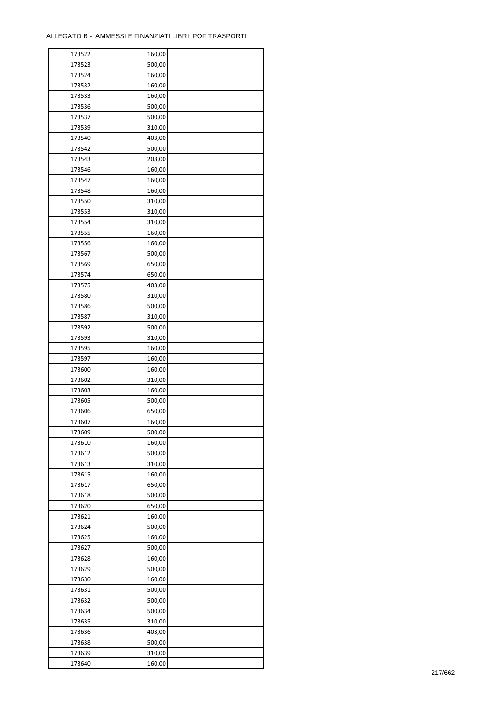| 173522 | 160,00 |  |
|--------|--------|--|
| 173523 | 500,00 |  |
| 173524 | 160,00 |  |
| 173532 | 160,00 |  |
| 173533 | 160,00 |  |
| 173536 | 500,00 |  |
| 173537 | 500,00 |  |
| 173539 | 310,00 |  |
| 173540 | 403,00 |  |
| 173542 | 500,00 |  |
| 173543 | 208,00 |  |
| 173546 | 160,00 |  |
|        |        |  |
| 173547 | 160,00 |  |
| 173548 | 160,00 |  |
| 173550 | 310,00 |  |
| 173553 | 310,00 |  |
| 173554 | 310,00 |  |
| 173555 | 160,00 |  |
| 173556 | 160,00 |  |
| 173567 | 500,00 |  |
| 173569 | 650,00 |  |
| 173574 | 650,00 |  |
| 173575 | 403,00 |  |
| 173580 | 310,00 |  |
| 173586 | 500,00 |  |
| 173587 | 310,00 |  |
| 173592 | 500,00 |  |
| 173593 | 310,00 |  |
| 173595 | 160,00 |  |
| 173597 | 160,00 |  |
| 173600 | 160,00 |  |
| 173602 | 310,00 |  |
| 173603 | 160,00 |  |
| 173605 | 500,00 |  |
| 173606 | 650,00 |  |
| 173607 | 160,00 |  |
| 173609 | 500,00 |  |
| 173610 | 160,00 |  |
| 173612 | 500,00 |  |
|        | 310,00 |  |
| 173613 |        |  |
| 173615 | 160,00 |  |
| 173617 | 650,00 |  |
| 173618 | 500,00 |  |
| 173620 | 650,00 |  |
| 173621 | 160,00 |  |
| 173624 | 500,00 |  |
| 173625 | 160,00 |  |
| 173627 | 500,00 |  |
| 173628 | 160,00 |  |
| 173629 | 500,00 |  |
| 173630 | 160,00 |  |
| 173631 | 500,00 |  |
| 173632 | 500,00 |  |
| 173634 | 500,00 |  |
| 173635 | 310,00 |  |
| 173636 | 403,00 |  |
| 173638 | 500,00 |  |
| 173639 | 310,00 |  |
| 173640 | 160,00 |  |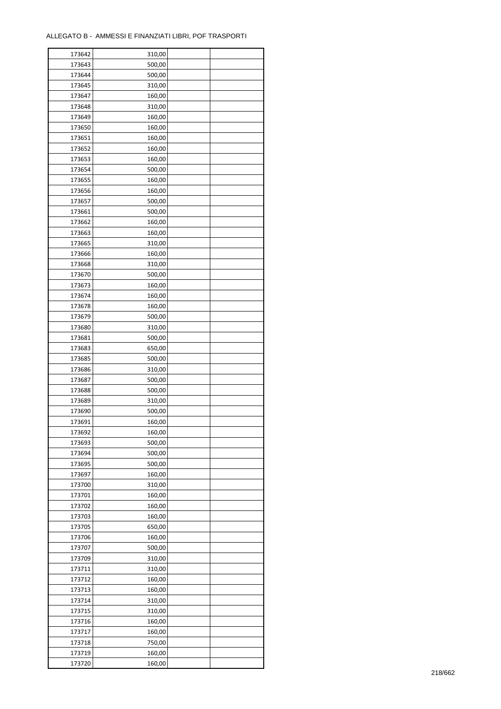| 173642 | 310,00 |  |
|--------|--------|--|
| 173643 | 500,00 |  |
| 173644 | 500,00 |  |
| 173645 | 310,00 |  |
| 173647 | 160,00 |  |
| 173648 | 310,00 |  |
| 173649 | 160,00 |  |
| 173650 | 160,00 |  |
| 173651 | 160,00 |  |
| 173652 | 160,00 |  |
| 173653 | 160,00 |  |
| 173654 | 500,00 |  |
| 173655 | 160,00 |  |
| 173656 | 160,00 |  |
|        |        |  |
| 173657 | 500,00 |  |
| 173661 | 500,00 |  |
| 173662 | 160,00 |  |
| 173663 | 160,00 |  |
| 173665 | 310,00 |  |
| 173666 | 160,00 |  |
| 173668 | 310,00 |  |
| 173670 | 500,00 |  |
| 173673 | 160,00 |  |
| 173674 | 160,00 |  |
| 173678 | 160,00 |  |
| 173679 | 500,00 |  |
| 173680 | 310,00 |  |
| 173681 | 500,00 |  |
| 173683 | 650,00 |  |
| 173685 | 500,00 |  |
| 173686 | 310,00 |  |
| 173687 | 500,00 |  |
| 173688 | 500,00 |  |
| 173689 | 310,00 |  |
| 173690 | 500,00 |  |
| 173691 | 160,00 |  |
| 173692 | 160,00 |  |
| 173693 | 500,00 |  |
| 173694 | 500,00 |  |
|        |        |  |
| 173695 | 500,00 |  |
| 173697 | 160,00 |  |
| 173700 | 310,00 |  |
| 173701 | 160,00 |  |
| 173702 | 160,00 |  |
| 173703 | 160,00 |  |
| 173705 | 650,00 |  |
| 173706 | 160,00 |  |
| 173707 | 500,00 |  |
| 173709 | 310,00 |  |
| 173711 | 310,00 |  |
| 173712 | 160,00 |  |
| 173713 | 160,00 |  |
| 173714 | 310,00 |  |
| 173715 | 310,00 |  |
| 173716 | 160,00 |  |
| 173717 | 160,00 |  |
| 173718 | 750,00 |  |
| 173719 | 160,00 |  |
| 173720 | 160,00 |  |
|        |        |  |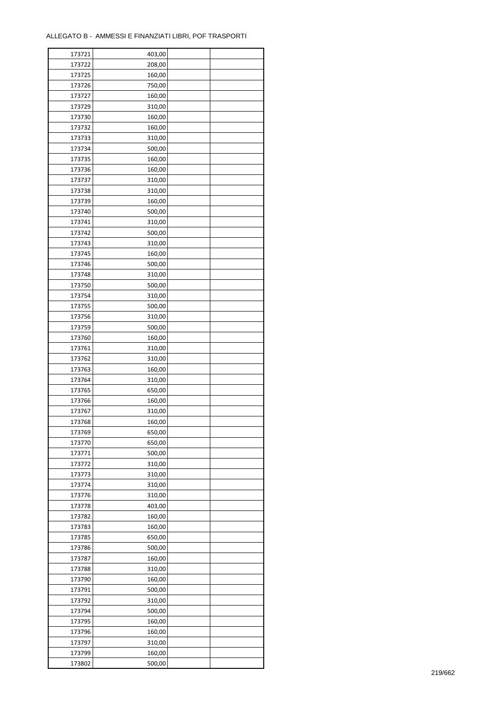| 173721 | 403,00           |  |
|--------|------------------|--|
| 173722 | 208,00           |  |
| 173725 | 160,00           |  |
| 173726 | 750,00           |  |
| 173727 | 160,00           |  |
| 173729 | 310,00           |  |
| 173730 | 160,00           |  |
| 173732 | 160,00           |  |
| 173733 | 310,00           |  |
| 173734 | 500,00           |  |
| 173735 | 160,00           |  |
| 173736 | 160,00           |  |
| 173737 | 310,00           |  |
| 173738 | 310,00           |  |
| 173739 | 160,00           |  |
| 173740 | 500,00           |  |
| 173741 | 310,00           |  |
| 173742 | 500,00           |  |
| 173743 | 310,00           |  |
| 173745 | 160,00           |  |
| 173746 | 500,00           |  |
| 173748 | 310,00           |  |
| 173750 | 500,00           |  |
| 173754 | 310,00           |  |
| 173755 | 500,00           |  |
| 173756 | 310,00           |  |
| 173759 | 500,00           |  |
| 173760 | 160,00           |  |
| 173761 | 310,00           |  |
|        |                  |  |
| 173762 | 310,00<br>160,00 |  |
| 173763 |                  |  |
| 173764 | 310,00<br>650,00 |  |
| 173765 |                  |  |
| 173766 | 160,00           |  |
| 173767 | 310,00           |  |
| 173768 | 160,00           |  |
| 173769 | 650,00           |  |
| 173770 | 650,00           |  |
| 173771 | 500,00           |  |
| 173772 | 310,00           |  |
| 173773 | 310,00           |  |
| 173774 | 310,00           |  |
| 173776 | 310,00           |  |
| 173778 | 403,00           |  |
| 173782 | 160,00           |  |
| 173783 | 160,00           |  |
| 173785 | 650,00           |  |
| 173786 | 500,00           |  |
| 173787 | 160,00           |  |
| 173788 | 310,00           |  |
| 173790 | 160,00           |  |
| 173791 | 500,00           |  |
| 173792 | 310,00           |  |
| 173794 | 500,00           |  |
| 173795 | 160,00           |  |
| 173796 | 160,00           |  |
| 173797 | 310,00           |  |
| 173799 | 160,00           |  |
| 173802 | 500,00           |  |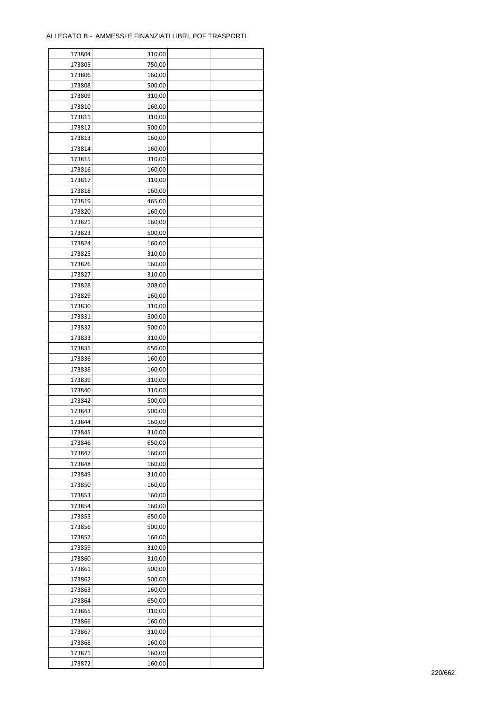| 173804 | 310,00 |  |
|--------|--------|--|
| 173805 | 750,00 |  |
| 173806 | 160,00 |  |
| 173808 | 500,00 |  |
| 173809 | 310,00 |  |
| 173810 | 160,00 |  |
| 173811 | 310,00 |  |
| 173812 | 500,00 |  |
|        |        |  |
| 173813 | 160,00 |  |
| 173814 | 160,00 |  |
| 173815 | 310,00 |  |
| 173816 | 160,00 |  |
| 173817 | 310,00 |  |
| 173818 | 160,00 |  |
| 173819 | 465,00 |  |
| 173820 | 160,00 |  |
| 173821 | 160,00 |  |
| 173823 | 500,00 |  |
| 173824 | 160,00 |  |
| 173825 | 310,00 |  |
| 173826 | 160,00 |  |
| 173827 | 310,00 |  |
| 173828 | 208,00 |  |
| 173829 | 160,00 |  |
| 173830 | 310,00 |  |
| 173831 | 500,00 |  |
| 173832 | 500,00 |  |
| 173833 | 310,00 |  |
| 173835 | 650,00 |  |
| 173836 | 160,00 |  |
|        | 160,00 |  |
| 173838 |        |  |
| 173839 | 310,00 |  |
| 173840 | 310,00 |  |
| 173842 | 500,00 |  |
| 173843 | 500,00 |  |
| 173844 | 160,00 |  |
| 173845 | 310,00 |  |
| 173846 | 650,00 |  |
| 173847 | 160,00 |  |
| 173848 | 160,00 |  |
| 173849 | 310,00 |  |
| 173850 | 160,00 |  |
| 173853 | 160,00 |  |
| 173854 | 160,00 |  |
| 173855 | 650,00 |  |
| 173856 | 500,00 |  |
| 173857 | 160,00 |  |
| 173859 | 310,00 |  |
| 173860 | 310,00 |  |
| 173861 | 500,00 |  |
| 173862 | 500,00 |  |
| 173863 | 160,00 |  |
| 173864 | 650,00 |  |
|        |        |  |
| 173865 | 310,00 |  |
| 173866 | 160,00 |  |
| 173867 | 310,00 |  |
| 173868 | 160,00 |  |
| 173871 | 160,00 |  |
| 173872 | 160,00 |  |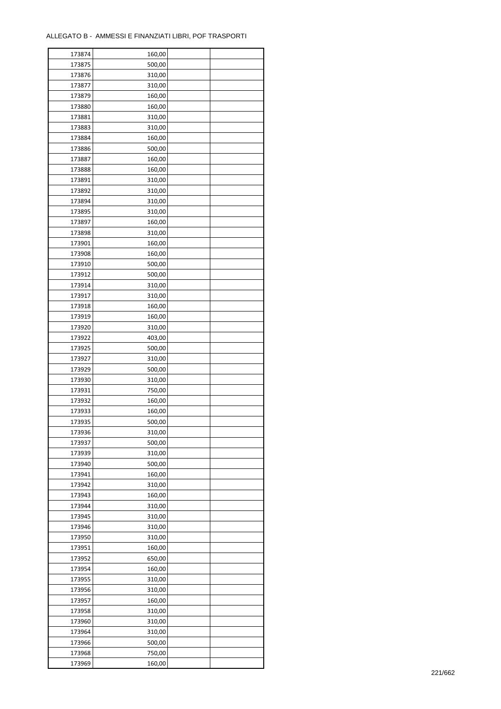| 173874 | 160,00 |  |
|--------|--------|--|
| 173875 | 500,00 |  |
| 173876 | 310,00 |  |
| 173877 | 310,00 |  |
| 173879 | 160,00 |  |
| 173880 | 160,00 |  |
| 173881 | 310,00 |  |
| 173883 | 310,00 |  |
| 173884 | 160,00 |  |
| 173886 | 500,00 |  |
| 173887 | 160,00 |  |
| 173888 | 160,00 |  |
| 173891 | 310,00 |  |
| 173892 | 310,00 |  |
|        |        |  |
| 173894 | 310,00 |  |
| 173895 | 310,00 |  |
| 173897 | 160,00 |  |
| 173898 | 310,00 |  |
| 173901 | 160,00 |  |
| 173908 | 160,00 |  |
| 173910 | 500,00 |  |
| 173912 | 500,00 |  |
| 173914 | 310,00 |  |
| 173917 | 310,00 |  |
| 173918 | 160,00 |  |
| 173919 | 160,00 |  |
| 173920 | 310,00 |  |
| 173922 | 403,00 |  |
| 173925 | 500,00 |  |
| 173927 | 310,00 |  |
| 173929 | 500,00 |  |
| 173930 | 310,00 |  |
| 173931 | 750,00 |  |
| 173932 | 160,00 |  |
| 173933 | 160,00 |  |
| 173935 | 500,00 |  |
| 173936 | 310,00 |  |
| 173937 | 500,00 |  |
| 173939 | 310,00 |  |
|        |        |  |
| 173940 | 500,00 |  |
| 173941 | 160,00 |  |
| 173942 | 310,00 |  |
| 173943 | 160,00 |  |
| 173944 | 310,00 |  |
| 173945 | 310,00 |  |
| 173946 | 310,00 |  |
| 173950 | 310,00 |  |
| 173951 | 160,00 |  |
| 173952 | 650,00 |  |
| 173954 | 160,00 |  |
| 173955 | 310,00 |  |
| 173956 | 310,00 |  |
| 173957 | 160,00 |  |
| 173958 | 310,00 |  |
| 173960 | 310,00 |  |
| 173964 | 310,00 |  |
| 173966 | 500,00 |  |
| 173968 | 750,00 |  |
| 173969 | 160,00 |  |
|        |        |  |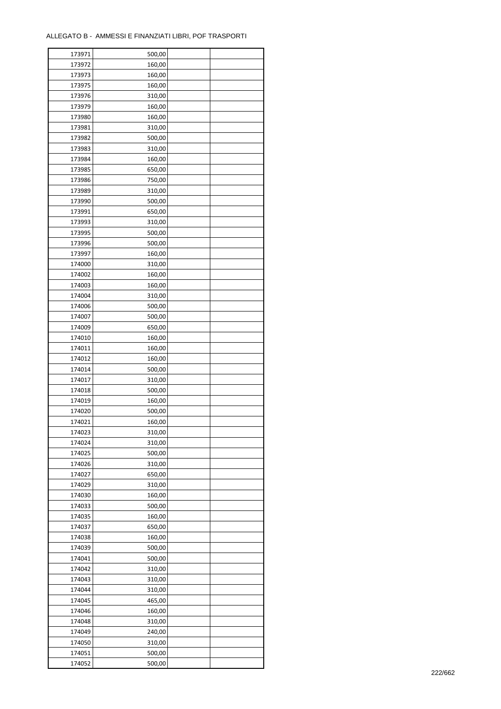| 173971 | 500,00 |  |
|--------|--------|--|
| 173972 | 160,00 |  |
| 173973 | 160,00 |  |
| 173975 | 160,00 |  |
| 173976 | 310,00 |  |
| 173979 | 160,00 |  |
| 173980 | 160,00 |  |
| 173981 | 310,00 |  |
| 173982 | 500,00 |  |
| 173983 | 310,00 |  |
| 173984 |        |  |
| 173985 | 160,00 |  |
|        | 650,00 |  |
| 173986 | 750,00 |  |
| 173989 | 310,00 |  |
| 173990 | 500,00 |  |
| 173991 | 650,00 |  |
| 173993 | 310,00 |  |
| 173995 | 500,00 |  |
| 173996 | 500,00 |  |
| 173997 | 160,00 |  |
| 174000 | 310,00 |  |
| 174002 | 160,00 |  |
| 174003 | 160,00 |  |
| 174004 | 310,00 |  |
| 174006 | 500,00 |  |
| 174007 | 500,00 |  |
| 174009 | 650,00 |  |
| 174010 | 160,00 |  |
| 174011 | 160,00 |  |
| 174012 | 160,00 |  |
| 174014 | 500,00 |  |
| 174017 | 310,00 |  |
| 174018 | 500,00 |  |
| 174019 | 160,00 |  |
| 174020 | 500,00 |  |
|        |        |  |
| 174021 | 160,00 |  |
| 174023 | 310,00 |  |
| 174024 | 310,00 |  |
| 174025 | 500,00 |  |
| 174026 | 310,00 |  |
| 174027 | 650,00 |  |
| 174029 | 310,00 |  |
| 174030 | 160,00 |  |
| 174033 | 500,00 |  |
| 174035 | 160,00 |  |
| 174037 | 650,00 |  |
| 174038 | 160,00 |  |
| 174039 | 500,00 |  |
| 174041 | 500,00 |  |
| 174042 | 310,00 |  |
| 174043 | 310,00 |  |
| 174044 | 310,00 |  |
| 174045 | 465,00 |  |
| 174046 | 160,00 |  |
| 174048 | 310,00 |  |
| 174049 | 240,00 |  |
|        |        |  |
| 174050 | 310,00 |  |
| 174051 | 500,00 |  |
| 174052 | 500,00 |  |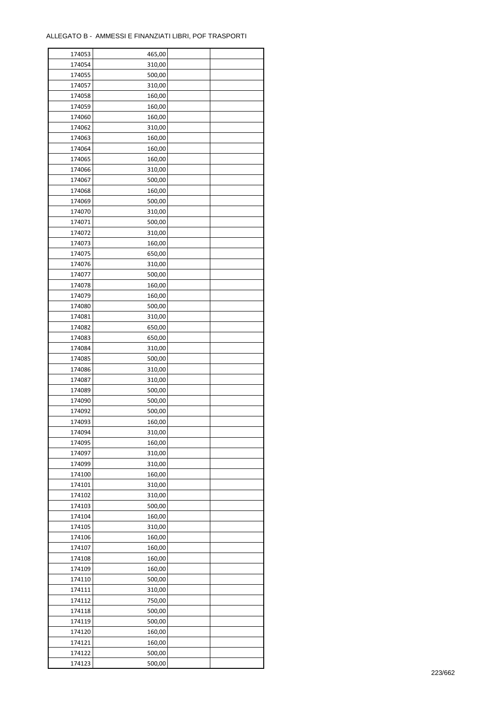| 174053 | 465,00 |  |
|--------|--------|--|
| 174054 | 310,00 |  |
| 174055 | 500,00 |  |
| 174057 | 310,00 |  |
| 174058 | 160,00 |  |
| 174059 | 160,00 |  |
| 174060 | 160,00 |  |
| 174062 | 310,00 |  |
| 174063 | 160,00 |  |
| 174064 | 160,00 |  |
| 174065 | 160,00 |  |
| 174066 | 310,00 |  |
| 174067 | 500,00 |  |
| 174068 | 160,00 |  |
|        |        |  |
| 174069 | 500,00 |  |
| 174070 | 310,00 |  |
| 174071 | 500,00 |  |
| 174072 | 310,00 |  |
| 174073 | 160,00 |  |
| 174075 | 650,00 |  |
| 174076 | 310,00 |  |
| 174077 | 500,00 |  |
| 174078 | 160,00 |  |
| 174079 | 160,00 |  |
| 174080 | 500,00 |  |
| 174081 | 310,00 |  |
| 174082 | 650,00 |  |
| 174083 | 650,00 |  |
| 174084 | 310,00 |  |
| 174085 | 500,00 |  |
| 174086 | 310,00 |  |
| 174087 | 310,00 |  |
| 174089 | 500,00 |  |
| 174090 | 500,00 |  |
| 174092 | 500,00 |  |
| 174093 | 160,00 |  |
| 174094 | 310,00 |  |
| 174095 | 160,00 |  |
| 174097 | 310,00 |  |
| 174099 | 310,00 |  |
| 174100 | 160,00 |  |
| 174101 | 310,00 |  |
|        |        |  |
| 174102 | 310,00 |  |
| 174103 | 500,00 |  |
| 174104 | 160,00 |  |
| 174105 | 310,00 |  |
| 174106 | 160,00 |  |
| 174107 | 160,00 |  |
| 174108 | 160,00 |  |
| 174109 | 160,00 |  |
| 174110 | 500,00 |  |
| 174111 | 310,00 |  |
| 174112 | 750,00 |  |
| 174118 | 500,00 |  |
| 174119 | 500,00 |  |
| 174120 | 160,00 |  |
| 174121 | 160,00 |  |
| 174122 | 500,00 |  |
| 174123 | 500,00 |  |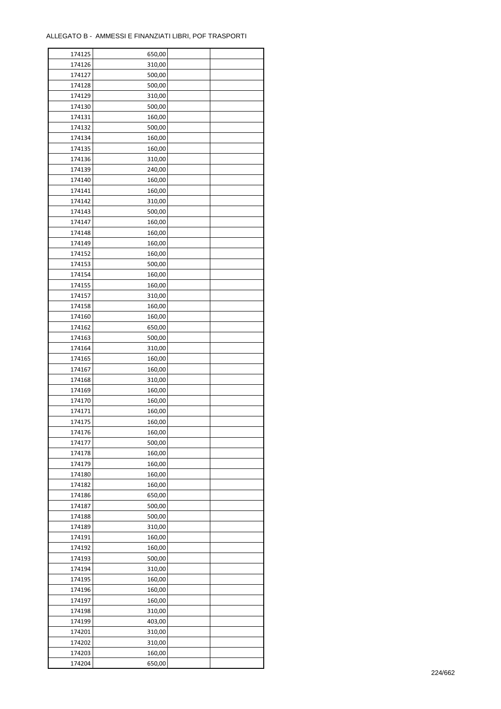| 174125 | 650,00 |  |
|--------|--------|--|
| 174126 | 310,00 |  |
| 174127 | 500,00 |  |
| 174128 | 500,00 |  |
| 174129 | 310,00 |  |
| 174130 | 500,00 |  |
| 174131 | 160,00 |  |
| 174132 | 500,00 |  |
| 174134 | 160,00 |  |
| 174135 | 160,00 |  |
| 174136 | 310,00 |  |
| 174139 | 240,00 |  |
| 174140 | 160,00 |  |
| 174141 | 160,00 |  |
| 174142 |        |  |
|        | 310,00 |  |
| 174143 | 500,00 |  |
| 174147 | 160,00 |  |
| 174148 | 160,00 |  |
| 174149 | 160,00 |  |
| 174152 | 160,00 |  |
| 174153 | 500,00 |  |
| 174154 | 160,00 |  |
| 174155 | 160,00 |  |
| 174157 | 310,00 |  |
| 174158 | 160,00 |  |
| 174160 | 160,00 |  |
| 174162 | 650,00 |  |
| 174163 | 500,00 |  |
| 174164 | 310,00 |  |
| 174165 | 160,00 |  |
| 174167 | 160,00 |  |
| 174168 | 310,00 |  |
| 174169 | 160,00 |  |
| 174170 | 160,00 |  |
| 174171 | 160,00 |  |
| 174175 | 160,00 |  |
| 174176 | 160,00 |  |
| 174177 | 500,00 |  |
| 174178 | 160,00 |  |
| 174179 | 160,00 |  |
| 174180 | 160,00 |  |
| 174182 | 160,00 |  |
| 174186 | 650,00 |  |
| 174187 | 500,00 |  |
| 174188 | 500,00 |  |
| 174189 | 310,00 |  |
| 174191 | 160,00 |  |
| 174192 | 160,00 |  |
| 174193 | 500,00 |  |
| 174194 | 310,00 |  |
| 174195 | 160,00 |  |
| 174196 | 160,00 |  |
| 174197 | 160,00 |  |
| 174198 | 310,00 |  |
| 174199 | 403,00 |  |
| 174201 | 310,00 |  |
| 174202 | 310,00 |  |
| 174203 | 160,00 |  |
| 174204 | 650,00 |  |
|        |        |  |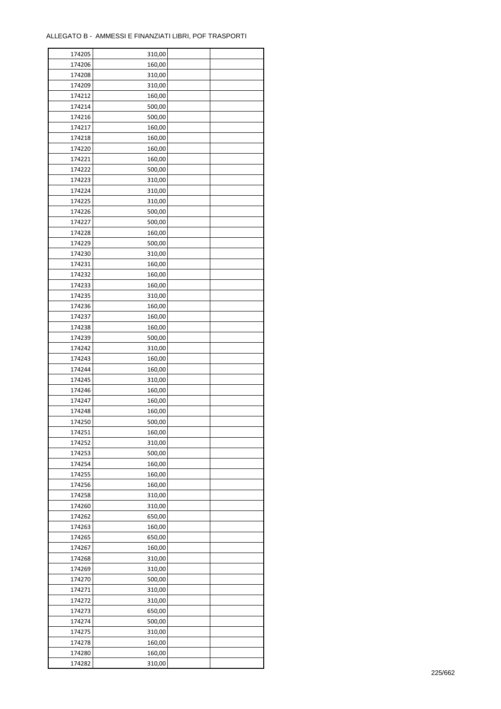| 174205 | 310,00 |  |
|--------|--------|--|
| 174206 | 160,00 |  |
| 174208 | 310,00 |  |
| 174209 | 310,00 |  |
| 174212 | 160,00 |  |
| 174214 | 500,00 |  |
| 174216 | 500,00 |  |
| 174217 | 160,00 |  |
| 174218 | 160,00 |  |
| 174220 |        |  |
|        | 160,00 |  |
| 174221 | 160,00 |  |
| 174222 | 500,00 |  |
| 174223 | 310,00 |  |
| 174224 | 310,00 |  |
| 174225 | 310,00 |  |
| 174226 | 500,00 |  |
| 174227 | 500,00 |  |
| 174228 | 160,00 |  |
| 174229 | 500,00 |  |
| 174230 | 310,00 |  |
| 174231 | 160,00 |  |
| 174232 | 160,00 |  |
| 174233 | 160,00 |  |
| 174235 | 310,00 |  |
| 174236 | 160,00 |  |
| 174237 | 160,00 |  |
| 174238 | 160,00 |  |
| 174239 | 500,00 |  |
| 174242 | 310,00 |  |
|        |        |  |
| 174243 | 160,00 |  |
| 174244 | 160,00 |  |
| 174245 | 310,00 |  |
| 174246 | 160,00 |  |
| 174247 | 160,00 |  |
| 174248 | 160,00 |  |
| 174250 | 500,00 |  |
| 174251 | 160,00 |  |
| 174252 | 310,00 |  |
| 174253 | 500,00 |  |
| 174254 | 160,00 |  |
| 174255 | 160,00 |  |
| 174256 | 160,00 |  |
| 174258 | 310,00 |  |
| 174260 | 310,00 |  |
| 174262 | 650,00 |  |
| 174263 | 160,00 |  |
| 174265 | 650,00 |  |
| 174267 | 160,00 |  |
| 174268 | 310,00 |  |
| 174269 | 310,00 |  |
| 174270 | 500,00 |  |
|        |        |  |
| 174271 | 310,00 |  |
| 174272 | 310,00 |  |
| 174273 | 650,00 |  |
| 174274 | 500,00 |  |
| 174275 | 310,00 |  |
| 174278 | 160,00 |  |
| 174280 | 160,00 |  |
| 174282 | 310,00 |  |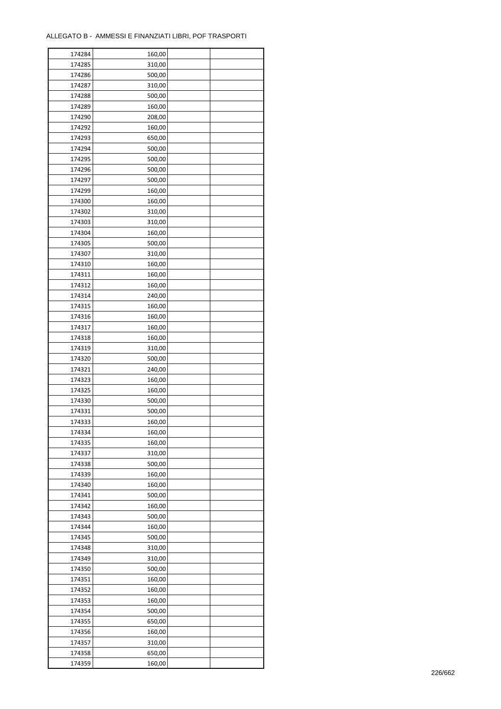| 174284 | 160,00 |  |
|--------|--------|--|
| 174285 | 310,00 |  |
| 174286 | 500,00 |  |
| 174287 | 310,00 |  |
| 174288 | 500,00 |  |
| 174289 | 160,00 |  |
| 174290 | 208,00 |  |
| 174292 | 160,00 |  |
| 174293 | 650,00 |  |
| 174294 | 500,00 |  |
| 174295 | 500,00 |  |
| 174296 | 500,00 |  |
| 174297 | 500,00 |  |
| 174299 |        |  |
|        | 160,00 |  |
| 174300 | 160,00 |  |
| 174302 | 310,00 |  |
| 174303 | 310,00 |  |
| 174304 | 160,00 |  |
| 174305 | 500,00 |  |
| 174307 | 310,00 |  |
| 174310 | 160,00 |  |
| 174311 | 160,00 |  |
| 174312 | 160,00 |  |
| 174314 | 240,00 |  |
| 174315 | 160,00 |  |
| 174316 | 160,00 |  |
| 174317 | 160,00 |  |
| 174318 | 160,00 |  |
| 174319 | 310,00 |  |
| 174320 | 500,00 |  |
| 174321 | 240,00 |  |
| 174323 | 160,00 |  |
| 174325 | 160,00 |  |
| 174330 | 500,00 |  |
| 174331 | 500,00 |  |
| 174333 | 160,00 |  |
| 174334 | 160,00 |  |
| 174335 | 160,00 |  |
| 174337 | 310,00 |  |
| 174338 | 500,00 |  |
| 174339 | 160,00 |  |
| 174340 | 160,00 |  |
| 174341 | 500,00 |  |
| 174342 | 160,00 |  |
| 174343 | 500,00 |  |
| 174344 | 160,00 |  |
| 174345 | 500,00 |  |
| 174348 | 310,00 |  |
| 174349 |        |  |
|        | 310,00 |  |
| 174350 | 500,00 |  |
| 174351 | 160,00 |  |
| 174352 | 160,00 |  |
| 174353 | 160,00 |  |
| 174354 | 500,00 |  |
| 174355 | 650,00 |  |
| 174356 | 160,00 |  |
| 174357 | 310,00 |  |
| 174358 | 650,00 |  |
| 174359 | 160,00 |  |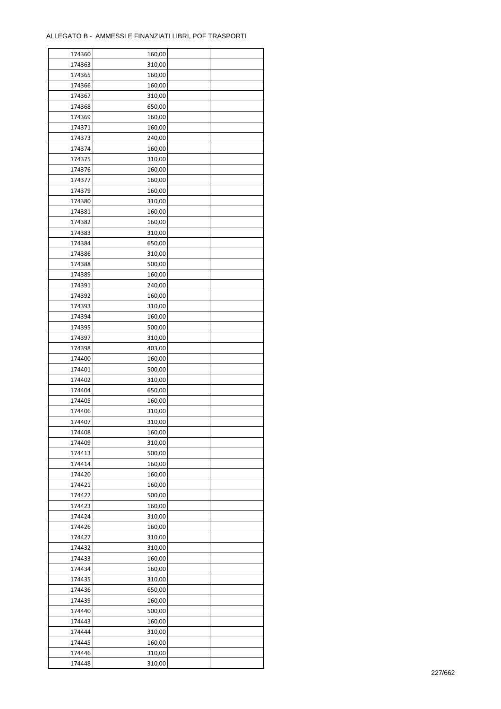| 174360 | 160,00           |  |
|--------|------------------|--|
| 174363 | 310,00           |  |
| 174365 | 160,00           |  |
| 174366 | 160,00           |  |
| 174367 | 310,00           |  |
| 174368 | 650,00           |  |
| 174369 | 160,00           |  |
| 174371 | 160,00           |  |
| 174373 | 240,00           |  |
| 174374 | 160,00           |  |
| 174375 | 310,00           |  |
| 174376 | 160,00           |  |
|        |                  |  |
| 174377 | 160,00           |  |
| 174379 | 160,00           |  |
| 174380 | 310,00           |  |
| 174381 | 160,00           |  |
| 174382 | 160,00           |  |
| 174383 | 310,00           |  |
| 174384 | 650,00           |  |
| 174386 | 310,00           |  |
| 174388 | 500,00           |  |
| 174389 | 160,00           |  |
| 174391 | 240,00           |  |
| 174392 | 160,00           |  |
| 174393 | 310,00           |  |
| 174394 | 160,00           |  |
| 174395 | 500,00           |  |
| 174397 | 310,00           |  |
| 174398 | 403,00           |  |
| 174400 | 160,00           |  |
| 174401 | 500,00           |  |
| 174402 | 310,00           |  |
| 174404 | 650,00           |  |
| 174405 | 160,00           |  |
| 174406 | 310,00           |  |
| 174407 | 310,00           |  |
| 174408 | 160,00           |  |
| 174409 | 310,00           |  |
| 174413 | 500,00           |  |
| 174414 | 160,00           |  |
| 174420 | 160,00           |  |
| 174421 | 160,00           |  |
| 174422 | 500,00           |  |
| 174423 | 160,00           |  |
| 174424 | 310,00           |  |
| 174426 | 160,00           |  |
| 174427 | 310,00           |  |
| 174432 | 310,00           |  |
| 174433 | 160,00           |  |
| 174434 | 160,00           |  |
| 174435 |                  |  |
| 174436 | 310,00<br>650,00 |  |
|        |                  |  |
| 174439 | 160,00           |  |
| 174440 | 500,00           |  |
| 174443 | 160,00           |  |
| 174444 | 310,00           |  |
| 174445 | 160,00           |  |
| 174446 | 310,00           |  |
| 174448 | 310,00           |  |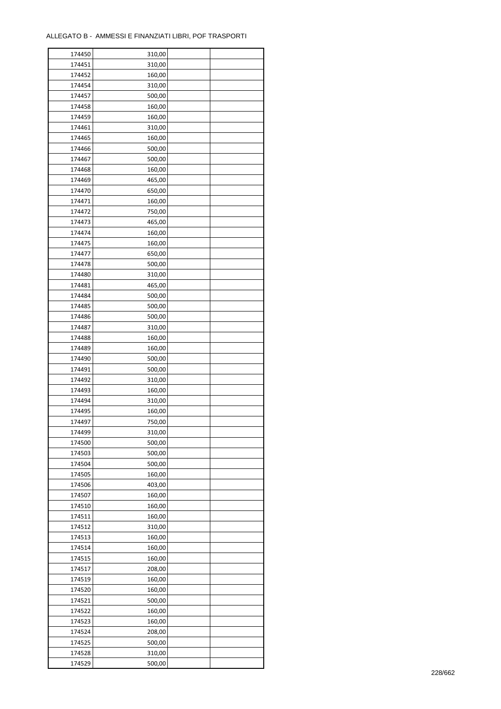| 174450 | 310,00 |  |
|--------|--------|--|
| 174451 | 310,00 |  |
| 174452 | 160,00 |  |
| 174454 | 310,00 |  |
| 174457 | 500,00 |  |
| 174458 | 160,00 |  |
| 174459 | 160,00 |  |
| 174461 | 310,00 |  |
| 174465 | 160,00 |  |
| 174466 | 500,00 |  |
| 174467 | 500,00 |  |
| 174468 | 160,00 |  |
| 174469 | 465,00 |  |
| 174470 | 650,00 |  |
| 174471 |        |  |
|        | 160,00 |  |
| 174472 | 750,00 |  |
| 174473 | 465,00 |  |
| 174474 | 160,00 |  |
| 174475 | 160,00 |  |
| 174477 | 650,00 |  |
| 174478 | 500,00 |  |
| 174480 | 310,00 |  |
| 174481 | 465,00 |  |
| 174484 | 500,00 |  |
| 174485 | 500,00 |  |
| 174486 | 500,00 |  |
| 174487 | 310,00 |  |
| 174488 | 160,00 |  |
| 174489 | 160,00 |  |
| 174490 | 500,00 |  |
| 174491 | 500,00 |  |
| 174492 | 310,00 |  |
| 174493 | 160,00 |  |
| 174494 | 310,00 |  |
| 174495 | 160,00 |  |
| 174497 | 750,00 |  |
| 174499 | 310,00 |  |
| 174500 | 500,00 |  |
| 174503 | 500,00 |  |
| 174504 | 500,00 |  |
| 174505 | 160,00 |  |
| 174506 | 403,00 |  |
| 174507 | 160,00 |  |
| 174510 | 160,00 |  |
| 174511 | 160,00 |  |
| 174512 |        |  |
| 174513 | 310,00 |  |
|        | 160,00 |  |
| 174514 | 160,00 |  |
| 174515 | 160,00 |  |
| 174517 | 208,00 |  |
| 174519 | 160,00 |  |
| 174520 | 160,00 |  |
| 174521 | 500,00 |  |
| 174522 | 160,00 |  |
| 174523 | 160,00 |  |
| 174524 | 208,00 |  |
| 174525 | 500,00 |  |
| 174528 | 310,00 |  |
| 174529 | 500,00 |  |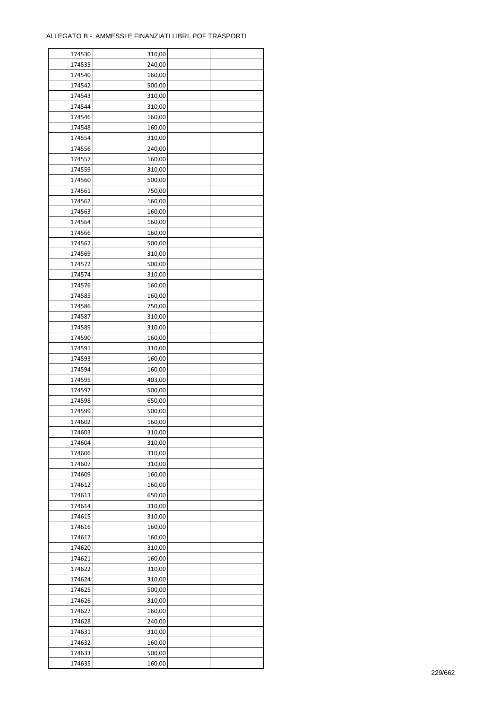| 174530           | 310,00           |  |
|------------------|------------------|--|
| 174535           | 240,00           |  |
| 174540           | 160,00           |  |
| 174542           | 500,00           |  |
| 174543           | 310,00           |  |
| 174544           | 310,00           |  |
| 174546           | 160,00           |  |
| 174548           | 160,00           |  |
| 174554           | 310,00           |  |
| 174556           | 240,00           |  |
| 174557           | 160,00           |  |
| 174559           | 310,00           |  |
| 174560           | 500,00           |  |
| 174561           | 750,00           |  |
| 174562           | 160,00           |  |
| 174563           | 160,00           |  |
| 174564           | 160,00           |  |
| 174566           | 160,00           |  |
| 174567           | 500,00           |  |
| 174569           | 310,00           |  |
| 174572           |                  |  |
|                  | 500,00           |  |
| 174574           | 310,00           |  |
| 174576           | 160,00           |  |
| 174585           | 160,00           |  |
| 174586           | 750,00           |  |
| 174587           | 310,00           |  |
| 174589           | 310,00           |  |
| 174590           | 160,00           |  |
| 174591           | 310,00           |  |
| 174593           | 160,00           |  |
| 174594           | 160,00           |  |
| 174595           | 403,00           |  |
| 174597<br>174598 | 500,00<br>650,00 |  |
| 174599           | 500,00           |  |
| 174602           | 160,00           |  |
| 174603           | 310,00           |  |
| 174604           | 310,00           |  |
| 174606           | 310,00           |  |
| 174607           | 310,00           |  |
| 174609           | 160,00           |  |
| 174612           | 160,00           |  |
| 174613           | 650,00           |  |
| 174614           |                  |  |
| 174615           | 310,00           |  |
|                  | 310,00<br>160,00 |  |
| 174616           |                  |  |
| 174617<br>174620 | 160,00<br>310,00 |  |
|                  |                  |  |
| 174621<br>174622 | 160,00<br>310,00 |  |
| 174624           |                  |  |
| 174625           | 310,00<br>500,00 |  |
| 174626           | 310,00           |  |
| 174627           | 160,00           |  |
| 174628           | 240,00           |  |
| 174631           |                  |  |
|                  | 310,00           |  |
| 174632           | 160,00           |  |
| 174633           | 500,00           |  |
| 174635           | 160,00           |  |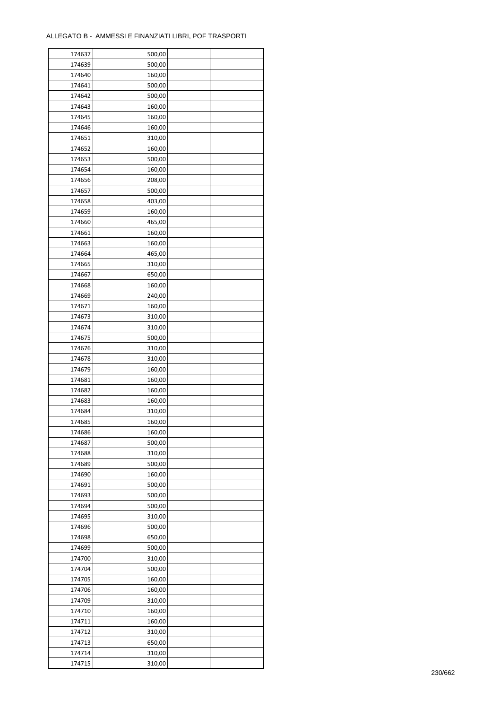| 174637 | 500,00 |  |
|--------|--------|--|
| 174639 | 500,00 |  |
| 174640 | 160,00 |  |
| 174641 | 500,00 |  |
| 174642 | 500,00 |  |
| 174643 | 160,00 |  |
| 174645 | 160,00 |  |
| 174646 | 160,00 |  |
| 174651 | 310,00 |  |
| 174652 | 160,00 |  |
| 174653 | 500,00 |  |
| 174654 | 160,00 |  |
| 174656 | 208,00 |  |
| 174657 |        |  |
|        | 500,00 |  |
| 174658 | 403,00 |  |
| 174659 | 160,00 |  |
| 174660 | 465,00 |  |
| 174661 | 160,00 |  |
| 174663 | 160,00 |  |
| 174664 | 465,00 |  |
| 174665 | 310,00 |  |
| 174667 | 650,00 |  |
| 174668 | 160,00 |  |
| 174669 | 240,00 |  |
| 174671 | 160,00 |  |
| 174673 | 310,00 |  |
| 174674 | 310,00 |  |
| 174675 | 500,00 |  |
| 174676 | 310,00 |  |
| 174678 | 310,00 |  |
| 174679 | 160,00 |  |
| 174681 | 160,00 |  |
| 174682 | 160,00 |  |
| 174683 | 160,00 |  |
| 174684 | 310,00 |  |
| 174685 | 160,00 |  |
| 174686 | 160,00 |  |
| 174687 | 500,00 |  |
| 174688 | 310,00 |  |
| 174689 | 500,00 |  |
| 174690 | 160,00 |  |
| 174691 | 500,00 |  |
| 174693 | 500,00 |  |
| 174694 | 500,00 |  |
| 174695 | 310,00 |  |
| 174696 | 500,00 |  |
| 174698 | 650,00 |  |
| 174699 | 500,00 |  |
| 174700 | 310,00 |  |
| 174704 | 500,00 |  |
| 174705 | 160,00 |  |
| 174706 | 160,00 |  |
| 174709 | 310,00 |  |
| 174710 | 160,00 |  |
| 174711 | 160,00 |  |
|        |        |  |
| 174712 | 310,00 |  |
| 174713 | 650,00 |  |
| 174714 | 310,00 |  |
| 174715 | 310,00 |  |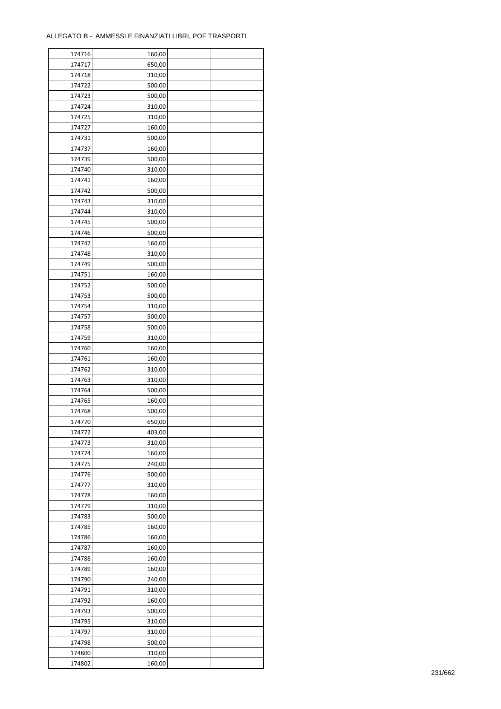| 174716 | 160,00 |  |
|--------|--------|--|
| 174717 | 650,00 |  |
| 174718 | 310,00 |  |
| 174722 | 500,00 |  |
| 174723 | 500,00 |  |
| 174724 | 310,00 |  |
| 174725 | 310,00 |  |
| 174727 | 160,00 |  |
| 174731 | 500,00 |  |
| 174737 | 160,00 |  |
|        | 500,00 |  |
| 174739 |        |  |
| 174740 | 310,00 |  |
| 174741 | 160,00 |  |
| 174742 | 500,00 |  |
| 174743 | 310,00 |  |
| 174744 | 310,00 |  |
| 174745 | 500,00 |  |
| 174746 | 500,00 |  |
| 174747 | 160,00 |  |
| 174748 | 310,00 |  |
| 174749 | 500,00 |  |
| 174751 | 160,00 |  |
| 174752 | 500,00 |  |
| 174753 | 500,00 |  |
| 174754 | 310,00 |  |
| 174757 | 500,00 |  |
| 174758 | 500,00 |  |
| 174759 | 310,00 |  |
| 174760 | 160,00 |  |
| 174761 | 160,00 |  |
| 174762 |        |  |
|        | 310,00 |  |
| 174763 | 310,00 |  |
| 174764 | 500,00 |  |
| 174765 | 160,00 |  |
| 174768 | 500,00 |  |
| 174770 | 650,00 |  |
| 174772 | 403,00 |  |
| 174773 | 310,00 |  |
| 174774 | 160,00 |  |
| 174775 | 240,00 |  |
| 174776 | 500,00 |  |
| 174777 | 310,00 |  |
| 174778 | 160,00 |  |
| 174779 | 310,00 |  |
| 174783 | 500,00 |  |
| 174785 | 160,00 |  |
| 174786 | 160,00 |  |
| 174787 | 160,00 |  |
| 174788 | 160,00 |  |
| 174789 | 160,00 |  |
| 174790 | 240,00 |  |
| 174791 | 310,00 |  |
| 174792 | 160,00 |  |
|        |        |  |
| 174793 | 500,00 |  |
| 174795 | 310,00 |  |
| 174797 | 310,00 |  |
| 174798 | 500,00 |  |
| 174800 | 310,00 |  |
| 174802 | 160,00 |  |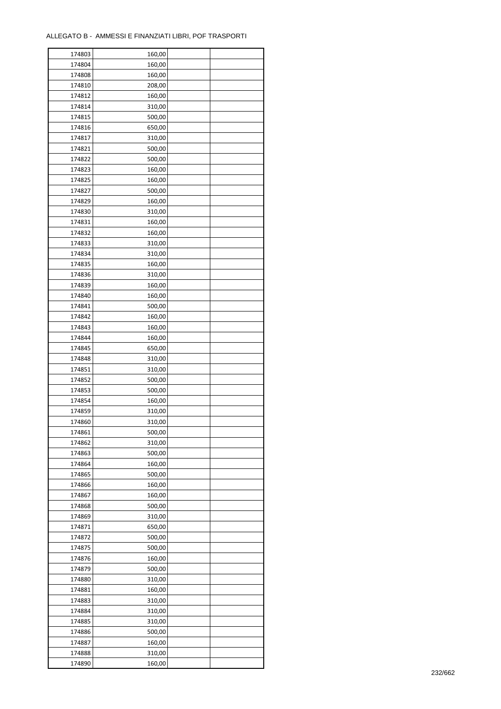| 174803 | 160,00 |  |
|--------|--------|--|
| 174804 | 160,00 |  |
| 174808 | 160,00 |  |
| 174810 | 208,00 |  |
| 174812 | 160,00 |  |
| 174814 | 310,00 |  |
| 174815 | 500,00 |  |
| 174816 | 650,00 |  |
|        | 310,00 |  |
| 174817 |        |  |
| 174821 | 500,00 |  |
| 174822 | 500,00 |  |
| 174823 | 160,00 |  |
| 174825 | 160,00 |  |
| 174827 | 500,00 |  |
| 174829 | 160,00 |  |
| 174830 | 310,00 |  |
| 174831 | 160,00 |  |
| 174832 | 160,00 |  |
| 174833 | 310,00 |  |
| 174834 | 310,00 |  |
| 174835 | 160,00 |  |
| 174836 | 310,00 |  |
| 174839 | 160,00 |  |
| 174840 | 160,00 |  |
| 174841 | 500,00 |  |
| 174842 | 160,00 |  |
| 174843 | 160,00 |  |
| 174844 | 160,00 |  |
| 174845 | 650,00 |  |
| 174848 | 310,00 |  |
|        |        |  |
| 174851 | 310,00 |  |
| 174852 | 500,00 |  |
| 174853 | 500,00 |  |
| 174854 | 160,00 |  |
| 174859 | 310,00 |  |
| 174860 | 310,00 |  |
| 174861 | 500,00 |  |
| 174862 | 310,00 |  |
| 174863 | 500,00 |  |
| 174864 | 160,00 |  |
| 174865 | 500,00 |  |
| 174866 | 160,00 |  |
| 174867 | 160,00 |  |
| 174868 | 500,00 |  |
| 174869 | 310,00 |  |
| 174871 | 650,00 |  |
| 174872 | 500,00 |  |
| 174875 | 500,00 |  |
| 174876 | 160,00 |  |
| 174879 | 500,00 |  |
| 174880 | 310,00 |  |
| 174881 | 160,00 |  |
| 174883 | 310,00 |  |
|        |        |  |
| 174884 | 310,00 |  |
| 174885 | 310,00 |  |
| 174886 | 500,00 |  |
| 174887 | 160,00 |  |
| 174888 | 310,00 |  |
| 174890 | 160,00 |  |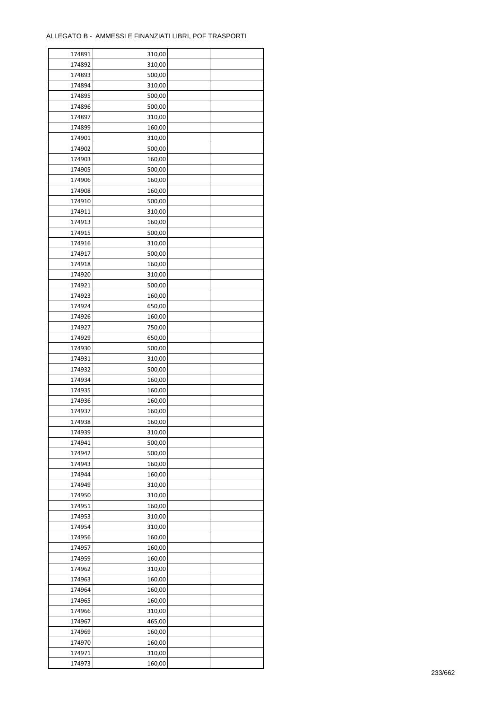| 174891 | 310,00 |  |
|--------|--------|--|
| 174892 | 310,00 |  |
| 174893 | 500,00 |  |
| 174894 | 310,00 |  |
| 174895 | 500,00 |  |
| 174896 | 500,00 |  |
| 174897 | 310,00 |  |
| 174899 | 160,00 |  |
| 174901 | 310,00 |  |
| 174902 | 500,00 |  |
| 174903 | 160,00 |  |
| 174905 | 500,00 |  |
| 174906 | 160,00 |  |
| 174908 | 160,00 |  |
| 174910 | 500,00 |  |
|        |        |  |
| 174911 | 310,00 |  |
| 174913 | 160,00 |  |
| 174915 | 500,00 |  |
| 174916 | 310,00 |  |
| 174917 | 500,00 |  |
| 174918 | 160,00 |  |
| 174920 | 310,00 |  |
| 174921 | 500,00 |  |
| 174923 | 160,00 |  |
| 174924 | 650,00 |  |
| 174926 | 160,00 |  |
| 174927 | 750,00 |  |
| 174929 | 650,00 |  |
| 174930 | 500,00 |  |
| 174931 | 310,00 |  |
| 174932 | 500,00 |  |
| 174934 | 160,00 |  |
| 174935 | 160,00 |  |
| 174936 | 160,00 |  |
| 174937 | 160,00 |  |
| 174938 | 160,00 |  |
| 174939 | 310,00 |  |
| 174941 | 500,00 |  |
| 174942 | 500,00 |  |
| 174943 | 160,00 |  |
|        |        |  |
| 174944 | 160,00 |  |
| 174949 | 310,00 |  |
| 174950 | 310,00 |  |
| 174951 | 160,00 |  |
| 174953 | 310,00 |  |
| 174954 | 310,00 |  |
| 174956 | 160,00 |  |
| 174957 | 160,00 |  |
| 174959 | 160,00 |  |
| 174962 | 310,00 |  |
| 174963 | 160,00 |  |
| 174964 | 160,00 |  |
| 174965 | 160,00 |  |
| 174966 | 310,00 |  |
| 174967 | 465,00 |  |
| 174969 | 160,00 |  |
| 174970 | 160,00 |  |
| 174971 | 310,00 |  |
| 174973 | 160,00 |  |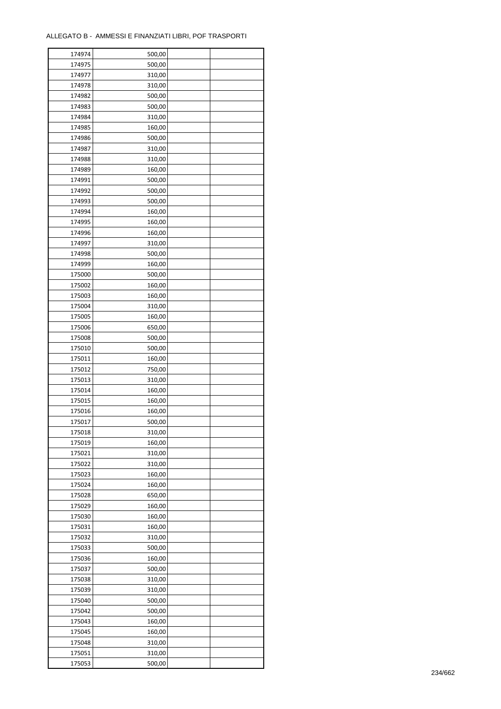| 174974 | 500,00 |  |
|--------|--------|--|
| 174975 | 500,00 |  |
| 174977 | 310,00 |  |
| 174978 | 310,00 |  |
| 174982 | 500,00 |  |
| 174983 | 500,00 |  |
| 174984 | 310,00 |  |
| 174985 | 160,00 |  |
| 174986 | 500,00 |  |
| 174987 | 310,00 |  |
| 174988 | 310,00 |  |
| 174989 | 160,00 |  |
| 174991 | 500,00 |  |
| 174992 | 500,00 |  |
|        |        |  |
| 174993 | 500,00 |  |
| 174994 | 160,00 |  |
| 174995 | 160,00 |  |
| 174996 | 160,00 |  |
| 174997 | 310,00 |  |
| 174998 | 500,00 |  |
| 174999 | 160,00 |  |
| 175000 | 500,00 |  |
| 175002 | 160,00 |  |
| 175003 | 160,00 |  |
| 175004 | 310,00 |  |
| 175005 | 160,00 |  |
| 175006 | 650,00 |  |
| 175008 | 500,00 |  |
| 175010 | 500,00 |  |
| 175011 | 160,00 |  |
| 175012 | 750,00 |  |
| 175013 | 310,00 |  |
| 175014 | 160,00 |  |
| 175015 | 160,00 |  |
| 175016 | 160,00 |  |
| 175017 | 500,00 |  |
| 175018 | 310,00 |  |
| 175019 | 160,00 |  |
| 175021 | 310,00 |  |
| 175022 | 310,00 |  |
| 175023 | 160,00 |  |
| 175024 | 160,00 |  |
| 175028 | 650,00 |  |
| 175029 | 160,00 |  |
| 175030 | 160,00 |  |
| 175031 | 160,00 |  |
| 175032 | 310,00 |  |
| 175033 | 500,00 |  |
| 175036 | 160,00 |  |
| 175037 | 500,00 |  |
| 175038 | 310,00 |  |
| 175039 | 310,00 |  |
| 175040 | 500,00 |  |
| 175042 | 500,00 |  |
| 175043 | 160,00 |  |
|        |        |  |
| 175045 | 160,00 |  |
| 175048 | 310,00 |  |
| 175051 | 310,00 |  |
| 175053 | 500,00 |  |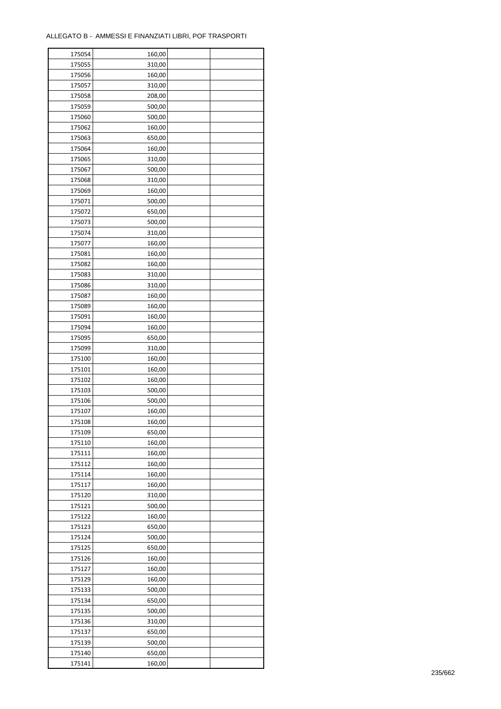| 175054 | 160,00 |  |
|--------|--------|--|
| 175055 | 310,00 |  |
| 175056 | 160,00 |  |
| 175057 | 310,00 |  |
| 175058 | 208,00 |  |
| 175059 | 500,00 |  |
| 175060 | 500,00 |  |
| 175062 | 160,00 |  |
| 175063 | 650,00 |  |
| 175064 | 160,00 |  |
| 175065 | 310,00 |  |
| 175067 | 500,00 |  |
| 175068 | 310,00 |  |
| 175069 | 160,00 |  |
| 175071 | 500,00 |  |
| 175072 | 650,00 |  |
| 175073 | 500,00 |  |
| 175074 | 310,00 |  |
| 175077 | 160,00 |  |
| 175081 | 160,00 |  |
| 175082 |        |  |
|        | 160,00 |  |
| 175083 | 310,00 |  |
| 175086 | 310,00 |  |
| 175087 | 160,00 |  |
| 175089 | 160,00 |  |
| 175091 | 160,00 |  |
| 175094 | 160,00 |  |
| 175095 | 650,00 |  |
| 175099 | 310,00 |  |
| 175100 | 160,00 |  |
| 175101 | 160,00 |  |
| 175102 | 160,00 |  |
| 175103 | 500,00 |  |
| 175106 | 500,00 |  |
| 175107 | 160,00 |  |
| 175108 | 160,00 |  |
| 175109 | 650,00 |  |
| 175110 | 160,00 |  |
| 175111 | 160,00 |  |
| 175112 | 160,00 |  |
| 175114 | 160,00 |  |
| 175117 | 160,00 |  |
| 175120 | 310,00 |  |
| 175121 | 500,00 |  |
| 175122 | 160,00 |  |
| 175123 | 650,00 |  |
| 175124 | 500,00 |  |
| 175125 | 650,00 |  |
| 175126 | 160,00 |  |
| 175127 | 160,00 |  |
| 175129 | 160,00 |  |
| 175133 | 500,00 |  |
| 175134 | 650,00 |  |
| 175135 | 500,00 |  |
| 175136 | 310,00 |  |
| 175137 | 650,00 |  |
| 175139 | 500,00 |  |
| 175140 | 650,00 |  |
| 175141 | 160,00 |  |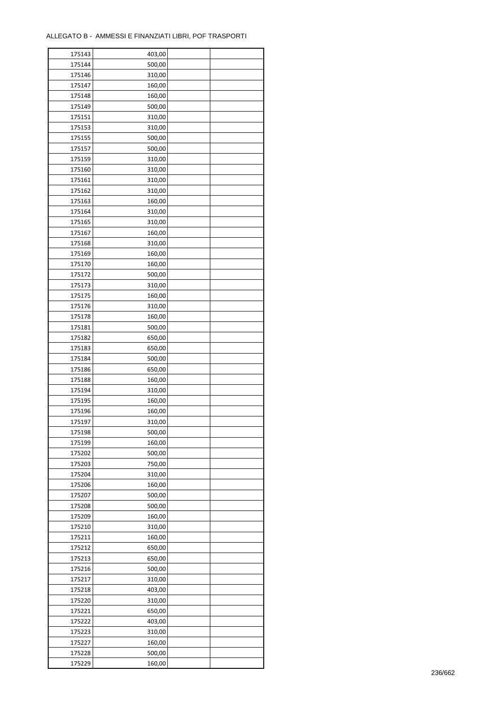| 175143 | 403,00 |  |
|--------|--------|--|
| 175144 | 500,00 |  |
| 175146 | 310,00 |  |
| 175147 | 160,00 |  |
| 175148 | 160,00 |  |
| 175149 | 500,00 |  |
| 175151 | 310,00 |  |
| 175153 | 310,00 |  |
| 175155 | 500,00 |  |
| 175157 | 500,00 |  |
|        |        |  |
| 175159 | 310,00 |  |
| 175160 | 310,00 |  |
| 175161 | 310,00 |  |
| 175162 | 310,00 |  |
| 175163 | 160,00 |  |
| 175164 | 310,00 |  |
| 175165 | 310,00 |  |
| 175167 | 160,00 |  |
| 175168 | 310,00 |  |
| 175169 | 160,00 |  |
| 175170 | 160,00 |  |
| 175172 | 500,00 |  |
| 175173 | 310,00 |  |
| 175175 | 160,00 |  |
| 175176 | 310,00 |  |
| 175178 | 160,00 |  |
| 175181 | 500,00 |  |
| 175182 | 650,00 |  |
| 175183 | 650,00 |  |
| 175184 | 500,00 |  |
| 175186 | 650,00 |  |
|        | 160,00 |  |
| 175188 |        |  |
| 175194 | 310,00 |  |
| 175195 | 160,00 |  |
| 175196 | 160,00 |  |
| 175197 | 310,00 |  |
| 175198 | 500,00 |  |
| 175199 | 160,00 |  |
| 175202 | 500,00 |  |
| 175203 | 750,00 |  |
| 175204 | 310,00 |  |
| 175206 | 160,00 |  |
| 175207 | 500,00 |  |
| 175208 | 500,00 |  |
| 175209 | 160,00 |  |
| 175210 | 310,00 |  |
| 175211 | 160,00 |  |
| 175212 | 650,00 |  |
| 175213 | 650,00 |  |
| 175216 | 500,00 |  |
| 175217 | 310,00 |  |
| 175218 | 403,00 |  |
| 175220 | 310,00 |  |
| 175221 | 650,00 |  |
|        | 403,00 |  |
| 175222 |        |  |
| 175223 | 310,00 |  |
| 175227 | 160,00 |  |
| 175228 | 500,00 |  |
| 175229 | 160,00 |  |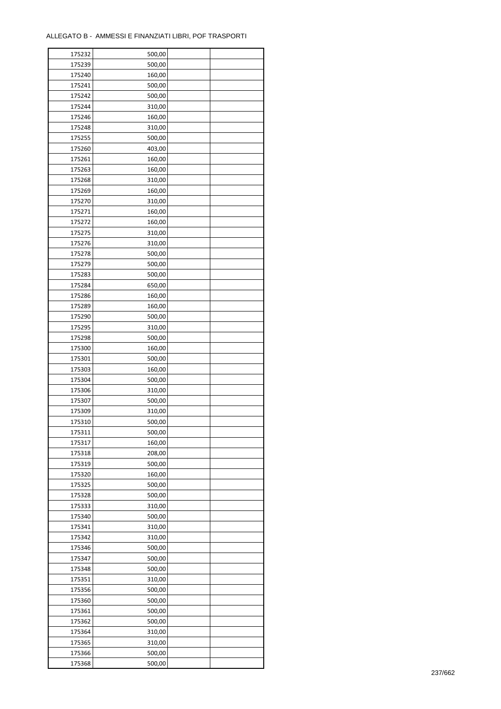| 175232 | 500,00 |  |
|--------|--------|--|
| 175239 | 500,00 |  |
| 175240 | 160,00 |  |
| 175241 | 500,00 |  |
| 175242 | 500,00 |  |
| 175244 | 310,00 |  |
| 175246 | 160,00 |  |
| 175248 | 310,00 |  |
| 175255 | 500,00 |  |
| 175260 | 403,00 |  |
| 175261 | 160,00 |  |
| 175263 | 160,00 |  |
| 175268 | 310,00 |  |
|        |        |  |
| 175269 | 160,00 |  |
| 175270 | 310,00 |  |
| 175271 | 160,00 |  |
| 175272 | 160,00 |  |
| 175275 | 310,00 |  |
| 175276 | 310,00 |  |
| 175278 | 500,00 |  |
| 175279 | 500,00 |  |
| 175283 | 500,00 |  |
| 175284 | 650,00 |  |
| 175286 | 160,00 |  |
| 175289 | 160,00 |  |
| 175290 | 500,00 |  |
| 175295 | 310,00 |  |
| 175298 | 500,00 |  |
| 175300 | 160,00 |  |
| 175301 | 500,00 |  |
| 175303 | 160,00 |  |
| 175304 | 500,00 |  |
| 175306 | 310,00 |  |
| 175307 | 500,00 |  |
| 175309 | 310,00 |  |
| 175310 | 500,00 |  |
| 175311 | 500,00 |  |
| 175317 | 160,00 |  |
| 175318 | 208,00 |  |
| 175319 | 500,00 |  |
| 175320 | 160,00 |  |
| 175325 | 500,00 |  |
| 175328 | 500,00 |  |
| 175333 | 310,00 |  |
| 175340 | 500,00 |  |
| 175341 | 310,00 |  |
| 175342 | 310,00 |  |
| 175346 | 500,00 |  |
| 175347 | 500,00 |  |
| 175348 | 500,00 |  |
| 175351 | 310,00 |  |
| 175356 | 500,00 |  |
| 175360 | 500,00 |  |
| 175361 | 500,00 |  |
| 175362 | 500,00 |  |
| 175364 | 310,00 |  |
| 175365 | 310,00 |  |
| 175366 | 500,00 |  |
| 175368 | 500,00 |  |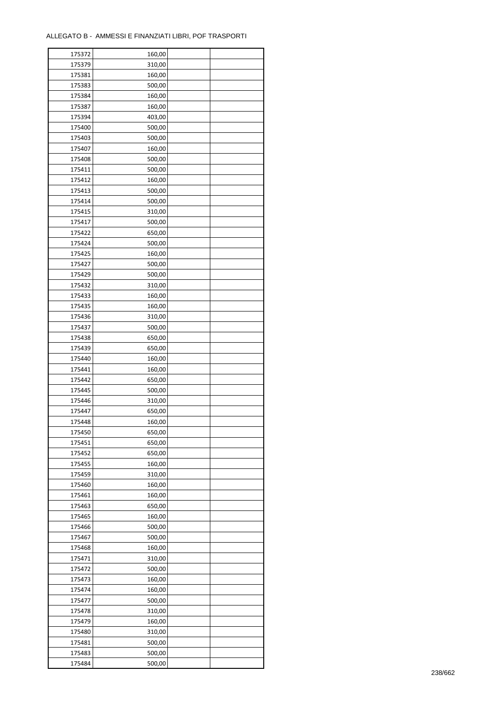| 175372 | 160,00 |  |
|--------|--------|--|
| 175379 | 310,00 |  |
| 175381 | 160,00 |  |
| 175383 | 500,00 |  |
| 175384 | 160,00 |  |
| 175387 | 160,00 |  |
| 175394 | 403,00 |  |
| 175400 | 500,00 |  |
| 175403 | 500,00 |  |
| 175407 | 160,00 |  |
| 175408 | 500,00 |  |
| 175411 | 500,00 |  |
|        |        |  |
| 175412 | 160,00 |  |
| 175413 | 500,00 |  |
| 175414 | 500,00 |  |
| 175415 | 310,00 |  |
| 175417 | 500,00 |  |
| 175422 | 650,00 |  |
| 175424 | 500,00 |  |
| 175425 | 160,00 |  |
| 175427 | 500,00 |  |
| 175429 | 500,00 |  |
| 175432 | 310,00 |  |
| 175433 | 160,00 |  |
| 175435 | 160,00 |  |
| 175436 | 310,00 |  |
| 175437 | 500,00 |  |
| 175438 | 650,00 |  |
| 175439 | 650,00 |  |
| 175440 | 160,00 |  |
| 175441 | 160,00 |  |
| 175442 | 650,00 |  |
| 175445 | 500,00 |  |
| 175446 | 310,00 |  |
| 175447 | 650,00 |  |
| 175448 | 160,00 |  |
| 175450 | 650,00 |  |
| 175451 | 650,00 |  |
| 175452 |        |  |
|        | 650,00 |  |
| 175455 | 160,00 |  |
| 175459 | 310,00 |  |
| 175460 | 160,00 |  |
| 175461 | 160,00 |  |
| 175463 | 650,00 |  |
| 175465 | 160,00 |  |
| 175466 | 500,00 |  |
| 175467 | 500,00 |  |
| 175468 | 160,00 |  |
| 175471 | 310,00 |  |
| 175472 | 500,00 |  |
| 175473 | 160,00 |  |
| 175474 | 160,00 |  |
| 175477 | 500,00 |  |
| 175478 | 310,00 |  |
| 175479 | 160,00 |  |
| 175480 | 310,00 |  |
| 175481 | 500,00 |  |
| 175483 | 500,00 |  |
| 175484 | 500,00 |  |
|        |        |  |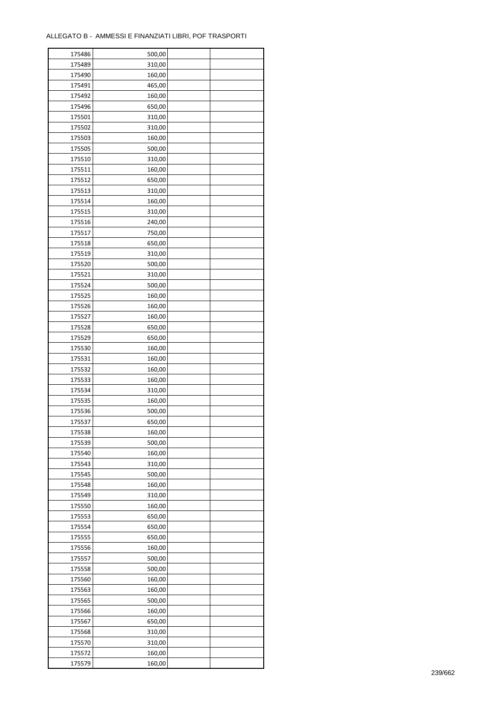| 175486 | 500,00 |  |
|--------|--------|--|
| 175489 | 310,00 |  |
| 175490 | 160,00 |  |
| 175491 | 465,00 |  |
| 175492 | 160,00 |  |
| 175496 | 650,00 |  |
| 175501 | 310,00 |  |
| 175502 | 310,00 |  |
| 175503 | 160,00 |  |
| 175505 | 500,00 |  |
| 175510 | 310,00 |  |
| 175511 | 160,00 |  |
|        |        |  |
| 175512 | 650,00 |  |
| 175513 | 310,00 |  |
| 175514 | 160,00 |  |
| 175515 | 310,00 |  |
| 175516 | 240,00 |  |
| 175517 | 750,00 |  |
| 175518 | 650,00 |  |
| 175519 | 310,00 |  |
| 175520 | 500,00 |  |
| 175521 | 310,00 |  |
| 175524 | 500,00 |  |
| 175525 | 160,00 |  |
| 175526 | 160,00 |  |
| 175527 | 160,00 |  |
| 175528 | 650,00 |  |
| 175529 | 650,00 |  |
| 175530 | 160,00 |  |
| 175531 | 160,00 |  |
| 175532 | 160,00 |  |
| 175533 | 160,00 |  |
| 175534 | 310,00 |  |
| 175535 | 160,00 |  |
| 175536 | 500,00 |  |
| 175537 | 650,00 |  |
| 175538 | 160,00 |  |
| 175539 | 500,00 |  |
| 175540 |        |  |
|        | 160,00 |  |
| 175543 | 310,00 |  |
| 175545 | 500,00 |  |
| 175548 | 160,00 |  |
| 175549 | 310,00 |  |
| 175550 | 160,00 |  |
| 175553 | 650,00 |  |
| 175554 | 650,00 |  |
| 175555 | 650,00 |  |
| 175556 | 160,00 |  |
| 175557 | 500,00 |  |
| 175558 | 500,00 |  |
| 175560 | 160,00 |  |
| 175563 | 160,00 |  |
| 175565 | 500,00 |  |
| 175566 | 160,00 |  |
| 175567 | 650,00 |  |
| 175568 | 310,00 |  |
| 175570 | 310,00 |  |
| 175572 | 160,00 |  |
| 175579 | 160,00 |  |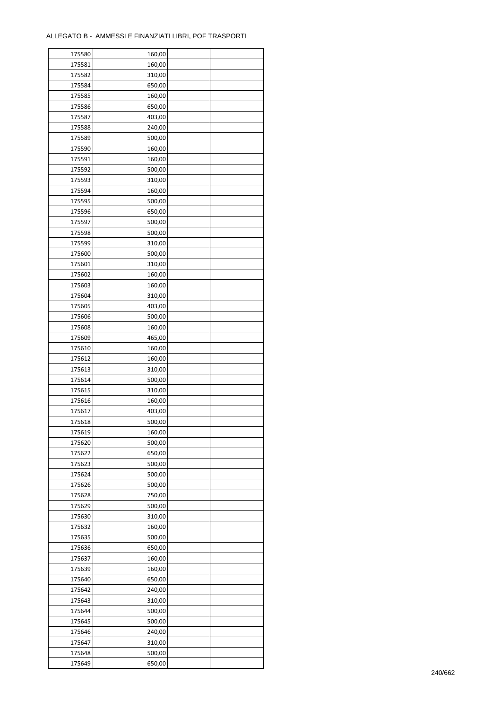| 175580 | 160,00 |  |
|--------|--------|--|
| 175581 | 160,00 |  |
| 175582 | 310,00 |  |
| 175584 | 650,00 |  |
| 175585 | 160,00 |  |
| 175586 | 650,00 |  |
| 175587 | 403,00 |  |
| 175588 | 240,00 |  |
| 175589 | 500,00 |  |
| 175590 | 160,00 |  |
| 175591 | 160,00 |  |
| 175592 |        |  |
|        | 500,00 |  |
| 175593 | 310,00 |  |
| 175594 | 160,00 |  |
| 175595 | 500,00 |  |
| 175596 | 650,00 |  |
| 175597 | 500,00 |  |
| 175598 | 500,00 |  |
| 175599 | 310,00 |  |
| 175600 | 500,00 |  |
| 175601 | 310,00 |  |
| 175602 | 160,00 |  |
| 175603 | 160,00 |  |
| 175604 | 310,00 |  |
| 175605 | 403,00 |  |
| 175606 | 500,00 |  |
| 175608 | 160,00 |  |
| 175609 | 465,00 |  |
| 175610 | 160,00 |  |
| 175612 | 160,00 |  |
| 175613 | 310,00 |  |
| 175614 | 500,00 |  |
| 175615 | 310,00 |  |
| 175616 | 160,00 |  |
| 175617 | 403,00 |  |
|        |        |  |
| 175618 | 500,00 |  |
| 175619 | 160,00 |  |
| 175620 | 500,00 |  |
| 175622 | 650,00 |  |
| 175623 | 500,00 |  |
| 175624 | 500,00 |  |
| 175626 | 500,00 |  |
| 175628 | 750,00 |  |
| 175629 | 500,00 |  |
| 175630 | 310,00 |  |
| 175632 | 160,00 |  |
| 175635 | 500,00 |  |
| 175636 | 650,00 |  |
| 175637 | 160,00 |  |
| 175639 | 160,00 |  |
| 175640 | 650,00 |  |
| 175642 | 240,00 |  |
| 175643 | 310,00 |  |
| 175644 | 500,00 |  |
| 175645 | 500,00 |  |
| 175646 | 240,00 |  |
|        |        |  |
| 175647 | 310,00 |  |
| 175648 | 500,00 |  |
| 175649 | 650,00 |  |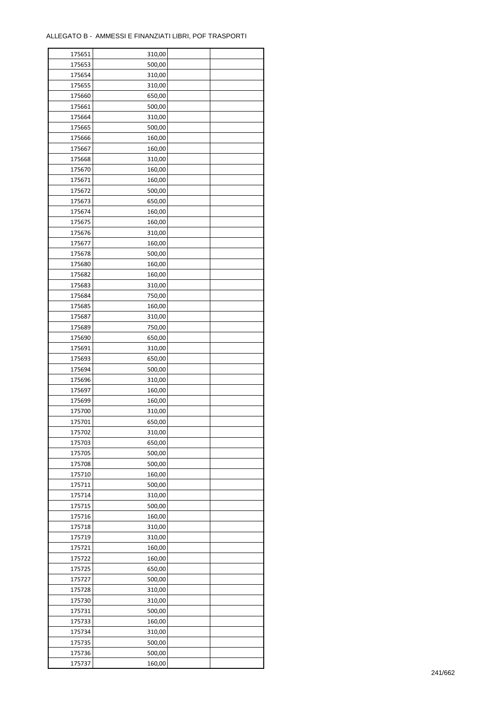| 175651 | 310,00 |  |
|--------|--------|--|
| 175653 | 500,00 |  |
| 175654 | 310,00 |  |
| 175655 | 310,00 |  |
| 175660 | 650,00 |  |
| 175661 | 500,00 |  |
| 175664 | 310,00 |  |
| 175665 | 500,00 |  |
|        |        |  |
| 175666 | 160,00 |  |
| 175667 | 160,00 |  |
| 175668 | 310,00 |  |
| 175670 | 160,00 |  |
| 175671 | 160,00 |  |
| 175672 | 500,00 |  |
| 175673 | 650,00 |  |
| 175674 | 160,00 |  |
| 175675 | 160,00 |  |
| 175676 | 310,00 |  |
| 175677 | 160,00 |  |
| 175678 | 500,00 |  |
| 175680 | 160,00 |  |
| 175682 | 160,00 |  |
| 175683 | 310,00 |  |
| 175684 | 750,00 |  |
| 175685 | 160,00 |  |
| 175687 | 310,00 |  |
| 175689 | 750,00 |  |
| 175690 | 650,00 |  |
| 175691 | 310,00 |  |
|        |        |  |
| 175693 | 650,00 |  |
| 175694 | 500,00 |  |
| 175696 | 310,00 |  |
| 175697 | 160,00 |  |
| 175699 | 160,00 |  |
| 175700 | 310,00 |  |
| 175701 | 650,00 |  |
| 175702 | 310,00 |  |
| 175703 | 650,00 |  |
| 175705 | 500,00 |  |
| 175708 | 500,00 |  |
| 175710 | 160,00 |  |
| 175711 | 500,00 |  |
| 175714 | 310,00 |  |
| 175715 | 500,00 |  |
| 175716 | 160,00 |  |
| 175718 | 310,00 |  |
| 175719 | 310,00 |  |
| 175721 | 160,00 |  |
| 175722 | 160,00 |  |
| 175725 | 650,00 |  |
|        |        |  |
| 175727 | 500,00 |  |
| 175728 | 310,00 |  |
| 175730 | 310,00 |  |
| 175731 | 500,00 |  |
| 175733 | 160,00 |  |
| 175734 | 310,00 |  |
| 175735 | 500,00 |  |
| 175736 | 500,00 |  |
| 175737 | 160,00 |  |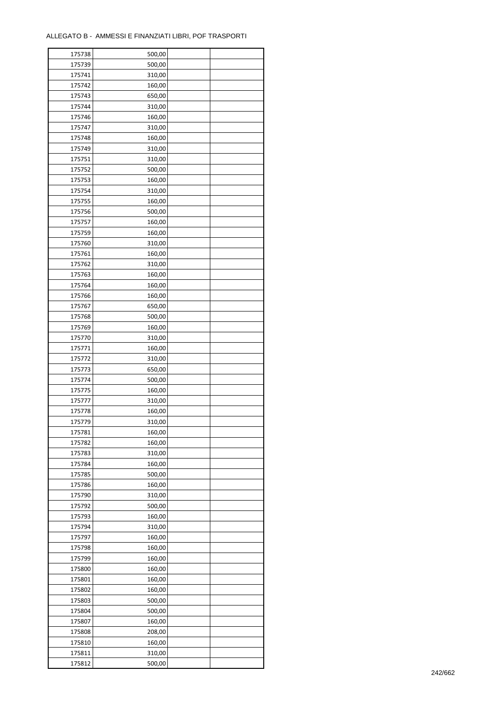| 175738 | 500,00 |  |
|--------|--------|--|
| 175739 | 500,00 |  |
| 175741 | 310,00 |  |
| 175742 | 160,00 |  |
| 175743 | 650,00 |  |
| 175744 | 310,00 |  |
| 175746 | 160,00 |  |
| 175747 | 310,00 |  |
| 175748 | 160,00 |  |
| 175749 | 310,00 |  |
|        |        |  |
| 175751 | 310,00 |  |
| 175752 | 500,00 |  |
| 175753 | 160,00 |  |
| 175754 | 310,00 |  |
| 175755 | 160,00 |  |
| 175756 | 500,00 |  |
| 175757 | 160,00 |  |
| 175759 | 160,00 |  |
| 175760 | 310,00 |  |
| 175761 | 160,00 |  |
| 175762 | 310,00 |  |
| 175763 | 160,00 |  |
| 175764 | 160,00 |  |
| 175766 | 160,00 |  |
| 175767 | 650,00 |  |
| 175768 | 500,00 |  |
| 175769 | 160,00 |  |
| 175770 | 310,00 |  |
| 175771 | 160,00 |  |
| 175772 | 310,00 |  |
|        |        |  |
| 175773 | 650,00 |  |
| 175774 | 500,00 |  |
| 175775 | 160,00 |  |
| 175777 | 310,00 |  |
| 175778 | 160,00 |  |
| 175779 | 310,00 |  |
| 175781 | 160,00 |  |
| 175782 | 160,00 |  |
| 175783 | 310,00 |  |
| 175784 | 160,00 |  |
| 175785 | 500,00 |  |
| 175786 | 160,00 |  |
| 175790 | 310,00 |  |
| 175792 | 500,00 |  |
| 175793 | 160,00 |  |
| 175794 | 310,00 |  |
| 175797 | 160,00 |  |
| 175798 | 160,00 |  |
| 175799 | 160,00 |  |
| 175800 | 160,00 |  |
| 175801 | 160,00 |  |
| 175802 | 160,00 |  |
| 175803 | 500,00 |  |
|        |        |  |
| 175804 | 500,00 |  |
| 175807 | 160,00 |  |
| 175808 | 208,00 |  |
| 175810 | 160,00 |  |
| 175811 | 310,00 |  |
| 175812 | 500,00 |  |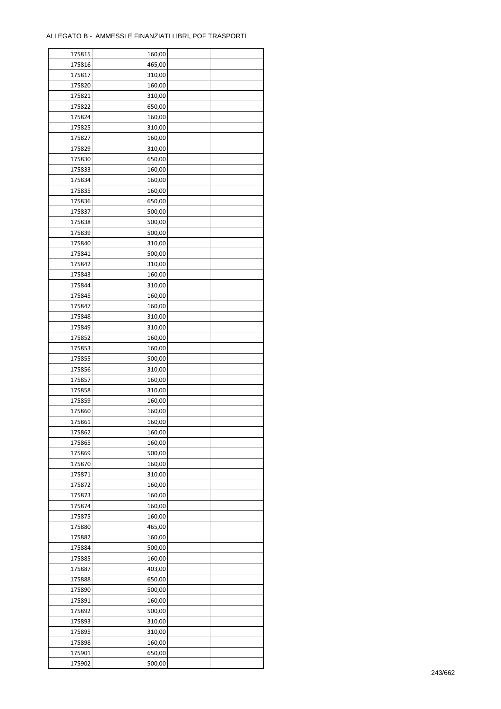| 175815           | 160,00           |  |
|------------------|------------------|--|
| 175816           | 465,00           |  |
| 175817           | 310,00           |  |
| 175820           | 160,00           |  |
| 175821           | 310,00           |  |
| 175822           | 650,00           |  |
| 175824           | 160,00           |  |
| 175825           | 310,00           |  |
| 175827           | 160,00           |  |
| 175829           | 310,00           |  |
| 175830           | 650,00           |  |
| 175833           | 160,00           |  |
| 175834           | 160,00           |  |
| 175835           | 160,00           |  |
| 175836           | 650,00           |  |
| 175837           | 500,00           |  |
| 175838           | 500,00           |  |
| 175839           | 500,00           |  |
| 175840           | 310,00           |  |
| 175841           | 500,00           |  |
| 175842           |                  |  |
|                  | 310,00           |  |
| 175843           | 160,00           |  |
| 175844           | 310,00           |  |
| 175845           | 160,00           |  |
| 175847           | 160,00           |  |
| 175848           | 310,00           |  |
| 175849           | 310,00           |  |
| 175852           | 160,00           |  |
| 175853           | 160,00           |  |
| 175855           | 500,00           |  |
| 175856           | 310,00           |  |
| 175857           | 160,00           |  |
| 175858<br>175859 | 310,00<br>160,00 |  |
| 175860           | 160,00           |  |
| 175861           | 160,00           |  |
| 175862           | 160,00           |  |
| 175865           | 160,00           |  |
| 175869           | 500,00           |  |
| 175870           | 160,00           |  |
| 175871           | 310,00           |  |
| 175872           | 160,00           |  |
| 175873           | 160,00           |  |
| 175874           | 160,00           |  |
| 175875           | 160,00           |  |
| 175880           | 465,00           |  |
| 175882           | 160,00           |  |
| 175884           | 500,00           |  |
| 175885           |                  |  |
| 175887           | 160,00<br>403,00 |  |
| 175888           | 650,00           |  |
| 175890           | 500,00           |  |
| 175891           | 160,00           |  |
| 175892           | 500,00           |  |
| 175893           | 310,00           |  |
| 175895           | 310,00           |  |
|                  | 160,00           |  |
| 175898           |                  |  |
| 175901<br>175902 | 650,00           |  |
|                  | 500,00           |  |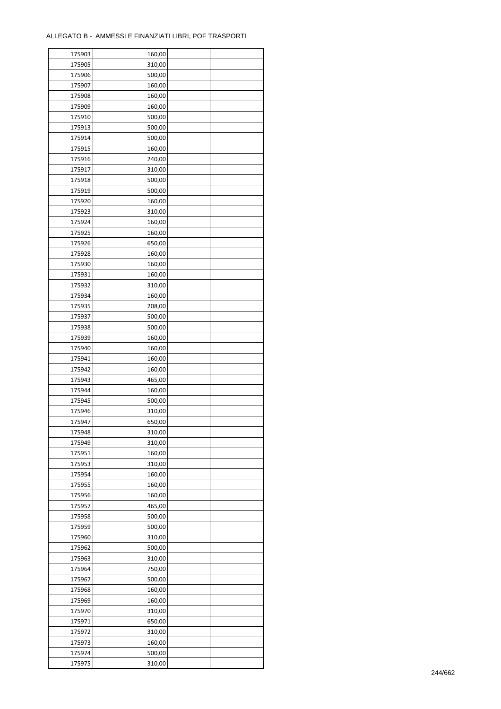| 175903 | 160,00 |  |
|--------|--------|--|
| 175905 | 310,00 |  |
| 175906 | 500,00 |  |
| 175907 | 160,00 |  |
| 175908 | 160,00 |  |
| 175909 | 160,00 |  |
| 175910 | 500,00 |  |
| 175913 | 500,00 |  |
| 175914 | 500,00 |  |
| 175915 | 160,00 |  |
| 175916 |        |  |
|        | 240,00 |  |
| 175917 | 310,00 |  |
| 175918 | 500,00 |  |
| 175919 | 500,00 |  |
| 175920 | 160,00 |  |
| 175923 | 310,00 |  |
| 175924 | 160,00 |  |
| 175925 | 160,00 |  |
| 175926 | 650,00 |  |
| 175928 | 160,00 |  |
| 175930 | 160,00 |  |
| 175931 | 160,00 |  |
| 175932 | 310,00 |  |
| 175934 | 160,00 |  |
| 175935 | 208,00 |  |
| 175937 | 500,00 |  |
| 175938 | 500,00 |  |
| 175939 | 160,00 |  |
| 175940 | 160,00 |  |
| 175941 | 160,00 |  |
|        |        |  |
| 175942 | 160,00 |  |
| 175943 | 465,00 |  |
| 175944 | 160,00 |  |
| 175945 | 500,00 |  |
| 175946 | 310,00 |  |
| 175947 | 650,00 |  |
| 175948 | 310,00 |  |
| 175949 | 310,00 |  |
| 175951 | 160,00 |  |
| 175953 | 310,00 |  |
| 175954 | 160,00 |  |
| 175955 | 160,00 |  |
| 175956 | 160,00 |  |
| 175957 | 465,00 |  |
| 175958 | 500,00 |  |
| 175959 | 500,00 |  |
| 175960 | 310,00 |  |
| 175962 | 500,00 |  |
| 175963 | 310,00 |  |
| 175964 | 750,00 |  |
| 175967 | 500,00 |  |
| 175968 | 160,00 |  |
|        |        |  |
| 175969 | 160,00 |  |
| 175970 | 310,00 |  |
| 175971 | 650,00 |  |
| 175972 | 310,00 |  |
| 175973 | 160,00 |  |
| 175974 | 500,00 |  |
| 175975 | 310,00 |  |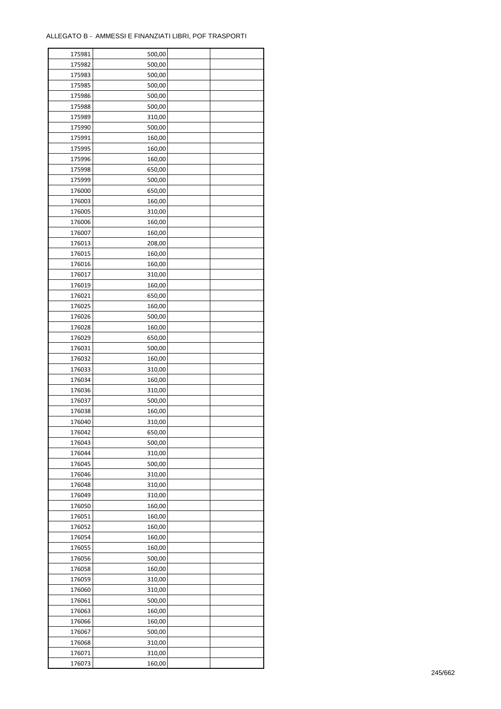| 175981           | 500,00           |  |
|------------------|------------------|--|
| 175982           | 500,00           |  |
| 175983           | 500,00           |  |
| 175985           | 500,00           |  |
| 175986           | 500,00           |  |
| 175988           | 500,00           |  |
| 175989           | 310,00           |  |
| 175990           | 500,00           |  |
| 175991           | 160,00           |  |
| 175995           | 160,00           |  |
| 175996           | 160,00           |  |
| 175998           | 650,00           |  |
|                  |                  |  |
| 175999           | 500,00           |  |
| 176000           | 650,00           |  |
| 176003           | 160,00           |  |
| 176005           | 310,00           |  |
| 176006           | 160,00           |  |
| 176007           | 160,00           |  |
| 176013           | 208,00           |  |
| 176015           | 160,00           |  |
| 176016           | 160,00           |  |
| 176017           | 310,00           |  |
| 176019           | 160,00           |  |
| 176021           | 650,00           |  |
| 176025           | 160,00           |  |
| 176026           | 500,00           |  |
| 176028           | 160,00           |  |
| 176029           | 650,00           |  |
| 176031           | 500,00           |  |
| 176032           | 160,00           |  |
| 176033           | 310,00           |  |
| 176034           | 160,00           |  |
| 176036           | 310,00           |  |
| 176037           | 500,00           |  |
| 176038           | 160,00           |  |
| 176040           | 310,00           |  |
| 176042           | 650,00           |  |
| 176043           | 500,00           |  |
| 176044           | 310,00           |  |
| 176045           | 500,00           |  |
| 176046           | 310,00           |  |
| 176048           | 310,00           |  |
| 176049           | 310,00           |  |
| 176050           | 160,00           |  |
| 176051           | 160,00           |  |
| 176052           | 160,00           |  |
| 176054           | 160,00           |  |
| 176055           | 160,00           |  |
|                  |                  |  |
| 176056<br>176058 | 500,00<br>160,00 |  |
|                  |                  |  |
| 176059           | 310,00           |  |
| 176060           | 310,00           |  |
| 176061           | 500,00           |  |
| 176063           | 160,00           |  |
| 176066           | 160,00           |  |
| 176067           | 500,00           |  |
| 176068           | 310,00           |  |
| 176071           | 310,00           |  |
| 176073           | 160,00           |  |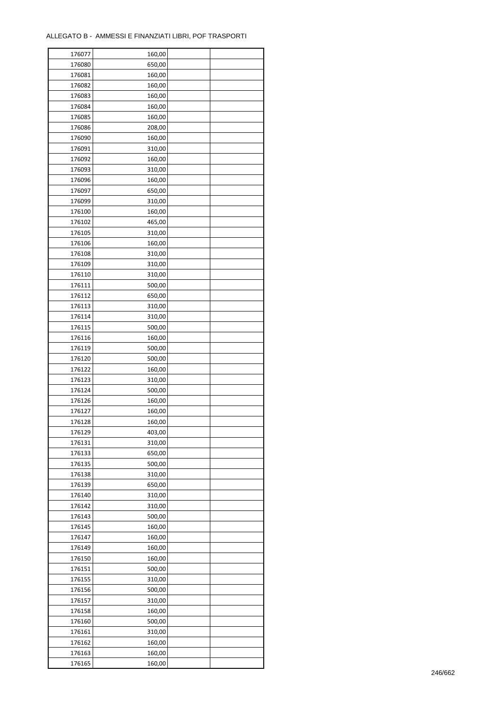| 176077 | 160,00 |  |
|--------|--------|--|
| 176080 | 650,00 |  |
| 176081 | 160,00 |  |
| 176082 | 160,00 |  |
| 176083 | 160,00 |  |
| 176084 | 160,00 |  |
| 176085 | 160,00 |  |
| 176086 | 208,00 |  |
| 176090 | 160,00 |  |
| 176091 | 310,00 |  |
| 176092 | 160,00 |  |
| 176093 | 310,00 |  |
| 176096 | 160,00 |  |
| 176097 |        |  |
|        | 650,00 |  |
| 176099 | 310,00 |  |
| 176100 | 160,00 |  |
| 176102 | 465,00 |  |
| 176105 | 310,00 |  |
| 176106 | 160,00 |  |
| 176108 | 310,00 |  |
| 176109 | 310,00 |  |
| 176110 | 310,00 |  |
| 176111 | 500,00 |  |
| 176112 | 650,00 |  |
| 176113 | 310,00 |  |
| 176114 | 310,00 |  |
| 176115 | 500,00 |  |
| 176116 | 160,00 |  |
| 176119 | 500,00 |  |
| 176120 | 500,00 |  |
| 176122 | 160,00 |  |
| 176123 | 310,00 |  |
| 176124 | 500,00 |  |
| 176126 | 160,00 |  |
| 176127 | 160,00 |  |
| 176128 | 160,00 |  |
| 176129 | 403,00 |  |
| 176131 | 310,00 |  |
| 176133 | 650,00 |  |
| 176135 | 500,00 |  |
| 176138 | 310,00 |  |
| 176139 | 650,00 |  |
| 176140 | 310,00 |  |
| 176142 | 310,00 |  |
| 176143 | 500,00 |  |
| 176145 | 160,00 |  |
|        |        |  |
| 176147 | 160,00 |  |
| 176149 | 160,00 |  |
| 176150 | 160,00 |  |
| 176151 | 500,00 |  |
| 176155 | 310,00 |  |
| 176156 | 500,00 |  |
| 176157 | 310,00 |  |
| 176158 | 160,00 |  |
| 176160 | 500,00 |  |
| 176161 | 310,00 |  |
| 176162 | 160,00 |  |
| 176163 | 160,00 |  |
| 176165 | 160,00 |  |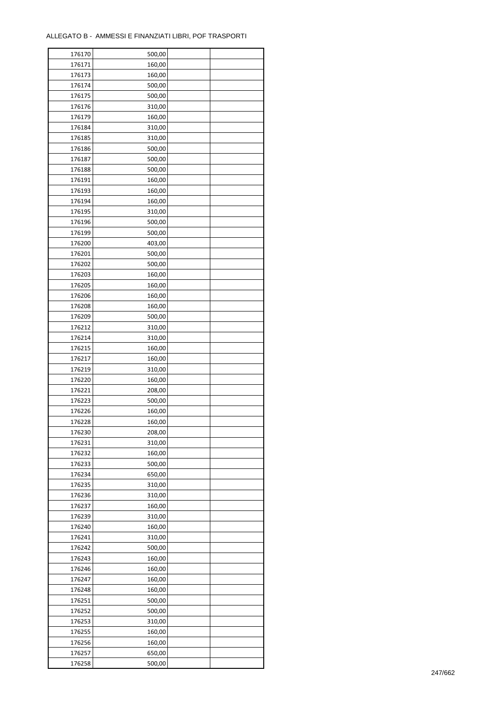| 176170 | 500,00 |  |
|--------|--------|--|
| 176171 | 160,00 |  |
| 176173 | 160,00 |  |
| 176174 | 500,00 |  |
| 176175 | 500,00 |  |
| 176176 | 310,00 |  |
| 176179 | 160,00 |  |
| 176184 | 310,00 |  |
| 176185 | 310,00 |  |
| 176186 | 500,00 |  |
| 176187 | 500,00 |  |
| 176188 | 500,00 |  |
| 176191 | 160,00 |  |
| 176193 | 160,00 |  |
|        |        |  |
| 176194 | 160,00 |  |
| 176195 | 310,00 |  |
| 176196 | 500,00 |  |
| 176199 | 500,00 |  |
| 176200 | 403,00 |  |
| 176201 | 500,00 |  |
| 176202 | 500,00 |  |
| 176203 | 160,00 |  |
| 176205 | 160,00 |  |
| 176206 | 160,00 |  |
| 176208 | 160,00 |  |
| 176209 | 500,00 |  |
| 176212 | 310,00 |  |
| 176214 | 310,00 |  |
| 176215 | 160,00 |  |
| 176217 | 160,00 |  |
| 176219 | 310,00 |  |
| 176220 | 160,00 |  |
| 176221 | 208,00 |  |
| 176223 | 500,00 |  |
| 176226 | 160,00 |  |
| 176228 | 160,00 |  |
| 176230 | 208,00 |  |
| 176231 | 310,00 |  |
| 176232 | 160,00 |  |
| 176233 | 500,00 |  |
| 176234 | 650,00 |  |
| 176235 | 310,00 |  |
| 176236 | 310,00 |  |
| 176237 | 160,00 |  |
| 176239 | 310,00 |  |
| 176240 | 160,00 |  |
| 176241 | 310,00 |  |
| 176242 | 500,00 |  |
| 176243 | 160,00 |  |
| 176246 | 160,00 |  |
| 176247 | 160,00 |  |
| 176248 | 160,00 |  |
| 176251 | 500,00 |  |
|        |        |  |
| 176252 | 500,00 |  |
| 176253 | 310,00 |  |
| 176255 | 160,00 |  |
| 176256 | 160,00 |  |
| 176257 | 650,00 |  |
| 176258 | 500,00 |  |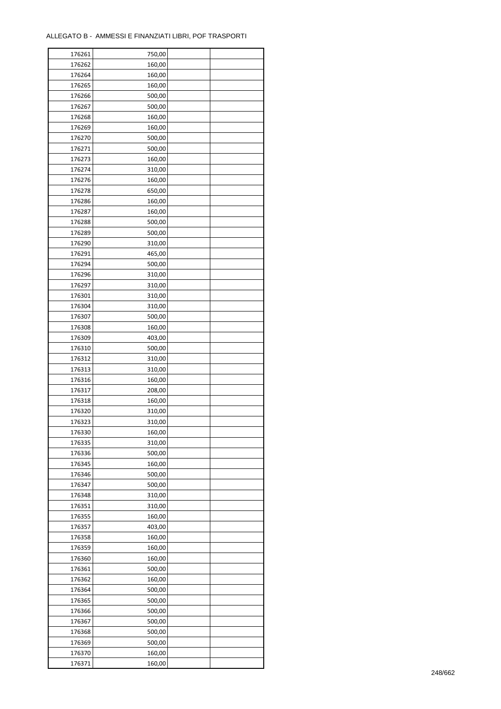| 176261 | 750,00 |  |
|--------|--------|--|
| 176262 | 160,00 |  |
| 176264 | 160,00 |  |
| 176265 | 160,00 |  |
| 176266 | 500,00 |  |
| 176267 | 500,00 |  |
| 176268 | 160,00 |  |
| 176269 | 160,00 |  |
| 176270 | 500,00 |  |
| 176271 | 500,00 |  |
| 176273 | 160,00 |  |
| 176274 | 310,00 |  |
| 176276 | 160,00 |  |
| 176278 | 650,00 |  |
| 176286 | 160,00 |  |
|        |        |  |
| 176287 | 160,00 |  |
| 176288 | 500,00 |  |
| 176289 | 500,00 |  |
| 176290 | 310,00 |  |
| 176291 | 465,00 |  |
| 176294 | 500,00 |  |
| 176296 | 310,00 |  |
| 176297 | 310,00 |  |
| 176301 | 310,00 |  |
| 176304 | 310,00 |  |
| 176307 | 500,00 |  |
| 176308 | 160,00 |  |
| 176309 | 403,00 |  |
| 176310 | 500,00 |  |
| 176312 | 310,00 |  |
| 176313 | 310,00 |  |
| 176316 | 160,00 |  |
| 176317 | 208,00 |  |
| 176318 | 160,00 |  |
| 176320 | 310,00 |  |
| 176323 | 310,00 |  |
| 176330 | 160,00 |  |
| 176335 | 310,00 |  |
| 176336 | 500,00 |  |
| 176345 | 160,00 |  |
| 176346 | 500,00 |  |
| 176347 | 500,00 |  |
| 176348 | 310,00 |  |
| 176351 | 310,00 |  |
| 176355 | 160,00 |  |
| 176357 | 403,00 |  |
| 176358 | 160,00 |  |
| 176359 | 160,00 |  |
| 176360 | 160,00 |  |
| 176361 | 500,00 |  |
| 176362 | 160,00 |  |
| 176364 | 500,00 |  |
| 176365 | 500,00 |  |
| 176366 | 500,00 |  |
| 176367 | 500,00 |  |
| 176368 | 500,00 |  |
| 176369 | 500,00 |  |
|        |        |  |
| 176370 | 160,00 |  |
| 176371 | 160,00 |  |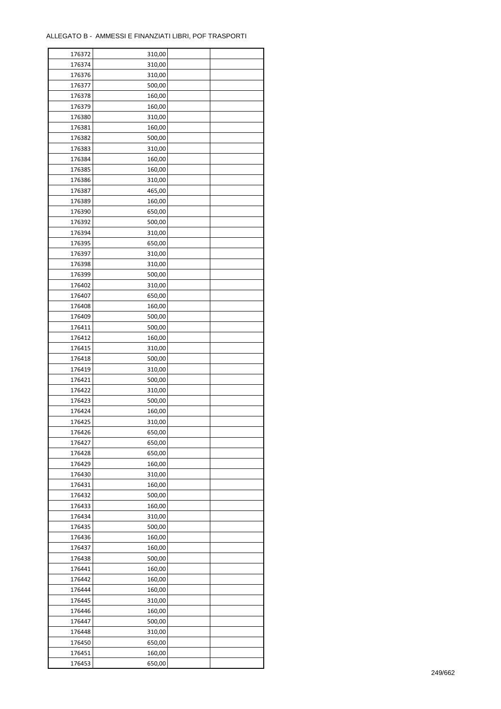| 176372 | 310,00 |  |
|--------|--------|--|
| 176374 | 310,00 |  |
| 176376 | 310,00 |  |
| 176377 | 500,00 |  |
| 176378 | 160,00 |  |
| 176379 | 160,00 |  |
| 176380 | 310,00 |  |
| 176381 | 160,00 |  |
| 176382 | 500,00 |  |
| 176383 | 310,00 |  |
| 176384 | 160,00 |  |
| 176385 | 160,00 |  |
| 176386 | 310,00 |  |
| 176387 |        |  |
|        | 465,00 |  |
| 176389 | 160,00 |  |
| 176390 | 650,00 |  |
| 176392 | 500,00 |  |
| 176394 | 310,00 |  |
| 176395 | 650,00 |  |
| 176397 | 310,00 |  |
| 176398 | 310,00 |  |
| 176399 | 500,00 |  |
| 176402 | 310,00 |  |
| 176407 | 650,00 |  |
| 176408 | 160,00 |  |
| 176409 | 500,00 |  |
| 176411 | 500,00 |  |
| 176412 | 160,00 |  |
| 176415 | 310,00 |  |
| 176418 | 500,00 |  |
| 176419 | 310,00 |  |
| 176421 | 500,00 |  |
| 176422 | 310,00 |  |
| 176423 | 500,00 |  |
| 176424 | 160,00 |  |
| 176425 | 310,00 |  |
| 176426 | 650,00 |  |
| 176427 | 650,00 |  |
| 176428 | 650,00 |  |
| 176429 | 160,00 |  |
| 176430 | 310,00 |  |
| 176431 | 160,00 |  |
| 176432 | 500,00 |  |
| 176433 |        |  |
|        | 160,00 |  |
| 176434 | 310,00 |  |
| 176435 | 500,00 |  |
| 176436 | 160,00 |  |
| 176437 | 160,00 |  |
| 176438 | 500,00 |  |
| 176441 | 160,00 |  |
| 176442 | 160,00 |  |
| 176444 | 160,00 |  |
| 176445 | 310,00 |  |
| 176446 | 160,00 |  |
| 176447 | 500,00 |  |
| 176448 | 310,00 |  |
| 176450 | 650,00 |  |
| 176451 | 160,00 |  |
| 176453 | 650,00 |  |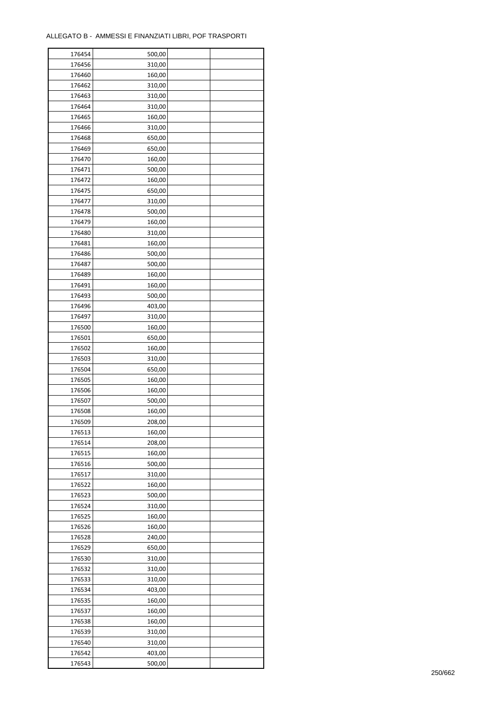| 176454 | 500,00 |  |
|--------|--------|--|
| 176456 | 310,00 |  |
| 176460 | 160,00 |  |
| 176462 | 310,00 |  |
| 176463 | 310,00 |  |
| 176464 | 310,00 |  |
| 176465 | 160,00 |  |
| 176466 | 310,00 |  |
| 176468 | 650,00 |  |
| 176469 |        |  |
|        | 650,00 |  |
| 176470 | 160,00 |  |
| 176471 | 500,00 |  |
| 176472 | 160,00 |  |
| 176475 | 650,00 |  |
| 176477 | 310,00 |  |
| 176478 | 500,00 |  |
| 176479 | 160,00 |  |
| 176480 | 310,00 |  |
| 176481 | 160,00 |  |
| 176486 | 500,00 |  |
| 176487 | 500,00 |  |
| 176489 | 160,00 |  |
| 176491 | 160,00 |  |
| 176493 | 500,00 |  |
| 176496 | 403,00 |  |
| 176497 | 310,00 |  |
| 176500 | 160,00 |  |
| 176501 | 650,00 |  |
| 176502 | 160,00 |  |
|        |        |  |
| 176503 | 310,00 |  |
| 176504 | 650,00 |  |
| 176505 | 160,00 |  |
| 176506 | 160,00 |  |
| 176507 | 500,00 |  |
| 176508 | 160,00 |  |
| 176509 | 208,00 |  |
| 176513 | 160,00 |  |
| 176514 | 208,00 |  |
| 176515 | 160,00 |  |
| 176516 | 500,00 |  |
| 176517 | 310,00 |  |
| 176522 | 160,00 |  |
| 176523 | 500,00 |  |
| 176524 | 310,00 |  |
| 176525 | 160,00 |  |
| 176526 | 160,00 |  |
| 176528 | 240,00 |  |
| 176529 | 650,00 |  |
| 176530 | 310,00 |  |
| 176532 | 310,00 |  |
| 176533 |        |  |
|        | 310,00 |  |
| 176534 | 403,00 |  |
| 176535 | 160,00 |  |
| 176537 | 160,00 |  |
| 176538 | 160,00 |  |
| 176539 | 310,00 |  |
| 176540 | 310,00 |  |
| 176542 | 403,00 |  |
| 176543 | 500,00 |  |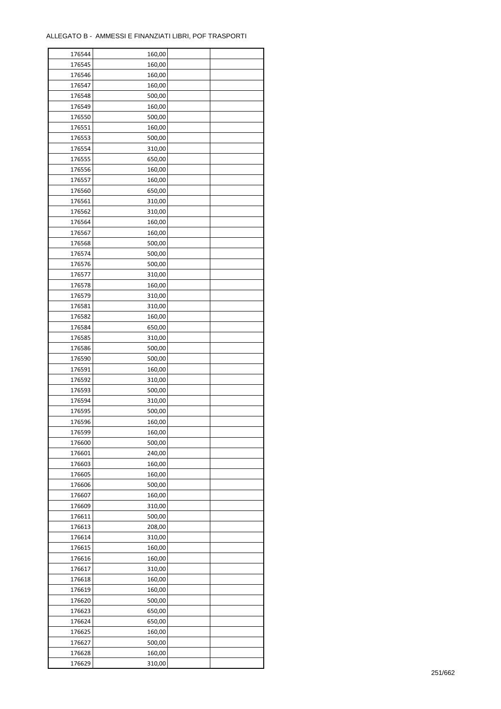| 176544 | 160,00 |  |
|--------|--------|--|
| 176545 | 160,00 |  |
| 176546 | 160,00 |  |
| 176547 | 160,00 |  |
| 176548 | 500,00 |  |
| 176549 | 160,00 |  |
| 176550 | 500,00 |  |
| 176551 | 160,00 |  |
| 176553 |        |  |
|        | 500,00 |  |
| 176554 | 310,00 |  |
| 176555 | 650,00 |  |
| 176556 | 160,00 |  |
| 176557 | 160,00 |  |
| 176560 | 650,00 |  |
| 176561 | 310,00 |  |
| 176562 | 310,00 |  |
| 176564 | 160,00 |  |
| 176567 | 160,00 |  |
| 176568 | 500,00 |  |
| 176574 | 500,00 |  |
| 176576 | 500,00 |  |
| 176577 | 310,00 |  |
| 176578 | 160,00 |  |
| 176579 | 310,00 |  |
| 176581 | 310,00 |  |
| 176582 | 160,00 |  |
| 176584 | 650,00 |  |
| 176585 | 310,00 |  |
| 176586 | 500,00 |  |
|        |        |  |
| 176590 | 500,00 |  |
| 176591 | 160,00 |  |
| 176592 | 310,00 |  |
| 176593 | 500,00 |  |
| 176594 | 310,00 |  |
| 176595 | 500,00 |  |
| 176596 | 160,00 |  |
| 176599 | 160,00 |  |
| 176600 | 500,00 |  |
| 176601 | 240,00 |  |
| 176603 | 160,00 |  |
| 176605 | 160,00 |  |
| 176606 | 500,00 |  |
| 176607 | 160,00 |  |
| 176609 | 310,00 |  |
| 176611 | 500,00 |  |
| 176613 | 208,00 |  |
| 176614 | 310,00 |  |
| 176615 | 160,00 |  |
| 176616 | 160,00 |  |
| 176617 | 310,00 |  |
| 176618 | 160,00 |  |
| 176619 | 160,00 |  |
| 176620 | 500,00 |  |
|        |        |  |
| 176623 | 650,00 |  |
| 176624 | 650,00 |  |
| 176625 | 160,00 |  |
| 176627 | 500,00 |  |
| 176628 | 160,00 |  |
| 176629 | 310,00 |  |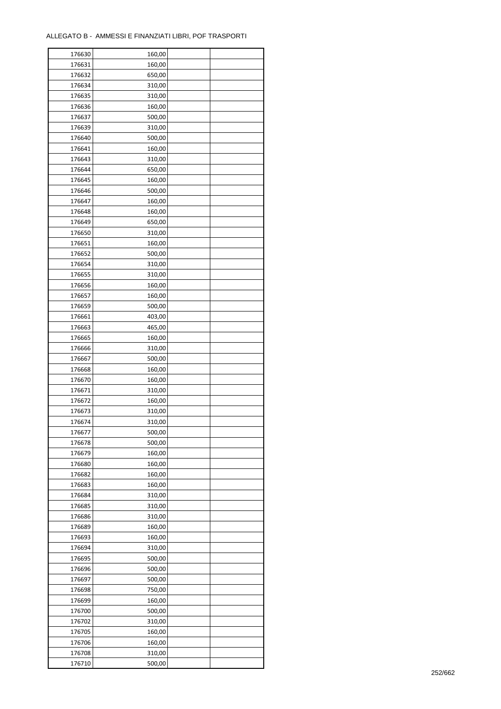| 176630 | 160,00           |  |
|--------|------------------|--|
| 176631 | 160,00           |  |
| 176632 | 650,00           |  |
| 176634 | 310,00           |  |
| 176635 | 310,00           |  |
| 176636 | 160,00           |  |
| 176637 | 500,00           |  |
| 176639 | 310,00           |  |
| 176640 | 500,00           |  |
| 176641 | 160,00           |  |
| 176643 | 310,00           |  |
| 176644 | 650,00           |  |
| 176645 | 160,00           |  |
| 176646 |                  |  |
|        | 500,00           |  |
| 176647 | 160,00           |  |
| 176648 | 160,00           |  |
| 176649 | 650,00           |  |
| 176650 | 310,00           |  |
| 176651 | 160,00           |  |
| 176652 | 500,00           |  |
| 176654 | 310,00           |  |
| 176655 | 310,00           |  |
| 176656 | 160,00           |  |
| 176657 | 160,00           |  |
| 176659 | 500,00           |  |
| 176661 | 403,00           |  |
| 176663 | 465,00           |  |
| 176665 | 160,00           |  |
| 176666 | 310,00           |  |
| 176667 | 500,00           |  |
| 176668 | 160,00           |  |
| 176670 | 160,00           |  |
| 176671 | 310,00           |  |
| 176672 | 160,00           |  |
| 176673 | 310,00           |  |
| 176674 | 310,00           |  |
| 176677 | 500,00           |  |
| 176678 | 500,00           |  |
| 176679 | 160,00           |  |
| 176680 | 160,00           |  |
| 176682 | 160,00           |  |
| 176683 | 160,00           |  |
| 176684 | 310,00           |  |
| 176685 | 310,00           |  |
| 176686 | 310,00           |  |
| 176689 | 160,00           |  |
| 176693 | 160,00           |  |
| 176694 | 310,00           |  |
| 176695 |                  |  |
| 176696 | 500,00<br>500,00 |  |
|        |                  |  |
| 176697 | 500,00           |  |
| 176698 | 750,00           |  |
| 176699 | 160,00           |  |
| 176700 | 500,00           |  |
| 176702 | 310,00           |  |
| 176705 | 160,00           |  |
| 176706 | 160,00           |  |
| 176708 | 310,00           |  |
| 176710 | 500,00           |  |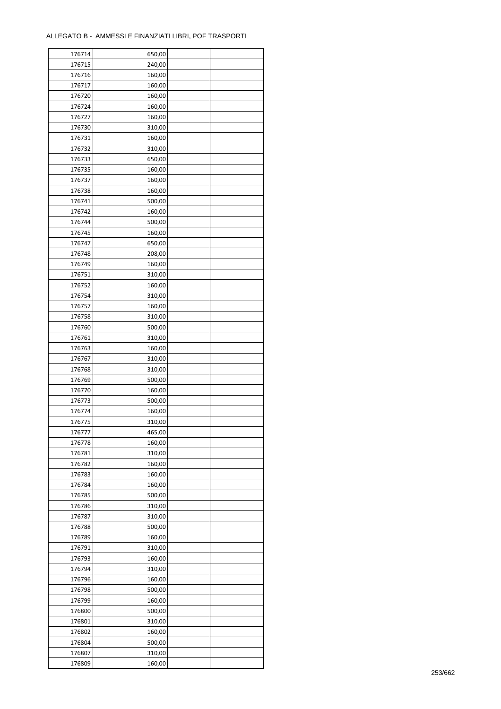| 240,00<br>176715<br>176716<br>160,00<br>176717<br>160,00<br>176720<br>160,00<br>176724<br>160,00<br>176727<br>160,00<br>176730<br>310,00<br>176731<br>160,00<br>176732<br>310,00<br>650,00<br>176733<br>176735<br>160,00<br>160,00<br>176737<br>176738<br>160,00<br>176741<br>500,00<br>176742<br>160,00<br>500,00<br>176744<br>176745<br>160,00<br>176747<br>650,00<br>176748<br>208,00<br>176749<br>160,00<br>176751<br>310,00<br>176752<br>160,00<br>176754<br>310,00<br>176757<br>160,00<br>176758<br>310,00<br>176760<br>500,00<br>176761<br>310,00<br>176763<br>160,00<br>176767<br>310,00<br>310,00<br>176768<br>500,00<br>176769<br>176770<br>160,00<br>176773<br>500,00<br>176774<br>160,00<br>176775<br>310,00<br>465,00<br>176777<br>176778<br>160,00<br>176781<br>310,00<br>176782<br>160,00<br>176783<br>160,00<br>176784<br>160,00<br>176785<br>500,00<br>176786<br>310,00<br>176787<br>310,00<br>176788<br>500,00<br>176789<br>160,00<br>176791<br>310,00<br>176793<br>160,00<br>176794<br>310,00<br>176796<br>160,00<br>176798<br>500,00<br>176799<br>160,00<br>176800<br>500,00<br>176801<br>310,00<br>176802<br>160,00<br>176804<br>500,00<br>176807<br>310,00 | 176714 | 650,00 |  |
|----------------------------------------------------------------------------------------------------------------------------------------------------------------------------------------------------------------------------------------------------------------------------------------------------------------------------------------------------------------------------------------------------------------------------------------------------------------------------------------------------------------------------------------------------------------------------------------------------------------------------------------------------------------------------------------------------------------------------------------------------------------------------------------------------------------------------------------------------------------------------------------------------------------------------------------------------------------------------------------------------------------------------------------------------------------------------------------------------------------------------------------------------------------------------------|--------|--------|--|
|                                                                                                                                                                                                                                                                                                                                                                                                                                                                                                                                                                                                                                                                                                                                                                                                                                                                                                                                                                                                                                                                                                                                                                                  |        |        |  |
|                                                                                                                                                                                                                                                                                                                                                                                                                                                                                                                                                                                                                                                                                                                                                                                                                                                                                                                                                                                                                                                                                                                                                                                  |        |        |  |
|                                                                                                                                                                                                                                                                                                                                                                                                                                                                                                                                                                                                                                                                                                                                                                                                                                                                                                                                                                                                                                                                                                                                                                                  |        |        |  |
|                                                                                                                                                                                                                                                                                                                                                                                                                                                                                                                                                                                                                                                                                                                                                                                                                                                                                                                                                                                                                                                                                                                                                                                  |        |        |  |
|                                                                                                                                                                                                                                                                                                                                                                                                                                                                                                                                                                                                                                                                                                                                                                                                                                                                                                                                                                                                                                                                                                                                                                                  |        |        |  |
|                                                                                                                                                                                                                                                                                                                                                                                                                                                                                                                                                                                                                                                                                                                                                                                                                                                                                                                                                                                                                                                                                                                                                                                  |        |        |  |
|                                                                                                                                                                                                                                                                                                                                                                                                                                                                                                                                                                                                                                                                                                                                                                                                                                                                                                                                                                                                                                                                                                                                                                                  |        |        |  |
|                                                                                                                                                                                                                                                                                                                                                                                                                                                                                                                                                                                                                                                                                                                                                                                                                                                                                                                                                                                                                                                                                                                                                                                  |        |        |  |
|                                                                                                                                                                                                                                                                                                                                                                                                                                                                                                                                                                                                                                                                                                                                                                                                                                                                                                                                                                                                                                                                                                                                                                                  |        |        |  |
|                                                                                                                                                                                                                                                                                                                                                                                                                                                                                                                                                                                                                                                                                                                                                                                                                                                                                                                                                                                                                                                                                                                                                                                  |        |        |  |
|                                                                                                                                                                                                                                                                                                                                                                                                                                                                                                                                                                                                                                                                                                                                                                                                                                                                                                                                                                                                                                                                                                                                                                                  |        |        |  |
|                                                                                                                                                                                                                                                                                                                                                                                                                                                                                                                                                                                                                                                                                                                                                                                                                                                                                                                                                                                                                                                                                                                                                                                  |        |        |  |
|                                                                                                                                                                                                                                                                                                                                                                                                                                                                                                                                                                                                                                                                                                                                                                                                                                                                                                                                                                                                                                                                                                                                                                                  |        |        |  |
|                                                                                                                                                                                                                                                                                                                                                                                                                                                                                                                                                                                                                                                                                                                                                                                                                                                                                                                                                                                                                                                                                                                                                                                  |        |        |  |
|                                                                                                                                                                                                                                                                                                                                                                                                                                                                                                                                                                                                                                                                                                                                                                                                                                                                                                                                                                                                                                                                                                                                                                                  |        |        |  |
|                                                                                                                                                                                                                                                                                                                                                                                                                                                                                                                                                                                                                                                                                                                                                                                                                                                                                                                                                                                                                                                                                                                                                                                  |        |        |  |
|                                                                                                                                                                                                                                                                                                                                                                                                                                                                                                                                                                                                                                                                                                                                                                                                                                                                                                                                                                                                                                                                                                                                                                                  |        |        |  |
|                                                                                                                                                                                                                                                                                                                                                                                                                                                                                                                                                                                                                                                                                                                                                                                                                                                                                                                                                                                                                                                                                                                                                                                  |        |        |  |
|                                                                                                                                                                                                                                                                                                                                                                                                                                                                                                                                                                                                                                                                                                                                                                                                                                                                                                                                                                                                                                                                                                                                                                                  |        |        |  |
|                                                                                                                                                                                                                                                                                                                                                                                                                                                                                                                                                                                                                                                                                                                                                                                                                                                                                                                                                                                                                                                                                                                                                                                  |        |        |  |
|                                                                                                                                                                                                                                                                                                                                                                                                                                                                                                                                                                                                                                                                                                                                                                                                                                                                                                                                                                                                                                                                                                                                                                                  |        |        |  |
|                                                                                                                                                                                                                                                                                                                                                                                                                                                                                                                                                                                                                                                                                                                                                                                                                                                                                                                                                                                                                                                                                                                                                                                  |        |        |  |
|                                                                                                                                                                                                                                                                                                                                                                                                                                                                                                                                                                                                                                                                                                                                                                                                                                                                                                                                                                                                                                                                                                                                                                                  |        |        |  |
|                                                                                                                                                                                                                                                                                                                                                                                                                                                                                                                                                                                                                                                                                                                                                                                                                                                                                                                                                                                                                                                                                                                                                                                  |        |        |  |
|                                                                                                                                                                                                                                                                                                                                                                                                                                                                                                                                                                                                                                                                                                                                                                                                                                                                                                                                                                                                                                                                                                                                                                                  |        |        |  |
|                                                                                                                                                                                                                                                                                                                                                                                                                                                                                                                                                                                                                                                                                                                                                                                                                                                                                                                                                                                                                                                                                                                                                                                  |        |        |  |
|                                                                                                                                                                                                                                                                                                                                                                                                                                                                                                                                                                                                                                                                                                                                                                                                                                                                                                                                                                                                                                                                                                                                                                                  |        |        |  |
|                                                                                                                                                                                                                                                                                                                                                                                                                                                                                                                                                                                                                                                                                                                                                                                                                                                                                                                                                                                                                                                                                                                                                                                  |        |        |  |
|                                                                                                                                                                                                                                                                                                                                                                                                                                                                                                                                                                                                                                                                                                                                                                                                                                                                                                                                                                                                                                                                                                                                                                                  |        |        |  |
|                                                                                                                                                                                                                                                                                                                                                                                                                                                                                                                                                                                                                                                                                                                                                                                                                                                                                                                                                                                                                                                                                                                                                                                  |        |        |  |
|                                                                                                                                                                                                                                                                                                                                                                                                                                                                                                                                                                                                                                                                                                                                                                                                                                                                                                                                                                                                                                                                                                                                                                                  |        |        |  |
|                                                                                                                                                                                                                                                                                                                                                                                                                                                                                                                                                                                                                                                                                                                                                                                                                                                                                                                                                                                                                                                                                                                                                                                  |        |        |  |
|                                                                                                                                                                                                                                                                                                                                                                                                                                                                                                                                                                                                                                                                                                                                                                                                                                                                                                                                                                                                                                                                                                                                                                                  |        |        |  |
|                                                                                                                                                                                                                                                                                                                                                                                                                                                                                                                                                                                                                                                                                                                                                                                                                                                                                                                                                                                                                                                                                                                                                                                  |        |        |  |
|                                                                                                                                                                                                                                                                                                                                                                                                                                                                                                                                                                                                                                                                                                                                                                                                                                                                                                                                                                                                                                                                                                                                                                                  |        |        |  |
|                                                                                                                                                                                                                                                                                                                                                                                                                                                                                                                                                                                                                                                                                                                                                                                                                                                                                                                                                                                                                                                                                                                                                                                  |        |        |  |
|                                                                                                                                                                                                                                                                                                                                                                                                                                                                                                                                                                                                                                                                                                                                                                                                                                                                                                                                                                                                                                                                                                                                                                                  |        |        |  |
|                                                                                                                                                                                                                                                                                                                                                                                                                                                                                                                                                                                                                                                                                                                                                                                                                                                                                                                                                                                                                                                                                                                                                                                  |        |        |  |
|                                                                                                                                                                                                                                                                                                                                                                                                                                                                                                                                                                                                                                                                                                                                                                                                                                                                                                                                                                                                                                                                                                                                                                                  |        |        |  |
|                                                                                                                                                                                                                                                                                                                                                                                                                                                                                                                                                                                                                                                                                                                                                                                                                                                                                                                                                                                                                                                                                                                                                                                  |        |        |  |
|                                                                                                                                                                                                                                                                                                                                                                                                                                                                                                                                                                                                                                                                                                                                                                                                                                                                                                                                                                                                                                                                                                                                                                                  |        |        |  |
|                                                                                                                                                                                                                                                                                                                                                                                                                                                                                                                                                                                                                                                                                                                                                                                                                                                                                                                                                                                                                                                                                                                                                                                  |        |        |  |
|                                                                                                                                                                                                                                                                                                                                                                                                                                                                                                                                                                                                                                                                                                                                                                                                                                                                                                                                                                                                                                                                                                                                                                                  |        |        |  |
|                                                                                                                                                                                                                                                                                                                                                                                                                                                                                                                                                                                                                                                                                                                                                                                                                                                                                                                                                                                                                                                                                                                                                                                  |        |        |  |
|                                                                                                                                                                                                                                                                                                                                                                                                                                                                                                                                                                                                                                                                                                                                                                                                                                                                                                                                                                                                                                                                                                                                                                                  |        |        |  |
|                                                                                                                                                                                                                                                                                                                                                                                                                                                                                                                                                                                                                                                                                                                                                                                                                                                                                                                                                                                                                                                                                                                                                                                  |        |        |  |
|                                                                                                                                                                                                                                                                                                                                                                                                                                                                                                                                                                                                                                                                                                                                                                                                                                                                                                                                                                                                                                                                                                                                                                                  |        |        |  |
|                                                                                                                                                                                                                                                                                                                                                                                                                                                                                                                                                                                                                                                                                                                                                                                                                                                                                                                                                                                                                                                                                                                                                                                  |        |        |  |
|                                                                                                                                                                                                                                                                                                                                                                                                                                                                                                                                                                                                                                                                                                                                                                                                                                                                                                                                                                                                                                                                                                                                                                                  |        |        |  |
|                                                                                                                                                                                                                                                                                                                                                                                                                                                                                                                                                                                                                                                                                                                                                                                                                                                                                                                                                                                                                                                                                                                                                                                  |        |        |  |
|                                                                                                                                                                                                                                                                                                                                                                                                                                                                                                                                                                                                                                                                                                                                                                                                                                                                                                                                                                                                                                                                                                                                                                                  |        |        |  |
|                                                                                                                                                                                                                                                                                                                                                                                                                                                                                                                                                                                                                                                                                                                                                                                                                                                                                                                                                                                                                                                                                                                                                                                  |        |        |  |
|                                                                                                                                                                                                                                                                                                                                                                                                                                                                                                                                                                                                                                                                                                                                                                                                                                                                                                                                                                                                                                                                                                                                                                                  |        |        |  |
|                                                                                                                                                                                                                                                                                                                                                                                                                                                                                                                                                                                                                                                                                                                                                                                                                                                                                                                                                                                                                                                                                                                                                                                  |        |        |  |
|                                                                                                                                                                                                                                                                                                                                                                                                                                                                                                                                                                                                                                                                                                                                                                                                                                                                                                                                                                                                                                                                                                                                                                                  |        |        |  |
|                                                                                                                                                                                                                                                                                                                                                                                                                                                                                                                                                                                                                                                                                                                                                                                                                                                                                                                                                                                                                                                                                                                                                                                  |        |        |  |
|                                                                                                                                                                                                                                                                                                                                                                                                                                                                                                                                                                                                                                                                                                                                                                                                                                                                                                                                                                                                                                                                                                                                                                                  |        |        |  |
|                                                                                                                                                                                                                                                                                                                                                                                                                                                                                                                                                                                                                                                                                                                                                                                                                                                                                                                                                                                                                                                                                                                                                                                  |        |        |  |
|                                                                                                                                                                                                                                                                                                                                                                                                                                                                                                                                                                                                                                                                                                                                                                                                                                                                                                                                                                                                                                                                                                                                                                                  |        |        |  |
|                                                                                                                                                                                                                                                                                                                                                                                                                                                                                                                                                                                                                                                                                                                                                                                                                                                                                                                                                                                                                                                                                                                                                                                  | 176809 | 160,00 |  |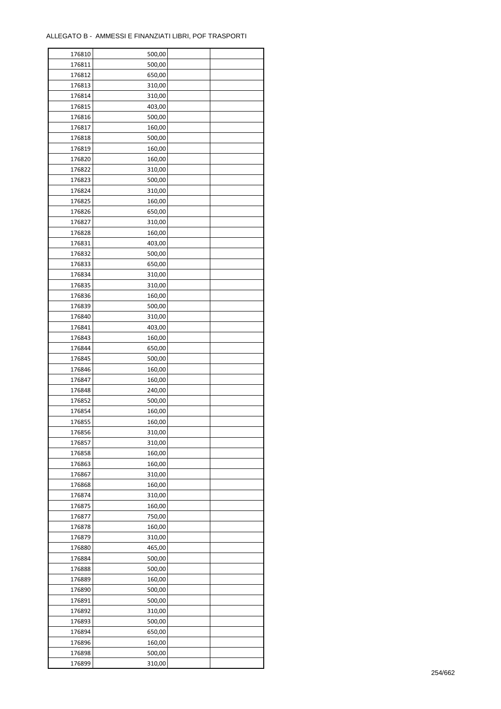| 176810 | 500,00 |  |
|--------|--------|--|
| 176811 | 500,00 |  |
| 176812 | 650,00 |  |
| 176813 | 310,00 |  |
| 176814 | 310,00 |  |
| 176815 | 403,00 |  |
| 176816 | 500,00 |  |
| 176817 | 160,00 |  |
| 176818 | 500,00 |  |
| 176819 | 160,00 |  |
| 176820 | 160,00 |  |
| 176822 | 310,00 |  |
| 176823 | 500,00 |  |
|        |        |  |
| 176824 | 310,00 |  |
| 176825 | 160,00 |  |
| 176826 | 650,00 |  |
| 176827 | 310,00 |  |
| 176828 | 160,00 |  |
| 176831 | 403,00 |  |
| 176832 | 500,00 |  |
| 176833 | 650,00 |  |
| 176834 | 310,00 |  |
| 176835 | 310,00 |  |
| 176836 | 160,00 |  |
| 176839 | 500,00 |  |
| 176840 | 310,00 |  |
| 176841 | 403,00 |  |
| 176843 | 160,00 |  |
| 176844 | 650,00 |  |
| 176845 | 500,00 |  |
| 176846 | 160,00 |  |
| 176847 | 160,00 |  |
| 176848 | 240,00 |  |
| 176852 | 500,00 |  |
| 176854 | 160,00 |  |
| 176855 | 160,00 |  |
| 176856 | 310,00 |  |
| 176857 | 310,00 |  |
| 176858 | 160,00 |  |
| 176863 | 160,00 |  |
| 176867 | 310,00 |  |
| 176868 | 160,00 |  |
| 176874 | 310,00 |  |
| 176875 | 160,00 |  |
| 176877 | 750,00 |  |
| 176878 | 160,00 |  |
| 176879 | 310,00 |  |
| 176880 | 465,00 |  |
| 176884 | 500,00 |  |
| 176888 | 500,00 |  |
| 176889 | 160,00 |  |
| 176890 | 500,00 |  |
| 176891 | 500,00 |  |
| 176892 | 310,00 |  |
| 176893 | 500,00 |  |
| 176894 | 650,00 |  |
|        |        |  |
| 176896 | 160,00 |  |
| 176898 | 500,00 |  |
| 176899 | 310,00 |  |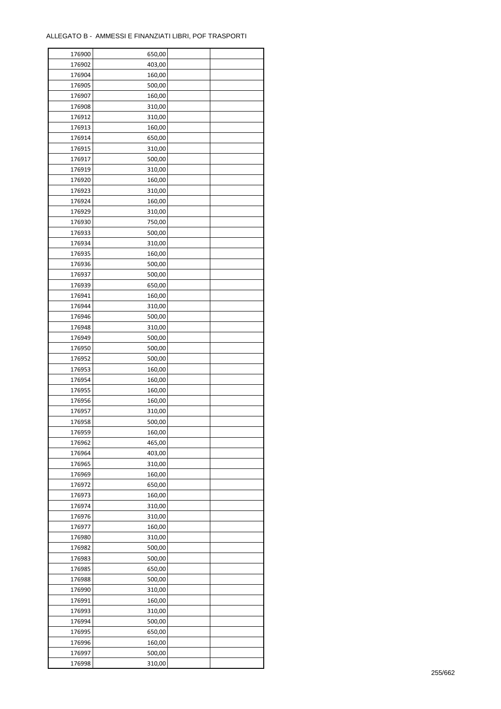| 176900 | 650,00 |  |
|--------|--------|--|
| 176902 | 403,00 |  |
| 176904 | 160,00 |  |
| 176905 | 500,00 |  |
| 176907 | 160,00 |  |
| 176908 | 310,00 |  |
| 176912 | 310,00 |  |
| 176913 | 160,00 |  |
| 176914 | 650,00 |  |
| 176915 | 310,00 |  |
| 176917 | 500,00 |  |
| 176919 | 310,00 |  |
| 176920 | 160,00 |  |
| 176923 |        |  |
|        | 310,00 |  |
| 176924 | 160,00 |  |
| 176929 | 310,00 |  |
| 176930 | 750,00 |  |
| 176933 | 500,00 |  |
| 176934 | 310,00 |  |
| 176935 | 160,00 |  |
| 176936 | 500,00 |  |
| 176937 | 500,00 |  |
| 176939 | 650,00 |  |
| 176941 | 160,00 |  |
| 176944 | 310,00 |  |
| 176946 | 500,00 |  |
| 176948 | 310,00 |  |
| 176949 | 500,00 |  |
| 176950 | 500,00 |  |
| 176952 | 500,00 |  |
| 176953 | 160,00 |  |
| 176954 | 160,00 |  |
| 176955 | 160,00 |  |
| 176956 | 160,00 |  |
| 176957 | 310,00 |  |
| 176958 | 500,00 |  |
| 176959 | 160,00 |  |
| 176962 | 465,00 |  |
| 176964 | 403,00 |  |
| 176965 | 310,00 |  |
| 176969 | 160,00 |  |
| 176972 | 650,00 |  |
| 176973 | 160,00 |  |
| 176974 | 310,00 |  |
| 176976 | 310,00 |  |
| 176977 | 160,00 |  |
| 176980 | 310,00 |  |
|        |        |  |
| 176982 | 500,00 |  |
| 176983 | 500,00 |  |
| 176985 | 650,00 |  |
| 176988 | 500,00 |  |
| 176990 | 310,00 |  |
| 176991 | 160,00 |  |
| 176993 | 310,00 |  |
| 176994 | 500,00 |  |
| 176995 | 650,00 |  |
| 176996 | 160,00 |  |
| 176997 | 500,00 |  |
| 176998 | 310,00 |  |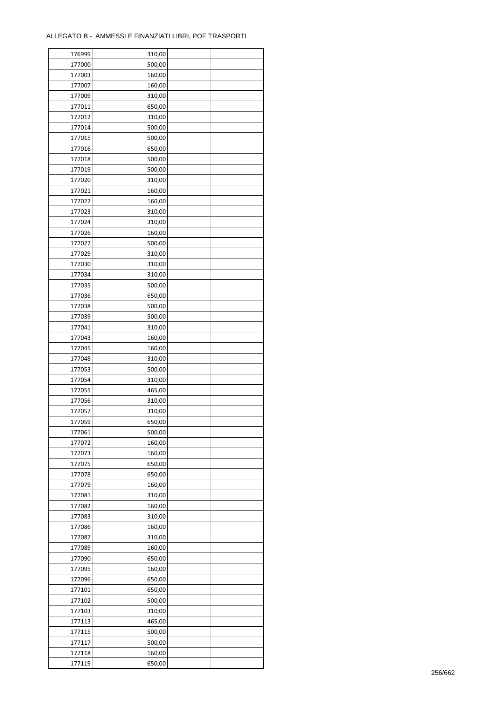| 176999 | 310,00 |  |
|--------|--------|--|
| 177000 | 500,00 |  |
| 177003 | 160,00 |  |
| 177007 | 160,00 |  |
| 177009 | 310,00 |  |
| 177011 | 650,00 |  |
| 177012 | 310,00 |  |
| 177014 | 500,00 |  |
| 177015 | 500,00 |  |
| 177016 | 650,00 |  |
| 177018 | 500,00 |  |
| 177019 | 500,00 |  |
|        | 310,00 |  |
| 177020 |        |  |
| 177021 | 160,00 |  |
| 177022 | 160,00 |  |
| 177023 | 310,00 |  |
| 177024 | 310,00 |  |
| 177026 | 160,00 |  |
| 177027 | 500,00 |  |
| 177029 | 310,00 |  |
| 177030 | 310,00 |  |
| 177034 | 310,00 |  |
| 177035 | 500,00 |  |
| 177036 | 650,00 |  |
| 177038 | 500,00 |  |
| 177039 | 500,00 |  |
| 177041 | 310,00 |  |
| 177043 | 160,00 |  |
| 177045 | 160,00 |  |
| 177048 | 310,00 |  |
| 177053 | 500,00 |  |
| 177054 | 310,00 |  |
| 177055 | 465,00 |  |
| 177056 | 310,00 |  |
| 177057 | 310,00 |  |
| 177059 | 650,00 |  |
| 177061 | 500,00 |  |
| 177072 | 160,00 |  |
| 177073 | 160,00 |  |
|        |        |  |
| 177075 | 650,00 |  |
| 177078 | 650,00 |  |
| 177079 | 160,00 |  |
| 177081 | 310,00 |  |
| 177082 | 160,00 |  |
| 177083 | 310,00 |  |
| 177086 | 160,00 |  |
| 177087 | 310,00 |  |
| 177089 | 160,00 |  |
| 177090 | 650,00 |  |
| 177095 | 160,00 |  |
| 177096 | 650,00 |  |
| 177101 | 650,00 |  |
| 177102 | 500,00 |  |
| 177103 | 310,00 |  |
| 177113 | 465,00 |  |
| 177115 | 500,00 |  |
| 177117 | 500,00 |  |
| 177118 | 160,00 |  |
| 177119 | 650,00 |  |
|        |        |  |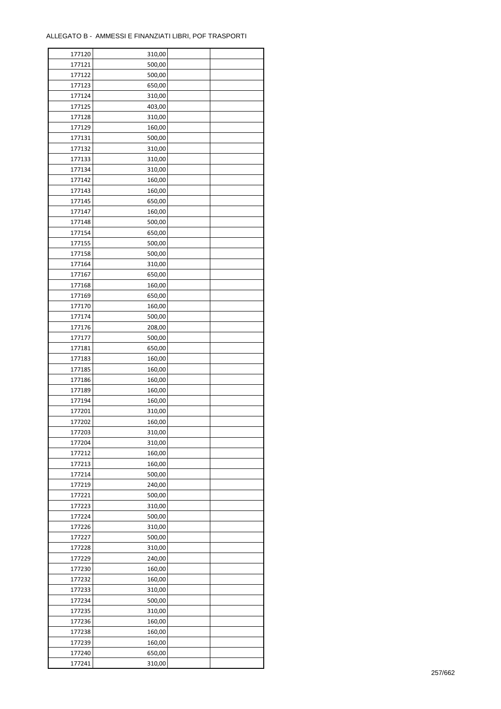| 177120 | 310,00 |  |
|--------|--------|--|
| 177121 | 500,00 |  |
| 177122 | 500,00 |  |
| 177123 | 650,00 |  |
| 177124 | 310,00 |  |
| 177125 | 403,00 |  |
| 177128 | 310,00 |  |
| 177129 | 160,00 |  |
| 177131 | 500,00 |  |
| 177132 | 310,00 |  |
|        |        |  |
| 177133 | 310,00 |  |
| 177134 | 310,00 |  |
| 177142 | 160,00 |  |
| 177143 | 160,00 |  |
| 177145 | 650,00 |  |
| 177147 | 160,00 |  |
| 177148 | 500,00 |  |
| 177154 | 650,00 |  |
| 177155 | 500,00 |  |
| 177158 | 500,00 |  |
| 177164 | 310,00 |  |
| 177167 | 650,00 |  |
| 177168 | 160,00 |  |
| 177169 | 650,00 |  |
| 177170 | 160,00 |  |
| 177174 | 500,00 |  |
| 177176 | 208,00 |  |
| 177177 | 500,00 |  |
| 177181 | 650,00 |  |
| 177183 | 160,00 |  |
| 177185 | 160,00 |  |
| 177186 | 160,00 |  |
| 177189 | 160,00 |  |
| 177194 | 160,00 |  |
| 177201 | 310,00 |  |
| 177202 | 160,00 |  |
| 177203 | 310,00 |  |
| 177204 | 310,00 |  |
| 177212 |        |  |
|        | 160,00 |  |
| 177213 | 160,00 |  |
| 177214 | 500,00 |  |
| 177219 | 240,00 |  |
| 177221 | 500,00 |  |
| 177223 | 310,00 |  |
| 177224 | 500,00 |  |
| 177226 | 310,00 |  |
| 177227 | 500,00 |  |
| 177228 | 310,00 |  |
| 177229 | 240,00 |  |
| 177230 | 160,00 |  |
| 177232 | 160,00 |  |
| 177233 | 310,00 |  |
| 177234 | 500,00 |  |
| 177235 | 310,00 |  |
| 177236 | 160,00 |  |
| 177238 | 160,00 |  |
| 177239 | 160,00 |  |
| 177240 | 650,00 |  |
| 177241 | 310,00 |  |
|        |        |  |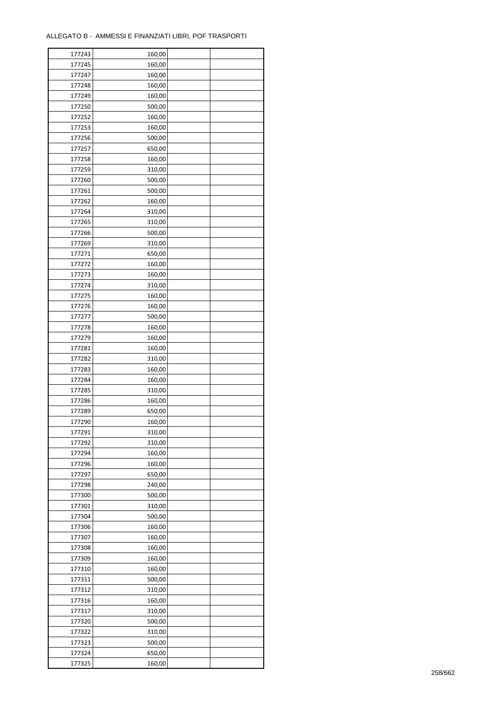| 177243 | 160,00 |  |
|--------|--------|--|
| 177245 | 160,00 |  |
| 177247 | 160,00 |  |
| 177248 | 160,00 |  |
| 177249 | 160,00 |  |
| 177250 | 500,00 |  |
| 177252 | 160,00 |  |
| 177253 | 160,00 |  |
| 177256 | 500,00 |  |
| 177257 | 650,00 |  |
| 177258 | 160,00 |  |
| 177259 | 310,00 |  |
|        |        |  |
| 177260 | 500,00 |  |
| 177261 | 500,00 |  |
| 177262 | 160,00 |  |
| 177264 | 310,00 |  |
| 177265 | 310,00 |  |
| 177266 | 500,00 |  |
| 177269 | 310,00 |  |
| 177271 | 650,00 |  |
| 177272 | 160,00 |  |
| 177273 | 160,00 |  |
| 177274 | 310,00 |  |
| 177275 | 160,00 |  |
| 177276 | 160,00 |  |
| 177277 | 500,00 |  |
| 177278 | 160,00 |  |
| 177279 | 160,00 |  |
| 177281 | 160,00 |  |
| 177282 | 310,00 |  |
| 177283 | 160,00 |  |
| 177284 | 160,00 |  |
| 177285 | 310,00 |  |
| 177286 | 160,00 |  |
| 177289 | 650,00 |  |
| 177290 | 160,00 |  |
| 177291 | 310,00 |  |
| 177292 | 310,00 |  |
| 177294 | 160,00 |  |
|        |        |  |
| 177296 | 160,00 |  |
| 177297 | 650,00 |  |
| 177298 | 240,00 |  |
| 177300 | 500,00 |  |
| 177301 | 310,00 |  |
| 177304 | 500,00 |  |
| 177306 | 160,00 |  |
| 177307 | 160,00 |  |
| 177308 | 160,00 |  |
| 177309 | 160,00 |  |
| 177310 | 160,00 |  |
| 177311 | 500,00 |  |
| 177312 | 310,00 |  |
| 177316 | 160,00 |  |
| 177317 | 310,00 |  |
| 177320 | 500,00 |  |
| 177322 | 310,00 |  |
| 177323 | 500,00 |  |
| 177324 | 650,00 |  |
| 177325 | 160,00 |  |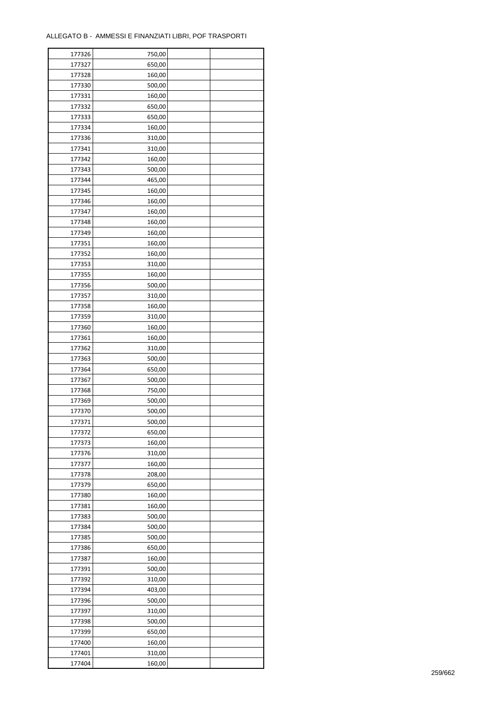| 177326 | 750,00 |  |
|--------|--------|--|
| 177327 | 650,00 |  |
| 177328 | 160,00 |  |
| 177330 | 500,00 |  |
| 177331 | 160,00 |  |
| 177332 | 650,00 |  |
| 177333 | 650,00 |  |
| 177334 | 160,00 |  |
| 177336 | 310,00 |  |
| 177341 | 310,00 |  |
|        |        |  |
| 177342 | 160,00 |  |
| 177343 | 500,00 |  |
| 177344 | 465,00 |  |
| 177345 | 160,00 |  |
| 177346 | 160,00 |  |
| 177347 | 160,00 |  |
| 177348 | 160,00 |  |
| 177349 | 160,00 |  |
| 177351 | 160,00 |  |
| 177352 | 160,00 |  |
| 177353 | 310,00 |  |
| 177355 | 160,00 |  |
| 177356 | 500,00 |  |
| 177357 | 310,00 |  |
| 177358 | 160,00 |  |
| 177359 | 310,00 |  |
| 177360 | 160,00 |  |
| 177361 | 160,00 |  |
| 177362 | 310,00 |  |
| 177363 | 500,00 |  |
|        |        |  |
| 177364 | 650,00 |  |
| 177367 | 500,00 |  |
| 177368 | 750,00 |  |
| 177369 | 500,00 |  |
| 177370 | 500,00 |  |
| 177371 | 500,00 |  |
| 177372 | 650,00 |  |
| 177373 | 160,00 |  |
| 177376 | 310,00 |  |
| 177377 | 160,00 |  |
| 177378 | 208,00 |  |
| 177379 | 650,00 |  |
| 177380 | 160,00 |  |
| 177381 | 160,00 |  |
| 177383 | 500,00 |  |
| 177384 | 500,00 |  |
| 177385 | 500,00 |  |
| 177386 | 650,00 |  |
| 177387 | 160,00 |  |
| 177391 | 500,00 |  |
| 177392 | 310,00 |  |
| 177394 | 403,00 |  |
| 177396 | 500,00 |  |
|        |        |  |
| 177397 | 310,00 |  |
| 177398 | 500,00 |  |
| 177399 | 650,00 |  |
| 177400 | 160,00 |  |
| 177401 | 310,00 |  |
| 177404 | 160,00 |  |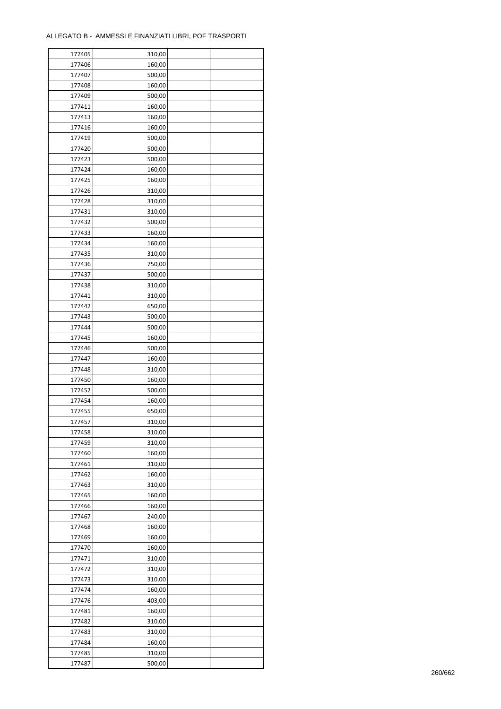| 177405 | 310,00 |  |
|--------|--------|--|
| 177406 | 160,00 |  |
| 177407 | 500,00 |  |
| 177408 | 160,00 |  |
| 177409 | 500,00 |  |
| 177411 | 160,00 |  |
| 177413 | 160,00 |  |
| 177416 | 160,00 |  |
| 177419 | 500,00 |  |
| 177420 | 500,00 |  |
| 177423 | 500,00 |  |
| 177424 | 160,00 |  |
|        |        |  |
| 177425 | 160,00 |  |
| 177426 | 310,00 |  |
| 177428 | 310,00 |  |
| 177431 | 310,00 |  |
| 177432 | 500,00 |  |
| 177433 | 160,00 |  |
| 177434 | 160,00 |  |
| 177435 | 310,00 |  |
| 177436 | 750,00 |  |
| 177437 | 500,00 |  |
| 177438 | 310,00 |  |
| 177441 | 310,00 |  |
| 177442 | 650,00 |  |
| 177443 | 500,00 |  |
| 177444 | 500,00 |  |
| 177445 | 160,00 |  |
| 177446 | 500,00 |  |
| 177447 | 160,00 |  |
| 177448 | 310,00 |  |
| 177450 | 160,00 |  |
| 177452 | 500,00 |  |
| 177454 | 160,00 |  |
| 177455 | 650,00 |  |
| 177457 | 310,00 |  |
| 177458 | 310,00 |  |
| 177459 | 310,00 |  |
| 177460 | 160,00 |  |
| 177461 | 310,00 |  |
| 177462 | 160,00 |  |
| 177463 | 310,00 |  |
| 177465 | 160,00 |  |
| 177466 | 160,00 |  |
| 177467 | 240,00 |  |
| 177468 | 160,00 |  |
| 177469 | 160,00 |  |
| 177470 | 160,00 |  |
| 177471 | 310,00 |  |
| 177472 | 310,00 |  |
| 177473 | 310,00 |  |
| 177474 | 160,00 |  |
| 177476 | 403,00 |  |
| 177481 | 160,00 |  |
| 177482 | 310,00 |  |
| 177483 |        |  |
|        | 310,00 |  |
| 177484 | 160,00 |  |
| 177485 | 310,00 |  |
| 177487 | 500,00 |  |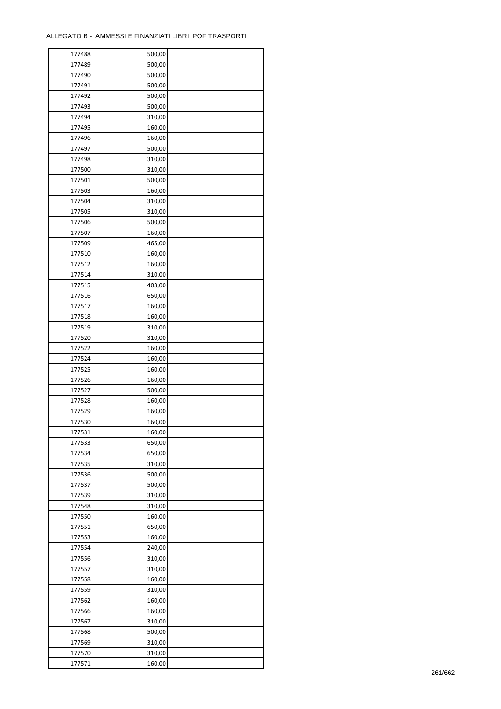| 177488           | 500,00 |  |
|------------------|--------|--|
| 177489           | 500,00 |  |
| 177490           | 500,00 |  |
| 177491           | 500,00 |  |
| 177492           | 500,00 |  |
| 177493           | 500,00 |  |
| 177494           | 310,00 |  |
| 177495           | 160,00 |  |
| 177496           | 160,00 |  |
|                  |        |  |
| 177497<br>177498 | 500,00 |  |
|                  | 310,00 |  |
| 177500           | 310,00 |  |
| 177501           | 500,00 |  |
| 177503           | 160,00 |  |
| 177504           | 310,00 |  |
| 177505           | 310,00 |  |
| 177506           | 500,00 |  |
| 177507           | 160,00 |  |
| 177509           | 465,00 |  |
| 177510           | 160,00 |  |
| 177512           | 160,00 |  |
| 177514           | 310,00 |  |
| 177515           | 403,00 |  |
| 177516           | 650,00 |  |
| 177517           | 160,00 |  |
| 177518           | 160,00 |  |
| 177519           | 310,00 |  |
| 177520           | 310,00 |  |
| 177522           | 160,00 |  |
| 177524           | 160,00 |  |
| 177525           | 160,00 |  |
|                  |        |  |
| 177526           | 160,00 |  |
| 177527           | 500,00 |  |
| 177528           | 160,00 |  |
| 177529           | 160,00 |  |
| 177530           | 160,00 |  |
| 177531           | 160,00 |  |
| 177533           | 650,00 |  |
| 177534           | 650,00 |  |
| 177535           | 310,00 |  |
| 177536           | 500,00 |  |
| 177537           | 500,00 |  |
| 177539           | 310,00 |  |
| 177548           | 310,00 |  |
| 177550           | 160,00 |  |
| 177551           | 650,00 |  |
| 177553           | 160,00 |  |
| 177554           | 240,00 |  |
| 177556           | 310,00 |  |
| 177557           | 310,00 |  |
| 177558           | 160,00 |  |
| 177559           | 310,00 |  |
| 177562           | 160,00 |  |
|                  |        |  |
| 177566           | 160,00 |  |
| 177567           | 310,00 |  |
| 177568           | 500,00 |  |
| 177569           | 310,00 |  |
| 177570           | 310,00 |  |
| 177571           | 160,00 |  |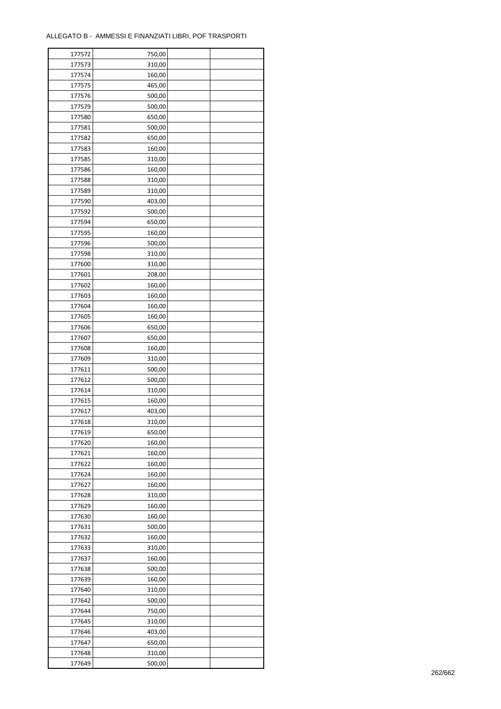| 177572 | 750,00 |  |
|--------|--------|--|
| 177573 | 310,00 |  |
| 177574 | 160,00 |  |
| 177575 | 465,00 |  |
| 177576 | 500,00 |  |
| 177579 | 500,00 |  |
| 177580 | 650,00 |  |
| 177581 | 500,00 |  |
| 177582 | 650,00 |  |
| 177583 | 160,00 |  |
| 177585 |        |  |
| 177586 | 310,00 |  |
|        | 160,00 |  |
| 177588 | 310,00 |  |
| 177589 | 310,00 |  |
| 177590 | 403,00 |  |
| 177592 | 500,00 |  |
| 177594 | 650,00 |  |
| 177595 | 160,00 |  |
| 177596 | 500,00 |  |
| 177598 | 310,00 |  |
| 177600 | 310,00 |  |
| 177601 | 208,00 |  |
| 177602 | 160,00 |  |
| 177603 | 160,00 |  |
| 177604 | 160,00 |  |
| 177605 | 160,00 |  |
| 177606 | 650,00 |  |
| 177607 | 650,00 |  |
| 177608 | 160,00 |  |
| 177609 | 310,00 |  |
| 177611 | 500,00 |  |
| 177612 | 500,00 |  |
| 177614 | 310,00 |  |
| 177615 | 160,00 |  |
| 177617 | 403,00 |  |
| 177618 | 310,00 |  |
|        |        |  |
| 177619 | 650,00 |  |
| 177620 | 160,00 |  |
| 177621 | 160,00 |  |
| 177622 | 160,00 |  |
| 177624 | 160,00 |  |
| 177627 | 160,00 |  |
| 177628 | 310,00 |  |
| 177629 | 160,00 |  |
| 177630 | 160,00 |  |
| 177631 | 500,00 |  |
| 177632 | 160,00 |  |
| 177633 | 310,00 |  |
| 177637 | 160,00 |  |
| 177638 | 500,00 |  |
| 177639 | 160,00 |  |
| 177640 | 310,00 |  |
| 177642 | 500,00 |  |
| 177644 | 750,00 |  |
| 177645 | 310,00 |  |
| 177646 | 403,00 |  |
| 177647 | 650,00 |  |
| 177648 | 310,00 |  |
| 177649 | 500,00 |  |
|        |        |  |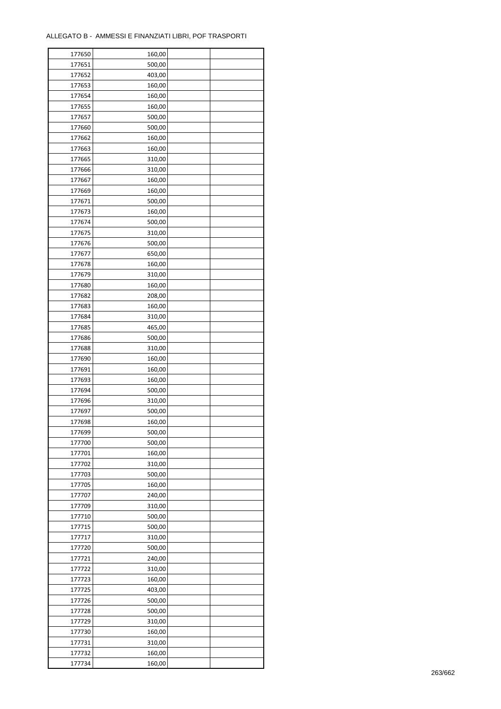| 177650 | 160,00 |  |
|--------|--------|--|
| 177651 | 500,00 |  |
| 177652 | 403,00 |  |
| 177653 | 160,00 |  |
| 177654 | 160,00 |  |
| 177655 | 160,00 |  |
| 177657 | 500,00 |  |
| 177660 | 500,00 |  |
| 177662 | 160,00 |  |
| 177663 | 160,00 |  |
| 177665 | 310,00 |  |
| 177666 | 310,00 |  |
|        |        |  |
| 177667 | 160,00 |  |
| 177669 | 160,00 |  |
| 177671 | 500,00 |  |
| 177673 | 160,00 |  |
| 177674 | 500,00 |  |
| 177675 | 310,00 |  |
| 177676 | 500,00 |  |
| 177677 | 650,00 |  |
| 177678 | 160,00 |  |
| 177679 | 310,00 |  |
| 177680 | 160,00 |  |
| 177682 | 208,00 |  |
| 177683 | 160,00 |  |
| 177684 | 310,00 |  |
| 177685 | 465,00 |  |
| 177686 | 500,00 |  |
| 177688 | 310,00 |  |
| 177690 | 160,00 |  |
| 177691 | 160,00 |  |
| 177693 | 160,00 |  |
| 177694 | 500,00 |  |
| 177696 | 310,00 |  |
| 177697 | 500,00 |  |
| 177698 | 160,00 |  |
| 177699 | 500,00 |  |
| 177700 | 500,00 |  |
| 177701 | 160,00 |  |
| 177702 | 310,00 |  |
| 177703 | 500,00 |  |
| 177705 | 160,00 |  |
| 177707 | 240,00 |  |
| 177709 | 310,00 |  |
| 177710 | 500,00 |  |
| 177715 | 500,00 |  |
| 177717 | 310,00 |  |
| 177720 | 500,00 |  |
| 177721 | 240,00 |  |
|        |        |  |
| 177722 | 310,00 |  |
| 177723 | 160,00 |  |
| 177725 | 403,00 |  |
| 177726 | 500,00 |  |
| 177728 | 500,00 |  |
| 177729 | 310,00 |  |
| 177730 | 160,00 |  |
| 177731 | 310,00 |  |
| 177732 | 160,00 |  |
| 177734 | 160,00 |  |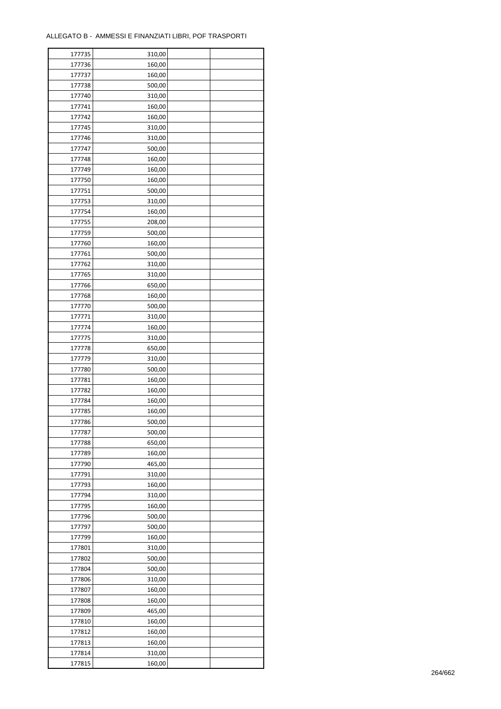| 177735 | 310,00 |  |
|--------|--------|--|
| 177736 | 160,00 |  |
| 177737 | 160,00 |  |
| 177738 | 500,00 |  |
| 177740 | 310,00 |  |
| 177741 | 160,00 |  |
| 177742 | 160,00 |  |
| 177745 | 310,00 |  |
| 177746 | 310,00 |  |
| 177747 | 500,00 |  |
| 177748 | 160,00 |  |
| 177749 | 160,00 |  |
|        |        |  |
| 177750 | 160,00 |  |
| 177751 | 500,00 |  |
| 177753 | 310,00 |  |
| 177754 | 160,00 |  |
| 177755 | 208,00 |  |
| 177759 | 500,00 |  |
| 177760 | 160,00 |  |
| 177761 | 500,00 |  |
| 177762 | 310,00 |  |
| 177765 | 310,00 |  |
| 177766 | 650,00 |  |
| 177768 | 160,00 |  |
| 177770 | 500,00 |  |
| 177771 | 310,00 |  |
| 177774 | 160,00 |  |
| 177775 | 310,00 |  |
| 177778 | 650,00 |  |
| 177779 | 310,00 |  |
| 177780 | 500,00 |  |
| 177781 | 160,00 |  |
| 177782 | 160,00 |  |
| 177784 | 160,00 |  |
| 177785 | 160,00 |  |
| 177786 | 500,00 |  |
| 177787 | 500,00 |  |
| 177788 | 650,00 |  |
| 177789 | 160,00 |  |
| 177790 | 465,00 |  |
| 177791 | 310,00 |  |
| 177793 | 160,00 |  |
| 177794 | 310,00 |  |
| 177795 |        |  |
|        | 160,00 |  |
| 177796 | 500,00 |  |
| 177797 | 500,00 |  |
| 177799 | 160,00 |  |
| 177801 | 310,00 |  |
| 177802 | 500,00 |  |
| 177804 | 500,00 |  |
| 177806 | 310,00 |  |
| 177807 | 160,00 |  |
| 177808 | 160,00 |  |
| 177809 | 465,00 |  |
| 177810 | 160,00 |  |
| 177812 | 160,00 |  |
| 177813 | 160,00 |  |
| 177814 | 310,00 |  |
| 177815 | 160,00 |  |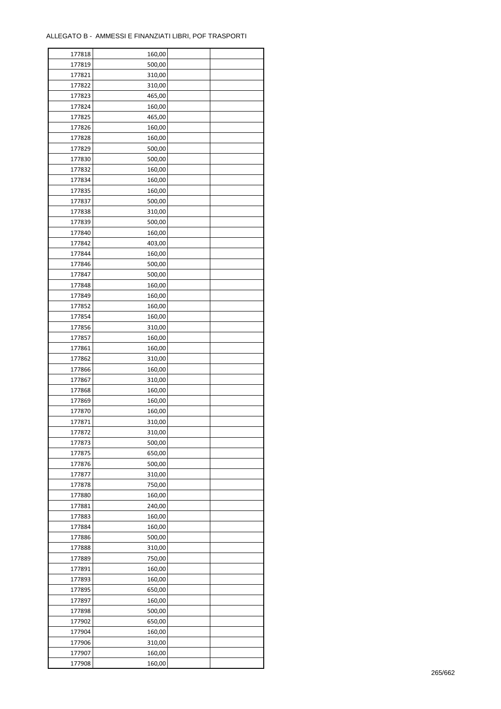| 177818           | 160,00 |  |
|------------------|--------|--|
| 177819           | 500,00 |  |
| 177821           | 310,00 |  |
| 177822           | 310,00 |  |
| 177823           | 465,00 |  |
| 177824           | 160,00 |  |
| 177825           | 465,00 |  |
| 177826           | 160,00 |  |
| 177828           | 160,00 |  |
| 177829           | 500,00 |  |
|                  |        |  |
| 177830<br>177832 | 500,00 |  |
|                  | 160,00 |  |
| 177834           | 160,00 |  |
| 177835           | 160,00 |  |
| 177837           | 500,00 |  |
| 177838           | 310,00 |  |
| 177839           | 500,00 |  |
| 177840           | 160,00 |  |
| 177842           | 403,00 |  |
| 177844           | 160,00 |  |
| 177846           | 500,00 |  |
| 177847           | 500,00 |  |
| 177848           | 160,00 |  |
| 177849           | 160,00 |  |
| 177852           | 160,00 |  |
| 177854           | 160,00 |  |
| 177856           | 310,00 |  |
| 177857           | 160,00 |  |
| 177861           | 160,00 |  |
| 177862           | 310,00 |  |
| 177866           | 160,00 |  |
| 177867           | 310,00 |  |
| 177868           | 160,00 |  |
| 177869           | 160,00 |  |
| 177870           | 160,00 |  |
|                  |        |  |
| 177871           | 310,00 |  |
| 177872           | 310,00 |  |
| 177873           | 500,00 |  |
| 177875           | 650,00 |  |
| 177876           | 500,00 |  |
| 177877           | 310,00 |  |
| 177878           | 750,00 |  |
| 177880           | 160,00 |  |
| 177881           | 240,00 |  |
| 177883           | 160,00 |  |
| 177884           | 160,00 |  |
| 177886           | 500,00 |  |
| 177888           | 310,00 |  |
| 177889           | 750,00 |  |
| 177891           | 160,00 |  |
| 177893           | 160,00 |  |
| 177895           | 650,00 |  |
| 177897           | 160,00 |  |
| 177898           | 500,00 |  |
| 177902           | 650,00 |  |
| 177904           | 160,00 |  |
|                  |        |  |
| 177906           | 310,00 |  |
| 177907           | 160,00 |  |
| 177908           | 160,00 |  |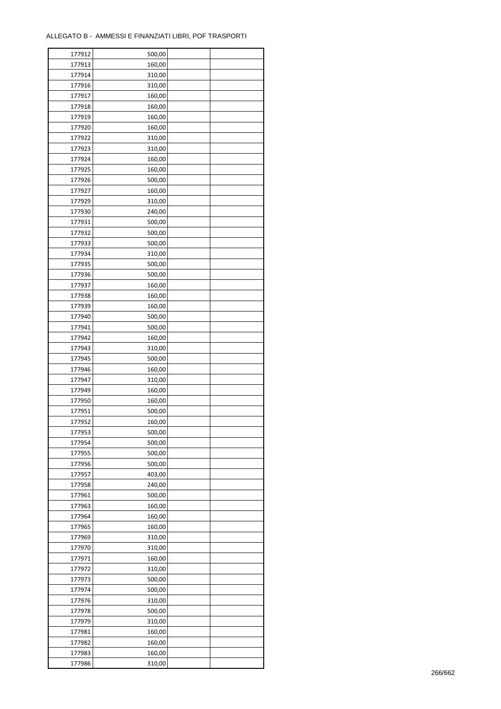| 177912 | 500,00 |  |
|--------|--------|--|
| 177913 | 160,00 |  |
| 177914 | 310,00 |  |
| 177916 | 310,00 |  |
| 177917 | 160,00 |  |
| 177918 | 160,00 |  |
| 177919 | 160,00 |  |
| 177920 | 160,00 |  |
| 177922 | 310,00 |  |
| 177923 | 310,00 |  |
| 177924 | 160,00 |  |
| 177925 | 160,00 |  |
| 177926 | 500,00 |  |
| 177927 | 160,00 |  |
| 177929 | 310,00 |  |
| 177930 | 240,00 |  |
| 177931 | 500,00 |  |
| 177932 | 500,00 |  |
| 177933 | 500,00 |  |
| 177934 | 310,00 |  |
| 177935 | 500,00 |  |
| 177936 | 500,00 |  |
| 177937 | 160,00 |  |
| 177938 | 160,00 |  |
| 177939 | 160,00 |  |
| 177940 | 500,00 |  |
| 177941 | 500,00 |  |
| 177942 | 160,00 |  |
| 177943 | 310,00 |  |
| 177945 | 500,00 |  |
| 177946 | 160,00 |  |
| 177947 | 310,00 |  |
| 177949 | 160,00 |  |
| 177950 | 160,00 |  |
| 177951 | 500,00 |  |
| 177952 | 160,00 |  |
| 177953 | 500,00 |  |
| 177954 | 500,00 |  |
| 177955 | 500,00 |  |
| 177956 | 500,00 |  |
| 177957 | 403,00 |  |
| 177958 | 240,00 |  |
| 177961 | 500,00 |  |
| 177963 | 160,00 |  |
| 177964 | 160,00 |  |
| 177965 | 160,00 |  |
| 177969 | 310,00 |  |
| 177970 | 310,00 |  |
| 177971 | 160,00 |  |
| 177972 | 310,00 |  |
| 177973 | 500,00 |  |
| 177974 | 500,00 |  |
| 177976 | 310,00 |  |
| 177978 | 500,00 |  |
| 177979 | 310,00 |  |
| 177981 | 160,00 |  |
| 177982 | 160,00 |  |
| 177983 | 160,00 |  |
| 177986 | 310,00 |  |
|        |        |  |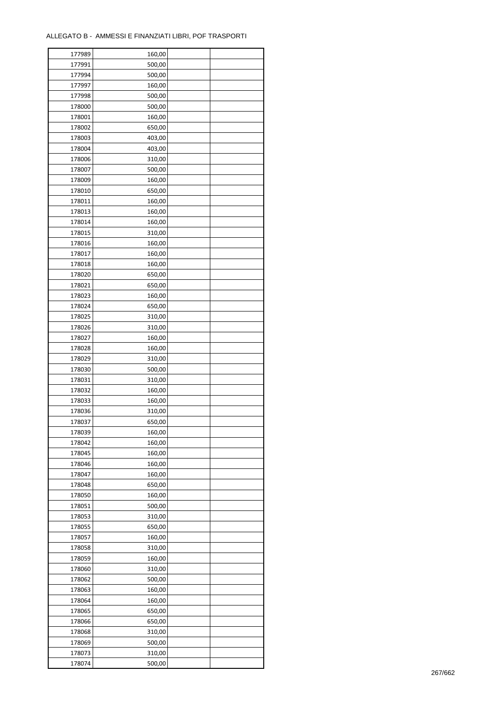| 177989 | 160,00 |  |
|--------|--------|--|
| 177991 | 500,00 |  |
| 177994 | 500,00 |  |
| 177997 | 160,00 |  |
| 177998 | 500,00 |  |
| 178000 | 500,00 |  |
| 178001 | 160,00 |  |
| 178002 | 650,00 |  |
| 178003 | 403,00 |  |
| 178004 | 403,00 |  |
| 178006 | 310,00 |  |
| 178007 | 500,00 |  |
| 178009 | 160,00 |  |
| 178010 |        |  |
|        | 650,00 |  |
| 178011 | 160,00 |  |
| 178013 | 160,00 |  |
| 178014 | 160,00 |  |
| 178015 | 310,00 |  |
| 178016 | 160,00 |  |
| 178017 | 160,00 |  |
| 178018 | 160,00 |  |
| 178020 | 650,00 |  |
| 178021 | 650,00 |  |
| 178023 | 160,00 |  |
| 178024 | 650,00 |  |
| 178025 | 310,00 |  |
| 178026 | 310,00 |  |
| 178027 | 160,00 |  |
| 178028 | 160,00 |  |
| 178029 | 310,00 |  |
| 178030 | 500,00 |  |
| 178031 | 310,00 |  |
| 178032 | 160,00 |  |
| 178033 | 160,00 |  |
| 178036 | 310,00 |  |
| 178037 | 650,00 |  |
| 178039 | 160,00 |  |
| 178042 | 160,00 |  |
| 178045 | 160,00 |  |
| 178046 | 160,00 |  |
|        | 160,00 |  |
| 178047 |        |  |
| 178048 | 650,00 |  |
| 178050 | 160,00 |  |
| 178051 | 500,00 |  |
| 178053 | 310,00 |  |
| 178055 | 650,00 |  |
| 178057 | 160,00 |  |
| 178058 | 310,00 |  |
| 178059 | 160,00 |  |
| 178060 | 310,00 |  |
| 178062 | 500,00 |  |
| 178063 | 160,00 |  |
| 178064 | 160,00 |  |
| 178065 | 650,00 |  |
| 178066 | 650,00 |  |
| 178068 | 310,00 |  |
| 178069 | 500,00 |  |
| 178073 | 310,00 |  |
| 178074 | 500,00 |  |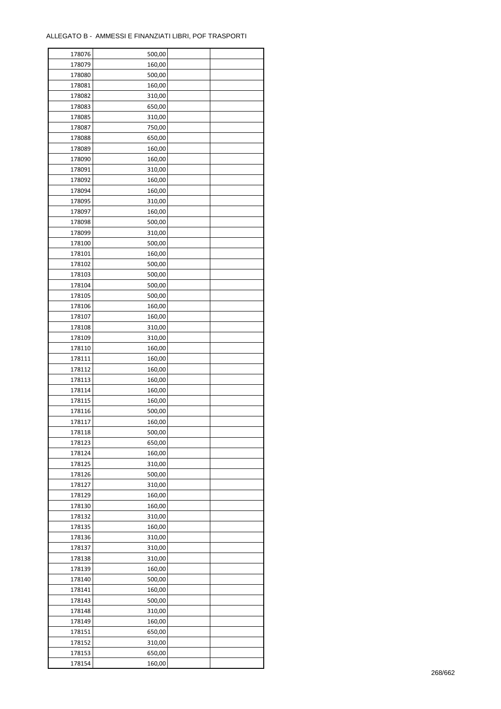| 178076 | 500,00 |  |
|--------|--------|--|
| 178079 | 160,00 |  |
| 178080 | 500,00 |  |
| 178081 | 160,00 |  |
| 178082 | 310,00 |  |
| 178083 | 650,00 |  |
| 178085 | 310,00 |  |
| 178087 | 750,00 |  |
| 178088 | 650,00 |  |
| 178089 | 160,00 |  |
| 178090 | 160,00 |  |
|        |        |  |
| 178091 | 310,00 |  |
| 178092 | 160,00 |  |
| 178094 | 160,00 |  |
| 178095 | 310,00 |  |
| 178097 | 160,00 |  |
| 178098 | 500,00 |  |
| 178099 | 310,00 |  |
| 178100 | 500,00 |  |
| 178101 | 160,00 |  |
| 178102 | 500,00 |  |
| 178103 | 500,00 |  |
| 178104 | 500,00 |  |
| 178105 | 500,00 |  |
| 178106 | 160,00 |  |
| 178107 | 160,00 |  |
| 178108 | 310,00 |  |
| 178109 | 310,00 |  |
| 178110 | 160,00 |  |
| 178111 | 160,00 |  |
| 178112 | 160,00 |  |
| 178113 | 160,00 |  |
|        |        |  |
| 178114 | 160,00 |  |
| 178115 | 160,00 |  |
| 178116 | 500,00 |  |
| 178117 | 160,00 |  |
| 178118 | 500,00 |  |
| 178123 | 650,00 |  |
| 178124 | 160,00 |  |
| 178125 | 310,00 |  |
| 178126 | 500,00 |  |
| 178127 | 310,00 |  |
| 178129 | 160,00 |  |
| 178130 | 160,00 |  |
| 178132 | 310,00 |  |
| 178135 | 160,00 |  |
| 178136 | 310,00 |  |
| 178137 | 310,00 |  |
| 178138 | 310,00 |  |
| 178139 | 160,00 |  |
| 178140 | 500,00 |  |
| 178141 | 160,00 |  |
| 178143 | 500,00 |  |
| 178148 | 310,00 |  |
|        |        |  |
| 178149 | 160,00 |  |
| 178151 | 650,00 |  |
| 178152 | 310,00 |  |
| 178153 | 650,00 |  |
| 178154 | 160,00 |  |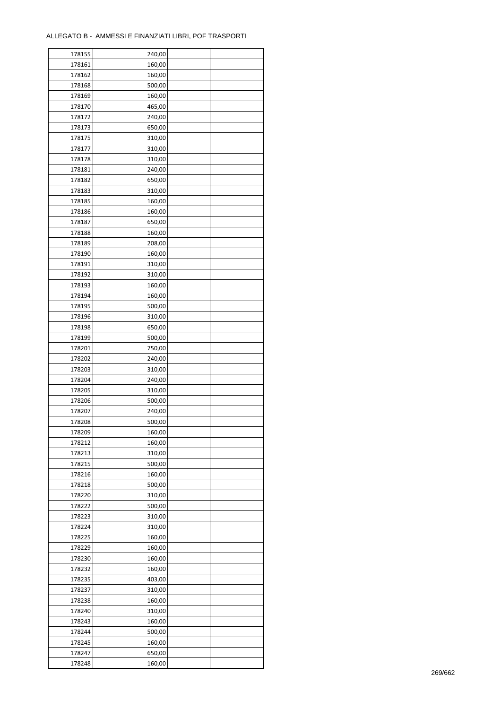| 178155 | 240,00 |  |
|--------|--------|--|
| 178161 | 160,00 |  |
| 178162 | 160,00 |  |
| 178168 | 500,00 |  |
| 178169 | 160,00 |  |
| 178170 | 465,00 |  |
| 178172 | 240,00 |  |
| 178173 | 650,00 |  |
| 178175 | 310,00 |  |
| 178177 | 310,00 |  |
|        |        |  |
| 178178 | 310,00 |  |
| 178181 | 240,00 |  |
| 178182 | 650,00 |  |
| 178183 | 310,00 |  |
| 178185 | 160,00 |  |
| 178186 | 160,00 |  |
| 178187 | 650,00 |  |
| 178188 | 160,00 |  |
| 178189 | 208,00 |  |
| 178190 | 160,00 |  |
| 178191 | 310,00 |  |
| 178192 | 310,00 |  |
| 178193 | 160,00 |  |
| 178194 | 160,00 |  |
| 178195 | 500,00 |  |
| 178196 | 310,00 |  |
| 178198 | 650,00 |  |
| 178199 | 500,00 |  |
| 178201 | 750,00 |  |
|        |        |  |
| 178202 | 240,00 |  |
| 178203 | 310,00 |  |
| 178204 | 240,00 |  |
| 178205 | 310,00 |  |
| 178206 | 500,00 |  |
| 178207 | 240,00 |  |
| 178208 | 500,00 |  |
| 178209 | 160,00 |  |
| 178212 | 160,00 |  |
| 178213 | 310,00 |  |
| 178215 | 500,00 |  |
| 178216 | 160,00 |  |
| 178218 | 500,00 |  |
| 178220 | 310,00 |  |
| 178222 | 500,00 |  |
| 178223 | 310,00 |  |
| 178224 | 310,00 |  |
| 178225 | 160,00 |  |
| 178229 | 160,00 |  |
| 178230 | 160,00 |  |
|        |        |  |
| 178232 | 160,00 |  |
| 178235 | 403,00 |  |
| 178237 | 310,00 |  |
| 178238 | 160,00 |  |
| 178240 | 310,00 |  |
| 178243 | 160,00 |  |
| 178244 | 500,00 |  |
| 178245 | 160,00 |  |
| 178247 | 650,00 |  |
| 178248 | 160,00 |  |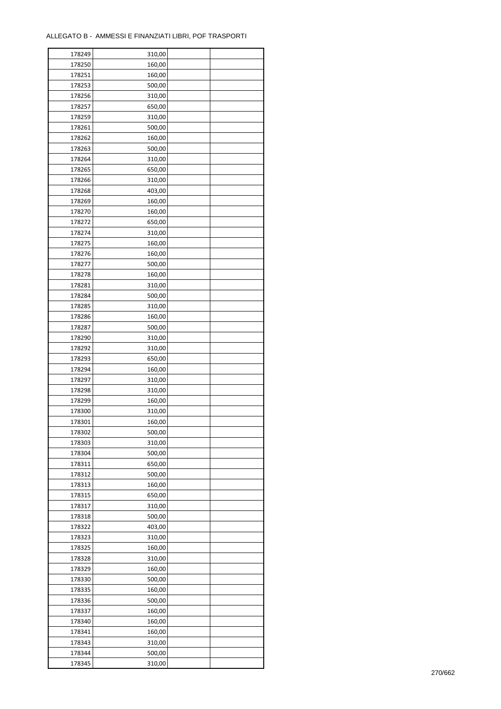| 178249 | 310,00 |  |
|--------|--------|--|
| 178250 | 160,00 |  |
| 178251 | 160,00 |  |
| 178253 | 500,00 |  |
| 178256 | 310,00 |  |
| 178257 | 650,00 |  |
| 178259 | 310,00 |  |
| 178261 | 500,00 |  |
| 178262 | 160,00 |  |
| 178263 | 500,00 |  |
|        |        |  |
| 178264 | 310,00 |  |
| 178265 | 650,00 |  |
| 178266 | 310,00 |  |
| 178268 | 403,00 |  |
| 178269 | 160,00 |  |
| 178270 | 160,00 |  |
| 178272 | 650,00 |  |
| 178274 | 310,00 |  |
| 178275 | 160,00 |  |
| 178276 | 160,00 |  |
| 178277 | 500,00 |  |
| 178278 | 160,00 |  |
| 178281 | 310,00 |  |
| 178284 | 500,00 |  |
| 178285 | 310,00 |  |
| 178286 | 160,00 |  |
| 178287 | 500,00 |  |
| 178290 | 310,00 |  |
| 178292 | 310,00 |  |
| 178293 | 650,00 |  |
| 178294 | 160,00 |  |
| 178297 | 310,00 |  |
| 178298 | 310,00 |  |
| 178299 | 160,00 |  |
| 178300 | 310,00 |  |
|        |        |  |
| 178301 | 160,00 |  |
| 178302 | 500,00 |  |
| 178303 | 310,00 |  |
| 178304 | 500,00 |  |
| 178311 | 650,00 |  |
| 178312 | 500,00 |  |
| 178313 | 160,00 |  |
| 178315 | 650,00 |  |
| 178317 | 310,00 |  |
| 178318 | 500,00 |  |
| 178322 | 403,00 |  |
| 178323 | 310,00 |  |
| 178325 | 160,00 |  |
| 178328 | 310,00 |  |
| 178329 | 160,00 |  |
| 178330 | 500,00 |  |
| 178335 | 160,00 |  |
| 178336 | 500,00 |  |
| 178337 | 160,00 |  |
| 178340 | 160,00 |  |
| 178341 | 160,00 |  |
|        |        |  |
| 178343 | 310,00 |  |
| 178344 | 500,00 |  |
| 178345 | 310,00 |  |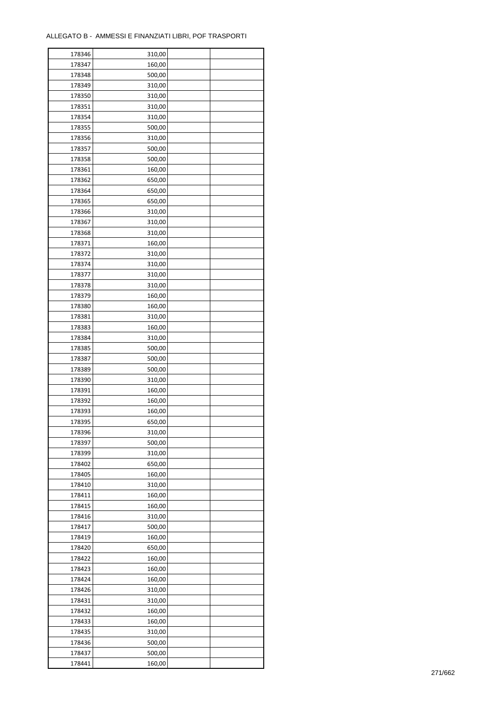| 178346 | 310,00 |  |
|--------|--------|--|
| 178347 | 160,00 |  |
| 178348 | 500,00 |  |
| 178349 | 310,00 |  |
| 178350 | 310,00 |  |
| 178351 | 310,00 |  |
| 178354 | 310,00 |  |
| 178355 | 500,00 |  |
| 178356 | 310,00 |  |
| 178357 | 500,00 |  |
| 178358 | 500,00 |  |
| 178361 | 160,00 |  |
| 178362 | 650,00 |  |
| 178364 | 650,00 |  |
| 178365 | 650,00 |  |
| 178366 | 310,00 |  |
|        | 310,00 |  |
| 178367 |        |  |
| 178368 | 310,00 |  |
| 178371 | 160,00 |  |
| 178372 | 310,00 |  |
| 178374 | 310,00 |  |
| 178377 | 310,00 |  |
| 178378 | 310,00 |  |
| 178379 | 160,00 |  |
| 178380 | 160,00 |  |
| 178381 | 310,00 |  |
| 178383 | 160,00 |  |
| 178384 | 310,00 |  |
| 178385 | 500,00 |  |
| 178387 | 500,00 |  |
| 178389 | 500,00 |  |
| 178390 | 310,00 |  |
| 178391 | 160,00 |  |
| 178392 | 160,00 |  |
| 178393 | 160,00 |  |
| 178395 | 650,00 |  |
| 178396 | 310,00 |  |
| 178397 | 500,00 |  |
| 178399 | 310,00 |  |
| 178402 | 650,00 |  |
| 178405 | 160,00 |  |
| 178410 | 310,00 |  |
| 178411 | 160,00 |  |
| 178415 | 160,00 |  |
| 178416 | 310,00 |  |
| 178417 | 500,00 |  |
| 178419 | 160,00 |  |
| 178420 | 650,00 |  |
| 178422 | 160,00 |  |
| 178423 | 160,00 |  |
| 178424 | 160,00 |  |
| 178426 | 310,00 |  |
| 178431 | 310,00 |  |
| 178432 | 160,00 |  |
| 178433 | 160,00 |  |
| 178435 | 310,00 |  |
| 178436 | 500,00 |  |
| 178437 | 500,00 |  |
| 178441 | 160,00 |  |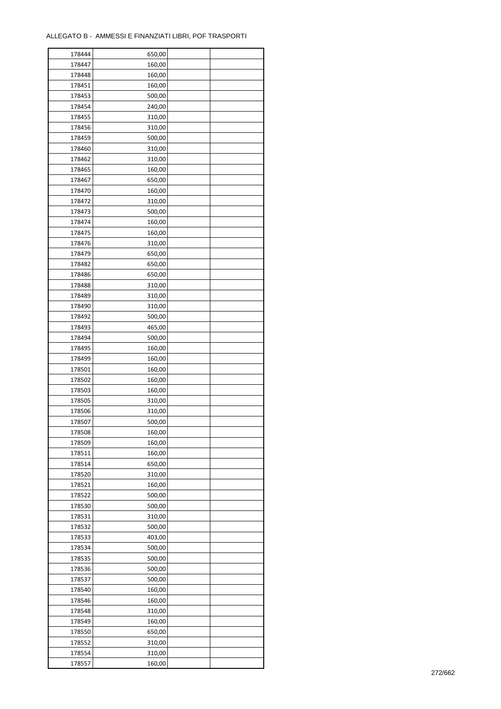| 178444 | 650,00 |  |
|--------|--------|--|
| 178447 | 160,00 |  |
| 178448 | 160,00 |  |
| 178451 | 160,00 |  |
| 178453 | 500,00 |  |
| 178454 | 240,00 |  |
| 178455 | 310,00 |  |
| 178456 | 310,00 |  |
|        | 500,00 |  |
| 178459 |        |  |
| 178460 | 310,00 |  |
| 178462 | 310,00 |  |
| 178465 | 160,00 |  |
| 178467 | 650,00 |  |
| 178470 | 160,00 |  |
| 178472 | 310,00 |  |
| 178473 | 500,00 |  |
| 178474 | 160,00 |  |
| 178475 | 160,00 |  |
| 178476 | 310,00 |  |
| 178479 | 650,00 |  |
| 178482 | 650,00 |  |
| 178486 | 650,00 |  |
| 178488 | 310,00 |  |
| 178489 | 310,00 |  |
| 178490 | 310,00 |  |
| 178492 | 500,00 |  |
| 178493 | 465,00 |  |
| 178494 | 500,00 |  |
| 178495 | 160,00 |  |
| 178499 | 160,00 |  |
|        |        |  |
| 178501 | 160,00 |  |
| 178502 | 160,00 |  |
| 178503 | 160,00 |  |
| 178505 | 310,00 |  |
| 178506 | 310,00 |  |
| 178507 | 500,00 |  |
| 178508 | 160,00 |  |
| 178509 | 160,00 |  |
| 178511 | 160,00 |  |
| 178514 | 650,00 |  |
| 178520 | 310,00 |  |
| 178521 | 160,00 |  |
| 178522 | 500,00 |  |
| 178530 | 500,00 |  |
| 178531 | 310,00 |  |
| 178532 | 500,00 |  |
| 178533 | 403,00 |  |
| 178534 | 500,00 |  |
| 178535 | 500,00 |  |
| 178536 | 500,00 |  |
| 178537 | 500,00 |  |
| 178540 | 160,00 |  |
| 178546 | 160,00 |  |
| 178548 | 310,00 |  |
|        |        |  |
| 178549 | 160,00 |  |
| 178550 | 650,00 |  |
| 178552 | 310,00 |  |
| 178554 | 310,00 |  |
| 178557 | 160,00 |  |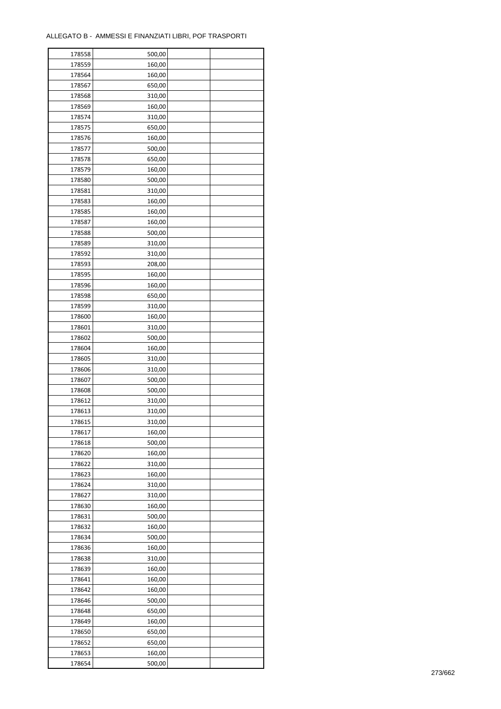| 178558           | 500,00 |  |
|------------------|--------|--|
| 178559           | 160,00 |  |
| 178564           | 160,00 |  |
| 178567           | 650,00 |  |
| 178568           | 310,00 |  |
| 178569           | 160,00 |  |
| 178574           | 310,00 |  |
| 178575           | 650,00 |  |
| 178576           | 160,00 |  |
| 178577           | 500,00 |  |
|                  |        |  |
| 178578<br>178579 | 650,00 |  |
|                  | 160,00 |  |
| 178580           | 500,00 |  |
| 178581           | 310,00 |  |
| 178583           | 160,00 |  |
| 178585           | 160,00 |  |
| 178587           | 160,00 |  |
| 178588           | 500,00 |  |
| 178589           | 310,00 |  |
| 178592           | 310,00 |  |
| 178593           | 208,00 |  |
| 178595           | 160,00 |  |
| 178596           | 160,00 |  |
| 178598           | 650,00 |  |
| 178599           | 310,00 |  |
| 178600           | 160,00 |  |
| 178601           | 310,00 |  |
| 178602           | 500,00 |  |
| 178604           | 160,00 |  |
| 178605           | 310,00 |  |
| 178606           | 310,00 |  |
| 178607           | 500,00 |  |
| 178608           | 500,00 |  |
| 178612           | 310,00 |  |
| 178613           | 310,00 |  |
| 178615           | 310,00 |  |
|                  |        |  |
| 178617           | 160,00 |  |
| 178618           | 500,00 |  |
| 178620           | 160,00 |  |
| 178622           | 310,00 |  |
| 178623           | 160,00 |  |
| 178624           | 310,00 |  |
| 178627           | 310,00 |  |
| 178630           | 160,00 |  |
| 178631           | 500,00 |  |
| 178632           | 160,00 |  |
| 178634           | 500,00 |  |
| 178636           | 160,00 |  |
| 178638           | 310,00 |  |
| 178639           | 160,00 |  |
| 178641           | 160,00 |  |
| 178642           | 160,00 |  |
| 178646           | 500,00 |  |
| 178648           | 650,00 |  |
| 178649           | 160,00 |  |
| 178650           | 650,00 |  |
| 178652           | 650,00 |  |
| 178653           | 160,00 |  |
| 178654           | 500,00 |  |
|                  |        |  |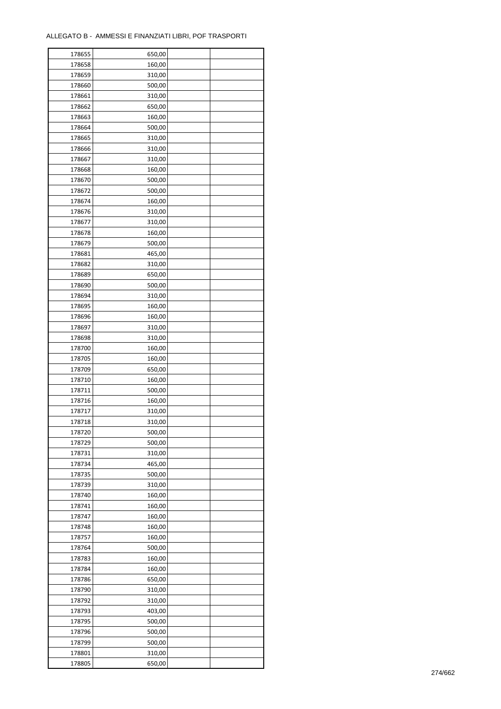| 178655 | 650,00 |  |
|--------|--------|--|
| 178658 | 160,00 |  |
| 178659 | 310,00 |  |
| 178660 | 500,00 |  |
| 178661 | 310,00 |  |
| 178662 | 650,00 |  |
| 178663 | 160,00 |  |
| 178664 | 500,00 |  |
|        |        |  |
| 178665 | 310,00 |  |
| 178666 | 310,00 |  |
| 178667 | 310,00 |  |
| 178668 | 160,00 |  |
| 178670 | 500,00 |  |
| 178672 | 500,00 |  |
| 178674 | 160,00 |  |
| 178676 | 310,00 |  |
| 178677 | 310,00 |  |
| 178678 | 160,00 |  |
| 178679 | 500,00 |  |
| 178681 | 465,00 |  |
| 178682 | 310,00 |  |
| 178689 | 650,00 |  |
| 178690 | 500,00 |  |
| 178694 | 310,00 |  |
| 178695 | 160,00 |  |
| 178696 |        |  |
|        | 160,00 |  |
| 178697 | 310,00 |  |
| 178698 | 310,00 |  |
| 178700 | 160,00 |  |
| 178705 | 160,00 |  |
| 178709 | 650,00 |  |
| 178710 | 160,00 |  |
| 178711 | 500,00 |  |
| 178716 | 160,00 |  |
| 178717 | 310,00 |  |
| 178718 | 310,00 |  |
| 178720 | 500,00 |  |
| 178729 | 500,00 |  |
| 178731 | 310,00 |  |
| 178734 | 465,00 |  |
| 178735 | 500,00 |  |
| 178739 | 310,00 |  |
| 178740 | 160,00 |  |
| 178741 | 160,00 |  |
| 178747 | 160,00 |  |
|        |        |  |
| 178748 | 160,00 |  |
| 178757 | 160,00 |  |
| 178764 | 500,00 |  |
| 178783 | 160,00 |  |
| 178784 | 160,00 |  |
| 178786 | 650,00 |  |
| 178790 | 310,00 |  |
| 178792 | 310,00 |  |
| 178793 | 403,00 |  |
| 178795 | 500,00 |  |
| 178796 | 500,00 |  |
| 178799 | 500,00 |  |
| 178801 | 310,00 |  |
| 178805 | 650,00 |  |
|        |        |  |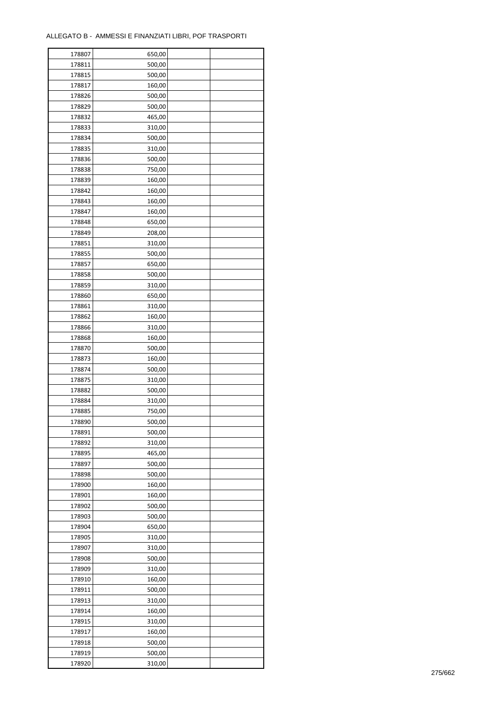| 178807 | 650,00 |  |
|--------|--------|--|
| 178811 | 500,00 |  |
| 178815 | 500,00 |  |
| 178817 | 160,00 |  |
| 178826 | 500,00 |  |
| 178829 | 500,00 |  |
| 178832 | 465,00 |  |
| 178833 | 310,00 |  |
| 178834 | 500,00 |  |
| 178835 | 310,00 |  |
| 178836 | 500,00 |  |
| 178838 | 750,00 |  |
| 178839 | 160,00 |  |
| 178842 | 160,00 |  |
| 178843 | 160,00 |  |
| 178847 | 160,00 |  |
| 178848 | 650,00 |  |
| 178849 | 208,00 |  |
| 178851 | 310,00 |  |
| 178855 | 500,00 |  |
|        |        |  |
| 178857 | 650,00 |  |
| 178858 | 500,00 |  |
| 178859 | 310,00 |  |
| 178860 | 650,00 |  |
| 178861 | 310,00 |  |
| 178862 | 160,00 |  |
| 178866 | 310,00 |  |
| 178868 | 160,00 |  |
| 178870 | 500,00 |  |
| 178873 | 160,00 |  |
| 178874 | 500,00 |  |
| 178875 | 310,00 |  |
| 178882 | 500,00 |  |
| 178884 | 310,00 |  |
| 178885 | 750,00 |  |
| 178890 | 500,00 |  |
| 178891 | 500,00 |  |
| 178892 | 310,00 |  |
| 178895 | 465,00 |  |
| 178897 | 500,00 |  |
| 178898 | 500,00 |  |
| 178900 | 160,00 |  |
| 178901 | 160,00 |  |
| 178902 | 500,00 |  |
| 178903 | 500,00 |  |
| 178904 | 650,00 |  |
| 178905 | 310,00 |  |
| 178907 | 310,00 |  |
| 178908 | 500,00 |  |
| 178909 | 310,00 |  |
| 178910 | 160,00 |  |
| 178911 | 500,00 |  |
| 178913 | 310,00 |  |
| 178914 | 160,00 |  |
|        |        |  |
| 178915 | 310,00 |  |
| 178917 | 160,00 |  |
| 178918 | 500,00 |  |
| 178919 | 500,00 |  |
| 178920 | 310,00 |  |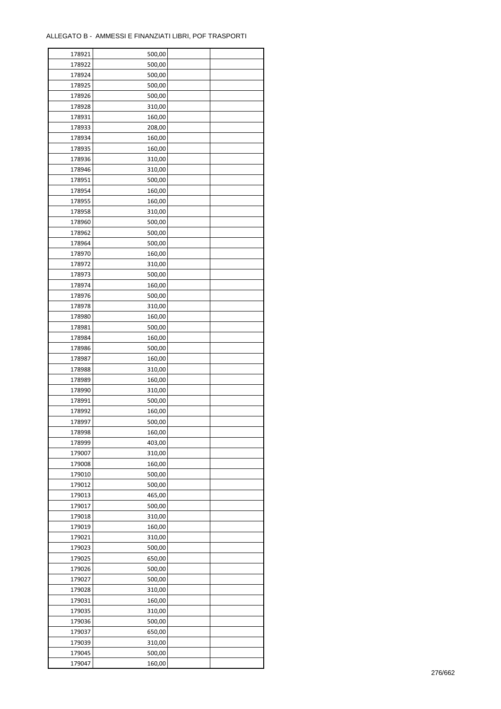| 178921 | 500,00 |  |
|--------|--------|--|
| 178922 | 500,00 |  |
| 178924 | 500,00 |  |
| 178925 | 500,00 |  |
| 178926 | 500,00 |  |
| 178928 | 310,00 |  |
| 178931 | 160,00 |  |
| 178933 | 208,00 |  |
| 178934 | 160,00 |  |
| 178935 | 160,00 |  |
| 178936 |        |  |
| 178946 | 310,00 |  |
|        | 310,00 |  |
| 178951 | 500,00 |  |
| 178954 | 160,00 |  |
| 178955 | 160,00 |  |
| 178958 | 310,00 |  |
| 178960 | 500,00 |  |
| 178962 | 500,00 |  |
| 178964 | 500,00 |  |
| 178970 | 160,00 |  |
| 178972 | 310,00 |  |
| 178973 | 500,00 |  |
| 178974 | 160,00 |  |
| 178976 | 500,00 |  |
| 178978 | 310,00 |  |
| 178980 | 160,00 |  |
| 178981 | 500,00 |  |
| 178984 | 160,00 |  |
| 178986 | 500,00 |  |
| 178987 | 160,00 |  |
| 178988 | 310,00 |  |
| 178989 | 160,00 |  |
| 178990 | 310,00 |  |
| 178991 | 500,00 |  |
| 178992 | 160,00 |  |
| 178997 | 500,00 |  |
|        |        |  |
| 178998 | 160,00 |  |
| 178999 | 403,00 |  |
| 179007 | 310,00 |  |
| 179008 | 160,00 |  |
| 179010 | 500,00 |  |
| 179012 | 500,00 |  |
| 179013 | 465,00 |  |
| 179017 | 500,00 |  |
| 179018 | 310,00 |  |
| 179019 | 160,00 |  |
| 179021 | 310,00 |  |
| 179023 | 500,00 |  |
| 179025 | 650,00 |  |
| 179026 | 500,00 |  |
| 179027 | 500,00 |  |
| 179028 | 310,00 |  |
| 179031 | 160,00 |  |
| 179035 | 310,00 |  |
| 179036 | 500,00 |  |
| 179037 | 650,00 |  |
| 179039 | 310,00 |  |
| 179045 | 500,00 |  |
| 179047 | 160,00 |  |
|        |        |  |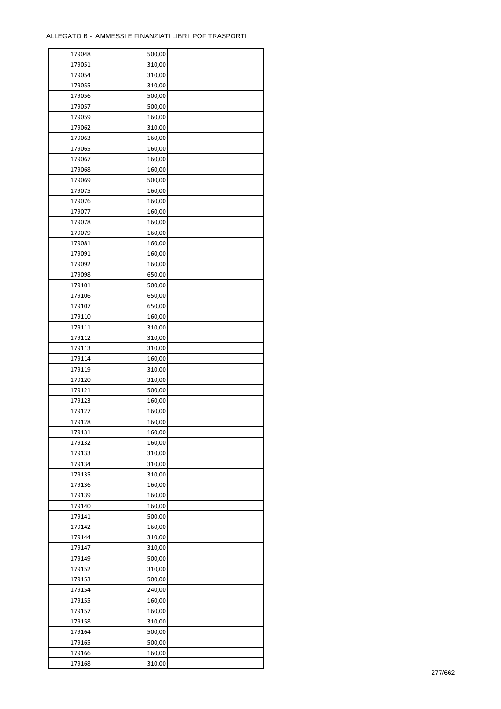| 179048           | 500,00 |  |
|------------------|--------|--|
| 179051           | 310,00 |  |
| 179054           | 310,00 |  |
| 179055           | 310,00 |  |
| 179056           | 500,00 |  |
| 179057           | 500,00 |  |
| 179059           | 160,00 |  |
| 179062           | 310,00 |  |
| 179063           | 160,00 |  |
| 179065           | 160,00 |  |
| 179067           | 160,00 |  |
| 179068           | 160,00 |  |
| 179069           | 500,00 |  |
| 179075           | 160,00 |  |
| 179076           | 160,00 |  |
| 179077           | 160,00 |  |
| 179078           | 160,00 |  |
| 179079           | 160,00 |  |
| 179081           | 160,00 |  |
| 179091           | 160,00 |  |
| 179092           | 160,00 |  |
| 179098           | 650,00 |  |
| 179101           | 500,00 |  |
| 179106           | 650,00 |  |
| 179107           | 650,00 |  |
| 179110           | 160,00 |  |
| 179111           | 310,00 |  |
| 179112           | 310,00 |  |
| 179113           | 310,00 |  |
|                  |        |  |
| 179114           | 160,00 |  |
| 179119<br>179120 | 310,00 |  |
|                  | 310,00 |  |
| 179121           | 500,00 |  |
| 179123           | 160,00 |  |
| 179127           | 160,00 |  |
| 179128           | 160,00 |  |
| 179131           | 160,00 |  |
| 179132           | 160,00 |  |
| 179133           | 310,00 |  |
| 179134           | 310,00 |  |
| 179135           | 310,00 |  |
| 179136           | 160,00 |  |
| 179139           | 160,00 |  |
| 179140           | 160,00 |  |
| 179141           | 500,00 |  |
| 179142           | 160,00 |  |
| 179144           | 310,00 |  |
| 179147           | 310,00 |  |
| 179149           | 500,00 |  |
| 179152           | 310,00 |  |
| 179153           | 500,00 |  |
| 179154           | 240,00 |  |
| 179155           | 160,00 |  |
| 179157           | 160,00 |  |
| 179158           | 310,00 |  |
| 179164           | 500,00 |  |
| 179165           | 500,00 |  |
| 179166           | 160,00 |  |
| 179168           | 310,00 |  |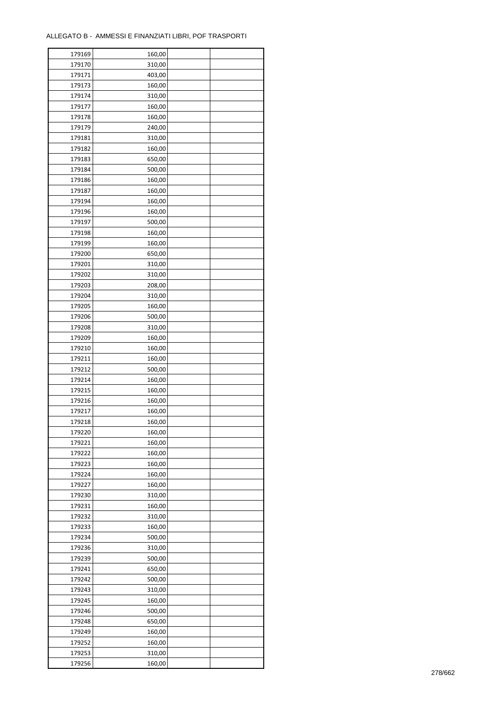| 179169           | 160,00           |  |
|------------------|------------------|--|
| 179170           | 310,00           |  |
| 179171           | 403,00           |  |
| 179173           | 160,00           |  |
| 179174           | 310,00           |  |
| 179177           | 160,00           |  |
| 179178           | 160,00           |  |
| 179179           | 240,00           |  |
| 179181           | 310,00           |  |
| 179182           | 160,00           |  |
| 179183           | 650,00           |  |
| 179184           | 500,00           |  |
| 179186           | 160,00           |  |
| 179187           | 160,00           |  |
|                  |                  |  |
| 179194           | 160,00           |  |
| 179196           | 160,00           |  |
| 179197           | 500,00           |  |
| 179198           | 160,00           |  |
| 179199           | 160,00           |  |
| 179200           | 650,00           |  |
| 179201           | 310,00           |  |
| 179202           | 310,00           |  |
| 179203           | 208,00           |  |
| 179204           | 310,00           |  |
| 179205           | 160,00           |  |
| 179206           | 500,00           |  |
| 179208           | 310,00           |  |
| 179209           | 160,00           |  |
| 179210           | 160,00           |  |
| 179211           | 160,00           |  |
| 179212           | 500,00           |  |
| 179214           | 160,00           |  |
| 179215           | 160,00           |  |
| 179216           | 160,00           |  |
| 179217           | 160,00           |  |
| 179218           | 160,00           |  |
| 179220           | 160,00           |  |
| 179221           | 160,00           |  |
| 179222           | 160,00           |  |
| 179223           | 160,00           |  |
| 179224           | 160,00           |  |
| 179227           | 160,00           |  |
| 179230           | 310,00           |  |
|                  |                  |  |
| 179231<br>179232 | 160,00<br>310,00 |  |
|                  |                  |  |
| 179233           | 160,00           |  |
| 179234           | 500,00           |  |
| 179236           | 310,00           |  |
| 179239           | 500,00           |  |
| 179241           | 650,00           |  |
| 179242           | 500,00           |  |
| 179243           | 310,00           |  |
| 179245           | 160,00           |  |
| 179246           | 500,00           |  |
| 179248           | 650,00           |  |
| 179249           | 160,00           |  |
| 179252           | 160,00           |  |
| 179253           | 310,00           |  |
| 179256           | 160,00           |  |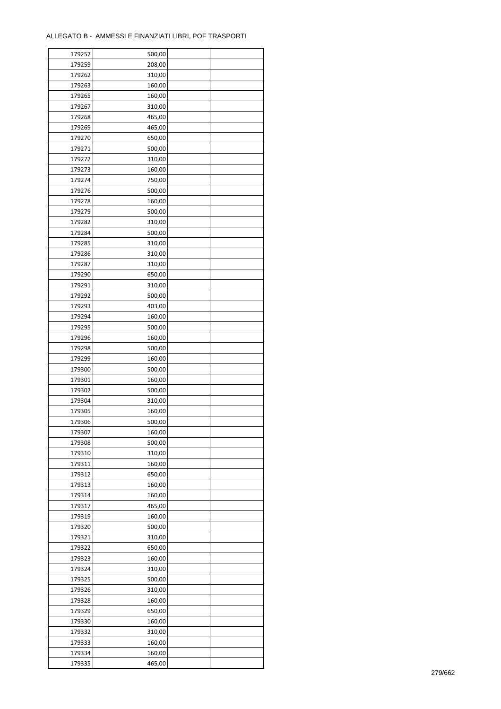| 179257 | 500,00 |  |
|--------|--------|--|
| 179259 | 208,00 |  |
| 179262 | 310,00 |  |
| 179263 | 160,00 |  |
| 179265 | 160,00 |  |
| 179267 | 310,00 |  |
| 179268 | 465,00 |  |
| 179269 | 465,00 |  |
| 179270 | 650,00 |  |
| 179271 | 500,00 |  |
| 179272 | 310,00 |  |
| 179273 | 160,00 |  |
| 179274 | 750,00 |  |
| 179276 | 500,00 |  |
|        |        |  |
| 179278 | 160,00 |  |
| 179279 | 500,00 |  |
| 179282 | 310,00 |  |
| 179284 | 500,00 |  |
| 179285 | 310,00 |  |
| 179286 | 310,00 |  |
| 179287 | 310,00 |  |
| 179290 | 650,00 |  |
| 179291 | 310,00 |  |
| 179292 | 500,00 |  |
| 179293 | 403,00 |  |
| 179294 | 160,00 |  |
| 179295 | 500,00 |  |
| 179296 | 160,00 |  |
| 179298 | 500,00 |  |
| 179299 | 160,00 |  |
| 179300 | 500,00 |  |
| 179301 | 160,00 |  |
| 179302 | 500,00 |  |
| 179304 | 310,00 |  |
| 179305 | 160,00 |  |
| 179306 | 500,00 |  |
| 179307 | 160,00 |  |
| 179308 | 500,00 |  |
| 179310 | 310,00 |  |
| 179311 | 160,00 |  |
| 179312 | 650,00 |  |
| 179313 | 160,00 |  |
|        |        |  |
| 179314 | 160,00 |  |
| 179317 | 465,00 |  |
| 179319 | 160,00 |  |
| 179320 | 500,00 |  |
| 179321 | 310,00 |  |
| 179322 | 650,00 |  |
| 179323 | 160,00 |  |
| 179324 | 310,00 |  |
| 179325 | 500,00 |  |
| 179326 | 310,00 |  |
| 179328 | 160,00 |  |
| 179329 | 650,00 |  |
| 179330 | 160,00 |  |
| 179332 | 310,00 |  |
| 179333 | 160,00 |  |
| 179334 | 160,00 |  |
| 179335 | 465,00 |  |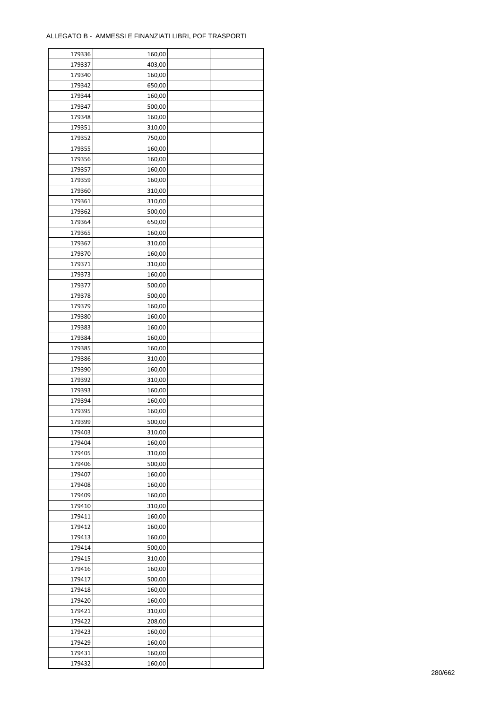| 179336 | 160,00 |  |
|--------|--------|--|
| 179337 | 403,00 |  |
| 179340 | 160,00 |  |
| 179342 | 650,00 |  |
| 179344 | 160,00 |  |
| 179347 | 500,00 |  |
| 179348 | 160,00 |  |
| 179351 | 310,00 |  |
| 179352 | 750,00 |  |
| 179355 | 160,00 |  |
| 179356 |        |  |
| 179357 | 160,00 |  |
|        | 160,00 |  |
| 179359 | 160,00 |  |
| 179360 | 310,00 |  |
| 179361 | 310,00 |  |
| 179362 | 500,00 |  |
| 179364 | 650,00 |  |
| 179365 | 160,00 |  |
| 179367 | 310,00 |  |
| 179370 | 160,00 |  |
| 179371 | 310,00 |  |
| 179373 | 160,00 |  |
| 179377 | 500,00 |  |
| 179378 | 500,00 |  |
| 179379 | 160,00 |  |
| 179380 | 160,00 |  |
| 179383 | 160,00 |  |
| 179384 | 160,00 |  |
| 179385 | 160,00 |  |
| 179386 | 310,00 |  |
| 179390 | 160,00 |  |
| 179392 | 310,00 |  |
| 179393 | 160,00 |  |
| 179394 | 160,00 |  |
| 179395 | 160,00 |  |
| 179399 | 500,00 |  |
|        |        |  |
| 179403 | 310,00 |  |
| 179404 | 160,00 |  |
| 179405 | 310,00 |  |
| 179406 | 500,00 |  |
| 179407 | 160,00 |  |
| 179408 | 160,00 |  |
| 179409 | 160,00 |  |
| 179410 | 310,00 |  |
| 179411 | 160,00 |  |
| 179412 | 160,00 |  |
| 179413 | 160,00 |  |
| 179414 | 500,00 |  |
| 179415 | 310,00 |  |
| 179416 | 160,00 |  |
| 179417 | 500,00 |  |
| 179418 | 160,00 |  |
| 179420 | 160,00 |  |
| 179421 | 310,00 |  |
| 179422 | 208,00 |  |
| 179423 | 160,00 |  |
| 179429 | 160,00 |  |
| 179431 | 160,00 |  |
|        |        |  |
| 179432 | 160,00 |  |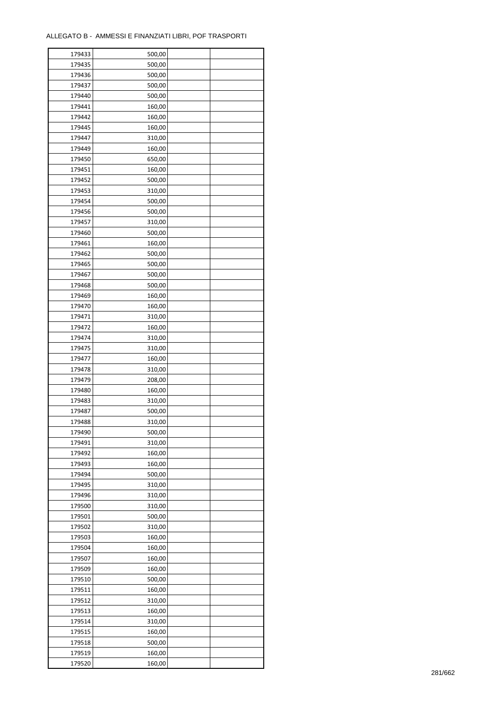| 179433 | 500,00 |  |
|--------|--------|--|
| 179435 | 500,00 |  |
| 179436 | 500,00 |  |
| 179437 | 500,00 |  |
| 179440 | 500,00 |  |
| 179441 | 160,00 |  |
| 179442 | 160,00 |  |
| 179445 | 160,00 |  |
|        |        |  |
| 179447 | 310,00 |  |
| 179449 | 160,00 |  |
| 179450 | 650,00 |  |
| 179451 | 160,00 |  |
| 179452 | 500,00 |  |
| 179453 | 310,00 |  |
| 179454 | 500,00 |  |
| 179456 | 500,00 |  |
| 179457 | 310,00 |  |
| 179460 | 500,00 |  |
| 179461 | 160,00 |  |
| 179462 | 500,00 |  |
| 179465 | 500,00 |  |
| 179467 | 500,00 |  |
| 179468 | 500,00 |  |
| 179469 | 160,00 |  |
| 179470 | 160,00 |  |
| 179471 | 310,00 |  |
| 179472 | 160,00 |  |
| 179474 | 310,00 |  |
| 179475 | 310,00 |  |
| 179477 | 160,00 |  |
|        |        |  |
| 179478 | 310,00 |  |
| 179479 | 208,00 |  |
| 179480 | 160,00 |  |
| 179483 | 310,00 |  |
| 179487 | 500,00 |  |
| 179488 | 310,00 |  |
| 179490 | 500,00 |  |
| 179491 | 310,00 |  |
| 179492 | 160,00 |  |
| 179493 | 160,00 |  |
| 179494 | 500,00 |  |
| 179495 | 310,00 |  |
| 179496 | 310,00 |  |
| 179500 | 310,00 |  |
| 179501 | 500,00 |  |
| 179502 | 310,00 |  |
| 179503 | 160,00 |  |
| 179504 | 160,00 |  |
| 179507 | 160,00 |  |
| 179509 | 160,00 |  |
| 179510 | 500,00 |  |
| 179511 | 160,00 |  |
| 179512 | 310,00 |  |
|        |        |  |
| 179513 | 160,00 |  |
| 179514 | 310,00 |  |
| 179515 | 160,00 |  |
| 179518 | 500,00 |  |
| 179519 | 160,00 |  |
| 179520 | 160,00 |  |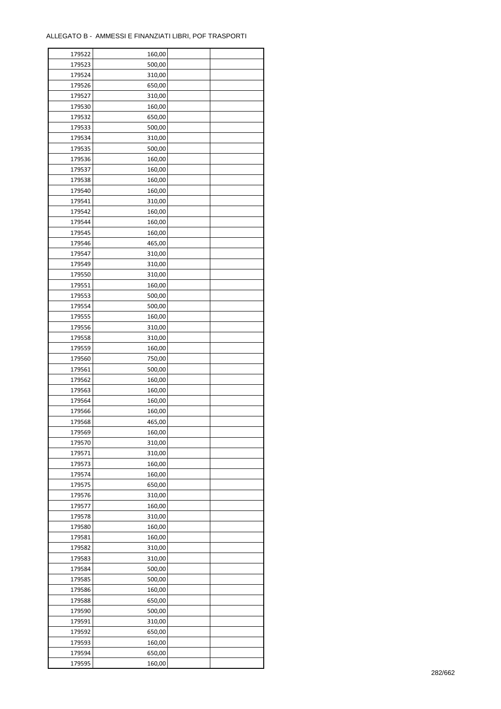| 179522           | 160,00           |  |
|------------------|------------------|--|
| 179523           | 500,00           |  |
| 179524           | 310,00           |  |
| 179526           | 650,00           |  |
| 179527           | 310,00           |  |
| 179530           | 160,00           |  |
| 179532           | 650,00           |  |
| 179533           | 500,00           |  |
| 179534           | 310,00           |  |
| 179535           | 500,00           |  |
| 179536           | 160,00           |  |
| 179537           | 160,00           |  |
| 179538           | 160,00           |  |
| 179540           | 160,00           |  |
| 179541           | 310,00           |  |
| 179542           | 160,00           |  |
| 179544           | 160,00           |  |
| 179545           | 160,00           |  |
| 179546           | 465,00           |  |
| 179547           | 310,00           |  |
| 179549           |                  |  |
| 179550           | 310,00           |  |
| 179551           | 310,00           |  |
|                  | 160,00           |  |
| 179553           | 500,00           |  |
| 179554           | 500,00           |  |
| 179555           | 160,00           |  |
| 179556           | 310,00           |  |
| 179558           | 310,00           |  |
| 179559           | 160,00           |  |
| 179560           | 750,00           |  |
| 179561           | 500,00           |  |
| 179562           | 160,00           |  |
| 179563<br>179564 | 160,00<br>160,00 |  |
| 179566           |                  |  |
| 179568           | 160,00<br>465,00 |  |
| 179569           | 160,00           |  |
| 179570           | 310,00           |  |
| 179571           | 310,00           |  |
| 179573           | 160,00           |  |
| 179574           | 160,00           |  |
| 179575           |                  |  |
| 179576           | 650,00           |  |
|                  | 310,00           |  |
| 179577<br>179578 | 160,00           |  |
|                  | 310,00           |  |
| 179580           | 160,00           |  |
| 179581           | 160,00           |  |
| 179582           | 310,00           |  |
| 179583           | 310,00           |  |
| 179584           | 500,00           |  |
| 179585           | 500,00           |  |
| 179586           | 160,00           |  |
| 179588           | 650,00           |  |
| 179590           | 500,00           |  |
| 179591           | 310,00           |  |
| 179592           | 650,00           |  |
| 179593           | 160,00           |  |
| 179594           | 650,00           |  |
| 179595           | 160,00           |  |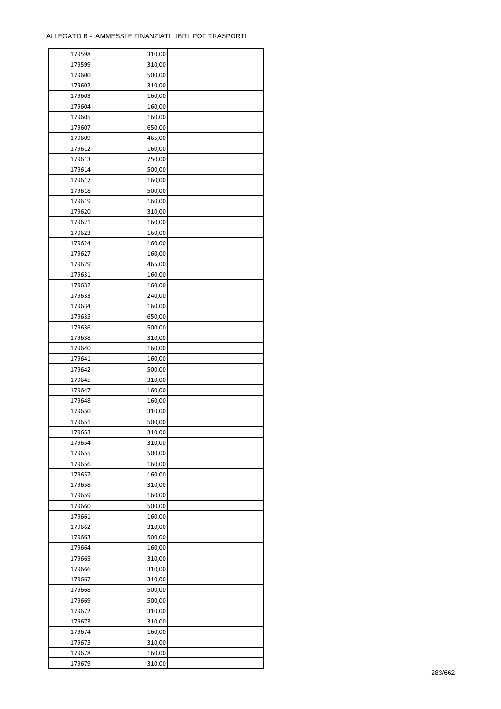| 179598 | 310,00 |  |
|--------|--------|--|
| 179599 | 310,00 |  |
| 179600 | 500,00 |  |
| 179602 | 310,00 |  |
| 179603 | 160,00 |  |
| 179604 | 160,00 |  |
| 179605 | 160,00 |  |
| 179607 | 650,00 |  |
| 179609 | 465,00 |  |
| 179612 | 160,00 |  |
| 179613 | 750,00 |  |
| 179614 | 500,00 |  |
| 179617 | 160,00 |  |
| 179618 | 500,00 |  |
| 179619 | 160,00 |  |
|        |        |  |
| 179620 | 310,00 |  |
| 179621 | 160,00 |  |
| 179623 | 160,00 |  |
| 179624 | 160,00 |  |
| 179627 | 160,00 |  |
| 179629 | 465,00 |  |
| 179631 | 160,00 |  |
| 179632 | 160,00 |  |
| 179633 | 240,00 |  |
| 179634 | 160,00 |  |
| 179635 | 650,00 |  |
| 179636 | 500,00 |  |
| 179638 | 310,00 |  |
| 179640 | 160,00 |  |
| 179641 | 160,00 |  |
| 179642 | 500,00 |  |
| 179645 | 310,00 |  |
| 179647 | 160,00 |  |
| 179648 | 160,00 |  |
| 179650 | 310,00 |  |
| 179651 | 500,00 |  |
| 179653 | 310,00 |  |
| 179654 | 310,00 |  |
| 179655 | 500,00 |  |
| 179656 | 160,00 |  |
| 179657 | 160,00 |  |
| 179658 | 310,00 |  |
| 179659 | 160,00 |  |
| 179660 | 500,00 |  |
| 179661 | 160,00 |  |
| 179662 | 310,00 |  |
| 179663 | 500,00 |  |
| 179664 | 160,00 |  |
| 179665 | 310,00 |  |
| 179666 | 310,00 |  |
| 179667 | 310,00 |  |
| 179668 | 500,00 |  |
| 179669 | 500,00 |  |
| 179672 | 310,00 |  |
| 179673 | 310,00 |  |
| 179674 | 160,00 |  |
| 179675 | 310,00 |  |
|        |        |  |
| 179678 | 160,00 |  |
| 179679 | 310,00 |  |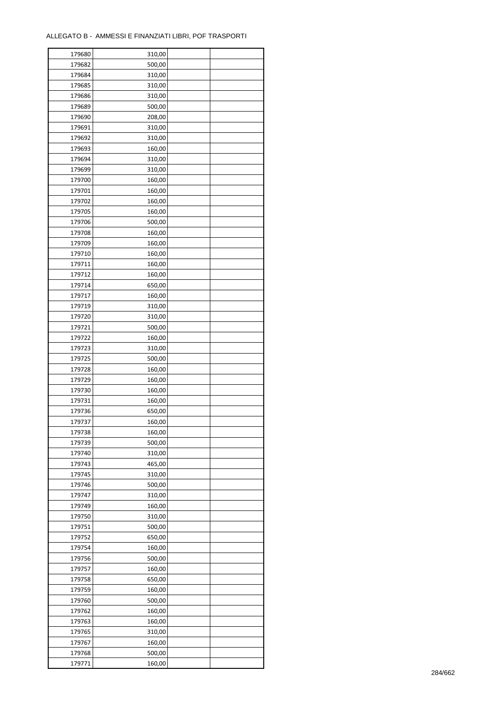| 179680           | 310,00 |  |
|------------------|--------|--|
| 179682           | 500,00 |  |
| 179684           | 310,00 |  |
| 179685           | 310,00 |  |
| 179686           | 310,00 |  |
| 179689           | 500,00 |  |
| 179690           | 208,00 |  |
| 179691           | 310,00 |  |
| 179692           | 310,00 |  |
| 179693           | 160,00 |  |
| 179694           | 310,00 |  |
| 179699           | 310,00 |  |
| 179700           | 160,00 |  |
| 179701           | 160,00 |  |
|                  |        |  |
| 179702           | 160,00 |  |
| 179705           | 160,00 |  |
| 179706           | 500,00 |  |
| 179708           | 160,00 |  |
| 179709           | 160,00 |  |
| 179710           | 160,00 |  |
| 179711           | 160,00 |  |
| 179712           | 160,00 |  |
| 179714           | 650,00 |  |
| 179717           | 160,00 |  |
| 179719           | 310,00 |  |
| 179720           | 310,00 |  |
| 179721           | 500,00 |  |
| 179722           | 160,00 |  |
| 179723           | 310,00 |  |
| 179725           | 500,00 |  |
| 179728           | 160,00 |  |
| 179729           | 160,00 |  |
| 179730           | 160,00 |  |
| 179731           | 160,00 |  |
| 179736           | 650,00 |  |
| 179737           | 160,00 |  |
| 179738           | 160,00 |  |
| 179739           | 500,00 |  |
| 179740           | 310,00 |  |
| 179743           | 465,00 |  |
| 179745           | 310,00 |  |
| 179746           | 500,00 |  |
| 179747           | 310,00 |  |
|                  |        |  |
| 179749           | 160,00 |  |
| 179750<br>179751 | 310,00 |  |
|                  | 500,00 |  |
| 179752           | 650,00 |  |
| 179754           | 160,00 |  |
| 179756           | 500,00 |  |
| 179757           | 160,00 |  |
| 179758           | 650,00 |  |
| 179759           | 160,00 |  |
| 179760           | 500,00 |  |
| 179762           | 160,00 |  |
| 179763           | 160,00 |  |
| 179765           | 310,00 |  |
| 179767           | 160,00 |  |
| 179768           | 500,00 |  |
| 179771           | 160,00 |  |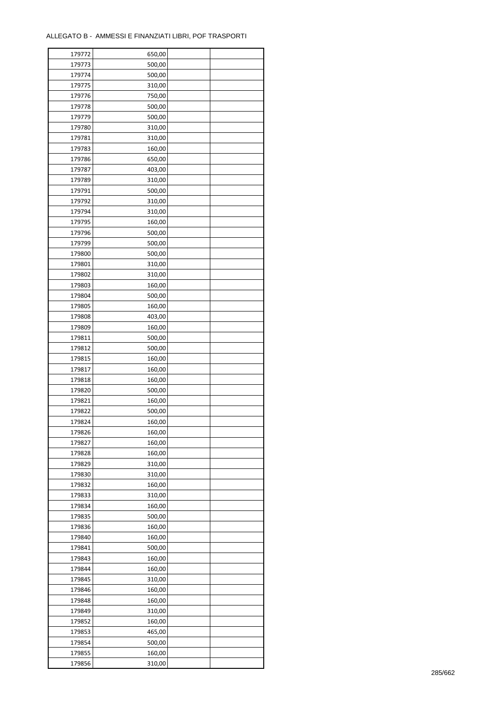| 179772 | 650,00 |  |
|--------|--------|--|
| 179773 | 500,00 |  |
| 179774 | 500,00 |  |
| 179775 | 310,00 |  |
| 179776 | 750,00 |  |
| 179778 | 500,00 |  |
| 179779 | 500,00 |  |
| 179780 | 310,00 |  |
| 179781 | 310,00 |  |
| 179783 | 160,00 |  |
| 179786 |        |  |
|        | 650,00 |  |
| 179787 | 403,00 |  |
| 179789 | 310,00 |  |
| 179791 | 500,00 |  |
| 179792 | 310,00 |  |
| 179794 | 310,00 |  |
| 179795 | 160,00 |  |
| 179796 | 500,00 |  |
| 179799 | 500,00 |  |
| 179800 | 500,00 |  |
| 179801 | 310,00 |  |
| 179802 | 310,00 |  |
| 179803 | 160,00 |  |
| 179804 | 500,00 |  |
| 179805 | 160,00 |  |
| 179808 | 403,00 |  |
| 179809 | 160,00 |  |
| 179811 | 500,00 |  |
| 179812 | 500,00 |  |
| 179815 | 160,00 |  |
| 179817 | 160,00 |  |
|        |        |  |
| 179818 | 160,00 |  |
| 179820 | 500,00 |  |
| 179821 | 160,00 |  |
| 179822 | 500,00 |  |
| 179824 | 160,00 |  |
| 179826 | 160,00 |  |
| 179827 | 160,00 |  |
| 179828 | 160,00 |  |
| 179829 | 310,00 |  |
| 179830 | 310,00 |  |
| 179832 | 160,00 |  |
| 179833 | 310,00 |  |
| 179834 | 160,00 |  |
| 179835 | 500,00 |  |
| 179836 | 160,00 |  |
| 179840 | 160,00 |  |
| 179841 | 500,00 |  |
| 179843 | 160,00 |  |
| 179844 | 160,00 |  |
| 179845 | 310,00 |  |
| 179846 | 160,00 |  |
| 179848 | 160,00 |  |
|        |        |  |
| 179849 | 310,00 |  |
| 179852 | 160,00 |  |
| 179853 | 465,00 |  |
| 179854 | 500,00 |  |
| 179855 | 160,00 |  |
| 179856 | 310,00 |  |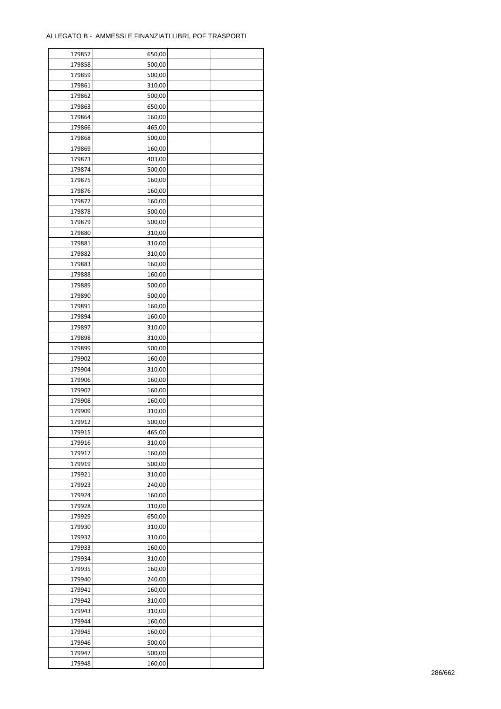| 179857 | 650,00 |  |
|--------|--------|--|
| 179858 | 500,00 |  |
| 179859 | 500,00 |  |
| 179861 | 310,00 |  |
| 179862 | 500,00 |  |
| 179863 | 650,00 |  |
| 179864 | 160,00 |  |
| 179866 | 465,00 |  |
| 179868 | 500,00 |  |
| 179869 | 160,00 |  |
|        |        |  |
| 179873 | 403,00 |  |
| 179874 | 500,00 |  |
| 179875 | 160,00 |  |
| 179876 | 160,00 |  |
| 179877 | 160,00 |  |
| 179878 | 500,00 |  |
| 179879 | 500,00 |  |
| 179880 | 310,00 |  |
| 179881 | 310,00 |  |
| 179882 | 310,00 |  |
| 179883 | 160,00 |  |
| 179888 | 160,00 |  |
| 179889 | 500,00 |  |
| 179890 | 500,00 |  |
| 179891 | 160,00 |  |
| 179894 | 160,00 |  |
| 179897 | 310,00 |  |
| 179898 | 310,00 |  |
| 179899 | 500,00 |  |
| 179902 | 160,00 |  |
| 179904 | 310,00 |  |
| 179906 | 160,00 |  |
| 179907 | 160,00 |  |
| 179908 | 160,00 |  |
| 179909 | 310,00 |  |
|        |        |  |
| 179912 | 500,00 |  |
| 179915 | 465,00 |  |
| 179916 | 310,00 |  |
| 179917 | 160,00 |  |
| 179919 | 500,00 |  |
| 179921 | 310,00 |  |
| 179923 | 240,00 |  |
| 179924 | 160,00 |  |
| 179928 | 310,00 |  |
| 179929 | 650,00 |  |
| 179930 | 310,00 |  |
| 179932 | 310,00 |  |
| 179933 | 160,00 |  |
| 179934 | 310,00 |  |
| 179935 | 160,00 |  |
| 179940 | 240,00 |  |
| 179941 | 160,00 |  |
| 179942 | 310,00 |  |
| 179943 | 310,00 |  |
| 179944 | 160,00 |  |
| 179945 | 160,00 |  |
|        |        |  |
| 179946 | 500,00 |  |
| 179947 | 500,00 |  |
| 179948 | 160,00 |  |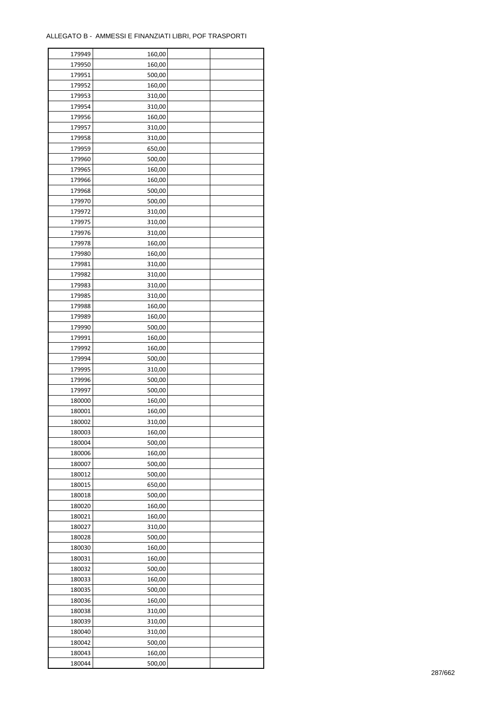| 179949 | 160,00 |  |
|--------|--------|--|
| 179950 | 160,00 |  |
| 179951 | 500,00 |  |
| 179952 | 160,00 |  |
| 179953 | 310,00 |  |
| 179954 | 310,00 |  |
| 179956 | 160,00 |  |
| 179957 | 310,00 |  |
| 179958 | 310,00 |  |
| 179959 | 650,00 |  |
| 179960 | 500,00 |  |
| 179965 | 160,00 |  |
| 179966 |        |  |
|        | 160,00 |  |
| 179968 | 500,00 |  |
| 179970 | 500,00 |  |
| 179972 | 310,00 |  |
| 179975 | 310,00 |  |
| 179976 | 310,00 |  |
| 179978 | 160,00 |  |
| 179980 | 160,00 |  |
| 179981 | 310,00 |  |
| 179982 | 310,00 |  |
| 179983 | 310,00 |  |
| 179985 | 310,00 |  |
| 179988 | 160,00 |  |
| 179989 | 160,00 |  |
| 179990 | 500,00 |  |
| 179991 | 160,00 |  |
| 179992 | 160,00 |  |
| 179994 | 500,00 |  |
| 179995 | 310,00 |  |
| 179996 | 500,00 |  |
| 179997 | 500,00 |  |
| 180000 | 160,00 |  |
| 180001 | 160,00 |  |
|        |        |  |
| 180002 | 310,00 |  |
| 180003 | 160,00 |  |
| 180004 | 500,00 |  |
| 180006 | 160,00 |  |
| 180007 | 500,00 |  |
| 180012 | 500,00 |  |
| 180015 | 650,00 |  |
| 180018 | 500,00 |  |
| 180020 | 160,00 |  |
| 180021 | 160,00 |  |
| 180027 | 310,00 |  |
| 180028 | 500,00 |  |
| 180030 | 160,00 |  |
| 180031 | 160,00 |  |
| 180032 | 500,00 |  |
| 180033 | 160,00 |  |
| 180035 | 500,00 |  |
| 180036 | 160,00 |  |
| 180038 | 310,00 |  |
| 180039 | 310,00 |  |
| 180040 | 310,00 |  |
| 180042 | 500,00 |  |
| 180043 | 160,00 |  |
|        |        |  |
| 180044 | 500,00 |  |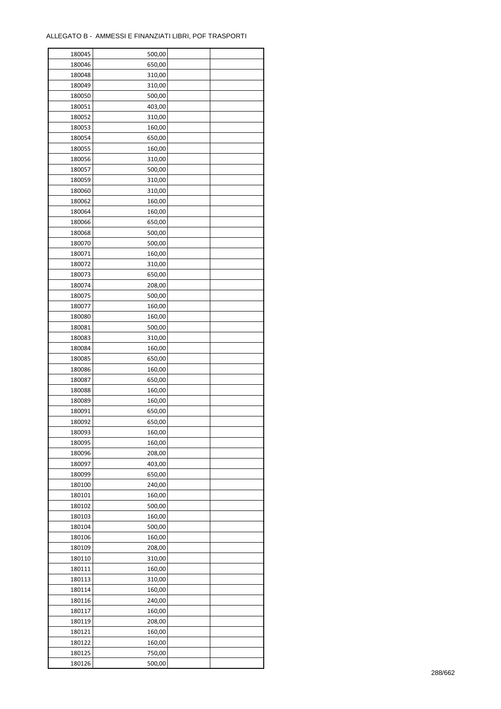| 180045 | 500,00 |  |
|--------|--------|--|
| 180046 | 650,00 |  |
| 180048 | 310,00 |  |
| 180049 | 310,00 |  |
| 180050 | 500,00 |  |
| 180051 | 403,00 |  |
| 180052 | 310,00 |  |
| 180053 | 160,00 |  |
| 180054 | 650,00 |  |
| 180055 | 160,00 |  |
|        |        |  |
| 180056 | 310,00 |  |
| 180057 | 500,00 |  |
| 180059 | 310,00 |  |
| 180060 | 310,00 |  |
| 180062 | 160,00 |  |
| 180064 | 160,00 |  |
| 180066 | 650,00 |  |
| 180068 | 500,00 |  |
| 180070 | 500,00 |  |
| 180071 | 160,00 |  |
| 180072 | 310,00 |  |
| 180073 | 650,00 |  |
| 180074 | 208,00 |  |
| 180075 | 500,00 |  |
| 180077 | 160,00 |  |
| 180080 | 160,00 |  |
| 180081 | 500,00 |  |
| 180083 | 310,00 |  |
| 180084 | 160,00 |  |
|        |        |  |
| 180085 | 650,00 |  |
| 180086 | 160,00 |  |
| 180087 | 650,00 |  |
| 180088 | 160,00 |  |
| 180089 | 160,00 |  |
| 180091 | 650,00 |  |
| 180092 | 650,00 |  |
| 180093 | 160,00 |  |
| 180095 | 160,00 |  |
| 180096 | 208,00 |  |
| 180097 | 403,00 |  |
| 180099 | 650,00 |  |
| 180100 | 240,00 |  |
| 180101 | 160,00 |  |
| 180102 | 500,00 |  |
| 180103 | 160,00 |  |
| 180104 | 500,00 |  |
| 180106 | 160,00 |  |
| 180109 | 208,00 |  |
| 180110 | 310,00 |  |
| 180111 | 160,00 |  |
| 180113 |        |  |
|        | 310,00 |  |
| 180114 | 160,00 |  |
| 180116 | 240,00 |  |
| 180117 | 160,00 |  |
| 180119 | 208,00 |  |
| 180121 | 160,00 |  |
| 180122 | 160,00 |  |
| 180125 | 750,00 |  |
| 180126 | 500,00 |  |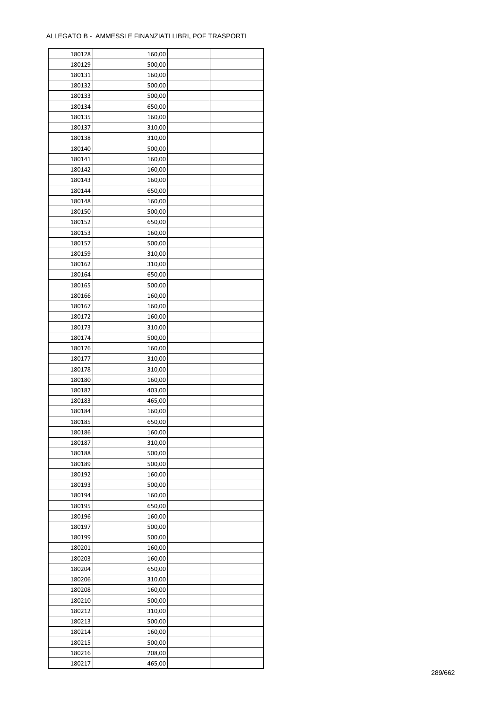| 180128           | 160,00 |  |
|------------------|--------|--|
| 180129           | 500,00 |  |
| 180131           | 160,00 |  |
| 180132           | 500,00 |  |
| 180133           | 500,00 |  |
| 180134           | 650,00 |  |
| 180135           | 160,00 |  |
| 180137           | 310,00 |  |
| 180138           | 310,00 |  |
| 180140           | 500,00 |  |
| 180141           | 160,00 |  |
| 180142           | 160,00 |  |
|                  |        |  |
| 180143           | 160,00 |  |
| 180144           | 650,00 |  |
| 180148           | 160,00 |  |
| 180150           | 500,00 |  |
| 180152           | 650,00 |  |
| 180153           | 160,00 |  |
| 180157           | 500,00 |  |
| 180159           | 310,00 |  |
| 180162           | 310,00 |  |
| 180164           | 650,00 |  |
| 180165           | 500,00 |  |
| 180166           | 160,00 |  |
| 180167           | 160,00 |  |
| 180172           | 160,00 |  |
| 180173           | 310,00 |  |
| 180174           | 500,00 |  |
| 180176           | 160,00 |  |
| 180177           | 310,00 |  |
| 180178           | 310,00 |  |
| 180180           | 160,00 |  |
| 180182           | 403,00 |  |
| 180183           | 465,00 |  |
| 180184           | 160,00 |  |
| 180185           | 650,00 |  |
| 180186           | 160,00 |  |
| 180187           | 310,00 |  |
| 180188           | 500,00 |  |
| 180189           | 500,00 |  |
|                  | 160,00 |  |
| 180192<br>180193 | 500,00 |  |
|                  |        |  |
| 180194           | 160,00 |  |
| 180195           | 650,00 |  |
| 180196           | 160,00 |  |
| 180197           | 500,00 |  |
| 180199           | 500,00 |  |
| 180201           | 160,00 |  |
| 180203           | 160,00 |  |
| 180204           | 650,00 |  |
| 180206           | 310,00 |  |
| 180208           | 160,00 |  |
| 180210           | 500,00 |  |
| 180212           | 310,00 |  |
| 180213           | 500,00 |  |
| 180214           | 160,00 |  |
| 180215           | 500,00 |  |
| 180216           | 208,00 |  |
| 180217           | 465,00 |  |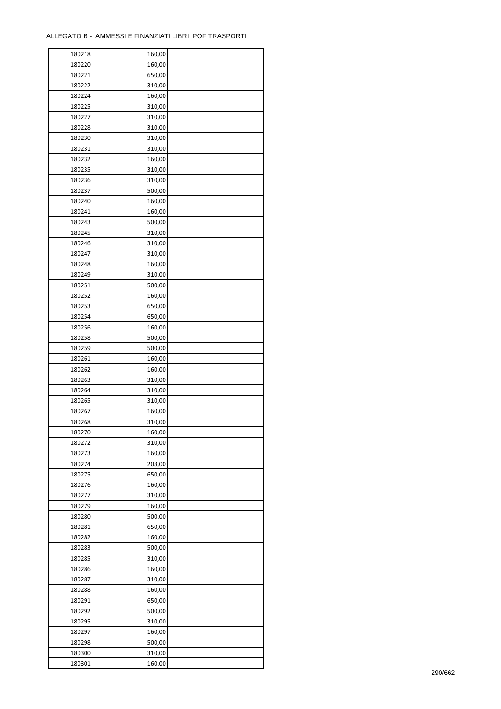| 180218 | 160,00 |  |
|--------|--------|--|
| 180220 | 160,00 |  |
| 180221 | 650,00 |  |
| 180222 | 310,00 |  |
| 180224 | 160,00 |  |
| 180225 | 310,00 |  |
| 180227 | 310,00 |  |
| 180228 | 310,00 |  |
| 180230 | 310,00 |  |
| 180231 | 310,00 |  |
| 180232 | 160,00 |  |
| 180235 | 310,00 |  |
|        |        |  |
| 180236 | 310,00 |  |
| 180237 | 500,00 |  |
| 180240 | 160,00 |  |
| 180241 | 160,00 |  |
| 180243 | 500,00 |  |
| 180245 | 310,00 |  |
| 180246 | 310,00 |  |
| 180247 | 310,00 |  |
| 180248 | 160,00 |  |
| 180249 | 310,00 |  |
| 180251 | 500,00 |  |
| 180252 | 160,00 |  |
| 180253 | 650,00 |  |
| 180254 | 650,00 |  |
| 180256 | 160,00 |  |
| 180258 | 500,00 |  |
| 180259 | 500,00 |  |
| 180261 | 160,00 |  |
| 180262 | 160,00 |  |
| 180263 | 310,00 |  |
| 180264 | 310,00 |  |
| 180265 | 310,00 |  |
| 180267 | 160,00 |  |
| 180268 | 310,00 |  |
|        |        |  |
| 180270 | 160,00 |  |
| 180272 | 310,00 |  |
| 180273 | 160,00 |  |
| 180274 | 208,00 |  |
| 180275 | 650,00 |  |
| 180276 | 160,00 |  |
| 180277 | 310,00 |  |
| 180279 | 160,00 |  |
| 180280 | 500,00 |  |
| 180281 | 650,00 |  |
| 180282 | 160,00 |  |
| 180283 | 500,00 |  |
| 180285 | 310,00 |  |
| 180286 | 160,00 |  |
| 180287 | 310,00 |  |
| 180288 | 160,00 |  |
| 180291 | 650,00 |  |
| 180292 | 500,00 |  |
| 180295 | 310,00 |  |
| 180297 | 160,00 |  |
| 180298 | 500,00 |  |
| 180300 | 310,00 |  |
| 180301 | 160,00 |  |
|        |        |  |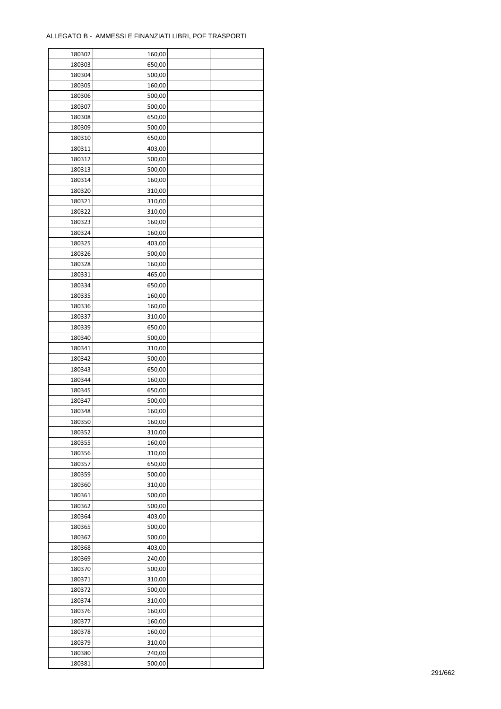| 180302 | 160,00 |  |
|--------|--------|--|
| 180303 | 650,00 |  |
| 180304 | 500,00 |  |
| 180305 | 160,00 |  |
| 180306 | 500,00 |  |
| 180307 | 500,00 |  |
| 180308 | 650,00 |  |
| 180309 | 500,00 |  |
| 180310 | 650,00 |  |
| 180311 | 403,00 |  |
| 180312 | 500,00 |  |
| 180313 | 500,00 |  |
| 180314 | 160,00 |  |
| 180320 | 310,00 |  |
|        |        |  |
| 180321 | 310,00 |  |
| 180322 | 310,00 |  |
| 180323 | 160,00 |  |
| 180324 | 160,00 |  |
| 180325 | 403,00 |  |
| 180326 | 500,00 |  |
| 180328 | 160,00 |  |
| 180331 | 465,00 |  |
| 180334 | 650,00 |  |
| 180335 | 160,00 |  |
| 180336 | 160,00 |  |
| 180337 | 310,00 |  |
| 180339 | 650,00 |  |
| 180340 | 500,00 |  |
| 180341 | 310,00 |  |
| 180342 | 500,00 |  |
| 180343 | 650,00 |  |
| 180344 | 160,00 |  |
| 180345 | 650,00 |  |
| 180347 | 500,00 |  |
| 180348 | 160,00 |  |
| 180350 | 160,00 |  |
| 180352 | 310,00 |  |
| 180355 | 160,00 |  |
| 180356 | 310,00 |  |
|        |        |  |
| 180357 | 650,00 |  |
| 180359 | 500,00 |  |
| 180360 | 310,00 |  |
| 180361 | 500,00 |  |
| 180362 | 500,00 |  |
| 180364 | 403,00 |  |
| 180365 | 500,00 |  |
| 180367 | 500,00 |  |
| 180368 | 403,00 |  |
| 180369 | 240,00 |  |
| 180370 | 500,00 |  |
| 180371 | 310,00 |  |
| 180372 | 500,00 |  |
| 180374 | 310,00 |  |
| 180376 | 160,00 |  |
| 180377 | 160,00 |  |
| 180378 | 160,00 |  |
| 180379 | 310,00 |  |
| 180380 | 240,00 |  |
| 180381 | 500,00 |  |
|        |        |  |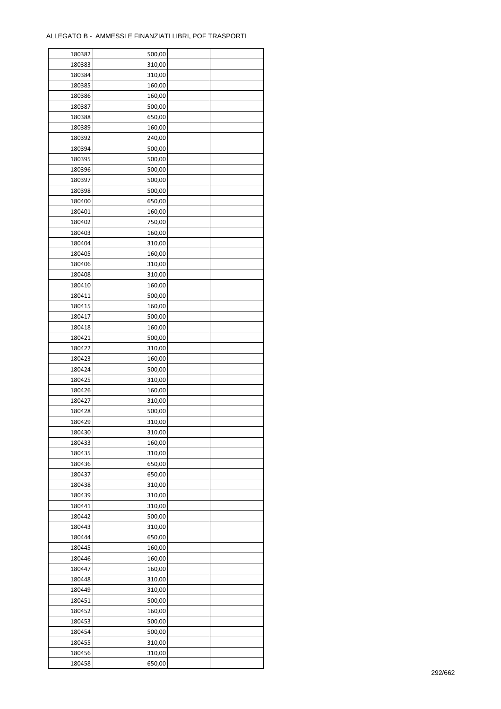| 180382 | 500,00 |  |
|--------|--------|--|
| 180383 | 310,00 |  |
| 180384 | 310,00 |  |
| 180385 | 160,00 |  |
| 180386 | 160,00 |  |
| 180387 | 500,00 |  |
| 180388 | 650,00 |  |
| 180389 | 160,00 |  |
| 180392 | 240,00 |  |
| 180394 | 500,00 |  |
| 180395 | 500,00 |  |
| 180396 | 500,00 |  |
| 180397 | 500,00 |  |
| 180398 | 500,00 |  |
|        |        |  |
| 180400 | 650,00 |  |
| 180401 | 160,00 |  |
| 180402 | 750,00 |  |
| 180403 | 160,00 |  |
| 180404 | 310,00 |  |
| 180405 | 160,00 |  |
| 180406 | 310,00 |  |
| 180408 | 310,00 |  |
| 180410 | 160,00 |  |
| 180411 | 500,00 |  |
| 180415 | 160,00 |  |
| 180417 | 500,00 |  |
| 180418 | 160,00 |  |
| 180421 | 500,00 |  |
| 180422 | 310,00 |  |
| 180423 | 160,00 |  |
| 180424 | 500,00 |  |
| 180425 | 310,00 |  |
| 180426 | 160,00 |  |
| 180427 | 310,00 |  |
| 180428 | 500,00 |  |
| 180429 | 310,00 |  |
| 180430 | 310,00 |  |
| 180433 | 160,00 |  |
|        |        |  |
| 180435 | 310,00 |  |
| 180436 | 650,00 |  |
| 180437 | 650,00 |  |
| 180438 | 310,00 |  |
| 180439 | 310,00 |  |
| 180441 | 310,00 |  |
| 180442 | 500,00 |  |
| 180443 | 310,00 |  |
| 180444 | 650,00 |  |
| 180445 | 160,00 |  |
| 180446 | 160,00 |  |
| 180447 | 160,00 |  |
| 180448 | 310,00 |  |
| 180449 | 310,00 |  |
| 180451 | 500,00 |  |
| 180452 | 160,00 |  |
| 180453 | 500,00 |  |
| 180454 | 500,00 |  |
| 180455 | 310,00 |  |
| 180456 | 310,00 |  |
| 180458 | 650,00 |  |
|        |        |  |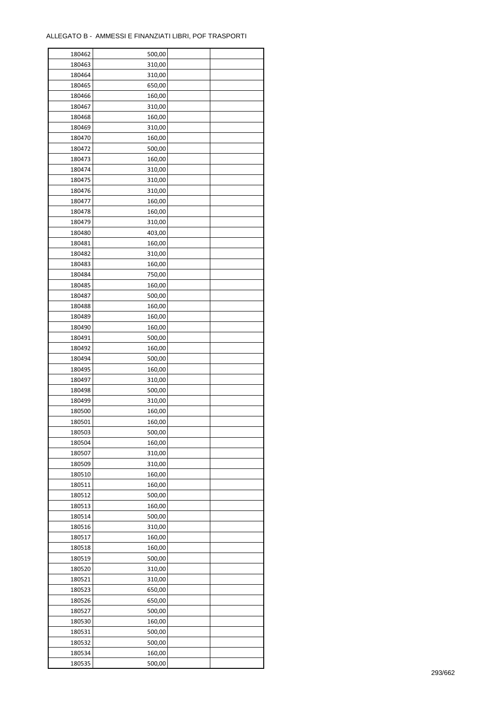| 180462 | 500,00 |  |
|--------|--------|--|
| 180463 | 310,00 |  |
| 180464 | 310,00 |  |
| 180465 | 650,00 |  |
| 180466 | 160,00 |  |
| 180467 | 310,00 |  |
| 180468 | 160,00 |  |
| 180469 | 310,00 |  |
|        |        |  |
| 180470 | 160,00 |  |
| 180472 | 500,00 |  |
| 180473 | 160,00 |  |
| 180474 | 310,00 |  |
| 180475 | 310,00 |  |
| 180476 | 310,00 |  |
| 180477 | 160,00 |  |
| 180478 | 160,00 |  |
| 180479 | 310,00 |  |
| 180480 | 403,00 |  |
| 180481 | 160,00 |  |
| 180482 | 310,00 |  |
| 180483 | 160,00 |  |
| 180484 | 750,00 |  |
| 180485 | 160,00 |  |
| 180487 | 500,00 |  |
| 180488 | 160,00 |  |
| 180489 | 160,00 |  |
| 180490 | 160,00 |  |
|        |        |  |
| 180491 | 500,00 |  |
| 180492 | 160,00 |  |
| 180494 | 500,00 |  |
| 180495 | 160,00 |  |
| 180497 | 310,00 |  |
| 180498 | 500,00 |  |
| 180499 | 310,00 |  |
| 180500 | 160,00 |  |
| 180501 | 160,00 |  |
| 180503 | 500,00 |  |
| 180504 | 160,00 |  |
| 180507 | 310,00 |  |
| 180509 | 310,00 |  |
| 180510 | 160,00 |  |
| 180511 | 160,00 |  |
| 180512 | 500,00 |  |
| 180513 | 160,00 |  |
| 180514 | 500,00 |  |
| 180516 | 310,00 |  |
| 180517 | 160,00 |  |
|        |        |  |
| 180518 | 160,00 |  |
| 180519 | 500,00 |  |
| 180520 | 310,00 |  |
| 180521 | 310,00 |  |
| 180523 | 650,00 |  |
| 180526 | 650,00 |  |
| 180527 | 500,00 |  |
| 180530 | 160,00 |  |
| 180531 | 500,00 |  |
| 180532 | 500,00 |  |
| 180534 | 160,00 |  |
| 180535 | 500,00 |  |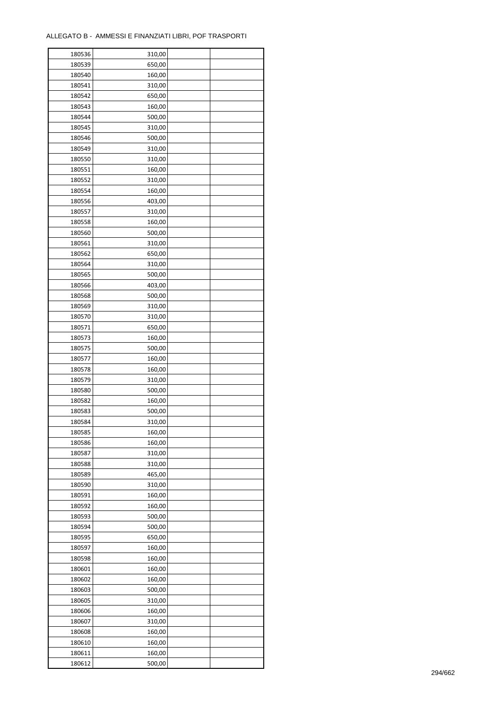÷

| 180536 | 310,00 |  |
|--------|--------|--|
| 180539 | 650,00 |  |
| 180540 | 160,00 |  |
| 180541 | 310,00 |  |
| 180542 | 650,00 |  |
| 180543 | 160,00 |  |
| 180544 | 500,00 |  |
| 180545 | 310,00 |  |
| 180546 | 500,00 |  |
|        |        |  |
| 180549 | 310,00 |  |
| 180550 | 310,00 |  |
| 180551 | 160,00 |  |
| 180552 | 310,00 |  |
| 180554 | 160,00 |  |
| 180556 | 403,00 |  |
| 180557 | 310,00 |  |
| 180558 | 160,00 |  |
| 180560 | 500,00 |  |
| 180561 | 310,00 |  |
| 180562 | 650,00 |  |
| 180564 | 310,00 |  |
| 180565 | 500,00 |  |
| 180566 | 403,00 |  |
| 180568 | 500,00 |  |
| 180569 | 310,00 |  |
| 180570 | 310,00 |  |
| 180571 | 650,00 |  |
| 180573 | 160,00 |  |
| 180575 | 500,00 |  |
| 180577 | 160,00 |  |
|        |        |  |
| 180578 | 160,00 |  |
| 180579 | 310,00 |  |
| 180580 | 500,00 |  |
| 180582 | 160,00 |  |
| 180583 | 500,00 |  |
| 180584 | 310,00 |  |
| 180585 | 160,00 |  |
| 180586 | 160,00 |  |
| 180587 | 310,00 |  |
| 180588 | 310,00 |  |
| 180589 | 465,00 |  |
| 180590 | 310,00 |  |
| 180591 | 160,00 |  |
| 180592 | 160,00 |  |
| 180593 | 500,00 |  |
| 180594 | 500,00 |  |
| 180595 | 650,00 |  |
| 180597 | 160,00 |  |
| 180598 | 160,00 |  |
| 180601 | 160,00 |  |
| 180602 | 160,00 |  |
| 180603 |        |  |
|        | 500,00 |  |
| 180605 | 310,00 |  |
| 180606 | 160,00 |  |
| 180607 | 310,00 |  |
| 180608 | 160,00 |  |
| 180610 | 160,00 |  |
| 180611 | 160,00 |  |
| 180612 | 500,00 |  |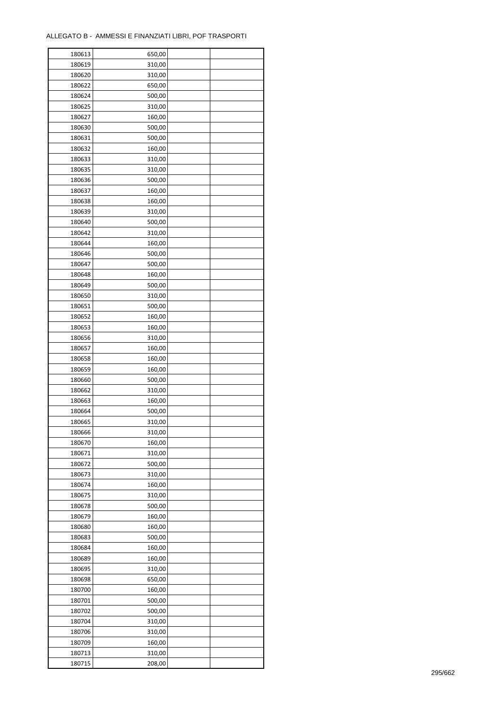| 180613 | 650,00 |  |
|--------|--------|--|
| 180619 | 310,00 |  |
| 180620 | 310,00 |  |
| 180622 | 650,00 |  |
| 180624 | 500,00 |  |
| 180625 | 310,00 |  |
| 180627 | 160,00 |  |
| 180630 | 500,00 |  |
| 180631 | 500,00 |  |
|        |        |  |
| 180632 | 160,00 |  |
| 180633 | 310,00 |  |
| 180635 | 310,00 |  |
| 180636 | 500,00 |  |
| 180637 | 160,00 |  |
| 180638 | 160,00 |  |
| 180639 | 310,00 |  |
| 180640 | 500,00 |  |
| 180642 | 310,00 |  |
| 180644 | 160,00 |  |
| 180646 | 500,00 |  |
| 180647 | 500,00 |  |
| 180648 | 160,00 |  |
| 180649 | 500,00 |  |
| 180650 | 310,00 |  |
| 180651 | 500,00 |  |
| 180652 | 160,00 |  |
| 180653 | 160,00 |  |
| 180656 | 310,00 |  |
| 180657 | 160,00 |  |
| 180658 | 160,00 |  |
| 180659 | 160,00 |  |
|        |        |  |
| 180660 | 500,00 |  |
| 180662 | 310,00 |  |
| 180663 | 160,00 |  |
| 180664 | 500,00 |  |
| 180665 | 310,00 |  |
| 180666 | 310,00 |  |
| 180670 | 160,00 |  |
| 180671 | 310,00 |  |
| 180672 | 500,00 |  |
| 180673 | 310,00 |  |
| 180674 | 160,00 |  |
| 180675 | 310,00 |  |
| 180678 | 500,00 |  |
| 180679 | 160,00 |  |
| 180680 | 160,00 |  |
| 180683 | 500,00 |  |
| 180684 | 160,00 |  |
| 180689 | 160,00 |  |
| 180695 | 310,00 |  |
| 180698 | 650,00 |  |
| 180700 | 160,00 |  |
| 180701 | 500,00 |  |
| 180702 | 500,00 |  |
|        |        |  |
| 180704 | 310,00 |  |
| 180706 | 310,00 |  |
| 180709 | 160,00 |  |
| 180713 | 310,00 |  |
| 180715 | 208,00 |  |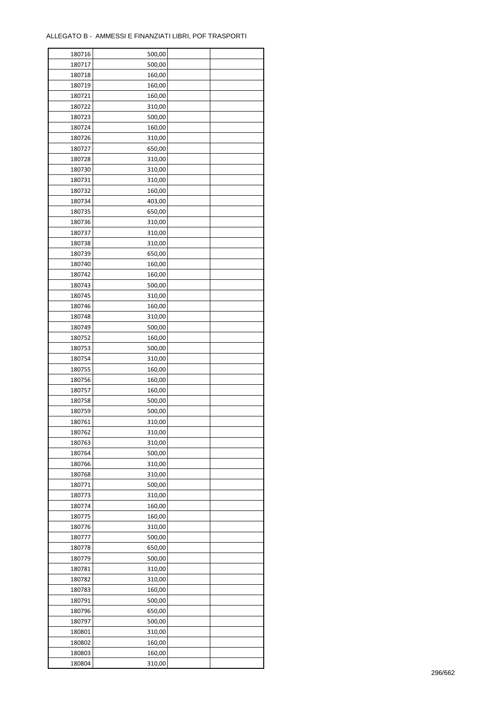| 180716 | 500,00 |  |
|--------|--------|--|
| 180717 | 500,00 |  |
| 180718 | 160,00 |  |
| 180719 | 160,00 |  |
| 180721 | 160,00 |  |
| 180722 | 310,00 |  |
| 180723 | 500,00 |  |
| 180724 | 160,00 |  |
| 180726 | 310,00 |  |
| 180727 | 650,00 |  |
| 180728 | 310,00 |  |
| 180730 | 310,00 |  |
|        |        |  |
| 180731 | 310,00 |  |
| 180732 | 160,00 |  |
| 180734 | 403,00 |  |
| 180735 | 650,00 |  |
| 180736 | 310,00 |  |
| 180737 | 310,00 |  |
| 180738 | 310,00 |  |
| 180739 | 650,00 |  |
| 180740 | 160,00 |  |
| 180742 | 160,00 |  |
| 180743 | 500,00 |  |
| 180745 | 310,00 |  |
| 180746 | 160,00 |  |
| 180748 | 310,00 |  |
| 180749 | 500,00 |  |
| 180752 | 160,00 |  |
| 180753 | 500,00 |  |
| 180754 | 310,00 |  |
| 180755 | 160,00 |  |
| 180756 | 160,00 |  |
| 180757 | 160,00 |  |
| 180758 | 500,00 |  |
| 180759 | 500,00 |  |
| 180761 | 310,00 |  |
| 180762 | 310,00 |  |
| 180763 | 310,00 |  |
| 180764 | 500,00 |  |
|        |        |  |
| 180766 | 310,00 |  |
| 180768 | 310,00 |  |
| 180771 | 500,00 |  |
| 180773 | 310,00 |  |
| 180774 | 160,00 |  |
| 180775 | 160,00 |  |
| 180776 | 310,00 |  |
| 180777 | 500,00 |  |
| 180778 | 650,00 |  |
| 180779 | 500,00 |  |
| 180781 | 310,00 |  |
| 180782 | 310,00 |  |
| 180783 | 160,00 |  |
| 180791 | 500,00 |  |
| 180796 | 650,00 |  |
| 180797 | 500,00 |  |
| 180801 | 310,00 |  |
| 180802 | 160,00 |  |
| 180803 | 160,00 |  |
| 180804 | 310,00 |  |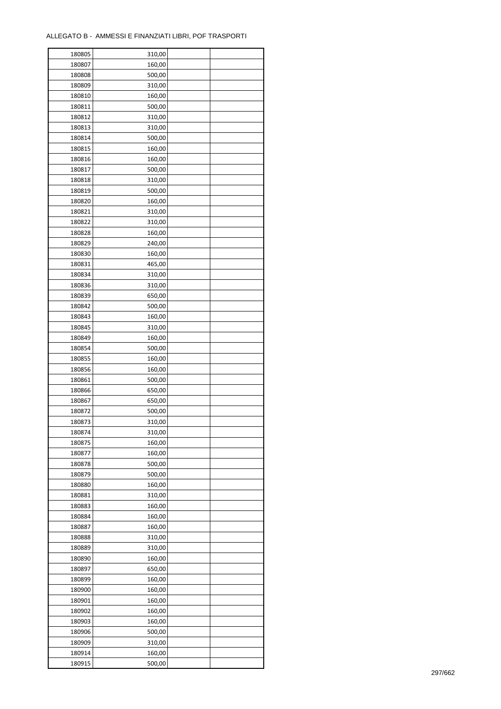| 180805 | 310,00 |  |
|--------|--------|--|
| 180807 | 160,00 |  |
| 180808 | 500,00 |  |
| 180809 | 310,00 |  |
| 180810 | 160,00 |  |
| 180811 | 500,00 |  |
| 180812 | 310,00 |  |
| 180813 | 310,00 |  |
| 180814 | 500,00 |  |
| 180815 | 160,00 |  |
| 180816 | 160,00 |  |
| 180817 | 500,00 |  |
| 180818 | 310,00 |  |
| 180819 | 500,00 |  |
|        |        |  |
| 180820 | 160,00 |  |
| 180821 | 310,00 |  |
| 180822 | 310,00 |  |
| 180828 | 160,00 |  |
| 180829 | 240,00 |  |
| 180830 | 160,00 |  |
| 180831 | 465,00 |  |
| 180834 | 310,00 |  |
| 180836 | 310,00 |  |
| 180839 | 650,00 |  |
| 180842 | 500,00 |  |
| 180843 | 160,00 |  |
| 180845 | 310,00 |  |
| 180849 | 160,00 |  |
| 180854 | 500,00 |  |
| 180855 | 160,00 |  |
| 180856 | 160,00 |  |
| 180861 | 500,00 |  |
| 180866 | 650,00 |  |
| 180867 | 650,00 |  |
| 180872 | 500,00 |  |
| 180873 | 310,00 |  |
| 180874 | 310,00 |  |
| 180875 | 160,00 |  |
| 180877 | 160,00 |  |
|        |        |  |
| 180878 | 500,00 |  |
| 180879 | 500,00 |  |
| 180880 | 160,00 |  |
| 180881 | 310,00 |  |
| 180883 | 160,00 |  |
| 180884 | 160,00 |  |
| 180887 | 160,00 |  |
| 180888 | 310,00 |  |
| 180889 | 310,00 |  |
| 180890 | 160,00 |  |
| 180897 | 650,00 |  |
| 180899 | 160,00 |  |
| 180900 | 160,00 |  |
| 180901 | 160,00 |  |
| 180902 | 160,00 |  |
| 180903 | 160,00 |  |
| 180906 | 500,00 |  |
| 180909 | 310,00 |  |
| 180914 | 160,00 |  |
| 180915 | 500,00 |  |
|        |        |  |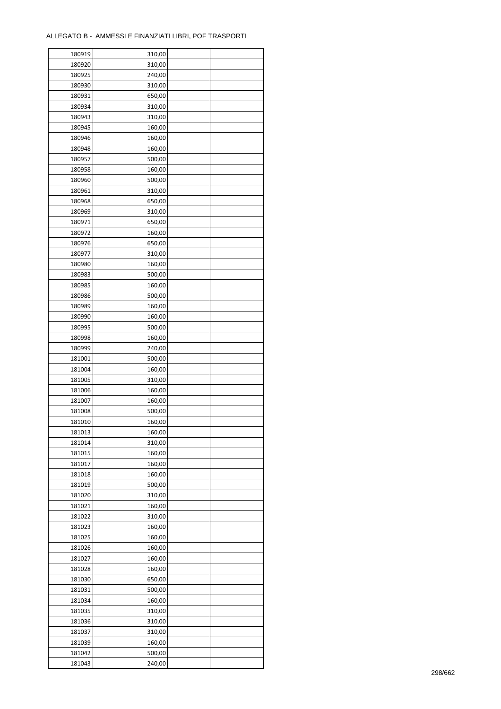| 180919 | 310,00 |  |
|--------|--------|--|
| 180920 | 310,00 |  |
| 180925 | 240,00 |  |
| 180930 | 310,00 |  |
| 180931 | 650,00 |  |
| 180934 | 310,00 |  |
| 180943 | 310,00 |  |
| 180945 | 160,00 |  |
| 180946 | 160,00 |  |
| 180948 | 160,00 |  |
| 180957 | 500,00 |  |
| 180958 | 160,00 |  |
| 180960 | 500,00 |  |
| 180961 | 310,00 |  |
| 180968 |        |  |
|        | 650,00 |  |
| 180969 | 310,00 |  |
| 180971 | 650,00 |  |
| 180972 | 160,00 |  |
| 180976 | 650,00 |  |
| 180977 | 310,00 |  |
| 180980 | 160,00 |  |
| 180983 | 500,00 |  |
| 180985 | 160,00 |  |
| 180986 | 500,00 |  |
| 180989 | 160,00 |  |
| 180990 | 160,00 |  |
| 180995 | 500,00 |  |
| 180998 | 160,00 |  |
| 180999 | 240,00 |  |
| 181001 | 500,00 |  |
| 181004 | 160,00 |  |
| 181005 | 310,00 |  |
| 181006 | 160,00 |  |
| 181007 | 160,00 |  |
| 181008 | 500,00 |  |
| 181010 | 160,00 |  |
| 181013 | 160,00 |  |
| 181014 | 310,00 |  |
| 181015 | 160,00 |  |
| 181017 | 160,00 |  |
| 181018 | 160,00 |  |
| 181019 | 500,00 |  |
| 181020 | 310,00 |  |
|        |        |  |
| 181021 | 160,00 |  |
| 181022 | 310,00 |  |
| 181023 | 160,00 |  |
| 181025 | 160,00 |  |
| 181026 | 160,00 |  |
| 181027 | 160,00 |  |
| 181028 | 160,00 |  |
| 181030 | 650,00 |  |
| 181031 | 500,00 |  |
| 181034 | 160,00 |  |
| 181035 | 310,00 |  |
| 181036 | 310,00 |  |
| 181037 | 310,00 |  |
| 181039 | 160,00 |  |
| 181042 | 500,00 |  |
| 181043 | 240,00 |  |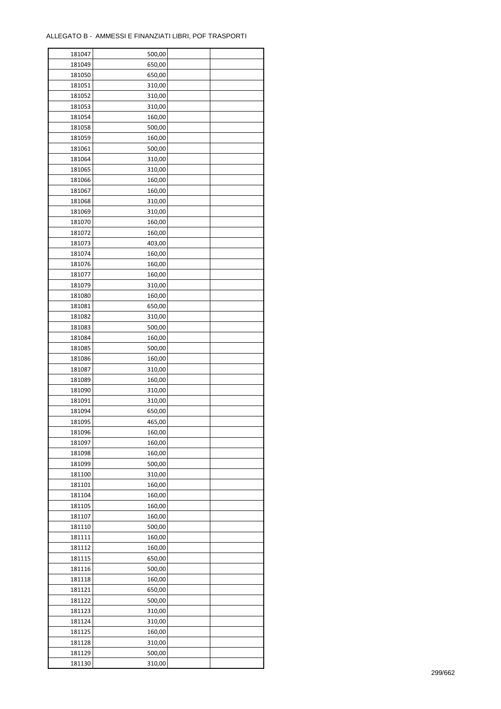| 181047 | 500,00 |  |
|--------|--------|--|
| 181049 | 650,00 |  |
| 181050 | 650,00 |  |
| 181051 | 310,00 |  |
| 181052 | 310,00 |  |
| 181053 | 310,00 |  |
| 181054 | 160,00 |  |
| 181058 | 500,00 |  |
| 181059 | 160,00 |  |
| 181061 | 500,00 |  |
| 181064 | 310,00 |  |
| 181065 | 310,00 |  |
|        |        |  |
| 181066 | 160,00 |  |
| 181067 | 160,00 |  |
| 181068 | 310,00 |  |
| 181069 | 310,00 |  |
| 181070 | 160,00 |  |
| 181072 | 160,00 |  |
| 181073 | 403,00 |  |
| 181074 | 160,00 |  |
| 181076 | 160,00 |  |
| 181077 | 160,00 |  |
| 181079 | 310,00 |  |
| 181080 | 160,00 |  |
| 181081 | 650,00 |  |
| 181082 | 310,00 |  |
| 181083 | 500,00 |  |
| 181084 | 160,00 |  |
| 181085 | 500,00 |  |
| 181086 | 160,00 |  |
| 181087 | 310,00 |  |
| 181089 | 160,00 |  |
| 181090 | 310,00 |  |
| 181091 | 310,00 |  |
| 181094 | 650,00 |  |
| 181095 | 465,00 |  |
|        |        |  |
| 181096 | 160,00 |  |
| 181097 | 160,00 |  |
| 181098 | 160,00 |  |
| 181099 | 500,00 |  |
| 181100 | 310,00 |  |
| 181101 | 160,00 |  |
| 181104 | 160,00 |  |
| 181105 | 160,00 |  |
| 181107 | 160,00 |  |
| 181110 | 500,00 |  |
| 181111 | 160,00 |  |
| 181112 | 160,00 |  |
| 181115 | 650,00 |  |
| 181116 | 500,00 |  |
| 181118 | 160,00 |  |
| 181121 | 650,00 |  |
| 181122 | 500,00 |  |
| 181123 | 310,00 |  |
| 181124 | 310,00 |  |
| 181125 | 160,00 |  |
| 181128 | 310,00 |  |
| 181129 | 500,00 |  |
|        |        |  |
| 181130 | 310,00 |  |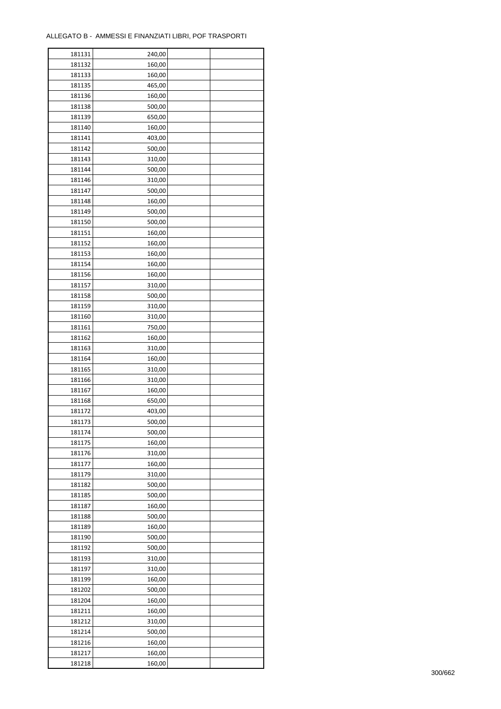| 181131 | 240,00 |  |
|--------|--------|--|
| 181132 | 160,00 |  |
| 181133 | 160,00 |  |
| 181135 | 465,00 |  |
| 181136 | 160,00 |  |
| 181138 | 500,00 |  |
| 181139 | 650,00 |  |
| 181140 | 160,00 |  |
| 181141 | 403,00 |  |
| 181142 | 500,00 |  |
| 181143 | 310,00 |  |
| 181144 | 500,00 |  |
|        |        |  |
| 181146 | 310,00 |  |
| 181147 | 500,00 |  |
| 181148 | 160,00 |  |
| 181149 | 500,00 |  |
| 181150 | 500,00 |  |
| 181151 | 160,00 |  |
| 181152 | 160,00 |  |
| 181153 | 160,00 |  |
| 181154 | 160,00 |  |
| 181156 | 160,00 |  |
| 181157 | 310,00 |  |
| 181158 | 500,00 |  |
| 181159 | 310,00 |  |
| 181160 | 310,00 |  |
| 181161 | 750,00 |  |
| 181162 | 160,00 |  |
| 181163 | 310,00 |  |
| 181164 | 160,00 |  |
| 181165 | 310,00 |  |
| 181166 | 310,00 |  |
| 181167 | 160,00 |  |
| 181168 | 650,00 |  |
| 181172 | 403,00 |  |
| 181173 | 500,00 |  |
| 181174 | 500,00 |  |
| 181175 | 160,00 |  |
|        | 310,00 |  |
| 181176 |        |  |
| 181177 | 160,00 |  |
| 181179 | 310,00 |  |
| 181182 | 500,00 |  |
| 181185 | 500,00 |  |
| 181187 | 160,00 |  |
| 181188 | 500,00 |  |
| 181189 | 160,00 |  |
| 181190 | 500,00 |  |
| 181192 | 500,00 |  |
| 181193 | 310,00 |  |
| 181197 | 310,00 |  |
| 181199 | 160,00 |  |
| 181202 | 500,00 |  |
| 181204 | 160,00 |  |
| 181211 | 160,00 |  |
| 181212 | 310,00 |  |
| 181214 | 500,00 |  |
| 181216 | 160,00 |  |
| 181217 | 160,00 |  |
| 181218 | 160,00 |  |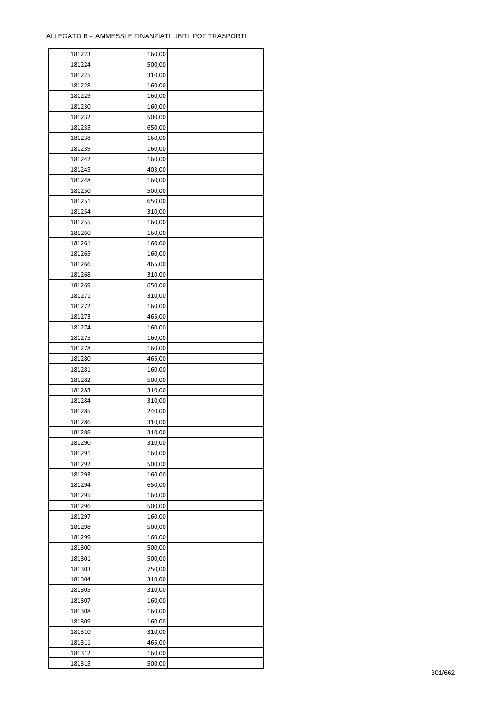| 181223 | 160,00 |  |
|--------|--------|--|
| 181224 | 500,00 |  |
| 181225 | 310,00 |  |
| 181228 | 160,00 |  |
| 181229 | 160,00 |  |
| 181230 | 160,00 |  |
| 181232 | 500,00 |  |
| 181235 | 650,00 |  |
| 181238 | 160,00 |  |
| 181239 |        |  |
|        | 160,00 |  |
| 181242 | 160,00 |  |
| 181245 | 403,00 |  |
| 181248 | 160,00 |  |
| 181250 | 500,00 |  |
| 181251 | 650,00 |  |
| 181254 | 310,00 |  |
| 181255 | 160,00 |  |
| 181260 | 160,00 |  |
| 181261 | 160,00 |  |
| 181265 | 160,00 |  |
| 181266 | 465,00 |  |
| 181268 | 310,00 |  |
| 181269 | 650,00 |  |
| 181271 | 310,00 |  |
| 181272 | 160,00 |  |
| 181273 | 465,00 |  |
| 181274 | 160,00 |  |
| 181275 |        |  |
|        | 160,00 |  |
| 181278 | 160,00 |  |
| 181280 | 465,00 |  |
| 181281 | 160,00 |  |
| 181282 | 500,00 |  |
| 181283 | 310,00 |  |
| 181284 | 310,00 |  |
| 181285 | 240,00 |  |
| 181286 | 310,00 |  |
| 181288 | 310,00 |  |
| 181290 | 310,00 |  |
| 181291 | 160,00 |  |
| 181292 | 500,00 |  |
| 181293 | 160,00 |  |
| 181294 | 650,00 |  |
| 181295 | 160,00 |  |
| 181296 | 500,00 |  |
| 181297 | 160,00 |  |
| 181298 | 500,00 |  |
| 181299 | 160,00 |  |
|        |        |  |
| 181300 | 500,00 |  |
| 181301 | 500,00 |  |
| 181303 | 750,00 |  |
| 181304 | 310,00 |  |
| 181305 | 310,00 |  |
| 181307 | 160,00 |  |
| 181308 | 160,00 |  |
| 181309 | 160,00 |  |
| 181310 | 310,00 |  |
| 181311 | 465,00 |  |
| 181312 | 160,00 |  |
| 181315 | 500,00 |  |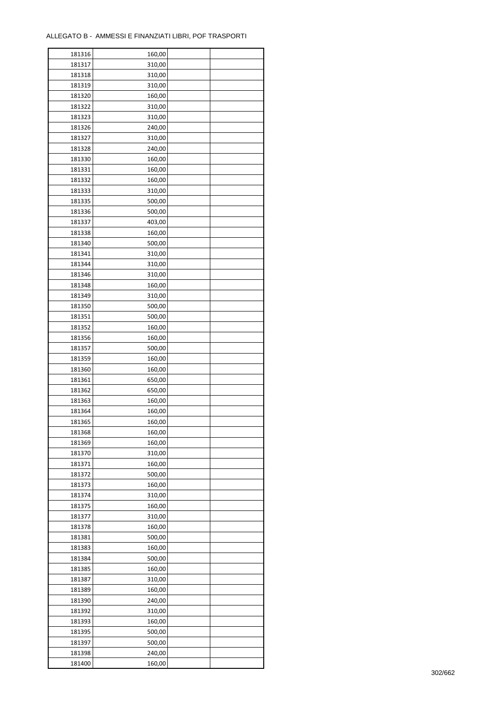ř

| 181316 | 160,00 |  |
|--------|--------|--|
| 181317 | 310,00 |  |
| 181318 | 310,00 |  |
| 181319 | 310,00 |  |
| 181320 | 160,00 |  |
| 181322 | 310,00 |  |
| 181323 | 310,00 |  |
| 181326 | 240,00 |  |
| 181327 | 310,00 |  |
| 181328 | 240,00 |  |
| 181330 | 160,00 |  |
| 181331 | 160,00 |  |
| 181332 |        |  |
|        | 160,00 |  |
| 181333 | 310,00 |  |
| 181335 | 500,00 |  |
| 181336 | 500,00 |  |
| 181337 | 403,00 |  |
| 181338 | 160,00 |  |
| 181340 | 500,00 |  |
| 181341 | 310,00 |  |
| 181344 | 310,00 |  |
| 181346 | 310,00 |  |
| 181348 | 160,00 |  |
| 181349 | 310,00 |  |
| 181350 | 500,00 |  |
| 181351 | 500,00 |  |
| 181352 | 160,00 |  |
| 181356 | 160,00 |  |
| 181357 | 500,00 |  |
| 181359 | 160,00 |  |
| 181360 | 160,00 |  |
| 181361 | 650,00 |  |
| 181362 | 650,00 |  |
| 181363 | 160,00 |  |
| 181364 | 160,00 |  |
| 181365 | 160,00 |  |
| 181368 | 160,00 |  |
| 181369 | 160,00 |  |
|        |        |  |
| 181370 | 310,00 |  |
| 181371 | 160,00 |  |
| 181372 | 500,00 |  |
| 181373 | 160,00 |  |
| 181374 | 310,00 |  |
| 181375 | 160,00 |  |
| 181377 | 310,00 |  |
| 181378 | 160,00 |  |
| 181381 | 500,00 |  |
| 181383 | 160,00 |  |
| 181384 | 500,00 |  |
| 181385 | 160,00 |  |
| 181387 | 310,00 |  |
| 181389 | 160,00 |  |
| 181390 | 240,00 |  |
| 181392 | 310,00 |  |
| 181393 | 160,00 |  |
| 181395 | 500,00 |  |
| 181397 | 500,00 |  |
| 181398 | 240,00 |  |
| 181400 | 160,00 |  |
|        |        |  |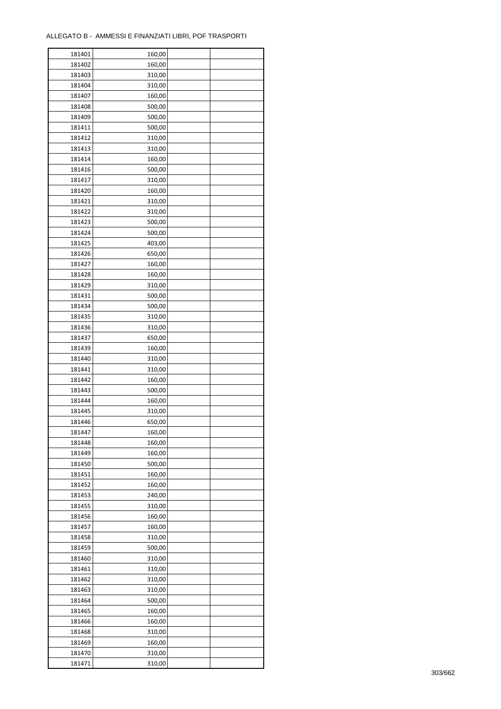$\mathbf{r}$ 

| 181401 | 160,00 |  |
|--------|--------|--|
| 181402 | 160,00 |  |
| 181403 | 310,00 |  |
| 181404 | 310,00 |  |
| 181407 | 160,00 |  |
| 181408 | 500,00 |  |
| 181409 | 500,00 |  |
| 181411 | 500,00 |  |
| 181412 | 310,00 |  |
| 181413 | 310,00 |  |
| 181414 |        |  |
|        | 160,00 |  |
| 181416 | 500,00 |  |
| 181417 | 310,00 |  |
| 181420 | 160,00 |  |
| 181421 | 310,00 |  |
| 181422 | 310,00 |  |
| 181423 | 500,00 |  |
| 181424 | 500,00 |  |
| 181425 | 403,00 |  |
| 181426 | 650,00 |  |
| 181427 | 160,00 |  |
| 181428 | 160,00 |  |
| 181429 | 310,00 |  |
| 181431 | 500,00 |  |
| 181434 | 500,00 |  |
| 181435 | 310,00 |  |
| 181436 | 310,00 |  |
| 181437 | 650,00 |  |
| 181439 | 160,00 |  |
| 181440 | 310,00 |  |
| 181441 | 310,00 |  |
| 181442 | 160,00 |  |
| 181443 | 500,00 |  |
| 181444 | 160,00 |  |
| 181445 | 310,00 |  |
|        |        |  |
| 181446 | 650,00 |  |
| 181447 | 160,00 |  |
| 181448 | 160,00 |  |
| 181449 | 160,00 |  |
| 181450 | 500,00 |  |
| 181451 | 160,00 |  |
| 181452 | 160,00 |  |
| 181453 | 240,00 |  |
| 181455 | 310,00 |  |
| 181456 | 160,00 |  |
| 181457 | 160,00 |  |
| 181458 | 310,00 |  |
| 181459 | 500,00 |  |
| 181460 | 310,00 |  |
| 181461 | 310,00 |  |
| 181462 | 310,00 |  |
| 181463 | 310,00 |  |
| 181464 | 500,00 |  |
| 181465 | 160,00 |  |
| 181466 | 160,00 |  |
| 181468 | 310,00 |  |
| 181469 | 160,00 |  |
| 181470 | 310,00 |  |
|        |        |  |
| 181471 | 310,00 |  |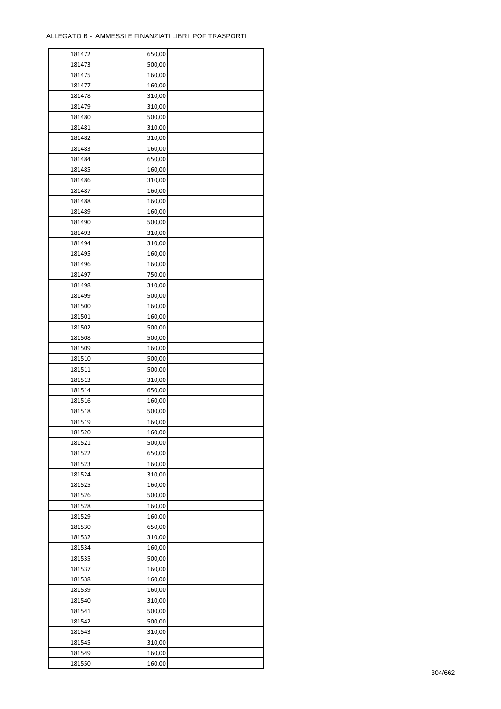| 181472 | 650,00 |  |
|--------|--------|--|
| 181473 | 500,00 |  |
| 181475 | 160,00 |  |
| 181477 | 160,00 |  |
| 181478 | 310,00 |  |
| 181479 | 310,00 |  |
| 181480 | 500,00 |  |
| 181481 | 310,00 |  |
| 181482 | 310,00 |  |
| 181483 | 160,00 |  |
| 181484 | 650,00 |  |
| 181485 | 160,00 |  |
| 181486 | 310,00 |  |
|        |        |  |
| 181487 | 160,00 |  |
| 181488 | 160,00 |  |
| 181489 | 160,00 |  |
| 181490 | 500,00 |  |
| 181493 | 310,00 |  |
| 181494 | 310,00 |  |
| 181495 | 160,00 |  |
| 181496 | 160,00 |  |
| 181497 | 750,00 |  |
| 181498 | 310,00 |  |
| 181499 | 500,00 |  |
| 181500 | 160,00 |  |
| 181501 | 160,00 |  |
| 181502 | 500,00 |  |
| 181508 | 500,00 |  |
| 181509 | 160,00 |  |
| 181510 | 500,00 |  |
| 181511 | 500,00 |  |
| 181513 | 310,00 |  |
| 181514 | 650,00 |  |
| 181516 | 160,00 |  |
| 181518 | 500,00 |  |
| 181519 | 160,00 |  |
| 181520 | 160,00 |  |
| 181521 | 500,00 |  |
| 181522 | 650,00 |  |
|        |        |  |
| 181523 | 160,00 |  |
| 181524 | 310,00 |  |
| 181525 | 160,00 |  |
| 181526 | 500,00 |  |
| 181528 | 160,00 |  |
| 181529 | 160,00 |  |
| 181530 | 650,00 |  |
| 181532 | 310,00 |  |
| 181534 | 160,00 |  |
| 181535 | 500,00 |  |
| 181537 | 160,00 |  |
| 181538 | 160,00 |  |
| 181539 | 160,00 |  |
| 181540 | 310,00 |  |
| 181541 | 500,00 |  |
| 181542 | 500,00 |  |
| 181543 | 310,00 |  |
| 181545 | 310,00 |  |
| 181549 | 160,00 |  |
| 181550 | 160,00 |  |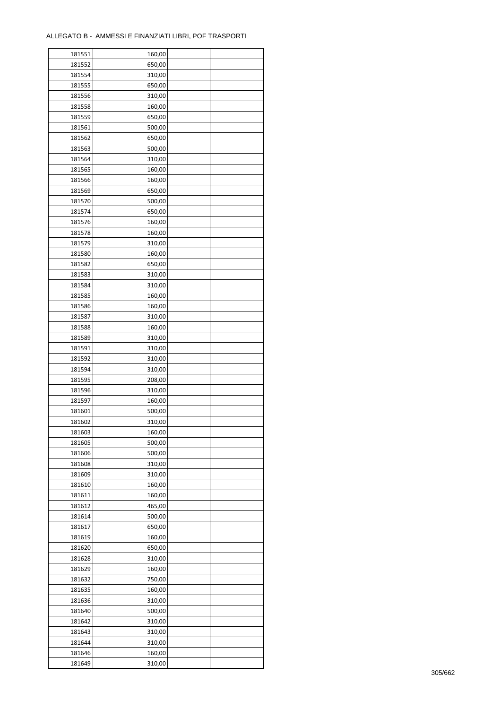| 181551 | 160,00 |  |
|--------|--------|--|
| 181552 | 650,00 |  |
| 181554 | 310,00 |  |
| 181555 | 650,00 |  |
| 181556 | 310,00 |  |
| 181558 | 160,00 |  |
| 181559 | 650,00 |  |
| 181561 | 500,00 |  |
| 181562 | 650,00 |  |
| 181563 | 500,00 |  |
| 181564 | 310,00 |  |
| 181565 |        |  |
|        | 160,00 |  |
| 181566 | 160,00 |  |
| 181569 | 650,00 |  |
| 181570 | 500,00 |  |
| 181574 | 650,00 |  |
| 181576 | 160,00 |  |
| 181578 | 160,00 |  |
| 181579 | 310,00 |  |
| 181580 | 160,00 |  |
| 181582 | 650,00 |  |
| 181583 | 310,00 |  |
| 181584 | 310,00 |  |
| 181585 | 160,00 |  |
| 181586 | 160,00 |  |
| 181587 | 310,00 |  |
| 181588 | 160,00 |  |
| 181589 | 310,00 |  |
| 181591 | 310,00 |  |
| 181592 | 310,00 |  |
| 181594 | 310,00 |  |
| 181595 | 208,00 |  |
| 181596 | 310,00 |  |
| 181597 | 160,00 |  |
| 181601 | 500,00 |  |
| 181602 | 310,00 |  |
| 181603 | 160,00 |  |
| 181605 | 500,00 |  |
| 181606 | 500,00 |  |
| 181608 | 310,00 |  |
|        |        |  |
| 181609 | 310,00 |  |
| 181610 | 160,00 |  |
| 181611 | 160,00 |  |
| 181612 | 465,00 |  |
| 181614 | 500,00 |  |
| 181617 | 650,00 |  |
| 181619 | 160,00 |  |
| 181620 | 650,00 |  |
| 181628 | 310,00 |  |
| 181629 | 160,00 |  |
| 181632 | 750,00 |  |
| 181635 | 160,00 |  |
| 181636 | 310,00 |  |
| 181640 | 500,00 |  |
| 181642 | 310,00 |  |
| 181643 | 310,00 |  |
| 181644 | 310,00 |  |
| 181646 | 160,00 |  |
| 181649 | 310,00 |  |
|        |        |  |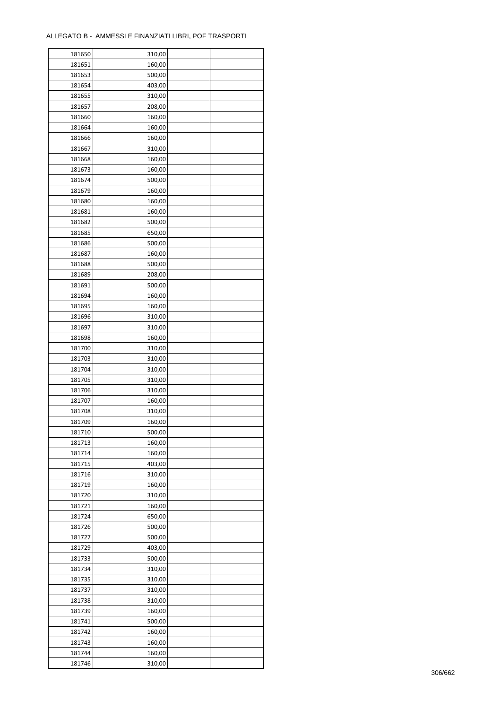| 181650 | 310,00 |  |
|--------|--------|--|
| 181651 | 160,00 |  |
| 181653 | 500,00 |  |
| 181654 | 403,00 |  |
| 181655 | 310,00 |  |
| 181657 | 208,00 |  |
| 181660 | 160,00 |  |
| 181664 | 160,00 |  |
| 181666 | 160,00 |  |
| 181667 | 310,00 |  |
| 181668 | 160,00 |  |
| 181673 | 160,00 |  |
|        |        |  |
| 181674 | 500,00 |  |
| 181679 | 160,00 |  |
| 181680 | 160,00 |  |
| 181681 | 160,00 |  |
| 181682 | 500,00 |  |
| 181685 | 650,00 |  |
| 181686 | 500,00 |  |
| 181687 | 160,00 |  |
| 181688 | 500,00 |  |
| 181689 | 208,00 |  |
| 181691 | 500,00 |  |
| 181694 | 160,00 |  |
| 181695 | 160,00 |  |
| 181696 | 310,00 |  |
| 181697 | 310,00 |  |
| 181698 | 160,00 |  |
| 181700 | 310,00 |  |
| 181703 | 310,00 |  |
| 181704 | 310,00 |  |
| 181705 | 310,00 |  |
| 181706 | 310,00 |  |
| 181707 | 160,00 |  |
| 181708 |        |  |
| 181709 | 310,00 |  |
|        | 160,00 |  |
| 181710 | 500,00 |  |
| 181713 | 160,00 |  |
| 181714 | 160,00 |  |
| 181715 | 403,00 |  |
| 181716 | 310,00 |  |
| 181719 | 160,00 |  |
| 181720 | 310,00 |  |
| 181721 | 160,00 |  |
| 181724 | 650,00 |  |
| 181726 | 500,00 |  |
| 181727 | 500,00 |  |
| 181729 | 403,00 |  |
| 181733 | 500,00 |  |
| 181734 | 310,00 |  |
| 181735 | 310,00 |  |
| 181737 | 310,00 |  |
| 181738 | 310,00 |  |
| 181739 | 160,00 |  |
| 181741 | 500,00 |  |
| 181742 | 160,00 |  |
| 181743 | 160,00 |  |
| 181744 | 160,00 |  |
|        |        |  |
| 181746 | 310,00 |  |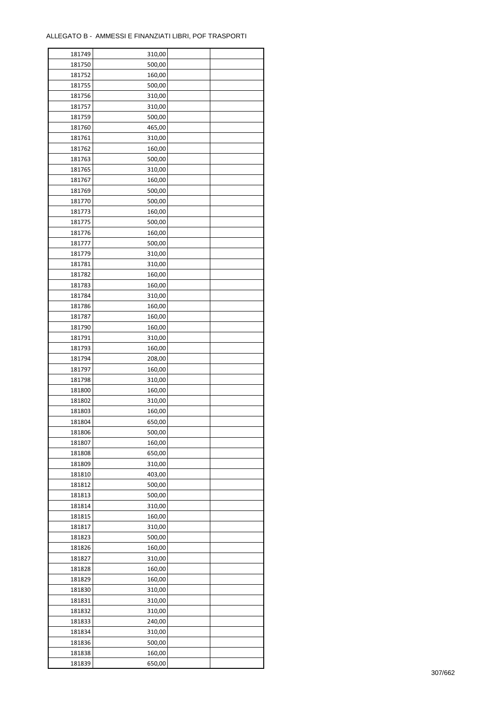| 181749 | 310,00 |  |
|--------|--------|--|
| 181750 | 500,00 |  |
| 181752 | 160,00 |  |
| 181755 | 500,00 |  |
| 181756 | 310,00 |  |
| 181757 | 310,00 |  |
| 181759 | 500,00 |  |
| 181760 | 465,00 |  |
| 181761 | 310,00 |  |
| 181762 | 160,00 |  |
| 181763 | 500,00 |  |
| 181765 |        |  |
|        | 310,00 |  |
| 181767 | 160,00 |  |
| 181769 | 500,00 |  |
| 181770 | 500,00 |  |
| 181773 | 160,00 |  |
| 181775 | 500,00 |  |
| 181776 | 160,00 |  |
| 181777 | 500,00 |  |
| 181779 | 310,00 |  |
| 181781 | 310,00 |  |
| 181782 | 160,00 |  |
| 181783 | 160,00 |  |
| 181784 | 310,00 |  |
| 181786 | 160,00 |  |
| 181787 | 160,00 |  |
| 181790 | 160,00 |  |
| 181791 | 310,00 |  |
| 181793 | 160,00 |  |
| 181794 | 208,00 |  |
| 181797 | 160,00 |  |
|        |        |  |
| 181798 | 310,00 |  |
| 181800 | 160,00 |  |
| 181802 | 310,00 |  |
| 181803 | 160,00 |  |
| 181804 | 650,00 |  |
| 181806 | 500,00 |  |
| 181807 | 160,00 |  |
| 181808 | 650,00 |  |
| 181809 | 310,00 |  |
| 181810 | 403,00 |  |
| 181812 | 500,00 |  |
| 181813 | 500,00 |  |
| 181814 | 310,00 |  |
| 181815 | 160,00 |  |
| 181817 | 310,00 |  |
| 181823 | 500,00 |  |
| 181826 | 160,00 |  |
| 181827 | 310,00 |  |
| 181828 | 160,00 |  |
| 181829 | 160,00 |  |
| 181830 | 310,00 |  |
| 181831 | 310,00 |  |
|        |        |  |
| 181832 | 310,00 |  |
| 181833 | 240,00 |  |
| 181834 | 310,00 |  |
| 181836 | 500,00 |  |
| 181838 | 160,00 |  |
| 181839 | 650,00 |  |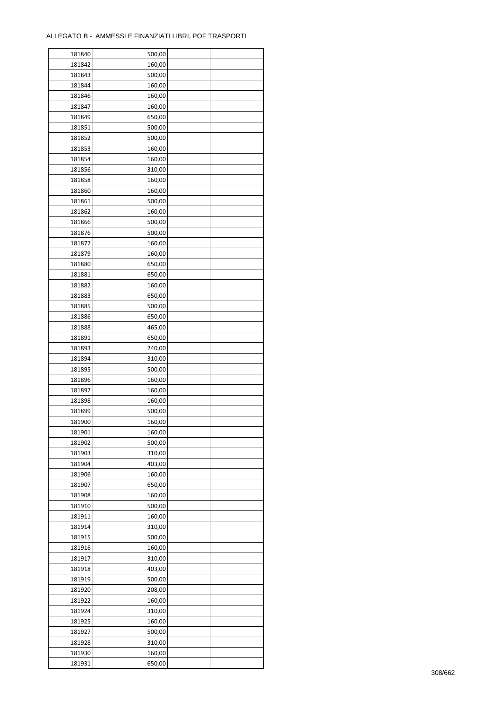ř

| 181840           | 500,00           |  |
|------------------|------------------|--|
| 181842           | 160,00           |  |
| 181843           | 500,00           |  |
| 181844           | 160,00           |  |
| 181846           | 160,00           |  |
| 181847           | 160,00           |  |
| 181849           | 650,00           |  |
| 181851           | 500,00           |  |
| 181852           | 500,00           |  |
| 181853           | 160,00           |  |
| 181854           | 160,00           |  |
| 181856           |                  |  |
|                  | 310,00           |  |
| 181858           | 160,00           |  |
| 181860           | 160,00           |  |
| 181861           | 500,00           |  |
| 181862           | 160,00           |  |
| 181866           | 500,00           |  |
| 181876           | 500,00           |  |
| 181877           | 160,00           |  |
| 181879           | 160,00           |  |
| 181880           | 650,00           |  |
| 181881           | 650,00           |  |
| 181882           | 160,00           |  |
| 181883           | 650,00           |  |
| 181885           | 500,00           |  |
| 181886           | 650,00           |  |
| 181888           | 465,00           |  |
| 181891           | 650,00           |  |
| 181893           | 240,00           |  |
| 181894           | 310,00           |  |
| 181895           | 500,00           |  |
| 181896           | 160,00           |  |
| 181897           | 160,00           |  |
| 181898           | 160,00           |  |
| 181899           | 500,00           |  |
| 181900           | 160,00           |  |
|                  |                  |  |
| 181901<br>181902 | 160,00<br>500,00 |  |
|                  |                  |  |
| 181903           | 310,00           |  |
| 181904           | 403,00           |  |
| 181906           | 160,00           |  |
| 181907           | 650,00           |  |
| 181908           | 160,00           |  |
| 181910           | 500,00           |  |
| 181911           | 160,00           |  |
| 181914           | 310,00           |  |
| 181915           | 500,00           |  |
| 181916           | 160,00           |  |
| 181917           | 310,00           |  |
| 181918           | 403,00           |  |
| 181919           | 500,00           |  |
| 181920           | 208,00           |  |
| 181922           | 160,00           |  |
| 181924           | 310,00           |  |
| 181925           | 160,00           |  |
| 181927           | 500,00           |  |
| 181928           | 310,00           |  |
| 181930           | 160,00           |  |
| 181931           | 650,00           |  |
|                  |                  |  |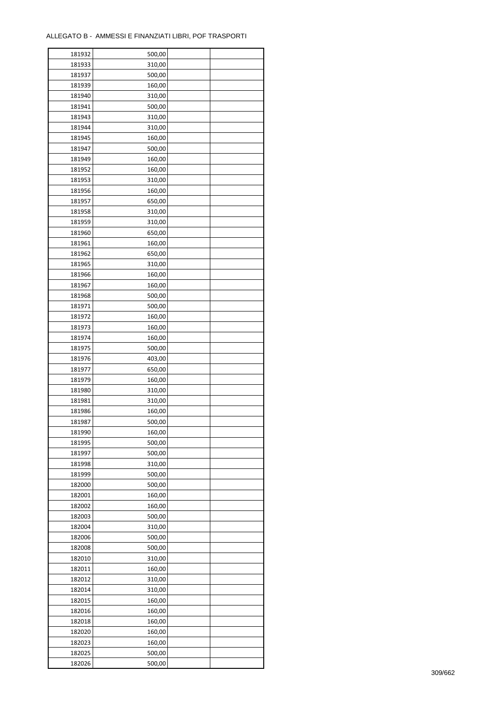ř

| 181932           | 500,00 |  |
|------------------|--------|--|
| 181933           | 310,00 |  |
| 181937           | 500,00 |  |
| 181939           | 160,00 |  |
| 181940           | 310,00 |  |
| 181941           | 500,00 |  |
| 181943           | 310,00 |  |
| 181944           | 310,00 |  |
| 181945           | 160,00 |  |
| 181947           | 500,00 |  |
|                  |        |  |
| 181949<br>181952 | 160,00 |  |
|                  | 160,00 |  |
| 181953           | 310,00 |  |
| 181956           | 160,00 |  |
| 181957           | 650,00 |  |
| 181958           | 310,00 |  |
| 181959           | 310,00 |  |
| 181960           | 650,00 |  |
| 181961           | 160,00 |  |
| 181962           | 650,00 |  |
| 181965           | 310,00 |  |
| 181966           | 160,00 |  |
| 181967           | 160,00 |  |
| 181968           | 500,00 |  |
| 181971           | 500,00 |  |
| 181972           | 160,00 |  |
| 181973           | 160,00 |  |
| 181974           | 160,00 |  |
| 181975           | 500,00 |  |
| 181976           | 403,00 |  |
| 181977           | 650,00 |  |
|                  |        |  |
| 181979           | 160,00 |  |
| 181980           | 310,00 |  |
| 181981           | 310,00 |  |
| 181986           | 160,00 |  |
| 181987           | 500,00 |  |
| 181990           | 160,00 |  |
| 181995           | 500,00 |  |
| 181997           | 500,00 |  |
| 181998           | 310,00 |  |
| 181999           | 500,00 |  |
| 182000           | 500,00 |  |
| 182001           | 160,00 |  |
| 182002           | 160,00 |  |
| 182003           | 500,00 |  |
| 182004           | 310,00 |  |
| 182006           | 500,00 |  |
| 182008           | 500,00 |  |
| 182010           | 310,00 |  |
| 182011           | 160,00 |  |
| 182012           | 310,00 |  |
| 182014           | 310,00 |  |
| 182015           | 160,00 |  |
|                  |        |  |
| 182016           | 160,00 |  |
| 182018           | 160,00 |  |
| 182020           | 160,00 |  |
| 182023           | 160,00 |  |
| 182025           | 500,00 |  |
| 182026           | 500,00 |  |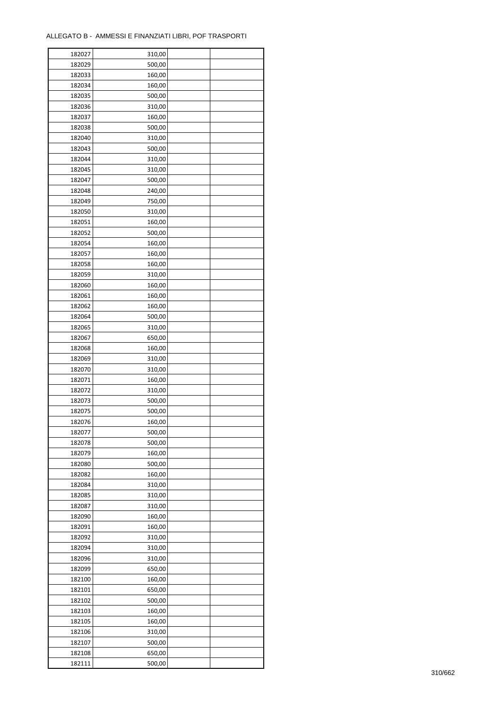| 182027 | 310,00 |  |
|--------|--------|--|
| 182029 | 500,00 |  |
| 182033 | 160,00 |  |
| 182034 | 160,00 |  |
| 182035 | 500,00 |  |
| 182036 | 310,00 |  |
| 182037 | 160,00 |  |
| 182038 | 500,00 |  |
| 182040 | 310,00 |  |
| 182043 | 500,00 |  |
| 182044 | 310,00 |  |
| 182045 | 310,00 |  |
|        |        |  |
| 182047 | 500,00 |  |
| 182048 | 240,00 |  |
| 182049 | 750,00 |  |
| 182050 | 310,00 |  |
| 182051 | 160,00 |  |
| 182052 | 500,00 |  |
| 182054 | 160,00 |  |
| 182057 | 160,00 |  |
| 182058 | 160,00 |  |
| 182059 | 310,00 |  |
| 182060 | 160,00 |  |
| 182061 | 160,00 |  |
| 182062 | 160,00 |  |
| 182064 | 500,00 |  |
| 182065 | 310,00 |  |
| 182067 | 650,00 |  |
| 182068 | 160,00 |  |
| 182069 | 310,00 |  |
| 182070 | 310,00 |  |
| 182071 | 160,00 |  |
| 182072 | 310,00 |  |
| 182073 | 500,00 |  |
| 182075 | 500,00 |  |
| 182076 |        |  |
|        | 160,00 |  |
| 182077 | 500,00 |  |
| 182078 | 500,00 |  |
| 182079 | 160,00 |  |
| 182080 | 500,00 |  |
| 182082 | 160,00 |  |
| 182084 | 310,00 |  |
| 182085 | 310,00 |  |
| 182087 | 310,00 |  |
| 182090 | 160,00 |  |
| 182091 | 160,00 |  |
| 182092 | 310,00 |  |
| 182094 | 310,00 |  |
| 182096 | 310,00 |  |
| 182099 | 650,00 |  |
| 182100 | 160,00 |  |
| 182101 | 650,00 |  |
| 182102 | 500,00 |  |
| 182103 | 160,00 |  |
| 182105 | 160,00 |  |
| 182106 | 310,00 |  |
| 182107 |        |  |
|        | 500,00 |  |
| 182108 | 650,00 |  |
| 182111 | 500,00 |  |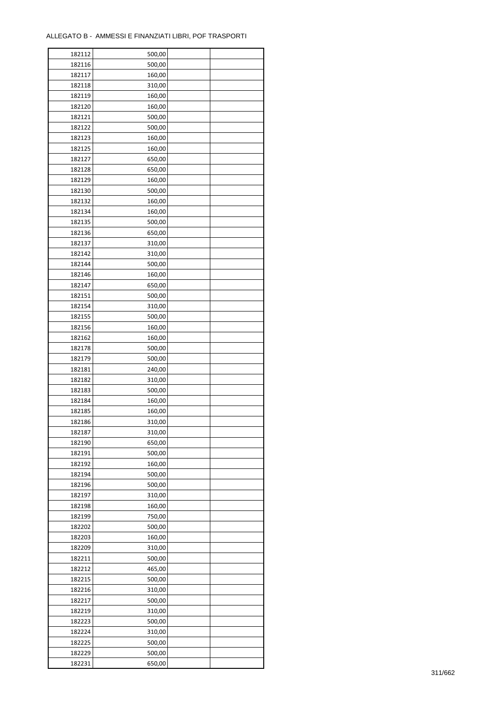| 182112 | 500,00 |  |
|--------|--------|--|
| 182116 | 500,00 |  |
| 182117 | 160,00 |  |
| 182118 | 310,00 |  |
| 182119 | 160,00 |  |
| 182120 | 160,00 |  |
| 182121 | 500,00 |  |
| 182122 | 500,00 |  |
| 182123 | 160,00 |  |
| 182125 | 160,00 |  |
| 182127 |        |  |
|        | 650,00 |  |
| 182128 | 650,00 |  |
| 182129 | 160,00 |  |
| 182130 | 500,00 |  |
| 182132 | 160,00 |  |
| 182134 | 160,00 |  |
| 182135 | 500,00 |  |
| 182136 | 650,00 |  |
| 182137 | 310,00 |  |
| 182142 | 310,00 |  |
| 182144 | 500,00 |  |
| 182146 | 160,00 |  |
| 182147 | 650,00 |  |
| 182151 | 500,00 |  |
| 182154 | 310,00 |  |
| 182155 | 500,00 |  |
| 182156 | 160,00 |  |
| 182162 | 160,00 |  |
| 182178 | 500,00 |  |
| 182179 | 500,00 |  |
| 182181 | 240,00 |  |
|        |        |  |
| 182182 | 310,00 |  |
| 182183 | 500,00 |  |
| 182184 | 160,00 |  |
| 182185 | 160,00 |  |
| 182186 | 310,00 |  |
| 182187 | 310,00 |  |
| 182190 | 650,00 |  |
| 182191 | 500,00 |  |
| 182192 | 160,00 |  |
| 182194 | 500,00 |  |
| 182196 | 500,00 |  |
| 182197 | 310,00 |  |
| 182198 | 160,00 |  |
| 182199 | 750,00 |  |
| 182202 | 500,00 |  |
| 182203 | 160,00 |  |
| 182209 | 310,00 |  |
| 182211 | 500,00 |  |
| 182212 | 465,00 |  |
| 182215 | 500,00 |  |
| 182216 | 310,00 |  |
| 182217 | 500,00 |  |
| 182219 | 310,00 |  |
| 182223 | 500,00 |  |
|        |        |  |
| 182224 | 310,00 |  |
| 182225 | 500,00 |  |
| 182229 | 500,00 |  |
| 182231 | 650,00 |  |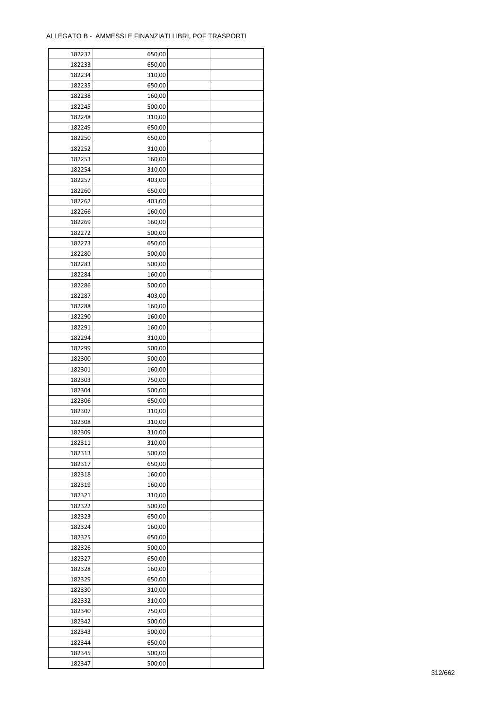| 182232 | 650,00 |  |
|--------|--------|--|
| 182233 | 650,00 |  |
| 182234 | 310,00 |  |
| 182235 | 650,00 |  |
| 182238 | 160,00 |  |
| 182245 | 500,00 |  |
| 182248 | 310,00 |  |
| 182249 | 650,00 |  |
|        |        |  |
| 182250 | 650,00 |  |
| 182252 | 310,00 |  |
| 182253 | 160,00 |  |
| 182254 | 310,00 |  |
| 182257 | 403,00 |  |
| 182260 | 650,00 |  |
| 182262 | 403,00 |  |
| 182266 | 160,00 |  |
| 182269 | 160,00 |  |
| 182272 | 500,00 |  |
| 182273 | 650,00 |  |
| 182280 | 500,00 |  |
| 182283 | 500,00 |  |
| 182284 | 160,00 |  |
| 182286 | 500,00 |  |
| 182287 | 403,00 |  |
| 182288 | 160,00 |  |
| 182290 |        |  |
|        | 160,00 |  |
| 182291 | 160,00 |  |
| 182294 | 310,00 |  |
| 182299 | 500,00 |  |
| 182300 | 500,00 |  |
| 182301 | 160,00 |  |
| 182303 | 750,00 |  |
| 182304 | 500,00 |  |
| 182306 | 650,00 |  |
| 182307 | 310,00 |  |
| 182308 | 310,00 |  |
| 182309 | 310,00 |  |
| 182311 | 310,00 |  |
| 182313 | 500,00 |  |
| 182317 | 650,00 |  |
| 182318 | 160,00 |  |
| 182319 | 160,00 |  |
| 182321 | 310,00 |  |
| 182322 | 500,00 |  |
| 182323 | 650,00 |  |
| 182324 |        |  |
|        | 160,00 |  |
| 182325 | 650,00 |  |
| 182326 | 500,00 |  |
| 182327 | 650,00 |  |
| 182328 | 160,00 |  |
| 182329 | 650,00 |  |
| 182330 | 310,00 |  |
| 182332 | 310,00 |  |
| 182340 | 750,00 |  |
| 182342 | 500,00 |  |
| 182343 | 500,00 |  |
| 182344 | 650,00 |  |
| 182345 | 500,00 |  |
| 182347 | 500,00 |  |
|        |        |  |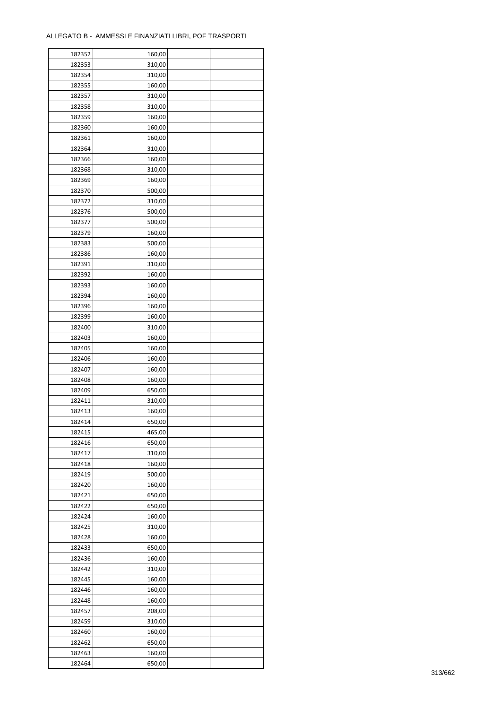ř

| 182352 | 160,00 |
|--------|--------|
| 182353 | 310,00 |
| 182354 | 310,00 |
| 182355 | 160,00 |
| 182357 | 310,00 |
| 182358 | 310,00 |
| 182359 | 160,00 |
| 182360 | 160,00 |
| 182361 | 160,00 |
| 182364 | 310,00 |
| 182366 | 160,00 |
| 182368 | 310,00 |
|        |        |
| 182369 | 160,00 |
| 182370 | 500,00 |
| 182372 | 310,00 |
| 182376 | 500,00 |
| 182377 | 500,00 |
| 182379 | 160,00 |
| 182383 | 500,00 |
| 182386 | 160,00 |
| 182391 | 310,00 |
| 182392 | 160,00 |
| 182393 | 160,00 |
| 182394 | 160,00 |
| 182396 | 160,00 |
| 182399 | 160,00 |
| 182400 | 310,00 |
| 182403 | 160,00 |
| 182405 | 160,00 |
| 182406 | 160,00 |
| 182407 | 160,00 |
| 182408 | 160,00 |
| 182409 | 650,00 |
| 182411 | 310,00 |
| 182413 | 160,00 |
| 182414 | 650,00 |
| 182415 | 465,00 |
| 182416 | 650,00 |
| 182417 | 310,00 |
|        |        |
| 182418 | 160,00 |
| 182419 | 500,00 |
| 182420 | 160,00 |
| 182421 | 650,00 |
| 182422 | 650,00 |
| 182424 | 160,00 |
| 182425 | 310,00 |
| 182428 | 160,00 |
| 182433 | 650,00 |
| 182436 | 160,00 |
| 182442 | 310,00 |
| 182445 | 160,00 |
| 182446 | 160,00 |
| 182448 | 160,00 |
| 182457 | 208,00 |
| 182459 | 310,00 |
| 182460 | 160,00 |
|        |        |
| 182462 | 650,00 |
| 182463 | 160,00 |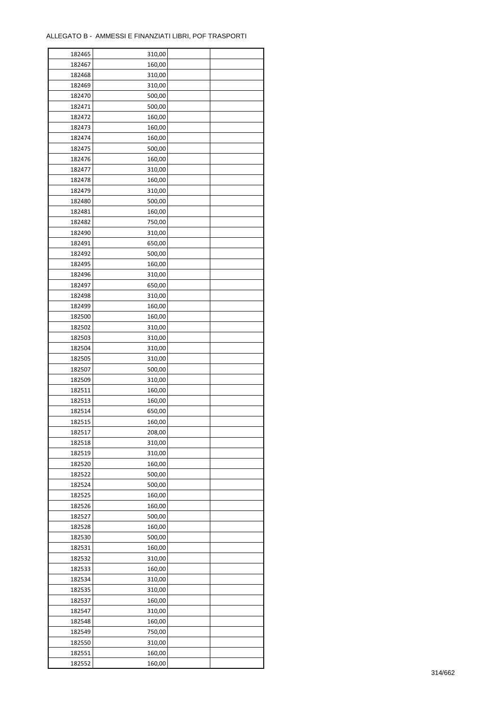| 182465 | 310,00 |  |
|--------|--------|--|
| 182467 | 160,00 |  |
| 182468 | 310,00 |  |
| 182469 | 310,00 |  |
| 182470 | 500,00 |  |
| 182471 | 500,00 |  |
| 182472 | 160,00 |  |
| 182473 | 160,00 |  |
| 182474 | 160,00 |  |
| 182475 | 500,00 |  |
| 182476 | 160,00 |  |
| 182477 | 310,00 |  |
| 182478 | 160,00 |  |
| 182479 | 310,00 |  |
|        | 500,00 |  |
| 182480 |        |  |
| 182481 | 160,00 |  |
| 182482 | 750,00 |  |
| 182490 | 310,00 |  |
| 182491 | 650,00 |  |
| 182492 | 500,00 |  |
| 182495 | 160,00 |  |
| 182496 | 310,00 |  |
| 182497 | 650,00 |  |
| 182498 | 310,00 |  |
| 182499 | 160,00 |  |
| 182500 | 160,00 |  |
| 182502 | 310,00 |  |
| 182503 | 310,00 |  |
| 182504 | 310,00 |  |
| 182505 | 310,00 |  |
| 182507 | 500,00 |  |
| 182509 | 310,00 |  |
| 182511 | 160,00 |  |
| 182513 | 160,00 |  |
| 182514 | 650,00 |  |
| 182515 | 160,00 |  |
| 182517 | 208,00 |  |
| 182518 | 310,00 |  |
| 182519 | 310,00 |  |
| 182520 | 160,00 |  |
| 182522 | 500,00 |  |
| 182524 | 500,00 |  |
| 182525 | 160,00 |  |
| 182526 | 160,00 |  |
| 182527 | 500,00 |  |
| 182528 | 160,00 |  |
| 182530 | 500,00 |  |
| 182531 | 160,00 |  |
| 182532 | 310,00 |  |
| 182533 | 160,00 |  |
| 182534 | 310,00 |  |
| 182535 | 310,00 |  |
| 182537 | 160,00 |  |
| 182547 | 310,00 |  |
| 182548 | 160,00 |  |
| 182549 | 750,00 |  |
|        |        |  |
| 182550 | 310,00 |  |
| 182551 | 160,00 |  |
| 182552 | 160,00 |  |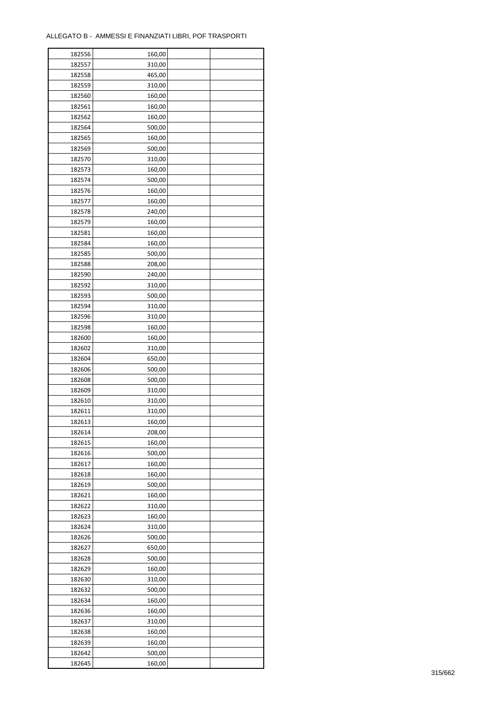| 182556 | 160,00 |  |
|--------|--------|--|
| 182557 | 310,00 |  |
| 182558 | 465,00 |  |
| 182559 | 310,00 |  |
| 182560 | 160,00 |  |
| 182561 | 160,00 |  |
| 182562 | 160,00 |  |
| 182564 | 500,00 |  |
| 182565 |        |  |
|        | 160,00 |  |
| 182569 | 500,00 |  |
| 182570 | 310,00 |  |
| 182573 | 160,00 |  |
| 182574 | 500,00 |  |
| 182576 | 160,00 |  |
| 182577 | 160,00 |  |
| 182578 | 240,00 |  |
| 182579 | 160,00 |  |
| 182581 | 160,00 |  |
| 182584 | 160,00 |  |
| 182585 | 500,00 |  |
| 182588 | 208,00 |  |
| 182590 | 240,00 |  |
| 182592 | 310,00 |  |
| 182593 | 500,00 |  |
| 182594 | 310,00 |  |
| 182596 |        |  |
|        | 310,00 |  |
| 182598 | 160,00 |  |
| 182600 | 160,00 |  |
| 182602 | 310,00 |  |
| 182604 | 650,00 |  |
| 182606 | 500,00 |  |
| 182608 | 500,00 |  |
| 182609 | 310,00 |  |
| 182610 | 310,00 |  |
| 182611 | 310,00 |  |
| 182613 | 160,00 |  |
| 182614 | 208,00 |  |
| 182615 | 160,00 |  |
| 182616 | 500,00 |  |
| 182617 | 160,00 |  |
| 182618 | 160,00 |  |
| 182619 | 500,00 |  |
| 182621 | 160,00 |  |
| 182622 | 310,00 |  |
| 182623 | 160,00 |  |
|        |        |  |
| 182624 | 310,00 |  |
| 182626 | 500,00 |  |
| 182627 | 650,00 |  |
| 182628 | 500,00 |  |
| 182629 | 160,00 |  |
| 182630 | 310,00 |  |
| 182632 | 500,00 |  |
| 182634 | 160,00 |  |
| 182636 | 160,00 |  |
| 182637 | 310,00 |  |
| 182638 | 160,00 |  |
| 182639 | 160,00 |  |
| 182642 | 500,00 |  |
| 182645 | 160,00 |  |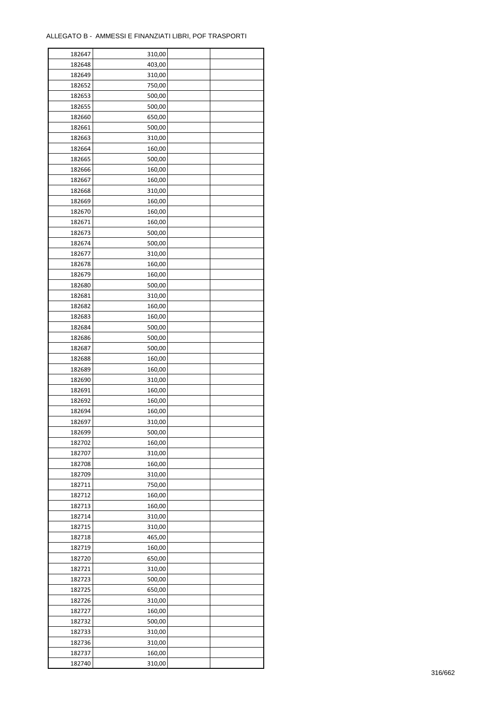| 182647 | 310,00 |  |
|--------|--------|--|
| 182648 | 403,00 |  |
| 182649 | 310,00 |  |
| 182652 | 750,00 |  |
| 182653 | 500,00 |  |
| 182655 | 500,00 |  |
| 182660 | 650,00 |  |
| 182661 | 500,00 |  |
| 182663 | 310,00 |  |
|        |        |  |
| 182664 | 160,00 |  |
| 182665 | 500,00 |  |
| 182666 | 160,00 |  |
| 182667 | 160,00 |  |
| 182668 | 310,00 |  |
| 182669 | 160,00 |  |
| 182670 | 160,00 |  |
| 182671 | 160,00 |  |
| 182673 | 500,00 |  |
| 182674 | 500,00 |  |
| 182677 | 310,00 |  |
| 182678 | 160,00 |  |
| 182679 | 160,00 |  |
| 182680 | 500,00 |  |
| 182681 | 310,00 |  |
| 182682 | 160,00 |  |
| 182683 | 160,00 |  |
| 182684 | 500,00 |  |
| 182686 | 500,00 |  |
| 182687 | 500,00 |  |
|        |        |  |
| 182688 | 160,00 |  |
| 182689 | 160,00 |  |
| 182690 | 310,00 |  |
| 182691 | 160,00 |  |
| 182692 | 160,00 |  |
| 182694 | 160,00 |  |
| 182697 | 310,00 |  |
| 182699 | 500,00 |  |
| 182702 | 160,00 |  |
| 182707 | 310,00 |  |
| 182708 | 160,00 |  |
| 182709 | 310,00 |  |
| 182711 | 750,00 |  |
| 182712 | 160,00 |  |
| 182713 | 160,00 |  |
| 182714 | 310,00 |  |
| 182715 | 310,00 |  |
| 182718 | 465,00 |  |
| 182719 | 160,00 |  |
| 182720 | 650,00 |  |
| 182721 | 310,00 |  |
| 182723 | 500,00 |  |
| 182725 | 650,00 |  |
| 182726 | 310,00 |  |
|        |        |  |
| 182727 | 160,00 |  |
| 182732 | 500,00 |  |
| 182733 | 310,00 |  |
| 182736 | 310,00 |  |
| 182737 | 160,00 |  |
| 182740 | 310,00 |  |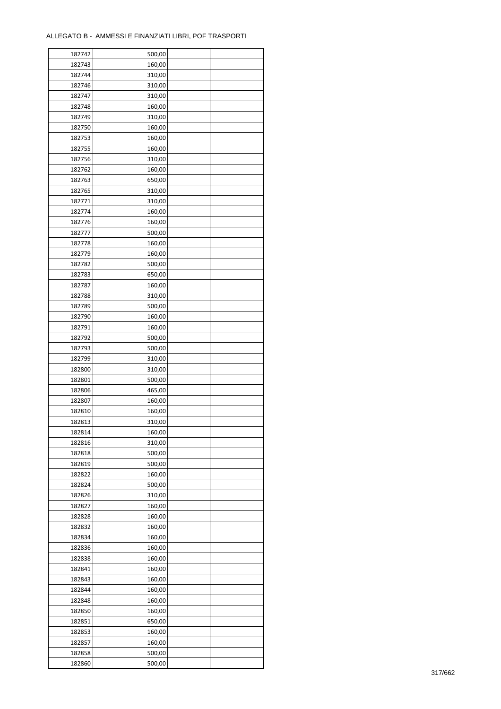| 182742 | 500,00 |  |
|--------|--------|--|
| 182743 | 160,00 |  |
| 182744 | 310,00 |  |
| 182746 | 310,00 |  |
| 182747 | 310,00 |  |
| 182748 | 160,00 |  |
| 182749 | 310,00 |  |
| 182750 | 160,00 |  |
| 182753 | 160,00 |  |
|        | 160,00 |  |
| 182755 |        |  |
| 182756 | 310,00 |  |
| 182762 | 160,00 |  |
| 182763 | 650,00 |  |
| 182765 | 310,00 |  |
| 182771 | 310,00 |  |
| 182774 | 160,00 |  |
| 182776 | 160,00 |  |
| 182777 | 500,00 |  |
| 182778 | 160,00 |  |
| 182779 | 160,00 |  |
| 182782 | 500,00 |  |
| 182783 | 650,00 |  |
| 182787 | 160,00 |  |
| 182788 | 310,00 |  |
| 182789 | 500,00 |  |
| 182790 | 160,00 |  |
| 182791 | 160,00 |  |
| 182792 | 500,00 |  |
| 182793 | 500,00 |  |
| 182799 | 310,00 |  |
|        |        |  |
| 182800 | 310,00 |  |
| 182801 | 500,00 |  |
| 182806 | 465,00 |  |
| 182807 | 160,00 |  |
| 182810 | 160,00 |  |
| 182813 | 310,00 |  |
| 182814 | 160,00 |  |
| 182816 | 310,00 |  |
| 182818 | 500,00 |  |
| 182819 | 500,00 |  |
| 182822 | 160,00 |  |
| 182824 | 500,00 |  |
| 182826 | 310,00 |  |
| 182827 | 160,00 |  |
| 182828 | 160,00 |  |
| 182832 | 160,00 |  |
| 182834 | 160,00 |  |
| 182836 | 160,00 |  |
| 182838 | 160,00 |  |
| 182841 | 160,00 |  |
| 182843 | 160,00 |  |
| 182844 | 160,00 |  |
| 182848 | 160,00 |  |
|        |        |  |
| 182850 | 160,00 |  |
| 182851 | 650,00 |  |
| 182853 | 160,00 |  |
| 182857 | 160,00 |  |
| 182858 | 500,00 |  |
| 182860 | 500,00 |  |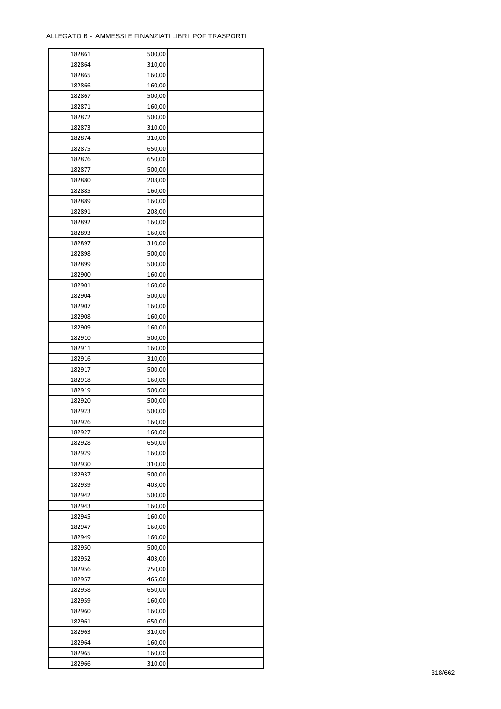| 182861 | 500,00 |  |
|--------|--------|--|
| 182864 | 310,00 |  |
| 182865 | 160,00 |  |
| 182866 | 160,00 |  |
| 182867 | 500,00 |  |
| 182871 | 160,00 |  |
| 182872 | 500,00 |  |
| 182873 | 310,00 |  |
| 182874 | 310,00 |  |
| 182875 | 650,00 |  |
| 182876 | 650,00 |  |
| 182877 | 500,00 |  |
| 182880 | 208,00 |  |
| 182885 |        |  |
|        | 160,00 |  |
| 182889 | 160,00 |  |
| 182891 | 208,00 |  |
| 182892 | 160,00 |  |
| 182893 | 160,00 |  |
| 182897 | 310,00 |  |
| 182898 | 500,00 |  |
| 182899 | 500,00 |  |
| 182900 | 160,00 |  |
| 182901 | 160,00 |  |
| 182904 | 500,00 |  |
| 182907 | 160,00 |  |
| 182908 | 160,00 |  |
| 182909 | 160,00 |  |
| 182910 | 500,00 |  |
| 182911 | 160,00 |  |
| 182916 | 310,00 |  |
| 182917 | 500,00 |  |
| 182918 | 160,00 |  |
| 182919 | 500,00 |  |
| 182920 | 500,00 |  |
| 182923 | 500,00 |  |
| 182926 | 160,00 |  |
| 182927 | 160,00 |  |
| 182928 | 650,00 |  |
| 182929 | 160,00 |  |
|        |        |  |
| 182930 | 310,00 |  |
| 182937 | 500,00 |  |
| 182939 | 403,00 |  |
| 182942 | 500,00 |  |
| 182943 | 160,00 |  |
| 182945 | 160,00 |  |
| 182947 | 160,00 |  |
| 182949 | 160,00 |  |
| 182950 | 500,00 |  |
| 182952 | 403,00 |  |
| 182956 | 750,00 |  |
| 182957 | 465,00 |  |
| 182958 | 650,00 |  |
| 182959 | 160,00 |  |
| 182960 | 160,00 |  |
| 182961 | 650,00 |  |
| 182963 | 310,00 |  |
| 182964 | 160,00 |  |
| 182965 | 160,00 |  |
| 182966 | 310,00 |  |
|        |        |  |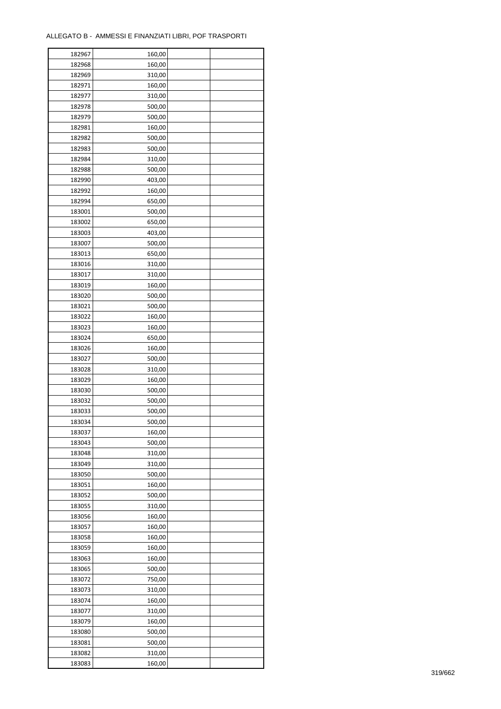| 182967 | 160,00 |  |
|--------|--------|--|
| 182968 | 160,00 |  |
| 182969 | 310,00 |  |
| 182971 | 160,00 |  |
| 182977 | 310,00 |  |
| 182978 | 500,00 |  |
| 182979 | 500,00 |  |
| 182981 | 160,00 |  |
| 182982 | 500,00 |  |
| 182983 | 500,00 |  |
| 182984 | 310,00 |  |
| 182988 |        |  |
|        | 500,00 |  |
| 182990 | 403,00 |  |
| 182992 | 160,00 |  |
| 182994 | 650,00 |  |
| 183001 | 500,00 |  |
| 183002 | 650,00 |  |
| 183003 | 403,00 |  |
| 183007 | 500,00 |  |
| 183013 | 650,00 |  |
| 183016 | 310,00 |  |
| 183017 | 310,00 |  |
| 183019 | 160,00 |  |
| 183020 | 500,00 |  |
| 183021 | 500,00 |  |
| 183022 | 160,00 |  |
| 183023 | 160,00 |  |
| 183024 | 650,00 |  |
| 183026 | 160,00 |  |
| 183027 | 500,00 |  |
| 183028 |        |  |
|        | 310,00 |  |
| 183029 | 160,00 |  |
| 183030 | 500,00 |  |
| 183032 | 500,00 |  |
| 183033 | 500,00 |  |
| 183034 | 500,00 |  |
| 183037 | 160,00 |  |
| 183043 | 500,00 |  |
| 183048 | 310,00 |  |
| 183049 | 310,00 |  |
| 183050 | 500,00 |  |
| 183051 | 160,00 |  |
| 183052 | 500,00 |  |
| 183055 | 310,00 |  |
| 183056 | 160,00 |  |
| 183057 | 160,00 |  |
| 183058 | 160,00 |  |
| 183059 | 160,00 |  |
| 183063 | 160,00 |  |
| 183065 | 500,00 |  |
| 183072 | 750,00 |  |
| 183073 | 310,00 |  |
| 183074 | 160,00 |  |
|        |        |  |
| 183077 | 310,00 |  |
| 183079 | 160,00 |  |
| 183080 | 500,00 |  |
| 183081 | 500,00 |  |
| 183082 | 310,00 |  |
| 183083 | 160,00 |  |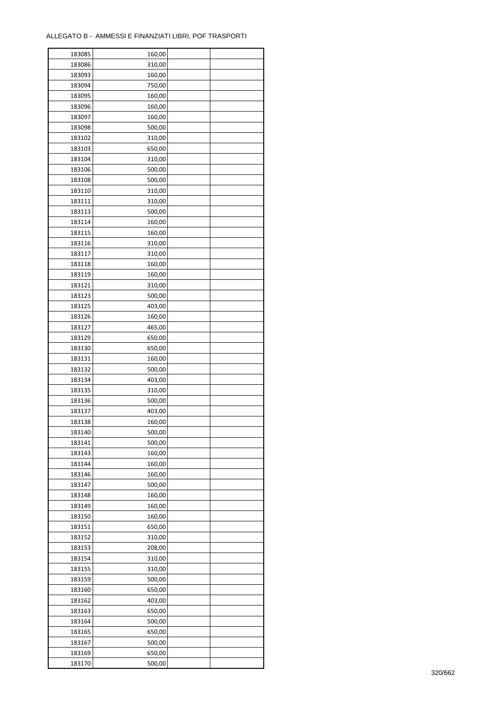| 183085 | 160,00 |  |
|--------|--------|--|
| 183086 | 310,00 |  |
| 183093 | 160,00 |  |
| 183094 | 750,00 |  |
| 183095 | 160,00 |  |
| 183096 | 160,00 |  |
| 183097 | 160,00 |  |
| 183098 | 500,00 |  |
| 183102 | 310,00 |  |
| 183103 | 650,00 |  |
| 183104 | 310,00 |  |
| 183106 | 500,00 |  |
| 183108 | 500,00 |  |
|        |        |  |
| 183110 | 310,00 |  |
| 183111 | 310,00 |  |
| 183113 | 500,00 |  |
| 183114 | 160,00 |  |
| 183115 | 160,00 |  |
| 183116 | 310,00 |  |
| 183117 | 310,00 |  |
| 183118 | 160,00 |  |
| 183119 | 160,00 |  |
| 183121 | 310,00 |  |
| 183123 | 500,00 |  |
| 183125 | 403,00 |  |
| 183126 | 160,00 |  |
| 183127 | 465,00 |  |
| 183129 | 650,00 |  |
| 183130 | 650,00 |  |
| 183131 | 160,00 |  |
| 183132 | 500,00 |  |
| 183134 | 403,00 |  |
| 183135 | 310,00 |  |
| 183136 | 500,00 |  |
| 183137 | 403,00 |  |
| 183138 | 160,00 |  |
| 183140 | 500,00 |  |
| 183141 | 500,00 |  |
| 183143 | 160,00 |  |
| 183144 | 160,00 |  |
| 183146 | 160,00 |  |
| 183147 | 500,00 |  |
| 183148 | 160,00 |  |
| 183149 | 160,00 |  |
| 183150 | 160,00 |  |
| 183151 | 650,00 |  |
| 183152 | 310,00 |  |
| 183153 | 208,00 |  |
| 183154 | 310,00 |  |
| 183155 | 310,00 |  |
| 183159 | 500,00 |  |
| 183160 | 650,00 |  |
| 183162 | 403,00 |  |
| 183163 | 650,00 |  |
| 183164 | 500,00 |  |
| 183165 | 650,00 |  |
| 183167 | 500,00 |  |
| 183169 | 650,00 |  |
| 183170 | 500,00 |  |
|        |        |  |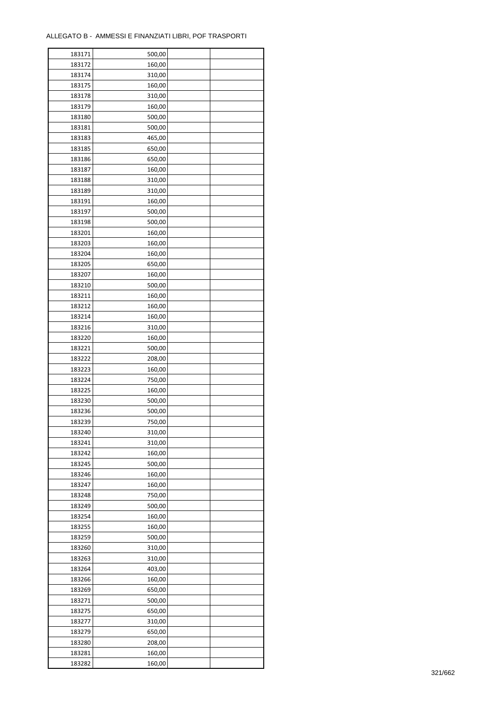| 183171 | 500,00 |  |
|--------|--------|--|
| 183172 | 160,00 |  |
| 183174 | 310,00 |  |
| 183175 | 160,00 |  |
| 183178 | 310,00 |  |
| 183179 | 160,00 |  |
| 183180 | 500,00 |  |
| 183181 | 500,00 |  |
| 183183 | 465,00 |  |
|        |        |  |
| 183185 | 650,00 |  |
| 183186 | 650,00 |  |
| 183187 | 160,00 |  |
| 183188 | 310,00 |  |
| 183189 | 310,00 |  |
| 183191 | 160,00 |  |
| 183197 | 500,00 |  |
| 183198 | 500,00 |  |
| 183201 | 160,00 |  |
| 183203 | 160,00 |  |
| 183204 | 160,00 |  |
| 183205 | 650,00 |  |
| 183207 | 160,00 |  |
| 183210 | 500,00 |  |
| 183211 | 160,00 |  |
| 183212 | 160,00 |  |
| 183214 | 160,00 |  |
| 183216 | 310,00 |  |
| 183220 | 160,00 |  |
| 183221 | 500,00 |  |
| 183222 | 208,00 |  |
|        |        |  |
| 183223 | 160,00 |  |
| 183224 | 750,00 |  |
| 183225 | 160,00 |  |
| 183230 | 500,00 |  |
| 183236 | 500,00 |  |
| 183239 | 750,00 |  |
| 183240 | 310,00 |  |
| 183241 | 310,00 |  |
| 183242 | 160,00 |  |
| 183245 | 500,00 |  |
| 183246 | 160,00 |  |
| 183247 | 160,00 |  |
| 183248 | 750,00 |  |
| 183249 | 500,00 |  |
| 183254 | 160,00 |  |
| 183255 | 160,00 |  |
| 183259 | 500,00 |  |
| 183260 | 310,00 |  |
| 183263 | 310,00 |  |
| 183264 | 403,00 |  |
| 183266 | 160,00 |  |
| 183269 | 650,00 |  |
| 183271 | 500,00 |  |
|        |        |  |
| 183275 | 650,00 |  |
| 183277 | 310,00 |  |
| 183279 | 650,00 |  |
| 183280 | 208,00 |  |
| 183281 | 160,00 |  |
| 183282 | 160,00 |  |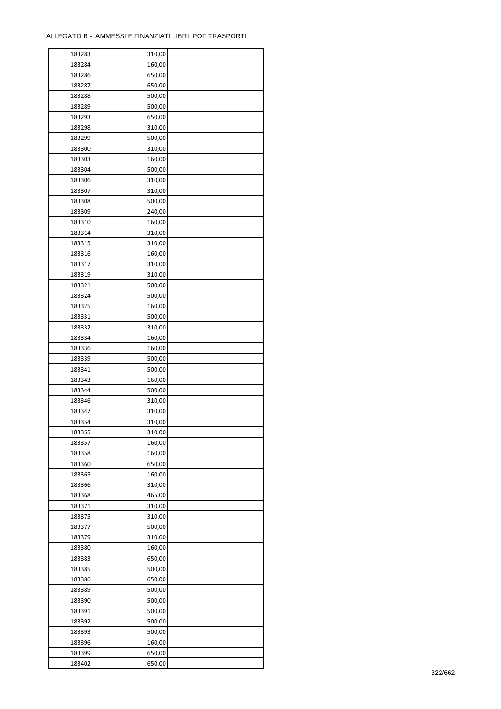| 183283 | 310,00 |  |
|--------|--------|--|
| 183284 | 160,00 |  |
| 183286 | 650,00 |  |
| 183287 | 650,00 |  |
| 183288 | 500,00 |  |
| 183289 | 500,00 |  |
| 183293 | 650,00 |  |
| 183298 | 310,00 |  |
|        |        |  |
| 183299 | 500,00 |  |
| 183300 | 310,00 |  |
| 183303 | 160,00 |  |
| 183304 | 500,00 |  |
| 183306 | 310,00 |  |
| 183307 | 310,00 |  |
| 183308 | 500,00 |  |
| 183309 | 240,00 |  |
| 183310 | 160,00 |  |
| 183314 | 310,00 |  |
| 183315 | 310,00 |  |
| 183316 | 160,00 |  |
| 183317 | 310,00 |  |
| 183319 | 310,00 |  |
| 183321 | 500,00 |  |
| 183324 | 500,00 |  |
| 183325 | 160,00 |  |
| 183331 | 500,00 |  |
| 183332 | 310,00 |  |
| 183334 | 160,00 |  |
| 183336 | 160,00 |  |
|        |        |  |
| 183339 | 500,00 |  |
| 183341 | 500,00 |  |
| 183343 | 160,00 |  |
| 183344 | 500,00 |  |
| 183346 | 310,00 |  |
| 183347 | 310,00 |  |
| 183354 | 310,00 |  |
| 183355 | 310,00 |  |
| 183357 | 160,00 |  |
| 183358 | 160,00 |  |
| 183360 | 650,00 |  |
| 183365 | 160,00 |  |
| 183366 | 310,00 |  |
| 183368 | 465,00 |  |
| 183371 | 310,00 |  |
| 183375 | 310,00 |  |
| 183377 | 500,00 |  |
| 183379 | 310,00 |  |
| 183380 | 160,00 |  |
| 183383 | 650,00 |  |
| 183385 | 500,00 |  |
|        |        |  |
| 183386 | 650,00 |  |
| 183389 | 500,00 |  |
| 183390 | 500,00 |  |
| 183391 | 500,00 |  |
| 183392 | 500,00 |  |
| 183393 | 500,00 |  |
| 183396 | 160,00 |  |
| 183399 | 650,00 |  |
| 183402 | 650,00 |  |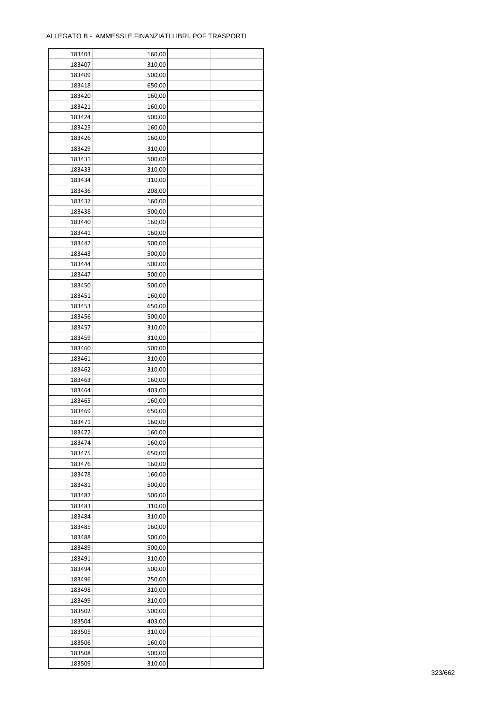| 183403 | 160,00 |  |
|--------|--------|--|
| 183407 | 310,00 |  |
| 183409 | 500,00 |  |
| 183418 | 650,00 |  |
| 183420 | 160,00 |  |
| 183421 | 160,00 |  |
| 183424 | 500,00 |  |
| 183425 | 160,00 |  |
| 183426 | 160,00 |  |
| 183429 | 310,00 |  |
| 183431 | 500,00 |  |
| 183433 | 310,00 |  |
| 183434 | 310,00 |  |
| 183436 | 208,00 |  |
|        |        |  |
| 183437 | 160,00 |  |
| 183438 | 500,00 |  |
| 183440 | 160,00 |  |
| 183441 | 160,00 |  |
| 183442 | 500,00 |  |
| 183443 | 500,00 |  |
| 183444 | 500,00 |  |
| 183447 | 500,00 |  |
| 183450 | 500,00 |  |
| 183451 | 160,00 |  |
| 183453 | 650,00 |  |
| 183456 | 500,00 |  |
| 183457 | 310,00 |  |
| 183459 | 310,00 |  |
| 183460 | 500,00 |  |
| 183461 | 310,00 |  |
| 183462 | 310,00 |  |
| 183463 | 160,00 |  |
| 183464 | 403,00 |  |
| 183465 | 160,00 |  |
| 183469 | 650,00 |  |
| 183471 | 160,00 |  |
| 183472 | 160,00 |  |
| 183474 | 160,00 |  |
| 183475 | 650,00 |  |
| 183476 | 160,00 |  |
| 183478 | 160,00 |  |
| 183481 | 500,00 |  |
| 183482 | 500,00 |  |
| 183483 | 310,00 |  |
| 183484 | 310,00 |  |
| 183485 | 160,00 |  |
| 183488 | 500,00 |  |
| 183489 | 500,00 |  |
| 183491 | 310,00 |  |
| 183494 | 500,00 |  |
|        |        |  |
| 183496 | 750,00 |  |
| 183498 | 310,00 |  |
| 183499 | 310,00 |  |
| 183502 | 500,00 |  |
| 183504 | 403,00 |  |
| 183505 | 310,00 |  |
| 183506 | 160,00 |  |
| 183508 | 500,00 |  |
| 183509 | 310,00 |  |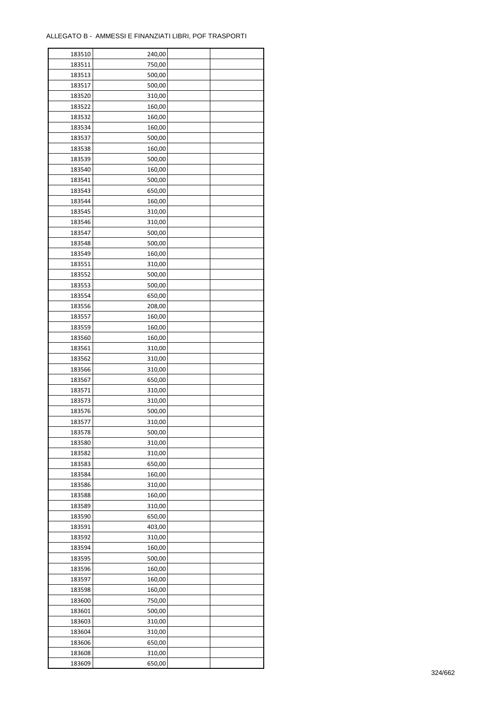| 183510 | 240,00 |  |
|--------|--------|--|
| 183511 | 750,00 |  |
| 183513 | 500,00 |  |
| 183517 | 500,00 |  |
| 183520 | 310,00 |  |
| 183522 | 160,00 |  |
| 183532 | 160,00 |  |
| 183534 | 160,00 |  |
| 183537 | 500,00 |  |
| 183538 | 160,00 |  |
| 183539 | 500,00 |  |
| 183540 | 160,00 |  |
|        |        |  |
| 183541 | 500,00 |  |
| 183543 | 650,00 |  |
| 183544 | 160,00 |  |
| 183545 | 310,00 |  |
| 183546 | 310,00 |  |
| 183547 | 500,00 |  |
| 183548 | 500,00 |  |
| 183549 | 160,00 |  |
| 183551 | 310,00 |  |
| 183552 | 500,00 |  |
| 183553 | 500,00 |  |
| 183554 | 650,00 |  |
| 183556 | 208,00 |  |
| 183557 | 160,00 |  |
| 183559 | 160,00 |  |
| 183560 | 160,00 |  |
| 183561 | 310,00 |  |
| 183562 | 310,00 |  |
| 183566 | 310,00 |  |
| 183567 | 650,00 |  |
| 183571 | 310,00 |  |
| 183573 | 310,00 |  |
| 183576 | 500,00 |  |
| 183577 | 310,00 |  |
| 183578 | 500,00 |  |
|        |        |  |
| 183580 | 310,00 |  |
| 183582 | 310,00 |  |
| 183583 | 650,00 |  |
| 183584 | 160,00 |  |
| 183586 | 310,00 |  |
| 183588 | 160,00 |  |
| 183589 | 310,00 |  |
| 183590 | 650,00 |  |
| 183591 | 403,00 |  |
| 183592 | 310,00 |  |
| 183594 | 160,00 |  |
| 183595 | 500,00 |  |
| 183596 | 160,00 |  |
| 183597 | 160,00 |  |
| 183598 | 160,00 |  |
| 183600 | 750,00 |  |
| 183601 | 500,00 |  |
| 183603 | 310,00 |  |
| 183604 | 310,00 |  |
| 183606 | 650,00 |  |
| 183608 | 310,00 |  |
| 183609 | 650,00 |  |
|        |        |  |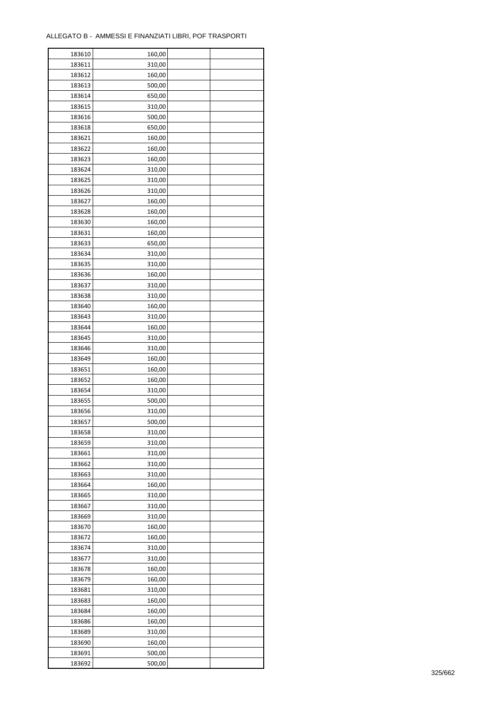| 183610 | 160,00 |  |
|--------|--------|--|
| 183611 | 310,00 |  |
| 183612 | 160,00 |  |
| 183613 | 500,00 |  |
| 183614 | 650,00 |  |
| 183615 | 310,00 |  |
| 183616 | 500,00 |  |
| 183618 | 650,00 |  |
| 183621 | 160,00 |  |
| 183622 | 160,00 |  |
| 183623 | 160,00 |  |
| 183624 | 310,00 |  |
| 183625 | 310,00 |  |
|        |        |  |
| 183626 | 310,00 |  |
| 183627 | 160,00 |  |
| 183628 | 160,00 |  |
| 183630 | 160,00 |  |
| 183631 | 160,00 |  |
| 183633 | 650,00 |  |
| 183634 | 310,00 |  |
| 183635 | 310,00 |  |
| 183636 | 160,00 |  |
| 183637 | 310,00 |  |
| 183638 | 310,00 |  |
| 183640 | 160,00 |  |
| 183643 | 310,00 |  |
| 183644 | 160,00 |  |
| 183645 | 310,00 |  |
| 183646 | 310,00 |  |
| 183649 | 160,00 |  |
| 183651 | 160,00 |  |
| 183652 | 160,00 |  |
| 183654 | 310,00 |  |
| 183655 | 500,00 |  |
| 183656 | 310,00 |  |
| 183657 | 500,00 |  |
| 183658 | 310,00 |  |
| 183659 | 310,00 |  |
| 183661 | 310,00 |  |
| 183662 | 310,00 |  |
| 183663 | 310,00 |  |
| 183664 | 160,00 |  |
| 183665 | 310,00 |  |
| 183667 | 310,00 |  |
| 183669 | 310,00 |  |
| 183670 | 160,00 |  |
| 183672 | 160,00 |  |
| 183674 | 310,00 |  |
| 183677 | 310,00 |  |
| 183678 | 160,00 |  |
| 183679 | 160,00 |  |
| 183681 | 310,00 |  |
| 183683 | 160,00 |  |
| 183684 | 160,00 |  |
| 183686 | 160,00 |  |
| 183689 | 310,00 |  |
| 183690 | 160,00 |  |
| 183691 | 500,00 |  |
| 183692 | 500,00 |  |
|        |        |  |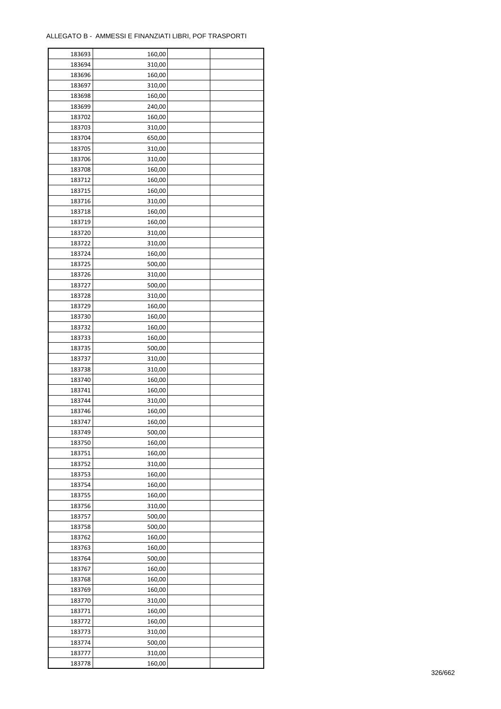| 183693 | 160,00 |  |
|--------|--------|--|
| 183694 | 310,00 |  |
| 183696 | 160,00 |  |
| 183697 | 310,00 |  |
| 183698 | 160,00 |  |
| 183699 | 240,00 |  |
| 183702 | 160,00 |  |
| 183703 | 310,00 |  |
| 183704 | 650,00 |  |
| 183705 | 310,00 |  |
| 183706 | 310,00 |  |
| 183708 | 160,00 |  |
| 183712 | 160,00 |  |
|        |        |  |
| 183715 | 160,00 |  |
| 183716 | 310,00 |  |
| 183718 | 160,00 |  |
| 183719 | 160,00 |  |
| 183720 | 310,00 |  |
| 183722 | 310,00 |  |
| 183724 | 160,00 |  |
| 183725 | 500,00 |  |
| 183726 | 310,00 |  |
| 183727 | 500,00 |  |
| 183728 | 310,00 |  |
| 183729 | 160,00 |  |
| 183730 | 160,00 |  |
| 183732 | 160,00 |  |
| 183733 | 160,00 |  |
| 183735 | 500,00 |  |
| 183737 | 310,00 |  |
| 183738 | 310,00 |  |
| 183740 | 160,00 |  |
| 183741 | 160,00 |  |
| 183744 | 310,00 |  |
| 183746 | 160,00 |  |
| 183747 | 160,00 |  |
| 183749 | 500,00 |  |
| 183750 | 160,00 |  |
|        |        |  |
| 183751 | 160,00 |  |
| 183752 | 310,00 |  |
| 183753 | 160,00 |  |
| 183754 | 160,00 |  |
| 183755 | 160,00 |  |
| 183756 | 310,00 |  |
| 183757 | 500,00 |  |
| 183758 | 500,00 |  |
| 183762 | 160,00 |  |
| 183763 | 160,00 |  |
| 183764 | 500,00 |  |
| 183767 | 160,00 |  |
| 183768 | 160,00 |  |
| 183769 | 160,00 |  |
| 183770 | 310,00 |  |
| 183771 | 160,00 |  |
| 183772 | 160,00 |  |
| 183773 | 310,00 |  |
| 183774 | 500,00 |  |
| 183777 | 310,00 |  |
| 183778 | 160,00 |  |
|        |        |  |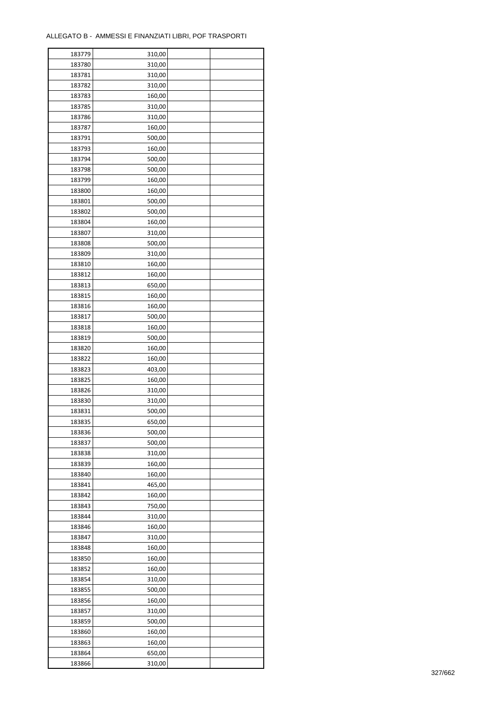| 183779 | 310,00 |  |
|--------|--------|--|
| 183780 | 310,00 |  |
| 183781 | 310,00 |  |
| 183782 | 310,00 |  |
| 183783 | 160,00 |  |
| 183785 | 310,00 |  |
| 183786 | 310,00 |  |
| 183787 | 160,00 |  |
|        |        |  |
| 183791 | 500,00 |  |
| 183793 | 160,00 |  |
| 183794 | 500,00 |  |
| 183798 | 500,00 |  |
| 183799 | 160,00 |  |
| 183800 | 160,00 |  |
| 183801 | 500,00 |  |
| 183802 | 500,00 |  |
| 183804 | 160,00 |  |
| 183807 | 310,00 |  |
| 183808 | 500,00 |  |
| 183809 | 310,00 |  |
| 183810 | 160,00 |  |
| 183812 | 160,00 |  |
| 183813 | 650,00 |  |
| 183815 | 160,00 |  |
| 183816 | 160,00 |  |
| 183817 | 500,00 |  |
|        |        |  |
| 183818 | 160,00 |  |
| 183819 | 500,00 |  |
| 183820 | 160,00 |  |
| 183822 | 160,00 |  |
| 183823 | 403,00 |  |
| 183825 | 160,00 |  |
| 183826 | 310,00 |  |
| 183830 | 310,00 |  |
| 183831 | 500,00 |  |
| 183835 | 650,00 |  |
| 183836 | 500,00 |  |
| 183837 | 500,00 |  |
| 183838 | 310,00 |  |
| 183839 | 160,00 |  |
| 183840 | 160,00 |  |
| 183841 | 465,00 |  |
| 183842 | 160,00 |  |
| 183843 | 750,00 |  |
| 183844 | 310,00 |  |
| 183846 | 160,00 |  |
|        |        |  |
| 183847 | 310,00 |  |
| 183848 | 160,00 |  |
| 183850 | 160,00 |  |
| 183852 | 160,00 |  |
| 183854 | 310,00 |  |
| 183855 | 500,00 |  |
| 183856 | 160,00 |  |
| 183857 | 310,00 |  |
| 183859 | 500,00 |  |
| 183860 | 160,00 |  |
| 183863 | 160,00 |  |
| 183864 | 650,00 |  |
| 183866 | 310,00 |  |
|        |        |  |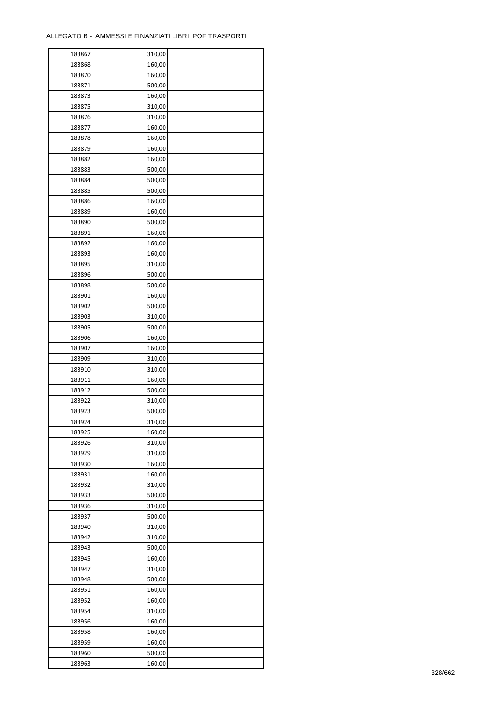| 183867           | 310,00 |  |
|------------------|--------|--|
| 183868           | 160,00 |  |
| 183870           | 160,00 |  |
| 183871           | 500,00 |  |
| 183873           | 160,00 |  |
| 183875           | 310,00 |  |
| 183876           | 310,00 |  |
| 183877           | 160,00 |  |
| 183878           | 160,00 |  |
|                  |        |  |
| 183879<br>183882 | 160,00 |  |
|                  | 160,00 |  |
| 183883           | 500,00 |  |
| 183884           | 500,00 |  |
| 183885           | 500,00 |  |
| 183886           | 160,00 |  |
| 183889           | 160,00 |  |
| 183890           | 500,00 |  |
| 183891           | 160,00 |  |
| 183892           | 160,00 |  |
| 183893           | 160,00 |  |
| 183895           | 310,00 |  |
| 183896           | 500,00 |  |
| 183898           | 500,00 |  |
| 183901           | 160,00 |  |
| 183902           | 500,00 |  |
| 183903           | 310,00 |  |
| 183905           | 500,00 |  |
| 183906           | 160,00 |  |
| 183907           | 160,00 |  |
| 183909           | 310,00 |  |
|                  |        |  |
| 183910           | 310,00 |  |
| 183911           | 160,00 |  |
| 183912           | 500,00 |  |
| 183922           | 310,00 |  |
| 183923           | 500,00 |  |
| 183924           | 310,00 |  |
| 183925           | 160,00 |  |
| 183926           | 310,00 |  |
| 183929           | 310,00 |  |
| 183930           | 160,00 |  |
| 183931           | 160,00 |  |
| 183932           | 310,00 |  |
| 183933           | 500,00 |  |
| 183936           | 310,00 |  |
| 183937           | 500,00 |  |
| 183940           | 310,00 |  |
| 183942           | 310,00 |  |
| 183943           | 500,00 |  |
| 183945           | 160,00 |  |
| 183947           | 310,00 |  |
| 183948           | 500,00 |  |
| 183951           | 160,00 |  |
| 183952           | 160,00 |  |
|                  |        |  |
| 183954           | 310,00 |  |
| 183956           | 160,00 |  |
| 183958           | 160,00 |  |
| 183959           | 160,00 |  |
| 183960           | 500,00 |  |
| 183963           | 160,00 |  |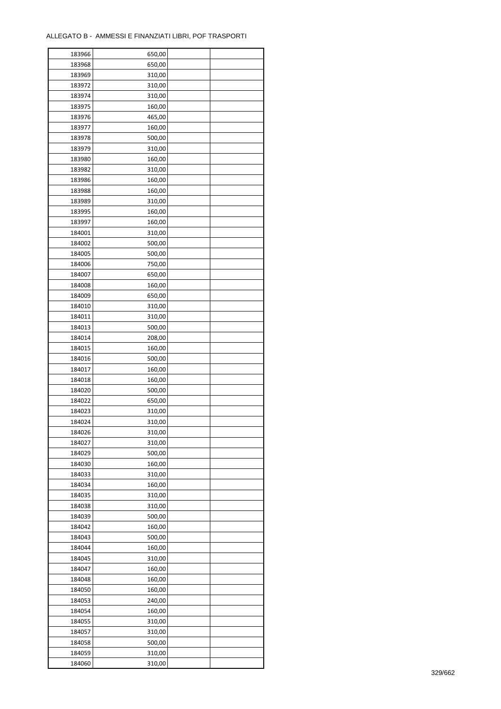| 183966 | 650,00 |  |
|--------|--------|--|
| 183968 | 650,00 |  |
| 183969 | 310,00 |  |
| 183972 | 310,00 |  |
| 183974 | 310,00 |  |
| 183975 | 160,00 |  |
| 183976 | 465,00 |  |
| 183977 | 160,00 |  |
| 183978 | 500,00 |  |
| 183979 | 310,00 |  |
| 183980 | 160,00 |  |
| 183982 | 310,00 |  |
| 183986 | 160,00 |  |
| 183988 |        |  |
|        | 160,00 |  |
| 183989 | 310,00 |  |
| 183995 | 160,00 |  |
| 183997 | 160,00 |  |
| 184001 | 310,00 |  |
| 184002 | 500,00 |  |
| 184005 | 500,00 |  |
| 184006 | 750,00 |  |
| 184007 | 650,00 |  |
| 184008 | 160,00 |  |
| 184009 | 650,00 |  |
| 184010 | 310,00 |  |
| 184011 | 310,00 |  |
| 184013 | 500,00 |  |
| 184014 | 208,00 |  |
| 184015 | 160,00 |  |
| 184016 | 500,00 |  |
| 184017 | 160,00 |  |
| 184018 | 160,00 |  |
| 184020 | 500,00 |  |
| 184022 | 650,00 |  |
| 184023 | 310,00 |  |
| 184024 | 310,00 |  |
| 184026 | 310,00 |  |
| 184027 | 310,00 |  |
|        |        |  |
| 184029 | 500,00 |  |
| 184030 | 160,00 |  |
| 184033 | 310,00 |  |
| 184034 | 160,00 |  |
| 184035 | 310,00 |  |
| 184038 | 310,00 |  |
| 184039 | 500,00 |  |
| 184042 | 160,00 |  |
| 184043 | 500,00 |  |
| 184044 | 160,00 |  |
| 184045 | 310,00 |  |
| 184047 | 160,00 |  |
| 184048 | 160,00 |  |
| 184050 | 160,00 |  |
| 184053 | 240,00 |  |
| 184054 | 160,00 |  |
| 184055 | 310,00 |  |
| 184057 | 310,00 |  |
| 184058 | 500,00 |  |
| 184059 | 310,00 |  |
| 184060 | 310,00 |  |
|        |        |  |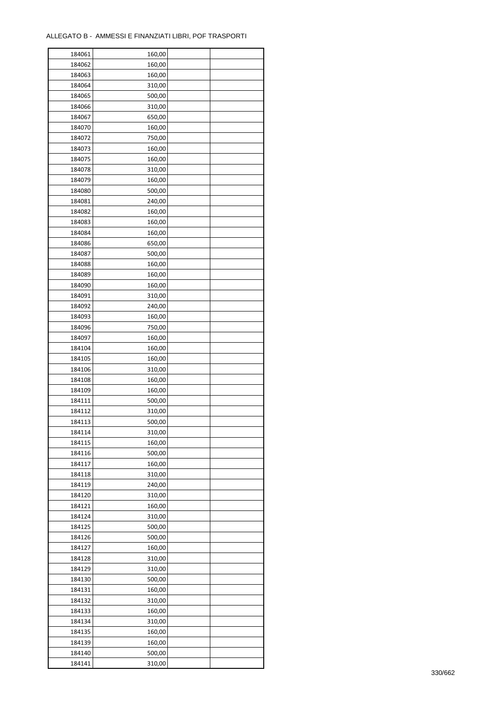| 184061 | 160,00 |  |
|--------|--------|--|
| 184062 | 160,00 |  |
| 184063 | 160,00 |  |
| 184064 | 310,00 |  |
| 184065 | 500,00 |  |
| 184066 | 310,00 |  |
| 184067 | 650,00 |  |
| 184070 | 160,00 |  |
| 184072 | 750,00 |  |
| 184073 | 160,00 |  |
| 184075 | 160,00 |  |
| 184078 | 310,00 |  |
|        |        |  |
| 184079 | 160,00 |  |
| 184080 | 500,00 |  |
| 184081 | 240,00 |  |
| 184082 | 160,00 |  |
| 184083 | 160,00 |  |
| 184084 | 160,00 |  |
| 184086 | 650,00 |  |
| 184087 | 500,00 |  |
| 184088 | 160,00 |  |
| 184089 | 160,00 |  |
| 184090 | 160,00 |  |
| 184091 | 310,00 |  |
| 184092 | 240,00 |  |
| 184093 | 160,00 |  |
| 184096 | 750,00 |  |
| 184097 | 160,00 |  |
| 184104 | 160,00 |  |
| 184105 | 160,00 |  |
| 184106 | 310,00 |  |
| 184108 | 160,00 |  |
| 184109 | 160,00 |  |
| 184111 | 500,00 |  |
| 184112 | 310,00 |  |
| 184113 |        |  |
|        | 500,00 |  |
| 184114 | 310,00 |  |
| 184115 | 160,00 |  |
| 184116 | 500,00 |  |
| 184117 | 160,00 |  |
| 184118 | 310,00 |  |
| 184119 | 240,00 |  |
| 184120 | 310,00 |  |
| 184121 | 160,00 |  |
| 184124 | 310,00 |  |
| 184125 | 500,00 |  |
| 184126 | 500,00 |  |
| 184127 | 160,00 |  |
| 184128 | 310,00 |  |
| 184129 | 310,00 |  |
| 184130 | 500,00 |  |
| 184131 | 160,00 |  |
| 184132 | 310,00 |  |
| 184133 | 160,00 |  |
| 184134 | 310,00 |  |
| 184135 | 160,00 |  |
| 184139 | 160,00 |  |
| 184140 |        |  |
|        | 500,00 |  |
| 184141 | 310,00 |  |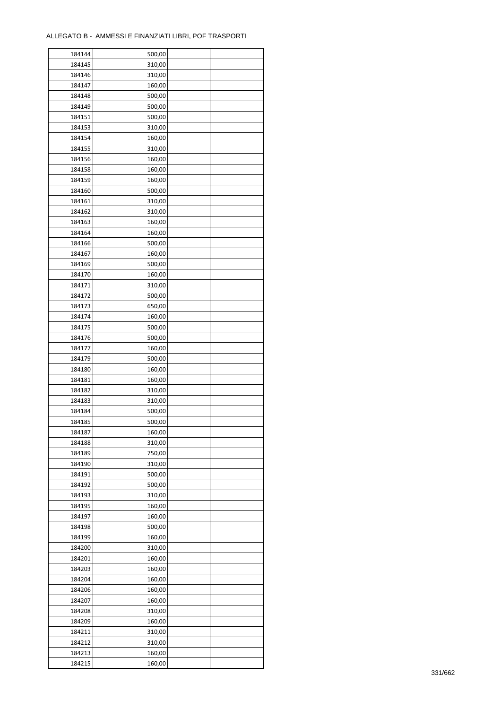| 184144 | 500,00 |  |
|--------|--------|--|
| 184145 | 310,00 |  |
| 184146 | 310,00 |  |
| 184147 | 160,00 |  |
| 184148 | 500,00 |  |
| 184149 | 500,00 |  |
| 184151 | 500,00 |  |
| 184153 | 310,00 |  |
| 184154 | 160,00 |  |
| 184155 | 310,00 |  |
| 184156 | 160,00 |  |
| 184158 | 160,00 |  |
|        |        |  |
| 184159 | 160,00 |  |
| 184160 | 500,00 |  |
| 184161 | 310,00 |  |
| 184162 | 310,00 |  |
| 184163 | 160,00 |  |
| 184164 | 160,00 |  |
| 184166 | 500,00 |  |
| 184167 | 160,00 |  |
| 184169 | 500,00 |  |
| 184170 | 160,00 |  |
| 184171 | 310,00 |  |
| 184172 | 500,00 |  |
| 184173 | 650,00 |  |
| 184174 | 160,00 |  |
| 184175 | 500,00 |  |
| 184176 | 500,00 |  |
| 184177 | 160,00 |  |
| 184179 | 500,00 |  |
| 184180 | 160,00 |  |
| 184181 | 160,00 |  |
| 184182 | 310,00 |  |
| 184183 | 310,00 |  |
| 184184 | 500,00 |  |
| 184185 | 500,00 |  |
| 184187 |        |  |
|        | 160,00 |  |
| 184188 | 310,00 |  |
| 184189 | 750,00 |  |
| 184190 | 310,00 |  |
| 184191 | 500,00 |  |
| 184192 | 500,00 |  |
| 184193 | 310,00 |  |
| 184195 | 160,00 |  |
| 184197 | 160,00 |  |
| 184198 | 500,00 |  |
| 184199 | 160,00 |  |
| 184200 | 310,00 |  |
| 184201 | 160,00 |  |
| 184203 | 160,00 |  |
| 184204 | 160,00 |  |
| 184206 | 160,00 |  |
| 184207 | 160,00 |  |
| 184208 | 310,00 |  |
| 184209 | 160,00 |  |
| 184211 | 310,00 |  |
| 184212 | 310,00 |  |
| 184213 | 160,00 |  |
| 184215 | 160,00 |  |
|        |        |  |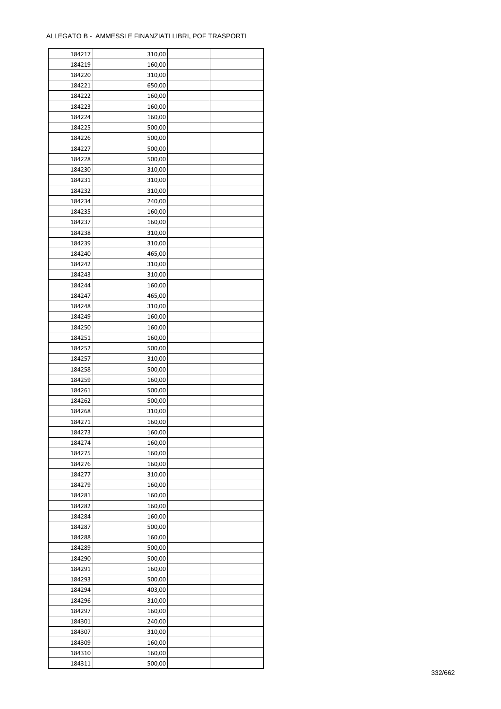| 184217 | 310,00 |  |
|--------|--------|--|
| 184219 | 160,00 |  |
| 184220 | 310,00 |  |
| 184221 | 650,00 |  |
| 184222 | 160,00 |  |
| 184223 | 160,00 |  |
| 184224 | 160,00 |  |
| 184225 | 500,00 |  |
| 184226 | 500,00 |  |
| 184227 | 500,00 |  |
| 184228 | 500,00 |  |
| 184230 | 310,00 |  |
|        |        |  |
| 184231 | 310,00 |  |
| 184232 | 310,00 |  |
| 184234 | 240,00 |  |
| 184235 | 160,00 |  |
| 184237 | 160,00 |  |
| 184238 | 310,00 |  |
| 184239 | 310,00 |  |
| 184240 | 465,00 |  |
| 184242 | 310,00 |  |
| 184243 | 310,00 |  |
| 184244 | 160,00 |  |
| 184247 | 465,00 |  |
| 184248 | 310,00 |  |
| 184249 | 160,00 |  |
| 184250 | 160,00 |  |
| 184251 | 160,00 |  |
| 184252 | 500,00 |  |
| 184257 | 310,00 |  |
| 184258 | 500,00 |  |
| 184259 | 160,00 |  |
| 184261 | 500,00 |  |
| 184262 | 500,00 |  |
| 184268 | 310,00 |  |
| 184271 | 160,00 |  |
| 184273 | 160,00 |  |
| 184274 | 160,00 |  |
| 184275 | 160,00 |  |
| 184276 | 160,00 |  |
| 184277 | 310,00 |  |
| 184279 | 160,00 |  |
|        |        |  |
| 184281 | 160,00 |  |
| 184282 | 160,00 |  |
| 184284 | 160,00 |  |
| 184287 | 500,00 |  |
| 184288 | 160,00 |  |
| 184289 | 500,00 |  |
| 184290 | 500,00 |  |
| 184291 | 160,00 |  |
| 184293 | 500,00 |  |
| 184294 | 403,00 |  |
| 184296 | 310,00 |  |
| 184297 | 160,00 |  |
| 184301 | 240,00 |  |
| 184307 | 310,00 |  |
| 184309 | 160,00 |  |
| 184310 | 160,00 |  |
| 184311 | 500,00 |  |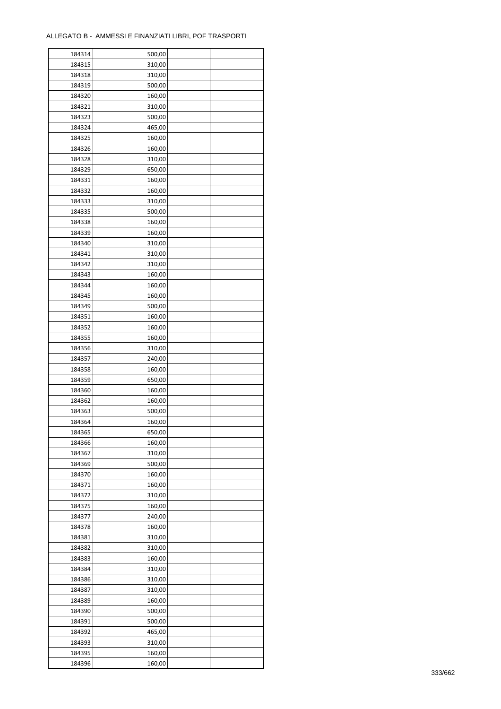| 184314 | 500,00 |  |
|--------|--------|--|
| 184315 | 310,00 |  |
| 184318 | 310,00 |  |
| 184319 | 500,00 |  |
| 184320 | 160,00 |  |
| 184321 | 310,00 |  |
| 184323 | 500,00 |  |
| 184324 | 465,00 |  |
|        |        |  |
| 184325 | 160,00 |  |
| 184326 | 160,00 |  |
| 184328 | 310,00 |  |
| 184329 | 650,00 |  |
| 184331 | 160,00 |  |
| 184332 | 160,00 |  |
| 184333 | 310,00 |  |
| 184335 | 500,00 |  |
| 184338 | 160,00 |  |
| 184339 | 160,00 |  |
| 184340 | 310,00 |  |
| 184341 | 310,00 |  |
| 184342 | 310,00 |  |
| 184343 | 160,00 |  |
| 184344 | 160,00 |  |
| 184345 | 160,00 |  |
| 184349 | 500,00 |  |
| 184351 |        |  |
|        | 160,00 |  |
| 184352 | 160,00 |  |
| 184355 | 160,00 |  |
| 184356 | 310,00 |  |
| 184357 | 240,00 |  |
| 184358 | 160,00 |  |
| 184359 | 650,00 |  |
| 184360 | 160,00 |  |
| 184362 | 160,00 |  |
| 184363 | 500,00 |  |
| 184364 | 160,00 |  |
| 184365 | 650,00 |  |
| 184366 | 160,00 |  |
| 184367 | 310,00 |  |
| 184369 | 500,00 |  |
| 184370 | 160,00 |  |
| 184371 | 160,00 |  |
| 184372 | 310,00 |  |
| 184375 | 160,00 |  |
| 184377 | 240,00 |  |
| 184378 |        |  |
|        | 160,00 |  |
| 184381 | 310,00 |  |
| 184382 | 310,00 |  |
| 184383 | 160,00 |  |
| 184384 | 310,00 |  |
| 184386 | 310,00 |  |
| 184387 | 310,00 |  |
| 184389 | 160,00 |  |
| 184390 | 500,00 |  |
| 184391 | 500,00 |  |
| 184392 | 465,00 |  |
| 184393 | 310,00 |  |
| 184395 | 160,00 |  |
| 184396 | 160,00 |  |
|        |        |  |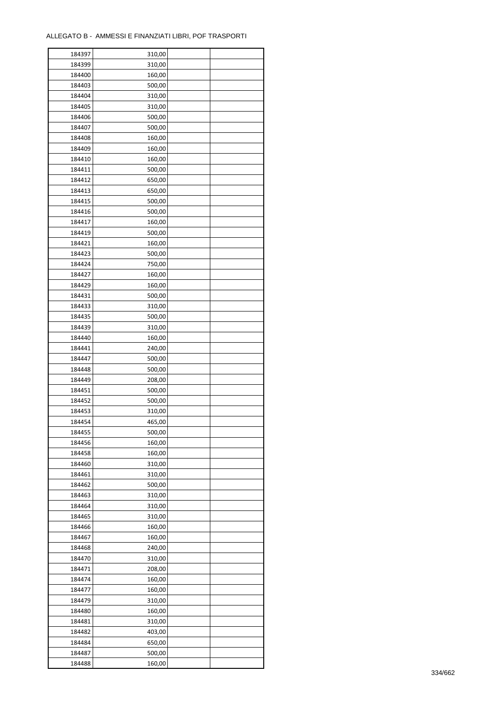÷

| 184397 | 310,00 |  |
|--------|--------|--|
| 184399 | 310,00 |  |
| 184400 | 160,00 |  |
| 184403 | 500,00 |  |
| 184404 | 310,00 |  |
| 184405 | 310,00 |  |
| 184406 | 500,00 |  |
| 184407 | 500,00 |  |
| 184408 | 160,00 |  |
| 184409 | 160,00 |  |
| 184410 | 160,00 |  |
| 184411 | 500,00 |  |
| 184412 | 650,00 |  |
|        |        |  |
| 184413 | 650,00 |  |
| 184415 | 500,00 |  |
| 184416 | 500,00 |  |
| 184417 | 160,00 |  |
| 184419 | 500,00 |  |
| 184421 | 160,00 |  |
| 184423 | 500,00 |  |
| 184424 | 750,00 |  |
| 184427 | 160,00 |  |
| 184429 | 160,00 |  |
| 184431 | 500,00 |  |
| 184433 | 310,00 |  |
| 184435 | 500,00 |  |
| 184439 | 310,00 |  |
| 184440 | 160,00 |  |
| 184441 | 240,00 |  |
| 184447 | 500,00 |  |
| 184448 | 500,00 |  |
| 184449 | 208,00 |  |
| 184451 | 500,00 |  |
| 184452 | 500,00 |  |
| 184453 | 310,00 |  |
| 184454 | 465,00 |  |
| 184455 | 500,00 |  |
| 184456 | 160,00 |  |
| 184458 | 160,00 |  |
| 184460 | 310,00 |  |
| 184461 | 310,00 |  |
| 184462 | 500,00 |  |
| 184463 | 310,00 |  |
| 184464 | 310,00 |  |
| 184465 | 310,00 |  |
| 184466 | 160,00 |  |
| 184467 | 160,00 |  |
| 184468 | 240,00 |  |
| 184470 | 310,00 |  |
| 184471 | 208,00 |  |
| 184474 | 160,00 |  |
| 184477 | 160,00 |  |
| 184479 | 310,00 |  |
| 184480 | 160,00 |  |
| 184481 | 310,00 |  |
| 184482 | 403,00 |  |
| 184484 | 650,00 |  |
| 184487 | 500,00 |  |
| 184488 | 160,00 |  |
|        |        |  |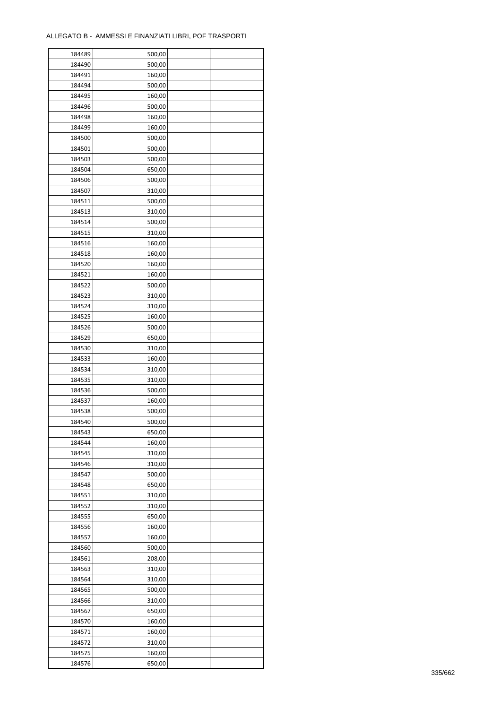| 184489 | 500,00 |  |
|--------|--------|--|
| 184490 | 500,00 |  |
| 184491 | 160,00 |  |
| 184494 | 500,00 |  |
| 184495 | 160,00 |  |
| 184496 | 500,00 |  |
| 184498 | 160,00 |  |
| 184499 | 160,00 |  |
| 184500 | 500,00 |  |
| 184501 | 500,00 |  |
| 184503 | 500,00 |  |
| 184504 | 650,00 |  |
| 184506 | 500,00 |  |
| 184507 | 310,00 |  |
|        |        |  |
| 184511 | 500,00 |  |
| 184513 | 310,00 |  |
| 184514 | 500,00 |  |
| 184515 | 310,00 |  |
| 184516 | 160,00 |  |
| 184518 | 160,00 |  |
| 184520 | 160,00 |  |
| 184521 | 160,00 |  |
| 184522 | 500,00 |  |
| 184523 | 310,00 |  |
| 184524 | 310,00 |  |
| 184525 | 160,00 |  |
| 184526 | 500,00 |  |
| 184529 | 650,00 |  |
| 184530 | 310,00 |  |
| 184533 | 160,00 |  |
| 184534 | 310,00 |  |
| 184535 | 310,00 |  |
| 184536 | 500,00 |  |
| 184537 | 160,00 |  |
| 184538 | 500,00 |  |
| 184540 | 500,00 |  |
| 184543 | 650,00 |  |
| 184544 | 160,00 |  |
| 184545 |        |  |
|        | 310,00 |  |
| 184546 | 310,00 |  |
| 184547 | 500,00 |  |
| 184548 | 650,00 |  |
| 184551 | 310,00 |  |
| 184552 | 310,00 |  |
| 184555 | 650,00 |  |
| 184556 | 160,00 |  |
| 184557 | 160,00 |  |
| 184560 | 500,00 |  |
| 184561 | 208,00 |  |
| 184563 | 310,00 |  |
| 184564 | 310,00 |  |
| 184565 | 500,00 |  |
| 184566 | 310,00 |  |
| 184567 | 650,00 |  |
| 184570 | 160,00 |  |
| 184571 | 160,00 |  |
| 184572 | 310,00 |  |
| 184575 | 160,00 |  |
| 184576 | 650,00 |  |
|        |        |  |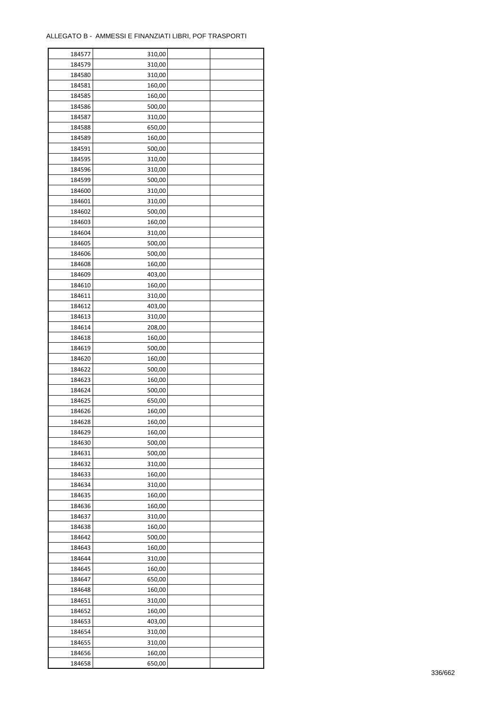ř

| 184577 | 310,00 |  |
|--------|--------|--|
| 184579 | 310,00 |  |
| 184580 | 310,00 |  |
| 184581 | 160,00 |  |
| 184585 | 160,00 |  |
| 184586 | 500,00 |  |
| 184587 | 310,00 |  |
| 184588 | 650,00 |  |
| 184589 | 160,00 |  |
| 184591 | 500,00 |  |
| 184595 | 310,00 |  |
| 184596 | 310,00 |  |
| 184599 | 500,00 |  |
|        |        |  |
| 184600 | 310,00 |  |
| 184601 | 310,00 |  |
| 184602 | 500,00 |  |
| 184603 | 160,00 |  |
| 184604 | 310,00 |  |
| 184605 | 500,00 |  |
| 184606 | 500,00 |  |
| 184608 | 160,00 |  |
| 184609 | 403,00 |  |
| 184610 | 160,00 |  |
| 184611 | 310,00 |  |
| 184612 | 403,00 |  |
| 184613 | 310,00 |  |
| 184614 | 208,00 |  |
| 184618 | 160,00 |  |
| 184619 | 500,00 |  |
| 184620 | 160,00 |  |
| 184622 | 500,00 |  |
| 184623 | 160,00 |  |
| 184624 | 500,00 |  |
| 184625 | 650,00 |  |
| 184626 | 160,00 |  |
| 184628 | 160,00 |  |
| 184629 | 160,00 |  |
| 184630 | 500,00 |  |
| 184631 | 500,00 |  |
|        |        |  |
| 184632 | 310,00 |  |
| 184633 | 160,00 |  |
| 184634 | 310,00 |  |
| 184635 | 160,00 |  |
| 184636 | 160,00 |  |
| 184637 | 310,00 |  |
| 184638 | 160,00 |  |
| 184642 | 500,00 |  |
| 184643 | 160,00 |  |
| 184644 | 310,00 |  |
| 184645 | 160,00 |  |
| 184647 | 650,00 |  |
| 184648 | 160,00 |  |
| 184651 | 310,00 |  |
| 184652 | 160,00 |  |
| 184653 | 403,00 |  |
| 184654 | 310,00 |  |
| 184655 | 310,00 |  |
| 184656 | 160,00 |  |
| 184658 | 650,00 |  |
|        |        |  |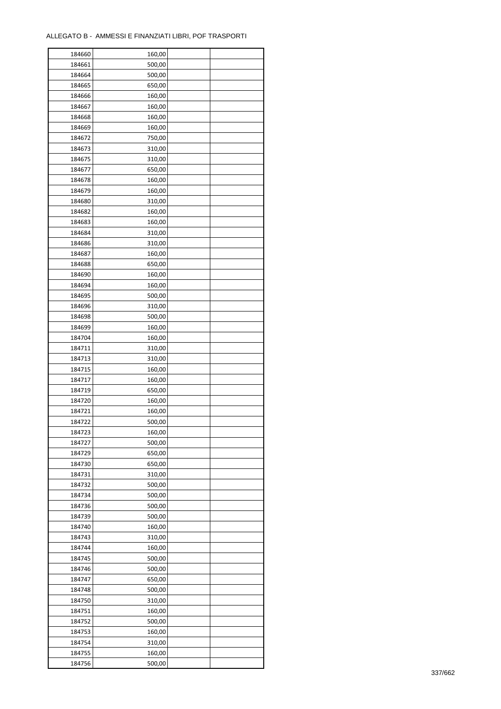| 184660 | 160,00 |  |
|--------|--------|--|
| 184661 | 500,00 |  |
| 184664 | 500,00 |  |
| 184665 | 650,00 |  |
| 184666 | 160,00 |  |
| 184667 | 160,00 |  |
| 184668 | 160,00 |  |
| 184669 | 160,00 |  |
| 184672 | 750,00 |  |
| 184673 | 310,00 |  |
| 184675 | 310,00 |  |
| 184677 |        |  |
|        | 650,00 |  |
| 184678 | 160,00 |  |
| 184679 | 160,00 |  |
| 184680 | 310,00 |  |
| 184682 | 160,00 |  |
| 184683 | 160,00 |  |
| 184684 | 310,00 |  |
| 184686 | 310,00 |  |
| 184687 | 160,00 |  |
| 184688 | 650,00 |  |
| 184690 | 160,00 |  |
| 184694 | 160,00 |  |
| 184695 | 500,00 |  |
| 184696 | 310,00 |  |
| 184698 | 500,00 |  |
| 184699 | 160,00 |  |
| 184704 | 160,00 |  |
| 184711 | 310,00 |  |
| 184713 | 310,00 |  |
| 184715 | 160,00 |  |
| 184717 | 160,00 |  |
| 184719 | 650,00 |  |
| 184720 | 160,00 |  |
| 184721 | 160,00 |  |
|        |        |  |
| 184722 | 500,00 |  |
| 184723 | 160,00 |  |
| 184727 | 500,00 |  |
| 184729 | 650,00 |  |
| 184730 | 650,00 |  |
| 184731 | 310,00 |  |
| 184732 | 500,00 |  |
| 184734 | 500,00 |  |
| 184736 | 500,00 |  |
| 184739 | 500,00 |  |
| 184740 | 160,00 |  |
| 184743 | 310,00 |  |
| 184744 | 160,00 |  |
| 184745 | 500,00 |  |
| 184746 | 500,00 |  |
| 184747 | 650,00 |  |
| 184748 | 500,00 |  |
| 184750 | 310,00 |  |
| 184751 | 160,00 |  |
| 184752 | 500,00 |  |
| 184753 | 160,00 |  |
| 184754 | 310,00 |  |
|        |        |  |
| 184755 | 160,00 |  |
| 184756 | 500,00 |  |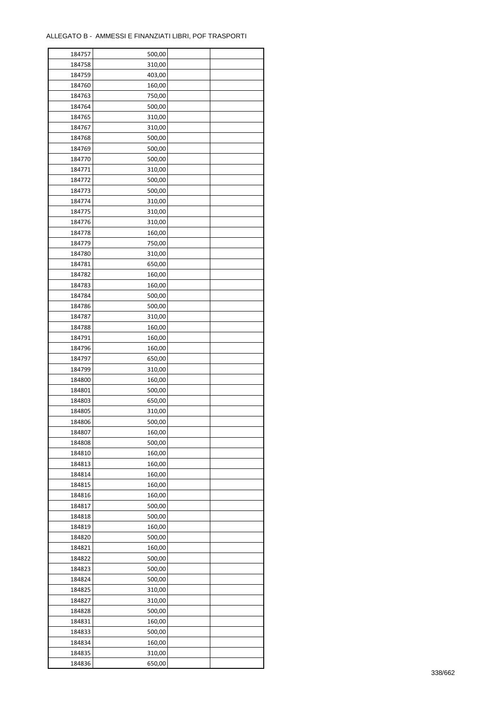| 184757 | 500,00 |  |
|--------|--------|--|
| 184758 | 310,00 |  |
| 184759 | 403,00 |  |
| 184760 | 160,00 |  |
| 184763 | 750,00 |  |
| 184764 | 500,00 |  |
| 184765 | 310,00 |  |
| 184767 | 310,00 |  |
| 184768 | 500,00 |  |
| 184769 | 500,00 |  |
|        |        |  |
| 184770 | 500,00 |  |
| 184771 | 310,00 |  |
| 184772 | 500,00 |  |
| 184773 | 500,00 |  |
| 184774 | 310,00 |  |
| 184775 | 310,00 |  |
| 184776 | 310,00 |  |
| 184778 | 160,00 |  |
| 184779 | 750,00 |  |
| 184780 | 310,00 |  |
| 184781 | 650,00 |  |
| 184782 | 160,00 |  |
| 184783 | 160,00 |  |
| 184784 | 500,00 |  |
| 184786 | 500,00 |  |
| 184787 | 310,00 |  |
| 184788 | 160,00 |  |
| 184791 | 160,00 |  |
| 184796 | 160,00 |  |
| 184797 | 650,00 |  |
|        |        |  |
| 184799 | 310,00 |  |
| 184800 | 160,00 |  |
| 184801 | 500,00 |  |
| 184803 | 650,00 |  |
| 184805 | 310,00 |  |
| 184806 | 500,00 |  |
| 184807 | 160,00 |  |
| 184808 | 500,00 |  |
| 184810 | 160,00 |  |
| 184813 | 160,00 |  |
| 184814 | 160,00 |  |
| 184815 | 160,00 |  |
| 184816 | 160,00 |  |
| 184817 | 500,00 |  |
| 184818 | 500,00 |  |
| 184819 | 160,00 |  |
| 184820 | 500,00 |  |
| 184821 | 160,00 |  |
| 184822 | 500,00 |  |
| 184823 | 500,00 |  |
| 184824 | 500,00 |  |
| 184825 | 310,00 |  |
|        |        |  |
| 184827 | 310,00 |  |
| 184828 | 500,00 |  |
| 184831 | 160,00 |  |
| 184833 | 500,00 |  |
| 184834 | 160,00 |  |
| 184835 | 310,00 |  |
| 184836 | 650,00 |  |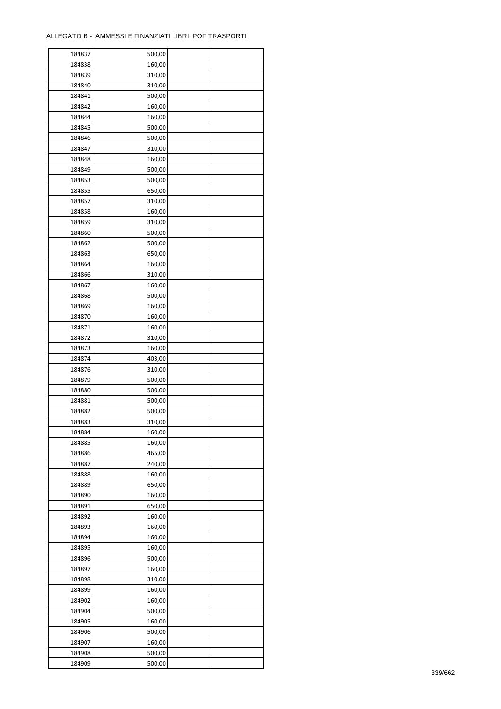| 184837 | 500,00 |  |
|--------|--------|--|
| 184838 | 160,00 |  |
| 184839 | 310,00 |  |
| 184840 | 310,00 |  |
| 184841 | 500,00 |  |
| 184842 | 160,00 |  |
| 184844 | 160,00 |  |
| 184845 | 500,00 |  |
|        |        |  |
| 184846 | 500,00 |  |
| 184847 | 310,00 |  |
| 184848 | 160,00 |  |
| 184849 | 500,00 |  |
| 184853 | 500,00 |  |
| 184855 | 650,00 |  |
| 184857 | 310,00 |  |
| 184858 | 160,00 |  |
| 184859 | 310,00 |  |
| 184860 | 500,00 |  |
| 184862 | 500,00 |  |
| 184863 | 650,00 |  |
| 184864 | 160,00 |  |
| 184866 | 310,00 |  |
| 184867 | 160,00 |  |
| 184868 | 500,00 |  |
| 184869 | 160,00 |  |
| 184870 | 160,00 |  |
| 184871 | 160,00 |  |
| 184872 | 310,00 |  |
| 184873 | 160,00 |  |
| 184874 | 403,00 |  |
|        |        |  |
| 184876 | 310,00 |  |
| 184879 | 500,00 |  |
| 184880 | 500,00 |  |
| 184881 | 500,00 |  |
| 184882 | 500,00 |  |
| 184883 | 310,00 |  |
| 184884 | 160,00 |  |
| 184885 | 160,00 |  |
| 184886 | 465,00 |  |
| 184887 | 240,00 |  |
| 184888 | 160,00 |  |
| 184889 | 650,00 |  |
| 184890 | 160,00 |  |
| 184891 | 650,00 |  |
| 184892 | 160,00 |  |
| 184893 | 160,00 |  |
| 184894 | 160,00 |  |
| 184895 | 160,00 |  |
| 184896 | 500,00 |  |
| 184897 | 160,00 |  |
| 184898 | 310,00 |  |
| 184899 | 160,00 |  |
| 184902 | 160,00 |  |
|        |        |  |
| 184904 | 500,00 |  |
| 184905 | 160,00 |  |
| 184906 | 500,00 |  |
| 184907 | 160,00 |  |
| 184908 | 500,00 |  |
| 184909 | 500,00 |  |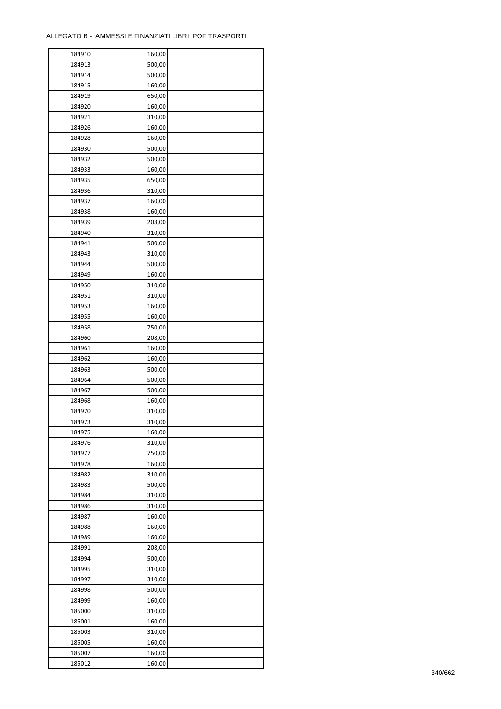÷

| 184910 | 160,00 |  |
|--------|--------|--|
| 184913 | 500,00 |  |
| 184914 | 500,00 |  |
| 184915 | 160,00 |  |
| 184919 | 650,00 |  |
| 184920 | 160,00 |  |
| 184921 | 310,00 |  |
| 184926 | 160,00 |  |
| 184928 | 160,00 |  |
| 184930 | 500,00 |  |
| 184932 | 500,00 |  |
| 184933 | 160,00 |  |
| 184935 | 650,00 |  |
|        |        |  |
| 184936 | 310,00 |  |
| 184937 | 160,00 |  |
| 184938 | 160,00 |  |
| 184939 | 208,00 |  |
| 184940 | 310,00 |  |
| 184941 | 500,00 |  |
| 184943 | 310,00 |  |
| 184944 | 500,00 |  |
| 184949 | 160,00 |  |
| 184950 | 310,00 |  |
| 184951 | 310,00 |  |
| 184953 | 160,00 |  |
| 184955 | 160,00 |  |
| 184958 | 750,00 |  |
| 184960 | 208,00 |  |
| 184961 | 160,00 |  |
| 184962 | 160,00 |  |
| 184963 | 500,00 |  |
| 184964 | 500,00 |  |
| 184967 | 500,00 |  |
| 184968 | 160,00 |  |
| 184970 | 310,00 |  |
| 184973 | 310,00 |  |
| 184975 | 160,00 |  |
| 184976 | 310,00 |  |
| 184977 | 750,00 |  |
| 184978 | 160,00 |  |
|        |        |  |
| 184982 | 310,00 |  |
| 184983 | 500,00 |  |
| 184984 | 310,00 |  |
| 184986 | 310,00 |  |
| 184987 | 160,00 |  |
| 184988 | 160,00 |  |
| 184989 | 160,00 |  |
| 184991 | 208,00 |  |
| 184994 | 500,00 |  |
| 184995 | 310,00 |  |
| 184997 | 310,00 |  |
| 184998 | 500,00 |  |
| 184999 | 160,00 |  |
| 185000 | 310,00 |  |
| 185001 | 160,00 |  |
| 185003 | 310,00 |  |
| 185005 | 160,00 |  |
| 185007 | 160,00 |  |
| 185012 | 160,00 |  |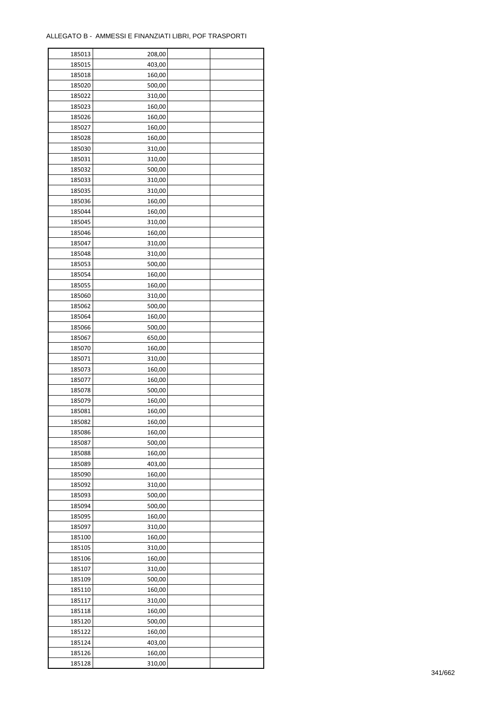| 185013 | 208,00 |  |
|--------|--------|--|
| 185015 | 403,00 |  |
| 185018 | 160,00 |  |
| 185020 | 500,00 |  |
| 185022 | 310,00 |  |
| 185023 | 160,00 |  |
| 185026 | 160,00 |  |
| 185027 | 160,00 |  |
| 185028 | 160,00 |  |
| 185030 | 310,00 |  |
| 185031 | 310,00 |  |
| 185032 | 500,00 |  |
| 185033 | 310,00 |  |
| 185035 | 310,00 |  |
| 185036 |        |  |
|        | 160,00 |  |
| 185044 | 160,00 |  |
| 185045 | 310,00 |  |
| 185046 | 160,00 |  |
| 185047 | 310,00 |  |
| 185048 | 310,00 |  |
| 185053 | 500,00 |  |
| 185054 | 160,00 |  |
| 185055 | 160,00 |  |
| 185060 | 310,00 |  |
| 185062 | 500,00 |  |
| 185064 | 160,00 |  |
| 185066 | 500,00 |  |
| 185067 | 650,00 |  |
| 185070 | 160,00 |  |
| 185071 | 310,00 |  |
| 185073 | 160,00 |  |
| 185077 | 160,00 |  |
| 185078 | 500,00 |  |
| 185079 | 160,00 |  |
| 185081 | 160,00 |  |
| 185082 | 160,00 |  |
| 185086 | 160,00 |  |
| 185087 | 500,00 |  |
| 185088 | 160,00 |  |
|        | 403,00 |  |
| 185089 |        |  |
| 185090 | 160,00 |  |
| 185092 | 310,00 |  |
| 185093 | 500,00 |  |
| 185094 | 500,00 |  |
| 185095 | 160,00 |  |
| 185097 | 310,00 |  |
| 185100 | 160,00 |  |
| 185105 | 310,00 |  |
| 185106 | 160,00 |  |
| 185107 | 310,00 |  |
| 185109 | 500,00 |  |
| 185110 | 160,00 |  |
| 185117 | 310,00 |  |
| 185118 | 160,00 |  |
| 185120 | 500,00 |  |
| 185122 | 160,00 |  |
| 185124 | 403,00 |  |
| 185126 | 160,00 |  |
| 185128 | 310,00 |  |
|        |        |  |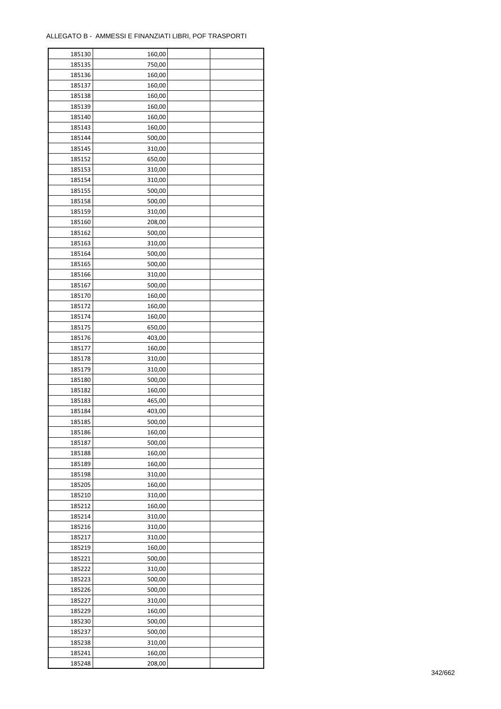÷

| 185130 | 160,00 |  |
|--------|--------|--|
| 185135 | 750,00 |  |
| 185136 | 160,00 |  |
| 185137 | 160,00 |  |
| 185138 | 160,00 |  |
| 185139 | 160,00 |  |
| 185140 | 160,00 |  |
| 185143 | 160,00 |  |
| 185144 | 500,00 |  |
| 185145 | 310,00 |  |
| 185152 | 650,00 |  |
| 185153 | 310,00 |  |
| 185154 | 310,00 |  |
| 185155 | 500,00 |  |
| 185158 | 500,00 |  |
|        |        |  |
| 185159 | 310,00 |  |
| 185160 | 208,00 |  |
| 185162 | 500,00 |  |
| 185163 | 310,00 |  |
| 185164 | 500,00 |  |
| 185165 | 500,00 |  |
| 185166 | 310,00 |  |
| 185167 | 500,00 |  |
| 185170 | 160,00 |  |
| 185172 | 160,00 |  |
| 185174 | 160,00 |  |
| 185175 | 650,00 |  |
| 185176 | 403,00 |  |
| 185177 | 160,00 |  |
| 185178 | 310,00 |  |
| 185179 | 310,00 |  |
| 185180 | 500,00 |  |
| 185182 | 160,00 |  |
| 185183 | 465,00 |  |
| 185184 | 403,00 |  |
| 185185 | 500,00 |  |
| 185186 | 160,00 |  |
| 185187 | 500,00 |  |
| 185188 | 160,00 |  |
| 185189 | 160,00 |  |
| 185198 | 310,00 |  |
| 185205 | 160,00 |  |
| 185210 | 310,00 |  |
| 185212 | 160,00 |  |
| 185214 | 310,00 |  |
| 185216 | 310,00 |  |
| 185217 | 310,00 |  |
| 185219 | 160,00 |  |
| 185221 | 500,00 |  |
| 185222 | 310,00 |  |
| 185223 | 500,00 |  |
| 185226 | 500,00 |  |
| 185227 | 310,00 |  |
| 185229 | 160,00 |  |
| 185230 | 500,00 |  |
| 185237 | 500,00 |  |
| 185238 | 310,00 |  |
| 185241 | 160,00 |  |
| 185248 | 208,00 |  |
|        |        |  |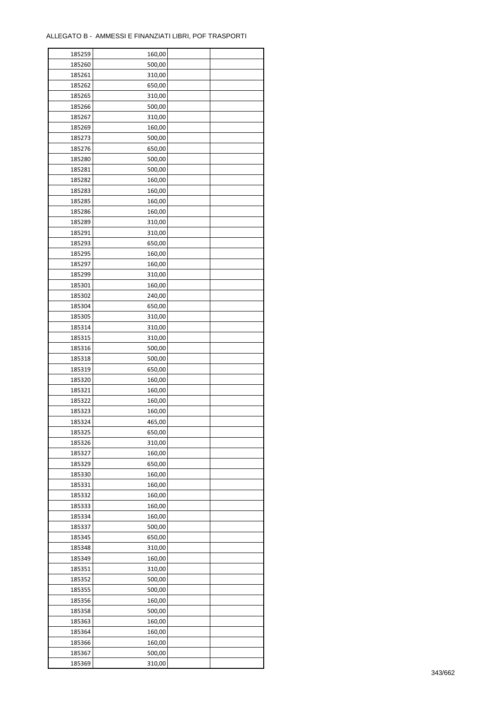| 185259 | 160,00 |  |
|--------|--------|--|
| 185260 | 500,00 |  |
| 185261 | 310,00 |  |
| 185262 | 650,00 |  |
| 185265 | 310,00 |  |
| 185266 | 500,00 |  |
| 185267 | 310,00 |  |
| 185269 | 160,00 |  |
| 185273 | 500,00 |  |
| 185276 | 650,00 |  |
| 185280 | 500,00 |  |
| 185281 | 500,00 |  |
|        |        |  |
| 185282 | 160,00 |  |
| 185283 | 160,00 |  |
| 185285 | 160,00 |  |
| 185286 | 160,00 |  |
| 185289 | 310,00 |  |
| 185291 | 310,00 |  |
| 185293 | 650,00 |  |
| 185295 | 160,00 |  |
| 185297 | 160,00 |  |
| 185299 | 310,00 |  |
| 185301 | 160,00 |  |
| 185302 | 240,00 |  |
| 185304 | 650,00 |  |
| 185305 | 310,00 |  |
| 185314 | 310,00 |  |
| 185315 | 310,00 |  |
| 185316 | 500,00 |  |
| 185318 | 500,00 |  |
| 185319 | 650,00 |  |
| 185320 | 160,00 |  |
| 185321 | 160,00 |  |
| 185322 | 160,00 |  |
| 185323 | 160,00 |  |
| 185324 | 465,00 |  |
| 185325 | 650,00 |  |
| 185326 | 310,00 |  |
| 185327 | 160,00 |  |
| 185329 | 650,00 |  |
| 185330 | 160,00 |  |
| 185331 | 160,00 |  |
| 185332 | 160,00 |  |
| 185333 | 160,00 |  |
| 185334 | 160,00 |  |
| 185337 | 500,00 |  |
| 185345 | 650,00 |  |
| 185348 | 310,00 |  |
| 185349 | 160,00 |  |
| 185351 | 310,00 |  |
| 185352 | 500,00 |  |
| 185355 | 500,00 |  |
| 185356 | 160,00 |  |
| 185358 | 500,00 |  |
| 185363 | 160,00 |  |
| 185364 | 160,00 |  |
| 185366 | 160,00 |  |
|        |        |  |
| 185367 | 500,00 |  |
| 185369 | 310,00 |  |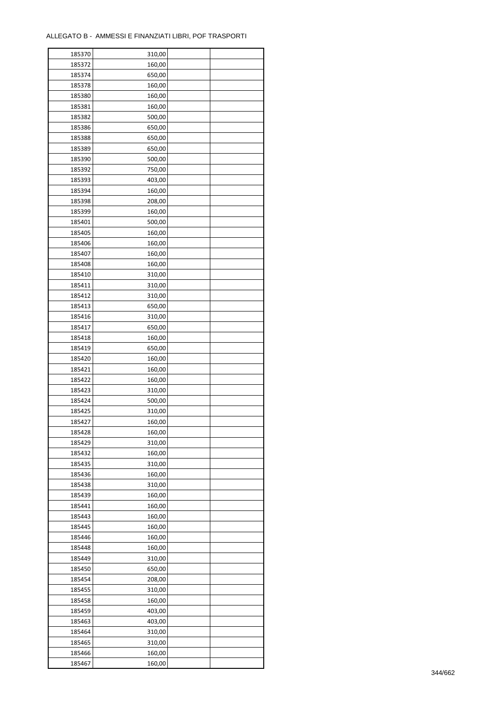| 185370 | 310,00 |  |
|--------|--------|--|
| 185372 | 160,00 |  |
| 185374 | 650,00 |  |
| 185378 | 160,00 |  |
| 185380 | 160,00 |  |
| 185381 | 160,00 |  |
| 185382 | 500,00 |  |
| 185386 | 650,00 |  |
| 185388 | 650,00 |  |
| 185389 | 650,00 |  |
| 185390 | 500,00 |  |
| 185392 | 750,00 |  |
| 185393 |        |  |
|        | 403,00 |  |
| 185394 | 160,00 |  |
| 185398 | 208,00 |  |
| 185399 | 160,00 |  |
| 185401 | 500,00 |  |
| 185405 | 160,00 |  |
| 185406 | 160,00 |  |
| 185407 | 160,00 |  |
| 185408 | 160,00 |  |
| 185410 | 310,00 |  |
| 185411 | 310,00 |  |
| 185412 | 310,00 |  |
| 185413 | 650,00 |  |
| 185416 | 310,00 |  |
| 185417 | 650,00 |  |
| 185418 | 160,00 |  |
| 185419 | 650,00 |  |
| 185420 | 160,00 |  |
| 185421 | 160,00 |  |
| 185422 | 160,00 |  |
| 185423 | 310,00 |  |
| 185424 | 500,00 |  |
| 185425 | 310,00 |  |
| 185427 | 160,00 |  |
| 185428 | 160,00 |  |
| 185429 | 310,00 |  |
| 185432 | 160,00 |  |
| 185435 | 310,00 |  |
| 185436 | 160,00 |  |
| 185438 | 310,00 |  |
| 185439 | 160,00 |  |
| 185441 | 160,00 |  |
| 185443 | 160,00 |  |
| 185445 | 160,00 |  |
| 185446 | 160,00 |  |
| 185448 | 160,00 |  |
| 185449 | 310,00 |  |
| 185450 | 650,00 |  |
| 185454 | 208,00 |  |
| 185455 | 310,00 |  |
| 185458 | 160,00 |  |
| 185459 | 403,00 |  |
| 185463 | 403,00 |  |
| 185464 | 310,00 |  |
| 185465 | 310,00 |  |
|        |        |  |
| 185466 | 160,00 |  |
| 185467 | 160,00 |  |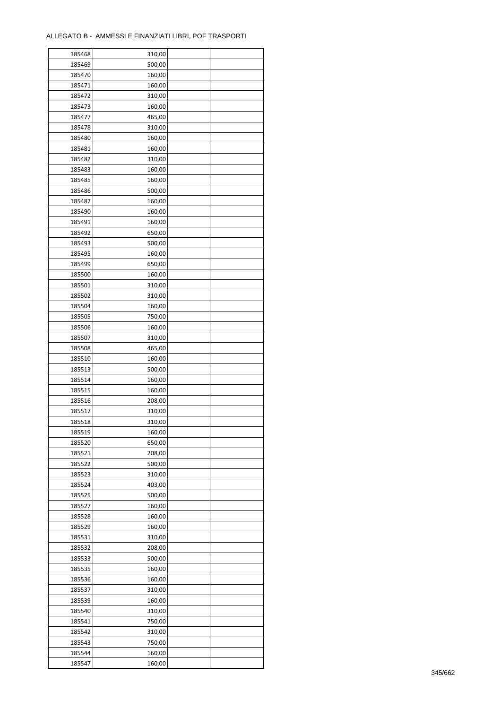÷

| 185468 | 310,00 |  |
|--------|--------|--|
| 185469 | 500,00 |  |
| 185470 | 160,00 |  |
| 185471 | 160,00 |  |
| 185472 | 310,00 |  |
| 185473 | 160,00 |  |
| 185477 | 465,00 |  |
| 185478 | 310,00 |  |
| 185480 | 160,00 |  |
| 185481 | 160,00 |  |
| 185482 |        |  |
|        | 310,00 |  |
| 185483 | 160,00 |  |
| 185485 | 160,00 |  |
| 185486 | 500,00 |  |
| 185487 | 160,00 |  |
| 185490 | 160,00 |  |
| 185491 | 160,00 |  |
| 185492 | 650,00 |  |
| 185493 | 500,00 |  |
| 185495 | 160,00 |  |
| 185499 | 650,00 |  |
| 185500 | 160,00 |  |
| 185501 | 310,00 |  |
| 185502 | 310,00 |  |
| 185504 | 160,00 |  |
| 185505 | 750,00 |  |
| 185506 | 160,00 |  |
| 185507 | 310,00 |  |
| 185508 | 465,00 |  |
| 185510 | 160,00 |  |
| 185513 | 500,00 |  |
| 185514 | 160,00 |  |
|        |        |  |
| 185515 | 160,00 |  |
| 185516 | 208,00 |  |
| 185517 | 310,00 |  |
| 185518 | 310,00 |  |
| 185519 | 160,00 |  |
| 185520 | 650,00 |  |
| 185521 | 208,00 |  |
| 185522 | 500,00 |  |
| 185523 | 310,00 |  |
| 185524 | 403,00 |  |
| 185525 | 500,00 |  |
| 185527 | 160,00 |  |
| 185528 | 160,00 |  |
| 185529 | 160,00 |  |
| 185531 | 310,00 |  |
| 185532 | 208,00 |  |
| 185533 | 500,00 |  |
| 185535 | 160,00 |  |
| 185536 | 160,00 |  |
| 185537 | 310,00 |  |
| 185539 | 160,00 |  |
| 185540 | 310,00 |  |
| 185541 | 750,00 |  |
|        |        |  |
| 185542 | 310,00 |  |
| 185543 | 750,00 |  |
| 185544 | 160,00 |  |
| 185547 | 160,00 |  |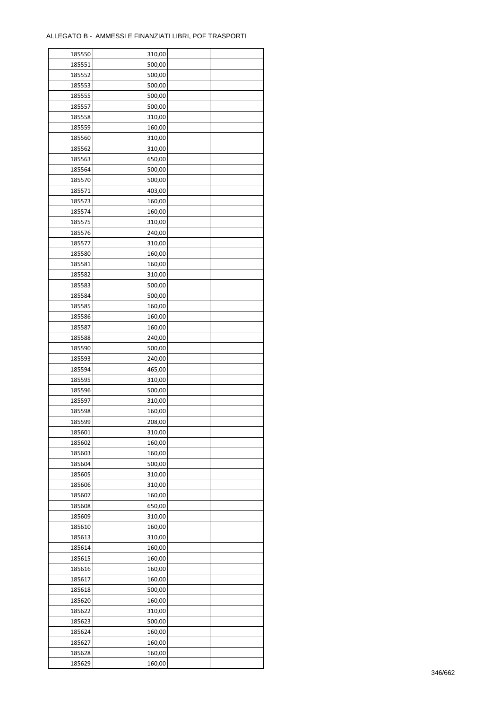| 185550 | 310,00 |  |
|--------|--------|--|
| 185551 | 500,00 |  |
| 185552 | 500,00 |  |
| 185553 | 500,00 |  |
| 185555 | 500,00 |  |
| 185557 | 500,00 |  |
| 185558 | 310,00 |  |
| 185559 | 160,00 |  |
| 185560 | 310,00 |  |
| 185562 | 310,00 |  |
| 185563 | 650,00 |  |
| 185564 | 500,00 |  |
| 185570 | 500,00 |  |
|        |        |  |
| 185571 | 403,00 |  |
| 185573 | 160,00 |  |
| 185574 | 160,00 |  |
| 185575 | 310,00 |  |
| 185576 | 240,00 |  |
| 185577 | 310,00 |  |
| 185580 | 160,00 |  |
| 185581 | 160,00 |  |
| 185582 | 310,00 |  |
| 185583 | 500,00 |  |
| 185584 | 500,00 |  |
| 185585 | 160,00 |  |
| 185586 | 160,00 |  |
| 185587 | 160,00 |  |
| 185588 | 240,00 |  |
| 185590 | 500,00 |  |
| 185593 | 240,00 |  |
| 185594 | 465,00 |  |
| 185595 | 310,00 |  |
| 185596 | 500,00 |  |
| 185597 | 310,00 |  |
| 185598 | 160,00 |  |
| 185599 | 208,00 |  |
| 185601 | 310,00 |  |
| 185602 | 160,00 |  |
| 185603 | 160,00 |  |
| 185604 | 500,00 |  |
| 185605 | 310,00 |  |
| 185606 | 310,00 |  |
| 185607 | 160,00 |  |
| 185608 | 650,00 |  |
| 185609 | 310,00 |  |
| 185610 | 160,00 |  |
| 185613 | 310,00 |  |
| 185614 | 160,00 |  |
| 185615 | 160,00 |  |
| 185616 | 160,00 |  |
| 185617 | 160,00 |  |
| 185618 | 500,00 |  |
| 185620 | 160,00 |  |
| 185622 | 310,00 |  |
| 185623 | 500,00 |  |
| 185624 | 160,00 |  |
| 185627 | 160,00 |  |
| 185628 | 160,00 |  |
| 185629 | 160,00 |  |
|        |        |  |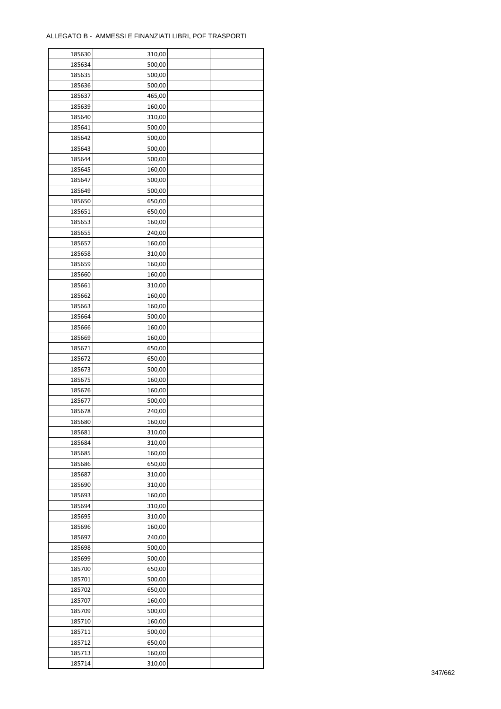| 185630 | 310,00 |  |
|--------|--------|--|
| 185634 | 500,00 |  |
| 185635 | 500,00 |  |
| 185636 | 500,00 |  |
| 185637 | 465,00 |  |
| 185639 | 160,00 |  |
| 185640 | 310,00 |  |
| 185641 | 500,00 |  |
| 185642 | 500,00 |  |
|        |        |  |
| 185643 | 500,00 |  |
| 185644 | 500,00 |  |
| 185645 | 160,00 |  |
| 185647 | 500,00 |  |
| 185649 | 500,00 |  |
| 185650 | 650,00 |  |
| 185651 | 650,00 |  |
| 185653 | 160,00 |  |
| 185655 | 240,00 |  |
| 185657 | 160,00 |  |
| 185658 | 310,00 |  |
| 185659 | 160,00 |  |
| 185660 | 160,00 |  |
| 185661 | 310,00 |  |
| 185662 | 160,00 |  |
| 185663 | 160,00 |  |
| 185664 | 500,00 |  |
| 185666 | 160,00 |  |
| 185669 | 160,00 |  |
| 185671 | 650,00 |  |
| 185672 | 650,00 |  |
|        |        |  |
| 185673 | 500,00 |  |
| 185675 | 160,00 |  |
| 185676 | 160,00 |  |
| 185677 | 500,00 |  |
| 185678 | 240,00 |  |
| 185680 | 160,00 |  |
| 185681 | 310,00 |  |
| 185684 | 310,00 |  |
| 185685 | 160,00 |  |
| 185686 | 650,00 |  |
| 185687 | 310,00 |  |
| 185690 | 310,00 |  |
| 185693 | 160,00 |  |
| 185694 | 310,00 |  |
| 185695 | 310,00 |  |
| 185696 | 160,00 |  |
| 185697 | 240,00 |  |
| 185698 | 500,00 |  |
| 185699 | 500,00 |  |
| 185700 | 650,00 |  |
| 185701 | 500,00 |  |
| 185702 | 650,00 |  |
| 185707 | 160,00 |  |
|        | 500,00 |  |
| 185709 |        |  |
| 185710 | 160,00 |  |
| 185711 | 500,00 |  |
| 185712 | 650,00 |  |
| 185713 | 160,00 |  |
| 185714 | 310,00 |  |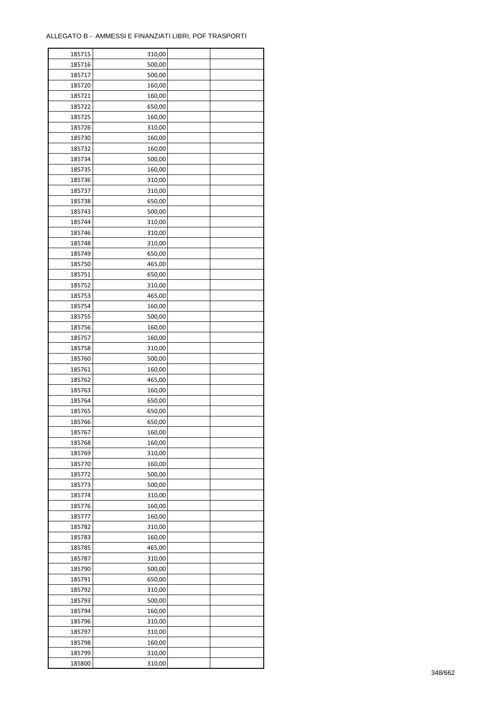÷

| 185715 | 310,00 |  |
|--------|--------|--|
| 185716 | 500,00 |  |
| 185717 | 500,00 |  |
| 185720 | 160,00 |  |
| 185721 | 160,00 |  |
| 185722 | 650,00 |  |
| 185725 | 160,00 |  |
| 185726 | 310,00 |  |
|        |        |  |
| 185730 | 160,00 |  |
| 185732 | 160,00 |  |
| 185734 | 500,00 |  |
| 185735 | 160,00 |  |
| 185736 | 310,00 |  |
| 185737 | 310,00 |  |
| 185738 | 650,00 |  |
| 185743 | 500,00 |  |
| 185744 | 310,00 |  |
| 185746 | 310,00 |  |
| 185748 | 310,00 |  |
| 185749 | 650,00 |  |
| 185750 | 465,00 |  |
| 185751 | 650,00 |  |
| 185752 | 310,00 |  |
| 185753 | 465,00 |  |
| 185754 | 160,00 |  |
| 185755 | 500,00 |  |
|        |        |  |
| 185756 | 160,00 |  |
| 185757 | 160,00 |  |
| 185758 | 310,00 |  |
| 185760 | 500,00 |  |
| 185761 | 160,00 |  |
| 185762 | 465,00 |  |
| 185763 | 160,00 |  |
| 185764 | 650,00 |  |
| 185765 | 650,00 |  |
| 185766 | 650,00 |  |
| 185767 | 160,00 |  |
| 185768 | 160,00 |  |
| 185769 | 310,00 |  |
| 185770 | 160,00 |  |
| 185772 | 500,00 |  |
| 185773 | 500,00 |  |
| 185774 | 310,00 |  |
| 185776 | 160,00 |  |
| 185777 | 160,00 |  |
|        |        |  |
| 185782 | 310,00 |  |
| 185783 | 160,00 |  |
| 185785 | 465,00 |  |
| 185787 | 310,00 |  |
| 185790 | 500,00 |  |
| 185791 | 650,00 |  |
| 185792 | 310,00 |  |
| 185793 | 500,00 |  |
| 185794 | 160,00 |  |
| 185796 | 310,00 |  |
| 185797 | 310,00 |  |
| 185798 | 160,00 |  |
| 185799 | 310,00 |  |
| 185800 | 310,00 |  |
|        |        |  |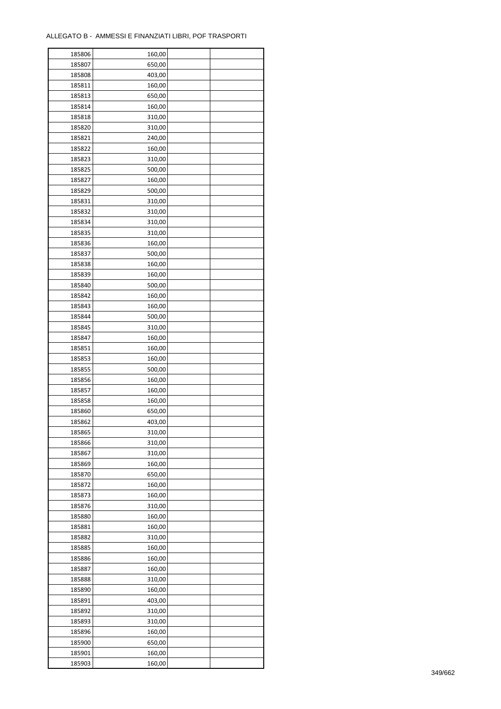| 185806 | 160,00 |  |
|--------|--------|--|
| 185807 | 650,00 |  |
| 185808 | 403,00 |  |
| 185811 | 160,00 |  |
| 185813 | 650,00 |  |
| 185814 | 160,00 |  |
| 185818 | 310,00 |  |
| 185820 | 310,00 |  |
|        |        |  |
| 185821 | 240,00 |  |
| 185822 | 160,00 |  |
| 185823 | 310,00 |  |
| 185825 | 500,00 |  |
| 185827 | 160,00 |  |
| 185829 | 500,00 |  |
| 185831 | 310,00 |  |
| 185832 | 310,00 |  |
| 185834 | 310,00 |  |
| 185835 | 310,00 |  |
| 185836 | 160,00 |  |
| 185837 | 500,00 |  |
| 185838 | 160,00 |  |
| 185839 | 160,00 |  |
| 185840 | 500,00 |  |
| 185842 | 160,00 |  |
|        |        |  |
| 185843 | 160,00 |  |
| 185844 | 500,00 |  |
| 185845 | 310,00 |  |
| 185847 | 160,00 |  |
| 185851 | 160,00 |  |
| 185853 | 160,00 |  |
| 185855 | 500,00 |  |
| 185856 | 160,00 |  |
| 185857 | 160,00 |  |
| 185858 | 160,00 |  |
| 185860 | 650,00 |  |
| 185862 | 403,00 |  |
| 185865 | 310,00 |  |
| 185866 | 310,00 |  |
| 185867 | 310,00 |  |
| 185869 | 160,00 |  |
| 185870 | 650,00 |  |
|        |        |  |
| 185872 | 160,00 |  |
| 185873 | 160,00 |  |
| 185876 | 310,00 |  |
| 185880 | 160,00 |  |
| 185881 | 160,00 |  |
| 185882 | 310,00 |  |
| 185885 | 160,00 |  |
| 185886 | 160,00 |  |
| 185887 | 160,00 |  |
| 185888 | 310,00 |  |
| 185890 | 160,00 |  |
| 185891 | 403,00 |  |
| 185892 | 310,00 |  |
| 185893 | 310,00 |  |
| 185896 | 160,00 |  |
| 185900 | 650,00 |  |
|        |        |  |
| 185901 | 160,00 |  |
| 185903 | 160,00 |  |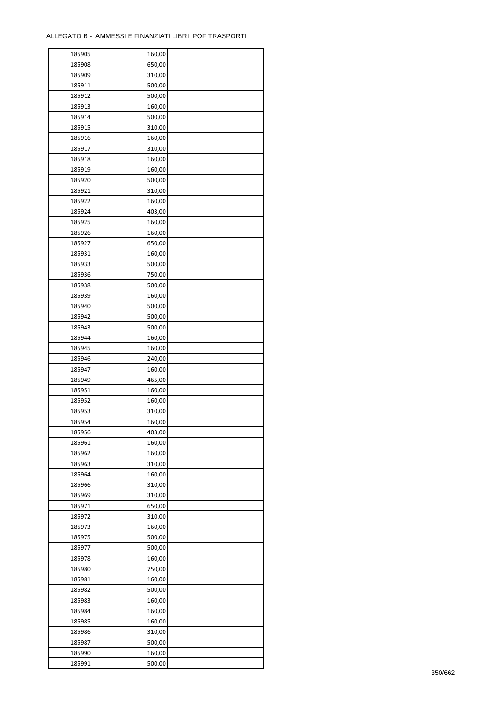| 185905 | 160,00 |  |
|--------|--------|--|
| 185908 | 650,00 |  |
| 185909 | 310,00 |  |
| 185911 | 500,00 |  |
| 185912 | 500,00 |  |
| 185913 | 160,00 |  |
| 185914 | 500,00 |  |
| 185915 | 310,00 |  |
| 185916 | 160,00 |  |
| 185917 | 310,00 |  |
| 185918 | 160,00 |  |
| 185919 | 160,00 |  |
| 185920 | 500,00 |  |
| 185921 | 310,00 |  |
| 185922 | 160,00 |  |
| 185924 | 403,00 |  |
| 185925 | 160,00 |  |
| 185926 | 160,00 |  |
| 185927 | 650,00 |  |
| 185931 | 160,00 |  |
| 185933 | 500,00 |  |
| 185936 | 750,00 |  |
|        |        |  |
| 185938 | 500,00 |  |
| 185939 | 160,00 |  |
| 185940 | 500,00 |  |
| 185942 | 500,00 |  |
| 185943 | 500,00 |  |
| 185944 | 160,00 |  |
| 185945 | 160,00 |  |
| 185946 | 240,00 |  |
| 185947 | 160,00 |  |
| 185949 | 465,00 |  |
| 185951 | 160,00 |  |
| 185952 | 160,00 |  |
| 185953 | 310,00 |  |
| 185954 | 160,00 |  |
| 185956 | 403,00 |  |
| 185961 | 160,00 |  |
| 185962 | 160,00 |  |
| 185963 | 310,00 |  |
| 185964 | 160,00 |  |
| 185966 | 310,00 |  |
| 185969 | 310,00 |  |
| 185971 | 650,00 |  |
| 185972 | 310,00 |  |
| 185973 | 160,00 |  |
| 185975 | 500,00 |  |
| 185977 | 500,00 |  |
| 185978 | 160,00 |  |
| 185980 | 750,00 |  |
| 185981 | 160,00 |  |
| 185982 | 500,00 |  |
| 185983 | 160,00 |  |
| 185984 | 160,00 |  |
| 185985 | 160,00 |  |
| 185986 | 310,00 |  |
| 185987 | 500,00 |  |
| 185990 | 160,00 |  |
| 185991 | 500,00 |  |
|        |        |  |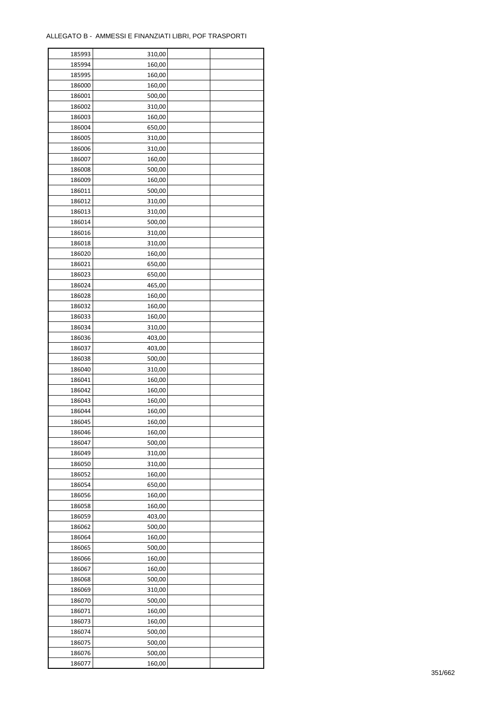| 185993 | 310,00 |  |
|--------|--------|--|
| 185994 | 160,00 |  |
| 185995 | 160,00 |  |
| 186000 | 160,00 |  |
| 186001 | 500,00 |  |
| 186002 | 310,00 |  |
| 186003 | 160,00 |  |
| 186004 | 650,00 |  |
| 186005 | 310,00 |  |
| 186006 | 310,00 |  |
|        |        |  |
| 186007 | 160,00 |  |
| 186008 | 500,00 |  |
| 186009 | 160,00 |  |
| 186011 | 500,00 |  |
| 186012 | 310,00 |  |
| 186013 | 310,00 |  |
| 186014 | 500,00 |  |
| 186016 | 310,00 |  |
| 186018 | 310,00 |  |
| 186020 | 160,00 |  |
| 186021 | 650,00 |  |
| 186023 | 650,00 |  |
| 186024 | 465,00 |  |
| 186028 | 160,00 |  |
| 186032 | 160,00 |  |
| 186033 | 160,00 |  |
| 186034 | 310,00 |  |
| 186036 | 403,00 |  |
| 186037 | 403,00 |  |
| 186038 | 500,00 |  |
|        |        |  |
| 186040 | 310,00 |  |
| 186041 | 160,00 |  |
| 186042 | 160,00 |  |
| 186043 | 160,00 |  |
| 186044 | 160,00 |  |
| 186045 | 160,00 |  |
| 186046 | 160,00 |  |
| 186047 | 500,00 |  |
| 186049 | 310,00 |  |
| 186050 | 310,00 |  |
| 186052 | 160,00 |  |
| 186054 | 650,00 |  |
| 186056 | 160,00 |  |
| 186058 | 160,00 |  |
| 186059 | 403,00 |  |
| 186062 | 500,00 |  |
| 186064 | 160,00 |  |
| 186065 | 500,00 |  |
| 186066 | 160,00 |  |
| 186067 | 160,00 |  |
| 186068 | 500,00 |  |
| 186069 | 310,00 |  |
| 186070 | 500,00 |  |
|        |        |  |
| 186071 | 160,00 |  |
| 186073 | 160,00 |  |
| 186074 | 500,00 |  |
| 186075 | 500,00 |  |
| 186076 | 500,00 |  |
| 186077 | 160,00 |  |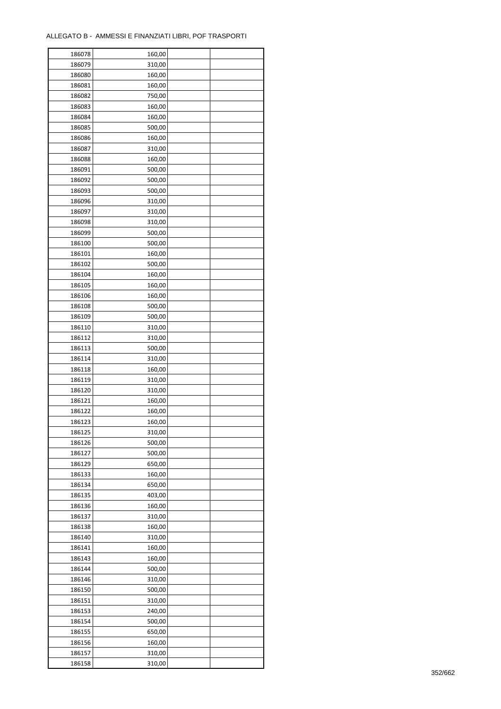| 186078 | 160,00 |  |
|--------|--------|--|
| 186079 | 310,00 |  |
| 186080 | 160,00 |  |
| 186081 | 160,00 |  |
| 186082 | 750,00 |  |
| 186083 | 160,00 |  |
| 186084 | 160,00 |  |
| 186085 | 500,00 |  |
| 186086 | 160,00 |  |
| 186087 | 310,00 |  |
| 186088 | 160,00 |  |
| 186091 | 500,00 |  |
| 186092 | 500,00 |  |
| 186093 | 500,00 |  |
|        |        |  |
| 186096 | 310,00 |  |
| 186097 | 310,00 |  |
| 186098 | 310,00 |  |
| 186099 | 500,00 |  |
| 186100 | 500,00 |  |
| 186101 | 160,00 |  |
| 186102 | 500,00 |  |
| 186104 | 160,00 |  |
| 186105 | 160,00 |  |
| 186106 | 160,00 |  |
| 186108 | 500,00 |  |
| 186109 | 500,00 |  |
| 186110 | 310,00 |  |
| 186112 | 310,00 |  |
| 186113 | 500,00 |  |
| 186114 | 310,00 |  |
| 186118 | 160,00 |  |
| 186119 | 310,00 |  |
| 186120 | 310,00 |  |
| 186121 | 160,00 |  |
| 186122 | 160,00 |  |
| 186123 | 160,00 |  |
| 186125 | 310,00 |  |
| 186126 | 500,00 |  |
| 186127 | 500,00 |  |
|        |        |  |
| 186129 | 650,00 |  |
| 186133 | 160,00 |  |
| 186134 | 650,00 |  |
| 186135 | 403,00 |  |
| 186136 | 160,00 |  |
| 186137 | 310,00 |  |
| 186138 | 160,00 |  |
| 186140 | 310,00 |  |
| 186141 | 160,00 |  |
| 186143 | 160,00 |  |
| 186144 | 500,00 |  |
| 186146 | 310,00 |  |
| 186150 | 500,00 |  |
| 186151 | 310,00 |  |
| 186153 | 240,00 |  |
| 186154 | 500,00 |  |
| 186155 | 650,00 |  |
| 186156 | 160,00 |  |
| 186157 | 310,00 |  |
| 186158 | 310,00 |  |
|        |        |  |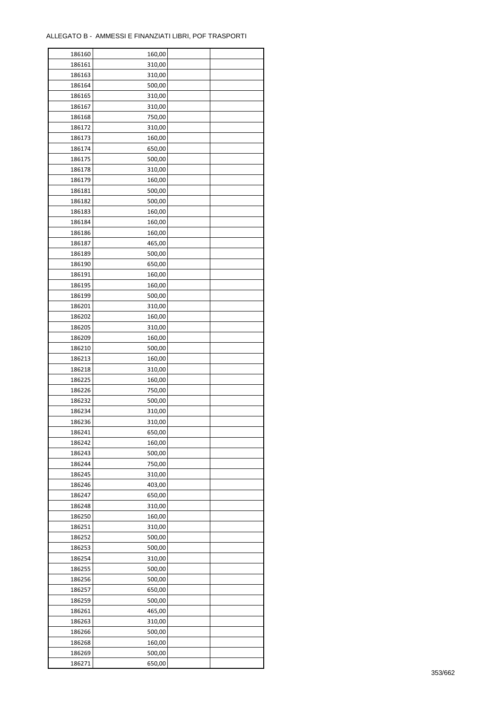| 186160           | 160,00 |  |
|------------------|--------|--|
| 186161           | 310,00 |  |
| 186163           | 310,00 |  |
| 186164           | 500,00 |  |
| 186165           | 310,00 |  |
| 186167           | 310,00 |  |
| 186168           | 750,00 |  |
| 186172           | 310,00 |  |
| 186173           | 160,00 |  |
| 186174           | 650,00 |  |
|                  |        |  |
| 186175<br>186178 | 500,00 |  |
|                  | 310,00 |  |
| 186179           | 160,00 |  |
| 186181           | 500,00 |  |
| 186182           | 500,00 |  |
| 186183           | 160,00 |  |
| 186184           | 160,00 |  |
| 186186           | 160,00 |  |
| 186187           | 465,00 |  |
| 186189           | 500,00 |  |
| 186190           | 650,00 |  |
| 186191           | 160,00 |  |
| 186195           | 160,00 |  |
| 186199           | 500,00 |  |
| 186201           | 310,00 |  |
| 186202           | 160,00 |  |
| 186205           | 310,00 |  |
| 186209           | 160,00 |  |
| 186210           | 500,00 |  |
| 186213           | 160,00 |  |
| 186218           | 310,00 |  |
| 186225           | 160,00 |  |
| 186226           | 750,00 |  |
| 186232           | 500,00 |  |
| 186234           | 310,00 |  |
| 186236           | 310,00 |  |
|                  |        |  |
| 186241           | 650,00 |  |
| 186242           | 160,00 |  |
| 186243           | 500,00 |  |
| 186244           | 750,00 |  |
| 186245           | 310,00 |  |
| 186246           | 403,00 |  |
| 186247           | 650,00 |  |
| 186248           | 310,00 |  |
| 186250           | 160,00 |  |
| 186251           | 310,00 |  |
| 186252           | 500,00 |  |
| 186253           | 500,00 |  |
| 186254           | 310,00 |  |
| 186255           | 500,00 |  |
| 186256           | 500,00 |  |
| 186257           | 650,00 |  |
| 186259           | 500,00 |  |
| 186261           | 465,00 |  |
| 186263           | 310,00 |  |
| 186266           | 500,00 |  |
| 186268           | 160,00 |  |
| 186269           | 500,00 |  |
|                  |        |  |
| 186271           | 650,00 |  |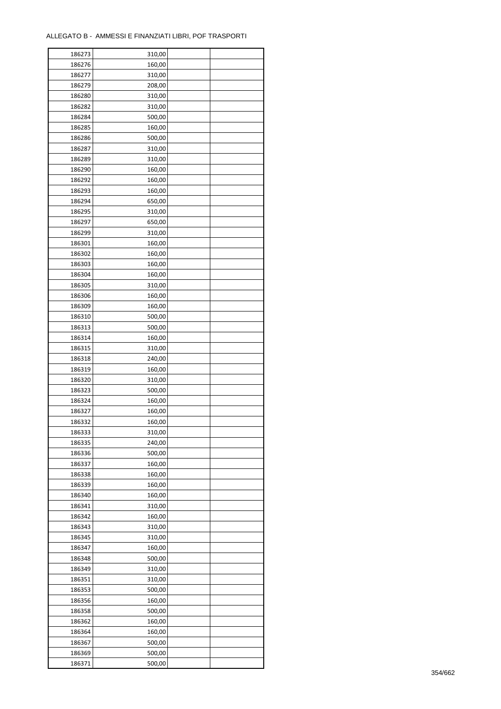| 186273           | 310,00 |  |
|------------------|--------|--|
| 186276           | 160,00 |  |
| 186277           | 310,00 |  |
| 186279           | 208,00 |  |
| 186280           | 310,00 |  |
| 186282           | 310,00 |  |
| 186284           | 500,00 |  |
| 186285           | 160,00 |  |
| 186286           | 500,00 |  |
| 186287           | 310,00 |  |
| 186289           | 310,00 |  |
| 186290           | 160,00 |  |
| 186292           | 160,00 |  |
| 186293           | 160,00 |  |
| 186294           | 650,00 |  |
| 186295           | 310,00 |  |
| 186297           | 650,00 |  |
| 186299           | 310,00 |  |
| 186301           | 160,00 |  |
| 186302           | 160,00 |  |
| 186303           | 160,00 |  |
| 186304           | 160,00 |  |
| 186305           | 310,00 |  |
| 186306           | 160,00 |  |
| 186309           | 160,00 |  |
| 186310           | 500,00 |  |
| 186313           | 500,00 |  |
| 186314           | 160,00 |  |
| 186315           | 310,00 |  |
| 186318           | 240,00 |  |
| 186319           | 160,00 |  |
| 186320           | 310,00 |  |
| 186323           | 500,00 |  |
| 186324           | 160,00 |  |
|                  |        |  |
| 186327<br>186332 | 160,00 |  |
|                  | 160,00 |  |
| 186333           | 310,00 |  |
| 186335           | 240,00 |  |
| 186336           | 500,00 |  |
| 186337           | 160,00 |  |
| 186338           | 160,00 |  |
| 186339           | 160,00 |  |
| 186340           | 160,00 |  |
| 186341           | 310,00 |  |
| 186342           | 160,00 |  |
| 186343           | 310,00 |  |
| 186345           | 310,00 |  |
| 186347           | 160,00 |  |
| 186348           | 500,00 |  |
| 186349           | 310,00 |  |
| 186351           | 310,00 |  |
| 186353           | 500,00 |  |
| 186356           | 160,00 |  |
| 186358           | 500,00 |  |
| 186362           | 160,00 |  |
| 186364           | 160,00 |  |
| 186367           | 500,00 |  |
| 186369           | 500,00 |  |
| 186371           | 500,00 |  |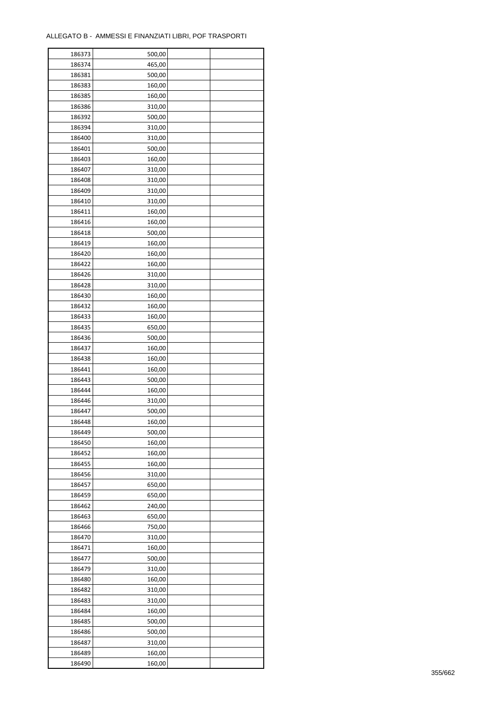| 186373 | 500,00           |  |
|--------|------------------|--|
| 186374 | 465,00           |  |
| 186381 | 500,00           |  |
| 186383 | 160,00           |  |
| 186385 | 160,00           |  |
| 186386 | 310,00           |  |
| 186392 | 500,00           |  |
| 186394 | 310,00           |  |
| 186400 | 310,00           |  |
|        |                  |  |
| 186401 | 500,00           |  |
| 186403 | 160,00           |  |
| 186407 | 310,00           |  |
| 186408 | 310,00           |  |
| 186409 | 310,00           |  |
| 186410 | 310,00           |  |
| 186411 | 160,00           |  |
| 186416 | 160,00           |  |
| 186418 | 500,00           |  |
| 186419 | 160,00           |  |
| 186420 | 160,00           |  |
| 186422 | 160,00           |  |
| 186426 | 310,00           |  |
| 186428 | 310,00           |  |
| 186430 | 160,00           |  |
| 186432 | 160,00           |  |
| 186433 | 160,00           |  |
| 186435 | 650,00           |  |
| 186436 | 500,00           |  |
| 186437 | 160,00           |  |
| 186438 | 160,00           |  |
|        |                  |  |
| 186441 | 160,00<br>500,00 |  |
| 186443 |                  |  |
| 186444 | 160,00           |  |
| 186446 | 310,00           |  |
| 186447 | 500,00           |  |
| 186448 | 160,00           |  |
| 186449 | 500,00           |  |
| 186450 | 160,00           |  |
| 186452 | 160,00           |  |
| 186455 | 160,00           |  |
| 186456 | 310,00           |  |
| 186457 | 650,00           |  |
| 186459 | 650,00           |  |
| 186462 | 240,00           |  |
| 186463 | 650,00           |  |
| 186466 | 750,00           |  |
| 186470 | 310,00           |  |
| 186471 | 160,00           |  |
| 186477 | 500,00           |  |
| 186479 | 310,00           |  |
| 186480 | 160,00           |  |
| 186482 | 310,00           |  |
| 186483 | 310,00           |  |
|        |                  |  |
| 186484 | 160,00           |  |
| 186485 | 500,00           |  |
| 186486 | 500,00           |  |
| 186487 | 310,00           |  |
| 186489 | 160,00           |  |
| 186490 | 160,00           |  |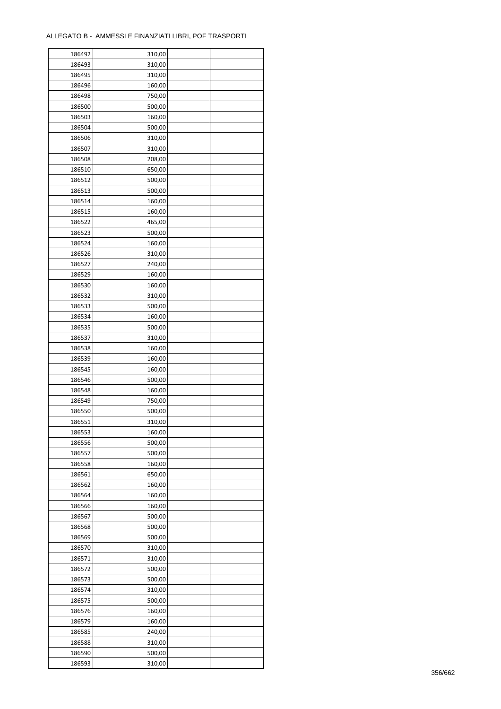| 186492           | 310,00 |  |
|------------------|--------|--|
| 186493           | 310,00 |  |
| 186495           | 310,00 |  |
| 186496           | 160,00 |  |
| 186498           | 750,00 |  |
| 186500           | 500,00 |  |
| 186503           | 160,00 |  |
| 186504           | 500,00 |  |
| 186506           | 310,00 |  |
| 186507           | 310,00 |  |
| 186508           | 208,00 |  |
| 186510           | 650,00 |  |
| 186512           | 500,00 |  |
| 186513           | 500,00 |  |
| 186514           | 160,00 |  |
| 186515           | 160,00 |  |
| 186522           | 465,00 |  |
| 186523           | 500,00 |  |
| 186524           | 160,00 |  |
| 186526           | 310,00 |  |
|                  |        |  |
| 186527<br>186529 | 240,00 |  |
|                  | 160,00 |  |
| 186530           | 160,00 |  |
| 186532           | 310,00 |  |
| 186533           | 500,00 |  |
| 186534           | 160,00 |  |
| 186535           | 500,00 |  |
| 186537           | 310,00 |  |
| 186538           | 160,00 |  |
| 186539           | 160,00 |  |
| 186545           | 160,00 |  |
| 186546           | 500,00 |  |
| 186548           | 160,00 |  |
| 186549           | 750,00 |  |
| 186550           | 500,00 |  |
| 186551           | 310,00 |  |
| 186553           | 160,00 |  |
| 186556           | 500,00 |  |
| 186557           | 500,00 |  |
| 186558           | 160,00 |  |
| 186561           | 650,00 |  |
| 186562           | 160,00 |  |
| 186564           | 160,00 |  |
| 186566           | 160,00 |  |
| 186567           | 500,00 |  |
| 186568           | 500,00 |  |
| 186569           | 500,00 |  |
| 186570           | 310,00 |  |
| 186571           | 310,00 |  |
| 186572           | 500,00 |  |
| 186573           | 500,00 |  |
| 186574           | 310,00 |  |
| 186575           | 500,00 |  |
| 186576           | 160,00 |  |
| 186579           | 160,00 |  |
| 186585           | 240,00 |  |
| 186588           | 310,00 |  |
| 186590           | 500,00 |  |
| 186593           | 310,00 |  |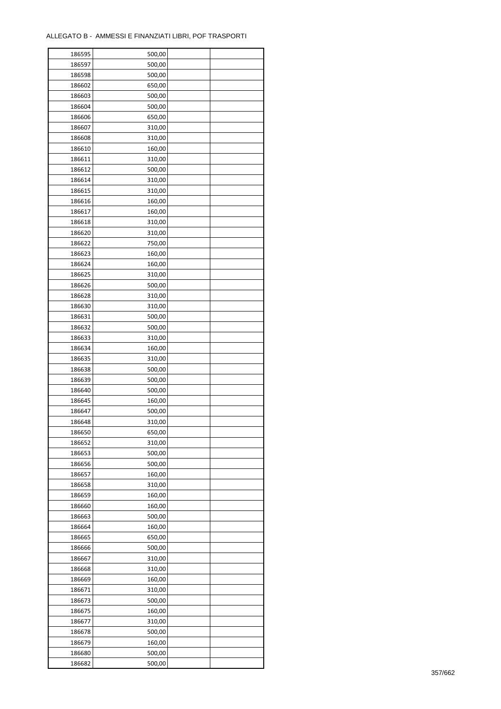| 186595 | 500,00 |  |
|--------|--------|--|
| 186597 | 500,00 |  |
| 186598 | 500,00 |  |
| 186602 | 650,00 |  |
| 186603 | 500,00 |  |
| 186604 | 500,00 |  |
| 186606 | 650,00 |  |
| 186607 | 310,00 |  |
|        |        |  |
| 186608 | 310,00 |  |
| 186610 | 160,00 |  |
| 186611 | 310,00 |  |
| 186612 | 500,00 |  |
| 186614 | 310,00 |  |
| 186615 | 310,00 |  |
| 186616 | 160,00 |  |
| 186617 | 160,00 |  |
| 186618 | 310,00 |  |
| 186620 | 310,00 |  |
| 186622 | 750,00 |  |
| 186623 | 160,00 |  |
| 186624 | 160,00 |  |
| 186625 | 310,00 |  |
| 186626 | 500,00 |  |
| 186628 | 310,00 |  |
| 186630 | 310,00 |  |
| 186631 | 500,00 |  |
| 186632 | 500,00 |  |
|        |        |  |
| 186633 | 310,00 |  |
| 186634 | 160,00 |  |
| 186635 | 310,00 |  |
| 186638 | 500,00 |  |
| 186639 | 500,00 |  |
| 186640 | 500,00 |  |
| 186645 | 160,00 |  |
| 186647 | 500,00 |  |
| 186648 | 310,00 |  |
| 186650 | 650,00 |  |
| 186652 | 310,00 |  |
| 186653 | 500,00 |  |
| 186656 | 500,00 |  |
| 186657 | 160,00 |  |
| 186658 | 310,00 |  |
| 186659 | 160,00 |  |
| 186660 | 160,00 |  |
| 186663 | 500,00 |  |
| 186664 | 160,00 |  |
|        |        |  |
| 186665 | 650,00 |  |
| 186666 | 500,00 |  |
| 186667 | 310,00 |  |
| 186668 | 310,00 |  |
| 186669 | 160,00 |  |
| 186671 | 310,00 |  |
| 186673 | 500,00 |  |
| 186675 | 160,00 |  |
| 186677 | 310,00 |  |
| 186678 | 500,00 |  |
| 186679 | 160,00 |  |
| 186680 | 500,00 |  |
| 186682 | 500,00 |  |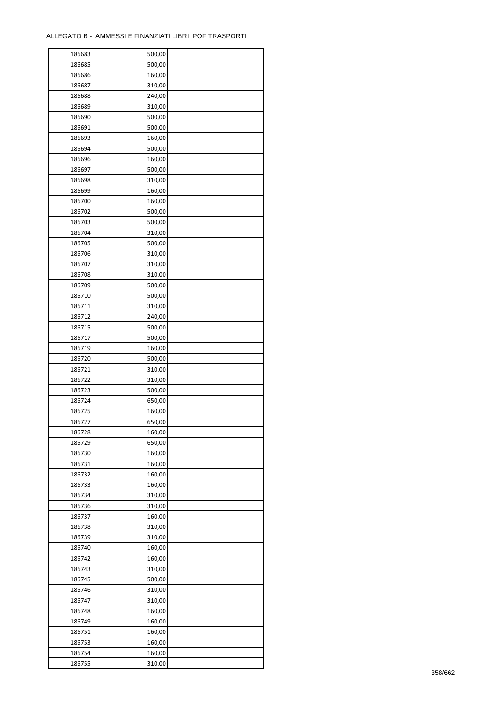| 186683 | 500,00 |  |
|--------|--------|--|
| 186685 | 500,00 |  |
| 186686 | 160,00 |  |
| 186687 | 310,00 |  |
| 186688 | 240,00 |  |
| 186689 | 310,00 |  |
| 186690 | 500,00 |  |
| 186691 | 500,00 |  |
| 186693 | 160,00 |  |
|        | 500,00 |  |
| 186694 |        |  |
| 186696 | 160,00 |  |
| 186697 | 500,00 |  |
| 186698 | 310,00 |  |
| 186699 | 160,00 |  |
| 186700 | 160,00 |  |
| 186702 | 500,00 |  |
| 186703 | 500,00 |  |
| 186704 | 310,00 |  |
| 186705 | 500,00 |  |
| 186706 | 310,00 |  |
| 186707 | 310,00 |  |
| 186708 | 310,00 |  |
| 186709 | 500,00 |  |
| 186710 | 500,00 |  |
| 186711 | 310,00 |  |
| 186712 | 240,00 |  |
| 186715 | 500,00 |  |
| 186717 | 500,00 |  |
| 186719 | 160,00 |  |
| 186720 | 500,00 |  |
|        |        |  |
| 186721 | 310,00 |  |
| 186722 | 310,00 |  |
| 186723 | 500,00 |  |
| 186724 | 650,00 |  |
| 186725 | 160,00 |  |
| 186727 | 650,00 |  |
| 186728 | 160,00 |  |
| 186729 | 650,00 |  |
| 186730 | 160,00 |  |
| 186731 | 160,00 |  |
| 186732 | 160,00 |  |
| 186733 | 160,00 |  |
| 186734 | 310,00 |  |
| 186736 | 310,00 |  |
| 186737 | 160,00 |  |
| 186738 | 310,00 |  |
| 186739 | 310,00 |  |
| 186740 | 160,00 |  |
| 186742 | 160,00 |  |
| 186743 | 310,00 |  |
| 186745 | 500,00 |  |
| 186746 | 310,00 |  |
| 186747 | 310,00 |  |
|        |        |  |
| 186748 | 160,00 |  |
| 186749 | 160,00 |  |
| 186751 | 160,00 |  |
| 186753 | 160,00 |  |
| 186754 | 160,00 |  |
| 186755 | 310,00 |  |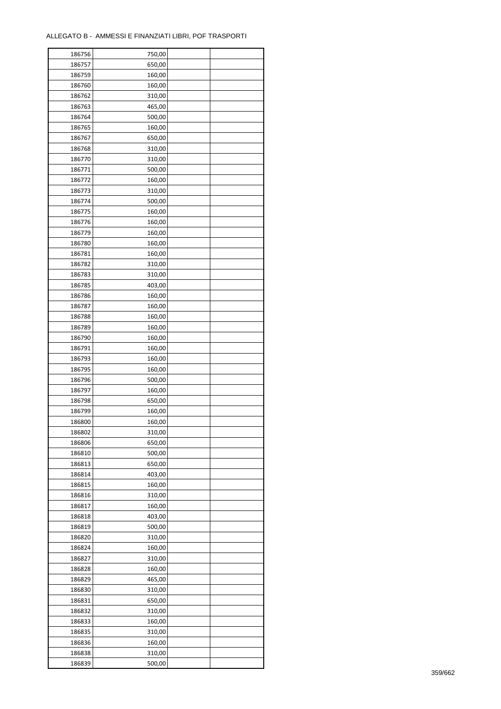| 186756 | 750,00 |  |
|--------|--------|--|
| 186757 | 650,00 |  |
| 186759 | 160,00 |  |
| 186760 | 160,00 |  |
| 186762 | 310,00 |  |
| 186763 | 465,00 |  |
| 186764 | 500,00 |  |
| 186765 | 160,00 |  |
| 186767 | 650,00 |  |
| 186768 | 310,00 |  |
| 186770 | 310,00 |  |
| 186771 | 500,00 |  |
| 186772 | 160,00 |  |
| 186773 | 310,00 |  |
|        | 500,00 |  |
| 186774 |        |  |
| 186775 | 160,00 |  |
| 186776 | 160,00 |  |
| 186779 | 160,00 |  |
| 186780 | 160,00 |  |
| 186781 | 160,00 |  |
| 186782 | 310,00 |  |
| 186783 | 310,00 |  |
| 186785 | 403,00 |  |
| 186786 | 160,00 |  |
| 186787 | 160,00 |  |
| 186788 | 160,00 |  |
| 186789 | 160,00 |  |
| 186790 | 160,00 |  |
| 186791 | 160,00 |  |
| 186793 | 160,00 |  |
| 186795 | 160,00 |  |
| 186796 | 500,00 |  |
| 186797 | 160,00 |  |
| 186798 | 650,00 |  |
| 186799 | 160,00 |  |
| 186800 | 160,00 |  |
| 186802 | 310,00 |  |
| 186806 | 650,00 |  |
| 186810 | 500,00 |  |
| 186813 | 650,00 |  |
| 186814 | 403,00 |  |
| 186815 | 160,00 |  |
| 186816 | 310,00 |  |
| 186817 | 160,00 |  |
| 186818 | 403,00 |  |
| 186819 | 500,00 |  |
| 186820 | 310,00 |  |
| 186824 | 160,00 |  |
| 186827 | 310,00 |  |
| 186828 | 160,00 |  |
| 186829 | 465,00 |  |
| 186830 | 310,00 |  |
| 186831 | 650,00 |  |
| 186832 | 310,00 |  |
| 186833 | 160,00 |  |
|        | 310,00 |  |
| 186835 |        |  |
| 186836 | 160,00 |  |
| 186838 | 310,00 |  |
| 186839 | 500,00 |  |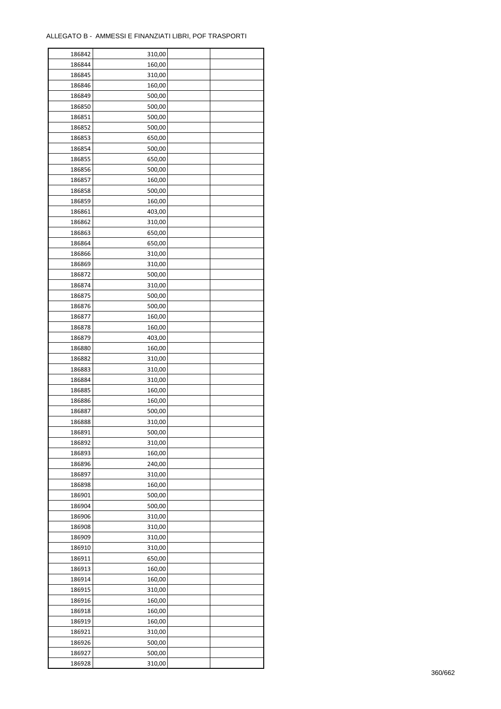| 186842 | 310,00 |  |
|--------|--------|--|
| 186844 | 160,00 |  |
| 186845 | 310,00 |  |
| 186846 | 160,00 |  |
| 186849 | 500,00 |  |
| 186850 | 500,00 |  |
| 186851 | 500,00 |  |
| 186852 | 500,00 |  |
|        |        |  |
| 186853 | 650,00 |  |
| 186854 | 500,00 |  |
| 186855 | 650,00 |  |
| 186856 | 500,00 |  |
| 186857 | 160,00 |  |
| 186858 | 500,00 |  |
| 186859 | 160,00 |  |
| 186861 | 403,00 |  |
| 186862 | 310,00 |  |
| 186863 | 650,00 |  |
| 186864 | 650,00 |  |
| 186866 | 310,00 |  |
| 186869 | 310,00 |  |
| 186872 | 500,00 |  |
| 186874 | 310,00 |  |
| 186875 | 500,00 |  |
| 186876 | 500,00 |  |
| 186877 | 160,00 |  |
| 186878 | 160,00 |  |
| 186879 | 403,00 |  |
|        | 160,00 |  |
| 186880 |        |  |
| 186882 | 310,00 |  |
| 186883 | 310,00 |  |
| 186884 | 310,00 |  |
| 186885 | 160,00 |  |
| 186886 | 160,00 |  |
| 186887 | 500,00 |  |
| 186888 | 310,00 |  |
| 186891 | 500,00 |  |
| 186892 | 310,00 |  |
| 186893 | 160,00 |  |
| 186896 | 240,00 |  |
| 186897 | 310,00 |  |
| 186898 | 160,00 |  |
| 186901 | 500,00 |  |
| 186904 | 500,00 |  |
| 186906 | 310,00 |  |
| 186908 | 310,00 |  |
| 186909 | 310,00 |  |
| 186910 | 310,00 |  |
| 186911 | 650,00 |  |
| 186913 | 160,00 |  |
|        |        |  |
| 186914 | 160,00 |  |
| 186915 | 310,00 |  |
| 186916 | 160,00 |  |
| 186918 | 160,00 |  |
| 186919 | 160,00 |  |
| 186921 | 310,00 |  |
| 186926 | 500,00 |  |
| 186927 | 500,00 |  |
| 186928 | 310,00 |  |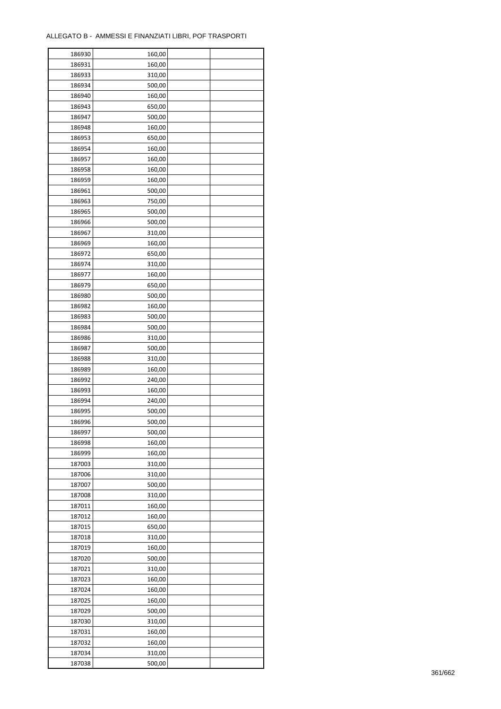| 186930 | 160,00 |  |
|--------|--------|--|
| 186931 | 160,00 |  |
| 186933 | 310,00 |  |
| 186934 | 500,00 |  |
| 186940 | 160,00 |  |
| 186943 | 650,00 |  |
| 186947 | 500,00 |  |
| 186948 | 160,00 |  |
| 186953 | 650,00 |  |
| 186954 | 160,00 |  |
| 186957 | 160,00 |  |
| 186958 | 160,00 |  |
| 186959 | 160,00 |  |
| 186961 | 500,00 |  |
|        |        |  |
| 186963 | 750,00 |  |
| 186965 | 500,00 |  |
| 186966 | 500,00 |  |
| 186967 | 310,00 |  |
| 186969 | 160,00 |  |
| 186972 | 650,00 |  |
| 186974 | 310,00 |  |
| 186977 | 160,00 |  |
| 186979 | 650,00 |  |
| 186980 | 500,00 |  |
| 186982 | 160,00 |  |
| 186983 | 500,00 |  |
| 186984 | 500,00 |  |
| 186986 | 310,00 |  |
| 186987 | 500,00 |  |
| 186988 | 310,00 |  |
| 186989 | 160,00 |  |
| 186992 | 240,00 |  |
| 186993 | 160,00 |  |
| 186994 | 240,00 |  |
| 186995 | 500,00 |  |
| 186996 | 500,00 |  |
| 186997 | 500,00 |  |
| 186998 | 160,00 |  |
| 186999 | 160,00 |  |
|        |        |  |
| 187003 | 310,00 |  |
| 187006 | 310,00 |  |
| 187007 | 500,00 |  |
| 187008 | 310,00 |  |
| 187011 | 160,00 |  |
| 187012 | 160,00 |  |
| 187015 | 650,00 |  |
| 187018 | 310,00 |  |
| 187019 | 160,00 |  |
| 187020 | 500,00 |  |
| 187021 | 310,00 |  |
| 187023 | 160,00 |  |
| 187024 | 160,00 |  |
| 187025 | 160,00 |  |
| 187029 | 500,00 |  |
| 187030 | 310,00 |  |
| 187031 | 160,00 |  |
| 187032 | 160,00 |  |
| 187034 | 310,00 |  |
| 187038 | 500,00 |  |
|        |        |  |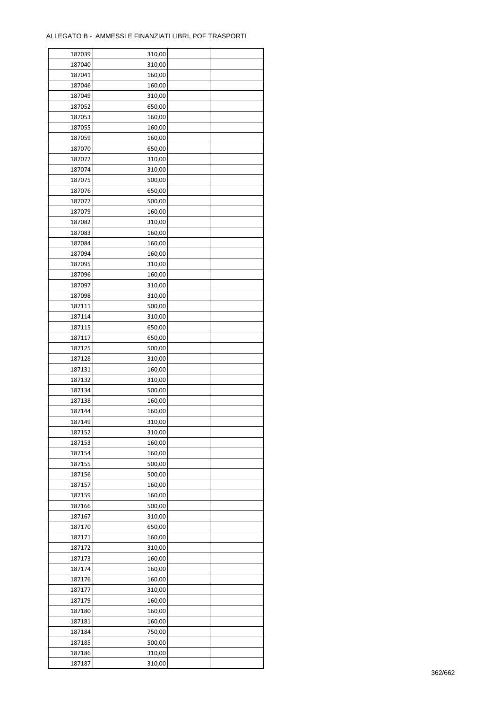| 187039 | 310,00           |  |
|--------|------------------|--|
| 187040 | 310,00           |  |
| 187041 | 160,00           |  |
| 187046 | 160,00           |  |
| 187049 | 310,00           |  |
| 187052 | 650,00           |  |
| 187053 | 160,00           |  |
| 187055 | 160,00           |  |
| 187059 | 160,00           |  |
| 187070 | 650,00           |  |
| 187072 | 310,00           |  |
| 187074 |                  |  |
|        | 310,00           |  |
| 187075 | 500,00           |  |
| 187076 | 650,00           |  |
| 187077 | 500,00           |  |
| 187079 | 160,00           |  |
| 187082 | 310,00           |  |
| 187083 | 160,00           |  |
| 187084 | 160,00           |  |
| 187094 | 160,00           |  |
| 187095 | 310,00           |  |
| 187096 | 160,00           |  |
| 187097 | 310,00           |  |
| 187098 | 310,00           |  |
| 187111 | 500,00           |  |
| 187114 | 310,00           |  |
| 187115 | 650,00           |  |
| 187117 | 650,00           |  |
| 187125 | 500,00           |  |
| 187128 | 310,00           |  |
| 187131 | 160,00           |  |
| 187132 | 310,00           |  |
| 187134 | 500,00           |  |
| 187138 | 160,00           |  |
| 187144 | 160,00           |  |
| 187149 | 310,00           |  |
| 187152 | 310,00           |  |
| 187153 | 160,00           |  |
| 187154 | 160,00           |  |
| 187155 | 500,00           |  |
|        |                  |  |
| 187156 | 500,00<br>160,00 |  |
| 187157 |                  |  |
| 187159 | 160,00           |  |
| 187166 | 500,00           |  |
| 187167 | 310,00           |  |
| 187170 | 650,00           |  |
| 187171 | 160,00           |  |
| 187172 | 310,00           |  |
| 187173 | 160,00           |  |
| 187174 | 160,00           |  |
| 187176 | 160,00           |  |
| 187177 | 310,00           |  |
| 187179 | 160,00           |  |
| 187180 | 160,00           |  |
| 187181 | 160,00           |  |
| 187184 | 750,00           |  |
| 187185 | 500,00           |  |
| 187186 | 310,00           |  |
| 187187 | 310,00           |  |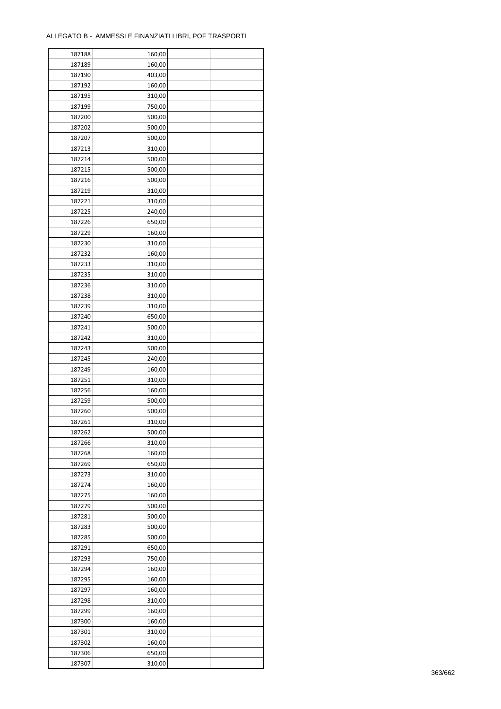| 187188 | 160,00 |  |
|--------|--------|--|
| 187189 | 160,00 |  |
| 187190 | 403,00 |  |
| 187192 | 160,00 |  |
| 187195 | 310,00 |  |
| 187199 | 750,00 |  |
| 187200 | 500,00 |  |
| 187202 | 500,00 |  |
| 187207 |        |  |
|        | 500,00 |  |
| 187213 | 310,00 |  |
| 187214 | 500,00 |  |
| 187215 | 500,00 |  |
| 187216 | 500,00 |  |
| 187219 | 310,00 |  |
| 187221 | 310,00 |  |
| 187225 | 240,00 |  |
| 187226 | 650,00 |  |
| 187229 | 160,00 |  |
| 187230 | 310,00 |  |
| 187232 | 160,00 |  |
| 187233 | 310,00 |  |
| 187235 | 310,00 |  |
| 187236 | 310,00 |  |
| 187238 | 310,00 |  |
| 187239 | 310,00 |  |
| 187240 | 650,00 |  |
| 187241 | 500,00 |  |
| 187242 | 310,00 |  |
| 187243 | 500,00 |  |
|        |        |  |
| 187245 | 240,00 |  |
| 187249 | 160,00 |  |
| 187251 | 310,00 |  |
| 187256 | 160,00 |  |
| 187259 | 500,00 |  |
| 187260 | 500,00 |  |
| 187261 | 310,00 |  |
| 187262 | 500,00 |  |
| 187266 | 310,00 |  |
| 187268 | 160,00 |  |
| 187269 | 650,00 |  |
| 187273 | 310,00 |  |
| 187274 | 160,00 |  |
| 187275 | 160,00 |  |
| 187279 | 500,00 |  |
| 187281 | 500,00 |  |
| 187283 | 500,00 |  |
| 187285 | 500,00 |  |
| 187291 | 650,00 |  |
| 187293 | 750,00 |  |
| 187294 | 160,00 |  |
|        | 160,00 |  |
| 187295 |        |  |
| 187297 | 160,00 |  |
| 187298 | 310,00 |  |
| 187299 | 160,00 |  |
| 187300 | 160,00 |  |
| 187301 | 310,00 |  |
| 187302 | 160,00 |  |
| 187306 | 650,00 |  |
| 187307 | 310,00 |  |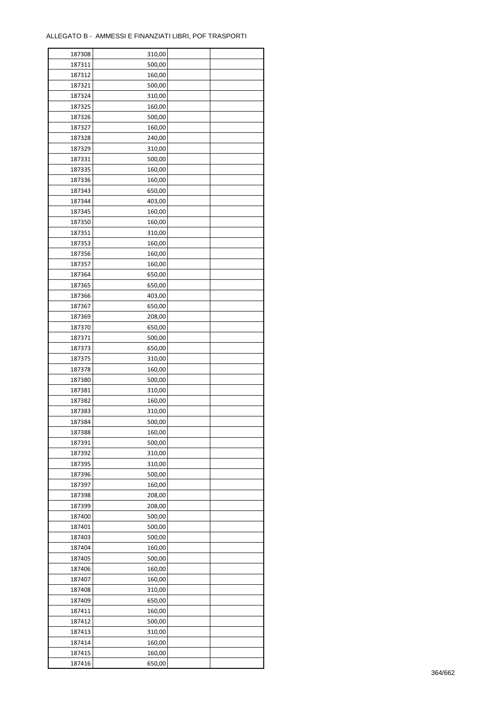| 187308 | 310,00 |  |
|--------|--------|--|
| 187311 | 500,00 |  |
| 187312 | 160,00 |  |
| 187321 | 500,00 |  |
| 187324 | 310,00 |  |
| 187325 | 160,00 |  |
| 187326 | 500,00 |  |
| 187327 | 160,00 |  |
| 187328 | 240,00 |  |
| 187329 | 310,00 |  |
|        |        |  |
| 187331 | 500,00 |  |
| 187335 | 160,00 |  |
| 187336 | 160,00 |  |
| 187343 | 650,00 |  |
| 187344 | 403,00 |  |
| 187345 | 160,00 |  |
| 187350 | 160,00 |  |
| 187351 | 310,00 |  |
| 187353 | 160,00 |  |
| 187356 | 160,00 |  |
| 187357 | 160,00 |  |
| 187364 | 650,00 |  |
| 187365 | 650,00 |  |
| 187366 | 403,00 |  |
| 187367 | 650,00 |  |
| 187369 | 208,00 |  |
| 187370 | 650,00 |  |
| 187371 | 500,00 |  |
| 187373 | 650,00 |  |
| 187375 |        |  |
|        | 310,00 |  |
| 187378 | 160,00 |  |
| 187380 | 500,00 |  |
| 187381 | 310,00 |  |
| 187382 | 160,00 |  |
| 187383 | 310,00 |  |
| 187384 | 500,00 |  |
| 187388 | 160,00 |  |
| 187391 | 500,00 |  |
| 187392 | 310,00 |  |
| 187395 | 310,00 |  |
| 187396 | 500,00 |  |
| 187397 | 160,00 |  |
| 187398 | 208,00 |  |
| 187399 | 208,00 |  |
| 187400 | 500,00 |  |
| 187401 | 500,00 |  |
| 187403 | 500,00 |  |
| 187404 | 160,00 |  |
| 187405 | 500,00 |  |
| 187406 | 160,00 |  |
|        |        |  |
| 187407 | 160,00 |  |
| 187408 | 310,00 |  |
| 187409 | 650,00 |  |
| 187411 | 160,00 |  |
| 187412 | 500,00 |  |
| 187413 | 310,00 |  |
| 187414 | 160,00 |  |
| 187415 | 160,00 |  |
| 187416 | 650,00 |  |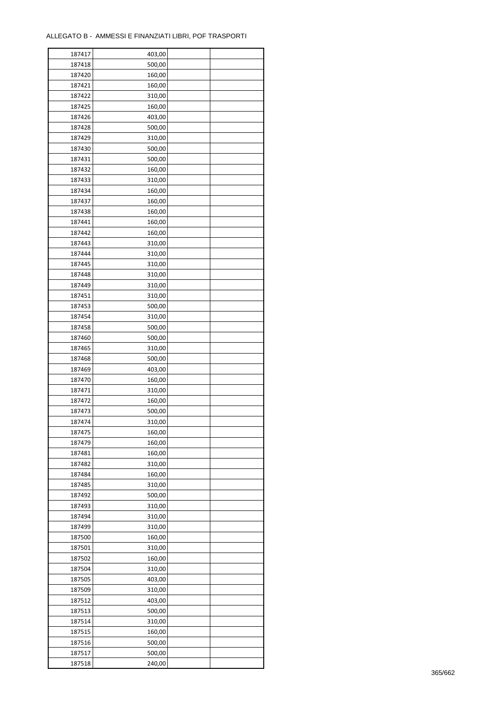| 187417 | 403,00 |  |
|--------|--------|--|
| 187418 | 500,00 |  |
| 187420 | 160,00 |  |
| 187421 | 160,00 |  |
| 187422 | 310,00 |  |
| 187425 | 160,00 |  |
| 187426 | 403,00 |  |
| 187428 | 500,00 |  |
| 187429 | 310,00 |  |
| 187430 | 500,00 |  |
| 187431 | 500,00 |  |
| 187432 | 160,00 |  |
| 187433 | 310,00 |  |
| 187434 | 160,00 |  |
|        |        |  |
| 187437 | 160,00 |  |
| 187438 | 160,00 |  |
| 187441 | 160,00 |  |
| 187442 | 160,00 |  |
| 187443 | 310,00 |  |
| 187444 | 310,00 |  |
| 187445 | 310,00 |  |
| 187448 | 310,00 |  |
| 187449 | 310,00 |  |
| 187451 | 310,00 |  |
| 187453 | 500,00 |  |
| 187454 | 310,00 |  |
| 187458 | 500,00 |  |
| 187460 | 500,00 |  |
| 187465 | 310,00 |  |
| 187468 | 500,00 |  |
| 187469 | 403,00 |  |
| 187470 | 160,00 |  |
| 187471 | 310,00 |  |
| 187472 | 160,00 |  |
| 187473 | 500,00 |  |
| 187474 | 310,00 |  |
| 187475 | 160,00 |  |
| 187479 | 160,00 |  |
| 187481 | 160,00 |  |
| 187482 | 310,00 |  |
| 187484 | 160,00 |  |
| 187485 | 310,00 |  |
| 187492 | 500,00 |  |
| 187493 | 310,00 |  |
| 187494 | 310,00 |  |
| 187499 | 310,00 |  |
| 187500 | 160,00 |  |
| 187501 | 310,00 |  |
| 187502 | 160,00 |  |
| 187504 | 310,00 |  |
| 187505 | 403,00 |  |
| 187509 | 310,00 |  |
| 187512 | 403,00 |  |
| 187513 | 500,00 |  |
| 187514 | 310,00 |  |
| 187515 | 160,00 |  |
| 187516 | 500,00 |  |
|        |        |  |
| 187517 | 500,00 |  |
| 187518 | 240,00 |  |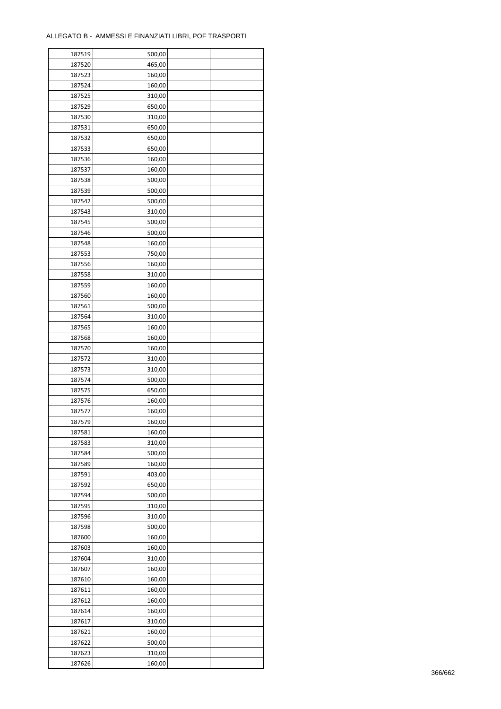| 187519 | 500,00 |  |
|--------|--------|--|
| 187520 | 465,00 |  |
| 187523 | 160,00 |  |
| 187524 | 160,00 |  |
| 187525 | 310,00 |  |
| 187529 | 650,00 |  |
| 187530 | 310,00 |  |
| 187531 | 650,00 |  |
| 187532 | 650,00 |  |
| 187533 | 650,00 |  |
| 187536 | 160,00 |  |
| 187537 | 160,00 |  |
| 187538 | 500,00 |  |
|        |        |  |
| 187539 | 500,00 |  |
| 187542 | 500,00 |  |
| 187543 | 310,00 |  |
| 187545 | 500,00 |  |
| 187546 | 500,00 |  |
| 187548 | 160,00 |  |
| 187553 | 750,00 |  |
| 187556 | 160,00 |  |
| 187558 | 310,00 |  |
| 187559 | 160,00 |  |
| 187560 | 160,00 |  |
| 187561 | 500,00 |  |
| 187564 | 310,00 |  |
| 187565 | 160,00 |  |
| 187568 | 160,00 |  |
| 187570 | 160,00 |  |
| 187572 | 310,00 |  |
| 187573 | 310,00 |  |
| 187574 | 500,00 |  |
| 187575 | 650,00 |  |
| 187576 | 160,00 |  |
| 187577 | 160,00 |  |
| 187579 | 160,00 |  |
| 187581 | 160,00 |  |
| 187583 | 310,00 |  |
| 187584 | 500,00 |  |
| 187589 | 160,00 |  |
| 187591 | 403,00 |  |
| 187592 | 650,00 |  |
| 187594 | 500,00 |  |
| 187595 | 310,00 |  |
| 187596 | 310,00 |  |
| 187598 | 500,00 |  |
| 187600 | 160,00 |  |
| 187603 | 160,00 |  |
| 187604 | 310,00 |  |
| 187607 | 160,00 |  |
| 187610 | 160,00 |  |
| 187611 | 160,00 |  |
| 187612 | 160,00 |  |
|        |        |  |
| 187614 | 160,00 |  |
| 187617 | 310,00 |  |
| 187621 | 160,00 |  |
| 187622 | 500,00 |  |
| 187623 | 310,00 |  |
| 187626 | 160,00 |  |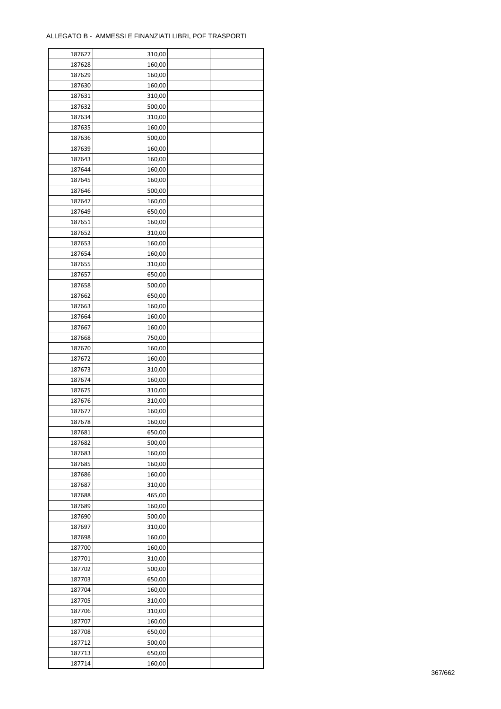| 187627 | 310,00           |  |
|--------|------------------|--|
| 187628 | 160,00           |  |
| 187629 | 160,00           |  |
| 187630 | 160,00           |  |
| 187631 | 310,00           |  |
| 187632 | 500,00           |  |
| 187634 | 310,00           |  |
| 187635 | 160,00           |  |
| 187636 | 500,00           |  |
| 187639 | 160,00           |  |
| 187643 |                  |  |
| 187644 | 160,00           |  |
|        | 160,00           |  |
| 187645 | 160,00           |  |
| 187646 | 500,00           |  |
| 187647 | 160,00           |  |
| 187649 | 650,00           |  |
| 187651 | 160,00           |  |
| 187652 | 310,00           |  |
| 187653 | 160,00           |  |
| 187654 | 160,00           |  |
| 187655 | 310,00           |  |
| 187657 | 650,00           |  |
| 187658 | 500,00           |  |
| 187662 | 650,00           |  |
| 187663 | 160,00           |  |
| 187664 | 160,00           |  |
| 187667 | 160,00           |  |
| 187668 | 750,00           |  |
| 187670 | 160,00           |  |
| 187672 | 160,00           |  |
| 187673 | 310,00           |  |
| 187674 | 160,00           |  |
| 187675 | 310,00           |  |
| 187676 |                  |  |
| 187677 | 310,00<br>160,00 |  |
|        |                  |  |
| 187678 | 160,00           |  |
| 187681 | 650,00           |  |
| 187682 | 500,00           |  |
| 187683 | 160,00           |  |
| 187685 | 160,00           |  |
| 187686 | 160,00           |  |
| 187687 | 310,00           |  |
| 187688 | 465,00           |  |
| 187689 | 160,00           |  |
| 187690 | 500,00           |  |
| 187697 | 310,00           |  |
| 187698 | 160,00           |  |
| 187700 | 160,00           |  |
| 187701 | 310,00           |  |
| 187702 | 500,00           |  |
| 187703 | 650,00           |  |
| 187704 | 160,00           |  |
| 187705 | 310,00           |  |
| 187706 | 310,00           |  |
| 187707 | 160,00           |  |
| 187708 | 650,00           |  |
|        |                  |  |
| 187712 | 500,00           |  |
| 187713 | 650,00           |  |
| 187714 | 160,00           |  |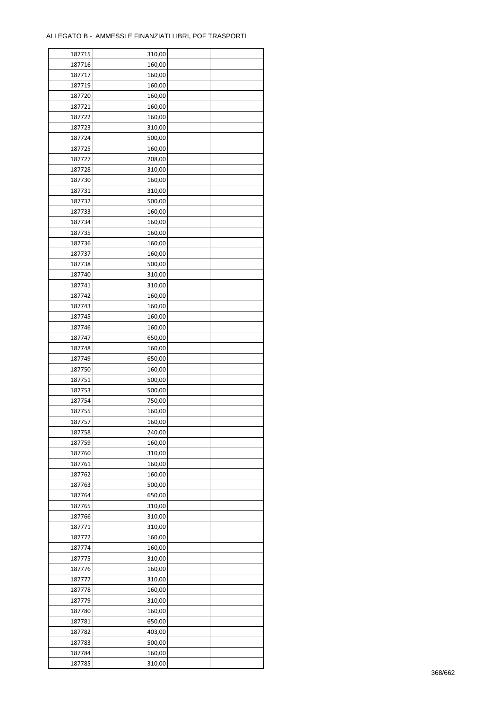| 187715 | 310,00 |  |
|--------|--------|--|
| 187716 | 160,00 |  |
| 187717 | 160,00 |  |
| 187719 | 160,00 |  |
| 187720 | 160,00 |  |
| 187721 | 160,00 |  |
| 187722 | 160,00 |  |
| 187723 | 310,00 |  |
| 187724 | 500,00 |  |
|        |        |  |
| 187725 | 160,00 |  |
| 187727 | 208,00 |  |
| 187728 | 310,00 |  |
| 187730 | 160,00 |  |
| 187731 | 310,00 |  |
| 187732 | 500,00 |  |
| 187733 | 160,00 |  |
| 187734 | 160,00 |  |
| 187735 | 160,00 |  |
| 187736 | 160,00 |  |
| 187737 | 160,00 |  |
| 187738 | 500,00 |  |
| 187740 | 310,00 |  |
| 187741 | 310,00 |  |
| 187742 | 160,00 |  |
| 187743 | 160,00 |  |
| 187745 | 160,00 |  |
| 187746 | 160,00 |  |
| 187747 | 650,00 |  |
| 187748 | 160,00 |  |
| 187749 | 650,00 |  |
| 187750 | 160,00 |  |
|        |        |  |
| 187751 | 500,00 |  |
| 187753 | 500,00 |  |
| 187754 | 750,00 |  |
| 187755 | 160,00 |  |
| 187757 | 160,00 |  |
| 187758 | 240,00 |  |
| 187759 | 160,00 |  |
| 187760 | 310,00 |  |
| 187761 | 160,00 |  |
| 187762 | 160,00 |  |
| 187763 | 500,00 |  |
| 187764 | 650,00 |  |
| 187765 | 310,00 |  |
| 187766 | 310,00 |  |
| 187771 | 310,00 |  |
| 187772 | 160,00 |  |
| 187774 | 160,00 |  |
| 187775 | 310,00 |  |
| 187776 | 160,00 |  |
| 187777 | 310,00 |  |
| 187778 | 160,00 |  |
| 187779 | 310,00 |  |
| 187780 | 160,00 |  |
| 187781 | 650,00 |  |
|        |        |  |
| 187782 | 403,00 |  |
| 187783 | 500,00 |  |
| 187784 | 160,00 |  |
| 187785 | 310,00 |  |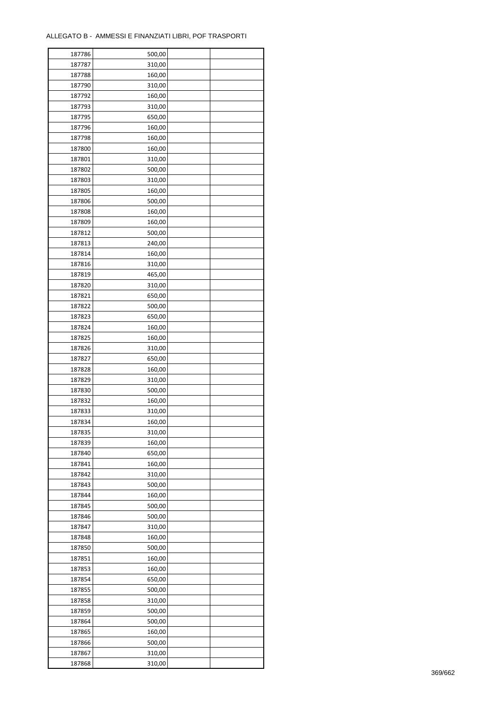| 187786 | 500,00 |  |
|--------|--------|--|
| 187787 | 310,00 |  |
| 187788 | 160,00 |  |
| 187790 | 310,00 |  |
| 187792 | 160,00 |  |
| 187793 | 310,00 |  |
| 187795 | 650,00 |  |
| 187796 | 160,00 |  |
| 187798 | 160,00 |  |
| 187800 | 160,00 |  |
|        |        |  |
| 187801 | 310,00 |  |
| 187802 | 500,00 |  |
| 187803 | 310,00 |  |
| 187805 | 160,00 |  |
| 187806 | 500,00 |  |
| 187808 | 160,00 |  |
| 187809 | 160,00 |  |
| 187812 | 500,00 |  |
| 187813 | 240,00 |  |
| 187814 | 160,00 |  |
| 187816 | 310,00 |  |
| 187819 | 465,00 |  |
| 187820 | 310,00 |  |
| 187821 | 650,00 |  |
| 187822 | 500,00 |  |
| 187823 | 650,00 |  |
| 187824 | 160,00 |  |
| 187825 | 160,00 |  |
| 187826 | 310,00 |  |
| 187827 | 650,00 |  |
| 187828 | 160,00 |  |
| 187829 | 310,00 |  |
| 187830 | 500,00 |  |
| 187832 | 160,00 |  |
| 187833 | 310,00 |  |
| 187834 | 160,00 |  |
| 187835 | 310,00 |  |
| 187839 | 160,00 |  |
|        |        |  |
| 187840 | 650,00 |  |
| 187841 | 160,00 |  |
| 187842 | 310,00 |  |
| 187843 | 500,00 |  |
| 187844 | 160,00 |  |
| 187845 | 500,00 |  |
| 187846 | 500,00 |  |
| 187847 | 310,00 |  |
| 187848 | 160,00 |  |
| 187850 | 500,00 |  |
| 187851 | 160,00 |  |
| 187853 | 160,00 |  |
| 187854 | 650,00 |  |
| 187855 | 500,00 |  |
| 187858 | 310,00 |  |
| 187859 | 500,00 |  |
| 187864 | 500,00 |  |
| 187865 | 160,00 |  |
| 187866 | 500,00 |  |
| 187867 | 310,00 |  |
| 187868 | 310,00 |  |
|        |        |  |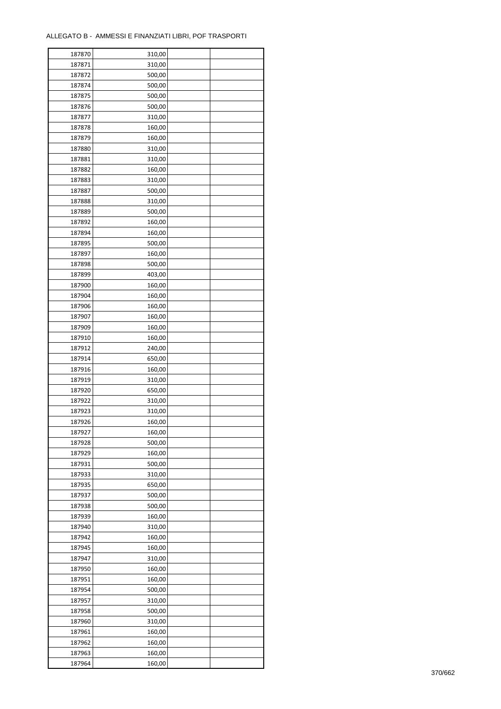| 187870 | 310,00 |  |
|--------|--------|--|
| 187871 | 310,00 |  |
| 187872 | 500,00 |  |
| 187874 | 500,00 |  |
| 187875 | 500,00 |  |
| 187876 | 500,00 |  |
| 187877 | 310,00 |  |
| 187878 | 160,00 |  |
| 187879 | 160,00 |  |
| 187880 | 310,00 |  |
| 187881 | 310,00 |  |
| 187882 | 160,00 |  |
| 187883 | 310,00 |  |
| 187887 | 500,00 |  |
| 187888 | 310,00 |  |
| 187889 | 500,00 |  |
| 187892 | 160,00 |  |
| 187894 | 160,00 |  |
| 187895 | 500,00 |  |
| 187897 | 160,00 |  |
| 187898 | 500,00 |  |
| 187899 | 403,00 |  |
| 187900 | 160,00 |  |
| 187904 | 160,00 |  |
| 187906 | 160,00 |  |
| 187907 | 160,00 |  |
| 187909 | 160,00 |  |
| 187910 | 160,00 |  |
| 187912 | 240,00 |  |
| 187914 | 650,00 |  |
| 187916 | 160,00 |  |
| 187919 | 310,00 |  |
| 187920 | 650,00 |  |
| 187922 | 310,00 |  |
| 187923 | 310,00 |  |
| 187926 | 160,00 |  |
| 187927 | 160,00 |  |
| 187928 | 500,00 |  |
| 187929 | 160,00 |  |
| 187931 | 500,00 |  |
| 187933 | 310,00 |  |
| 187935 | 650,00 |  |
| 187937 | 500,00 |  |
| 187938 | 500,00 |  |
| 187939 | 160,00 |  |
| 187940 | 310,00 |  |
| 187942 | 160,00 |  |
| 187945 | 160,00 |  |
| 187947 | 310,00 |  |
| 187950 | 160,00 |  |
| 187951 | 160,00 |  |
| 187954 | 500,00 |  |
| 187957 | 310,00 |  |
| 187958 | 500,00 |  |
| 187960 | 310,00 |  |
| 187961 | 160,00 |  |
| 187962 | 160,00 |  |
| 187963 | 160,00 |  |
| 187964 | 160,00 |  |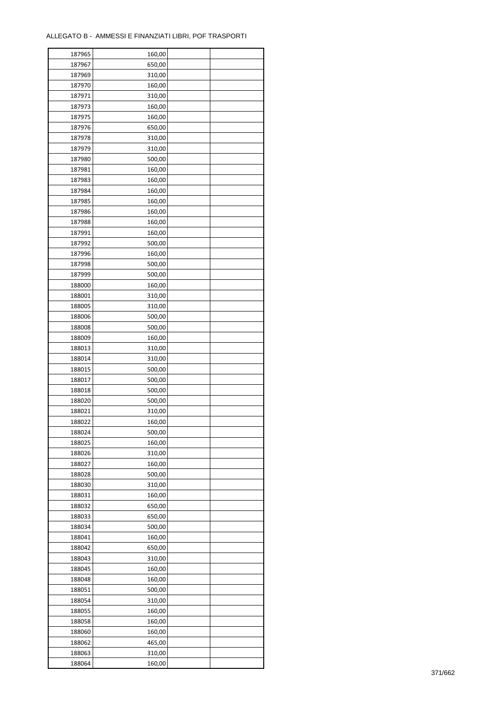| 187965 | 160,00 |  |
|--------|--------|--|
| 187967 | 650,00 |  |
| 187969 | 310,00 |  |
| 187970 | 160,00 |  |
| 187971 | 310,00 |  |
| 187973 | 160,00 |  |
| 187975 | 160,00 |  |
| 187976 | 650,00 |  |
| 187978 | 310,00 |  |
| 187979 | 310,00 |  |
| 187980 | 500,00 |  |
| 187981 | 160,00 |  |
| 187983 | 160,00 |  |
| 187984 |        |  |
|        | 160,00 |  |
| 187985 | 160,00 |  |
| 187986 | 160,00 |  |
| 187988 | 160,00 |  |
| 187991 | 160,00 |  |
| 187992 | 500,00 |  |
| 187996 | 160,00 |  |
| 187998 | 500,00 |  |
| 187999 | 500,00 |  |
| 188000 | 160,00 |  |
| 188001 | 310,00 |  |
| 188005 | 310,00 |  |
| 188006 | 500,00 |  |
| 188008 | 500,00 |  |
| 188009 | 160,00 |  |
| 188013 | 310,00 |  |
| 188014 | 310,00 |  |
| 188015 | 500,00 |  |
| 188017 | 500,00 |  |
| 188018 | 500,00 |  |
| 188020 | 500,00 |  |
| 188021 | 310,00 |  |
| 188022 | 160,00 |  |
| 188024 | 500,00 |  |
| 188025 | 160,00 |  |
| 188026 | 310,00 |  |
| 188027 | 160,00 |  |
| 188028 | 500,00 |  |
| 188030 | 310,00 |  |
| 188031 | 160,00 |  |
| 188032 | 650,00 |  |
|        |        |  |
| 188033 | 650,00 |  |
| 188034 | 500,00 |  |
| 188041 | 160,00 |  |
| 188042 | 650,00 |  |
| 188043 | 310,00 |  |
| 188045 | 160,00 |  |
| 188048 | 160,00 |  |
| 188051 | 500,00 |  |
| 188054 | 310,00 |  |
| 188055 | 160,00 |  |
| 188058 | 160,00 |  |
| 188060 | 160,00 |  |
| 188062 | 465,00 |  |
| 188063 | 310,00 |  |
| 188064 | 160,00 |  |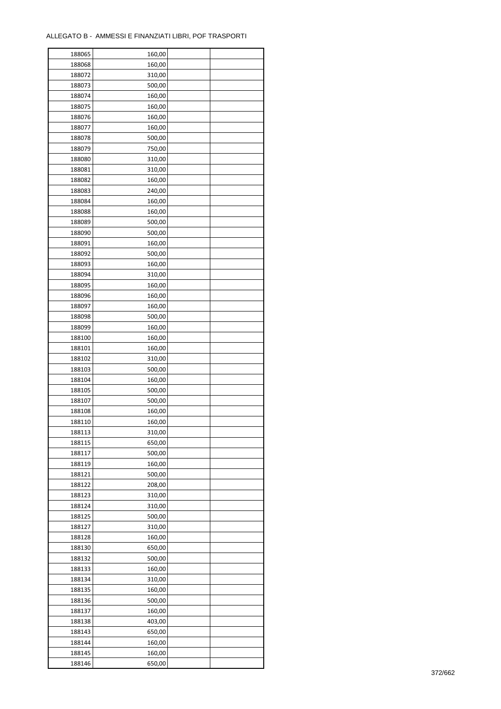| 188065 | 160,00 |  |
|--------|--------|--|
| 188068 | 160,00 |  |
| 188072 | 310,00 |  |
| 188073 | 500,00 |  |
| 188074 | 160,00 |  |
| 188075 | 160,00 |  |
| 188076 | 160,00 |  |
| 188077 | 160,00 |  |
| 188078 | 500,00 |  |
| 188079 | 750,00 |  |
| 188080 | 310,00 |  |
| 188081 | 310,00 |  |
| 188082 | 160,00 |  |
| 188083 | 240,00 |  |
|        |        |  |
| 188084 | 160,00 |  |
| 188088 | 160,00 |  |
| 188089 | 500,00 |  |
| 188090 | 500,00 |  |
| 188091 | 160,00 |  |
| 188092 | 500,00 |  |
| 188093 | 160,00 |  |
| 188094 | 310,00 |  |
| 188095 | 160,00 |  |
| 188096 | 160,00 |  |
| 188097 | 160,00 |  |
| 188098 | 500,00 |  |
| 188099 | 160,00 |  |
| 188100 | 160,00 |  |
| 188101 | 160,00 |  |
| 188102 | 310,00 |  |
| 188103 | 500,00 |  |
| 188104 | 160,00 |  |
| 188105 | 500,00 |  |
| 188107 | 500,00 |  |
| 188108 | 160,00 |  |
| 188110 | 160,00 |  |
| 188113 | 310,00 |  |
| 188115 | 650,00 |  |
| 188117 | 500,00 |  |
|        |        |  |
| 188119 | 160,00 |  |
| 188121 | 500,00 |  |
| 188122 | 208,00 |  |
| 188123 | 310,00 |  |
| 188124 | 310,00 |  |
| 188125 | 500,00 |  |
| 188127 | 310,00 |  |
| 188128 | 160,00 |  |
| 188130 | 650,00 |  |
| 188132 | 500,00 |  |
| 188133 | 160,00 |  |
| 188134 | 310,00 |  |
| 188135 | 160,00 |  |
| 188136 | 500,00 |  |
| 188137 | 160,00 |  |
| 188138 | 403,00 |  |
| 188143 | 650,00 |  |
| 188144 | 160,00 |  |
| 188145 | 160,00 |  |
| 188146 | 650,00 |  |
|        |        |  |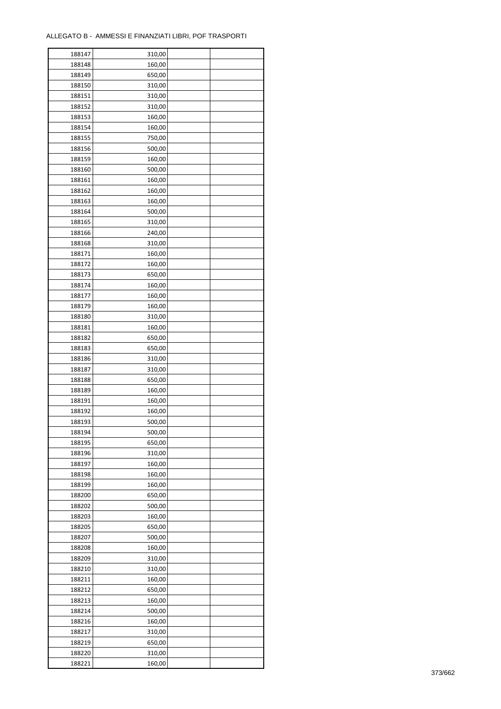ř

| 188147 | 310,00 |  |
|--------|--------|--|
| 188148 | 160,00 |  |
| 188149 | 650,00 |  |
| 188150 | 310,00 |  |
| 188151 | 310,00 |  |
| 188152 | 310,00 |  |
| 188153 | 160,00 |  |
| 188154 | 160,00 |  |
| 188155 | 750,00 |  |
|        | 500,00 |  |
| 188156 |        |  |
| 188159 | 160,00 |  |
| 188160 | 500,00 |  |
| 188161 | 160,00 |  |
| 188162 | 160,00 |  |
| 188163 | 160,00 |  |
| 188164 | 500,00 |  |
| 188165 | 310,00 |  |
| 188166 | 240,00 |  |
| 188168 | 310,00 |  |
| 188171 | 160,00 |  |
| 188172 | 160,00 |  |
| 188173 | 650,00 |  |
| 188174 | 160,00 |  |
| 188177 | 160,00 |  |
| 188179 | 160,00 |  |
| 188180 | 310,00 |  |
| 188181 | 160,00 |  |
| 188182 | 650,00 |  |
| 188183 | 650,00 |  |
| 188186 | 310,00 |  |
|        |        |  |
| 188187 | 310,00 |  |
| 188188 | 650,00 |  |
| 188189 | 160,00 |  |
| 188191 | 160,00 |  |
| 188192 | 160,00 |  |
| 188193 | 500,00 |  |
| 188194 | 500,00 |  |
| 188195 | 650,00 |  |
| 188196 | 310,00 |  |
| 188197 | 160,00 |  |
| 188198 | 160,00 |  |
| 188199 | 160,00 |  |
| 188200 | 650,00 |  |
| 188202 | 500,00 |  |
| 188203 | 160,00 |  |
| 188205 | 650,00 |  |
| 188207 | 500,00 |  |
| 188208 | 160,00 |  |
| 188209 | 310,00 |  |
| 188210 | 310,00 |  |
| 188211 | 160,00 |  |
|        |        |  |
| 188212 | 650,00 |  |
| 188213 | 160,00 |  |
| 188214 | 500,00 |  |
| 188216 | 160,00 |  |
| 188217 | 310,00 |  |
| 188219 | 650,00 |  |
| 188220 | 310,00 |  |
| 188221 | 160,00 |  |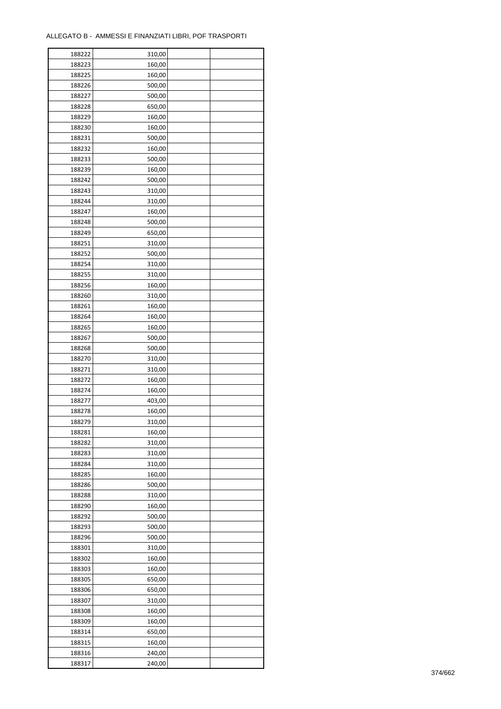| 188222 | 310,00 |  |
|--------|--------|--|
| 188223 | 160,00 |  |
| 188225 | 160,00 |  |
| 188226 | 500,00 |  |
| 188227 | 500,00 |  |
| 188228 | 650,00 |  |
| 188229 | 160,00 |  |
| 188230 | 160,00 |  |
|        |        |  |
| 188231 | 500,00 |  |
| 188232 | 160,00 |  |
| 188233 | 500,00 |  |
| 188239 | 160,00 |  |
| 188242 | 500,00 |  |
| 188243 | 310,00 |  |
| 188244 | 310,00 |  |
| 188247 | 160,00 |  |
| 188248 | 500,00 |  |
| 188249 | 650,00 |  |
| 188251 | 310,00 |  |
| 188252 | 500,00 |  |
| 188254 | 310,00 |  |
| 188255 | 310,00 |  |
| 188256 | 160,00 |  |
| 188260 | 310,00 |  |
| 188261 | 160,00 |  |
| 188264 | 160,00 |  |
| 188265 | 160,00 |  |
|        |        |  |
| 188267 | 500,00 |  |
| 188268 | 500,00 |  |
| 188270 | 310,00 |  |
| 188271 | 310,00 |  |
| 188272 | 160,00 |  |
| 188274 | 160,00 |  |
| 188277 | 403,00 |  |
| 188278 | 160,00 |  |
| 188279 | 310,00 |  |
| 188281 | 160,00 |  |
| 188282 | 310,00 |  |
| 188283 | 310,00 |  |
| 188284 | 310,00 |  |
| 188285 | 160,00 |  |
| 188286 | 500,00 |  |
| 188288 | 310,00 |  |
| 188290 | 160,00 |  |
| 188292 | 500,00 |  |
| 188293 | 500,00 |  |
|        |        |  |
| 188296 | 500,00 |  |
| 188301 | 310,00 |  |
| 188302 | 160,00 |  |
| 188303 | 160,00 |  |
| 188305 | 650,00 |  |
| 188306 | 650,00 |  |
| 188307 | 310,00 |  |
| 188308 | 160,00 |  |
| 188309 | 160,00 |  |
| 188314 | 650,00 |  |
| 188315 | 160,00 |  |
| 188316 | 240,00 |  |
| 188317 | 240,00 |  |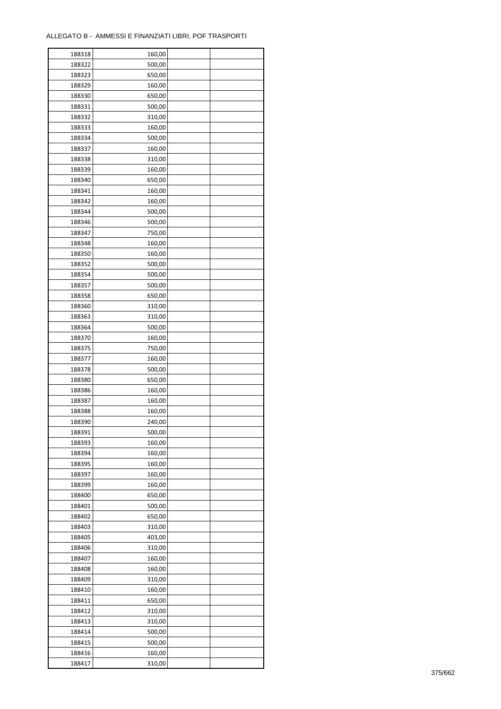| 188318 | 160,00 |  |
|--------|--------|--|
| 188322 | 500,00 |  |
| 188323 | 650,00 |  |
| 188329 | 160,00 |  |
| 188330 | 650,00 |  |
| 188331 | 500,00 |  |
| 188332 | 310,00 |  |
| 188333 | 160,00 |  |
| 188334 | 500,00 |  |
| 188337 | 160,00 |  |
| 188338 | 310,00 |  |
| 188339 | 160,00 |  |
| 188340 | 650,00 |  |
| 188341 | 160,00 |  |
| 188342 | 160,00 |  |
| 188344 | 500,00 |  |
| 188346 | 500,00 |  |
| 188347 | 750,00 |  |
| 188348 | 160,00 |  |
| 188350 | 160,00 |  |
|        |        |  |
| 188352 | 500,00 |  |
| 188354 | 500,00 |  |
| 188357 | 500,00 |  |
| 188358 | 650,00 |  |
| 188360 | 310,00 |  |
| 188363 | 310,00 |  |
| 188364 | 500,00 |  |
| 188370 | 160,00 |  |
| 188375 | 750,00 |  |
| 188377 | 160,00 |  |
| 188378 | 500,00 |  |
| 188380 | 650,00 |  |
| 188386 | 160,00 |  |
| 188387 | 160,00 |  |
| 188388 | 160,00 |  |
| 188390 | 240,00 |  |
| 188391 | 500,00 |  |
| 188393 | 160,00 |  |
| 188394 | 160,00 |  |
| 188395 | 160,00 |  |
| 188397 | 160,00 |  |
| 188399 | 160,00 |  |
| 188400 | 650,00 |  |
| 188401 | 500,00 |  |
| 188402 | 650,00 |  |
| 188403 | 310,00 |  |
| 188405 | 403,00 |  |
| 188406 | 310,00 |  |
| 188407 | 160,00 |  |
| 188408 | 160,00 |  |
| 188409 | 310,00 |  |
| 188410 | 160,00 |  |
| 188411 | 650,00 |  |
| 188412 | 310,00 |  |
| 188413 | 310,00 |  |
| 188414 | 500,00 |  |
| 188415 | 500,00 |  |
| 188416 | 160,00 |  |
| 188417 | 310,00 |  |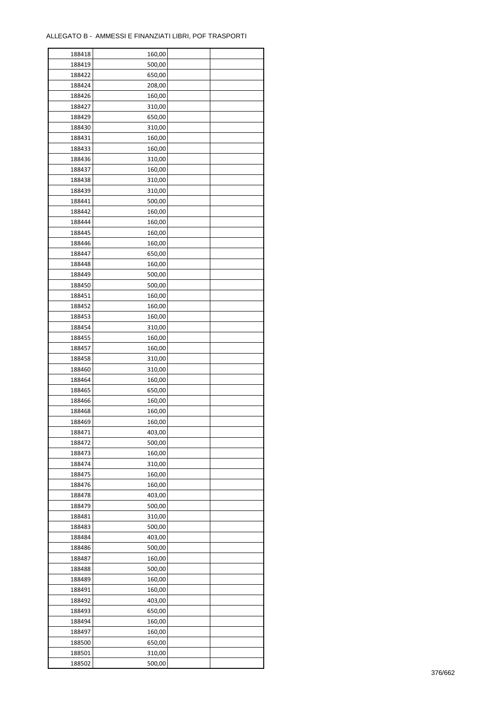| 188418           | 160,00           |  |
|------------------|------------------|--|
| 188419           | 500,00           |  |
| 188422           | 650,00           |  |
| 188424           | 208,00           |  |
| 188426           | 160,00           |  |
| 188427           | 310,00           |  |
| 188429           | 650,00           |  |
| 188430           | 310,00           |  |
| 188431           | 160,00           |  |
| 188433           | 160,00           |  |
| 188436           | 310,00           |  |
| 188437           | 160,00           |  |
| 188438           | 310,00           |  |
| 188439           | 310,00           |  |
| 188441           | 500,00           |  |
| 188442           | 160,00           |  |
| 188444           | 160,00           |  |
| 188445           | 160,00           |  |
| 188446           | 160,00           |  |
| 188447           | 650,00           |  |
|                  |                  |  |
| 188448           | 160,00           |  |
| 188449           | 500,00           |  |
| 188450           | 500,00           |  |
| 188451           | 160,00           |  |
| 188452           | 160,00           |  |
| 188453           | 160,00           |  |
| 188454           | 310,00           |  |
| 188455           | 160,00           |  |
| 188457           | 160,00           |  |
| 188458           | 310,00           |  |
| 188460           | 310,00           |  |
| 188464           | 160,00           |  |
| 188465<br>188466 | 650,00           |  |
| 188468           | 160,00<br>160,00 |  |
| 188469           | 160,00           |  |
| 188471           | 403,00           |  |
| 188472           | 500,00           |  |
|                  |                  |  |
| 188473<br>188474 | 160,00<br>310,00 |  |
| 188475           | 160,00           |  |
| 188476           | 160,00           |  |
| 188478           | 403,00           |  |
| 188479           | 500,00           |  |
| 188481           | 310,00           |  |
| 188483           | 500,00           |  |
| 188484           | 403,00           |  |
| 188486           | 500,00           |  |
| 188487           | 160,00           |  |
| 188488           | 500,00           |  |
| 188489           | 160,00           |  |
| 188491           | 160,00           |  |
| 188492           | 403,00           |  |
| 188493           | 650,00           |  |
| 188494           |                  |  |
|                  | 160,00           |  |
| 188497           | 160,00           |  |
| 188500           | 650,00           |  |
| 188501           | 310,00           |  |
| 188502           | 500,00           |  |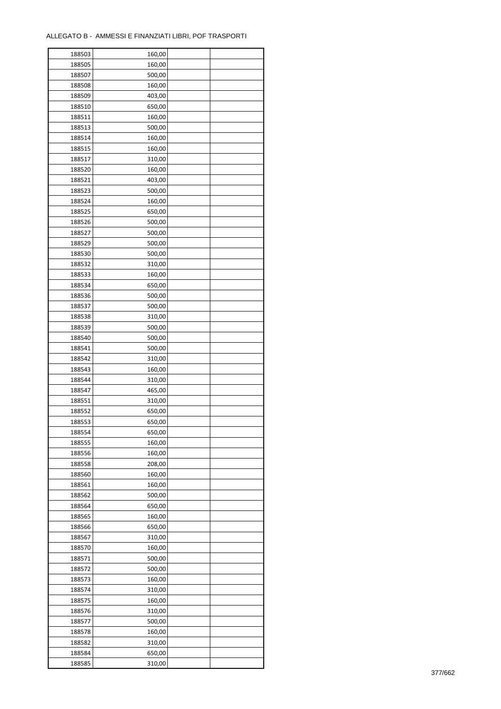| 188503 | 160,00 |  |
|--------|--------|--|
| 188505 | 160,00 |  |
| 188507 | 500,00 |  |
| 188508 | 160,00 |  |
| 188509 | 403,00 |  |
| 188510 | 650,00 |  |
| 188511 | 160,00 |  |
| 188513 | 500,00 |  |
|        |        |  |
| 188514 | 160,00 |  |
| 188515 | 160,00 |  |
| 188517 | 310,00 |  |
| 188520 | 160,00 |  |
| 188521 | 403,00 |  |
| 188523 | 500,00 |  |
| 188524 | 160,00 |  |
| 188525 | 650,00 |  |
| 188526 | 500,00 |  |
| 188527 | 500,00 |  |
| 188529 | 500,00 |  |
| 188530 | 500,00 |  |
| 188532 | 310,00 |  |
| 188533 | 160,00 |  |
| 188534 | 650,00 |  |
| 188536 | 500,00 |  |
| 188537 | 500,00 |  |
| 188538 | 310,00 |  |
| 188539 | 500,00 |  |
| 188540 | 500,00 |  |
| 188541 | 500,00 |  |
|        |        |  |
| 188542 | 310,00 |  |
| 188543 | 160,00 |  |
| 188544 | 310,00 |  |
| 188547 | 465,00 |  |
| 188551 | 310,00 |  |
| 188552 | 650,00 |  |
| 188553 | 650,00 |  |
| 188554 | 650,00 |  |
| 188555 | 160,00 |  |
| 188556 | 160,00 |  |
| 188558 | 208,00 |  |
| 188560 | 160,00 |  |
| 188561 | 160,00 |  |
| 188562 | 500,00 |  |
| 188564 | 650,00 |  |
| 188565 | 160,00 |  |
| 188566 | 650,00 |  |
| 188567 | 310,00 |  |
| 188570 | 160,00 |  |
| 188571 | 500,00 |  |
| 188572 | 500,00 |  |
|        | 160,00 |  |
| 188573 |        |  |
| 188574 | 310,00 |  |
| 188575 | 160,00 |  |
| 188576 | 310,00 |  |
| 188577 | 500,00 |  |
| 188578 | 160,00 |  |
| 188582 | 310,00 |  |
| 188584 | 650,00 |  |
| 188585 | 310,00 |  |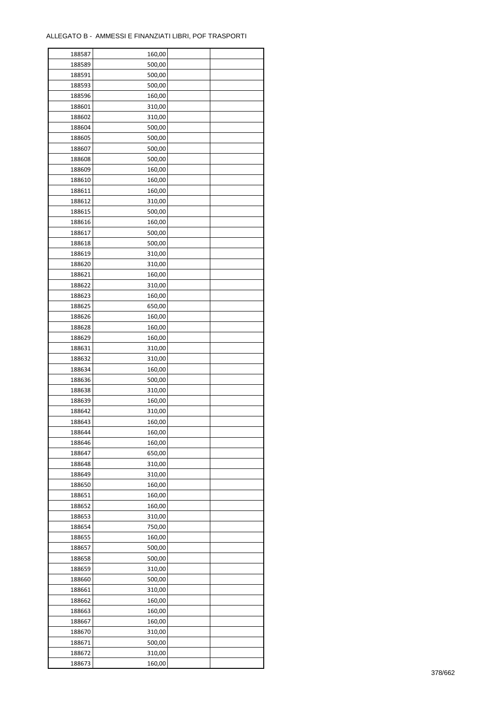| 188587 | 160,00 |  |
|--------|--------|--|
| 188589 | 500,00 |  |
| 188591 | 500,00 |  |
| 188593 | 500,00 |  |
| 188596 | 160,00 |  |
| 188601 | 310,00 |  |
| 188602 | 310,00 |  |
| 188604 | 500,00 |  |
| 188605 | 500,00 |  |
|        |        |  |
| 188607 | 500,00 |  |
| 188608 | 500,00 |  |
| 188609 | 160,00 |  |
| 188610 | 160,00 |  |
| 188611 | 160,00 |  |
| 188612 | 310,00 |  |
| 188615 | 500,00 |  |
| 188616 | 160,00 |  |
| 188617 | 500,00 |  |
| 188618 | 500,00 |  |
| 188619 | 310,00 |  |
| 188620 | 310,00 |  |
| 188621 | 160,00 |  |
| 188622 | 310,00 |  |
| 188623 | 160,00 |  |
| 188625 | 650,00 |  |
| 188626 | 160,00 |  |
| 188628 | 160,00 |  |
| 188629 | 160,00 |  |
| 188631 | 310,00 |  |
| 188632 | 310,00 |  |
|        |        |  |
| 188634 | 160,00 |  |
| 188636 | 500,00 |  |
| 188638 | 310,00 |  |
| 188639 | 160,00 |  |
| 188642 | 310,00 |  |
| 188643 | 160,00 |  |
| 188644 | 160,00 |  |
| 188646 | 160,00 |  |
| 188647 | 650,00 |  |
| 188648 | 310,00 |  |
| 188649 | 310,00 |  |
| 188650 | 160,00 |  |
| 188651 | 160,00 |  |
| 188652 | 160,00 |  |
| 188653 | 310,00 |  |
| 188654 | 750,00 |  |
| 188655 | 160,00 |  |
| 188657 | 500,00 |  |
| 188658 | 500,00 |  |
| 188659 | 310,00 |  |
| 188660 | 500,00 |  |
| 188661 | 310,00 |  |
| 188662 | 160,00 |  |
|        |        |  |
| 188663 | 160,00 |  |
| 188667 | 160,00 |  |
| 188670 | 310,00 |  |
| 188671 | 500,00 |  |
| 188672 | 310,00 |  |
| 188673 | 160,00 |  |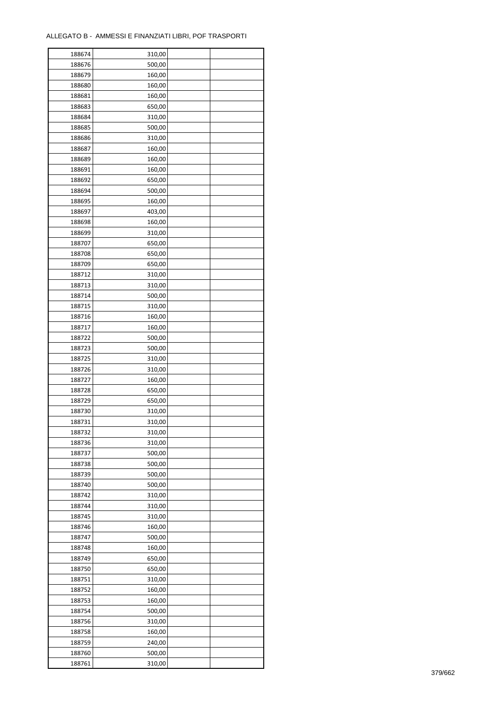| 500,00<br>188676<br>188679<br>160,00<br>188680<br>160,00<br>188681<br>160,00<br>650,00<br>188683<br>188684<br>310,00<br>188685<br>500,00<br>188686<br>310,00<br>188687<br>160,00<br>188689<br>160,00<br>188691<br>160,00<br>188692<br>650,00<br>188694<br>500,00<br>188695<br>160,00<br>188697<br>403,00<br>188698<br>160,00<br>310,00<br>188699<br>650,00<br>188707<br>188708<br>650,00<br>188709<br>650,00<br>188712<br>310,00<br>188713<br>310,00<br>188714<br>500,00<br>188715<br>310,00<br>188716<br>160,00<br>188717<br>160,00<br>500,00<br>188722<br>188723<br>500,00<br>188725<br>310,00<br>188726<br>310,00<br>188727<br>160,00<br>188728<br>650,00<br>188729<br>650,00<br>188730<br>310,00<br>188731<br>310,00<br>310,00<br>188732<br>310,00<br>188736<br>500,00<br>188737<br>188738<br>500,00<br>188739<br>500,00<br>188740<br>500,00<br>188742<br>310,00<br>188744<br>310,00<br>188745<br>310,00<br>188746<br>160,00<br>188747<br>500,00<br>188748<br>160,00<br>188749<br>650,00<br>188750<br>650,00<br>188751<br>310,00<br>188752<br>160,00<br>188753<br>160,00<br>188754<br>500,00<br>188756<br>310,00<br>160,00<br>188758<br>188759<br>240,00<br>188760<br>500,00<br>188761<br>310,00 | 188674 | 310,00 |  |
|------------------------------------------------------------------------------------------------------------------------------------------------------------------------------------------------------------------------------------------------------------------------------------------------------------------------------------------------------------------------------------------------------------------------------------------------------------------------------------------------------------------------------------------------------------------------------------------------------------------------------------------------------------------------------------------------------------------------------------------------------------------------------------------------------------------------------------------------------------------------------------------------------------------------------------------------------------------------------------------------------------------------------------------------------------------------------------------------------------------------------------------------------------------------------------------------------|--------|--------|--|
|                                                                                                                                                                                                                                                                                                                                                                                                                                                                                                                                                                                                                                                                                                                                                                                                                                                                                                                                                                                                                                                                                                                                                                                                      |        |        |  |
|                                                                                                                                                                                                                                                                                                                                                                                                                                                                                                                                                                                                                                                                                                                                                                                                                                                                                                                                                                                                                                                                                                                                                                                                      |        |        |  |
|                                                                                                                                                                                                                                                                                                                                                                                                                                                                                                                                                                                                                                                                                                                                                                                                                                                                                                                                                                                                                                                                                                                                                                                                      |        |        |  |
|                                                                                                                                                                                                                                                                                                                                                                                                                                                                                                                                                                                                                                                                                                                                                                                                                                                                                                                                                                                                                                                                                                                                                                                                      |        |        |  |
|                                                                                                                                                                                                                                                                                                                                                                                                                                                                                                                                                                                                                                                                                                                                                                                                                                                                                                                                                                                                                                                                                                                                                                                                      |        |        |  |
|                                                                                                                                                                                                                                                                                                                                                                                                                                                                                                                                                                                                                                                                                                                                                                                                                                                                                                                                                                                                                                                                                                                                                                                                      |        |        |  |
|                                                                                                                                                                                                                                                                                                                                                                                                                                                                                                                                                                                                                                                                                                                                                                                                                                                                                                                                                                                                                                                                                                                                                                                                      |        |        |  |
|                                                                                                                                                                                                                                                                                                                                                                                                                                                                                                                                                                                                                                                                                                                                                                                                                                                                                                                                                                                                                                                                                                                                                                                                      |        |        |  |
|                                                                                                                                                                                                                                                                                                                                                                                                                                                                                                                                                                                                                                                                                                                                                                                                                                                                                                                                                                                                                                                                                                                                                                                                      |        |        |  |
|                                                                                                                                                                                                                                                                                                                                                                                                                                                                                                                                                                                                                                                                                                                                                                                                                                                                                                                                                                                                                                                                                                                                                                                                      |        |        |  |
|                                                                                                                                                                                                                                                                                                                                                                                                                                                                                                                                                                                                                                                                                                                                                                                                                                                                                                                                                                                                                                                                                                                                                                                                      |        |        |  |
|                                                                                                                                                                                                                                                                                                                                                                                                                                                                                                                                                                                                                                                                                                                                                                                                                                                                                                                                                                                                                                                                                                                                                                                                      |        |        |  |
|                                                                                                                                                                                                                                                                                                                                                                                                                                                                                                                                                                                                                                                                                                                                                                                                                                                                                                                                                                                                                                                                                                                                                                                                      |        |        |  |
|                                                                                                                                                                                                                                                                                                                                                                                                                                                                                                                                                                                                                                                                                                                                                                                                                                                                                                                                                                                                                                                                                                                                                                                                      |        |        |  |
|                                                                                                                                                                                                                                                                                                                                                                                                                                                                                                                                                                                                                                                                                                                                                                                                                                                                                                                                                                                                                                                                                                                                                                                                      |        |        |  |
|                                                                                                                                                                                                                                                                                                                                                                                                                                                                                                                                                                                                                                                                                                                                                                                                                                                                                                                                                                                                                                                                                                                                                                                                      |        |        |  |
|                                                                                                                                                                                                                                                                                                                                                                                                                                                                                                                                                                                                                                                                                                                                                                                                                                                                                                                                                                                                                                                                                                                                                                                                      |        |        |  |
|                                                                                                                                                                                                                                                                                                                                                                                                                                                                                                                                                                                                                                                                                                                                                                                                                                                                                                                                                                                                                                                                                                                                                                                                      |        |        |  |
|                                                                                                                                                                                                                                                                                                                                                                                                                                                                                                                                                                                                                                                                                                                                                                                                                                                                                                                                                                                                                                                                                                                                                                                                      |        |        |  |
|                                                                                                                                                                                                                                                                                                                                                                                                                                                                                                                                                                                                                                                                                                                                                                                                                                                                                                                                                                                                                                                                                                                                                                                                      |        |        |  |
|                                                                                                                                                                                                                                                                                                                                                                                                                                                                                                                                                                                                                                                                                                                                                                                                                                                                                                                                                                                                                                                                                                                                                                                                      |        |        |  |
|                                                                                                                                                                                                                                                                                                                                                                                                                                                                                                                                                                                                                                                                                                                                                                                                                                                                                                                                                                                                                                                                                                                                                                                                      |        |        |  |
|                                                                                                                                                                                                                                                                                                                                                                                                                                                                                                                                                                                                                                                                                                                                                                                                                                                                                                                                                                                                                                                                                                                                                                                                      |        |        |  |
|                                                                                                                                                                                                                                                                                                                                                                                                                                                                                                                                                                                                                                                                                                                                                                                                                                                                                                                                                                                                                                                                                                                                                                                                      |        |        |  |
|                                                                                                                                                                                                                                                                                                                                                                                                                                                                                                                                                                                                                                                                                                                                                                                                                                                                                                                                                                                                                                                                                                                                                                                                      |        |        |  |
|                                                                                                                                                                                                                                                                                                                                                                                                                                                                                                                                                                                                                                                                                                                                                                                                                                                                                                                                                                                                                                                                                                                                                                                                      |        |        |  |
|                                                                                                                                                                                                                                                                                                                                                                                                                                                                                                                                                                                                                                                                                                                                                                                                                                                                                                                                                                                                                                                                                                                                                                                                      |        |        |  |
|                                                                                                                                                                                                                                                                                                                                                                                                                                                                                                                                                                                                                                                                                                                                                                                                                                                                                                                                                                                                                                                                                                                                                                                                      |        |        |  |
|                                                                                                                                                                                                                                                                                                                                                                                                                                                                                                                                                                                                                                                                                                                                                                                                                                                                                                                                                                                                                                                                                                                                                                                                      |        |        |  |
|                                                                                                                                                                                                                                                                                                                                                                                                                                                                                                                                                                                                                                                                                                                                                                                                                                                                                                                                                                                                                                                                                                                                                                                                      |        |        |  |
|                                                                                                                                                                                                                                                                                                                                                                                                                                                                                                                                                                                                                                                                                                                                                                                                                                                                                                                                                                                                                                                                                                                                                                                                      |        |        |  |
|                                                                                                                                                                                                                                                                                                                                                                                                                                                                                                                                                                                                                                                                                                                                                                                                                                                                                                                                                                                                                                                                                                                                                                                                      |        |        |  |
|                                                                                                                                                                                                                                                                                                                                                                                                                                                                                                                                                                                                                                                                                                                                                                                                                                                                                                                                                                                                                                                                                                                                                                                                      |        |        |  |
|                                                                                                                                                                                                                                                                                                                                                                                                                                                                                                                                                                                                                                                                                                                                                                                                                                                                                                                                                                                                                                                                                                                                                                                                      |        |        |  |
|                                                                                                                                                                                                                                                                                                                                                                                                                                                                                                                                                                                                                                                                                                                                                                                                                                                                                                                                                                                                                                                                                                                                                                                                      |        |        |  |
|                                                                                                                                                                                                                                                                                                                                                                                                                                                                                                                                                                                                                                                                                                                                                                                                                                                                                                                                                                                                                                                                                                                                                                                                      |        |        |  |
|                                                                                                                                                                                                                                                                                                                                                                                                                                                                                                                                                                                                                                                                                                                                                                                                                                                                                                                                                                                                                                                                                                                                                                                                      |        |        |  |
|                                                                                                                                                                                                                                                                                                                                                                                                                                                                                                                                                                                                                                                                                                                                                                                                                                                                                                                                                                                                                                                                                                                                                                                                      |        |        |  |
|                                                                                                                                                                                                                                                                                                                                                                                                                                                                                                                                                                                                                                                                                                                                                                                                                                                                                                                                                                                                                                                                                                                                                                                                      |        |        |  |
|                                                                                                                                                                                                                                                                                                                                                                                                                                                                                                                                                                                                                                                                                                                                                                                                                                                                                                                                                                                                                                                                                                                                                                                                      |        |        |  |
|                                                                                                                                                                                                                                                                                                                                                                                                                                                                                                                                                                                                                                                                                                                                                                                                                                                                                                                                                                                                                                                                                                                                                                                                      |        |        |  |
|                                                                                                                                                                                                                                                                                                                                                                                                                                                                                                                                                                                                                                                                                                                                                                                                                                                                                                                                                                                                                                                                                                                                                                                                      |        |        |  |
|                                                                                                                                                                                                                                                                                                                                                                                                                                                                                                                                                                                                                                                                                                                                                                                                                                                                                                                                                                                                                                                                                                                                                                                                      |        |        |  |
|                                                                                                                                                                                                                                                                                                                                                                                                                                                                                                                                                                                                                                                                                                                                                                                                                                                                                                                                                                                                                                                                                                                                                                                                      |        |        |  |
|                                                                                                                                                                                                                                                                                                                                                                                                                                                                                                                                                                                                                                                                                                                                                                                                                                                                                                                                                                                                                                                                                                                                                                                                      |        |        |  |
|                                                                                                                                                                                                                                                                                                                                                                                                                                                                                                                                                                                                                                                                                                                                                                                                                                                                                                                                                                                                                                                                                                                                                                                                      |        |        |  |
|                                                                                                                                                                                                                                                                                                                                                                                                                                                                                                                                                                                                                                                                                                                                                                                                                                                                                                                                                                                                                                                                                                                                                                                                      |        |        |  |
|                                                                                                                                                                                                                                                                                                                                                                                                                                                                                                                                                                                                                                                                                                                                                                                                                                                                                                                                                                                                                                                                                                                                                                                                      |        |        |  |
|                                                                                                                                                                                                                                                                                                                                                                                                                                                                                                                                                                                                                                                                                                                                                                                                                                                                                                                                                                                                                                                                                                                                                                                                      |        |        |  |
|                                                                                                                                                                                                                                                                                                                                                                                                                                                                                                                                                                                                                                                                                                                                                                                                                                                                                                                                                                                                                                                                                                                                                                                                      |        |        |  |
|                                                                                                                                                                                                                                                                                                                                                                                                                                                                                                                                                                                                                                                                                                                                                                                                                                                                                                                                                                                                                                                                                                                                                                                                      |        |        |  |
|                                                                                                                                                                                                                                                                                                                                                                                                                                                                                                                                                                                                                                                                                                                                                                                                                                                                                                                                                                                                                                                                                                                                                                                                      |        |        |  |
|                                                                                                                                                                                                                                                                                                                                                                                                                                                                                                                                                                                                                                                                                                                                                                                                                                                                                                                                                                                                                                                                                                                                                                                                      |        |        |  |
|                                                                                                                                                                                                                                                                                                                                                                                                                                                                                                                                                                                                                                                                                                                                                                                                                                                                                                                                                                                                                                                                                                                                                                                                      |        |        |  |
|                                                                                                                                                                                                                                                                                                                                                                                                                                                                                                                                                                                                                                                                                                                                                                                                                                                                                                                                                                                                                                                                                                                                                                                                      |        |        |  |
|                                                                                                                                                                                                                                                                                                                                                                                                                                                                                                                                                                                                                                                                                                                                                                                                                                                                                                                                                                                                                                                                                                                                                                                                      |        |        |  |
|                                                                                                                                                                                                                                                                                                                                                                                                                                                                                                                                                                                                                                                                                                                                                                                                                                                                                                                                                                                                                                                                                                                                                                                                      |        |        |  |
|                                                                                                                                                                                                                                                                                                                                                                                                                                                                                                                                                                                                                                                                                                                                                                                                                                                                                                                                                                                                                                                                                                                                                                                                      |        |        |  |
|                                                                                                                                                                                                                                                                                                                                                                                                                                                                                                                                                                                                                                                                                                                                                                                                                                                                                                                                                                                                                                                                                                                                                                                                      |        |        |  |
|                                                                                                                                                                                                                                                                                                                                                                                                                                                                                                                                                                                                                                                                                                                                                                                                                                                                                                                                                                                                                                                                                                                                                                                                      |        |        |  |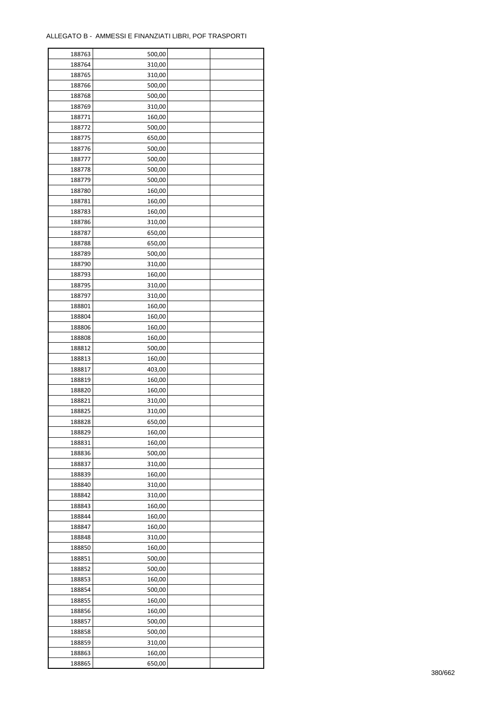| 188763 | 500,00 |  |
|--------|--------|--|
| 188764 | 310,00 |  |
| 188765 | 310,00 |  |
| 188766 | 500,00 |  |
| 188768 | 500,00 |  |
| 188769 | 310,00 |  |
| 188771 | 160,00 |  |
| 188772 | 500,00 |  |
| 188775 | 650,00 |  |
| 188776 | 500,00 |  |
| 188777 | 500,00 |  |
| 188778 | 500,00 |  |
|        | 500,00 |  |
| 188779 |        |  |
| 188780 | 160,00 |  |
| 188781 | 160,00 |  |
| 188783 | 160,00 |  |
| 188786 | 310,00 |  |
| 188787 | 650,00 |  |
| 188788 | 650,00 |  |
| 188789 | 500,00 |  |
| 188790 | 310,00 |  |
| 188793 | 160,00 |  |
| 188795 | 310,00 |  |
| 188797 | 310,00 |  |
| 188801 | 160,00 |  |
| 188804 | 160,00 |  |
| 188806 | 160,00 |  |
| 188808 | 160,00 |  |
| 188812 | 500,00 |  |
| 188813 | 160,00 |  |
| 188817 | 403,00 |  |
| 188819 | 160,00 |  |
| 188820 | 160,00 |  |
| 188821 | 310,00 |  |
| 188825 | 310,00 |  |
| 188828 | 650,00 |  |
| 188829 | 160,00 |  |
| 188831 | 160,00 |  |
| 188836 | 500,00 |  |
| 188837 | 310,00 |  |
| 188839 | 160,00 |  |
| 188840 | 310,00 |  |
| 188842 | 310,00 |  |
| 188843 | 160,00 |  |
| 188844 | 160,00 |  |
| 188847 | 160,00 |  |
| 188848 | 310,00 |  |
| 188850 | 160,00 |  |
| 188851 | 500,00 |  |
| 188852 | 500,00 |  |
| 188853 | 160,00 |  |
| 188854 | 500,00 |  |
| 188855 | 160,00 |  |
| 188856 | 160,00 |  |
| 188857 | 500,00 |  |
| 188858 | 500,00 |  |
| 188859 | 310,00 |  |
|        |        |  |
| 188863 | 160,00 |  |
| 188865 | 650,00 |  |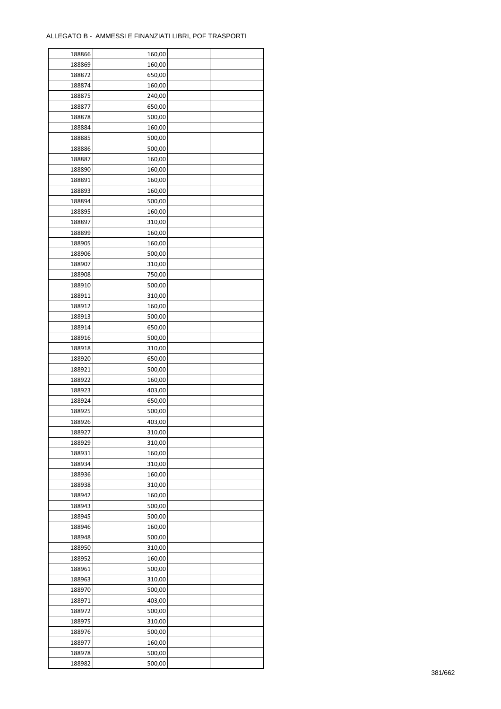| 188866 | 160,00 |  |
|--------|--------|--|
| 188869 | 160,00 |  |
| 188872 | 650,00 |  |
| 188874 | 160,00 |  |
| 188875 | 240,00 |  |
| 188877 | 650,00 |  |
| 188878 | 500,00 |  |
| 188884 | 160,00 |  |
| 188885 | 500,00 |  |
| 188886 | 500,00 |  |
| 188887 | 160,00 |  |
| 188890 | 160,00 |  |
| 188891 | 160,00 |  |
| 188893 |        |  |
|        | 160,00 |  |
| 188894 | 500,00 |  |
| 188895 | 160,00 |  |
| 188897 | 310,00 |  |
| 188899 | 160,00 |  |
| 188905 | 160,00 |  |
| 188906 | 500,00 |  |
| 188907 | 310,00 |  |
| 188908 | 750,00 |  |
| 188910 | 500,00 |  |
| 188911 | 310,00 |  |
| 188912 | 160,00 |  |
| 188913 | 500,00 |  |
| 188914 | 650,00 |  |
| 188916 | 500,00 |  |
| 188918 | 310,00 |  |
| 188920 | 650,00 |  |
| 188921 | 500,00 |  |
| 188922 | 160,00 |  |
| 188923 | 403,00 |  |
| 188924 | 650,00 |  |
| 188925 | 500,00 |  |
| 188926 | 403,00 |  |
| 188927 | 310,00 |  |
| 188929 | 310,00 |  |
|        |        |  |
| 188931 | 160,00 |  |
| 188934 | 310,00 |  |
| 188936 | 160,00 |  |
| 188938 | 310,00 |  |
| 188942 | 160,00 |  |
| 188943 | 500,00 |  |
| 188945 | 500,00 |  |
| 188946 | 160,00 |  |
| 188948 | 500,00 |  |
| 188950 | 310,00 |  |
| 188952 | 160,00 |  |
| 188961 | 500,00 |  |
| 188963 | 310,00 |  |
| 188970 | 500,00 |  |
| 188971 | 403,00 |  |
| 188972 | 500,00 |  |
| 188975 | 310,00 |  |
| 188976 | 500,00 |  |
| 188977 | 160,00 |  |
| 188978 | 500,00 |  |
| 188982 | 500,00 |  |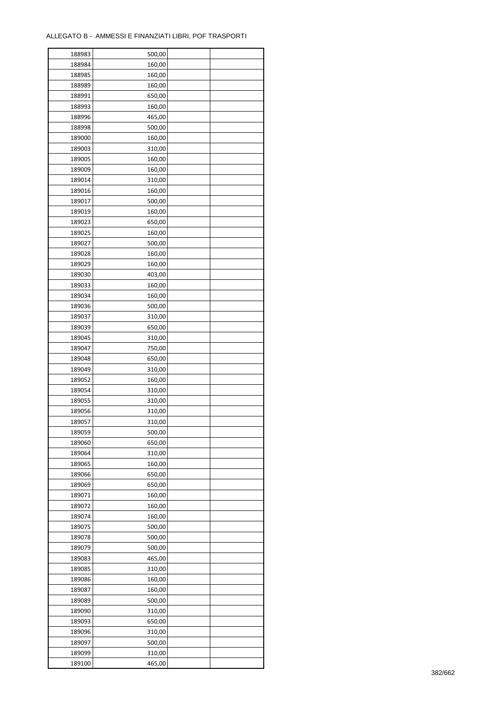| 188983 | 500,00 |  |
|--------|--------|--|
| 188984 | 160,00 |  |
| 188985 | 160,00 |  |
| 188989 | 160,00 |  |
| 188991 | 650,00 |  |
| 188993 | 160,00 |  |
| 188996 | 465,00 |  |
| 188998 | 500,00 |  |
| 189000 | 160,00 |  |
| 189003 | 310,00 |  |
| 189005 | 160,00 |  |
|        |        |  |
| 189009 | 160,00 |  |
| 189014 | 310,00 |  |
| 189016 | 160,00 |  |
| 189017 | 500,00 |  |
| 189019 | 160,00 |  |
| 189023 | 650,00 |  |
| 189025 | 160,00 |  |
| 189027 | 500,00 |  |
| 189028 | 160,00 |  |
| 189029 | 160,00 |  |
| 189030 | 403,00 |  |
| 189033 | 160,00 |  |
| 189034 | 160,00 |  |
| 189036 | 500,00 |  |
| 189037 | 310,00 |  |
| 189039 | 650,00 |  |
| 189045 | 310,00 |  |
| 189047 | 750,00 |  |
| 189048 | 650,00 |  |
| 189049 | 310,00 |  |
| 189052 | 160,00 |  |
| 189054 | 310,00 |  |
| 189055 | 310,00 |  |
| 189056 | 310,00 |  |
| 189057 | 310,00 |  |
| 189059 | 500,00 |  |
| 189060 | 650,00 |  |
| 189064 |        |  |
|        | 310,00 |  |
| 189065 | 160,00 |  |
| 189066 | 650,00 |  |
| 189069 | 650,00 |  |
| 189071 | 160,00 |  |
| 189072 | 160,00 |  |
| 189074 | 160,00 |  |
| 189075 | 500,00 |  |
| 189078 | 500,00 |  |
| 189079 | 500,00 |  |
| 189083 | 465,00 |  |
| 189085 | 310,00 |  |
| 189086 | 160,00 |  |
| 189087 | 160,00 |  |
| 189089 | 500,00 |  |
| 189090 | 310,00 |  |
| 189093 | 650,00 |  |
| 189096 | 310,00 |  |
| 189097 | 500,00 |  |
| 189099 | 310,00 |  |
| 189100 | 465,00 |  |
|        |        |  |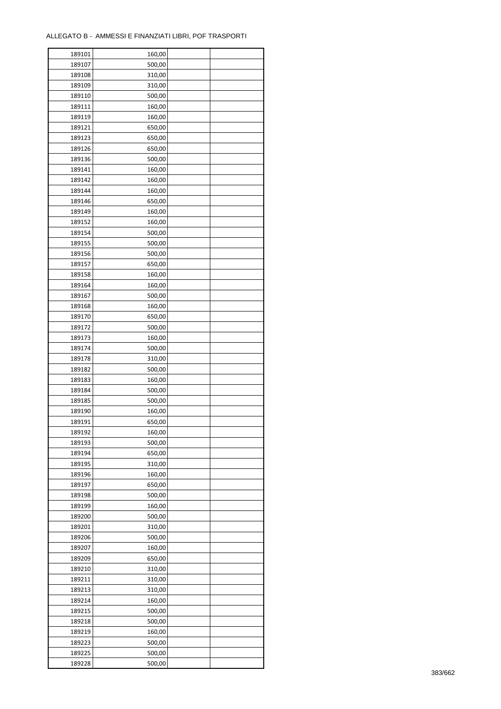ř

| 189101 | 160,00 |  |
|--------|--------|--|
| 189107 | 500,00 |  |
| 189108 | 310,00 |  |
| 189109 | 310,00 |  |
| 189110 | 500,00 |  |
| 189111 | 160,00 |  |
| 189119 | 160,00 |  |
| 189121 | 650,00 |  |
| 189123 | 650,00 |  |
| 189126 | 650,00 |  |
|        |        |  |
| 189136 | 500,00 |  |
| 189141 | 160,00 |  |
| 189142 | 160,00 |  |
| 189144 | 160,00 |  |
| 189146 | 650,00 |  |
| 189149 | 160,00 |  |
| 189152 | 160,00 |  |
| 189154 | 500,00 |  |
| 189155 | 500,00 |  |
| 189156 | 500,00 |  |
| 189157 | 650,00 |  |
| 189158 | 160,00 |  |
| 189164 | 160,00 |  |
| 189167 | 500,00 |  |
| 189168 | 160,00 |  |
| 189170 | 650,00 |  |
| 189172 | 500,00 |  |
| 189173 | 160,00 |  |
| 189174 | 500,00 |  |
| 189178 | 310,00 |  |
| 189182 | 500,00 |  |
| 189183 |        |  |
|        | 160,00 |  |
| 189184 | 500,00 |  |
| 189185 | 500,00 |  |
| 189190 | 160,00 |  |
| 189191 | 650,00 |  |
| 189192 | 160,00 |  |
| 189193 | 500,00 |  |
| 189194 | 650,00 |  |
| 189195 | 310,00 |  |
| 189196 | 160,00 |  |
| 189197 | 650,00 |  |
| 189198 | 500,00 |  |
| 189199 | 160,00 |  |
| 189200 | 500,00 |  |
| 189201 | 310,00 |  |
| 189206 | 500,00 |  |
| 189207 | 160,00 |  |
| 189209 | 650,00 |  |
| 189210 | 310,00 |  |
| 189211 | 310,00 |  |
| 189213 | 310,00 |  |
| 189214 | 160,00 |  |
|        |        |  |
| 189215 | 500,00 |  |
| 189218 | 500,00 |  |
| 189219 | 160,00 |  |
| 189223 | 500,00 |  |
| 189225 | 500,00 |  |
| 189228 | 500,00 |  |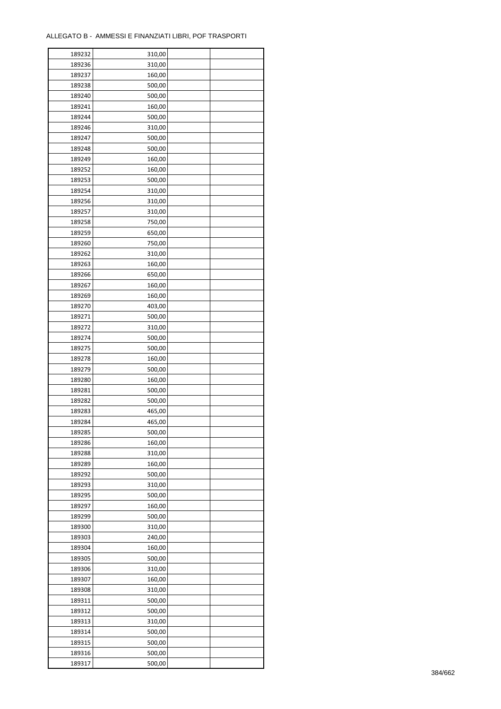| 189232 | 310,00 |  |
|--------|--------|--|
| 189236 | 310,00 |  |
| 189237 | 160,00 |  |
| 189238 | 500,00 |  |
| 189240 | 500,00 |  |
| 189241 | 160,00 |  |
| 189244 | 500,00 |  |
| 189246 | 310,00 |  |
| 189247 | 500,00 |  |
| 189248 | 500,00 |  |
| 189249 | 160,00 |  |
| 189252 | 160,00 |  |
| 189253 | 500,00 |  |
| 189254 | 310,00 |  |
|        |        |  |
| 189256 | 310,00 |  |
| 189257 | 310,00 |  |
| 189258 | 750,00 |  |
| 189259 | 650,00 |  |
| 189260 | 750,00 |  |
| 189262 | 310,00 |  |
| 189263 | 160,00 |  |
| 189266 | 650,00 |  |
| 189267 | 160,00 |  |
| 189269 | 160,00 |  |
| 189270 | 403,00 |  |
| 189271 | 500,00 |  |
| 189272 | 310,00 |  |
| 189274 | 500,00 |  |
| 189275 | 500,00 |  |
| 189278 | 160,00 |  |
| 189279 | 500,00 |  |
| 189280 | 160,00 |  |
| 189281 | 500,00 |  |
| 189282 | 500,00 |  |
| 189283 | 465,00 |  |
| 189284 | 465,00 |  |
| 189285 | 500,00 |  |
| 189286 | 160,00 |  |
| 189288 | 310,00 |  |
| 189289 | 160,00 |  |
| 189292 | 500,00 |  |
| 189293 | 310,00 |  |
| 189295 | 500,00 |  |
|        |        |  |
| 189297 | 160,00 |  |
| 189299 | 500,00 |  |
| 189300 | 310,00 |  |
| 189303 | 240,00 |  |
| 189304 | 160,00 |  |
| 189305 | 500,00 |  |
| 189306 | 310,00 |  |
| 189307 | 160,00 |  |
| 189308 | 310,00 |  |
| 189311 | 500,00 |  |
| 189312 | 500,00 |  |
| 189313 | 310,00 |  |
| 189314 | 500,00 |  |
| 189315 | 500,00 |  |
| 189316 | 500,00 |  |
| 189317 | 500,00 |  |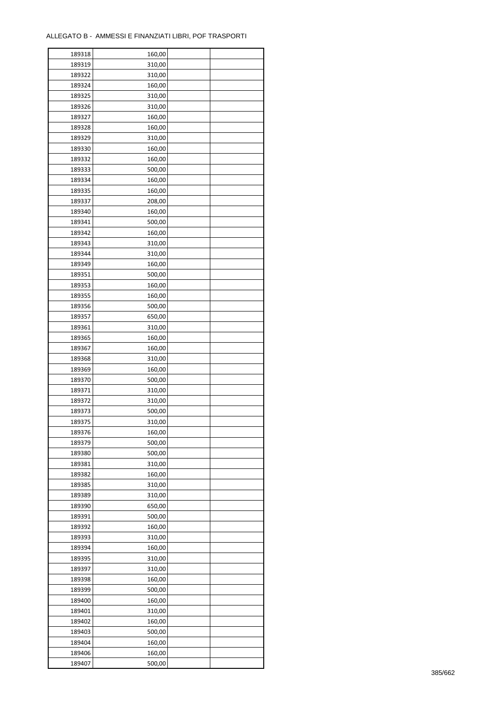ř

| 189318 | 160,00 |  |
|--------|--------|--|
| 189319 | 310,00 |  |
| 189322 | 310,00 |  |
| 189324 | 160,00 |  |
| 189325 | 310,00 |  |
| 189326 | 310,00 |  |
| 189327 | 160,00 |  |
| 189328 | 160,00 |  |
| 189329 | 310,00 |  |
| 189330 | 160,00 |  |
| 189332 | 160,00 |  |
| 189333 | 500,00 |  |
|        |        |  |
| 189334 | 160,00 |  |
| 189335 | 160,00 |  |
| 189337 | 208,00 |  |
| 189340 | 160,00 |  |
| 189341 | 500,00 |  |
| 189342 | 160,00 |  |
| 189343 | 310,00 |  |
| 189344 | 310,00 |  |
| 189349 | 160,00 |  |
| 189351 | 500,00 |  |
| 189353 | 160,00 |  |
| 189355 | 160,00 |  |
| 189356 | 500,00 |  |
| 189357 | 650,00 |  |
| 189361 | 310,00 |  |
| 189365 | 160,00 |  |
| 189367 | 160,00 |  |
| 189368 | 310,00 |  |
| 189369 | 160,00 |  |
| 189370 | 500,00 |  |
| 189371 | 310,00 |  |
| 189372 | 310,00 |  |
| 189373 | 500,00 |  |
| 189375 | 310,00 |  |
| 189376 | 160,00 |  |
| 189379 | 500,00 |  |
| 189380 | 500,00 |  |
| 189381 | 310,00 |  |
|        |        |  |
| 189382 | 160,00 |  |
| 189385 | 310,00 |  |
| 189389 | 310,00 |  |
| 189390 | 650,00 |  |
| 189391 | 500,00 |  |
| 189392 | 160,00 |  |
| 189393 | 310,00 |  |
| 189394 | 160,00 |  |
| 189395 | 310,00 |  |
| 189397 | 310,00 |  |
| 189398 | 160,00 |  |
| 189399 | 500,00 |  |
| 189400 | 160,00 |  |
| 189401 | 310,00 |  |
| 189402 | 160,00 |  |
| 189403 | 500,00 |  |
| 189404 | 160,00 |  |
| 189406 | 160,00 |  |
| 189407 | 500,00 |  |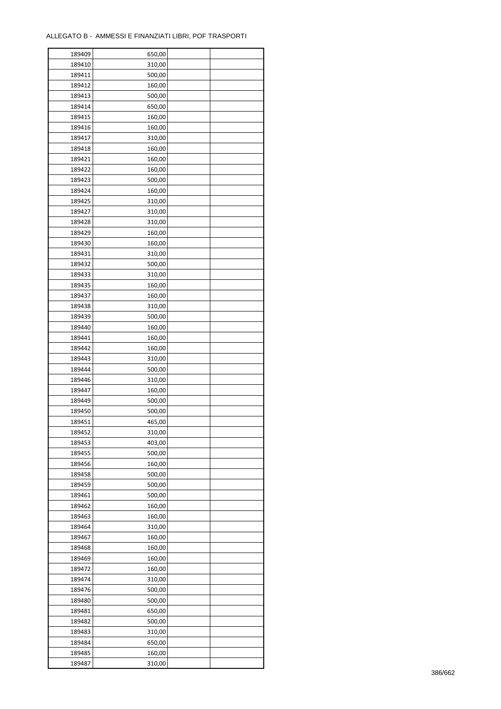| 189409 | 650,00 |  |
|--------|--------|--|
| 189410 | 310,00 |  |
| 189411 | 500,00 |  |
| 189412 | 160,00 |  |
| 189413 | 500,00 |  |
| 189414 | 650,00 |  |
| 189415 | 160,00 |  |
| 189416 | 160,00 |  |
| 189417 | 310,00 |  |
| 189418 | 160,00 |  |
| 189421 | 160,00 |  |
| 189422 | 160,00 |  |
|        |        |  |
| 189423 | 500,00 |  |
| 189424 | 160,00 |  |
| 189425 | 310,00 |  |
| 189427 | 310,00 |  |
| 189428 | 310,00 |  |
| 189429 | 160,00 |  |
| 189430 | 160,00 |  |
| 189431 | 310,00 |  |
| 189432 | 500,00 |  |
| 189433 | 310,00 |  |
| 189435 | 160,00 |  |
| 189437 | 160,00 |  |
| 189438 | 310,00 |  |
| 189439 | 500,00 |  |
| 189440 | 160,00 |  |
| 189441 | 160,00 |  |
| 189442 | 160,00 |  |
| 189443 | 310,00 |  |
| 189444 | 500,00 |  |
| 189446 | 310,00 |  |
| 189447 | 160,00 |  |
| 189449 | 500,00 |  |
| 189450 | 500,00 |  |
| 189451 | 465,00 |  |
|        |        |  |
| 189452 | 310,00 |  |
| 189453 | 403,00 |  |
| 189455 | 500,00 |  |
| 189456 | 160,00 |  |
| 189458 | 500,00 |  |
| 189459 | 500,00 |  |
| 189461 | 500,00 |  |
| 189462 | 160,00 |  |
| 189463 | 160,00 |  |
| 189464 | 310,00 |  |
| 189467 | 160,00 |  |
| 189468 | 160,00 |  |
| 189469 | 160,00 |  |
| 189472 | 160,00 |  |
| 189474 | 310,00 |  |
| 189476 | 500,00 |  |
| 189480 | 500,00 |  |
| 189481 | 650,00 |  |
| 189482 | 500,00 |  |
| 189483 | 310,00 |  |
| 189484 | 650,00 |  |
| 189485 | 160,00 |  |
| 189487 | 310,00 |  |
|        |        |  |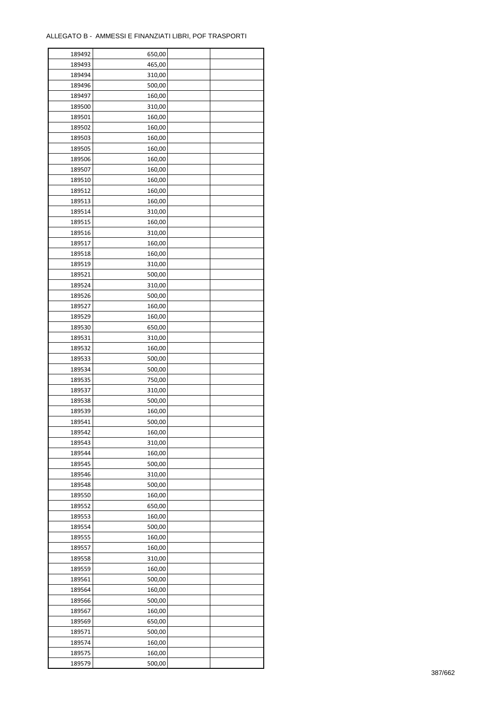| 189492 | 650,00 |  |
|--------|--------|--|
| 189493 | 465,00 |  |
| 189494 | 310,00 |  |
| 189496 | 500,00 |  |
| 189497 | 160,00 |  |
| 189500 | 310,00 |  |
| 189501 | 160,00 |  |
| 189502 | 160,00 |  |
| 189503 | 160,00 |  |
| 189505 | 160,00 |  |
| 189506 | 160,00 |  |
| 189507 | 160,00 |  |
| 189510 | 160,00 |  |
| 189512 | 160,00 |  |
| 189513 | 160,00 |  |
|        |        |  |
| 189514 | 310,00 |  |
| 189515 | 160,00 |  |
| 189516 | 310,00 |  |
| 189517 | 160,00 |  |
| 189518 | 160,00 |  |
| 189519 | 310,00 |  |
| 189521 | 500,00 |  |
| 189524 | 310,00 |  |
| 189526 | 500,00 |  |
| 189527 | 160,00 |  |
| 189529 | 160,00 |  |
| 189530 | 650,00 |  |
| 189531 | 310,00 |  |
| 189532 | 160,00 |  |
| 189533 | 500,00 |  |
| 189534 | 500,00 |  |
| 189535 | 750,00 |  |
| 189537 | 310,00 |  |
| 189538 | 500,00 |  |
| 189539 | 160,00 |  |
| 189541 | 500,00 |  |
| 189542 | 160,00 |  |
| 189543 | 310,00 |  |
| 189544 | 160,00 |  |
| 189545 | 500,00 |  |
|        |        |  |
| 189546 | 310,00 |  |
| 189548 | 500,00 |  |
| 189550 | 160,00 |  |
| 189552 | 650,00 |  |
| 189553 | 160,00 |  |
| 189554 | 500,00 |  |
| 189555 | 160,00 |  |
| 189557 | 160,00 |  |
| 189558 | 310,00 |  |
| 189559 | 160,00 |  |
| 189561 | 500,00 |  |
| 189564 | 160,00 |  |
| 189566 | 500,00 |  |
| 189567 | 160,00 |  |
| 189569 | 650,00 |  |
| 189571 | 500,00 |  |
| 189574 | 160,00 |  |
| 189575 | 160,00 |  |
| 189579 | 500,00 |  |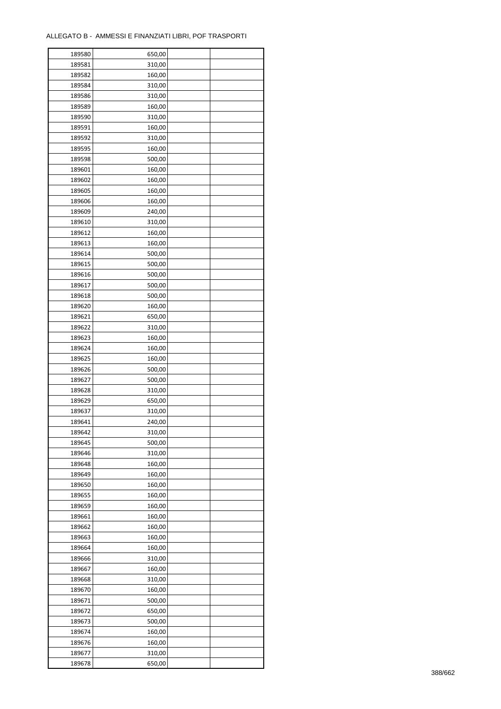| 189580 | 650,00 |  |
|--------|--------|--|
| 189581 | 310,00 |  |
| 189582 | 160,00 |  |
| 189584 | 310,00 |  |
| 189586 | 310,00 |  |
| 189589 | 160,00 |  |
| 189590 | 310,00 |  |
| 189591 | 160,00 |  |
| 189592 | 310,00 |  |
| 189595 | 160,00 |  |
| 189598 |        |  |
|        | 500,00 |  |
| 189601 | 160,00 |  |
| 189602 | 160,00 |  |
| 189605 | 160,00 |  |
| 189606 | 160,00 |  |
| 189609 | 240,00 |  |
| 189610 | 310,00 |  |
| 189612 | 160,00 |  |
| 189613 | 160,00 |  |
| 189614 | 500,00 |  |
| 189615 | 500,00 |  |
| 189616 | 500,00 |  |
| 189617 | 500,00 |  |
| 189618 | 500,00 |  |
| 189620 | 160,00 |  |
| 189621 | 650,00 |  |
| 189622 | 310,00 |  |
| 189623 | 160,00 |  |
| 189624 | 160,00 |  |
| 189625 | 160,00 |  |
|        |        |  |
| 189626 | 500,00 |  |
| 189627 | 500,00 |  |
| 189628 | 310,00 |  |
| 189629 | 650,00 |  |
| 189637 | 310,00 |  |
| 189641 | 240,00 |  |
| 189642 | 310,00 |  |
| 189645 | 500,00 |  |
| 189646 | 310,00 |  |
| 189648 | 160,00 |  |
| 189649 | 160,00 |  |
| 189650 | 160,00 |  |
| 189655 | 160,00 |  |
| 189659 | 160,00 |  |
| 189661 | 160,00 |  |
| 189662 | 160,00 |  |
| 189663 | 160,00 |  |
| 189664 | 160,00 |  |
| 189666 | 310,00 |  |
| 189667 | 160,00 |  |
| 189668 | 310,00 |  |
| 189670 | 160,00 |  |
| 189671 | 500,00 |  |
|        |        |  |
| 189672 | 650,00 |  |
| 189673 | 500,00 |  |
| 189674 | 160,00 |  |
| 189676 | 160,00 |  |
| 189677 | 310,00 |  |
| 189678 | 650,00 |  |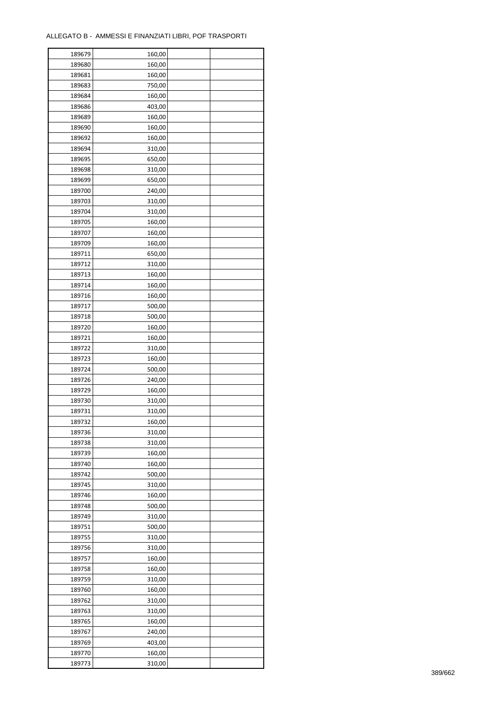| 189679 | 160,00 |  |
|--------|--------|--|
| 189680 | 160,00 |  |
| 189681 | 160,00 |  |
| 189683 | 750,00 |  |
| 189684 | 160,00 |  |
| 189686 | 403,00 |  |
| 189689 | 160,00 |  |
| 189690 | 160,00 |  |
| 189692 | 160,00 |  |
| 189694 | 310,00 |  |
| 189695 | 650,00 |  |
| 189698 | 310,00 |  |
|        |        |  |
| 189699 | 650,00 |  |
| 189700 | 240,00 |  |
| 189703 | 310,00 |  |
| 189704 | 310,00 |  |
| 189705 | 160,00 |  |
| 189707 | 160,00 |  |
| 189709 | 160,00 |  |
| 189711 | 650,00 |  |
| 189712 | 310,00 |  |
| 189713 | 160,00 |  |
| 189714 | 160,00 |  |
| 189716 | 160,00 |  |
| 189717 | 500,00 |  |
| 189718 | 500,00 |  |
| 189720 | 160,00 |  |
| 189721 | 160,00 |  |
| 189722 | 310,00 |  |
| 189723 | 160,00 |  |
| 189724 | 500,00 |  |
| 189726 | 240,00 |  |
| 189729 | 160,00 |  |
| 189730 | 310,00 |  |
| 189731 | 310,00 |  |
| 189732 | 160,00 |  |
|        | 310,00 |  |
| 189736 |        |  |
| 189738 | 310,00 |  |
| 189739 | 160,00 |  |
| 189740 | 160,00 |  |
| 189742 | 500,00 |  |
| 189745 | 310,00 |  |
| 189746 | 160,00 |  |
| 189748 | 500,00 |  |
| 189749 | 310,00 |  |
| 189751 | 500,00 |  |
| 189755 | 310,00 |  |
| 189756 | 310,00 |  |
| 189757 | 160,00 |  |
| 189758 | 160,00 |  |
| 189759 | 310,00 |  |
| 189760 | 160,00 |  |
| 189762 | 310,00 |  |
| 189763 | 310,00 |  |
| 189765 | 160,00 |  |
| 189767 | 240,00 |  |
| 189769 | 403,00 |  |
| 189770 | 160,00 |  |
| 189773 | 310,00 |  |
|        |        |  |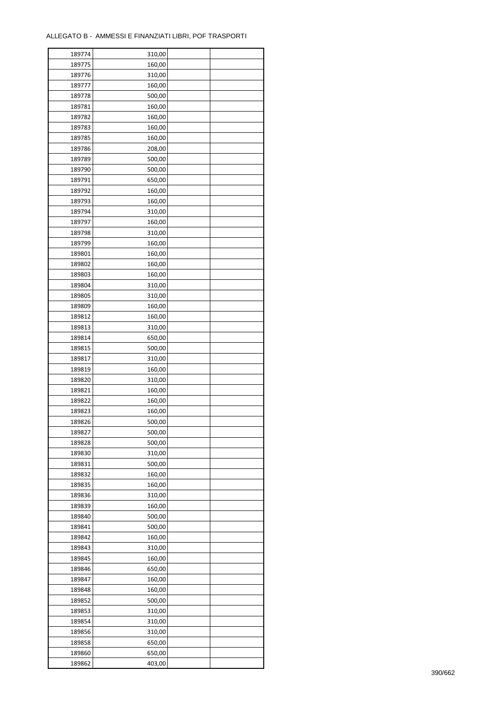| 189774 | 310,00 |  |
|--------|--------|--|
| 189775 | 160,00 |  |
| 189776 | 310,00 |  |
| 189777 | 160,00 |  |
| 189778 | 500,00 |  |
| 189781 | 160,00 |  |
| 189782 | 160,00 |  |
| 189783 | 160,00 |  |
| 189785 | 160,00 |  |
| 189786 | 208,00 |  |
| 189789 | 500,00 |  |
| 189790 | 500,00 |  |
|        |        |  |
| 189791 | 650,00 |  |
| 189792 | 160,00 |  |
| 189793 | 160,00 |  |
| 189794 | 310,00 |  |
| 189797 | 160,00 |  |
| 189798 | 310,00 |  |
| 189799 | 160,00 |  |
| 189801 | 160,00 |  |
| 189802 | 160,00 |  |
| 189803 | 160,00 |  |
| 189804 | 310,00 |  |
| 189805 | 310,00 |  |
| 189809 | 160,00 |  |
| 189812 | 160,00 |  |
| 189813 | 310,00 |  |
| 189814 | 650,00 |  |
| 189815 | 500,00 |  |
| 189817 | 310,00 |  |
| 189819 | 160,00 |  |
| 189820 | 310,00 |  |
| 189821 | 160,00 |  |
| 189822 | 160,00 |  |
| 189823 | 160,00 |  |
| 189826 | 500,00 |  |
| 189827 | 500,00 |  |
| 189828 | 500,00 |  |
| 189830 | 310,00 |  |
| 189831 | 500,00 |  |
| 189832 | 160,00 |  |
| 189835 | 160,00 |  |
| 189836 | 310,00 |  |
| 189839 | 160,00 |  |
| 189840 | 500,00 |  |
| 189841 | 500,00 |  |
| 189842 | 160,00 |  |
| 189843 | 310,00 |  |
| 189845 | 160,00 |  |
| 189846 | 650,00 |  |
| 189847 | 160,00 |  |
| 189848 | 160,00 |  |
| 189852 | 500,00 |  |
| 189853 | 310,00 |  |
| 189854 | 310,00 |  |
| 189856 | 310,00 |  |
| 189858 | 650,00 |  |
|        |        |  |
| 189860 | 650,00 |  |
| 189862 | 403,00 |  |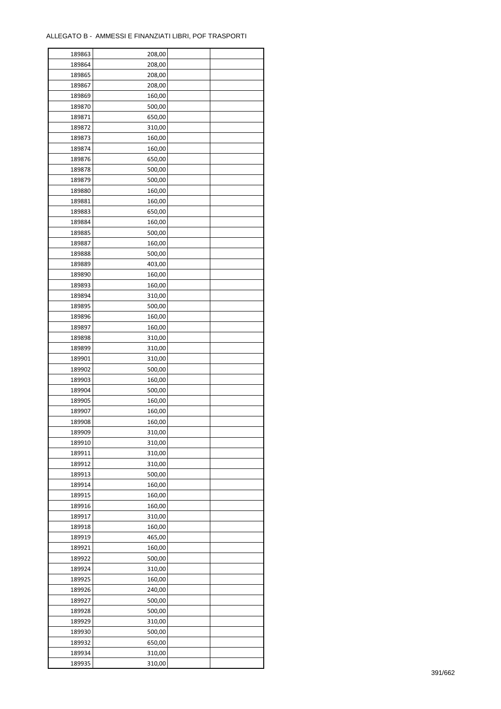| 189863 | 208,00 |  |
|--------|--------|--|
| 189864 | 208,00 |  |
| 189865 | 208,00 |  |
| 189867 | 208,00 |  |
| 189869 | 160,00 |  |
| 189870 | 500,00 |  |
| 189871 | 650,00 |  |
| 189872 | 310,00 |  |
| 189873 | 160,00 |  |
| 189874 | 160,00 |  |
| 189876 | 650,00 |  |
| 189878 | 500,00 |  |
| 189879 | 500,00 |  |
| 189880 |        |  |
|        | 160,00 |  |
| 189881 | 160,00 |  |
| 189883 | 650,00 |  |
| 189884 | 160,00 |  |
| 189885 | 500,00 |  |
| 189887 | 160,00 |  |
| 189888 | 500,00 |  |
| 189889 | 403,00 |  |
| 189890 | 160,00 |  |
| 189893 | 160,00 |  |
| 189894 | 310,00 |  |
| 189895 | 500,00 |  |
| 189896 | 160,00 |  |
| 189897 | 160,00 |  |
| 189898 | 310,00 |  |
| 189899 | 310,00 |  |
| 189901 | 310,00 |  |
| 189902 | 500,00 |  |
| 189903 | 160,00 |  |
| 189904 | 500,00 |  |
| 189905 | 160,00 |  |
| 189907 | 160,00 |  |
| 189908 | 160,00 |  |
| 189909 | 310,00 |  |
| 189910 | 310,00 |  |
| 189911 | 310,00 |  |
|        |        |  |
| 189912 | 310,00 |  |
| 189913 | 500,00 |  |
| 189914 | 160,00 |  |
| 189915 | 160,00 |  |
| 189916 | 160,00 |  |
| 189917 | 310,00 |  |
| 189918 | 160,00 |  |
| 189919 | 465,00 |  |
| 189921 | 160,00 |  |
| 189922 | 500,00 |  |
| 189924 | 310,00 |  |
| 189925 | 160,00 |  |
| 189926 | 240,00 |  |
| 189927 | 500,00 |  |
| 189928 | 500,00 |  |
| 189929 | 310,00 |  |
| 189930 | 500,00 |  |
| 189932 | 650,00 |  |
| 189934 | 310,00 |  |
| 189935 | 310,00 |  |
|        |        |  |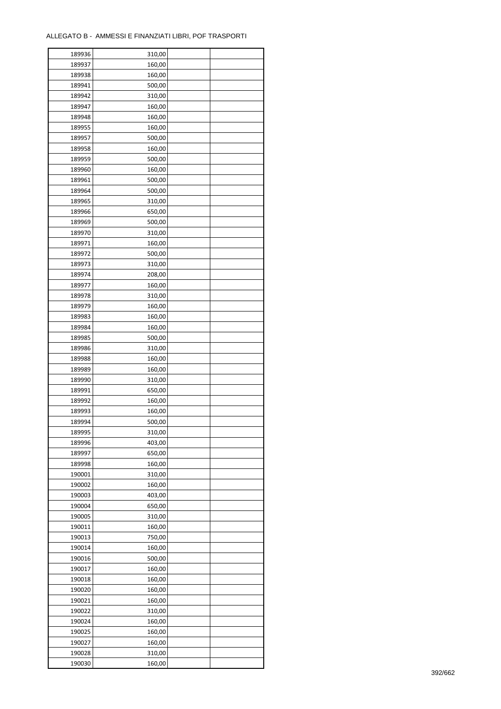| 189936 | 310,00 |  |
|--------|--------|--|
| 189937 | 160,00 |  |
| 189938 | 160,00 |  |
| 189941 | 500,00 |  |
| 189942 | 310,00 |  |
| 189947 | 160,00 |  |
| 189948 | 160,00 |  |
| 189955 | 160,00 |  |
| 189957 | 500,00 |  |
| 189958 | 160,00 |  |
| 189959 | 500,00 |  |
| 189960 | 160,00 |  |
| 189961 | 500,00 |  |
| 189964 | 500,00 |  |
|        |        |  |
| 189965 | 310,00 |  |
| 189966 | 650,00 |  |
| 189969 | 500,00 |  |
| 189970 | 310,00 |  |
| 189971 | 160,00 |  |
| 189972 | 500,00 |  |
| 189973 | 310,00 |  |
| 189974 | 208,00 |  |
| 189977 | 160,00 |  |
| 189978 | 310,00 |  |
| 189979 | 160,00 |  |
| 189983 | 160,00 |  |
| 189984 | 160,00 |  |
| 189985 | 500,00 |  |
| 189986 | 310,00 |  |
| 189988 | 160,00 |  |
| 189989 | 160,00 |  |
| 189990 | 310,00 |  |
| 189991 | 650,00 |  |
| 189992 | 160,00 |  |
| 189993 | 160,00 |  |
| 189994 | 500,00 |  |
| 189995 | 310,00 |  |
| 189996 | 403,00 |  |
| 189997 | 650,00 |  |
| 189998 | 160,00 |  |
| 190001 | 310,00 |  |
| 190002 | 160,00 |  |
| 190003 | 403,00 |  |
| 190004 | 650,00 |  |
| 190005 | 310,00 |  |
| 190011 | 160,00 |  |
| 190013 | 750,00 |  |
| 190014 | 160,00 |  |
| 190016 | 500,00 |  |
| 190017 | 160,00 |  |
| 190018 | 160,00 |  |
| 190020 | 160,00 |  |
| 190021 | 160,00 |  |
|        |        |  |
| 190022 | 310,00 |  |
| 190024 | 160,00 |  |
| 190025 | 160,00 |  |
| 190027 | 160,00 |  |
| 190028 | 310,00 |  |
| 190030 | 160,00 |  |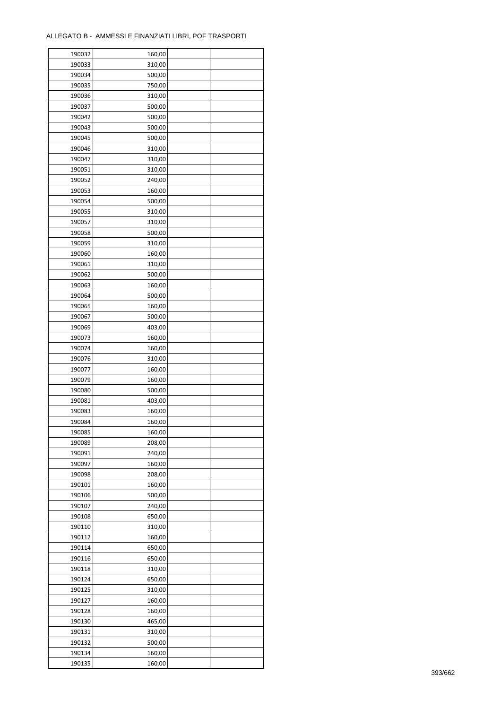| 190033<br>310,00<br>190034<br>500,00<br>190035<br>750,00<br>190036<br>310,00<br>190037<br>500,00<br>190042<br>500,00<br>190043<br>500,00<br>190045<br>500,00<br>190046<br>310,00<br>190047<br>310,00<br>190051<br>310,00<br>190052<br>240,00<br>190053<br>160,00<br>190054<br>500,00<br>190055<br>310,00<br>190057<br>310,00<br>190058<br>500,00<br>190059<br>310,00<br>190060<br>160,00<br>190061<br>310,00<br>190062<br>500,00<br>190063<br>160,00<br>190064<br>500,00<br>190065<br>160,00<br>190067<br>500,00<br>190069<br>403,00<br>190073<br>160,00<br>190074<br>160,00<br>190076<br>310,00<br>190077<br>160,00<br>190079<br>160,00<br>190080<br>500,00<br>190081<br>403,00<br>190083<br>160,00<br>190084<br>160,00<br>190085<br>160,00<br>190089<br>208,00<br>190091<br>240,00<br>190097<br>160,00<br>190098<br>208,00<br>190101<br>160,00<br>190106<br>500,00<br>190107<br>240,00<br>190108<br>650,00<br>190110<br>310,00<br>190112<br>160,00<br>190114<br>650,00<br>190116<br>650,00<br>190118<br>310,00<br>190124<br>650,00<br>190125<br>310,00<br>190127<br>160,00<br>190128<br>160,00<br>190130<br>465,00<br>190131<br>310,00<br>190132<br>500,00<br>190134<br>160,00 | 190032 | 160,00 |  |
|----------------------------------------------------------------------------------------------------------------------------------------------------------------------------------------------------------------------------------------------------------------------------------------------------------------------------------------------------------------------------------------------------------------------------------------------------------------------------------------------------------------------------------------------------------------------------------------------------------------------------------------------------------------------------------------------------------------------------------------------------------------------------------------------------------------------------------------------------------------------------------------------------------------------------------------------------------------------------------------------------------------------------------------------------------------------------------------------------------------------------------------------------------------------------------|--------|--------|--|
|                                                                                                                                                                                                                                                                                                                                                                                                                                                                                                                                                                                                                                                                                                                                                                                                                                                                                                                                                                                                                                                                                                                                                                                  |        |        |  |
|                                                                                                                                                                                                                                                                                                                                                                                                                                                                                                                                                                                                                                                                                                                                                                                                                                                                                                                                                                                                                                                                                                                                                                                  |        |        |  |
|                                                                                                                                                                                                                                                                                                                                                                                                                                                                                                                                                                                                                                                                                                                                                                                                                                                                                                                                                                                                                                                                                                                                                                                  |        |        |  |
|                                                                                                                                                                                                                                                                                                                                                                                                                                                                                                                                                                                                                                                                                                                                                                                                                                                                                                                                                                                                                                                                                                                                                                                  |        |        |  |
|                                                                                                                                                                                                                                                                                                                                                                                                                                                                                                                                                                                                                                                                                                                                                                                                                                                                                                                                                                                                                                                                                                                                                                                  |        |        |  |
|                                                                                                                                                                                                                                                                                                                                                                                                                                                                                                                                                                                                                                                                                                                                                                                                                                                                                                                                                                                                                                                                                                                                                                                  |        |        |  |
|                                                                                                                                                                                                                                                                                                                                                                                                                                                                                                                                                                                                                                                                                                                                                                                                                                                                                                                                                                                                                                                                                                                                                                                  |        |        |  |
|                                                                                                                                                                                                                                                                                                                                                                                                                                                                                                                                                                                                                                                                                                                                                                                                                                                                                                                                                                                                                                                                                                                                                                                  |        |        |  |
|                                                                                                                                                                                                                                                                                                                                                                                                                                                                                                                                                                                                                                                                                                                                                                                                                                                                                                                                                                                                                                                                                                                                                                                  |        |        |  |
|                                                                                                                                                                                                                                                                                                                                                                                                                                                                                                                                                                                                                                                                                                                                                                                                                                                                                                                                                                                                                                                                                                                                                                                  |        |        |  |
|                                                                                                                                                                                                                                                                                                                                                                                                                                                                                                                                                                                                                                                                                                                                                                                                                                                                                                                                                                                                                                                                                                                                                                                  |        |        |  |
|                                                                                                                                                                                                                                                                                                                                                                                                                                                                                                                                                                                                                                                                                                                                                                                                                                                                                                                                                                                                                                                                                                                                                                                  |        |        |  |
|                                                                                                                                                                                                                                                                                                                                                                                                                                                                                                                                                                                                                                                                                                                                                                                                                                                                                                                                                                                                                                                                                                                                                                                  |        |        |  |
|                                                                                                                                                                                                                                                                                                                                                                                                                                                                                                                                                                                                                                                                                                                                                                                                                                                                                                                                                                                                                                                                                                                                                                                  |        |        |  |
|                                                                                                                                                                                                                                                                                                                                                                                                                                                                                                                                                                                                                                                                                                                                                                                                                                                                                                                                                                                                                                                                                                                                                                                  |        |        |  |
|                                                                                                                                                                                                                                                                                                                                                                                                                                                                                                                                                                                                                                                                                                                                                                                                                                                                                                                                                                                                                                                                                                                                                                                  |        |        |  |
|                                                                                                                                                                                                                                                                                                                                                                                                                                                                                                                                                                                                                                                                                                                                                                                                                                                                                                                                                                                                                                                                                                                                                                                  |        |        |  |
|                                                                                                                                                                                                                                                                                                                                                                                                                                                                                                                                                                                                                                                                                                                                                                                                                                                                                                                                                                                                                                                                                                                                                                                  |        |        |  |
|                                                                                                                                                                                                                                                                                                                                                                                                                                                                                                                                                                                                                                                                                                                                                                                                                                                                                                                                                                                                                                                                                                                                                                                  |        |        |  |
|                                                                                                                                                                                                                                                                                                                                                                                                                                                                                                                                                                                                                                                                                                                                                                                                                                                                                                                                                                                                                                                                                                                                                                                  |        |        |  |
|                                                                                                                                                                                                                                                                                                                                                                                                                                                                                                                                                                                                                                                                                                                                                                                                                                                                                                                                                                                                                                                                                                                                                                                  |        |        |  |
|                                                                                                                                                                                                                                                                                                                                                                                                                                                                                                                                                                                                                                                                                                                                                                                                                                                                                                                                                                                                                                                                                                                                                                                  |        |        |  |
|                                                                                                                                                                                                                                                                                                                                                                                                                                                                                                                                                                                                                                                                                                                                                                                                                                                                                                                                                                                                                                                                                                                                                                                  |        |        |  |
|                                                                                                                                                                                                                                                                                                                                                                                                                                                                                                                                                                                                                                                                                                                                                                                                                                                                                                                                                                                                                                                                                                                                                                                  |        |        |  |
|                                                                                                                                                                                                                                                                                                                                                                                                                                                                                                                                                                                                                                                                                                                                                                                                                                                                                                                                                                                                                                                                                                                                                                                  |        |        |  |
|                                                                                                                                                                                                                                                                                                                                                                                                                                                                                                                                                                                                                                                                                                                                                                                                                                                                                                                                                                                                                                                                                                                                                                                  |        |        |  |
|                                                                                                                                                                                                                                                                                                                                                                                                                                                                                                                                                                                                                                                                                                                                                                                                                                                                                                                                                                                                                                                                                                                                                                                  |        |        |  |
|                                                                                                                                                                                                                                                                                                                                                                                                                                                                                                                                                                                                                                                                                                                                                                                                                                                                                                                                                                                                                                                                                                                                                                                  |        |        |  |
|                                                                                                                                                                                                                                                                                                                                                                                                                                                                                                                                                                                                                                                                                                                                                                                                                                                                                                                                                                                                                                                                                                                                                                                  |        |        |  |
|                                                                                                                                                                                                                                                                                                                                                                                                                                                                                                                                                                                                                                                                                                                                                                                                                                                                                                                                                                                                                                                                                                                                                                                  |        |        |  |
|                                                                                                                                                                                                                                                                                                                                                                                                                                                                                                                                                                                                                                                                                                                                                                                                                                                                                                                                                                                                                                                                                                                                                                                  |        |        |  |
|                                                                                                                                                                                                                                                                                                                                                                                                                                                                                                                                                                                                                                                                                                                                                                                                                                                                                                                                                                                                                                                                                                                                                                                  |        |        |  |
|                                                                                                                                                                                                                                                                                                                                                                                                                                                                                                                                                                                                                                                                                                                                                                                                                                                                                                                                                                                                                                                                                                                                                                                  |        |        |  |
|                                                                                                                                                                                                                                                                                                                                                                                                                                                                                                                                                                                                                                                                                                                                                                                                                                                                                                                                                                                                                                                                                                                                                                                  |        |        |  |
|                                                                                                                                                                                                                                                                                                                                                                                                                                                                                                                                                                                                                                                                                                                                                                                                                                                                                                                                                                                                                                                                                                                                                                                  |        |        |  |
|                                                                                                                                                                                                                                                                                                                                                                                                                                                                                                                                                                                                                                                                                                                                                                                                                                                                                                                                                                                                                                                                                                                                                                                  |        |        |  |
|                                                                                                                                                                                                                                                                                                                                                                                                                                                                                                                                                                                                                                                                                                                                                                                                                                                                                                                                                                                                                                                                                                                                                                                  |        |        |  |
|                                                                                                                                                                                                                                                                                                                                                                                                                                                                                                                                                                                                                                                                                                                                                                                                                                                                                                                                                                                                                                                                                                                                                                                  |        |        |  |
|                                                                                                                                                                                                                                                                                                                                                                                                                                                                                                                                                                                                                                                                                                                                                                                                                                                                                                                                                                                                                                                                                                                                                                                  |        |        |  |
|                                                                                                                                                                                                                                                                                                                                                                                                                                                                                                                                                                                                                                                                                                                                                                                                                                                                                                                                                                                                                                                                                                                                                                                  |        |        |  |
|                                                                                                                                                                                                                                                                                                                                                                                                                                                                                                                                                                                                                                                                                                                                                                                                                                                                                                                                                                                                                                                                                                                                                                                  |        |        |  |
|                                                                                                                                                                                                                                                                                                                                                                                                                                                                                                                                                                                                                                                                                                                                                                                                                                                                                                                                                                                                                                                                                                                                                                                  |        |        |  |
|                                                                                                                                                                                                                                                                                                                                                                                                                                                                                                                                                                                                                                                                                                                                                                                                                                                                                                                                                                                                                                                                                                                                                                                  |        |        |  |
|                                                                                                                                                                                                                                                                                                                                                                                                                                                                                                                                                                                                                                                                                                                                                                                                                                                                                                                                                                                                                                                                                                                                                                                  |        |        |  |
|                                                                                                                                                                                                                                                                                                                                                                                                                                                                                                                                                                                                                                                                                                                                                                                                                                                                                                                                                                                                                                                                                                                                                                                  |        |        |  |
|                                                                                                                                                                                                                                                                                                                                                                                                                                                                                                                                                                                                                                                                                                                                                                                                                                                                                                                                                                                                                                                                                                                                                                                  |        |        |  |
|                                                                                                                                                                                                                                                                                                                                                                                                                                                                                                                                                                                                                                                                                                                                                                                                                                                                                                                                                                                                                                                                                                                                                                                  |        |        |  |
|                                                                                                                                                                                                                                                                                                                                                                                                                                                                                                                                                                                                                                                                                                                                                                                                                                                                                                                                                                                                                                                                                                                                                                                  |        |        |  |
|                                                                                                                                                                                                                                                                                                                                                                                                                                                                                                                                                                                                                                                                                                                                                                                                                                                                                                                                                                                                                                                                                                                                                                                  |        |        |  |
|                                                                                                                                                                                                                                                                                                                                                                                                                                                                                                                                                                                                                                                                                                                                                                                                                                                                                                                                                                                                                                                                                                                                                                                  |        |        |  |
|                                                                                                                                                                                                                                                                                                                                                                                                                                                                                                                                                                                                                                                                                                                                                                                                                                                                                                                                                                                                                                                                                                                                                                                  |        |        |  |
|                                                                                                                                                                                                                                                                                                                                                                                                                                                                                                                                                                                                                                                                                                                                                                                                                                                                                                                                                                                                                                                                                                                                                                                  |        |        |  |
|                                                                                                                                                                                                                                                                                                                                                                                                                                                                                                                                                                                                                                                                                                                                                                                                                                                                                                                                                                                                                                                                                                                                                                                  |        |        |  |
|                                                                                                                                                                                                                                                                                                                                                                                                                                                                                                                                                                                                                                                                                                                                                                                                                                                                                                                                                                                                                                                                                                                                                                                  |        |        |  |
|                                                                                                                                                                                                                                                                                                                                                                                                                                                                                                                                                                                                                                                                                                                                                                                                                                                                                                                                                                                                                                                                                                                                                                                  |        |        |  |
|                                                                                                                                                                                                                                                                                                                                                                                                                                                                                                                                                                                                                                                                                                                                                                                                                                                                                                                                                                                                                                                                                                                                                                                  |        |        |  |
|                                                                                                                                                                                                                                                                                                                                                                                                                                                                                                                                                                                                                                                                                                                                                                                                                                                                                                                                                                                                                                                                                                                                                                                  |        |        |  |
|                                                                                                                                                                                                                                                                                                                                                                                                                                                                                                                                                                                                                                                                                                                                                                                                                                                                                                                                                                                                                                                                                                                                                                                  |        |        |  |
|                                                                                                                                                                                                                                                                                                                                                                                                                                                                                                                                                                                                                                                                                                                                                                                                                                                                                                                                                                                                                                                                                                                                                                                  |        |        |  |
|                                                                                                                                                                                                                                                                                                                                                                                                                                                                                                                                                                                                                                                                                                                                                                                                                                                                                                                                                                                                                                                                                                                                                                                  | 190135 | 160,00 |  |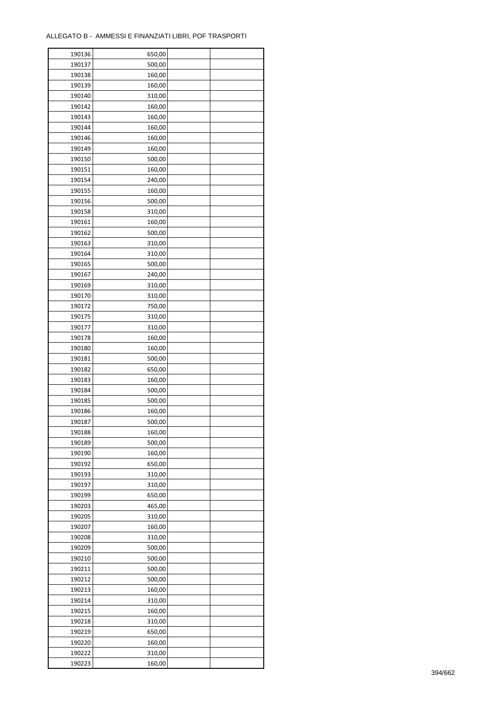| 190136 | 650,00 |  |
|--------|--------|--|
| 190137 | 500,00 |  |
| 190138 | 160,00 |  |
| 190139 | 160,00 |  |
| 190140 | 310,00 |  |
| 190142 | 160,00 |  |
| 190143 | 160,00 |  |
| 190144 | 160,00 |  |
| 190146 | 160,00 |  |
| 190149 | 160,00 |  |
| 190150 | 500,00 |  |
|        |        |  |
| 190151 | 160,00 |  |
| 190154 | 240,00 |  |
| 190155 | 160,00 |  |
| 190156 | 500,00 |  |
| 190158 | 310,00 |  |
| 190161 | 160,00 |  |
| 190162 | 500,00 |  |
| 190163 | 310,00 |  |
| 190164 | 310,00 |  |
| 190165 | 500,00 |  |
| 190167 | 240,00 |  |
| 190169 | 310,00 |  |
| 190170 | 310,00 |  |
| 190172 | 750,00 |  |
| 190175 | 310,00 |  |
| 190177 | 310,00 |  |
| 190178 | 160,00 |  |
| 190180 | 160,00 |  |
| 190181 | 500,00 |  |
| 190182 | 650,00 |  |
| 190183 | 160,00 |  |
| 190184 | 500,00 |  |
| 190185 | 500,00 |  |
| 190186 | 160,00 |  |
| 190187 | 500,00 |  |
|        |        |  |
| 190188 | 160,00 |  |
| 190189 | 500,00 |  |
| 190190 | 160,00 |  |
| 190192 | 650,00 |  |
| 190193 | 310,00 |  |
| 190197 | 310,00 |  |
| 190199 | 650,00 |  |
| 190203 | 465,00 |  |
| 190205 | 310,00 |  |
| 190207 | 160,00 |  |
| 190208 | 310,00 |  |
| 190209 | 500,00 |  |
| 190210 | 500,00 |  |
| 190211 | 500,00 |  |
| 190212 | 500,00 |  |
| 190213 | 160,00 |  |
| 190214 | 310,00 |  |
| 190215 | 160,00 |  |
| 190218 | 310,00 |  |
| 190219 | 650,00 |  |
| 190220 | 160,00 |  |
| 190222 | 310,00 |  |
|        |        |  |
| 190223 | 160,00 |  |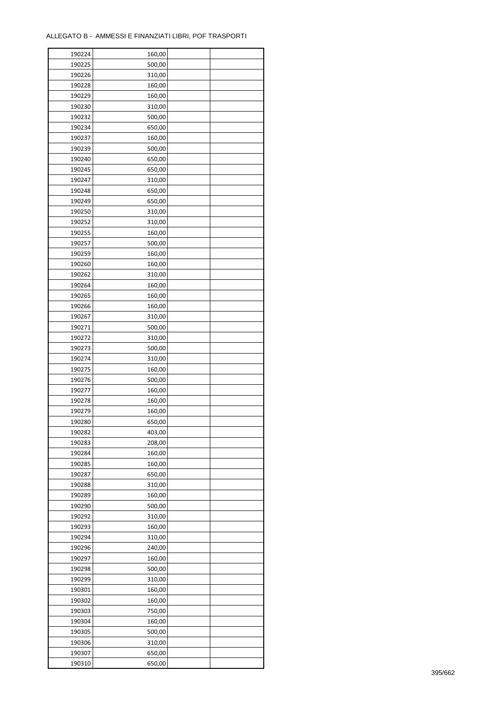| 190224 | 160,00 |  |
|--------|--------|--|
| 190225 | 500,00 |  |
| 190226 | 310,00 |  |
| 190228 | 160,00 |  |
| 190229 | 160,00 |  |
| 190230 | 310,00 |  |
| 190232 | 500,00 |  |
| 190234 | 650,00 |  |
| 190237 | 160,00 |  |
| 190239 | 500,00 |  |
| 190240 | 650,00 |  |
| 190245 | 650,00 |  |
| 190247 | 310,00 |  |
| 190248 | 650,00 |  |
| 190249 | 650,00 |  |
|        |        |  |
| 190250 | 310,00 |  |
| 190252 | 310,00 |  |
| 190255 | 160,00 |  |
| 190257 | 500,00 |  |
| 190259 | 160,00 |  |
| 190260 | 160,00 |  |
| 190262 | 310,00 |  |
| 190264 | 160,00 |  |
| 190265 | 160,00 |  |
| 190266 | 160,00 |  |
| 190267 | 310,00 |  |
| 190271 | 500,00 |  |
| 190272 | 310,00 |  |
| 190273 | 500,00 |  |
| 190274 | 310,00 |  |
| 190275 | 160,00 |  |
| 190276 | 500,00 |  |
| 190277 | 160,00 |  |
| 190278 | 160,00 |  |
| 190279 | 160,00 |  |
| 190280 | 650,00 |  |
| 190282 | 403,00 |  |
| 190283 | 208,00 |  |
| 190284 | 160,00 |  |
| 190285 | 160,00 |  |
| 190287 | 650,00 |  |
| 190288 | 310,00 |  |
| 190289 | 160,00 |  |
| 190290 | 500,00 |  |
| 190292 | 310,00 |  |
| 190293 | 160,00 |  |
| 190294 | 310,00 |  |
| 190296 | 240,00 |  |
| 190297 | 160,00 |  |
| 190298 | 500,00 |  |
| 190299 | 310,00 |  |
| 190301 | 160,00 |  |
| 190302 | 160,00 |  |
|        |        |  |
| 190303 | 750,00 |  |
| 190304 | 160,00 |  |
| 190305 | 500,00 |  |
| 190306 | 310,00 |  |
| 190307 | 650,00 |  |
| 190310 | 650,00 |  |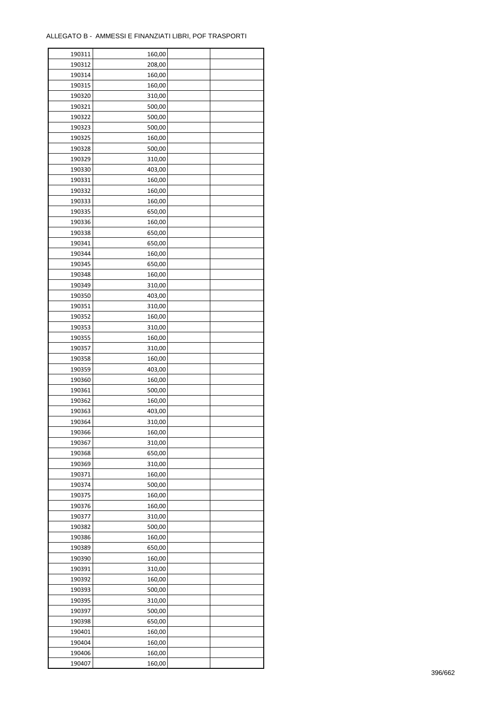| 190311 | 160,00 |  |
|--------|--------|--|
| 190312 | 208,00 |  |
| 190314 | 160,00 |  |
| 190315 | 160,00 |  |
| 190320 | 310,00 |  |
| 190321 | 500,00 |  |
| 190322 | 500,00 |  |
| 190323 | 500,00 |  |
| 190325 | 160,00 |  |
| 190328 | 500,00 |  |
| 190329 | 310,00 |  |
| 190330 | 403,00 |  |
| 190331 | 160,00 |  |
| 190332 | 160,00 |  |
| 190333 | 160,00 |  |
| 190335 | 650,00 |  |
| 190336 | 160,00 |  |
| 190338 | 650,00 |  |
| 190341 | 650,00 |  |
| 190344 | 160,00 |  |
| 190345 | 650,00 |  |
| 190348 | 160,00 |  |
| 190349 | 310,00 |  |
| 190350 | 403,00 |  |
| 190351 | 310,00 |  |
| 190352 | 160,00 |  |
| 190353 | 310,00 |  |
| 190355 | 160,00 |  |
| 190357 | 310,00 |  |
| 190358 | 160,00 |  |
| 190359 | 403,00 |  |
| 190360 | 160,00 |  |
| 190361 | 500,00 |  |
| 190362 | 160,00 |  |
| 190363 | 403,00 |  |
| 190364 | 310,00 |  |
| 190366 | 160,00 |  |
| 190367 | 310,00 |  |
| 190368 | 650,00 |  |
| 190369 | 310,00 |  |
| 190371 | 160,00 |  |
| 190374 | 500,00 |  |
| 190375 | 160,00 |  |
| 190376 | 160,00 |  |
| 190377 | 310,00 |  |
| 190382 | 500,00 |  |
| 190386 | 160,00 |  |
| 190389 | 650,00 |  |
| 190390 | 160,00 |  |
| 190391 | 310,00 |  |
| 190392 | 160,00 |  |
| 190393 | 500,00 |  |
| 190395 | 310,00 |  |
| 190397 | 500,00 |  |
| 190398 | 650,00 |  |
| 190401 | 160,00 |  |
| 190404 | 160,00 |  |
| 190406 | 160,00 |  |
| 190407 | 160,00 |  |
|        |        |  |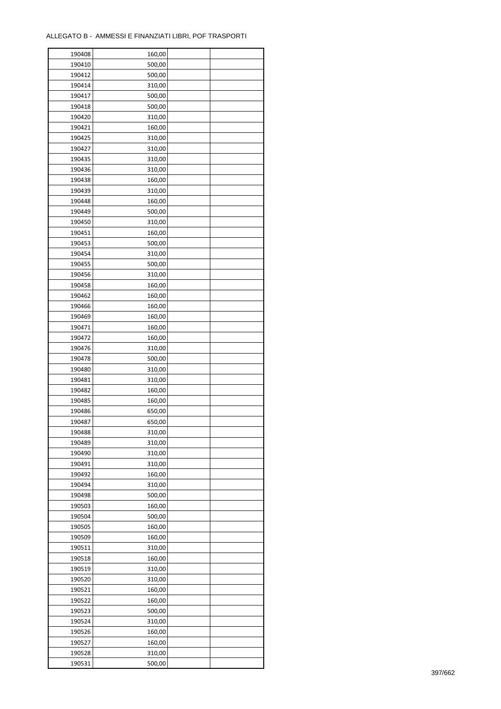| 190408 | 160,00 |  |
|--------|--------|--|
| 190410 | 500,00 |  |
| 190412 | 500,00 |  |
| 190414 | 310,00 |  |
| 190417 | 500,00 |  |
| 190418 | 500,00 |  |
| 190420 | 310,00 |  |
| 190421 | 160,00 |  |
| 190425 | 310,00 |  |
| 190427 | 310,00 |  |
| 190435 | 310,00 |  |
| 190436 | 310,00 |  |
| 190438 |        |  |
|        | 160,00 |  |
| 190439 | 310,00 |  |
| 190448 | 160,00 |  |
| 190449 | 500,00 |  |
| 190450 | 310,00 |  |
| 190451 | 160,00 |  |
| 190453 | 500,00 |  |
| 190454 | 310,00 |  |
| 190455 | 500,00 |  |
| 190456 | 310,00 |  |
| 190458 | 160,00 |  |
| 190462 | 160,00 |  |
| 190466 | 160,00 |  |
| 190469 | 160,00 |  |
| 190471 | 160,00 |  |
| 190472 | 160,00 |  |
| 190476 | 310,00 |  |
| 190478 | 500,00 |  |
| 190480 | 310,00 |  |
| 190481 | 310,00 |  |
| 190482 | 160,00 |  |
| 190485 | 160,00 |  |
| 190486 | 650,00 |  |
| 190487 | 650,00 |  |
| 190488 | 310,00 |  |
| 190489 | 310,00 |  |
| 190490 | 310,00 |  |
| 190491 | 310,00 |  |
| 190492 | 160,00 |  |
| 190494 | 310,00 |  |
| 190498 | 500,00 |  |
| 190503 | 160,00 |  |
|        |        |  |
| 190504 | 500,00 |  |
| 190505 | 160,00 |  |
| 190509 | 160,00 |  |
| 190511 | 310,00 |  |
| 190518 | 160,00 |  |
| 190519 | 310,00 |  |
| 190520 | 310,00 |  |
| 190521 | 160,00 |  |
| 190522 | 160,00 |  |
| 190523 | 500,00 |  |
| 190524 | 310,00 |  |
| 190526 | 160,00 |  |
| 190527 | 160,00 |  |
| 190528 | 310,00 |  |
| 190531 | 500,00 |  |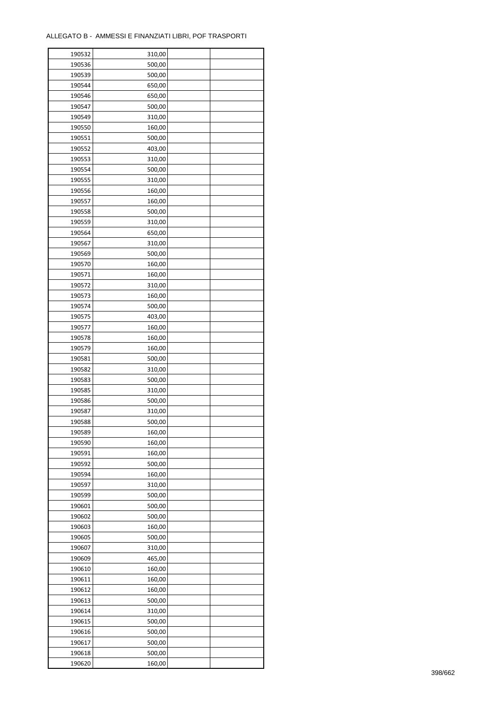| 190532 | 310,00           |  |
|--------|------------------|--|
| 190536 | 500,00           |  |
| 190539 | 500,00           |  |
| 190544 | 650,00           |  |
| 190546 | 650,00           |  |
| 190547 | 500,00           |  |
| 190549 | 310,00           |  |
| 190550 | 160,00           |  |
| 190551 | 500,00           |  |
| 190552 | 403,00           |  |
| 190553 | 310,00           |  |
| 190554 | 500,00           |  |
| 190555 | 310,00           |  |
| 190556 | 160,00           |  |
| 190557 | 160,00           |  |
| 190558 | 500,00           |  |
| 190559 | 310,00           |  |
| 190564 | 650,00           |  |
| 190567 | 310,00           |  |
| 190569 | 500,00           |  |
| 190570 | 160,00           |  |
| 190571 | 160,00           |  |
| 190572 | 310,00           |  |
| 190573 | 160,00           |  |
| 190574 | 500,00           |  |
| 190575 | 403,00           |  |
| 190577 | 160,00           |  |
| 190578 | 160,00           |  |
| 190579 | 160,00           |  |
| 190581 | 500,00           |  |
| 190582 |                  |  |
| 190583 | 310,00<br>500,00 |  |
| 190585 |                  |  |
| 190586 | 310,00<br>500,00 |  |
| 190587 | 310,00           |  |
| 190588 |                  |  |
|        | 500,00           |  |
| 190589 | 160,00           |  |
| 190590 | 160,00           |  |
| 190591 | 160,00           |  |
| 190592 | 500,00           |  |
| 190594 | 160,00           |  |
| 190597 | 310,00           |  |
| 190599 | 500,00           |  |
| 190601 | 500,00           |  |
| 190602 | 500,00           |  |
| 190603 | 160,00           |  |
| 190605 | 500,00           |  |
| 190607 | 310,00           |  |
| 190609 | 465,00           |  |
| 190610 | 160,00           |  |
| 190611 | 160,00           |  |
| 190612 | 160,00           |  |
| 190613 | 500,00           |  |
| 190614 | 310,00           |  |
| 190615 | 500,00           |  |
| 190616 | 500,00           |  |
| 190617 | 500,00           |  |
| 190618 | 500,00           |  |
| 190620 | 160,00           |  |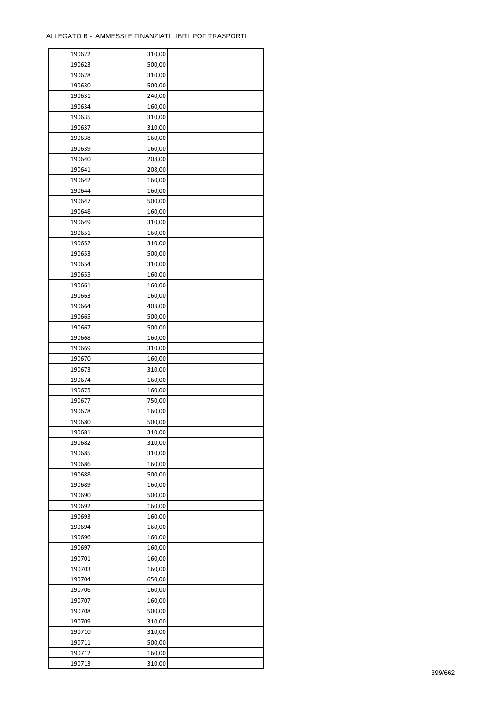| 500,00<br>190623<br>190628<br>310,00<br>190630<br>500,00<br>190631<br>240,00<br>190634<br>160,00<br>190635<br>310,00<br>190637<br>310,00<br>190638<br>160,00<br>190639<br>160,00<br>190640<br>208,00<br>190641<br>208,00<br>190642<br>160,00<br>190644<br>160,00<br>190647<br>500,00<br>190648<br>160,00<br>190649<br>310,00<br>190651<br>160,00<br>190652<br>310,00<br>190653<br>500,00<br>190654<br>310,00<br>190655<br>160,00<br>190661<br>160,00<br>190663<br>160,00<br>190664<br>403,00<br>190665<br>500,00<br>190667<br>500,00<br>190668<br>160,00<br>190669<br>310,00<br>190670<br>160,00<br>190673<br>310,00<br>190674<br>160,00<br>190675<br>160,00<br>190677<br>750,00<br>190678<br>160,00<br>190680<br>500,00<br>190681<br>310,00<br>190682<br>310,00<br>190685<br>310,00<br>190686<br>160,00<br>190688<br>500,00<br>190689<br>160,00<br>190690<br>500,00<br>190692<br>160,00<br>190693<br>160,00<br>190694<br>160,00<br>190696<br>160,00<br>190697<br>160,00<br>190701<br>160,00<br>190703<br>160,00<br>190704<br>650,00<br>190706<br>160,00<br>190707<br>160,00<br>190708<br>500,00<br>190709<br>310,00<br>190710<br>310,00<br>190711<br>500,00<br>190712<br>160,00 | 190622 | 310,00 |  |
|----------------------------------------------------------------------------------------------------------------------------------------------------------------------------------------------------------------------------------------------------------------------------------------------------------------------------------------------------------------------------------------------------------------------------------------------------------------------------------------------------------------------------------------------------------------------------------------------------------------------------------------------------------------------------------------------------------------------------------------------------------------------------------------------------------------------------------------------------------------------------------------------------------------------------------------------------------------------------------------------------------------------------------------------------------------------------------------------------------------------------------------------------------------------------------|--------|--------|--|
|                                                                                                                                                                                                                                                                                                                                                                                                                                                                                                                                                                                                                                                                                                                                                                                                                                                                                                                                                                                                                                                                                                                                                                                  |        |        |  |
|                                                                                                                                                                                                                                                                                                                                                                                                                                                                                                                                                                                                                                                                                                                                                                                                                                                                                                                                                                                                                                                                                                                                                                                  |        |        |  |
|                                                                                                                                                                                                                                                                                                                                                                                                                                                                                                                                                                                                                                                                                                                                                                                                                                                                                                                                                                                                                                                                                                                                                                                  |        |        |  |
|                                                                                                                                                                                                                                                                                                                                                                                                                                                                                                                                                                                                                                                                                                                                                                                                                                                                                                                                                                                                                                                                                                                                                                                  |        |        |  |
|                                                                                                                                                                                                                                                                                                                                                                                                                                                                                                                                                                                                                                                                                                                                                                                                                                                                                                                                                                                                                                                                                                                                                                                  |        |        |  |
|                                                                                                                                                                                                                                                                                                                                                                                                                                                                                                                                                                                                                                                                                                                                                                                                                                                                                                                                                                                                                                                                                                                                                                                  |        |        |  |
|                                                                                                                                                                                                                                                                                                                                                                                                                                                                                                                                                                                                                                                                                                                                                                                                                                                                                                                                                                                                                                                                                                                                                                                  |        |        |  |
|                                                                                                                                                                                                                                                                                                                                                                                                                                                                                                                                                                                                                                                                                                                                                                                                                                                                                                                                                                                                                                                                                                                                                                                  |        |        |  |
|                                                                                                                                                                                                                                                                                                                                                                                                                                                                                                                                                                                                                                                                                                                                                                                                                                                                                                                                                                                                                                                                                                                                                                                  |        |        |  |
|                                                                                                                                                                                                                                                                                                                                                                                                                                                                                                                                                                                                                                                                                                                                                                                                                                                                                                                                                                                                                                                                                                                                                                                  |        |        |  |
|                                                                                                                                                                                                                                                                                                                                                                                                                                                                                                                                                                                                                                                                                                                                                                                                                                                                                                                                                                                                                                                                                                                                                                                  |        |        |  |
|                                                                                                                                                                                                                                                                                                                                                                                                                                                                                                                                                                                                                                                                                                                                                                                                                                                                                                                                                                                                                                                                                                                                                                                  |        |        |  |
|                                                                                                                                                                                                                                                                                                                                                                                                                                                                                                                                                                                                                                                                                                                                                                                                                                                                                                                                                                                                                                                                                                                                                                                  |        |        |  |
|                                                                                                                                                                                                                                                                                                                                                                                                                                                                                                                                                                                                                                                                                                                                                                                                                                                                                                                                                                                                                                                                                                                                                                                  |        |        |  |
|                                                                                                                                                                                                                                                                                                                                                                                                                                                                                                                                                                                                                                                                                                                                                                                                                                                                                                                                                                                                                                                                                                                                                                                  |        |        |  |
|                                                                                                                                                                                                                                                                                                                                                                                                                                                                                                                                                                                                                                                                                                                                                                                                                                                                                                                                                                                                                                                                                                                                                                                  |        |        |  |
|                                                                                                                                                                                                                                                                                                                                                                                                                                                                                                                                                                                                                                                                                                                                                                                                                                                                                                                                                                                                                                                                                                                                                                                  |        |        |  |
|                                                                                                                                                                                                                                                                                                                                                                                                                                                                                                                                                                                                                                                                                                                                                                                                                                                                                                                                                                                                                                                                                                                                                                                  |        |        |  |
|                                                                                                                                                                                                                                                                                                                                                                                                                                                                                                                                                                                                                                                                                                                                                                                                                                                                                                                                                                                                                                                                                                                                                                                  |        |        |  |
|                                                                                                                                                                                                                                                                                                                                                                                                                                                                                                                                                                                                                                                                                                                                                                                                                                                                                                                                                                                                                                                                                                                                                                                  |        |        |  |
|                                                                                                                                                                                                                                                                                                                                                                                                                                                                                                                                                                                                                                                                                                                                                                                                                                                                                                                                                                                                                                                                                                                                                                                  |        |        |  |
|                                                                                                                                                                                                                                                                                                                                                                                                                                                                                                                                                                                                                                                                                                                                                                                                                                                                                                                                                                                                                                                                                                                                                                                  |        |        |  |
|                                                                                                                                                                                                                                                                                                                                                                                                                                                                                                                                                                                                                                                                                                                                                                                                                                                                                                                                                                                                                                                                                                                                                                                  |        |        |  |
|                                                                                                                                                                                                                                                                                                                                                                                                                                                                                                                                                                                                                                                                                                                                                                                                                                                                                                                                                                                                                                                                                                                                                                                  |        |        |  |
|                                                                                                                                                                                                                                                                                                                                                                                                                                                                                                                                                                                                                                                                                                                                                                                                                                                                                                                                                                                                                                                                                                                                                                                  |        |        |  |
|                                                                                                                                                                                                                                                                                                                                                                                                                                                                                                                                                                                                                                                                                                                                                                                                                                                                                                                                                                                                                                                                                                                                                                                  |        |        |  |
|                                                                                                                                                                                                                                                                                                                                                                                                                                                                                                                                                                                                                                                                                                                                                                                                                                                                                                                                                                                                                                                                                                                                                                                  |        |        |  |
|                                                                                                                                                                                                                                                                                                                                                                                                                                                                                                                                                                                                                                                                                                                                                                                                                                                                                                                                                                                                                                                                                                                                                                                  |        |        |  |
|                                                                                                                                                                                                                                                                                                                                                                                                                                                                                                                                                                                                                                                                                                                                                                                                                                                                                                                                                                                                                                                                                                                                                                                  |        |        |  |
|                                                                                                                                                                                                                                                                                                                                                                                                                                                                                                                                                                                                                                                                                                                                                                                                                                                                                                                                                                                                                                                                                                                                                                                  |        |        |  |
|                                                                                                                                                                                                                                                                                                                                                                                                                                                                                                                                                                                                                                                                                                                                                                                                                                                                                                                                                                                                                                                                                                                                                                                  |        |        |  |
|                                                                                                                                                                                                                                                                                                                                                                                                                                                                                                                                                                                                                                                                                                                                                                                                                                                                                                                                                                                                                                                                                                                                                                                  |        |        |  |
|                                                                                                                                                                                                                                                                                                                                                                                                                                                                                                                                                                                                                                                                                                                                                                                                                                                                                                                                                                                                                                                                                                                                                                                  |        |        |  |
|                                                                                                                                                                                                                                                                                                                                                                                                                                                                                                                                                                                                                                                                                                                                                                                                                                                                                                                                                                                                                                                                                                                                                                                  |        |        |  |
|                                                                                                                                                                                                                                                                                                                                                                                                                                                                                                                                                                                                                                                                                                                                                                                                                                                                                                                                                                                                                                                                                                                                                                                  |        |        |  |
|                                                                                                                                                                                                                                                                                                                                                                                                                                                                                                                                                                                                                                                                                                                                                                                                                                                                                                                                                                                                                                                                                                                                                                                  |        |        |  |
|                                                                                                                                                                                                                                                                                                                                                                                                                                                                                                                                                                                                                                                                                                                                                                                                                                                                                                                                                                                                                                                                                                                                                                                  |        |        |  |
|                                                                                                                                                                                                                                                                                                                                                                                                                                                                                                                                                                                                                                                                                                                                                                                                                                                                                                                                                                                                                                                                                                                                                                                  |        |        |  |
|                                                                                                                                                                                                                                                                                                                                                                                                                                                                                                                                                                                                                                                                                                                                                                                                                                                                                                                                                                                                                                                                                                                                                                                  |        |        |  |
|                                                                                                                                                                                                                                                                                                                                                                                                                                                                                                                                                                                                                                                                                                                                                                                                                                                                                                                                                                                                                                                                                                                                                                                  |        |        |  |
|                                                                                                                                                                                                                                                                                                                                                                                                                                                                                                                                                                                                                                                                                                                                                                                                                                                                                                                                                                                                                                                                                                                                                                                  |        |        |  |
|                                                                                                                                                                                                                                                                                                                                                                                                                                                                                                                                                                                                                                                                                                                                                                                                                                                                                                                                                                                                                                                                                                                                                                                  |        |        |  |
|                                                                                                                                                                                                                                                                                                                                                                                                                                                                                                                                                                                                                                                                                                                                                                                                                                                                                                                                                                                                                                                                                                                                                                                  |        |        |  |
|                                                                                                                                                                                                                                                                                                                                                                                                                                                                                                                                                                                                                                                                                                                                                                                                                                                                                                                                                                                                                                                                                                                                                                                  |        |        |  |
|                                                                                                                                                                                                                                                                                                                                                                                                                                                                                                                                                                                                                                                                                                                                                                                                                                                                                                                                                                                                                                                                                                                                                                                  |        |        |  |
|                                                                                                                                                                                                                                                                                                                                                                                                                                                                                                                                                                                                                                                                                                                                                                                                                                                                                                                                                                                                                                                                                                                                                                                  |        |        |  |
|                                                                                                                                                                                                                                                                                                                                                                                                                                                                                                                                                                                                                                                                                                                                                                                                                                                                                                                                                                                                                                                                                                                                                                                  |        |        |  |
|                                                                                                                                                                                                                                                                                                                                                                                                                                                                                                                                                                                                                                                                                                                                                                                                                                                                                                                                                                                                                                                                                                                                                                                  |        |        |  |
|                                                                                                                                                                                                                                                                                                                                                                                                                                                                                                                                                                                                                                                                                                                                                                                                                                                                                                                                                                                                                                                                                                                                                                                  |        |        |  |
|                                                                                                                                                                                                                                                                                                                                                                                                                                                                                                                                                                                                                                                                                                                                                                                                                                                                                                                                                                                                                                                                                                                                                                                  |        |        |  |
|                                                                                                                                                                                                                                                                                                                                                                                                                                                                                                                                                                                                                                                                                                                                                                                                                                                                                                                                                                                                                                                                                                                                                                                  |        |        |  |
|                                                                                                                                                                                                                                                                                                                                                                                                                                                                                                                                                                                                                                                                                                                                                                                                                                                                                                                                                                                                                                                                                                                                                                                  |        |        |  |
|                                                                                                                                                                                                                                                                                                                                                                                                                                                                                                                                                                                                                                                                                                                                                                                                                                                                                                                                                                                                                                                                                                                                                                                  |        |        |  |
|                                                                                                                                                                                                                                                                                                                                                                                                                                                                                                                                                                                                                                                                                                                                                                                                                                                                                                                                                                                                                                                                                                                                                                                  |        |        |  |
|                                                                                                                                                                                                                                                                                                                                                                                                                                                                                                                                                                                                                                                                                                                                                                                                                                                                                                                                                                                                                                                                                                                                                                                  |        |        |  |
|                                                                                                                                                                                                                                                                                                                                                                                                                                                                                                                                                                                                                                                                                                                                                                                                                                                                                                                                                                                                                                                                                                                                                                                  |        |        |  |
|                                                                                                                                                                                                                                                                                                                                                                                                                                                                                                                                                                                                                                                                                                                                                                                                                                                                                                                                                                                                                                                                                                                                                                                  |        |        |  |
|                                                                                                                                                                                                                                                                                                                                                                                                                                                                                                                                                                                                                                                                                                                                                                                                                                                                                                                                                                                                                                                                                                                                                                                  |        |        |  |
|                                                                                                                                                                                                                                                                                                                                                                                                                                                                                                                                                                                                                                                                                                                                                                                                                                                                                                                                                                                                                                                                                                                                                                                  |        |        |  |
|                                                                                                                                                                                                                                                                                                                                                                                                                                                                                                                                                                                                                                                                                                                                                                                                                                                                                                                                                                                                                                                                                                                                                                                  | 190713 | 310,00 |  |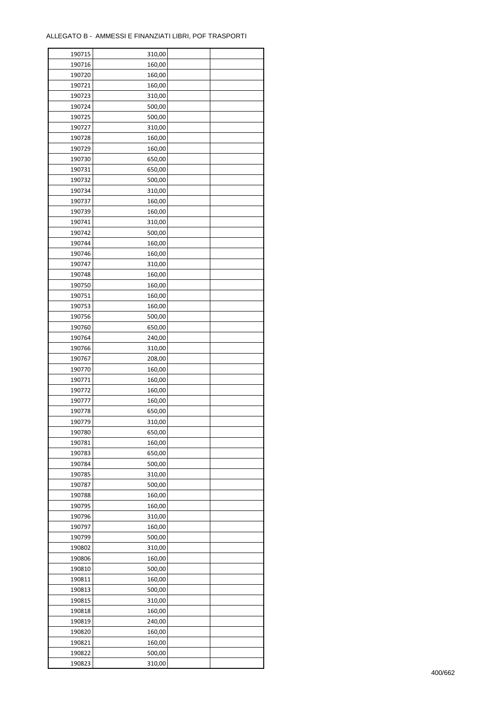| 190715 | 310,00 |  |
|--------|--------|--|
| 190716 | 160,00 |  |
| 190720 | 160,00 |  |
| 190721 | 160,00 |  |
| 190723 | 310,00 |  |
| 190724 | 500,00 |  |
| 190725 | 500,00 |  |
| 190727 | 310,00 |  |
| 190728 | 160,00 |  |
| 190729 | 160,00 |  |
| 190730 | 650,00 |  |
| 190731 | 650,00 |  |
| 190732 | 500,00 |  |
| 190734 | 310,00 |  |
| 190737 | 160,00 |  |
| 190739 | 160,00 |  |
|        |        |  |
| 190741 | 310,00 |  |
| 190742 | 500,00 |  |
| 190744 | 160,00 |  |
| 190746 | 160,00 |  |
| 190747 | 310,00 |  |
| 190748 | 160,00 |  |
| 190750 | 160,00 |  |
| 190751 | 160,00 |  |
| 190753 | 160,00 |  |
| 190756 | 500,00 |  |
| 190760 | 650,00 |  |
| 190764 | 240,00 |  |
| 190766 | 310,00 |  |
| 190767 | 208,00 |  |
| 190770 | 160,00 |  |
| 190771 | 160,00 |  |
| 190772 | 160,00 |  |
| 190777 | 160,00 |  |
| 190778 | 650,00 |  |
| 190779 | 310,00 |  |
| 190780 | 650,00 |  |
| 190781 | 160,00 |  |
| 190783 | 650,00 |  |
| 190784 | 500,00 |  |
| 190785 | 310,00 |  |
| 190787 | 500,00 |  |
| 190788 | 160,00 |  |
| 190795 | 160,00 |  |
| 190796 | 310,00 |  |
| 190797 | 160,00 |  |
| 190799 | 500,00 |  |
| 190802 | 310,00 |  |
| 190806 | 160,00 |  |
| 190810 | 500,00 |  |
| 190811 | 160,00 |  |
| 190813 | 500,00 |  |
|        |        |  |
| 190815 | 310,00 |  |
| 190818 | 160,00 |  |
| 190819 | 240,00 |  |
| 190820 | 160,00 |  |
| 190821 | 160,00 |  |
| 190822 | 500,00 |  |
| 190823 | 310,00 |  |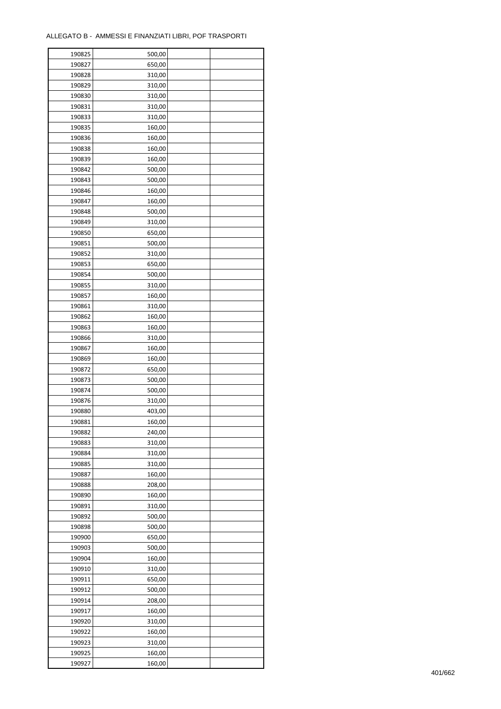| 190825 | 500,00 |  |
|--------|--------|--|
| 190827 | 650,00 |  |
| 190828 | 310,00 |  |
| 190829 | 310,00 |  |
| 190830 | 310,00 |  |
| 190831 | 310,00 |  |
| 190833 | 310,00 |  |
| 190835 | 160,00 |  |
|        |        |  |
| 190836 | 160,00 |  |
| 190838 | 160,00 |  |
| 190839 | 160,00 |  |
| 190842 | 500,00 |  |
| 190843 | 500,00 |  |
| 190846 | 160,00 |  |
| 190847 | 160,00 |  |
| 190848 | 500,00 |  |
| 190849 | 310,00 |  |
| 190850 | 650,00 |  |
| 190851 | 500,00 |  |
| 190852 | 310,00 |  |
| 190853 | 650,00 |  |
| 190854 | 500,00 |  |
| 190855 | 310,00 |  |
| 190857 | 160,00 |  |
| 190861 | 310,00 |  |
| 190862 | 160,00 |  |
| 190863 | 160,00 |  |
| 190866 | 310,00 |  |
| 190867 | 160,00 |  |
| 190869 | 160,00 |  |
|        | 650,00 |  |
| 190872 |        |  |
| 190873 | 500,00 |  |
| 190874 | 500,00 |  |
| 190876 | 310,00 |  |
| 190880 | 403,00 |  |
| 190881 | 160,00 |  |
| 190882 | 240,00 |  |
| 190883 | 310,00 |  |
| 190884 | 310,00 |  |
| 190885 | 310,00 |  |
| 190887 | 160,00 |  |
| 190888 | 208,00 |  |
| 190890 | 160,00 |  |
| 190891 | 310,00 |  |
| 190892 | 500,00 |  |
| 190898 | 500,00 |  |
| 190900 | 650,00 |  |
| 190903 | 500,00 |  |
| 190904 | 160,00 |  |
| 190910 | 310,00 |  |
| 190911 | 650,00 |  |
| 190912 | 500,00 |  |
| 190914 | 208,00 |  |
|        | 160,00 |  |
| 190917 |        |  |
| 190920 | 310,00 |  |
| 190922 | 160,00 |  |
| 190923 | 310,00 |  |
| 190925 | 160,00 |  |
| 190927 | 160,00 |  |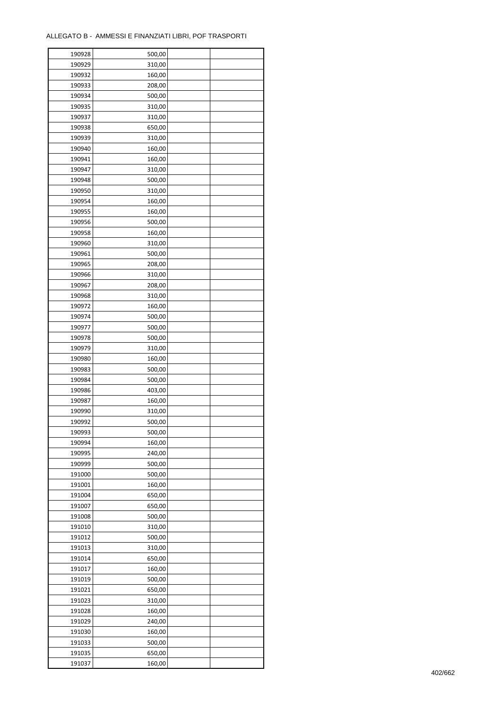| 190928 | 500,00 |  |
|--------|--------|--|
| 190929 | 310,00 |  |
| 190932 | 160,00 |  |
| 190933 | 208,00 |  |
| 190934 | 500,00 |  |
| 190935 | 310,00 |  |
| 190937 | 310,00 |  |
| 190938 | 650,00 |  |
| 190939 | 310,00 |  |
| 190940 | 160,00 |  |
| 190941 |        |  |
| 190947 | 160,00 |  |
|        | 310,00 |  |
| 190948 | 500,00 |  |
| 190950 | 310,00 |  |
| 190954 | 160,00 |  |
| 190955 | 160,00 |  |
| 190956 | 500,00 |  |
| 190958 | 160,00 |  |
| 190960 | 310,00 |  |
| 190961 | 500,00 |  |
| 190965 | 208,00 |  |
| 190966 | 310,00 |  |
| 190967 | 208,00 |  |
| 190968 | 310,00 |  |
| 190972 | 160,00 |  |
| 190974 | 500,00 |  |
| 190977 | 500,00 |  |
| 190978 | 500,00 |  |
| 190979 | 310,00 |  |
| 190980 | 160,00 |  |
| 190983 | 500,00 |  |
| 190984 | 500,00 |  |
| 190986 | 403,00 |  |
| 190987 | 160,00 |  |
| 190990 | 310,00 |  |
| 190992 | 500,00 |  |
|        |        |  |
| 190993 | 500,00 |  |
| 190994 | 160,00 |  |
| 190995 | 240,00 |  |
| 190999 | 500,00 |  |
| 191000 | 500,00 |  |
| 191001 | 160,00 |  |
| 191004 | 650,00 |  |
| 191007 | 650,00 |  |
| 191008 | 500,00 |  |
| 191010 | 310,00 |  |
| 191012 | 500,00 |  |
| 191013 | 310,00 |  |
| 191014 | 650,00 |  |
| 191017 | 160,00 |  |
| 191019 | 500,00 |  |
| 191021 | 650,00 |  |
| 191023 | 310,00 |  |
| 191028 | 160,00 |  |
| 191029 | 240,00 |  |
| 191030 | 160,00 |  |
| 191033 | 500,00 |  |
| 191035 | 650,00 |  |
| 191037 | 160,00 |  |
|        |        |  |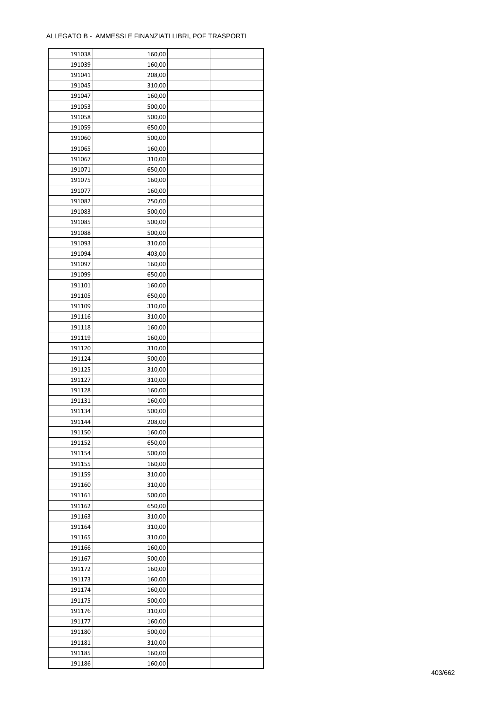| 191038 | 160,00 |  |
|--------|--------|--|
| 191039 | 160,00 |  |
| 191041 | 208,00 |  |
| 191045 | 310,00 |  |
| 191047 | 160,00 |  |
| 191053 | 500,00 |  |
| 191058 | 500,00 |  |
| 191059 | 650,00 |  |
| 191060 | 500,00 |  |
| 191065 | 160,00 |  |
| 191067 | 310,00 |  |
| 191071 |        |  |
|        | 650,00 |  |
| 191075 | 160,00 |  |
| 191077 | 160,00 |  |
| 191082 | 750,00 |  |
| 191083 | 500,00 |  |
| 191085 | 500,00 |  |
| 191088 | 500,00 |  |
| 191093 | 310,00 |  |
| 191094 | 403,00 |  |
| 191097 | 160,00 |  |
| 191099 | 650,00 |  |
| 191101 | 160,00 |  |
| 191105 | 650,00 |  |
| 191109 | 310,00 |  |
| 191116 | 310,00 |  |
| 191118 | 160,00 |  |
| 191119 | 160,00 |  |
| 191120 | 310,00 |  |
| 191124 | 500,00 |  |
| 191125 | 310,00 |  |
| 191127 |        |  |
|        | 310,00 |  |
| 191128 | 160,00 |  |
| 191131 | 160,00 |  |
| 191134 | 500,00 |  |
| 191144 | 208,00 |  |
| 191150 | 160,00 |  |
| 191152 | 650,00 |  |
| 191154 | 500,00 |  |
| 191155 | 160,00 |  |
| 191159 | 310,00 |  |
| 191160 | 310,00 |  |
| 191161 | 500,00 |  |
| 191162 | 650,00 |  |
| 191163 | 310,00 |  |
| 191164 | 310,00 |  |
| 191165 | 310,00 |  |
| 191166 | 160,00 |  |
| 191167 | 500,00 |  |
| 191172 | 160,00 |  |
| 191173 | 160,00 |  |
| 191174 | 160,00 |  |
| 191175 | 500,00 |  |
|        |        |  |
| 191176 | 310,00 |  |
| 191177 | 160,00 |  |
| 191180 | 500,00 |  |
| 191181 | 310,00 |  |
| 191185 | 160,00 |  |
| 191186 | 160,00 |  |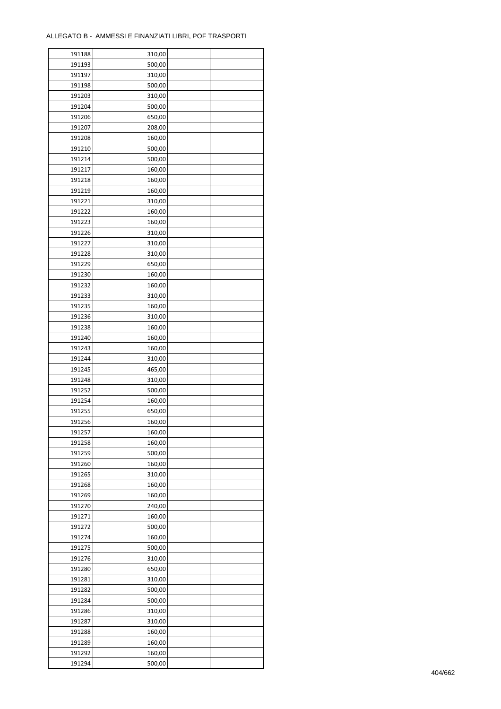| 191188 | 310,00 |  |
|--------|--------|--|
| 191193 | 500,00 |  |
| 191197 | 310,00 |  |
| 191198 | 500,00 |  |
| 191203 | 310,00 |  |
| 191204 | 500,00 |  |
| 191206 | 650,00 |  |
| 191207 | 208,00 |  |
| 191208 | 160,00 |  |
| 191210 | 500,00 |  |
| 191214 | 500,00 |  |
| 191217 |        |  |
|        | 160,00 |  |
| 191218 | 160,00 |  |
| 191219 | 160,00 |  |
| 191221 | 310,00 |  |
| 191222 | 160,00 |  |
| 191223 | 160,00 |  |
| 191226 | 310,00 |  |
| 191227 | 310,00 |  |
| 191228 | 310,00 |  |
| 191229 | 650,00 |  |
| 191230 | 160,00 |  |
| 191232 | 160,00 |  |
| 191233 | 310,00 |  |
| 191235 | 160,00 |  |
| 191236 | 310,00 |  |
| 191238 | 160,00 |  |
| 191240 | 160,00 |  |
| 191243 | 160,00 |  |
| 191244 | 310,00 |  |
| 191245 | 465,00 |  |
| 191248 | 310,00 |  |
| 191252 | 500,00 |  |
| 191254 | 160,00 |  |
| 191255 | 650,00 |  |
| 191256 | 160,00 |  |
|        |        |  |
| 191257 | 160,00 |  |
| 191258 | 160,00 |  |
| 191259 | 500,00 |  |
| 191260 | 160,00 |  |
| 191265 | 310,00 |  |
| 191268 | 160,00 |  |
| 191269 | 160,00 |  |
| 191270 | 240,00 |  |
| 191271 | 160,00 |  |
| 191272 | 500,00 |  |
| 191274 | 160,00 |  |
| 191275 | 500,00 |  |
| 191276 | 310,00 |  |
| 191280 | 650,00 |  |
| 191281 | 310,00 |  |
| 191282 | 500,00 |  |
| 191284 | 500,00 |  |
| 191286 | 310,00 |  |
| 191287 | 310,00 |  |
| 191288 | 160,00 |  |
| 191289 | 160,00 |  |
| 191292 | 160,00 |  |
| 191294 | 500,00 |  |
|        |        |  |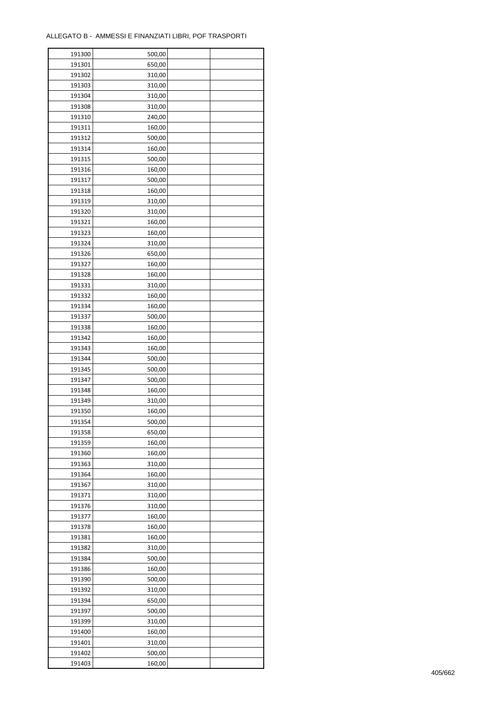| 191300           | 500,00           |  |
|------------------|------------------|--|
| 191301           | 650,00           |  |
| 191302           | 310,00           |  |
| 191303           | 310,00           |  |
| 191304           | 310,00           |  |
| 191308           | 310,00           |  |
| 191310           | 240,00           |  |
| 191311           | 160,00           |  |
| 191312           | 500,00           |  |
| 191314           | 160,00           |  |
| 191315           | 500,00           |  |
| 191316           | 160,00           |  |
| 191317           | 500,00           |  |
| 191318           | 160,00           |  |
| 191319           | 310,00           |  |
| 191320           | 310,00           |  |
| 191321           | 160,00           |  |
| 191323           | 160,00           |  |
| 191324           | 310,00           |  |
| 191326           | 650,00           |  |
|                  |                  |  |
| 191327           | 160,00           |  |
| 191328           | 160,00           |  |
| 191331           | 310,00           |  |
| 191332           | 160,00           |  |
| 191334           | 160,00           |  |
| 191337           | 500,00           |  |
| 191338           | 160,00           |  |
| 191342           | 160,00           |  |
| 191343           | 160,00           |  |
| 191344           | 500,00           |  |
| 191345           | 500,00           |  |
| 191347           | 500,00           |  |
| 191348<br>191349 | 160,00           |  |
| 191350           | 310,00<br>160,00 |  |
| 191354           | 500,00           |  |
|                  |                  |  |
| 191358           | 650,00<br>160,00 |  |
| 191359<br>191360 |                  |  |
| 191363           | 160,00           |  |
|                  | 310,00<br>160,00 |  |
| 191364<br>191367 | 310,00           |  |
| 191371           |                  |  |
|                  | 310,00           |  |
| 191376           | 310,00<br>160,00 |  |
| 191377<br>191378 |                  |  |
|                  | 160,00           |  |
| 191381           | 160,00           |  |
| 191382<br>191384 | 310,00           |  |
| 191386           | 500,00           |  |
|                  | 160,00           |  |
| 191390           | 500,00           |  |
| 191392<br>191394 | 310,00<br>650,00 |  |
|                  |                  |  |
| 191397           | 500,00           |  |
| 191399           | 310,00           |  |
| 191400           | 160,00           |  |
| 191401           | 310,00           |  |
| 191402           | 500,00           |  |
| 191403           | 160,00           |  |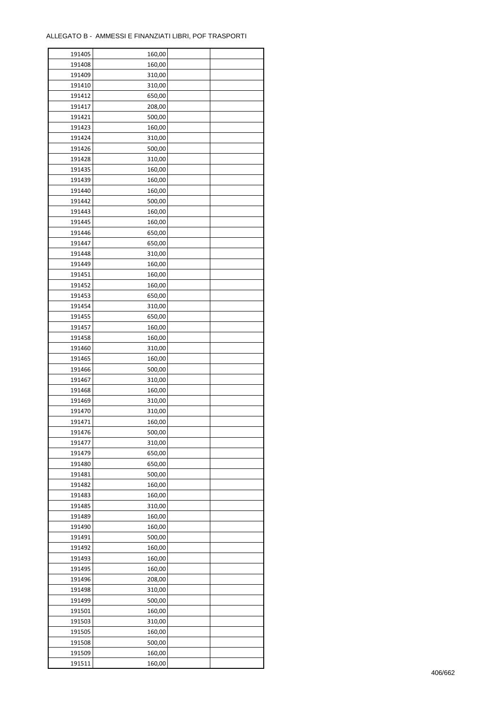| 191405 | 160,00 |  |
|--------|--------|--|
| 191408 | 160,00 |  |
| 191409 | 310,00 |  |
| 191410 | 310,00 |  |
| 191412 | 650,00 |  |
| 191417 | 208,00 |  |
| 191421 | 500,00 |  |
| 191423 | 160,00 |  |
| 191424 | 310,00 |  |
| 191426 | 500,00 |  |
| 191428 | 310,00 |  |
| 191435 | 160,00 |  |
| 191439 |        |  |
|        | 160,00 |  |
| 191440 | 160,00 |  |
| 191442 | 500,00 |  |
| 191443 | 160,00 |  |
| 191445 | 160,00 |  |
| 191446 | 650,00 |  |
| 191447 | 650,00 |  |
| 191448 | 310,00 |  |
| 191449 | 160,00 |  |
| 191451 | 160,00 |  |
| 191452 | 160,00 |  |
| 191453 | 650,00 |  |
| 191454 | 310,00 |  |
| 191455 | 650,00 |  |
| 191457 | 160,00 |  |
| 191458 | 160,00 |  |
| 191460 | 310,00 |  |
| 191465 | 160,00 |  |
| 191466 | 500,00 |  |
| 191467 | 310,00 |  |
| 191468 | 160,00 |  |
| 191469 | 310,00 |  |
| 191470 | 310,00 |  |
| 191471 | 160,00 |  |
|        | 500,00 |  |
| 191476 |        |  |
| 191477 | 310,00 |  |
| 191479 | 650,00 |  |
| 191480 | 650,00 |  |
| 191481 | 500,00 |  |
| 191482 | 160,00 |  |
| 191483 | 160,00 |  |
| 191485 | 310,00 |  |
| 191489 | 160,00 |  |
| 191490 | 160,00 |  |
| 191491 | 500,00 |  |
| 191492 | 160,00 |  |
| 191493 | 160,00 |  |
| 191495 | 160,00 |  |
| 191496 | 208,00 |  |
| 191498 | 310,00 |  |
| 191499 | 500,00 |  |
| 191501 | 160,00 |  |
| 191503 | 310,00 |  |
| 191505 | 160,00 |  |
| 191508 | 500,00 |  |
| 191509 | 160,00 |  |
|        |        |  |
| 191511 | 160,00 |  |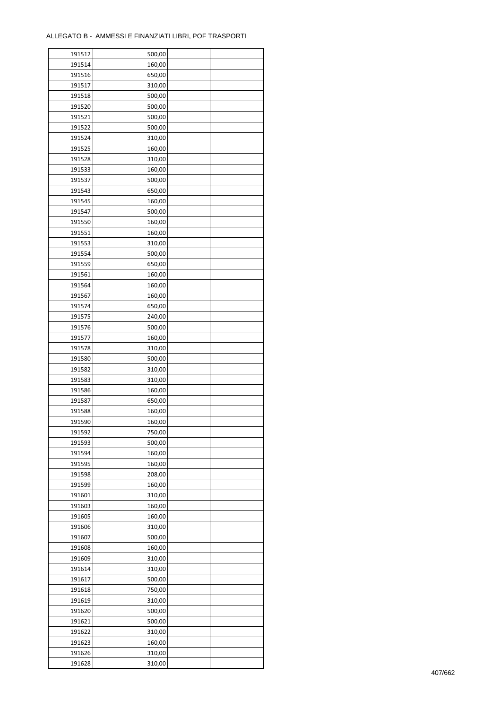| 191512 | 500,00 |  |
|--------|--------|--|
| 191514 | 160,00 |  |
| 191516 | 650,00 |  |
| 191517 | 310,00 |  |
| 191518 | 500,00 |  |
| 191520 | 500,00 |  |
| 191521 | 500,00 |  |
| 191522 | 500,00 |  |
| 191524 | 310,00 |  |
| 191525 | 160,00 |  |
| 191528 | 310,00 |  |
|        |        |  |
| 191533 | 160,00 |  |
| 191537 | 500,00 |  |
| 191543 | 650,00 |  |
| 191545 | 160,00 |  |
| 191547 | 500,00 |  |
| 191550 | 160,00 |  |
| 191551 | 160,00 |  |
| 191553 | 310,00 |  |
| 191554 | 500,00 |  |
| 191559 | 650,00 |  |
| 191561 | 160,00 |  |
| 191564 | 160,00 |  |
| 191567 | 160,00 |  |
| 191574 | 650,00 |  |
| 191575 | 240,00 |  |
| 191576 | 500,00 |  |
| 191577 | 160,00 |  |
| 191578 | 310,00 |  |
| 191580 | 500,00 |  |
| 191582 | 310,00 |  |
| 191583 | 310,00 |  |
|        |        |  |
| 191586 | 160,00 |  |
| 191587 | 650,00 |  |
| 191588 | 160,00 |  |
| 191590 | 160,00 |  |
| 191592 | 750,00 |  |
| 191593 | 500,00 |  |
| 191594 | 160,00 |  |
| 191595 | 160,00 |  |
| 191598 | 208,00 |  |
| 191599 | 160,00 |  |
| 191601 | 310,00 |  |
| 191603 | 160,00 |  |
| 191605 | 160,00 |  |
| 191606 | 310,00 |  |
| 191607 | 500,00 |  |
| 191608 | 160,00 |  |
| 191609 | 310,00 |  |
| 191614 | 310,00 |  |
| 191617 | 500,00 |  |
| 191618 | 750,00 |  |
| 191619 | 310,00 |  |
|        |        |  |
| 191620 | 500,00 |  |
| 191621 | 500,00 |  |
| 191622 | 310,00 |  |
| 191623 | 160,00 |  |
| 191626 | 310,00 |  |
| 191628 | 310,00 |  |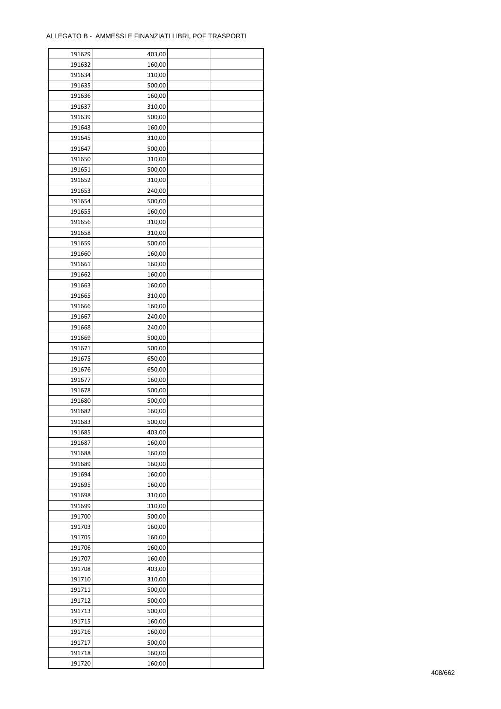| 191629 | 403,00 |  |
|--------|--------|--|
| 191632 | 160,00 |  |
| 191634 | 310,00 |  |
| 191635 | 500,00 |  |
| 191636 | 160,00 |  |
| 191637 | 310,00 |  |
| 191639 | 500,00 |  |
| 191643 | 160,00 |  |
| 191645 | 310,00 |  |
| 191647 | 500,00 |  |
| 191650 | 310,00 |  |
| 191651 | 500,00 |  |
| 191652 | 310,00 |  |
| 191653 | 240,00 |  |
|        |        |  |
| 191654 | 500,00 |  |
| 191655 | 160,00 |  |
| 191656 | 310,00 |  |
| 191658 | 310,00 |  |
| 191659 | 500,00 |  |
| 191660 | 160,00 |  |
| 191661 | 160,00 |  |
| 191662 | 160,00 |  |
| 191663 | 160,00 |  |
| 191665 | 310,00 |  |
| 191666 | 160,00 |  |
| 191667 | 240,00 |  |
| 191668 | 240,00 |  |
| 191669 | 500,00 |  |
| 191671 | 500,00 |  |
| 191675 | 650,00 |  |
| 191676 | 650,00 |  |
| 191677 | 160,00 |  |
| 191678 | 500,00 |  |
| 191680 | 500,00 |  |
| 191682 | 160,00 |  |
| 191683 | 500,00 |  |
| 191685 | 403,00 |  |
| 191687 | 160,00 |  |
| 191688 | 160,00 |  |
| 191689 | 160,00 |  |
| 191694 | 160,00 |  |
| 191695 | 160,00 |  |
| 191698 | 310,00 |  |
| 191699 | 310,00 |  |
| 191700 | 500,00 |  |
| 191703 | 160,00 |  |
|        |        |  |
| 191705 | 160,00 |  |
| 191706 | 160,00 |  |
| 191707 | 160,00 |  |
| 191708 | 403,00 |  |
| 191710 | 310,00 |  |
| 191711 | 500,00 |  |
| 191712 | 500,00 |  |
| 191713 | 500,00 |  |
| 191715 | 160,00 |  |
| 191716 | 160,00 |  |
| 191717 | 500,00 |  |
| 191718 | 160,00 |  |
| 191720 | 160,00 |  |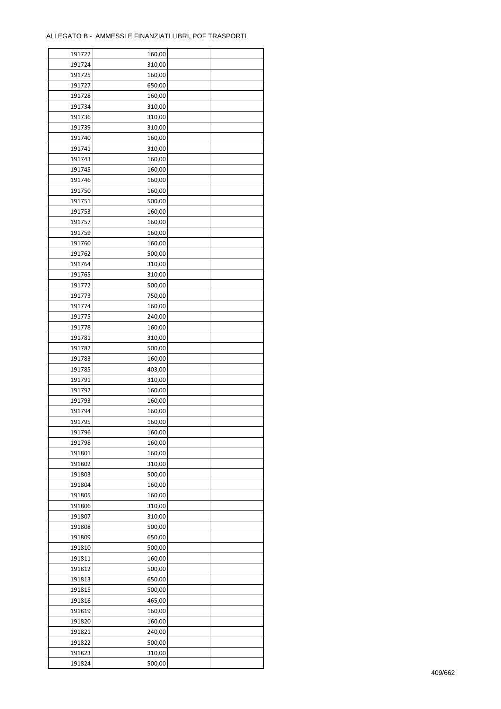| 191722 | 160,00 |  |
|--------|--------|--|
| 191724 | 310,00 |  |
| 191725 | 160,00 |  |
| 191727 | 650,00 |  |
| 191728 | 160,00 |  |
| 191734 | 310,00 |  |
| 191736 | 310,00 |  |
| 191739 | 310,00 |  |
| 191740 | 160,00 |  |
| 191741 | 310,00 |  |
| 191743 |        |  |
|        | 160,00 |  |
| 191745 | 160,00 |  |
| 191746 | 160,00 |  |
| 191750 | 160,00 |  |
| 191751 | 500,00 |  |
| 191753 | 160,00 |  |
| 191757 | 160,00 |  |
| 191759 | 160,00 |  |
| 191760 | 160,00 |  |
| 191762 | 500,00 |  |
| 191764 | 310,00 |  |
| 191765 | 310,00 |  |
| 191772 | 500,00 |  |
| 191773 | 750,00 |  |
| 191774 | 160,00 |  |
| 191775 | 240,00 |  |
| 191778 | 160,00 |  |
| 191781 | 310,00 |  |
| 191782 | 500,00 |  |
|        |        |  |
| 191783 | 160,00 |  |
| 191785 | 403,00 |  |
| 191791 | 310,00 |  |
| 191792 | 160,00 |  |
| 191793 | 160,00 |  |
| 191794 | 160,00 |  |
| 191795 | 160,00 |  |
| 191796 | 160,00 |  |
| 191798 | 160,00 |  |
| 191801 | 160,00 |  |
| 191802 | 310,00 |  |
| 191803 | 500,00 |  |
| 191804 | 160,00 |  |
| 191805 | 160,00 |  |
| 191806 | 310,00 |  |
| 191807 | 310,00 |  |
| 191808 | 500,00 |  |
| 191809 | 650,00 |  |
| 191810 | 500,00 |  |
| 191811 | 160,00 |  |
| 191812 | 500,00 |  |
| 191813 | 650,00 |  |
| 191815 | 500,00 |  |
|        |        |  |
| 191816 | 465,00 |  |
| 191819 | 160,00 |  |
| 191820 | 160,00 |  |
| 191821 | 240,00 |  |
| 191822 | 500,00 |  |
| 191823 | 310,00 |  |
| 191824 | 500,00 |  |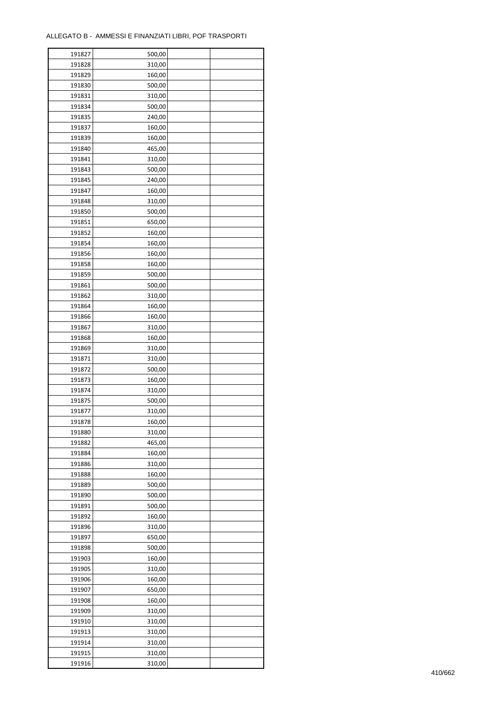| 191827 | 500,00 |  |
|--------|--------|--|
| 191828 | 310,00 |  |
| 191829 | 160,00 |  |
| 191830 | 500,00 |  |
| 191831 | 310,00 |  |
| 191834 | 500,00 |  |
| 191835 | 240,00 |  |
| 191837 | 160,00 |  |
| 191839 | 160,00 |  |
| 191840 | 465,00 |  |
| 191841 | 310,00 |  |
| 191843 | 500,00 |  |
|        |        |  |
| 191845 | 240,00 |  |
| 191847 | 160,00 |  |
| 191848 | 310,00 |  |
| 191850 | 500,00 |  |
| 191851 | 650,00 |  |
| 191852 | 160,00 |  |
| 191854 | 160,00 |  |
| 191856 | 160,00 |  |
| 191858 | 160,00 |  |
| 191859 | 500,00 |  |
| 191861 | 500,00 |  |
| 191862 | 310,00 |  |
| 191864 | 160,00 |  |
| 191866 | 160,00 |  |
| 191867 | 310,00 |  |
| 191868 | 160,00 |  |
| 191869 | 310,00 |  |
| 191871 | 310,00 |  |
| 191872 | 500,00 |  |
| 191873 | 160,00 |  |
| 191874 | 310,00 |  |
| 191875 | 500,00 |  |
| 191877 | 310,00 |  |
| 191878 | 160,00 |  |
| 191880 | 310,00 |  |
| 191882 | 465,00 |  |
| 191884 | 160,00 |  |
| 191886 | 310,00 |  |
| 191888 | 160,00 |  |
| 191889 | 500,00 |  |
| 191890 | 500,00 |  |
| 191891 | 500,00 |  |
| 191892 | 160,00 |  |
| 191896 | 310,00 |  |
| 191897 | 650,00 |  |
| 191898 | 500,00 |  |
| 191903 | 160,00 |  |
| 191905 | 310,00 |  |
| 191906 | 160,00 |  |
| 191907 | 650,00 |  |
| 191908 | 160,00 |  |
| 191909 | 310,00 |  |
| 191910 | 310,00 |  |
| 191913 | 310,00 |  |
| 191914 | 310,00 |  |
|        |        |  |
| 191915 | 310,00 |  |
| 191916 | 310,00 |  |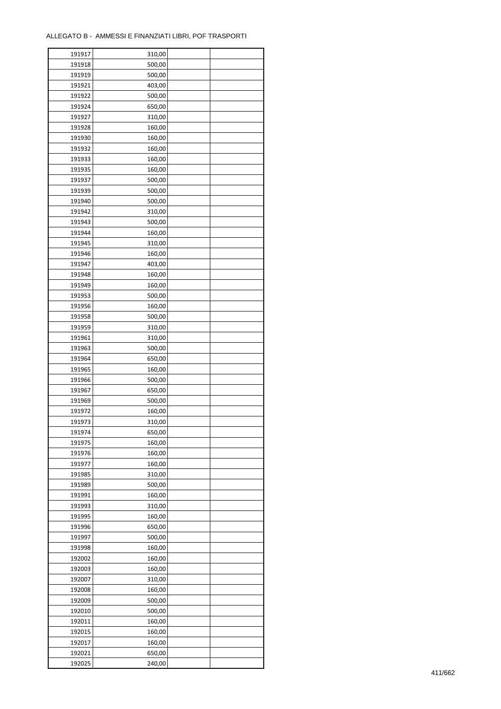÷

| 191917           | 310,00           |  |
|------------------|------------------|--|
| 191918           | 500,00           |  |
| 191919           | 500,00           |  |
| 191921           | 403,00           |  |
| 191922           | 500,00           |  |
| 191924           | 650,00           |  |
| 191927           | 310,00           |  |
| 191928           | 160,00           |  |
| 191930           | 160,00           |  |
| 191932           | 160,00           |  |
| 191933           | 160,00           |  |
| 191935           | 160,00           |  |
| 191937           | 500,00           |  |
| 191939           | 500,00           |  |
| 191940           | 500,00           |  |
| 191942           | 310,00           |  |
| 191943           | 500,00           |  |
| 191944           | 160,00           |  |
| 191945           | 310,00           |  |
| 191946           |                  |  |
| 191947           | 160,00<br>403,00 |  |
| 191948           | 160,00           |  |
| 191949           |                  |  |
| 191953           | 160,00           |  |
| 191956           | 500,00<br>160,00 |  |
| 191958           |                  |  |
| 191959           | 500,00           |  |
|                  | 310,00           |  |
| 191961           | 310,00           |  |
| 191963<br>191964 | 500,00<br>650,00 |  |
| 191965           | 160,00           |  |
| 191966           | 500,00           |  |
| 191967           |                  |  |
| 191969           | 650,00<br>500,00 |  |
| 191972           | 160,00           |  |
| 191973           | 310,00           |  |
| 191974           | 650,00           |  |
| 191975           | 160,00           |  |
| 191976           | 160,00           |  |
| 191977           | 160,00           |  |
| 191985           | 310,00           |  |
| 191989           | 500,00           |  |
| 191991           | 160,00           |  |
| 191993           | 310,00           |  |
| 191995           | 160,00           |  |
| 191996           | 650,00           |  |
| 191997           | 500,00           |  |
| 191998           | 160,00           |  |
| 192002           | 160,00           |  |
| 192003           | 160,00           |  |
| 192007           | 310,00           |  |
| 192008           | 160,00           |  |
| 192009           | 500,00           |  |
| 192010           | 500,00           |  |
| 192011           | 160,00           |  |
| 192015           | 160,00           |  |
|                  |                  |  |
| 192017           | 160,00           |  |
| 192021           | 650,00           |  |
| 192025           | 240,00           |  |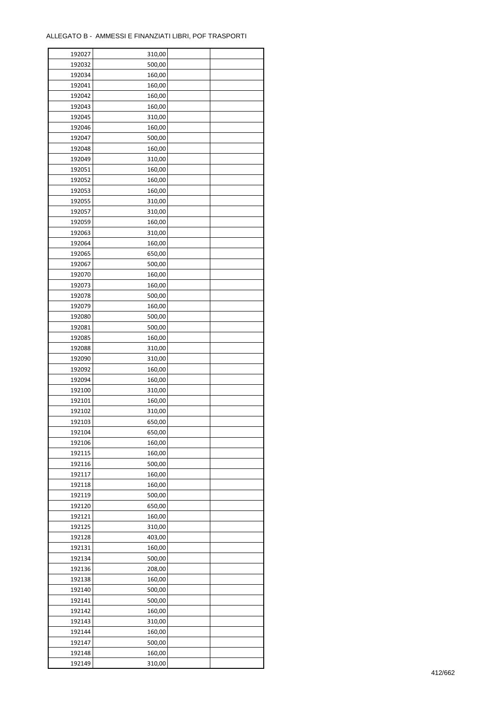÷

| 192027 | 310,00 |  |
|--------|--------|--|
| 192032 | 500,00 |  |
| 192034 | 160,00 |  |
| 192041 | 160,00 |  |
| 192042 | 160,00 |  |
| 192043 | 160,00 |  |
| 192045 | 310,00 |  |
| 192046 | 160,00 |  |
| 192047 | 500,00 |  |
|        |        |  |
| 192048 | 160,00 |  |
| 192049 | 310,00 |  |
| 192051 | 160,00 |  |
| 192052 | 160,00 |  |
| 192053 | 160,00 |  |
| 192055 | 310,00 |  |
| 192057 | 310,00 |  |
| 192059 | 160,00 |  |
| 192063 | 310,00 |  |
| 192064 | 160,00 |  |
| 192065 | 650,00 |  |
| 192067 | 500,00 |  |
| 192070 | 160,00 |  |
| 192073 | 160,00 |  |
| 192078 | 500,00 |  |
| 192079 | 160,00 |  |
| 192080 | 500,00 |  |
| 192081 | 500,00 |  |
| 192085 | 160,00 |  |
| 192088 | 310,00 |  |
| 192090 | 310,00 |  |
|        |        |  |
| 192092 | 160,00 |  |
| 192094 | 160,00 |  |
| 192100 | 310,00 |  |
| 192101 | 160,00 |  |
| 192102 | 310,00 |  |
| 192103 | 650,00 |  |
| 192104 | 650,00 |  |
| 192106 | 160,00 |  |
| 192115 | 160,00 |  |
| 192116 | 500,00 |  |
| 192117 | 160,00 |  |
| 192118 | 160,00 |  |
| 192119 | 500,00 |  |
| 192120 | 650,00 |  |
| 192121 | 160,00 |  |
| 192125 | 310,00 |  |
| 192128 | 403,00 |  |
| 192131 | 160,00 |  |
| 192134 | 500,00 |  |
| 192136 | 208,00 |  |
| 192138 | 160,00 |  |
|        |        |  |
| 192140 | 500,00 |  |
| 192141 | 500,00 |  |
| 192142 | 160,00 |  |
| 192143 | 310,00 |  |
| 192144 | 160,00 |  |
| 192147 | 500,00 |  |
| 192148 | 160,00 |  |
| 192149 | 310,00 |  |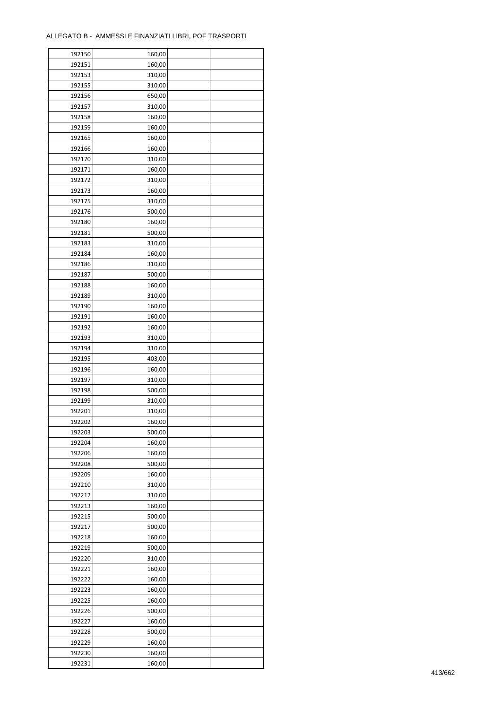| 192150           | 160,00           |  |
|------------------|------------------|--|
| 192151           | 160,00           |  |
| 192153           | 310,00           |  |
| 192155           | 310,00           |  |
| 192156           | 650,00           |  |
| 192157           | 310,00           |  |
| 192158           | 160,00           |  |
| 192159           | 160,00           |  |
| 192165           | 160,00           |  |
| 192166           | 160,00           |  |
| 192170           | 310,00           |  |
| 192171           | 160,00           |  |
| 192172           | 310,00           |  |
| 192173           | 160,00           |  |
| 192175           | 310,00           |  |
| 192176           | 500,00           |  |
|                  |                  |  |
| 192180<br>192181 | 160,00<br>500,00 |  |
|                  |                  |  |
| 192183           | 310,00           |  |
| 192184           | 160,00           |  |
| 192186           | 310,00           |  |
| 192187           | 500,00           |  |
| 192188           | 160,00           |  |
| 192189           | 310,00           |  |
| 192190           | 160,00           |  |
| 192191           | 160,00           |  |
| 192192           | 160,00           |  |
| 192193           | 310,00           |  |
| 192194           | 310,00           |  |
| 192195           | 403,00           |  |
| 192196           | 160,00           |  |
| 192197           | 310,00           |  |
| 192198           | 500,00           |  |
| 192199           | 310,00           |  |
| 192201           | 310,00           |  |
| 192202           | 160,00           |  |
| 192203           | 500,00           |  |
| 192204           | 160,00           |  |
| 192206           | 160,00           |  |
| 192208           | 500,00           |  |
| 192209           | 160,00           |  |
| 192210           | 310,00           |  |
| 192212           | 310,00           |  |
| 192213           | 160,00           |  |
| 192215           | 500,00           |  |
| 192217           | 500,00           |  |
| 192218           | 160,00           |  |
| 192219           | 500,00           |  |
| 192220           | 310,00           |  |
| 192221           | 160,00           |  |
| 192222           | 160,00           |  |
| 192223           | 160,00           |  |
| 192225           | 160,00           |  |
| 192226           | 500,00           |  |
| 192227           | 160,00           |  |
| 192228           | 500,00           |  |
| 192229           | 160,00           |  |
| 192230           | 160,00           |  |
| 192231           | 160,00           |  |
|                  |                  |  |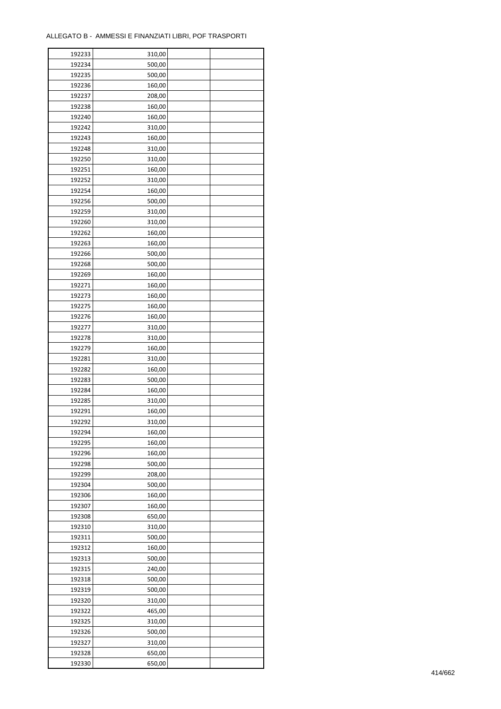| 192233 | 310,00 |  |
|--------|--------|--|
| 192234 | 500,00 |  |
| 192235 | 500,00 |  |
| 192236 | 160,00 |  |
| 192237 | 208,00 |  |
| 192238 | 160,00 |  |
| 192240 | 160,00 |  |
| 192242 | 310,00 |  |
| 192243 | 160,00 |  |
| 192248 | 310,00 |  |
| 192250 | 310,00 |  |
| 192251 | 160,00 |  |
|        |        |  |
| 192252 | 310,00 |  |
| 192254 | 160,00 |  |
| 192256 | 500,00 |  |
| 192259 | 310,00 |  |
| 192260 | 310,00 |  |
| 192262 | 160,00 |  |
| 192263 | 160,00 |  |
| 192266 | 500,00 |  |
| 192268 | 500,00 |  |
| 192269 | 160,00 |  |
| 192271 | 160,00 |  |
| 192273 | 160,00 |  |
| 192275 | 160,00 |  |
| 192276 | 160,00 |  |
| 192277 | 310,00 |  |
| 192278 | 310,00 |  |
| 192279 | 160,00 |  |
| 192281 | 310,00 |  |
| 192282 | 160,00 |  |
| 192283 | 500,00 |  |
| 192284 | 160,00 |  |
| 192285 | 310,00 |  |
| 192291 | 160,00 |  |
| 192292 | 310,00 |  |
| 192294 | 160,00 |  |
| 192295 | 160,00 |  |
| 192296 |        |  |
|        | 160,00 |  |
| 192298 | 500,00 |  |
| 192299 | 208,00 |  |
| 192304 | 500,00 |  |
| 192306 | 160,00 |  |
| 192307 | 160,00 |  |
| 192308 | 650,00 |  |
| 192310 | 310,00 |  |
| 192311 | 500,00 |  |
| 192312 | 160,00 |  |
| 192313 | 500,00 |  |
| 192315 | 240,00 |  |
| 192318 | 500,00 |  |
| 192319 | 500,00 |  |
| 192320 | 310,00 |  |
| 192322 | 465,00 |  |
| 192325 | 310,00 |  |
| 192326 | 500,00 |  |
| 192327 | 310,00 |  |
| 192328 | 650,00 |  |
| 192330 | 650,00 |  |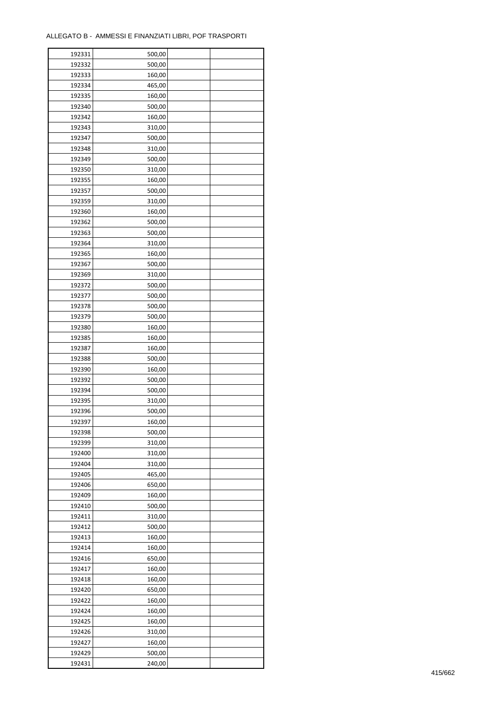| 192331 | 500,00 |  |
|--------|--------|--|
| 192332 | 500,00 |  |
| 192333 | 160,00 |  |
| 192334 | 465,00 |  |
| 192335 | 160,00 |  |
| 192340 | 500,00 |  |
| 192342 | 160,00 |  |
| 192343 | 310,00 |  |
|        | 500,00 |  |
| 192347 | 310,00 |  |
| 192348 |        |  |
| 192349 | 500,00 |  |
| 192350 | 310,00 |  |
| 192355 | 160,00 |  |
| 192357 | 500,00 |  |
| 192359 | 310,00 |  |
| 192360 | 160,00 |  |
| 192362 | 500,00 |  |
| 192363 | 500,00 |  |
| 192364 | 310,00 |  |
| 192365 | 160,00 |  |
| 192367 | 500,00 |  |
| 192369 | 310,00 |  |
| 192372 | 500,00 |  |
| 192377 | 500,00 |  |
| 192378 | 500,00 |  |
| 192379 | 500,00 |  |
| 192380 | 160,00 |  |
| 192385 | 160,00 |  |
| 192387 | 160,00 |  |
|        |        |  |
| 192388 | 500,00 |  |
| 192390 | 160,00 |  |
| 192392 | 500,00 |  |
| 192394 | 500,00 |  |
| 192395 | 310,00 |  |
| 192396 | 500,00 |  |
| 192397 | 160,00 |  |
| 192398 | 500,00 |  |
| 192399 | 310,00 |  |
| 192400 | 310,00 |  |
| 192404 | 310,00 |  |
| 192405 | 465,00 |  |
| 192406 | 650,00 |  |
| 192409 | 160,00 |  |
| 192410 | 500,00 |  |
| 192411 | 310,00 |  |
| 192412 | 500,00 |  |
| 192413 | 160,00 |  |
| 192414 | 160,00 |  |
| 192416 | 650,00 |  |
| 192417 | 160,00 |  |
| 192418 |        |  |
|        | 160,00 |  |
| 192420 | 650,00 |  |
| 192422 | 160,00 |  |
| 192424 | 160,00 |  |
| 192425 | 160,00 |  |
| 192426 | 310,00 |  |
| 192427 | 160,00 |  |
| 192429 | 500,00 |  |
| 192431 | 240,00 |  |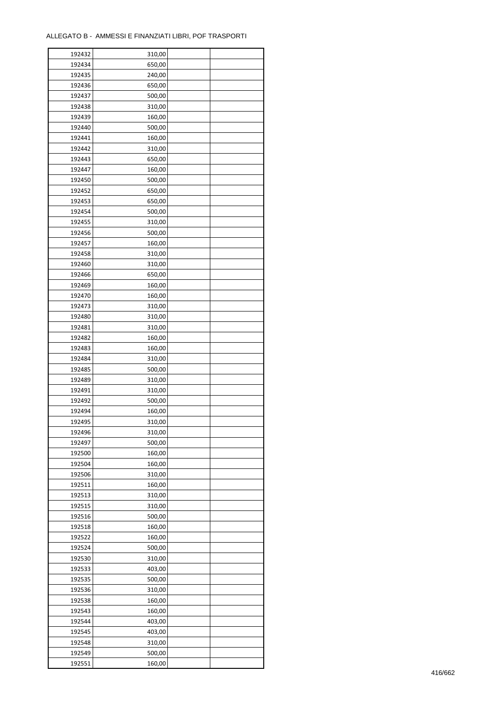| 192432 | 310,00 |  |
|--------|--------|--|
| 192434 | 650,00 |  |
| 192435 | 240,00 |  |
| 192436 | 650,00 |  |
| 192437 | 500,00 |  |
| 192438 | 310,00 |  |
| 192439 | 160,00 |  |
| 192440 | 500,00 |  |
| 192441 | 160,00 |  |
| 192442 | 310,00 |  |
| 192443 | 650,00 |  |
| 192447 | 160,00 |  |
| 192450 | 500,00 |  |
|        |        |  |
| 192452 | 650,00 |  |
| 192453 | 650,00 |  |
| 192454 | 500,00 |  |
| 192455 | 310,00 |  |
| 192456 | 500,00 |  |
| 192457 | 160,00 |  |
| 192458 | 310,00 |  |
| 192460 | 310,00 |  |
| 192466 | 650,00 |  |
| 192469 | 160,00 |  |
| 192470 | 160,00 |  |
| 192473 | 310,00 |  |
| 192480 | 310,00 |  |
| 192481 | 310,00 |  |
| 192482 | 160,00 |  |
| 192483 | 160,00 |  |
| 192484 | 310,00 |  |
| 192485 | 500,00 |  |
| 192489 | 310,00 |  |
| 192491 | 310,00 |  |
| 192492 | 500,00 |  |
| 192494 | 160,00 |  |
| 192495 | 310,00 |  |
| 192496 | 310,00 |  |
| 192497 | 500,00 |  |
| 192500 | 160,00 |  |
| 192504 | 160,00 |  |
| 192506 | 310,00 |  |
| 192511 | 160,00 |  |
| 192513 | 310,00 |  |
| 192515 | 310,00 |  |
| 192516 | 500,00 |  |
| 192518 | 160,00 |  |
|        |        |  |
| 192522 | 160,00 |  |
| 192524 | 500,00 |  |
| 192530 | 310,00 |  |
| 192533 | 403,00 |  |
| 192535 | 500,00 |  |
| 192536 | 310,00 |  |
| 192538 | 160,00 |  |
| 192543 | 160,00 |  |
| 192544 | 403,00 |  |
| 192545 | 403,00 |  |
| 192548 | 310,00 |  |
| 192549 | 500,00 |  |
| 192551 | 160,00 |  |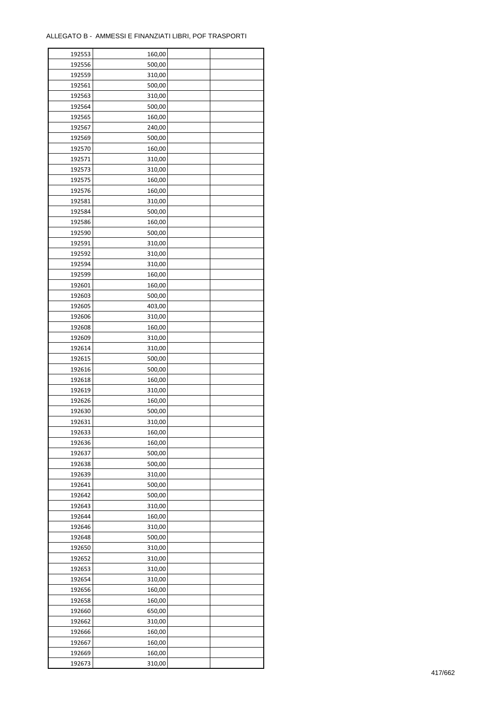| 192553 | 160,00 |  |
|--------|--------|--|
| 192556 | 500,00 |  |
| 192559 | 310,00 |  |
| 192561 | 500,00 |  |
| 192563 | 310,00 |  |
| 192564 | 500,00 |  |
| 192565 | 160,00 |  |
| 192567 | 240,00 |  |
|        |        |  |
| 192569 | 500,00 |  |
| 192570 | 160,00 |  |
| 192571 | 310,00 |  |
| 192573 | 310,00 |  |
| 192575 | 160,00 |  |
| 192576 | 160,00 |  |
| 192581 | 310,00 |  |
| 192584 | 500,00 |  |
| 192586 | 160,00 |  |
| 192590 | 500,00 |  |
| 192591 | 310,00 |  |
| 192592 | 310,00 |  |
| 192594 | 310,00 |  |
| 192599 | 160,00 |  |
| 192601 | 160,00 |  |
| 192603 | 500,00 |  |
| 192605 | 403,00 |  |
| 192606 | 310,00 |  |
| 192608 | 160,00 |  |
|        |        |  |
| 192609 | 310,00 |  |
| 192614 | 310,00 |  |
| 192615 | 500,00 |  |
| 192616 | 500,00 |  |
| 192618 | 160,00 |  |
| 192619 | 310,00 |  |
| 192626 | 160,00 |  |
| 192630 | 500,00 |  |
| 192631 | 310,00 |  |
| 192633 | 160,00 |  |
| 192636 | 160,00 |  |
| 192637 | 500,00 |  |
| 192638 | 500,00 |  |
| 192639 | 310,00 |  |
| 192641 | 500,00 |  |
| 192642 | 500,00 |  |
| 192643 | 310,00 |  |
| 192644 | 160,00 |  |
| 192646 | 310,00 |  |
| 192648 | 500,00 |  |
| 192650 | 310,00 |  |
| 192652 |        |  |
|        | 310,00 |  |
| 192653 | 310,00 |  |
| 192654 | 310,00 |  |
| 192656 | 160,00 |  |
| 192658 | 160,00 |  |
| 192660 | 650,00 |  |
| 192662 | 310,00 |  |
| 192666 | 160,00 |  |
| 192667 | 160,00 |  |
| 192669 | 160,00 |  |
| 192673 | 310,00 |  |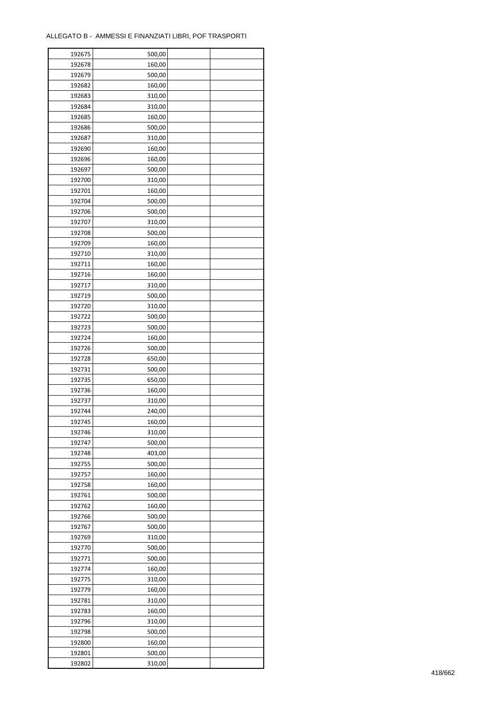| 192675 | 500,00 |  |
|--------|--------|--|
| 192678 | 160,00 |  |
| 192679 | 500,00 |  |
| 192682 | 160,00 |  |
| 192683 | 310,00 |  |
| 192684 | 310,00 |  |
| 192685 | 160,00 |  |
| 192686 | 500,00 |  |
| 192687 | 310,00 |  |
| 192690 | 160,00 |  |
| 192696 | 160,00 |  |
| 192697 | 500,00 |  |
|        |        |  |
| 192700 | 310,00 |  |
| 192701 | 160,00 |  |
| 192704 | 500,00 |  |
| 192706 | 500,00 |  |
| 192707 | 310,00 |  |
| 192708 | 500,00 |  |
| 192709 | 160,00 |  |
| 192710 | 310,00 |  |
| 192711 | 160,00 |  |
| 192716 | 160,00 |  |
| 192717 | 310,00 |  |
| 192719 | 500,00 |  |
| 192720 | 310,00 |  |
| 192722 | 500,00 |  |
| 192723 | 500,00 |  |
| 192724 | 160,00 |  |
| 192726 | 500,00 |  |
| 192728 | 650,00 |  |
| 192731 | 500,00 |  |
| 192735 | 650,00 |  |
| 192736 | 160,00 |  |
| 192737 | 310,00 |  |
| 192744 | 240,00 |  |
| 192745 | 160,00 |  |
| 192746 | 310,00 |  |
| 192747 | 500,00 |  |
| 192748 |        |  |
|        | 403,00 |  |
| 192755 | 500,00 |  |
| 192757 | 160,00 |  |
| 192758 | 160,00 |  |
| 192761 | 500,00 |  |
| 192762 | 160,00 |  |
| 192766 | 500,00 |  |
| 192767 | 500,00 |  |
| 192769 | 310,00 |  |
| 192770 | 500,00 |  |
| 192771 | 500,00 |  |
| 192774 | 160,00 |  |
| 192775 | 310,00 |  |
| 192779 | 160,00 |  |
| 192781 | 310,00 |  |
| 192783 | 160,00 |  |
| 192796 | 310,00 |  |
| 192798 | 500,00 |  |
| 192800 | 160,00 |  |
| 192801 | 500,00 |  |
| 192802 | 310,00 |  |
|        |        |  |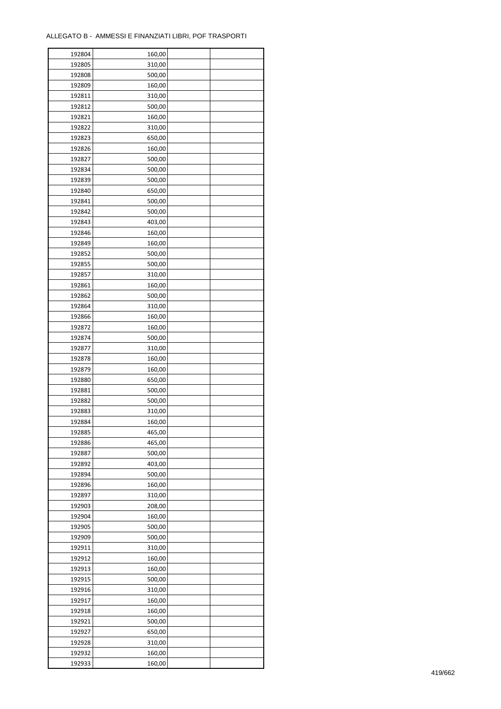| 192804 | 160,00 |  |
|--------|--------|--|
| 192805 | 310,00 |  |
| 192808 | 500,00 |  |
| 192809 | 160,00 |  |
| 192811 | 310,00 |  |
| 192812 | 500,00 |  |
| 192821 | 160,00 |  |
| 192822 | 310,00 |  |
| 192823 | 650,00 |  |
| 192826 | 160,00 |  |
| 192827 | 500,00 |  |
| 192834 | 500,00 |  |
| 192839 | 500,00 |  |
| 192840 |        |  |
|        | 650,00 |  |
| 192841 | 500,00 |  |
| 192842 | 500,00 |  |
| 192843 | 403,00 |  |
| 192846 | 160,00 |  |
| 192849 | 160,00 |  |
| 192852 | 500,00 |  |
| 192855 | 500,00 |  |
| 192857 | 310,00 |  |
| 192861 | 160,00 |  |
| 192862 | 500,00 |  |
| 192864 | 310,00 |  |
| 192866 | 160,00 |  |
| 192872 | 160,00 |  |
| 192874 | 500,00 |  |
| 192877 | 310,00 |  |
| 192878 | 160,00 |  |
| 192879 | 160,00 |  |
| 192880 | 650,00 |  |
| 192881 | 500,00 |  |
| 192882 | 500,00 |  |
| 192883 | 310,00 |  |
| 192884 | 160,00 |  |
| 192885 | 465,00 |  |
| 192886 | 465,00 |  |
|        |        |  |
| 192887 | 500,00 |  |
| 192892 | 403,00 |  |
| 192894 | 500,00 |  |
| 192896 | 160,00 |  |
| 192897 | 310,00 |  |
| 192903 | 208,00 |  |
| 192904 | 160,00 |  |
| 192905 | 500,00 |  |
| 192909 | 500,00 |  |
| 192911 | 310,00 |  |
| 192912 | 160,00 |  |
| 192913 | 160,00 |  |
| 192915 | 500,00 |  |
| 192916 | 310,00 |  |
| 192917 | 160,00 |  |
| 192918 | 160,00 |  |
| 192921 | 500,00 |  |
| 192927 | 650,00 |  |
| 192928 | 310,00 |  |
| 192932 | 160,00 |  |
| 192933 | 160,00 |  |
|        |        |  |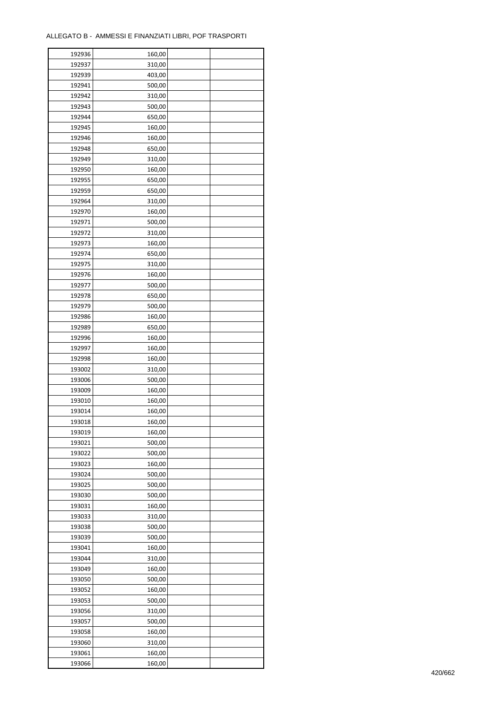| 192937<br>310,00<br>192939<br>403,00<br>192941<br>500,00<br>192942<br>310,00<br>192943<br>500,00<br>192944<br>650,00<br>192945<br>160,00<br>192946<br>160,00<br>192948<br>650,00<br>192949<br>310,00<br>192950<br>160,00<br>192955<br>650,00<br>192959<br>650,00<br>192964<br>310,00<br>192970<br>160,00<br>192971<br>500,00<br>192972<br>310,00<br>192973<br>160,00<br>192974<br>650,00<br>192975<br>310,00<br>192976<br>160,00<br>192977<br>500,00<br>192978<br>650,00<br>192979<br>500,00<br>192986<br>160,00<br>192989<br>650,00<br>192996<br>160,00<br>192997<br>160,00<br>192998<br>160,00<br>193002<br>310,00<br>193006<br>500,00<br>193009<br>160,00<br>193010<br>160,00<br>193014<br>160,00<br>193018<br>160,00<br>193019<br>160,00<br>193021<br>500,00<br>193022<br>500,00<br>193023<br>160,00<br>193024<br>500,00<br>193025<br>500,00<br>193030<br>500,00<br>193031<br>160,00<br>193033<br>310,00<br>193038<br>500,00<br>193039<br>500,00<br>193041<br>160,00<br>193044<br>310,00<br>193049<br>160,00<br>193050<br>500,00<br>193052<br>160,00<br>193053<br>500,00<br>193056<br>310,00<br>193057<br>500,00<br>193058<br>160,00<br>193060<br>310,00<br>193061<br>160,00<br>193066<br>160,00 | 192936 | 160,00 |  |
|------------------------------------------------------------------------------------------------------------------------------------------------------------------------------------------------------------------------------------------------------------------------------------------------------------------------------------------------------------------------------------------------------------------------------------------------------------------------------------------------------------------------------------------------------------------------------------------------------------------------------------------------------------------------------------------------------------------------------------------------------------------------------------------------------------------------------------------------------------------------------------------------------------------------------------------------------------------------------------------------------------------------------------------------------------------------------------------------------------------------------------------------------------------------------------------------------|--------|--------|--|
|                                                                                                                                                                                                                                                                                                                                                                                                                                                                                                                                                                                                                                                                                                                                                                                                                                                                                                                                                                                                                                                                                                                                                                                                      |        |        |  |
|                                                                                                                                                                                                                                                                                                                                                                                                                                                                                                                                                                                                                                                                                                                                                                                                                                                                                                                                                                                                                                                                                                                                                                                                      |        |        |  |
|                                                                                                                                                                                                                                                                                                                                                                                                                                                                                                                                                                                                                                                                                                                                                                                                                                                                                                                                                                                                                                                                                                                                                                                                      |        |        |  |
|                                                                                                                                                                                                                                                                                                                                                                                                                                                                                                                                                                                                                                                                                                                                                                                                                                                                                                                                                                                                                                                                                                                                                                                                      |        |        |  |
|                                                                                                                                                                                                                                                                                                                                                                                                                                                                                                                                                                                                                                                                                                                                                                                                                                                                                                                                                                                                                                                                                                                                                                                                      |        |        |  |
|                                                                                                                                                                                                                                                                                                                                                                                                                                                                                                                                                                                                                                                                                                                                                                                                                                                                                                                                                                                                                                                                                                                                                                                                      |        |        |  |
|                                                                                                                                                                                                                                                                                                                                                                                                                                                                                                                                                                                                                                                                                                                                                                                                                                                                                                                                                                                                                                                                                                                                                                                                      |        |        |  |
|                                                                                                                                                                                                                                                                                                                                                                                                                                                                                                                                                                                                                                                                                                                                                                                                                                                                                                                                                                                                                                                                                                                                                                                                      |        |        |  |
|                                                                                                                                                                                                                                                                                                                                                                                                                                                                                                                                                                                                                                                                                                                                                                                                                                                                                                                                                                                                                                                                                                                                                                                                      |        |        |  |
|                                                                                                                                                                                                                                                                                                                                                                                                                                                                                                                                                                                                                                                                                                                                                                                                                                                                                                                                                                                                                                                                                                                                                                                                      |        |        |  |
|                                                                                                                                                                                                                                                                                                                                                                                                                                                                                                                                                                                                                                                                                                                                                                                                                                                                                                                                                                                                                                                                                                                                                                                                      |        |        |  |
|                                                                                                                                                                                                                                                                                                                                                                                                                                                                                                                                                                                                                                                                                                                                                                                                                                                                                                                                                                                                                                                                                                                                                                                                      |        |        |  |
|                                                                                                                                                                                                                                                                                                                                                                                                                                                                                                                                                                                                                                                                                                                                                                                                                                                                                                                                                                                                                                                                                                                                                                                                      |        |        |  |
|                                                                                                                                                                                                                                                                                                                                                                                                                                                                                                                                                                                                                                                                                                                                                                                                                                                                                                                                                                                                                                                                                                                                                                                                      |        |        |  |
|                                                                                                                                                                                                                                                                                                                                                                                                                                                                                                                                                                                                                                                                                                                                                                                                                                                                                                                                                                                                                                                                                                                                                                                                      |        |        |  |
|                                                                                                                                                                                                                                                                                                                                                                                                                                                                                                                                                                                                                                                                                                                                                                                                                                                                                                                                                                                                                                                                                                                                                                                                      |        |        |  |
|                                                                                                                                                                                                                                                                                                                                                                                                                                                                                                                                                                                                                                                                                                                                                                                                                                                                                                                                                                                                                                                                                                                                                                                                      |        |        |  |
|                                                                                                                                                                                                                                                                                                                                                                                                                                                                                                                                                                                                                                                                                                                                                                                                                                                                                                                                                                                                                                                                                                                                                                                                      |        |        |  |
|                                                                                                                                                                                                                                                                                                                                                                                                                                                                                                                                                                                                                                                                                                                                                                                                                                                                                                                                                                                                                                                                                                                                                                                                      |        |        |  |
|                                                                                                                                                                                                                                                                                                                                                                                                                                                                                                                                                                                                                                                                                                                                                                                                                                                                                                                                                                                                                                                                                                                                                                                                      |        |        |  |
|                                                                                                                                                                                                                                                                                                                                                                                                                                                                                                                                                                                                                                                                                                                                                                                                                                                                                                                                                                                                                                                                                                                                                                                                      |        |        |  |
|                                                                                                                                                                                                                                                                                                                                                                                                                                                                                                                                                                                                                                                                                                                                                                                                                                                                                                                                                                                                                                                                                                                                                                                                      |        |        |  |
|                                                                                                                                                                                                                                                                                                                                                                                                                                                                                                                                                                                                                                                                                                                                                                                                                                                                                                                                                                                                                                                                                                                                                                                                      |        |        |  |
|                                                                                                                                                                                                                                                                                                                                                                                                                                                                                                                                                                                                                                                                                                                                                                                                                                                                                                                                                                                                                                                                                                                                                                                                      |        |        |  |
|                                                                                                                                                                                                                                                                                                                                                                                                                                                                                                                                                                                                                                                                                                                                                                                                                                                                                                                                                                                                                                                                                                                                                                                                      |        |        |  |
|                                                                                                                                                                                                                                                                                                                                                                                                                                                                                                                                                                                                                                                                                                                                                                                                                                                                                                                                                                                                                                                                                                                                                                                                      |        |        |  |
|                                                                                                                                                                                                                                                                                                                                                                                                                                                                                                                                                                                                                                                                                                                                                                                                                                                                                                                                                                                                                                                                                                                                                                                                      |        |        |  |
|                                                                                                                                                                                                                                                                                                                                                                                                                                                                                                                                                                                                                                                                                                                                                                                                                                                                                                                                                                                                                                                                                                                                                                                                      |        |        |  |
|                                                                                                                                                                                                                                                                                                                                                                                                                                                                                                                                                                                                                                                                                                                                                                                                                                                                                                                                                                                                                                                                                                                                                                                                      |        |        |  |
|                                                                                                                                                                                                                                                                                                                                                                                                                                                                                                                                                                                                                                                                                                                                                                                                                                                                                                                                                                                                                                                                                                                                                                                                      |        |        |  |
|                                                                                                                                                                                                                                                                                                                                                                                                                                                                                                                                                                                                                                                                                                                                                                                                                                                                                                                                                                                                                                                                                                                                                                                                      |        |        |  |
|                                                                                                                                                                                                                                                                                                                                                                                                                                                                                                                                                                                                                                                                                                                                                                                                                                                                                                                                                                                                                                                                                                                                                                                                      |        |        |  |
|                                                                                                                                                                                                                                                                                                                                                                                                                                                                                                                                                                                                                                                                                                                                                                                                                                                                                                                                                                                                                                                                                                                                                                                                      |        |        |  |
|                                                                                                                                                                                                                                                                                                                                                                                                                                                                                                                                                                                                                                                                                                                                                                                                                                                                                                                                                                                                                                                                                                                                                                                                      |        |        |  |
|                                                                                                                                                                                                                                                                                                                                                                                                                                                                                                                                                                                                                                                                                                                                                                                                                                                                                                                                                                                                                                                                                                                                                                                                      |        |        |  |
|                                                                                                                                                                                                                                                                                                                                                                                                                                                                                                                                                                                                                                                                                                                                                                                                                                                                                                                                                                                                                                                                                                                                                                                                      |        |        |  |
|                                                                                                                                                                                                                                                                                                                                                                                                                                                                                                                                                                                                                                                                                                                                                                                                                                                                                                                                                                                                                                                                                                                                                                                                      |        |        |  |
|                                                                                                                                                                                                                                                                                                                                                                                                                                                                                                                                                                                                                                                                                                                                                                                                                                                                                                                                                                                                                                                                                                                                                                                                      |        |        |  |
|                                                                                                                                                                                                                                                                                                                                                                                                                                                                                                                                                                                                                                                                                                                                                                                                                                                                                                                                                                                                                                                                                                                                                                                                      |        |        |  |
|                                                                                                                                                                                                                                                                                                                                                                                                                                                                                                                                                                                                                                                                                                                                                                                                                                                                                                                                                                                                                                                                                                                                                                                                      |        |        |  |
|                                                                                                                                                                                                                                                                                                                                                                                                                                                                                                                                                                                                                                                                                                                                                                                                                                                                                                                                                                                                                                                                                                                                                                                                      |        |        |  |
|                                                                                                                                                                                                                                                                                                                                                                                                                                                                                                                                                                                                                                                                                                                                                                                                                                                                                                                                                                                                                                                                                                                                                                                                      |        |        |  |
|                                                                                                                                                                                                                                                                                                                                                                                                                                                                                                                                                                                                                                                                                                                                                                                                                                                                                                                                                                                                                                                                                                                                                                                                      |        |        |  |
|                                                                                                                                                                                                                                                                                                                                                                                                                                                                                                                                                                                                                                                                                                                                                                                                                                                                                                                                                                                                                                                                                                                                                                                                      |        |        |  |
|                                                                                                                                                                                                                                                                                                                                                                                                                                                                                                                                                                                                                                                                                                                                                                                                                                                                                                                                                                                                                                                                                                                                                                                                      |        |        |  |
|                                                                                                                                                                                                                                                                                                                                                                                                                                                                                                                                                                                                                                                                                                                                                                                                                                                                                                                                                                                                                                                                                                                                                                                                      |        |        |  |
|                                                                                                                                                                                                                                                                                                                                                                                                                                                                                                                                                                                                                                                                                                                                                                                                                                                                                                                                                                                                                                                                                                                                                                                                      |        |        |  |
|                                                                                                                                                                                                                                                                                                                                                                                                                                                                                                                                                                                                                                                                                                                                                                                                                                                                                                                                                                                                                                                                                                                                                                                                      |        |        |  |
|                                                                                                                                                                                                                                                                                                                                                                                                                                                                                                                                                                                                                                                                                                                                                                                                                                                                                                                                                                                                                                                                                                                                                                                                      |        |        |  |
|                                                                                                                                                                                                                                                                                                                                                                                                                                                                                                                                                                                                                                                                                                                                                                                                                                                                                                                                                                                                                                                                                                                                                                                                      |        |        |  |
|                                                                                                                                                                                                                                                                                                                                                                                                                                                                                                                                                                                                                                                                                                                                                                                                                                                                                                                                                                                                                                                                                                                                                                                                      |        |        |  |
|                                                                                                                                                                                                                                                                                                                                                                                                                                                                                                                                                                                                                                                                                                                                                                                                                                                                                                                                                                                                                                                                                                                                                                                                      |        |        |  |
|                                                                                                                                                                                                                                                                                                                                                                                                                                                                                                                                                                                                                                                                                                                                                                                                                                                                                                                                                                                                                                                                                                                                                                                                      |        |        |  |
|                                                                                                                                                                                                                                                                                                                                                                                                                                                                                                                                                                                                                                                                                                                                                                                                                                                                                                                                                                                                                                                                                                                                                                                                      |        |        |  |
|                                                                                                                                                                                                                                                                                                                                                                                                                                                                                                                                                                                                                                                                                                                                                                                                                                                                                                                                                                                                                                                                                                                                                                                                      |        |        |  |
|                                                                                                                                                                                                                                                                                                                                                                                                                                                                                                                                                                                                                                                                                                                                                                                                                                                                                                                                                                                                                                                                                                                                                                                                      |        |        |  |
|                                                                                                                                                                                                                                                                                                                                                                                                                                                                                                                                                                                                                                                                                                                                                                                                                                                                                                                                                                                                                                                                                                                                                                                                      |        |        |  |
|                                                                                                                                                                                                                                                                                                                                                                                                                                                                                                                                                                                                                                                                                                                                                                                                                                                                                                                                                                                                                                                                                                                                                                                                      |        |        |  |
|                                                                                                                                                                                                                                                                                                                                                                                                                                                                                                                                                                                                                                                                                                                                                                                                                                                                                                                                                                                                                                                                                                                                                                                                      |        |        |  |
|                                                                                                                                                                                                                                                                                                                                                                                                                                                                                                                                                                                                                                                                                                                                                                                                                                                                                                                                                                                                                                                                                                                                                                                                      |        |        |  |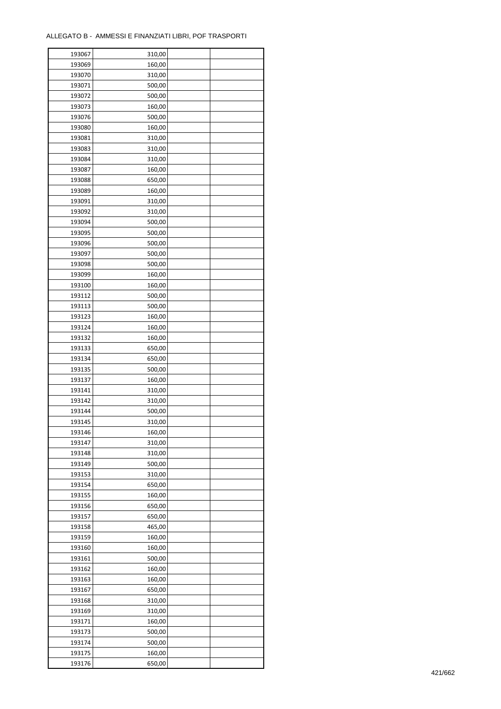| 193067 | 310,00 |  |
|--------|--------|--|
| 193069 | 160,00 |  |
| 193070 | 310,00 |  |
| 193071 | 500,00 |  |
| 193072 | 500,00 |  |
| 193073 | 160,00 |  |
| 193076 | 500,00 |  |
| 193080 | 160,00 |  |
| 193081 | 310,00 |  |
| 193083 | 310,00 |  |
| 193084 | 310,00 |  |
| 193087 |        |  |
|        | 160,00 |  |
| 193088 | 650,00 |  |
| 193089 | 160,00 |  |
| 193091 | 310,00 |  |
| 193092 | 310,00 |  |
| 193094 | 500,00 |  |
| 193095 | 500,00 |  |
| 193096 | 500,00 |  |
| 193097 | 500,00 |  |
| 193098 | 500,00 |  |
| 193099 | 160,00 |  |
| 193100 | 160,00 |  |
| 193112 | 500,00 |  |
| 193113 | 500,00 |  |
| 193123 | 160,00 |  |
| 193124 | 160,00 |  |
| 193132 | 160,00 |  |
| 193133 | 650,00 |  |
| 193134 | 650,00 |  |
| 193135 | 500,00 |  |
| 193137 | 160,00 |  |
| 193141 | 310,00 |  |
| 193142 | 310,00 |  |
| 193144 | 500,00 |  |
|        |        |  |
| 193145 | 310,00 |  |
| 193146 | 160,00 |  |
| 193147 | 310,00 |  |
| 193148 | 310,00 |  |
| 193149 | 500,00 |  |
| 193153 | 310,00 |  |
| 193154 | 650,00 |  |
| 193155 | 160,00 |  |
| 193156 | 650,00 |  |
| 193157 | 650,00 |  |
| 193158 | 465,00 |  |
| 193159 | 160,00 |  |
| 193160 | 160,00 |  |
| 193161 | 500,00 |  |
| 193162 | 160,00 |  |
| 193163 | 160,00 |  |
| 193167 | 650,00 |  |
| 193168 | 310,00 |  |
| 193169 | 310,00 |  |
| 193171 | 160,00 |  |
| 193173 | 500,00 |  |
|        | 500,00 |  |
| 193174 |        |  |
| 193175 | 160,00 |  |
| 193176 | 650,00 |  |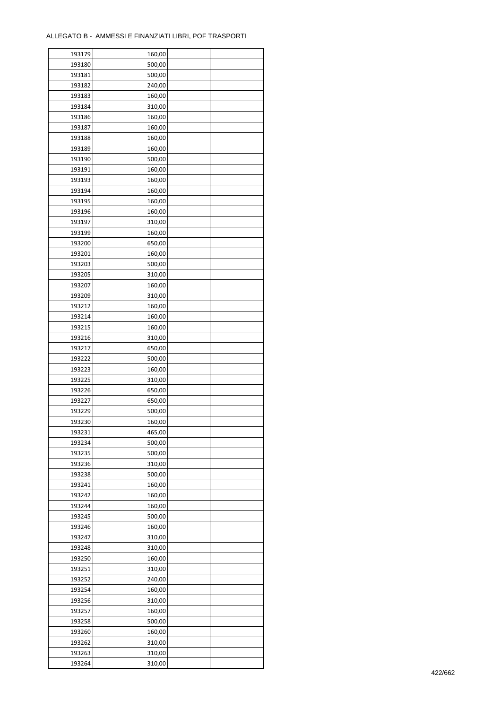| 193179 | 160,00 |  |
|--------|--------|--|
| 193180 | 500,00 |  |
| 193181 | 500,00 |  |
| 193182 | 240,00 |  |
| 193183 | 160,00 |  |
| 193184 | 310,00 |  |
| 193186 | 160,00 |  |
| 193187 | 160,00 |  |
| 193188 | 160,00 |  |
| 193189 | 160,00 |  |
| 193190 | 500,00 |  |
| 193191 | 160,00 |  |
| 193193 |        |  |
|        | 160,00 |  |
| 193194 | 160,00 |  |
| 193195 | 160,00 |  |
| 193196 | 160,00 |  |
| 193197 | 310,00 |  |
| 193199 | 160,00 |  |
| 193200 | 650,00 |  |
| 193201 | 160,00 |  |
| 193203 | 500,00 |  |
| 193205 | 310,00 |  |
| 193207 | 160,00 |  |
| 193209 | 310,00 |  |
| 193212 | 160,00 |  |
| 193214 | 160,00 |  |
| 193215 | 160,00 |  |
| 193216 | 310,00 |  |
| 193217 | 650,00 |  |
| 193222 | 500,00 |  |
| 193223 | 160,00 |  |
| 193225 | 310,00 |  |
| 193226 | 650,00 |  |
| 193227 | 650,00 |  |
| 193229 | 500,00 |  |
| 193230 | 160,00 |  |
| 193231 | 465,00 |  |
| 193234 | 500,00 |  |
| 193235 | 500,00 |  |
| 193236 | 310,00 |  |
| 193238 | 500,00 |  |
| 193241 | 160,00 |  |
| 193242 | 160,00 |  |
| 193244 | 160,00 |  |
| 193245 | 500,00 |  |
| 193246 | 160,00 |  |
| 193247 | 310,00 |  |
| 193248 | 310,00 |  |
| 193250 | 160,00 |  |
| 193251 | 310,00 |  |
| 193252 | 240,00 |  |
| 193254 | 160,00 |  |
| 193256 | 310,00 |  |
| 193257 | 160,00 |  |
| 193258 | 500,00 |  |
| 193260 | 160,00 |  |
| 193262 | 310,00 |  |
|        |        |  |
| 193263 | 310,00 |  |
| 193264 | 310,00 |  |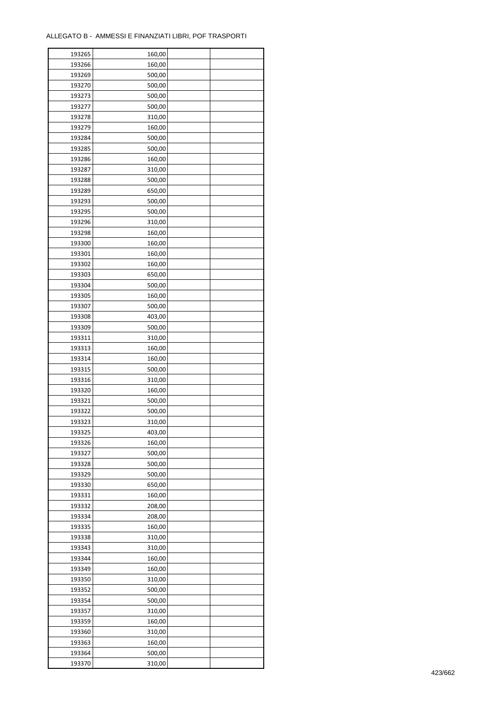| 193265 | 160,00 |  |
|--------|--------|--|
| 193266 | 160,00 |  |
| 193269 | 500,00 |  |
| 193270 | 500,00 |  |
| 193273 | 500,00 |  |
| 193277 | 500,00 |  |
| 193278 | 310,00 |  |
| 193279 | 160,00 |  |
| 193284 | 500,00 |  |
| 193285 | 500,00 |  |
| 193286 | 160,00 |  |
| 193287 | 310,00 |  |
| 193288 | 500,00 |  |
|        |        |  |
| 193289 | 650,00 |  |
| 193293 | 500,00 |  |
| 193295 | 500,00 |  |
| 193296 | 310,00 |  |
| 193298 | 160,00 |  |
| 193300 | 160,00 |  |
| 193301 | 160,00 |  |
| 193302 | 160,00 |  |
| 193303 | 650,00 |  |
| 193304 | 500,00 |  |
| 193305 | 160,00 |  |
| 193307 | 500,00 |  |
| 193308 | 403,00 |  |
| 193309 | 500,00 |  |
| 193311 | 310,00 |  |
| 193313 | 160,00 |  |
| 193314 | 160,00 |  |
| 193315 | 500,00 |  |
| 193316 | 310,00 |  |
| 193320 | 160,00 |  |
| 193321 | 500,00 |  |
| 193322 | 500,00 |  |
| 193323 | 310,00 |  |
| 193325 | 403,00 |  |
| 193326 | 160,00 |  |
| 193327 | 500,00 |  |
| 193328 | 500,00 |  |
| 193329 | 500,00 |  |
| 193330 | 650,00 |  |
| 193331 | 160,00 |  |
| 193332 | 208,00 |  |
| 193334 | 208,00 |  |
| 193335 | 160,00 |  |
| 193338 | 310,00 |  |
| 193343 | 310,00 |  |
| 193344 | 160,00 |  |
| 193349 | 160,00 |  |
| 193350 | 310,00 |  |
| 193352 | 500,00 |  |
| 193354 | 500,00 |  |
| 193357 | 310,00 |  |
| 193359 | 160,00 |  |
|        |        |  |
| 193360 | 310,00 |  |
| 193363 | 160,00 |  |
| 193364 | 500,00 |  |
| 193370 | 310,00 |  |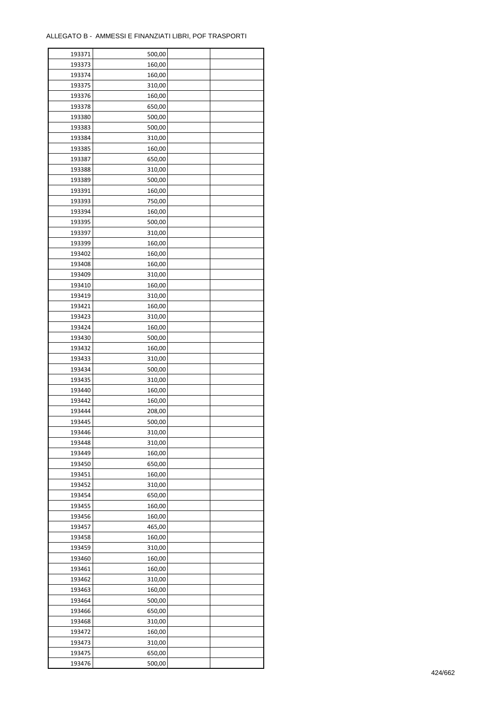| 193373<br>160,00<br>193374<br>160,00<br>193375<br>310,00<br>193376<br>160,00<br>193378<br>650,00<br>193380<br>500,00<br>193383<br>500,00<br>193384<br>310,00<br>193385<br>160,00<br>193387<br>650,00<br>193388<br>310,00<br>193389<br>500,00<br>193391<br>160,00<br>193393<br>750,00<br>193394<br>160,00<br>193395<br>500,00<br>193397<br>310,00<br>193399<br>160,00<br>193402<br>160,00<br>193408<br>160,00<br>193409<br>310,00<br>193410<br>160,00<br>193419<br>310,00<br>193421<br>160,00<br>193423<br>310,00<br>193424<br>160,00<br>193430<br>500,00<br>193432<br>160,00<br>193433<br>310,00<br>193434<br>500,00<br>193435<br>310,00<br>193440<br>160,00<br>193442<br>160,00<br>193444<br>208,00<br>193445<br>500,00<br>193446<br>310,00<br>193448<br>310,00<br>193449<br>160,00<br>193450<br>650,00<br>193451<br>160,00<br>193452<br>310,00<br>193454<br>650,00<br>193455<br>160,00<br>193456<br>160,00<br>193457<br>465,00<br>193458<br>160,00<br>193459<br>310,00<br>193460<br>160,00<br>193461<br>160,00<br>193462<br>310,00<br>193463<br>160,00<br>193464<br>500,00<br>193466<br>650,00<br>193468<br>310,00<br>160,00<br>193472<br>193473<br>310,00<br>193475<br>650,00<br>193476<br>500,00 | 193371 | 500,00 |  |
|------------------------------------------------------------------------------------------------------------------------------------------------------------------------------------------------------------------------------------------------------------------------------------------------------------------------------------------------------------------------------------------------------------------------------------------------------------------------------------------------------------------------------------------------------------------------------------------------------------------------------------------------------------------------------------------------------------------------------------------------------------------------------------------------------------------------------------------------------------------------------------------------------------------------------------------------------------------------------------------------------------------------------------------------------------------------------------------------------------------------------------------------------------------------------------------------------|--------|--------|--|
|                                                                                                                                                                                                                                                                                                                                                                                                                                                                                                                                                                                                                                                                                                                                                                                                                                                                                                                                                                                                                                                                                                                                                                                                      |        |        |  |
|                                                                                                                                                                                                                                                                                                                                                                                                                                                                                                                                                                                                                                                                                                                                                                                                                                                                                                                                                                                                                                                                                                                                                                                                      |        |        |  |
|                                                                                                                                                                                                                                                                                                                                                                                                                                                                                                                                                                                                                                                                                                                                                                                                                                                                                                                                                                                                                                                                                                                                                                                                      |        |        |  |
|                                                                                                                                                                                                                                                                                                                                                                                                                                                                                                                                                                                                                                                                                                                                                                                                                                                                                                                                                                                                                                                                                                                                                                                                      |        |        |  |
|                                                                                                                                                                                                                                                                                                                                                                                                                                                                                                                                                                                                                                                                                                                                                                                                                                                                                                                                                                                                                                                                                                                                                                                                      |        |        |  |
|                                                                                                                                                                                                                                                                                                                                                                                                                                                                                                                                                                                                                                                                                                                                                                                                                                                                                                                                                                                                                                                                                                                                                                                                      |        |        |  |
|                                                                                                                                                                                                                                                                                                                                                                                                                                                                                                                                                                                                                                                                                                                                                                                                                                                                                                                                                                                                                                                                                                                                                                                                      |        |        |  |
|                                                                                                                                                                                                                                                                                                                                                                                                                                                                                                                                                                                                                                                                                                                                                                                                                                                                                                                                                                                                                                                                                                                                                                                                      |        |        |  |
|                                                                                                                                                                                                                                                                                                                                                                                                                                                                                                                                                                                                                                                                                                                                                                                                                                                                                                                                                                                                                                                                                                                                                                                                      |        |        |  |
|                                                                                                                                                                                                                                                                                                                                                                                                                                                                                                                                                                                                                                                                                                                                                                                                                                                                                                                                                                                                                                                                                                                                                                                                      |        |        |  |
|                                                                                                                                                                                                                                                                                                                                                                                                                                                                                                                                                                                                                                                                                                                                                                                                                                                                                                                                                                                                                                                                                                                                                                                                      |        |        |  |
|                                                                                                                                                                                                                                                                                                                                                                                                                                                                                                                                                                                                                                                                                                                                                                                                                                                                                                                                                                                                                                                                                                                                                                                                      |        |        |  |
|                                                                                                                                                                                                                                                                                                                                                                                                                                                                                                                                                                                                                                                                                                                                                                                                                                                                                                                                                                                                                                                                                                                                                                                                      |        |        |  |
|                                                                                                                                                                                                                                                                                                                                                                                                                                                                                                                                                                                                                                                                                                                                                                                                                                                                                                                                                                                                                                                                                                                                                                                                      |        |        |  |
|                                                                                                                                                                                                                                                                                                                                                                                                                                                                                                                                                                                                                                                                                                                                                                                                                                                                                                                                                                                                                                                                                                                                                                                                      |        |        |  |
|                                                                                                                                                                                                                                                                                                                                                                                                                                                                                                                                                                                                                                                                                                                                                                                                                                                                                                                                                                                                                                                                                                                                                                                                      |        |        |  |
|                                                                                                                                                                                                                                                                                                                                                                                                                                                                                                                                                                                                                                                                                                                                                                                                                                                                                                                                                                                                                                                                                                                                                                                                      |        |        |  |
|                                                                                                                                                                                                                                                                                                                                                                                                                                                                                                                                                                                                                                                                                                                                                                                                                                                                                                                                                                                                                                                                                                                                                                                                      |        |        |  |
|                                                                                                                                                                                                                                                                                                                                                                                                                                                                                                                                                                                                                                                                                                                                                                                                                                                                                                                                                                                                                                                                                                                                                                                                      |        |        |  |
|                                                                                                                                                                                                                                                                                                                                                                                                                                                                                                                                                                                                                                                                                                                                                                                                                                                                                                                                                                                                                                                                                                                                                                                                      |        |        |  |
|                                                                                                                                                                                                                                                                                                                                                                                                                                                                                                                                                                                                                                                                                                                                                                                                                                                                                                                                                                                                                                                                                                                                                                                                      |        |        |  |
|                                                                                                                                                                                                                                                                                                                                                                                                                                                                                                                                                                                                                                                                                                                                                                                                                                                                                                                                                                                                                                                                                                                                                                                                      |        |        |  |
|                                                                                                                                                                                                                                                                                                                                                                                                                                                                                                                                                                                                                                                                                                                                                                                                                                                                                                                                                                                                                                                                                                                                                                                                      |        |        |  |
|                                                                                                                                                                                                                                                                                                                                                                                                                                                                                                                                                                                                                                                                                                                                                                                                                                                                                                                                                                                                                                                                                                                                                                                                      |        |        |  |
|                                                                                                                                                                                                                                                                                                                                                                                                                                                                                                                                                                                                                                                                                                                                                                                                                                                                                                                                                                                                                                                                                                                                                                                                      |        |        |  |
|                                                                                                                                                                                                                                                                                                                                                                                                                                                                                                                                                                                                                                                                                                                                                                                                                                                                                                                                                                                                                                                                                                                                                                                                      |        |        |  |
|                                                                                                                                                                                                                                                                                                                                                                                                                                                                                                                                                                                                                                                                                                                                                                                                                                                                                                                                                                                                                                                                                                                                                                                                      |        |        |  |
|                                                                                                                                                                                                                                                                                                                                                                                                                                                                                                                                                                                                                                                                                                                                                                                                                                                                                                                                                                                                                                                                                                                                                                                                      |        |        |  |
|                                                                                                                                                                                                                                                                                                                                                                                                                                                                                                                                                                                                                                                                                                                                                                                                                                                                                                                                                                                                                                                                                                                                                                                                      |        |        |  |
|                                                                                                                                                                                                                                                                                                                                                                                                                                                                                                                                                                                                                                                                                                                                                                                                                                                                                                                                                                                                                                                                                                                                                                                                      |        |        |  |
|                                                                                                                                                                                                                                                                                                                                                                                                                                                                                                                                                                                                                                                                                                                                                                                                                                                                                                                                                                                                                                                                                                                                                                                                      |        |        |  |
|                                                                                                                                                                                                                                                                                                                                                                                                                                                                                                                                                                                                                                                                                                                                                                                                                                                                                                                                                                                                                                                                                                                                                                                                      |        |        |  |
|                                                                                                                                                                                                                                                                                                                                                                                                                                                                                                                                                                                                                                                                                                                                                                                                                                                                                                                                                                                                                                                                                                                                                                                                      |        |        |  |
|                                                                                                                                                                                                                                                                                                                                                                                                                                                                                                                                                                                                                                                                                                                                                                                                                                                                                                                                                                                                                                                                                                                                                                                                      |        |        |  |
|                                                                                                                                                                                                                                                                                                                                                                                                                                                                                                                                                                                                                                                                                                                                                                                                                                                                                                                                                                                                                                                                                                                                                                                                      |        |        |  |
|                                                                                                                                                                                                                                                                                                                                                                                                                                                                                                                                                                                                                                                                                                                                                                                                                                                                                                                                                                                                                                                                                                                                                                                                      |        |        |  |
|                                                                                                                                                                                                                                                                                                                                                                                                                                                                                                                                                                                                                                                                                                                                                                                                                                                                                                                                                                                                                                                                                                                                                                                                      |        |        |  |
|                                                                                                                                                                                                                                                                                                                                                                                                                                                                                                                                                                                                                                                                                                                                                                                                                                                                                                                                                                                                                                                                                                                                                                                                      |        |        |  |
|                                                                                                                                                                                                                                                                                                                                                                                                                                                                                                                                                                                                                                                                                                                                                                                                                                                                                                                                                                                                                                                                                                                                                                                                      |        |        |  |
|                                                                                                                                                                                                                                                                                                                                                                                                                                                                                                                                                                                                                                                                                                                                                                                                                                                                                                                                                                                                                                                                                                                                                                                                      |        |        |  |
|                                                                                                                                                                                                                                                                                                                                                                                                                                                                                                                                                                                                                                                                                                                                                                                                                                                                                                                                                                                                                                                                                                                                                                                                      |        |        |  |
|                                                                                                                                                                                                                                                                                                                                                                                                                                                                                                                                                                                                                                                                                                                                                                                                                                                                                                                                                                                                                                                                                                                                                                                                      |        |        |  |
|                                                                                                                                                                                                                                                                                                                                                                                                                                                                                                                                                                                                                                                                                                                                                                                                                                                                                                                                                                                                                                                                                                                                                                                                      |        |        |  |
|                                                                                                                                                                                                                                                                                                                                                                                                                                                                                                                                                                                                                                                                                                                                                                                                                                                                                                                                                                                                                                                                                                                                                                                                      |        |        |  |
|                                                                                                                                                                                                                                                                                                                                                                                                                                                                                                                                                                                                                                                                                                                                                                                                                                                                                                                                                                                                                                                                                                                                                                                                      |        |        |  |
|                                                                                                                                                                                                                                                                                                                                                                                                                                                                                                                                                                                                                                                                                                                                                                                                                                                                                                                                                                                                                                                                                                                                                                                                      |        |        |  |
|                                                                                                                                                                                                                                                                                                                                                                                                                                                                                                                                                                                                                                                                                                                                                                                                                                                                                                                                                                                                                                                                                                                                                                                                      |        |        |  |
|                                                                                                                                                                                                                                                                                                                                                                                                                                                                                                                                                                                                                                                                                                                                                                                                                                                                                                                                                                                                                                                                                                                                                                                                      |        |        |  |
|                                                                                                                                                                                                                                                                                                                                                                                                                                                                                                                                                                                                                                                                                                                                                                                                                                                                                                                                                                                                                                                                                                                                                                                                      |        |        |  |
|                                                                                                                                                                                                                                                                                                                                                                                                                                                                                                                                                                                                                                                                                                                                                                                                                                                                                                                                                                                                                                                                                                                                                                                                      |        |        |  |
|                                                                                                                                                                                                                                                                                                                                                                                                                                                                                                                                                                                                                                                                                                                                                                                                                                                                                                                                                                                                                                                                                                                                                                                                      |        |        |  |
|                                                                                                                                                                                                                                                                                                                                                                                                                                                                                                                                                                                                                                                                                                                                                                                                                                                                                                                                                                                                                                                                                                                                                                                                      |        |        |  |
|                                                                                                                                                                                                                                                                                                                                                                                                                                                                                                                                                                                                                                                                                                                                                                                                                                                                                                                                                                                                                                                                                                                                                                                                      |        |        |  |
|                                                                                                                                                                                                                                                                                                                                                                                                                                                                                                                                                                                                                                                                                                                                                                                                                                                                                                                                                                                                                                                                                                                                                                                                      |        |        |  |
|                                                                                                                                                                                                                                                                                                                                                                                                                                                                                                                                                                                                                                                                                                                                                                                                                                                                                                                                                                                                                                                                                                                                                                                                      |        |        |  |
|                                                                                                                                                                                                                                                                                                                                                                                                                                                                                                                                                                                                                                                                                                                                                                                                                                                                                                                                                                                                                                                                                                                                                                                                      |        |        |  |
|                                                                                                                                                                                                                                                                                                                                                                                                                                                                                                                                                                                                                                                                                                                                                                                                                                                                                                                                                                                                                                                                                                                                                                                                      |        |        |  |
|                                                                                                                                                                                                                                                                                                                                                                                                                                                                                                                                                                                                                                                                                                                                                                                                                                                                                                                                                                                                                                                                                                                                                                                                      |        |        |  |
|                                                                                                                                                                                                                                                                                                                                                                                                                                                                                                                                                                                                                                                                                                                                                                                                                                                                                                                                                                                                                                                                                                                                                                                                      |        |        |  |
|                                                                                                                                                                                                                                                                                                                                                                                                                                                                                                                                                                                                                                                                                                                                                                                                                                                                                                                                                                                                                                                                                                                                                                                                      |        |        |  |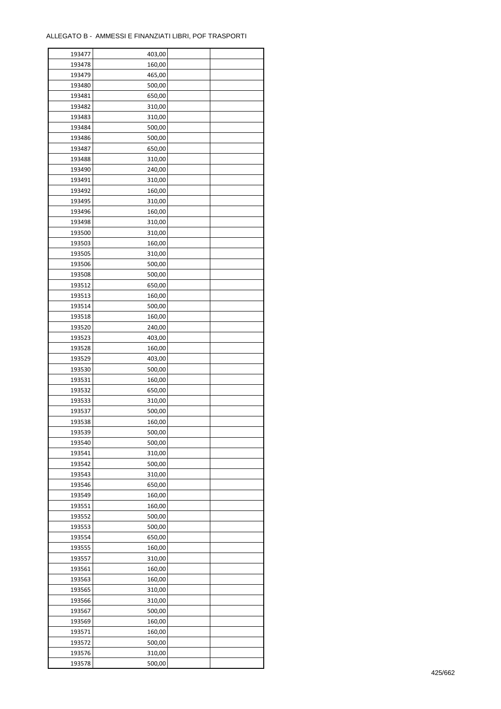| 193477 | 403,00 |  |
|--------|--------|--|
| 193478 | 160,00 |  |
| 193479 | 465,00 |  |
| 193480 | 500,00 |  |
| 193481 | 650,00 |  |
| 193482 | 310,00 |  |
| 193483 | 310,00 |  |
| 193484 | 500,00 |  |
| 193486 | 500,00 |  |
| 193487 | 650,00 |  |
|        |        |  |
| 193488 | 310,00 |  |
| 193490 | 240,00 |  |
| 193491 | 310,00 |  |
| 193492 | 160,00 |  |
| 193495 | 310,00 |  |
| 193496 | 160,00 |  |
| 193498 | 310,00 |  |
| 193500 | 310,00 |  |
| 193503 | 160,00 |  |
| 193505 | 310,00 |  |
| 193506 | 500,00 |  |
| 193508 | 500,00 |  |
| 193512 | 650,00 |  |
| 193513 | 160,00 |  |
| 193514 | 500,00 |  |
| 193518 | 160,00 |  |
| 193520 | 240,00 |  |
| 193523 | 403,00 |  |
| 193528 | 160,00 |  |
| 193529 | 403,00 |  |
| 193530 | 500,00 |  |
| 193531 | 160,00 |  |
| 193532 | 650,00 |  |
| 193533 | 310,00 |  |
| 193537 | 500,00 |  |
| 193538 |        |  |
|        | 160,00 |  |
| 193539 | 500,00 |  |
| 193540 | 500,00 |  |
| 193541 | 310,00 |  |
| 193542 | 500,00 |  |
| 193543 | 310,00 |  |
| 193546 | 650,00 |  |
| 193549 | 160,00 |  |
| 193551 | 160,00 |  |
| 193552 | 500,00 |  |
| 193553 | 500,00 |  |
| 193554 | 650,00 |  |
| 193555 | 160,00 |  |
| 193557 | 310,00 |  |
| 193561 | 160,00 |  |
| 193563 | 160,00 |  |
| 193565 | 310,00 |  |
| 193566 | 310,00 |  |
| 193567 | 500,00 |  |
| 193569 | 160,00 |  |
| 193571 | 160,00 |  |
| 193572 | 500,00 |  |
| 193576 | 310,00 |  |
| 193578 | 500,00 |  |
|        |        |  |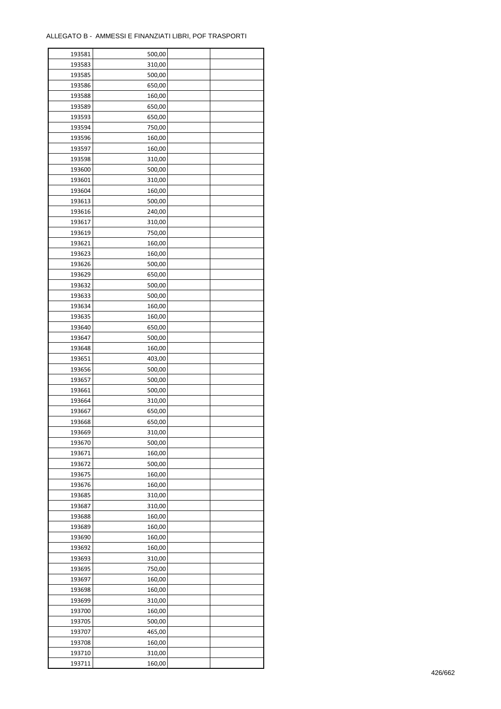| 193581 | 500,00 |  |
|--------|--------|--|
| 193583 | 310,00 |  |
| 193585 | 500,00 |  |
| 193586 | 650,00 |  |
| 193588 | 160,00 |  |
| 193589 | 650,00 |  |
| 193593 | 650,00 |  |
| 193594 | 750,00 |  |
| 193596 | 160,00 |  |
| 193597 | 160,00 |  |
| 193598 | 310,00 |  |
| 193600 | 500,00 |  |
| 193601 | 310,00 |  |
| 193604 | 160,00 |  |
|        |        |  |
| 193613 | 500,00 |  |
| 193616 | 240,00 |  |
| 193617 | 310,00 |  |
| 193619 | 750,00 |  |
| 193621 | 160,00 |  |
| 193623 | 160,00 |  |
| 193626 | 500,00 |  |
| 193629 | 650,00 |  |
| 193632 | 500,00 |  |
| 193633 | 500,00 |  |
| 193634 | 160,00 |  |
| 193635 | 160,00 |  |
| 193640 | 650,00 |  |
| 193647 | 500,00 |  |
| 193648 | 160,00 |  |
| 193651 | 403,00 |  |
| 193656 | 500,00 |  |
| 193657 | 500,00 |  |
| 193661 | 500,00 |  |
| 193664 | 310,00 |  |
| 193667 | 650,00 |  |
| 193668 | 650,00 |  |
| 193669 | 310,00 |  |
| 193670 | 500,00 |  |
| 193671 |        |  |
|        | 160,00 |  |
| 193672 | 500,00 |  |
| 193675 | 160,00 |  |
| 193676 | 160,00 |  |
| 193685 | 310,00 |  |
| 193687 | 310,00 |  |
| 193688 | 160,00 |  |
| 193689 | 160,00 |  |
| 193690 | 160,00 |  |
| 193692 | 160,00 |  |
| 193693 | 310,00 |  |
| 193695 | 750,00 |  |
| 193697 | 160,00 |  |
| 193698 | 160,00 |  |
| 193699 | 310,00 |  |
| 193700 | 160,00 |  |
| 193705 | 500,00 |  |
| 193707 | 465,00 |  |
| 193708 | 160,00 |  |
| 193710 | 310,00 |  |
| 193711 | 160,00 |  |
|        |        |  |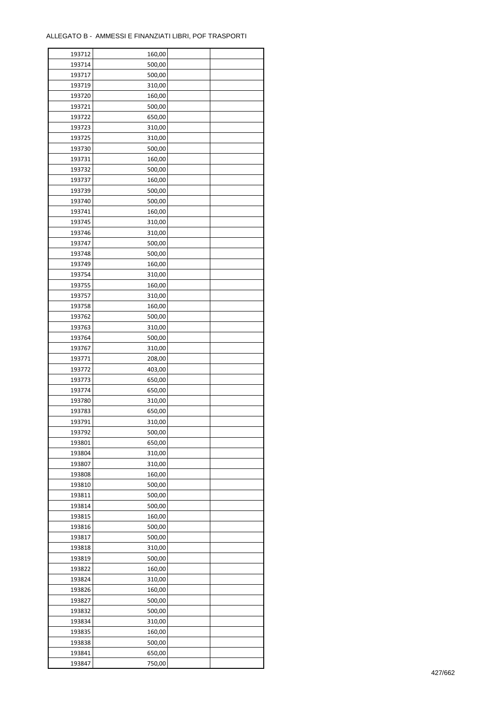| 193712 | 160,00 |  |
|--------|--------|--|
| 193714 | 500,00 |  |
| 193717 | 500,00 |  |
| 193719 | 310,00 |  |
| 193720 | 160,00 |  |
| 193721 | 500,00 |  |
| 193722 | 650,00 |  |
| 193723 | 310,00 |  |
| 193725 | 310,00 |  |
| 193730 | 500,00 |  |
|        |        |  |
| 193731 | 160,00 |  |
| 193732 | 500,00 |  |
| 193737 | 160,00 |  |
| 193739 | 500,00 |  |
| 193740 | 500,00 |  |
| 193741 | 160,00 |  |
| 193745 | 310,00 |  |
| 193746 | 310,00 |  |
| 193747 | 500,00 |  |
| 193748 | 500,00 |  |
| 193749 | 160,00 |  |
| 193754 | 310,00 |  |
| 193755 | 160,00 |  |
| 193757 | 310,00 |  |
| 193758 | 160,00 |  |
| 193762 | 500,00 |  |
| 193763 | 310,00 |  |
| 193764 |        |  |
|        | 500,00 |  |
| 193767 | 310,00 |  |
| 193771 | 208,00 |  |
| 193772 | 403,00 |  |
| 193773 | 650,00 |  |
| 193774 | 650,00 |  |
| 193780 | 310,00 |  |
| 193783 | 650,00 |  |
| 193791 | 310,00 |  |
| 193792 | 500,00 |  |
| 193801 | 650,00 |  |
| 193804 | 310,00 |  |
| 193807 | 310,00 |  |
| 193808 | 160,00 |  |
| 193810 | 500,00 |  |
| 193811 | 500,00 |  |
| 193814 | 500,00 |  |
| 193815 | 160,00 |  |
| 193816 | 500,00 |  |
| 193817 | 500,00 |  |
|        |        |  |
| 193818 | 310,00 |  |
| 193819 | 500,00 |  |
| 193822 | 160,00 |  |
| 193824 | 310,00 |  |
| 193826 | 160,00 |  |
| 193827 | 500,00 |  |
| 193832 | 500,00 |  |
| 193834 | 310,00 |  |
| 193835 | 160,00 |  |
| 193838 | 500,00 |  |
| 193841 | 650,00 |  |
| 193847 | 750,00 |  |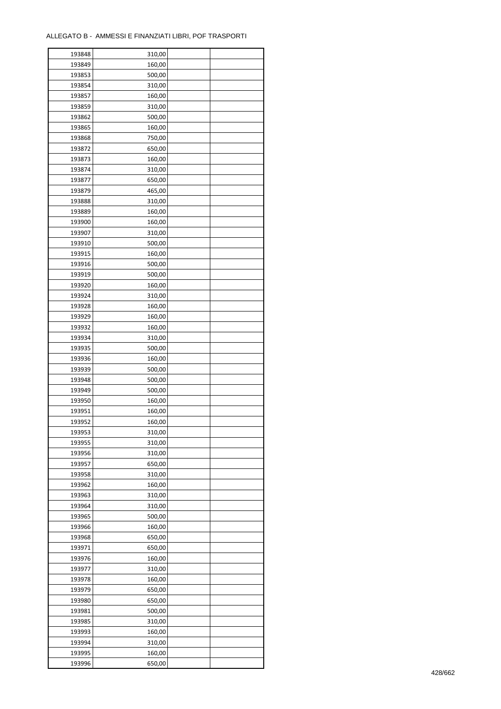ř

| 193848 | 310,00 |  |
|--------|--------|--|
| 193849 | 160,00 |  |
| 193853 | 500,00 |  |
| 193854 | 310,00 |  |
| 193857 | 160,00 |  |
| 193859 | 310,00 |  |
| 193862 | 500,00 |  |
| 193865 | 160,00 |  |
| 193868 | 750,00 |  |
|        |        |  |
| 193872 | 650,00 |  |
| 193873 | 160,00 |  |
| 193874 | 310,00 |  |
| 193877 | 650,00 |  |
| 193879 | 465,00 |  |
| 193888 | 310,00 |  |
| 193889 | 160,00 |  |
| 193900 | 160,00 |  |
| 193907 | 310,00 |  |
| 193910 | 500,00 |  |
| 193915 | 160,00 |  |
| 193916 | 500,00 |  |
| 193919 | 500,00 |  |
| 193920 | 160,00 |  |
| 193924 | 310,00 |  |
| 193928 | 160,00 |  |
| 193929 | 160,00 |  |
| 193932 | 160,00 |  |
| 193934 | 310,00 |  |
| 193935 | 500,00 |  |
| 193936 | 160,00 |  |
| 193939 | 500,00 |  |
| 193948 | 500,00 |  |
| 193949 | 500,00 |  |
| 193950 |        |  |
|        | 160,00 |  |
| 193951 | 160,00 |  |
| 193952 | 160,00 |  |
| 193953 | 310,00 |  |
| 193955 | 310,00 |  |
| 193956 | 310,00 |  |
| 193957 | 650,00 |  |
| 193958 | 310,00 |  |
| 193962 | 160,00 |  |
| 193963 | 310,00 |  |
| 193964 | 310,00 |  |
| 193965 | 500,00 |  |
| 193966 | 160,00 |  |
| 193968 | 650,00 |  |
| 193971 | 650,00 |  |
| 193976 | 160,00 |  |
| 193977 | 310,00 |  |
| 193978 | 160,00 |  |
| 193979 | 650,00 |  |
| 193980 | 650,00 |  |
| 193981 | 500,00 |  |
| 193985 | 310,00 |  |
| 193993 | 160,00 |  |
| 193994 | 310,00 |  |
|        |        |  |
| 193995 | 160,00 |  |
| 193996 | 650,00 |  |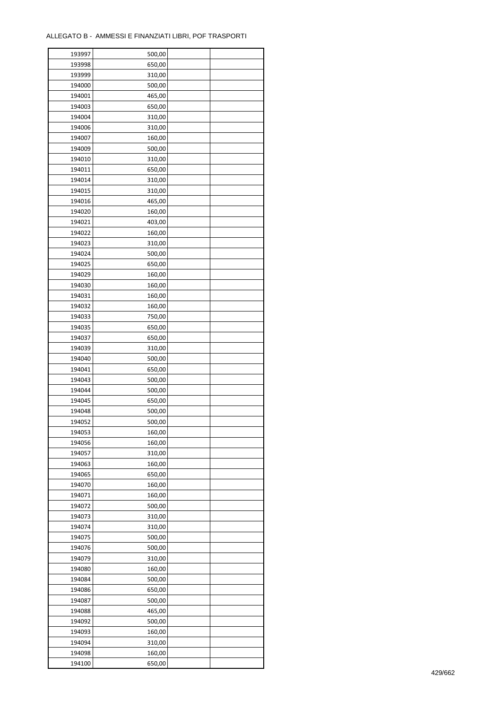| 193997           | 500,00 |  |
|------------------|--------|--|
| 193998           | 650,00 |  |
| 193999           | 310,00 |  |
| 194000           | 500,00 |  |
| 194001           | 465,00 |  |
| 194003           | 650,00 |  |
| 194004           | 310,00 |  |
| 194006           | 310,00 |  |
| 194007           | 160,00 |  |
| 194009           | 500,00 |  |
|                  |        |  |
| 194010<br>194011 | 310,00 |  |
|                  | 650,00 |  |
| 194014           | 310,00 |  |
| 194015           | 310,00 |  |
| 194016           | 465,00 |  |
| 194020           | 160,00 |  |
| 194021           | 403,00 |  |
| 194022           | 160,00 |  |
| 194023           | 310,00 |  |
| 194024           | 500,00 |  |
| 194025           | 650,00 |  |
| 194029           | 160,00 |  |
| 194030           | 160,00 |  |
| 194031           | 160,00 |  |
| 194032           | 160,00 |  |
| 194033           | 750,00 |  |
| 194035           | 650,00 |  |
| 194037           | 650,00 |  |
| 194039           | 310,00 |  |
| 194040           | 500,00 |  |
| 194041           | 650,00 |  |
| 194043           | 500,00 |  |
| 194044           | 500,00 |  |
| 194045           | 650,00 |  |
| 194048           | 500,00 |  |
| 194052           |        |  |
|                  | 500,00 |  |
| 194053           | 160,00 |  |
| 194056           | 160,00 |  |
| 194057           | 310,00 |  |
| 194063           | 160,00 |  |
| 194065           | 650,00 |  |
| 194070           | 160,00 |  |
| 194071           | 160,00 |  |
| 194072           | 500,00 |  |
| 194073           | 310,00 |  |
| 194074           | 310,00 |  |
| 194075           | 500,00 |  |
| 194076           | 500,00 |  |
| 194079           | 310,00 |  |
| 194080           | 160,00 |  |
| 194084           | 500,00 |  |
| 194086           | 650,00 |  |
| 194087           | 500,00 |  |
| 194088           | 465,00 |  |
| 194092           | 500,00 |  |
| 194093           | 160,00 |  |
| 194094           | 310,00 |  |
|                  |        |  |
| 194098           | 160,00 |  |
| 194100           | 650,00 |  |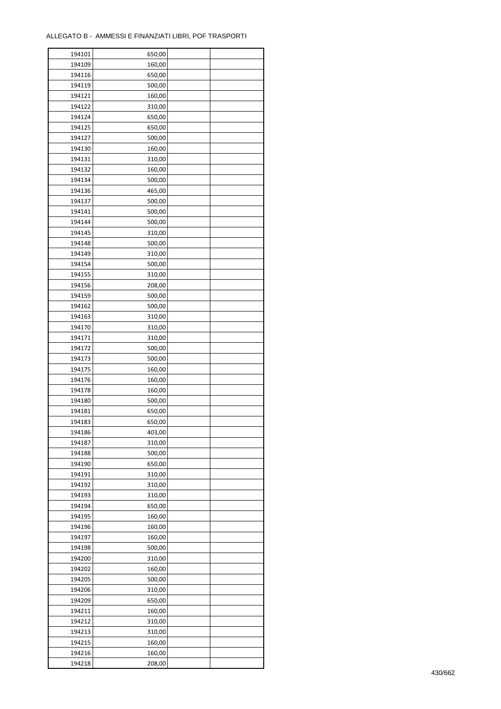| 194101 | 650,00 |  |
|--------|--------|--|
| 194109 | 160,00 |  |
| 194116 | 650,00 |  |
| 194119 | 500,00 |  |
| 194121 | 160,00 |  |
| 194122 | 310,00 |  |
| 194124 | 650,00 |  |
| 194125 | 650,00 |  |
| 194127 | 500,00 |  |
| 194130 | 160,00 |  |
|        | 310,00 |  |
| 194131 |        |  |
| 194132 | 160,00 |  |
| 194134 | 500,00 |  |
| 194136 | 465,00 |  |
| 194137 | 500,00 |  |
| 194141 | 500,00 |  |
| 194144 | 500,00 |  |
| 194145 | 310,00 |  |
| 194148 | 500,00 |  |
| 194149 | 310,00 |  |
| 194154 | 500,00 |  |
| 194155 | 310,00 |  |
| 194156 | 208,00 |  |
| 194159 | 500,00 |  |
| 194162 | 500,00 |  |
| 194163 | 310,00 |  |
| 194170 | 310,00 |  |
| 194171 | 310,00 |  |
| 194172 | 500,00 |  |
|        |        |  |
| 194173 | 500,00 |  |
| 194175 | 160,00 |  |
| 194176 | 160,00 |  |
| 194178 | 160,00 |  |
| 194180 | 500,00 |  |
| 194181 | 650,00 |  |
| 194183 | 650,00 |  |
| 194186 | 403,00 |  |
| 194187 | 310,00 |  |
| 194188 | 500,00 |  |
| 194190 | 650,00 |  |
| 194191 | 310,00 |  |
| 194192 | 310,00 |  |
| 194193 | 310,00 |  |
| 194194 | 650,00 |  |
| 194195 | 160,00 |  |
| 194196 | 160,00 |  |
| 194197 | 160,00 |  |
| 194198 | 500,00 |  |
| 194200 | 310,00 |  |
| 194202 | 160,00 |  |
| 194205 | 500,00 |  |
|        |        |  |
| 194206 | 310,00 |  |
| 194209 | 650,00 |  |
| 194211 | 160,00 |  |
| 194212 | 310,00 |  |
| 194213 | 310,00 |  |
| 194215 | 160,00 |  |
| 194216 | 160,00 |  |
| 194218 | 208,00 |  |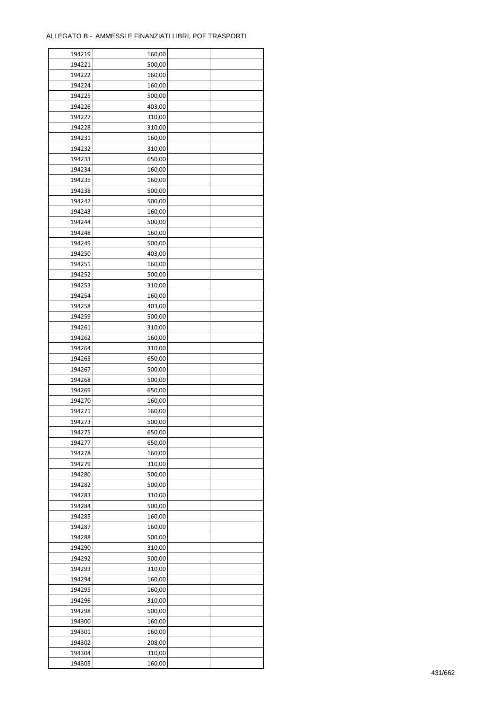| 194219 | 160,00 |  |
|--------|--------|--|
| 194221 | 500,00 |  |
| 194222 | 160,00 |  |
| 194224 | 160,00 |  |
| 194225 | 500,00 |  |
| 194226 | 403,00 |  |
| 194227 | 310,00 |  |
| 194228 | 310,00 |  |
| 194231 | 160,00 |  |
| 194232 | 310,00 |  |
| 194233 | 650,00 |  |
| 194234 | 160,00 |  |
|        |        |  |
| 194235 | 160,00 |  |
| 194238 | 500,00 |  |
| 194242 | 500,00 |  |
| 194243 | 160,00 |  |
| 194244 | 500,00 |  |
| 194248 | 160,00 |  |
| 194249 | 500,00 |  |
| 194250 | 403,00 |  |
| 194251 | 160,00 |  |
| 194252 | 500,00 |  |
| 194253 | 310,00 |  |
| 194254 | 160,00 |  |
| 194258 | 403,00 |  |
| 194259 | 500,00 |  |
| 194261 | 310,00 |  |
| 194262 | 160,00 |  |
| 194264 | 310,00 |  |
| 194265 | 650,00 |  |
| 194267 |        |  |
|        | 500,00 |  |
| 194268 | 500,00 |  |
| 194269 | 650,00 |  |
| 194270 | 160,00 |  |
| 194271 | 160,00 |  |
| 194273 | 500,00 |  |
| 194275 | 650,00 |  |
| 194277 | 650,00 |  |
| 194278 | 160,00 |  |
| 194279 | 310,00 |  |
| 194280 | 500,00 |  |
| 194282 | 500,00 |  |
| 194283 | 310,00 |  |
| 194284 | 500,00 |  |
| 194285 | 160,00 |  |
| 194287 | 160,00 |  |
| 194288 | 500,00 |  |
| 194290 | 310,00 |  |
| 194292 | 500,00 |  |
| 194293 | 310,00 |  |
| 194294 | 160,00 |  |
|        |        |  |
| 194295 | 160,00 |  |
| 194296 | 310,00 |  |
| 194298 | 500,00 |  |
| 194300 | 160,00 |  |
| 194301 | 160,00 |  |
| 194302 | 208,00 |  |
| 194304 | 310,00 |  |
| 194305 | 160,00 |  |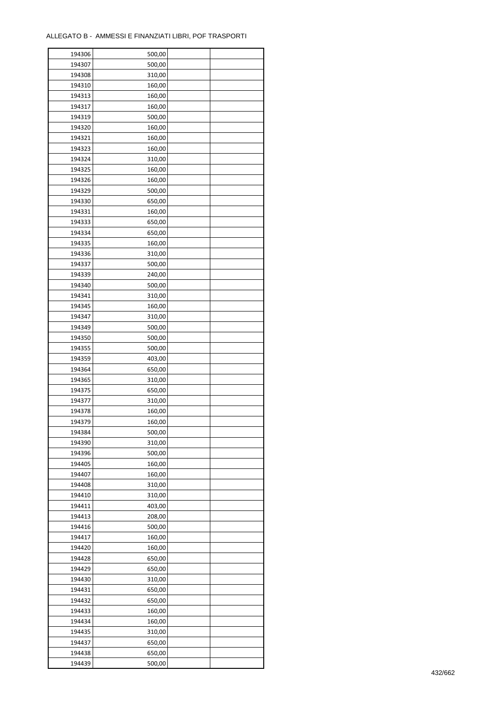| 194306 | 500,00 |  |
|--------|--------|--|
| 194307 | 500,00 |  |
| 194308 | 310,00 |  |
| 194310 | 160,00 |  |
| 194313 | 160,00 |  |
| 194317 | 160,00 |  |
| 194319 | 500,00 |  |
| 194320 | 160,00 |  |
| 194321 | 160,00 |  |
|        |        |  |
| 194323 | 160,00 |  |
| 194324 | 310,00 |  |
| 194325 | 160,00 |  |
| 194326 | 160,00 |  |
| 194329 | 500,00 |  |
| 194330 | 650,00 |  |
| 194331 | 160,00 |  |
| 194333 | 650,00 |  |
| 194334 | 650,00 |  |
| 194335 | 160,00 |  |
| 194336 | 310,00 |  |
| 194337 | 500,00 |  |
| 194339 | 240,00 |  |
| 194340 | 500,00 |  |
| 194341 | 310,00 |  |
| 194345 | 160,00 |  |
| 194347 | 310,00 |  |
| 194349 | 500,00 |  |
| 194350 | 500,00 |  |
| 194355 | 500,00 |  |
|        |        |  |
| 194359 | 403,00 |  |
| 194364 | 650,00 |  |
| 194365 | 310,00 |  |
| 194375 | 650,00 |  |
| 194377 | 310,00 |  |
| 194378 | 160,00 |  |
| 194379 | 160,00 |  |
| 194384 | 500,00 |  |
| 194390 | 310,00 |  |
| 194396 | 500,00 |  |
| 194405 | 160,00 |  |
| 194407 | 160,00 |  |
| 194408 | 310,00 |  |
| 194410 | 310,00 |  |
| 194411 | 403,00 |  |
| 194413 | 208,00 |  |
| 194416 | 500,00 |  |
| 194417 | 160,00 |  |
| 194420 | 160,00 |  |
| 194428 | 650,00 |  |
| 194429 | 650,00 |  |
|        |        |  |
| 194430 | 310,00 |  |
| 194431 | 650,00 |  |
| 194432 | 650,00 |  |
| 194433 | 160,00 |  |
| 194434 | 160,00 |  |
| 194435 | 310,00 |  |
| 194437 | 650,00 |  |
| 194438 | 650,00 |  |
| 194439 | 500,00 |  |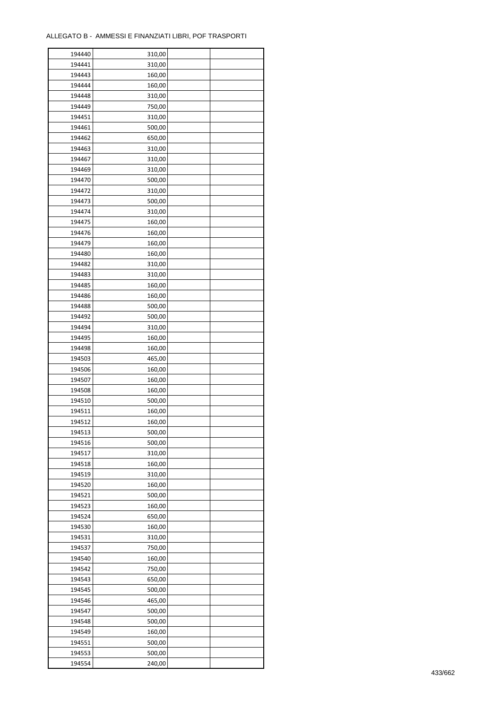| 194440 | 310,00 |  |
|--------|--------|--|
| 194441 | 310,00 |  |
| 194443 | 160,00 |  |
| 194444 | 160,00 |  |
| 194448 | 310,00 |  |
| 194449 | 750,00 |  |
| 194451 | 310,00 |  |
| 194461 | 500,00 |  |
| 194462 | 650,00 |  |
| 194463 |        |  |
|        | 310,00 |  |
| 194467 | 310,00 |  |
| 194469 | 310,00 |  |
| 194470 | 500,00 |  |
| 194472 | 310,00 |  |
| 194473 | 500,00 |  |
| 194474 | 310,00 |  |
| 194475 | 160,00 |  |
| 194476 | 160,00 |  |
| 194479 | 160,00 |  |
| 194480 | 160,00 |  |
| 194482 | 310,00 |  |
| 194483 | 310,00 |  |
| 194485 | 160,00 |  |
| 194486 | 160,00 |  |
| 194488 | 500,00 |  |
| 194492 | 500,00 |  |
| 194494 | 310,00 |  |
| 194495 |        |  |
|        | 160,00 |  |
| 194498 | 160,00 |  |
| 194503 | 465,00 |  |
| 194506 | 160,00 |  |
| 194507 | 160,00 |  |
| 194508 | 160,00 |  |
| 194510 | 500,00 |  |
| 194511 | 160,00 |  |
| 194512 | 160,00 |  |
| 194513 | 500,00 |  |
| 194516 | 500,00 |  |
| 194517 | 310,00 |  |
| 194518 | 160,00 |  |
| 194519 | 310,00 |  |
| 194520 | 160,00 |  |
| 194521 | 500,00 |  |
| 194523 | 160,00 |  |
| 194524 | 650,00 |  |
| 194530 | 160,00 |  |
| 194531 | 310,00 |  |
|        |        |  |
| 194537 | 750,00 |  |
| 194540 | 160,00 |  |
| 194542 | 750,00 |  |
| 194543 | 650,00 |  |
| 194545 | 500,00 |  |
| 194546 | 465,00 |  |
| 194547 | 500,00 |  |
| 194548 | 500,00 |  |
| 194549 | 160,00 |  |
| 194551 | 500,00 |  |
| 194553 | 500,00 |  |
| 194554 | 240,00 |  |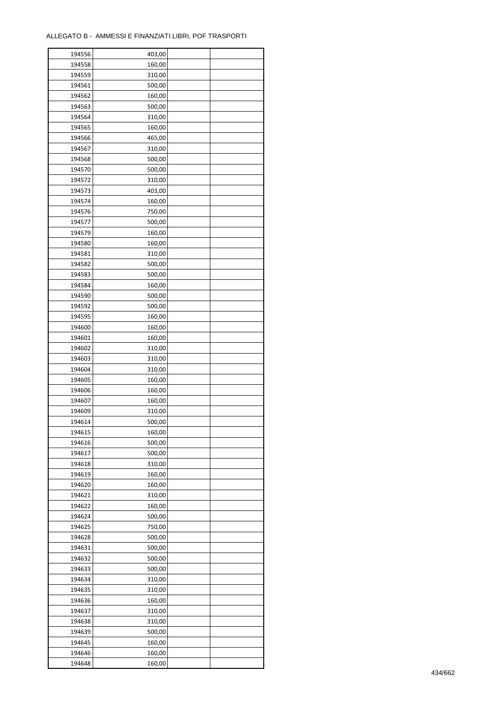| 194556 | 403,00 |  |
|--------|--------|--|
| 194558 | 160,00 |  |
| 194559 | 310,00 |  |
| 194561 | 500,00 |  |
| 194562 | 160,00 |  |
| 194563 | 500,00 |  |
| 194564 | 310,00 |  |
| 194565 | 160,00 |  |
|        | 465,00 |  |
| 194566 |        |  |
| 194567 | 310,00 |  |
| 194568 | 500,00 |  |
| 194570 | 500,00 |  |
| 194572 | 310,00 |  |
| 194573 | 403,00 |  |
| 194574 | 160,00 |  |
| 194576 | 750,00 |  |
| 194577 | 500,00 |  |
| 194579 | 160,00 |  |
| 194580 | 160,00 |  |
| 194581 | 310,00 |  |
| 194582 | 500,00 |  |
| 194583 | 500,00 |  |
| 194584 | 160,00 |  |
| 194590 | 500,00 |  |
| 194592 | 500,00 |  |
| 194595 | 160,00 |  |
| 194600 | 160,00 |  |
| 194601 | 160,00 |  |
| 194602 | 310,00 |  |
| 194603 | 310,00 |  |
| 194604 |        |  |
|        | 310,00 |  |
| 194605 | 160,00 |  |
| 194606 | 160,00 |  |
| 194607 | 160,00 |  |
| 194609 | 310,00 |  |
| 194614 | 500,00 |  |
| 194615 | 160,00 |  |
| 194616 | 500,00 |  |
| 194617 | 500,00 |  |
| 194618 | 310,00 |  |
| 194619 | 160,00 |  |
| 194620 | 160,00 |  |
| 194621 | 310,00 |  |
| 194622 | 160,00 |  |
| 194624 | 500,00 |  |
| 194625 | 750,00 |  |
| 194628 | 500,00 |  |
| 194631 | 500,00 |  |
| 194632 | 500,00 |  |
| 194633 | 500,00 |  |
| 194634 | 310,00 |  |
| 194635 | 310,00 |  |
| 194636 | 160,00 |  |
|        |        |  |
| 194637 | 310,00 |  |
| 194638 | 310,00 |  |
| 194639 | 500,00 |  |
| 194645 | 160,00 |  |
| 194646 | 160,00 |  |
| 194648 | 160,00 |  |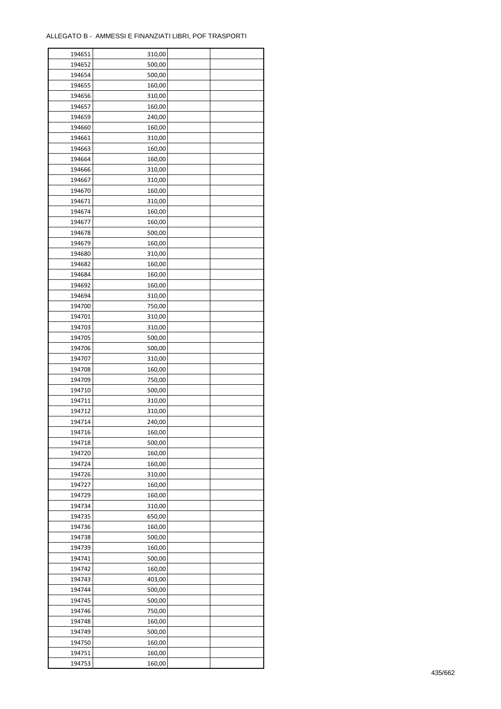| 194651 | 310,00 |  |
|--------|--------|--|
| 194652 | 500,00 |  |
| 194654 | 500,00 |  |
| 194655 | 160,00 |  |
| 194656 | 310,00 |  |
| 194657 | 160,00 |  |
| 194659 | 240,00 |  |
| 194660 | 160,00 |  |
| 194661 | 310,00 |  |
| 194663 | 160,00 |  |
| 194664 | 160,00 |  |
| 194666 | 310,00 |  |
| 194667 | 310,00 |  |
| 194670 | 160,00 |  |
|        |        |  |
| 194671 | 310,00 |  |
| 194674 | 160,00 |  |
| 194677 | 160,00 |  |
| 194678 | 500,00 |  |
| 194679 | 160,00 |  |
| 194680 | 310,00 |  |
| 194682 | 160,00 |  |
| 194684 | 160,00 |  |
| 194692 | 160,00 |  |
| 194694 | 310,00 |  |
| 194700 | 750,00 |  |
| 194701 | 310,00 |  |
| 194703 | 310,00 |  |
| 194705 | 500,00 |  |
| 194706 | 500,00 |  |
| 194707 | 310,00 |  |
| 194708 | 160,00 |  |
| 194709 | 750,00 |  |
| 194710 | 500,00 |  |
| 194711 | 310,00 |  |
| 194712 | 310,00 |  |
| 194714 | 240,00 |  |
| 194716 | 160,00 |  |
| 194718 | 500,00 |  |
| 194720 | 160,00 |  |
| 194724 | 160,00 |  |
| 194726 | 310,00 |  |
| 194727 | 160,00 |  |
| 194729 | 160,00 |  |
| 194734 | 310,00 |  |
| 194735 | 650,00 |  |
| 194736 |        |  |
|        | 160,00 |  |
| 194738 | 500,00 |  |
| 194739 | 160,00 |  |
| 194741 | 500,00 |  |
| 194742 | 160,00 |  |
| 194743 | 403,00 |  |
| 194744 | 500,00 |  |
| 194745 | 500,00 |  |
| 194746 | 750,00 |  |
| 194748 | 160,00 |  |
| 194749 | 500,00 |  |
| 194750 | 160,00 |  |
| 194751 | 160,00 |  |
| 194753 | 160,00 |  |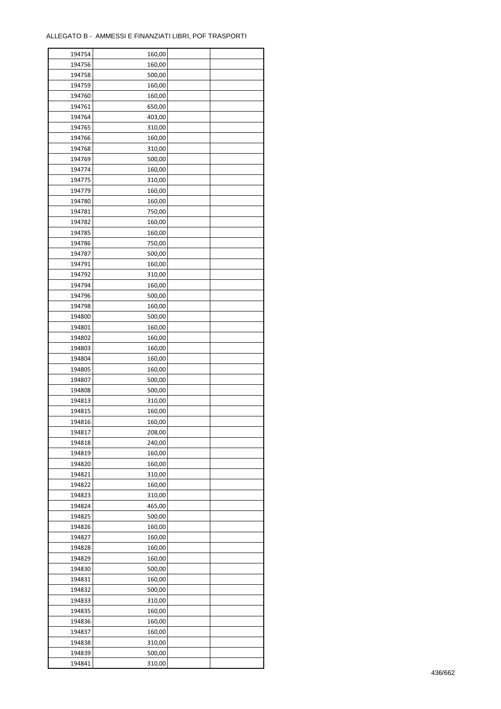| 194754           | 160,00 |  |
|------------------|--------|--|
| 194756           | 160,00 |  |
| 194758           | 500,00 |  |
| 194759           | 160,00 |  |
| 194760           | 160,00 |  |
| 194761           | 650,00 |  |
| 194764           | 403,00 |  |
| 194765           | 310,00 |  |
| 194766           | 160,00 |  |
| 194768           | 310,00 |  |
| 194769           | 500,00 |  |
| 194774           | 160,00 |  |
|                  |        |  |
| 194775           | 310,00 |  |
| 194779           | 160,00 |  |
| 194780           | 160,00 |  |
| 194781           | 750,00 |  |
| 194782           | 160,00 |  |
| 194785           | 160,00 |  |
| 194786           | 750,00 |  |
| 194787           | 500,00 |  |
| 194791           | 160,00 |  |
| 194792           | 310,00 |  |
| 194794           | 160,00 |  |
| 194796           | 500,00 |  |
| 194798           | 160,00 |  |
| 194800           | 500,00 |  |
| 194801           | 160,00 |  |
| 194802           | 160,00 |  |
| 194803           | 160,00 |  |
| 194804           | 160,00 |  |
| 194805           | 160,00 |  |
| 194807           | 500,00 |  |
| 194808           | 500,00 |  |
| 194813           | 310,00 |  |
| 194815           | 160,00 |  |
| 194816           | 160,00 |  |
| 194817           | 208,00 |  |
| 194818           | 240,00 |  |
| 194819           | 160,00 |  |
| 194820           | 160,00 |  |
| 194821           | 310,00 |  |
|                  |        |  |
| 194822<br>194823 | 160,00 |  |
|                  | 310,00 |  |
| 194824           | 465,00 |  |
| 194825           | 500,00 |  |
| 194826           | 160,00 |  |
| 194827           | 160,00 |  |
| 194828           | 160,00 |  |
| 194829           | 160,00 |  |
| 194830           | 500,00 |  |
| 194831           | 160,00 |  |
| 194832           | 500,00 |  |
| 194833           | 310,00 |  |
| 194835           | 160,00 |  |
| 194836           | 160,00 |  |
| 194837           | 160,00 |  |
| 194838           | 310,00 |  |
| 194839           | 500,00 |  |
| 194841           | 310,00 |  |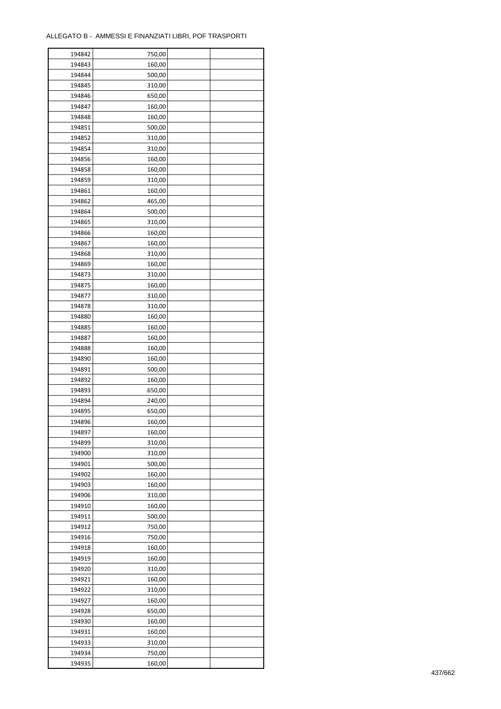| 194842 | 750,00 |  |
|--------|--------|--|
| 194843 | 160,00 |  |
| 194844 | 500,00 |  |
| 194845 | 310,00 |  |
| 194846 | 650,00 |  |
| 194847 | 160,00 |  |
| 194848 | 160,00 |  |
| 194851 | 500,00 |  |
| 194852 | 310,00 |  |
| 194854 |        |  |
| 194856 | 310,00 |  |
|        | 160,00 |  |
| 194858 | 160,00 |  |
| 194859 | 310,00 |  |
| 194861 | 160,00 |  |
| 194862 | 465,00 |  |
| 194864 | 500,00 |  |
| 194865 | 310,00 |  |
| 194866 | 160,00 |  |
| 194867 | 160,00 |  |
| 194868 | 310,00 |  |
| 194869 | 160,00 |  |
| 194873 | 310,00 |  |
| 194875 | 160,00 |  |
| 194877 | 310,00 |  |
| 194878 | 310,00 |  |
| 194880 | 160,00 |  |
| 194885 | 160,00 |  |
| 194887 | 160,00 |  |
| 194888 | 160,00 |  |
| 194890 | 160,00 |  |
| 194891 | 500,00 |  |
| 194892 | 160,00 |  |
| 194893 | 650,00 |  |
| 194894 | 240,00 |  |
| 194895 | 650,00 |  |
| 194896 | 160,00 |  |
|        |        |  |
| 194897 | 160,00 |  |
| 194899 | 310,00 |  |
| 194900 | 310,00 |  |
| 194901 | 500,00 |  |
| 194902 | 160,00 |  |
| 194903 | 160,00 |  |
| 194906 | 310,00 |  |
| 194910 | 160,00 |  |
| 194911 | 500,00 |  |
| 194912 | 750,00 |  |
| 194916 | 750,00 |  |
| 194918 | 160,00 |  |
| 194919 | 160,00 |  |
| 194920 | 310,00 |  |
| 194921 | 160,00 |  |
| 194922 | 310,00 |  |
| 194927 | 160,00 |  |
| 194928 | 650,00 |  |
| 194930 | 160,00 |  |
| 194931 | 160,00 |  |
| 194933 | 310,00 |  |
| 194934 | 750,00 |  |
| 194935 | 160,00 |  |
|        |        |  |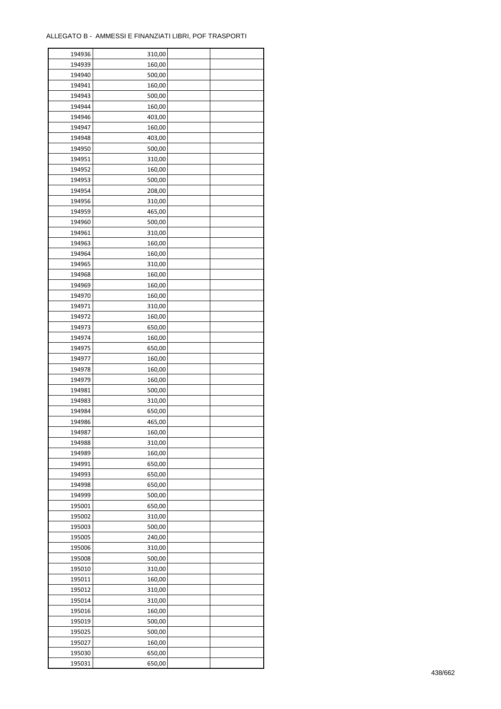| 194936 | 310,00 |  |
|--------|--------|--|
| 194939 | 160,00 |  |
| 194940 | 500,00 |  |
| 194941 | 160,00 |  |
| 194943 | 500,00 |  |
| 194944 | 160,00 |  |
| 194946 | 403,00 |  |
| 194947 | 160,00 |  |
| 194948 | 403,00 |  |
|        |        |  |
| 194950 | 500,00 |  |
| 194951 | 310,00 |  |
| 194952 | 160,00 |  |
| 194953 | 500,00 |  |
| 194954 | 208,00 |  |
| 194956 | 310,00 |  |
| 194959 | 465,00 |  |
| 194960 | 500,00 |  |
| 194961 | 310,00 |  |
| 194963 | 160,00 |  |
| 194964 | 160,00 |  |
| 194965 | 310,00 |  |
| 194968 | 160,00 |  |
| 194969 | 160,00 |  |
| 194970 | 160,00 |  |
| 194971 | 310,00 |  |
| 194972 | 160,00 |  |
| 194973 | 650,00 |  |
| 194974 | 160,00 |  |
| 194975 | 650,00 |  |
| 194977 | 160,00 |  |
|        |        |  |
| 194978 | 160,00 |  |
| 194979 | 160,00 |  |
| 194981 | 500,00 |  |
| 194983 | 310,00 |  |
| 194984 | 650,00 |  |
| 194986 | 465,00 |  |
| 194987 | 160,00 |  |
| 194988 | 310,00 |  |
| 194989 | 160,00 |  |
| 194991 | 650,00 |  |
| 194993 | 650,00 |  |
| 194998 | 650,00 |  |
| 194999 | 500,00 |  |
| 195001 | 650,00 |  |
| 195002 | 310,00 |  |
| 195003 | 500,00 |  |
| 195005 | 240,00 |  |
| 195006 | 310,00 |  |
| 195008 | 500,00 |  |
| 195010 | 310,00 |  |
| 195011 | 160,00 |  |
| 195012 |        |  |
|        | 310,00 |  |
| 195014 | 310,00 |  |
| 195016 | 160,00 |  |
| 195019 | 500,00 |  |
| 195025 | 500,00 |  |
| 195027 | 160,00 |  |
| 195030 | 650,00 |  |
| 195031 | 650,00 |  |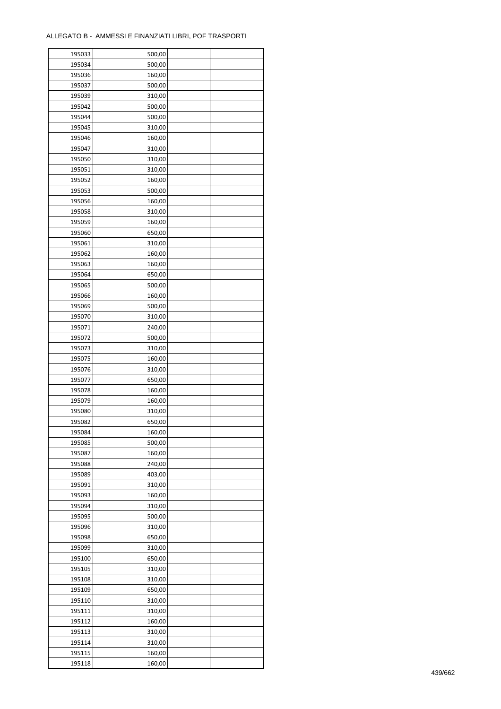| 195033 | 500,00 |  |
|--------|--------|--|
| 195034 | 500,00 |  |
| 195036 | 160,00 |  |
| 195037 | 500,00 |  |
| 195039 | 310,00 |  |
| 195042 | 500,00 |  |
| 195044 | 500,00 |  |
| 195045 | 310,00 |  |
| 195046 | 160,00 |  |
| 195047 | 310,00 |  |
| 195050 | 310,00 |  |
| 195051 | 310,00 |  |
| 195052 | 160,00 |  |
|        |        |  |
| 195053 | 500,00 |  |
| 195056 | 160,00 |  |
| 195058 | 310,00 |  |
| 195059 | 160,00 |  |
| 195060 | 650,00 |  |
| 195061 | 310,00 |  |
| 195062 | 160,00 |  |
| 195063 | 160,00 |  |
| 195064 | 650,00 |  |
| 195065 | 500,00 |  |
| 195066 | 160,00 |  |
| 195069 | 500,00 |  |
| 195070 | 310,00 |  |
| 195071 | 240,00 |  |
| 195072 | 500,00 |  |
| 195073 | 310,00 |  |
| 195075 | 160,00 |  |
| 195076 | 310,00 |  |
| 195077 | 650,00 |  |
| 195078 | 160,00 |  |
| 195079 | 160,00 |  |
| 195080 | 310,00 |  |
| 195082 | 650,00 |  |
| 195084 | 160,00 |  |
| 195085 | 500,00 |  |
| 195087 | 160,00 |  |
| 195088 | 240,00 |  |
| 195089 | 403,00 |  |
| 195091 | 310,00 |  |
| 195093 | 160,00 |  |
| 195094 | 310,00 |  |
| 195095 | 500,00 |  |
| 195096 | 310,00 |  |
| 195098 | 650,00 |  |
| 195099 | 310,00 |  |
| 195100 | 650,00 |  |
| 195105 | 310,00 |  |
| 195108 | 310,00 |  |
| 195109 | 650,00 |  |
| 195110 | 310,00 |  |
| 195111 | 310,00 |  |
| 195112 | 160,00 |  |
| 195113 | 310,00 |  |
| 195114 | 310,00 |  |
| 195115 | 160,00 |  |
| 195118 | 160,00 |  |
|        |        |  |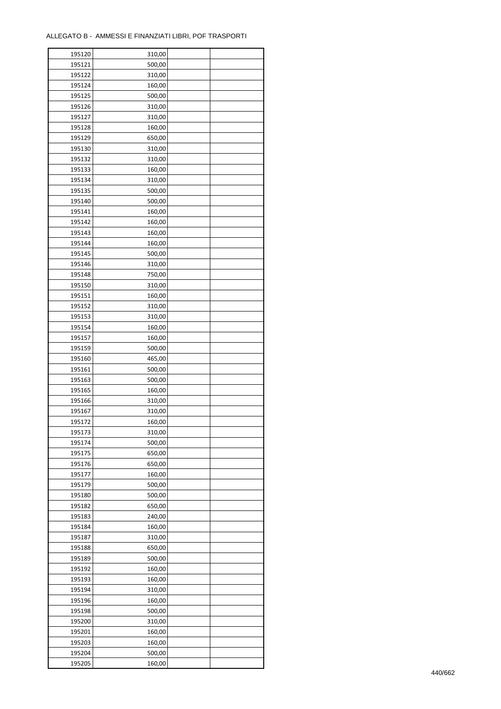÷

| 195120 | 310,00 |  |
|--------|--------|--|
| 195121 | 500,00 |  |
| 195122 | 310,00 |  |
| 195124 | 160,00 |  |
| 195125 | 500,00 |  |
| 195126 | 310,00 |  |
| 195127 | 310,00 |  |
| 195128 | 160,00 |  |
| 195129 | 650,00 |  |
| 195130 | 310,00 |  |
| 195132 |        |  |
|        | 310,00 |  |
| 195133 | 160,00 |  |
| 195134 | 310,00 |  |
| 195135 | 500,00 |  |
| 195140 | 500,00 |  |
| 195141 | 160,00 |  |
| 195142 | 160,00 |  |
| 195143 | 160,00 |  |
| 195144 | 160,00 |  |
| 195145 | 500,00 |  |
| 195146 | 310,00 |  |
| 195148 | 750,00 |  |
| 195150 | 310,00 |  |
| 195151 | 160,00 |  |
| 195152 | 310,00 |  |
| 195153 | 310,00 |  |
| 195154 | 160,00 |  |
| 195157 | 160,00 |  |
| 195159 | 500,00 |  |
| 195160 | 465,00 |  |
| 195161 | 500,00 |  |
| 195163 | 500,00 |  |
|        |        |  |
| 195165 | 160,00 |  |
| 195166 | 310,00 |  |
| 195167 | 310,00 |  |
| 195172 | 160,00 |  |
| 195173 | 310,00 |  |
| 195174 | 500,00 |  |
| 195175 | 650,00 |  |
| 195176 | 650,00 |  |
| 195177 | 160,00 |  |
| 195179 | 500,00 |  |
| 195180 | 500,00 |  |
| 195182 | 650,00 |  |
| 195183 | 240,00 |  |
| 195184 | 160,00 |  |
| 195187 | 310,00 |  |
| 195188 | 650,00 |  |
| 195189 | 500,00 |  |
| 195192 | 160,00 |  |
| 195193 | 160,00 |  |
| 195194 | 310,00 |  |
| 195196 | 160,00 |  |
|        |        |  |
| 195198 | 500,00 |  |
| 195200 | 310,00 |  |
| 195201 | 160,00 |  |
| 195203 | 160,00 |  |
| 195204 | 500,00 |  |
| 195205 | 160,00 |  |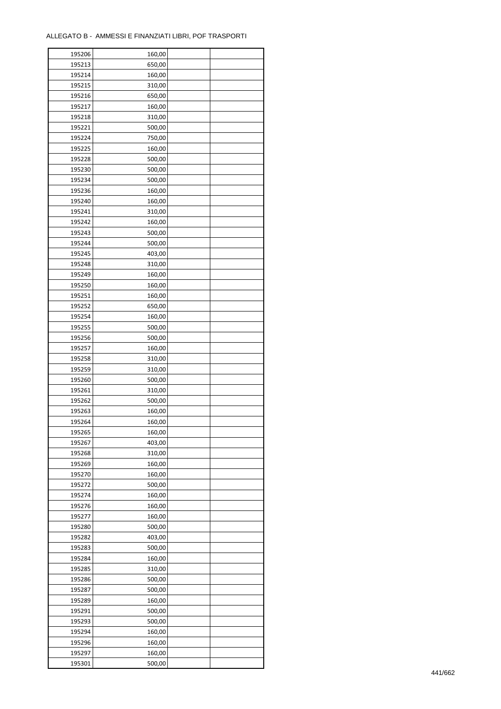| 195206           | 160,00           |  |
|------------------|------------------|--|
| 195213           | 650,00           |  |
| 195214           | 160,00           |  |
| 195215           | 310,00           |  |
| 195216           | 650,00           |  |
| 195217           | 160,00           |  |
| 195218           | 310,00           |  |
| 195221           | 500,00           |  |
| 195224           | 750,00           |  |
| 195225           | 160,00           |  |
| 195228           | 500,00           |  |
| 195230           | 500,00           |  |
| 195234           | 500,00           |  |
| 195236           | 160,00           |  |
| 195240           | 160,00           |  |
| 195241           | 310,00           |  |
| 195242           | 160,00           |  |
| 195243           | 500,00           |  |
| 195244           | 500,00           |  |
| 195245           | 403,00           |  |
|                  |                  |  |
| 195248<br>195249 | 310,00           |  |
|                  | 160,00<br>160,00 |  |
| 195250           |                  |  |
| 195251           | 160,00           |  |
| 195252           | 650,00           |  |
| 195254           | 160,00           |  |
| 195255           | 500,00           |  |
| 195256           | 500,00           |  |
| 195257           | 160,00           |  |
| 195258           | 310,00           |  |
| 195259           | 310,00           |  |
| 195260           | 500,00           |  |
| 195261<br>195262 | 310,00<br>500,00 |  |
| 195263           | 160,00           |  |
| 195264           | 160,00           |  |
| 195265           | 160,00           |  |
| 195267           | 403,00           |  |
| 195268           | 310,00           |  |
| 195269           | 160,00           |  |
| 195270           | 160,00           |  |
| 195272           | 500,00           |  |
| 195274           | 160,00           |  |
| 195276           | 160,00           |  |
| 195277           | 160,00           |  |
| 195280           |                  |  |
|                  | 500,00           |  |
| 195282<br>195283 | 403,00<br>500,00 |  |
| 195284           |                  |  |
| 195285           | 160,00           |  |
|                  | 310,00           |  |
| 195286           | 500,00<br>500,00 |  |
| 195287<br>195289 | 160,00           |  |
|                  |                  |  |
| 195291           | 500,00           |  |
| 195293           | 500,00           |  |
| 195294           | 160,00           |  |
| 195296           | 160,00           |  |
| 195297           | 160,00           |  |
| 195301           | 500,00           |  |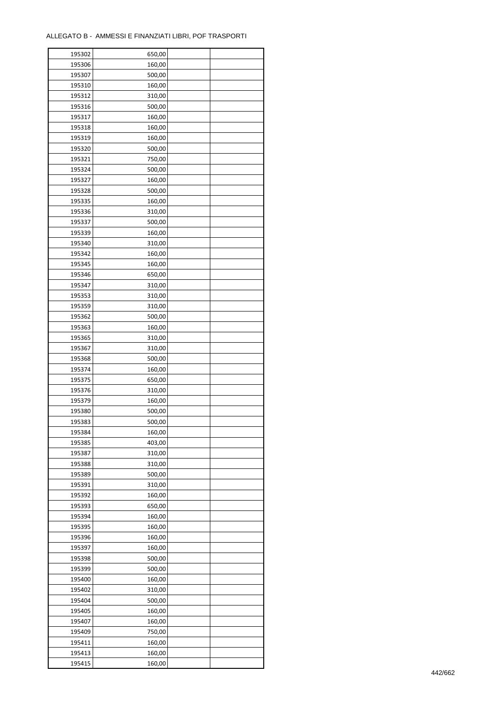| 195302 | 650,00 |  |
|--------|--------|--|
| 195306 | 160,00 |  |
| 195307 | 500,00 |  |
| 195310 | 160,00 |  |
| 195312 | 310,00 |  |
| 195316 | 500,00 |  |
| 195317 | 160,00 |  |
| 195318 | 160,00 |  |
| 195319 |        |  |
|        | 160,00 |  |
| 195320 | 500,00 |  |
| 195321 | 750,00 |  |
| 195324 | 500,00 |  |
| 195327 | 160,00 |  |
| 195328 | 500,00 |  |
| 195335 | 160,00 |  |
| 195336 | 310,00 |  |
| 195337 | 500,00 |  |
| 195339 | 160,00 |  |
| 195340 | 310,00 |  |
| 195342 | 160,00 |  |
| 195345 | 160,00 |  |
| 195346 | 650,00 |  |
| 195347 | 310,00 |  |
| 195353 | 310,00 |  |
| 195359 | 310,00 |  |
| 195362 | 500,00 |  |
| 195363 | 160,00 |  |
| 195365 | 310,00 |  |
| 195367 | 310,00 |  |
| 195368 | 500,00 |  |
| 195374 |        |  |
|        | 160,00 |  |
| 195375 | 650,00 |  |
| 195376 | 310,00 |  |
| 195379 | 160,00 |  |
| 195380 | 500,00 |  |
| 195383 | 500,00 |  |
| 195384 | 160,00 |  |
| 195385 | 403,00 |  |
| 195387 | 310,00 |  |
| 195388 | 310,00 |  |
| 195389 | 500,00 |  |
| 195391 | 310,00 |  |
| 195392 | 160,00 |  |
| 195393 | 650,00 |  |
| 195394 | 160,00 |  |
| 195395 | 160,00 |  |
| 195396 | 160,00 |  |
| 195397 | 160,00 |  |
| 195398 | 500,00 |  |
| 195399 | 500,00 |  |
| 195400 | 160,00 |  |
| 195402 | 310,00 |  |
| 195404 | 500,00 |  |
|        |        |  |
| 195405 | 160,00 |  |
| 195407 | 160,00 |  |
| 195409 | 750,00 |  |
| 195411 | 160,00 |  |
| 195413 | 160,00 |  |
| 195415 | 160,00 |  |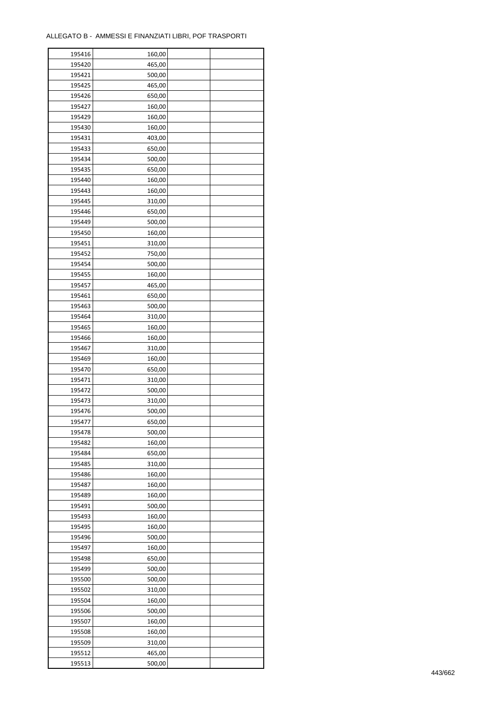| 195416 | 160,00 |  |
|--------|--------|--|
| 195420 | 465,00 |  |
| 195421 | 500,00 |  |
| 195425 | 465,00 |  |
| 195426 | 650,00 |  |
| 195427 | 160,00 |  |
| 195429 | 160,00 |  |
| 195430 | 160,00 |  |
| 195431 | 403,00 |  |
| 195433 | 650,00 |  |
| 195434 | 500,00 |  |
| 195435 | 650,00 |  |
| 195440 |        |  |
|        | 160,00 |  |
| 195443 | 160,00 |  |
| 195445 | 310,00 |  |
| 195446 | 650,00 |  |
| 195449 | 500,00 |  |
| 195450 | 160,00 |  |
| 195451 | 310,00 |  |
| 195452 | 750,00 |  |
| 195454 | 500,00 |  |
| 195455 | 160,00 |  |
| 195457 | 465,00 |  |
| 195461 | 650,00 |  |
| 195463 | 500,00 |  |
| 195464 | 310,00 |  |
| 195465 | 160,00 |  |
| 195466 | 160,00 |  |
| 195467 | 310,00 |  |
| 195469 | 160,00 |  |
| 195470 | 650,00 |  |
| 195471 | 310,00 |  |
| 195472 | 500,00 |  |
| 195473 | 310,00 |  |
| 195476 | 500,00 |  |
| 195477 | 650,00 |  |
| 195478 | 500,00 |  |
| 195482 | 160,00 |  |
| 195484 | 650,00 |  |
| 195485 | 310,00 |  |
| 195486 | 160,00 |  |
| 195487 | 160,00 |  |
| 195489 | 160,00 |  |
| 195491 | 500,00 |  |
| 195493 | 160,00 |  |
| 195495 | 160,00 |  |
| 195496 | 500,00 |  |
| 195497 | 160,00 |  |
| 195498 | 650,00 |  |
| 195499 | 500,00 |  |
| 195500 | 500,00 |  |
| 195502 | 310,00 |  |
| 195504 | 160,00 |  |
| 195506 | 500,00 |  |
| 195507 | 160,00 |  |
| 195508 | 160,00 |  |
| 195509 | 310,00 |  |
|        |        |  |
| 195512 | 465,00 |  |
| 195513 | 500,00 |  |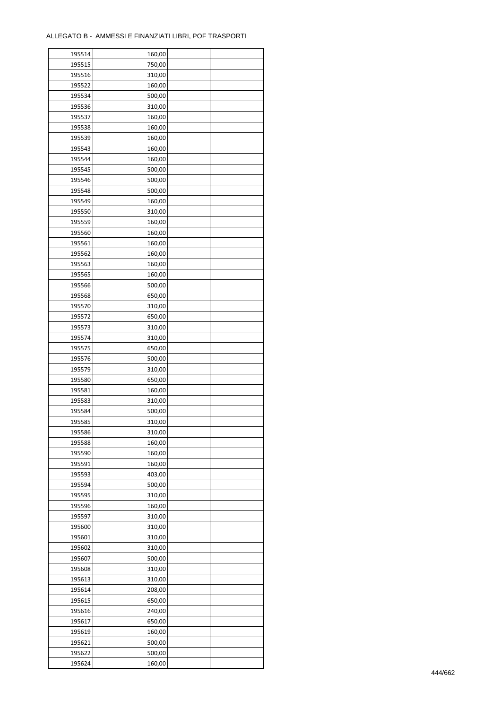| 195514 | 160,00 |  |
|--------|--------|--|
| 195515 | 750,00 |  |
| 195516 | 310,00 |  |
| 195522 | 160,00 |  |
| 195534 | 500,00 |  |
| 195536 | 310,00 |  |
| 195537 | 160,00 |  |
| 195538 | 160,00 |  |
| 195539 | 160,00 |  |
| 195543 | 160,00 |  |
| 195544 | 160,00 |  |
| 195545 | 500,00 |  |
| 195546 | 500,00 |  |
| 195548 | 500,00 |  |
| 195549 | 160,00 |  |
|        |        |  |
| 195550 | 310,00 |  |
| 195559 | 160,00 |  |
| 195560 | 160,00 |  |
| 195561 | 160,00 |  |
| 195562 | 160,00 |  |
| 195563 | 160,00 |  |
| 195565 | 160,00 |  |
| 195566 | 500,00 |  |
| 195568 | 650,00 |  |
| 195570 | 310,00 |  |
| 195572 | 650,00 |  |
| 195573 | 310,00 |  |
| 195574 | 310,00 |  |
| 195575 | 650,00 |  |
| 195576 | 500,00 |  |
| 195579 | 310,00 |  |
| 195580 | 650,00 |  |
| 195581 | 160,00 |  |
| 195583 | 310,00 |  |
| 195584 | 500,00 |  |
| 195585 | 310,00 |  |
| 195586 | 310,00 |  |
| 195588 | 160,00 |  |
| 195590 | 160,00 |  |
| 195591 | 160,00 |  |
| 195593 | 403,00 |  |
| 195594 | 500,00 |  |
| 195595 | 310,00 |  |
| 195596 | 160,00 |  |
| 195597 | 310,00 |  |
| 195600 | 310,00 |  |
| 195601 | 310,00 |  |
| 195602 | 310,00 |  |
| 195607 | 500,00 |  |
| 195608 | 310,00 |  |
| 195613 | 310,00 |  |
| 195614 | 208,00 |  |
| 195615 | 650,00 |  |
|        |        |  |
| 195616 | 240,00 |  |
| 195617 | 650,00 |  |
| 195619 | 160,00 |  |
| 195621 | 500,00 |  |
| 195622 | 500,00 |  |
| 195624 | 160,00 |  |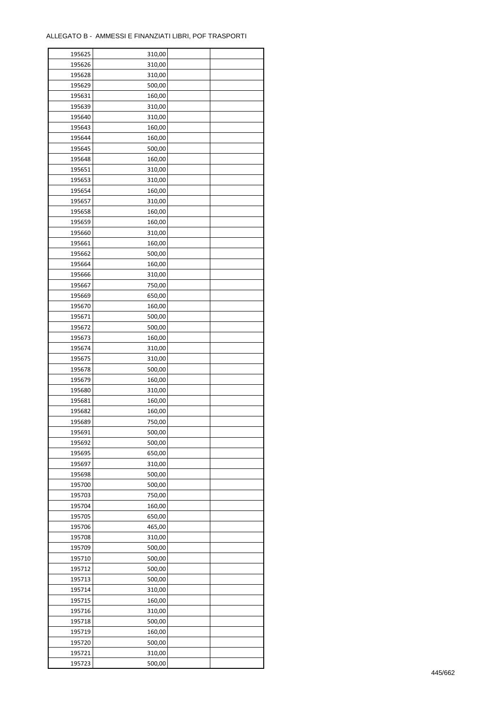| 195625 | 310,00 |  |
|--------|--------|--|
| 195626 | 310,00 |  |
| 195628 | 310,00 |  |
| 195629 | 500,00 |  |
| 195631 | 160,00 |  |
| 195639 | 310,00 |  |
| 195640 | 310,00 |  |
| 195643 | 160,00 |  |
| 195644 | 160,00 |  |
| 195645 | 500,00 |  |
| 195648 |        |  |
|        | 160,00 |  |
| 195651 | 310,00 |  |
| 195653 | 310,00 |  |
| 195654 | 160,00 |  |
| 195657 | 310,00 |  |
| 195658 | 160,00 |  |
| 195659 | 160,00 |  |
| 195660 | 310,00 |  |
| 195661 | 160,00 |  |
| 195662 | 500,00 |  |
| 195664 | 160,00 |  |
| 195666 | 310,00 |  |
| 195667 | 750,00 |  |
| 195669 | 650,00 |  |
| 195670 | 160,00 |  |
| 195671 | 500,00 |  |
| 195672 | 500,00 |  |
| 195673 | 160,00 |  |
| 195674 | 310,00 |  |
| 195675 | 310,00 |  |
| 195678 | 500,00 |  |
| 195679 | 160,00 |  |
| 195680 | 310,00 |  |
| 195681 | 160,00 |  |
| 195682 | 160,00 |  |
| 195689 |        |  |
|        | 750,00 |  |
| 195691 | 500,00 |  |
| 195692 | 500,00 |  |
| 195695 | 650,00 |  |
| 195697 | 310,00 |  |
| 195698 | 500,00 |  |
| 195700 | 500,00 |  |
| 195703 | 750,00 |  |
| 195704 | 160,00 |  |
| 195705 | 650,00 |  |
| 195706 | 465,00 |  |
| 195708 | 310,00 |  |
| 195709 | 500,00 |  |
| 195710 | 500,00 |  |
| 195712 | 500,00 |  |
| 195713 | 500,00 |  |
| 195714 | 310,00 |  |
| 195715 | 160,00 |  |
| 195716 | 310,00 |  |
| 195718 | 500,00 |  |
| 195719 | 160,00 |  |
| 195720 | 500,00 |  |
| 195721 | 310,00 |  |
| 195723 | 500,00 |  |
|        |        |  |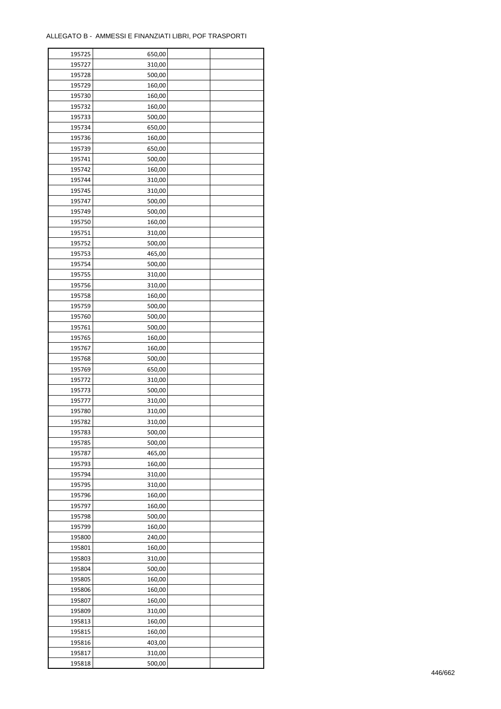| 195725 | 650,00 |  |
|--------|--------|--|
| 195727 | 310,00 |  |
| 195728 | 500,00 |  |
| 195729 | 160,00 |  |
| 195730 | 160,00 |  |
| 195732 | 160,00 |  |
| 195733 | 500,00 |  |
| 195734 | 650,00 |  |
| 195736 | 160,00 |  |
| 195739 | 650,00 |  |
| 195741 | 500,00 |  |
| 195742 | 160,00 |  |
| 195744 | 310,00 |  |
|        |        |  |
| 195745 | 310,00 |  |
| 195747 | 500,00 |  |
| 195749 | 500,00 |  |
| 195750 | 160,00 |  |
| 195751 | 310,00 |  |
| 195752 | 500,00 |  |
| 195753 | 465,00 |  |
| 195754 | 500,00 |  |
| 195755 | 310,00 |  |
| 195756 | 310,00 |  |
| 195758 | 160,00 |  |
| 195759 | 500,00 |  |
| 195760 | 500,00 |  |
| 195761 | 500,00 |  |
| 195765 | 160,00 |  |
| 195767 | 160,00 |  |
| 195768 | 500,00 |  |
| 195769 | 650,00 |  |
| 195772 | 310,00 |  |
| 195773 | 500,00 |  |
| 195777 | 310,00 |  |
| 195780 | 310,00 |  |
| 195782 | 310,00 |  |
| 195783 | 500,00 |  |
| 195785 | 500,00 |  |
| 195787 | 465,00 |  |
| 195793 | 160,00 |  |
| 195794 | 310,00 |  |
| 195795 | 310,00 |  |
| 195796 | 160,00 |  |
| 195797 | 160,00 |  |
| 195798 | 500,00 |  |
| 195799 | 160,00 |  |
|        |        |  |
| 195800 | 240,00 |  |
| 195801 | 160,00 |  |
| 195803 | 310,00 |  |
| 195804 | 500,00 |  |
| 195805 | 160,00 |  |
| 195806 | 160,00 |  |
| 195807 | 160,00 |  |
| 195809 | 310,00 |  |
| 195813 | 160,00 |  |
| 195815 | 160,00 |  |
| 195816 | 403,00 |  |
| 195817 | 310,00 |  |
| 195818 | 500,00 |  |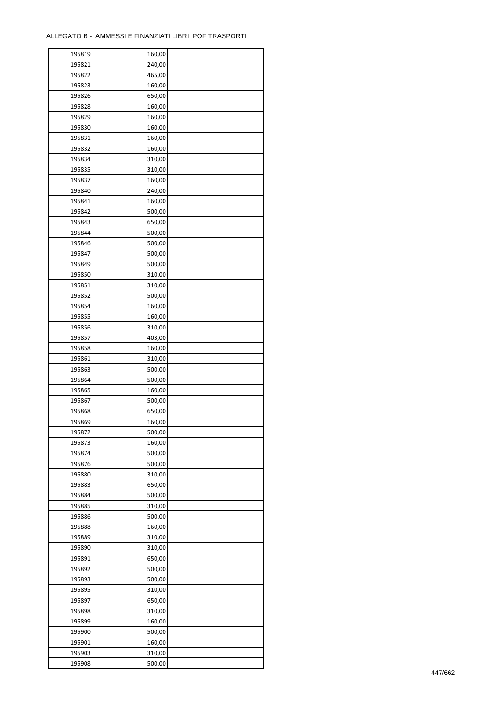| 195819 | 160,00 |  |
|--------|--------|--|
| 195821 | 240,00 |  |
| 195822 | 465,00 |  |
| 195823 | 160,00 |  |
| 195826 | 650,00 |  |
| 195828 | 160,00 |  |
| 195829 | 160,00 |  |
| 195830 | 160,00 |  |
|        |        |  |
| 195831 | 160,00 |  |
| 195832 | 160,00 |  |
| 195834 | 310,00 |  |
| 195835 | 310,00 |  |
| 195837 | 160,00 |  |
| 195840 | 240,00 |  |
| 195841 | 160,00 |  |
| 195842 | 500,00 |  |
| 195843 | 650,00 |  |
| 195844 | 500,00 |  |
| 195846 | 500,00 |  |
| 195847 | 500,00 |  |
| 195849 | 500,00 |  |
| 195850 | 310,00 |  |
| 195851 | 310,00 |  |
| 195852 | 500,00 |  |
| 195854 | 160,00 |  |
| 195855 | 160,00 |  |
|        |        |  |
| 195856 | 310,00 |  |
| 195857 | 403,00 |  |
| 195858 | 160,00 |  |
| 195861 | 310,00 |  |
| 195863 | 500,00 |  |
| 195864 | 500,00 |  |
| 195865 | 160,00 |  |
| 195867 | 500,00 |  |
| 195868 | 650,00 |  |
| 195869 | 160,00 |  |
| 195872 | 500,00 |  |
| 195873 | 160,00 |  |
| 195874 | 500,00 |  |
| 195876 | 500,00 |  |
| 195880 | 310,00 |  |
| 195883 | 650,00 |  |
| 195884 | 500,00 |  |
| 195885 | 310,00 |  |
| 195886 | 500,00 |  |
| 195888 | 160,00 |  |
| 195889 | 310,00 |  |
|        |        |  |
| 195890 | 310,00 |  |
| 195891 | 650,00 |  |
| 195892 | 500,00 |  |
| 195893 | 500,00 |  |
| 195895 | 310,00 |  |
| 195897 | 650,00 |  |
| 195898 | 310,00 |  |
| 195899 | 160,00 |  |
| 195900 | 500,00 |  |
| 195901 | 160,00 |  |
| 195903 | 310,00 |  |
| 195908 | 500,00 |  |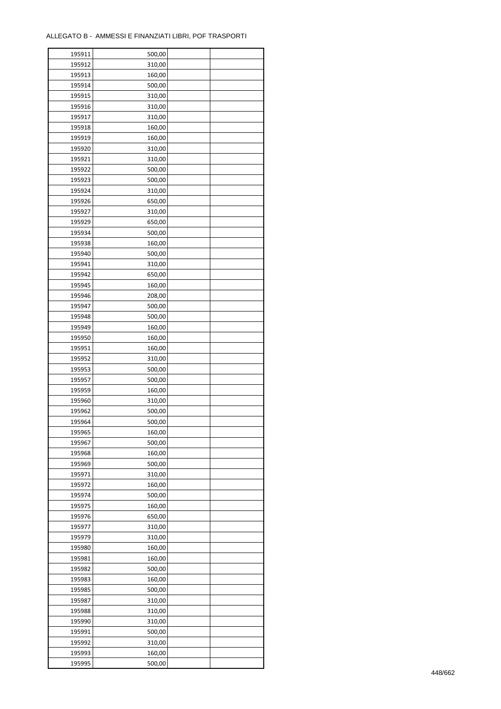| 195911 | 500,00 |  |
|--------|--------|--|
| 195912 | 310,00 |  |
| 195913 | 160,00 |  |
| 195914 | 500,00 |  |
| 195915 | 310,00 |  |
| 195916 | 310,00 |  |
| 195917 | 310,00 |  |
| 195918 | 160,00 |  |
| 195919 | 160,00 |  |
| 195920 | 310,00 |  |
| 195921 | 310,00 |  |
| 195922 | 500,00 |  |
| 195923 | 500,00 |  |
|        |        |  |
| 195924 | 310,00 |  |
| 195926 | 650,00 |  |
| 195927 | 310,00 |  |
| 195929 | 650,00 |  |
| 195934 | 500,00 |  |
| 195938 | 160,00 |  |
| 195940 | 500,00 |  |
| 195941 | 310,00 |  |
| 195942 | 650,00 |  |
| 195945 | 160,00 |  |
| 195946 | 208,00 |  |
| 195947 | 500,00 |  |
| 195948 | 500,00 |  |
| 195949 | 160,00 |  |
| 195950 | 160,00 |  |
| 195951 | 160,00 |  |
| 195952 | 310,00 |  |
| 195953 | 500,00 |  |
| 195957 | 500,00 |  |
| 195959 | 160,00 |  |
| 195960 | 310,00 |  |
| 195962 | 500,00 |  |
| 195964 | 500,00 |  |
| 195965 | 160,00 |  |
| 195967 | 500,00 |  |
| 195968 | 160,00 |  |
| 195969 | 500,00 |  |
| 195971 | 310,00 |  |
| 195972 | 160,00 |  |
| 195974 | 500,00 |  |
| 195975 | 160,00 |  |
| 195976 | 650,00 |  |
| 195977 | 310,00 |  |
| 195979 | 310,00 |  |
| 195980 | 160,00 |  |
| 195981 | 160,00 |  |
| 195982 | 500,00 |  |
| 195983 | 160,00 |  |
| 195985 | 500,00 |  |
| 195987 | 310,00 |  |
| 195988 | 310,00 |  |
| 195990 | 310,00 |  |
| 195991 | 500,00 |  |
| 195992 | 310,00 |  |
| 195993 | 160,00 |  |
| 195995 | 500,00 |  |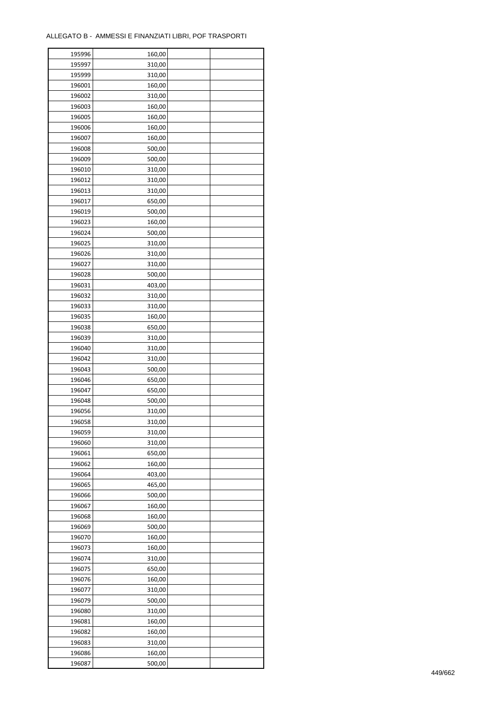| 195996 | 160,00 |  |
|--------|--------|--|
| 195997 | 310,00 |  |
| 195999 | 310,00 |  |
| 196001 | 160,00 |  |
| 196002 | 310,00 |  |
| 196003 | 160,00 |  |
| 196005 | 160,00 |  |
| 196006 | 160,00 |  |
| 196007 |        |  |
|        | 160,00 |  |
| 196008 | 500,00 |  |
| 196009 | 500,00 |  |
| 196010 | 310,00 |  |
| 196012 | 310,00 |  |
| 196013 | 310,00 |  |
| 196017 | 650,00 |  |
| 196019 | 500,00 |  |
| 196023 | 160,00 |  |
| 196024 | 500,00 |  |
| 196025 | 310,00 |  |
| 196026 | 310,00 |  |
| 196027 | 310,00 |  |
| 196028 | 500,00 |  |
| 196031 | 403,00 |  |
| 196032 | 310,00 |  |
| 196033 | 310,00 |  |
| 196035 | 160,00 |  |
| 196038 | 650,00 |  |
| 196039 | 310,00 |  |
| 196040 | 310,00 |  |
| 196042 | 310,00 |  |
|        |        |  |
| 196043 | 500,00 |  |
| 196046 | 650,00 |  |
| 196047 | 650,00 |  |
| 196048 | 500,00 |  |
| 196056 | 310,00 |  |
| 196058 | 310,00 |  |
| 196059 | 310,00 |  |
| 196060 | 310,00 |  |
| 196061 | 650,00 |  |
| 196062 | 160,00 |  |
| 196064 | 403,00 |  |
| 196065 | 465,00 |  |
| 196066 | 500,00 |  |
| 196067 | 160,00 |  |
| 196068 | 160,00 |  |
| 196069 | 500,00 |  |
| 196070 | 160,00 |  |
| 196073 | 160,00 |  |
| 196074 | 310,00 |  |
| 196075 | 650,00 |  |
| 196076 | 160,00 |  |
| 196077 | 310,00 |  |
|        |        |  |
| 196079 | 500,00 |  |
| 196080 | 310,00 |  |
| 196081 | 160,00 |  |
| 196082 | 160,00 |  |
| 196083 | 310,00 |  |
| 196086 | 160,00 |  |
| 196087 | 500,00 |  |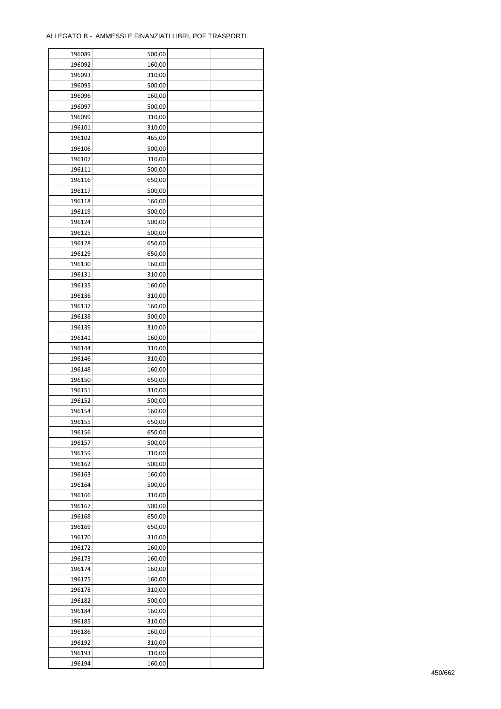| 196089 | 500,00 |  |
|--------|--------|--|
| 196092 | 160,00 |  |
| 196093 | 310,00 |  |
| 196095 | 500,00 |  |
| 196096 | 160,00 |  |
| 196097 | 500,00 |  |
| 196099 | 310,00 |  |
| 196101 | 310,00 |  |
| 196102 | 465,00 |  |
|        | 500,00 |  |
| 196106 |        |  |
| 196107 | 310,00 |  |
| 196111 | 500,00 |  |
| 196116 | 650,00 |  |
| 196117 | 500,00 |  |
| 196118 | 160,00 |  |
| 196119 | 500,00 |  |
| 196124 | 500,00 |  |
| 196125 | 500,00 |  |
| 196128 | 650,00 |  |
| 196129 | 650,00 |  |
| 196130 | 160,00 |  |
| 196131 | 310,00 |  |
| 196135 | 160,00 |  |
| 196136 | 310,00 |  |
| 196137 | 160,00 |  |
| 196138 | 500,00 |  |
| 196139 | 310,00 |  |
| 196141 | 160,00 |  |
| 196144 | 310,00 |  |
| 196146 | 310,00 |  |
| 196148 | 160,00 |  |
|        |        |  |
| 196150 | 650,00 |  |
| 196151 | 310,00 |  |
| 196152 | 500,00 |  |
| 196154 | 160,00 |  |
| 196155 | 650,00 |  |
| 196156 | 650,00 |  |
| 196157 | 500,00 |  |
| 196159 | 310,00 |  |
| 196162 | 500,00 |  |
| 196163 | 160,00 |  |
| 196164 | 500,00 |  |
| 196166 | 310,00 |  |
| 196167 | 500,00 |  |
| 196168 | 650,00 |  |
| 196169 | 650,00 |  |
| 196170 | 310,00 |  |
| 196172 | 160,00 |  |
| 196173 | 160,00 |  |
| 196174 | 160,00 |  |
| 196175 | 160,00 |  |
| 196178 | 310,00 |  |
| 196182 | 500,00 |  |
|        |        |  |
| 196184 | 160,00 |  |
| 196185 | 310,00 |  |
| 196186 | 160,00 |  |
| 196192 | 310,00 |  |
| 196193 | 310,00 |  |
| 196194 | 160,00 |  |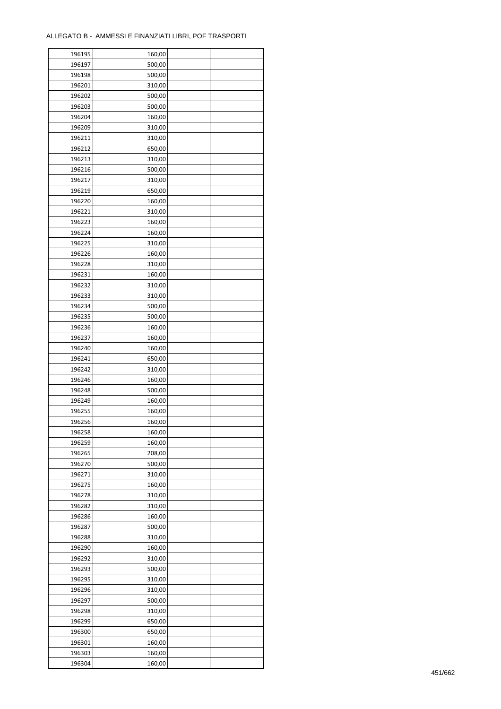| 196195 | 160,00 |  |
|--------|--------|--|
| 196197 | 500,00 |  |
| 196198 | 500,00 |  |
| 196201 | 310,00 |  |
| 196202 | 500,00 |  |
| 196203 | 500,00 |  |
| 196204 | 160,00 |  |
| 196209 | 310,00 |  |
|        | 310,00 |  |
| 196211 | 650,00 |  |
| 196212 |        |  |
| 196213 | 310,00 |  |
| 196216 | 500,00 |  |
| 196217 | 310,00 |  |
| 196219 | 650,00 |  |
| 196220 | 160,00 |  |
| 196221 | 310,00 |  |
| 196223 | 160,00 |  |
| 196224 | 160,00 |  |
| 196225 | 310,00 |  |
| 196226 | 160,00 |  |
| 196228 | 310,00 |  |
| 196231 | 160,00 |  |
| 196232 | 310,00 |  |
| 196233 | 310,00 |  |
| 196234 | 500,00 |  |
| 196235 | 500,00 |  |
| 196236 | 160,00 |  |
| 196237 | 160,00 |  |
| 196240 | 160,00 |  |
| 196241 | 650,00 |  |
| 196242 |        |  |
|        | 310,00 |  |
| 196246 | 160,00 |  |
| 196248 | 500,00 |  |
| 196249 | 160,00 |  |
| 196255 | 160,00 |  |
| 196256 | 160,00 |  |
| 196258 | 160,00 |  |
| 196259 | 160,00 |  |
| 196265 | 208,00 |  |
| 196270 | 500,00 |  |
| 196271 | 310,00 |  |
| 196275 | 160,00 |  |
| 196278 | 310,00 |  |
| 196282 | 310,00 |  |
| 196286 | 160,00 |  |
| 196287 | 500,00 |  |
| 196288 | 310,00 |  |
| 196290 | 160,00 |  |
| 196292 | 310,00 |  |
| 196293 | 500,00 |  |
| 196295 | 310,00 |  |
| 196296 | 310,00 |  |
| 196297 | 500,00 |  |
|        |        |  |
| 196298 | 310,00 |  |
| 196299 | 650,00 |  |
| 196300 | 650,00 |  |
| 196301 | 160,00 |  |
| 196303 | 160,00 |  |
| 196304 | 160,00 |  |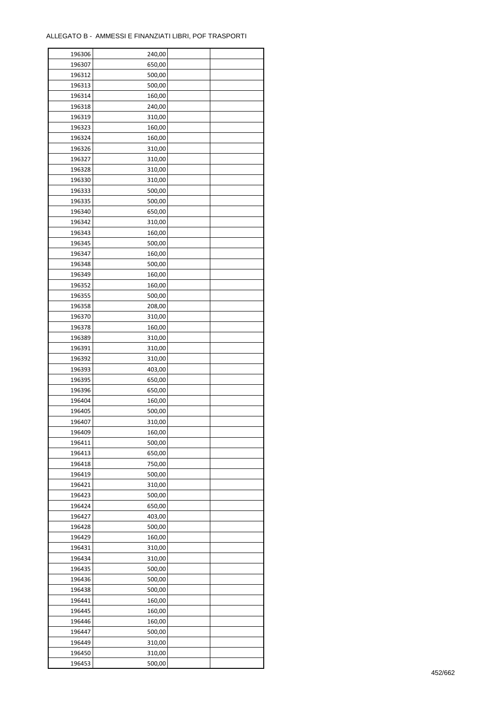| 196306 | 240,00 |  |
|--------|--------|--|
| 196307 | 650,00 |  |
| 196312 | 500,00 |  |
| 196313 | 500,00 |  |
| 196314 | 160,00 |  |
| 196318 | 240,00 |  |
| 196319 | 310,00 |  |
| 196323 | 160,00 |  |
| 196324 | 160,00 |  |
| 196326 | 310,00 |  |
| 196327 |        |  |
|        | 310,00 |  |
| 196328 | 310,00 |  |
| 196330 | 310,00 |  |
| 196333 | 500,00 |  |
| 196335 | 500,00 |  |
| 196340 | 650,00 |  |
| 196342 | 310,00 |  |
| 196343 | 160,00 |  |
| 196345 | 500,00 |  |
| 196347 | 160,00 |  |
| 196348 | 500,00 |  |
| 196349 | 160,00 |  |
| 196352 | 160,00 |  |
| 196355 | 500,00 |  |
| 196358 | 208,00 |  |
| 196370 | 310,00 |  |
| 196378 | 160,00 |  |
| 196389 | 310,00 |  |
| 196391 | 310,00 |  |
| 196392 | 310,00 |  |
| 196393 | 403,00 |  |
| 196395 | 650,00 |  |
| 196396 | 650,00 |  |
| 196404 | 160,00 |  |
| 196405 | 500,00 |  |
| 196407 | 310,00 |  |
|        |        |  |
| 196409 | 160,00 |  |
| 196411 | 500,00 |  |
| 196413 | 650,00 |  |
| 196418 | 750,00 |  |
| 196419 | 500,00 |  |
| 196421 | 310,00 |  |
| 196423 | 500,00 |  |
| 196424 | 650,00 |  |
| 196427 | 403,00 |  |
| 196428 | 500,00 |  |
| 196429 | 160,00 |  |
| 196431 | 310,00 |  |
| 196434 | 310,00 |  |
| 196435 | 500,00 |  |
| 196436 | 500,00 |  |
| 196438 | 500,00 |  |
| 196441 | 160,00 |  |
| 196445 | 160,00 |  |
| 196446 | 160,00 |  |
| 196447 | 500,00 |  |
| 196449 | 310,00 |  |
| 196450 | 310,00 |  |
|        |        |  |
| 196453 | 500,00 |  |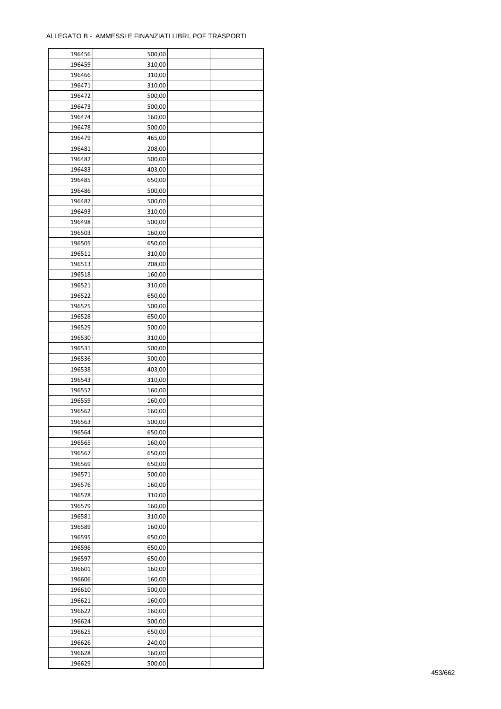| 196456 | 500,00 |  |
|--------|--------|--|
| 196459 | 310,00 |  |
| 196466 | 310,00 |  |
| 196471 | 310,00 |  |
| 196472 | 500,00 |  |
| 196473 | 500,00 |  |
| 196474 | 160,00 |  |
| 196478 | 500,00 |  |
| 196479 | 465,00 |  |
| 196481 | 208,00 |  |
|        |        |  |
| 196482 | 500,00 |  |
| 196483 | 403,00 |  |
| 196485 | 650,00 |  |
| 196486 | 500,00 |  |
| 196487 | 500,00 |  |
| 196493 | 310,00 |  |
| 196498 | 500,00 |  |
| 196503 | 160,00 |  |
| 196505 | 650,00 |  |
| 196511 | 310,00 |  |
| 196513 | 208,00 |  |
| 196518 | 160,00 |  |
| 196521 | 310,00 |  |
| 196522 | 650,00 |  |
| 196525 | 500,00 |  |
| 196528 | 650,00 |  |
| 196529 | 500,00 |  |
| 196530 | 310,00 |  |
| 196531 | 500,00 |  |
| 196536 | 500,00 |  |
| 196538 | 403,00 |  |
| 196543 | 310,00 |  |
| 196552 | 160,00 |  |
| 196559 | 160,00 |  |
| 196562 | 160,00 |  |
| 196563 | 500,00 |  |
|        |        |  |
| 196564 | 650,00 |  |
| 196565 | 160,00 |  |
| 196567 | 650,00 |  |
| 196569 | 650,00 |  |
| 196571 | 500,00 |  |
| 196576 | 160,00 |  |
| 196578 | 310,00 |  |
| 196579 | 160,00 |  |
| 196581 | 310,00 |  |
| 196589 | 160,00 |  |
| 196595 | 650,00 |  |
| 196596 | 650,00 |  |
| 196597 | 650,00 |  |
| 196601 | 160,00 |  |
| 196606 | 160,00 |  |
| 196610 | 500,00 |  |
| 196621 | 160,00 |  |
| 196622 | 160,00 |  |
| 196624 | 500,00 |  |
| 196625 | 650,00 |  |
| 196626 | 240,00 |  |
| 196628 | 160,00 |  |
| 196629 | 500,00 |  |
|        |        |  |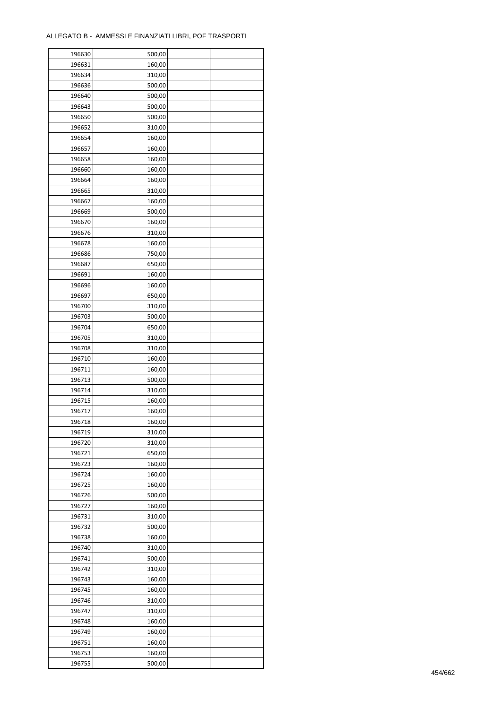| 196630           | 500,00           |  |
|------------------|------------------|--|
| 196631           | 160,00           |  |
| 196634           | 310,00           |  |
| 196636           | 500,00           |  |
| 196640           | 500,00           |  |
| 196643           | 500,00           |  |
| 196650           | 500,00           |  |
| 196652           | 310,00           |  |
|                  |                  |  |
| 196654<br>196657 | 160,00<br>160,00 |  |
|                  |                  |  |
| 196658           | 160,00           |  |
| 196660           | 160,00           |  |
| 196664           | 160,00           |  |
| 196665           | 310,00           |  |
| 196667           | 160,00           |  |
| 196669           | 500,00           |  |
| 196670           | 160,00           |  |
| 196676           | 310,00           |  |
| 196678           | 160,00           |  |
| 196686           | 750,00           |  |
| 196687           | 650,00           |  |
| 196691           | 160,00           |  |
| 196696           | 160,00           |  |
| 196697           | 650,00           |  |
| 196700           | 310,00           |  |
| 196703           | 500,00           |  |
| 196704           | 650,00           |  |
| 196705           | 310,00           |  |
| 196708           | 310,00           |  |
| 196710           | 160,00           |  |
|                  |                  |  |
| 196711           | 160,00           |  |
| 196713           | 500,00           |  |
| 196714           | 310,00           |  |
| 196715           | 160,00           |  |
| 196717           | 160,00           |  |
| 196718           | 160,00           |  |
| 196719           | 310,00           |  |
| 196720           | 310,00           |  |
| 196721           | 650,00           |  |
| 196723           | 160,00           |  |
| 196724           | 160,00           |  |
| 196725           | 160,00           |  |
| 196726           | 500,00           |  |
| 196727           | 160,00           |  |
| 196731           | 310,00           |  |
| 196732           | 500,00           |  |
| 196738           | 160,00           |  |
| 196740           | 310,00           |  |
| 196741           | 500,00           |  |
| 196742           | 310,00           |  |
| 196743           | 160,00           |  |
| 196745           | 160,00           |  |
|                  |                  |  |
| 196746           | 310,00           |  |
| 196747           | 310,00           |  |
| 196748           | 160,00           |  |
| 196749           | 160,00           |  |
| 196751           | 160,00           |  |
| 196753           | 160,00           |  |
| 196755           | 500,00           |  |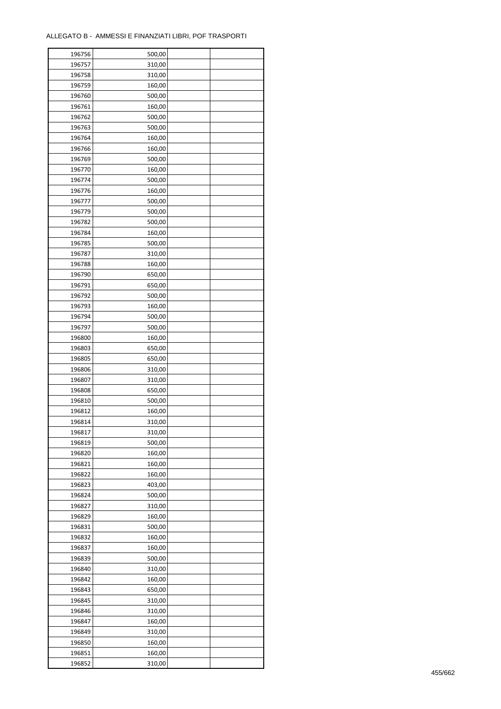| 196757<br>310,00<br>196758<br>310,00<br>196759<br>160,00<br>196760<br>500,00<br>196761<br>160,00<br>196762<br>500,00<br>196763<br>500,00<br>196764<br>160,00<br>196766<br>160,00<br>196769<br>500,00<br>196770<br>160,00<br>500,00<br>196774<br>196776<br>160,00<br>196777<br>500,00<br>196779<br>500,00<br>196782<br>500,00<br>196784<br>160,00<br>196785<br>500,00<br>196787<br>310,00<br>196788<br>160,00<br>196790<br>650,00<br>196791<br>650,00<br>196792<br>500,00<br>196793<br>160,00<br>500,00<br>196794<br>196797<br>500,00<br>196800<br>160,00<br>196803<br>650,00<br>196805<br>650,00<br>196806<br>310,00<br>196807<br>310,00<br>196808<br>650,00<br>196810<br>500,00<br>196812<br>160,00<br>196814<br>310,00<br>196817<br>310,00<br>196819<br>500,00<br>196820<br>160,00<br>196821<br>160,00<br>196822<br>160,00<br>196823<br>403,00<br>196824<br>500,00<br>196827<br>310,00<br>196829<br>160,00<br>196831<br>500,00<br>196832<br>160,00<br>196837<br>160,00<br>196839<br>500,00<br>196840<br>310,00<br>196842<br>160,00<br>196843<br>650,00<br>196845<br>310,00<br>196846<br>310,00<br>196847<br>160,00<br>196849<br>310,00<br>196850<br>160,00<br>196851<br>160,00<br>196852<br>310,00 | 196756 | 500,00 |  |
|------------------------------------------------------------------------------------------------------------------------------------------------------------------------------------------------------------------------------------------------------------------------------------------------------------------------------------------------------------------------------------------------------------------------------------------------------------------------------------------------------------------------------------------------------------------------------------------------------------------------------------------------------------------------------------------------------------------------------------------------------------------------------------------------------------------------------------------------------------------------------------------------------------------------------------------------------------------------------------------------------------------------------------------------------------------------------------------------------------------------------------------------------------------------------------------------------|--------|--------|--|
|                                                                                                                                                                                                                                                                                                                                                                                                                                                                                                                                                                                                                                                                                                                                                                                                                                                                                                                                                                                                                                                                                                                                                                                                      |        |        |  |
|                                                                                                                                                                                                                                                                                                                                                                                                                                                                                                                                                                                                                                                                                                                                                                                                                                                                                                                                                                                                                                                                                                                                                                                                      |        |        |  |
|                                                                                                                                                                                                                                                                                                                                                                                                                                                                                                                                                                                                                                                                                                                                                                                                                                                                                                                                                                                                                                                                                                                                                                                                      |        |        |  |
|                                                                                                                                                                                                                                                                                                                                                                                                                                                                                                                                                                                                                                                                                                                                                                                                                                                                                                                                                                                                                                                                                                                                                                                                      |        |        |  |
|                                                                                                                                                                                                                                                                                                                                                                                                                                                                                                                                                                                                                                                                                                                                                                                                                                                                                                                                                                                                                                                                                                                                                                                                      |        |        |  |
|                                                                                                                                                                                                                                                                                                                                                                                                                                                                                                                                                                                                                                                                                                                                                                                                                                                                                                                                                                                                                                                                                                                                                                                                      |        |        |  |
|                                                                                                                                                                                                                                                                                                                                                                                                                                                                                                                                                                                                                                                                                                                                                                                                                                                                                                                                                                                                                                                                                                                                                                                                      |        |        |  |
|                                                                                                                                                                                                                                                                                                                                                                                                                                                                                                                                                                                                                                                                                                                                                                                                                                                                                                                                                                                                                                                                                                                                                                                                      |        |        |  |
|                                                                                                                                                                                                                                                                                                                                                                                                                                                                                                                                                                                                                                                                                                                                                                                                                                                                                                                                                                                                                                                                                                                                                                                                      |        |        |  |
|                                                                                                                                                                                                                                                                                                                                                                                                                                                                                                                                                                                                                                                                                                                                                                                                                                                                                                                                                                                                                                                                                                                                                                                                      |        |        |  |
|                                                                                                                                                                                                                                                                                                                                                                                                                                                                                                                                                                                                                                                                                                                                                                                                                                                                                                                                                                                                                                                                                                                                                                                                      |        |        |  |
|                                                                                                                                                                                                                                                                                                                                                                                                                                                                                                                                                                                                                                                                                                                                                                                                                                                                                                                                                                                                                                                                                                                                                                                                      |        |        |  |
|                                                                                                                                                                                                                                                                                                                                                                                                                                                                                                                                                                                                                                                                                                                                                                                                                                                                                                                                                                                                                                                                                                                                                                                                      |        |        |  |
|                                                                                                                                                                                                                                                                                                                                                                                                                                                                                                                                                                                                                                                                                                                                                                                                                                                                                                                                                                                                                                                                                                                                                                                                      |        |        |  |
|                                                                                                                                                                                                                                                                                                                                                                                                                                                                                                                                                                                                                                                                                                                                                                                                                                                                                                                                                                                                                                                                                                                                                                                                      |        |        |  |
|                                                                                                                                                                                                                                                                                                                                                                                                                                                                                                                                                                                                                                                                                                                                                                                                                                                                                                                                                                                                                                                                                                                                                                                                      |        |        |  |
|                                                                                                                                                                                                                                                                                                                                                                                                                                                                                                                                                                                                                                                                                                                                                                                                                                                                                                                                                                                                                                                                                                                                                                                                      |        |        |  |
|                                                                                                                                                                                                                                                                                                                                                                                                                                                                                                                                                                                                                                                                                                                                                                                                                                                                                                                                                                                                                                                                                                                                                                                                      |        |        |  |
|                                                                                                                                                                                                                                                                                                                                                                                                                                                                                                                                                                                                                                                                                                                                                                                                                                                                                                                                                                                                                                                                                                                                                                                                      |        |        |  |
|                                                                                                                                                                                                                                                                                                                                                                                                                                                                                                                                                                                                                                                                                                                                                                                                                                                                                                                                                                                                                                                                                                                                                                                                      |        |        |  |
|                                                                                                                                                                                                                                                                                                                                                                                                                                                                                                                                                                                                                                                                                                                                                                                                                                                                                                                                                                                                                                                                                                                                                                                                      |        |        |  |
|                                                                                                                                                                                                                                                                                                                                                                                                                                                                                                                                                                                                                                                                                                                                                                                                                                                                                                                                                                                                                                                                                                                                                                                                      |        |        |  |
|                                                                                                                                                                                                                                                                                                                                                                                                                                                                                                                                                                                                                                                                                                                                                                                                                                                                                                                                                                                                                                                                                                                                                                                                      |        |        |  |
|                                                                                                                                                                                                                                                                                                                                                                                                                                                                                                                                                                                                                                                                                                                                                                                                                                                                                                                                                                                                                                                                                                                                                                                                      |        |        |  |
|                                                                                                                                                                                                                                                                                                                                                                                                                                                                                                                                                                                                                                                                                                                                                                                                                                                                                                                                                                                                                                                                                                                                                                                                      |        |        |  |
|                                                                                                                                                                                                                                                                                                                                                                                                                                                                                                                                                                                                                                                                                                                                                                                                                                                                                                                                                                                                                                                                                                                                                                                                      |        |        |  |
|                                                                                                                                                                                                                                                                                                                                                                                                                                                                                                                                                                                                                                                                                                                                                                                                                                                                                                                                                                                                                                                                                                                                                                                                      |        |        |  |
|                                                                                                                                                                                                                                                                                                                                                                                                                                                                                                                                                                                                                                                                                                                                                                                                                                                                                                                                                                                                                                                                                                                                                                                                      |        |        |  |
|                                                                                                                                                                                                                                                                                                                                                                                                                                                                                                                                                                                                                                                                                                                                                                                                                                                                                                                                                                                                                                                                                                                                                                                                      |        |        |  |
|                                                                                                                                                                                                                                                                                                                                                                                                                                                                                                                                                                                                                                                                                                                                                                                                                                                                                                                                                                                                                                                                                                                                                                                                      |        |        |  |
|                                                                                                                                                                                                                                                                                                                                                                                                                                                                                                                                                                                                                                                                                                                                                                                                                                                                                                                                                                                                                                                                                                                                                                                                      |        |        |  |
|                                                                                                                                                                                                                                                                                                                                                                                                                                                                                                                                                                                                                                                                                                                                                                                                                                                                                                                                                                                                                                                                                                                                                                                                      |        |        |  |
|                                                                                                                                                                                                                                                                                                                                                                                                                                                                                                                                                                                                                                                                                                                                                                                                                                                                                                                                                                                                                                                                                                                                                                                                      |        |        |  |
|                                                                                                                                                                                                                                                                                                                                                                                                                                                                                                                                                                                                                                                                                                                                                                                                                                                                                                                                                                                                                                                                                                                                                                                                      |        |        |  |
|                                                                                                                                                                                                                                                                                                                                                                                                                                                                                                                                                                                                                                                                                                                                                                                                                                                                                                                                                                                                                                                                                                                                                                                                      |        |        |  |
|                                                                                                                                                                                                                                                                                                                                                                                                                                                                                                                                                                                                                                                                                                                                                                                                                                                                                                                                                                                                                                                                                                                                                                                                      |        |        |  |
|                                                                                                                                                                                                                                                                                                                                                                                                                                                                                                                                                                                                                                                                                                                                                                                                                                                                                                                                                                                                                                                                                                                                                                                                      |        |        |  |
|                                                                                                                                                                                                                                                                                                                                                                                                                                                                                                                                                                                                                                                                                                                                                                                                                                                                                                                                                                                                                                                                                                                                                                                                      |        |        |  |
|                                                                                                                                                                                                                                                                                                                                                                                                                                                                                                                                                                                                                                                                                                                                                                                                                                                                                                                                                                                                                                                                                                                                                                                                      |        |        |  |
|                                                                                                                                                                                                                                                                                                                                                                                                                                                                                                                                                                                                                                                                                                                                                                                                                                                                                                                                                                                                                                                                                                                                                                                                      |        |        |  |
|                                                                                                                                                                                                                                                                                                                                                                                                                                                                                                                                                                                                                                                                                                                                                                                                                                                                                                                                                                                                                                                                                                                                                                                                      |        |        |  |
|                                                                                                                                                                                                                                                                                                                                                                                                                                                                                                                                                                                                                                                                                                                                                                                                                                                                                                                                                                                                                                                                                                                                                                                                      |        |        |  |
|                                                                                                                                                                                                                                                                                                                                                                                                                                                                                                                                                                                                                                                                                                                                                                                                                                                                                                                                                                                                                                                                                                                                                                                                      |        |        |  |
|                                                                                                                                                                                                                                                                                                                                                                                                                                                                                                                                                                                                                                                                                                                                                                                                                                                                                                                                                                                                                                                                                                                                                                                                      |        |        |  |
|                                                                                                                                                                                                                                                                                                                                                                                                                                                                                                                                                                                                                                                                                                                                                                                                                                                                                                                                                                                                                                                                                                                                                                                                      |        |        |  |
|                                                                                                                                                                                                                                                                                                                                                                                                                                                                                                                                                                                                                                                                                                                                                                                                                                                                                                                                                                                                                                                                                                                                                                                                      |        |        |  |
|                                                                                                                                                                                                                                                                                                                                                                                                                                                                                                                                                                                                                                                                                                                                                                                                                                                                                                                                                                                                                                                                                                                                                                                                      |        |        |  |
|                                                                                                                                                                                                                                                                                                                                                                                                                                                                                                                                                                                                                                                                                                                                                                                                                                                                                                                                                                                                                                                                                                                                                                                                      |        |        |  |
|                                                                                                                                                                                                                                                                                                                                                                                                                                                                                                                                                                                                                                                                                                                                                                                                                                                                                                                                                                                                                                                                                                                                                                                                      |        |        |  |
|                                                                                                                                                                                                                                                                                                                                                                                                                                                                                                                                                                                                                                                                                                                                                                                                                                                                                                                                                                                                                                                                                                                                                                                                      |        |        |  |
|                                                                                                                                                                                                                                                                                                                                                                                                                                                                                                                                                                                                                                                                                                                                                                                                                                                                                                                                                                                                                                                                                                                                                                                                      |        |        |  |
|                                                                                                                                                                                                                                                                                                                                                                                                                                                                                                                                                                                                                                                                                                                                                                                                                                                                                                                                                                                                                                                                                                                                                                                                      |        |        |  |
|                                                                                                                                                                                                                                                                                                                                                                                                                                                                                                                                                                                                                                                                                                                                                                                                                                                                                                                                                                                                                                                                                                                                                                                                      |        |        |  |
|                                                                                                                                                                                                                                                                                                                                                                                                                                                                                                                                                                                                                                                                                                                                                                                                                                                                                                                                                                                                                                                                                                                                                                                                      |        |        |  |
|                                                                                                                                                                                                                                                                                                                                                                                                                                                                                                                                                                                                                                                                                                                                                                                                                                                                                                                                                                                                                                                                                                                                                                                                      |        |        |  |
|                                                                                                                                                                                                                                                                                                                                                                                                                                                                                                                                                                                                                                                                                                                                                                                                                                                                                                                                                                                                                                                                                                                                                                                                      |        |        |  |
|                                                                                                                                                                                                                                                                                                                                                                                                                                                                                                                                                                                                                                                                                                                                                                                                                                                                                                                                                                                                                                                                                                                                                                                                      |        |        |  |
|                                                                                                                                                                                                                                                                                                                                                                                                                                                                                                                                                                                                                                                                                                                                                                                                                                                                                                                                                                                                                                                                                                                                                                                                      |        |        |  |
|                                                                                                                                                                                                                                                                                                                                                                                                                                                                                                                                                                                                                                                                                                                                                                                                                                                                                                                                                                                                                                                                                                                                                                                                      |        |        |  |
|                                                                                                                                                                                                                                                                                                                                                                                                                                                                                                                                                                                                                                                                                                                                                                                                                                                                                                                                                                                                                                                                                                                                                                                                      |        |        |  |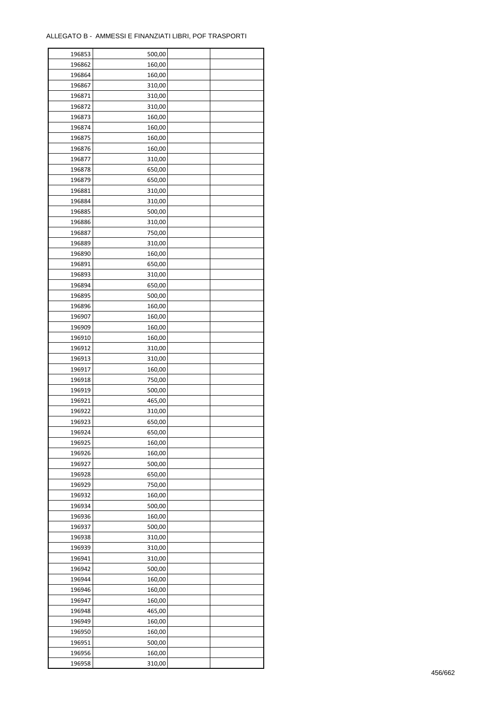| 196853 | 500,00           |  |
|--------|------------------|--|
| 196862 | 160,00           |  |
| 196864 | 160,00           |  |
| 196867 | 310,00           |  |
| 196871 | 310,00           |  |
| 196872 | 310,00           |  |
| 196873 | 160,00           |  |
| 196874 | 160,00           |  |
|        |                  |  |
| 196875 | 160,00<br>160,00 |  |
| 196876 |                  |  |
| 196877 | 310,00           |  |
| 196878 | 650,00           |  |
| 196879 | 650,00           |  |
| 196881 | 310,00           |  |
| 196884 | 310,00           |  |
| 196885 | 500,00           |  |
| 196886 | 310,00           |  |
| 196887 | 750,00           |  |
| 196889 | 310,00           |  |
| 196890 | 160,00           |  |
| 196891 | 650,00           |  |
| 196893 | 310,00           |  |
| 196894 | 650,00           |  |
| 196895 | 500,00           |  |
| 196896 | 160,00           |  |
| 196907 | 160,00           |  |
| 196909 | 160,00           |  |
| 196910 | 160,00           |  |
| 196912 | 310,00           |  |
| 196913 | 310,00           |  |
|        |                  |  |
| 196917 | 160,00           |  |
| 196918 | 750,00           |  |
| 196919 | 500,00           |  |
| 196921 | 465,00           |  |
| 196922 | 310,00           |  |
| 196923 | 650,00           |  |
| 196924 | 650,00           |  |
| 196925 | 160,00           |  |
| 196926 | 160,00           |  |
| 196927 | 500,00           |  |
| 196928 | 650,00           |  |
| 196929 | 750,00           |  |
| 196932 | 160,00           |  |
| 196934 | 500,00           |  |
| 196936 | 160,00           |  |
| 196937 | 500,00           |  |
| 196938 | 310,00           |  |
| 196939 | 310,00           |  |
| 196941 | 310,00           |  |
| 196942 | 500,00           |  |
| 196944 | 160,00           |  |
| 196946 | 160,00           |  |
| 196947 | 160,00           |  |
|        |                  |  |
| 196948 | 465,00           |  |
| 196949 | 160,00           |  |
| 196950 | 160,00           |  |
| 196951 | 500,00           |  |
| 196956 | 160,00           |  |
| 196958 | 310,00           |  |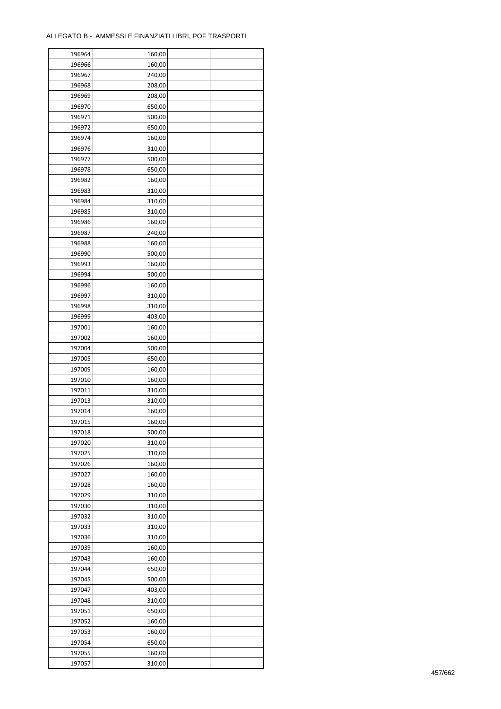| 196964 | 160,00 |  |
|--------|--------|--|
| 196966 | 160,00 |  |
| 196967 | 240,00 |  |
| 196968 | 208,00 |  |
| 196969 | 208,00 |  |
| 196970 | 650,00 |  |
| 196971 | 500,00 |  |
| 196972 | 650,00 |  |
|        |        |  |
| 196974 | 160,00 |  |
| 196976 | 310,00 |  |
| 196977 | 500,00 |  |
| 196978 | 650,00 |  |
| 196982 | 160,00 |  |
| 196983 | 310,00 |  |
| 196984 | 310,00 |  |
| 196985 | 310,00 |  |
| 196986 | 160,00 |  |
| 196987 | 240,00 |  |
| 196988 | 160,00 |  |
| 196990 | 500,00 |  |
| 196993 | 160,00 |  |
| 196994 | 500,00 |  |
| 196996 | 160,00 |  |
| 196997 | 310,00 |  |
| 196998 | 310,00 |  |
| 196999 | 403,00 |  |
| 197001 | 160,00 |  |
| 197002 | 160,00 |  |
| 197004 | 500,00 |  |
| 197005 | 650,00 |  |
| 197009 | 160,00 |  |
|        |        |  |
| 197010 | 160,00 |  |
| 197011 | 310,00 |  |
| 197013 | 310,00 |  |
| 197014 | 160,00 |  |
| 197015 | 160,00 |  |
| 197018 | 500,00 |  |
| 197020 | 310,00 |  |
| 197025 | 310,00 |  |
| 197026 | 160,00 |  |
| 197027 | 160,00 |  |
| 197028 | 160,00 |  |
| 197029 | 310,00 |  |
| 197030 | 310,00 |  |
| 197032 | 310,00 |  |
| 197033 | 310,00 |  |
| 197036 | 310,00 |  |
| 197039 | 160,00 |  |
| 197043 | 160,00 |  |
| 197044 | 650,00 |  |
| 197045 | 500,00 |  |
| 197047 | 403,00 |  |
| 197048 | 310,00 |  |
|        |        |  |
| 197051 | 650,00 |  |
| 197052 | 160,00 |  |
| 197053 | 160,00 |  |
| 197054 | 650,00 |  |
| 197055 | 160,00 |  |
| 197057 | 310,00 |  |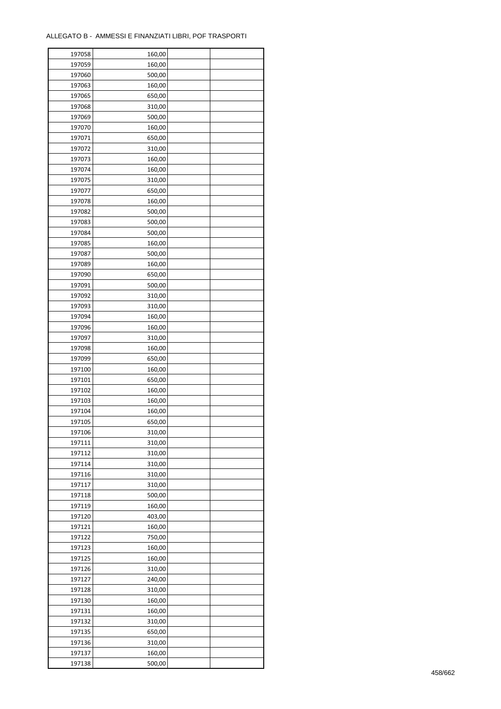| 197058 | 160,00 |  |
|--------|--------|--|
| 197059 | 160,00 |  |
| 197060 | 500,00 |  |
| 197063 | 160,00 |  |
| 197065 | 650,00 |  |
| 197068 | 310,00 |  |
| 197069 | 500,00 |  |
| 197070 | 160,00 |  |
| 197071 | 650,00 |  |
| 197072 | 310,00 |  |
| 197073 | 160,00 |  |
| 197074 | 160,00 |  |
|        |        |  |
| 197075 | 310,00 |  |
| 197077 | 650,00 |  |
| 197078 | 160,00 |  |
| 197082 | 500,00 |  |
| 197083 | 500,00 |  |
| 197084 | 500,00 |  |
| 197085 | 160,00 |  |
| 197087 | 500,00 |  |
| 197089 | 160,00 |  |
| 197090 | 650,00 |  |
| 197091 | 500,00 |  |
| 197092 | 310,00 |  |
| 197093 | 310,00 |  |
| 197094 | 160,00 |  |
| 197096 | 160,00 |  |
| 197097 | 310,00 |  |
| 197098 | 160,00 |  |
| 197099 | 650,00 |  |
| 197100 | 160,00 |  |
| 197101 | 650,00 |  |
| 197102 | 160,00 |  |
| 197103 | 160,00 |  |
| 197104 | 160,00 |  |
| 197105 | 650,00 |  |
| 197106 | 310,00 |  |
| 197111 | 310,00 |  |
| 197112 | 310,00 |  |
| 197114 | 310,00 |  |
| 197116 | 310,00 |  |
| 197117 | 310,00 |  |
| 197118 | 500,00 |  |
|        |        |  |
| 197119 | 160,00 |  |
| 197120 | 403,00 |  |
| 197121 | 160,00 |  |
| 197122 | 750,00 |  |
| 197123 | 160,00 |  |
| 197125 | 160,00 |  |
| 197126 | 310,00 |  |
| 197127 | 240,00 |  |
| 197128 | 310,00 |  |
| 197130 | 160,00 |  |
| 197131 | 160,00 |  |
| 197132 | 310,00 |  |
| 197135 | 650,00 |  |
| 197136 | 310,00 |  |
| 197137 | 160,00 |  |
| 197138 | 500,00 |  |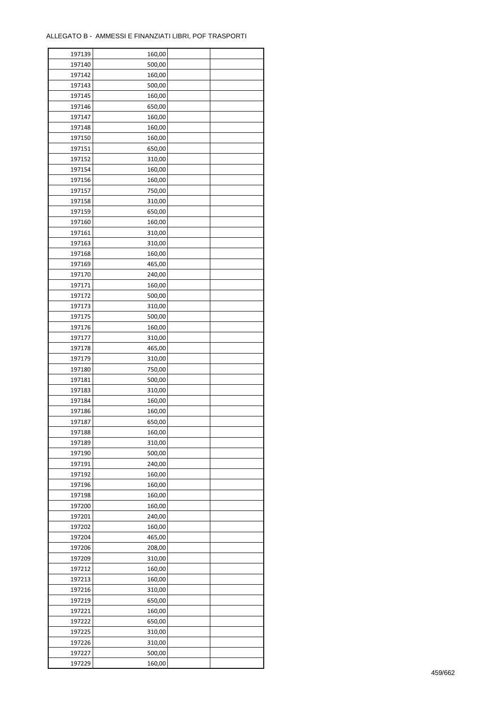ř

| 197139 | 160,00           |  |
|--------|------------------|--|
| 197140 | 500,00           |  |
| 197142 | 160,00           |  |
| 197143 | 500,00           |  |
| 197145 | 160,00           |  |
| 197146 | 650,00           |  |
| 197147 | 160,00           |  |
| 197148 | 160,00           |  |
| 197150 | 160,00           |  |
| 197151 | 650,00           |  |
| 197152 | 310,00           |  |
| 197154 | 160,00           |  |
| 197156 | 160,00           |  |
| 197157 | 750,00           |  |
| 197158 | 310,00           |  |
| 197159 |                  |  |
|        | 650,00<br>160,00 |  |
| 197160 |                  |  |
| 197161 | 310,00           |  |
| 197163 | 310,00           |  |
| 197168 | 160,00           |  |
| 197169 | 465,00           |  |
| 197170 | 240,00           |  |
| 197171 | 160,00           |  |
| 197172 | 500,00           |  |
| 197173 | 310,00           |  |
| 197175 | 500,00           |  |
| 197176 | 160,00           |  |
| 197177 | 310,00           |  |
| 197178 | 465,00           |  |
| 197179 | 310,00           |  |
| 197180 | 750,00           |  |
| 197181 | 500,00           |  |
| 197183 | 310,00           |  |
| 197184 | 160,00           |  |
| 197186 | 160,00           |  |
| 197187 | 650,00           |  |
| 197188 | 160,00           |  |
| 197189 | 310,00           |  |
| 197190 | 500,00           |  |
| 197191 | 240,00           |  |
| 197192 | 160,00           |  |
| 197196 | 160,00           |  |
| 197198 | 160,00           |  |
| 197200 | 160,00           |  |
| 197201 | 240,00           |  |
| 197202 | 160,00           |  |
| 197204 | 465,00           |  |
| 197206 | 208,00           |  |
| 197209 | 310,00           |  |
| 197212 | 160,00           |  |
| 197213 | 160,00           |  |
| 197216 | 310,00           |  |
| 197219 | 650,00           |  |
| 197221 | 160,00           |  |
| 197222 | 650,00           |  |
| 197225 | 310,00           |  |
| 197226 | 310,00           |  |
| 197227 | 500,00           |  |
| 197229 | 160,00           |  |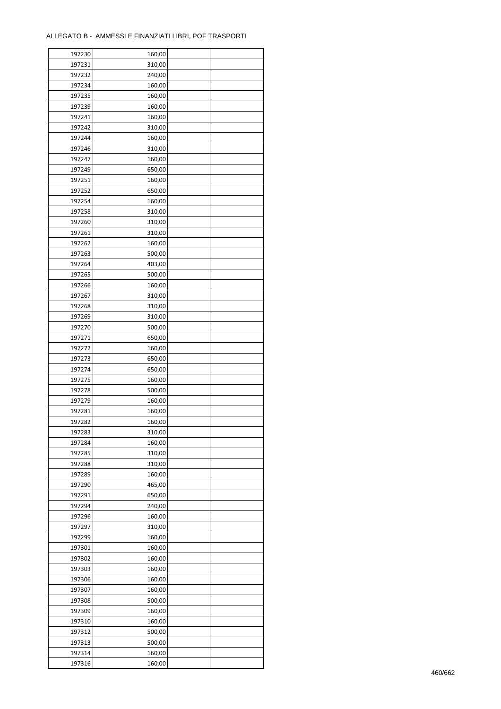| 197230 | 160,00 |  |
|--------|--------|--|
| 197231 | 310,00 |  |
| 197232 | 240,00 |  |
| 197234 | 160,00 |  |
| 197235 | 160,00 |  |
| 197239 | 160,00 |  |
| 197241 | 160,00 |  |
| 197242 | 310,00 |  |
| 197244 | 160,00 |  |
| 197246 | 310,00 |  |
| 197247 | 160,00 |  |
| 197249 | 650,00 |  |
| 197251 | 160,00 |  |
| 197252 | 650,00 |  |
| 197254 | 160,00 |  |
| 197258 | 310,00 |  |
| 197260 | 310,00 |  |
|        |        |  |
| 197261 | 310,00 |  |
| 197262 | 160,00 |  |
| 197263 | 500,00 |  |
| 197264 | 403,00 |  |
| 197265 | 500,00 |  |
| 197266 | 160,00 |  |
| 197267 | 310,00 |  |
| 197268 | 310,00 |  |
| 197269 | 310,00 |  |
| 197270 | 500,00 |  |
| 197271 | 650,00 |  |
| 197272 | 160,00 |  |
| 197273 | 650,00 |  |
| 197274 | 650,00 |  |
| 197275 | 160,00 |  |
| 197278 | 500,00 |  |
| 197279 | 160,00 |  |
| 197281 | 160,00 |  |
| 197282 | 160,00 |  |
| 197283 | 310,00 |  |
| 197284 | 160,00 |  |
| 197285 | 310,00 |  |
| 197288 | 310,00 |  |
| 197289 | 160,00 |  |
| 197290 | 465,00 |  |
| 197291 | 650,00 |  |
| 197294 | 240,00 |  |
| 197296 | 160,00 |  |
| 197297 | 310,00 |  |
| 197299 | 160,00 |  |
| 197301 | 160,00 |  |
| 197302 | 160,00 |  |
| 197303 | 160,00 |  |
| 197306 | 160,00 |  |
| 197307 | 160,00 |  |
| 197308 | 500,00 |  |
| 197309 | 160,00 |  |
| 197310 | 160,00 |  |
| 197312 | 500,00 |  |
| 197313 | 500,00 |  |
| 197314 | 160,00 |  |
| 197316 | 160,00 |  |
|        |        |  |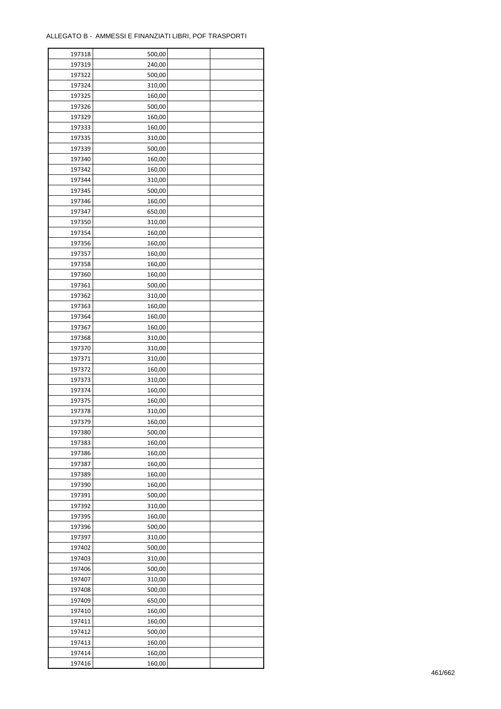| 197318 | 500,00 |  |
|--------|--------|--|
| 197319 | 240,00 |  |
| 197322 | 500,00 |  |
| 197324 | 310,00 |  |
| 197325 | 160,00 |  |
| 197326 | 500,00 |  |
| 197329 | 160,00 |  |
| 197333 | 160,00 |  |
| 197335 | 310,00 |  |
| 197339 | 500,00 |  |
| 197340 |        |  |
|        | 160,00 |  |
| 197342 | 160,00 |  |
| 197344 | 310,00 |  |
| 197345 | 500,00 |  |
| 197346 | 160,00 |  |
| 197347 | 650,00 |  |
| 197350 | 310,00 |  |
| 197354 | 160,00 |  |
| 197356 | 160,00 |  |
| 197357 | 160,00 |  |
| 197358 | 160,00 |  |
| 197360 | 160,00 |  |
| 197361 | 500,00 |  |
| 197362 | 310,00 |  |
| 197363 | 160,00 |  |
| 197364 | 160,00 |  |
| 197367 | 160,00 |  |
| 197368 | 310,00 |  |
| 197370 | 310,00 |  |
| 197371 | 310,00 |  |
|        |        |  |
| 197372 | 160,00 |  |
| 197373 | 310,00 |  |
| 197374 | 160,00 |  |
| 197375 | 160,00 |  |
| 197378 | 310,00 |  |
| 197379 | 160,00 |  |
| 197380 | 500,00 |  |
| 197383 | 160,00 |  |
| 197386 | 160,00 |  |
| 197387 | 160,00 |  |
| 197389 | 160,00 |  |
| 197390 | 160,00 |  |
| 197391 | 500,00 |  |
| 197392 | 310,00 |  |
| 197395 | 160,00 |  |
| 197396 | 500,00 |  |
| 197397 | 310,00 |  |
| 197402 | 500,00 |  |
| 197403 | 310,00 |  |
| 197406 | 500,00 |  |
| 197407 | 310,00 |  |
| 197408 | 500,00 |  |
| 197409 | 650,00 |  |
|        |        |  |
| 197410 | 160,00 |  |
| 197411 | 160,00 |  |
| 197412 | 500,00 |  |
| 197413 | 160,00 |  |
| 197414 | 160,00 |  |
| 197416 | 160,00 |  |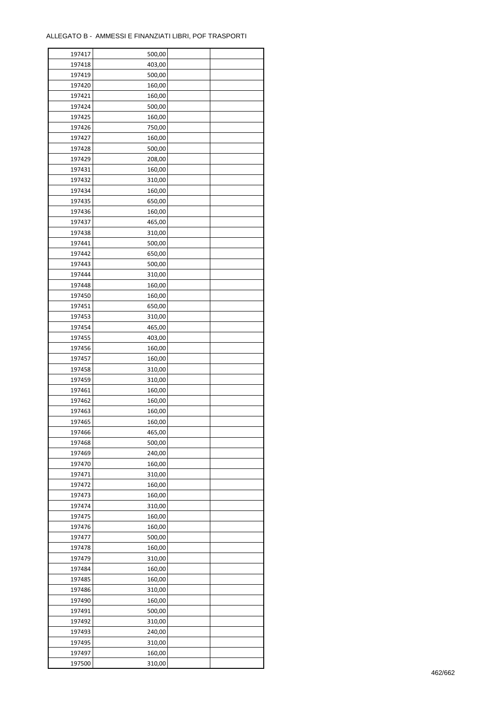| 197417 | 500,00 |  |
|--------|--------|--|
| 197418 | 403,00 |  |
| 197419 | 500,00 |  |
| 197420 | 160,00 |  |
| 197421 | 160,00 |  |
| 197424 | 500,00 |  |
| 197425 | 160,00 |  |
| 197426 | 750,00 |  |
| 197427 | 160,00 |  |
| 197428 | 500,00 |  |
| 197429 |        |  |
| 197431 | 208,00 |  |
|        | 160,00 |  |
| 197432 | 310,00 |  |
| 197434 | 160,00 |  |
| 197435 | 650,00 |  |
| 197436 | 160,00 |  |
| 197437 | 465,00 |  |
| 197438 | 310,00 |  |
| 197441 | 500,00 |  |
| 197442 | 650,00 |  |
| 197443 | 500,00 |  |
| 197444 | 310,00 |  |
| 197448 | 160,00 |  |
| 197450 | 160,00 |  |
| 197451 | 650,00 |  |
| 197453 | 310,00 |  |
| 197454 | 465,00 |  |
| 197455 | 403,00 |  |
| 197456 | 160,00 |  |
| 197457 | 160,00 |  |
| 197458 | 310,00 |  |
| 197459 | 310,00 |  |
| 197461 | 160,00 |  |
| 197462 | 160,00 |  |
| 197463 | 160,00 |  |
| 197465 | 160,00 |  |
|        |        |  |
| 197466 | 465,00 |  |
| 197468 | 500,00 |  |
| 197469 | 240,00 |  |
| 197470 | 160,00 |  |
| 197471 | 310,00 |  |
| 197472 | 160,00 |  |
| 197473 | 160,00 |  |
| 197474 | 310,00 |  |
| 197475 | 160,00 |  |
| 197476 | 160,00 |  |
| 197477 | 500,00 |  |
| 197478 | 160,00 |  |
| 197479 | 310,00 |  |
| 197484 | 160,00 |  |
| 197485 | 160,00 |  |
| 197486 | 310,00 |  |
| 197490 | 160,00 |  |
| 197491 | 500,00 |  |
| 197492 | 310,00 |  |
| 197493 | 240,00 |  |
| 197495 | 310,00 |  |
| 197497 | 160,00 |  |
|        |        |  |
| 197500 | 310,00 |  |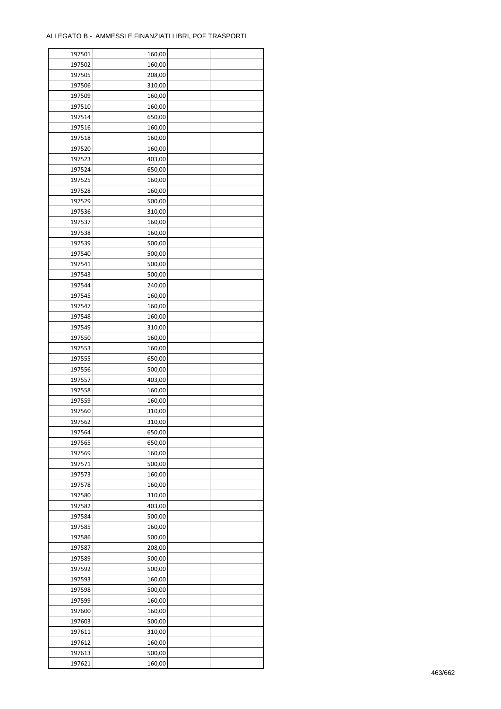| 197501 | 160,00 |  |
|--------|--------|--|
| 197502 | 160,00 |  |
| 197505 | 208,00 |  |
| 197506 | 310,00 |  |
| 197509 | 160,00 |  |
| 197510 | 160,00 |  |
| 197514 | 650,00 |  |
| 197516 | 160,00 |  |
| 197518 | 160,00 |  |
| 197520 | 160,00 |  |
|        |        |  |
| 197523 | 403,00 |  |
| 197524 | 650,00 |  |
| 197525 | 160,00 |  |
| 197528 | 160,00 |  |
| 197529 | 500,00 |  |
| 197536 | 310,00 |  |
| 197537 | 160,00 |  |
| 197538 | 160,00 |  |
| 197539 | 500,00 |  |
| 197540 | 500,00 |  |
| 197541 | 500,00 |  |
| 197543 | 500,00 |  |
| 197544 | 240,00 |  |
| 197545 | 160,00 |  |
| 197547 | 160,00 |  |
| 197548 | 160,00 |  |
| 197549 | 310,00 |  |
| 197550 | 160,00 |  |
| 197553 | 160,00 |  |
| 197555 | 650,00 |  |
| 197556 | 500,00 |  |
| 197557 | 403,00 |  |
| 197558 | 160,00 |  |
| 197559 | 160,00 |  |
| 197560 | 310,00 |  |
| 197562 |        |  |
|        | 310,00 |  |
| 197564 | 650,00 |  |
| 197565 | 650,00 |  |
| 197569 | 160,00 |  |
| 197571 | 500,00 |  |
| 197573 | 160,00 |  |
| 197578 | 160,00 |  |
| 197580 | 310,00 |  |
| 197582 | 403,00 |  |
| 197584 | 500,00 |  |
| 197585 | 160,00 |  |
| 197586 | 500,00 |  |
| 197587 | 208,00 |  |
| 197589 | 500,00 |  |
| 197592 | 500,00 |  |
| 197593 | 160,00 |  |
| 197598 | 500,00 |  |
| 197599 | 160,00 |  |
| 197600 | 160,00 |  |
| 197603 | 500,00 |  |
| 197611 | 310,00 |  |
| 197612 | 160,00 |  |
| 197613 | 500,00 |  |
| 197621 | 160,00 |  |
|        |        |  |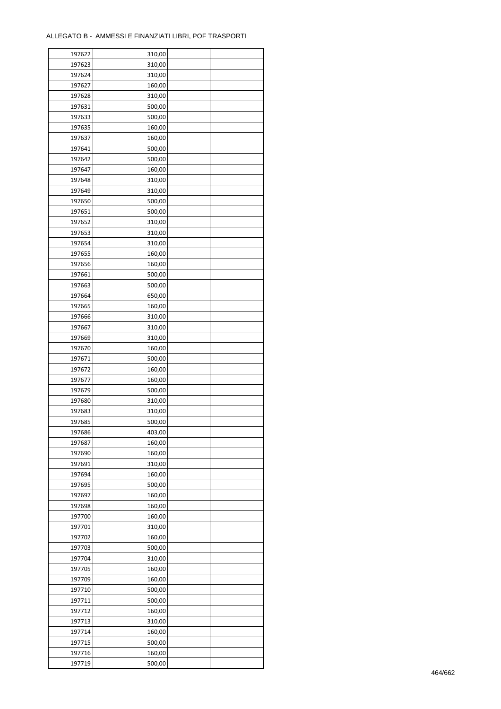| 197622 | 310,00 |  |
|--------|--------|--|
| 197623 | 310,00 |  |
| 197624 | 310,00 |  |
| 197627 | 160,00 |  |
| 197628 | 310,00 |  |
| 197631 | 500,00 |  |
| 197633 | 500,00 |  |
| 197635 | 160,00 |  |
| 197637 | 160,00 |  |
| 197641 | 500,00 |  |
| 197642 | 500,00 |  |
| 197647 | 160,00 |  |
| 197648 | 310,00 |  |
| 197649 |        |  |
|        | 310,00 |  |
| 197650 | 500,00 |  |
| 197651 | 500,00 |  |
| 197652 | 310,00 |  |
| 197653 | 310,00 |  |
| 197654 | 310,00 |  |
| 197655 | 160,00 |  |
| 197656 | 160,00 |  |
| 197661 | 500,00 |  |
| 197663 | 500,00 |  |
| 197664 | 650,00 |  |
| 197665 | 160,00 |  |
| 197666 | 310,00 |  |
| 197667 | 310,00 |  |
| 197669 | 310,00 |  |
| 197670 | 160,00 |  |
| 197671 | 500,00 |  |
| 197672 | 160,00 |  |
| 197677 | 160,00 |  |
| 197679 | 500,00 |  |
| 197680 | 310,00 |  |
| 197683 | 310,00 |  |
| 197685 | 500,00 |  |
| 197686 | 403,00 |  |
| 197687 | 160,00 |  |
| 197690 | 160,00 |  |
| 197691 | 310,00 |  |
| 197694 | 160,00 |  |
| 197695 | 500,00 |  |
| 197697 | 160,00 |  |
| 197698 | 160,00 |  |
| 197700 | 160,00 |  |
| 197701 | 310,00 |  |
| 197702 | 160,00 |  |
| 197703 | 500,00 |  |
| 197704 | 310,00 |  |
|        | 160,00 |  |
| 197705 |        |  |
| 197709 | 160,00 |  |
| 197710 | 500,00 |  |
| 197711 | 500,00 |  |
| 197712 | 160,00 |  |
| 197713 | 310,00 |  |
| 197714 | 160,00 |  |
| 197715 | 500,00 |  |
| 197716 | 160,00 |  |
| 197719 | 500,00 |  |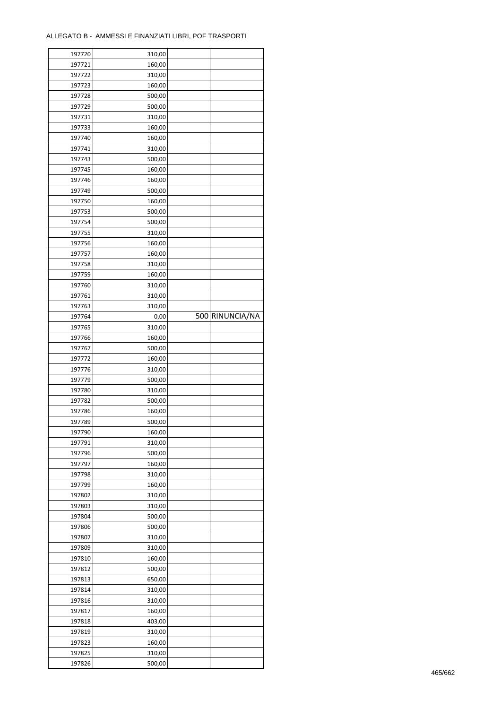| 197720 | 310,00 |                 |
|--------|--------|-----------------|
| 197721 | 160,00 |                 |
| 197722 | 310,00 |                 |
| 197723 | 160,00 |                 |
| 197728 | 500,00 |                 |
| 197729 | 500,00 |                 |
| 197731 | 310,00 |                 |
| 197733 | 160,00 |                 |
|        |        |                 |
| 197740 | 160,00 |                 |
| 197741 | 310,00 |                 |
| 197743 | 500,00 |                 |
| 197745 | 160,00 |                 |
| 197746 | 160,00 |                 |
| 197749 | 500,00 |                 |
| 197750 | 160,00 |                 |
| 197753 | 500,00 |                 |
| 197754 | 500,00 |                 |
| 197755 | 310,00 |                 |
| 197756 | 160,00 |                 |
| 197757 | 160,00 |                 |
| 197758 | 310,00 |                 |
| 197759 | 160,00 |                 |
| 197760 | 310,00 |                 |
| 197761 | 310,00 |                 |
|        |        |                 |
| 197763 | 310,00 |                 |
| 197764 | 0,00   | 500 RINUNCIA/NA |
| 197765 | 310,00 |                 |
| 197766 | 160,00 |                 |
| 197767 | 500,00 |                 |
| 197772 | 160,00 |                 |
| 197776 | 310,00 |                 |
| 197779 | 500,00 |                 |
| 197780 | 310,00 |                 |
| 197782 | 500,00 |                 |
| 197786 | 160,00 |                 |
| 197789 | 500,00 |                 |
| 197790 | 160,00 |                 |
| 197791 | 310,00 |                 |
| 197796 | 500,00 |                 |
|        | 160,00 |                 |
| 197797 |        |                 |
| 197798 | 310,00 |                 |
| 197799 | 160,00 |                 |
| 197802 | 310,00 |                 |
| 197803 | 310,00 |                 |
| 197804 | 500,00 |                 |
| 197806 | 500,00 |                 |
| 197807 | 310,00 |                 |
| 197809 | 310,00 |                 |
| 197810 | 160,00 |                 |
| 197812 | 500,00 |                 |
| 197813 | 650,00 |                 |
| 197814 | 310,00 |                 |
| 197816 | 310,00 |                 |
| 197817 | 160,00 |                 |
|        |        |                 |
| 197818 | 403,00 |                 |
| 197819 |        |                 |
|        | 310,00 |                 |
| 197823 | 160,00 |                 |
| 197825 | 310,00 |                 |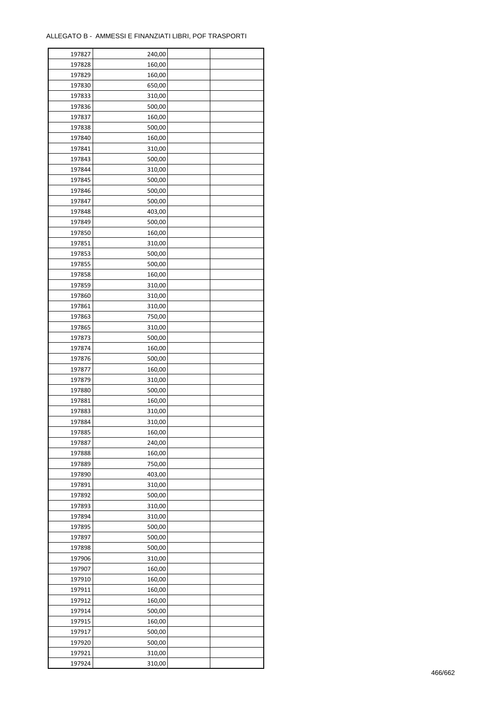| 197827 | 240,00           |  |
|--------|------------------|--|
| 197828 | 160,00           |  |
| 197829 | 160,00           |  |
| 197830 | 650,00           |  |
| 197833 | 310,00           |  |
| 197836 | 500,00           |  |
| 197837 | 160,00           |  |
| 197838 | 500,00           |  |
| 197840 | 160,00           |  |
| 197841 | 310,00           |  |
| 197843 | 500,00           |  |
| 197844 | 310,00           |  |
| 197845 | 500,00           |  |
| 197846 | 500,00           |  |
| 197847 | 500,00           |  |
| 197848 | 403,00           |  |
| 197849 | 500,00           |  |
| 197850 | 160,00           |  |
| 197851 | 310,00           |  |
| 197853 | 500,00           |  |
| 197855 | 500,00           |  |
| 197858 | 160,00           |  |
| 197859 |                  |  |
| 197860 | 310,00<br>310,00 |  |
| 197861 | 310,00           |  |
| 197863 |                  |  |
| 197865 | 750,00<br>310,00 |  |
| 197873 | 500,00           |  |
| 197874 | 160,00           |  |
| 197876 | 500,00           |  |
| 197877 | 160,00           |  |
| 197879 | 310,00           |  |
| 197880 | 500,00           |  |
| 197881 | 160,00           |  |
| 197883 | 310,00           |  |
| 197884 | 310,00           |  |
| 197885 | 160,00           |  |
| 197887 | 240,00           |  |
| 197888 | 160,00           |  |
| 197889 | 750,00           |  |
| 197890 | 403,00           |  |
| 197891 | 310,00           |  |
| 197892 | 500,00           |  |
| 197893 | 310,00           |  |
| 197894 | 310,00           |  |
| 197895 | 500,00           |  |
| 197897 | 500,00           |  |
| 197898 | 500,00           |  |
| 197906 | 310,00           |  |
| 197907 | 160,00           |  |
| 197910 | 160,00           |  |
| 197911 | 160,00           |  |
| 197912 | 160,00           |  |
| 197914 | 500,00           |  |
| 197915 | 160,00           |  |
| 197917 | 500,00           |  |
| 197920 | 500,00           |  |
| 197921 | 310,00           |  |
| 197924 | 310,00           |  |
|        |                  |  |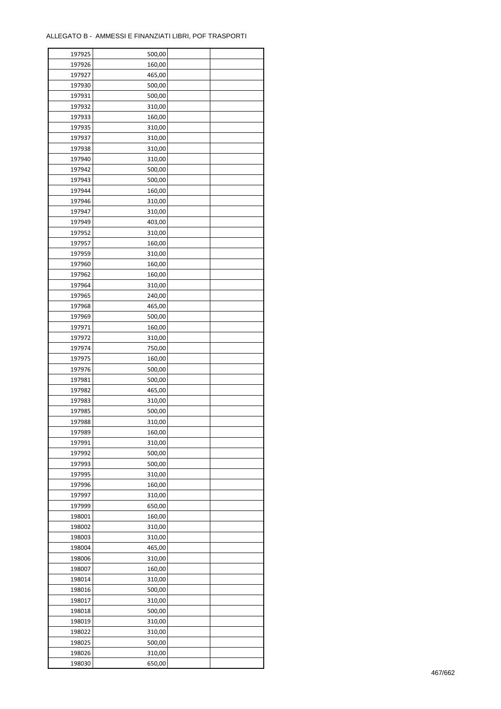| 197925 | 500,00 |  |
|--------|--------|--|
| 197926 | 160,00 |  |
| 197927 | 465,00 |  |
| 197930 | 500,00 |  |
| 197931 | 500,00 |  |
| 197932 | 310,00 |  |
| 197933 | 160,00 |  |
| 197935 | 310,00 |  |
| 197937 | 310,00 |  |
| 197938 | 310,00 |  |
| 197940 | 310,00 |  |
| 197942 | 500,00 |  |
| 197943 | 500,00 |  |
| 197944 | 160,00 |  |
| 197946 | 310,00 |  |
| 197947 | 310,00 |  |
| 197949 | 403,00 |  |
| 197952 | 310,00 |  |
| 197957 | 160,00 |  |
| 197959 | 310,00 |  |
| 197960 | 160,00 |  |
| 197962 | 160,00 |  |
| 197964 | 310,00 |  |
| 197965 | 240,00 |  |
| 197968 | 465,00 |  |
| 197969 | 500,00 |  |
| 197971 | 160,00 |  |
| 197972 | 310,00 |  |
| 197974 | 750,00 |  |
| 197975 | 160,00 |  |
| 197976 | 500,00 |  |
| 197981 | 500,00 |  |
| 197982 | 465,00 |  |
| 197983 | 310,00 |  |
| 197985 | 500,00 |  |
| 197988 | 310,00 |  |
| 197989 | 160,00 |  |
| 197991 | 310,00 |  |
| 197992 | 500,00 |  |
| 197993 | 500,00 |  |
| 197995 | 310,00 |  |
| 197996 | 160,00 |  |
| 197997 | 310,00 |  |
| 197999 | 650,00 |  |
| 198001 | 160,00 |  |
| 198002 | 310,00 |  |
| 198003 | 310,00 |  |
| 198004 | 465,00 |  |
| 198006 | 310,00 |  |
| 198007 | 160,00 |  |
| 198014 | 310,00 |  |
| 198016 | 500,00 |  |
| 198017 | 310,00 |  |
| 198018 | 500,00 |  |
| 198019 | 310,00 |  |
| 198022 | 310,00 |  |
| 198025 | 500,00 |  |
| 198026 | 310,00 |  |
| 198030 | 650,00 |  |
|        |        |  |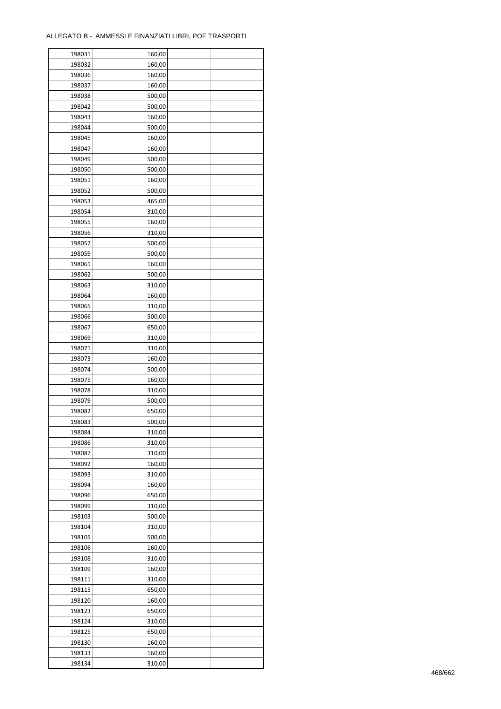| 198031 | 160,00 |  |
|--------|--------|--|
| 198032 | 160,00 |  |
| 198036 | 160,00 |  |
| 198037 | 160,00 |  |
| 198038 | 500,00 |  |
| 198042 | 500,00 |  |
| 198043 | 160,00 |  |
| 198044 | 500,00 |  |
| 198045 | 160,00 |  |
| 198047 | 160,00 |  |
| 198049 | 500,00 |  |
| 198050 | 500,00 |  |
|        |        |  |
| 198051 | 160,00 |  |
| 198052 | 500,00 |  |
| 198053 | 465,00 |  |
| 198054 | 310,00 |  |
| 198055 | 160,00 |  |
| 198056 | 310,00 |  |
| 198057 | 500,00 |  |
| 198059 | 500,00 |  |
| 198061 | 160,00 |  |
| 198062 | 500,00 |  |
| 198063 | 310,00 |  |
| 198064 | 160,00 |  |
| 198065 | 310,00 |  |
| 198066 | 500,00 |  |
| 198067 | 650,00 |  |
| 198069 | 310,00 |  |
| 198071 | 310,00 |  |
| 198073 | 160,00 |  |
| 198074 | 500,00 |  |
| 198075 | 160,00 |  |
| 198078 | 310,00 |  |
| 198079 | 500,00 |  |
| 198082 | 650,00 |  |
| 198083 | 500,00 |  |
|        |        |  |
| 198084 | 310,00 |  |
| 198086 | 310,00 |  |
| 198087 | 310,00 |  |
| 198092 | 160,00 |  |
| 198093 | 310,00 |  |
| 198094 | 160,00 |  |
| 198096 | 650,00 |  |
| 198099 | 310,00 |  |
| 198103 | 500,00 |  |
| 198104 | 310,00 |  |
| 198105 | 500,00 |  |
| 198106 | 160,00 |  |
| 198108 | 310,00 |  |
| 198109 | 160,00 |  |
| 198111 | 310,00 |  |
| 198115 | 650,00 |  |
| 198120 | 160,00 |  |
| 198123 | 650,00 |  |
| 198124 | 310,00 |  |
| 198125 | 650,00 |  |
| 198130 | 160,00 |  |
| 198133 | 160,00 |  |
|        |        |  |
| 198134 | 310,00 |  |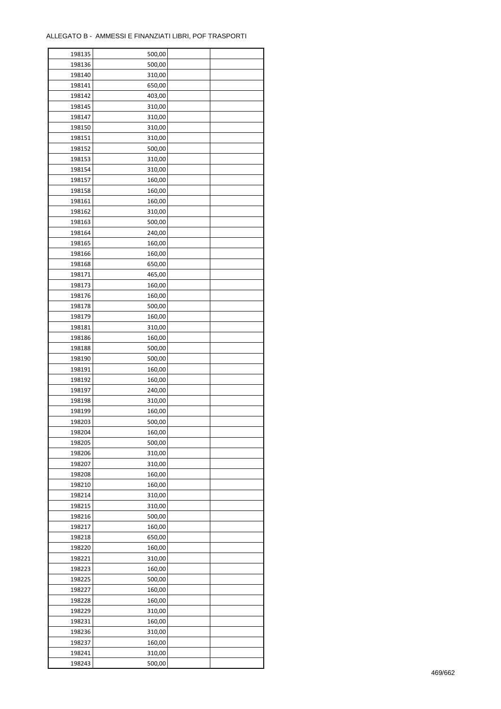| 198135 | 500,00 |  |
|--------|--------|--|
| 198136 | 500,00 |  |
| 198140 | 310,00 |  |
| 198141 | 650,00 |  |
| 198142 | 403,00 |  |
| 198145 | 310,00 |  |
| 198147 | 310,00 |  |
| 198150 | 310,00 |  |
| 198151 | 310,00 |  |
| 198152 | 500,00 |  |
| 198153 | 310,00 |  |
| 198154 | 310,00 |  |
| 198157 | 160,00 |  |
|        | 160,00 |  |
| 198158 |        |  |
| 198161 | 160,00 |  |
| 198162 | 310,00 |  |
| 198163 | 500,00 |  |
| 198164 | 240,00 |  |
| 198165 | 160,00 |  |
| 198166 | 160,00 |  |
| 198168 | 650,00 |  |
| 198171 | 465,00 |  |
| 198173 | 160,00 |  |
| 198176 | 160,00 |  |
| 198178 | 500,00 |  |
| 198179 | 160,00 |  |
| 198181 | 310,00 |  |
| 198186 | 160,00 |  |
| 198188 | 500,00 |  |
| 198190 | 500,00 |  |
| 198191 | 160,00 |  |
| 198192 | 160,00 |  |
| 198197 | 240,00 |  |
| 198198 | 310,00 |  |
| 198199 | 160,00 |  |
| 198203 | 500,00 |  |
| 198204 | 160,00 |  |
| 198205 | 500,00 |  |
|        |        |  |
| 198206 | 310,00 |  |
| 198207 | 310,00 |  |
| 198208 | 160,00 |  |
| 198210 | 160,00 |  |
| 198214 | 310,00 |  |
| 198215 | 310,00 |  |
| 198216 | 500,00 |  |
| 198217 | 160,00 |  |
| 198218 | 650,00 |  |
| 198220 | 160,00 |  |
| 198221 | 310,00 |  |
| 198223 | 160,00 |  |
| 198225 | 500,00 |  |
| 198227 | 160,00 |  |
| 198228 | 160,00 |  |
| 198229 | 310,00 |  |
| 198231 | 160,00 |  |
| 198236 | 310,00 |  |
| 198237 | 160,00 |  |
| 198241 | 310,00 |  |
| 198243 | 500,00 |  |
|        |        |  |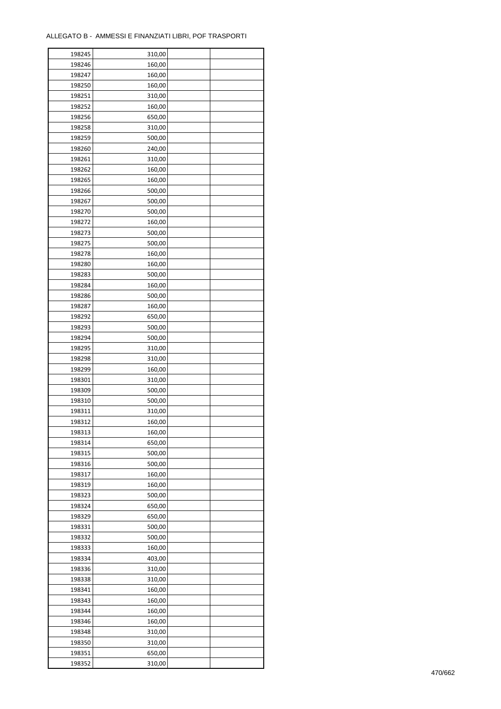| 198245 | 310,00 |  |
|--------|--------|--|
| 198246 | 160,00 |  |
| 198247 | 160,00 |  |
| 198250 | 160,00 |  |
| 198251 | 310,00 |  |
| 198252 | 160,00 |  |
| 198256 | 650,00 |  |
| 198258 | 310,00 |  |
| 198259 | 500,00 |  |
|        |        |  |
| 198260 | 240,00 |  |
| 198261 | 310,00 |  |
| 198262 | 160,00 |  |
| 198265 | 160,00 |  |
| 198266 | 500,00 |  |
| 198267 | 500,00 |  |
| 198270 | 500,00 |  |
| 198272 | 160,00 |  |
| 198273 | 500,00 |  |
| 198275 | 500,00 |  |
| 198278 | 160,00 |  |
| 198280 | 160,00 |  |
| 198283 | 500,00 |  |
| 198284 | 160,00 |  |
| 198286 | 500,00 |  |
| 198287 | 160,00 |  |
| 198292 | 650,00 |  |
| 198293 | 500,00 |  |
| 198294 | 500,00 |  |
|        |        |  |
| 198295 | 310,00 |  |
| 198298 | 310,00 |  |
| 198299 | 160,00 |  |
| 198301 | 310,00 |  |
| 198309 | 500,00 |  |
| 198310 | 500,00 |  |
| 198311 | 310,00 |  |
| 198312 | 160,00 |  |
| 198313 | 160,00 |  |
| 198314 | 650,00 |  |
| 198315 | 500,00 |  |
| 198316 | 500,00 |  |
| 198317 | 160,00 |  |
| 198319 | 160,00 |  |
| 198323 | 500,00 |  |
| 198324 | 650,00 |  |
| 198329 | 650,00 |  |
| 198331 | 500,00 |  |
| 198332 | 500,00 |  |
| 198333 | 160,00 |  |
| 198334 | 403,00 |  |
| 198336 |        |  |
|        | 310,00 |  |
| 198338 | 310,00 |  |
| 198341 | 160,00 |  |
| 198343 | 160,00 |  |
| 198344 | 160,00 |  |
| 198346 | 160,00 |  |
| 198348 | 310,00 |  |
| 198350 | 310,00 |  |
| 198351 | 650,00 |  |
| 198352 | 310,00 |  |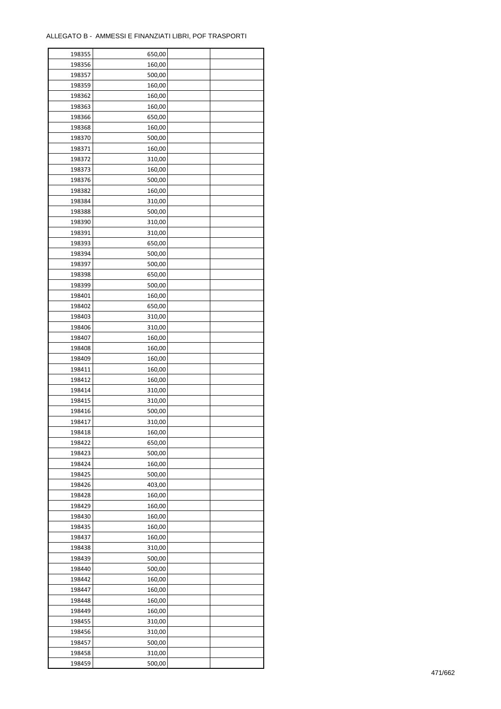| 198355 | 650,00 |  |
|--------|--------|--|
| 198356 | 160,00 |  |
| 198357 | 500,00 |  |
| 198359 | 160,00 |  |
| 198362 | 160,00 |  |
| 198363 | 160,00 |  |
| 198366 | 650,00 |  |
| 198368 | 160,00 |  |
| 198370 | 500,00 |  |
| 198371 | 160,00 |  |
| 198372 | 310,00 |  |
| 198373 | 160,00 |  |
| 198376 | 500,00 |  |
| 198382 | 160,00 |  |
|        |        |  |
| 198384 | 310,00 |  |
| 198388 | 500,00 |  |
| 198390 | 310,00 |  |
| 198391 | 310,00 |  |
| 198393 | 650,00 |  |
| 198394 | 500,00 |  |
| 198397 | 500,00 |  |
| 198398 | 650,00 |  |
| 198399 | 500,00 |  |
| 198401 | 160,00 |  |
| 198402 | 650,00 |  |
| 198403 | 310,00 |  |
| 198406 | 310,00 |  |
| 198407 | 160,00 |  |
| 198408 | 160,00 |  |
| 198409 | 160,00 |  |
| 198411 | 160,00 |  |
| 198412 | 160,00 |  |
| 198414 | 310,00 |  |
| 198415 | 310,00 |  |
| 198416 | 500,00 |  |
| 198417 | 310,00 |  |
| 198418 | 160,00 |  |
| 198422 | 650,00 |  |
|        | 500,00 |  |
| 198423 |        |  |
| 198424 | 160,00 |  |
| 198425 | 500,00 |  |
| 198426 | 403,00 |  |
| 198428 | 160,00 |  |
| 198429 | 160,00 |  |
| 198430 | 160,00 |  |
| 198435 | 160,00 |  |
| 198437 | 160,00 |  |
| 198438 | 310,00 |  |
| 198439 | 500,00 |  |
| 198440 | 500,00 |  |
| 198442 | 160,00 |  |
| 198447 | 160,00 |  |
| 198448 | 160,00 |  |
| 198449 | 160,00 |  |
| 198455 | 310,00 |  |
| 198456 | 310,00 |  |
| 198457 | 500,00 |  |
| 198458 | 310,00 |  |
| 198459 | 500,00 |  |
|        |        |  |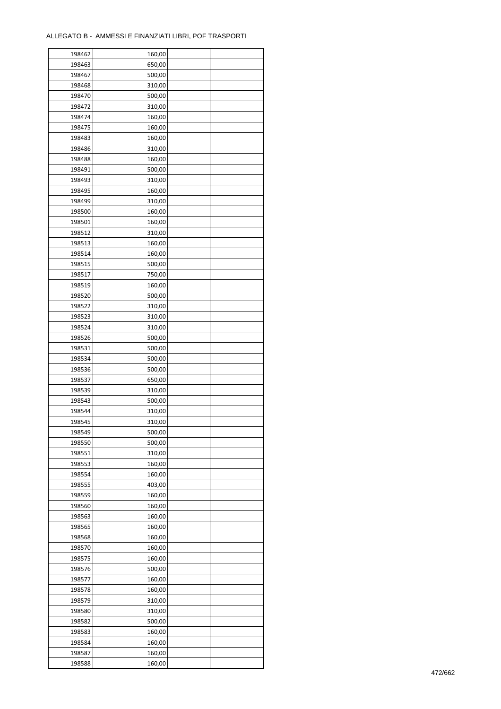| 198462 | 160,00 |  |
|--------|--------|--|
| 198463 | 650,00 |  |
| 198467 | 500,00 |  |
| 198468 | 310,00 |  |
| 198470 | 500,00 |  |
| 198472 | 310,00 |  |
| 198474 | 160,00 |  |
| 198475 | 160,00 |  |
| 198483 | 160,00 |  |
| 198486 | 310,00 |  |
| 198488 | 160,00 |  |
| 198491 | 500,00 |  |
| 198493 | 310,00 |  |
|        |        |  |
| 198495 | 160,00 |  |
| 198499 | 310,00 |  |
| 198500 | 160,00 |  |
| 198501 | 160,00 |  |
| 198512 | 310,00 |  |
| 198513 | 160,00 |  |
| 198514 | 160,00 |  |
| 198515 | 500,00 |  |
| 198517 | 750,00 |  |
| 198519 | 160,00 |  |
| 198520 | 500,00 |  |
| 198522 | 310,00 |  |
| 198523 | 310,00 |  |
| 198524 | 310,00 |  |
| 198526 | 500,00 |  |
| 198531 | 500,00 |  |
| 198534 | 500,00 |  |
| 198536 | 500,00 |  |
| 198537 | 650,00 |  |
| 198539 | 310,00 |  |
| 198543 | 500,00 |  |
| 198544 | 310,00 |  |
| 198545 | 310,00 |  |
| 198549 | 500,00 |  |
| 198550 | 500,00 |  |
| 198551 | 310,00 |  |
|        |        |  |
| 198553 | 160,00 |  |
| 198554 | 160,00 |  |
| 198555 | 403,00 |  |
| 198559 | 160,00 |  |
| 198560 | 160,00 |  |
| 198563 | 160,00 |  |
| 198565 | 160,00 |  |
| 198568 | 160,00 |  |
| 198570 | 160,00 |  |
| 198575 | 160,00 |  |
| 198576 | 500,00 |  |
| 198577 | 160,00 |  |
| 198578 | 160,00 |  |
| 198579 | 310,00 |  |
| 198580 | 310,00 |  |
| 198582 | 500,00 |  |
| 198583 | 160,00 |  |
| 198584 | 160,00 |  |
| 198587 | 160,00 |  |
| 198588 | 160,00 |  |
|        |        |  |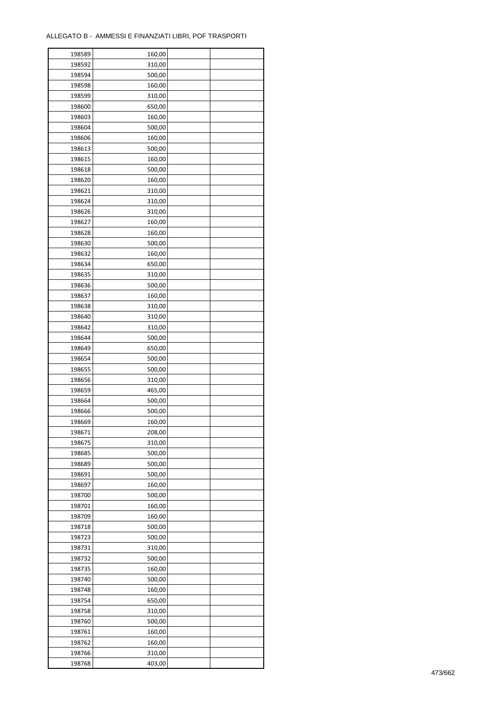| 198589 | 160,00 |  |
|--------|--------|--|
| 198592 | 310,00 |  |
| 198594 | 500,00 |  |
| 198598 | 160,00 |  |
| 198599 | 310,00 |  |
| 198600 | 650,00 |  |
| 198603 | 160,00 |  |
| 198604 | 500,00 |  |
| 198606 | 160,00 |  |
| 198613 | 500,00 |  |
| 198615 | 160,00 |  |
| 198618 | 500,00 |  |
|        |        |  |
| 198620 | 160,00 |  |
| 198621 | 310,00 |  |
| 198624 | 310,00 |  |
| 198626 | 310,00 |  |
| 198627 | 160,00 |  |
| 198628 | 160,00 |  |
| 198630 | 500,00 |  |
| 198632 | 160,00 |  |
| 198634 | 650,00 |  |
| 198635 | 310,00 |  |
| 198636 | 500,00 |  |
| 198637 | 160,00 |  |
| 198638 | 310,00 |  |
| 198640 | 310,00 |  |
| 198642 | 310,00 |  |
| 198644 | 500,00 |  |
| 198649 | 650,00 |  |
| 198654 | 500,00 |  |
| 198655 | 500,00 |  |
| 198656 | 310,00 |  |
| 198659 | 465,00 |  |
| 198664 | 500,00 |  |
| 198666 | 500,00 |  |
| 198669 | 160,00 |  |
|        |        |  |
| 198671 | 208,00 |  |
| 198675 | 310,00 |  |
| 198685 | 500,00 |  |
| 198689 | 500,00 |  |
| 198691 | 500,00 |  |
| 198697 | 160,00 |  |
| 198700 | 500,00 |  |
| 198701 | 160,00 |  |
| 198709 | 160,00 |  |
| 198718 | 500,00 |  |
| 198723 | 500,00 |  |
| 198731 | 310,00 |  |
| 198732 | 500,00 |  |
| 198735 | 160,00 |  |
| 198740 | 500,00 |  |
| 198748 | 160,00 |  |
| 198754 | 650,00 |  |
| 198758 | 310,00 |  |
| 198760 | 500,00 |  |
| 198761 | 160,00 |  |
| 198762 | 160,00 |  |
| 198766 | 310,00 |  |
| 198768 | 403,00 |  |
|        |        |  |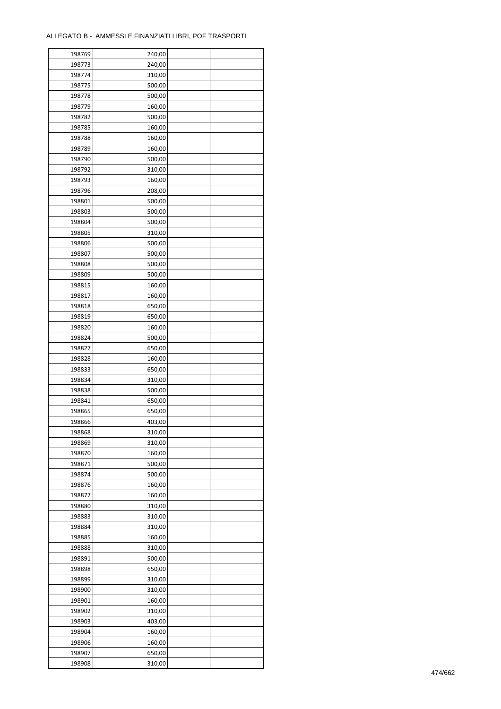| 198769 | 240,00 |  |
|--------|--------|--|
| 198773 | 240,00 |  |
| 198774 | 310,00 |  |
| 198775 | 500,00 |  |
| 198778 | 500,00 |  |
| 198779 | 160,00 |  |
| 198782 | 500,00 |  |
| 198785 | 160,00 |  |
| 198788 | 160,00 |  |
| 198789 | 160,00 |  |
| 198790 | 500,00 |  |
| 198792 | 310,00 |  |
| 198793 | 160,00 |  |
| 198796 | 208,00 |  |
| 198801 | 500,00 |  |
| 198803 | 500,00 |  |
| 198804 | 500,00 |  |
| 198805 | 310,00 |  |
| 198806 | 500,00 |  |
| 198807 | 500,00 |  |
| 198808 |        |  |
|        | 500,00 |  |
| 198809 | 500,00 |  |
| 198815 | 160,00 |  |
| 198817 | 160,00 |  |
| 198818 | 650,00 |  |
| 198819 | 650,00 |  |
| 198820 | 160,00 |  |
| 198824 | 500,00 |  |
| 198827 | 650,00 |  |
| 198828 | 160,00 |  |
| 198833 | 650,00 |  |
| 198834 | 310,00 |  |
| 198838 | 500,00 |  |
| 198841 | 650,00 |  |
| 198865 | 650,00 |  |
| 198866 | 403,00 |  |
| 198868 | 310,00 |  |
| 198869 | 310,00 |  |
| 198870 | 160,00 |  |
| 198871 | 500,00 |  |
| 198874 | 500,00 |  |
| 198876 | 160,00 |  |
| 198877 | 160,00 |  |
| 198880 | 310,00 |  |
| 198883 | 310,00 |  |
| 198884 | 310,00 |  |
| 198885 | 160,00 |  |
| 198888 | 310,00 |  |
| 198891 | 500,00 |  |
| 198898 | 650,00 |  |
| 198899 | 310,00 |  |
| 198900 | 310,00 |  |
| 198901 | 160,00 |  |
| 198902 | 310,00 |  |
| 198903 | 403,00 |  |
| 198904 | 160,00 |  |
| 198906 | 160,00 |  |
| 198907 | 650,00 |  |
| 198908 | 310,00 |  |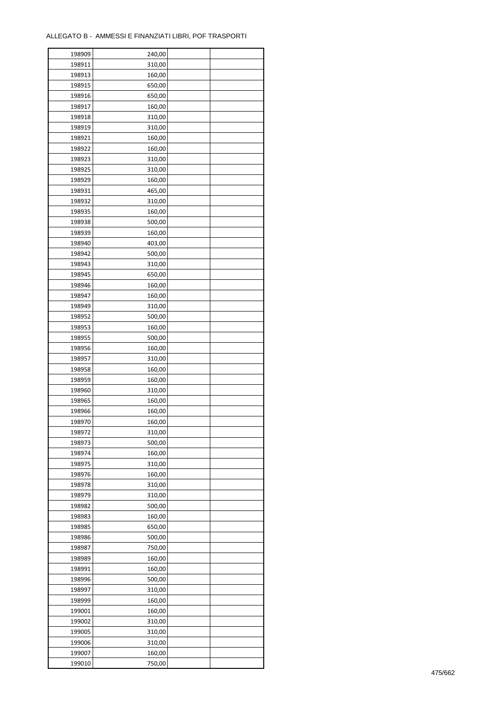| 198909 | 240,00 |  |
|--------|--------|--|
| 198911 | 310,00 |  |
| 198913 | 160,00 |  |
| 198915 | 650,00 |  |
| 198916 | 650,00 |  |
| 198917 | 160,00 |  |
| 198918 | 310,00 |  |
| 198919 | 310,00 |  |
| 198921 | 160,00 |  |
| 198922 | 160,00 |  |
|        |        |  |
| 198923 | 310,00 |  |
| 198925 | 310,00 |  |
| 198929 | 160,00 |  |
| 198931 | 465,00 |  |
| 198932 | 310,00 |  |
| 198935 | 160,00 |  |
| 198938 | 500,00 |  |
| 198939 | 160,00 |  |
| 198940 | 403,00 |  |
| 198942 | 500,00 |  |
| 198943 | 310,00 |  |
| 198945 | 650,00 |  |
| 198946 | 160,00 |  |
| 198947 | 160,00 |  |
| 198949 | 310,00 |  |
| 198952 | 500,00 |  |
| 198953 | 160,00 |  |
| 198955 | 500,00 |  |
| 198956 | 160,00 |  |
| 198957 | 310,00 |  |
|        | 160,00 |  |
| 198958 |        |  |
| 198959 | 160,00 |  |
| 198960 | 310,00 |  |
| 198965 | 160,00 |  |
| 198966 | 160,00 |  |
| 198970 | 160,00 |  |
| 198972 | 310,00 |  |
| 198973 | 500,00 |  |
| 198974 | 160,00 |  |
| 198975 | 310,00 |  |
| 198976 | 160,00 |  |
| 198978 | 310,00 |  |
| 198979 | 310,00 |  |
| 198982 | 500,00 |  |
| 198983 | 160,00 |  |
| 198985 | 650,00 |  |
| 198986 | 500,00 |  |
| 198987 | 750,00 |  |
| 198989 | 160,00 |  |
| 198991 | 160,00 |  |
| 198996 | 500,00 |  |
| 198997 | 310,00 |  |
| 198999 | 160,00 |  |
|        |        |  |
| 199001 | 160,00 |  |
| 199002 | 310,00 |  |
| 199005 | 310,00 |  |
| 199006 | 310,00 |  |
| 199007 | 160,00 |  |
| 199010 | 750,00 |  |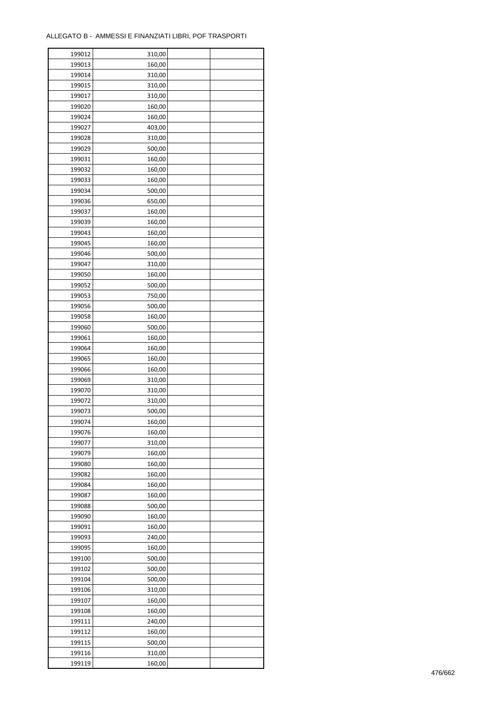| 199012 | 310,00           |  |
|--------|------------------|--|
| 199013 | 160,00           |  |
| 199014 | 310,00           |  |
| 199015 | 310,00           |  |
| 199017 | 310,00           |  |
| 199020 | 160,00           |  |
| 199024 | 160,00           |  |
| 199027 | 403,00           |  |
| 199028 | 310,00           |  |
| 199029 | 500,00           |  |
| 199031 | 160,00           |  |
| 199032 | 160,00           |  |
| 199033 |                  |  |
| 199034 | 160,00<br>500,00 |  |
|        |                  |  |
| 199036 | 650,00           |  |
| 199037 | 160,00           |  |
| 199039 | 160,00           |  |
| 199043 | 160,00           |  |
| 199045 | 160,00           |  |
| 199046 | 500,00           |  |
| 199047 | 310,00           |  |
| 199050 | 160,00           |  |
| 199052 | 500,00           |  |
| 199053 | 750,00           |  |
| 199056 | 500,00           |  |
| 199058 | 160,00           |  |
| 199060 | 500,00           |  |
| 199061 | 160,00           |  |
| 199064 | 160,00           |  |
| 199065 | 160,00           |  |
| 199066 | 160,00           |  |
| 199069 | 310,00           |  |
| 199070 | 310,00           |  |
| 199072 | 310,00           |  |
| 199073 | 500,00           |  |
| 199074 | 160,00           |  |
| 199076 | 160,00           |  |
| 199077 | 310,00           |  |
| 199079 | 160,00           |  |
| 199080 | 160,00           |  |
| 199082 | 160,00           |  |
| 199084 | 160,00           |  |
| 199087 | 160,00           |  |
|        |                  |  |
| 199088 | 500,00           |  |
| 199090 | 160,00           |  |
| 199091 | 160,00           |  |
| 199093 | 240,00           |  |
| 199095 | 160,00           |  |
| 199100 | 500,00           |  |
| 199102 | 500,00           |  |
| 199104 | 500,00           |  |
| 199106 | 310,00           |  |
| 199107 | 160,00           |  |
| 199108 | 160,00           |  |
| 199111 | 240,00           |  |
| 199112 | 160,00           |  |
| 199115 | 500,00           |  |
| 199116 | 310,00           |  |
| 199119 | 160,00           |  |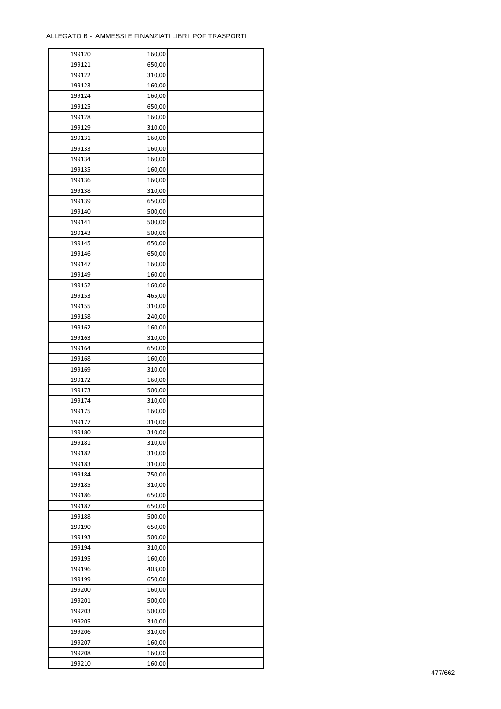$\mathbf{r}$ 

| 199120 | 160,00 |  |
|--------|--------|--|
| 199121 | 650,00 |  |
| 199122 | 310,00 |  |
| 199123 | 160,00 |  |
| 199124 | 160,00 |  |
| 199125 | 650,00 |  |
| 199128 | 160,00 |  |
| 199129 | 310,00 |  |
| 199131 | 160,00 |  |
| 199133 | 160,00 |  |
| 199134 | 160,00 |  |
|        |        |  |
| 199135 | 160,00 |  |
| 199136 | 160,00 |  |
| 199138 | 310,00 |  |
| 199139 | 650,00 |  |
| 199140 | 500,00 |  |
| 199141 | 500,00 |  |
| 199143 | 500,00 |  |
| 199145 | 650,00 |  |
| 199146 | 650,00 |  |
| 199147 | 160,00 |  |
| 199149 | 160,00 |  |
| 199152 | 160,00 |  |
| 199153 | 465,00 |  |
| 199155 | 310,00 |  |
| 199158 | 240,00 |  |
| 199162 | 160,00 |  |
| 199163 | 310,00 |  |
| 199164 | 650,00 |  |
| 199168 | 160,00 |  |
| 199169 | 310,00 |  |
| 199172 | 160,00 |  |
| 199173 | 500,00 |  |
| 199174 | 310,00 |  |
| 199175 | 160,00 |  |
| 199177 |        |  |
|        | 310,00 |  |
| 199180 | 310,00 |  |
| 199181 | 310,00 |  |
| 199182 | 310,00 |  |
| 199183 | 310,00 |  |
| 199184 | 750,00 |  |
| 199185 | 310,00 |  |
| 199186 | 650,00 |  |
| 199187 | 650,00 |  |
| 199188 | 500,00 |  |
| 199190 | 650,00 |  |
| 199193 | 500,00 |  |
| 199194 | 310,00 |  |
| 199195 | 160,00 |  |
| 199196 | 403,00 |  |
| 199199 | 650,00 |  |
| 199200 | 160,00 |  |
| 199201 | 500,00 |  |
| 199203 | 500,00 |  |
| 199205 | 310,00 |  |
| 199206 | 310,00 |  |
| 199207 | 160,00 |  |
|        |        |  |
| 199208 | 160,00 |  |
| 199210 | 160,00 |  |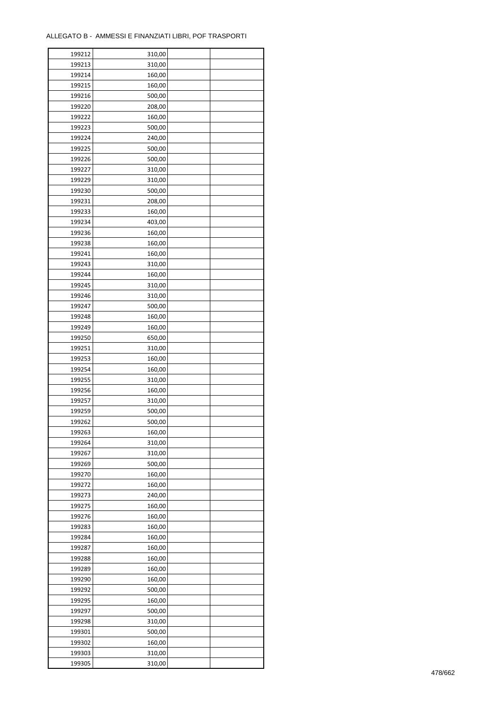÷

| 199212 | 310,00 |  |
|--------|--------|--|
| 199213 | 310,00 |  |
| 199214 | 160,00 |  |
| 199215 | 160,00 |  |
| 199216 | 500,00 |  |
| 199220 | 208,00 |  |
| 199222 | 160,00 |  |
| 199223 | 500,00 |  |
| 199224 | 240,00 |  |
|        |        |  |
| 199225 | 500,00 |  |
| 199226 | 500,00 |  |
| 199227 | 310,00 |  |
| 199229 | 310,00 |  |
| 199230 | 500,00 |  |
| 199231 | 208,00 |  |
| 199233 | 160,00 |  |
| 199234 | 403,00 |  |
| 199236 | 160,00 |  |
| 199238 | 160,00 |  |
| 199241 | 160,00 |  |
| 199243 | 310,00 |  |
| 199244 | 160,00 |  |
| 199245 | 310,00 |  |
| 199246 | 310,00 |  |
| 199247 | 500,00 |  |
| 199248 | 160,00 |  |
| 199249 | 160,00 |  |
| 199250 | 650,00 |  |
| 199251 | 310,00 |  |
| 199253 | 160,00 |  |
|        |        |  |
| 199254 | 160,00 |  |
| 199255 | 310,00 |  |
| 199256 | 160,00 |  |
| 199257 | 310,00 |  |
| 199259 | 500,00 |  |
| 199262 | 500,00 |  |
| 199263 | 160,00 |  |
| 199264 | 310,00 |  |
| 199267 | 310,00 |  |
| 199269 | 500,00 |  |
| 199270 | 160,00 |  |
| 199272 | 160,00 |  |
| 199273 | 240,00 |  |
| 199275 | 160,00 |  |
| 199276 | 160,00 |  |
| 199283 | 160,00 |  |
| 199284 | 160,00 |  |
| 199287 | 160,00 |  |
| 199288 | 160,00 |  |
| 199289 | 160,00 |  |
| 199290 | 160,00 |  |
|        |        |  |
| 199292 | 500,00 |  |
| 199295 | 160,00 |  |
| 199297 | 500,00 |  |
| 199298 | 310,00 |  |
| 199301 | 500,00 |  |
| 199302 | 160,00 |  |
| 199303 | 310,00 |  |
| 199305 | 310,00 |  |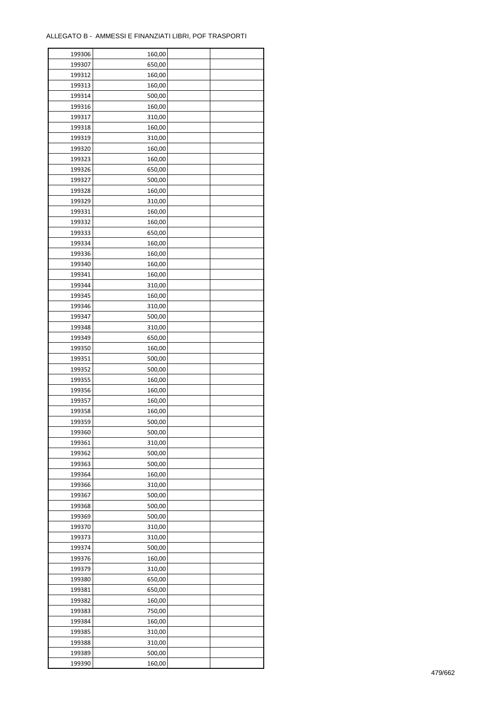| 199306 | 160,00 |  |
|--------|--------|--|
| 199307 | 650,00 |  |
| 199312 | 160,00 |  |
| 199313 | 160,00 |  |
| 199314 | 500,00 |  |
| 199316 | 160,00 |  |
| 199317 | 310,00 |  |
| 199318 | 160,00 |  |
| 199319 | 310,00 |  |
| 199320 | 160,00 |  |
| 199323 | 160,00 |  |
| 199326 | 650,00 |  |
| 199327 | 500,00 |  |
| 199328 | 160,00 |  |
| 199329 | 310,00 |  |
| 199331 | 160,00 |  |
| 199332 | 160,00 |  |
| 199333 | 650,00 |  |
| 199334 | 160,00 |  |
| 199336 | 160,00 |  |
| 199340 |        |  |
|        | 160,00 |  |
| 199341 | 160,00 |  |
| 199344 | 310,00 |  |
| 199345 | 160,00 |  |
| 199346 | 310,00 |  |
| 199347 | 500,00 |  |
| 199348 | 310,00 |  |
| 199349 | 650,00 |  |
| 199350 | 160,00 |  |
| 199351 | 500,00 |  |
| 199352 | 500,00 |  |
| 199355 | 160,00 |  |
| 199356 | 160,00 |  |
| 199357 | 160,00 |  |
| 199358 | 160,00 |  |
| 199359 | 500,00 |  |
| 199360 | 500,00 |  |
| 199361 | 310,00 |  |
| 199362 | 500,00 |  |
| 199363 | 500,00 |  |
| 199364 | 160,00 |  |
| 199366 | 310,00 |  |
| 199367 | 500,00 |  |
| 199368 | 500,00 |  |
| 199369 | 500,00 |  |
| 199370 | 310,00 |  |
| 199373 | 310,00 |  |
| 199374 | 500,00 |  |
| 199376 | 160,00 |  |
| 199379 | 310,00 |  |
| 199380 | 650,00 |  |
| 199381 | 650,00 |  |
| 199382 | 160,00 |  |
| 199383 | 750,00 |  |
| 199384 | 160,00 |  |
| 199385 | 310,00 |  |
| 199388 | 310,00 |  |
| 199389 | 500,00 |  |
| 199390 | 160,00 |  |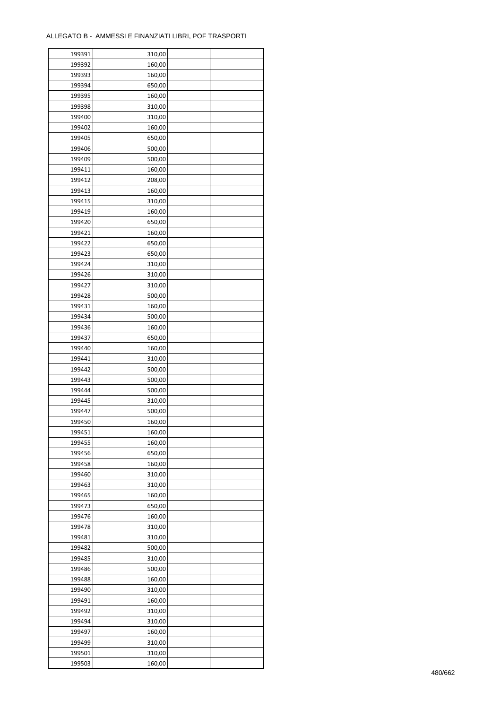| 199391 | 310,00 |  |
|--------|--------|--|
| 199392 | 160,00 |  |
| 199393 | 160,00 |  |
| 199394 | 650,00 |  |
| 199395 | 160,00 |  |
| 199398 | 310,00 |  |
| 199400 | 310,00 |  |
| 199402 | 160,00 |  |
| 199405 | 650,00 |  |
| 199406 | 500,00 |  |
| 199409 | 500,00 |  |
| 199411 | 160,00 |  |
| 199412 | 208,00 |  |
|        |        |  |
| 199413 | 160,00 |  |
| 199415 | 310,00 |  |
| 199419 | 160,00 |  |
| 199420 | 650,00 |  |
| 199421 | 160,00 |  |
| 199422 | 650,00 |  |
| 199423 | 650,00 |  |
| 199424 | 310,00 |  |
| 199426 | 310,00 |  |
| 199427 | 310,00 |  |
| 199428 | 500,00 |  |
| 199431 | 160,00 |  |
| 199434 | 500,00 |  |
| 199436 | 160,00 |  |
| 199437 | 650,00 |  |
| 199440 | 160,00 |  |
| 199441 | 310,00 |  |
| 199442 | 500,00 |  |
| 199443 | 500,00 |  |
| 199444 | 500,00 |  |
| 199445 | 310,00 |  |
| 199447 | 500,00 |  |
| 199450 | 160,00 |  |
| 199451 | 160,00 |  |
| 199455 | 160,00 |  |
| 199456 | 650,00 |  |
| 199458 | 160,00 |  |
| 199460 | 310,00 |  |
| 199463 | 310,00 |  |
| 199465 | 160,00 |  |
| 199473 | 650,00 |  |
| 199476 | 160,00 |  |
| 199478 | 310,00 |  |
| 199481 | 310,00 |  |
| 199482 | 500,00 |  |
| 199485 | 310,00 |  |
| 199486 | 500,00 |  |
| 199488 | 160,00 |  |
| 199490 | 310,00 |  |
| 199491 | 160,00 |  |
| 199492 | 310,00 |  |
| 199494 | 310,00 |  |
| 199497 | 160,00 |  |
| 199499 | 310,00 |  |
|        |        |  |
| 199501 | 310,00 |  |
| 199503 | 160,00 |  |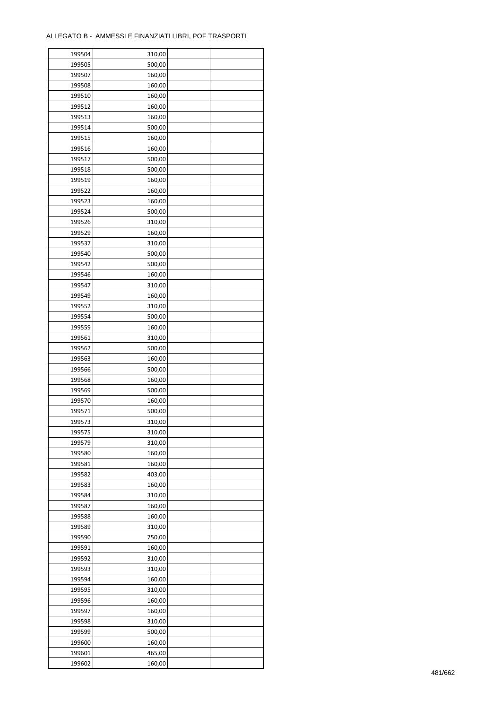| 199504 | 310,00 |  |
|--------|--------|--|
| 199505 | 500,00 |  |
| 199507 | 160,00 |  |
| 199508 | 160,00 |  |
| 199510 | 160,00 |  |
| 199512 | 160,00 |  |
| 199513 | 160,00 |  |
| 199514 | 500,00 |  |
| 199515 | 160,00 |  |
| 199516 | 160,00 |  |
| 199517 | 500,00 |  |
| 199518 | 500,00 |  |
| 199519 | 160,00 |  |
| 199522 | 160,00 |  |
| 199523 | 160,00 |  |
|        |        |  |
| 199524 | 500,00 |  |
| 199526 | 310,00 |  |
| 199529 | 160,00 |  |
| 199537 | 310,00 |  |
| 199540 | 500,00 |  |
| 199542 | 500,00 |  |
| 199546 | 160,00 |  |
| 199547 | 310,00 |  |
| 199549 | 160,00 |  |
| 199552 | 310,00 |  |
| 199554 | 500,00 |  |
| 199559 | 160,00 |  |
| 199561 | 310,00 |  |
| 199562 | 500,00 |  |
| 199563 | 160,00 |  |
| 199566 | 500,00 |  |
| 199568 | 160,00 |  |
| 199569 | 500,00 |  |
| 199570 | 160,00 |  |
| 199571 | 500,00 |  |
| 199573 | 310,00 |  |
| 199575 | 310,00 |  |
| 199579 | 310,00 |  |
| 199580 | 160,00 |  |
| 199581 | 160,00 |  |
| 199582 | 403,00 |  |
| 199583 | 160,00 |  |
| 199584 | 310,00 |  |
| 199587 | 160,00 |  |
| 199588 | 160,00 |  |
| 199589 | 310,00 |  |
| 199590 | 750,00 |  |
| 199591 | 160,00 |  |
| 199592 | 310,00 |  |
| 199593 | 310,00 |  |
| 199594 | 160,00 |  |
| 199595 | 310,00 |  |
| 199596 | 160,00 |  |
| 199597 | 160,00 |  |
| 199598 | 310,00 |  |
| 199599 | 500,00 |  |
| 199600 | 160,00 |  |
| 199601 | 465,00 |  |
| 199602 | 160,00 |  |
|        |        |  |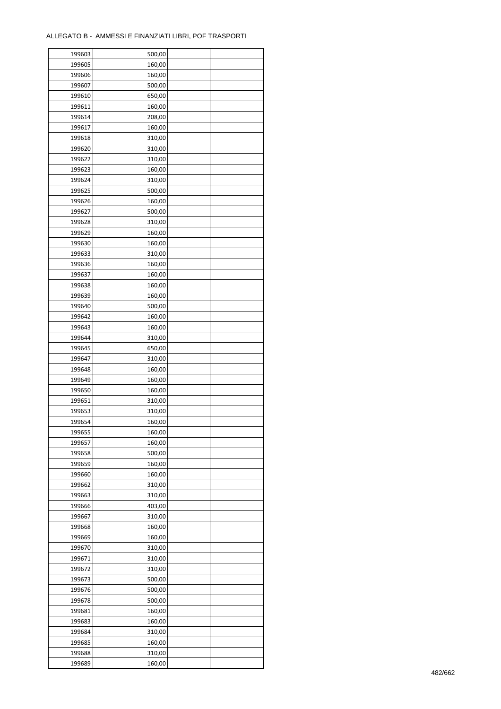| 199603 | 500,00 |  |
|--------|--------|--|
| 199605 | 160,00 |  |
| 199606 | 160,00 |  |
| 199607 | 500,00 |  |
| 199610 | 650,00 |  |
| 199611 | 160,00 |  |
| 199614 | 208,00 |  |
| 199617 | 160,00 |  |
| 199618 | 310,00 |  |
|        | 310,00 |  |
| 199620 |        |  |
| 199622 | 310,00 |  |
| 199623 | 160,00 |  |
| 199624 | 310,00 |  |
| 199625 | 500,00 |  |
| 199626 | 160,00 |  |
| 199627 | 500,00 |  |
| 199628 | 310,00 |  |
| 199629 | 160,00 |  |
| 199630 | 160,00 |  |
| 199633 | 310,00 |  |
| 199636 | 160,00 |  |
| 199637 | 160,00 |  |
| 199638 | 160,00 |  |
| 199639 | 160,00 |  |
| 199640 | 500,00 |  |
| 199642 | 160,00 |  |
| 199643 | 160,00 |  |
| 199644 | 310,00 |  |
| 199645 | 650,00 |  |
| 199647 | 310,00 |  |
| 199648 | 160,00 |  |
|        |        |  |
| 199649 | 160,00 |  |
| 199650 | 160,00 |  |
| 199651 | 310,00 |  |
| 199653 | 310,00 |  |
| 199654 | 160,00 |  |
| 199655 | 160,00 |  |
| 199657 | 160,00 |  |
| 199658 | 500,00 |  |
| 199659 | 160,00 |  |
| 199660 | 160,00 |  |
| 199662 | 310,00 |  |
| 199663 | 310,00 |  |
| 199666 | 403,00 |  |
| 199667 | 310,00 |  |
| 199668 | 160,00 |  |
| 199669 | 160,00 |  |
| 199670 | 310,00 |  |
| 199671 | 310,00 |  |
| 199672 | 310,00 |  |
| 199673 | 500,00 |  |
| 199676 | 500,00 |  |
| 199678 | 500,00 |  |
|        |        |  |
| 199681 | 160,00 |  |
| 199683 | 160,00 |  |
| 199684 | 310,00 |  |
| 199685 | 160,00 |  |
| 199688 | 310,00 |  |
| 199689 | 160,00 |  |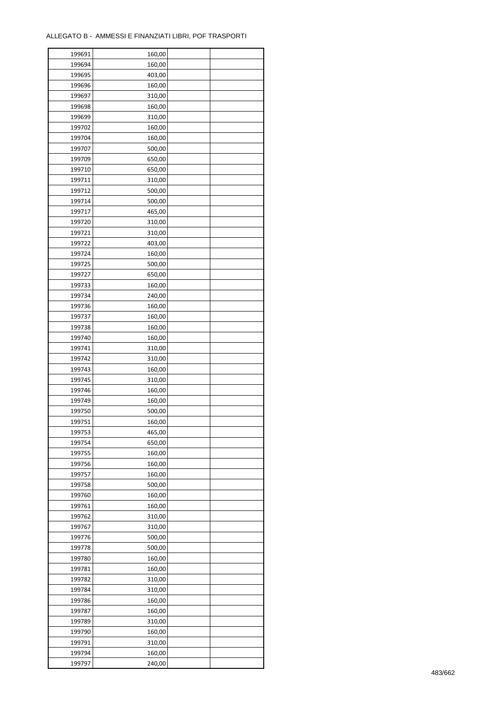| 199691 | 160,00 |  |
|--------|--------|--|
| 199694 | 160,00 |  |
| 199695 | 403,00 |  |
| 199696 | 160,00 |  |
| 199697 | 310,00 |  |
| 199698 | 160,00 |  |
| 199699 | 310,00 |  |
| 199702 | 160,00 |  |
| 199704 | 160,00 |  |
| 199707 | 500,00 |  |
| 199709 | 650,00 |  |
| 199710 | 650,00 |  |
| 199711 | 310,00 |  |
| 199712 |        |  |
|        | 500,00 |  |
| 199714 | 500,00 |  |
| 199717 | 465,00 |  |
| 199720 | 310,00 |  |
| 199721 | 310,00 |  |
| 199722 | 403,00 |  |
| 199724 | 160,00 |  |
| 199725 | 500,00 |  |
| 199727 | 650,00 |  |
| 199733 | 160,00 |  |
| 199734 | 240,00 |  |
| 199736 | 160,00 |  |
| 199737 | 160,00 |  |
| 199738 | 160,00 |  |
| 199740 | 160,00 |  |
| 199741 | 310,00 |  |
| 199742 | 310,00 |  |
| 199743 | 160,00 |  |
| 199745 | 310,00 |  |
| 199746 | 160,00 |  |
| 199749 | 160,00 |  |
| 199750 | 500,00 |  |
| 199751 | 160,00 |  |
| 199753 | 465,00 |  |
| 199754 | 650,00 |  |
| 199755 | 160,00 |  |
| 199756 | 160,00 |  |
| 199757 | 160,00 |  |
| 199758 | 500,00 |  |
| 199760 | 160,00 |  |
| 199761 | 160,00 |  |
| 199762 | 310,00 |  |
| 199767 | 310,00 |  |
| 199776 | 500,00 |  |
| 199778 | 500,00 |  |
| 199780 | 160,00 |  |
| 199781 | 160,00 |  |
| 199782 | 310,00 |  |
| 199784 | 310,00 |  |
| 199786 | 160,00 |  |
| 199787 | 160,00 |  |
| 199789 | 310,00 |  |
| 199790 | 160,00 |  |
|        |        |  |
| 199791 | 310,00 |  |
| 199794 | 160,00 |  |
| 199797 | 240,00 |  |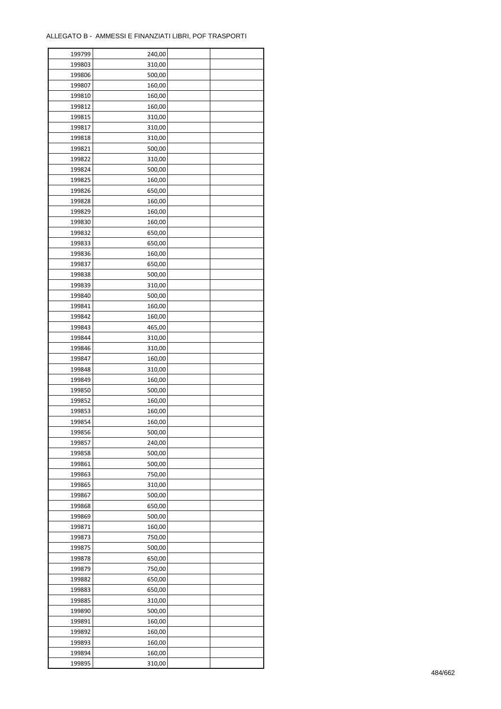| 199799 | 240,00 |  |
|--------|--------|--|
| 199803 | 310,00 |  |
| 199806 | 500,00 |  |
| 199807 | 160,00 |  |
| 199810 | 160,00 |  |
| 199812 | 160,00 |  |
| 199815 | 310,00 |  |
| 199817 | 310,00 |  |
| 199818 | 310,00 |  |
| 199821 | 500,00 |  |
| 199822 | 310,00 |  |
| 199824 | 500,00 |  |
| 199825 | 160,00 |  |
| 199826 | 650,00 |  |
|        |        |  |
| 199828 | 160,00 |  |
| 199829 | 160,00 |  |
| 199830 | 160,00 |  |
| 199832 | 650,00 |  |
| 199833 | 650,00 |  |
| 199836 | 160,00 |  |
| 199837 | 650,00 |  |
| 199838 | 500,00 |  |
| 199839 | 310,00 |  |
| 199840 | 500,00 |  |
| 199841 | 160,00 |  |
| 199842 | 160,00 |  |
| 199843 | 465,00 |  |
| 199844 | 310,00 |  |
| 199846 | 310,00 |  |
| 199847 | 160,00 |  |
| 199848 | 310,00 |  |
| 199849 | 160,00 |  |
| 199850 | 500,00 |  |
| 199852 | 160,00 |  |
| 199853 | 160,00 |  |
| 199854 | 160,00 |  |
| 199856 | 500,00 |  |
| 199857 | 240,00 |  |
| 199858 | 500,00 |  |
| 199861 | 500,00 |  |
| 199863 | 750,00 |  |
| 199865 | 310,00 |  |
| 199867 | 500,00 |  |
| 199868 | 650,00 |  |
| 199869 | 500,00 |  |
| 199871 | 160,00 |  |
| 199873 | 750,00 |  |
| 199875 | 500,00 |  |
| 199878 | 650,00 |  |
| 199879 | 750,00 |  |
| 199882 | 650,00 |  |
| 199883 | 650,00 |  |
| 199885 | 310,00 |  |
| 199890 | 500,00 |  |
| 199891 | 160,00 |  |
| 199892 | 160,00 |  |
|        |        |  |
| 199893 | 160,00 |  |
| 199894 | 160,00 |  |
| 199895 | 310,00 |  |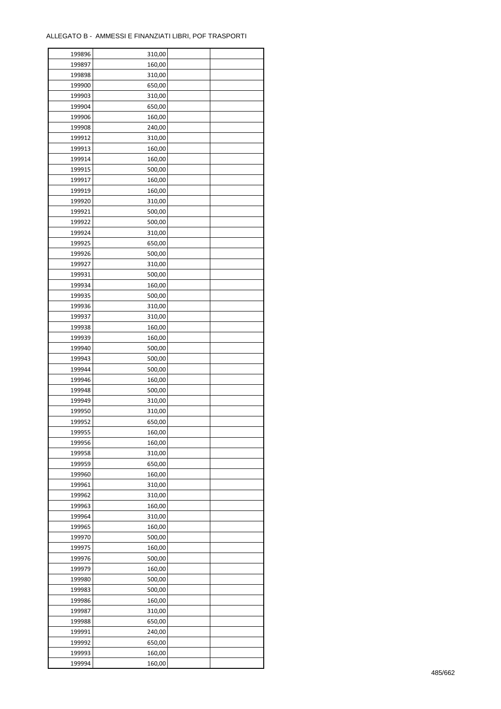| 199896           | 310,00 |  |
|------------------|--------|--|
| 199897           | 160,00 |  |
| 199898           | 310,00 |  |
| 199900           | 650,00 |  |
| 199903           | 310,00 |  |
| 199904           | 650,00 |  |
| 199906           | 160,00 |  |
| 199908           | 240,00 |  |
| 199912           | 310,00 |  |
| 199913           | 160,00 |  |
|                  |        |  |
| 199914<br>199915 | 160,00 |  |
|                  | 500,00 |  |
| 199917           | 160,00 |  |
| 199919           | 160,00 |  |
| 199920           | 310,00 |  |
| 199921           | 500,00 |  |
| 199922           | 500,00 |  |
| 199924           | 310,00 |  |
| 199925           | 650,00 |  |
| 199926           | 500,00 |  |
| 199927           | 310,00 |  |
| 199931           | 500,00 |  |
| 199934           | 160,00 |  |
| 199935           | 500,00 |  |
| 199936           | 310,00 |  |
| 199937           | 310,00 |  |
| 199938           | 160,00 |  |
| 199939           | 160,00 |  |
| 199940           | 500,00 |  |
| 199943           | 500,00 |  |
| 199944           | 500,00 |  |
| 199946           |        |  |
|                  | 160,00 |  |
| 199948           | 500,00 |  |
| 199949           | 310,00 |  |
| 199950           | 310,00 |  |
| 199952           | 650,00 |  |
| 199955           | 160,00 |  |
| 199956           | 160,00 |  |
| 199958           | 310,00 |  |
| 199959           | 650,00 |  |
| 199960           | 160,00 |  |
| 199961           | 310,00 |  |
| 199962           | 310,00 |  |
| 199963           | 160,00 |  |
| 199964           | 310,00 |  |
| 199965           | 160,00 |  |
| 199970           | 500,00 |  |
| 199975           | 160,00 |  |
| 199976           | 500,00 |  |
| 199979           | 160,00 |  |
| 199980           | 500,00 |  |
| 199983           | 500,00 |  |
| 199986           | 160,00 |  |
| 199987           | 310,00 |  |
|                  |        |  |
| 199988           | 650,00 |  |
| 199991           | 240,00 |  |
| 199992           | 650,00 |  |
| 199993           | 160,00 |  |
| 199994           | 160,00 |  |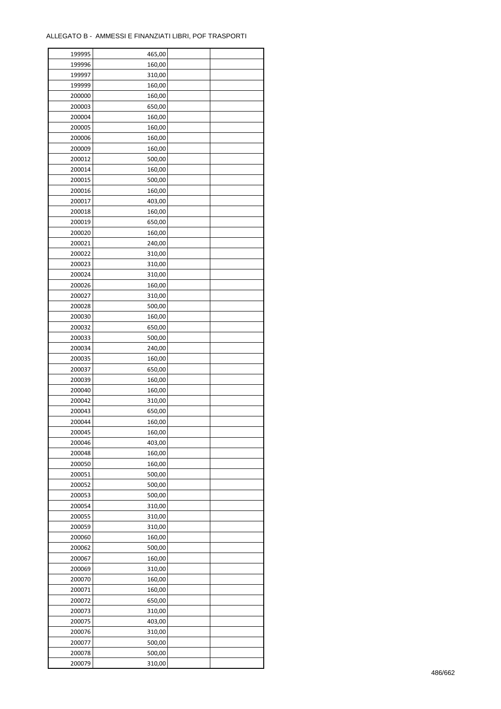| 199995 | 465,00 |  |
|--------|--------|--|
| 199996 | 160,00 |  |
| 199997 | 310,00 |  |
| 199999 | 160,00 |  |
| 200000 | 160,00 |  |
| 200003 | 650,00 |  |
| 200004 | 160,00 |  |
| 200005 | 160,00 |  |
| 200006 | 160,00 |  |
| 200009 | 160,00 |  |
| 200012 | 500,00 |  |
| 200014 | 160,00 |  |
| 200015 | 500,00 |  |
|        |        |  |
| 200016 | 160,00 |  |
| 200017 | 403,00 |  |
| 200018 | 160,00 |  |
| 200019 | 650,00 |  |
| 200020 | 160,00 |  |
| 200021 | 240,00 |  |
| 200022 | 310,00 |  |
| 200023 | 310,00 |  |
| 200024 | 310,00 |  |
| 200026 | 160,00 |  |
| 200027 | 310,00 |  |
| 200028 | 500,00 |  |
| 200030 | 160,00 |  |
| 200032 | 650,00 |  |
| 200033 | 500,00 |  |
| 200034 | 240,00 |  |
| 200035 | 160,00 |  |
| 200037 | 650,00 |  |
| 200039 | 160,00 |  |
| 200040 | 160,00 |  |
| 200042 | 310,00 |  |
| 200043 | 650,00 |  |
| 200044 | 160,00 |  |
| 200045 | 160,00 |  |
| 200046 | 403,00 |  |
| 200048 | 160,00 |  |
| 200050 | 160,00 |  |
| 200051 | 500,00 |  |
| 200052 | 500,00 |  |
| 200053 | 500,00 |  |
| 200054 | 310,00 |  |
| 200055 | 310,00 |  |
| 200059 | 310,00 |  |
| 200060 | 160,00 |  |
| 200062 | 500,00 |  |
| 200067 | 160,00 |  |
| 200069 | 310,00 |  |
| 200070 | 160,00 |  |
| 200071 | 160,00 |  |
| 200072 | 650,00 |  |
| 200073 | 310,00 |  |
| 200075 | 403,00 |  |
| 200076 | 310,00 |  |
| 200077 | 500,00 |  |
|        |        |  |
| 200078 | 500,00 |  |
| 200079 | 310,00 |  |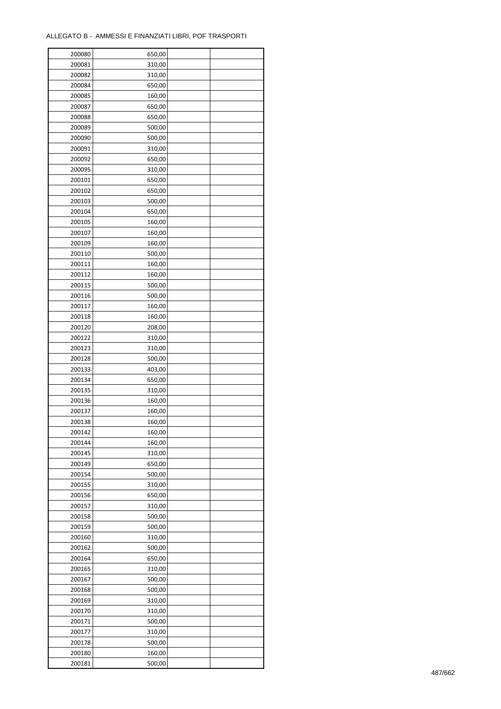| 200080 | 650,00           |  |
|--------|------------------|--|
| 200081 | 310,00           |  |
| 200082 | 310,00           |  |
| 200084 | 650,00           |  |
| 200085 | 160,00           |  |
| 200087 | 650,00           |  |
| 200088 | 650,00           |  |
| 200089 | 500,00           |  |
| 200090 | 500,00           |  |
|        |                  |  |
| 200091 | 310,00           |  |
| 200092 | 650,00           |  |
| 200095 | 310,00           |  |
| 200101 | 650,00           |  |
| 200102 | 650,00           |  |
| 200103 | 500,00           |  |
| 200104 | 650,00           |  |
| 200105 | 160,00           |  |
| 200107 | 160,00           |  |
| 200109 | 160,00           |  |
| 200110 | 500,00           |  |
| 200111 | 160,00           |  |
| 200112 | 160,00           |  |
| 200115 | 500,00           |  |
| 200116 | 500,00           |  |
| 200117 | 160,00           |  |
| 200118 | 160,00           |  |
| 200120 | 208,00           |  |
| 200122 | 310,00           |  |
| 200123 | 310,00           |  |
| 200128 | 500,00           |  |
| 200133 | 403,00           |  |
| 200134 | 650,00           |  |
| 200135 | 310,00           |  |
| 200136 | 160,00           |  |
| 200137 | 160,00           |  |
| 200138 | 160,00           |  |
| 200142 | 160,00           |  |
| 200144 | 160,00           |  |
| 200145 |                  |  |
|        | 310,00           |  |
| 200149 | 650,00<br>500,00 |  |
| 200154 |                  |  |
| 200155 | 310,00           |  |
| 200156 | 650,00           |  |
| 200157 | 310,00           |  |
| 200158 | 500,00           |  |
| 200159 | 500,00           |  |
| 200160 | 310,00           |  |
| 200162 | 500,00           |  |
| 200164 | 650,00           |  |
| 200165 | 310,00           |  |
| 200167 | 500,00           |  |
| 200168 | 500,00           |  |
| 200169 | 310,00           |  |
| 200170 | 310,00           |  |
| 200171 | 500,00           |  |
| 200177 | 310,00           |  |
| 200178 | 500,00           |  |
| 200180 | 160,00           |  |
| 200181 | 500,00           |  |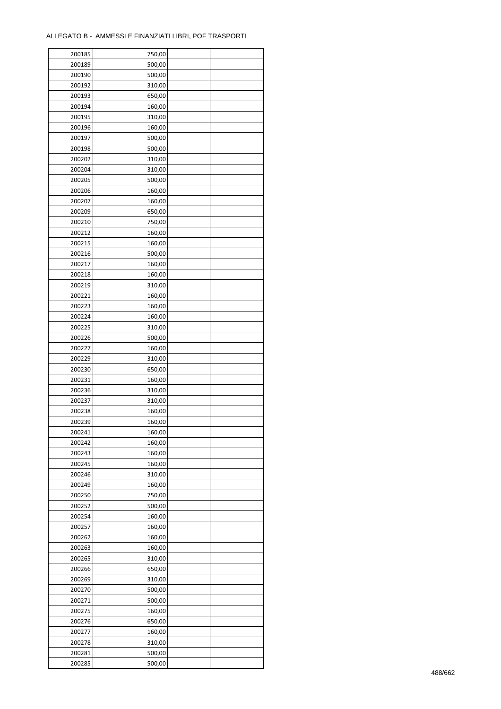| 200185 | 750,00 |  |
|--------|--------|--|
| 200189 | 500,00 |  |
| 200190 | 500,00 |  |
| 200192 | 310,00 |  |
| 200193 | 650,00 |  |
| 200194 | 160,00 |  |
| 200195 | 310,00 |  |
| 200196 | 160,00 |  |
| 200197 | 500,00 |  |
|        | 500,00 |  |
| 200198 |        |  |
| 200202 | 310,00 |  |
| 200204 | 310,00 |  |
| 200205 | 500,00 |  |
| 200206 | 160,00 |  |
| 200207 | 160,00 |  |
| 200209 | 650,00 |  |
| 200210 | 750,00 |  |
| 200212 | 160,00 |  |
| 200215 | 160,00 |  |
| 200216 | 500,00 |  |
| 200217 | 160,00 |  |
| 200218 | 160,00 |  |
| 200219 | 310,00 |  |
| 200221 | 160,00 |  |
| 200223 | 160,00 |  |
| 200224 | 160,00 |  |
| 200225 | 310,00 |  |
| 200226 | 500,00 |  |
| 200227 | 160,00 |  |
| 200229 | 310,00 |  |
|        |        |  |
| 200230 | 650,00 |  |
| 200231 | 160,00 |  |
| 200236 | 310,00 |  |
| 200237 | 310,00 |  |
| 200238 | 160,00 |  |
| 200239 | 160,00 |  |
| 200241 | 160,00 |  |
| 200242 | 160,00 |  |
| 200243 | 160,00 |  |
| 200245 | 160,00 |  |
| 200246 | 310,00 |  |
| 200249 | 160,00 |  |
| 200250 | 750,00 |  |
| 200252 | 500,00 |  |
| 200254 | 160,00 |  |
| 200257 | 160,00 |  |
| 200262 | 160,00 |  |
| 200263 | 160,00 |  |
| 200265 | 310,00 |  |
| 200266 | 650,00 |  |
| 200269 | 310,00 |  |
|        |        |  |
| 200270 | 500,00 |  |
| 200271 | 500,00 |  |
| 200275 | 160,00 |  |
| 200276 | 650,00 |  |
| 200277 | 160,00 |  |
| 200278 | 310,00 |  |
| 200281 | 500,00 |  |
| 200285 | 500,00 |  |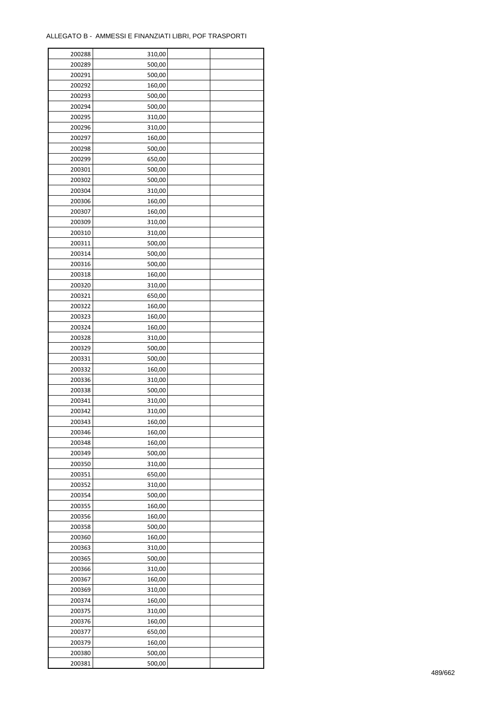| 200288 | 310,00 |  |
|--------|--------|--|
| 200289 | 500,00 |  |
| 200291 | 500,00 |  |
| 200292 | 160,00 |  |
| 200293 | 500,00 |  |
| 200294 | 500,00 |  |
| 200295 | 310,00 |  |
| 200296 | 310,00 |  |
| 200297 | 160,00 |  |
| 200298 | 500,00 |  |
| 200299 | 650,00 |  |
| 200301 | 500,00 |  |
| 200302 | 500,00 |  |
| 200304 | 310,00 |  |
| 200306 | 160,00 |  |
| 200307 | 160,00 |  |
| 200309 | 310,00 |  |
| 200310 | 310,00 |  |
| 200311 | 500,00 |  |
| 200314 | 500,00 |  |
|        |        |  |
| 200316 | 500,00 |  |
| 200318 | 160,00 |  |
| 200320 | 310,00 |  |
| 200321 | 650,00 |  |
| 200322 | 160,00 |  |
| 200323 | 160,00 |  |
| 200324 | 160,00 |  |
| 200328 | 310,00 |  |
| 200329 | 500,00 |  |
| 200331 | 500,00 |  |
| 200332 | 160,00 |  |
| 200336 | 310,00 |  |
| 200338 | 500,00 |  |
| 200341 | 310,00 |  |
| 200342 | 310,00 |  |
| 200343 | 160,00 |  |
| 200346 | 160,00 |  |
| 200348 | 160,00 |  |
| 200349 | 500,00 |  |
| 200350 | 310,00 |  |
| 200351 | 650,00 |  |
| 200352 | 310,00 |  |
| 200354 | 500,00 |  |
| 200355 | 160,00 |  |
| 200356 | 160,00 |  |
| 200358 | 500,00 |  |
| 200360 | 160,00 |  |
| 200363 | 310,00 |  |
| 200365 | 500,00 |  |
| 200366 | 310,00 |  |
| 200367 | 160,00 |  |
| 200369 | 310,00 |  |
| 200374 | 160,00 |  |
| 200375 | 310,00 |  |
| 200376 | 160,00 |  |
| 200377 | 650,00 |  |
| 200379 | 160,00 |  |
| 200380 | 500,00 |  |
| 200381 | 500,00 |  |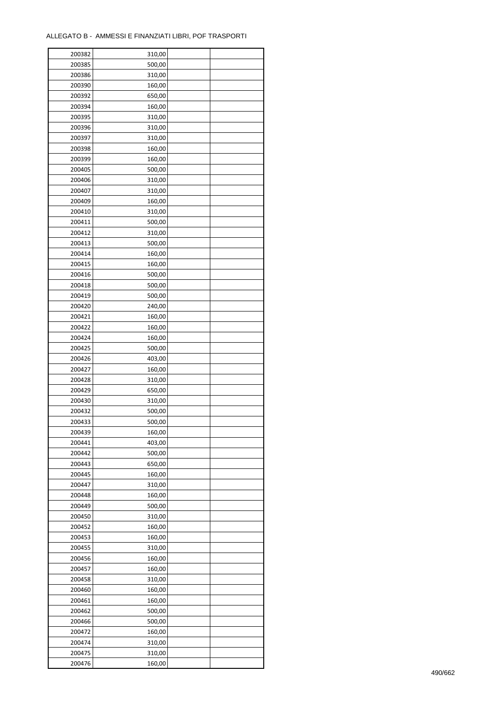| 200382 | 310,00           |  |
|--------|------------------|--|
| 200385 | 500,00           |  |
| 200386 | 310,00           |  |
| 200390 | 160,00           |  |
| 200392 | 650,00           |  |
| 200394 | 160,00           |  |
| 200395 | 310,00           |  |
| 200396 | 310,00           |  |
| 200397 | 310,00           |  |
|        |                  |  |
| 200398 | 160,00<br>160,00 |  |
| 200399 |                  |  |
| 200405 | 500,00           |  |
| 200406 | 310,00           |  |
| 200407 | 310,00           |  |
| 200409 | 160,00           |  |
| 200410 | 310,00           |  |
| 200411 | 500,00           |  |
| 200412 | 310,00           |  |
| 200413 | 500,00           |  |
| 200414 | 160,00           |  |
| 200415 | 160,00           |  |
| 200416 | 500,00           |  |
| 200418 | 500,00           |  |
| 200419 | 500,00           |  |
| 200420 | 240,00           |  |
| 200421 | 160,00           |  |
| 200422 | 160,00           |  |
| 200424 | 160,00           |  |
| 200425 | 500,00           |  |
| 200426 | 403,00           |  |
|        |                  |  |
| 200427 | 160,00           |  |
| 200428 | 310,00           |  |
| 200429 | 650,00           |  |
| 200430 | 310,00           |  |
| 200432 | 500,00           |  |
| 200433 | 500,00           |  |
| 200439 | 160,00           |  |
| 200441 | 403,00           |  |
| 200442 | 500,00           |  |
| 200443 | 650,00           |  |
| 200445 | 160,00           |  |
| 200447 | 310,00           |  |
| 200448 | 160,00           |  |
| 200449 | 500,00           |  |
| 200450 | 310,00           |  |
| 200452 | 160,00           |  |
| 200453 | 160,00           |  |
| 200455 | 310,00           |  |
| 200456 | 160,00           |  |
| 200457 | 160,00           |  |
| 200458 | 310,00           |  |
|        |                  |  |
| 200460 | 160,00           |  |
| 200461 | 160,00           |  |
| 200462 | 500,00           |  |
| 200466 | 500,00           |  |
| 200472 | 160,00           |  |
| 200474 | 310,00           |  |
| 200475 | 310,00           |  |
| 200476 | 160,00           |  |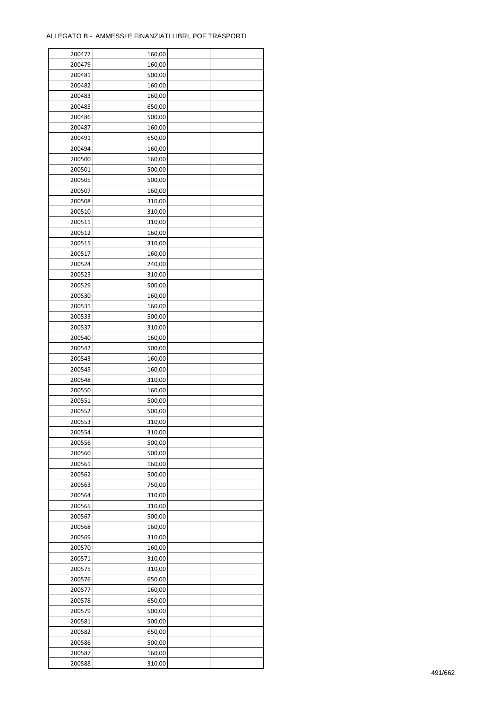| 200477 | 160,00 |  |
|--------|--------|--|
| 200479 | 160,00 |  |
| 200481 | 500,00 |  |
| 200482 | 160,00 |  |
| 200483 | 160,00 |  |
| 200485 | 650,00 |  |
| 200486 | 500,00 |  |
| 200487 | 160,00 |  |
| 200491 | 650,00 |  |
| 200494 | 160,00 |  |
| 200500 | 160,00 |  |
|        |        |  |
| 200501 | 500,00 |  |
| 200505 | 500,00 |  |
| 200507 | 160,00 |  |
| 200508 | 310,00 |  |
| 200510 | 310,00 |  |
| 200511 | 310,00 |  |
| 200512 | 160,00 |  |
| 200515 | 310,00 |  |
| 200517 | 160,00 |  |
| 200524 | 240,00 |  |
| 200525 | 310,00 |  |
| 200529 | 500,00 |  |
| 200530 | 160,00 |  |
| 200531 | 160,00 |  |
| 200533 | 500,00 |  |
| 200537 | 310,00 |  |
| 200540 | 160,00 |  |
| 200542 | 500,00 |  |
| 200543 | 160,00 |  |
| 200545 | 160,00 |  |
|        |        |  |
| 200548 | 310,00 |  |
| 200550 | 160,00 |  |
| 200551 | 500,00 |  |
| 200552 | 500,00 |  |
| 200553 | 310,00 |  |
| 200554 | 310,00 |  |
| 200556 | 500,00 |  |
| 200560 | 500,00 |  |
| 200561 | 160,00 |  |
| 200562 | 500,00 |  |
| 200563 | 750,00 |  |
| 200564 | 310,00 |  |
| 200565 | 310,00 |  |
| 200567 | 500,00 |  |
| 200568 | 160,00 |  |
| 200569 | 310,00 |  |
| 200570 | 160,00 |  |
| 200571 | 310,00 |  |
| 200575 | 310,00 |  |
| 200576 | 650,00 |  |
| 200577 | 160,00 |  |
| 200578 | 650,00 |  |
| 200579 | 500,00 |  |
|        |        |  |
| 200581 | 500,00 |  |
| 200582 | 650,00 |  |
| 200586 | 500,00 |  |
| 200587 | 160,00 |  |
| 200588 | 310,00 |  |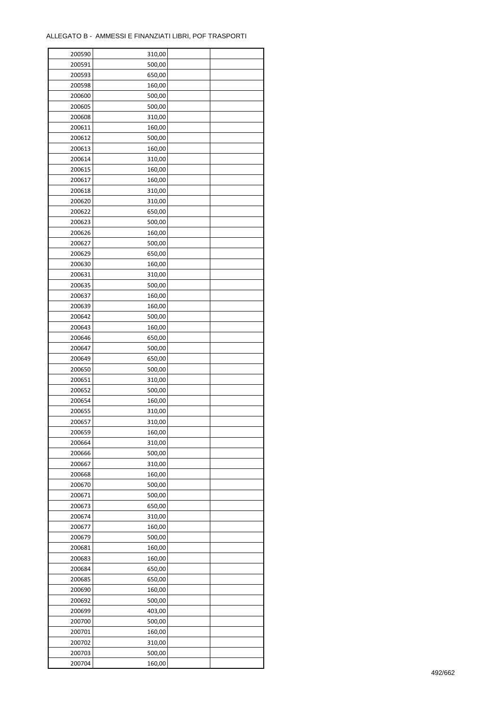| 200590 | 310,00 |  |
|--------|--------|--|
| 200591 | 500,00 |  |
| 200593 | 650,00 |  |
| 200598 | 160,00 |  |
| 200600 | 500,00 |  |
| 200605 | 500,00 |  |
| 200608 | 310,00 |  |
| 200611 | 160,00 |  |
| 200612 | 500,00 |  |
| 200613 | 160,00 |  |
| 200614 | 310,00 |  |
| 200615 | 160,00 |  |
| 200617 | 160,00 |  |
| 200618 | 310,00 |  |
| 200620 | 310,00 |  |
| 200622 | 650,00 |  |
| 200623 | 500,00 |  |
| 200626 | 160,00 |  |
| 200627 | 500,00 |  |
| 200629 | 650,00 |  |
|        |        |  |
| 200630 | 160,00 |  |
| 200631 | 310,00 |  |
| 200635 | 500,00 |  |
| 200637 | 160,00 |  |
| 200639 | 160,00 |  |
| 200642 | 500,00 |  |
| 200643 | 160,00 |  |
| 200646 | 650,00 |  |
| 200647 | 500,00 |  |
| 200649 | 650,00 |  |
| 200650 | 500,00 |  |
| 200651 | 310,00 |  |
| 200652 | 500,00 |  |
| 200654 | 160,00 |  |
| 200655 | 310,00 |  |
| 200657 | 310,00 |  |
| 200659 | 160,00 |  |
| 200664 | 310,00 |  |
| 200666 | 500,00 |  |
| 200667 | 310,00 |  |
| 200668 | 160,00 |  |
| 200670 | 500,00 |  |
| 200671 | 500,00 |  |
| 200673 | 650,00 |  |
| 200674 | 310,00 |  |
| 200677 | 160,00 |  |
| 200679 | 500,00 |  |
| 200681 | 160,00 |  |
| 200683 | 160,00 |  |
| 200684 | 650,00 |  |
| 200685 | 650,00 |  |
| 200690 | 160,00 |  |
| 200692 | 500,00 |  |
| 200699 | 403,00 |  |
| 200700 | 500,00 |  |
| 200701 | 160,00 |  |
| 200702 | 310,00 |  |
| 200703 | 500,00 |  |
| 200704 | 160,00 |  |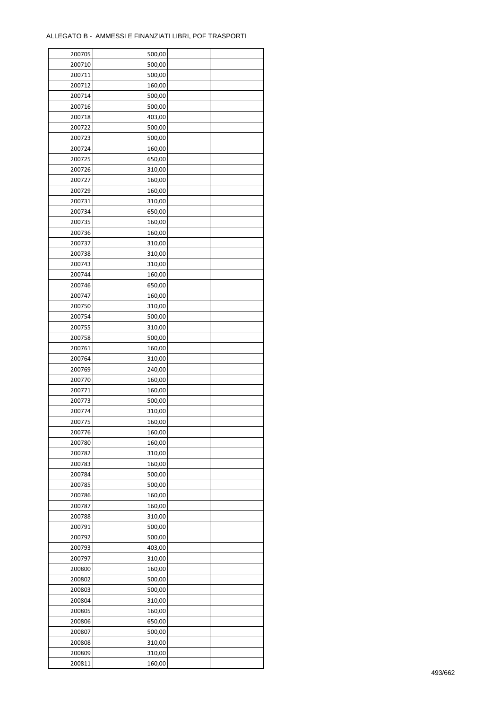| 200705           | 500,00 |  |
|------------------|--------|--|
| 200710           | 500,00 |  |
| 200711           | 500,00 |  |
| 200712           | 160,00 |  |
| 200714           | 500,00 |  |
| 200716           | 500,00 |  |
| 200718           | 403,00 |  |
| 200722           | 500,00 |  |
| 200723           | 500,00 |  |
| 200724           | 160,00 |  |
|                  |        |  |
| 200725<br>200726 | 650,00 |  |
|                  | 310,00 |  |
| 200727           | 160,00 |  |
| 200729           | 160,00 |  |
| 200731           | 310,00 |  |
| 200734           | 650,00 |  |
| 200735           | 160,00 |  |
| 200736           | 160,00 |  |
| 200737           | 310,00 |  |
| 200738           | 310,00 |  |
| 200743           | 310,00 |  |
| 200744           | 160,00 |  |
| 200746           | 650,00 |  |
| 200747           | 160,00 |  |
| 200750           | 310,00 |  |
| 200754           | 500,00 |  |
| 200755           | 310,00 |  |
| 200758           | 500,00 |  |
| 200761           | 160,00 |  |
| 200764           | 310,00 |  |
| 200769           | 240,00 |  |
| 200770           | 160,00 |  |
| 200771           | 160,00 |  |
| 200773           | 500,00 |  |
| 200774           | 310,00 |  |
| 200775           | 160,00 |  |
|                  |        |  |
| 200776           | 160,00 |  |
| 200780           | 160,00 |  |
| 200782           | 310,00 |  |
| 200783           | 160,00 |  |
| 200784           | 500,00 |  |
| 200785           | 500,00 |  |
| 200786           | 160,00 |  |
| 200787           | 160,00 |  |
| 200788           | 310,00 |  |
| 200791           | 500,00 |  |
| 200792           | 500,00 |  |
| 200793           | 403,00 |  |
| 200797           | 310,00 |  |
| 200800           | 160,00 |  |
| 200802           | 500,00 |  |
| 200803           | 500,00 |  |
| 200804           | 310,00 |  |
| 200805           | 160,00 |  |
| 200806           | 650,00 |  |
| 200807           | 500,00 |  |
| 200808           | 310,00 |  |
| 200809           | 310,00 |  |
|                  |        |  |
| 200811           | 160,00 |  |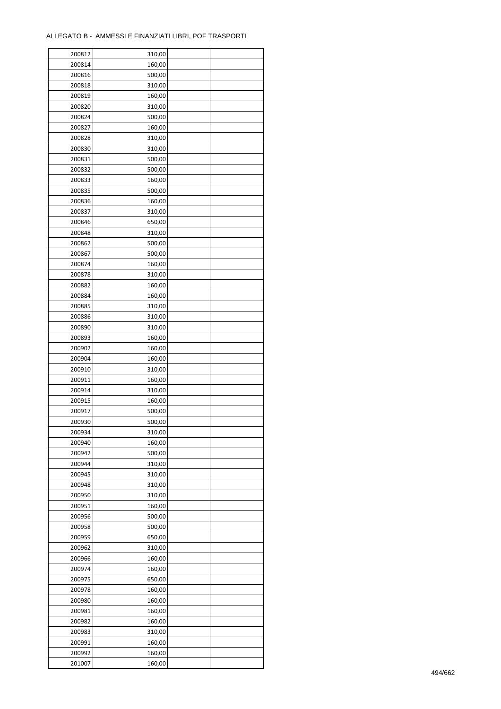| 200812 | 310,00 |  |
|--------|--------|--|
| 200814 | 160,00 |  |
| 200816 | 500,00 |  |
| 200818 | 310,00 |  |
| 200819 | 160,00 |  |
| 200820 | 310,00 |  |
| 200824 | 500,00 |  |
| 200827 | 160,00 |  |
| 200828 | 310,00 |  |
| 200830 | 310,00 |  |
| 200831 | 500,00 |  |
| 200832 | 500,00 |  |
| 200833 | 160,00 |  |
| 200835 | 500,00 |  |
| 200836 |        |  |
|        | 160,00 |  |
| 200837 | 310,00 |  |
| 200846 | 650,00 |  |
| 200848 | 310,00 |  |
| 200862 | 500,00 |  |
| 200867 | 500,00 |  |
| 200874 | 160,00 |  |
| 200878 | 310,00 |  |
| 200882 | 160,00 |  |
| 200884 | 160,00 |  |
| 200885 | 310,00 |  |
| 200886 | 310,00 |  |
| 200890 | 310,00 |  |
| 200893 | 160,00 |  |
| 200902 | 160,00 |  |
| 200904 | 160,00 |  |
| 200910 | 310,00 |  |
| 200911 | 160,00 |  |
| 200914 | 310,00 |  |
| 200915 | 160,00 |  |
| 200917 | 500,00 |  |
| 200930 | 500,00 |  |
| 200934 | 310,00 |  |
| 200940 | 160,00 |  |
| 200942 | 500,00 |  |
| 200944 | 310,00 |  |
| 200945 | 310,00 |  |
| 200948 | 310,00 |  |
| 200950 | 310,00 |  |
| 200951 | 160,00 |  |
| 200956 | 500,00 |  |
| 200958 | 500,00 |  |
| 200959 | 650,00 |  |
| 200962 | 310,00 |  |
| 200966 | 160,00 |  |
| 200974 | 160,00 |  |
| 200975 | 650,00 |  |
| 200978 | 160,00 |  |
| 200980 | 160,00 |  |
|        |        |  |
| 200981 | 160,00 |  |
| 200982 | 160,00 |  |
| 200983 | 310,00 |  |
| 200991 | 160,00 |  |
| 200992 | 160,00 |  |
| 201007 | 160,00 |  |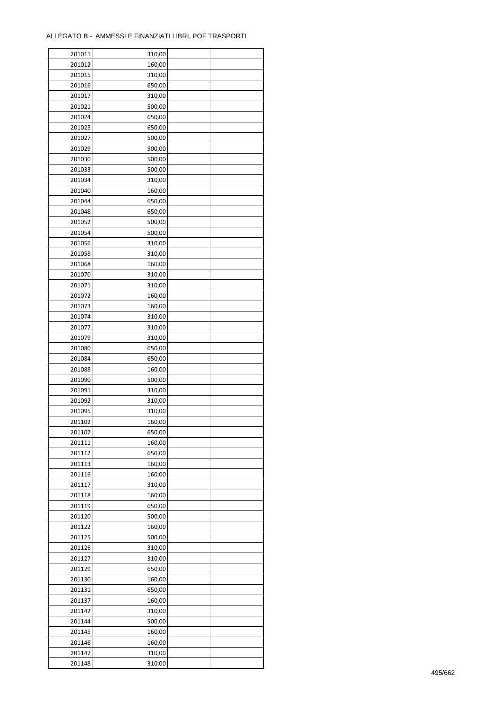| 201011 | 310,00 |  |
|--------|--------|--|
| 201012 | 160,00 |  |
| 201015 | 310,00 |  |
| 201016 | 650,00 |  |
| 201017 | 310,00 |  |
| 201021 | 500,00 |  |
| 201024 | 650,00 |  |
| 201025 | 650,00 |  |
| 201027 | 500,00 |  |
| 201029 | 500,00 |  |
| 201030 | 500,00 |  |
| 201033 | 500,00 |  |
| 201034 | 310,00 |  |
| 201040 | 160,00 |  |
| 201044 | 650,00 |  |
| 201048 | 650,00 |  |
| 201052 | 500,00 |  |
| 201054 | 500,00 |  |
| 201056 | 310,00 |  |
| 201058 | 310,00 |  |
| 201068 | 160,00 |  |
| 201070 | 310,00 |  |
| 201071 | 310,00 |  |
| 201072 | 160,00 |  |
| 201073 | 160,00 |  |
| 201074 | 310,00 |  |
| 201077 | 310,00 |  |
| 201079 | 310,00 |  |
| 201080 | 650,00 |  |
|        |        |  |
| 201084 | 650,00 |  |
| 201088 | 160,00 |  |
| 201090 | 500,00 |  |
| 201091 | 310,00 |  |
| 201092 | 310,00 |  |
| 201095 | 310,00 |  |
| 201102 | 160,00 |  |
| 201107 | 650,00 |  |
| 201111 | 160,00 |  |
| 201112 | 650,00 |  |
| 201113 | 160,00 |  |
| 201116 | 160,00 |  |
| 201117 | 310,00 |  |
| 201118 | 160,00 |  |
| 201119 | 650,00 |  |
| 201120 | 500,00 |  |
| 201122 | 160,00 |  |
| 201125 | 500,00 |  |
| 201126 | 310,00 |  |
| 201127 | 310,00 |  |
| 201129 | 650,00 |  |
| 201130 | 160,00 |  |
| 201131 | 650,00 |  |
| 201137 | 160,00 |  |
| 201142 | 310,00 |  |
| 201144 | 500,00 |  |
| 201145 | 160,00 |  |
| 201146 | 160,00 |  |
| 201147 | 310,00 |  |
| 201148 | 310,00 |  |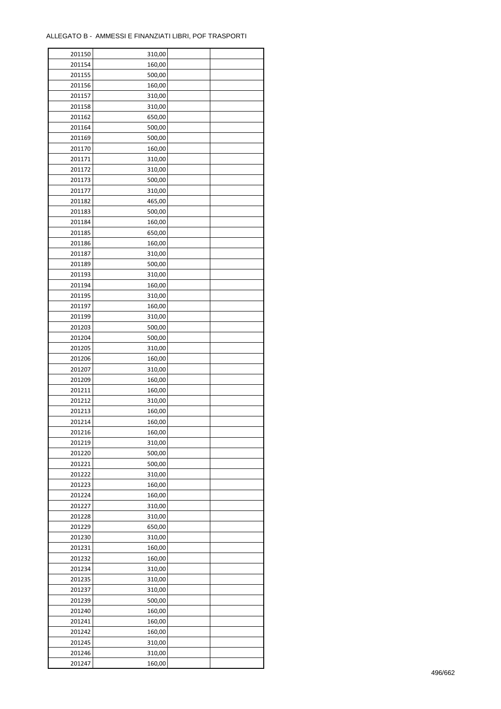| 201150 | 310,00 |  |
|--------|--------|--|
| 201154 | 160,00 |  |
| 201155 | 500,00 |  |
| 201156 | 160,00 |  |
| 201157 | 310,00 |  |
| 201158 | 310,00 |  |
| 201162 | 650,00 |  |
| 201164 | 500,00 |  |
| 201169 | 500,00 |  |
| 201170 | 160,00 |  |
| 201171 | 310,00 |  |
| 201172 |        |  |
|        | 310,00 |  |
| 201173 | 500,00 |  |
| 201177 | 310,00 |  |
| 201182 | 465,00 |  |
| 201183 | 500,00 |  |
| 201184 | 160,00 |  |
| 201185 | 650,00 |  |
| 201186 | 160,00 |  |
| 201187 | 310,00 |  |
| 201189 | 500,00 |  |
| 201193 | 310,00 |  |
| 201194 | 160,00 |  |
| 201195 | 310,00 |  |
| 201197 | 160,00 |  |
| 201199 | 310,00 |  |
| 201203 | 500,00 |  |
| 201204 | 500,00 |  |
| 201205 | 310,00 |  |
| 201206 | 160,00 |  |
| 201207 | 310,00 |  |
| 201209 | 160,00 |  |
| 201211 | 160,00 |  |
| 201212 | 310,00 |  |
| 201213 | 160,00 |  |
| 201214 | 160,00 |  |
| 201216 | 160,00 |  |
| 201219 | 310,00 |  |
| 201220 | 500,00 |  |
| 201221 | 500,00 |  |
| 201222 | 310,00 |  |
| 201223 | 160,00 |  |
| 201224 | 160,00 |  |
|        |        |  |
| 201227 | 310,00 |  |
| 201228 | 310,00 |  |
| 201229 | 650,00 |  |
| 201230 | 310,00 |  |
| 201231 | 160,00 |  |
| 201232 | 160,00 |  |
| 201234 | 310,00 |  |
| 201235 | 310,00 |  |
| 201237 | 310,00 |  |
| 201239 | 500,00 |  |
| 201240 | 160,00 |  |
| 201241 | 160,00 |  |
| 201242 | 160,00 |  |
| 201245 | 310,00 |  |
| 201246 | 310,00 |  |
| 201247 | 160,00 |  |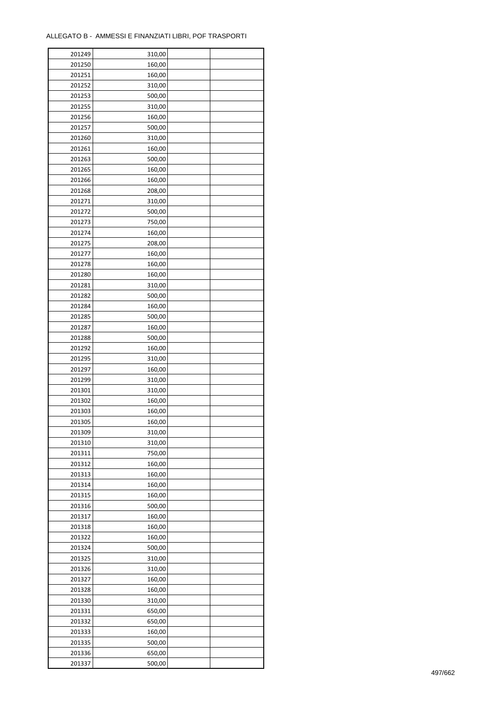| 201249 | 310,00 |  |
|--------|--------|--|
| 201250 | 160,00 |  |
| 201251 | 160,00 |  |
| 201252 | 310,00 |  |
| 201253 | 500,00 |  |
| 201255 | 310,00 |  |
| 201256 | 160,00 |  |
| 201257 | 500,00 |  |
| 201260 | 310,00 |  |
| 201261 | 160,00 |  |
| 201263 | 500,00 |  |
| 201265 | 160,00 |  |
| 201266 | 160,00 |  |
| 201268 | 208,00 |  |
|        |        |  |
| 201271 | 310,00 |  |
| 201272 | 500,00 |  |
| 201273 | 750,00 |  |
| 201274 | 160,00 |  |
| 201275 | 208,00 |  |
| 201277 | 160,00 |  |
| 201278 | 160,00 |  |
| 201280 | 160,00 |  |
| 201281 | 310,00 |  |
| 201282 | 500,00 |  |
| 201284 | 160,00 |  |
| 201285 | 500,00 |  |
| 201287 | 160,00 |  |
| 201288 | 500,00 |  |
| 201292 | 160,00 |  |
| 201295 | 310,00 |  |
| 201297 | 160,00 |  |
| 201299 | 310,00 |  |
| 201301 | 310,00 |  |
| 201302 | 160,00 |  |
| 201303 | 160,00 |  |
| 201305 | 160,00 |  |
| 201309 | 310,00 |  |
| 201310 | 310,00 |  |
| 201311 | 750,00 |  |
| 201312 | 160,00 |  |
| 201313 | 160,00 |  |
| 201314 | 160,00 |  |
| 201315 | 160,00 |  |
| 201316 | 500,00 |  |
| 201317 | 160,00 |  |
| 201318 | 160,00 |  |
| 201322 | 160,00 |  |
| 201324 | 500,00 |  |
| 201325 | 310,00 |  |
| 201326 | 310,00 |  |
| 201327 | 160,00 |  |
| 201328 | 160,00 |  |
| 201330 | 310,00 |  |
|        |        |  |
| 201331 | 650,00 |  |
| 201332 | 650,00 |  |
| 201333 | 160,00 |  |
| 201335 | 500,00 |  |
| 201336 | 650,00 |  |
| 201337 | 500,00 |  |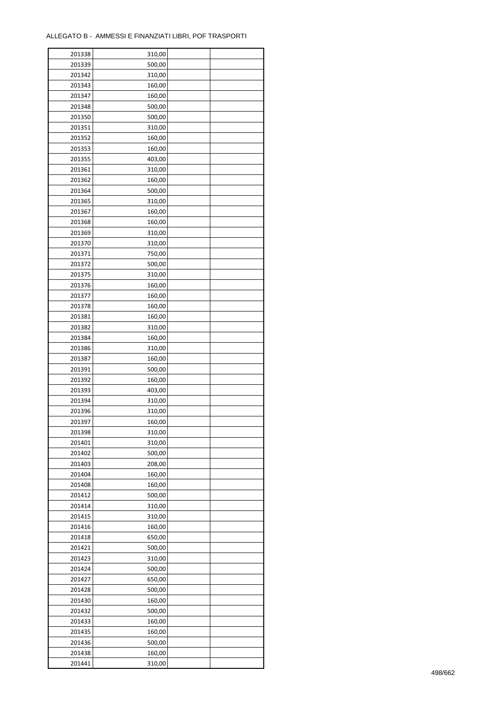$\mathbf{r}$ 

| 201338 | 310,00 |  |
|--------|--------|--|
| 201339 | 500,00 |  |
| 201342 | 310,00 |  |
| 201343 | 160,00 |  |
| 201347 | 160,00 |  |
| 201348 | 500,00 |  |
| 201350 | 500,00 |  |
| 201351 | 310,00 |  |
|        | 160,00 |  |
| 201352 | 160,00 |  |
| 201353 |        |  |
| 201355 | 403,00 |  |
| 201361 | 310,00 |  |
| 201362 | 160,00 |  |
| 201364 | 500,00 |  |
| 201365 | 310,00 |  |
| 201367 | 160,00 |  |
| 201368 | 160,00 |  |
| 201369 | 310,00 |  |
| 201370 | 310,00 |  |
| 201371 | 750,00 |  |
| 201372 | 500,00 |  |
| 201375 | 310,00 |  |
| 201376 | 160,00 |  |
| 201377 | 160,00 |  |
| 201378 | 160,00 |  |
| 201381 | 160,00 |  |
| 201382 | 310,00 |  |
| 201384 | 160,00 |  |
| 201386 |        |  |
|        | 310,00 |  |
| 201387 | 160,00 |  |
| 201391 | 500,00 |  |
| 201392 | 160,00 |  |
| 201393 | 403,00 |  |
| 201394 | 310,00 |  |
| 201396 | 310,00 |  |
| 201397 | 160,00 |  |
| 201398 | 310,00 |  |
| 201401 | 310,00 |  |
| 201402 | 500,00 |  |
| 201403 | 208,00 |  |
| 201404 | 160,00 |  |
| 201408 | 160,00 |  |
| 201412 | 500,00 |  |
| 201414 | 310,00 |  |
| 201415 | 310,00 |  |
| 201416 | 160,00 |  |
| 201418 | 650,00 |  |
| 201421 | 500,00 |  |
| 201423 | 310,00 |  |
| 201424 | 500,00 |  |
|        |        |  |
| 201427 | 650,00 |  |
| 201428 | 500,00 |  |
| 201430 | 160,00 |  |
| 201432 | 500,00 |  |
| 201433 | 160,00 |  |
| 201435 | 160,00 |  |
| 201436 | 500,00 |  |
| 201438 | 160,00 |  |
| 201441 | 310,00 |  |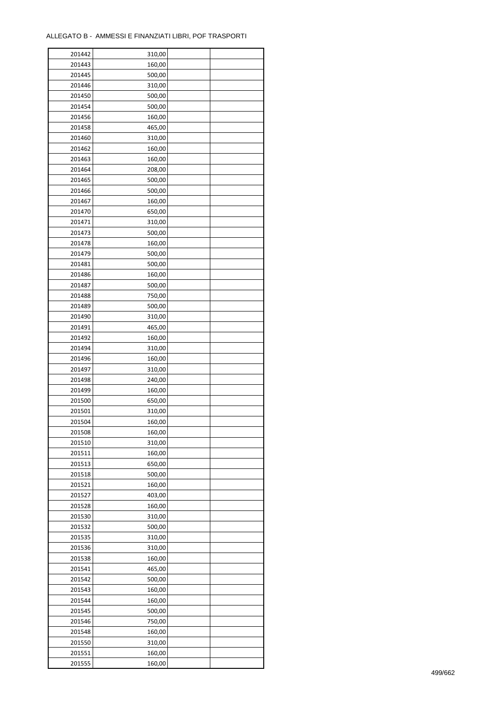ř

| 201442 | 310,00 |  |
|--------|--------|--|
| 201443 | 160,00 |  |
| 201445 | 500,00 |  |
| 201446 | 310,00 |  |
| 201450 | 500,00 |  |
| 201454 | 500,00 |  |
| 201456 | 160,00 |  |
| 201458 | 465,00 |  |
| 201460 | 310,00 |  |
|        |        |  |
| 201462 | 160,00 |  |
| 201463 | 160,00 |  |
| 201464 | 208,00 |  |
| 201465 | 500,00 |  |
| 201466 | 500,00 |  |
| 201467 | 160,00 |  |
| 201470 | 650,00 |  |
| 201471 | 310,00 |  |
| 201473 | 500,00 |  |
| 201478 | 160,00 |  |
| 201479 | 500,00 |  |
| 201481 | 500,00 |  |
| 201486 | 160,00 |  |
| 201487 | 500,00 |  |
| 201488 | 750,00 |  |
| 201489 | 500,00 |  |
| 201490 | 310,00 |  |
| 201491 | 465,00 |  |
| 201492 | 160,00 |  |
| 201494 | 310,00 |  |
| 201496 | 160,00 |  |
|        |        |  |
| 201497 | 310,00 |  |
| 201498 | 240,00 |  |
| 201499 | 160,00 |  |
| 201500 | 650,00 |  |
| 201501 | 310,00 |  |
| 201504 | 160,00 |  |
| 201508 | 160,00 |  |
| 201510 | 310,00 |  |
| 201511 | 160,00 |  |
| 201513 | 650,00 |  |
| 201518 | 500,00 |  |
| 201521 | 160,00 |  |
| 201527 | 403,00 |  |
| 201528 | 160,00 |  |
| 201530 | 310,00 |  |
| 201532 | 500,00 |  |
| 201535 | 310,00 |  |
| 201536 | 310,00 |  |
| 201538 | 160,00 |  |
| 201541 | 465,00 |  |
| 201542 | 500,00 |  |
| 201543 |        |  |
|        | 160,00 |  |
| 201544 | 160,00 |  |
| 201545 | 500,00 |  |
| 201546 | 750,00 |  |
| 201548 | 160,00 |  |
| 201550 | 310,00 |  |
| 201551 | 160,00 |  |
| 201555 | 160,00 |  |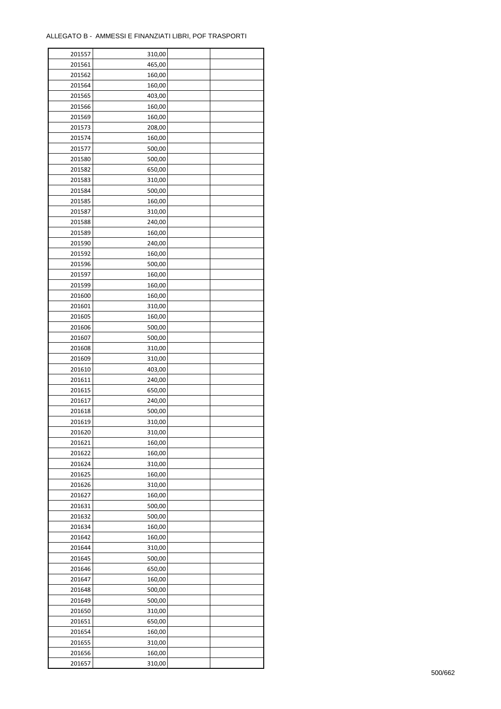$\mathbf{r}$ 

| 201557 | 310,00 |  |
|--------|--------|--|
| 201561 | 465,00 |  |
| 201562 | 160,00 |  |
| 201564 | 160,00 |  |
| 201565 | 403,00 |  |
| 201566 | 160,00 |  |
| 201569 | 160,00 |  |
| 201573 | 208,00 |  |
| 201574 | 160,00 |  |
| 201577 | 500,00 |  |
| 201580 | 500,00 |  |
| 201582 | 650,00 |  |
| 201583 | 310,00 |  |
| 201584 |        |  |
|        | 500,00 |  |
| 201585 | 160,00 |  |
| 201587 | 310,00 |  |
| 201588 | 240,00 |  |
| 201589 | 160,00 |  |
| 201590 | 240,00 |  |
| 201592 | 160,00 |  |
| 201596 | 500,00 |  |
| 201597 | 160,00 |  |
| 201599 | 160,00 |  |
| 201600 | 160,00 |  |
| 201601 | 310,00 |  |
| 201605 | 160,00 |  |
| 201606 | 500,00 |  |
| 201607 | 500,00 |  |
| 201608 | 310,00 |  |
| 201609 | 310,00 |  |
| 201610 | 403,00 |  |
| 201611 | 240,00 |  |
| 201615 | 650,00 |  |
| 201617 | 240,00 |  |
| 201618 | 500,00 |  |
| 201619 | 310,00 |  |
| 201620 | 310,00 |  |
| 201621 | 160,00 |  |
| 201622 | 160,00 |  |
| 201624 | 310,00 |  |
| 201625 | 160,00 |  |
| 201626 | 310,00 |  |
| 201627 | 160,00 |  |
| 201631 | 500,00 |  |
| 201632 | 500,00 |  |
| 201634 | 160,00 |  |
| 201642 | 160,00 |  |
| 201644 | 310,00 |  |
| 201645 | 500,00 |  |
| 201646 | 650,00 |  |
| 201647 | 160,00 |  |
| 201648 | 500,00 |  |
| 201649 | 500,00 |  |
| 201650 | 310,00 |  |
| 201651 | 650,00 |  |
| 201654 | 160,00 |  |
| 201655 | 310,00 |  |
| 201656 | 160,00 |  |
| 201657 | 310,00 |  |
|        |        |  |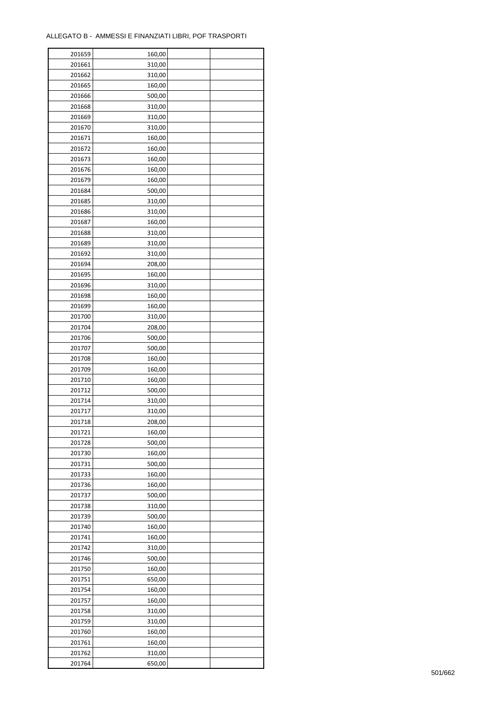ř

| 201659 | 160,00 |  |
|--------|--------|--|
| 201661 | 310,00 |  |
| 201662 | 310,00 |  |
| 201665 | 160,00 |  |
| 201666 | 500,00 |  |
| 201668 | 310,00 |  |
| 201669 | 310,00 |  |
| 201670 | 310,00 |  |
| 201671 | 160,00 |  |
| 201672 | 160,00 |  |
|        |        |  |
| 201673 | 160,00 |  |
| 201676 | 160,00 |  |
| 201679 | 160,00 |  |
| 201684 | 500,00 |  |
| 201685 | 310,00 |  |
| 201686 | 310,00 |  |
| 201687 | 160,00 |  |
| 201688 | 310,00 |  |
| 201689 | 310,00 |  |
| 201692 | 310,00 |  |
| 201694 | 208,00 |  |
| 201695 | 160,00 |  |
| 201696 | 310,00 |  |
| 201698 | 160,00 |  |
| 201699 | 160,00 |  |
| 201700 | 310,00 |  |
| 201704 | 208,00 |  |
| 201706 | 500,00 |  |
| 201707 | 500,00 |  |
| 201708 | 160,00 |  |
| 201709 | 160,00 |  |
| 201710 |        |  |
|        | 160,00 |  |
| 201712 | 500,00 |  |
| 201714 | 310,00 |  |
| 201717 | 310,00 |  |
| 201718 | 208,00 |  |
| 201721 | 160,00 |  |
| 201728 | 500,00 |  |
| 201730 | 160,00 |  |
| 201731 | 500,00 |  |
| 201733 | 160,00 |  |
| 201736 | 160,00 |  |
| 201737 | 500,00 |  |
| 201738 | 310,00 |  |
| 201739 | 500,00 |  |
| 201740 | 160,00 |  |
| 201741 | 160,00 |  |
| 201742 | 310,00 |  |
| 201746 | 500,00 |  |
| 201750 | 160,00 |  |
| 201751 | 650,00 |  |
| 201754 | 160,00 |  |
|        |        |  |
| 201757 | 160,00 |  |
| 201758 | 310,00 |  |
| 201759 | 310,00 |  |
| 201760 | 160,00 |  |
| 201761 | 160,00 |  |
| 201762 | 310,00 |  |
| 201764 | 650,00 |  |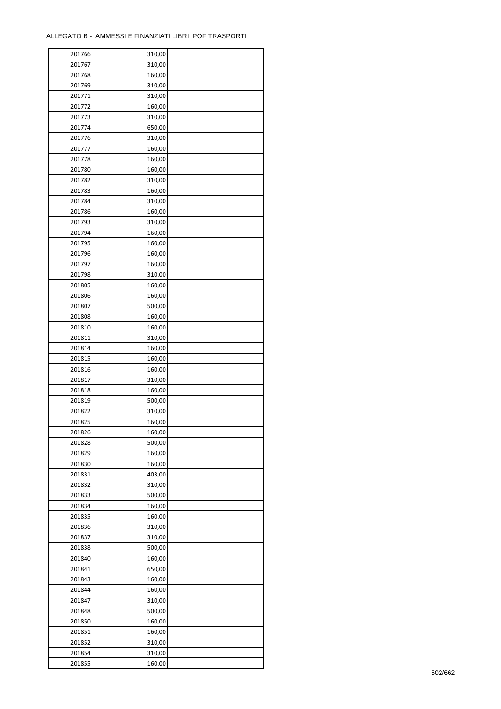ř

| 201766 | 310,00 |  |
|--------|--------|--|
| 201767 | 310,00 |  |
| 201768 | 160,00 |  |
| 201769 | 310,00 |  |
| 201771 | 310,00 |  |
| 201772 | 160,00 |  |
| 201773 | 310,00 |  |
| 201774 | 650,00 |  |
| 201776 | 310,00 |  |
|        | 160,00 |  |
| 201777 |        |  |
| 201778 | 160,00 |  |
| 201780 | 160,00 |  |
| 201782 | 310,00 |  |
| 201783 | 160,00 |  |
| 201784 | 310,00 |  |
| 201786 | 160,00 |  |
| 201793 | 310,00 |  |
| 201794 | 160,00 |  |
| 201795 | 160,00 |  |
| 201796 | 160,00 |  |
| 201797 | 160,00 |  |
| 201798 | 310,00 |  |
| 201805 | 160,00 |  |
| 201806 | 160,00 |  |
| 201807 | 500,00 |  |
| 201808 | 160,00 |  |
| 201810 | 160,00 |  |
| 201811 | 310,00 |  |
| 201814 | 160,00 |  |
| 201815 | 160,00 |  |
| 201816 | 160,00 |  |
|        |        |  |
| 201817 | 310,00 |  |
| 201818 | 160,00 |  |
| 201819 | 500,00 |  |
| 201822 | 310,00 |  |
| 201825 | 160,00 |  |
| 201826 | 160,00 |  |
| 201828 | 500,00 |  |
| 201829 | 160,00 |  |
| 201830 | 160,00 |  |
| 201831 | 403,00 |  |
| 201832 | 310,00 |  |
| 201833 | 500,00 |  |
| 201834 | 160,00 |  |
| 201835 | 160,00 |  |
| 201836 | 310,00 |  |
| 201837 | 310,00 |  |
| 201838 | 500,00 |  |
| 201840 | 160,00 |  |
| 201841 | 650,00 |  |
| 201843 | 160,00 |  |
| 201844 | 160,00 |  |
| 201847 | 310,00 |  |
|        |        |  |
| 201848 | 500,00 |  |
| 201850 | 160,00 |  |
| 201851 | 160,00 |  |
| 201852 | 310,00 |  |
| 201854 | 310,00 |  |
| 201855 | 160,00 |  |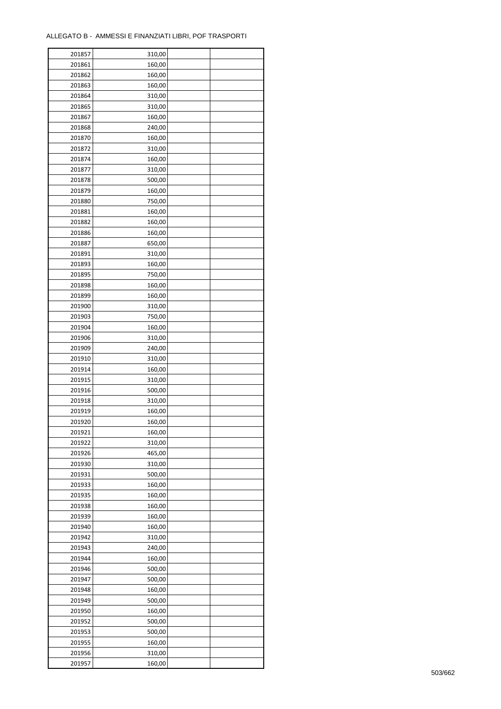$\mathbf{r}$ 

| 201857 | 310,00 |  |
|--------|--------|--|
| 201861 | 160,00 |  |
| 201862 | 160,00 |  |
| 201863 | 160,00 |  |
| 201864 | 310,00 |  |
| 201865 | 310,00 |  |
| 201867 | 160,00 |  |
| 201868 | 240,00 |  |
| 201870 | 160,00 |  |
| 201872 | 310,00 |  |
| 201874 | 160,00 |  |
| 201877 | 310,00 |  |
| 201878 | 500,00 |  |
| 201879 | 160,00 |  |
| 201880 | 750,00 |  |
|        |        |  |
| 201881 | 160,00 |  |
| 201882 | 160,00 |  |
| 201886 | 160,00 |  |
| 201887 | 650,00 |  |
| 201891 | 310,00 |  |
| 201893 | 160,00 |  |
| 201895 | 750,00 |  |
| 201898 | 160,00 |  |
| 201899 | 160,00 |  |
| 201900 | 310,00 |  |
| 201903 | 750,00 |  |
| 201904 | 160,00 |  |
| 201906 | 310,00 |  |
| 201909 | 240,00 |  |
| 201910 | 310,00 |  |
| 201914 | 160,00 |  |
| 201915 | 310,00 |  |
| 201916 | 500,00 |  |
| 201918 | 310,00 |  |
| 201919 | 160,00 |  |
| 201920 | 160,00 |  |
| 201921 | 160,00 |  |
| 201922 | 310,00 |  |
| 201926 | 465,00 |  |
| 201930 | 310,00 |  |
| 201931 | 500,00 |  |
| 201933 | 160,00 |  |
| 201935 | 160,00 |  |
| 201938 | 160,00 |  |
| 201939 | 160,00 |  |
| 201940 | 160,00 |  |
| 201942 | 310,00 |  |
| 201943 | 240,00 |  |
| 201944 | 160,00 |  |
| 201946 | 500,00 |  |
| 201947 | 500,00 |  |
| 201948 | 160,00 |  |
| 201949 | 500,00 |  |
| 201950 | 160,00 |  |
| 201952 | 500,00 |  |
| 201953 | 500,00 |  |
| 201955 | 160,00 |  |
| 201956 | 310,00 |  |
| 201957 | 160,00 |  |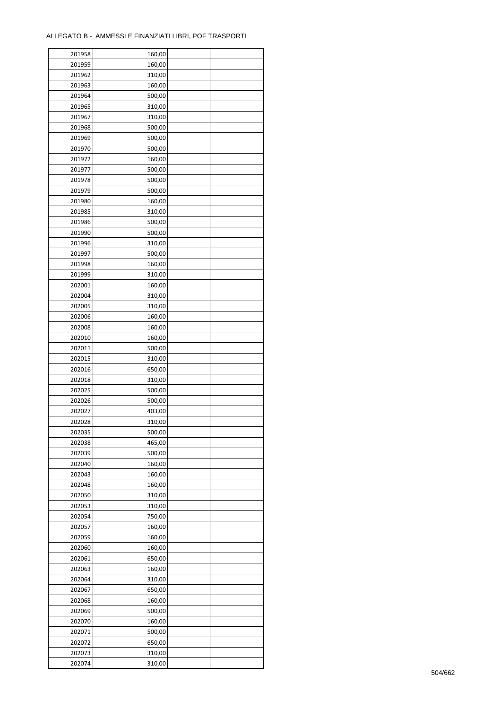÷

| 201958 | 160,00 |  |
|--------|--------|--|
| 201959 | 160,00 |  |
| 201962 | 310,00 |  |
| 201963 | 160,00 |  |
| 201964 | 500,00 |  |
| 201965 | 310,00 |  |
| 201967 | 310,00 |  |
| 201968 | 500,00 |  |
| 201969 | 500,00 |  |
| 201970 | 500,00 |  |
| 201972 | 160,00 |  |
| 201977 | 500,00 |  |
| 201978 | 500,00 |  |
| 201979 |        |  |
|        | 500,00 |  |
| 201980 | 160,00 |  |
| 201985 | 310,00 |  |
| 201986 | 500,00 |  |
| 201990 | 500,00 |  |
| 201996 | 310,00 |  |
| 201997 | 500,00 |  |
| 201998 | 160,00 |  |
| 201999 | 310,00 |  |
| 202001 | 160,00 |  |
| 202004 | 310,00 |  |
| 202005 | 310,00 |  |
| 202006 | 160,00 |  |
| 202008 | 160,00 |  |
| 202010 | 160,00 |  |
| 202011 | 500,00 |  |
| 202015 | 310,00 |  |
| 202016 | 650,00 |  |
| 202018 | 310,00 |  |
| 202025 | 500,00 |  |
| 202026 | 500,00 |  |
| 202027 | 403,00 |  |
| 202028 | 310,00 |  |
| 202035 | 500,00 |  |
| 202038 | 465,00 |  |
| 202039 | 500,00 |  |
| 202040 | 160,00 |  |
| 202043 | 160,00 |  |
| 202048 | 160,00 |  |
| 202050 | 310,00 |  |
| 202053 | 310,00 |  |
| 202054 | 750,00 |  |
| 202057 | 160,00 |  |
| 202059 | 160,00 |  |
| 202060 | 160,00 |  |
| 202061 | 650,00 |  |
| 202063 | 160,00 |  |
| 202064 | 310,00 |  |
|        |        |  |
| 202067 | 650,00 |  |
| 202068 | 160,00 |  |
| 202069 | 500,00 |  |
| 202070 | 160,00 |  |
| 202071 | 500,00 |  |
| 202072 | 650,00 |  |
| 202073 | 310,00 |  |
| 202074 | 310,00 |  |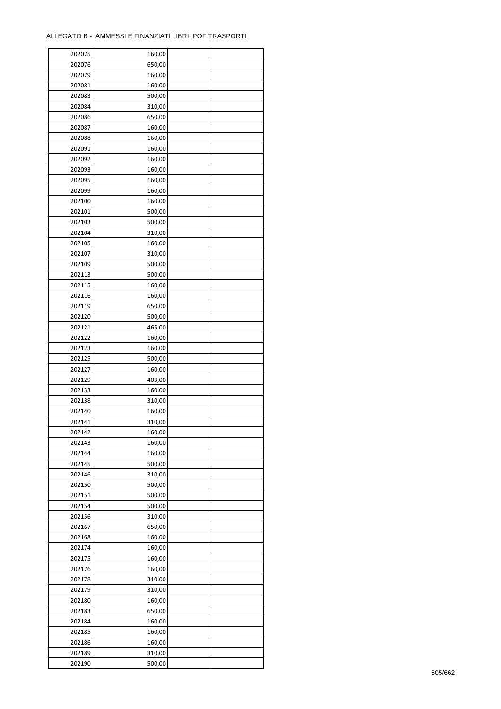| 202075 | 160,00 |  |
|--------|--------|--|
| 202076 | 650,00 |  |
| 202079 | 160,00 |  |
| 202081 | 160,00 |  |
| 202083 | 500,00 |  |
| 202084 | 310,00 |  |
| 202086 | 650,00 |  |
| 202087 | 160,00 |  |
| 202088 |        |  |
|        | 160,00 |  |
| 202091 | 160,00 |  |
| 202092 | 160,00 |  |
| 202093 | 160,00 |  |
| 202095 | 160,00 |  |
| 202099 | 160,00 |  |
| 202100 | 160,00 |  |
| 202101 | 500,00 |  |
| 202103 | 500,00 |  |
| 202104 | 310,00 |  |
| 202105 | 160,00 |  |
| 202107 | 310,00 |  |
| 202109 | 500,00 |  |
| 202113 | 500,00 |  |
| 202115 | 160,00 |  |
| 202116 | 160,00 |  |
| 202119 | 650,00 |  |
| 202120 | 500,00 |  |
| 202121 | 465,00 |  |
| 202122 | 160,00 |  |
| 202123 | 160,00 |  |
| 202125 | 500,00 |  |
|        |        |  |
| 202127 | 160,00 |  |
| 202129 | 403,00 |  |
| 202133 | 160,00 |  |
| 202138 | 310,00 |  |
| 202140 | 160,00 |  |
| 202141 | 310,00 |  |
| 202142 | 160,00 |  |
| 202143 | 160,00 |  |
| 202144 | 160,00 |  |
| 202145 | 500,00 |  |
| 202146 | 310,00 |  |
| 202150 | 500,00 |  |
| 202151 | 500,00 |  |
| 202154 | 500,00 |  |
| 202156 | 310,00 |  |
| 202167 | 650,00 |  |
| 202168 | 160,00 |  |
| 202174 | 160,00 |  |
| 202175 | 160,00 |  |
| 202176 | 160,00 |  |
| 202178 | 310,00 |  |
| 202179 | 310,00 |  |
| 202180 | 160,00 |  |
|        |        |  |
| 202183 | 650,00 |  |
| 202184 | 160,00 |  |
| 202185 | 160,00 |  |
| 202186 | 160,00 |  |
| 202189 | 310,00 |  |
| 202190 | 500,00 |  |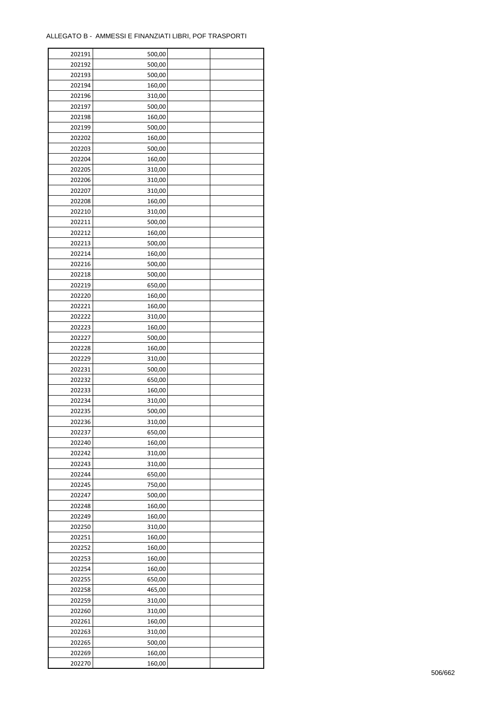| 202191 | 500,00 |  |
|--------|--------|--|
| 202192 | 500,00 |  |
| 202193 | 500,00 |  |
| 202194 | 160,00 |  |
| 202196 | 310,00 |  |
| 202197 | 500,00 |  |
| 202198 | 160,00 |  |
| 202199 | 500,00 |  |
| 202202 | 160,00 |  |
| 202203 | 500,00 |  |
| 202204 |        |  |
|        | 160,00 |  |
| 202205 | 310,00 |  |
| 202206 | 310,00 |  |
| 202207 | 310,00 |  |
| 202208 | 160,00 |  |
| 202210 | 310,00 |  |
| 202211 | 500,00 |  |
| 202212 | 160,00 |  |
| 202213 | 500,00 |  |
| 202214 | 160,00 |  |
| 202216 | 500,00 |  |
| 202218 | 500,00 |  |
| 202219 | 650,00 |  |
| 202220 | 160,00 |  |
| 202221 | 160,00 |  |
| 202222 | 310,00 |  |
| 202223 | 160,00 |  |
| 202227 | 500,00 |  |
| 202228 | 160,00 |  |
| 202229 | 310,00 |  |
| 202231 | 500,00 |  |
|        |        |  |
| 202232 | 650,00 |  |
| 202233 | 160,00 |  |
| 202234 | 310,00 |  |
| 202235 | 500,00 |  |
| 202236 | 310,00 |  |
| 202237 | 650,00 |  |
| 202240 | 160,00 |  |
| 202242 | 310,00 |  |
| 202243 | 310,00 |  |
| 202244 | 650,00 |  |
| 202245 | 750,00 |  |
| 202247 | 500,00 |  |
| 202248 | 160,00 |  |
| 202249 | 160,00 |  |
| 202250 | 310,00 |  |
| 202251 | 160,00 |  |
| 202252 | 160,00 |  |
| 202253 | 160,00 |  |
| 202254 | 160,00 |  |
| 202255 | 650,00 |  |
| 202258 | 465,00 |  |
| 202259 | 310,00 |  |
| 202260 | 310,00 |  |
| 202261 | 160,00 |  |
|        | 310,00 |  |
| 202263 |        |  |
| 202265 | 500,00 |  |
| 202269 | 160,00 |  |
| 202270 | 160,00 |  |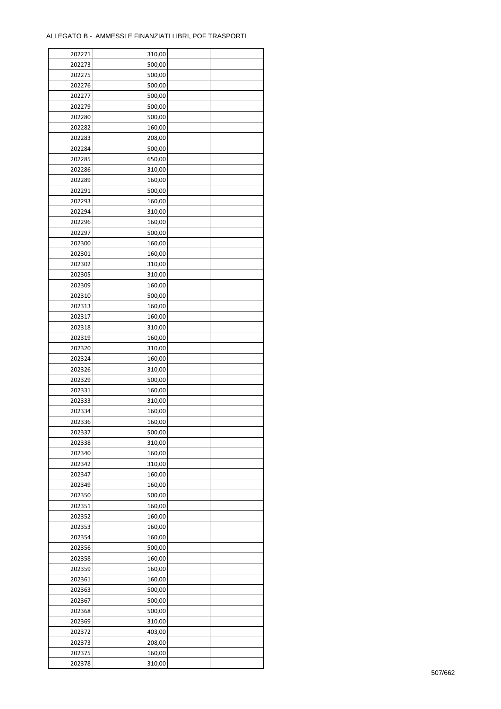| 202271 | 310,00 |  |
|--------|--------|--|
| 202273 | 500,00 |  |
| 202275 | 500,00 |  |
| 202276 | 500,00 |  |
| 202277 | 500,00 |  |
| 202279 | 500,00 |  |
| 202280 | 500,00 |  |
| 202282 | 160,00 |  |
| 202283 | 208,00 |  |
| 202284 | 500,00 |  |
|        |        |  |
| 202285 | 650,00 |  |
| 202286 | 310,00 |  |
| 202289 | 160,00 |  |
| 202291 | 500,00 |  |
| 202293 | 160,00 |  |
| 202294 | 310,00 |  |
| 202296 | 160,00 |  |
| 202297 | 500,00 |  |
| 202300 | 160,00 |  |
| 202301 | 160,00 |  |
| 202302 | 310,00 |  |
| 202305 | 310,00 |  |
| 202309 | 160,00 |  |
| 202310 | 500,00 |  |
| 202313 | 160,00 |  |
| 202317 | 160,00 |  |
| 202318 | 310,00 |  |
| 202319 | 160,00 |  |
| 202320 | 310,00 |  |
| 202324 | 160,00 |  |
|        |        |  |
| 202326 | 310,00 |  |
| 202329 | 500,00 |  |
| 202331 | 160,00 |  |
| 202333 | 310,00 |  |
| 202334 | 160,00 |  |
| 202336 | 160,00 |  |
| 202337 | 500,00 |  |
| 202338 | 310,00 |  |
| 202340 | 160,00 |  |
| 202342 | 310,00 |  |
| 202347 | 160,00 |  |
| 202349 | 160,00 |  |
| 202350 | 500,00 |  |
| 202351 | 160,00 |  |
| 202352 | 160,00 |  |
| 202353 | 160,00 |  |
| 202354 | 160,00 |  |
| 202356 | 500,00 |  |
| 202358 | 160,00 |  |
| 202359 | 160,00 |  |
| 202361 | 160,00 |  |
| 202363 | 500,00 |  |
| 202367 | 500,00 |  |
|        |        |  |
| 202368 | 500,00 |  |
| 202369 | 310,00 |  |
| 202372 | 403,00 |  |
| 202373 | 208,00 |  |
| 202375 | 160,00 |  |
| 202378 | 310,00 |  |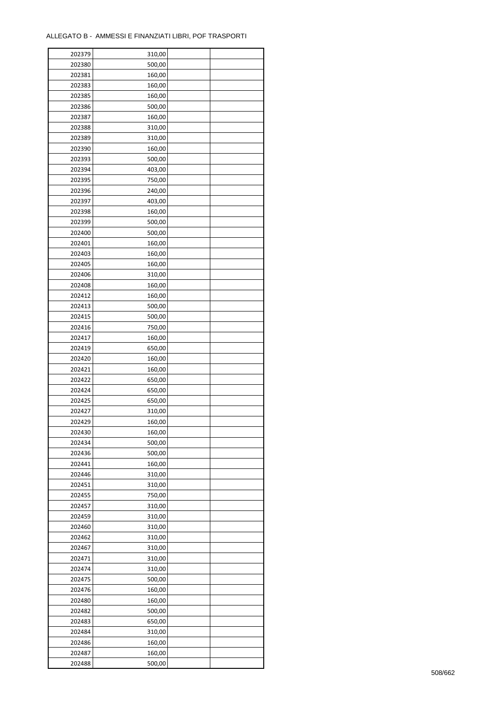| 202379 | 310,00           |  |
|--------|------------------|--|
| 202380 | 500,00           |  |
| 202381 | 160,00           |  |
| 202383 | 160,00           |  |
| 202385 | 160,00           |  |
| 202386 | 500,00           |  |
| 202387 | 160,00           |  |
| 202388 | 310,00           |  |
| 202389 | 310,00           |  |
| 202390 |                  |  |
| 202393 | 160,00<br>500,00 |  |
|        |                  |  |
| 202394 | 403,00           |  |
| 202395 | 750,00           |  |
| 202396 | 240,00           |  |
| 202397 | 403,00           |  |
| 202398 | 160,00           |  |
| 202399 | 500,00           |  |
| 202400 | 500,00           |  |
| 202401 | 160,00           |  |
| 202403 | 160,00           |  |
| 202405 | 160,00           |  |
| 202406 | 310,00           |  |
| 202408 | 160,00           |  |
| 202412 | 160,00           |  |
| 202413 | 500,00           |  |
| 202415 | 500,00           |  |
| 202416 | 750,00           |  |
| 202417 | 160,00           |  |
| 202419 | 650,00           |  |
| 202420 | 160,00           |  |
| 202421 | 160,00           |  |
| 202422 | 650,00           |  |
| 202424 | 650,00           |  |
| 202425 | 650,00           |  |
| 202427 | 310,00           |  |
| 202429 |                  |  |
|        | 160,00           |  |
| 202430 | 160,00           |  |
| 202434 | 500,00           |  |
| 202436 | 500,00           |  |
| 202441 | 160,00           |  |
| 202446 | 310,00           |  |
| 202451 | 310,00           |  |
| 202455 | 750,00           |  |
| 202457 | 310,00           |  |
| 202459 | 310,00           |  |
| 202460 | 310,00           |  |
| 202462 | 310,00           |  |
| 202467 | 310,00           |  |
| 202471 | 310,00           |  |
| 202474 | 310,00           |  |
| 202475 | 500,00           |  |
| 202476 | 160,00           |  |
| 202480 | 160,00           |  |
| 202482 | 500,00           |  |
| 202483 | 650,00           |  |
| 202484 | 310,00           |  |
| 202486 | 160,00           |  |
| 202487 | 160,00           |  |
| 202488 |                  |  |
|        | 500,00           |  |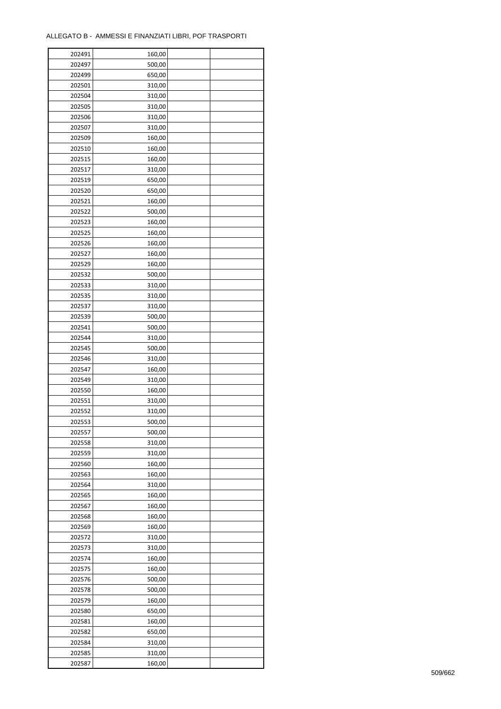| 202491 | 160,00 |  |
|--------|--------|--|
| 202497 | 500,00 |  |
| 202499 | 650,00 |  |
| 202501 | 310,00 |  |
| 202504 | 310,00 |  |
| 202505 | 310,00 |  |
| 202506 | 310,00 |  |
| 202507 | 310,00 |  |
| 202509 | 160,00 |  |
| 202510 | 160,00 |  |
| 202515 | 160,00 |  |
| 202517 | 310,00 |  |
| 202519 | 650,00 |  |
| 202520 | 650,00 |  |
| 202521 |        |  |
|        | 160,00 |  |
| 202522 | 500,00 |  |
| 202523 | 160,00 |  |
| 202525 | 160,00 |  |
| 202526 | 160,00 |  |
| 202527 | 160,00 |  |
| 202529 | 160,00 |  |
| 202532 | 500,00 |  |
| 202533 | 310,00 |  |
| 202535 | 310,00 |  |
| 202537 | 310,00 |  |
| 202539 | 500,00 |  |
| 202541 | 500,00 |  |
| 202544 | 310,00 |  |
| 202545 | 500,00 |  |
| 202546 | 310,00 |  |
| 202547 | 160,00 |  |
| 202549 | 310,00 |  |
| 202550 | 160,00 |  |
| 202551 | 310,00 |  |
| 202552 | 310,00 |  |
| 202553 | 500,00 |  |
| 202557 | 500,00 |  |
| 202558 | 310,00 |  |
| 202559 | 310,00 |  |
| 202560 | 160,00 |  |
| 202563 | 160,00 |  |
| 202564 | 310,00 |  |
| 202565 | 160,00 |  |
| 202567 | 160,00 |  |
| 202568 | 160,00 |  |
| 202569 | 160,00 |  |
| 202572 | 310,00 |  |
| 202573 | 310,00 |  |
| 202574 | 160,00 |  |
| 202575 | 160,00 |  |
| 202576 | 500,00 |  |
| 202578 | 500,00 |  |
| 202579 | 160,00 |  |
|        |        |  |
| 202580 | 650,00 |  |
| 202581 | 160,00 |  |
| 202582 | 650,00 |  |
| 202584 | 310,00 |  |
| 202585 | 310,00 |  |
| 202587 | 160,00 |  |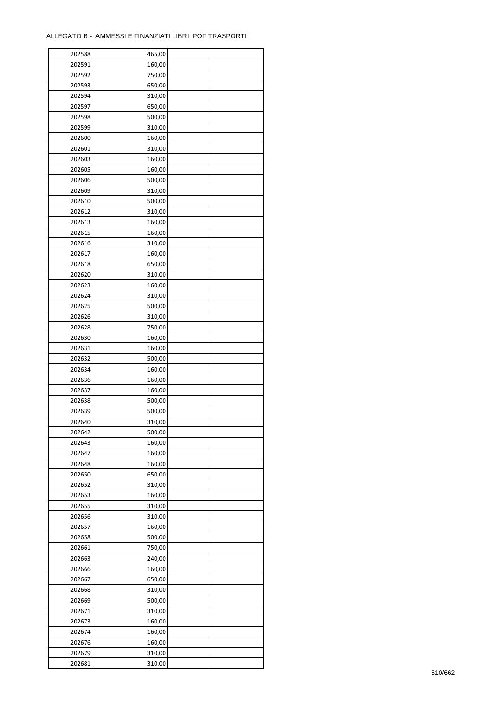| 202588 | 465,00 |  |
|--------|--------|--|
| 202591 | 160,00 |  |
| 202592 | 750,00 |  |
| 202593 | 650,00 |  |
| 202594 | 310,00 |  |
| 202597 | 650,00 |  |
| 202598 | 500,00 |  |
| 202599 | 310,00 |  |
|        |        |  |
| 202600 | 160,00 |  |
| 202601 | 310,00 |  |
| 202603 | 160,00 |  |
| 202605 | 160,00 |  |
| 202606 | 500,00 |  |
| 202609 | 310,00 |  |
| 202610 | 500,00 |  |
| 202612 | 310,00 |  |
| 202613 | 160,00 |  |
| 202615 | 160,00 |  |
| 202616 | 310,00 |  |
| 202617 | 160,00 |  |
| 202618 | 650,00 |  |
| 202620 | 310,00 |  |
| 202623 | 160,00 |  |
| 202624 | 310,00 |  |
| 202625 | 500,00 |  |
| 202626 | 310,00 |  |
| 202628 | 750,00 |  |
| 202630 | 160,00 |  |
| 202631 | 160,00 |  |
|        |        |  |
| 202632 | 500,00 |  |
| 202634 | 160,00 |  |
| 202636 | 160,00 |  |
| 202637 | 160,00 |  |
| 202638 | 500,00 |  |
| 202639 | 500,00 |  |
| 202640 | 310,00 |  |
| 202642 | 500,00 |  |
| 202643 | 160,00 |  |
| 202647 | 160,00 |  |
| 202648 | 160,00 |  |
| 202650 | 650,00 |  |
| 202652 | 310,00 |  |
| 202653 | 160,00 |  |
| 202655 | 310,00 |  |
| 202656 | 310,00 |  |
| 202657 | 160,00 |  |
| 202658 | 500,00 |  |
| 202661 | 750,00 |  |
| 202663 | 240,00 |  |
| 202666 | 160,00 |  |
| 202667 | 650,00 |  |
| 202668 | 310,00 |  |
|        |        |  |
| 202669 | 500,00 |  |
| 202671 | 310,00 |  |
| 202673 | 160,00 |  |
| 202674 | 160,00 |  |
| 202676 | 160,00 |  |
| 202679 | 310,00 |  |
| 202681 | 310,00 |  |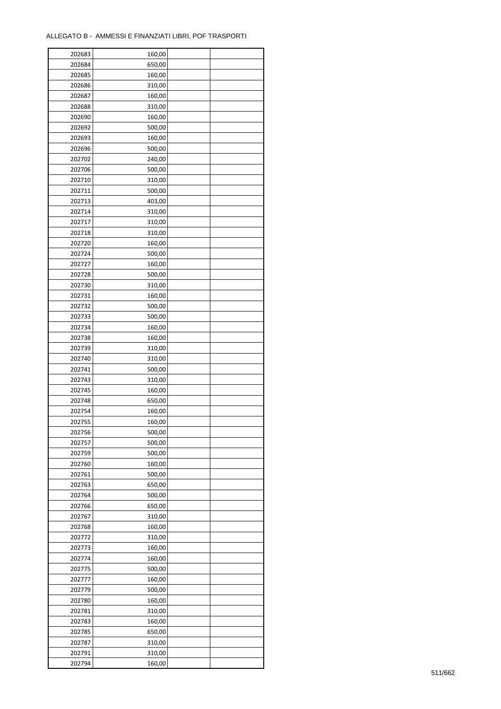| 202683 | 160,00 |  |
|--------|--------|--|
| 202684 | 650,00 |  |
| 202685 | 160,00 |  |
| 202686 | 310,00 |  |
| 202687 | 160,00 |  |
| 202688 | 310,00 |  |
| 202690 | 160,00 |  |
| 202692 | 500,00 |  |
| 202693 | 160,00 |  |
| 202696 | 500,00 |  |
| 202702 | 240,00 |  |
| 202706 | 500,00 |  |
| 202710 | 310,00 |  |
| 202711 | 500,00 |  |
| 202713 | 403,00 |  |
|        |        |  |
| 202714 | 310,00 |  |
| 202717 | 310,00 |  |
| 202718 | 310,00 |  |
| 202720 | 160,00 |  |
| 202724 | 500,00 |  |
| 202727 | 160,00 |  |
| 202728 | 500,00 |  |
| 202730 | 310,00 |  |
| 202731 | 160,00 |  |
| 202732 | 500,00 |  |
| 202733 | 500,00 |  |
| 202734 | 160,00 |  |
| 202738 | 160,00 |  |
| 202739 | 310,00 |  |
| 202740 | 310,00 |  |
| 202741 | 500,00 |  |
| 202743 | 310,00 |  |
| 202745 | 160,00 |  |
| 202748 | 650,00 |  |
| 202754 | 160,00 |  |
| 202755 | 160,00 |  |
| 202756 | 500,00 |  |
| 202757 | 500,00 |  |
| 202759 | 500,00 |  |
| 202760 | 160,00 |  |
| 202761 | 500,00 |  |
| 202763 | 650,00 |  |
| 202764 | 500,00 |  |
| 202766 | 650,00 |  |
| 202767 | 310,00 |  |
| 202768 | 160,00 |  |
| 202772 | 310,00 |  |
| 202773 | 160,00 |  |
| 202774 | 160,00 |  |
| 202775 | 500,00 |  |
| 202777 | 160,00 |  |
| 202779 | 500,00 |  |
| 202780 | 160,00 |  |
| 202781 | 310,00 |  |
| 202783 | 160,00 |  |
| 202785 | 650,00 |  |
| 202787 | 310,00 |  |
| 202791 | 310,00 |  |
| 202794 | 160,00 |  |
|        |        |  |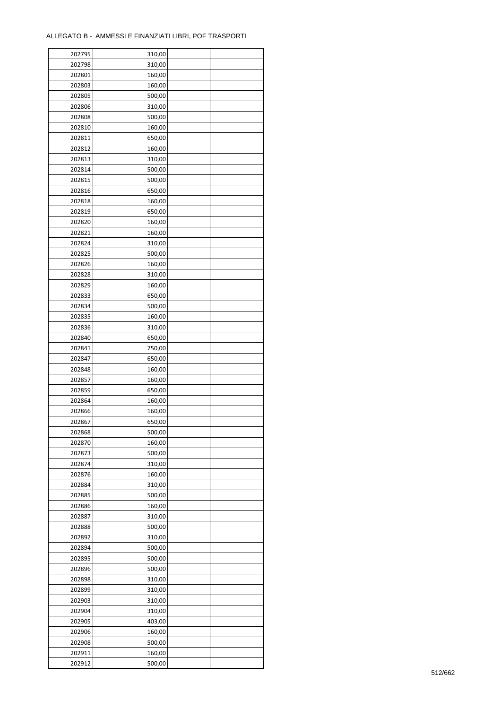| 202795 | 310,00 |  |
|--------|--------|--|
| 202798 | 310,00 |  |
| 202801 | 160,00 |  |
| 202803 | 160,00 |  |
| 202805 | 500,00 |  |
| 202806 | 310,00 |  |
| 202808 | 500,00 |  |
| 202810 | 160,00 |  |
| 202811 | 650,00 |  |
| 202812 | 160,00 |  |
|        |        |  |
| 202813 | 310,00 |  |
| 202814 | 500,00 |  |
| 202815 | 500,00 |  |
| 202816 | 650,00 |  |
| 202818 | 160,00 |  |
| 202819 | 650,00 |  |
| 202820 | 160,00 |  |
| 202821 | 160,00 |  |
| 202824 | 310,00 |  |
| 202825 | 500,00 |  |
| 202826 | 160,00 |  |
| 202828 | 310,00 |  |
| 202829 | 160,00 |  |
| 202833 | 650,00 |  |
| 202834 | 500,00 |  |
| 202835 | 160,00 |  |
| 202836 | 310,00 |  |
| 202840 | 650,00 |  |
| 202841 | 750,00 |  |
| 202847 | 650,00 |  |
|        |        |  |
| 202848 | 160,00 |  |
| 202857 | 160,00 |  |
| 202859 | 650,00 |  |
| 202864 | 160,00 |  |
| 202866 | 160,00 |  |
| 202867 | 650,00 |  |
| 202868 | 500,00 |  |
| 202870 | 160,00 |  |
| 202873 | 500,00 |  |
| 202874 | 310,00 |  |
| 202876 | 160,00 |  |
| 202884 | 310,00 |  |
| 202885 | 500,00 |  |
| 202886 | 160,00 |  |
| 202887 | 310,00 |  |
| 202888 | 500,00 |  |
| 202892 | 310,00 |  |
| 202894 | 500,00 |  |
| 202895 | 500,00 |  |
| 202896 | 500,00 |  |
| 202898 | 310,00 |  |
|        |        |  |
| 202899 | 310,00 |  |
| 202903 | 310,00 |  |
| 202904 | 310,00 |  |
| 202905 | 403,00 |  |
| 202906 | 160,00 |  |
| 202908 | 500,00 |  |
| 202911 | 160,00 |  |
| 202912 | 500,00 |  |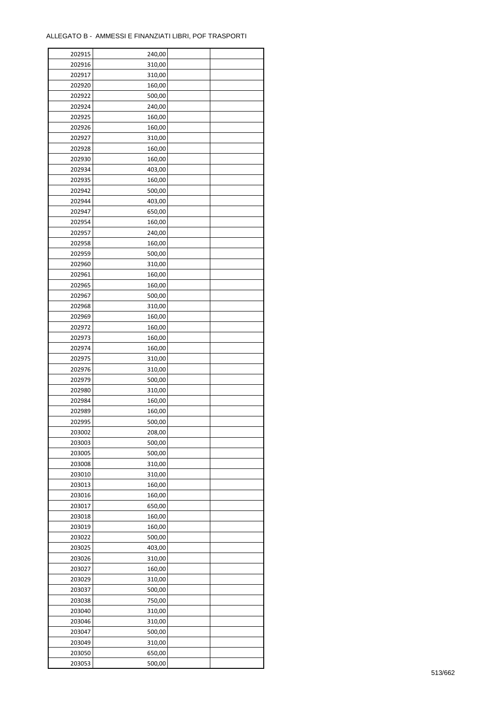| 202915 | 240,00 |  |
|--------|--------|--|
| 202916 | 310,00 |  |
| 202917 | 310,00 |  |
| 202920 | 160,00 |  |
| 202922 | 500,00 |  |
| 202924 | 240,00 |  |
| 202925 | 160,00 |  |
| 202926 | 160,00 |  |
| 202927 | 310,00 |  |
| 202928 | 160,00 |  |
| 202930 | 160,00 |  |
| 202934 | 403,00 |  |
|        |        |  |
| 202935 | 160,00 |  |
| 202942 | 500,00 |  |
| 202944 | 403,00 |  |
| 202947 | 650,00 |  |
| 202954 | 160,00 |  |
| 202957 | 240,00 |  |
| 202958 | 160,00 |  |
| 202959 | 500,00 |  |
| 202960 | 310,00 |  |
| 202961 | 160,00 |  |
| 202965 | 160,00 |  |
| 202967 | 500,00 |  |
| 202968 | 310,00 |  |
| 202969 | 160,00 |  |
| 202972 | 160,00 |  |
| 202973 | 160,00 |  |
| 202974 | 160,00 |  |
| 202975 | 310,00 |  |
| 202976 | 310,00 |  |
| 202979 | 500,00 |  |
| 202980 | 310,00 |  |
| 202984 | 160,00 |  |
| 202989 | 160,00 |  |
| 202995 | 500,00 |  |
| 203002 | 208,00 |  |
|        |        |  |
| 203003 | 500,00 |  |
| 203005 | 500,00 |  |
| 203008 | 310,00 |  |
| 203010 | 310,00 |  |
| 203013 | 160,00 |  |
| 203016 | 160,00 |  |
| 203017 | 650,00 |  |
| 203018 | 160,00 |  |
| 203019 | 160,00 |  |
| 203022 | 500,00 |  |
| 203025 | 403,00 |  |
| 203026 | 310,00 |  |
| 203027 | 160,00 |  |
| 203029 | 310,00 |  |
| 203037 | 500,00 |  |
| 203038 | 750,00 |  |
| 203040 | 310,00 |  |
| 203046 | 310,00 |  |
| 203047 | 500,00 |  |
| 203049 | 310,00 |  |
| 203050 | 650,00 |  |
| 203053 | 500,00 |  |
|        |        |  |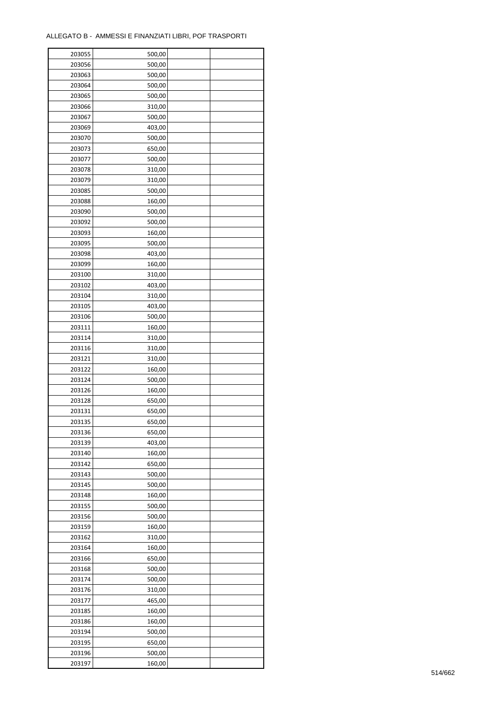| 203055 | 500,00           |  |
|--------|------------------|--|
| 203056 | 500,00           |  |
| 203063 | 500,00           |  |
| 203064 | 500,00           |  |
| 203065 | 500,00           |  |
| 203066 | 310,00           |  |
| 203067 | 500,00           |  |
| 203069 | 403,00           |  |
| 203070 | 500,00           |  |
|        |                  |  |
| 203073 | 650,00           |  |
| 203077 | 500,00           |  |
| 203078 | 310,00           |  |
| 203079 | 310,00           |  |
| 203085 | 500,00           |  |
| 203088 | 160,00           |  |
| 203090 | 500,00           |  |
| 203092 | 500,00           |  |
| 203093 | 160,00           |  |
| 203095 | 500,00           |  |
| 203098 | 403,00           |  |
| 203099 | 160,00           |  |
| 203100 | 310,00           |  |
| 203102 | 403,00           |  |
| 203104 | 310,00           |  |
| 203105 | 403,00           |  |
| 203106 | 500,00           |  |
| 203111 | 160,00           |  |
| 203114 | 310,00           |  |
| 203116 | 310,00           |  |
| 203121 | 310,00           |  |
|        |                  |  |
| 203122 | 160,00<br>500,00 |  |
| 203124 |                  |  |
| 203126 | 160,00           |  |
| 203128 | 650,00           |  |
| 203131 | 650,00           |  |
| 203135 | 650,00           |  |
| 203136 | 650,00           |  |
| 203139 | 403,00           |  |
| 203140 | 160,00           |  |
| 203142 | 650,00           |  |
| 203143 | 500,00           |  |
| 203145 | 500,00           |  |
| 203148 | 160,00           |  |
| 203155 | 500,00           |  |
| 203156 | 500,00           |  |
| 203159 | 160,00           |  |
| 203162 | 310,00           |  |
| 203164 | 160,00           |  |
| 203166 | 650,00           |  |
| 203168 | 500,00           |  |
| 203174 | 500,00           |  |
| 203176 | 310,00           |  |
| 203177 | 465,00           |  |
|        |                  |  |
| 203185 | 160,00           |  |
| 203186 | 160,00           |  |
| 203194 | 500,00           |  |
| 203195 | 650,00           |  |
| 203196 | 500,00           |  |
| 203197 | 160,00           |  |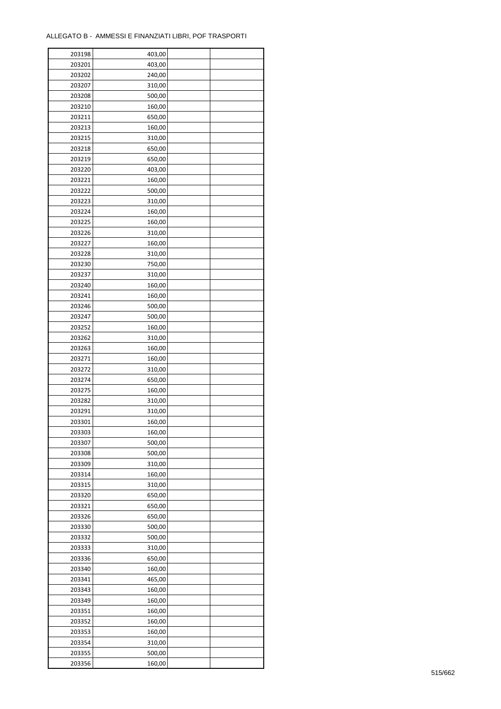| 203198 | 403,00 |  |
|--------|--------|--|
| 203201 | 403,00 |  |
| 203202 | 240,00 |  |
| 203207 | 310,00 |  |
| 203208 | 500,00 |  |
| 203210 | 160,00 |  |
| 203211 | 650,00 |  |
| 203213 | 160,00 |  |
| 203215 | 310,00 |  |
| 203218 |        |  |
| 203219 | 650,00 |  |
|        | 650,00 |  |
| 203220 | 403,00 |  |
| 203221 | 160,00 |  |
| 203222 | 500,00 |  |
| 203223 | 310,00 |  |
| 203224 | 160,00 |  |
| 203225 | 160,00 |  |
| 203226 | 310,00 |  |
| 203227 | 160,00 |  |
| 203228 | 310,00 |  |
| 203230 | 750,00 |  |
| 203237 | 310,00 |  |
| 203240 | 160,00 |  |
| 203241 | 160,00 |  |
| 203246 | 500,00 |  |
| 203247 | 500,00 |  |
| 203252 | 160,00 |  |
| 203262 | 310,00 |  |
| 203263 | 160,00 |  |
| 203271 | 160,00 |  |
| 203272 | 310,00 |  |
|        |        |  |
| 203274 | 650,00 |  |
| 203275 | 160,00 |  |
| 203282 | 310,00 |  |
| 203291 | 310,00 |  |
| 203301 | 160,00 |  |
| 203303 | 160,00 |  |
| 203307 | 500,00 |  |
| 203308 | 500,00 |  |
| 203309 | 310,00 |  |
| 203314 | 160,00 |  |
| 203315 | 310,00 |  |
| 203320 | 650,00 |  |
| 203321 | 650,00 |  |
| 203326 | 650,00 |  |
| 203330 | 500,00 |  |
| 203332 | 500,00 |  |
| 203333 | 310,00 |  |
| 203336 | 650,00 |  |
| 203340 | 160,00 |  |
| 203341 | 465,00 |  |
| 203343 | 160,00 |  |
| 203349 | 160,00 |  |
| 203351 | 160,00 |  |
|        |        |  |
| 203352 | 160,00 |  |
| 203353 | 160,00 |  |
| 203354 | 310,00 |  |
| 203355 | 500,00 |  |
| 203356 | 160,00 |  |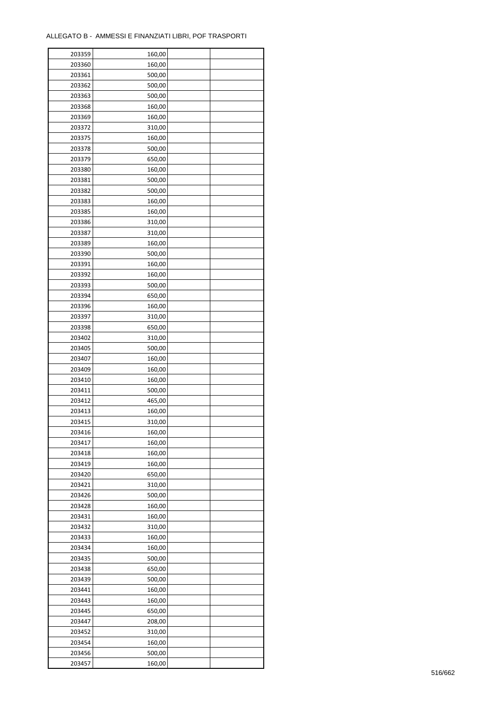| 203359 | 160,00 |  |
|--------|--------|--|
| 203360 | 160,00 |  |
| 203361 | 500,00 |  |
| 203362 | 500,00 |  |
| 203363 | 500,00 |  |
| 203368 | 160,00 |  |
| 203369 | 160,00 |  |
| 203372 | 310,00 |  |
| 203375 | 160,00 |  |
| 203378 | 500,00 |  |
| 203379 | 650,00 |  |
| 203380 | 160,00 |  |
| 203381 | 500,00 |  |
| 203382 | 500,00 |  |
|        |        |  |
| 203383 | 160,00 |  |
| 203385 | 160,00 |  |
| 203386 | 310,00 |  |
| 203387 | 310,00 |  |
| 203389 | 160,00 |  |
| 203390 | 500,00 |  |
| 203391 | 160,00 |  |
| 203392 | 160,00 |  |
| 203393 | 500,00 |  |
| 203394 | 650,00 |  |
| 203396 | 160,00 |  |
| 203397 | 310,00 |  |
| 203398 | 650,00 |  |
| 203402 | 310,00 |  |
| 203405 | 500,00 |  |
| 203407 | 160,00 |  |
| 203409 | 160,00 |  |
| 203410 | 160,00 |  |
| 203411 | 500,00 |  |
| 203412 | 465,00 |  |
| 203413 | 160,00 |  |
| 203415 | 310,00 |  |
| 203416 | 160,00 |  |
| 203417 | 160,00 |  |
| 203418 | 160,00 |  |
| 203419 | 160,00 |  |
| 203420 | 650,00 |  |
| 203421 | 310,00 |  |
| 203426 | 500,00 |  |
| 203428 | 160,00 |  |
| 203431 | 160,00 |  |
| 203432 | 310,00 |  |
| 203433 | 160,00 |  |
| 203434 | 160,00 |  |
| 203435 | 500,00 |  |
| 203438 | 650,00 |  |
| 203439 | 500,00 |  |
| 203441 | 160,00 |  |
| 203443 | 160,00 |  |
| 203445 | 650,00 |  |
| 203447 | 208,00 |  |
|        |        |  |
| 203452 | 310,00 |  |
| 203454 | 160,00 |  |
| 203456 | 500,00 |  |
| 203457 | 160,00 |  |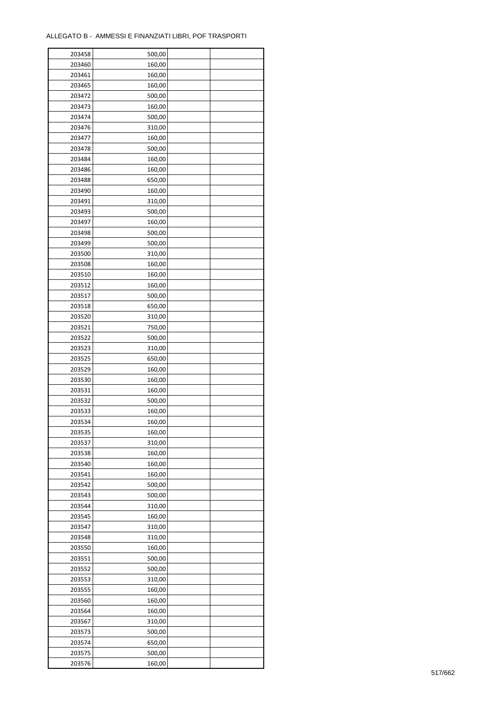| 203458 | 500,00 |  |
|--------|--------|--|
| 203460 | 160,00 |  |
| 203461 | 160,00 |  |
| 203465 | 160,00 |  |
| 203472 | 500,00 |  |
| 203473 | 160,00 |  |
| 203474 | 500,00 |  |
| 203476 | 310,00 |  |
| 203477 | 160,00 |  |
| 203478 | 500,00 |  |
| 203484 | 160,00 |  |
| 203486 | 160,00 |  |
| 203488 | 650,00 |  |
| 203490 |        |  |
|        | 160,00 |  |
| 203491 | 310,00 |  |
| 203493 | 500,00 |  |
| 203497 | 160,00 |  |
| 203498 | 500,00 |  |
| 203499 | 500,00 |  |
| 203500 | 310,00 |  |
| 203508 | 160,00 |  |
| 203510 | 160,00 |  |
| 203512 | 160,00 |  |
| 203517 | 500,00 |  |
| 203518 | 650,00 |  |
| 203520 | 310,00 |  |
| 203521 | 750,00 |  |
| 203522 | 500,00 |  |
| 203523 | 310,00 |  |
| 203525 | 650,00 |  |
| 203529 | 160,00 |  |
| 203530 | 160,00 |  |
| 203531 | 160,00 |  |
| 203532 | 500,00 |  |
| 203533 | 160,00 |  |
| 203534 | 160,00 |  |
| 203535 | 160,00 |  |
| 203537 | 310,00 |  |
|        |        |  |
| 203538 | 160,00 |  |
| 203540 | 160,00 |  |
| 203541 | 160,00 |  |
| 203542 | 500,00 |  |
| 203543 | 500,00 |  |
| 203544 | 310,00 |  |
| 203545 | 160,00 |  |
| 203547 | 310,00 |  |
| 203548 | 310,00 |  |
| 203550 | 160,00 |  |
| 203551 | 500,00 |  |
| 203552 | 500,00 |  |
| 203553 | 310,00 |  |
| 203555 | 160,00 |  |
| 203560 | 160,00 |  |
| 203564 | 160,00 |  |
| 203567 | 310,00 |  |
| 203573 | 500,00 |  |
| 203574 | 650,00 |  |
| 203575 | 500,00 |  |
| 203576 | 160,00 |  |
|        |        |  |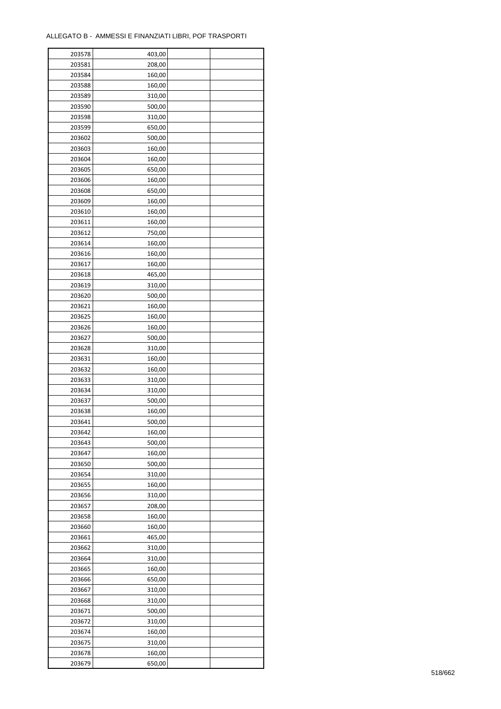| 203578 | 403,00 |  |
|--------|--------|--|
| 203581 | 208,00 |  |
| 203584 | 160,00 |  |
| 203588 | 160,00 |  |
| 203589 | 310,00 |  |
| 203590 | 500,00 |  |
| 203598 | 310,00 |  |
| 203599 | 650,00 |  |
| 203602 | 500,00 |  |
| 203603 | 160,00 |  |
| 203604 | 160,00 |  |
| 203605 |        |  |
|        | 650,00 |  |
| 203606 | 160,00 |  |
| 203608 | 650,00 |  |
| 203609 | 160,00 |  |
| 203610 | 160,00 |  |
| 203611 | 160,00 |  |
| 203612 | 750,00 |  |
| 203614 | 160,00 |  |
| 203616 | 160,00 |  |
| 203617 | 160,00 |  |
| 203618 | 465,00 |  |
| 203619 | 310,00 |  |
| 203620 | 500,00 |  |
| 203621 | 160,00 |  |
| 203625 | 160,00 |  |
| 203626 | 160,00 |  |
| 203627 | 500,00 |  |
| 203628 | 310,00 |  |
| 203631 | 160,00 |  |
| 203632 |        |  |
|        | 160,00 |  |
| 203633 | 310,00 |  |
| 203634 | 310,00 |  |
| 203637 | 500,00 |  |
| 203638 | 160,00 |  |
| 203641 | 500,00 |  |
| 203642 | 160,00 |  |
| 203643 | 500,00 |  |
| 203647 | 160,00 |  |
| 203650 | 500,00 |  |
| 203654 | 310,00 |  |
| 203655 | 160,00 |  |
| 203656 | 310,00 |  |
| 203657 | 208,00 |  |
| 203658 | 160,00 |  |
| 203660 | 160,00 |  |
| 203661 | 465,00 |  |
| 203662 | 310,00 |  |
| 203664 | 310,00 |  |
| 203665 | 160,00 |  |
| 203666 | 650,00 |  |
|        |        |  |
| 203667 | 310,00 |  |
| 203668 | 310,00 |  |
| 203671 | 500,00 |  |
| 203672 | 310,00 |  |
| 203674 | 160,00 |  |
| 203675 | 310,00 |  |
| 203678 | 160,00 |  |
| 203679 | 650,00 |  |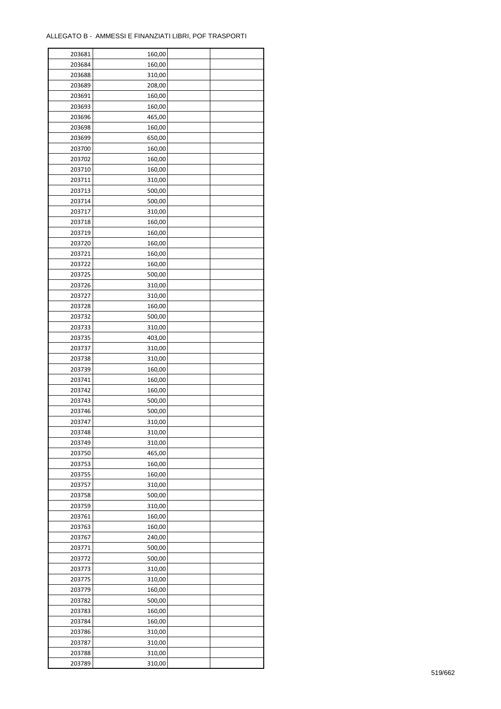| 203681 | 160,00 |  |
|--------|--------|--|
| 203684 | 160,00 |  |
| 203688 | 310,00 |  |
| 203689 | 208,00 |  |
| 203691 | 160,00 |  |
| 203693 | 160,00 |  |
| 203696 | 465,00 |  |
| 203698 | 160,00 |  |
| 203699 | 650,00 |  |
| 203700 | 160,00 |  |
| 203702 | 160,00 |  |
| 203710 | 160,00 |  |
| 203711 | 310,00 |  |
| 203713 |        |  |
|        | 500,00 |  |
| 203714 | 500,00 |  |
| 203717 | 310,00 |  |
| 203718 | 160,00 |  |
| 203719 | 160,00 |  |
| 203720 | 160,00 |  |
| 203721 | 160,00 |  |
| 203722 | 160,00 |  |
| 203725 | 500,00 |  |
| 203726 | 310,00 |  |
| 203727 | 310,00 |  |
| 203728 | 160,00 |  |
| 203732 | 500,00 |  |
| 203733 | 310,00 |  |
| 203735 | 403,00 |  |
| 203737 | 310,00 |  |
| 203738 | 310,00 |  |
| 203739 | 160,00 |  |
| 203741 | 160,00 |  |
| 203742 | 160,00 |  |
| 203743 | 500,00 |  |
| 203746 | 500,00 |  |
| 203747 | 310,00 |  |
| 203748 | 310,00 |  |
| 203749 | 310,00 |  |
|        |        |  |
| 203750 | 465,00 |  |
| 203753 | 160,00 |  |
| 203755 | 160,00 |  |
| 203757 | 310,00 |  |
| 203758 | 500,00 |  |
| 203759 | 310,00 |  |
| 203761 | 160,00 |  |
| 203763 | 160,00 |  |
| 203767 | 240,00 |  |
| 203771 | 500,00 |  |
| 203772 | 500,00 |  |
| 203773 | 310,00 |  |
| 203775 | 310,00 |  |
| 203779 | 160,00 |  |
| 203782 | 500,00 |  |
| 203783 | 160,00 |  |
| 203784 | 160,00 |  |
| 203786 | 310,00 |  |
| 203787 | 310,00 |  |
| 203788 | 310,00 |  |
| 203789 | 310,00 |  |
|        |        |  |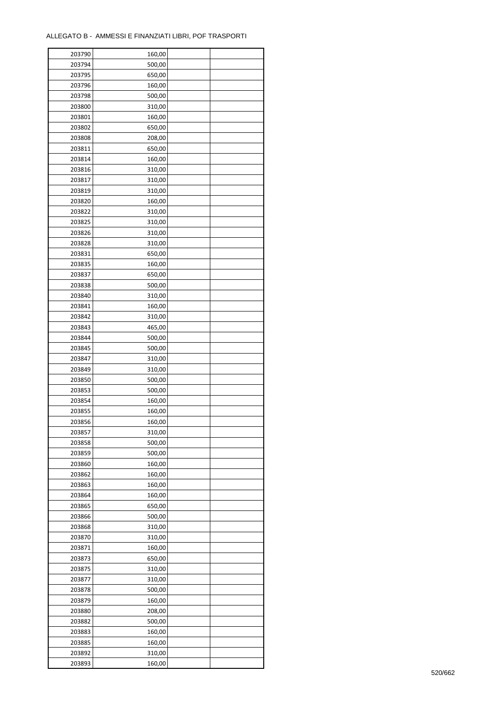| 203790 | 160,00 |  |
|--------|--------|--|
| 203794 | 500,00 |  |
| 203795 | 650,00 |  |
| 203796 | 160,00 |  |
| 203798 | 500,00 |  |
| 203800 | 310,00 |  |
| 203801 | 160,00 |  |
| 203802 | 650,00 |  |
| 203808 | 208,00 |  |
| 203811 | 650,00 |  |
| 203814 | 160,00 |  |
| 203816 |        |  |
|        | 310,00 |  |
| 203817 | 310,00 |  |
| 203819 | 310,00 |  |
| 203820 | 160,00 |  |
| 203822 | 310,00 |  |
| 203825 | 310,00 |  |
| 203826 | 310,00 |  |
| 203828 | 310,00 |  |
| 203831 | 650,00 |  |
| 203835 | 160,00 |  |
| 203837 | 650,00 |  |
| 203838 | 500,00 |  |
| 203840 | 310,00 |  |
| 203841 | 160,00 |  |
| 203842 | 310,00 |  |
| 203843 | 465,00 |  |
| 203844 | 500,00 |  |
| 203845 | 500,00 |  |
| 203847 | 310,00 |  |
| 203849 |        |  |
|        | 310,00 |  |
| 203850 | 500,00 |  |
| 203853 | 500,00 |  |
| 203854 | 160,00 |  |
| 203855 | 160,00 |  |
| 203856 | 160,00 |  |
| 203857 | 310,00 |  |
| 203858 | 500,00 |  |
| 203859 | 500,00 |  |
| 203860 | 160,00 |  |
| 203862 | 160,00 |  |
| 203863 | 160,00 |  |
| 203864 | 160,00 |  |
| 203865 | 650,00 |  |
| 203866 | 500,00 |  |
| 203868 | 310,00 |  |
| 203870 | 310,00 |  |
| 203871 | 160,00 |  |
| 203873 | 650,00 |  |
| 203875 | 310,00 |  |
| 203877 | 310,00 |  |
| 203878 | 500,00 |  |
| 203879 | 160,00 |  |
|        |        |  |
| 203880 | 208,00 |  |
| 203882 | 500,00 |  |
| 203883 | 160,00 |  |
| 203885 | 160,00 |  |
| 203892 | 310,00 |  |
| 203893 | 160,00 |  |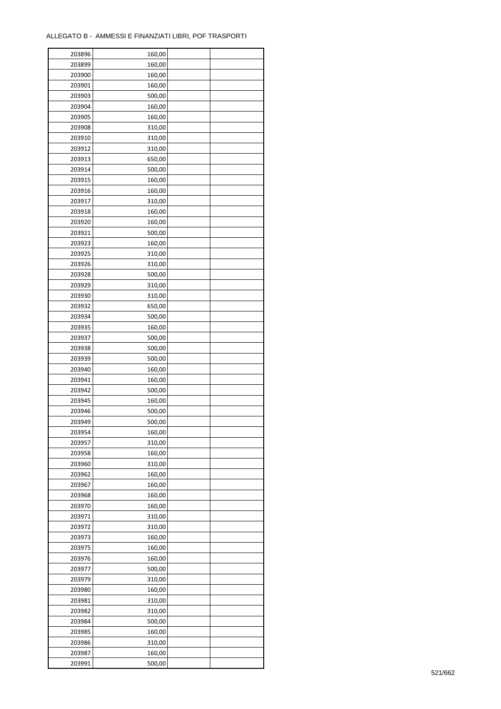ř

| 203896 | 160,00 |  |
|--------|--------|--|
| 203899 | 160,00 |  |
| 203900 | 160,00 |  |
| 203901 | 160,00 |  |
| 203903 | 500,00 |  |
| 203904 | 160,00 |  |
| 203905 | 160,00 |  |
| 203908 | 310,00 |  |
| 203910 | 310,00 |  |
| 203912 | 310,00 |  |
| 203913 | 650,00 |  |
| 203914 | 500,00 |  |
| 203915 |        |  |
| 203916 | 160,00 |  |
|        | 160,00 |  |
| 203917 | 310,00 |  |
| 203918 | 160,00 |  |
| 203920 | 160,00 |  |
| 203921 | 500,00 |  |
| 203923 | 160,00 |  |
| 203925 | 310,00 |  |
| 203926 | 310,00 |  |
| 203928 | 500,00 |  |
| 203929 | 310,00 |  |
| 203930 | 310,00 |  |
| 203932 | 650,00 |  |
| 203934 | 500,00 |  |
| 203935 | 160,00 |  |
| 203937 | 500,00 |  |
| 203938 | 500,00 |  |
| 203939 | 500,00 |  |
| 203940 | 160,00 |  |
| 203941 | 160,00 |  |
| 203942 | 500,00 |  |
| 203945 | 160,00 |  |
| 203946 | 500,00 |  |
| 203949 | 500,00 |  |
| 203954 | 160,00 |  |
| 203957 | 310,00 |  |
| 203958 | 160,00 |  |
| 203960 | 310,00 |  |
| 203962 | 160,00 |  |
| 203967 | 160,00 |  |
| 203968 | 160,00 |  |
| 203970 | 160,00 |  |
| 203971 | 310,00 |  |
| 203972 | 310,00 |  |
| 203973 | 160,00 |  |
| 203975 | 160,00 |  |
| 203976 | 160,00 |  |
| 203977 | 500,00 |  |
| 203979 | 310,00 |  |
| 203980 | 160,00 |  |
| 203981 | 310,00 |  |
| 203982 | 310,00 |  |
| 203984 | 500,00 |  |
| 203985 | 160,00 |  |
| 203986 | 310,00 |  |
| 203987 | 160,00 |  |
|        |        |  |
| 203991 | 500,00 |  |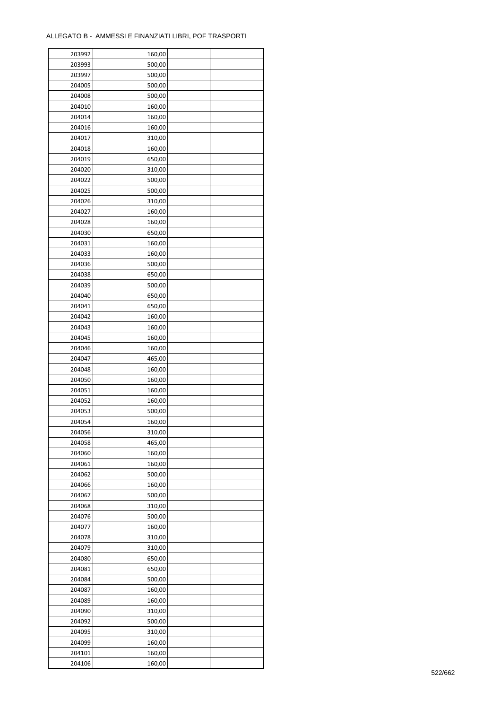| 203992 | 160,00 |  |
|--------|--------|--|
| 203993 | 500,00 |  |
| 203997 | 500,00 |  |
| 204005 | 500,00 |  |
| 204008 | 500,00 |  |
| 204010 | 160,00 |  |
| 204014 | 160,00 |  |
| 204016 | 160,00 |  |
| 204017 | 310,00 |  |
| 204018 | 160,00 |  |
| 204019 | 650,00 |  |
| 204020 | 310,00 |  |
|        |        |  |
| 204022 | 500,00 |  |
| 204025 | 500,00 |  |
| 204026 | 310,00 |  |
| 204027 | 160,00 |  |
| 204028 | 160,00 |  |
| 204030 | 650,00 |  |
| 204031 | 160,00 |  |
| 204033 | 160,00 |  |
| 204036 | 500,00 |  |
| 204038 | 650,00 |  |
| 204039 | 500,00 |  |
| 204040 | 650,00 |  |
| 204041 | 650,00 |  |
| 204042 | 160,00 |  |
| 204043 | 160,00 |  |
| 204045 | 160,00 |  |
| 204046 | 160,00 |  |
| 204047 | 465,00 |  |
| 204048 | 160,00 |  |
| 204050 | 160,00 |  |
| 204051 | 160,00 |  |
| 204052 | 160,00 |  |
| 204053 | 500,00 |  |
| 204054 | 160,00 |  |
|        |        |  |
| 204056 | 310,00 |  |
| 204058 | 465,00 |  |
| 204060 | 160,00 |  |
| 204061 | 160,00 |  |
| 204062 | 500,00 |  |
| 204066 | 160,00 |  |
| 204067 | 500,00 |  |
| 204068 | 310,00 |  |
| 204076 | 500,00 |  |
| 204077 | 160,00 |  |
| 204078 | 310,00 |  |
| 204079 | 310,00 |  |
| 204080 | 650,00 |  |
| 204081 | 650,00 |  |
| 204084 | 500,00 |  |
| 204087 | 160,00 |  |
| 204089 | 160,00 |  |
| 204090 | 310,00 |  |
| 204092 | 500,00 |  |
| 204095 | 310,00 |  |
| 204099 | 160,00 |  |
| 204101 | 160,00 |  |
| 204106 | 160,00 |  |
|        |        |  |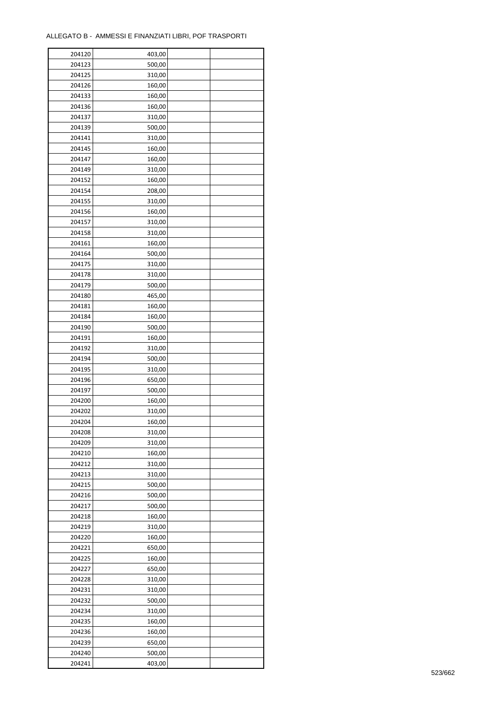| 204120 | 403,00 |  |
|--------|--------|--|
| 204123 | 500,00 |  |
| 204125 | 310,00 |  |
| 204126 | 160,00 |  |
| 204133 | 160,00 |  |
| 204136 | 160,00 |  |
| 204137 | 310,00 |  |
| 204139 | 500,00 |  |
| 204141 | 310,00 |  |
| 204145 |        |  |
|        | 160,00 |  |
| 204147 | 160,00 |  |
| 204149 | 310,00 |  |
| 204152 | 160,00 |  |
| 204154 | 208,00 |  |
| 204155 | 310,00 |  |
| 204156 | 160,00 |  |
| 204157 | 310,00 |  |
| 204158 | 310,00 |  |
| 204161 | 160,00 |  |
| 204164 | 500,00 |  |
| 204175 | 310,00 |  |
| 204178 | 310,00 |  |
| 204179 | 500,00 |  |
| 204180 | 465,00 |  |
| 204181 | 160,00 |  |
| 204184 | 160,00 |  |
| 204190 | 500,00 |  |
| 204191 |        |  |
|        | 160,00 |  |
| 204192 | 310,00 |  |
| 204194 | 500,00 |  |
| 204195 | 310,00 |  |
| 204196 | 650,00 |  |
| 204197 | 500,00 |  |
| 204200 | 160,00 |  |
| 204202 | 310,00 |  |
| 204204 | 160,00 |  |
| 204208 | 310,00 |  |
| 204209 | 310,00 |  |
| 204210 | 160,00 |  |
| 204212 | 310,00 |  |
| 204213 | 310,00 |  |
| 204215 | 500,00 |  |
| 204216 | 500,00 |  |
| 204217 | 500,00 |  |
| 204218 | 160,00 |  |
| 204219 | 310,00 |  |
| 204220 | 160,00 |  |
|        |        |  |
| 204221 | 650,00 |  |
| 204225 | 160,00 |  |
| 204227 | 650,00 |  |
| 204228 | 310,00 |  |
| 204231 | 310,00 |  |
| 204232 | 500,00 |  |
| 204234 | 310,00 |  |
| 204235 | 160,00 |  |
| 204236 | 160,00 |  |
| 204239 | 650,00 |  |
| 204240 | 500,00 |  |
| 204241 | 403,00 |  |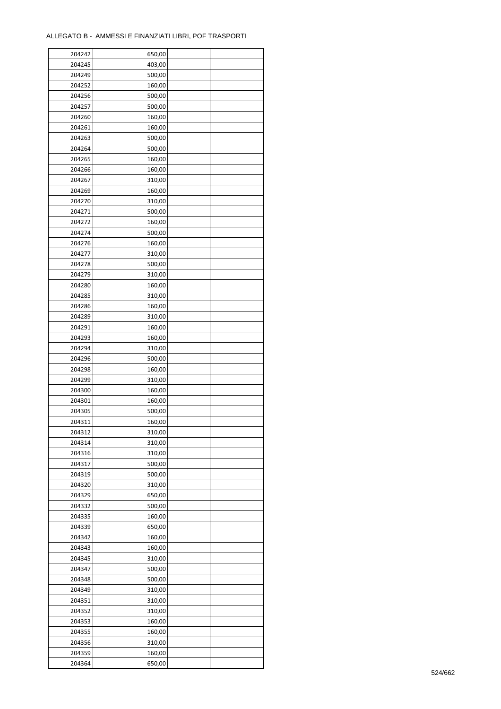| 204242 | 650,00 |  |
|--------|--------|--|
| 204245 | 403,00 |  |
| 204249 | 500,00 |  |
| 204252 | 160,00 |  |
| 204256 | 500,00 |  |
| 204257 | 500,00 |  |
| 204260 | 160,00 |  |
| 204261 | 160,00 |  |
| 204263 | 500,00 |  |
| 204264 | 500,00 |  |
| 204265 | 160,00 |  |
| 204266 | 160,00 |  |
| 204267 | 310,00 |  |
| 204269 |        |  |
|        | 160,00 |  |
| 204270 | 310,00 |  |
| 204271 | 500,00 |  |
| 204272 | 160,00 |  |
| 204274 | 500,00 |  |
| 204276 | 160,00 |  |
| 204277 | 310,00 |  |
| 204278 | 500,00 |  |
| 204279 | 310,00 |  |
| 204280 | 160,00 |  |
| 204285 | 310,00 |  |
| 204286 | 160,00 |  |
| 204289 | 310,00 |  |
| 204291 | 160,00 |  |
| 204293 | 160,00 |  |
| 204294 | 310,00 |  |
| 204296 | 500,00 |  |
| 204298 | 160,00 |  |
| 204299 | 310,00 |  |
| 204300 | 160,00 |  |
| 204301 | 160,00 |  |
| 204305 | 500,00 |  |
| 204311 | 160,00 |  |
| 204312 | 310,00 |  |
| 204314 | 310,00 |  |
| 204316 | 310,00 |  |
| 204317 | 500,00 |  |
| 204319 | 500,00 |  |
|        |        |  |
| 204320 | 310,00 |  |
| 204329 | 650,00 |  |
| 204332 | 500,00 |  |
| 204335 | 160,00 |  |
| 204339 | 650,00 |  |
| 204342 | 160,00 |  |
| 204343 | 160,00 |  |
| 204345 | 310,00 |  |
| 204347 | 500,00 |  |
| 204348 | 500,00 |  |
| 204349 | 310,00 |  |
| 204351 | 310,00 |  |
| 204352 | 310,00 |  |
| 204353 | 160,00 |  |
| 204355 | 160,00 |  |
| 204356 | 310,00 |  |
| 204359 | 160,00 |  |
| 204364 | 650,00 |  |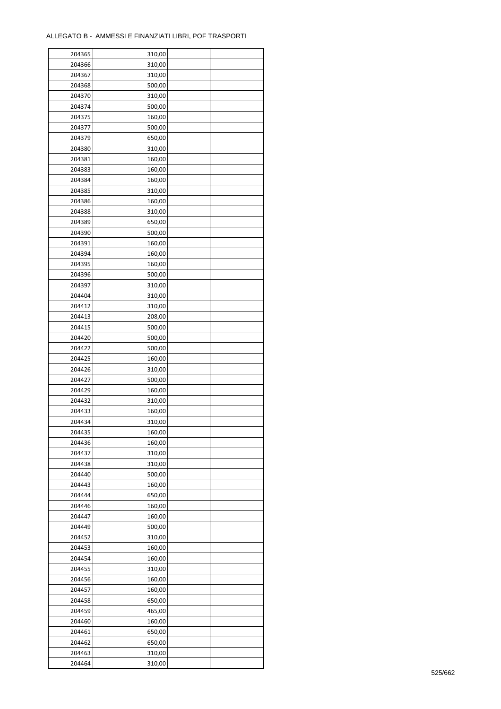| 204365 | 310,00 |  |
|--------|--------|--|
| 204366 | 310,00 |  |
| 204367 | 310,00 |  |
| 204368 | 500,00 |  |
| 204370 | 310,00 |  |
| 204374 | 500,00 |  |
| 204375 | 160,00 |  |
| 204377 | 500,00 |  |
| 204379 | 650,00 |  |
| 204380 | 310,00 |  |
| 204381 | 160,00 |  |
| 204383 | 160,00 |  |
| 204384 | 160,00 |  |
| 204385 |        |  |
| 204386 | 310,00 |  |
|        | 160,00 |  |
| 204388 | 310,00 |  |
| 204389 | 650,00 |  |
| 204390 | 500,00 |  |
| 204391 | 160,00 |  |
| 204394 | 160,00 |  |
| 204395 | 160,00 |  |
| 204396 | 500,00 |  |
| 204397 | 310,00 |  |
| 204404 | 310,00 |  |
| 204412 | 310,00 |  |
| 204413 | 208,00 |  |
| 204415 | 500,00 |  |
| 204420 | 500,00 |  |
| 204422 | 500,00 |  |
| 204425 | 160,00 |  |
| 204426 | 310,00 |  |
| 204427 | 500,00 |  |
| 204429 | 160,00 |  |
| 204432 | 310,00 |  |
| 204433 | 160,00 |  |
| 204434 | 310,00 |  |
| 204435 | 160,00 |  |
| 204436 | 160,00 |  |
| 204437 | 310,00 |  |
| 204438 | 310,00 |  |
| 204440 | 500,00 |  |
| 204443 | 160,00 |  |
| 204444 | 650,00 |  |
| 204446 | 160,00 |  |
| 204447 | 160,00 |  |
| 204449 | 500,00 |  |
| 204452 | 310,00 |  |
| 204453 | 160,00 |  |
| 204454 | 160,00 |  |
| 204455 |        |  |
|        | 310,00 |  |
| 204456 | 160,00 |  |
| 204457 | 160,00 |  |
| 204458 | 650,00 |  |
| 204459 | 465,00 |  |
| 204460 | 160,00 |  |
| 204461 | 650,00 |  |
| 204462 | 650,00 |  |
| 204463 | 310,00 |  |
| 204464 | 310,00 |  |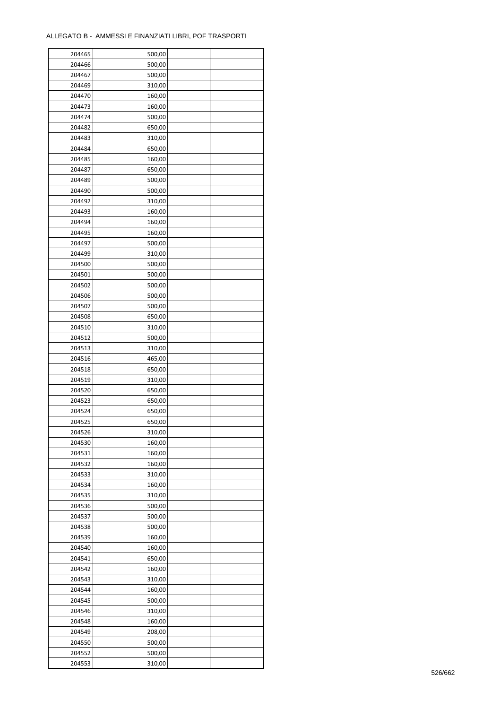| 204465 | 500,00 |  |
|--------|--------|--|
| 204466 | 500,00 |  |
| 204467 | 500,00 |  |
| 204469 | 310,00 |  |
| 204470 | 160,00 |  |
| 204473 | 160,00 |  |
| 204474 | 500,00 |  |
| 204482 | 650,00 |  |
| 204483 | 310,00 |  |
| 204484 | 650,00 |  |
| 204485 | 160,00 |  |
| 204487 | 650,00 |  |
| 204489 | 500,00 |  |
| 204490 | 500,00 |  |
| 204492 |        |  |
|        | 310,00 |  |
| 204493 | 160,00 |  |
| 204494 | 160,00 |  |
| 204495 | 160,00 |  |
| 204497 | 500,00 |  |
| 204499 | 310,00 |  |
| 204500 | 500,00 |  |
| 204501 | 500,00 |  |
| 204502 | 500,00 |  |
| 204506 | 500,00 |  |
| 204507 | 500,00 |  |
| 204508 | 650,00 |  |
| 204510 | 310,00 |  |
| 204512 | 500,00 |  |
| 204513 | 310,00 |  |
| 204516 | 465,00 |  |
| 204518 | 650,00 |  |
| 204519 | 310,00 |  |
| 204520 | 650,00 |  |
| 204523 | 650,00 |  |
| 204524 | 650,00 |  |
| 204525 | 650,00 |  |
| 204526 | 310,00 |  |
| 204530 | 160,00 |  |
| 204531 | 160,00 |  |
| 204532 | 160,00 |  |
| 204533 | 310,00 |  |
| 204534 | 160,00 |  |
| 204535 | 310,00 |  |
| 204536 | 500,00 |  |
| 204537 | 500,00 |  |
| 204538 | 500,00 |  |
| 204539 | 160,00 |  |
| 204540 | 160,00 |  |
| 204541 | 650,00 |  |
| 204542 | 160,00 |  |
| 204543 | 310,00 |  |
| 204544 | 160,00 |  |
| 204545 | 500,00 |  |
| 204546 | 310,00 |  |
|        |        |  |
| 204548 | 160,00 |  |
| 204549 | 208,00 |  |
| 204550 | 500,00 |  |
| 204552 | 500,00 |  |
| 204553 | 310,00 |  |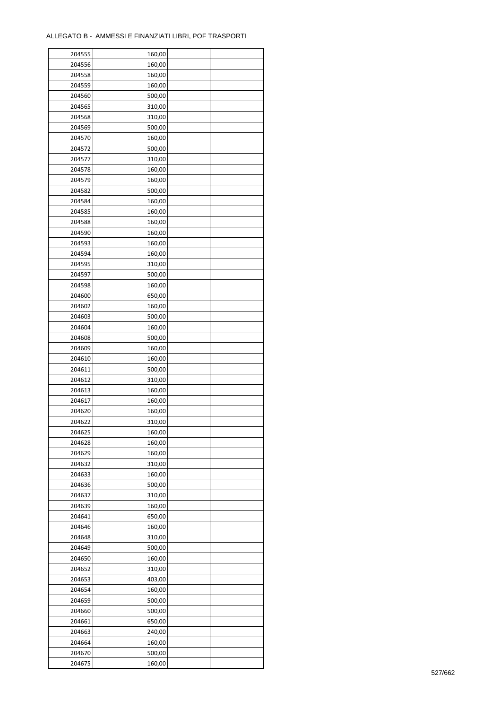| 204555 | 160,00 |  |
|--------|--------|--|
| 204556 | 160,00 |  |
| 204558 | 160,00 |  |
| 204559 | 160,00 |  |
| 204560 | 500,00 |  |
| 204565 | 310,00 |  |
| 204568 | 310,00 |  |
| 204569 | 500,00 |  |
| 204570 | 160,00 |  |
| 204572 | 500,00 |  |
| 204577 |        |  |
|        | 310,00 |  |
| 204578 | 160,00 |  |
| 204579 | 160,00 |  |
| 204582 | 500,00 |  |
| 204584 | 160,00 |  |
| 204585 | 160,00 |  |
| 204588 | 160,00 |  |
| 204590 | 160,00 |  |
| 204593 | 160,00 |  |
| 204594 | 160,00 |  |
| 204595 | 310,00 |  |
| 204597 | 500,00 |  |
| 204598 | 160,00 |  |
| 204600 | 650,00 |  |
| 204602 | 160,00 |  |
| 204603 | 500,00 |  |
| 204604 | 160,00 |  |
| 204608 | 500,00 |  |
| 204609 | 160,00 |  |
| 204610 | 160,00 |  |
| 204611 | 500,00 |  |
| 204612 | 310,00 |  |
| 204613 | 160,00 |  |
| 204617 | 160,00 |  |
| 204620 | 160,00 |  |
| 204622 | 310,00 |  |
|        |        |  |
| 204625 | 160,00 |  |
| 204628 | 160,00 |  |
| 204629 | 160,00 |  |
| 204632 | 310,00 |  |
| 204633 | 160,00 |  |
| 204636 | 500,00 |  |
| 204637 | 310,00 |  |
| 204639 | 160,00 |  |
| 204641 | 650,00 |  |
| 204646 | 160,00 |  |
| 204648 | 310,00 |  |
| 204649 | 500,00 |  |
| 204650 | 160,00 |  |
| 204652 | 310,00 |  |
| 204653 | 403,00 |  |
| 204654 | 160,00 |  |
| 204659 | 500,00 |  |
| 204660 | 500,00 |  |
| 204661 | 650,00 |  |
| 204663 | 240,00 |  |
| 204664 | 160,00 |  |
| 204670 | 500,00 |  |
| 204675 | 160,00 |  |
|        |        |  |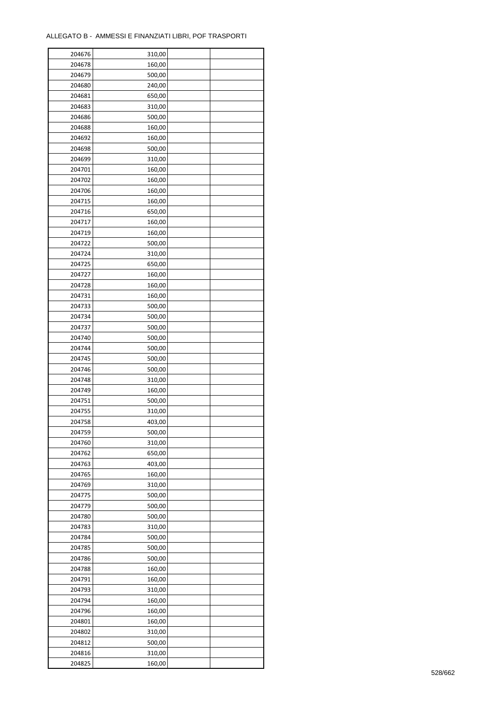| 204676 | 310,00 |  |
|--------|--------|--|
| 204678 | 160,00 |  |
| 204679 | 500,00 |  |
| 204680 | 240,00 |  |
| 204681 | 650,00 |  |
| 204683 | 310,00 |  |
| 204686 | 500,00 |  |
| 204688 | 160,00 |  |
| 204692 | 160,00 |  |
|        |        |  |
| 204698 | 500,00 |  |
| 204699 | 310,00 |  |
| 204701 | 160,00 |  |
| 204702 | 160,00 |  |
| 204706 | 160,00 |  |
| 204715 | 160,00 |  |
| 204716 | 650,00 |  |
| 204717 | 160,00 |  |
| 204719 | 160,00 |  |
| 204722 | 500,00 |  |
| 204724 | 310,00 |  |
| 204725 | 650,00 |  |
| 204727 | 160,00 |  |
| 204728 | 160,00 |  |
| 204731 | 160,00 |  |
| 204733 | 500,00 |  |
| 204734 | 500,00 |  |
| 204737 | 500,00 |  |
| 204740 | 500,00 |  |
| 204744 | 500,00 |  |
|        |        |  |
| 204745 | 500,00 |  |
| 204746 | 500,00 |  |
| 204748 | 310,00 |  |
| 204749 | 160,00 |  |
| 204751 | 500,00 |  |
| 204755 | 310,00 |  |
| 204758 | 403,00 |  |
| 204759 | 500,00 |  |
| 204760 | 310,00 |  |
| 204762 | 650,00 |  |
| 204763 | 403,00 |  |
| 204765 | 160,00 |  |
| 204769 | 310,00 |  |
| 204775 | 500,00 |  |
| 204779 | 500,00 |  |
| 204780 | 500,00 |  |
| 204783 | 310,00 |  |
| 204784 | 500,00 |  |
| 204785 | 500,00 |  |
| 204786 | 500,00 |  |
| 204788 | 160,00 |  |
|        |        |  |
| 204791 | 160,00 |  |
| 204793 | 310,00 |  |
| 204794 | 160,00 |  |
| 204796 | 160,00 |  |
| 204801 | 160,00 |  |
| 204802 | 310,00 |  |
| 204812 | 500,00 |  |
| 204816 | 310,00 |  |
| 204825 | 160,00 |  |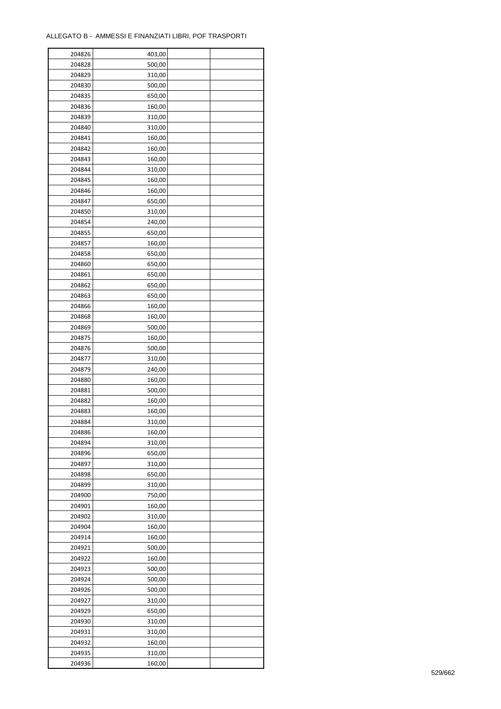| 204826 | 403,00 |  |
|--------|--------|--|
| 204828 | 500,00 |  |
| 204829 | 310,00 |  |
| 204830 | 500,00 |  |
| 204835 | 650,00 |  |
| 204836 | 160,00 |  |
| 204839 | 310,00 |  |
| 204840 | 310,00 |  |
| 204841 | 160,00 |  |
| 204842 | 160,00 |  |
| 204843 | 160,00 |  |
| 204844 | 310,00 |  |
|        |        |  |
| 204845 | 160,00 |  |
| 204846 | 160,00 |  |
| 204847 | 650,00 |  |
| 204850 | 310,00 |  |
| 204854 | 240,00 |  |
| 204855 | 650,00 |  |
| 204857 | 160,00 |  |
| 204858 | 650,00 |  |
| 204860 | 650,00 |  |
| 204861 | 650,00 |  |
| 204862 | 650,00 |  |
| 204863 | 650,00 |  |
| 204866 | 160,00 |  |
| 204868 | 160,00 |  |
| 204869 | 500,00 |  |
| 204875 | 160,00 |  |
| 204876 | 500,00 |  |
| 204877 | 310,00 |  |
| 204879 | 240,00 |  |
| 204880 | 160,00 |  |
| 204881 | 500,00 |  |
| 204882 | 160,00 |  |
| 204883 | 160,00 |  |
| 204884 | 310,00 |  |
| 204886 | 160,00 |  |
| 204894 | 310,00 |  |
| 204896 | 650,00 |  |
| 204897 | 310,00 |  |
| 204898 | 650,00 |  |
| 204899 | 310,00 |  |
| 204900 | 750,00 |  |
| 204901 | 160,00 |  |
| 204902 | 310,00 |  |
| 204904 | 160,00 |  |
| 204914 | 160,00 |  |
| 204921 | 500,00 |  |
| 204922 | 160,00 |  |
| 204923 | 500,00 |  |
| 204924 | 500,00 |  |
| 204926 | 500,00 |  |
| 204927 | 310,00 |  |
| 204929 | 650,00 |  |
| 204930 | 310,00 |  |
| 204931 | 310,00 |  |
| 204932 | 160,00 |  |
|        |        |  |
| 204935 | 310,00 |  |
| 204936 | 160,00 |  |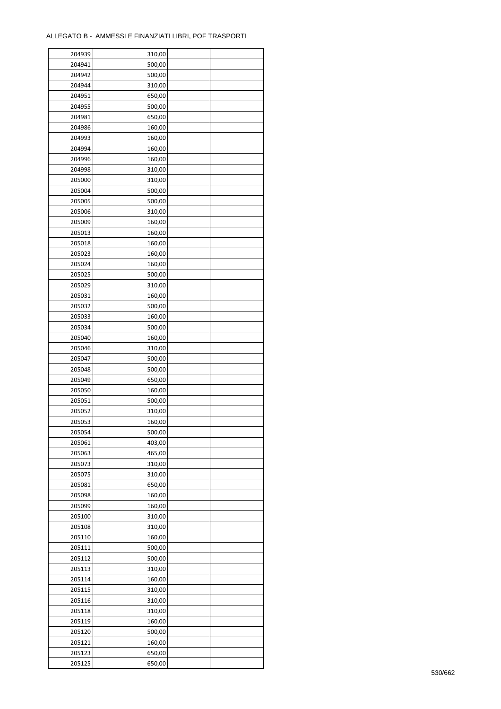| 204939           | 310,00           |  |
|------------------|------------------|--|
| 204941           | 500,00           |  |
| 204942           | 500,00           |  |
| 204944           | 310,00           |  |
| 204951           | 650,00           |  |
| 204955           | 500,00           |  |
| 204981           | 650,00           |  |
| 204986           | 160,00           |  |
| 204993           | 160,00           |  |
| 204994           | 160,00           |  |
| 204996           | 160,00           |  |
| 204998           |                  |  |
|                  | 310,00           |  |
| 205000           | 310,00           |  |
| 205004           | 500,00           |  |
| 205005           | 500,00           |  |
| 205006           | 310,00           |  |
| 205009           | 160,00           |  |
| 205013           | 160,00           |  |
| 205018           | 160,00           |  |
| 205023           | 160,00           |  |
| 205024           | 160,00           |  |
| 205025           | 500,00           |  |
| 205029           | 310,00           |  |
| 205031           | 160,00           |  |
| 205032           | 500,00           |  |
| 205033           | 160,00           |  |
| 205034           | 500,00           |  |
| 205040           | 160,00           |  |
| 205046           | 310,00           |  |
| 205047           | 500,00           |  |
| 205048           | 500,00           |  |
| 205049           | 650,00           |  |
| 205050           | 160,00           |  |
| 205051           | 500,00           |  |
| 205052           | 310,00           |  |
| 205053           | 160,00           |  |
| 205054           | 500,00           |  |
| 205061           | 403,00           |  |
| 205063           |                  |  |
| 205073           | 465,00<br>310,00 |  |
|                  |                  |  |
| 205075<br>205081 | 310,00           |  |
|                  | 650,00           |  |
| 205098           | 160,00           |  |
| 205099           | 160,00           |  |
| 205100           | 310,00           |  |
| 205108           | 310,00           |  |
| 205110           | 160,00           |  |
| 205111           | 500,00           |  |
| 205112           | 500,00           |  |
| 205113           | 310,00           |  |
| 205114           | 160,00           |  |
| 205115           | 310,00           |  |
| 205116           | 310,00           |  |
| 205118           | 310,00           |  |
| 205119           | 160,00           |  |
| 205120           | 500,00           |  |
| 205121           | 160,00           |  |
| 205123           | 650,00           |  |
| 205125           | 650,00           |  |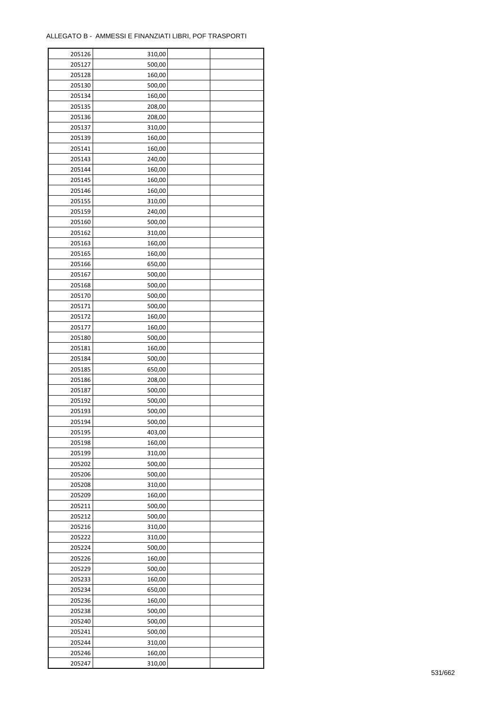| 205126 | 310,00 |  |
|--------|--------|--|
| 205127 | 500,00 |  |
| 205128 | 160,00 |  |
| 205130 | 500,00 |  |
| 205134 | 160,00 |  |
| 205135 | 208,00 |  |
| 205136 | 208,00 |  |
| 205137 | 310,00 |  |
| 205139 | 160,00 |  |
| 205141 | 160,00 |  |
| 205143 | 240,00 |  |
| 205144 | 160,00 |  |
| 205145 | 160,00 |  |
| 205146 | 160,00 |  |
|        |        |  |
| 205155 | 310,00 |  |
| 205159 | 240,00 |  |
| 205160 | 500,00 |  |
| 205162 | 310,00 |  |
| 205163 | 160,00 |  |
| 205165 | 160,00 |  |
| 205166 | 650,00 |  |
| 205167 | 500,00 |  |
| 205168 | 500,00 |  |
| 205170 | 500,00 |  |
| 205171 | 500,00 |  |
| 205172 | 160,00 |  |
| 205177 | 160,00 |  |
| 205180 | 500,00 |  |
| 205181 | 160,00 |  |
| 205184 | 500,00 |  |
| 205185 | 650,00 |  |
| 205186 | 208,00 |  |
| 205187 | 500,00 |  |
| 205192 | 500,00 |  |
| 205193 | 500,00 |  |
| 205194 | 500,00 |  |
| 205195 | 403,00 |  |
| 205198 | 160,00 |  |
| 205199 | 310,00 |  |
| 205202 | 500,00 |  |
| 205206 | 500,00 |  |
| 205208 | 310,00 |  |
| 205209 | 160,00 |  |
| 205211 | 500,00 |  |
| 205212 | 500,00 |  |
| 205216 | 310,00 |  |
| 205222 | 310,00 |  |
| 205224 | 500,00 |  |
| 205226 | 160,00 |  |
| 205229 | 500,00 |  |
| 205233 | 160,00 |  |
| 205234 | 650,00 |  |
| 205236 | 160,00 |  |
| 205238 | 500,00 |  |
| 205240 | 500,00 |  |
| 205241 | 500,00 |  |
| 205244 | 310,00 |  |
| 205246 | 160,00 |  |
| 205247 | 310,00 |  |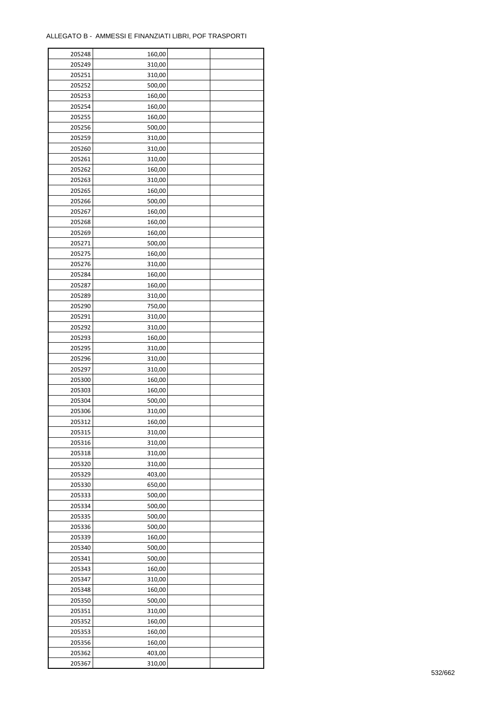| 205248 | 160,00 |  |
|--------|--------|--|
| 205249 | 310,00 |  |
| 205251 | 310,00 |  |
| 205252 | 500,00 |  |
| 205253 | 160,00 |  |
| 205254 | 160,00 |  |
| 205255 | 160,00 |  |
| 205256 | 500,00 |  |
| 205259 | 310,00 |  |
| 205260 | 310,00 |  |
|        |        |  |
| 205261 | 310,00 |  |
| 205262 | 160,00 |  |
| 205263 | 310,00 |  |
| 205265 | 160,00 |  |
| 205266 | 500,00 |  |
| 205267 | 160,00 |  |
| 205268 | 160,00 |  |
| 205269 | 160,00 |  |
| 205271 | 500,00 |  |
| 205275 | 160,00 |  |
| 205276 | 310,00 |  |
| 205284 | 160,00 |  |
| 205287 | 160,00 |  |
| 205289 | 310,00 |  |
| 205290 | 750,00 |  |
| 205291 | 310,00 |  |
| 205292 | 310,00 |  |
| 205293 | 160,00 |  |
| 205295 | 310,00 |  |
| 205296 | 310,00 |  |
| 205297 | 310,00 |  |
| 205300 | 160,00 |  |
| 205303 | 160,00 |  |
| 205304 | 500,00 |  |
| 205306 | 310,00 |  |
| 205312 |        |  |
|        | 160,00 |  |
| 205315 | 310,00 |  |
| 205316 | 310,00 |  |
| 205318 | 310,00 |  |
| 205320 | 310,00 |  |
| 205329 | 403,00 |  |
| 205330 | 650,00 |  |
| 205333 | 500,00 |  |
| 205334 | 500,00 |  |
| 205335 | 500,00 |  |
| 205336 | 500,00 |  |
| 205339 | 160,00 |  |
| 205340 | 500,00 |  |
| 205341 | 500,00 |  |
| 205343 | 160,00 |  |
| 205347 | 310,00 |  |
| 205348 | 160,00 |  |
| 205350 | 500,00 |  |
| 205351 | 310,00 |  |
| 205352 | 160,00 |  |
| 205353 | 160,00 |  |
| 205356 | 160,00 |  |
| 205362 | 403,00 |  |
| 205367 | 310,00 |  |
|        |        |  |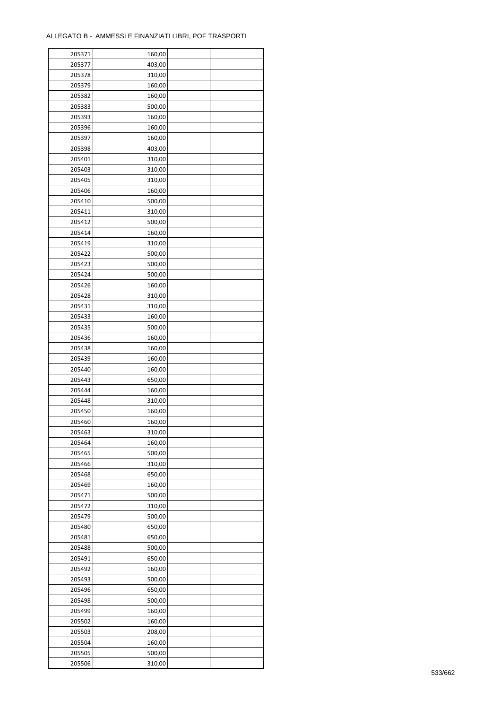| 205371 | 160,00 |  |
|--------|--------|--|
| 205377 | 403,00 |  |
| 205378 | 310,00 |  |
| 205379 | 160,00 |  |
| 205382 | 160,00 |  |
| 205383 | 500,00 |  |
| 205393 | 160,00 |  |
| 205396 | 160,00 |  |
| 205397 | 160,00 |  |
| 205398 | 403,00 |  |
| 205401 |        |  |
|        | 310,00 |  |
| 205403 | 310,00 |  |
| 205405 | 310,00 |  |
| 205406 | 160,00 |  |
| 205410 | 500,00 |  |
| 205411 | 310,00 |  |
| 205412 | 500,00 |  |
| 205414 | 160,00 |  |
| 205419 | 310,00 |  |
| 205422 | 500,00 |  |
| 205423 | 500,00 |  |
| 205424 | 500,00 |  |
| 205426 | 160,00 |  |
| 205428 | 310,00 |  |
| 205431 | 310,00 |  |
| 205433 | 160,00 |  |
| 205435 | 500,00 |  |
| 205436 | 160,00 |  |
| 205438 | 160,00 |  |
| 205439 | 160,00 |  |
| 205440 | 160,00 |  |
| 205443 | 650,00 |  |
|        |        |  |
| 205444 | 160,00 |  |
| 205448 | 310,00 |  |
| 205450 | 160,00 |  |
| 205460 | 160,00 |  |
| 205463 | 310,00 |  |
| 205464 | 160,00 |  |
| 205465 | 500,00 |  |
| 205466 | 310,00 |  |
| 205468 | 650,00 |  |
| 205469 | 160,00 |  |
| 205471 | 500,00 |  |
| 205472 | 310,00 |  |
| 205479 | 500,00 |  |
| 205480 | 650,00 |  |
| 205481 | 650,00 |  |
| 205488 | 500,00 |  |
| 205491 | 650,00 |  |
| 205492 | 160,00 |  |
| 205493 | 500,00 |  |
| 205496 | 650,00 |  |
| 205498 | 500,00 |  |
| 205499 | 160,00 |  |
|        | 160,00 |  |
| 205502 |        |  |
| 205503 | 208,00 |  |
| 205504 | 160,00 |  |
| 205505 | 500,00 |  |
| 205506 | 310,00 |  |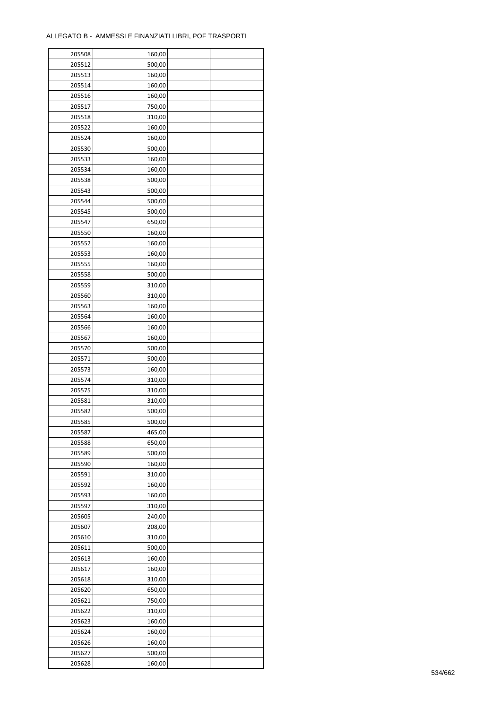| 205508 | 160,00 |  |
|--------|--------|--|
| 205512 | 500,00 |  |
| 205513 | 160,00 |  |
| 205514 | 160,00 |  |
| 205516 | 160,00 |  |
| 205517 | 750,00 |  |
| 205518 | 310,00 |  |
| 205522 | 160,00 |  |
| 205524 | 160,00 |  |
| 205530 | 500,00 |  |
| 205533 | 160,00 |  |
| 205534 | 160,00 |  |
| 205538 | 500,00 |  |
|        |        |  |
| 205543 | 500,00 |  |
| 205544 | 500,00 |  |
| 205545 | 500,00 |  |
| 205547 | 650,00 |  |
| 205550 | 160,00 |  |
| 205552 | 160,00 |  |
| 205553 | 160,00 |  |
| 205555 | 160,00 |  |
| 205558 | 500,00 |  |
| 205559 | 310,00 |  |
| 205560 | 310,00 |  |
| 205563 | 160,00 |  |
| 205564 | 160,00 |  |
| 205566 | 160,00 |  |
| 205567 | 160,00 |  |
| 205570 | 500,00 |  |
| 205571 | 500,00 |  |
| 205573 | 160,00 |  |
| 205574 | 310,00 |  |
| 205575 | 310,00 |  |
| 205581 | 310,00 |  |
| 205582 | 500,00 |  |
| 205585 | 500,00 |  |
| 205587 | 465,00 |  |
| 205588 | 650,00 |  |
| 205589 | 500,00 |  |
| 205590 | 160,00 |  |
| 205591 | 310,00 |  |
| 205592 | 160,00 |  |
| 205593 | 160,00 |  |
| 205597 | 310,00 |  |
| 205605 | 240,00 |  |
| 205607 | 208,00 |  |
| 205610 | 310,00 |  |
| 205611 | 500,00 |  |
| 205613 | 160,00 |  |
| 205617 | 160,00 |  |
| 205618 | 310,00 |  |
| 205620 | 650,00 |  |
| 205621 | 750,00 |  |
| 205622 | 310,00 |  |
| 205623 | 160,00 |  |
| 205624 | 160,00 |  |
| 205626 | 160,00 |  |
| 205627 | 500,00 |  |
| 205628 | 160,00 |  |
|        |        |  |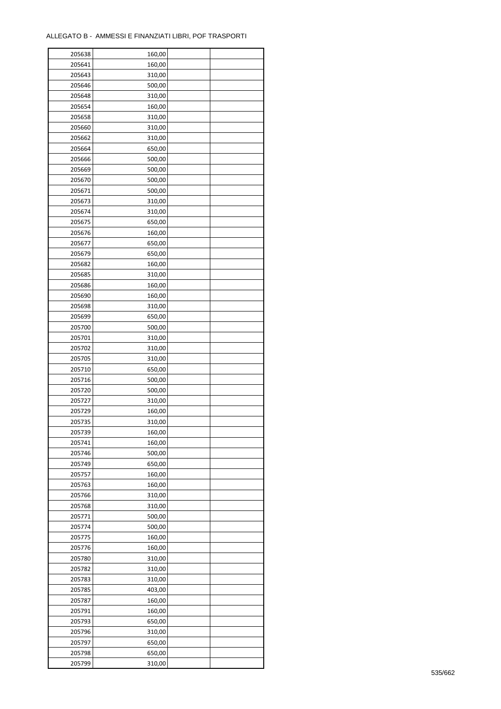| 205638 | 160,00 |  |
|--------|--------|--|
| 205641 | 160,00 |  |
| 205643 | 310,00 |  |
| 205646 | 500,00 |  |
| 205648 | 310,00 |  |
| 205654 | 160,00 |  |
| 205658 | 310,00 |  |
| 205660 | 310,00 |  |
| 205662 | 310,00 |  |
| 205664 | 650,00 |  |
| 205666 |        |  |
|        | 500,00 |  |
| 205669 | 500,00 |  |
| 205670 | 500,00 |  |
| 205671 | 500,00 |  |
| 205673 | 310,00 |  |
| 205674 | 310,00 |  |
| 205675 | 650,00 |  |
| 205676 | 160,00 |  |
| 205677 | 650,00 |  |
| 205679 | 650,00 |  |
| 205682 | 160,00 |  |
| 205685 | 310,00 |  |
| 205686 | 160,00 |  |
| 205690 | 160,00 |  |
| 205698 | 310,00 |  |
| 205699 | 650,00 |  |
| 205700 | 500,00 |  |
| 205701 | 310,00 |  |
| 205702 | 310,00 |  |
|        |        |  |
| 205705 | 310,00 |  |
| 205710 | 650,00 |  |
| 205716 | 500,00 |  |
| 205720 | 500,00 |  |
| 205727 | 310,00 |  |
| 205729 | 160,00 |  |
| 205735 | 310,00 |  |
| 205739 | 160,00 |  |
| 205741 | 160,00 |  |
| 205746 | 500,00 |  |
| 205749 | 650,00 |  |
| 205757 | 160,00 |  |
| 205763 | 160,00 |  |
| 205766 | 310,00 |  |
| 205768 | 310,00 |  |
| 205771 | 500,00 |  |
| 205774 | 500,00 |  |
| 205775 | 160,00 |  |
| 205776 | 160,00 |  |
| 205780 | 310,00 |  |
| 205782 | 310,00 |  |
| 205783 |        |  |
|        | 310,00 |  |
| 205785 | 403,00 |  |
| 205787 | 160,00 |  |
| 205791 | 160,00 |  |
| 205793 | 650,00 |  |
| 205796 | 310,00 |  |
| 205797 | 650,00 |  |
| 205798 | 650,00 |  |
| 205799 | 310,00 |  |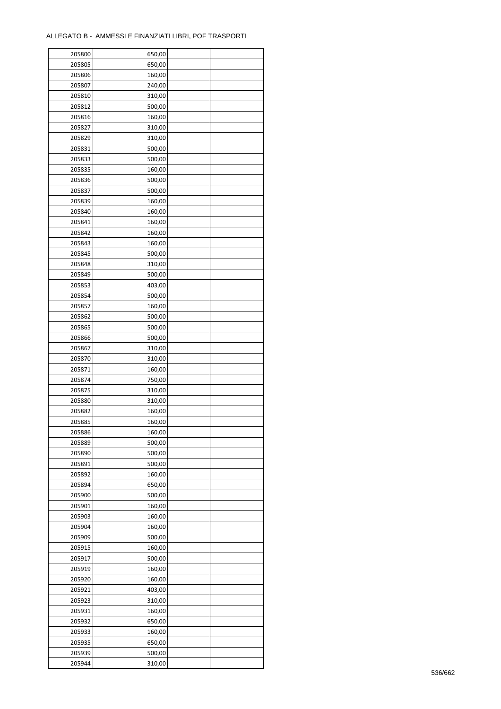| 205800 | 650,00 |  |
|--------|--------|--|
| 205805 | 650,00 |  |
| 205806 | 160,00 |  |
| 205807 | 240,00 |  |
| 205810 | 310,00 |  |
| 205812 | 500,00 |  |
| 205816 | 160,00 |  |
| 205827 | 310,00 |  |
| 205829 | 310,00 |  |
| 205831 | 500,00 |  |
| 205833 | 500,00 |  |
| 205835 | 160,00 |  |
| 205836 | 500,00 |  |
|        |        |  |
| 205837 | 500,00 |  |
| 205839 | 160,00 |  |
| 205840 | 160,00 |  |
| 205841 | 160,00 |  |
| 205842 | 160,00 |  |
| 205843 | 160,00 |  |
| 205845 | 500,00 |  |
| 205848 | 310,00 |  |
| 205849 | 500,00 |  |
| 205853 | 403,00 |  |
| 205854 | 500,00 |  |
| 205857 | 160,00 |  |
| 205862 | 500,00 |  |
| 205865 | 500,00 |  |
| 205866 | 500,00 |  |
| 205867 | 310,00 |  |
| 205870 | 310,00 |  |
| 205871 | 160,00 |  |
| 205874 | 750,00 |  |
| 205875 | 310,00 |  |
| 205880 | 310,00 |  |
| 205882 | 160,00 |  |
| 205885 | 160,00 |  |
| 205886 | 160,00 |  |
| 205889 | 500,00 |  |
| 205890 | 500,00 |  |
| 205891 | 500,00 |  |
| 205892 | 160,00 |  |
| 205894 | 650,00 |  |
| 205900 | 500,00 |  |
| 205901 | 160,00 |  |
| 205903 | 160,00 |  |
| 205904 | 160,00 |  |
| 205909 | 500,00 |  |
| 205915 | 160,00 |  |
| 205917 | 500,00 |  |
| 205919 | 160,00 |  |
| 205920 | 160,00 |  |
| 205921 | 403,00 |  |
| 205923 | 310,00 |  |
| 205931 | 160,00 |  |
| 205932 | 650,00 |  |
| 205933 | 160,00 |  |
| 205935 | 650,00 |  |
| 205939 | 500,00 |  |
| 205944 | 310,00 |  |
|        |        |  |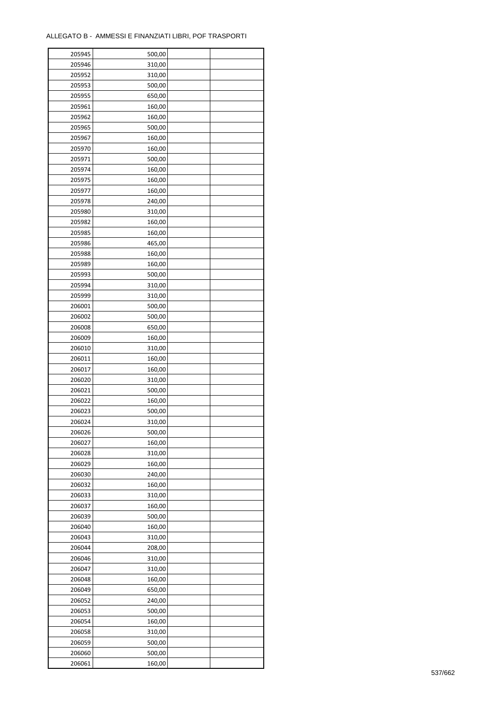| 205945 | 500,00 |  |
|--------|--------|--|
| 205946 | 310,00 |  |
| 205952 | 310,00 |  |
| 205953 | 500,00 |  |
| 205955 | 650,00 |  |
| 205961 | 160,00 |  |
| 205962 | 160,00 |  |
| 205965 | 500,00 |  |
| 205967 | 160,00 |  |
| 205970 | 160,00 |  |
| 205971 |        |  |
|        | 500,00 |  |
| 205974 | 160,00 |  |
| 205975 | 160,00 |  |
| 205977 | 160,00 |  |
| 205978 | 240,00 |  |
| 205980 | 310,00 |  |
| 205982 | 160,00 |  |
| 205985 | 160,00 |  |
| 205986 | 465,00 |  |
| 205988 | 160,00 |  |
| 205989 | 160,00 |  |
| 205993 | 500,00 |  |
| 205994 | 310,00 |  |
| 205999 | 310,00 |  |
| 206001 | 500,00 |  |
| 206002 | 500,00 |  |
| 206008 | 650,00 |  |
| 206009 | 160,00 |  |
| 206010 | 310,00 |  |
| 206011 | 160,00 |  |
| 206017 | 160,00 |  |
| 206020 | 310,00 |  |
| 206021 | 500,00 |  |
| 206022 | 160,00 |  |
| 206023 | 500,00 |  |
|        |        |  |
| 206024 | 310,00 |  |
| 206026 | 500,00 |  |
| 206027 | 160,00 |  |
| 206028 | 310,00 |  |
| 206029 | 160,00 |  |
| 206030 | 240,00 |  |
| 206032 | 160,00 |  |
| 206033 | 310,00 |  |
| 206037 | 160,00 |  |
| 206039 | 500,00 |  |
| 206040 | 160,00 |  |
| 206043 | 310,00 |  |
| 206044 | 208,00 |  |
| 206046 | 310,00 |  |
| 206047 | 310,00 |  |
| 206048 | 160,00 |  |
| 206049 | 650,00 |  |
| 206052 | 240,00 |  |
| 206053 | 500,00 |  |
| 206054 | 160,00 |  |
|        |        |  |
| 206058 | 310,00 |  |
| 206059 | 500,00 |  |
| 206060 | 500,00 |  |
| 206061 | 160,00 |  |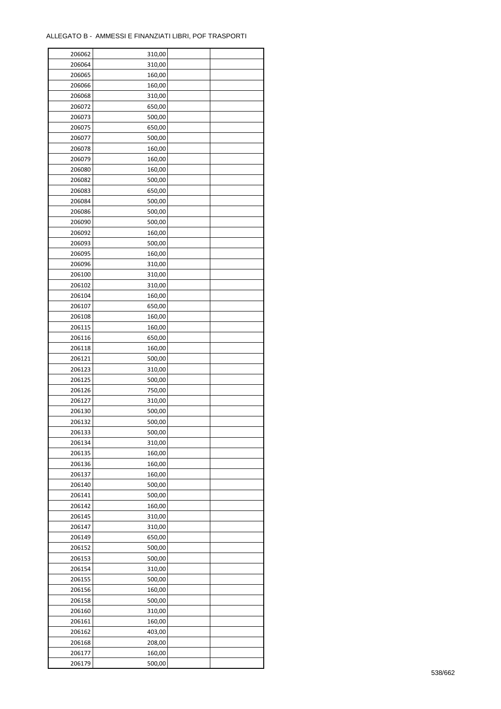| 206062 | 310,00 |  |
|--------|--------|--|
| 206064 | 310,00 |  |
| 206065 | 160,00 |  |
| 206066 | 160,00 |  |
| 206068 | 310,00 |  |
| 206072 | 650,00 |  |
| 206073 | 500,00 |  |
| 206075 | 650,00 |  |
| 206077 | 500,00 |  |
| 206078 | 160,00 |  |
| 206079 | 160,00 |  |
| 206080 | 160,00 |  |
| 206082 | 500,00 |  |
| 206083 | 650,00 |  |
|        | 500,00 |  |
| 206084 |        |  |
| 206086 | 500,00 |  |
| 206090 | 500,00 |  |
| 206092 | 160,00 |  |
| 206093 | 500,00 |  |
| 206095 | 160,00 |  |
| 206096 | 310,00 |  |
| 206100 | 310,00 |  |
| 206102 | 310,00 |  |
| 206104 | 160,00 |  |
| 206107 | 650,00 |  |
| 206108 | 160,00 |  |
| 206115 | 160,00 |  |
| 206116 | 650,00 |  |
| 206118 | 160,00 |  |
| 206121 | 500,00 |  |
| 206123 | 310,00 |  |
| 206125 | 500,00 |  |
| 206126 | 750,00 |  |
| 206127 | 310,00 |  |
| 206130 | 500,00 |  |
| 206132 | 500,00 |  |
| 206133 | 500,00 |  |
| 206134 | 310,00 |  |
| 206135 | 160,00 |  |
| 206136 | 160,00 |  |
| 206137 | 160,00 |  |
| 206140 | 500,00 |  |
| 206141 | 500,00 |  |
| 206142 | 160,00 |  |
| 206145 | 310,00 |  |
| 206147 | 310,00 |  |
| 206149 | 650,00 |  |
| 206152 | 500,00 |  |
| 206153 | 500,00 |  |
| 206154 | 310,00 |  |
| 206155 | 500,00 |  |
| 206156 | 160,00 |  |
| 206158 | 500,00 |  |
| 206160 | 310,00 |  |
|        |        |  |
| 206161 | 160,00 |  |
| 206162 | 403,00 |  |
| 206168 | 208,00 |  |
| 206177 | 160,00 |  |
| 206179 | 500,00 |  |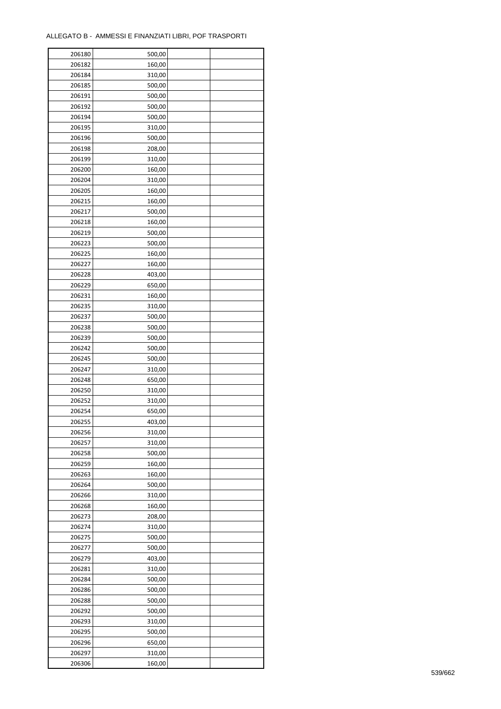| 206180 | 500,00 |  |
|--------|--------|--|
| 206182 | 160,00 |  |
| 206184 | 310,00 |  |
| 206185 | 500,00 |  |
| 206191 | 500,00 |  |
| 206192 | 500,00 |  |
| 206194 | 500,00 |  |
| 206195 | 310,00 |  |
|        |        |  |
| 206196 | 500,00 |  |
| 206198 | 208,00 |  |
| 206199 | 310,00 |  |
| 206200 | 160,00 |  |
| 206204 | 310,00 |  |
| 206205 | 160,00 |  |
| 206215 | 160,00 |  |
| 206217 | 500,00 |  |
| 206218 | 160,00 |  |
| 206219 | 500,00 |  |
| 206223 | 500,00 |  |
| 206225 | 160,00 |  |
| 206227 | 160,00 |  |
| 206228 | 403,00 |  |
| 206229 | 650,00 |  |
| 206231 | 160,00 |  |
| 206235 | 310,00 |  |
| 206237 | 500,00 |  |
| 206238 | 500,00 |  |
| 206239 | 500,00 |  |
| 206242 | 500,00 |  |
|        |        |  |
| 206245 | 500,00 |  |
| 206247 | 310,00 |  |
| 206248 | 650,00 |  |
| 206250 | 310,00 |  |
| 206252 | 310,00 |  |
| 206254 | 650,00 |  |
| 206255 | 403,00 |  |
| 206256 | 310,00 |  |
| 206257 | 310,00 |  |
| 206258 | 500,00 |  |
| 206259 | 160,00 |  |
| 206263 | 160,00 |  |
| 206264 | 500,00 |  |
| 206266 | 310,00 |  |
| 206268 | 160,00 |  |
| 206273 | 208,00 |  |
| 206274 | 310,00 |  |
| 206275 | 500,00 |  |
| 206277 | 500,00 |  |
| 206279 | 403,00 |  |
| 206281 | 310,00 |  |
| 206284 | 500,00 |  |
|        |        |  |
| 206286 | 500,00 |  |
| 206288 | 500,00 |  |
| 206292 | 500,00 |  |
| 206293 | 310,00 |  |
| 206295 | 500,00 |  |
| 206296 | 650,00 |  |
| 206297 | 310,00 |  |
| 206306 | 160,00 |  |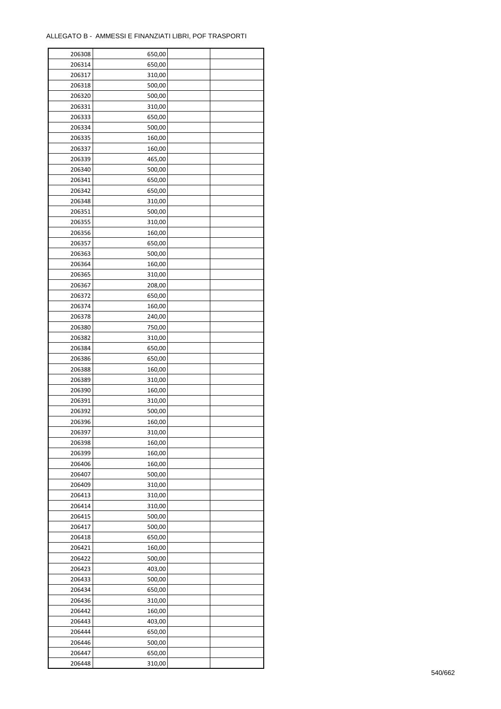| 206308           | 650,00           |  |
|------------------|------------------|--|
| 206314           | 650,00           |  |
| 206317           | 310,00           |  |
| 206318           | 500,00           |  |
| 206320           | 500,00           |  |
| 206331           | 310,00           |  |
| 206333           | 650,00           |  |
| 206334           | 500,00           |  |
| 206335           | 160,00           |  |
| 206337           | 160,00           |  |
| 206339           | 465,00           |  |
| 206340           | 500,00           |  |
| 206341           | 650,00           |  |
| 206342           | 650,00           |  |
| 206348           | 310,00           |  |
| 206351           | 500,00           |  |
| 206355           | 310,00           |  |
| 206356           | 160,00           |  |
| 206357           | 650,00           |  |
| 206363           | 500,00           |  |
| 206364           | 160,00           |  |
| 206365           | 310,00           |  |
| 206367           | 208,00           |  |
| 206372           | 650,00           |  |
| 206374           | 160,00           |  |
| 206378           | 240,00           |  |
| 206380           | 750,00           |  |
| 206382           |                  |  |
| 206384           | 310,00           |  |
|                  | 650,00<br>650,00 |  |
| 206386<br>206388 | 160,00           |  |
| 206389           |                  |  |
| 206390           | 310,00           |  |
| 206391           | 160,00<br>310,00 |  |
| 206392           | 500,00           |  |
| 206396           | 160,00           |  |
|                  |                  |  |
| 206397<br>206398 | 310,00           |  |
|                  | 160,00           |  |
| 206399           | 160,00           |  |
| 206406           | 160,00           |  |
| 206407           | 500,00           |  |
| 206409           | 310,00           |  |
| 206413           | 310,00           |  |
| 206414           | 310,00           |  |
| 206415           | 500,00           |  |
| 206417           | 500,00           |  |
| 206418           | 650,00           |  |
| 206421           | 160,00           |  |
| 206422           | 500,00           |  |
| 206423           | 403,00           |  |
| 206433           | 500,00           |  |
| 206434           | 650,00           |  |
| 206436           | 310,00           |  |
| 206442           | 160,00           |  |
| 206443           | 403,00           |  |
| 206444           | 650,00           |  |
| 206446           | 500,00           |  |
| 206447           | 650,00           |  |
| 206448           | 310,00           |  |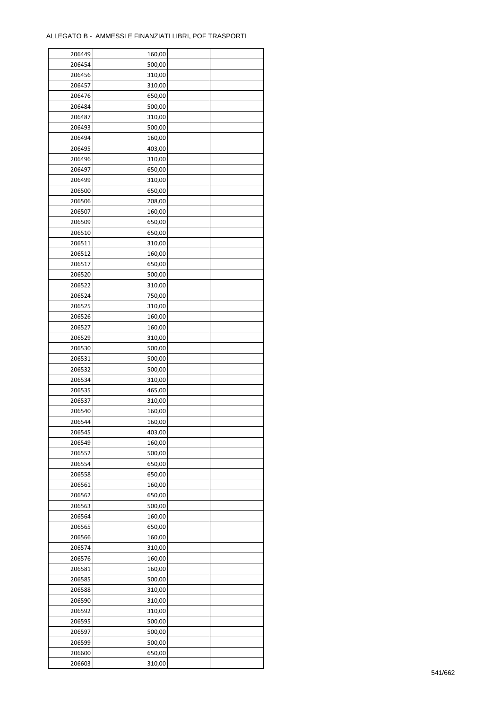| 206449 | 160,00 |  |
|--------|--------|--|
| 206454 | 500,00 |  |
| 206456 | 310,00 |  |
| 206457 | 310,00 |  |
| 206476 | 650,00 |  |
| 206484 | 500,00 |  |
| 206487 | 310,00 |  |
| 206493 | 500,00 |  |
| 206494 | 160,00 |  |
| 206495 | 403,00 |  |
| 206496 |        |  |
|        | 310,00 |  |
| 206497 | 650,00 |  |
| 206499 | 310,00 |  |
| 206500 | 650,00 |  |
| 206506 | 208,00 |  |
| 206507 | 160,00 |  |
| 206509 | 650,00 |  |
| 206510 | 650,00 |  |
| 206511 | 310,00 |  |
| 206512 | 160,00 |  |
| 206517 | 650,00 |  |
| 206520 | 500,00 |  |
| 206522 | 310,00 |  |
| 206524 | 750,00 |  |
| 206525 | 310,00 |  |
| 206526 | 160,00 |  |
| 206527 | 160,00 |  |
| 206529 | 310,00 |  |
| 206530 | 500,00 |  |
| 206531 | 500,00 |  |
|        |        |  |
| 206532 | 500,00 |  |
| 206534 | 310,00 |  |
| 206535 | 465,00 |  |
| 206537 | 310,00 |  |
| 206540 | 160,00 |  |
| 206544 | 160,00 |  |
| 206545 | 403,00 |  |
| 206549 | 160,00 |  |
| 206552 | 500,00 |  |
| 206554 | 650,00 |  |
| 206558 | 650,00 |  |
| 206561 | 160,00 |  |
| 206562 | 650,00 |  |
| 206563 | 500,00 |  |
| 206564 | 160,00 |  |
| 206565 | 650,00 |  |
| 206566 | 160,00 |  |
| 206574 | 310,00 |  |
| 206576 | 160,00 |  |
| 206581 | 160,00 |  |
| 206585 | 500,00 |  |
| 206588 | 310,00 |  |
| 206590 | 310,00 |  |
|        |        |  |
| 206592 | 310,00 |  |
| 206595 | 500,00 |  |
| 206597 | 500,00 |  |
| 206599 | 500,00 |  |
| 206600 | 650,00 |  |
| 206603 | 310,00 |  |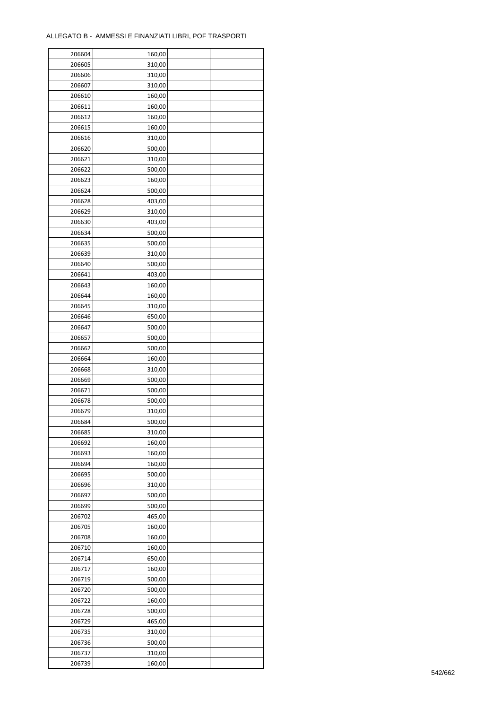| 206604 | 160,00 |  |
|--------|--------|--|
| 206605 | 310,00 |  |
| 206606 | 310,00 |  |
| 206607 | 310,00 |  |
| 206610 | 160,00 |  |
| 206611 | 160,00 |  |
| 206612 | 160,00 |  |
| 206615 | 160,00 |  |
|        |        |  |
| 206616 | 310,00 |  |
| 206620 | 500,00 |  |
| 206621 | 310,00 |  |
| 206622 | 500,00 |  |
| 206623 | 160,00 |  |
| 206624 | 500,00 |  |
| 206628 | 403,00 |  |
| 206629 | 310,00 |  |
| 206630 | 403,00 |  |
| 206634 | 500,00 |  |
| 206635 | 500,00 |  |
| 206639 | 310,00 |  |
| 206640 | 500,00 |  |
| 206641 | 403,00 |  |
| 206643 | 160,00 |  |
| 206644 | 160,00 |  |
| 206645 | 310,00 |  |
| 206646 | 650,00 |  |
| 206647 | 500,00 |  |
| 206657 | 500,00 |  |
| 206662 | 500,00 |  |
|        |        |  |
| 206664 | 160,00 |  |
| 206668 | 310,00 |  |
| 206669 | 500,00 |  |
| 206671 | 500,00 |  |
| 206678 | 500,00 |  |
| 206679 | 310,00 |  |
| 206684 | 500,00 |  |
| 206685 | 310,00 |  |
| 206692 | 160,00 |  |
| 206693 | 160,00 |  |
| 206694 | 160,00 |  |
| 206695 | 500,00 |  |
| 206696 | 310,00 |  |
| 206697 | 500,00 |  |
| 206699 | 500,00 |  |
| 206702 | 465,00 |  |
| 206705 | 160,00 |  |
| 206708 | 160,00 |  |
| 206710 | 160,00 |  |
| 206714 | 650,00 |  |
|        |        |  |
| 206717 | 160,00 |  |
| 206719 | 500,00 |  |
| 206720 | 500,00 |  |
| 206722 | 160,00 |  |
| 206728 | 500,00 |  |
| 206729 | 465,00 |  |
| 206735 | 310,00 |  |
| 206736 | 500,00 |  |
| 206737 | 310,00 |  |
| 206739 | 160,00 |  |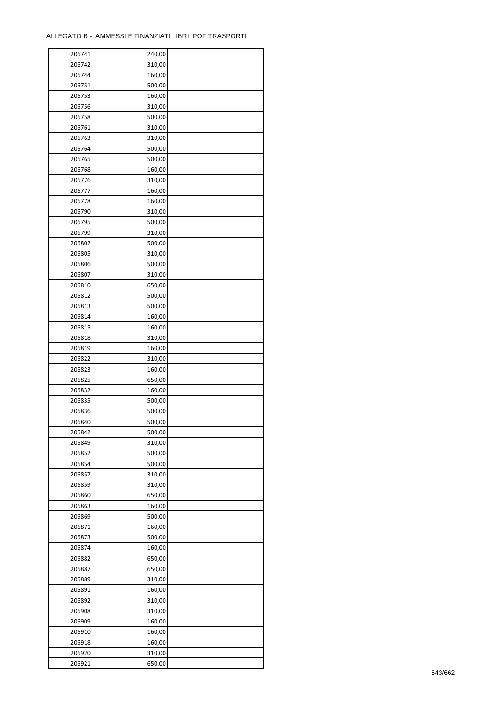| 206741 | 240,00 |  |
|--------|--------|--|
| 206742 | 310,00 |  |
| 206744 | 160,00 |  |
| 206751 | 500,00 |  |
| 206753 | 160,00 |  |
| 206756 | 310,00 |  |
| 206758 | 500,00 |  |
| 206761 | 310,00 |  |
| 206763 | 310,00 |  |
|        |        |  |
| 206764 | 500,00 |  |
| 206765 | 500,00 |  |
| 206768 | 160,00 |  |
| 206776 | 310,00 |  |
| 206777 | 160,00 |  |
| 206778 | 160,00 |  |
| 206790 | 310,00 |  |
| 206795 | 500,00 |  |
| 206799 | 310,00 |  |
| 206802 | 500,00 |  |
| 206805 | 310,00 |  |
| 206806 | 500,00 |  |
| 206807 | 310,00 |  |
| 206810 | 650,00 |  |
| 206812 | 500,00 |  |
| 206813 | 500,00 |  |
| 206814 | 160,00 |  |
| 206815 | 160,00 |  |
| 206818 | 310,00 |  |
| 206819 | 160,00 |  |
|        |        |  |
| 206822 | 310,00 |  |
| 206823 | 160,00 |  |
| 206825 | 650,00 |  |
| 206832 | 160,00 |  |
| 206835 | 500,00 |  |
| 206836 | 500,00 |  |
| 206840 | 500,00 |  |
| 206842 | 500,00 |  |
| 206849 | 310,00 |  |
| 206852 | 500,00 |  |
| 206854 | 500,00 |  |
| 206857 | 310,00 |  |
| 206859 | 310,00 |  |
| 206860 | 650,00 |  |
| 206863 | 160,00 |  |
| 206869 | 500,00 |  |
| 206871 | 160,00 |  |
| 206873 | 500,00 |  |
| 206874 | 160,00 |  |
| 206882 | 650,00 |  |
| 206887 | 650,00 |  |
| 206889 | 310,00 |  |
| 206891 | 160,00 |  |
| 206892 | 310,00 |  |
|        |        |  |
| 206908 | 310,00 |  |
| 206909 | 160,00 |  |
| 206910 | 160,00 |  |
| 206918 | 160,00 |  |
| 206920 | 310,00 |  |
| 206921 | 650,00 |  |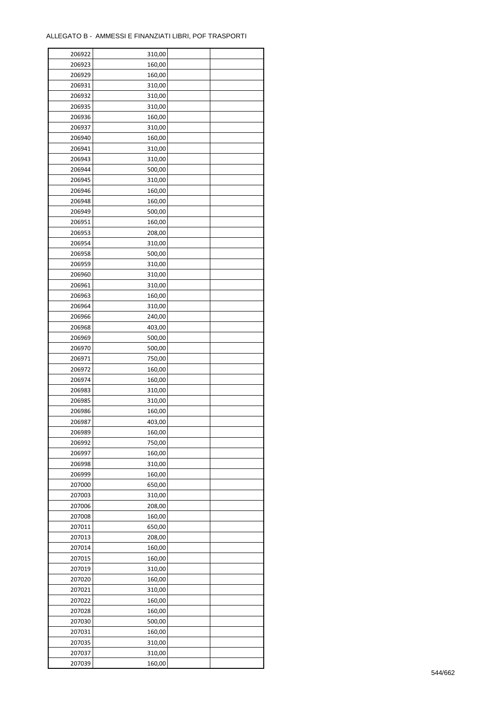| 206922 | 310,00 |  |
|--------|--------|--|
| 206923 | 160,00 |  |
| 206929 | 160,00 |  |
| 206931 | 310,00 |  |
| 206932 | 310,00 |  |
| 206935 | 310,00 |  |
| 206936 | 160,00 |  |
| 206937 | 310,00 |  |
| 206940 | 160,00 |  |
| 206941 | 310,00 |  |
| 206943 | 310,00 |  |
| 206944 | 500,00 |  |
| 206945 | 310,00 |  |
| 206946 |        |  |
|        | 160,00 |  |
| 206948 | 160,00 |  |
| 206949 | 500,00 |  |
| 206951 | 160,00 |  |
| 206953 | 208,00 |  |
| 206954 | 310,00 |  |
| 206958 | 500,00 |  |
| 206959 | 310,00 |  |
| 206960 | 310,00 |  |
| 206961 | 310,00 |  |
| 206963 | 160,00 |  |
| 206964 | 310,00 |  |
| 206966 | 240,00 |  |
| 206968 | 403,00 |  |
| 206969 | 500,00 |  |
| 206970 | 500,00 |  |
| 206971 | 750,00 |  |
| 206972 | 160,00 |  |
| 206974 | 160,00 |  |
| 206983 | 310,00 |  |
| 206985 | 310,00 |  |
| 206986 | 160,00 |  |
| 206987 | 403,00 |  |
| 206989 | 160,00 |  |
| 206992 | 750,00 |  |
|        |        |  |
| 206997 | 160,00 |  |
| 206998 | 310,00 |  |
| 206999 | 160,00 |  |
| 207000 | 650,00 |  |
| 207003 | 310,00 |  |
| 207006 | 208,00 |  |
| 207008 | 160,00 |  |
| 207011 | 650,00 |  |
| 207013 | 208,00 |  |
| 207014 | 160,00 |  |
| 207015 | 160,00 |  |
| 207019 | 310,00 |  |
| 207020 | 160,00 |  |
| 207021 | 310,00 |  |
| 207022 | 160,00 |  |
| 207028 | 160,00 |  |
| 207030 | 500,00 |  |
| 207031 | 160,00 |  |
| 207035 | 310,00 |  |
| 207037 | 310,00 |  |
| 207039 | 160,00 |  |
|        |        |  |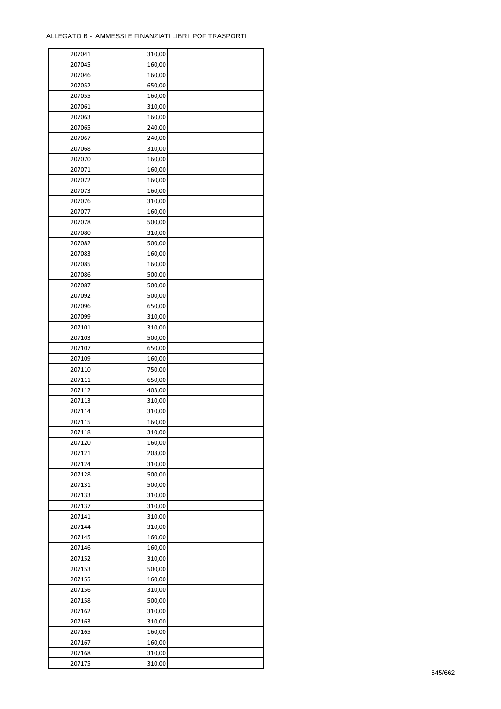| 207041 | 310,00           |  |
|--------|------------------|--|
| 207045 | 160,00           |  |
| 207046 | 160,00           |  |
| 207052 | 650,00           |  |
| 207055 | 160,00           |  |
| 207061 | 310,00           |  |
| 207063 | 160,00           |  |
| 207065 | 240,00           |  |
| 207067 | 240,00           |  |
| 207068 | 310,00           |  |
| 207070 | 160,00           |  |
| 207071 | 160,00           |  |
| 207072 | 160,00           |  |
| 207073 | 160,00           |  |
| 207076 | 310,00           |  |
| 207077 | 160,00           |  |
| 207078 | 500,00           |  |
| 207080 | 310,00           |  |
| 207082 | 500,00           |  |
| 207083 | 160,00           |  |
| 207085 | 160,00           |  |
| 207086 | 500,00           |  |
| 207087 | 500,00           |  |
| 207092 | 500,00           |  |
| 207096 | 650,00           |  |
| 207099 | 310,00           |  |
| 207101 |                  |  |
| 207103 | 310,00<br>500,00 |  |
| 207107 | 650,00           |  |
|        |                  |  |
| 207109 | 160,00           |  |
| 207110 | 750,00           |  |
| 207111 | 650,00           |  |
| 207112 | 403,00           |  |
| 207113 | 310,00           |  |
| 207114 | 310,00           |  |
| 207115 | 160,00           |  |
| 207118 | 310,00           |  |
| 207120 | 160,00           |  |
| 207121 | 208,00           |  |
| 207124 | 310,00           |  |
| 207128 | 500,00           |  |
| 207131 | 500,00           |  |
| 207133 | 310,00           |  |
| 207137 | 310,00           |  |
| 207141 | 310,00           |  |
| 207144 | 310,00           |  |
| 207145 | 160,00           |  |
| 207146 | 160,00           |  |
| 207152 | 310,00           |  |
| 207153 | 500,00           |  |
| 207155 | 160,00           |  |
| 207156 | 310,00           |  |
| 207158 | 500,00           |  |
| 207162 | 310,00           |  |
| 207163 | 310,00           |  |
| 207165 | 160,00           |  |
| 207167 | 160,00           |  |
| 207168 | 310,00           |  |
| 207175 | 310,00           |  |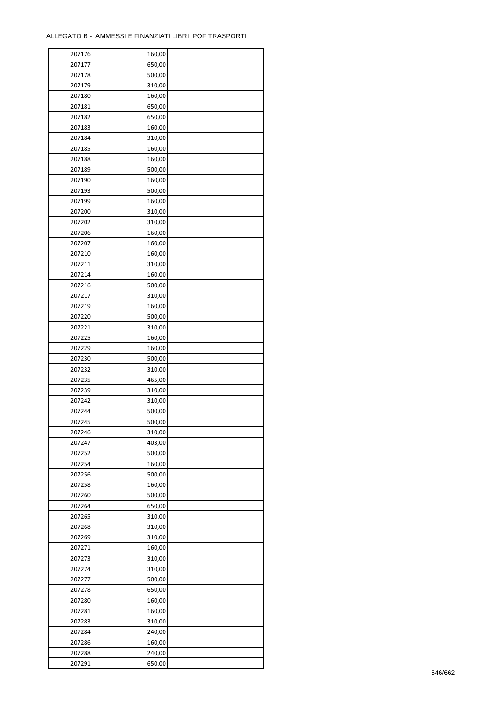| 207176 | 160,00 |  |
|--------|--------|--|
| 207177 | 650,00 |  |
| 207178 | 500,00 |  |
| 207179 | 310,00 |  |
| 207180 | 160,00 |  |
| 207181 | 650,00 |  |
| 207182 | 650,00 |  |
| 207183 | 160,00 |  |
| 207184 | 310,00 |  |
| 207185 | 160,00 |  |
| 207188 | 160,00 |  |
| 207189 | 500,00 |  |
| 207190 | 160,00 |  |
| 207193 | 500,00 |  |
|        |        |  |
| 207199 | 160,00 |  |
| 207200 | 310,00 |  |
| 207202 | 310,00 |  |
| 207206 | 160,00 |  |
| 207207 | 160,00 |  |
| 207210 | 160,00 |  |
| 207211 | 310,00 |  |
| 207214 | 160,00 |  |
| 207216 | 500,00 |  |
| 207217 | 310,00 |  |
| 207219 | 160,00 |  |
| 207220 | 500,00 |  |
| 207221 | 310,00 |  |
| 207225 | 160,00 |  |
| 207229 | 160,00 |  |
| 207230 | 500,00 |  |
| 207232 | 310,00 |  |
| 207235 | 465,00 |  |
| 207239 | 310,00 |  |
| 207242 | 310,00 |  |
| 207244 | 500,00 |  |
| 207245 | 500,00 |  |
| 207246 | 310,00 |  |
| 207247 | 403,00 |  |
| 207252 | 500,00 |  |
| 207254 | 160,00 |  |
| 207256 | 500,00 |  |
| 207258 | 160,00 |  |
| 207260 | 500,00 |  |
| 207264 | 650,00 |  |
| 207265 | 310,00 |  |
| 207268 | 310,00 |  |
| 207269 | 310,00 |  |
| 207271 | 160,00 |  |
| 207273 | 310,00 |  |
| 207274 | 310,00 |  |
| 207277 | 500,00 |  |
| 207278 | 650,00 |  |
| 207280 | 160,00 |  |
| 207281 | 160,00 |  |
| 207283 | 310,00 |  |
| 207284 | 240,00 |  |
|        |        |  |
| 207286 | 160,00 |  |
| 207288 | 240,00 |  |
| 207291 | 650,00 |  |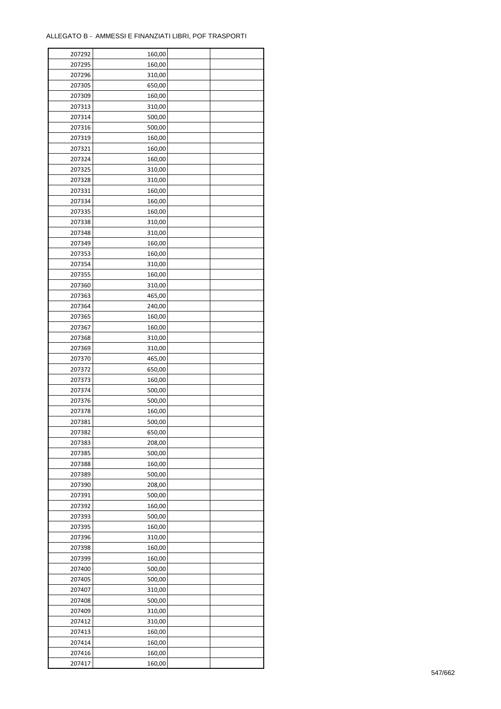| 207292 | 160,00           |  |
|--------|------------------|--|
| 207295 | 160,00           |  |
| 207296 | 310,00           |  |
| 207305 | 650,00           |  |
| 207309 | 160,00           |  |
| 207313 | 310,00           |  |
| 207314 | 500,00           |  |
| 207316 | 500,00           |  |
|        |                  |  |
| 207319 | 160,00<br>160,00 |  |
| 207321 |                  |  |
| 207324 | 160,00           |  |
| 207325 | 310,00           |  |
| 207328 | 310,00           |  |
| 207331 | 160,00           |  |
| 207334 | 160,00           |  |
| 207335 | 160,00           |  |
| 207338 | 310,00           |  |
| 207348 | 310,00           |  |
| 207349 | 160,00           |  |
| 207353 | 160,00           |  |
| 207354 | 310,00           |  |
| 207355 | 160,00           |  |
| 207360 | 310,00           |  |
| 207363 | 465,00           |  |
| 207364 | 240,00           |  |
| 207365 | 160,00           |  |
| 207367 | 160,00           |  |
| 207368 | 310,00           |  |
| 207369 | 310,00           |  |
|        |                  |  |
| 207370 | 465,00           |  |
| 207372 | 650,00           |  |
| 207373 | 160,00           |  |
| 207374 | 500,00           |  |
| 207376 | 500,00           |  |
| 207378 | 160,00           |  |
| 207381 | 500,00           |  |
| 207382 | 650,00           |  |
| 207383 | 208,00           |  |
| 207385 | 500,00           |  |
| 207388 | 160,00           |  |
| 207389 | 500,00           |  |
| 207390 | 208,00           |  |
| 207391 | 500,00           |  |
| 207392 | 160,00           |  |
| 207393 | 500,00           |  |
| 207395 | 160,00           |  |
| 207396 | 310,00           |  |
| 207398 | 160,00           |  |
| 207399 | 160,00           |  |
| 207400 | 500,00           |  |
| 207405 | 500,00           |  |
| 207407 | 310,00           |  |
|        |                  |  |
| 207408 | 500,00           |  |
| 207409 | 310,00           |  |
| 207412 | 310,00           |  |
| 207413 | 160,00           |  |
| 207414 | 160,00           |  |
| 207416 | 160,00           |  |
| 207417 | 160,00           |  |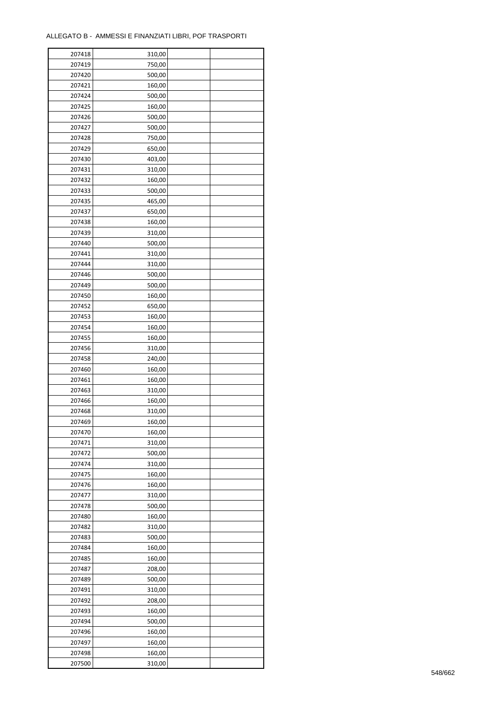| 750,00<br>207419<br>500,00<br>207420<br>207421<br>160,00<br>207424<br>500,00<br>207425<br>160,00<br>207426<br>500,00<br>207427<br>500,00<br>750,00<br>207428<br>207429<br>650,00<br>207430<br>403,00<br>207431<br>310,00<br>207432<br>160,00<br>207433<br>500,00<br>207435<br>465,00<br>207437<br>650,00<br>207438<br>160,00<br>207439<br>310,00<br>207440<br>500,00<br>207441<br>310,00<br>207444<br>310,00<br>207446<br>500,00<br>207449<br>500,00<br>207450<br>160,00<br>207452<br>650,00<br>207453<br>160,00<br>207454<br>160,00<br>207455<br>160,00<br>207456<br>310,00<br>207458<br>240,00<br>207460<br>160,00<br>207461<br>160,00<br>207463<br>310,00<br>207466<br>160,00<br>207468<br>310,00<br>207469<br>160,00<br>207470<br>160,00<br>207471<br>310,00<br>207472<br>500,00<br>207474<br>310,00<br>207475<br>160,00<br>207476<br>160,00<br>207477<br>310,00<br>207478<br>500,00<br>207480<br>160,00<br>207482<br>310,00<br>207483<br>500,00<br>207484<br>160,00<br>207485<br>160,00<br>207487<br>208,00<br>500,00<br>207489<br>207491<br>310,00<br>207492<br>208,00<br>207493<br>160,00<br>207494<br>500,00<br>207496<br>160,00<br>207497<br>160,00<br>207498<br>160,00 | 207418 | 310,00 |  |
|----------------------------------------------------------------------------------------------------------------------------------------------------------------------------------------------------------------------------------------------------------------------------------------------------------------------------------------------------------------------------------------------------------------------------------------------------------------------------------------------------------------------------------------------------------------------------------------------------------------------------------------------------------------------------------------------------------------------------------------------------------------------------------------------------------------------------------------------------------------------------------------------------------------------------------------------------------------------------------------------------------------------------------------------------------------------------------------------------------------------------------------------------------------------------------|--------|--------|--|
|                                                                                                                                                                                                                                                                                                                                                                                                                                                                                                                                                                                                                                                                                                                                                                                                                                                                                                                                                                                                                                                                                                                                                                                  |        |        |  |
|                                                                                                                                                                                                                                                                                                                                                                                                                                                                                                                                                                                                                                                                                                                                                                                                                                                                                                                                                                                                                                                                                                                                                                                  |        |        |  |
|                                                                                                                                                                                                                                                                                                                                                                                                                                                                                                                                                                                                                                                                                                                                                                                                                                                                                                                                                                                                                                                                                                                                                                                  |        |        |  |
|                                                                                                                                                                                                                                                                                                                                                                                                                                                                                                                                                                                                                                                                                                                                                                                                                                                                                                                                                                                                                                                                                                                                                                                  |        |        |  |
|                                                                                                                                                                                                                                                                                                                                                                                                                                                                                                                                                                                                                                                                                                                                                                                                                                                                                                                                                                                                                                                                                                                                                                                  |        |        |  |
|                                                                                                                                                                                                                                                                                                                                                                                                                                                                                                                                                                                                                                                                                                                                                                                                                                                                                                                                                                                                                                                                                                                                                                                  |        |        |  |
|                                                                                                                                                                                                                                                                                                                                                                                                                                                                                                                                                                                                                                                                                                                                                                                                                                                                                                                                                                                                                                                                                                                                                                                  |        |        |  |
|                                                                                                                                                                                                                                                                                                                                                                                                                                                                                                                                                                                                                                                                                                                                                                                                                                                                                                                                                                                                                                                                                                                                                                                  |        |        |  |
|                                                                                                                                                                                                                                                                                                                                                                                                                                                                                                                                                                                                                                                                                                                                                                                                                                                                                                                                                                                                                                                                                                                                                                                  |        |        |  |
|                                                                                                                                                                                                                                                                                                                                                                                                                                                                                                                                                                                                                                                                                                                                                                                                                                                                                                                                                                                                                                                                                                                                                                                  |        |        |  |
|                                                                                                                                                                                                                                                                                                                                                                                                                                                                                                                                                                                                                                                                                                                                                                                                                                                                                                                                                                                                                                                                                                                                                                                  |        |        |  |
|                                                                                                                                                                                                                                                                                                                                                                                                                                                                                                                                                                                                                                                                                                                                                                                                                                                                                                                                                                                                                                                                                                                                                                                  |        |        |  |
|                                                                                                                                                                                                                                                                                                                                                                                                                                                                                                                                                                                                                                                                                                                                                                                                                                                                                                                                                                                                                                                                                                                                                                                  |        |        |  |
|                                                                                                                                                                                                                                                                                                                                                                                                                                                                                                                                                                                                                                                                                                                                                                                                                                                                                                                                                                                                                                                                                                                                                                                  |        |        |  |
|                                                                                                                                                                                                                                                                                                                                                                                                                                                                                                                                                                                                                                                                                                                                                                                                                                                                                                                                                                                                                                                                                                                                                                                  |        |        |  |
|                                                                                                                                                                                                                                                                                                                                                                                                                                                                                                                                                                                                                                                                                                                                                                                                                                                                                                                                                                                                                                                                                                                                                                                  |        |        |  |
|                                                                                                                                                                                                                                                                                                                                                                                                                                                                                                                                                                                                                                                                                                                                                                                                                                                                                                                                                                                                                                                                                                                                                                                  |        |        |  |
|                                                                                                                                                                                                                                                                                                                                                                                                                                                                                                                                                                                                                                                                                                                                                                                                                                                                                                                                                                                                                                                                                                                                                                                  |        |        |  |
|                                                                                                                                                                                                                                                                                                                                                                                                                                                                                                                                                                                                                                                                                                                                                                                                                                                                                                                                                                                                                                                                                                                                                                                  |        |        |  |
|                                                                                                                                                                                                                                                                                                                                                                                                                                                                                                                                                                                                                                                                                                                                                                                                                                                                                                                                                                                                                                                                                                                                                                                  |        |        |  |
|                                                                                                                                                                                                                                                                                                                                                                                                                                                                                                                                                                                                                                                                                                                                                                                                                                                                                                                                                                                                                                                                                                                                                                                  |        |        |  |
|                                                                                                                                                                                                                                                                                                                                                                                                                                                                                                                                                                                                                                                                                                                                                                                                                                                                                                                                                                                                                                                                                                                                                                                  |        |        |  |
|                                                                                                                                                                                                                                                                                                                                                                                                                                                                                                                                                                                                                                                                                                                                                                                                                                                                                                                                                                                                                                                                                                                                                                                  |        |        |  |
|                                                                                                                                                                                                                                                                                                                                                                                                                                                                                                                                                                                                                                                                                                                                                                                                                                                                                                                                                                                                                                                                                                                                                                                  |        |        |  |
|                                                                                                                                                                                                                                                                                                                                                                                                                                                                                                                                                                                                                                                                                                                                                                                                                                                                                                                                                                                                                                                                                                                                                                                  |        |        |  |
|                                                                                                                                                                                                                                                                                                                                                                                                                                                                                                                                                                                                                                                                                                                                                                                                                                                                                                                                                                                                                                                                                                                                                                                  |        |        |  |
|                                                                                                                                                                                                                                                                                                                                                                                                                                                                                                                                                                                                                                                                                                                                                                                                                                                                                                                                                                                                                                                                                                                                                                                  |        |        |  |
|                                                                                                                                                                                                                                                                                                                                                                                                                                                                                                                                                                                                                                                                                                                                                                                                                                                                                                                                                                                                                                                                                                                                                                                  |        |        |  |
|                                                                                                                                                                                                                                                                                                                                                                                                                                                                                                                                                                                                                                                                                                                                                                                                                                                                                                                                                                                                                                                                                                                                                                                  |        |        |  |
|                                                                                                                                                                                                                                                                                                                                                                                                                                                                                                                                                                                                                                                                                                                                                                                                                                                                                                                                                                                                                                                                                                                                                                                  |        |        |  |
|                                                                                                                                                                                                                                                                                                                                                                                                                                                                                                                                                                                                                                                                                                                                                                                                                                                                                                                                                                                                                                                                                                                                                                                  |        |        |  |
|                                                                                                                                                                                                                                                                                                                                                                                                                                                                                                                                                                                                                                                                                                                                                                                                                                                                                                                                                                                                                                                                                                                                                                                  |        |        |  |
|                                                                                                                                                                                                                                                                                                                                                                                                                                                                                                                                                                                                                                                                                                                                                                                                                                                                                                                                                                                                                                                                                                                                                                                  |        |        |  |
|                                                                                                                                                                                                                                                                                                                                                                                                                                                                                                                                                                                                                                                                                                                                                                                                                                                                                                                                                                                                                                                                                                                                                                                  |        |        |  |
|                                                                                                                                                                                                                                                                                                                                                                                                                                                                                                                                                                                                                                                                                                                                                                                                                                                                                                                                                                                                                                                                                                                                                                                  |        |        |  |
|                                                                                                                                                                                                                                                                                                                                                                                                                                                                                                                                                                                                                                                                                                                                                                                                                                                                                                                                                                                                                                                                                                                                                                                  |        |        |  |
|                                                                                                                                                                                                                                                                                                                                                                                                                                                                                                                                                                                                                                                                                                                                                                                                                                                                                                                                                                                                                                                                                                                                                                                  |        |        |  |
|                                                                                                                                                                                                                                                                                                                                                                                                                                                                                                                                                                                                                                                                                                                                                                                                                                                                                                                                                                                                                                                                                                                                                                                  |        |        |  |
|                                                                                                                                                                                                                                                                                                                                                                                                                                                                                                                                                                                                                                                                                                                                                                                                                                                                                                                                                                                                                                                                                                                                                                                  |        |        |  |
|                                                                                                                                                                                                                                                                                                                                                                                                                                                                                                                                                                                                                                                                                                                                                                                                                                                                                                                                                                                                                                                                                                                                                                                  |        |        |  |
|                                                                                                                                                                                                                                                                                                                                                                                                                                                                                                                                                                                                                                                                                                                                                                                                                                                                                                                                                                                                                                                                                                                                                                                  |        |        |  |
|                                                                                                                                                                                                                                                                                                                                                                                                                                                                                                                                                                                                                                                                                                                                                                                                                                                                                                                                                                                                                                                                                                                                                                                  |        |        |  |
|                                                                                                                                                                                                                                                                                                                                                                                                                                                                                                                                                                                                                                                                                                                                                                                                                                                                                                                                                                                                                                                                                                                                                                                  |        |        |  |
|                                                                                                                                                                                                                                                                                                                                                                                                                                                                                                                                                                                                                                                                                                                                                                                                                                                                                                                                                                                                                                                                                                                                                                                  |        |        |  |
|                                                                                                                                                                                                                                                                                                                                                                                                                                                                                                                                                                                                                                                                                                                                                                                                                                                                                                                                                                                                                                                                                                                                                                                  |        |        |  |
|                                                                                                                                                                                                                                                                                                                                                                                                                                                                                                                                                                                                                                                                                                                                                                                                                                                                                                                                                                                                                                                                                                                                                                                  |        |        |  |
|                                                                                                                                                                                                                                                                                                                                                                                                                                                                                                                                                                                                                                                                                                                                                                                                                                                                                                                                                                                                                                                                                                                                                                                  |        |        |  |
|                                                                                                                                                                                                                                                                                                                                                                                                                                                                                                                                                                                                                                                                                                                                                                                                                                                                                                                                                                                                                                                                                                                                                                                  |        |        |  |
|                                                                                                                                                                                                                                                                                                                                                                                                                                                                                                                                                                                                                                                                                                                                                                                                                                                                                                                                                                                                                                                                                                                                                                                  |        |        |  |
|                                                                                                                                                                                                                                                                                                                                                                                                                                                                                                                                                                                                                                                                                                                                                                                                                                                                                                                                                                                                                                                                                                                                                                                  |        |        |  |
|                                                                                                                                                                                                                                                                                                                                                                                                                                                                                                                                                                                                                                                                                                                                                                                                                                                                                                                                                                                                                                                                                                                                                                                  |        |        |  |
|                                                                                                                                                                                                                                                                                                                                                                                                                                                                                                                                                                                                                                                                                                                                                                                                                                                                                                                                                                                                                                                                                                                                                                                  |        |        |  |
|                                                                                                                                                                                                                                                                                                                                                                                                                                                                                                                                                                                                                                                                                                                                                                                                                                                                                                                                                                                                                                                                                                                                                                                  |        |        |  |
|                                                                                                                                                                                                                                                                                                                                                                                                                                                                                                                                                                                                                                                                                                                                                                                                                                                                                                                                                                                                                                                                                                                                                                                  |        |        |  |
|                                                                                                                                                                                                                                                                                                                                                                                                                                                                                                                                                                                                                                                                                                                                                                                                                                                                                                                                                                                                                                                                                                                                                                                  |        |        |  |
|                                                                                                                                                                                                                                                                                                                                                                                                                                                                                                                                                                                                                                                                                                                                                                                                                                                                                                                                                                                                                                                                                                                                                                                  |        |        |  |
|                                                                                                                                                                                                                                                                                                                                                                                                                                                                                                                                                                                                                                                                                                                                                                                                                                                                                                                                                                                                                                                                                                                                                                                  |        |        |  |
|                                                                                                                                                                                                                                                                                                                                                                                                                                                                                                                                                                                                                                                                                                                                                                                                                                                                                                                                                                                                                                                                                                                                                                                  |        |        |  |
|                                                                                                                                                                                                                                                                                                                                                                                                                                                                                                                                                                                                                                                                                                                                                                                                                                                                                                                                                                                                                                                                                                                                                                                  | 207500 | 310,00 |  |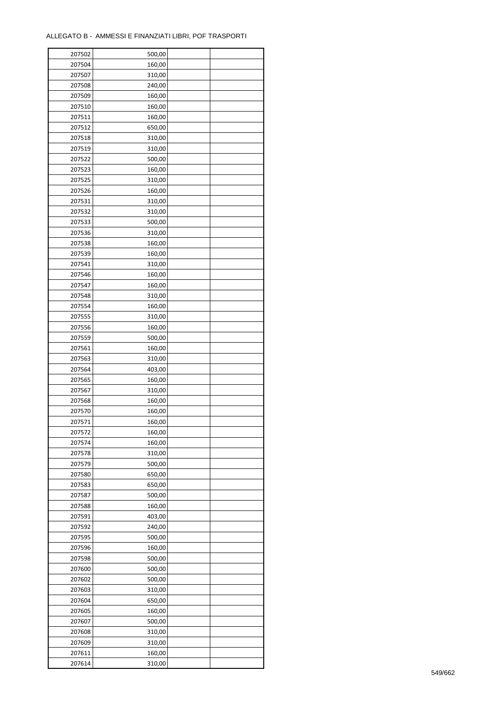| 207502 | 500,00 |  |
|--------|--------|--|
| 207504 | 160,00 |  |
| 207507 | 310,00 |  |
| 207508 | 240,00 |  |
| 207509 | 160,00 |  |
| 207510 | 160,00 |  |
| 207511 | 160,00 |  |
| 207512 | 650,00 |  |
|        |        |  |
| 207518 | 310,00 |  |
| 207519 | 310,00 |  |
| 207522 | 500,00 |  |
| 207523 | 160,00 |  |
| 207525 | 310,00 |  |
| 207526 | 160,00 |  |
| 207531 | 310,00 |  |
| 207532 | 310,00 |  |
| 207533 | 500,00 |  |
| 207536 | 310,00 |  |
| 207538 | 160,00 |  |
| 207539 | 160,00 |  |
| 207541 | 310,00 |  |
| 207546 | 160,00 |  |
| 207547 | 160,00 |  |
| 207548 | 310,00 |  |
| 207554 | 160,00 |  |
| 207555 | 310,00 |  |
| 207556 | 160,00 |  |
| 207559 | 500,00 |  |
| 207561 | 160,00 |  |
| 207563 | 310,00 |  |
|        |        |  |
| 207564 | 403,00 |  |
| 207565 | 160,00 |  |
| 207567 | 310,00 |  |
| 207568 | 160,00 |  |
| 207570 | 160,00 |  |
| 207571 | 160,00 |  |
| 207572 | 160,00 |  |
| 207574 | 160,00 |  |
| 207578 | 310,00 |  |
| 207579 | 500,00 |  |
| 207580 | 650,00 |  |
| 207583 | 650,00 |  |
| 207587 | 500,00 |  |
| 207588 | 160,00 |  |
| 207591 | 403,00 |  |
| 207592 | 240,00 |  |
| 207595 | 500,00 |  |
| 207596 | 160,00 |  |
| 207598 | 500,00 |  |
| 207600 | 500,00 |  |
| 207602 | 500,00 |  |
| 207603 | 310,00 |  |
| 207604 | 650,00 |  |
|        |        |  |
| 207605 | 160,00 |  |
| 207607 | 500,00 |  |
| 207608 | 310,00 |  |
| 207609 | 310,00 |  |
| 207611 | 160,00 |  |
| 207614 | 310,00 |  |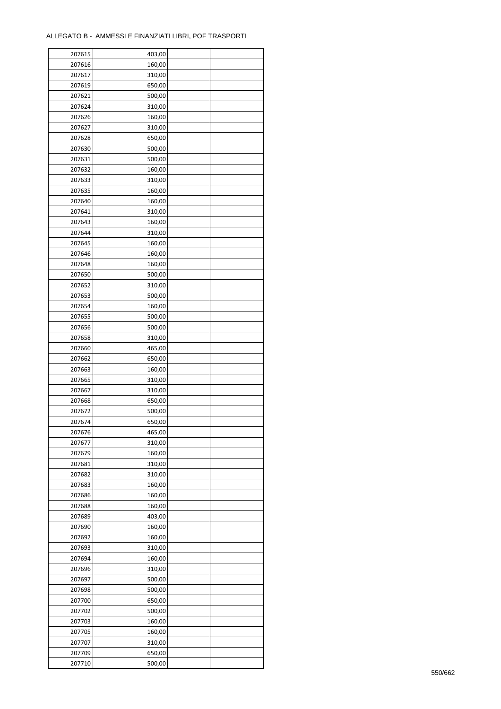| 207615 | 403,00 |  |
|--------|--------|--|
| 207616 | 160,00 |  |
| 207617 | 310,00 |  |
| 207619 | 650,00 |  |
| 207621 | 500,00 |  |
| 207624 | 310,00 |  |
| 207626 | 160,00 |  |
| 207627 | 310,00 |  |
| 207628 | 650,00 |  |
| 207630 | 500,00 |  |
| 207631 | 500,00 |  |
| 207632 | 160,00 |  |
|        |        |  |
| 207633 | 310,00 |  |
| 207635 | 160,00 |  |
| 207640 | 160,00 |  |
| 207641 | 310,00 |  |
| 207643 | 160,00 |  |
| 207644 | 310,00 |  |
| 207645 | 160,00 |  |
| 207646 | 160,00 |  |
| 207648 | 160,00 |  |
| 207650 | 500,00 |  |
| 207652 | 310,00 |  |
| 207653 | 500,00 |  |
| 207654 | 160,00 |  |
| 207655 | 500,00 |  |
| 207656 | 500,00 |  |
| 207658 | 310,00 |  |
| 207660 | 465,00 |  |
| 207662 | 650,00 |  |
| 207663 | 160,00 |  |
| 207665 | 310,00 |  |
| 207667 | 310,00 |  |
| 207668 | 650,00 |  |
| 207672 | 500,00 |  |
| 207674 | 650,00 |  |
| 207676 | 465,00 |  |
| 207677 | 310,00 |  |
| 207679 | 160,00 |  |
| 207681 | 310,00 |  |
| 207682 | 310,00 |  |
| 207683 | 160,00 |  |
|        |        |  |
| 207686 | 160,00 |  |
| 207688 | 160,00 |  |
| 207689 | 403,00 |  |
| 207690 | 160,00 |  |
| 207692 | 160,00 |  |
| 207693 | 310,00 |  |
| 207694 | 160,00 |  |
| 207696 | 310,00 |  |
| 207697 | 500,00 |  |
| 207698 | 500,00 |  |
| 207700 | 650,00 |  |
| 207702 | 500,00 |  |
| 207703 | 160,00 |  |
| 207705 | 160,00 |  |
| 207707 | 310,00 |  |
| 207709 | 650,00 |  |
| 207710 | 500,00 |  |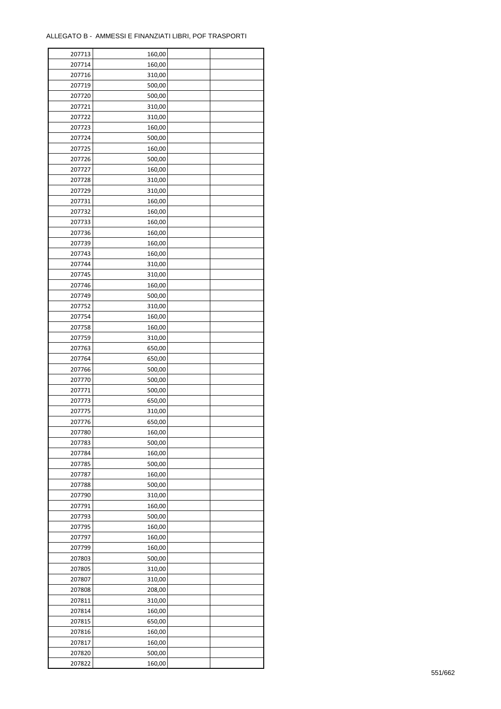| 207713 | 160,00 |  |
|--------|--------|--|
| 207714 | 160,00 |  |
| 207716 | 310,00 |  |
| 207719 | 500,00 |  |
| 207720 | 500,00 |  |
| 207721 | 310,00 |  |
| 207722 | 310,00 |  |
| 207723 | 160,00 |  |
|        |        |  |
| 207724 | 500,00 |  |
| 207725 | 160,00 |  |
| 207726 | 500,00 |  |
| 207727 | 160,00 |  |
| 207728 | 310,00 |  |
| 207729 | 310,00 |  |
| 207731 | 160,00 |  |
| 207732 | 160,00 |  |
| 207733 | 160,00 |  |
| 207736 | 160,00 |  |
| 207739 | 160,00 |  |
| 207743 | 160,00 |  |
| 207744 | 310,00 |  |
| 207745 | 310,00 |  |
| 207746 | 160,00 |  |
| 207749 | 500,00 |  |
| 207752 | 310,00 |  |
| 207754 | 160,00 |  |
| 207758 | 160,00 |  |
|        |        |  |
| 207759 | 310,00 |  |
| 207763 | 650,00 |  |
| 207764 | 650,00 |  |
| 207766 | 500,00 |  |
| 207770 | 500,00 |  |
| 207771 | 500,00 |  |
| 207773 | 650,00 |  |
| 207775 | 310,00 |  |
| 207776 | 650,00 |  |
| 207780 | 160,00 |  |
| 207783 | 500,00 |  |
| 207784 | 160,00 |  |
| 207785 | 500,00 |  |
| 207787 | 160,00 |  |
| 207788 | 500,00 |  |
| 207790 | 310,00 |  |
| 207791 | 160,00 |  |
| 207793 | 500,00 |  |
| 207795 | 160,00 |  |
|        |        |  |
| 207797 | 160,00 |  |
| 207799 | 160,00 |  |
| 207803 | 500,00 |  |
| 207805 | 310,00 |  |
| 207807 | 310,00 |  |
| 207808 | 208,00 |  |
| 207811 | 310,00 |  |
| 207814 | 160,00 |  |
| 207815 | 650,00 |  |
| 207816 | 160,00 |  |
| 207817 | 160,00 |  |
| 207820 | 500,00 |  |
| 207822 | 160,00 |  |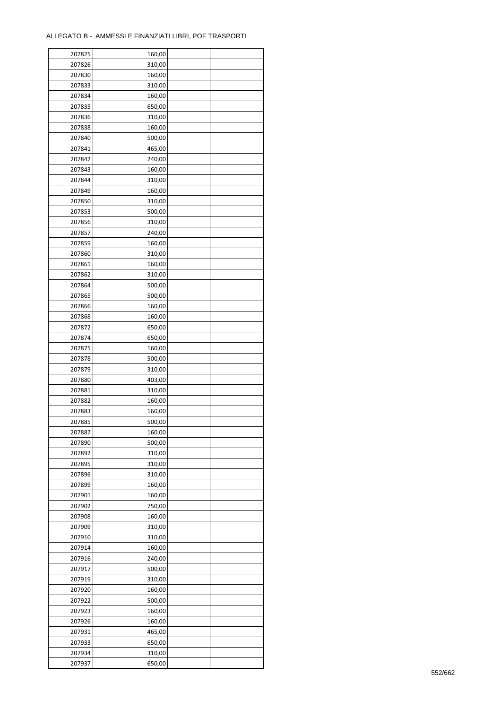| 207825 | 160,00 |  |
|--------|--------|--|
| 207826 | 310,00 |  |
| 207830 | 160,00 |  |
| 207833 | 310,00 |  |
| 207834 | 160,00 |  |
| 207835 | 650,00 |  |
| 207836 | 310,00 |  |
| 207838 | 160,00 |  |
|        |        |  |
| 207840 | 500,00 |  |
| 207841 | 465,00 |  |
| 207842 | 240,00 |  |
| 207843 | 160,00 |  |
| 207844 | 310,00 |  |
| 207849 | 160,00 |  |
| 207850 | 310,00 |  |
| 207853 | 500,00 |  |
| 207856 | 310,00 |  |
| 207857 | 240,00 |  |
| 207859 | 160,00 |  |
| 207860 | 310,00 |  |
| 207861 | 160,00 |  |
| 207862 | 310,00 |  |
| 207864 | 500,00 |  |
| 207865 | 500,00 |  |
| 207866 | 160,00 |  |
| 207868 | 160,00 |  |
| 207872 | 650,00 |  |
| 207874 | 650,00 |  |
| 207875 | 160,00 |  |
|        |        |  |
| 207878 | 500,00 |  |
| 207879 | 310,00 |  |
| 207880 | 403,00 |  |
| 207881 | 310,00 |  |
| 207882 | 160,00 |  |
| 207883 | 160,00 |  |
| 207885 | 500,00 |  |
| 207887 | 160,00 |  |
| 207890 | 500,00 |  |
| 207892 | 310,00 |  |
| 207895 | 310,00 |  |
| 207896 | 310,00 |  |
| 207899 | 160,00 |  |
| 207901 | 160,00 |  |
| 207902 | 750,00 |  |
| 207908 | 160,00 |  |
| 207909 | 310,00 |  |
| 207910 | 310,00 |  |
| 207914 | 160,00 |  |
| 207916 | 240,00 |  |
| 207917 | 500,00 |  |
| 207919 | 310,00 |  |
| 207920 | 160,00 |  |
|        |        |  |
| 207922 | 500,00 |  |
| 207923 | 160,00 |  |
| 207926 | 160,00 |  |
| 207931 | 465,00 |  |
| 207933 | 650,00 |  |
| 207934 | 310,00 |  |
| 207937 | 650,00 |  |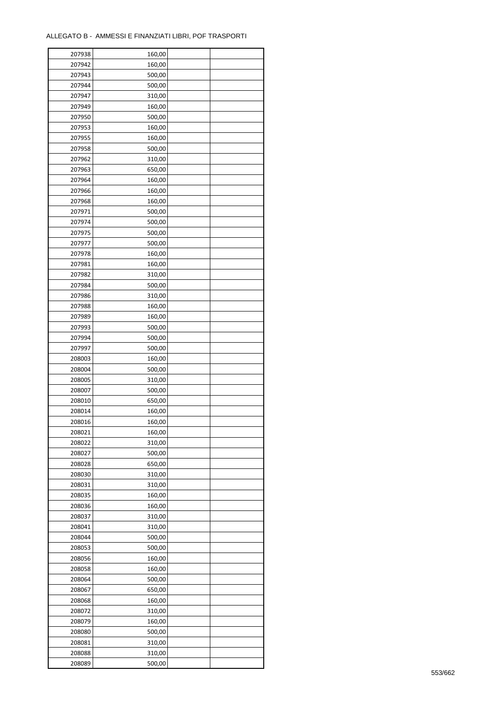| 207938 | 160,00 |  |
|--------|--------|--|
| 207942 | 160,00 |  |
| 207943 | 500,00 |  |
| 207944 | 500,00 |  |
| 207947 | 310,00 |  |
| 207949 | 160,00 |  |
| 207950 | 500,00 |  |
| 207953 | 160,00 |  |
| 207955 | 160,00 |  |
| 207958 | 500,00 |  |
| 207962 |        |  |
|        | 310,00 |  |
| 207963 | 650,00 |  |
| 207964 | 160,00 |  |
| 207966 | 160,00 |  |
| 207968 | 160,00 |  |
| 207971 | 500,00 |  |
| 207974 | 500,00 |  |
| 207975 | 500,00 |  |
| 207977 | 500,00 |  |
| 207978 | 160,00 |  |
| 207981 | 160,00 |  |
| 207982 | 310,00 |  |
| 207984 | 500,00 |  |
| 207986 | 310,00 |  |
| 207988 | 160,00 |  |
| 207989 | 160,00 |  |
| 207993 | 500,00 |  |
| 207994 | 500,00 |  |
| 207997 | 500,00 |  |
| 208003 | 160,00 |  |
| 208004 | 500,00 |  |
| 208005 | 310,00 |  |
| 208007 | 500,00 |  |
| 208010 | 650,00 |  |
| 208014 | 160,00 |  |
| 208016 |        |  |
|        | 160,00 |  |
| 208021 | 160,00 |  |
| 208022 | 310,00 |  |
| 208027 | 500,00 |  |
| 208028 | 650,00 |  |
| 208030 | 310,00 |  |
| 208031 | 310,00 |  |
| 208035 | 160,00 |  |
| 208036 | 160,00 |  |
| 208037 | 310,00 |  |
| 208041 | 310,00 |  |
| 208044 | 500,00 |  |
| 208053 | 500,00 |  |
| 208056 | 160,00 |  |
| 208058 | 160,00 |  |
| 208064 | 500,00 |  |
| 208067 | 650,00 |  |
| 208068 | 160,00 |  |
| 208072 | 310,00 |  |
| 208079 | 160,00 |  |
|        |        |  |
| 208080 | 500,00 |  |
| 208081 | 310,00 |  |
| 208088 | 310,00 |  |
| 208089 | 500,00 |  |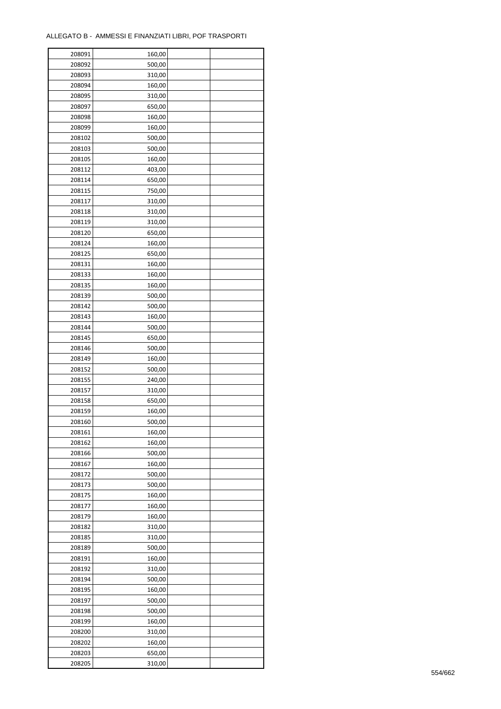| 208091 | 160,00 |  |
|--------|--------|--|
| 208092 | 500,00 |  |
| 208093 | 310,00 |  |
| 208094 | 160,00 |  |
| 208095 | 310,00 |  |
| 208097 | 650,00 |  |
| 208098 | 160,00 |  |
| 208099 | 160,00 |  |
| 208102 | 500,00 |  |
| 208103 | 500,00 |  |
| 208105 | 160,00 |  |
| 208112 |        |  |
|        | 403,00 |  |
| 208114 | 650,00 |  |
| 208115 | 750,00 |  |
| 208117 | 310,00 |  |
| 208118 | 310,00 |  |
| 208119 | 310,00 |  |
| 208120 | 650,00 |  |
| 208124 | 160,00 |  |
| 208125 | 650,00 |  |
| 208131 | 160,00 |  |
| 208133 | 160,00 |  |
| 208135 | 160,00 |  |
| 208139 | 500,00 |  |
| 208142 | 500,00 |  |
| 208143 | 160,00 |  |
| 208144 | 500,00 |  |
| 208145 | 650,00 |  |
| 208146 | 500,00 |  |
| 208149 | 160,00 |  |
| 208152 | 500,00 |  |
| 208155 | 240,00 |  |
| 208157 | 310,00 |  |
| 208158 | 650,00 |  |
| 208159 | 160,00 |  |
|        |        |  |
| 208160 | 500,00 |  |
| 208161 | 160,00 |  |
| 208162 | 160,00 |  |
| 208166 | 500,00 |  |
| 208167 | 160,00 |  |
| 208172 | 500,00 |  |
| 208173 | 500,00 |  |
| 208175 | 160,00 |  |
| 208177 | 160,00 |  |
| 208179 | 160,00 |  |
| 208182 | 310,00 |  |
| 208185 | 310,00 |  |
| 208189 | 500,00 |  |
| 208191 | 160,00 |  |
| 208192 | 310,00 |  |
| 208194 | 500,00 |  |
| 208195 | 160,00 |  |
| 208197 | 500,00 |  |
| 208198 | 500,00 |  |
| 208199 | 160,00 |  |
| 208200 | 310,00 |  |
|        |        |  |
| 208202 | 160,00 |  |
| 208203 | 650,00 |  |
| 208205 | 310,00 |  |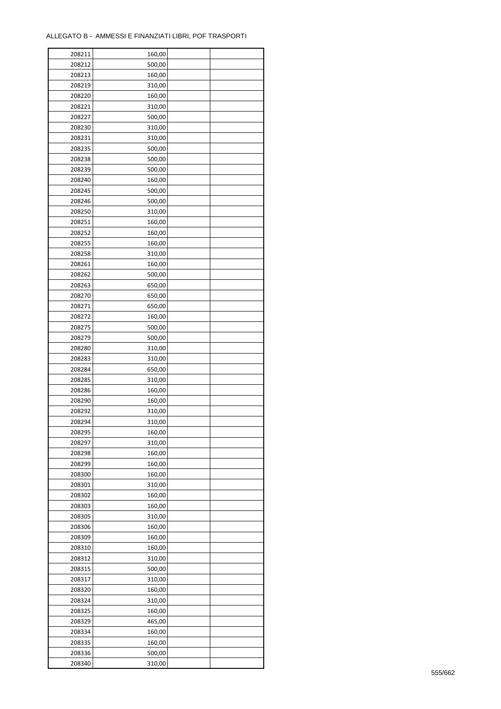| 208211 | 160,00 |  |
|--------|--------|--|
| 208212 | 500,00 |  |
| 208213 | 160,00 |  |
| 208219 | 310,00 |  |
| 208220 | 160,00 |  |
| 208221 | 310,00 |  |
| 208227 | 500,00 |  |
| 208230 | 310,00 |  |
| 208231 | 310,00 |  |
| 208235 | 500,00 |  |
| 208238 | 500,00 |  |
| 208239 | 500,00 |  |
| 208240 | 160,00 |  |
| 208245 | 500,00 |  |
|        |        |  |
| 208246 | 500,00 |  |
| 208250 | 310,00 |  |
| 208251 | 160,00 |  |
| 208252 | 160,00 |  |
| 208255 | 160,00 |  |
| 208258 | 310,00 |  |
| 208261 | 160,00 |  |
| 208262 | 500,00 |  |
| 208263 | 650,00 |  |
| 208270 | 650,00 |  |
| 208271 | 650,00 |  |
| 208272 | 160,00 |  |
| 208275 | 500,00 |  |
| 208279 | 500,00 |  |
| 208280 | 310,00 |  |
| 208283 | 310,00 |  |
| 208284 | 650,00 |  |
| 208285 | 310,00 |  |
| 208286 | 160,00 |  |
| 208290 | 160,00 |  |
| 208292 | 310,00 |  |
| 208294 | 310,00 |  |
| 208295 | 160,00 |  |
| 208297 | 310,00 |  |
| 208298 | 160,00 |  |
| 208299 | 160,00 |  |
| 208300 | 160,00 |  |
| 208301 | 310,00 |  |
| 208302 | 160,00 |  |
| 208303 | 160,00 |  |
| 208305 | 310,00 |  |
| 208306 | 160,00 |  |
| 208309 | 160,00 |  |
| 208310 | 160,00 |  |
| 208312 | 310,00 |  |
| 208315 | 500,00 |  |
| 208317 | 310,00 |  |
| 208320 | 160,00 |  |
| 208324 | 310,00 |  |
| 208325 | 160,00 |  |
| 208329 | 465,00 |  |
| 208334 | 160,00 |  |
|        |        |  |
| 208335 | 160,00 |  |
| 208336 | 500,00 |  |
| 208340 | 310,00 |  |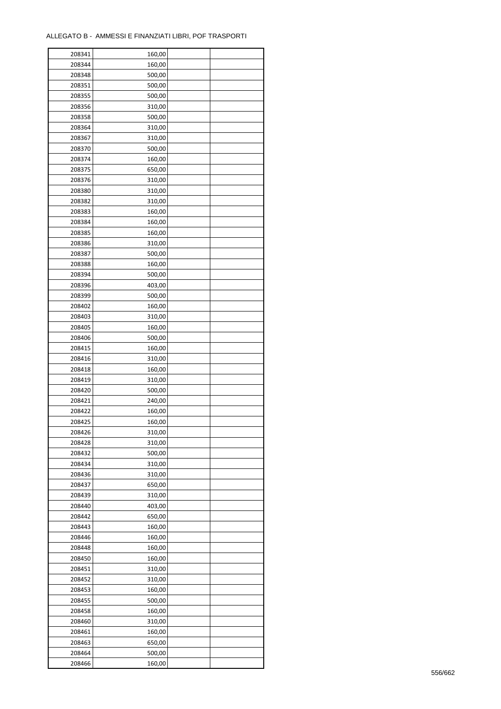| 208341 | 160,00 |  |
|--------|--------|--|
| 208344 | 160,00 |  |
| 208348 | 500,00 |  |
| 208351 | 500,00 |  |
| 208355 | 500,00 |  |
| 208356 | 310,00 |  |
| 208358 | 500,00 |  |
| 208364 | 310,00 |  |
| 208367 | 310,00 |  |
| 208370 | 500,00 |  |
| 208374 | 160,00 |  |
| 208375 | 650,00 |  |
| 208376 | 310,00 |  |
| 208380 |        |  |
|        | 310,00 |  |
| 208382 | 310,00 |  |
| 208383 | 160,00 |  |
| 208384 | 160,00 |  |
| 208385 | 160,00 |  |
| 208386 | 310,00 |  |
| 208387 | 500,00 |  |
| 208388 | 160,00 |  |
| 208394 | 500,00 |  |
| 208396 | 403,00 |  |
| 208399 | 500,00 |  |
| 208402 | 160,00 |  |
| 208403 | 310,00 |  |
| 208405 | 160,00 |  |
| 208406 | 500,00 |  |
| 208415 | 160,00 |  |
| 208416 | 310,00 |  |
| 208418 | 160,00 |  |
| 208419 | 310,00 |  |
| 208420 | 500,00 |  |
| 208421 | 240,00 |  |
| 208422 | 160,00 |  |
| 208425 | 160,00 |  |
| 208426 | 310,00 |  |
| 208428 | 310,00 |  |
| 208432 | 500,00 |  |
|        |        |  |
| 208434 | 310,00 |  |
| 208436 | 310,00 |  |
| 208437 | 650,00 |  |
| 208439 | 310,00 |  |
| 208440 | 403,00 |  |
| 208442 | 650,00 |  |
| 208443 | 160,00 |  |
| 208446 | 160,00 |  |
| 208448 | 160,00 |  |
| 208450 | 160,00 |  |
| 208451 | 310,00 |  |
| 208452 | 310,00 |  |
| 208453 | 160,00 |  |
| 208455 | 500,00 |  |
| 208458 | 160,00 |  |
| 208460 | 310,00 |  |
| 208461 | 160,00 |  |
| 208463 | 650,00 |  |
| 208464 | 500,00 |  |
| 208466 | 160,00 |  |
|        |        |  |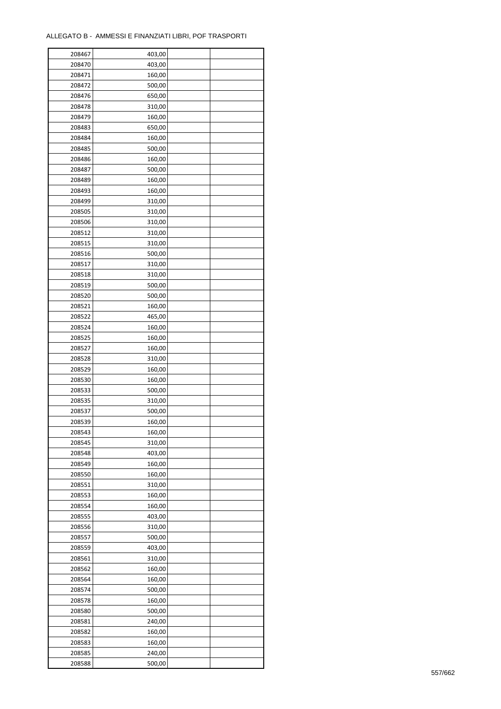| 208467 | 403,00 |  |
|--------|--------|--|
| 208470 | 403,00 |  |
| 208471 | 160,00 |  |
| 208472 | 500,00 |  |
| 208476 | 650,00 |  |
| 208478 | 310,00 |  |
| 208479 | 160,00 |  |
| 208483 | 650,00 |  |
| 208484 | 160,00 |  |
| 208485 | 500,00 |  |
| 208486 | 160,00 |  |
| 208487 | 500,00 |  |
| 208489 | 160,00 |  |
| 208493 | 160,00 |  |
| 208499 | 310,00 |  |
| 208505 | 310,00 |  |
| 208506 | 310,00 |  |
| 208512 | 310,00 |  |
| 208515 | 310,00 |  |
| 208516 | 500,00 |  |
| 208517 | 310,00 |  |
| 208518 | 310,00 |  |
| 208519 | 500,00 |  |
| 208520 | 500,00 |  |
| 208521 | 160,00 |  |
| 208522 | 465,00 |  |
| 208524 | 160,00 |  |
| 208525 | 160,00 |  |
| 208527 | 160,00 |  |
| 208528 | 310,00 |  |
| 208529 | 160,00 |  |
| 208530 | 160,00 |  |
| 208533 | 500,00 |  |
| 208535 | 310,00 |  |
| 208537 | 500,00 |  |
| 208539 | 160,00 |  |
| 208543 | 160,00 |  |
| 208545 | 310,00 |  |
| 208548 | 403,00 |  |
| 208549 | 160,00 |  |
| 208550 | 160,00 |  |
| 208551 | 310,00 |  |
| 208553 | 160,00 |  |
| 208554 | 160,00 |  |
| 208555 | 403,00 |  |
| 208556 | 310,00 |  |
| 208557 | 500,00 |  |
| 208559 | 403,00 |  |
| 208561 | 310,00 |  |
| 208562 | 160,00 |  |
| 208564 | 160,00 |  |
| 208574 | 500,00 |  |
| 208578 | 160,00 |  |
| 208580 | 500,00 |  |
| 208581 | 240,00 |  |
| 208582 | 160,00 |  |
| 208583 | 160,00 |  |
| 208585 | 240,00 |  |
| 208588 | 500,00 |  |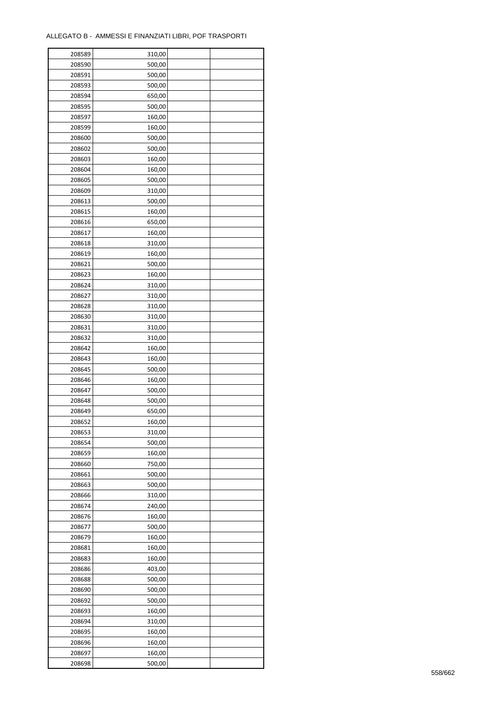| 208589 | 310,00 |  |
|--------|--------|--|
| 208590 | 500,00 |  |
| 208591 | 500,00 |  |
| 208593 | 500,00 |  |
| 208594 | 650,00 |  |
| 208595 | 500,00 |  |
| 208597 | 160,00 |  |
| 208599 | 160,00 |  |
|        | 500,00 |  |
| 208600 |        |  |
| 208602 | 500,00 |  |
| 208603 | 160,00 |  |
| 208604 | 160,00 |  |
| 208605 | 500,00 |  |
| 208609 | 310,00 |  |
| 208613 | 500,00 |  |
| 208615 | 160,00 |  |
| 208616 | 650,00 |  |
| 208617 | 160,00 |  |
| 208618 | 310,00 |  |
| 208619 | 160,00 |  |
| 208621 | 500,00 |  |
| 208623 | 160,00 |  |
| 208624 | 310,00 |  |
| 208627 | 310,00 |  |
| 208628 | 310,00 |  |
| 208630 | 310,00 |  |
| 208631 | 310,00 |  |
| 208632 | 310,00 |  |
| 208642 | 160,00 |  |
| 208643 | 160,00 |  |
|        |        |  |
| 208645 | 500,00 |  |
| 208646 | 160,00 |  |
| 208647 | 500,00 |  |
| 208648 | 500,00 |  |
| 208649 | 650,00 |  |
| 208652 | 160,00 |  |
| 208653 | 310,00 |  |
| 208654 | 500,00 |  |
| 208659 | 160,00 |  |
| 208660 | 750,00 |  |
| 208661 | 500,00 |  |
| 208663 | 500,00 |  |
| 208666 | 310,00 |  |
| 208674 | 240,00 |  |
| 208676 | 160,00 |  |
| 208677 | 500,00 |  |
| 208679 | 160,00 |  |
| 208681 | 160,00 |  |
| 208683 | 160,00 |  |
| 208686 | 403,00 |  |
| 208688 | 500,00 |  |
| 208690 | 500,00 |  |
| 208692 | 500,00 |  |
|        |        |  |
| 208693 | 160,00 |  |
| 208694 | 310,00 |  |
| 208695 | 160,00 |  |
| 208696 | 160,00 |  |
| 208697 | 160,00 |  |
| 208698 | 500,00 |  |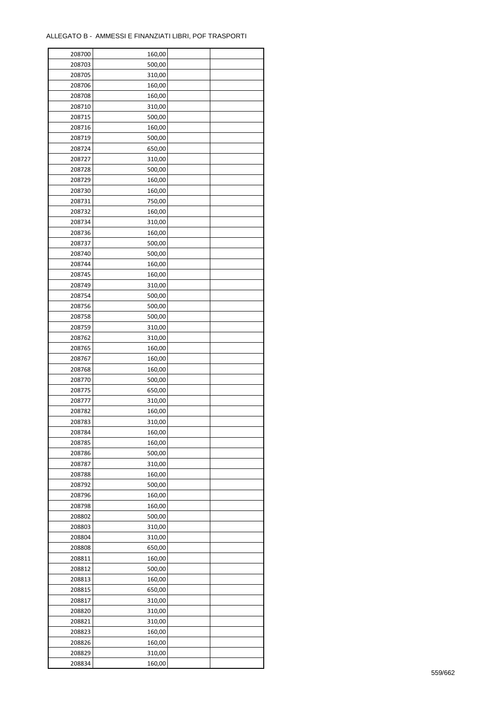| 208700 | 160,00 |  |
|--------|--------|--|
| 208703 | 500,00 |  |
| 208705 | 310,00 |  |
| 208706 | 160,00 |  |
| 208708 | 160,00 |  |
| 208710 | 310,00 |  |
| 208715 | 500,00 |  |
| 208716 | 160,00 |  |
| 208719 | 500,00 |  |
| 208724 | 650,00 |  |
| 208727 | 310,00 |  |
| 208728 | 500,00 |  |
| 208729 | 160,00 |  |
|        |        |  |
| 208730 | 160,00 |  |
| 208731 | 750,00 |  |
| 208732 | 160,00 |  |
| 208734 | 310,00 |  |
| 208736 | 160,00 |  |
| 208737 | 500,00 |  |
| 208740 | 500,00 |  |
| 208744 | 160,00 |  |
| 208745 | 160,00 |  |
| 208749 | 310,00 |  |
| 208754 | 500,00 |  |
| 208756 | 500,00 |  |
| 208758 | 500,00 |  |
| 208759 | 310,00 |  |
| 208762 | 310,00 |  |
| 208765 | 160,00 |  |
| 208767 | 160,00 |  |
| 208768 | 160,00 |  |
| 208770 | 500,00 |  |
| 208775 | 650,00 |  |
| 208777 | 310,00 |  |
| 208782 | 160,00 |  |
| 208783 | 310,00 |  |
| 208784 | 160,00 |  |
| 208785 | 160,00 |  |
|        | 500,00 |  |
| 208786 |        |  |
| 208787 | 310,00 |  |
| 208788 | 160,00 |  |
| 208792 | 500,00 |  |
| 208796 | 160,00 |  |
| 208798 | 160,00 |  |
| 208802 | 500,00 |  |
| 208803 | 310,00 |  |
| 208804 | 310,00 |  |
| 208808 | 650,00 |  |
| 208811 | 160,00 |  |
| 208812 | 500,00 |  |
| 208813 | 160,00 |  |
| 208815 | 650,00 |  |
| 208817 | 310,00 |  |
| 208820 | 310,00 |  |
| 208821 | 310,00 |  |
| 208823 | 160,00 |  |
| 208826 | 160,00 |  |
| 208829 | 310,00 |  |
| 208834 | 160,00 |  |
|        |        |  |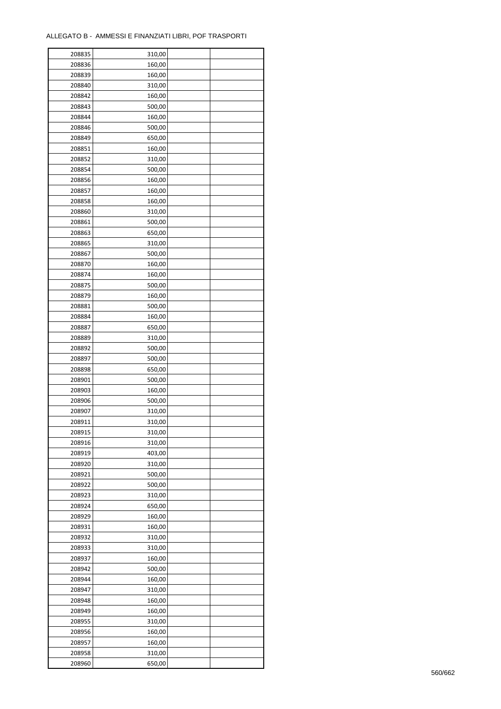| 208835 | 310,00 |  |
|--------|--------|--|
| 208836 | 160,00 |  |
| 208839 | 160,00 |  |
| 208840 | 310,00 |  |
| 208842 | 160,00 |  |
| 208843 | 500,00 |  |
| 208844 | 160,00 |  |
| 208846 | 500,00 |  |
| 208849 | 650,00 |  |
| 208851 | 160,00 |  |
|        |        |  |
| 208852 | 310,00 |  |
| 208854 | 500,00 |  |
| 208856 | 160,00 |  |
| 208857 | 160,00 |  |
| 208858 | 160,00 |  |
| 208860 | 310,00 |  |
| 208861 | 500,00 |  |
| 208863 | 650,00 |  |
| 208865 | 310,00 |  |
| 208867 | 500,00 |  |
| 208870 | 160,00 |  |
| 208874 | 160,00 |  |
| 208875 | 500,00 |  |
| 208879 | 160,00 |  |
| 208881 | 500,00 |  |
| 208884 | 160,00 |  |
| 208887 | 650,00 |  |
| 208889 | 310,00 |  |
| 208892 | 500,00 |  |
| 208897 | 500,00 |  |
| 208898 | 650,00 |  |
| 208901 | 500,00 |  |
| 208903 | 160,00 |  |
| 208906 | 500,00 |  |
| 208907 | 310,00 |  |
| 208911 | 310,00 |  |
| 208915 |        |  |
| 208916 | 310,00 |  |
|        | 310,00 |  |
| 208919 | 403,00 |  |
| 208920 | 310,00 |  |
| 208921 | 500,00 |  |
| 208922 | 500,00 |  |
| 208923 | 310,00 |  |
| 208924 | 650,00 |  |
| 208929 | 160,00 |  |
| 208931 | 160,00 |  |
| 208932 | 310,00 |  |
| 208933 | 310,00 |  |
| 208937 | 160,00 |  |
| 208942 | 500,00 |  |
| 208944 | 160,00 |  |
| 208947 | 310,00 |  |
| 208948 | 160,00 |  |
| 208949 | 160,00 |  |
| 208955 | 310,00 |  |
| 208956 | 160,00 |  |
| 208957 | 160,00 |  |
| 208958 | 310,00 |  |
| 208960 | 650,00 |  |
|        |        |  |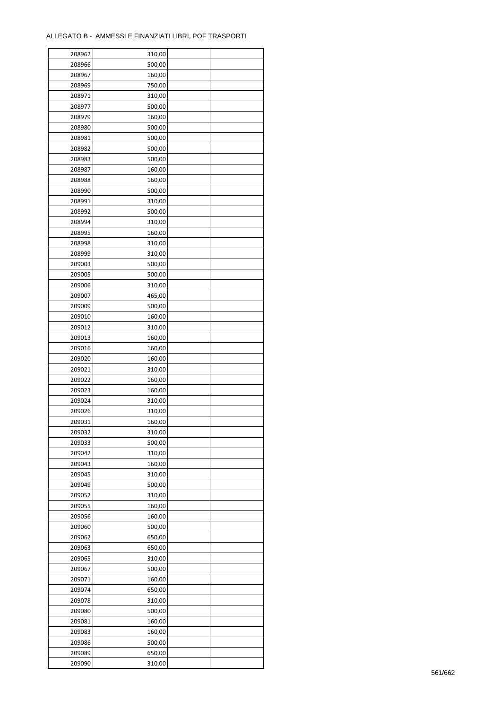| 208962 | 310,00 |  |
|--------|--------|--|
| 208966 | 500,00 |  |
| 208967 | 160,00 |  |
| 208969 | 750,00 |  |
| 208971 | 310,00 |  |
| 208977 | 500,00 |  |
| 208979 | 160,00 |  |
| 208980 | 500,00 |  |
|        |        |  |
| 208981 | 500,00 |  |
| 208982 | 500,00 |  |
| 208983 | 500,00 |  |
| 208987 | 160,00 |  |
| 208988 | 160,00 |  |
| 208990 | 500,00 |  |
| 208991 | 310,00 |  |
| 208992 | 500,00 |  |
| 208994 | 310,00 |  |
| 208995 | 160,00 |  |
| 208998 | 310,00 |  |
| 208999 | 310,00 |  |
| 209003 | 500,00 |  |
| 209005 | 500,00 |  |
| 209006 | 310,00 |  |
| 209007 | 465,00 |  |
| 209009 | 500,00 |  |
| 209010 | 160,00 |  |
| 209012 | 310,00 |  |
| 209013 | 160,00 |  |
| 209016 | 160,00 |  |
| 209020 | 160,00 |  |
| 209021 | 310,00 |  |
| 209022 | 160,00 |  |
| 209023 | 160,00 |  |
| 209024 | 310,00 |  |
| 209026 | 310,00 |  |
|        |        |  |
| 209031 | 160,00 |  |
| 209032 | 310,00 |  |
| 209033 | 500,00 |  |
| 209042 | 310,00 |  |
| 209043 | 160,00 |  |
| 209045 | 310,00 |  |
| 209049 | 500,00 |  |
| 209052 | 310,00 |  |
| 209055 | 160,00 |  |
| 209056 | 160,00 |  |
| 209060 | 500,00 |  |
| 209062 | 650,00 |  |
| 209063 | 650,00 |  |
| 209065 | 310,00 |  |
| 209067 | 500,00 |  |
| 209071 | 160,00 |  |
| 209074 | 650,00 |  |
| 209078 | 310,00 |  |
| 209080 | 500,00 |  |
| 209081 | 160,00 |  |
| 209083 | 160,00 |  |
| 209086 | 500,00 |  |
| 209089 | 650,00 |  |
| 209090 | 310,00 |  |
|        |        |  |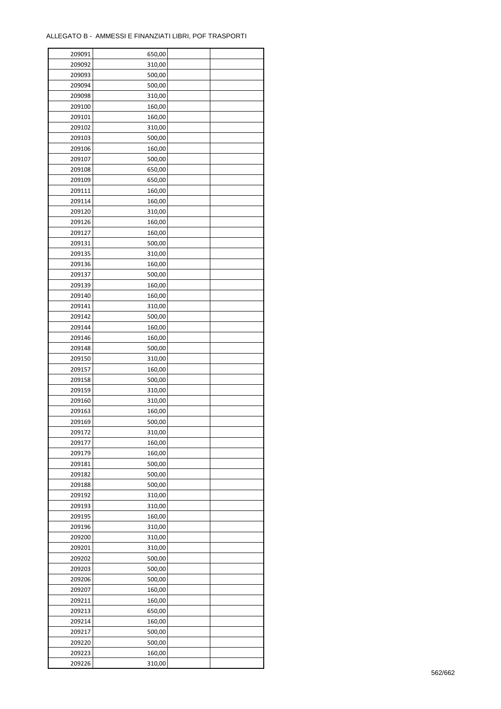| 209091 | 650,00 |  |
|--------|--------|--|
| 209092 | 310,00 |  |
| 209093 | 500,00 |  |
| 209094 | 500,00 |  |
| 209098 | 310,00 |  |
| 209100 | 160,00 |  |
| 209101 | 160,00 |  |
| 209102 | 310,00 |  |
| 209103 | 500,00 |  |
| 209106 | 160,00 |  |
| 209107 | 500,00 |  |
| 209108 | 650,00 |  |
| 209109 | 650,00 |  |
| 209111 |        |  |
|        | 160,00 |  |
| 209114 | 160,00 |  |
| 209120 | 310,00 |  |
| 209126 | 160,00 |  |
| 209127 | 160,00 |  |
| 209131 | 500,00 |  |
| 209135 | 310,00 |  |
| 209136 | 160,00 |  |
| 209137 | 500,00 |  |
| 209139 | 160,00 |  |
| 209140 | 160,00 |  |
| 209141 | 310,00 |  |
| 209142 | 500,00 |  |
| 209144 | 160,00 |  |
| 209146 | 160,00 |  |
| 209148 | 500,00 |  |
| 209150 | 310,00 |  |
| 209157 | 160,00 |  |
| 209158 | 500,00 |  |
| 209159 | 310,00 |  |
| 209160 | 310,00 |  |
| 209163 | 160,00 |  |
| 209169 | 500,00 |  |
| 209172 | 310,00 |  |
| 209177 | 160,00 |  |
|        |        |  |
| 209179 | 160,00 |  |
| 209181 | 500,00 |  |
| 209182 | 500,00 |  |
| 209188 | 500,00 |  |
| 209192 | 310,00 |  |
| 209193 | 310,00 |  |
| 209195 | 160,00 |  |
| 209196 | 310,00 |  |
| 209200 | 310,00 |  |
| 209201 | 310,00 |  |
| 209202 | 500,00 |  |
| 209203 | 500,00 |  |
| 209206 | 500,00 |  |
| 209207 | 160,00 |  |
| 209211 | 160,00 |  |
| 209213 | 650,00 |  |
| 209214 | 160,00 |  |
| 209217 | 500,00 |  |
| 209220 | 500,00 |  |
| 209223 | 160,00 |  |
| 209226 | 310,00 |  |
|        |        |  |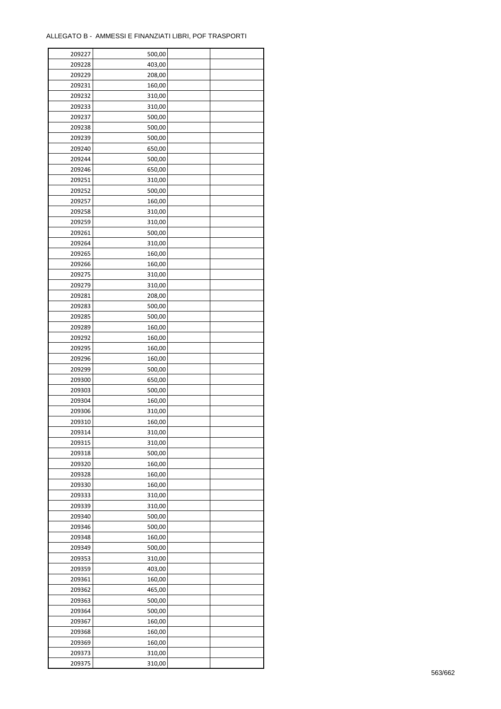| 209227 | 500,00 |  |
|--------|--------|--|
| 209228 | 403,00 |  |
| 209229 | 208,00 |  |
| 209231 | 160,00 |  |
| 209232 | 310,00 |  |
| 209233 | 310,00 |  |
| 209237 | 500,00 |  |
| 209238 | 500,00 |  |
| 209239 | 500,00 |  |
| 209240 | 650,00 |  |
| 209244 | 500,00 |  |
| 209246 | 650,00 |  |
|        |        |  |
| 209251 | 310,00 |  |
| 209252 | 500,00 |  |
| 209257 | 160,00 |  |
| 209258 | 310,00 |  |
| 209259 | 310,00 |  |
| 209261 | 500,00 |  |
| 209264 | 310,00 |  |
| 209265 | 160,00 |  |
| 209266 | 160,00 |  |
| 209275 | 310,00 |  |
| 209279 | 310,00 |  |
| 209281 | 208,00 |  |
| 209283 | 500,00 |  |
| 209285 | 500,00 |  |
| 209289 | 160,00 |  |
| 209292 | 160,00 |  |
| 209295 | 160,00 |  |
| 209296 | 160,00 |  |
| 209299 | 500,00 |  |
| 209300 | 650,00 |  |
| 209303 | 500,00 |  |
| 209304 | 160,00 |  |
| 209306 | 310,00 |  |
| 209310 | 160,00 |  |
| 209314 | 310,00 |  |
| 209315 | 310,00 |  |
| 209318 | 500,00 |  |
| 209320 | 160,00 |  |
| 209328 | 160,00 |  |
| 209330 | 160,00 |  |
|        |        |  |
| 209333 | 310,00 |  |
| 209339 | 310,00 |  |
| 209340 | 500,00 |  |
| 209346 | 500,00 |  |
| 209348 | 160,00 |  |
| 209349 | 500,00 |  |
| 209353 | 310,00 |  |
| 209359 | 403,00 |  |
| 209361 | 160,00 |  |
| 209362 | 465,00 |  |
| 209363 | 500,00 |  |
| 209364 | 500,00 |  |
| 209367 | 160,00 |  |
| 209368 | 160,00 |  |
| 209369 | 160,00 |  |
| 209373 | 310,00 |  |
| 209375 | 310,00 |  |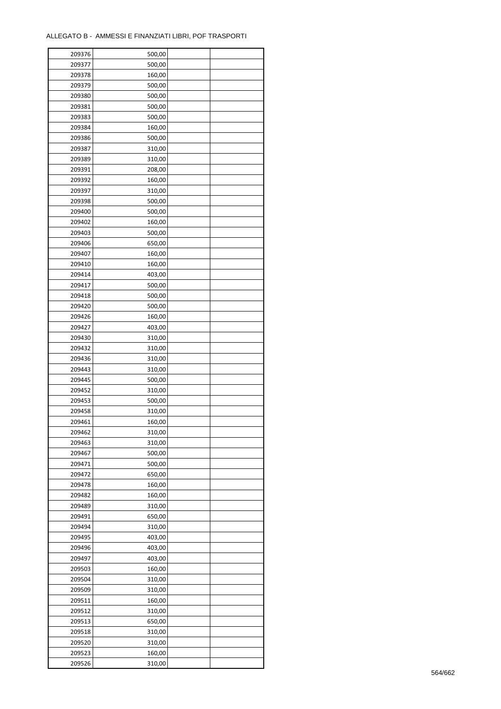| 209376 | 500,00 |  |
|--------|--------|--|
| 209377 | 500,00 |  |
| 209378 | 160,00 |  |
| 209379 | 500,00 |  |
| 209380 | 500,00 |  |
| 209381 | 500,00 |  |
| 209383 | 500,00 |  |
| 209384 | 160,00 |  |
| 209386 | 500,00 |  |
| 209387 | 310,00 |  |
| 209389 | 310,00 |  |
| 209391 | 208,00 |  |
| 209392 | 160,00 |  |
| 209397 | 310,00 |  |
| 209398 | 500,00 |  |
| 209400 | 500,00 |  |
| 209402 | 160,00 |  |
| 209403 | 500,00 |  |
| 209406 | 650,00 |  |
| 209407 | 160,00 |  |
| 209410 | 160,00 |  |
| 209414 | 403,00 |  |
| 209417 | 500,00 |  |
| 209418 | 500,00 |  |
| 209420 | 500,00 |  |
| 209426 | 160,00 |  |
| 209427 | 403,00 |  |
| 209430 | 310,00 |  |
| 209432 | 310,00 |  |
| 209436 | 310,00 |  |
| 209443 | 310,00 |  |
| 209445 | 500,00 |  |
| 209452 | 310,00 |  |
| 209453 | 500,00 |  |
| 209458 | 310,00 |  |
| 209461 | 160,00 |  |
| 209462 | 310,00 |  |
| 209463 | 310,00 |  |
| 209467 | 500,00 |  |
| 209471 | 500,00 |  |
| 209472 | 650,00 |  |
| 209478 | 160,00 |  |
| 209482 | 160,00 |  |
| 209489 | 310,00 |  |
| 209491 | 650,00 |  |
| 209494 | 310,00 |  |
| 209495 | 403,00 |  |
| 209496 | 403,00 |  |
| 209497 | 403,00 |  |
| 209503 | 160,00 |  |
| 209504 | 310,00 |  |
| 209509 | 310,00 |  |
| 209511 | 160,00 |  |
| 209512 | 310,00 |  |
| 209513 | 650,00 |  |
| 209518 | 310,00 |  |
| 209520 | 310,00 |  |
| 209523 | 160,00 |  |
| 209526 | 310,00 |  |
|        |        |  |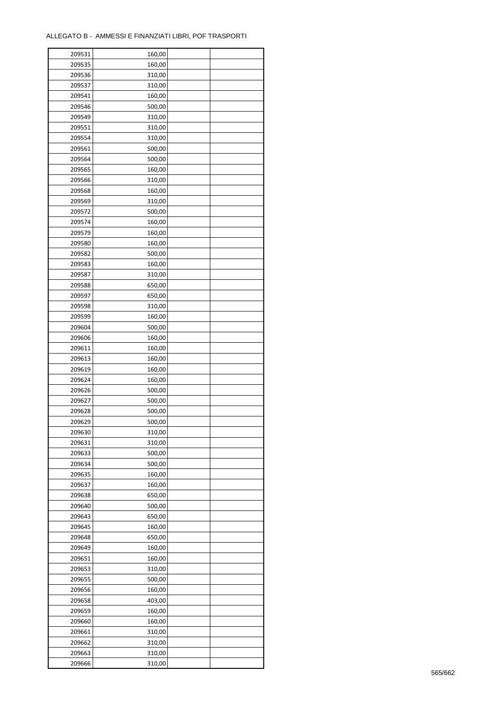| 209531 | 160,00 |  |
|--------|--------|--|
| 209535 | 160,00 |  |
| 209536 | 310,00 |  |
| 209537 | 310,00 |  |
| 209541 | 160,00 |  |
| 209546 | 500,00 |  |
| 209549 | 310,00 |  |
| 209551 | 310,00 |  |
| 209554 | 310,00 |  |
| 209561 | 500,00 |  |
| 209564 | 500,00 |  |
|        |        |  |
| 209565 | 160,00 |  |
| 209566 | 310,00 |  |
| 209568 | 160,00 |  |
| 209569 | 310,00 |  |
| 209572 | 500,00 |  |
| 209574 | 160,00 |  |
| 209579 | 160,00 |  |
| 209580 | 160,00 |  |
| 209582 | 500,00 |  |
| 209583 | 160,00 |  |
| 209587 | 310,00 |  |
| 209588 | 650,00 |  |
| 209597 | 650,00 |  |
| 209598 | 310,00 |  |
| 209599 | 160,00 |  |
| 209604 | 500,00 |  |
| 209606 | 160,00 |  |
| 209611 | 160,00 |  |
| 209613 | 160,00 |  |
| 209619 | 160,00 |  |
| 209624 | 160,00 |  |
| 209626 | 500,00 |  |
| 209627 | 500,00 |  |
| 209628 | 500,00 |  |
| 209629 | 500,00 |  |
| 209630 | 310,00 |  |
| 209631 | 310,00 |  |
| 209633 | 500,00 |  |
| 209634 | 500,00 |  |
| 209635 | 160,00 |  |
| 209637 |        |  |
|        | 160,00 |  |
| 209638 | 650,00 |  |
| 209640 | 500,00 |  |
| 209643 | 650,00 |  |
| 209645 | 160,00 |  |
| 209648 | 650,00 |  |
| 209649 | 160,00 |  |
| 209651 | 160,00 |  |
| 209653 | 310,00 |  |
| 209655 | 500,00 |  |
| 209656 | 160,00 |  |
| 209658 | 403,00 |  |
| 209659 | 160,00 |  |
| 209660 | 160,00 |  |
| 209661 | 310,00 |  |
| 209662 | 310,00 |  |
| 209663 | 310,00 |  |
| 209666 | 310,00 |  |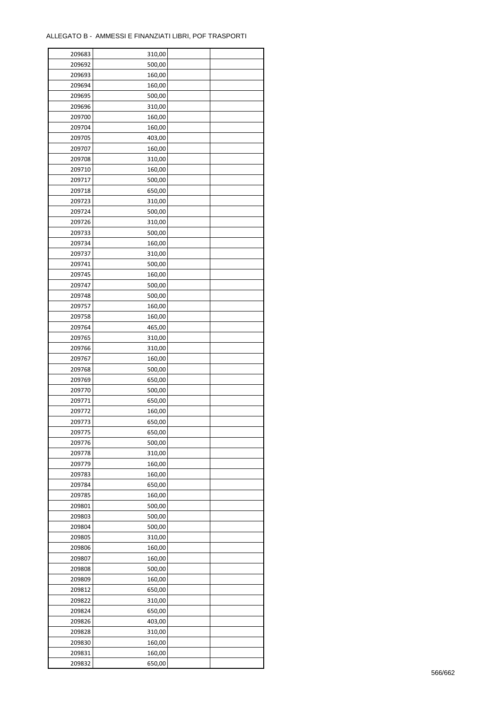| 209683           | 310,00 |  |
|------------------|--------|--|
| 209692           | 500,00 |  |
| 209693           | 160,00 |  |
| 209694           | 160,00 |  |
| 209695           | 500,00 |  |
| 209696           | 310,00 |  |
| 209700           | 160,00 |  |
| 209704           | 160,00 |  |
| 209705           | 403,00 |  |
| 209707           | 160,00 |  |
| 209708           | 310,00 |  |
| 209710           | 160,00 |  |
| 209717           | 500,00 |  |
|                  |        |  |
| 209718<br>209723 | 650,00 |  |
|                  | 310,00 |  |
| 209724           | 500,00 |  |
| 209726           | 310,00 |  |
| 209733           | 500,00 |  |
| 209734           | 160,00 |  |
| 209737           | 310,00 |  |
| 209741           | 500,00 |  |
| 209745           | 160,00 |  |
| 209747           | 500,00 |  |
| 209748           | 500,00 |  |
| 209757           | 160,00 |  |
| 209758           | 160,00 |  |
| 209764           | 465,00 |  |
| 209765           | 310,00 |  |
| 209766           | 310,00 |  |
| 209767           | 160,00 |  |
| 209768           | 500,00 |  |
| 209769           | 650,00 |  |
| 209770           | 500,00 |  |
| 209771           | 650,00 |  |
| 209772           | 160,00 |  |
| 209773           | 650,00 |  |
| 209775           | 650,00 |  |
| 209776           | 500,00 |  |
|                  |        |  |
| 209778           | 310,00 |  |
| 209779           | 160,00 |  |
| 209783           | 160,00 |  |
| 209784           | 650,00 |  |
| 209785           | 160,00 |  |
| 209801           | 500,00 |  |
| 209803           | 500,00 |  |
| 209804           | 500,00 |  |
| 209805           | 310,00 |  |
| 209806           | 160,00 |  |
| 209807           | 160,00 |  |
| 209808           | 500,00 |  |
| 209809           | 160,00 |  |
| 209812           | 650,00 |  |
| 209822           | 310,00 |  |
| 209824           | 650,00 |  |
| 209826           | 403,00 |  |
| 209828           | 310,00 |  |
| 209830           | 160,00 |  |
| 209831           | 160,00 |  |
| 209832           | 650,00 |  |
|                  |        |  |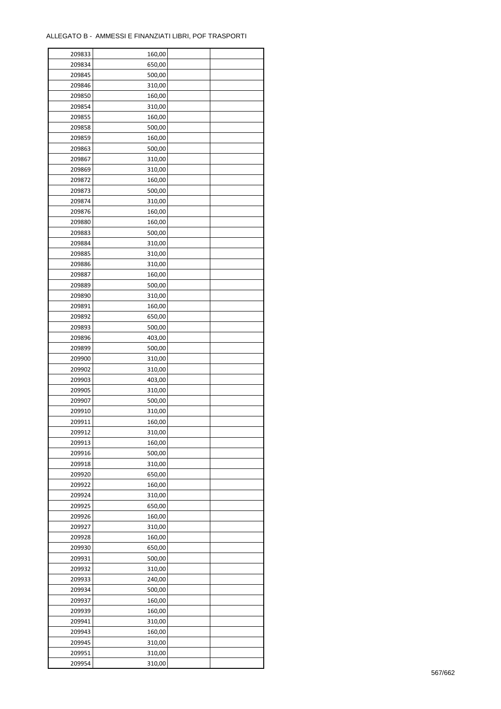| 209833 | 160,00 |  |
|--------|--------|--|
| 209834 | 650,00 |  |
| 209845 | 500,00 |  |
| 209846 | 310,00 |  |
| 209850 | 160,00 |  |
| 209854 | 310,00 |  |
| 209855 | 160,00 |  |
| 209858 | 500,00 |  |
| 209859 | 160,00 |  |
| 209863 | 500,00 |  |
| 209867 | 310,00 |  |
| 209869 | 310,00 |  |
| 209872 | 160,00 |  |
| 209873 | 500,00 |  |
|        |        |  |
| 209874 | 310,00 |  |
| 209876 | 160,00 |  |
| 209880 | 160,00 |  |
| 209883 | 500,00 |  |
| 209884 | 310,00 |  |
| 209885 | 310,00 |  |
| 209886 | 310,00 |  |
| 209887 | 160,00 |  |
| 209889 | 500,00 |  |
| 209890 | 310,00 |  |
| 209891 | 160,00 |  |
| 209892 | 650,00 |  |
| 209893 | 500,00 |  |
| 209896 | 403,00 |  |
| 209899 | 500,00 |  |
| 209900 | 310,00 |  |
| 209902 | 310,00 |  |
| 209903 | 403,00 |  |
| 209905 | 310,00 |  |
| 209907 | 500,00 |  |
| 209910 | 310,00 |  |
| 209911 | 160,00 |  |
| 209912 | 310,00 |  |
| 209913 | 160,00 |  |
| 209916 | 500,00 |  |
| 209918 | 310,00 |  |
| 209920 | 650,00 |  |
| 209922 | 160,00 |  |
| 209924 | 310,00 |  |
| 209925 | 650,00 |  |
| 209926 | 160,00 |  |
| 209927 | 310,00 |  |
| 209928 |        |  |
|        | 160,00 |  |
| 209930 | 650,00 |  |
| 209931 | 500,00 |  |
| 209932 | 310,00 |  |
| 209933 | 240,00 |  |
| 209934 | 500,00 |  |
| 209937 | 160,00 |  |
| 209939 | 160,00 |  |
| 209941 | 310,00 |  |
| 209943 | 160,00 |  |
| 209945 | 310,00 |  |
| 209951 | 310,00 |  |
| 209954 | 310,00 |  |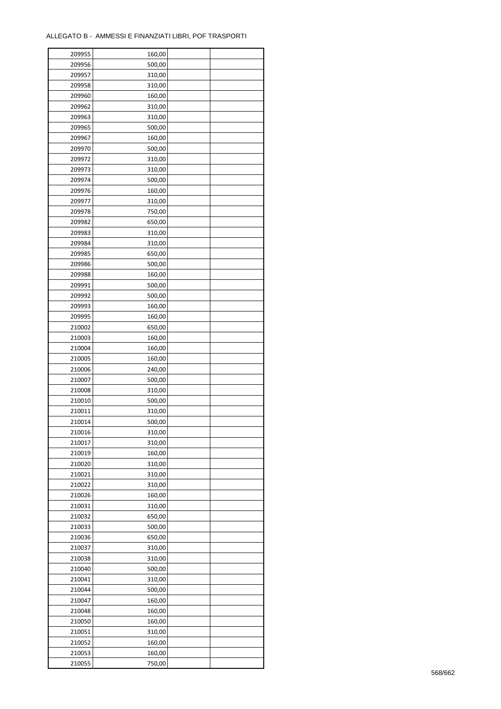| 209955 | 160,00 |  |
|--------|--------|--|
| 209956 | 500,00 |  |
| 209957 | 310,00 |  |
| 209958 | 310,00 |  |
| 209960 | 160,00 |  |
| 209962 | 310,00 |  |
| 209963 | 310,00 |  |
| 209965 | 500,00 |  |
| 209967 | 160,00 |  |
| 209970 | 500,00 |  |
| 209972 | 310,00 |  |
| 209973 | 310,00 |  |
| 209974 | 500,00 |  |
|        |        |  |
| 209976 | 160,00 |  |
| 209977 | 310,00 |  |
| 209978 | 750,00 |  |
| 209982 | 650,00 |  |
| 209983 | 310,00 |  |
| 209984 | 310,00 |  |
| 209985 | 650,00 |  |
| 209986 | 500,00 |  |
| 209988 | 160,00 |  |
| 209991 | 500,00 |  |
| 209992 | 500,00 |  |
| 209993 | 160,00 |  |
| 209995 | 160,00 |  |
| 210002 | 650,00 |  |
| 210003 | 160,00 |  |
| 210004 | 160,00 |  |
| 210005 | 160,00 |  |
| 210006 | 240,00 |  |
| 210007 | 500,00 |  |
| 210008 | 310,00 |  |
| 210010 | 500,00 |  |
| 210011 | 310,00 |  |
| 210014 | 500,00 |  |
| 210016 | 310,00 |  |
| 210017 | 310,00 |  |
| 210019 | 160,00 |  |
| 210020 | 310,00 |  |
| 210021 | 310,00 |  |
| 210022 | 310,00 |  |
| 210026 | 160,00 |  |
| 210031 | 310,00 |  |
| 210032 | 650,00 |  |
| 210033 | 500,00 |  |
| 210036 | 650,00 |  |
| 210037 | 310,00 |  |
| 210038 | 310,00 |  |
| 210040 | 500,00 |  |
| 210041 | 310,00 |  |
| 210044 | 500,00 |  |
| 210047 | 160,00 |  |
| 210048 | 160,00 |  |
| 210050 | 160,00 |  |
| 210051 | 310,00 |  |
| 210052 | 160,00 |  |
|        |        |  |
| 210053 | 160,00 |  |
| 210055 | 750,00 |  |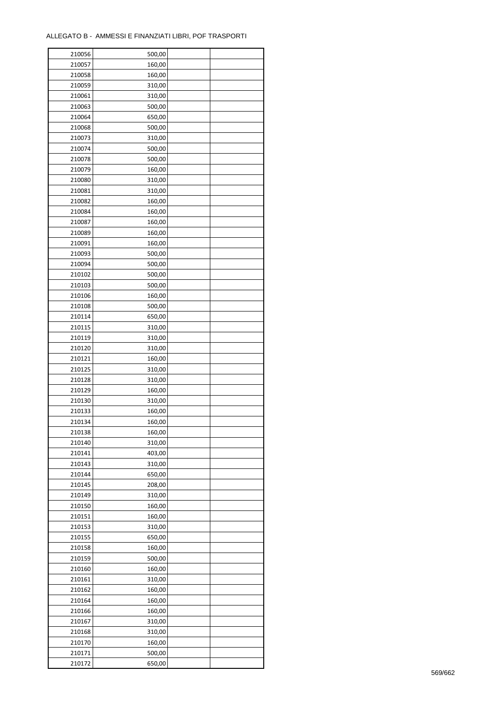| 210056 | 500,00 |  |
|--------|--------|--|
| 210057 | 160,00 |  |
| 210058 | 160,00 |  |
| 210059 | 310,00 |  |
| 210061 | 310,00 |  |
| 210063 | 500,00 |  |
| 210064 | 650,00 |  |
| 210068 | 500,00 |  |
| 210073 | 310,00 |  |
| 210074 | 500,00 |  |
| 210078 | 500,00 |  |
| 210079 | 160,00 |  |
|        |        |  |
| 210080 | 310,00 |  |
| 210081 | 310,00 |  |
| 210082 | 160,00 |  |
| 210084 | 160,00 |  |
| 210087 | 160,00 |  |
| 210089 | 160,00 |  |
| 210091 | 160,00 |  |
| 210093 | 500,00 |  |
| 210094 | 500,00 |  |
| 210102 | 500,00 |  |
| 210103 | 500,00 |  |
| 210106 | 160,00 |  |
| 210108 | 500,00 |  |
| 210114 | 650,00 |  |
| 210115 | 310,00 |  |
| 210119 | 310,00 |  |
| 210120 | 310,00 |  |
| 210121 | 160,00 |  |
| 210125 | 310,00 |  |
| 210128 | 310,00 |  |
| 210129 | 160,00 |  |
| 210130 | 310,00 |  |
| 210133 | 160,00 |  |
| 210134 | 160,00 |  |
| 210138 | 160,00 |  |
| 210140 | 310,00 |  |
|        |        |  |
| 210141 | 403,00 |  |
| 210143 | 310,00 |  |
| 210144 | 650,00 |  |
| 210145 | 208,00 |  |
| 210149 | 310,00 |  |
| 210150 | 160,00 |  |
| 210151 | 160,00 |  |
| 210153 | 310,00 |  |
| 210155 | 650,00 |  |
| 210158 | 160,00 |  |
| 210159 | 500,00 |  |
| 210160 | 160,00 |  |
| 210161 | 310,00 |  |
| 210162 | 160,00 |  |
| 210164 | 160,00 |  |
| 210166 | 160,00 |  |
| 210167 | 310,00 |  |
| 210168 | 310,00 |  |
| 210170 | 160,00 |  |
| 210171 | 500,00 |  |
| 210172 | 650,00 |  |
|        |        |  |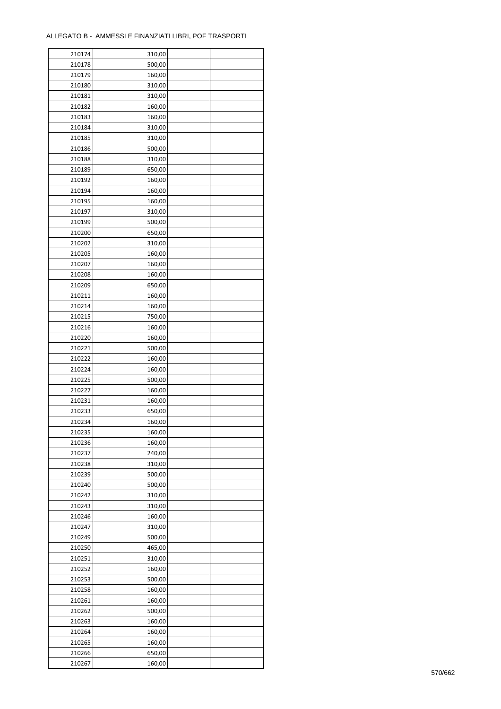| 210174 | 310,00 |  |
|--------|--------|--|
| 210178 | 500,00 |  |
| 210179 | 160,00 |  |
| 210180 | 310,00 |  |
| 210181 | 310,00 |  |
| 210182 | 160,00 |  |
| 210183 | 160,00 |  |
| 210184 | 310,00 |  |
| 210185 | 310,00 |  |
| 210186 | 500,00 |  |
| 210188 | 310,00 |  |
| 210189 | 650,00 |  |
| 210192 | 160,00 |  |
| 210194 | 160,00 |  |
|        |        |  |
| 210195 | 160,00 |  |
| 210197 | 310,00 |  |
| 210199 | 500,00 |  |
| 210200 | 650,00 |  |
| 210202 | 310,00 |  |
| 210205 | 160,00 |  |
| 210207 | 160,00 |  |
| 210208 | 160,00 |  |
| 210209 | 650,00 |  |
| 210211 | 160,00 |  |
| 210214 | 160,00 |  |
| 210215 | 750,00 |  |
| 210216 | 160,00 |  |
| 210220 | 160,00 |  |
| 210221 | 500,00 |  |
| 210222 | 160,00 |  |
| 210224 | 160,00 |  |
| 210225 | 500,00 |  |
| 210227 | 160,00 |  |
| 210231 | 160,00 |  |
| 210233 | 650,00 |  |
| 210234 | 160,00 |  |
| 210235 | 160,00 |  |
| 210236 | 160,00 |  |
| 210237 | 240,00 |  |
| 210238 | 310,00 |  |
| 210239 | 500,00 |  |
| 210240 | 500,00 |  |
| 210242 | 310,00 |  |
| 210243 | 310,00 |  |
| 210246 | 160,00 |  |
| 210247 | 310,00 |  |
| 210249 | 500,00 |  |
| 210250 | 465,00 |  |
| 210251 | 310,00 |  |
| 210252 | 160,00 |  |
| 210253 | 500,00 |  |
| 210258 | 160,00 |  |
| 210261 | 160,00 |  |
| 210262 | 500,00 |  |
| 210263 | 160,00 |  |
| 210264 | 160,00 |  |
| 210265 | 160,00 |  |
|        |        |  |
| 210266 | 650,00 |  |
| 210267 | 160,00 |  |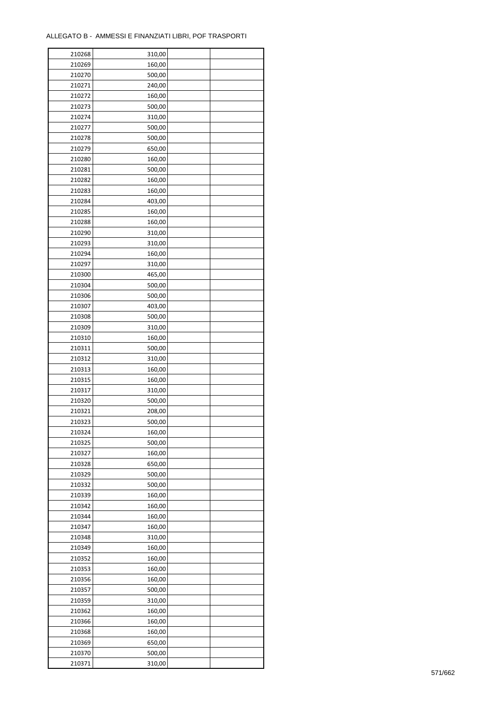| 210268 | 310,00 |  |
|--------|--------|--|
| 210269 | 160,00 |  |
| 210270 | 500,00 |  |
| 210271 | 240,00 |  |
| 210272 | 160,00 |  |
| 210273 | 500,00 |  |
| 210274 | 310,00 |  |
| 210277 | 500,00 |  |
| 210278 | 500,00 |  |
| 210279 | 650,00 |  |
| 210280 | 160,00 |  |
| 210281 | 500,00 |  |
| 210282 | 160,00 |  |
| 210283 |        |  |
|        | 160,00 |  |
| 210284 | 403,00 |  |
| 210285 | 160,00 |  |
| 210288 | 160,00 |  |
| 210290 | 310,00 |  |
| 210293 | 310,00 |  |
| 210294 | 160,00 |  |
| 210297 | 310,00 |  |
| 210300 | 465,00 |  |
| 210304 | 500,00 |  |
| 210306 | 500,00 |  |
| 210307 | 403,00 |  |
| 210308 | 500,00 |  |
| 210309 | 310,00 |  |
| 210310 | 160,00 |  |
| 210311 | 500,00 |  |
| 210312 | 310,00 |  |
| 210313 | 160,00 |  |
| 210315 | 160,00 |  |
| 210317 | 310,00 |  |
| 210320 | 500,00 |  |
| 210321 | 208,00 |  |
| 210323 | 500,00 |  |
| 210324 | 160,00 |  |
| 210325 | 500,00 |  |
| 210327 | 160,00 |  |
|        |        |  |
| 210328 | 650,00 |  |
| 210329 | 500,00 |  |
| 210332 | 500,00 |  |
| 210339 | 160,00 |  |
| 210342 | 160,00 |  |
| 210344 | 160,00 |  |
| 210347 | 160,00 |  |
| 210348 | 310,00 |  |
| 210349 | 160,00 |  |
| 210352 | 160,00 |  |
| 210353 | 160,00 |  |
| 210356 | 160,00 |  |
| 210357 | 500,00 |  |
| 210359 | 310,00 |  |
| 210362 | 160,00 |  |
| 210366 | 160,00 |  |
| 210368 | 160,00 |  |
| 210369 | 650,00 |  |
| 210370 | 500,00 |  |
| 210371 | 310,00 |  |
|        |        |  |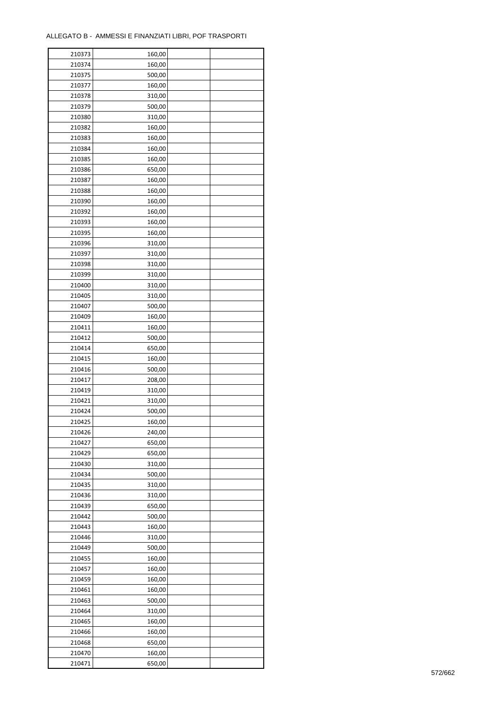| 210373 | 160,00 |  |
|--------|--------|--|
| 210374 | 160,00 |  |
| 210375 | 500,00 |  |
| 210377 | 160,00 |  |
| 210378 | 310,00 |  |
| 210379 | 500,00 |  |
| 210380 | 310,00 |  |
| 210382 | 160,00 |  |
| 210383 | 160,00 |  |
| 210384 | 160,00 |  |
| 210385 | 160,00 |  |
| 210386 | 650,00 |  |
|        |        |  |
| 210387 | 160,00 |  |
| 210388 | 160,00 |  |
| 210390 | 160,00 |  |
| 210392 | 160,00 |  |
| 210393 | 160,00 |  |
| 210395 | 160,00 |  |
| 210396 | 310,00 |  |
| 210397 | 310,00 |  |
| 210398 | 310,00 |  |
| 210399 | 310,00 |  |
| 210400 | 310,00 |  |
| 210405 | 310,00 |  |
| 210407 | 500,00 |  |
| 210409 | 160,00 |  |
| 210411 | 160,00 |  |
| 210412 | 500,00 |  |
| 210414 | 650,00 |  |
| 210415 | 160,00 |  |
| 210416 | 500,00 |  |
| 210417 | 208,00 |  |
| 210419 | 310,00 |  |
| 210421 | 310,00 |  |
| 210424 | 500,00 |  |
| 210425 | 160,00 |  |
| 210426 | 240,00 |  |
|        |        |  |
| 210427 | 650,00 |  |
| 210429 | 650,00 |  |
| 210430 | 310,00 |  |
| 210434 | 500,00 |  |
| 210435 | 310,00 |  |
| 210436 | 310,00 |  |
| 210439 | 650,00 |  |
| 210442 | 500,00 |  |
| 210443 | 160,00 |  |
| 210446 | 310,00 |  |
| 210449 | 500,00 |  |
| 210455 | 160,00 |  |
| 210457 | 160,00 |  |
| 210459 | 160,00 |  |
| 210461 | 160,00 |  |
| 210463 | 500,00 |  |
| 210464 | 310,00 |  |
| 210465 | 160,00 |  |
| 210466 | 160,00 |  |
| 210468 | 650,00 |  |
| 210470 | 160,00 |  |
| 210471 | 650,00 |  |
|        |        |  |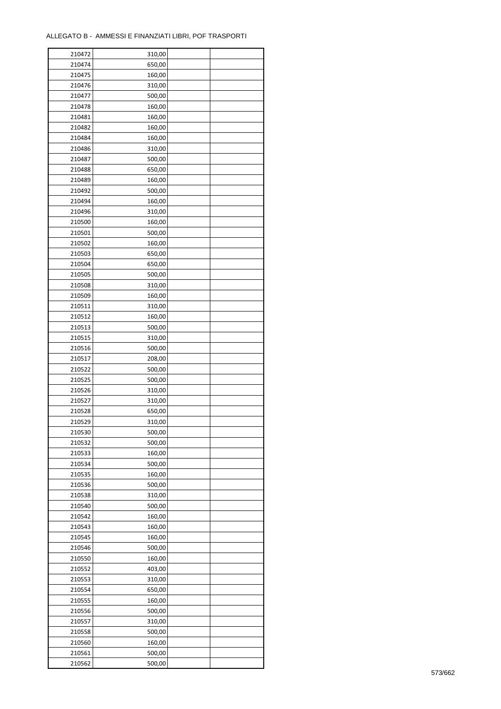ř

| 210472 | 310,00 |  |
|--------|--------|--|
| 210474 | 650,00 |  |
| 210475 | 160,00 |  |
| 210476 | 310,00 |  |
| 210477 | 500,00 |  |
| 210478 | 160,00 |  |
| 210481 | 160,00 |  |
| 210482 | 160,00 |  |
| 210484 | 160,00 |  |
| 210486 | 310,00 |  |
| 210487 | 500,00 |  |
| 210488 |        |  |
|        | 650,00 |  |
| 210489 | 160,00 |  |
| 210492 | 500,00 |  |
| 210494 | 160,00 |  |
| 210496 | 310,00 |  |
| 210500 | 160,00 |  |
| 210501 | 500,00 |  |
| 210502 | 160,00 |  |
| 210503 | 650,00 |  |
| 210504 | 650,00 |  |
| 210505 | 500,00 |  |
| 210508 | 310,00 |  |
| 210509 | 160,00 |  |
| 210511 | 310,00 |  |
| 210512 | 160,00 |  |
| 210513 | 500,00 |  |
| 210515 | 310,00 |  |
| 210516 | 500,00 |  |
| 210517 | 208,00 |  |
| 210522 | 500,00 |  |
| 210525 | 500,00 |  |
| 210526 | 310,00 |  |
| 210527 | 310,00 |  |
| 210528 | 650,00 |  |
| 210529 | 310,00 |  |
| 210530 | 500,00 |  |
| 210532 | 500,00 |  |
| 210533 |        |  |
| 210534 | 160,00 |  |
|        | 500,00 |  |
| 210535 | 160,00 |  |
| 210536 | 500,00 |  |
| 210538 | 310,00 |  |
| 210540 | 500,00 |  |
| 210542 | 160,00 |  |
| 210543 | 160,00 |  |
| 210545 | 160,00 |  |
| 210546 | 500,00 |  |
| 210550 | 160,00 |  |
| 210552 | 403,00 |  |
| 210553 | 310,00 |  |
| 210554 | 650,00 |  |
| 210555 | 160,00 |  |
| 210556 | 500,00 |  |
| 210557 | 310,00 |  |
| 210558 | 500,00 |  |
| 210560 | 160,00 |  |
| 210561 | 500,00 |  |
| 210562 | 500,00 |  |
|        |        |  |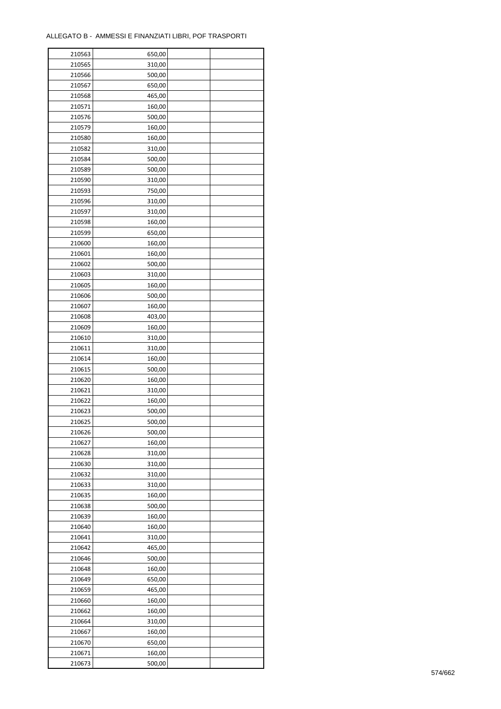| 210563 | 650,00 |  |
|--------|--------|--|
| 210565 | 310,00 |  |
| 210566 | 500,00 |  |
| 210567 | 650,00 |  |
| 210568 | 465,00 |  |
| 210571 | 160,00 |  |
| 210576 | 500,00 |  |
| 210579 | 160,00 |  |
| 210580 | 160,00 |  |
| 210582 | 310,00 |  |
| 210584 | 500,00 |  |
| 210589 | 500,00 |  |
| 210590 | 310,00 |  |
| 210593 | 750,00 |  |
|        |        |  |
| 210596 | 310,00 |  |
| 210597 | 310,00 |  |
| 210598 | 160,00 |  |
| 210599 | 650,00 |  |
| 210600 | 160,00 |  |
| 210601 | 160,00 |  |
| 210602 | 500,00 |  |
| 210603 | 310,00 |  |
| 210605 | 160,00 |  |
| 210606 | 500,00 |  |
| 210607 | 160,00 |  |
| 210608 | 403,00 |  |
| 210609 | 160,00 |  |
| 210610 | 310,00 |  |
| 210611 | 310,00 |  |
| 210614 | 160,00 |  |
| 210615 | 500,00 |  |
| 210620 | 160,00 |  |
| 210621 | 310,00 |  |
| 210622 | 160,00 |  |
| 210623 | 500,00 |  |
| 210625 | 500,00 |  |
| 210626 | 500,00 |  |
| 210627 | 160,00 |  |
| 210628 | 310,00 |  |
|        |        |  |
| 210630 | 310,00 |  |
| 210632 | 310,00 |  |
| 210633 | 310,00 |  |
| 210635 | 160,00 |  |
| 210638 | 500,00 |  |
| 210639 | 160,00 |  |
| 210640 | 160,00 |  |
| 210641 | 310,00 |  |
| 210642 | 465,00 |  |
| 210646 | 500,00 |  |
| 210648 | 160,00 |  |
| 210649 | 650,00 |  |
| 210659 | 465,00 |  |
| 210660 | 160,00 |  |
| 210662 | 160,00 |  |
| 210664 | 310,00 |  |
| 210667 | 160,00 |  |
| 210670 | 650,00 |  |
| 210671 | 160,00 |  |
| 210673 | 500,00 |  |
|        |        |  |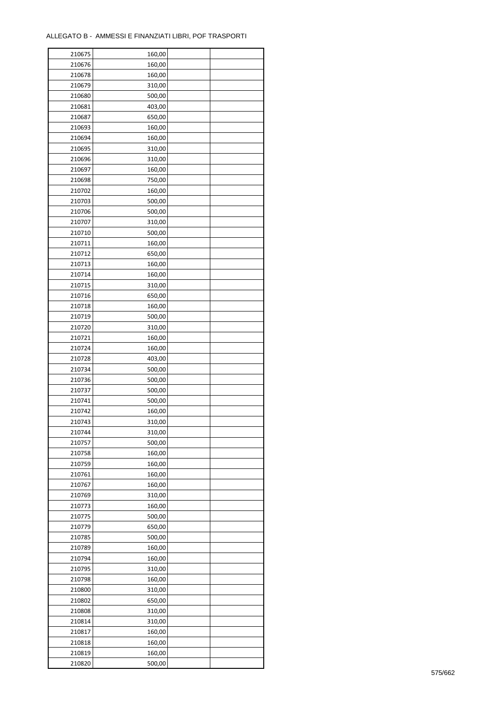| 210675 | 160,00 |  |
|--------|--------|--|
| 210676 | 160,00 |  |
| 210678 | 160,00 |  |
| 210679 | 310,00 |  |
| 210680 | 500,00 |  |
| 210681 | 403,00 |  |
| 210687 | 650,00 |  |
| 210693 | 160,00 |  |
| 210694 | 160,00 |  |
| 210695 | 310,00 |  |
| 210696 | 310,00 |  |
| 210697 | 160,00 |  |
| 210698 | 750,00 |  |
| 210702 |        |  |
|        | 160,00 |  |
| 210703 | 500,00 |  |
| 210706 | 500,00 |  |
| 210707 | 310,00 |  |
| 210710 | 500,00 |  |
| 210711 | 160,00 |  |
| 210712 | 650,00 |  |
| 210713 | 160,00 |  |
| 210714 | 160,00 |  |
| 210715 | 310,00 |  |
| 210716 | 650,00 |  |
| 210718 | 160,00 |  |
| 210719 | 500,00 |  |
| 210720 | 310,00 |  |
| 210721 | 160,00 |  |
| 210724 | 160,00 |  |
| 210728 | 403,00 |  |
| 210734 | 500,00 |  |
| 210736 | 500,00 |  |
| 210737 | 500,00 |  |
| 210741 | 500,00 |  |
| 210742 | 160,00 |  |
| 210743 | 310,00 |  |
| 210744 | 310,00 |  |
| 210757 | 500,00 |  |
| 210758 | 160,00 |  |
| 210759 | 160,00 |  |
| 210761 | 160,00 |  |
| 210767 | 160,00 |  |
| 210769 | 310,00 |  |
| 210773 | 160,00 |  |
| 210775 | 500,00 |  |
| 210779 | 650,00 |  |
| 210785 |        |  |
|        | 500,00 |  |
| 210789 | 160,00 |  |
| 210794 | 160,00 |  |
| 210795 | 310,00 |  |
| 210798 | 160,00 |  |
| 210800 | 310,00 |  |
| 210802 | 650,00 |  |
| 210808 | 310,00 |  |
| 210814 | 310,00 |  |
| 210817 | 160,00 |  |
| 210818 | 160,00 |  |
| 210819 | 160,00 |  |
| 210820 | 500,00 |  |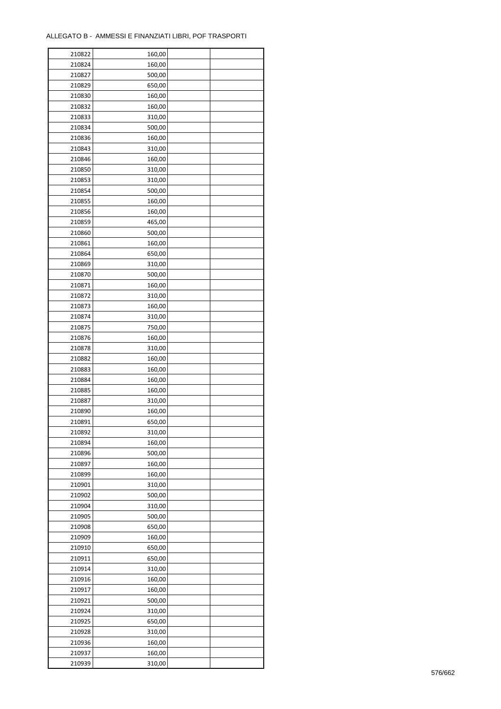| 210822           | 160,00           |  |
|------------------|------------------|--|
| 210824           | 160,00           |  |
| 210827           | 500,00           |  |
| 210829           | 650,00           |  |
| 210830           | 160,00           |  |
| 210832           | 160,00           |  |
| 210833           | 310,00           |  |
| 210834           | 500,00           |  |
| 210836           | 160,00           |  |
| 210843           | 310,00           |  |
| 210846           | 160,00           |  |
| 210850           |                  |  |
|                  | 310,00           |  |
| 210853           | 310,00           |  |
| 210854           | 500,00           |  |
| 210855           | 160,00           |  |
| 210856           | 160,00           |  |
| 210859           | 465,00           |  |
| 210860           | 500,00           |  |
| 210861           | 160,00           |  |
| 210864           | 650,00           |  |
| 210869           | 310,00           |  |
| 210870           | 500,00           |  |
| 210871           | 160,00           |  |
| 210872           | 310,00           |  |
| 210873           | 160,00           |  |
| 210874           | 310,00           |  |
| 210875           | 750,00           |  |
| 210876           | 160,00           |  |
| 210878           | 310,00           |  |
| 210882           | 160,00           |  |
| 210883           | 160,00           |  |
| 210884           | 160,00           |  |
|                  |                  |  |
| 210885<br>210887 | 160,00<br>310,00 |  |
| 210890           | 160,00           |  |
|                  |                  |  |
| 210891           | 650,00           |  |
| 210892           | 310,00           |  |
| 210894           | 160,00           |  |
| 210896           | 500,00           |  |
| 210897           | 160,00           |  |
| 210899           | 160,00           |  |
| 210901           | 310,00           |  |
| 210902           | 500,00           |  |
| 210904           | 310,00           |  |
| 210905           | 500,00           |  |
| 210908           | 650,00           |  |
| 210909           | 160,00           |  |
| 210910           | 650,00           |  |
| 210911           | 650,00           |  |
| 210914           | 310,00           |  |
| 210916           | 160,00           |  |
| 210917           | 160,00           |  |
| 210921           | 500,00           |  |
| 210924           | 310,00           |  |
| 210925           | 650,00           |  |
| 210928           | 310,00           |  |
|                  | 160,00           |  |
| 210936           |                  |  |
| 210937           | 160,00           |  |
| 210939           | 310,00           |  |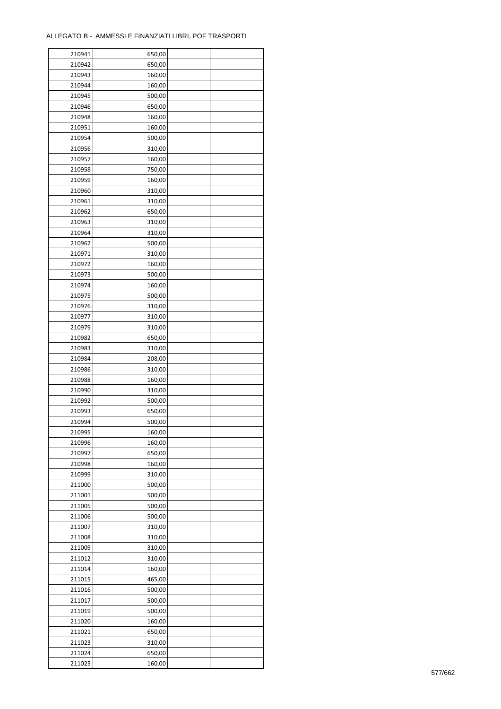| 210941 | 650,00 |  |
|--------|--------|--|
| 210942 | 650,00 |  |
| 210943 | 160,00 |  |
| 210944 | 160,00 |  |
| 210945 | 500,00 |  |
| 210946 | 650,00 |  |
| 210948 | 160,00 |  |
| 210951 | 160,00 |  |
| 210954 | 500,00 |  |
| 210956 | 310,00 |  |
| 210957 | 160,00 |  |
| 210958 | 750,00 |  |
|        |        |  |
| 210959 | 160,00 |  |
| 210960 | 310,00 |  |
| 210961 | 310,00 |  |
| 210962 | 650,00 |  |
| 210963 | 310,00 |  |
| 210964 | 310,00 |  |
| 210967 | 500,00 |  |
| 210971 | 310,00 |  |
| 210972 | 160,00 |  |
| 210973 | 500,00 |  |
| 210974 | 160,00 |  |
| 210975 | 500,00 |  |
| 210976 | 310,00 |  |
| 210977 | 310,00 |  |
| 210979 | 310,00 |  |
| 210982 | 650,00 |  |
| 210983 | 310,00 |  |
| 210984 | 208,00 |  |
| 210986 | 310,00 |  |
| 210988 | 160,00 |  |
| 210990 | 310,00 |  |
| 210992 | 500,00 |  |
| 210993 | 650,00 |  |
| 210994 | 500,00 |  |
| 210995 | 160,00 |  |
| 210996 | 160,00 |  |
|        |        |  |
| 210997 | 650,00 |  |
| 210998 | 160,00 |  |
| 210999 | 310,00 |  |
| 211000 | 500,00 |  |
| 211001 | 500,00 |  |
| 211005 | 500,00 |  |
| 211006 | 500,00 |  |
| 211007 | 310,00 |  |
| 211008 | 310,00 |  |
| 211009 | 310,00 |  |
| 211012 | 310,00 |  |
| 211014 | 160,00 |  |
| 211015 | 465,00 |  |
| 211016 | 500,00 |  |
| 211017 | 500,00 |  |
| 211019 | 500,00 |  |
| 211020 | 160,00 |  |
| 211021 | 650,00 |  |
| 211023 | 310,00 |  |
| 211024 | 650,00 |  |
| 211025 | 160,00 |  |
|        |        |  |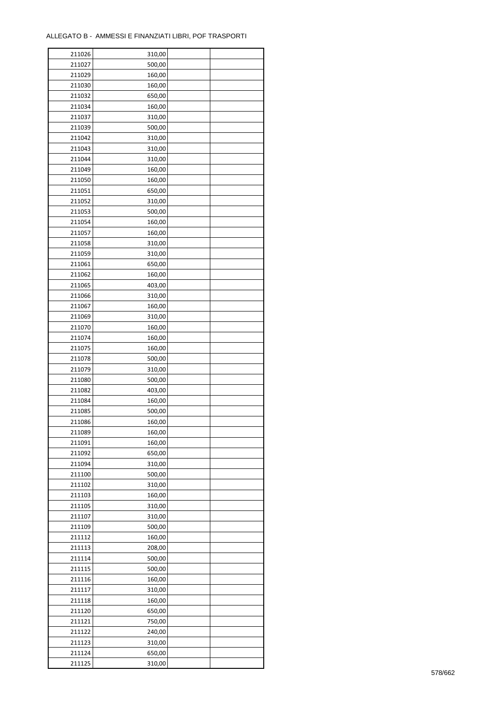| 211027<br>500,00<br>211029<br>160,00<br>211030<br>160,00<br>211032<br>650,00<br>211034<br>160,00<br>211037<br>310,00<br>211039<br>500,00<br>211042<br>310,00<br>211043<br>310,00<br>211044<br>310,00<br>211049<br>160,00<br>211050<br>160,00<br>211051<br>650,00<br>211052<br>310,00<br>211053<br>500,00<br>211054<br>160,00<br>211057<br>160,00<br>211058<br>310,00<br>211059<br>310,00<br>211061<br>650,00<br>211062<br>160,00<br>211065<br>403,00<br>211066<br>310,00<br>211067<br>160,00<br>211069<br>310,00<br>211070<br>160,00<br>211074<br>160,00<br>211075<br>160,00<br>211078<br>500,00<br>211079<br>310,00<br>211080<br>500,00<br>403,00<br>211082<br>211084<br>160,00<br>500,00<br>211085<br>211086<br>160,00<br>160,00<br>211089<br>211091<br>160,00<br>211092<br>650,00<br>211094<br>310,00<br>211100<br>500,00<br>211102<br>310,00<br>211103<br>160,00<br>211105<br>310,00<br>211107<br>310,00<br>211109<br>500,00<br>211112<br>160,00<br>211113<br>208,00<br>211114<br>500,00<br>211115<br>500,00<br>211116<br>160,00<br>211117<br>310,00<br>211118<br>160,00<br>211120<br>650,00<br>211121<br>750,00<br>211122<br>240,00<br>211123<br>310,00<br>650,00<br>211124 | 211026 | 310,00 |  |
|----------------------------------------------------------------------------------------------------------------------------------------------------------------------------------------------------------------------------------------------------------------------------------------------------------------------------------------------------------------------------------------------------------------------------------------------------------------------------------------------------------------------------------------------------------------------------------------------------------------------------------------------------------------------------------------------------------------------------------------------------------------------------------------------------------------------------------------------------------------------------------------------------------------------------------------------------------------------------------------------------------------------------------------------------------------------------------------------------------------------------------------------------------------------------------|--------|--------|--|
|                                                                                                                                                                                                                                                                                                                                                                                                                                                                                                                                                                                                                                                                                                                                                                                                                                                                                                                                                                                                                                                                                                                                                                                  |        |        |  |
|                                                                                                                                                                                                                                                                                                                                                                                                                                                                                                                                                                                                                                                                                                                                                                                                                                                                                                                                                                                                                                                                                                                                                                                  |        |        |  |
|                                                                                                                                                                                                                                                                                                                                                                                                                                                                                                                                                                                                                                                                                                                                                                                                                                                                                                                                                                                                                                                                                                                                                                                  |        |        |  |
|                                                                                                                                                                                                                                                                                                                                                                                                                                                                                                                                                                                                                                                                                                                                                                                                                                                                                                                                                                                                                                                                                                                                                                                  |        |        |  |
|                                                                                                                                                                                                                                                                                                                                                                                                                                                                                                                                                                                                                                                                                                                                                                                                                                                                                                                                                                                                                                                                                                                                                                                  |        |        |  |
|                                                                                                                                                                                                                                                                                                                                                                                                                                                                                                                                                                                                                                                                                                                                                                                                                                                                                                                                                                                                                                                                                                                                                                                  |        |        |  |
|                                                                                                                                                                                                                                                                                                                                                                                                                                                                                                                                                                                                                                                                                                                                                                                                                                                                                                                                                                                                                                                                                                                                                                                  |        |        |  |
|                                                                                                                                                                                                                                                                                                                                                                                                                                                                                                                                                                                                                                                                                                                                                                                                                                                                                                                                                                                                                                                                                                                                                                                  |        |        |  |
|                                                                                                                                                                                                                                                                                                                                                                                                                                                                                                                                                                                                                                                                                                                                                                                                                                                                                                                                                                                                                                                                                                                                                                                  |        |        |  |
|                                                                                                                                                                                                                                                                                                                                                                                                                                                                                                                                                                                                                                                                                                                                                                                                                                                                                                                                                                                                                                                                                                                                                                                  |        |        |  |
|                                                                                                                                                                                                                                                                                                                                                                                                                                                                                                                                                                                                                                                                                                                                                                                                                                                                                                                                                                                                                                                                                                                                                                                  |        |        |  |
|                                                                                                                                                                                                                                                                                                                                                                                                                                                                                                                                                                                                                                                                                                                                                                                                                                                                                                                                                                                                                                                                                                                                                                                  |        |        |  |
|                                                                                                                                                                                                                                                                                                                                                                                                                                                                                                                                                                                                                                                                                                                                                                                                                                                                                                                                                                                                                                                                                                                                                                                  |        |        |  |
|                                                                                                                                                                                                                                                                                                                                                                                                                                                                                                                                                                                                                                                                                                                                                                                                                                                                                                                                                                                                                                                                                                                                                                                  |        |        |  |
|                                                                                                                                                                                                                                                                                                                                                                                                                                                                                                                                                                                                                                                                                                                                                                                                                                                                                                                                                                                                                                                                                                                                                                                  |        |        |  |
|                                                                                                                                                                                                                                                                                                                                                                                                                                                                                                                                                                                                                                                                                                                                                                                                                                                                                                                                                                                                                                                                                                                                                                                  |        |        |  |
|                                                                                                                                                                                                                                                                                                                                                                                                                                                                                                                                                                                                                                                                                                                                                                                                                                                                                                                                                                                                                                                                                                                                                                                  |        |        |  |
|                                                                                                                                                                                                                                                                                                                                                                                                                                                                                                                                                                                                                                                                                                                                                                                                                                                                                                                                                                                                                                                                                                                                                                                  |        |        |  |
|                                                                                                                                                                                                                                                                                                                                                                                                                                                                                                                                                                                                                                                                                                                                                                                                                                                                                                                                                                                                                                                                                                                                                                                  |        |        |  |
|                                                                                                                                                                                                                                                                                                                                                                                                                                                                                                                                                                                                                                                                                                                                                                                                                                                                                                                                                                                                                                                                                                                                                                                  |        |        |  |
|                                                                                                                                                                                                                                                                                                                                                                                                                                                                                                                                                                                                                                                                                                                                                                                                                                                                                                                                                                                                                                                                                                                                                                                  |        |        |  |
|                                                                                                                                                                                                                                                                                                                                                                                                                                                                                                                                                                                                                                                                                                                                                                                                                                                                                                                                                                                                                                                                                                                                                                                  |        |        |  |
|                                                                                                                                                                                                                                                                                                                                                                                                                                                                                                                                                                                                                                                                                                                                                                                                                                                                                                                                                                                                                                                                                                                                                                                  |        |        |  |
|                                                                                                                                                                                                                                                                                                                                                                                                                                                                                                                                                                                                                                                                                                                                                                                                                                                                                                                                                                                                                                                                                                                                                                                  |        |        |  |
|                                                                                                                                                                                                                                                                                                                                                                                                                                                                                                                                                                                                                                                                                                                                                                                                                                                                                                                                                                                                                                                                                                                                                                                  |        |        |  |
|                                                                                                                                                                                                                                                                                                                                                                                                                                                                                                                                                                                                                                                                                                                                                                                                                                                                                                                                                                                                                                                                                                                                                                                  |        |        |  |
|                                                                                                                                                                                                                                                                                                                                                                                                                                                                                                                                                                                                                                                                                                                                                                                                                                                                                                                                                                                                                                                                                                                                                                                  |        |        |  |
|                                                                                                                                                                                                                                                                                                                                                                                                                                                                                                                                                                                                                                                                                                                                                                                                                                                                                                                                                                                                                                                                                                                                                                                  |        |        |  |
|                                                                                                                                                                                                                                                                                                                                                                                                                                                                                                                                                                                                                                                                                                                                                                                                                                                                                                                                                                                                                                                                                                                                                                                  |        |        |  |
|                                                                                                                                                                                                                                                                                                                                                                                                                                                                                                                                                                                                                                                                                                                                                                                                                                                                                                                                                                                                                                                                                                                                                                                  |        |        |  |
|                                                                                                                                                                                                                                                                                                                                                                                                                                                                                                                                                                                                                                                                                                                                                                                                                                                                                                                                                                                                                                                                                                                                                                                  |        |        |  |
|                                                                                                                                                                                                                                                                                                                                                                                                                                                                                                                                                                                                                                                                                                                                                                                                                                                                                                                                                                                                                                                                                                                                                                                  |        |        |  |
|                                                                                                                                                                                                                                                                                                                                                                                                                                                                                                                                                                                                                                                                                                                                                                                                                                                                                                                                                                                                                                                                                                                                                                                  |        |        |  |
|                                                                                                                                                                                                                                                                                                                                                                                                                                                                                                                                                                                                                                                                                                                                                                                                                                                                                                                                                                                                                                                                                                                                                                                  |        |        |  |
|                                                                                                                                                                                                                                                                                                                                                                                                                                                                                                                                                                                                                                                                                                                                                                                                                                                                                                                                                                                                                                                                                                                                                                                  |        |        |  |
|                                                                                                                                                                                                                                                                                                                                                                                                                                                                                                                                                                                                                                                                                                                                                                                                                                                                                                                                                                                                                                                                                                                                                                                  |        |        |  |
|                                                                                                                                                                                                                                                                                                                                                                                                                                                                                                                                                                                                                                                                                                                                                                                                                                                                                                                                                                                                                                                                                                                                                                                  |        |        |  |
|                                                                                                                                                                                                                                                                                                                                                                                                                                                                                                                                                                                                                                                                                                                                                                                                                                                                                                                                                                                                                                                                                                                                                                                  |        |        |  |
|                                                                                                                                                                                                                                                                                                                                                                                                                                                                                                                                                                                                                                                                                                                                                                                                                                                                                                                                                                                                                                                                                                                                                                                  |        |        |  |
|                                                                                                                                                                                                                                                                                                                                                                                                                                                                                                                                                                                                                                                                                                                                                                                                                                                                                                                                                                                                                                                                                                                                                                                  |        |        |  |
|                                                                                                                                                                                                                                                                                                                                                                                                                                                                                                                                                                                                                                                                                                                                                                                                                                                                                                                                                                                                                                                                                                                                                                                  |        |        |  |
|                                                                                                                                                                                                                                                                                                                                                                                                                                                                                                                                                                                                                                                                                                                                                                                                                                                                                                                                                                                                                                                                                                                                                                                  |        |        |  |
|                                                                                                                                                                                                                                                                                                                                                                                                                                                                                                                                                                                                                                                                                                                                                                                                                                                                                                                                                                                                                                                                                                                                                                                  |        |        |  |
|                                                                                                                                                                                                                                                                                                                                                                                                                                                                                                                                                                                                                                                                                                                                                                                                                                                                                                                                                                                                                                                                                                                                                                                  |        |        |  |
|                                                                                                                                                                                                                                                                                                                                                                                                                                                                                                                                                                                                                                                                                                                                                                                                                                                                                                                                                                                                                                                                                                                                                                                  |        |        |  |
|                                                                                                                                                                                                                                                                                                                                                                                                                                                                                                                                                                                                                                                                                                                                                                                                                                                                                                                                                                                                                                                                                                                                                                                  |        |        |  |
|                                                                                                                                                                                                                                                                                                                                                                                                                                                                                                                                                                                                                                                                                                                                                                                                                                                                                                                                                                                                                                                                                                                                                                                  |        |        |  |
|                                                                                                                                                                                                                                                                                                                                                                                                                                                                                                                                                                                                                                                                                                                                                                                                                                                                                                                                                                                                                                                                                                                                                                                  |        |        |  |
|                                                                                                                                                                                                                                                                                                                                                                                                                                                                                                                                                                                                                                                                                                                                                                                                                                                                                                                                                                                                                                                                                                                                                                                  |        |        |  |
|                                                                                                                                                                                                                                                                                                                                                                                                                                                                                                                                                                                                                                                                                                                                                                                                                                                                                                                                                                                                                                                                                                                                                                                  |        |        |  |
|                                                                                                                                                                                                                                                                                                                                                                                                                                                                                                                                                                                                                                                                                                                                                                                                                                                                                                                                                                                                                                                                                                                                                                                  |        |        |  |
|                                                                                                                                                                                                                                                                                                                                                                                                                                                                                                                                                                                                                                                                                                                                                                                                                                                                                                                                                                                                                                                                                                                                                                                  |        |        |  |
|                                                                                                                                                                                                                                                                                                                                                                                                                                                                                                                                                                                                                                                                                                                                                                                                                                                                                                                                                                                                                                                                                                                                                                                  |        |        |  |
|                                                                                                                                                                                                                                                                                                                                                                                                                                                                                                                                                                                                                                                                                                                                                                                                                                                                                                                                                                                                                                                                                                                                                                                  |        |        |  |
|                                                                                                                                                                                                                                                                                                                                                                                                                                                                                                                                                                                                                                                                                                                                                                                                                                                                                                                                                                                                                                                                                                                                                                                  |        |        |  |
|                                                                                                                                                                                                                                                                                                                                                                                                                                                                                                                                                                                                                                                                                                                                                                                                                                                                                                                                                                                                                                                                                                                                                                                  |        |        |  |
|                                                                                                                                                                                                                                                                                                                                                                                                                                                                                                                                                                                                                                                                                                                                                                                                                                                                                                                                                                                                                                                                                                                                                                                  |        |        |  |
|                                                                                                                                                                                                                                                                                                                                                                                                                                                                                                                                                                                                                                                                                                                                                                                                                                                                                                                                                                                                                                                                                                                                                                                  |        |        |  |
|                                                                                                                                                                                                                                                                                                                                                                                                                                                                                                                                                                                                                                                                                                                                                                                                                                                                                                                                                                                                                                                                                                                                                                                  | 211125 | 310,00 |  |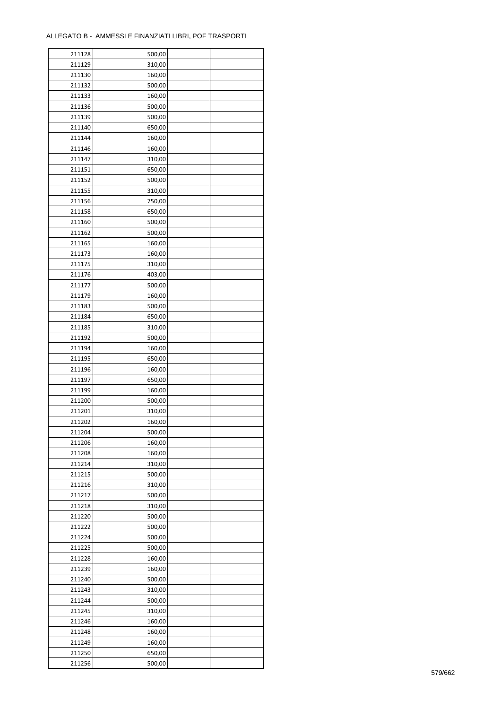| 211128 | 500,00 |  |
|--------|--------|--|
| 211129 | 310,00 |  |
| 211130 | 160,00 |  |
| 211132 | 500,00 |  |
| 211133 | 160,00 |  |
| 211136 | 500,00 |  |
| 211139 | 500,00 |  |
| 211140 | 650,00 |  |
| 211144 | 160,00 |  |
| 211146 | 160,00 |  |
| 211147 | 310,00 |  |
| 211151 | 650,00 |  |
| 211152 | 500,00 |  |
| 211155 |        |  |
|        | 310,00 |  |
| 211156 | 750,00 |  |
| 211158 | 650,00 |  |
| 211160 | 500,00 |  |
| 211162 | 500,00 |  |
| 211165 | 160,00 |  |
| 211173 | 160,00 |  |
| 211175 | 310,00 |  |
| 211176 | 403,00 |  |
| 211177 | 500,00 |  |
| 211179 | 160,00 |  |
| 211183 | 500,00 |  |
| 211184 | 650,00 |  |
| 211185 | 310,00 |  |
| 211192 | 500,00 |  |
| 211194 | 160,00 |  |
| 211195 | 650,00 |  |
| 211196 | 160,00 |  |
| 211197 | 650,00 |  |
| 211199 | 160,00 |  |
| 211200 | 500,00 |  |
| 211201 | 310,00 |  |
| 211202 | 160,00 |  |
| 211204 | 500,00 |  |
| 211206 | 160,00 |  |
| 211208 | 160,00 |  |
| 211214 | 310,00 |  |
| 211215 | 500,00 |  |
| 211216 | 310,00 |  |
| 211217 | 500,00 |  |
| 211218 | 310,00 |  |
| 211220 | 500,00 |  |
| 211222 | 500,00 |  |
| 211224 | 500,00 |  |
| 211225 | 500,00 |  |
| 211228 | 160,00 |  |
| 211239 | 160,00 |  |
| 211240 | 500,00 |  |
| 211243 | 310,00 |  |
| 211244 | 500,00 |  |
| 211245 | 310,00 |  |
| 211246 | 160,00 |  |
| 211248 | 160,00 |  |
|        |        |  |
| 211249 | 160,00 |  |
| 211250 | 650,00 |  |
| 211256 | 500,00 |  |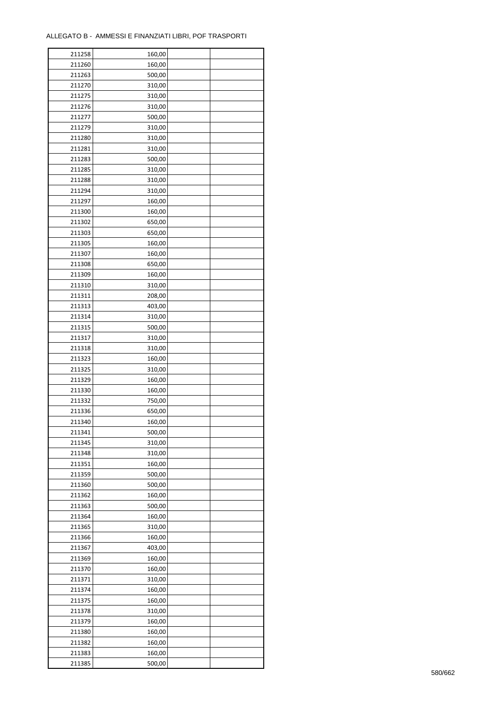| 211258 | 160,00 |  |
|--------|--------|--|
| 211260 | 160,00 |  |
| 211263 | 500,00 |  |
| 211270 | 310,00 |  |
| 211275 | 310,00 |  |
| 211276 | 310,00 |  |
| 211277 | 500,00 |  |
| 211279 | 310,00 |  |
| 211280 | 310,00 |  |
| 211281 | 310,00 |  |
| 211283 | 500,00 |  |
| 211285 | 310,00 |  |
| 211288 | 310,00 |  |
| 211294 | 310,00 |  |
|        |        |  |
| 211297 | 160,00 |  |
| 211300 | 160,00 |  |
| 211302 | 650,00 |  |
| 211303 | 650,00 |  |
| 211305 | 160,00 |  |
| 211307 | 160,00 |  |
| 211308 | 650,00 |  |
| 211309 | 160,00 |  |
| 211310 | 310,00 |  |
| 211311 | 208,00 |  |
| 211313 | 403,00 |  |
| 211314 | 310,00 |  |
| 211315 | 500,00 |  |
| 211317 | 310,00 |  |
| 211318 | 310,00 |  |
| 211323 | 160,00 |  |
| 211325 | 310,00 |  |
| 211329 | 160,00 |  |
| 211330 | 160,00 |  |
| 211332 | 750,00 |  |
| 211336 | 650,00 |  |
| 211340 | 160,00 |  |
| 211341 | 500,00 |  |
| 211345 | 310,00 |  |
| 211348 | 310,00 |  |
| 211351 | 160,00 |  |
| 211359 | 500,00 |  |
| 211360 | 500,00 |  |
| 211362 | 160,00 |  |
| 211363 | 500,00 |  |
| 211364 | 160,00 |  |
| 211365 | 310,00 |  |
| 211366 | 160,00 |  |
| 211367 | 403,00 |  |
| 211369 | 160,00 |  |
| 211370 | 160,00 |  |
| 211371 | 310,00 |  |
| 211374 | 160,00 |  |
| 211375 | 160,00 |  |
|        |        |  |
| 211378 | 310,00 |  |
| 211379 | 160,00 |  |
| 211380 | 160,00 |  |
| 211382 | 160,00 |  |
| 211383 | 160,00 |  |
| 211385 | 500,00 |  |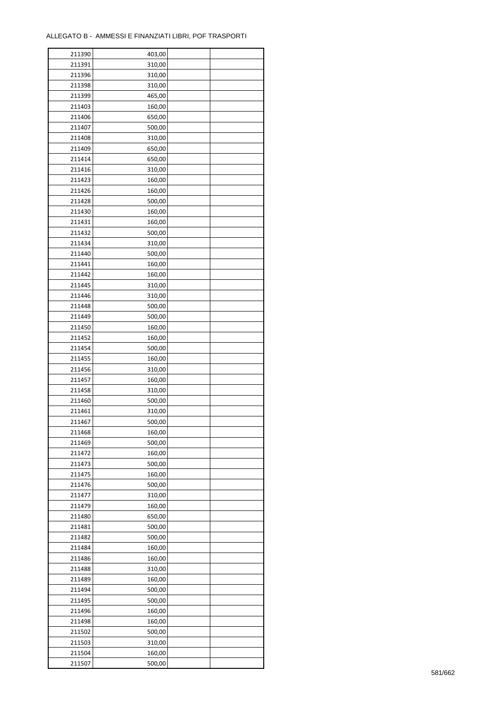| 211390 | 403,00 |  |
|--------|--------|--|
| 211391 | 310,00 |  |
| 211396 | 310,00 |  |
| 211398 | 310,00 |  |
| 211399 | 465,00 |  |
| 211403 | 160,00 |  |
| 211406 | 650,00 |  |
| 211407 | 500,00 |  |
| 211408 | 310,00 |  |
| 211409 | 650,00 |  |
| 211414 | 650,00 |  |
| 211416 |        |  |
|        | 310,00 |  |
| 211423 | 160,00 |  |
| 211426 | 160,00 |  |
| 211428 | 500,00 |  |
| 211430 | 160,00 |  |
| 211431 | 160,00 |  |
| 211432 | 500,00 |  |
| 211434 | 310,00 |  |
| 211440 | 500,00 |  |
| 211441 | 160,00 |  |
| 211442 | 160,00 |  |
| 211445 | 310,00 |  |
| 211446 | 310,00 |  |
| 211448 | 500,00 |  |
| 211449 | 500,00 |  |
| 211450 | 160,00 |  |
| 211452 | 160,00 |  |
| 211454 | 500,00 |  |
| 211455 | 160,00 |  |
| 211456 | 310,00 |  |
| 211457 | 160,00 |  |
| 211458 | 310,00 |  |
| 211460 | 500,00 |  |
| 211461 | 310,00 |  |
| 211467 | 500,00 |  |
| 211468 |        |  |
|        | 160,00 |  |
| 211469 | 500,00 |  |
| 211472 | 160,00 |  |
| 211473 | 500,00 |  |
| 211475 | 160,00 |  |
| 211476 | 500,00 |  |
| 211477 | 310,00 |  |
| 211479 | 160,00 |  |
| 211480 | 650,00 |  |
| 211481 | 500,00 |  |
| 211482 | 500,00 |  |
| 211484 | 160,00 |  |
| 211486 | 160,00 |  |
| 211488 | 310,00 |  |
| 211489 | 160,00 |  |
| 211494 | 500,00 |  |
| 211495 | 500,00 |  |
| 211496 | 160,00 |  |
| 211498 | 160,00 |  |
| 211502 | 500,00 |  |
| 211503 | 310,00 |  |
| 211504 | 160,00 |  |
| 211507 | 500,00 |  |
|        |        |  |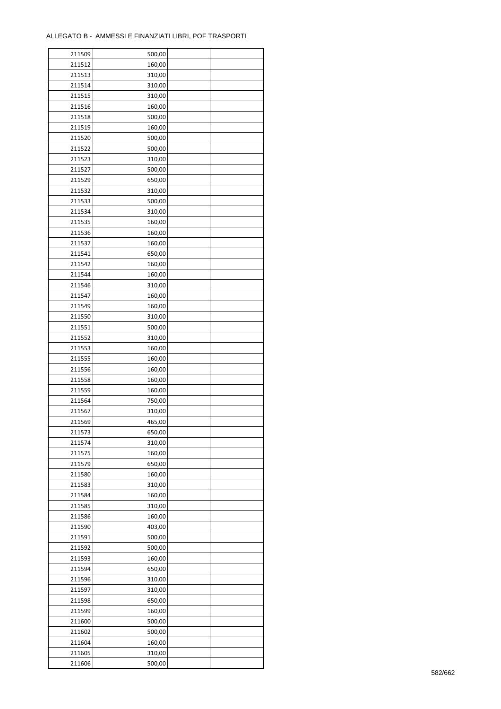| 211509 | 500,00 |  |
|--------|--------|--|
| 211512 | 160,00 |  |
| 211513 | 310,00 |  |
| 211514 | 310,00 |  |
| 211515 | 310,00 |  |
| 211516 | 160,00 |  |
| 211518 | 500,00 |  |
| 211519 | 160,00 |  |
|        |        |  |
| 211520 | 500,00 |  |
| 211522 | 500,00 |  |
| 211523 | 310,00 |  |
| 211527 | 500,00 |  |
| 211529 | 650,00 |  |
| 211532 | 310,00 |  |
| 211533 | 500,00 |  |
| 211534 | 310,00 |  |
| 211535 | 160,00 |  |
| 211536 | 160,00 |  |
| 211537 | 160,00 |  |
| 211541 | 650,00 |  |
| 211542 | 160,00 |  |
| 211544 | 160,00 |  |
| 211546 | 310,00 |  |
| 211547 | 160,00 |  |
| 211549 | 160,00 |  |
| 211550 | 310,00 |  |
|        |        |  |
| 211551 | 500,00 |  |
| 211552 | 310,00 |  |
| 211553 | 160,00 |  |
| 211555 | 160,00 |  |
| 211556 | 160,00 |  |
| 211558 | 160,00 |  |
| 211559 | 160,00 |  |
| 211564 | 750,00 |  |
| 211567 | 310,00 |  |
| 211569 | 465,00 |  |
| 211573 | 650,00 |  |
| 211574 | 310,00 |  |
| 211575 | 160,00 |  |
| 211579 | 650,00 |  |
| 211580 | 160,00 |  |
| 211583 | 310,00 |  |
| 211584 | 160,00 |  |
| 211585 | 310,00 |  |
| 211586 | 160,00 |  |
| 211590 | 403,00 |  |
| 211591 |        |  |
|        | 500,00 |  |
| 211592 | 500,00 |  |
| 211593 | 160,00 |  |
| 211594 | 650,00 |  |
| 211596 | 310,00 |  |
| 211597 | 310,00 |  |
| 211598 | 650,00 |  |
| 211599 | 160,00 |  |
| 211600 | 500,00 |  |
| 211602 | 500,00 |  |
| 211604 | 160,00 |  |
| 211605 | 310,00 |  |
| 211606 | 500,00 |  |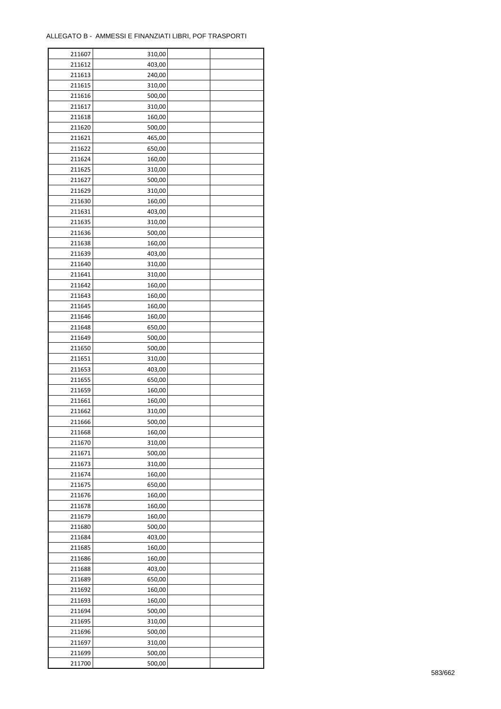| 211607 | 310,00 |  |
|--------|--------|--|
| 211612 | 403,00 |  |
| 211613 | 240,00 |  |
| 211615 | 310,00 |  |
| 211616 | 500,00 |  |
| 211617 | 310,00 |  |
| 211618 | 160,00 |  |
| 211620 | 500,00 |  |
| 211621 | 465,00 |  |
| 211622 | 650,00 |  |
| 211624 | 160,00 |  |
| 211625 |        |  |
|        | 310,00 |  |
| 211627 | 500,00 |  |
| 211629 | 310,00 |  |
| 211630 | 160,00 |  |
| 211631 | 403,00 |  |
| 211635 | 310,00 |  |
| 211636 | 500,00 |  |
| 211638 | 160,00 |  |
| 211639 | 403,00 |  |
| 211640 | 310,00 |  |
| 211641 | 310,00 |  |
| 211642 | 160,00 |  |
| 211643 | 160,00 |  |
| 211645 | 160,00 |  |
| 211646 | 160,00 |  |
| 211648 | 650,00 |  |
| 211649 | 500,00 |  |
| 211650 | 500,00 |  |
| 211651 | 310,00 |  |
| 211653 | 403,00 |  |
| 211655 | 650,00 |  |
| 211659 | 160,00 |  |
| 211661 | 160,00 |  |
| 211662 | 310,00 |  |
| 211666 | 500,00 |  |
| 211668 | 160,00 |  |
| 211670 | 310,00 |  |
| 211671 | 500,00 |  |
| 211673 | 310,00 |  |
|        |        |  |
| 211674 | 160,00 |  |
| 211675 | 650,00 |  |
| 211676 | 160,00 |  |
| 211678 | 160,00 |  |
| 211679 | 160,00 |  |
| 211680 | 500,00 |  |
| 211684 | 403,00 |  |
| 211685 | 160,00 |  |
| 211686 | 160,00 |  |
| 211688 | 403,00 |  |
| 211689 | 650,00 |  |
| 211692 | 160,00 |  |
| 211693 | 160,00 |  |
| 211694 | 500,00 |  |
| 211695 | 310,00 |  |
| 211696 | 500,00 |  |
| 211697 | 310,00 |  |
| 211699 | 500,00 |  |
| 211700 | 500,00 |  |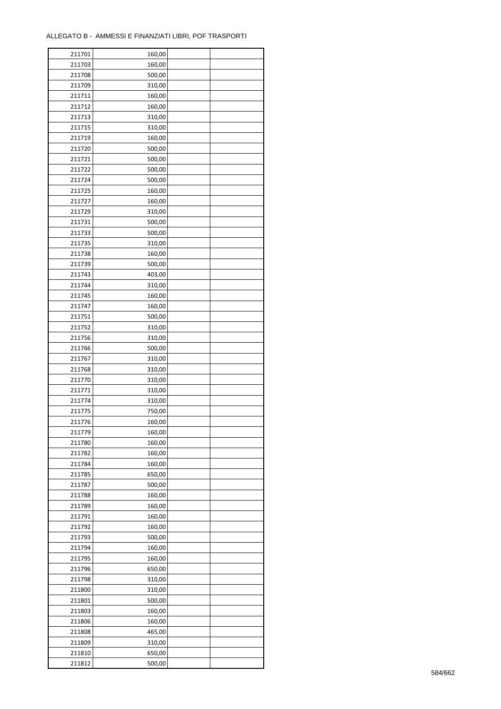÷

| 211701 | 160,00 |  |
|--------|--------|--|
| 211703 | 160,00 |  |
| 211708 | 500,00 |  |
| 211709 | 310,00 |  |
| 211711 | 160,00 |  |
| 211712 | 160,00 |  |
| 211713 | 310,00 |  |
| 211715 | 310,00 |  |
|        |        |  |
| 211719 | 160,00 |  |
| 211720 | 500,00 |  |
| 211721 | 500,00 |  |
| 211722 | 500,00 |  |
| 211724 | 500,00 |  |
| 211725 | 160,00 |  |
| 211727 | 160,00 |  |
| 211729 | 310,00 |  |
| 211731 | 500,00 |  |
| 211733 | 500,00 |  |
| 211735 | 310,00 |  |
| 211738 | 160,00 |  |
| 211739 | 500,00 |  |
| 211743 | 403,00 |  |
| 211744 | 310,00 |  |
| 211745 | 160,00 |  |
| 211747 | 160,00 |  |
| 211751 | 500,00 |  |
|        |        |  |
| 211752 | 310,00 |  |
| 211756 | 310,00 |  |
| 211766 | 500,00 |  |
| 211767 | 310,00 |  |
| 211768 | 310,00 |  |
| 211770 | 310,00 |  |
| 211771 | 310,00 |  |
| 211774 | 310,00 |  |
| 211775 | 750,00 |  |
| 211776 | 160,00 |  |
| 211779 | 160,00 |  |
| 211780 | 160,00 |  |
| 211782 | 160,00 |  |
| 211784 | 160,00 |  |
| 211785 | 650,00 |  |
| 211787 | 500,00 |  |
| 211788 | 160,00 |  |
| 211789 | 160,00 |  |
|        |        |  |
| 211791 | 160,00 |  |
| 211792 | 160,00 |  |
| 211793 | 500,00 |  |
| 211794 | 160,00 |  |
| 211795 | 160,00 |  |
| 211796 | 650,00 |  |
| 211798 | 310,00 |  |
| 211800 | 310,00 |  |
| 211801 | 500,00 |  |
| 211803 | 160,00 |  |
| 211806 | 160,00 |  |
| 211808 | 465,00 |  |
| 211809 | 310,00 |  |
| 211810 | 650,00 |  |
| 211812 | 500,00 |  |
|        |        |  |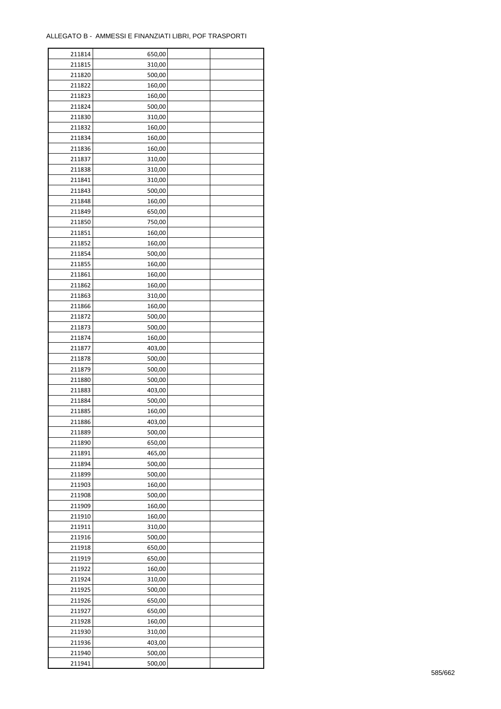| 211814 | 650,00 |  |
|--------|--------|--|
| 211815 | 310,00 |  |
| 211820 | 500,00 |  |
| 211822 | 160,00 |  |
| 211823 | 160,00 |  |
| 211824 | 500,00 |  |
| 211830 | 310,00 |  |
| 211832 | 160,00 |  |
| 211834 | 160,00 |  |
| 211836 | 160,00 |  |
| 211837 | 310,00 |  |
| 211838 | 310,00 |  |
| 211841 | 310,00 |  |
| 211843 | 500,00 |  |
| 211848 | 160,00 |  |
| 211849 | 650,00 |  |
| 211850 |        |  |
|        | 750,00 |  |
| 211851 | 160,00 |  |
| 211852 | 160,00 |  |
| 211854 | 500,00 |  |
| 211855 | 160,00 |  |
| 211861 | 160,00 |  |
| 211862 | 160,00 |  |
| 211863 | 310,00 |  |
| 211866 | 160,00 |  |
| 211872 | 500,00 |  |
| 211873 | 500,00 |  |
| 211874 | 160,00 |  |
| 211877 | 403,00 |  |
| 211878 | 500,00 |  |
| 211879 | 500,00 |  |
| 211880 | 500,00 |  |
| 211883 | 403,00 |  |
| 211884 | 500,00 |  |
| 211885 | 160,00 |  |
| 211886 | 403,00 |  |
| 211889 | 500,00 |  |
| 211890 | 650,00 |  |
| 211891 | 465,00 |  |
| 211894 | 500,00 |  |
| 211899 | 500,00 |  |
| 211903 | 160,00 |  |
| 211908 | 500,00 |  |
| 211909 | 160,00 |  |
| 211910 | 160,00 |  |
| 211911 | 310,00 |  |
| 211916 | 500,00 |  |
| 211918 | 650,00 |  |
| 211919 | 650,00 |  |
| 211922 | 160,00 |  |
| 211924 | 310,00 |  |
| 211925 | 500,00 |  |
| 211926 | 650,00 |  |
| 211927 | 650,00 |  |
| 211928 | 160,00 |  |
| 211930 | 310,00 |  |
| 211936 | 403,00 |  |
| 211940 | 500,00 |  |
| 211941 | 500,00 |  |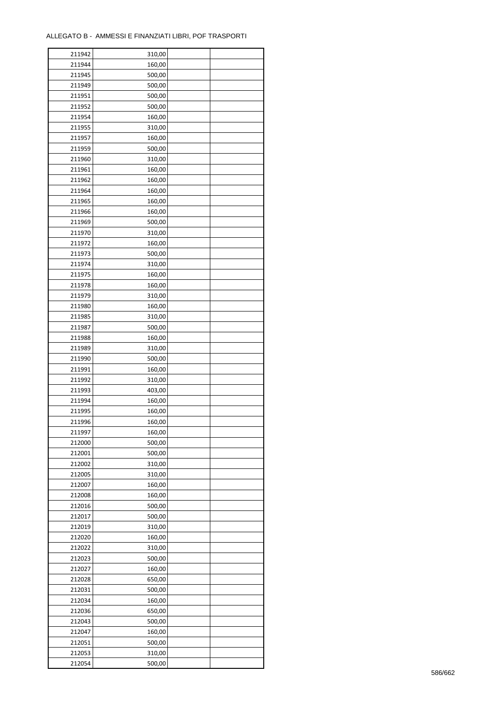| 211942 | 310,00 |  |
|--------|--------|--|
| 211944 | 160,00 |  |
| 211945 | 500,00 |  |
| 211949 | 500,00 |  |
| 211951 | 500,00 |  |
| 211952 | 500,00 |  |
| 211954 | 160,00 |  |
| 211955 | 310,00 |  |
| 211957 | 160,00 |  |
| 211959 | 500,00 |  |
| 211960 | 310,00 |  |
| 211961 | 160,00 |  |
| 211962 | 160,00 |  |
| 211964 | 160,00 |  |
| 211965 | 160,00 |  |
|        |        |  |
| 211966 | 160,00 |  |
| 211969 | 500,00 |  |
| 211970 | 310,00 |  |
| 211972 | 160,00 |  |
| 211973 | 500,00 |  |
| 211974 | 310,00 |  |
| 211975 | 160,00 |  |
| 211978 | 160,00 |  |
| 211979 | 310,00 |  |
| 211980 | 160,00 |  |
| 211985 | 310,00 |  |
| 211987 | 500,00 |  |
| 211988 | 160,00 |  |
| 211989 | 310,00 |  |
| 211990 | 500,00 |  |
| 211991 | 160,00 |  |
| 211992 | 310,00 |  |
| 211993 | 403,00 |  |
| 211994 | 160,00 |  |
| 211995 | 160,00 |  |
| 211996 | 160,00 |  |
| 211997 | 160,00 |  |
| 212000 | 500,00 |  |
| 212001 | 500,00 |  |
| 212002 | 310,00 |  |
| 212005 | 310,00 |  |
| 212007 | 160,00 |  |
| 212008 | 160,00 |  |
| 212016 | 500,00 |  |
| 212017 | 500,00 |  |
| 212019 | 310,00 |  |
| 212020 | 160,00 |  |
| 212022 | 310,00 |  |
| 212023 | 500,00 |  |
| 212027 | 160,00 |  |
| 212028 | 650,00 |  |
| 212031 | 500,00 |  |
| 212034 | 160,00 |  |
| 212036 | 650,00 |  |
| 212043 | 500,00 |  |
| 212047 | 160,00 |  |
| 212051 | 500,00 |  |
| 212053 | 310,00 |  |
| 212054 | 500,00 |  |
|        |        |  |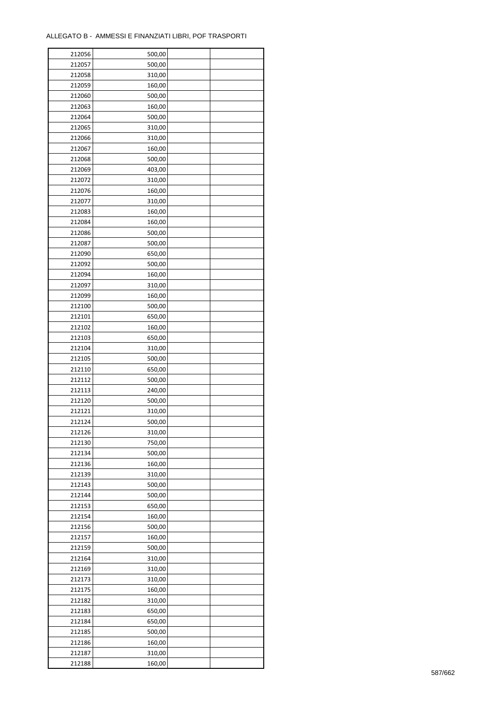| 212056 | 500,00 |  |
|--------|--------|--|
| 212057 | 500,00 |  |
| 212058 | 310,00 |  |
| 212059 | 160,00 |  |
| 212060 | 500,00 |  |
| 212063 | 160,00 |  |
| 212064 | 500,00 |  |
| 212065 | 310,00 |  |
| 212066 | 310,00 |  |
| 212067 | 160,00 |  |
| 212068 | 500,00 |  |
| 212069 | 403,00 |  |
| 212072 | 310,00 |  |
| 212076 | 160,00 |  |
|        |        |  |
| 212077 | 310,00 |  |
| 212083 | 160,00 |  |
| 212084 | 160,00 |  |
| 212086 | 500,00 |  |
| 212087 | 500,00 |  |
| 212090 | 650,00 |  |
| 212092 | 500,00 |  |
| 212094 | 160,00 |  |
| 212097 | 310,00 |  |
| 212099 | 160,00 |  |
| 212100 | 500,00 |  |
| 212101 | 650,00 |  |
| 212102 | 160,00 |  |
| 212103 | 650,00 |  |
| 212104 | 310,00 |  |
| 212105 | 500,00 |  |
| 212110 | 650,00 |  |
| 212112 | 500,00 |  |
| 212113 | 240,00 |  |
| 212120 | 500,00 |  |
| 212121 | 310,00 |  |
| 212124 | 500,00 |  |
| 212126 | 310,00 |  |
| 212130 | 750,00 |  |
| 212134 | 500,00 |  |
| 212136 | 160,00 |  |
| 212139 | 310,00 |  |
| 212143 | 500,00 |  |
| 212144 | 500,00 |  |
| 212153 | 650,00 |  |
| 212154 | 160,00 |  |
| 212156 | 500,00 |  |
| 212157 | 160,00 |  |
| 212159 | 500,00 |  |
| 212164 | 310,00 |  |
| 212169 | 310,00 |  |
| 212173 | 310,00 |  |
| 212175 | 160,00 |  |
| 212182 | 310,00 |  |
|        |        |  |
| 212183 | 650,00 |  |
| 212184 | 650,00 |  |
| 212185 | 500,00 |  |
| 212186 | 160,00 |  |
| 212187 | 310,00 |  |
| 212188 | 160,00 |  |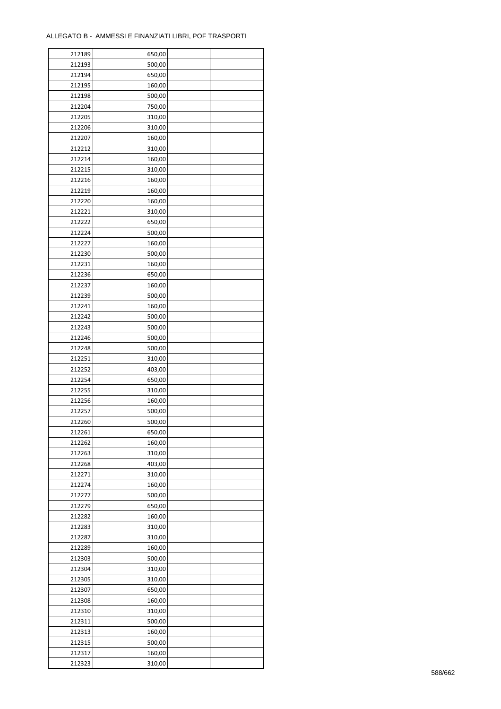| 212189 | 650,00 |  |
|--------|--------|--|
| 212193 | 500,00 |  |
| 212194 | 650,00 |  |
| 212195 | 160,00 |  |
| 212198 | 500,00 |  |
| 212204 | 750,00 |  |
| 212205 | 310,00 |  |
| 212206 | 310,00 |  |
| 212207 | 160,00 |  |
|        |        |  |
| 212212 | 310,00 |  |
| 212214 | 160,00 |  |
| 212215 | 310,00 |  |
| 212216 | 160,00 |  |
| 212219 | 160,00 |  |
| 212220 | 160,00 |  |
| 212221 | 310,00 |  |
| 212222 | 650,00 |  |
| 212224 | 500,00 |  |
| 212227 | 160,00 |  |
| 212230 | 500,00 |  |
| 212231 | 160,00 |  |
| 212236 | 650,00 |  |
| 212237 | 160,00 |  |
| 212239 | 500,00 |  |
| 212241 | 160,00 |  |
| 212242 | 500,00 |  |
| 212243 | 500,00 |  |
| 212246 | 500,00 |  |
| 212248 | 500,00 |  |
| 212251 | 310,00 |  |
| 212252 | 403,00 |  |
|        |        |  |
| 212254 | 650,00 |  |
| 212255 | 310,00 |  |
| 212256 | 160,00 |  |
| 212257 | 500,00 |  |
| 212260 | 500,00 |  |
| 212261 | 650,00 |  |
| 212262 | 160,00 |  |
| 212263 | 310,00 |  |
| 212268 | 403,00 |  |
| 212271 | 310,00 |  |
| 212274 | 160,00 |  |
| 212277 | 500,00 |  |
| 212279 | 650,00 |  |
| 212282 | 160,00 |  |
| 212283 | 310,00 |  |
| 212287 | 310,00 |  |
| 212289 | 160,00 |  |
| 212303 | 500,00 |  |
| 212304 | 310,00 |  |
| 212305 | 310,00 |  |
| 212307 | 650,00 |  |
| 212308 | 160,00 |  |
| 212310 | 310,00 |  |
| 212311 | 500,00 |  |
|        |        |  |
| 212313 | 160,00 |  |
| 212315 | 500,00 |  |
| 212317 | 160,00 |  |
| 212323 | 310,00 |  |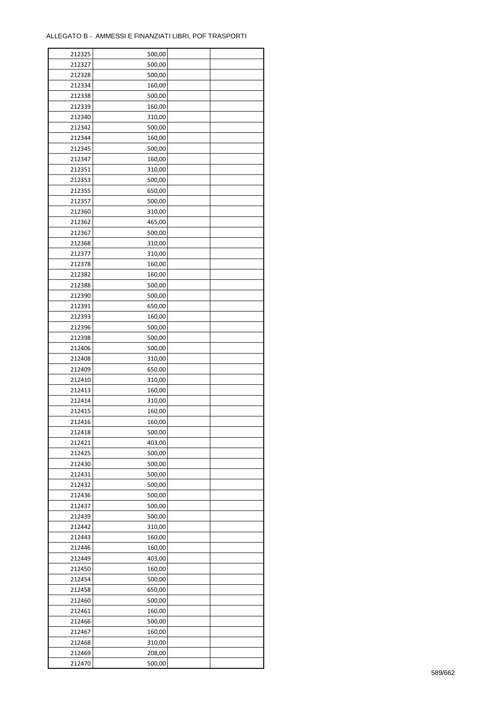| 212325 | 500,00 |  |
|--------|--------|--|
| 212327 | 500,00 |  |
| 212328 | 500,00 |  |
| 212334 | 160,00 |  |
| 212338 | 500,00 |  |
| 212339 | 160,00 |  |
| 212340 | 310,00 |  |
| 212342 | 500,00 |  |
| 212344 | 160,00 |  |
| 212345 | 500,00 |  |
| 212347 | 160,00 |  |
| 212351 | 310,00 |  |
| 212353 | 500,00 |  |
|        |        |  |
| 212355 | 650,00 |  |
| 212357 | 500,00 |  |
| 212360 | 310,00 |  |
| 212362 | 465,00 |  |
| 212367 | 500,00 |  |
| 212368 | 310,00 |  |
| 212377 | 310,00 |  |
| 212378 | 160,00 |  |
| 212382 | 160,00 |  |
| 212388 | 500,00 |  |
| 212390 | 500,00 |  |
| 212391 | 650,00 |  |
| 212393 | 160,00 |  |
| 212396 | 500,00 |  |
| 212398 | 500,00 |  |
| 212406 | 500,00 |  |
| 212408 | 310,00 |  |
| 212409 | 650,00 |  |
| 212410 | 310,00 |  |
| 212413 | 160,00 |  |
| 212414 | 310,00 |  |
| 212415 | 160,00 |  |
| 212416 | 160,00 |  |
| 212418 | 500,00 |  |
| 212421 | 403,00 |  |
| 212425 | 500,00 |  |
| 212430 | 500,00 |  |
| 212431 | 500,00 |  |
| 212432 | 500,00 |  |
| 212436 | 500,00 |  |
| 212437 | 500,00 |  |
| 212439 | 500,00 |  |
| 212442 | 310,00 |  |
| 212443 | 160,00 |  |
| 212446 | 160,00 |  |
| 212449 | 403,00 |  |
| 212450 | 160,00 |  |
| 212454 | 500,00 |  |
| 212458 | 650,00 |  |
| 212460 | 500,00 |  |
| 212461 | 160,00 |  |
| 212466 | 500,00 |  |
| 212467 | 160,00 |  |
| 212468 | 310,00 |  |
| 212469 | 208,00 |  |
| 212470 | 500,00 |  |
|        |        |  |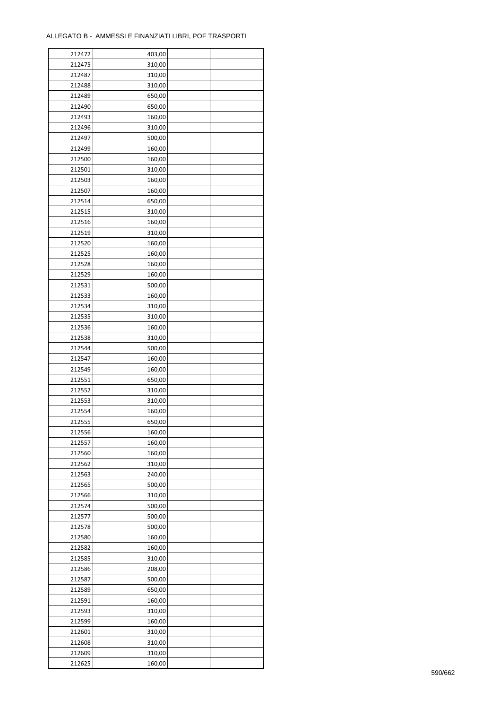| 212472 | 403,00 |  |
|--------|--------|--|
| 212475 | 310,00 |  |
| 212487 | 310,00 |  |
| 212488 | 310,00 |  |
| 212489 | 650,00 |  |
| 212490 | 650,00 |  |
| 212493 | 160,00 |  |
| 212496 | 310,00 |  |
| 212497 | 500,00 |  |
| 212499 | 160,00 |  |
| 212500 | 160,00 |  |
| 212501 | 310,00 |  |
| 212503 |        |  |
|        | 160,00 |  |
| 212507 | 160,00 |  |
| 212514 | 650,00 |  |
| 212515 | 310,00 |  |
| 212516 | 160,00 |  |
| 212519 | 310,00 |  |
| 212520 | 160,00 |  |
| 212525 | 160,00 |  |
| 212528 | 160,00 |  |
| 212529 | 160,00 |  |
| 212531 | 500,00 |  |
| 212533 | 160,00 |  |
| 212534 | 310,00 |  |
| 212535 | 310,00 |  |
| 212536 | 160,00 |  |
| 212538 | 310,00 |  |
| 212544 | 500,00 |  |
| 212547 | 160,00 |  |
| 212549 | 160,00 |  |
| 212551 | 650,00 |  |
| 212552 | 310,00 |  |
| 212553 | 310,00 |  |
| 212554 | 160,00 |  |
| 212555 | 650,00 |  |
| 212556 | 160,00 |  |
| 212557 | 160,00 |  |
| 212560 | 160,00 |  |
| 212562 | 310,00 |  |
| 212563 | 240,00 |  |
| 212565 | 500,00 |  |
| 212566 | 310,00 |  |
| 212574 | 500,00 |  |
| 212577 | 500,00 |  |
| 212578 | 500,00 |  |
| 212580 | 160,00 |  |
| 212582 | 160,00 |  |
| 212585 | 310,00 |  |
| 212586 | 208,00 |  |
| 212587 | 500,00 |  |
| 212589 | 650,00 |  |
| 212591 | 160,00 |  |
| 212593 | 310,00 |  |
| 212599 | 160,00 |  |
| 212601 | 310,00 |  |
| 212608 | 310,00 |  |
|        |        |  |
| 212609 | 310,00 |  |
| 212625 | 160,00 |  |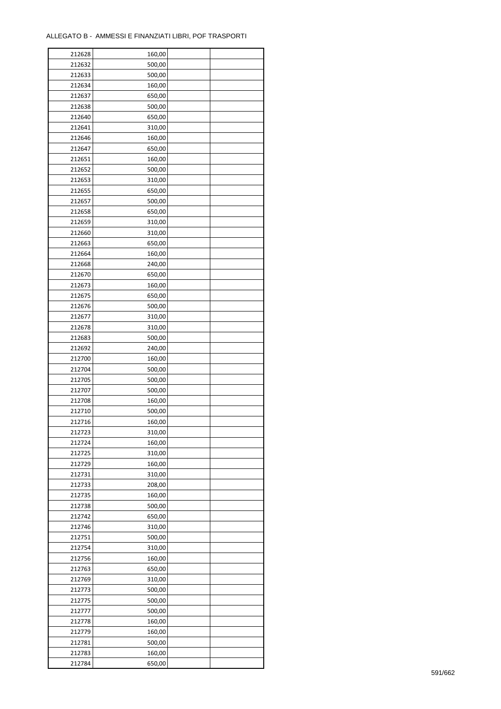| 212628 | 160,00 |  |
|--------|--------|--|
| 212632 | 500,00 |  |
| 212633 | 500,00 |  |
| 212634 | 160,00 |  |
| 212637 | 650,00 |  |
| 212638 | 500,00 |  |
| 212640 | 650,00 |  |
| 212641 | 310,00 |  |
| 212646 | 160,00 |  |
| 212647 | 650,00 |  |
| 212651 | 160,00 |  |
| 212652 |        |  |
|        | 500,00 |  |
| 212653 | 310,00 |  |
| 212655 | 650,00 |  |
| 212657 | 500,00 |  |
| 212658 | 650,00 |  |
| 212659 | 310,00 |  |
| 212660 | 310,00 |  |
| 212663 | 650,00 |  |
| 212664 | 160,00 |  |
| 212668 | 240,00 |  |
| 212670 | 650,00 |  |
| 212673 | 160,00 |  |
| 212675 | 650,00 |  |
| 212676 | 500,00 |  |
| 212677 | 310,00 |  |
| 212678 | 310,00 |  |
| 212683 | 500,00 |  |
| 212692 | 240,00 |  |
| 212700 | 160,00 |  |
| 212704 | 500,00 |  |
| 212705 | 500,00 |  |
| 212707 | 500,00 |  |
| 212708 | 160,00 |  |
| 212710 | 500,00 |  |
| 212716 | 160,00 |  |
|        |        |  |
| 212723 | 310,00 |  |
| 212724 | 160,00 |  |
| 212725 | 310,00 |  |
| 212729 | 160,00 |  |
| 212731 | 310,00 |  |
| 212733 | 208,00 |  |
| 212735 | 160,00 |  |
| 212738 | 500,00 |  |
| 212742 | 650,00 |  |
| 212746 | 310,00 |  |
| 212751 | 500,00 |  |
| 212754 | 310,00 |  |
| 212756 | 160,00 |  |
| 212763 | 650,00 |  |
| 212769 | 310,00 |  |
| 212773 | 500,00 |  |
| 212775 | 500,00 |  |
| 212777 | 500,00 |  |
| 212778 | 160,00 |  |
| 212779 | 160,00 |  |
| 212781 | 500,00 |  |
| 212783 | 160,00 |  |
| 212784 |        |  |
|        | 650,00 |  |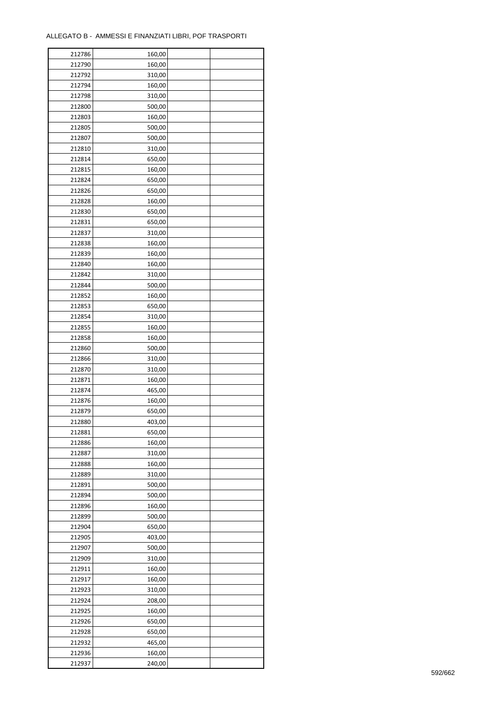| 212786 | 160,00 |  |
|--------|--------|--|
| 212790 | 160,00 |  |
| 212792 | 310,00 |  |
| 212794 | 160,00 |  |
| 212798 | 310,00 |  |
| 212800 | 500,00 |  |
| 212803 | 160,00 |  |
| 212805 | 500,00 |  |
| 212807 | 500,00 |  |
| 212810 | 310,00 |  |
| 212814 | 650,00 |  |
| 212815 | 160,00 |  |
| 212824 | 650,00 |  |
| 212826 |        |  |
|        | 650,00 |  |
| 212828 | 160,00 |  |
| 212830 | 650,00 |  |
| 212831 | 650,00 |  |
| 212837 | 310,00 |  |
| 212838 | 160,00 |  |
| 212839 | 160,00 |  |
| 212840 | 160,00 |  |
| 212842 | 310,00 |  |
| 212844 | 500,00 |  |
| 212852 | 160,00 |  |
| 212853 | 650,00 |  |
| 212854 | 310,00 |  |
| 212855 | 160,00 |  |
| 212858 | 160,00 |  |
| 212860 | 500,00 |  |
| 212866 | 310,00 |  |
| 212870 | 310,00 |  |
| 212871 | 160,00 |  |
| 212874 | 465,00 |  |
| 212876 | 160,00 |  |
| 212879 | 650,00 |  |
| 212880 | 403,00 |  |
| 212881 | 650,00 |  |
| 212886 | 160,00 |  |
| 212887 | 310,00 |  |
| 212888 | 160,00 |  |
| 212889 | 310,00 |  |
| 212891 | 500,00 |  |
| 212894 | 500,00 |  |
| 212896 | 160,00 |  |
| 212899 | 500,00 |  |
| 212904 | 650,00 |  |
| 212905 | 403,00 |  |
| 212907 | 500,00 |  |
| 212909 | 310,00 |  |
| 212911 | 160,00 |  |
| 212917 | 160,00 |  |
| 212923 | 310,00 |  |
| 212924 | 208,00 |  |
| 212925 | 160,00 |  |
| 212926 | 650,00 |  |
| 212928 | 650,00 |  |
| 212932 | 465,00 |  |
|        |        |  |
| 212936 | 160,00 |  |
| 212937 | 240,00 |  |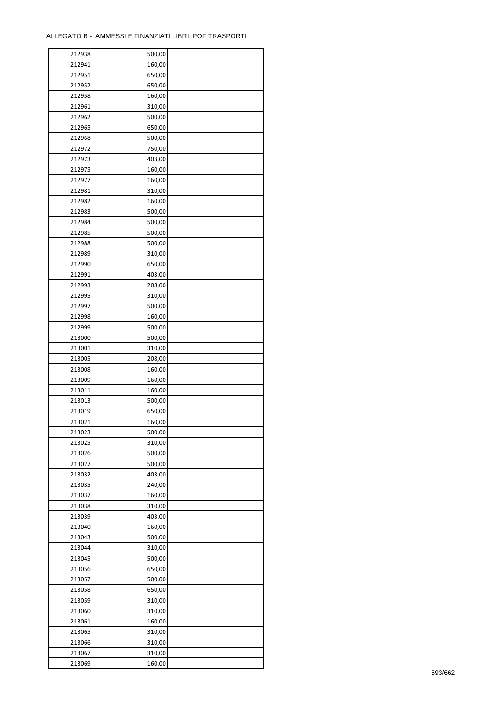| 212938 | 500,00 |  |
|--------|--------|--|
| 212941 | 160,00 |  |
| 212951 | 650,00 |  |
| 212952 | 650,00 |  |
| 212958 | 160,00 |  |
| 212961 | 310,00 |  |
| 212962 | 500,00 |  |
| 212965 | 650,00 |  |
| 212968 | 500,00 |  |
| 212972 | 750,00 |  |
| 212973 | 403,00 |  |
| 212975 | 160,00 |  |
| 212977 |        |  |
|        | 160,00 |  |
| 212981 | 310,00 |  |
| 212982 | 160,00 |  |
| 212983 | 500,00 |  |
| 212984 | 500,00 |  |
| 212985 | 500,00 |  |
| 212988 | 500,00 |  |
| 212989 | 310,00 |  |
| 212990 | 650,00 |  |
| 212991 | 403,00 |  |
| 212993 | 208,00 |  |
| 212995 | 310,00 |  |
| 212997 | 500,00 |  |
| 212998 | 160,00 |  |
| 212999 | 500,00 |  |
| 213000 | 500,00 |  |
| 213001 | 310,00 |  |
| 213005 | 208,00 |  |
| 213008 | 160,00 |  |
| 213009 | 160,00 |  |
| 213011 | 160,00 |  |
| 213013 | 500,00 |  |
| 213019 | 650,00 |  |
| 213021 | 160,00 |  |
| 213023 | 500,00 |  |
| 213025 | 310,00 |  |
| 213026 | 500,00 |  |
| 213027 | 500,00 |  |
| 213032 | 403,00 |  |
| 213035 | 240,00 |  |
| 213037 | 160,00 |  |
| 213038 | 310,00 |  |
| 213039 | 403,00 |  |
| 213040 | 160,00 |  |
| 213043 | 500,00 |  |
| 213044 | 310,00 |  |
| 213045 | 500,00 |  |
| 213056 | 650,00 |  |
| 213057 | 500,00 |  |
| 213058 | 650,00 |  |
| 213059 | 310,00 |  |
| 213060 | 310,00 |  |
| 213061 | 160,00 |  |
| 213065 | 310,00 |  |
| 213066 | 310,00 |  |
| 213067 | 310,00 |  |
| 213069 | 160,00 |  |
|        |        |  |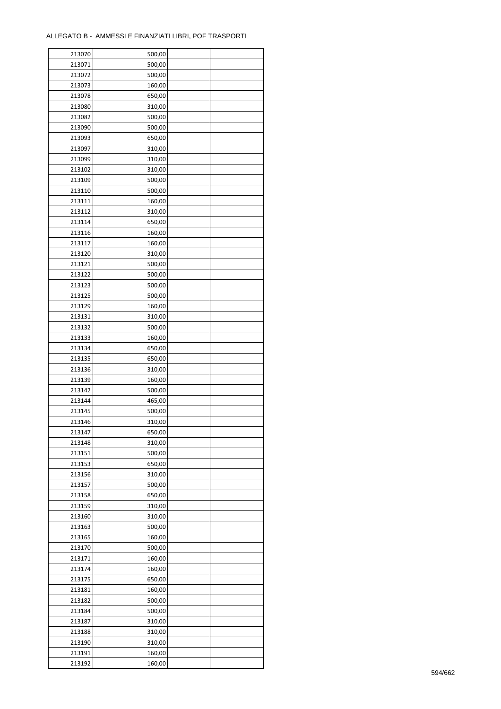| 213070 | 500,00 |  |
|--------|--------|--|
| 213071 | 500,00 |  |
| 213072 | 500,00 |  |
| 213073 | 160,00 |  |
| 213078 | 650,00 |  |
| 213080 | 310,00 |  |
| 213082 | 500,00 |  |
| 213090 | 500,00 |  |
| 213093 | 650,00 |  |
| 213097 | 310,00 |  |
| 213099 | 310,00 |  |
| 213102 | 310,00 |  |
| 213109 | 500,00 |  |
|        |        |  |
| 213110 | 500,00 |  |
| 213111 | 160,00 |  |
| 213112 | 310,00 |  |
| 213114 | 650,00 |  |
| 213116 | 160,00 |  |
| 213117 | 160,00 |  |
| 213120 | 310,00 |  |
| 213121 | 500,00 |  |
| 213122 | 500,00 |  |
| 213123 | 500,00 |  |
| 213125 | 500,00 |  |
| 213129 | 160,00 |  |
| 213131 | 310,00 |  |
| 213132 | 500,00 |  |
| 213133 | 160,00 |  |
| 213134 | 650,00 |  |
| 213135 | 650,00 |  |
| 213136 | 310,00 |  |
| 213139 | 160,00 |  |
| 213142 | 500,00 |  |
| 213144 | 465,00 |  |
| 213145 | 500,00 |  |
| 213146 | 310,00 |  |
| 213147 | 650,00 |  |
| 213148 | 310,00 |  |
| 213151 | 500,00 |  |
| 213153 | 650,00 |  |
| 213156 | 310,00 |  |
| 213157 |        |  |
|        | 500,00 |  |
| 213158 | 650,00 |  |
| 213159 | 310,00 |  |
| 213160 | 310,00 |  |
| 213163 | 500,00 |  |
| 213165 | 160,00 |  |
| 213170 | 500,00 |  |
| 213171 | 160,00 |  |
| 213174 | 160,00 |  |
| 213175 | 650,00 |  |
| 213181 | 160,00 |  |
| 213182 | 500,00 |  |
| 213184 | 500,00 |  |
| 213187 | 310,00 |  |
| 213188 | 310,00 |  |
| 213190 | 310,00 |  |
| 213191 | 160,00 |  |
| 213192 | 160,00 |  |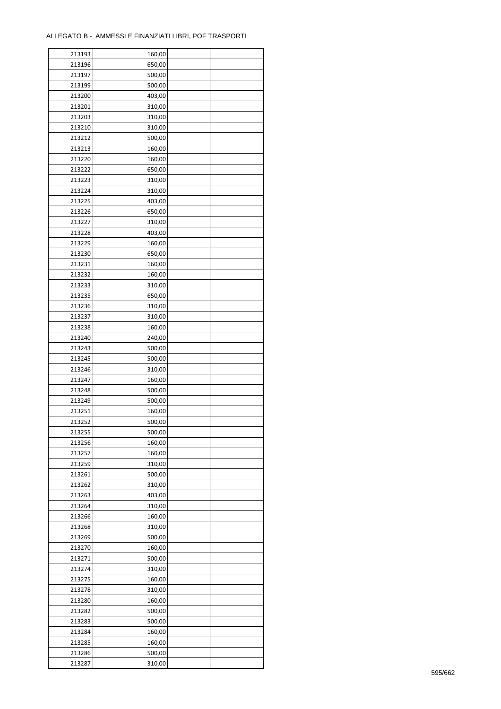| 213193 | 160,00 |  |
|--------|--------|--|
| 213196 | 650,00 |  |
| 213197 | 500,00 |  |
| 213199 | 500,00 |  |
| 213200 | 403,00 |  |
| 213201 | 310,00 |  |
| 213203 | 310,00 |  |
| 213210 | 310,00 |  |
| 213212 | 500,00 |  |
| 213213 | 160,00 |  |
| 213220 | 160,00 |  |
| 213222 | 650,00 |  |
| 213223 | 310,00 |  |
| 213224 | 310,00 |  |
| 213225 | 403,00 |  |
| 213226 | 650,00 |  |
| 213227 | 310,00 |  |
| 213228 | 403,00 |  |
| 213229 | 160,00 |  |
| 213230 | 650,00 |  |
|        |        |  |
| 213231 | 160,00 |  |
| 213232 | 160,00 |  |
| 213233 | 310,00 |  |
| 213235 | 650,00 |  |
| 213236 | 310,00 |  |
| 213237 | 310,00 |  |
| 213238 | 160,00 |  |
| 213240 | 240,00 |  |
| 213243 | 500,00 |  |
| 213245 | 500,00 |  |
| 213246 | 310,00 |  |
| 213247 | 160,00 |  |
| 213248 | 500,00 |  |
| 213249 | 500,00 |  |
| 213251 | 160,00 |  |
| 213252 | 500,00 |  |
| 213255 | 500,00 |  |
| 213256 | 160,00 |  |
| 213257 | 160,00 |  |
| 213259 | 310,00 |  |
| 213261 | 500,00 |  |
| 213262 | 310,00 |  |
| 213263 | 403,00 |  |
| 213264 | 310,00 |  |
| 213266 | 160,00 |  |
| 213268 | 310,00 |  |
| 213269 | 500,00 |  |
| 213270 | 160,00 |  |
| 213271 | 500,00 |  |
| 213274 | 310,00 |  |
| 213275 | 160,00 |  |
| 213278 | 310,00 |  |
| 213280 | 160,00 |  |
| 213282 | 500,00 |  |
| 213283 | 500,00 |  |
| 213284 | 160,00 |  |
| 213285 | 160,00 |  |
| 213286 | 500,00 |  |
| 213287 | 310,00 |  |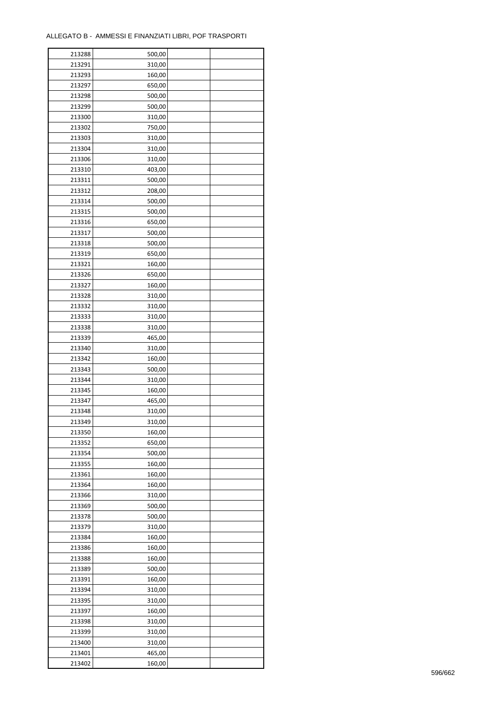| 213288 | 500,00 |  |
|--------|--------|--|
| 213291 | 310,00 |  |
| 213293 | 160,00 |  |
| 213297 | 650,00 |  |
| 213298 | 500,00 |  |
| 213299 | 500,00 |  |
| 213300 | 310,00 |  |
| 213302 | 750,00 |  |
| 213303 | 310,00 |  |
| 213304 | 310,00 |  |
| 213306 | 310,00 |  |
| 213310 | 403,00 |  |
| 213311 | 500,00 |  |
|        |        |  |
| 213312 | 208,00 |  |
| 213314 | 500,00 |  |
| 213315 | 500,00 |  |
| 213316 | 650,00 |  |
| 213317 | 500,00 |  |
| 213318 | 500,00 |  |
| 213319 | 650,00 |  |
| 213321 | 160,00 |  |
| 213326 | 650,00 |  |
| 213327 | 160,00 |  |
| 213328 | 310,00 |  |
| 213332 | 310,00 |  |
| 213333 | 310,00 |  |
| 213338 | 310,00 |  |
| 213339 | 465,00 |  |
| 213340 | 310,00 |  |
| 213342 | 160,00 |  |
| 213343 | 500,00 |  |
| 213344 | 310,00 |  |
| 213345 | 160,00 |  |
| 213347 | 465,00 |  |
| 213348 | 310,00 |  |
| 213349 | 310,00 |  |
| 213350 | 160,00 |  |
| 213352 | 650,00 |  |
| 213354 | 500,00 |  |
| 213355 | 160,00 |  |
| 213361 | 160,00 |  |
| 213364 | 160,00 |  |
| 213366 | 310,00 |  |
| 213369 | 500,00 |  |
| 213378 | 500,00 |  |
| 213379 | 310,00 |  |
| 213384 | 160,00 |  |
| 213386 | 160,00 |  |
| 213388 | 160,00 |  |
| 213389 | 500,00 |  |
| 213391 | 160,00 |  |
| 213394 | 310,00 |  |
| 213395 | 310,00 |  |
| 213397 | 160,00 |  |
| 213398 | 310,00 |  |
| 213399 | 310,00 |  |
| 213400 | 310,00 |  |
| 213401 | 465,00 |  |
| 213402 | 160,00 |  |
|        |        |  |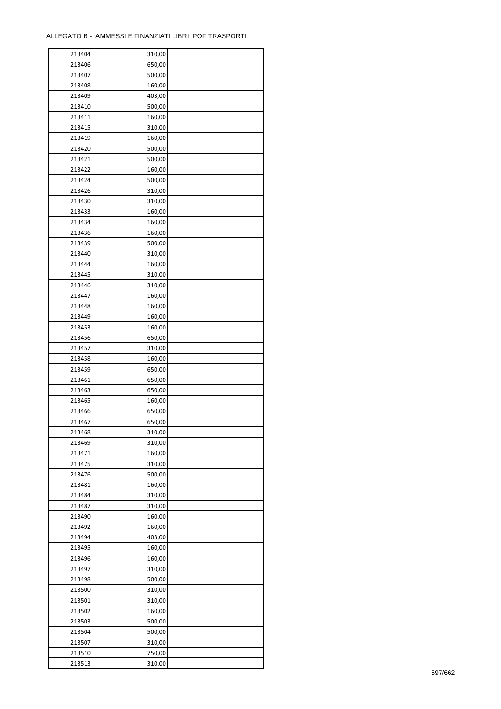$\mathbf{r}$ 

| 213404 | 310,00 |  |
|--------|--------|--|
| 213406 | 650,00 |  |
| 213407 | 500,00 |  |
| 213408 | 160,00 |  |
| 213409 | 403,00 |  |
| 213410 | 500,00 |  |
| 213411 | 160,00 |  |
| 213415 | 310,00 |  |
| 213419 | 160,00 |  |
| 213420 | 500,00 |  |
| 213421 | 500,00 |  |
| 213422 | 160,00 |  |
| 213424 | 500,00 |  |
| 213426 | 310,00 |  |
| 213430 | 310,00 |  |
|        |        |  |
| 213433 | 160,00 |  |
| 213434 | 160,00 |  |
| 213436 | 160,00 |  |
| 213439 | 500,00 |  |
| 213440 | 310,00 |  |
| 213444 | 160,00 |  |
| 213445 | 310,00 |  |
| 213446 | 310,00 |  |
| 213447 | 160,00 |  |
| 213448 | 160,00 |  |
| 213449 | 160,00 |  |
| 213453 | 160,00 |  |
| 213456 | 650,00 |  |
| 213457 | 310,00 |  |
| 213458 | 160,00 |  |
| 213459 | 650,00 |  |
| 213461 | 650,00 |  |
| 213463 | 650,00 |  |
| 213465 | 160,00 |  |
| 213466 | 650,00 |  |
| 213467 | 650,00 |  |
| 213468 | 310,00 |  |
| 213469 | 310,00 |  |
| 213471 | 160,00 |  |
| 213475 | 310,00 |  |
| 213476 | 500,00 |  |
| 213481 | 160,00 |  |
| 213484 | 310,00 |  |
| 213487 | 310,00 |  |
| 213490 | 160,00 |  |
| 213492 | 160,00 |  |
| 213494 | 403,00 |  |
| 213495 | 160,00 |  |
| 213496 | 160,00 |  |
| 213497 | 310,00 |  |
| 213498 | 500,00 |  |
| 213500 | 310,00 |  |
| 213501 | 310,00 |  |
| 213502 | 160,00 |  |
| 213503 | 500,00 |  |
| 213504 | 500,00 |  |
| 213507 | 310,00 |  |
| 213510 | 750,00 |  |
|        | 310,00 |  |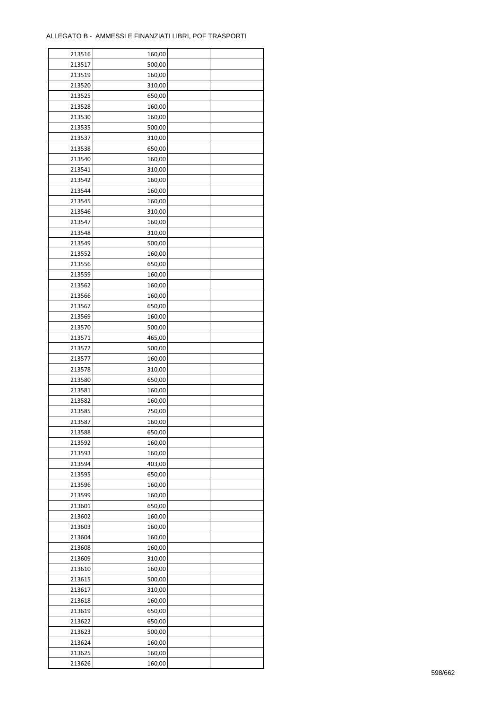| 213516 | 160,00 |  |
|--------|--------|--|
| 213517 | 500,00 |  |
| 213519 | 160,00 |  |
| 213520 | 310,00 |  |
| 213525 | 650,00 |  |
| 213528 | 160,00 |  |
| 213530 | 160,00 |  |
| 213535 | 500,00 |  |
| 213537 | 310,00 |  |
| 213538 | 650,00 |  |
| 213540 | 160,00 |  |
| 213541 | 310,00 |  |
| 213542 | 160,00 |  |
| 213544 | 160,00 |  |
| 213545 | 160,00 |  |
|        |        |  |
| 213546 | 310,00 |  |
| 213547 | 160,00 |  |
| 213548 | 310,00 |  |
| 213549 | 500,00 |  |
| 213552 | 160,00 |  |
| 213556 | 650,00 |  |
| 213559 | 160,00 |  |
| 213562 | 160,00 |  |
| 213566 | 160,00 |  |
| 213567 | 650,00 |  |
| 213569 | 160,00 |  |
| 213570 | 500,00 |  |
| 213571 | 465,00 |  |
| 213572 | 500,00 |  |
| 213577 | 160,00 |  |
| 213578 | 310,00 |  |
| 213580 | 650,00 |  |
| 213581 | 160,00 |  |
| 213582 | 160,00 |  |
| 213585 | 750,00 |  |
| 213587 | 160,00 |  |
| 213588 | 650,00 |  |
| 213592 | 160,00 |  |
| 213593 | 160,00 |  |
| 213594 | 403,00 |  |
| 213595 | 650,00 |  |
| 213596 | 160,00 |  |
| 213599 | 160,00 |  |
| 213601 | 650,00 |  |
| 213602 | 160,00 |  |
| 213603 | 160,00 |  |
| 213604 | 160,00 |  |
| 213608 | 160,00 |  |
| 213609 | 310,00 |  |
| 213610 | 160,00 |  |
| 213615 | 500,00 |  |
| 213617 | 310,00 |  |
| 213618 | 160,00 |  |
| 213619 | 650,00 |  |
| 213622 | 650,00 |  |
| 213623 | 500,00 |  |
| 213624 | 160,00 |  |
| 213625 | 160,00 |  |
| 213626 | 160,00 |  |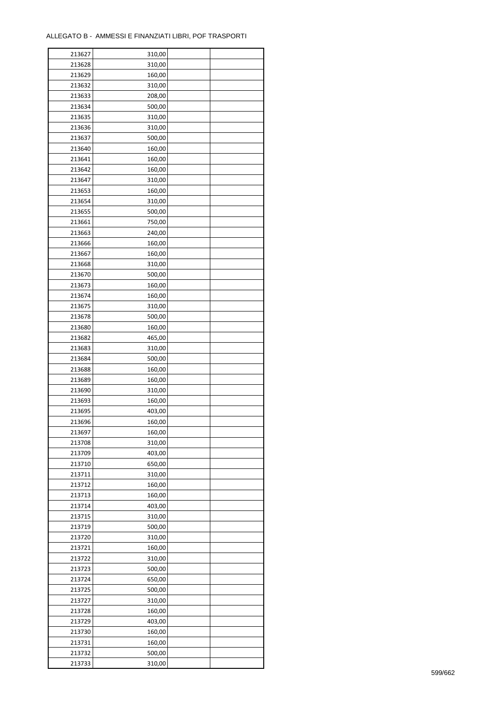$\mathbf{r}$ 

| 213627 | 310,00 |  |
|--------|--------|--|
| 213628 | 310,00 |  |
| 213629 | 160,00 |  |
| 213632 | 310,00 |  |
| 213633 | 208,00 |  |
| 213634 | 500,00 |  |
| 213635 | 310,00 |  |
| 213636 | 310,00 |  |
| 213637 | 500,00 |  |
| 213640 | 160,00 |  |
| 213641 | 160,00 |  |
| 213642 | 160,00 |  |
| 213647 | 310,00 |  |
| 213653 | 160,00 |  |
| 213654 | 310,00 |  |
| 213655 | 500,00 |  |
| 213661 |        |  |
|        | 750,00 |  |
| 213663 | 240,00 |  |
| 213666 | 160,00 |  |
| 213667 | 160,00 |  |
| 213668 | 310,00 |  |
| 213670 | 500,00 |  |
| 213673 | 160,00 |  |
| 213674 | 160,00 |  |
| 213675 | 310,00 |  |
| 213678 | 500,00 |  |
| 213680 | 160,00 |  |
| 213682 | 465,00 |  |
| 213683 | 310,00 |  |
| 213684 | 500,00 |  |
| 213688 | 160,00 |  |
| 213689 | 160,00 |  |
| 213690 | 310,00 |  |
| 213693 | 160,00 |  |
| 213695 | 403,00 |  |
| 213696 | 160,00 |  |
| 213697 | 160,00 |  |
| 213708 | 310,00 |  |
| 213709 | 403,00 |  |
| 213710 | 650,00 |  |
| 213711 | 310,00 |  |
| 213712 | 160,00 |  |
| 213713 | 160,00 |  |
| 213714 | 403,00 |  |
| 213715 | 310,00 |  |
| 213719 | 500,00 |  |
| 213720 | 310,00 |  |
| 213721 | 160,00 |  |
| 213722 | 310,00 |  |
| 213723 | 500,00 |  |
| 213724 | 650,00 |  |
| 213725 | 500,00 |  |
| 213727 | 310,00 |  |
| 213728 | 160,00 |  |
| 213729 | 403,00 |  |
| 213730 | 160,00 |  |
| 213731 | 160,00 |  |
| 213732 | 500,00 |  |
| 213733 | 310,00 |  |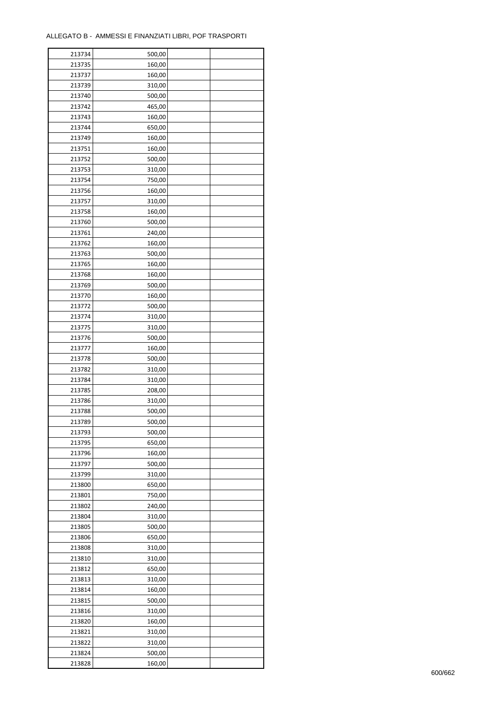| 213734 | 500,00 |  |
|--------|--------|--|
| 213735 | 160,00 |  |
| 213737 | 160,00 |  |
| 213739 | 310,00 |  |
| 213740 | 500,00 |  |
| 213742 | 465,00 |  |
| 213743 | 160,00 |  |
| 213744 | 650,00 |  |
| 213749 | 160,00 |  |
| 213751 |        |  |
|        | 160,00 |  |
| 213752 | 500,00 |  |
| 213753 | 310,00 |  |
| 213754 | 750,00 |  |
| 213756 | 160,00 |  |
| 213757 | 310,00 |  |
| 213758 | 160,00 |  |
| 213760 | 500,00 |  |
| 213761 | 240,00 |  |
| 213762 | 160,00 |  |
| 213763 | 500,00 |  |
| 213765 | 160,00 |  |
| 213768 | 160,00 |  |
| 213769 | 500,00 |  |
| 213770 | 160,00 |  |
| 213772 | 500,00 |  |
| 213774 | 310,00 |  |
| 213775 | 310,00 |  |
| 213776 |        |  |
|        | 500,00 |  |
| 213777 | 160,00 |  |
| 213778 | 500,00 |  |
| 213782 | 310,00 |  |
| 213784 | 310,00 |  |
| 213785 | 208,00 |  |
| 213786 | 310,00 |  |
| 213788 | 500,00 |  |
| 213789 | 500,00 |  |
| 213793 | 500,00 |  |
| 213795 | 650,00 |  |
| 213796 | 160,00 |  |
| 213797 | 500,00 |  |
| 213799 | 310,00 |  |
| 213800 | 650,00 |  |
| 213801 | 750,00 |  |
| 213802 | 240,00 |  |
| 213804 | 310,00 |  |
| 213805 | 500,00 |  |
| 213806 | 650,00 |  |
| 213808 |        |  |
|        | 310,00 |  |
| 213810 | 310,00 |  |
| 213812 | 650,00 |  |
| 213813 | 310,00 |  |
| 213814 | 160,00 |  |
| 213815 | 500,00 |  |
| 213816 | 310,00 |  |
| 213820 | 160,00 |  |
| 213821 | 310,00 |  |
| 213822 | 310,00 |  |
| 213824 | 500,00 |  |
| 213828 | 160,00 |  |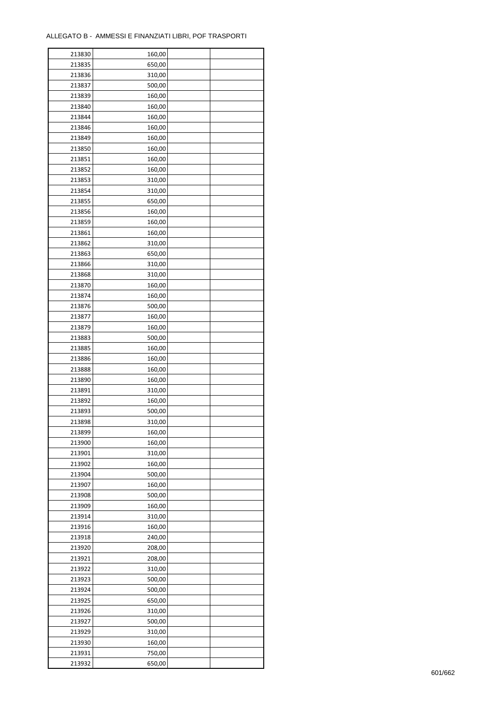$\mathbf{r}$ 

| 213830 | 160,00 |  |
|--------|--------|--|
| 213835 | 650,00 |  |
| 213836 | 310,00 |  |
| 213837 | 500,00 |  |
| 213839 | 160,00 |  |
| 213840 | 160,00 |  |
| 213844 | 160,00 |  |
| 213846 | 160,00 |  |
| 213849 | 160,00 |  |
| 213850 | 160,00 |  |
| 213851 | 160,00 |  |
| 213852 | 160,00 |  |
| 213853 | 310,00 |  |
| 213854 | 310,00 |  |
| 213855 | 650,00 |  |
|        |        |  |
| 213856 | 160,00 |  |
| 213859 | 160,00 |  |
| 213861 | 160,00 |  |
| 213862 | 310,00 |  |
| 213863 | 650,00 |  |
| 213866 | 310,00 |  |
| 213868 | 310,00 |  |
| 213870 | 160,00 |  |
| 213874 | 160,00 |  |
| 213876 | 500,00 |  |
| 213877 | 160,00 |  |
| 213879 | 160,00 |  |
| 213883 | 500,00 |  |
| 213885 | 160,00 |  |
| 213886 | 160,00 |  |
| 213888 | 160,00 |  |
| 213890 | 160,00 |  |
| 213891 | 310,00 |  |
| 213892 | 160,00 |  |
| 213893 | 500,00 |  |
| 213898 | 310,00 |  |
| 213899 | 160,00 |  |
| 213900 | 160,00 |  |
| 213901 | 310,00 |  |
| 213902 | 160,00 |  |
| 213904 | 500,00 |  |
| 213907 | 160,00 |  |
| 213908 | 500,00 |  |
| 213909 | 160,00 |  |
| 213914 | 310,00 |  |
| 213916 | 160,00 |  |
| 213918 | 240,00 |  |
| 213920 | 208,00 |  |
| 213921 | 208,00 |  |
| 213922 | 310,00 |  |
| 213923 | 500,00 |  |
| 213924 | 500,00 |  |
| 213925 | 650,00 |  |
| 213926 | 310,00 |  |
| 213927 | 500,00 |  |
| 213929 | 310,00 |  |
| 213930 | 160,00 |  |
| 213931 | 750,00 |  |
| 213932 | 650,00 |  |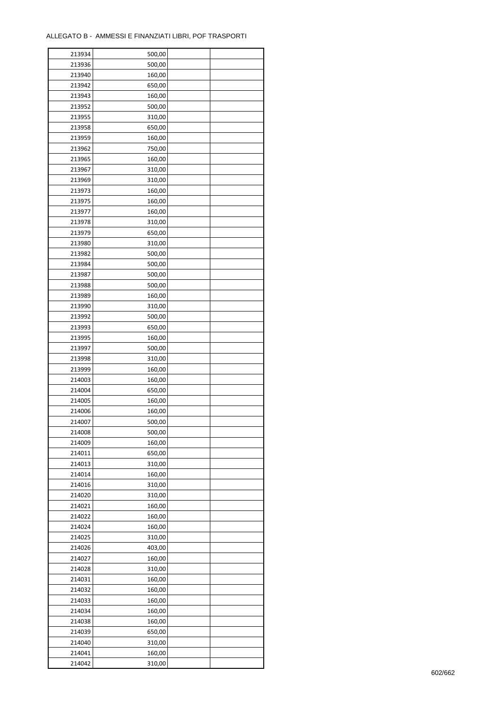| 213934 | 500,00 |  |
|--------|--------|--|
| 213936 | 500,00 |  |
| 213940 | 160,00 |  |
| 213942 | 650,00 |  |
| 213943 | 160,00 |  |
| 213952 | 500,00 |  |
| 213955 | 310,00 |  |
| 213958 | 650,00 |  |
| 213959 | 160,00 |  |
| 213962 | 750,00 |  |
| 213965 | 160,00 |  |
| 213967 | 310,00 |  |
| 213969 | 310,00 |  |
| 213973 | 160,00 |  |
| 213975 |        |  |
|        | 160,00 |  |
| 213977 | 160,00 |  |
| 213978 | 310,00 |  |
| 213979 | 650,00 |  |
| 213980 | 310,00 |  |
| 213982 | 500,00 |  |
| 213984 | 500,00 |  |
| 213987 | 500,00 |  |
| 213988 | 500,00 |  |
| 213989 | 160,00 |  |
| 213990 | 310,00 |  |
| 213992 | 500,00 |  |
| 213993 | 650,00 |  |
| 213995 | 160,00 |  |
| 213997 | 500,00 |  |
| 213998 | 310,00 |  |
| 213999 | 160,00 |  |
| 214003 | 160,00 |  |
| 214004 | 650,00 |  |
| 214005 | 160,00 |  |
| 214006 | 160,00 |  |
| 214007 | 500,00 |  |
| 214008 | 500,00 |  |
| 214009 | 160,00 |  |
| 214011 | 650,00 |  |
| 214013 | 310,00 |  |
| 214014 | 160,00 |  |
| 214016 | 310,00 |  |
| 214020 | 310,00 |  |
| 214021 | 160,00 |  |
| 214022 | 160,00 |  |
| 214024 | 160,00 |  |
| 214025 | 310,00 |  |
| 214026 | 403,00 |  |
| 214027 |        |  |
| 214028 | 160,00 |  |
|        | 310,00 |  |
| 214031 | 160,00 |  |
| 214032 | 160,00 |  |
| 214033 | 160,00 |  |
| 214034 | 160,00 |  |
| 214038 | 160,00 |  |
| 214039 | 650,00 |  |
| 214040 | 310,00 |  |
| 214041 | 160,00 |  |
| 214042 | 310,00 |  |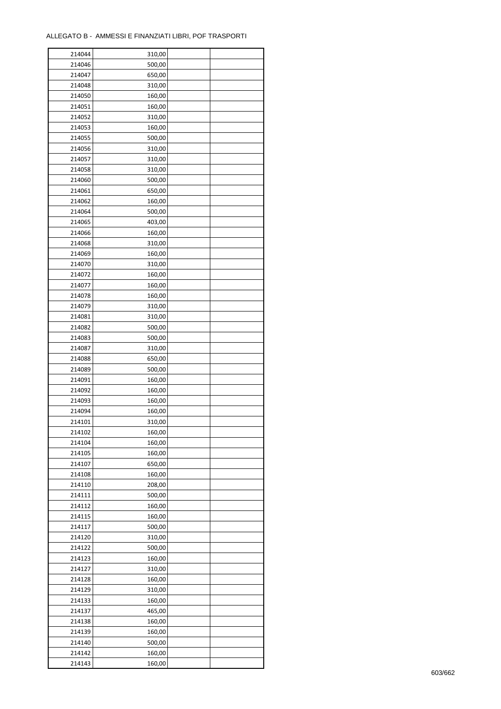| 214044 | 310,00 |  |
|--------|--------|--|
| 214046 | 500,00 |  |
| 214047 | 650,00 |  |
| 214048 | 310,00 |  |
| 214050 | 160,00 |  |
| 214051 | 160,00 |  |
| 214052 | 310,00 |  |
| 214053 | 160,00 |  |
| 214055 | 500,00 |  |
| 214056 | 310,00 |  |
| 214057 | 310,00 |  |
| 214058 | 310,00 |  |
| 214060 | 500,00 |  |
| 214061 |        |  |
|        | 650,00 |  |
| 214062 | 160,00 |  |
| 214064 | 500,00 |  |
| 214065 | 403,00 |  |
| 214066 | 160,00 |  |
| 214068 | 310,00 |  |
| 214069 | 160,00 |  |
| 214070 | 310,00 |  |
| 214072 | 160,00 |  |
| 214077 | 160,00 |  |
| 214078 | 160,00 |  |
| 214079 | 310,00 |  |
| 214081 | 310,00 |  |
| 214082 | 500,00 |  |
| 214083 | 500,00 |  |
| 214087 | 310,00 |  |
| 214088 | 650,00 |  |
| 214089 | 500,00 |  |
| 214091 | 160,00 |  |
| 214092 | 160,00 |  |
| 214093 | 160,00 |  |
| 214094 | 160,00 |  |
| 214101 | 310,00 |  |
| 214102 | 160,00 |  |
| 214104 | 160,00 |  |
| 214105 | 160,00 |  |
| 214107 | 650,00 |  |
| 214108 | 160,00 |  |
| 214110 | 208,00 |  |
| 214111 | 500,00 |  |
| 214112 | 160,00 |  |
| 214115 | 160,00 |  |
| 214117 | 500,00 |  |
| 214120 | 310,00 |  |
| 214122 | 500,00 |  |
| 214123 | 160,00 |  |
| 214127 | 310,00 |  |
| 214128 | 160,00 |  |
| 214129 | 310,00 |  |
| 214133 | 160,00 |  |
| 214137 | 465,00 |  |
| 214138 | 160,00 |  |
| 214139 | 160,00 |  |
| 214140 | 500,00 |  |
| 214142 | 160,00 |  |
|        |        |  |
| 214143 | 160,00 |  |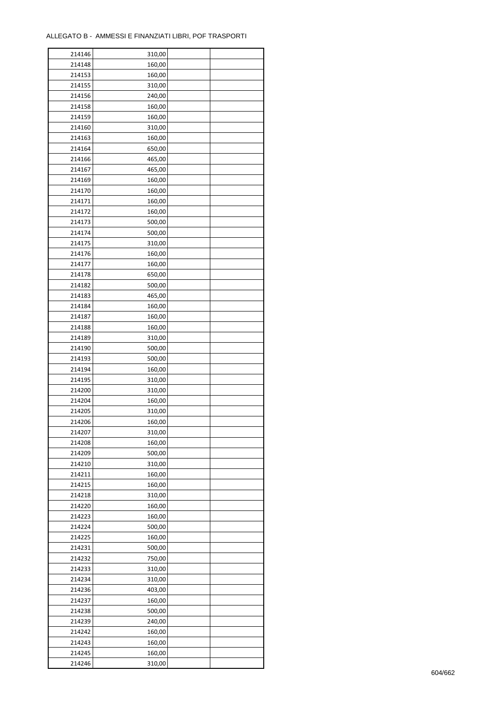| 214146 | 310,00 |  |
|--------|--------|--|
| 214148 | 160,00 |  |
| 214153 | 160,00 |  |
| 214155 | 310,00 |  |
| 214156 | 240,00 |  |
| 214158 | 160,00 |  |
| 214159 | 160,00 |  |
| 214160 | 310,00 |  |
| 214163 | 160,00 |  |
| 214164 |        |  |
|        | 650,00 |  |
| 214166 | 465,00 |  |
| 214167 | 465,00 |  |
| 214169 | 160,00 |  |
| 214170 | 160,00 |  |
| 214171 | 160,00 |  |
| 214172 | 160,00 |  |
| 214173 | 500,00 |  |
| 214174 | 500,00 |  |
| 214175 | 310,00 |  |
| 214176 | 160,00 |  |
| 214177 | 160,00 |  |
| 214178 | 650,00 |  |
| 214182 | 500,00 |  |
| 214183 | 465,00 |  |
| 214184 | 160,00 |  |
| 214187 | 160,00 |  |
| 214188 | 160,00 |  |
| 214189 | 310,00 |  |
| 214190 | 500,00 |  |
| 214193 | 500,00 |  |
| 214194 | 160,00 |  |
|        |        |  |
| 214195 | 310,00 |  |
| 214200 | 310,00 |  |
| 214204 | 160,00 |  |
| 214205 | 310,00 |  |
| 214206 | 160,00 |  |
| 214207 | 310,00 |  |
| 214208 | 160,00 |  |
| 214209 | 500,00 |  |
| 214210 | 310,00 |  |
| 214211 | 160,00 |  |
| 214215 | 160,00 |  |
| 214218 | 310,00 |  |
| 214220 | 160,00 |  |
| 214223 | 160,00 |  |
| 214224 | 500,00 |  |
| 214225 | 160,00 |  |
| 214231 | 500,00 |  |
| 214232 | 750,00 |  |
| 214233 | 310,00 |  |
| 214234 | 310,00 |  |
| 214236 | 403,00 |  |
| 214237 | 160,00 |  |
|        |        |  |
| 214238 | 500,00 |  |
| 214239 | 240,00 |  |
| 214242 | 160,00 |  |
| 214243 | 160,00 |  |
| 214245 | 160,00 |  |
| 214246 | 310,00 |  |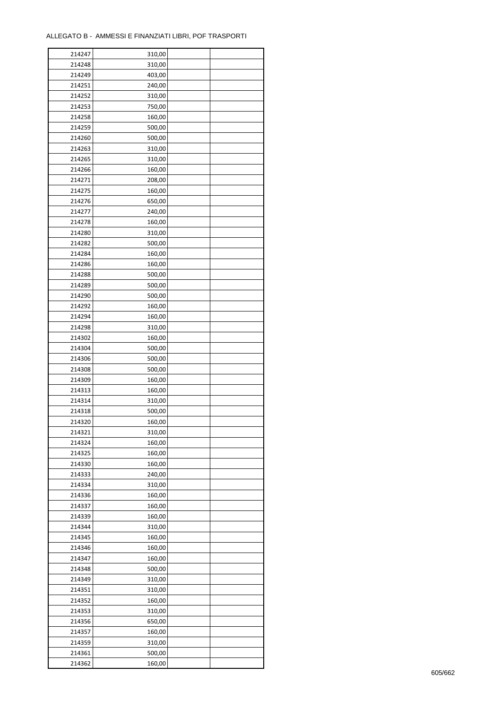| 214247 | 310,00 |  |
|--------|--------|--|
| 214248 | 310,00 |  |
| 214249 | 403,00 |  |
| 214251 | 240,00 |  |
| 214252 | 310,00 |  |
| 214253 | 750,00 |  |
| 214258 | 160,00 |  |
| 214259 | 500,00 |  |
|        |        |  |
| 214260 | 500,00 |  |
| 214263 | 310,00 |  |
| 214265 | 310,00 |  |
| 214266 | 160,00 |  |
| 214271 | 208,00 |  |
| 214275 | 160,00 |  |
| 214276 | 650,00 |  |
| 214277 | 240,00 |  |
| 214278 | 160,00 |  |
| 214280 | 310,00 |  |
| 214282 | 500,00 |  |
| 214284 | 160,00 |  |
| 214286 | 160,00 |  |
| 214288 | 500,00 |  |
| 214289 | 500,00 |  |
| 214290 | 500,00 |  |
|        |        |  |
| 214292 | 160,00 |  |
| 214294 | 160,00 |  |
| 214298 | 310,00 |  |
| 214302 | 160,00 |  |
| 214304 | 500,00 |  |
| 214306 | 500,00 |  |
| 214308 | 500,00 |  |
| 214309 | 160,00 |  |
| 214313 | 160,00 |  |
| 214314 | 310,00 |  |
| 214318 | 500,00 |  |
| 214320 | 160,00 |  |
| 214321 | 310,00 |  |
| 214324 | 160,00 |  |
| 214325 | 160,00 |  |
| 214330 | 160,00 |  |
| 214333 | 240,00 |  |
| 214334 | 310,00 |  |
| 214336 | 160,00 |  |
|        |        |  |
| 214337 | 160,00 |  |
| 214339 | 160,00 |  |
| 214344 | 310,00 |  |
| 214345 | 160,00 |  |
| 214346 | 160,00 |  |
| 214347 | 160,00 |  |
| 214348 | 500,00 |  |
| 214349 | 310,00 |  |
| 214351 | 310,00 |  |
| 214352 | 160,00 |  |
| 214353 | 310,00 |  |
| 214356 | 650,00 |  |
| 214357 | 160,00 |  |
| 214359 | 310,00 |  |
| 214361 | 500,00 |  |
|        |        |  |
| 214362 | 160,00 |  |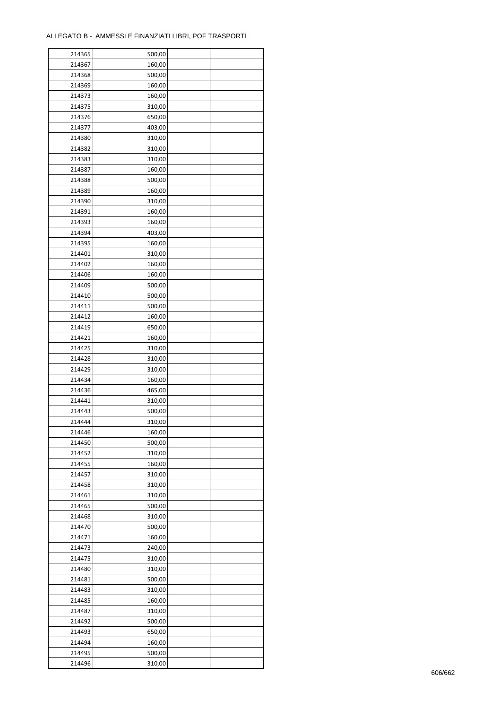| 214365 | 500,00 |  |
|--------|--------|--|
| 214367 | 160,00 |  |
| 214368 | 500,00 |  |
| 214369 | 160,00 |  |
| 214373 | 160,00 |  |
| 214375 | 310,00 |  |
| 214376 | 650,00 |  |
| 214377 | 403,00 |  |
| 214380 | 310,00 |  |
| 214382 | 310,00 |  |
| 214383 | 310,00 |  |
| 214387 | 160,00 |  |
| 214388 |        |  |
|        | 500,00 |  |
| 214389 | 160,00 |  |
| 214390 | 310,00 |  |
| 214391 | 160,00 |  |
| 214393 | 160,00 |  |
| 214394 | 403,00 |  |
| 214395 | 160,00 |  |
| 214401 | 310,00 |  |
| 214402 | 160,00 |  |
| 214406 | 160,00 |  |
| 214409 | 500,00 |  |
| 214410 | 500,00 |  |
| 214411 | 500,00 |  |
| 214412 | 160,00 |  |
| 214419 | 650,00 |  |
| 214421 | 160,00 |  |
| 214425 | 310,00 |  |
| 214428 | 310,00 |  |
| 214429 | 310,00 |  |
| 214434 | 160,00 |  |
| 214436 | 465,00 |  |
| 214441 | 310,00 |  |
| 214443 | 500,00 |  |
| 214444 | 310,00 |  |
| 214446 | 160,00 |  |
| 214450 | 500,00 |  |
| 214452 | 310,00 |  |
| 214455 | 160,00 |  |
| 214457 | 310,00 |  |
| 214458 | 310,00 |  |
| 214461 | 310,00 |  |
| 214465 | 500,00 |  |
| 214468 | 310,00 |  |
| 214470 | 500,00 |  |
| 214471 | 160,00 |  |
| 214473 | 240,00 |  |
| 214475 | 310,00 |  |
| 214480 | 310,00 |  |
| 214481 | 500,00 |  |
| 214483 | 310,00 |  |
| 214485 | 160,00 |  |
| 214487 | 310,00 |  |
| 214492 | 500,00 |  |
| 214493 | 650,00 |  |
| 214494 | 160,00 |  |
|        |        |  |
| 214495 | 500,00 |  |
| 214496 | 310,00 |  |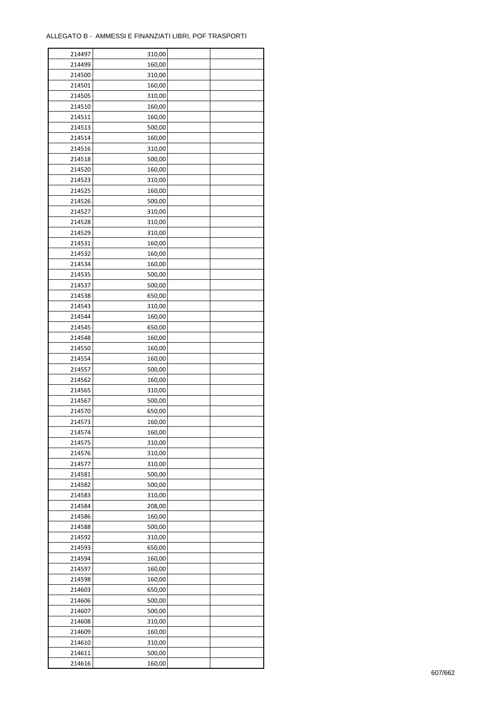$\mathbf{r}$ 

| 214497 | 310,00 |  |
|--------|--------|--|
| 214499 | 160,00 |  |
| 214500 | 310,00 |  |
| 214501 | 160,00 |  |
| 214505 | 310,00 |  |
| 214510 | 160,00 |  |
| 214511 | 160,00 |  |
| 214513 | 500,00 |  |
| 214514 | 160,00 |  |
| 214516 | 310,00 |  |
| 214518 | 500,00 |  |
| 214520 | 160,00 |  |
| 214523 | 310,00 |  |
| 214525 | 160,00 |  |
| 214526 | 500,00 |  |
|        |        |  |
| 214527 | 310,00 |  |
| 214528 | 310,00 |  |
| 214529 | 310,00 |  |
| 214531 | 160,00 |  |
| 214532 | 160,00 |  |
| 214534 | 160,00 |  |
| 214535 | 500,00 |  |
| 214537 | 500,00 |  |
| 214538 | 650,00 |  |
| 214543 | 310,00 |  |
| 214544 | 160,00 |  |
| 214545 | 650,00 |  |
| 214548 | 160,00 |  |
| 214550 | 160,00 |  |
| 214554 | 160,00 |  |
| 214557 | 500,00 |  |
| 214562 | 160,00 |  |
| 214565 | 310,00 |  |
| 214567 | 500,00 |  |
| 214570 | 650,00 |  |
| 214573 | 160,00 |  |
| 214574 | 160,00 |  |
| 214575 | 310,00 |  |
| 214576 | 310,00 |  |
| 214577 | 310,00 |  |
| 214581 | 500,00 |  |
| 214582 | 500,00 |  |
| 214583 | 310,00 |  |
| 214584 | 208,00 |  |
| 214586 | 160,00 |  |
| 214588 | 500,00 |  |
| 214592 | 310,00 |  |
| 214593 | 650,00 |  |
| 214594 | 160,00 |  |
| 214597 | 160,00 |  |
| 214598 | 160,00 |  |
| 214603 | 650,00 |  |
| 214606 | 500,00 |  |
| 214607 | 500,00 |  |
| 214608 | 310,00 |  |
| 214609 | 160,00 |  |
| 214610 | 310,00 |  |
| 214611 | 500,00 |  |
| 214616 | 160,00 |  |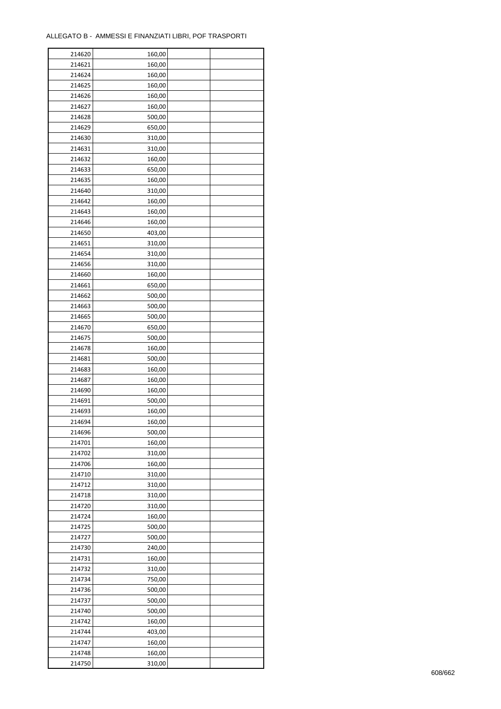| 214620 | 160,00 |  |
|--------|--------|--|
| 214621 | 160,00 |  |
| 214624 | 160,00 |  |
| 214625 | 160,00 |  |
| 214626 | 160,00 |  |
| 214627 | 160,00 |  |
| 214628 | 500,00 |  |
| 214629 | 650,00 |  |
| 214630 | 310,00 |  |
| 214631 |        |  |
| 214632 | 310,00 |  |
|        | 160,00 |  |
| 214633 | 650,00 |  |
| 214635 | 160,00 |  |
| 214640 | 310,00 |  |
| 214642 | 160,00 |  |
| 214643 | 160,00 |  |
| 214646 | 160,00 |  |
| 214650 | 403,00 |  |
| 214651 | 310,00 |  |
| 214654 | 310,00 |  |
| 214656 | 310,00 |  |
| 214660 | 160,00 |  |
| 214661 | 650,00 |  |
| 214662 | 500,00 |  |
| 214663 | 500,00 |  |
| 214665 | 500,00 |  |
| 214670 | 650,00 |  |
| 214675 | 500,00 |  |
| 214678 | 160,00 |  |
| 214681 | 500,00 |  |
| 214683 | 160,00 |  |
|        |        |  |
| 214687 | 160,00 |  |
| 214690 | 160,00 |  |
| 214691 | 500,00 |  |
| 214693 | 160,00 |  |
| 214694 | 160,00 |  |
| 214696 | 500,00 |  |
| 214701 | 160,00 |  |
| 214702 | 310,00 |  |
| 214706 | 160,00 |  |
| 214710 | 310,00 |  |
| 214712 | 310,00 |  |
| 214718 | 310,00 |  |
| 214720 | 310,00 |  |
| 214724 | 160,00 |  |
| 214725 | 500,00 |  |
| 214727 | 500,00 |  |
| 214730 | 240,00 |  |
| 214731 | 160,00 |  |
| 214732 | 310,00 |  |
| 214734 | 750,00 |  |
| 214736 | 500,00 |  |
| 214737 | 500,00 |  |
| 214740 | 500,00 |  |
| 214742 |        |  |
|        | 160,00 |  |
| 214744 | 403,00 |  |
| 214747 | 160,00 |  |
| 214748 | 160,00 |  |
| 214750 | 310,00 |  |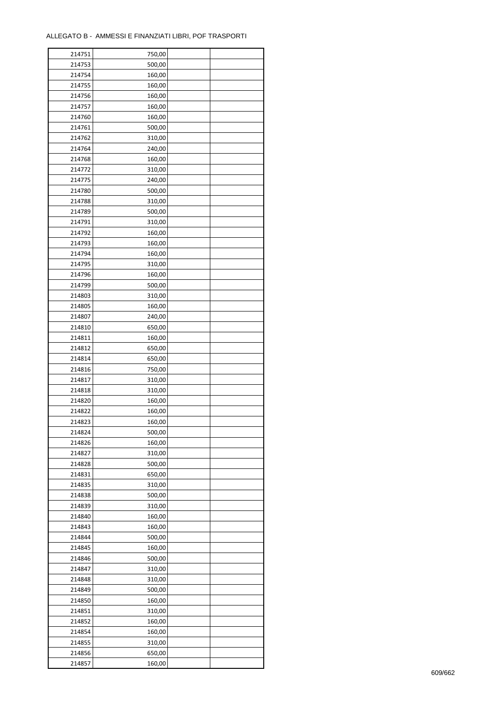| 214751 | 750,00 |  |
|--------|--------|--|
| 214753 | 500,00 |  |
| 214754 | 160,00 |  |
| 214755 | 160,00 |  |
| 214756 | 160,00 |  |
| 214757 | 160,00 |  |
| 214760 | 160,00 |  |
| 214761 | 500,00 |  |
| 214762 | 310,00 |  |
| 214764 | 240,00 |  |
| 214768 | 160,00 |  |
| 214772 | 310,00 |  |
| 214775 | 240,00 |  |
| 214780 | 500,00 |  |
| 214788 |        |  |
|        | 310,00 |  |
| 214789 | 500,00 |  |
| 214791 | 310,00 |  |
| 214792 | 160,00 |  |
| 214793 | 160,00 |  |
| 214794 | 160,00 |  |
| 214795 | 310,00 |  |
| 214796 | 160,00 |  |
| 214799 | 500,00 |  |
| 214803 | 310,00 |  |
| 214805 | 160,00 |  |
| 214807 | 240,00 |  |
| 214810 | 650,00 |  |
| 214811 | 160,00 |  |
| 214812 | 650,00 |  |
| 214814 | 650,00 |  |
| 214816 | 750,00 |  |
| 214817 | 310,00 |  |
| 214818 | 310,00 |  |
| 214820 | 160,00 |  |
| 214822 | 160,00 |  |
| 214823 | 160,00 |  |
| 214824 | 500,00 |  |
| 214826 | 160,00 |  |
| 214827 | 310,00 |  |
| 214828 | 500,00 |  |
| 214831 | 650,00 |  |
| 214835 | 310,00 |  |
| 214838 | 500,00 |  |
| 214839 | 310,00 |  |
| 214840 | 160,00 |  |
| 214843 | 160,00 |  |
| 214844 | 500,00 |  |
| 214845 | 160,00 |  |
| 214846 | 500,00 |  |
| 214847 | 310,00 |  |
| 214848 | 310,00 |  |
| 214849 | 500,00 |  |
| 214850 | 160,00 |  |
|        |        |  |
| 214851 | 310,00 |  |
| 214852 | 160,00 |  |
| 214854 | 160,00 |  |
| 214855 | 310,00 |  |
| 214856 | 650,00 |  |
| 214857 | 160,00 |  |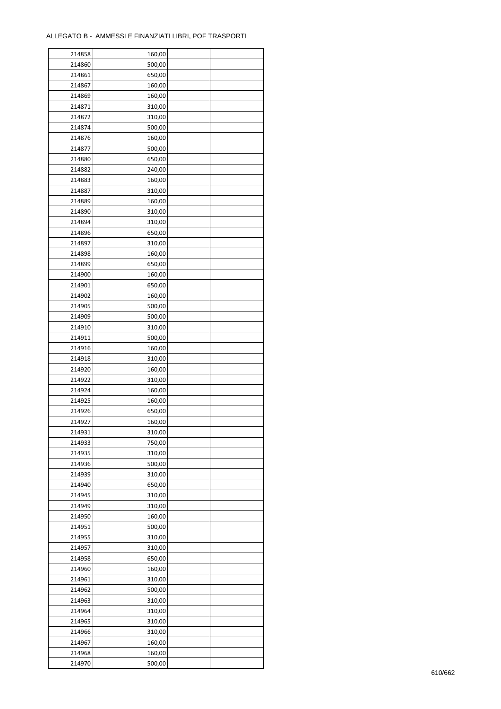| 214858 | 160,00 |  |
|--------|--------|--|
| 214860 | 500,00 |  |
| 214861 | 650,00 |  |
| 214867 | 160,00 |  |
| 214869 | 160,00 |  |
| 214871 | 310,00 |  |
| 214872 | 310,00 |  |
| 214874 | 500,00 |  |
| 214876 | 160,00 |  |
| 214877 | 500,00 |  |
|        |        |  |
| 214880 | 650,00 |  |
| 214882 | 240,00 |  |
| 214883 | 160,00 |  |
| 214887 | 310,00 |  |
| 214889 | 160,00 |  |
| 214890 | 310,00 |  |
| 214894 | 310,00 |  |
| 214896 | 650,00 |  |
| 214897 | 310,00 |  |
| 214898 | 160,00 |  |
| 214899 | 650,00 |  |
| 214900 | 160,00 |  |
| 214901 | 650,00 |  |
| 214902 | 160,00 |  |
| 214905 | 500,00 |  |
| 214909 | 500,00 |  |
| 214910 | 310,00 |  |
| 214911 | 500,00 |  |
| 214916 | 160,00 |  |
| 214918 | 310,00 |  |
| 214920 | 160,00 |  |
| 214922 | 310,00 |  |
| 214924 | 160,00 |  |
| 214925 | 160,00 |  |
| 214926 | 650,00 |  |
| 214927 | 160,00 |  |
| 214931 | 310,00 |  |
| 214933 | 750,00 |  |
| 214935 |        |  |
|        | 310,00 |  |
| 214936 | 500,00 |  |
| 214939 | 310,00 |  |
| 214940 | 650,00 |  |
| 214945 | 310,00 |  |
| 214949 | 310,00 |  |
| 214950 | 160,00 |  |
| 214951 | 500,00 |  |
| 214955 | 310,00 |  |
| 214957 | 310,00 |  |
| 214958 | 650,00 |  |
| 214960 | 160,00 |  |
| 214961 | 310,00 |  |
| 214962 | 500,00 |  |
| 214963 | 310,00 |  |
| 214964 | 310,00 |  |
| 214965 | 310,00 |  |
| 214966 | 310,00 |  |
| 214967 | 160,00 |  |
| 214968 | 160,00 |  |
| 214970 | 500,00 |  |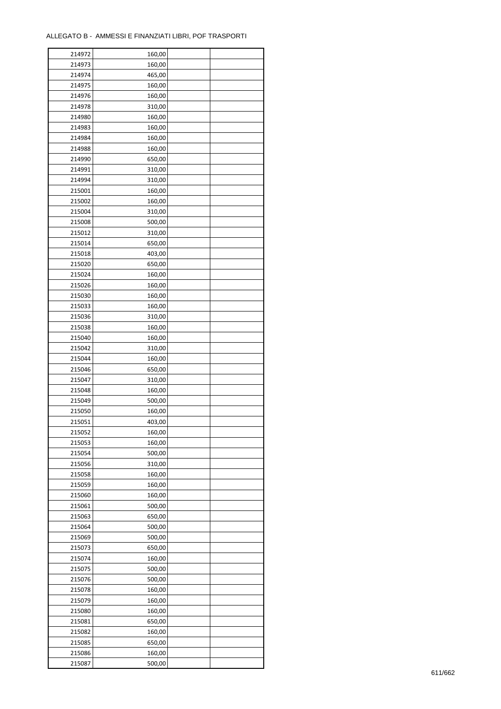| 214972 | 160,00 |  |
|--------|--------|--|
| 214973 | 160,00 |  |
| 214974 | 465,00 |  |
| 214975 | 160,00 |  |
| 214976 | 160,00 |  |
| 214978 | 310,00 |  |
| 214980 | 160,00 |  |
| 214983 | 160,00 |  |
| 214984 | 160,00 |  |
|        |        |  |
| 214988 | 160,00 |  |
| 214990 | 650,00 |  |
| 214991 | 310,00 |  |
| 214994 | 310,00 |  |
| 215001 | 160,00 |  |
| 215002 | 160,00 |  |
| 215004 | 310,00 |  |
| 215008 | 500,00 |  |
| 215012 | 310,00 |  |
| 215014 | 650,00 |  |
| 215018 | 403,00 |  |
| 215020 | 650,00 |  |
| 215024 | 160,00 |  |
| 215026 | 160,00 |  |
| 215030 | 160,00 |  |
| 215033 | 160,00 |  |
| 215036 | 310,00 |  |
| 215038 | 160,00 |  |
| 215040 | 160,00 |  |
| 215042 |        |  |
|        | 310,00 |  |
| 215044 | 160,00 |  |
| 215046 | 650,00 |  |
| 215047 | 310,00 |  |
| 215048 | 160,00 |  |
| 215049 | 500,00 |  |
| 215050 | 160,00 |  |
| 215051 | 403,00 |  |
| 215052 | 160,00 |  |
| 215053 | 160,00 |  |
| 215054 | 500,00 |  |
| 215056 | 310,00 |  |
| 215058 | 160,00 |  |
| 215059 | 160,00 |  |
| 215060 | 160,00 |  |
| 215061 | 500,00 |  |
| 215063 | 650,00 |  |
| 215064 | 500,00 |  |
| 215069 | 500,00 |  |
| 215073 | 650,00 |  |
| 215074 | 160,00 |  |
| 215075 |        |  |
|        | 500,00 |  |
| 215076 | 500,00 |  |
| 215078 | 160,00 |  |
| 215079 | 160,00 |  |
| 215080 | 160,00 |  |
| 215081 | 650,00 |  |
| 215082 | 160,00 |  |
| 215085 | 650,00 |  |
| 215086 | 160,00 |  |
| 215087 | 500,00 |  |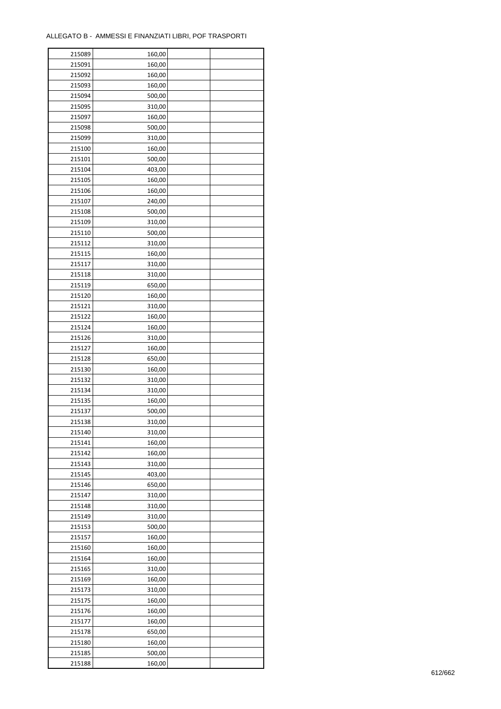| 215089 | 160,00 |  |
|--------|--------|--|
| 215091 | 160,00 |  |
| 215092 | 160,00 |  |
| 215093 | 160,00 |  |
| 215094 | 500,00 |  |
| 215095 | 310,00 |  |
| 215097 | 160,00 |  |
| 215098 | 500,00 |  |
| 215099 | 310,00 |  |
|        |        |  |
| 215100 | 160,00 |  |
| 215101 | 500,00 |  |
| 215104 | 403,00 |  |
| 215105 | 160,00 |  |
| 215106 | 160,00 |  |
| 215107 | 240,00 |  |
| 215108 | 500,00 |  |
| 215109 | 310,00 |  |
| 215110 | 500,00 |  |
| 215112 | 310,00 |  |
| 215115 | 160,00 |  |
| 215117 | 310,00 |  |
| 215118 | 310,00 |  |
| 215119 | 650,00 |  |
| 215120 | 160,00 |  |
| 215121 | 310,00 |  |
| 215122 | 160,00 |  |
| 215124 | 160,00 |  |
| 215126 |        |  |
|        | 310,00 |  |
| 215127 | 160,00 |  |
| 215128 | 650,00 |  |
| 215130 | 160,00 |  |
| 215132 | 310,00 |  |
| 215134 | 310,00 |  |
| 215135 | 160,00 |  |
| 215137 | 500,00 |  |
| 215138 | 310,00 |  |
| 215140 | 310,00 |  |
| 215141 | 160,00 |  |
| 215142 | 160,00 |  |
| 215143 | 310,00 |  |
| 215145 | 403,00 |  |
| 215146 | 650,00 |  |
| 215147 | 310,00 |  |
| 215148 | 310,00 |  |
| 215149 | 310,00 |  |
| 215153 | 500,00 |  |
| 215157 | 160,00 |  |
|        |        |  |
| 215160 | 160,00 |  |
| 215164 | 160,00 |  |
| 215165 | 310,00 |  |
| 215169 | 160,00 |  |
| 215173 | 310,00 |  |
| 215175 | 160,00 |  |
| 215176 | 160,00 |  |
| 215177 | 160,00 |  |
| 215178 | 650,00 |  |
| 215180 | 160,00 |  |
| 215185 | 500,00 |  |
| 215188 | 160,00 |  |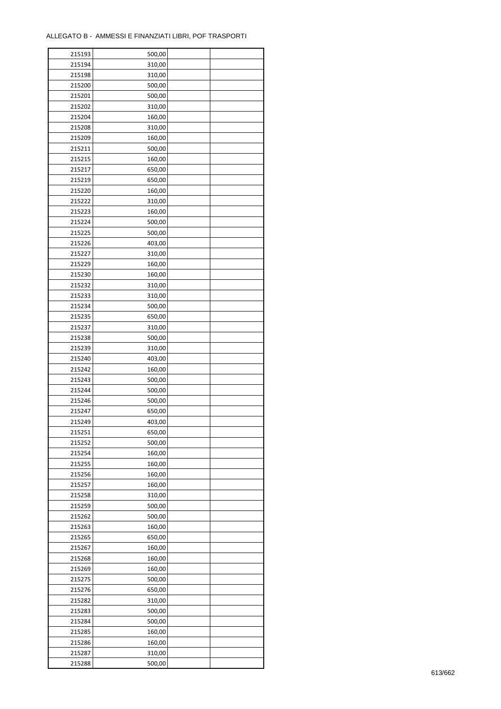| 215193 | 500,00 |  |
|--------|--------|--|
| 215194 | 310,00 |  |
| 215198 | 310,00 |  |
| 215200 | 500,00 |  |
| 215201 | 500,00 |  |
| 215202 | 310,00 |  |
| 215204 | 160,00 |  |
| 215208 | 310,00 |  |
| 215209 | 160,00 |  |
|        |        |  |
| 215211 | 500,00 |  |
| 215215 | 160,00 |  |
| 215217 | 650,00 |  |
| 215219 | 650,00 |  |
| 215220 | 160,00 |  |
| 215222 | 310,00 |  |
| 215223 | 160,00 |  |
| 215224 | 500,00 |  |
| 215225 | 500,00 |  |
| 215226 | 403,00 |  |
| 215227 | 310,00 |  |
| 215229 | 160,00 |  |
| 215230 | 160,00 |  |
| 215232 | 310,00 |  |
| 215233 | 310,00 |  |
| 215234 | 500,00 |  |
| 215235 | 650,00 |  |
| 215237 | 310,00 |  |
| 215238 | 500,00 |  |
| 215239 | 310,00 |  |
| 215240 | 403,00 |  |
|        |        |  |
| 215242 | 160,00 |  |
| 215243 | 500,00 |  |
| 215244 | 500,00 |  |
| 215246 | 500,00 |  |
| 215247 | 650,00 |  |
| 215249 | 403,00 |  |
| 215251 | 650,00 |  |
| 215252 | 500,00 |  |
| 215254 | 160,00 |  |
| 215255 | 160,00 |  |
| 215256 | 160,00 |  |
| 215257 | 160,00 |  |
| 215258 | 310,00 |  |
| 215259 | 500,00 |  |
| 215262 | 500,00 |  |
| 215263 | 160,00 |  |
| 215265 | 650,00 |  |
| 215267 | 160,00 |  |
| 215268 | 160,00 |  |
| 215269 | 160,00 |  |
| 215275 | 500,00 |  |
| 215276 | 650,00 |  |
| 215282 | 310,00 |  |
| 215283 |        |  |
|        | 500,00 |  |
| 215284 | 500,00 |  |
| 215285 | 160,00 |  |
| 215286 | 160,00 |  |
| 215287 | 310,00 |  |
| 215288 | 500,00 |  |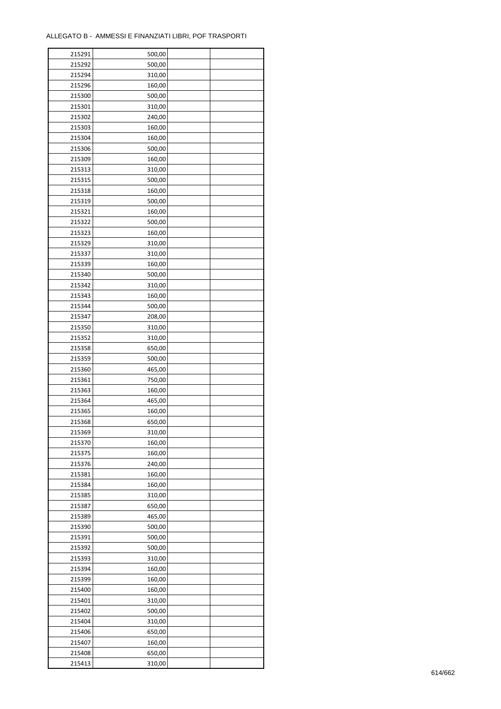| 215291 | 500,00 |  |
|--------|--------|--|
| 215292 | 500,00 |  |
| 215294 | 310,00 |  |
| 215296 | 160,00 |  |
| 215300 | 500,00 |  |
| 215301 | 310,00 |  |
| 215302 | 240,00 |  |
| 215303 | 160,00 |  |
| 215304 | 160,00 |  |
|        | 500,00 |  |
| 215306 |        |  |
| 215309 | 160,00 |  |
| 215313 | 310,00 |  |
| 215315 | 500,00 |  |
| 215318 | 160,00 |  |
| 215319 | 500,00 |  |
| 215321 | 160,00 |  |
| 215322 | 500,00 |  |
| 215323 | 160,00 |  |
| 215329 | 310,00 |  |
| 215337 | 310,00 |  |
| 215339 | 160,00 |  |
| 215340 | 500,00 |  |
| 215342 | 310,00 |  |
| 215343 | 160,00 |  |
| 215344 | 500,00 |  |
| 215347 | 208,00 |  |
| 215350 | 310,00 |  |
| 215352 | 310,00 |  |
| 215358 | 650,00 |  |
| 215359 | 500,00 |  |
|        |        |  |
| 215360 | 465,00 |  |
| 215361 | 750,00 |  |
| 215363 | 160,00 |  |
| 215364 | 465,00 |  |
| 215365 | 160,00 |  |
| 215368 | 650,00 |  |
| 215369 | 310,00 |  |
| 215370 | 160,00 |  |
| 215375 | 160,00 |  |
| 215376 | 240,00 |  |
| 215381 | 160,00 |  |
| 215384 | 160,00 |  |
| 215385 | 310,00 |  |
| 215387 | 650,00 |  |
| 215389 | 465,00 |  |
| 215390 | 500,00 |  |
| 215391 | 500,00 |  |
| 215392 | 500,00 |  |
| 215393 | 310,00 |  |
| 215394 | 160,00 |  |
| 215399 | 160,00 |  |
| 215400 | 160,00 |  |
| 215401 | 310,00 |  |
|        |        |  |
| 215402 | 500,00 |  |
| 215404 | 310,00 |  |
| 215406 | 650,00 |  |
| 215407 | 160,00 |  |
| 215408 | 650,00 |  |
| 215413 | 310,00 |  |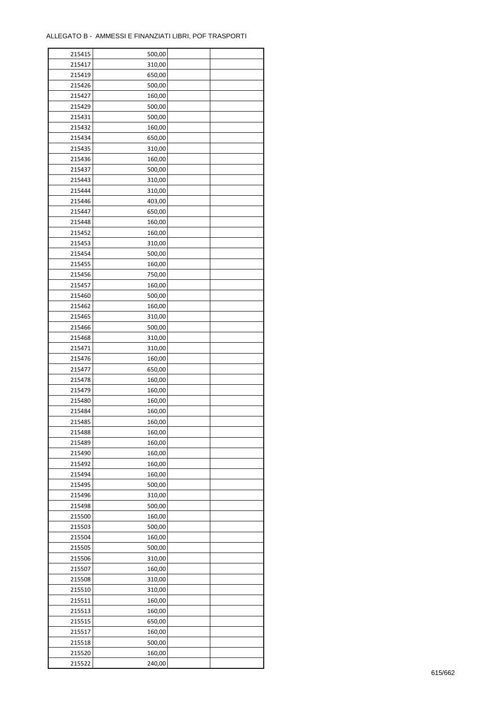| 215415 | 500,00 |  |
|--------|--------|--|
| 215417 | 310,00 |  |
| 215419 | 650,00 |  |
| 215426 | 500,00 |  |
| 215427 | 160,00 |  |
| 215429 | 500,00 |  |
| 215431 | 500,00 |  |
| 215432 | 160,00 |  |
| 215434 | 650,00 |  |
| 215435 | 310,00 |  |
| 215436 | 160,00 |  |
| 215437 | 500,00 |  |
| 215443 | 310,00 |  |
| 215444 |        |  |
|        | 310,00 |  |
| 215446 | 403,00 |  |
| 215447 | 650,00 |  |
| 215448 | 160,00 |  |
| 215452 | 160,00 |  |
| 215453 | 310,00 |  |
| 215454 | 500,00 |  |
| 215455 | 160,00 |  |
| 215456 | 750,00 |  |
| 215457 | 160,00 |  |
| 215460 | 500,00 |  |
| 215462 | 160,00 |  |
| 215465 | 310,00 |  |
| 215466 | 500,00 |  |
| 215468 | 310,00 |  |
| 215471 | 310,00 |  |
| 215476 | 160,00 |  |
| 215477 | 650,00 |  |
| 215478 | 160,00 |  |
| 215479 | 160,00 |  |
| 215480 | 160,00 |  |
| 215484 | 160,00 |  |
| 215485 | 160,00 |  |
| 215488 | 160,00 |  |
| 215489 | 160,00 |  |
| 215490 | 160,00 |  |
|        |        |  |
| 215492 | 160,00 |  |
| 215494 | 160,00 |  |
| 215495 | 500,00 |  |
| 215496 | 310,00 |  |
| 215498 | 500,00 |  |
| 215500 | 160,00 |  |
| 215503 | 500,00 |  |
| 215504 | 160,00 |  |
| 215505 | 500,00 |  |
| 215506 | 310,00 |  |
| 215507 | 160,00 |  |
| 215508 | 310,00 |  |
| 215510 | 310,00 |  |
| 215511 | 160,00 |  |
| 215513 | 160,00 |  |
| 215515 | 650,00 |  |
| 215517 | 160,00 |  |
| 215518 | 500,00 |  |
| 215520 | 160,00 |  |
| 215522 | 240,00 |  |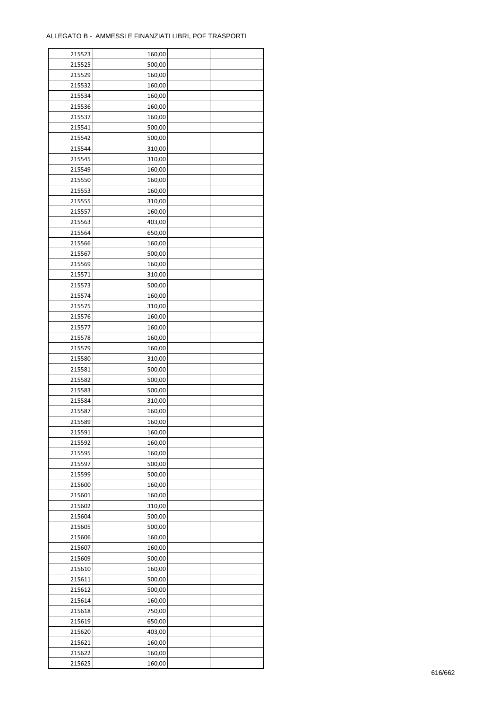÷

| 215523 | 160,00 |  |
|--------|--------|--|
| 215525 | 500,00 |  |
| 215529 | 160,00 |  |
| 215532 | 160,00 |  |
| 215534 | 160,00 |  |
| 215536 | 160,00 |  |
| 215537 | 160,00 |  |
| 215541 | 500,00 |  |
| 215542 | 500,00 |  |
| 215544 | 310,00 |  |
| 215545 | 310,00 |  |
| 215549 | 160,00 |  |
|        |        |  |
| 215550 | 160,00 |  |
| 215553 | 160,00 |  |
| 215555 | 310,00 |  |
| 215557 | 160,00 |  |
| 215563 | 403,00 |  |
| 215564 | 650,00 |  |
| 215566 | 160,00 |  |
| 215567 | 500,00 |  |
| 215569 | 160,00 |  |
| 215571 | 310,00 |  |
| 215573 | 500,00 |  |
| 215574 | 160,00 |  |
| 215575 | 310,00 |  |
| 215576 | 160,00 |  |
| 215577 | 160,00 |  |
| 215578 | 160,00 |  |
| 215579 | 160,00 |  |
| 215580 | 310,00 |  |
| 215581 | 500,00 |  |
| 215582 | 500,00 |  |
| 215583 | 500,00 |  |
| 215584 | 310,00 |  |
| 215587 | 160,00 |  |
| 215589 | 160,00 |  |
| 215591 | 160,00 |  |
| 215592 | 160,00 |  |
| 215595 | 160,00 |  |
| 215597 | 500,00 |  |
| 215599 | 500,00 |  |
| 215600 | 160,00 |  |
|        |        |  |
| 215601 | 160,00 |  |
| 215602 | 310,00 |  |
| 215604 | 500,00 |  |
| 215605 | 500,00 |  |
| 215606 | 160,00 |  |
| 215607 | 160,00 |  |
| 215609 | 500,00 |  |
| 215610 | 160,00 |  |
| 215611 | 500,00 |  |
| 215612 | 500,00 |  |
| 215614 | 160,00 |  |
| 215618 | 750,00 |  |
| 215619 | 650,00 |  |
| 215620 | 403,00 |  |
| 215621 | 160,00 |  |
| 215622 | 160,00 |  |
| 215625 | 160,00 |  |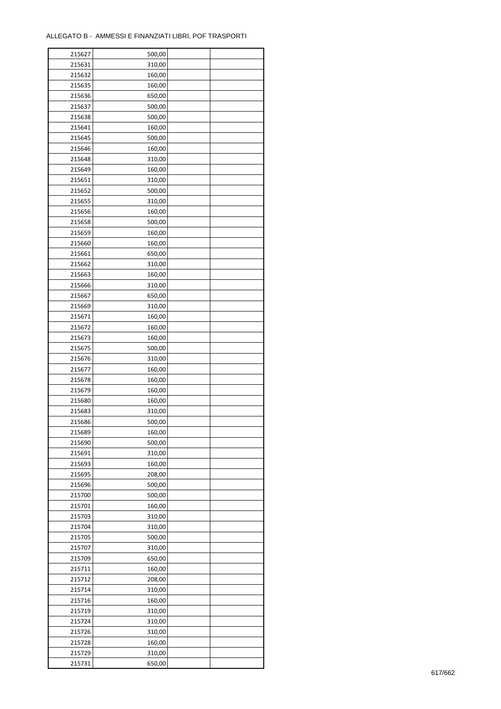| 215627 | 500,00 |  |
|--------|--------|--|
| 215631 | 310,00 |  |
| 215632 | 160,00 |  |
| 215635 | 160,00 |  |
| 215636 | 650,00 |  |
| 215637 | 500,00 |  |
| 215638 | 500,00 |  |
| 215641 | 160,00 |  |
| 215645 | 500,00 |  |
| 215646 | 160,00 |  |
| 215648 | 310,00 |  |
| 215649 | 160,00 |  |
| 215651 | 310,00 |  |
| 215652 | 500,00 |  |
|        |        |  |
| 215655 | 310,00 |  |
| 215656 | 160,00 |  |
| 215658 | 500,00 |  |
| 215659 | 160,00 |  |
| 215660 | 160,00 |  |
| 215661 | 650,00 |  |
| 215662 | 310,00 |  |
| 215663 | 160,00 |  |
| 215666 | 310,00 |  |
| 215667 | 650,00 |  |
| 215669 | 310,00 |  |
| 215671 | 160,00 |  |
| 215672 | 160,00 |  |
| 215673 | 160,00 |  |
| 215675 | 500,00 |  |
| 215676 | 310,00 |  |
| 215677 | 160,00 |  |
| 215678 | 160,00 |  |
| 215679 | 160,00 |  |
| 215680 | 160,00 |  |
| 215683 | 310,00 |  |
| 215686 | 500,00 |  |
| 215689 | 160,00 |  |
|        | 500,00 |  |
| 215690 |        |  |
| 215691 | 310,00 |  |
| 215693 | 160,00 |  |
| 215695 | 208,00 |  |
| 215696 | 500,00 |  |
| 215700 | 500,00 |  |
| 215701 | 160,00 |  |
| 215703 | 310,00 |  |
| 215704 | 310,00 |  |
| 215705 | 500,00 |  |
| 215707 | 310,00 |  |
| 215709 | 650,00 |  |
| 215711 | 160,00 |  |
| 215712 | 208,00 |  |
| 215714 | 310,00 |  |
| 215716 | 160,00 |  |
| 215719 | 310,00 |  |
| 215724 | 310,00 |  |
| 215726 | 310,00 |  |
| 215728 | 160,00 |  |
| 215729 | 310,00 |  |
|        |        |  |
| 215731 | 650,00 |  |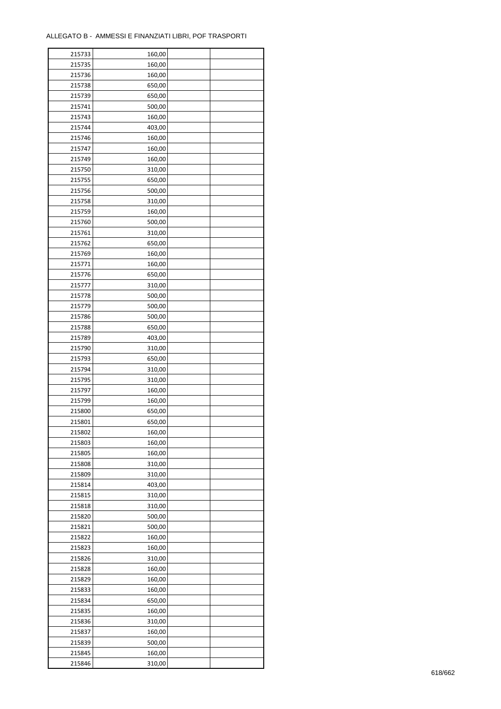| 215733 | 160,00 |  |
|--------|--------|--|
| 215735 | 160,00 |  |
| 215736 | 160,00 |  |
| 215738 | 650,00 |  |
| 215739 | 650,00 |  |
| 215741 | 500,00 |  |
| 215743 | 160,00 |  |
| 215744 | 403,00 |  |
| 215746 | 160,00 |  |
| 215747 | 160,00 |  |
| 215749 | 160,00 |  |
| 215750 | 310,00 |  |
| 215755 | 650,00 |  |
|        |        |  |
| 215756 | 500,00 |  |
| 215758 | 310,00 |  |
| 215759 | 160,00 |  |
| 215760 | 500,00 |  |
| 215761 | 310,00 |  |
| 215762 | 650,00 |  |
| 215769 | 160,00 |  |
| 215771 | 160,00 |  |
| 215776 | 650,00 |  |
| 215777 | 310,00 |  |
| 215778 | 500,00 |  |
| 215779 | 500,00 |  |
| 215786 | 500,00 |  |
| 215788 | 650,00 |  |
| 215789 | 403,00 |  |
| 215790 | 310,00 |  |
| 215793 | 650,00 |  |
| 215794 | 310,00 |  |
| 215795 | 310,00 |  |
| 215797 | 160,00 |  |
| 215799 | 160,00 |  |
| 215800 | 650,00 |  |
| 215801 | 650,00 |  |
| 215802 | 160,00 |  |
| 215803 | 160,00 |  |
|        |        |  |
| 215805 | 160,00 |  |
| 215808 | 310,00 |  |
| 215809 | 310,00 |  |
| 215814 | 403,00 |  |
| 215815 | 310,00 |  |
| 215818 | 310,00 |  |
| 215820 | 500,00 |  |
| 215821 | 500,00 |  |
| 215822 | 160,00 |  |
| 215823 | 160,00 |  |
| 215826 | 310,00 |  |
| 215828 | 160,00 |  |
| 215829 | 160,00 |  |
| 215833 | 160,00 |  |
| 215834 | 650,00 |  |
| 215835 | 160,00 |  |
| 215836 | 310,00 |  |
| 215837 | 160,00 |  |
| 215839 | 500,00 |  |
| 215845 | 160,00 |  |
| 215846 | 310,00 |  |
|        |        |  |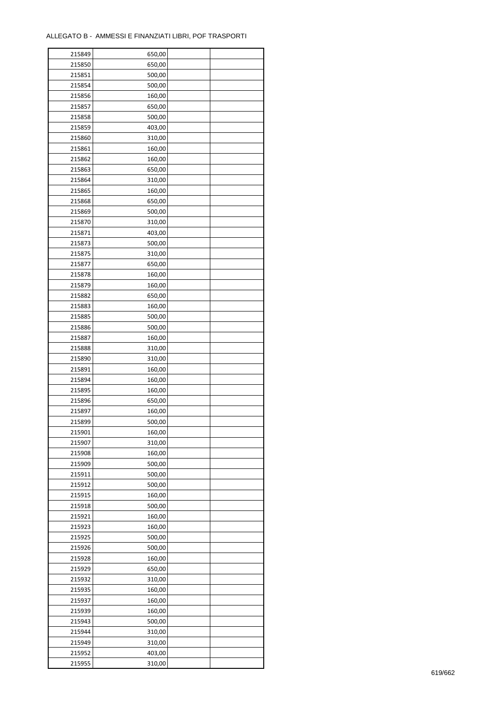| 215849 | 650,00 |  |
|--------|--------|--|
| 215850 | 650,00 |  |
| 215851 | 500,00 |  |
| 215854 | 500,00 |  |
| 215856 | 160,00 |  |
| 215857 | 650,00 |  |
| 215858 | 500,00 |  |
| 215859 | 403,00 |  |
| 215860 | 310,00 |  |
| 215861 | 160,00 |  |
| 215862 | 160,00 |  |
| 215863 | 650,00 |  |
| 215864 | 310,00 |  |
| 215865 |        |  |
|        | 160,00 |  |
| 215868 | 650,00 |  |
| 215869 | 500,00 |  |
| 215870 | 310,00 |  |
| 215871 | 403,00 |  |
| 215873 | 500,00 |  |
| 215875 | 310,00 |  |
| 215877 | 650,00 |  |
| 215878 | 160,00 |  |
| 215879 | 160,00 |  |
| 215882 | 650,00 |  |
| 215883 | 160,00 |  |
| 215885 | 500,00 |  |
| 215886 | 500,00 |  |
| 215887 | 160,00 |  |
| 215888 | 310,00 |  |
| 215890 | 310,00 |  |
| 215891 | 160,00 |  |
| 215894 | 160,00 |  |
| 215895 | 160,00 |  |
| 215896 | 650,00 |  |
| 215897 | 160,00 |  |
| 215899 | 500,00 |  |
| 215901 | 160,00 |  |
| 215907 | 310,00 |  |
| 215908 | 160,00 |  |
|        |        |  |
| 215909 | 500,00 |  |
| 215911 | 500,00 |  |
| 215912 | 500,00 |  |
| 215915 | 160,00 |  |
| 215918 | 500,00 |  |
| 215921 | 160,00 |  |
| 215923 | 160,00 |  |
| 215925 | 500,00 |  |
| 215926 | 500,00 |  |
| 215928 | 160,00 |  |
| 215929 | 650,00 |  |
| 215932 | 310,00 |  |
| 215935 | 160,00 |  |
| 215937 | 160,00 |  |
| 215939 | 160,00 |  |
| 215943 | 500,00 |  |
| 215944 | 310,00 |  |
| 215949 | 310,00 |  |
| 215952 | 403,00 |  |
| 215955 | 310,00 |  |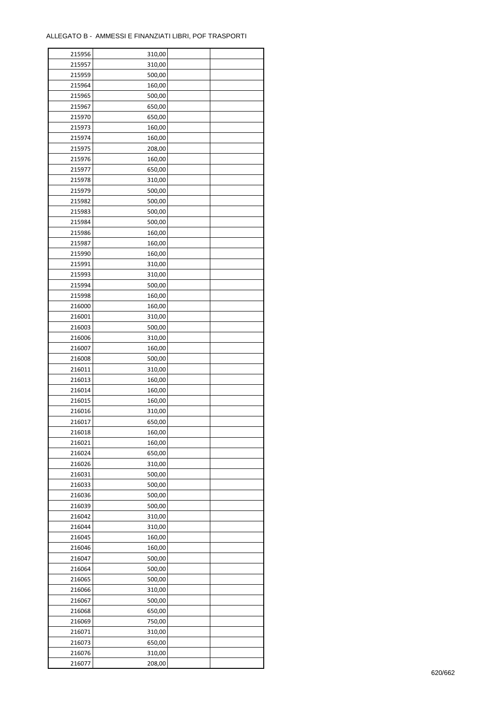ř

| 215956 | 310,00 |  |
|--------|--------|--|
| 215957 | 310,00 |  |
| 215959 | 500,00 |  |
| 215964 | 160,00 |  |
| 215965 | 500,00 |  |
| 215967 | 650,00 |  |
| 215970 | 650,00 |  |
| 215973 | 160,00 |  |
|        | 160,00 |  |
| 215974 |        |  |
| 215975 | 208,00 |  |
| 215976 | 160,00 |  |
| 215977 | 650,00 |  |
| 215978 | 310,00 |  |
| 215979 | 500,00 |  |
| 215982 | 500,00 |  |
| 215983 | 500,00 |  |
| 215984 | 500,00 |  |
| 215986 | 160,00 |  |
| 215987 | 160,00 |  |
| 215990 | 160,00 |  |
| 215991 | 310,00 |  |
| 215993 | 310,00 |  |
| 215994 | 500,00 |  |
| 215998 | 160,00 |  |
| 216000 | 160,00 |  |
| 216001 | 310,00 |  |
| 216003 | 500,00 |  |
| 216006 | 310,00 |  |
|        |        |  |
| 216007 | 160,00 |  |
| 216008 | 500,00 |  |
| 216011 | 310,00 |  |
| 216013 | 160,00 |  |
| 216014 | 160,00 |  |
| 216015 | 160,00 |  |
| 216016 | 310,00 |  |
| 216017 | 650,00 |  |
| 216018 | 160,00 |  |
| 216021 | 160,00 |  |
| 216024 | 650,00 |  |
| 216026 | 310,00 |  |
| 216031 | 500,00 |  |
| 216033 | 500,00 |  |
| 216036 | 500,00 |  |
| 216039 | 500,00 |  |
| 216042 | 310,00 |  |
| 216044 | 310,00 |  |
| 216045 | 160,00 |  |
| 216046 | 160,00 |  |
| 216047 | 500,00 |  |
| 216064 | 500,00 |  |
|        |        |  |
| 216065 | 500,00 |  |
| 216066 | 310,00 |  |
| 216067 | 500,00 |  |
| 216068 | 650,00 |  |
| 216069 | 750,00 |  |
| 216071 | 310,00 |  |
| 216073 | 650,00 |  |
| 216076 | 310,00 |  |
| 216077 | 208,00 |  |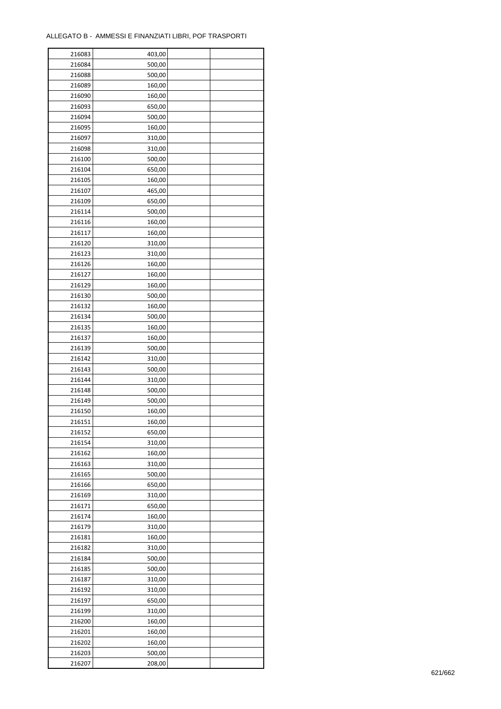| 216083 | 403,00 |  |
|--------|--------|--|
| 216084 | 500,00 |  |
| 216088 | 500,00 |  |
| 216089 | 160,00 |  |
| 216090 | 160,00 |  |
| 216093 | 650,00 |  |
| 216094 | 500,00 |  |
| 216095 | 160,00 |  |
|        |        |  |
| 216097 | 310,00 |  |
| 216098 | 310,00 |  |
| 216100 | 500,00 |  |
| 216104 | 650,00 |  |
| 216105 | 160,00 |  |
| 216107 | 465,00 |  |
| 216109 | 650,00 |  |
| 216114 | 500,00 |  |
| 216116 | 160,00 |  |
| 216117 | 160,00 |  |
| 216120 | 310,00 |  |
| 216123 | 310,00 |  |
| 216126 | 160,00 |  |
| 216127 | 160,00 |  |
| 216129 | 160,00 |  |
| 216130 | 500,00 |  |
|        |        |  |
| 216132 | 160,00 |  |
| 216134 | 500,00 |  |
| 216135 | 160,00 |  |
| 216137 | 160,00 |  |
| 216139 | 500,00 |  |
| 216142 | 310,00 |  |
| 216143 | 500,00 |  |
| 216144 | 310,00 |  |
| 216148 | 500,00 |  |
| 216149 | 500,00 |  |
| 216150 | 160,00 |  |
| 216151 | 160,00 |  |
| 216152 | 650,00 |  |
| 216154 | 310,00 |  |
| 216162 | 160,00 |  |
| 216163 | 310,00 |  |
| 216165 |        |  |
|        | 500,00 |  |
| 216166 | 650,00 |  |
| 216169 | 310,00 |  |
| 216171 | 650,00 |  |
| 216174 | 160,00 |  |
| 216179 | 310,00 |  |
| 216181 | 160,00 |  |
| 216182 | 310,00 |  |
| 216184 | 500,00 |  |
| 216185 | 500,00 |  |
| 216187 | 310,00 |  |
| 216192 | 310,00 |  |
| 216197 | 650,00 |  |
| 216199 | 310,00 |  |
| 216200 | 160,00 |  |
|        |        |  |
| 216201 | 160,00 |  |
| 216202 | 160,00 |  |
| 216203 | 500,00 |  |
| 216207 | 208,00 |  |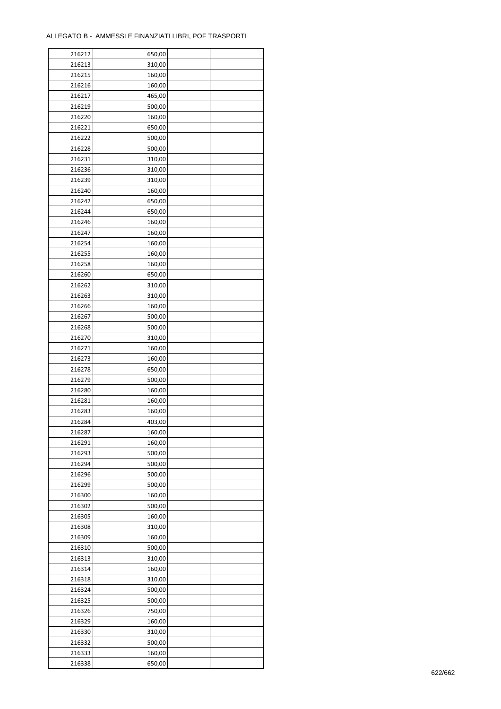| 216212 | 650,00 |  |
|--------|--------|--|
| 216213 | 310,00 |  |
| 216215 | 160,00 |  |
| 216216 | 160,00 |  |
| 216217 | 465,00 |  |
| 216219 | 500,00 |  |
| 216220 | 160,00 |  |
| 216221 | 650,00 |  |
| 216222 | 500,00 |  |
| 216228 | 500,00 |  |
| 216231 | 310,00 |  |
| 216236 | 310,00 |  |
| 216239 | 310,00 |  |
| 216240 | 160,00 |  |
| 216242 |        |  |
|        | 650,00 |  |
| 216244 | 650,00 |  |
| 216246 | 160,00 |  |
| 216247 | 160,00 |  |
| 216254 | 160,00 |  |
| 216255 | 160,00 |  |
| 216258 | 160,00 |  |
| 216260 | 650,00 |  |
| 216262 | 310,00 |  |
| 216263 | 310,00 |  |
| 216266 | 160,00 |  |
| 216267 | 500,00 |  |
| 216268 | 500,00 |  |
| 216270 | 310,00 |  |
| 216271 | 160,00 |  |
| 216273 | 160,00 |  |
| 216278 | 650,00 |  |
| 216279 | 500,00 |  |
| 216280 | 160,00 |  |
| 216281 | 160,00 |  |
| 216283 | 160,00 |  |
| 216284 | 403,00 |  |
| 216287 | 160,00 |  |
| 216291 | 160,00 |  |
| 216293 | 500,00 |  |
| 216294 | 500,00 |  |
| 216296 | 500,00 |  |
| 216299 | 500,00 |  |
| 216300 | 160,00 |  |
| 216302 | 500,00 |  |
| 216305 | 160,00 |  |
| 216308 | 310,00 |  |
| 216309 | 160,00 |  |
| 216310 | 500,00 |  |
| 216313 | 310,00 |  |
| 216314 | 160,00 |  |
| 216318 | 310,00 |  |
|        | 500,00 |  |
| 216324 |        |  |
| 216325 | 500,00 |  |
| 216326 | 750,00 |  |
| 216329 | 160,00 |  |
| 216330 | 310,00 |  |
| 216332 | 500,00 |  |
| 216333 | 160,00 |  |
| 216338 | 650,00 |  |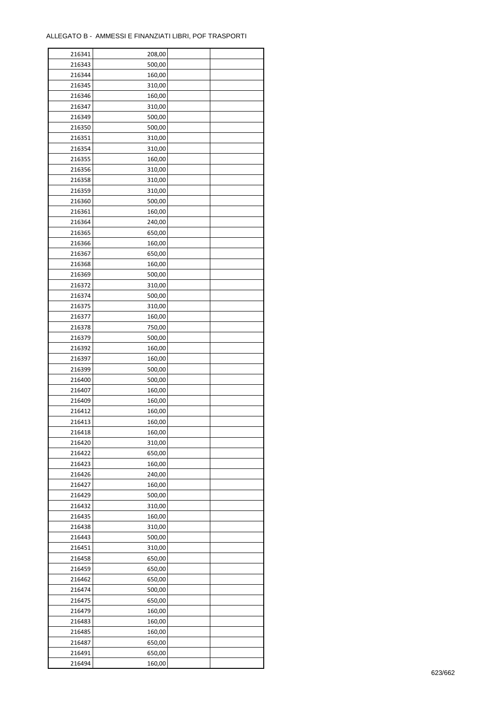| 216341 | 208,00 |  |
|--------|--------|--|
| 216343 | 500,00 |  |
| 216344 | 160,00 |  |
| 216345 | 310,00 |  |
| 216346 | 160,00 |  |
| 216347 | 310,00 |  |
| 216349 | 500,00 |  |
| 216350 | 500,00 |  |
| 216351 | 310,00 |  |
| 216354 | 310,00 |  |
| 216355 | 160,00 |  |
| 216356 | 310,00 |  |
| 216358 | 310,00 |  |
| 216359 | 310,00 |  |
| 216360 | 500,00 |  |
|        |        |  |
| 216361 | 160,00 |  |
| 216364 | 240,00 |  |
| 216365 | 650,00 |  |
| 216366 | 160,00 |  |
| 216367 | 650,00 |  |
| 216368 | 160,00 |  |
| 216369 | 500,00 |  |
| 216372 | 310,00 |  |
| 216374 | 500,00 |  |
| 216375 | 310,00 |  |
| 216377 | 160,00 |  |
| 216378 | 750,00 |  |
| 216379 | 500,00 |  |
| 216392 | 160,00 |  |
| 216397 | 160,00 |  |
| 216399 | 500,00 |  |
| 216400 | 500,00 |  |
| 216407 | 160,00 |  |
| 216409 | 160,00 |  |
| 216412 | 160,00 |  |
| 216413 | 160,00 |  |
| 216418 | 160,00 |  |
| 216420 | 310,00 |  |
| 216422 | 650,00 |  |
| 216423 | 160,00 |  |
| 216426 | 240,00 |  |
| 216427 | 160,00 |  |
| 216429 | 500,00 |  |
| 216432 | 310,00 |  |
| 216435 | 160,00 |  |
| 216438 | 310,00 |  |
| 216443 | 500,00 |  |
| 216451 | 310,00 |  |
| 216458 | 650,00 |  |
| 216459 | 650,00 |  |
| 216462 | 650,00 |  |
| 216474 | 500,00 |  |
| 216475 | 650,00 |  |
| 216479 | 160,00 |  |
| 216483 | 160,00 |  |
| 216485 | 160,00 |  |
| 216487 | 650,00 |  |
| 216491 | 650,00 |  |
| 216494 | 160,00 |  |
|        |        |  |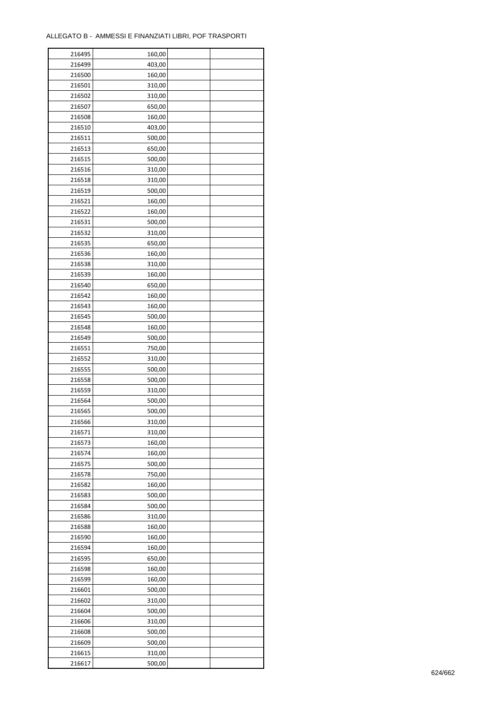| 216495 | 160,00           |  |
|--------|------------------|--|
| 216499 | 403,00           |  |
| 216500 | 160,00           |  |
| 216501 | 310,00           |  |
| 216502 | 310,00           |  |
| 216507 | 650,00           |  |
| 216508 | 160,00           |  |
| 216510 | 403,00           |  |
| 216511 | 500,00           |  |
| 216513 | 650,00           |  |
| 216515 | 500,00           |  |
| 216516 | 310,00           |  |
| 216518 | 310,00           |  |
| 216519 | 500,00           |  |
|        |                  |  |
| 216521 | 160,00           |  |
| 216522 | 160,00           |  |
| 216531 | 500,00           |  |
| 216532 | 310,00           |  |
| 216535 | 650,00           |  |
| 216536 | 160,00           |  |
| 216538 | 310,00           |  |
| 216539 | 160,00           |  |
| 216540 | 650,00           |  |
| 216542 | 160,00           |  |
| 216543 | 160,00           |  |
| 216545 | 500,00           |  |
| 216548 | 160,00           |  |
| 216549 | 500,00           |  |
| 216551 | 750,00           |  |
| 216552 | 310,00           |  |
| 216555 | 500,00           |  |
| 216558 | 500,00           |  |
| 216559 | 310,00           |  |
| 216564 | 500,00           |  |
| 216565 | 500,00           |  |
| 216566 | 310,00           |  |
| 216571 | 310,00           |  |
| 216573 | 160,00           |  |
| 216574 | 160,00           |  |
| 216575 | 500,00           |  |
| 216578 | 750,00           |  |
| 216582 | 160,00           |  |
| 216583 | 500,00           |  |
| 216584 | 500,00           |  |
| 216586 | 310,00           |  |
| 216588 | 160,00           |  |
| 216590 | 160,00           |  |
| 216594 | 160,00           |  |
| 216595 |                  |  |
| 216598 | 650,00<br>160,00 |  |
|        |                  |  |
| 216599 | 160,00           |  |
| 216601 | 500,00           |  |
| 216602 | 310,00           |  |
| 216604 | 500,00           |  |
| 216606 | 310,00           |  |
| 216608 | 500,00           |  |
| 216609 | 500,00           |  |
| 216615 | 310,00           |  |
| 216617 | 500,00           |  |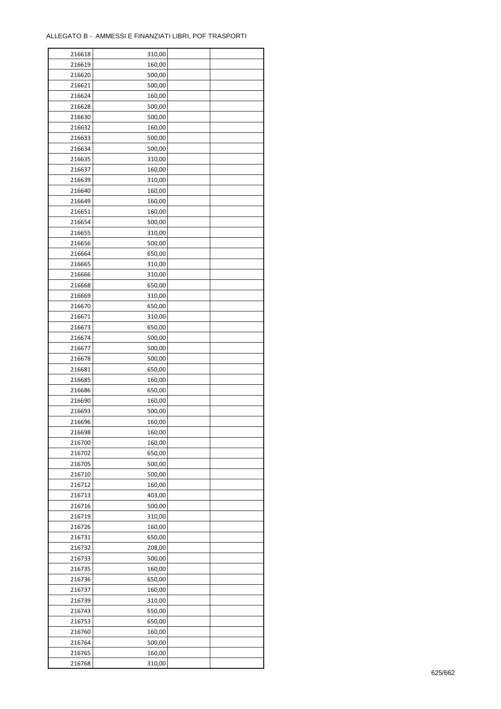| 216618 | 310,00 |  |
|--------|--------|--|
| 216619 | 160,00 |  |
| 216620 | 500,00 |  |
| 216621 | 500,00 |  |
| 216624 | 160,00 |  |
| 216628 | 500,00 |  |
| 216630 | 500,00 |  |
| 216632 | 160,00 |  |
| 216633 | 500,00 |  |
| 216634 | 500,00 |  |
| 216635 | 310,00 |  |
| 216637 | 160,00 |  |
| 216639 | 310,00 |  |
| 216640 | 160,00 |  |
|        |        |  |
| 216649 | 160,00 |  |
| 216651 | 160,00 |  |
| 216654 | 500,00 |  |
| 216655 | 310,00 |  |
| 216656 | 500,00 |  |
| 216664 | 650,00 |  |
| 216665 | 310,00 |  |
| 216666 | 310,00 |  |
| 216668 | 650,00 |  |
| 216669 | 310,00 |  |
| 216670 | 650,00 |  |
| 216671 | 310,00 |  |
| 216673 | 650,00 |  |
| 216674 | 500,00 |  |
| 216677 | 500,00 |  |
| 216678 | 500,00 |  |
| 216681 | 650,00 |  |
| 216685 | 160,00 |  |
| 216686 | 650,00 |  |
| 216690 | 160,00 |  |
| 216693 | 500,00 |  |
| 216696 | 160,00 |  |
| 216698 | 160,00 |  |
| 216700 | 160,00 |  |
| 216702 | 650,00 |  |
| 216705 | 500,00 |  |
| 216710 | 500,00 |  |
| 216712 | 160,00 |  |
| 216713 | 403,00 |  |
| 216716 | 500,00 |  |
| 216719 | 310,00 |  |
| 216726 | 160,00 |  |
| 216731 | 650,00 |  |
| 216732 | 208,00 |  |
| 216733 | 500,00 |  |
| 216735 | 160,00 |  |
| 216736 | 650,00 |  |
| 216737 | 160,00 |  |
| 216739 | 310,00 |  |
| 216743 | 650,00 |  |
| 216753 | 650,00 |  |
| 216760 | 160,00 |  |
| 216764 | 500,00 |  |
|        |        |  |
| 216765 | 160,00 |  |
| 216768 | 310,00 |  |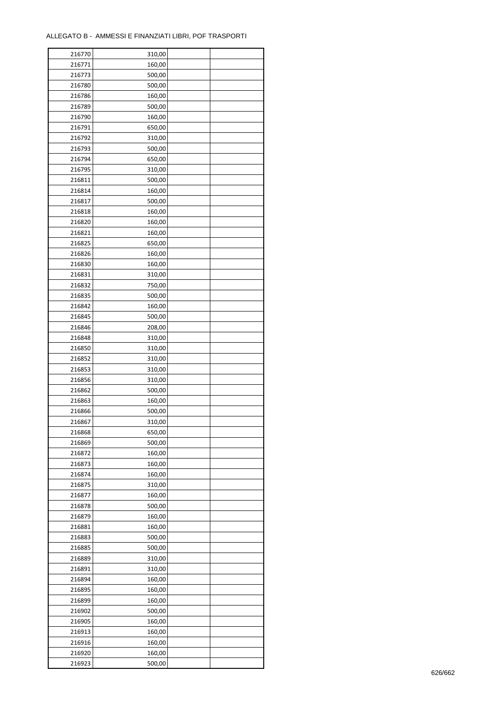| 216770 | 310,00 |  |
|--------|--------|--|
| 216771 | 160,00 |  |
| 216773 | 500,00 |  |
| 216780 | 500,00 |  |
| 216786 | 160,00 |  |
| 216789 | 500,00 |  |
| 216790 | 160,00 |  |
| 216791 | 650,00 |  |
| 216792 | 310,00 |  |
| 216793 | 500,00 |  |
| 216794 | 650,00 |  |
| 216795 | 310,00 |  |
| 216811 | 500,00 |  |
| 216814 |        |  |
|        | 160,00 |  |
| 216817 | 500,00 |  |
| 216818 | 160,00 |  |
| 216820 | 160,00 |  |
| 216821 | 160,00 |  |
| 216825 | 650,00 |  |
| 216826 | 160,00 |  |
| 216830 | 160,00 |  |
| 216831 | 310,00 |  |
| 216832 | 750,00 |  |
| 216835 | 500,00 |  |
| 216842 | 160,00 |  |
| 216845 | 500,00 |  |
| 216846 | 208,00 |  |
| 216848 | 310,00 |  |
| 216850 | 310,00 |  |
| 216852 | 310,00 |  |
| 216853 | 310,00 |  |
| 216856 | 310,00 |  |
| 216862 | 500,00 |  |
| 216863 | 160,00 |  |
| 216866 | 500,00 |  |
| 216867 | 310,00 |  |
| 216868 | 650,00 |  |
| 216869 | 500,00 |  |
| 216872 | 160,00 |  |
| 216873 | 160,00 |  |
| 216874 | 160,00 |  |
| 216875 | 310,00 |  |
| 216877 | 160,00 |  |
| 216878 | 500,00 |  |
| 216879 | 160,00 |  |
| 216881 | 160,00 |  |
| 216883 | 500,00 |  |
| 216885 | 500,00 |  |
| 216889 | 310,00 |  |
| 216891 | 310,00 |  |
| 216894 | 160,00 |  |
| 216895 | 160,00 |  |
| 216899 | 160,00 |  |
| 216902 | 500,00 |  |
| 216905 | 160,00 |  |
| 216913 | 160,00 |  |
| 216916 | 160,00 |  |
|        |        |  |
| 216920 | 160,00 |  |
| 216923 | 500,00 |  |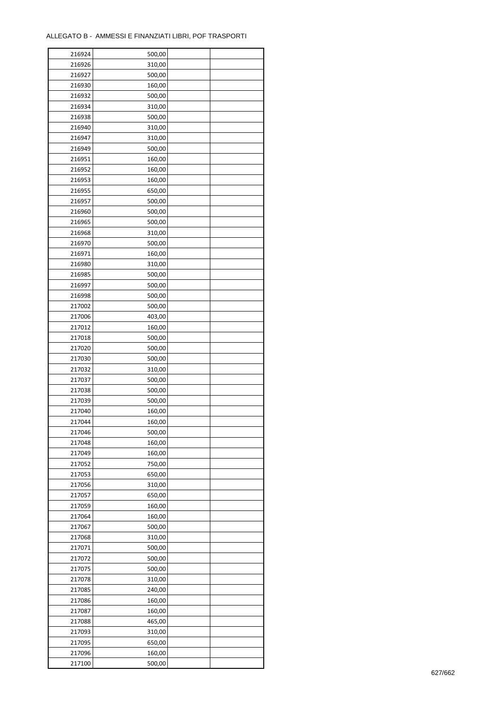| 216924 | 500,00 |  |
|--------|--------|--|
| 216926 | 310,00 |  |
| 216927 | 500,00 |  |
| 216930 | 160,00 |  |
| 216932 | 500,00 |  |
| 216934 | 310,00 |  |
| 216938 | 500,00 |  |
| 216940 | 310,00 |  |
| 216947 | 310,00 |  |
| 216949 | 500,00 |  |
| 216951 | 160,00 |  |
| 216952 | 160,00 |  |
| 216953 |        |  |
|        | 160,00 |  |
| 216955 | 650,00 |  |
| 216957 | 500,00 |  |
| 216960 | 500,00 |  |
| 216965 | 500,00 |  |
| 216968 | 310,00 |  |
| 216970 | 500,00 |  |
| 216971 | 160,00 |  |
| 216980 | 310,00 |  |
| 216985 | 500,00 |  |
| 216997 | 500,00 |  |
| 216998 | 500,00 |  |
| 217002 | 500,00 |  |
| 217006 | 403,00 |  |
| 217012 | 160,00 |  |
| 217018 | 500,00 |  |
| 217020 | 500,00 |  |
| 217030 | 500,00 |  |
| 217032 | 310,00 |  |
| 217037 | 500,00 |  |
| 217038 | 500,00 |  |
| 217039 | 500,00 |  |
| 217040 | 160,00 |  |
| 217044 | 160,00 |  |
| 217046 | 500,00 |  |
| 217048 | 160,00 |  |
| 217049 | 160,00 |  |
| 217052 | 750,00 |  |
|        |        |  |
| 217053 | 650,00 |  |
| 217056 | 310,00 |  |
| 217057 | 650,00 |  |
| 217059 | 160,00 |  |
| 217064 | 160,00 |  |
| 217067 | 500,00 |  |
| 217068 | 310,00 |  |
| 217071 | 500,00 |  |
| 217072 | 500,00 |  |
| 217075 | 500,00 |  |
| 217078 | 310,00 |  |
| 217085 | 240,00 |  |
| 217086 | 160,00 |  |
| 217087 | 160,00 |  |
| 217088 | 465,00 |  |
| 217093 | 310,00 |  |
| 217095 | 650,00 |  |
| 217096 | 160,00 |  |
| 217100 | 500,00 |  |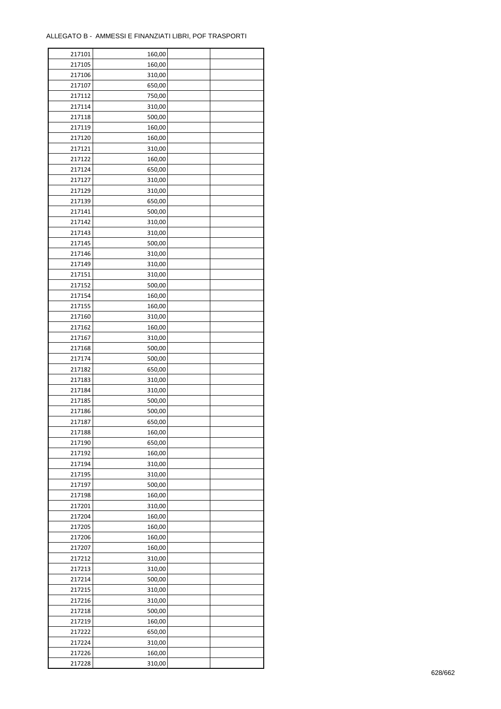| 217101 | 160,00 |  |
|--------|--------|--|
| 217105 | 160,00 |  |
| 217106 | 310,00 |  |
| 217107 | 650,00 |  |
| 217112 | 750,00 |  |
| 217114 | 310,00 |  |
| 217118 | 500,00 |  |
| 217119 | 160,00 |  |
| 217120 | 160,00 |  |
| 217121 | 310,00 |  |
| 217122 | 160,00 |  |
| 217124 | 650,00 |  |
| 217127 | 310,00 |  |
| 217129 | 310,00 |  |
| 217139 |        |  |
|        | 650,00 |  |
| 217141 | 500,00 |  |
| 217142 | 310,00 |  |
| 217143 | 310,00 |  |
| 217145 | 500,00 |  |
| 217146 | 310,00 |  |
| 217149 | 310,00 |  |
| 217151 | 310,00 |  |
| 217152 | 500,00 |  |
| 217154 | 160,00 |  |
| 217155 | 160,00 |  |
| 217160 | 310,00 |  |
| 217162 | 160,00 |  |
| 217167 | 310,00 |  |
| 217168 | 500,00 |  |
| 217174 | 500,00 |  |
| 217182 | 650,00 |  |
| 217183 | 310,00 |  |
| 217184 | 310,00 |  |
| 217185 | 500,00 |  |
| 217186 | 500,00 |  |
| 217187 | 650,00 |  |
| 217188 | 160,00 |  |
| 217190 | 650,00 |  |
| 217192 | 160,00 |  |
| 217194 | 310,00 |  |
| 217195 | 310,00 |  |
| 217197 | 500,00 |  |
| 217198 | 160,00 |  |
| 217201 | 310,00 |  |
| 217204 | 160,00 |  |
| 217205 | 160,00 |  |
| 217206 | 160,00 |  |
| 217207 | 160,00 |  |
| 217212 | 310,00 |  |
| 217213 | 310,00 |  |
| 217214 | 500,00 |  |
| 217215 | 310,00 |  |
| 217216 | 310,00 |  |
| 217218 | 500,00 |  |
| 217219 | 160,00 |  |
| 217222 | 650,00 |  |
| 217224 | 310,00 |  |
| 217226 | 160,00 |  |
| 217228 |        |  |
|        | 310,00 |  |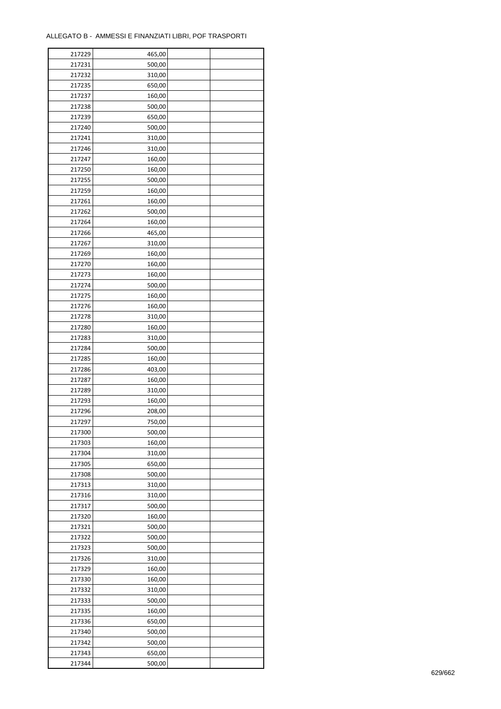| 217229           | 465,00           |  |
|------------------|------------------|--|
| 217231           | 500,00           |  |
| 217232           | 310,00           |  |
| 217235           | 650,00           |  |
| 217237           | 160,00           |  |
| 217238           | 500,00           |  |
| 217239           | 650,00           |  |
| 217240           | 500,00           |  |
| 217241           | 310,00           |  |
| 217246           | 310,00           |  |
| 217247           | 160,00           |  |
| 217250           | 160,00           |  |
| 217255           | 500,00           |  |
| 217259           | 160,00           |  |
| 217261           | 160,00           |  |
| 217262           | 500,00           |  |
| 217264           | 160,00           |  |
| 217266           | 465,00           |  |
| 217267           | 310,00           |  |
| 217269           | 160,00           |  |
| 217270           | 160,00           |  |
| 217273           | 160,00           |  |
|                  |                  |  |
| 217274<br>217275 | 500,00<br>160,00 |  |
|                  |                  |  |
| 217276           | 160,00           |  |
| 217278           | 310,00           |  |
| 217280           | 160,00           |  |
| 217283           | 310,00           |  |
| 217284           | 500,00           |  |
| 217285           | 160,00           |  |
| 217286           | 403,00           |  |
| 217287           | 160,00           |  |
| 217289           | 310,00           |  |
| 217293           | 160,00           |  |
| 217296           | 208,00           |  |
| 217297           | 750,00           |  |
| 217300           | 500,00           |  |
| 217303           | 160,00           |  |
| 217304           | 310,00           |  |
| 217305           | 650,00           |  |
| 217308           | 500,00           |  |
| 217313           | 310,00           |  |
| 217316           | 310,00           |  |
| 217317           | 500,00           |  |
| 217320           | 160,00           |  |
| 217321           | 500,00           |  |
| 217322           | 500,00           |  |
| 217323           | 500,00           |  |
| 217326           | 310,00           |  |
| 217329           | 160,00           |  |
| 217330           | 160,00           |  |
| 217332           | 310,00           |  |
| 217333           | 500,00           |  |
| 217335           | 160,00           |  |
| 217336           | 650,00           |  |
| 217340           | 500,00           |  |
| 217342           | 500,00           |  |
| 217343           | 650,00           |  |
| 217344           | 500,00           |  |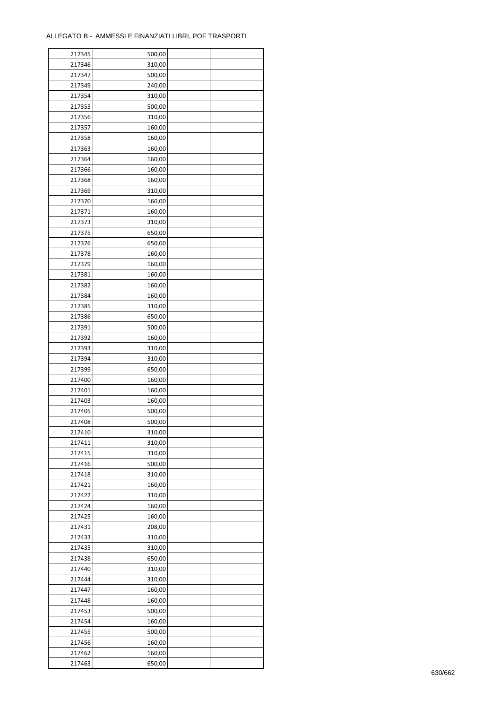| 217345 | 500,00 |  |
|--------|--------|--|
| 217346 | 310,00 |  |
| 217347 | 500,00 |  |
| 217349 | 240,00 |  |
| 217354 | 310,00 |  |
| 217355 | 500,00 |  |
| 217356 | 310,00 |  |
| 217357 | 160,00 |  |
| 217358 | 160,00 |  |
| 217363 | 160,00 |  |
| 217364 | 160,00 |  |
| 217366 |        |  |
|        | 160,00 |  |
| 217368 | 160,00 |  |
| 217369 | 310,00 |  |
| 217370 | 160,00 |  |
| 217371 | 160,00 |  |
| 217373 | 310,00 |  |
| 217375 | 650,00 |  |
| 217376 | 650,00 |  |
| 217378 | 160,00 |  |
| 217379 | 160,00 |  |
| 217381 | 160,00 |  |
| 217382 | 160,00 |  |
| 217384 | 160,00 |  |
| 217385 | 310,00 |  |
| 217386 | 650,00 |  |
| 217391 | 500,00 |  |
| 217392 | 160,00 |  |
| 217393 | 310,00 |  |
| 217394 | 310,00 |  |
| 217399 | 650,00 |  |
| 217400 | 160,00 |  |
|        |        |  |
| 217401 | 160,00 |  |
| 217403 | 160,00 |  |
| 217405 | 500,00 |  |
| 217408 | 500,00 |  |
| 217410 | 310,00 |  |
| 217411 | 310,00 |  |
| 217415 | 310,00 |  |
| 217416 | 500,00 |  |
| 217418 | 310,00 |  |
| 217421 | 160,00 |  |
| 217422 | 310,00 |  |
| 217424 | 160,00 |  |
| 217425 | 160,00 |  |
| 217431 | 208,00 |  |
| 217433 | 310,00 |  |
| 217435 | 310,00 |  |
| 217438 | 650,00 |  |
| 217440 | 310,00 |  |
| 217444 | 310,00 |  |
| 217447 | 160,00 |  |
| 217448 | 160,00 |  |
| 217453 | 500,00 |  |
| 217454 | 160,00 |  |
|        |        |  |
| 217455 | 500,00 |  |
| 217456 | 160,00 |  |
| 217462 | 160,00 |  |
| 217463 | 650,00 |  |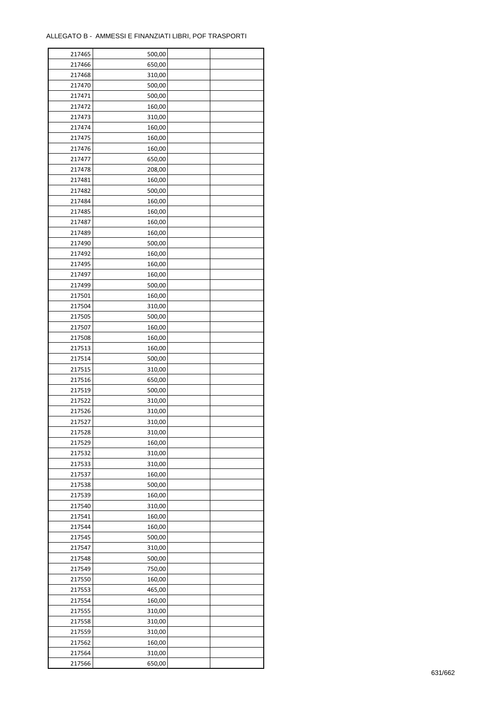| 217465 | 500,00 |  |
|--------|--------|--|
| 217466 | 650,00 |  |
| 217468 | 310,00 |  |
| 217470 | 500,00 |  |
| 217471 | 500,00 |  |
| 217472 | 160,00 |  |
| 217473 | 310,00 |  |
| 217474 | 160,00 |  |
| 217475 | 160,00 |  |
| 217476 | 160,00 |  |
| 217477 | 650,00 |  |
| 217478 | 208,00 |  |
| 217481 | 160,00 |  |
| 217482 |        |  |
|        | 500,00 |  |
| 217484 | 160,00 |  |
| 217485 | 160,00 |  |
| 217487 | 160,00 |  |
| 217489 | 160,00 |  |
| 217490 | 500,00 |  |
| 217492 | 160,00 |  |
| 217495 | 160,00 |  |
| 217497 | 160,00 |  |
| 217499 | 500,00 |  |
| 217501 | 160,00 |  |
| 217504 | 310,00 |  |
| 217505 | 500,00 |  |
| 217507 | 160,00 |  |
| 217508 | 160,00 |  |
| 217513 | 160,00 |  |
| 217514 | 500,00 |  |
| 217515 | 310,00 |  |
| 217516 | 650,00 |  |
| 217519 | 500,00 |  |
| 217522 | 310,00 |  |
| 217526 | 310,00 |  |
| 217527 | 310,00 |  |
| 217528 | 310,00 |  |
| 217529 | 160,00 |  |
| 217532 | 310,00 |  |
| 217533 | 310,00 |  |
| 217537 | 160,00 |  |
| 217538 | 500,00 |  |
| 217539 | 160,00 |  |
| 217540 | 310,00 |  |
| 217541 | 160,00 |  |
| 217544 | 160,00 |  |
| 217545 | 500,00 |  |
| 217547 | 310,00 |  |
| 217548 | 500,00 |  |
| 217549 | 750,00 |  |
| 217550 | 160,00 |  |
| 217553 | 465,00 |  |
| 217554 | 160,00 |  |
| 217555 | 310,00 |  |
| 217558 | 310,00 |  |
| 217559 | 310,00 |  |
| 217562 | 160,00 |  |
|        |        |  |
| 217564 | 310,00 |  |
| 217566 | 650,00 |  |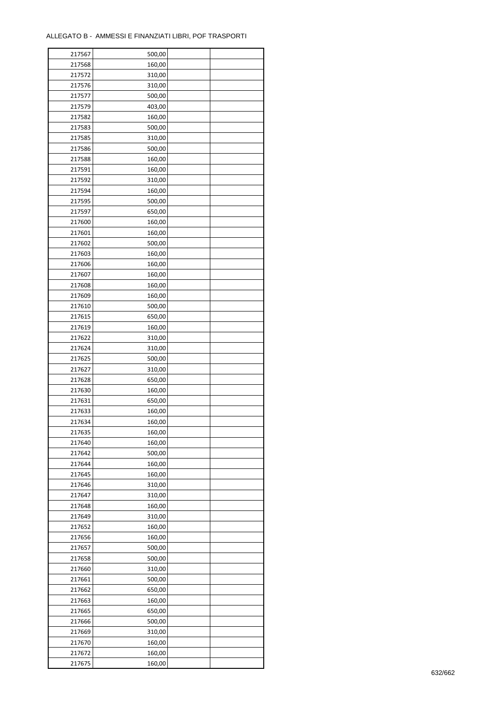| 217567 | 500,00 |  |
|--------|--------|--|
| 217568 | 160,00 |  |
| 217572 | 310,00 |  |
| 217576 | 310,00 |  |
| 217577 | 500,00 |  |
| 217579 | 403,00 |  |
| 217582 | 160,00 |  |
| 217583 | 500,00 |  |
| 217585 | 310,00 |  |
| 217586 | 500,00 |  |
| 217588 | 160,00 |  |
| 217591 | 160,00 |  |
| 217592 | 310,00 |  |
|        |        |  |
| 217594 | 160,00 |  |
| 217595 | 500,00 |  |
| 217597 | 650,00 |  |
| 217600 | 160,00 |  |
| 217601 | 160,00 |  |
| 217602 | 500,00 |  |
| 217603 | 160,00 |  |
| 217606 | 160,00 |  |
| 217607 | 160,00 |  |
| 217608 | 160,00 |  |
| 217609 | 160,00 |  |
| 217610 | 500,00 |  |
| 217615 | 650,00 |  |
| 217619 | 160,00 |  |
| 217622 | 310,00 |  |
| 217624 | 310,00 |  |
| 217625 | 500,00 |  |
| 217627 | 310,00 |  |
| 217628 | 650,00 |  |
| 217630 | 160,00 |  |
| 217631 | 650,00 |  |
| 217633 | 160,00 |  |
| 217634 | 160,00 |  |
| 217635 | 160,00 |  |
| 217640 | 160,00 |  |
| 217642 | 500,00 |  |
| 217644 | 160,00 |  |
| 217645 | 160,00 |  |
| 217646 | 310,00 |  |
| 217647 | 310,00 |  |
| 217648 | 160,00 |  |
| 217649 | 310,00 |  |
| 217652 | 160,00 |  |
| 217656 | 160,00 |  |
| 217657 | 500,00 |  |
| 217658 | 500,00 |  |
| 217660 | 310,00 |  |
| 217661 | 500,00 |  |
| 217662 | 650,00 |  |
| 217663 | 160,00 |  |
|        |        |  |
| 217665 | 650,00 |  |
| 217666 | 500,00 |  |
| 217669 | 310,00 |  |
| 217670 | 160,00 |  |
| 217672 | 160,00 |  |
| 217675 | 160,00 |  |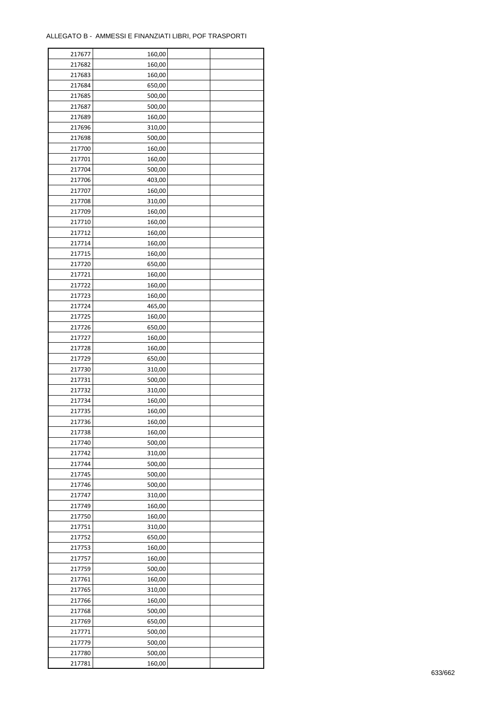| 217677 | 160,00 |  |
|--------|--------|--|
| 217682 | 160,00 |  |
| 217683 | 160,00 |  |
| 217684 | 650,00 |  |
| 217685 | 500,00 |  |
| 217687 | 500,00 |  |
| 217689 | 160,00 |  |
| 217696 | 310,00 |  |
|        |        |  |
| 217698 | 500,00 |  |
| 217700 | 160,00 |  |
| 217701 | 160,00 |  |
| 217704 | 500,00 |  |
| 217706 | 403,00 |  |
| 217707 | 160,00 |  |
| 217708 | 310,00 |  |
| 217709 | 160,00 |  |
| 217710 | 160,00 |  |
| 217712 | 160,00 |  |
| 217714 | 160,00 |  |
| 217715 | 160,00 |  |
| 217720 | 650,00 |  |
| 217721 | 160,00 |  |
| 217722 | 160,00 |  |
| 217723 | 160,00 |  |
| 217724 | 465,00 |  |
| 217725 | 160,00 |  |
| 217726 | 650,00 |  |
|        |        |  |
| 217727 | 160,00 |  |
| 217728 | 160,00 |  |
| 217729 | 650,00 |  |
| 217730 | 310,00 |  |
| 217731 | 500,00 |  |
| 217732 | 310,00 |  |
| 217734 | 160,00 |  |
| 217735 | 160,00 |  |
| 217736 | 160,00 |  |
| 217738 | 160,00 |  |
| 217740 | 500,00 |  |
| 217742 | 310,00 |  |
| 217744 | 500,00 |  |
| 217745 | 500,00 |  |
| 217746 | 500,00 |  |
| 217747 | 310,00 |  |
| 217749 | 160,00 |  |
| 217750 | 160,00 |  |
| 217751 | 310,00 |  |
|        |        |  |
| 217752 | 650,00 |  |
| 217753 | 160,00 |  |
| 217757 | 160,00 |  |
| 217759 | 500,00 |  |
| 217761 | 160,00 |  |
| 217765 | 310,00 |  |
| 217766 | 160,00 |  |
| 217768 | 500,00 |  |
| 217769 | 650,00 |  |
| 217771 | 500,00 |  |
| 217779 | 500,00 |  |
| 217780 | 500,00 |  |
| 217781 | 160,00 |  |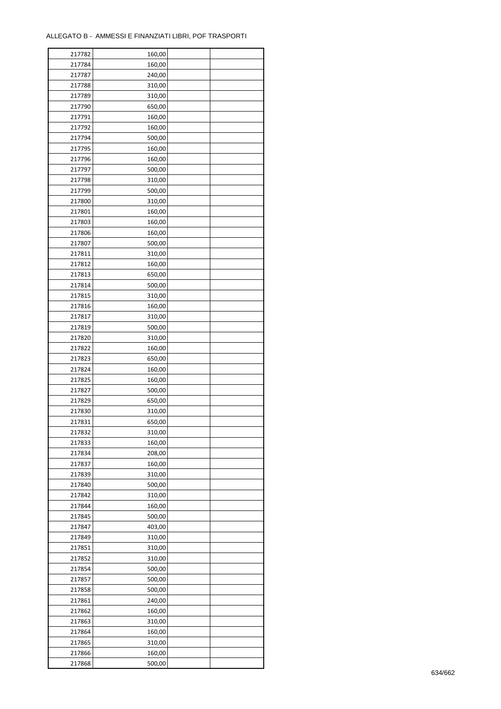| 217782 | 160,00 |  |
|--------|--------|--|
| 217784 | 160,00 |  |
| 217787 | 240,00 |  |
| 217788 | 310,00 |  |
| 217789 | 310,00 |  |
| 217790 | 650,00 |  |
| 217791 | 160,00 |  |
| 217792 | 160,00 |  |
| 217794 | 500,00 |  |
| 217795 | 160,00 |  |
|        |        |  |
| 217796 | 160,00 |  |
| 217797 | 500,00 |  |
| 217798 | 310,00 |  |
| 217799 | 500,00 |  |
| 217800 | 310,00 |  |
| 217801 | 160,00 |  |
| 217803 | 160,00 |  |
| 217806 | 160,00 |  |
| 217807 | 500,00 |  |
| 217811 | 310,00 |  |
| 217812 | 160,00 |  |
| 217813 | 650,00 |  |
| 217814 | 500,00 |  |
| 217815 | 310,00 |  |
| 217816 | 160,00 |  |
| 217817 | 310,00 |  |
| 217819 | 500,00 |  |
| 217820 | 310,00 |  |
| 217822 | 160,00 |  |
| 217823 | 650,00 |  |
| 217824 | 160,00 |  |
| 217825 | 160,00 |  |
| 217827 | 500,00 |  |
| 217829 | 650,00 |  |
| 217830 | 310,00 |  |
| 217831 |        |  |
|        | 650,00 |  |
| 217832 | 310,00 |  |
| 217833 | 160,00 |  |
| 217834 | 208,00 |  |
| 217837 | 160,00 |  |
| 217839 | 310,00 |  |
| 217840 | 500,00 |  |
| 217842 | 310,00 |  |
| 217844 | 160,00 |  |
| 217845 | 500,00 |  |
| 217847 | 403,00 |  |
| 217849 | 310,00 |  |
| 217851 | 310,00 |  |
| 217852 | 310,00 |  |
| 217854 | 500,00 |  |
| 217857 | 500,00 |  |
| 217858 | 500,00 |  |
| 217861 | 240,00 |  |
| 217862 | 160,00 |  |
| 217863 | 310,00 |  |
| 217864 | 160,00 |  |
| 217865 | 310,00 |  |
| 217866 | 160,00 |  |
| 217868 | 500,00 |  |
|        |        |  |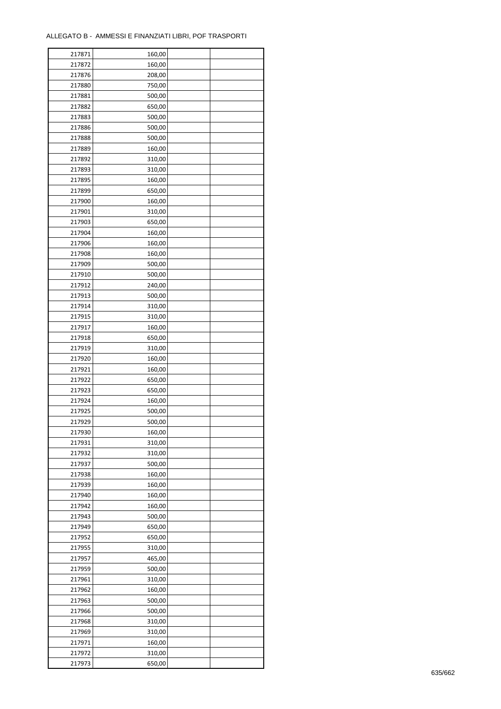| 217871 | 160,00 |  |
|--------|--------|--|
| 217872 | 160,00 |  |
| 217876 | 208,00 |  |
| 217880 | 750,00 |  |
| 217881 | 500,00 |  |
| 217882 | 650,00 |  |
| 217883 | 500,00 |  |
| 217886 | 500,00 |  |
| 217888 | 500,00 |  |
| 217889 | 160,00 |  |
| 217892 | 310,00 |  |
| 217893 | 310,00 |  |
|        |        |  |
| 217895 | 160,00 |  |
| 217899 | 650,00 |  |
| 217900 | 160,00 |  |
| 217901 | 310,00 |  |
| 217903 | 650,00 |  |
| 217904 | 160,00 |  |
| 217906 | 160,00 |  |
| 217908 | 160,00 |  |
| 217909 | 500,00 |  |
| 217910 | 500,00 |  |
| 217912 | 240,00 |  |
| 217913 | 500,00 |  |
| 217914 | 310,00 |  |
| 217915 | 310,00 |  |
| 217917 | 160,00 |  |
| 217918 | 650,00 |  |
| 217919 | 310,00 |  |
| 217920 | 160,00 |  |
| 217921 | 160,00 |  |
| 217922 | 650,00 |  |
| 217923 | 650,00 |  |
| 217924 | 160,00 |  |
| 217925 | 500,00 |  |
| 217929 | 500,00 |  |
| 217930 | 160,00 |  |
| 217931 | 310,00 |  |
| 217932 | 310,00 |  |
| 217937 | 500,00 |  |
| 217938 | 160,00 |  |
|        |        |  |
| 217939 | 160,00 |  |
| 217940 | 160,00 |  |
| 217942 | 160,00 |  |
| 217943 | 500,00 |  |
| 217949 | 650,00 |  |
| 217952 | 650,00 |  |
| 217955 | 310,00 |  |
| 217957 | 465,00 |  |
| 217959 | 500,00 |  |
| 217961 | 310,00 |  |
| 217962 | 160,00 |  |
| 217963 | 500,00 |  |
| 217966 | 500,00 |  |
| 217968 | 310,00 |  |
| 217969 | 310,00 |  |
| 217971 | 160,00 |  |
| 217972 | 310,00 |  |
| 217973 | 650,00 |  |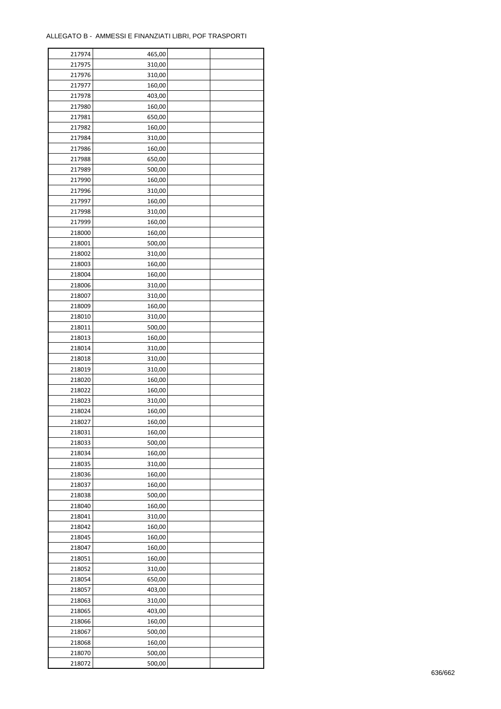| 217974 | 465,00 |  |
|--------|--------|--|
| 217975 | 310,00 |  |
| 217976 | 310,00 |  |
| 217977 | 160,00 |  |
| 217978 | 403,00 |  |
| 217980 | 160,00 |  |
| 217981 | 650,00 |  |
| 217982 | 160,00 |  |
| 217984 | 310,00 |  |
| 217986 | 160,00 |  |
| 217988 | 650,00 |  |
| 217989 | 500,00 |  |
| 217990 | 160,00 |  |
| 217996 |        |  |
|        | 310,00 |  |
| 217997 | 160,00 |  |
| 217998 | 310,00 |  |
| 217999 | 160,00 |  |
| 218000 | 160,00 |  |
| 218001 | 500,00 |  |
| 218002 | 310,00 |  |
| 218003 | 160,00 |  |
| 218004 | 160,00 |  |
| 218006 | 310,00 |  |
| 218007 | 310,00 |  |
| 218009 | 160,00 |  |
| 218010 | 310,00 |  |
| 218011 | 500,00 |  |
| 218013 | 160,00 |  |
| 218014 | 310,00 |  |
| 218018 | 310,00 |  |
| 218019 | 310,00 |  |
| 218020 | 160,00 |  |
| 218022 | 160,00 |  |
| 218023 | 310,00 |  |
| 218024 | 160,00 |  |
| 218027 | 160,00 |  |
| 218031 | 160,00 |  |
| 218033 | 500,00 |  |
| 218034 | 160,00 |  |
| 218035 | 310,00 |  |
| 218036 | 160,00 |  |
| 218037 | 160,00 |  |
| 218038 | 500,00 |  |
| 218040 | 160,00 |  |
| 218041 | 310,00 |  |
| 218042 | 160,00 |  |
| 218045 | 160,00 |  |
| 218047 | 160,00 |  |
| 218051 | 160,00 |  |
| 218052 | 310,00 |  |
| 218054 | 650,00 |  |
| 218057 | 403,00 |  |
| 218063 | 310,00 |  |
| 218065 | 403,00 |  |
|        |        |  |
| 218066 | 160,00 |  |
| 218067 | 500,00 |  |
| 218068 | 160,00 |  |
| 218070 | 500,00 |  |
| 218072 | 500,00 |  |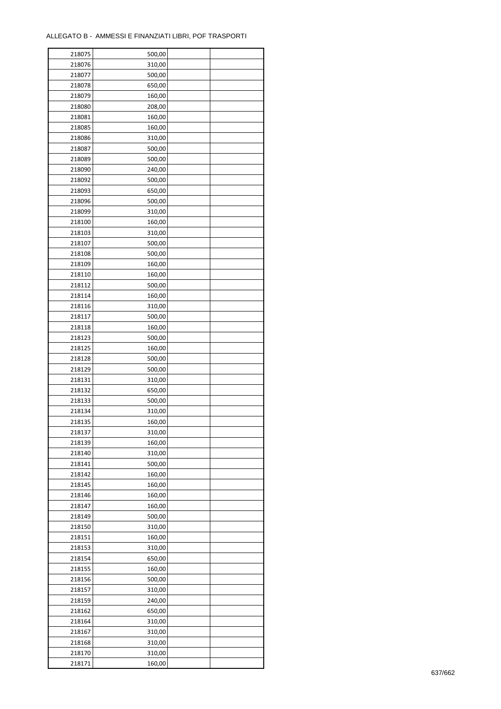| 218075 | 500,00 |  |
|--------|--------|--|
| 218076 | 310,00 |  |
| 218077 | 500,00 |  |
| 218078 | 650,00 |  |
| 218079 | 160,00 |  |
| 218080 | 208,00 |  |
| 218081 | 160,00 |  |
| 218085 | 160,00 |  |
| 218086 | 310,00 |  |
|        |        |  |
| 218087 | 500,00 |  |
| 218089 | 500,00 |  |
| 218090 | 240,00 |  |
| 218092 | 500,00 |  |
| 218093 | 650,00 |  |
| 218096 | 500,00 |  |
| 218099 | 310,00 |  |
| 218100 | 160,00 |  |
| 218103 | 310,00 |  |
| 218107 | 500,00 |  |
| 218108 | 500,00 |  |
| 218109 | 160,00 |  |
| 218110 | 160,00 |  |
| 218112 | 500,00 |  |
| 218114 | 160,00 |  |
| 218116 | 310,00 |  |
| 218117 | 500,00 |  |
| 218118 | 160,00 |  |
| 218123 | 500,00 |  |
| 218125 | 160,00 |  |
| 218128 | 500,00 |  |
| 218129 | 500,00 |  |
| 218131 | 310,00 |  |
| 218132 | 650,00 |  |
| 218133 | 500,00 |  |
| 218134 | 310,00 |  |
| 218135 | 160,00 |  |
| 218137 | 310,00 |  |
|        | 160,00 |  |
| 218139 |        |  |
| 218140 | 310,00 |  |
| 218141 | 500,00 |  |
| 218142 | 160,00 |  |
| 218145 | 160,00 |  |
| 218146 | 160,00 |  |
| 218147 | 160,00 |  |
| 218149 | 500,00 |  |
| 218150 | 310,00 |  |
| 218151 | 160,00 |  |
| 218153 | 310,00 |  |
| 218154 | 650,00 |  |
| 218155 | 160,00 |  |
| 218156 | 500,00 |  |
| 218157 | 310,00 |  |
| 218159 | 240,00 |  |
| 218162 | 650,00 |  |
| 218164 | 310,00 |  |
| 218167 | 310,00 |  |
| 218168 | 310,00 |  |
| 218170 | 310,00 |  |
| 218171 | 160,00 |  |
|        |        |  |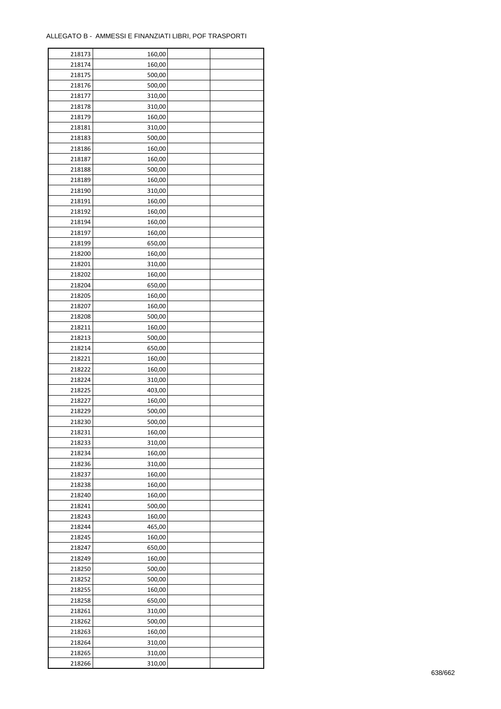| 218173 | 160,00 |  |
|--------|--------|--|
| 218174 | 160,00 |  |
| 218175 | 500,00 |  |
| 218176 | 500,00 |  |
| 218177 | 310,00 |  |
| 218178 | 310,00 |  |
| 218179 | 160,00 |  |
| 218181 | 310,00 |  |
| 218183 | 500,00 |  |
| 218186 | 160,00 |  |
|        |        |  |
| 218187 | 160,00 |  |
| 218188 | 500,00 |  |
| 218189 | 160,00 |  |
| 218190 | 310,00 |  |
| 218191 | 160,00 |  |
| 218192 | 160,00 |  |
| 218194 | 160,00 |  |
| 218197 | 160,00 |  |
| 218199 | 650,00 |  |
| 218200 | 160,00 |  |
| 218201 | 310,00 |  |
| 218202 | 160,00 |  |
| 218204 | 650,00 |  |
| 218205 | 160,00 |  |
| 218207 | 160,00 |  |
| 218208 | 500,00 |  |
| 218211 | 160,00 |  |
| 218213 | 500,00 |  |
| 218214 | 650,00 |  |
| 218221 | 160,00 |  |
| 218222 | 160,00 |  |
| 218224 | 310,00 |  |
| 218225 | 403,00 |  |
| 218227 | 160,00 |  |
| 218229 | 500,00 |  |
| 218230 |        |  |
|        | 500,00 |  |
| 218231 | 160,00 |  |
| 218233 | 310,00 |  |
| 218234 | 160,00 |  |
| 218236 | 310,00 |  |
| 218237 | 160,00 |  |
| 218238 | 160,00 |  |
| 218240 | 160,00 |  |
| 218241 | 500,00 |  |
| 218243 | 160,00 |  |
| 218244 | 465,00 |  |
| 218245 | 160,00 |  |
| 218247 | 650,00 |  |
| 218249 | 160,00 |  |
| 218250 | 500,00 |  |
| 218252 | 500,00 |  |
| 218255 | 160,00 |  |
| 218258 | 650,00 |  |
| 218261 | 310,00 |  |
| 218262 | 500,00 |  |
| 218263 | 160,00 |  |
| 218264 | 310,00 |  |
| 218265 | 310,00 |  |
|        |        |  |
| 218266 | 310,00 |  |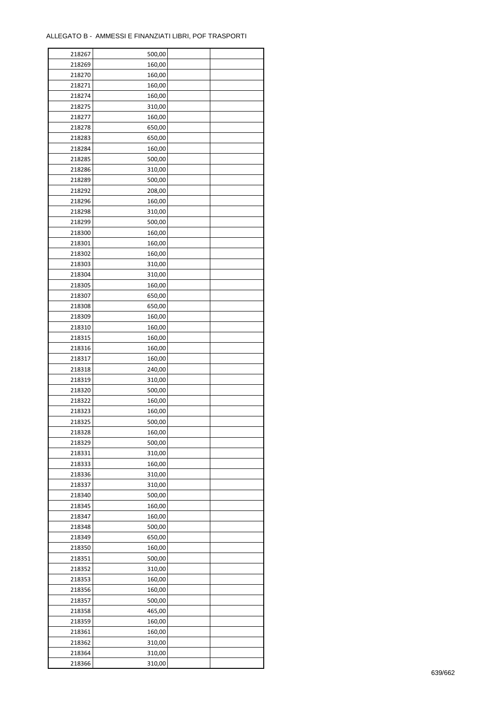| 218267 | 500,00 |  |
|--------|--------|--|
| 218269 | 160,00 |  |
| 218270 | 160,00 |  |
| 218271 | 160,00 |  |
| 218274 | 160,00 |  |
| 218275 | 310,00 |  |
| 218277 | 160,00 |  |
| 218278 | 650,00 |  |
| 218283 | 650,00 |  |
|        |        |  |
| 218284 | 160,00 |  |
| 218285 | 500,00 |  |
| 218286 | 310,00 |  |
| 218289 | 500,00 |  |
| 218292 | 208,00 |  |
| 218296 | 160,00 |  |
| 218298 | 310,00 |  |
| 218299 | 500,00 |  |
| 218300 | 160,00 |  |
| 218301 | 160,00 |  |
| 218302 | 160,00 |  |
| 218303 | 310,00 |  |
| 218304 | 310,00 |  |
| 218305 | 160,00 |  |
| 218307 | 650,00 |  |
| 218308 | 650,00 |  |
| 218309 | 160,00 |  |
| 218310 | 160,00 |  |
| 218315 | 160,00 |  |
| 218316 | 160,00 |  |
| 218317 | 160,00 |  |
|        |        |  |
| 218318 | 240,00 |  |
| 218319 | 310,00 |  |
| 218320 | 500,00 |  |
| 218322 | 160,00 |  |
| 218323 | 160,00 |  |
| 218325 | 500,00 |  |
| 218328 | 160,00 |  |
| 218329 | 500,00 |  |
| 218331 | 310,00 |  |
| 218333 | 160,00 |  |
| 218336 | 310,00 |  |
| 218337 | 310,00 |  |
| 218340 | 500,00 |  |
| 218345 | 160,00 |  |
| 218347 | 160,00 |  |
| 218348 | 500,00 |  |
| 218349 | 650,00 |  |
| 218350 | 160,00 |  |
| 218351 | 500,00 |  |
| 218352 | 310,00 |  |
| 218353 | 160,00 |  |
| 218356 | 160,00 |  |
| 218357 | 500,00 |  |
|        |        |  |
| 218358 | 465,00 |  |
| 218359 | 160,00 |  |
| 218361 | 160,00 |  |
| 218362 | 310,00 |  |
| 218364 | 310,00 |  |
| 218366 | 310,00 |  |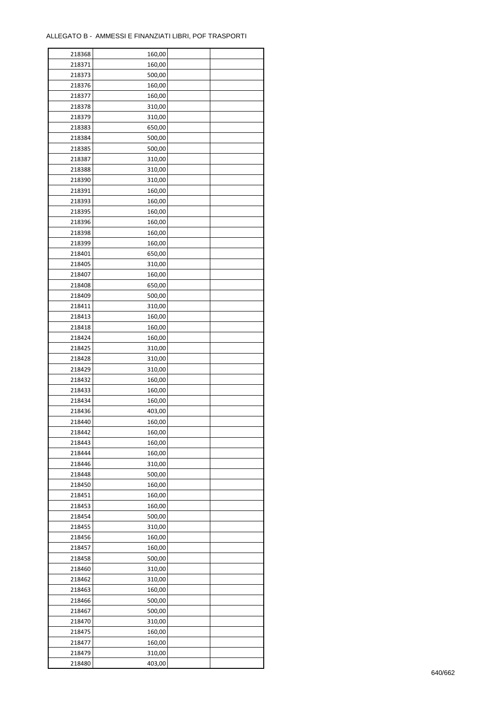| 218368 | 160,00 |  |
|--------|--------|--|
| 218371 | 160,00 |  |
| 218373 | 500,00 |  |
| 218376 | 160,00 |  |
| 218377 | 160,00 |  |
| 218378 | 310,00 |  |
| 218379 | 310,00 |  |
| 218383 | 650,00 |  |
| 218384 | 500,00 |  |
| 218385 | 500,00 |  |
| 218387 | 310,00 |  |
| 218388 | 310,00 |  |
| 218390 | 310,00 |  |
| 218391 |        |  |
|        | 160,00 |  |
| 218393 | 160,00 |  |
| 218395 | 160,00 |  |
| 218396 | 160,00 |  |
| 218398 | 160,00 |  |
| 218399 | 160,00 |  |
| 218401 | 650,00 |  |
| 218405 | 310,00 |  |
| 218407 | 160,00 |  |
| 218408 | 650,00 |  |
| 218409 | 500,00 |  |
| 218411 | 310,00 |  |
| 218413 | 160,00 |  |
| 218418 | 160,00 |  |
| 218424 | 160,00 |  |
| 218425 | 310,00 |  |
| 218428 | 310,00 |  |
| 218429 | 310,00 |  |
| 218432 | 160,00 |  |
| 218433 | 160,00 |  |
| 218434 | 160,00 |  |
| 218436 | 403,00 |  |
| 218440 | 160,00 |  |
| 218442 | 160,00 |  |
| 218443 | 160,00 |  |
| 218444 | 160,00 |  |
| 218446 | 310,00 |  |
| 218448 | 500,00 |  |
| 218450 | 160,00 |  |
| 218451 | 160,00 |  |
| 218453 | 160,00 |  |
| 218454 | 500,00 |  |
| 218455 | 310,00 |  |
| 218456 | 160,00 |  |
| 218457 | 160,00 |  |
|        |        |  |
| 218458 | 500,00 |  |
| 218460 | 310,00 |  |
| 218462 | 310,00 |  |
| 218463 | 160,00 |  |
| 218466 | 500,00 |  |
| 218467 | 500,00 |  |
| 218470 | 310,00 |  |
| 218475 | 160,00 |  |
| 218477 | 160,00 |  |
| 218479 | 310,00 |  |
| 218480 | 403,00 |  |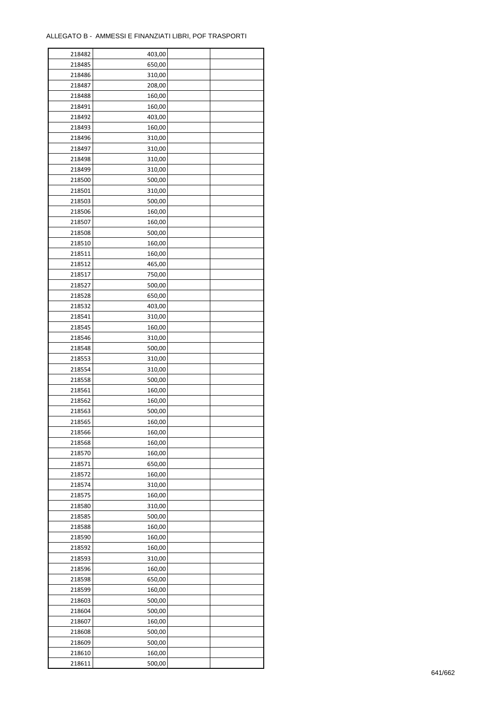÷

| 218482 | 403,00 |  |
|--------|--------|--|
| 218485 | 650,00 |  |
| 218486 | 310,00 |  |
| 218487 | 208,00 |  |
| 218488 | 160,00 |  |
| 218491 | 160,00 |  |
| 218492 | 403,00 |  |
| 218493 | 160,00 |  |
| 218496 | 310,00 |  |
| 218497 | 310,00 |  |
| 218498 | 310,00 |  |
| 218499 | 310,00 |  |
| 218500 | 500,00 |  |
|        |        |  |
| 218501 | 310,00 |  |
| 218503 | 500,00 |  |
| 218506 | 160,00 |  |
| 218507 | 160,00 |  |
| 218508 | 500,00 |  |
| 218510 | 160,00 |  |
| 218511 | 160,00 |  |
| 218512 | 465,00 |  |
| 218517 | 750,00 |  |
| 218527 | 500,00 |  |
| 218528 | 650,00 |  |
| 218532 | 403,00 |  |
| 218541 | 310,00 |  |
| 218545 | 160,00 |  |
| 218546 | 310,00 |  |
| 218548 | 500,00 |  |
| 218553 | 310,00 |  |
| 218554 | 310,00 |  |
| 218558 | 500,00 |  |
| 218561 | 160,00 |  |
| 218562 | 160,00 |  |
| 218563 | 500,00 |  |
| 218565 | 160,00 |  |
| 218566 | 160,00 |  |
| 218568 | 160,00 |  |
| 218570 | 160,00 |  |
| 218571 | 650,00 |  |
| 218572 | 160,00 |  |
| 218574 | 310,00 |  |
| 218575 | 160,00 |  |
| 218580 | 310,00 |  |
| 218585 | 500,00 |  |
| 218588 | 160,00 |  |
| 218590 | 160,00 |  |
| 218592 | 160,00 |  |
| 218593 | 310,00 |  |
| 218596 | 160,00 |  |
| 218598 | 650,00 |  |
| 218599 | 160,00 |  |
| 218603 | 500,00 |  |
| 218604 | 500,00 |  |
| 218607 | 160,00 |  |
| 218608 | 500,00 |  |
| 218609 | 500,00 |  |
| 218610 | 160,00 |  |
| 218611 | 500,00 |  |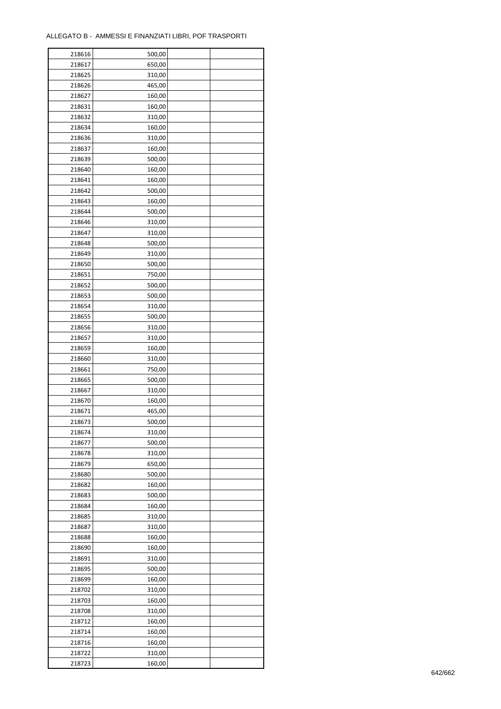| 218616 | 500,00 |  |
|--------|--------|--|
| 218617 | 650,00 |  |
| 218625 | 310,00 |  |
| 218626 | 465,00 |  |
| 218627 | 160,00 |  |
| 218631 | 160,00 |  |
| 218632 | 310,00 |  |
| 218634 | 160,00 |  |
| 218636 | 310,00 |  |
| 218637 | 160,00 |  |
| 218639 | 500,00 |  |
| 218640 | 160,00 |  |
| 218641 |        |  |
|        | 160,00 |  |
| 218642 | 500,00 |  |
| 218643 | 160,00 |  |
| 218644 | 500,00 |  |
| 218646 | 310,00 |  |
| 218647 | 310,00 |  |
| 218648 | 500,00 |  |
| 218649 | 310,00 |  |
| 218650 | 500,00 |  |
| 218651 | 750,00 |  |
| 218652 | 500,00 |  |
| 218653 | 500,00 |  |
| 218654 | 310,00 |  |
| 218655 | 500,00 |  |
| 218656 | 310,00 |  |
| 218657 | 310,00 |  |
| 218659 | 160,00 |  |
| 218660 | 310,00 |  |
| 218661 | 750,00 |  |
| 218665 | 500,00 |  |
| 218667 | 310,00 |  |
| 218670 | 160,00 |  |
| 218671 | 465,00 |  |
| 218673 | 500,00 |  |
| 218674 | 310,00 |  |
| 218677 | 500,00 |  |
| 218678 | 310,00 |  |
| 218679 | 650,00 |  |
| 218680 | 500,00 |  |
| 218682 | 160,00 |  |
| 218683 | 500,00 |  |
| 218684 | 160,00 |  |
| 218685 | 310,00 |  |
| 218687 | 310,00 |  |
| 218688 | 160,00 |  |
| 218690 | 160,00 |  |
| 218691 | 310,00 |  |
| 218695 | 500,00 |  |
| 218699 | 160,00 |  |
| 218702 | 310,00 |  |
| 218703 | 160,00 |  |
| 218708 | 310,00 |  |
| 218712 | 160,00 |  |
| 218714 | 160,00 |  |
| 218716 | 160,00 |  |
|        |        |  |
| 218722 | 310,00 |  |
| 218723 | 160,00 |  |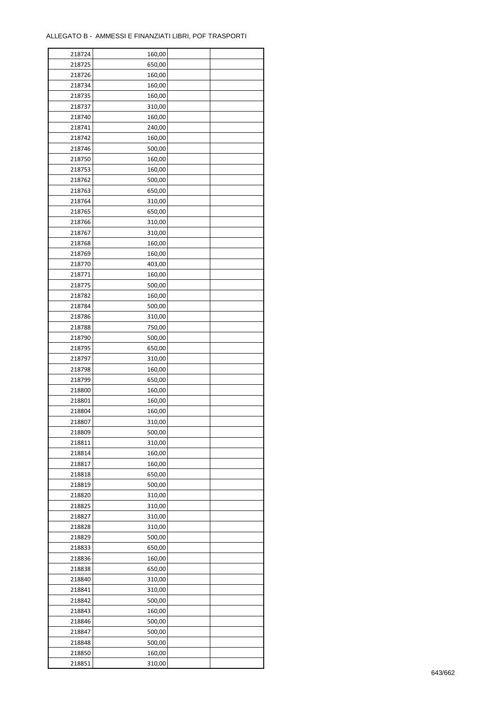| 218724 | 160,00 |  |
|--------|--------|--|
| 218725 | 650,00 |  |
| 218726 | 160,00 |  |
| 218734 | 160,00 |  |
| 218735 | 160,00 |  |
| 218737 | 310,00 |  |
| 218740 | 160,00 |  |
| 218741 | 240,00 |  |
| 218742 | 160,00 |  |
| 218746 | 500,00 |  |
| 218750 | 160,00 |  |
| 218753 |        |  |
|        | 160,00 |  |
| 218762 | 500,00 |  |
| 218763 | 650,00 |  |
| 218764 | 310,00 |  |
| 218765 | 650,00 |  |
| 218766 | 310,00 |  |
| 218767 | 310,00 |  |
| 218768 | 160,00 |  |
| 218769 | 160,00 |  |
| 218770 | 403,00 |  |
| 218771 | 160,00 |  |
| 218775 | 500,00 |  |
| 218782 | 160,00 |  |
| 218784 | 500,00 |  |
| 218786 | 310,00 |  |
| 218788 | 750,00 |  |
| 218790 | 500,00 |  |
| 218795 | 650,00 |  |
| 218797 | 310,00 |  |
| 218798 | 160,00 |  |
| 218799 | 650,00 |  |
| 218800 | 160,00 |  |
| 218801 | 160,00 |  |
| 218804 | 160,00 |  |
| 218807 | 310,00 |  |
| 218809 | 500,00 |  |
| 218811 | 310,00 |  |
| 218814 | 160,00 |  |
| 218817 | 160,00 |  |
| 218818 | 650,00 |  |
| 218819 | 500,00 |  |
| 218820 |        |  |
|        | 310,00 |  |
| 218825 | 310,00 |  |
| 218827 | 310,00 |  |
| 218828 | 310,00 |  |
| 218829 | 500,00 |  |
| 218833 | 650,00 |  |
| 218836 | 160,00 |  |
| 218838 | 650,00 |  |
| 218840 | 310,00 |  |
| 218841 | 310,00 |  |
| 218842 | 500,00 |  |
| 218843 | 160,00 |  |
| 218846 | 500,00 |  |
| 218847 | 500,00 |  |
| 218848 | 500,00 |  |
| 218850 | 160,00 |  |
| 218851 | 310,00 |  |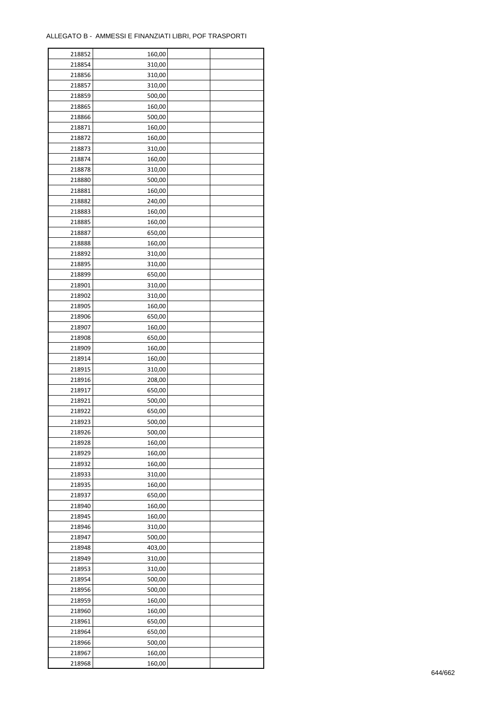$\mathbf{r}$ 

| 218852 | 160,00 |  |
|--------|--------|--|
| 218854 | 310,00 |  |
| 218856 | 310,00 |  |
| 218857 | 310,00 |  |
| 218859 | 500,00 |  |
| 218865 | 160,00 |  |
| 218866 | 500,00 |  |
| 218871 | 160,00 |  |
| 218872 | 160,00 |  |
| 218873 | 310,00 |  |
| 218874 | 160,00 |  |
| 218878 | 310,00 |  |
| 218880 | 500,00 |  |
| 218881 | 160,00 |  |
| 218882 | 240,00 |  |
|        |        |  |
| 218883 | 160,00 |  |
| 218885 | 160,00 |  |
| 218887 | 650,00 |  |
| 218888 | 160,00 |  |
| 218892 | 310,00 |  |
| 218895 | 310,00 |  |
| 218899 | 650,00 |  |
| 218901 | 310,00 |  |
| 218902 | 310,00 |  |
| 218905 | 160,00 |  |
| 218906 | 650,00 |  |
| 218907 | 160,00 |  |
| 218908 | 650,00 |  |
| 218909 | 160,00 |  |
| 218914 | 160,00 |  |
| 218915 | 310,00 |  |
| 218916 | 208,00 |  |
| 218917 | 650,00 |  |
| 218921 | 500,00 |  |
| 218922 | 650,00 |  |
| 218923 | 500,00 |  |
| 218926 | 500,00 |  |
| 218928 | 160,00 |  |
| 218929 | 160,00 |  |
| 218932 | 160,00 |  |
| 218933 | 310,00 |  |
| 218935 | 160,00 |  |
| 218937 | 650,00 |  |
| 218940 | 160,00 |  |
| 218945 | 160,00 |  |
| 218946 | 310,00 |  |
| 218947 | 500,00 |  |
| 218948 | 403,00 |  |
| 218949 | 310,00 |  |
| 218953 | 310,00 |  |
| 218954 | 500,00 |  |
| 218956 | 500,00 |  |
| 218959 | 160,00 |  |
| 218960 | 160,00 |  |
| 218961 | 650,00 |  |
| 218964 | 650,00 |  |
| 218966 | 500,00 |  |
| 218967 | 160,00 |  |
| 218968 | 160,00 |  |
|        |        |  |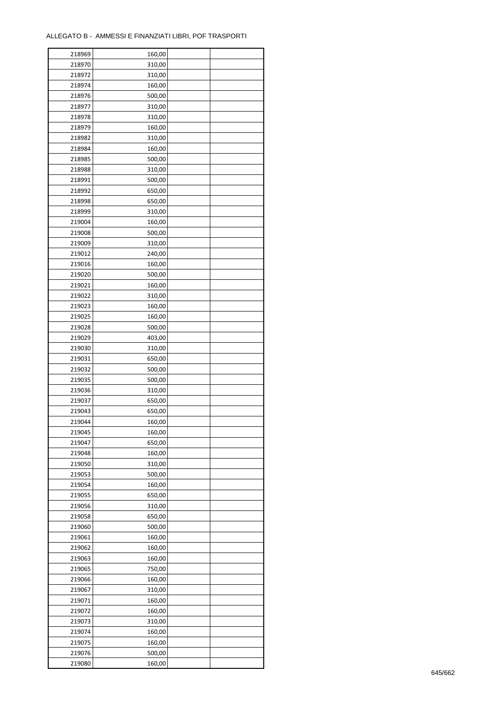÷

| 218969 | 160,00           |  |
|--------|------------------|--|
| 218970 | 310,00           |  |
| 218972 | 310,00           |  |
| 218974 | 160,00           |  |
| 218976 | 500,00           |  |
| 218977 | 310,00           |  |
| 218978 | 310,00           |  |
| 218979 | 160,00           |  |
| 218982 | 310,00           |  |
|        |                  |  |
| 218984 | 160,00<br>500,00 |  |
| 218985 |                  |  |
| 218988 | 310,00           |  |
| 218991 | 500,00           |  |
| 218992 | 650,00           |  |
| 218998 | 650,00           |  |
| 218999 | 310,00           |  |
| 219004 | 160,00           |  |
| 219008 | 500,00           |  |
| 219009 | 310,00           |  |
| 219012 | 240,00           |  |
| 219016 | 160,00           |  |
| 219020 | 500,00           |  |
| 219021 | 160,00           |  |
| 219022 | 310,00           |  |
| 219023 | 160,00           |  |
| 219025 | 160,00           |  |
| 219028 | 500,00           |  |
| 219029 | 403,00           |  |
| 219030 | 310,00           |  |
| 219031 | 650,00           |  |
| 219032 | 500,00           |  |
|        |                  |  |
| 219035 | 500,00           |  |
| 219036 | 310,00           |  |
| 219037 | 650,00           |  |
| 219043 | 650,00           |  |
| 219044 | 160,00           |  |
| 219045 | 160,00           |  |
| 219047 | 650,00           |  |
| 219048 | 160,00           |  |
| 219050 | 310,00           |  |
| 219053 | 500,00           |  |
| 219054 | 160,00           |  |
| 219055 | 650,00           |  |
| 219056 | 310,00           |  |
| 219058 | 650,00           |  |
| 219060 | 500,00           |  |
| 219061 | 160,00           |  |
| 219062 | 160,00           |  |
| 219063 | 160,00           |  |
| 219065 | 750,00           |  |
| 219066 | 160,00           |  |
|        |                  |  |
| 219067 | 310,00           |  |
| 219071 | 160,00           |  |
| 219072 | 160,00           |  |
| 219073 | 310,00           |  |
| 219074 | 160,00           |  |
| 219075 | 160,00           |  |
| 219076 | 500,00           |  |
| 219080 | 160,00           |  |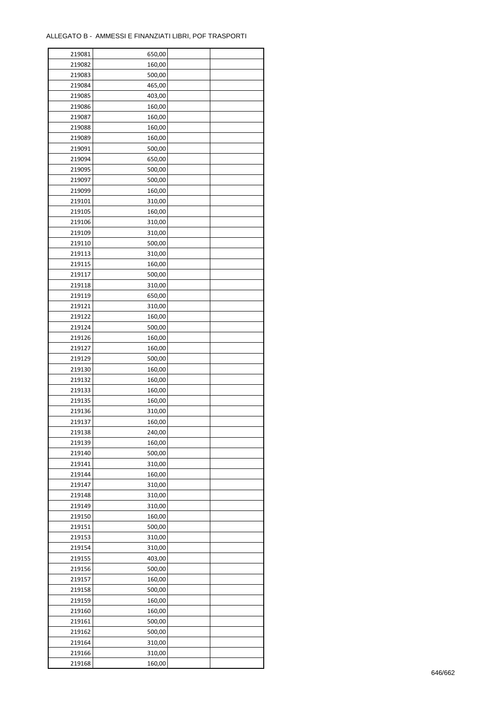| 219081 | 650,00 |  |
|--------|--------|--|
| 219082 | 160,00 |  |
| 219083 | 500,00 |  |
| 219084 | 465,00 |  |
| 219085 | 403,00 |  |
| 219086 | 160,00 |  |
| 219087 | 160,00 |  |
| 219088 | 160,00 |  |
| 219089 | 160,00 |  |
| 219091 | 500,00 |  |
| 219094 | 650,00 |  |
| 219095 | 500,00 |  |
| 219097 |        |  |
| 219099 | 500,00 |  |
|        | 160,00 |  |
| 219101 | 310,00 |  |
| 219105 | 160,00 |  |
| 219106 | 310,00 |  |
| 219109 | 310,00 |  |
| 219110 | 500,00 |  |
| 219113 | 310,00 |  |
| 219115 | 160,00 |  |
| 219117 | 500,00 |  |
| 219118 | 310,00 |  |
| 219119 | 650,00 |  |
| 219121 | 310,00 |  |
| 219122 | 160,00 |  |
| 219124 | 500,00 |  |
| 219126 | 160,00 |  |
| 219127 | 160,00 |  |
| 219129 | 500,00 |  |
| 219130 | 160,00 |  |
| 219132 | 160,00 |  |
| 219133 | 160,00 |  |
| 219135 | 160,00 |  |
| 219136 | 310,00 |  |
| 219137 | 160,00 |  |
| 219138 | 240,00 |  |
| 219139 | 160,00 |  |
| 219140 | 500,00 |  |
| 219141 | 310,00 |  |
| 219144 | 160,00 |  |
| 219147 | 310,00 |  |
| 219148 | 310,00 |  |
| 219149 | 310,00 |  |
| 219150 | 160,00 |  |
| 219151 | 500,00 |  |
| 219153 | 310,00 |  |
| 219154 | 310,00 |  |
| 219155 | 403,00 |  |
| 219156 | 500,00 |  |
| 219157 | 160,00 |  |
| 219158 | 500,00 |  |
| 219159 | 160,00 |  |
| 219160 | 160,00 |  |
| 219161 | 500,00 |  |
| 219162 | 500,00 |  |
| 219164 | 310,00 |  |
| 219166 | 310,00 |  |
| 219168 | 160,00 |  |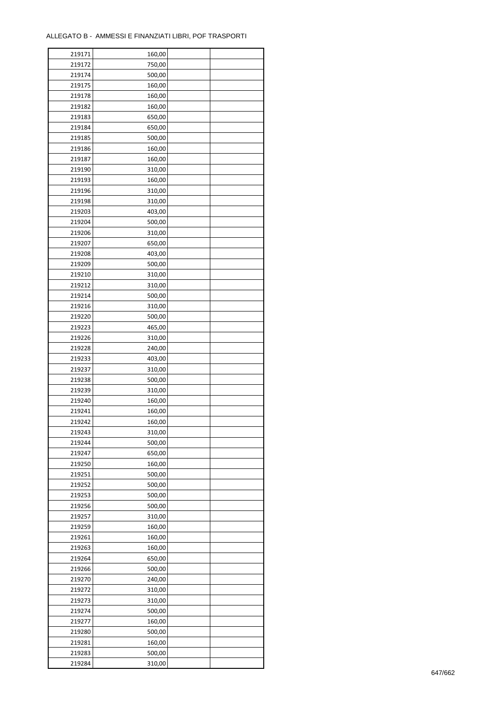| 219171 | 160,00 |  |
|--------|--------|--|
| 219172 | 750,00 |  |
| 219174 | 500,00 |  |
| 219175 | 160,00 |  |
| 219178 | 160,00 |  |
| 219182 | 160,00 |  |
| 219183 | 650,00 |  |
| 219184 | 650,00 |  |
| 219185 | 500,00 |  |
| 219186 | 160,00 |  |
| 219187 | 160,00 |  |
| 219190 | 310,00 |  |
| 219193 | 160,00 |  |
| 219196 | 310,00 |  |
|        |        |  |
| 219198 | 310,00 |  |
| 219203 | 403,00 |  |
| 219204 | 500,00 |  |
| 219206 | 310,00 |  |
| 219207 | 650,00 |  |
| 219208 | 403,00 |  |
| 219209 | 500,00 |  |
| 219210 | 310,00 |  |
| 219212 | 310,00 |  |
| 219214 | 500,00 |  |
| 219216 | 310,00 |  |
| 219220 | 500,00 |  |
| 219223 | 465,00 |  |
| 219226 | 310,00 |  |
| 219228 | 240,00 |  |
| 219233 | 403,00 |  |
| 219237 | 310,00 |  |
| 219238 | 500,00 |  |
| 219239 | 310,00 |  |
| 219240 | 160,00 |  |
| 219241 | 160,00 |  |
| 219242 | 160,00 |  |
| 219243 | 310,00 |  |
| 219244 | 500,00 |  |
| 219247 | 650,00 |  |
| 219250 | 160,00 |  |
| 219251 | 500,00 |  |
| 219252 | 500,00 |  |
| 219253 | 500,00 |  |
| 219256 | 500,00 |  |
| 219257 | 310,00 |  |
| 219259 | 160,00 |  |
| 219261 | 160,00 |  |
| 219263 | 160,00 |  |
| 219264 | 650,00 |  |
| 219266 | 500,00 |  |
| 219270 | 240,00 |  |
| 219272 | 310,00 |  |
| 219273 | 310,00 |  |
| 219274 | 500,00 |  |
| 219277 | 160,00 |  |
|        | 500,00 |  |
| 219280 |        |  |
| 219281 | 160,00 |  |
| 219283 | 500,00 |  |
| 219284 | 310,00 |  |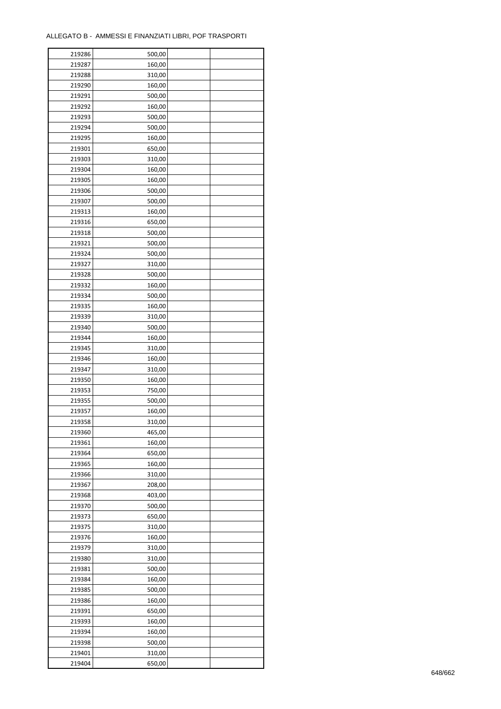| 219286 | 500,00 |  |
|--------|--------|--|
| 219287 | 160,00 |  |
| 219288 | 310,00 |  |
| 219290 | 160,00 |  |
| 219291 | 500,00 |  |
| 219292 | 160,00 |  |
| 219293 | 500,00 |  |
| 219294 | 500,00 |  |
| 219295 | 160,00 |  |
| 219301 | 650,00 |  |
| 219303 | 310,00 |  |
| 219304 | 160,00 |  |
| 219305 | 160,00 |  |
| 219306 | 500,00 |  |
| 219307 | 500,00 |  |
|        |        |  |
| 219313 | 160,00 |  |
| 219316 | 650,00 |  |
| 219318 | 500,00 |  |
| 219321 | 500,00 |  |
| 219324 | 500,00 |  |
| 219327 | 310,00 |  |
| 219328 | 500,00 |  |
| 219332 | 160,00 |  |
| 219334 | 500,00 |  |
| 219335 | 160,00 |  |
| 219339 | 310,00 |  |
| 219340 | 500,00 |  |
| 219344 | 160,00 |  |
| 219345 | 310,00 |  |
| 219346 | 160,00 |  |
| 219347 | 310,00 |  |
| 219350 | 160,00 |  |
| 219353 | 750,00 |  |
| 219355 | 500,00 |  |
| 219357 | 160,00 |  |
| 219358 | 310,00 |  |
| 219360 | 465,00 |  |
| 219361 | 160,00 |  |
| 219364 | 650,00 |  |
| 219365 | 160,00 |  |
| 219366 | 310,00 |  |
| 219367 | 208,00 |  |
| 219368 | 403,00 |  |
| 219370 | 500,00 |  |
| 219373 | 650,00 |  |
| 219375 | 310,00 |  |
| 219376 | 160,00 |  |
| 219379 | 310,00 |  |
| 219380 |        |  |
| 219381 | 310,00 |  |
|        | 500,00 |  |
| 219384 | 160,00 |  |
| 219385 | 500,00 |  |
| 219386 | 160,00 |  |
| 219391 | 650,00 |  |
| 219393 | 160,00 |  |
| 219394 | 160,00 |  |
| 219398 | 500,00 |  |
| 219401 | 310,00 |  |
| 219404 | 650,00 |  |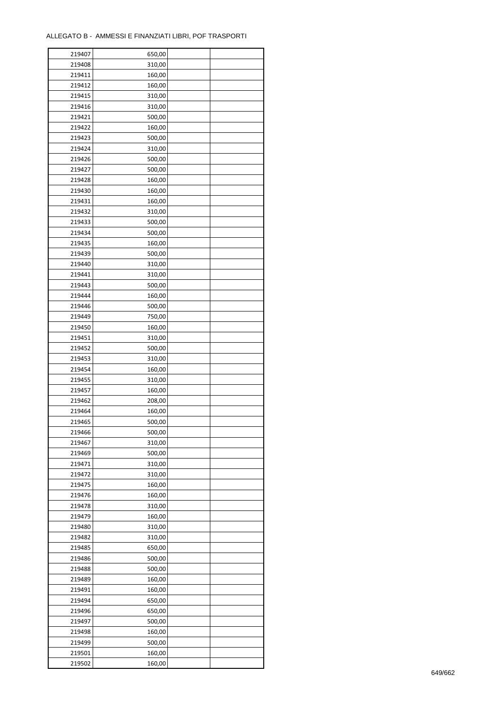÷

| 219407 | 650,00 |  |
|--------|--------|--|
| 219408 | 310,00 |  |
| 219411 | 160,00 |  |
| 219412 | 160,00 |  |
| 219415 | 310,00 |  |
| 219416 | 310,00 |  |
| 219421 | 500,00 |  |
| 219422 | 160,00 |  |
| 219423 | 500,00 |  |
| 219424 | 310,00 |  |
| 219426 | 500,00 |  |
| 219427 |        |  |
|        | 500,00 |  |
| 219428 | 160,00 |  |
| 219430 | 160,00 |  |
| 219431 | 160,00 |  |
| 219432 | 310,00 |  |
| 219433 | 500,00 |  |
| 219434 | 500,00 |  |
| 219435 | 160,00 |  |
| 219439 | 500,00 |  |
| 219440 | 310,00 |  |
| 219441 | 310,00 |  |
| 219443 | 500,00 |  |
| 219444 | 160,00 |  |
| 219446 | 500,00 |  |
| 219449 | 750,00 |  |
| 219450 | 160,00 |  |
| 219451 | 310,00 |  |
| 219452 | 500,00 |  |
| 219453 | 310,00 |  |
| 219454 | 160,00 |  |
| 219455 | 310,00 |  |
| 219457 | 160,00 |  |
| 219462 | 208,00 |  |
| 219464 | 160,00 |  |
| 219465 | 500,00 |  |
| 219466 |        |  |
| 219467 | 500,00 |  |
|        | 310,00 |  |
| 219469 | 500,00 |  |
| 219471 | 310,00 |  |
| 219472 | 310,00 |  |
| 219475 | 160,00 |  |
| 219476 | 160,00 |  |
| 219478 | 310,00 |  |
| 219479 | 160,00 |  |
| 219480 | 310,00 |  |
| 219482 | 310,00 |  |
| 219485 | 650,00 |  |
| 219486 | 500,00 |  |
| 219488 | 500,00 |  |
| 219489 | 160,00 |  |
| 219491 | 160,00 |  |
| 219494 | 650,00 |  |
| 219496 | 650,00 |  |
| 219497 | 500,00 |  |
| 219498 | 160,00 |  |
| 219499 | 500,00 |  |
| 219501 | 160,00 |  |
| 219502 | 160,00 |  |
|        |        |  |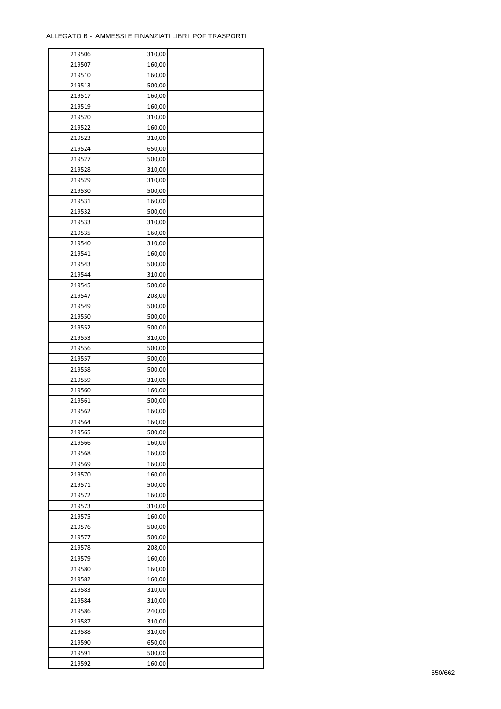| 219506 | 310,00 |  |
|--------|--------|--|
| 219507 | 160,00 |  |
| 219510 | 160,00 |  |
| 219513 | 500,00 |  |
| 219517 | 160,00 |  |
| 219519 | 160,00 |  |
| 219520 | 310,00 |  |
| 219522 | 160,00 |  |
| 219523 | 310,00 |  |
| 219524 | 650,00 |  |
| 219527 | 500,00 |  |
| 219528 | 310,00 |  |
| 219529 | 310,00 |  |
| 219530 | 500,00 |  |
|        |        |  |
| 219531 | 160,00 |  |
| 219532 | 500,00 |  |
| 219533 | 310,00 |  |
| 219535 | 160,00 |  |
| 219540 | 310,00 |  |
| 219541 | 160,00 |  |
| 219543 | 500,00 |  |
| 219544 | 310,00 |  |
| 219545 | 500,00 |  |
| 219547 | 208,00 |  |
| 219549 | 500,00 |  |
| 219550 | 500,00 |  |
| 219552 | 500,00 |  |
| 219553 | 310,00 |  |
| 219556 | 500,00 |  |
| 219557 | 500,00 |  |
| 219558 | 500,00 |  |
| 219559 | 310,00 |  |
| 219560 | 160,00 |  |
| 219561 | 500,00 |  |
| 219562 | 160,00 |  |
| 219564 | 160,00 |  |
| 219565 | 500,00 |  |
| 219566 | 160,00 |  |
| 219568 | 160,00 |  |
| 219569 | 160,00 |  |
| 219570 | 160,00 |  |
| 219571 | 500,00 |  |
| 219572 | 160,00 |  |
| 219573 | 310,00 |  |
| 219575 | 160,00 |  |
| 219576 | 500,00 |  |
| 219577 | 500,00 |  |
| 219578 | 208,00 |  |
| 219579 | 160,00 |  |
| 219580 | 160,00 |  |
| 219582 | 160,00 |  |
|        |        |  |
| 219583 | 310,00 |  |
| 219584 | 310,00 |  |
| 219586 | 240,00 |  |
| 219587 | 310,00 |  |
| 219588 | 310,00 |  |
| 219590 | 650,00 |  |
| 219591 | 500,00 |  |
| 219592 | 160,00 |  |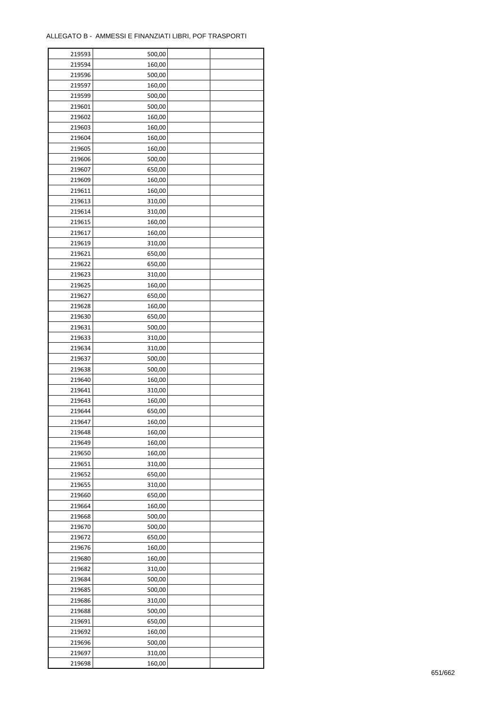| 219593 | 500,00 |  |
|--------|--------|--|
| 219594 | 160,00 |  |
| 219596 | 500,00 |  |
| 219597 | 160,00 |  |
| 219599 | 500,00 |  |
| 219601 | 500,00 |  |
| 219602 | 160,00 |  |
| 219603 | 160,00 |  |
| 219604 | 160,00 |  |
| 219605 | 160,00 |  |
| 219606 | 500,00 |  |
| 219607 | 650,00 |  |
| 219609 | 160,00 |  |
| 219611 | 160,00 |  |
|        |        |  |
| 219613 | 310,00 |  |
| 219614 | 310,00 |  |
| 219615 | 160,00 |  |
| 219617 | 160,00 |  |
| 219619 | 310,00 |  |
| 219621 | 650,00 |  |
| 219622 | 650,00 |  |
| 219623 | 310,00 |  |
| 219625 | 160,00 |  |
| 219627 | 650,00 |  |
| 219628 | 160,00 |  |
| 219630 | 650,00 |  |
| 219631 | 500,00 |  |
| 219633 | 310,00 |  |
| 219634 | 310,00 |  |
| 219637 | 500,00 |  |
| 219638 | 500,00 |  |
| 219640 | 160,00 |  |
| 219641 | 310,00 |  |
| 219643 | 160,00 |  |
| 219644 | 650,00 |  |
| 219647 | 160,00 |  |
| 219648 | 160,00 |  |
| 219649 | 160,00 |  |
| 219650 | 160,00 |  |
|        |        |  |
| 219651 | 310,00 |  |
| 219652 | 650,00 |  |
| 219655 | 310,00 |  |
| 219660 | 650,00 |  |
| 219664 | 160,00 |  |
| 219668 | 500,00 |  |
| 219670 | 500,00 |  |
| 219672 | 650,00 |  |
| 219676 | 160,00 |  |
| 219680 | 160,00 |  |
| 219682 | 310,00 |  |
| 219684 | 500,00 |  |
| 219685 | 500,00 |  |
| 219686 | 310,00 |  |
| 219688 | 500,00 |  |
| 219691 | 650,00 |  |
| 219692 | 160,00 |  |
| 219696 | 500,00 |  |
| 219697 | 310,00 |  |
| 219698 | 160,00 |  |
|        |        |  |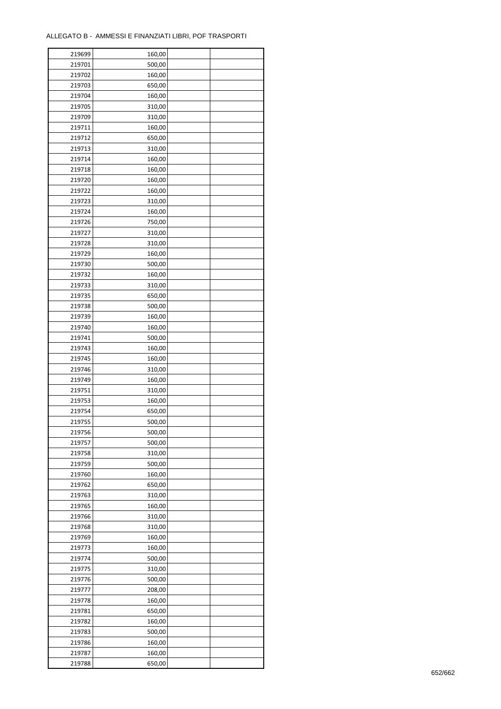| 219699 | 160,00 |  |
|--------|--------|--|
| 219701 | 500,00 |  |
| 219702 | 160,00 |  |
| 219703 | 650,00 |  |
| 219704 | 160,00 |  |
| 219705 | 310,00 |  |
| 219709 | 310,00 |  |
| 219711 | 160,00 |  |
| 219712 | 650,00 |  |
| 219713 | 310,00 |  |
| 219714 | 160,00 |  |
| 219718 | 160,00 |  |
| 219720 | 160,00 |  |
| 219722 | 160,00 |  |
|        |        |  |
| 219723 | 310,00 |  |
| 219724 | 160,00 |  |
| 219726 | 750,00 |  |
| 219727 | 310,00 |  |
| 219728 | 310,00 |  |
| 219729 | 160,00 |  |
| 219730 | 500,00 |  |
| 219732 | 160,00 |  |
| 219733 | 310,00 |  |
| 219735 | 650,00 |  |
| 219738 | 500,00 |  |
| 219739 | 160,00 |  |
| 219740 | 160,00 |  |
| 219741 | 500,00 |  |
| 219743 | 160,00 |  |
| 219745 | 160,00 |  |
| 219746 | 310,00 |  |
| 219749 | 160,00 |  |
| 219751 | 310,00 |  |
| 219753 | 160,00 |  |
| 219754 | 650,00 |  |
| 219755 | 500,00 |  |
| 219756 | 500,00 |  |
| 219757 | 500,00 |  |
| 219758 | 310,00 |  |
| 219759 | 500,00 |  |
| 219760 | 160,00 |  |
| 219762 | 650,00 |  |
| 219763 | 310,00 |  |
| 219765 | 160,00 |  |
| 219766 | 310,00 |  |
| 219768 | 310,00 |  |
| 219769 | 160,00 |  |
| 219773 | 160,00 |  |
| 219774 | 500,00 |  |
| 219775 | 310,00 |  |
| 219776 | 500,00 |  |
| 219777 | 208,00 |  |
| 219778 | 160,00 |  |
|        |        |  |
| 219781 | 650,00 |  |
| 219782 | 160,00 |  |
| 219783 | 500,00 |  |
| 219786 | 160,00 |  |
| 219787 | 160,00 |  |
| 219788 | 650,00 |  |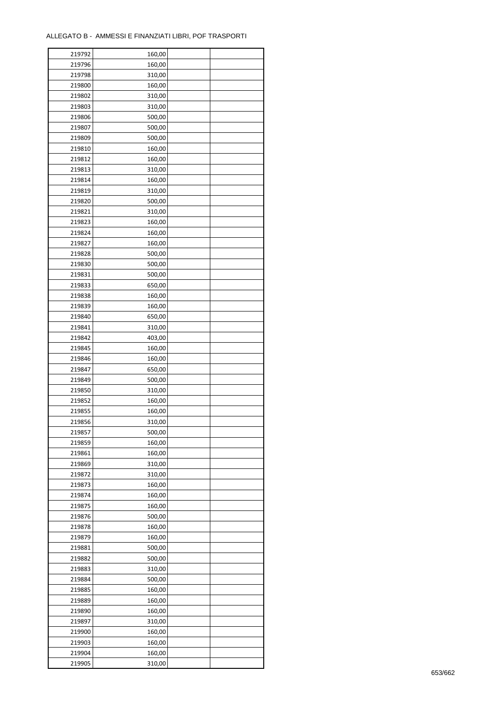ř

| 219792 | 160,00 |  |
|--------|--------|--|
| 219796 | 160,00 |  |
| 219798 | 310,00 |  |
| 219800 | 160,00 |  |
| 219802 | 310,00 |  |
| 219803 | 310,00 |  |
| 219806 | 500,00 |  |
| 219807 | 500,00 |  |
| 219809 | 500,00 |  |
| 219810 | 160,00 |  |
| 219812 | 160,00 |  |
| 219813 | 310,00 |  |
|        |        |  |
| 219814 | 160,00 |  |
| 219819 | 310,00 |  |
| 219820 | 500,00 |  |
| 219821 | 310,00 |  |
| 219823 | 160,00 |  |
| 219824 | 160,00 |  |
| 219827 | 160,00 |  |
| 219828 | 500,00 |  |
| 219830 | 500,00 |  |
| 219831 | 500,00 |  |
| 219833 | 650,00 |  |
| 219838 | 160,00 |  |
| 219839 | 160,00 |  |
| 219840 | 650,00 |  |
| 219841 | 310,00 |  |
| 219842 | 403,00 |  |
| 219845 | 160,00 |  |
| 219846 | 160,00 |  |
| 219847 | 650,00 |  |
| 219849 | 500,00 |  |
| 219850 | 310,00 |  |
| 219852 | 160,00 |  |
| 219855 | 160,00 |  |
| 219856 | 310,00 |  |
| 219857 | 500,00 |  |
| 219859 | 160,00 |  |
| 219861 | 160,00 |  |
| 219869 | 310,00 |  |
| 219872 | 310,00 |  |
| 219873 | 160,00 |  |
| 219874 | 160,00 |  |
|        |        |  |
| 219875 | 160,00 |  |
| 219876 | 500,00 |  |
| 219878 | 160,00 |  |
| 219879 | 160,00 |  |
| 219881 | 500,00 |  |
| 219882 | 500,00 |  |
| 219883 | 310,00 |  |
| 219884 | 500,00 |  |
| 219885 | 160,00 |  |
| 219889 | 160,00 |  |
| 219890 | 160,00 |  |
| 219897 | 310,00 |  |
| 219900 | 160,00 |  |
| 219903 | 160,00 |  |
| 219904 | 160,00 |  |
| 219905 | 310,00 |  |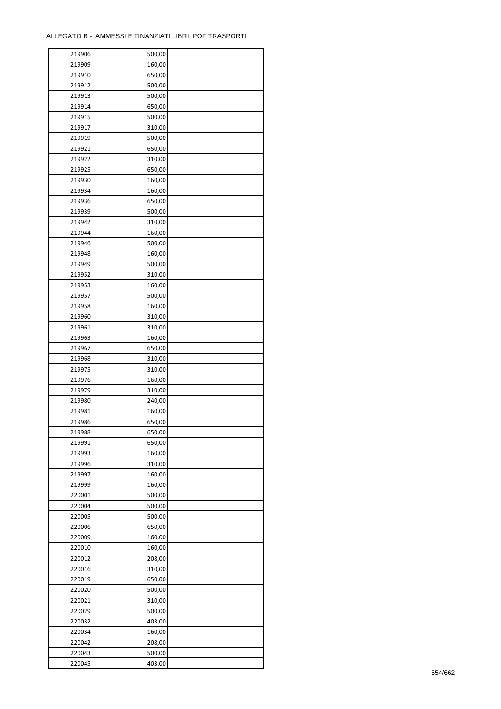| 219906 | 500,00 |  |
|--------|--------|--|
| 219909 | 160,00 |  |
| 219910 | 650,00 |  |
| 219912 | 500,00 |  |
| 219913 | 500,00 |  |
| 219914 | 650,00 |  |
| 219915 | 500,00 |  |
| 219917 | 310,00 |  |
| 219919 | 500,00 |  |
| 219921 | 650,00 |  |
| 219922 | 310,00 |  |
| 219925 |        |  |
|        | 650,00 |  |
| 219930 | 160,00 |  |
| 219934 | 160,00 |  |
| 219936 | 650,00 |  |
| 219939 | 500,00 |  |
| 219942 | 310,00 |  |
| 219944 | 160,00 |  |
| 219946 | 500,00 |  |
| 219948 | 160,00 |  |
| 219949 | 500,00 |  |
| 219952 | 310,00 |  |
| 219953 | 160,00 |  |
| 219957 | 500,00 |  |
| 219958 | 160,00 |  |
| 219960 | 310,00 |  |
| 219961 | 310,00 |  |
| 219963 | 160,00 |  |
| 219967 | 650,00 |  |
| 219968 | 310,00 |  |
| 219975 | 310,00 |  |
| 219976 | 160,00 |  |
| 219979 | 310,00 |  |
| 219980 | 240,00 |  |
| 219981 | 160,00 |  |
| 219986 | 650,00 |  |
|        |        |  |
| 219988 | 650,00 |  |
| 219991 | 650,00 |  |
| 219993 | 160,00 |  |
| 219996 | 310,00 |  |
| 219997 | 160,00 |  |
| 219999 | 160,00 |  |
| 220001 | 500,00 |  |
| 220004 | 500,00 |  |
| 220005 | 500,00 |  |
| 220006 | 650,00 |  |
| 220009 | 160,00 |  |
| 220010 | 160,00 |  |
| 220012 | 208,00 |  |
| 220016 | 310,00 |  |
| 220019 | 650,00 |  |
| 220020 | 500,00 |  |
| 220021 | 310,00 |  |
| 220029 | 500,00 |  |
| 220032 | 403,00 |  |
| 220034 | 160,00 |  |
| 220042 | 208,00 |  |
| 220043 | 500,00 |  |
|        |        |  |
| 220045 | 403,00 |  |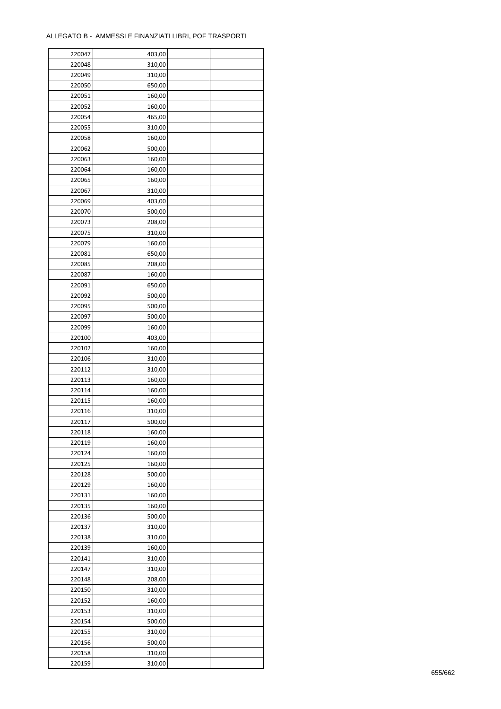| 220047 | 403,00 |  |
|--------|--------|--|
| 220048 | 310,00 |  |
| 220049 | 310,00 |  |
| 220050 | 650,00 |  |
| 220051 | 160,00 |  |
| 220052 | 160,00 |  |
| 220054 | 465,00 |  |
| 220055 | 310,00 |  |
| 220058 | 160,00 |  |
| 220062 | 500,00 |  |
| 220063 | 160,00 |  |
| 220064 | 160,00 |  |
|        |        |  |
| 220065 | 160,00 |  |
| 220067 | 310,00 |  |
| 220069 | 403,00 |  |
| 220070 | 500,00 |  |
| 220073 | 208,00 |  |
| 220075 | 310,00 |  |
| 220079 | 160,00 |  |
| 220081 | 650,00 |  |
| 220085 | 208,00 |  |
| 220087 | 160,00 |  |
| 220091 | 650,00 |  |
| 220092 | 500,00 |  |
| 220095 | 500,00 |  |
| 220097 | 500,00 |  |
| 220099 | 160,00 |  |
| 220100 | 403,00 |  |
| 220102 | 160,00 |  |
| 220106 | 310,00 |  |
| 220112 | 310,00 |  |
| 220113 | 160,00 |  |
| 220114 | 160,00 |  |
| 220115 | 160,00 |  |
| 220116 | 310,00 |  |
| 220117 | 500,00 |  |
| 220118 | 160,00 |  |
|        |        |  |
| 220119 | 160,00 |  |
| 220124 | 160,00 |  |
| 220125 | 160,00 |  |
| 220128 | 500,00 |  |
| 220129 | 160,00 |  |
| 220131 | 160,00 |  |
| 220135 | 160,00 |  |
| 220136 | 500,00 |  |
| 220137 | 310,00 |  |
| 220138 | 310,00 |  |
| 220139 | 160,00 |  |
| 220141 | 310,00 |  |
| 220147 | 310,00 |  |
| 220148 | 208,00 |  |
| 220150 | 310,00 |  |
| 220152 | 160,00 |  |
| 220153 | 310,00 |  |
| 220154 | 500,00 |  |
| 220155 | 310,00 |  |
| 220156 | 500,00 |  |
| 220158 | 310,00 |  |
|        |        |  |
| 220159 | 310,00 |  |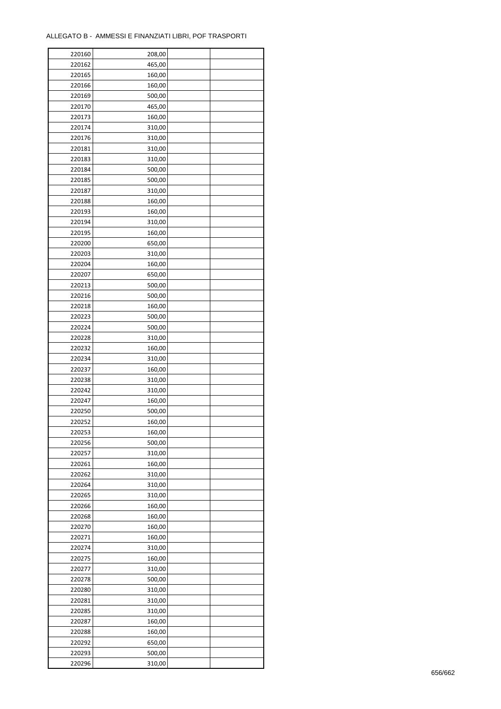| 220160 | 208,00 |  |
|--------|--------|--|
| 220162 | 465,00 |  |
| 220165 | 160,00 |  |
| 220166 | 160,00 |  |
| 220169 | 500,00 |  |
| 220170 | 465,00 |  |
| 220173 | 160,00 |  |
| 220174 | 310,00 |  |
| 220176 | 310,00 |  |
| 220181 | 310,00 |  |
| 220183 | 310,00 |  |
| 220184 | 500,00 |  |
| 220185 | 500,00 |  |
| 220187 | 310,00 |  |
|        |        |  |
| 220188 | 160,00 |  |
| 220193 | 160,00 |  |
| 220194 | 310,00 |  |
| 220195 | 160,00 |  |
| 220200 | 650,00 |  |
| 220203 | 310,00 |  |
| 220204 | 160,00 |  |
| 220207 | 650,00 |  |
| 220213 | 500,00 |  |
| 220216 | 500,00 |  |
| 220218 | 160,00 |  |
| 220223 | 500,00 |  |
| 220224 | 500,00 |  |
| 220228 | 310,00 |  |
| 220232 | 160,00 |  |
| 220234 | 310,00 |  |
| 220237 | 160,00 |  |
| 220238 | 310,00 |  |
| 220242 | 310,00 |  |
| 220247 | 160,00 |  |
| 220250 | 500,00 |  |
| 220252 | 160,00 |  |
| 220253 | 160,00 |  |
| 220256 | 500,00 |  |
| 220257 | 310,00 |  |
| 220261 | 160,00 |  |
| 220262 | 310,00 |  |
| 220264 | 310,00 |  |
| 220265 | 310,00 |  |
| 220266 | 160,00 |  |
| 220268 | 160,00 |  |
| 220270 | 160,00 |  |
| 220271 | 160,00 |  |
| 220274 | 310,00 |  |
| 220275 | 160,00 |  |
| 220277 | 310,00 |  |
| 220278 | 500,00 |  |
| 220280 | 310,00 |  |
| 220281 | 310,00 |  |
| 220285 | 310,00 |  |
| 220287 | 160,00 |  |
|        | 160,00 |  |
| 220288 |        |  |
| 220292 | 650,00 |  |
| 220293 | 500,00 |  |
| 220296 | 310,00 |  |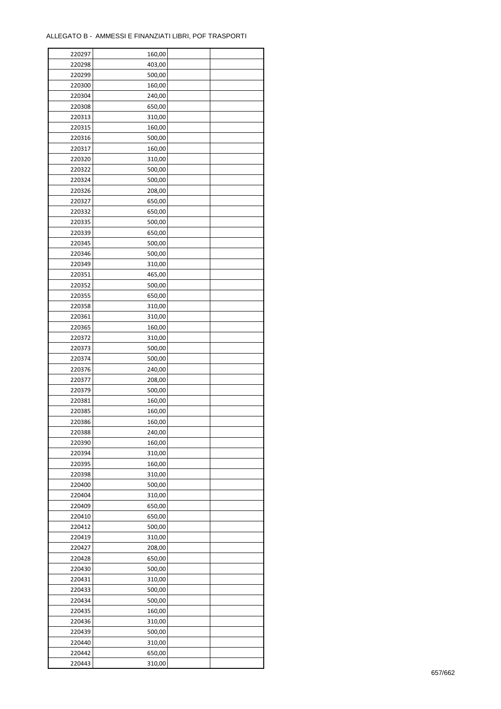| 220297 | 160,00 |  |
|--------|--------|--|
| 220298 | 403,00 |  |
| 220299 | 500,00 |  |
| 220300 | 160,00 |  |
| 220304 | 240,00 |  |
| 220308 | 650,00 |  |
| 220313 | 310,00 |  |
| 220315 | 160,00 |  |
| 220316 | 500,00 |  |
| 220317 | 160,00 |  |
| 220320 | 310,00 |  |
| 220322 | 500,00 |  |
| 220324 | 500,00 |  |
| 220326 |        |  |
|        | 208,00 |  |
| 220327 | 650,00 |  |
| 220332 | 650,00 |  |
| 220335 | 500,00 |  |
| 220339 | 650,00 |  |
| 220345 | 500,00 |  |
| 220346 | 500,00 |  |
| 220349 | 310,00 |  |
| 220351 | 465,00 |  |
| 220352 | 500,00 |  |
| 220355 | 650,00 |  |
| 220358 | 310,00 |  |
| 220361 | 310,00 |  |
| 220365 | 160,00 |  |
| 220372 | 310,00 |  |
| 220373 | 500,00 |  |
| 220374 | 500,00 |  |
| 220376 | 240,00 |  |
| 220377 | 208,00 |  |
| 220379 | 500,00 |  |
| 220381 | 160,00 |  |
| 220385 | 160,00 |  |
| 220386 | 160,00 |  |
| 220388 | 240,00 |  |
| 220390 | 160,00 |  |
| 220394 | 310,00 |  |
|        |        |  |
| 220395 | 160,00 |  |
| 220398 | 310,00 |  |
| 220400 | 500,00 |  |
| 220404 | 310,00 |  |
| 220409 | 650,00 |  |
| 220410 | 650,00 |  |
| 220412 | 500,00 |  |
| 220419 | 310,00 |  |
| 220427 | 208,00 |  |
| 220428 | 650,00 |  |
| 220430 | 500,00 |  |
| 220431 | 310,00 |  |
| 220433 | 500,00 |  |
| 220434 | 500,00 |  |
| 220435 | 160,00 |  |
| 220436 | 310,00 |  |
| 220439 | 500,00 |  |
| 220440 | 310,00 |  |
| 220442 | 650,00 |  |
| 220443 | 310,00 |  |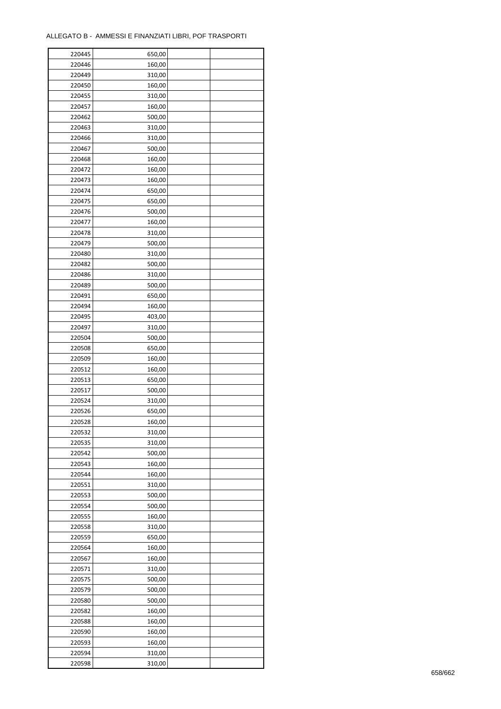| 220445 | 650,00 |  |
|--------|--------|--|
| 220446 | 160,00 |  |
| 220449 | 310,00 |  |
| 220450 | 160,00 |  |
| 220455 | 310,00 |  |
| 220457 | 160,00 |  |
| 220462 | 500,00 |  |
| 220463 | 310,00 |  |
|        |        |  |
| 220466 | 310,00 |  |
| 220467 | 500,00 |  |
| 220468 | 160,00 |  |
| 220472 | 160,00 |  |
| 220473 | 160,00 |  |
| 220474 | 650,00 |  |
| 220475 | 650,00 |  |
| 220476 | 500,00 |  |
| 220477 | 160,00 |  |
| 220478 | 310,00 |  |
| 220479 | 500,00 |  |
| 220480 | 310,00 |  |
| 220482 | 500,00 |  |
| 220486 | 310,00 |  |
| 220489 | 500,00 |  |
| 220491 | 650,00 |  |
| 220494 | 160,00 |  |
| 220495 | 403,00 |  |
| 220497 | 310,00 |  |
| 220504 | 500,00 |  |
| 220508 | 650,00 |  |
| 220509 | 160,00 |  |
|        |        |  |
| 220512 | 160,00 |  |
| 220513 | 650,00 |  |
| 220517 | 500,00 |  |
| 220524 | 310,00 |  |
| 220526 | 650,00 |  |
| 220528 | 160,00 |  |
| 220532 | 310,00 |  |
| 220535 | 310,00 |  |
| 220542 | 500,00 |  |
| 220543 | 160,00 |  |
| 220544 | 160,00 |  |
| 220551 | 310,00 |  |
| 220553 | 500,00 |  |
| 220554 | 500,00 |  |
| 220555 | 160,00 |  |
| 220558 | 310,00 |  |
| 220559 | 650,00 |  |
| 220564 | 160,00 |  |
| 220567 | 160,00 |  |
| 220571 | 310,00 |  |
| 220575 | 500,00 |  |
| 220579 | 500,00 |  |
| 220580 | 500,00 |  |
|        |        |  |
| 220582 | 160,00 |  |
| 220588 | 160,00 |  |
| 220590 | 160,00 |  |
| 220593 | 160,00 |  |
| 220594 | 310,00 |  |
| 220598 | 310,00 |  |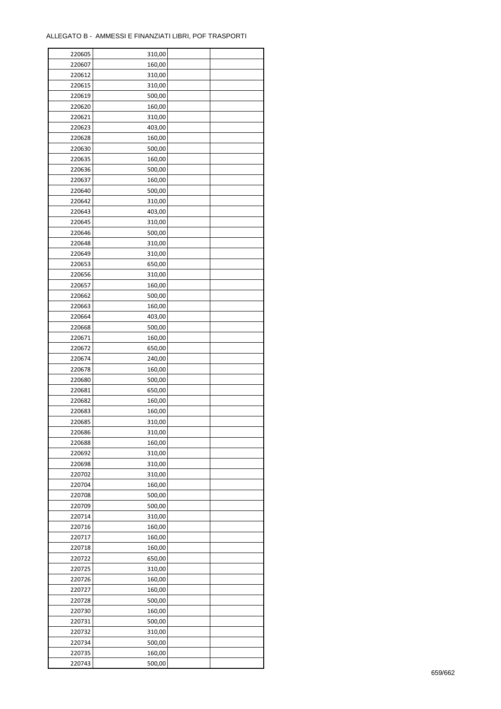| 220605 | 310,00 |  |
|--------|--------|--|
| 220607 | 160,00 |  |
| 220612 | 310,00 |  |
| 220615 | 310,00 |  |
| 220619 | 500,00 |  |
| 220620 | 160,00 |  |
| 220621 | 310,00 |  |
| 220623 | 403,00 |  |
|        |        |  |
| 220628 | 160,00 |  |
| 220630 | 500,00 |  |
| 220635 | 160,00 |  |
| 220636 | 500,00 |  |
| 220637 | 160,00 |  |
| 220640 | 500,00 |  |
| 220642 | 310,00 |  |
| 220643 | 403,00 |  |
| 220645 | 310,00 |  |
| 220646 | 500,00 |  |
| 220648 | 310,00 |  |
| 220649 | 310,00 |  |
| 220653 | 650,00 |  |
| 220656 | 310,00 |  |
| 220657 | 160,00 |  |
| 220662 | 500,00 |  |
| 220663 | 160,00 |  |
|        |        |  |
| 220664 | 403,00 |  |
| 220668 | 500,00 |  |
| 220671 | 160,00 |  |
| 220672 | 650,00 |  |
| 220674 | 240,00 |  |
| 220678 | 160,00 |  |
| 220680 | 500,00 |  |
| 220681 | 650,00 |  |
| 220682 | 160,00 |  |
| 220683 | 160,00 |  |
| 220685 | 310,00 |  |
| 220686 | 310,00 |  |
| 220688 | 160,00 |  |
| 220692 | 310,00 |  |
| 220698 | 310,00 |  |
| 220702 | 310,00 |  |
| 220704 | 160,00 |  |
| 220708 | 500,00 |  |
| 220709 | 500,00 |  |
| 220714 | 310,00 |  |
|        |        |  |
| 220716 | 160,00 |  |
| 220717 | 160,00 |  |
| 220718 | 160,00 |  |
| 220722 | 650,00 |  |
| 220725 | 310,00 |  |
| 220726 | 160,00 |  |
| 220727 | 160,00 |  |
| 220728 | 500,00 |  |
| 220730 | 160,00 |  |
| 220731 | 500,00 |  |
| 220732 | 310,00 |  |
| 220734 | 500,00 |  |
| 220735 | 160,00 |  |
| 220743 | 500,00 |  |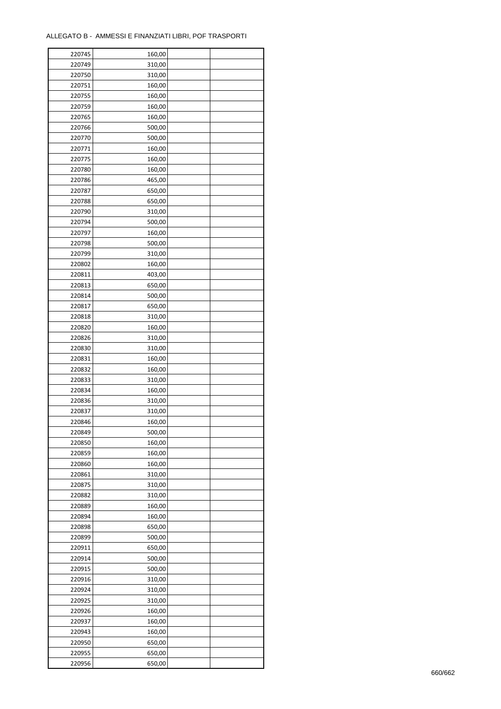| 220745 | 160,00 |  |
|--------|--------|--|
| 220749 | 310,00 |  |
| 220750 | 310,00 |  |
| 220751 | 160,00 |  |
| 220755 | 160,00 |  |
| 220759 | 160,00 |  |
| 220765 | 160,00 |  |
| 220766 | 500,00 |  |
| 220770 | 500,00 |  |
| 220771 | 160,00 |  |
| 220775 | 160,00 |  |
| 220780 | 160,00 |  |
| 220786 | 465,00 |  |
| 220787 | 650,00 |  |
|        |        |  |
| 220788 | 650,00 |  |
| 220790 | 310,00 |  |
| 220794 | 500,00 |  |
| 220797 | 160,00 |  |
| 220798 | 500,00 |  |
| 220799 | 310,00 |  |
| 220802 | 160,00 |  |
| 220811 | 403,00 |  |
| 220813 | 650,00 |  |
| 220814 | 500,00 |  |
| 220817 | 650,00 |  |
| 220818 | 310,00 |  |
| 220820 | 160,00 |  |
| 220826 | 310,00 |  |
| 220830 | 310,00 |  |
| 220831 | 160,00 |  |
| 220832 | 160,00 |  |
| 220833 | 310,00 |  |
| 220834 | 160,00 |  |
| 220836 | 310,00 |  |
| 220837 | 310,00 |  |
| 220846 | 160,00 |  |
| 220849 | 500,00 |  |
| 220850 | 160,00 |  |
| 220859 | 160,00 |  |
| 220860 | 160,00 |  |
| 220861 | 310,00 |  |
| 220875 | 310,00 |  |
| 220882 | 310,00 |  |
| 220889 | 160,00 |  |
| 220894 | 160,00 |  |
| 220898 | 650,00 |  |
| 220899 | 500,00 |  |
| 220911 | 650,00 |  |
| 220914 | 500,00 |  |
| 220915 | 500,00 |  |
| 220916 | 310,00 |  |
| 220924 | 310,00 |  |
| 220925 | 310,00 |  |
|        |        |  |
| 220926 | 160,00 |  |
| 220937 | 160,00 |  |
| 220943 | 160,00 |  |
| 220950 | 650,00 |  |
| 220955 | 650,00 |  |
| 220956 | 650,00 |  |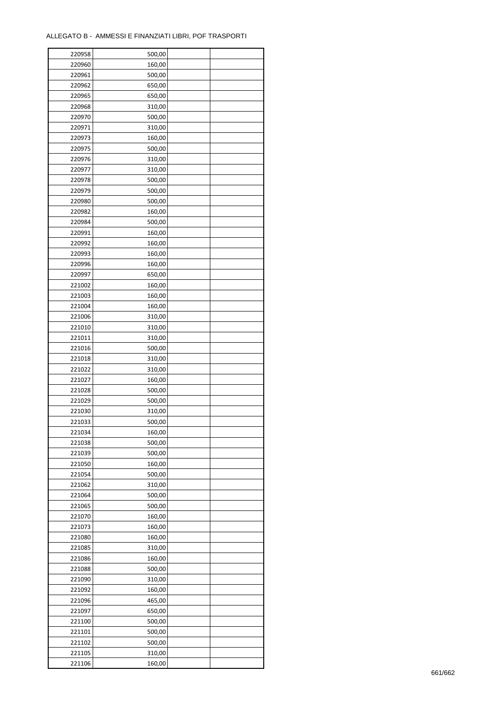| 220958 | 500,00 |  |
|--------|--------|--|
| 220960 | 160,00 |  |
| 220961 | 500,00 |  |
| 220962 | 650,00 |  |
| 220965 | 650,00 |  |
| 220968 | 310,00 |  |
| 220970 | 500,00 |  |
| 220971 | 310,00 |  |
| 220973 | 160,00 |  |
| 220975 | 500,00 |  |
| 220976 | 310,00 |  |
| 220977 |        |  |
|        | 310,00 |  |
| 220978 | 500,00 |  |
| 220979 | 500,00 |  |
| 220980 | 500,00 |  |
| 220982 | 160,00 |  |
| 220984 | 500,00 |  |
| 220991 | 160,00 |  |
| 220992 | 160,00 |  |
| 220993 | 160,00 |  |
| 220996 | 160,00 |  |
| 220997 | 650,00 |  |
| 221002 | 160,00 |  |
| 221003 | 160,00 |  |
| 221004 | 160,00 |  |
| 221006 | 310,00 |  |
| 221010 | 310,00 |  |
| 221011 | 310,00 |  |
| 221016 | 500,00 |  |
| 221018 | 310,00 |  |
| 221022 |        |  |
|        | 310,00 |  |
| 221027 | 160,00 |  |
| 221028 | 500,00 |  |
| 221029 | 500,00 |  |
| 221030 | 310,00 |  |
| 221033 | 500,00 |  |
| 221034 | 160,00 |  |
| 221038 | 500,00 |  |
| 221039 | 500,00 |  |
| 221050 | 160,00 |  |
| 221054 | 500,00 |  |
| 221062 | 310,00 |  |
| 221064 | 500,00 |  |
| 221065 | 500,00 |  |
| 221070 | 160,00 |  |
| 221073 | 160,00 |  |
| 221080 | 160,00 |  |
| 221085 | 310,00 |  |
| 221086 | 160,00 |  |
| 221088 | 500,00 |  |
| 221090 | 310,00 |  |
| 221092 |        |  |
|        | 160,00 |  |
| 221096 | 465,00 |  |
| 221097 | 650,00 |  |
| 221100 | 500,00 |  |
| 221101 | 500,00 |  |
| 221102 | 500,00 |  |
| 221105 | 310,00 |  |
| 221106 | 160,00 |  |